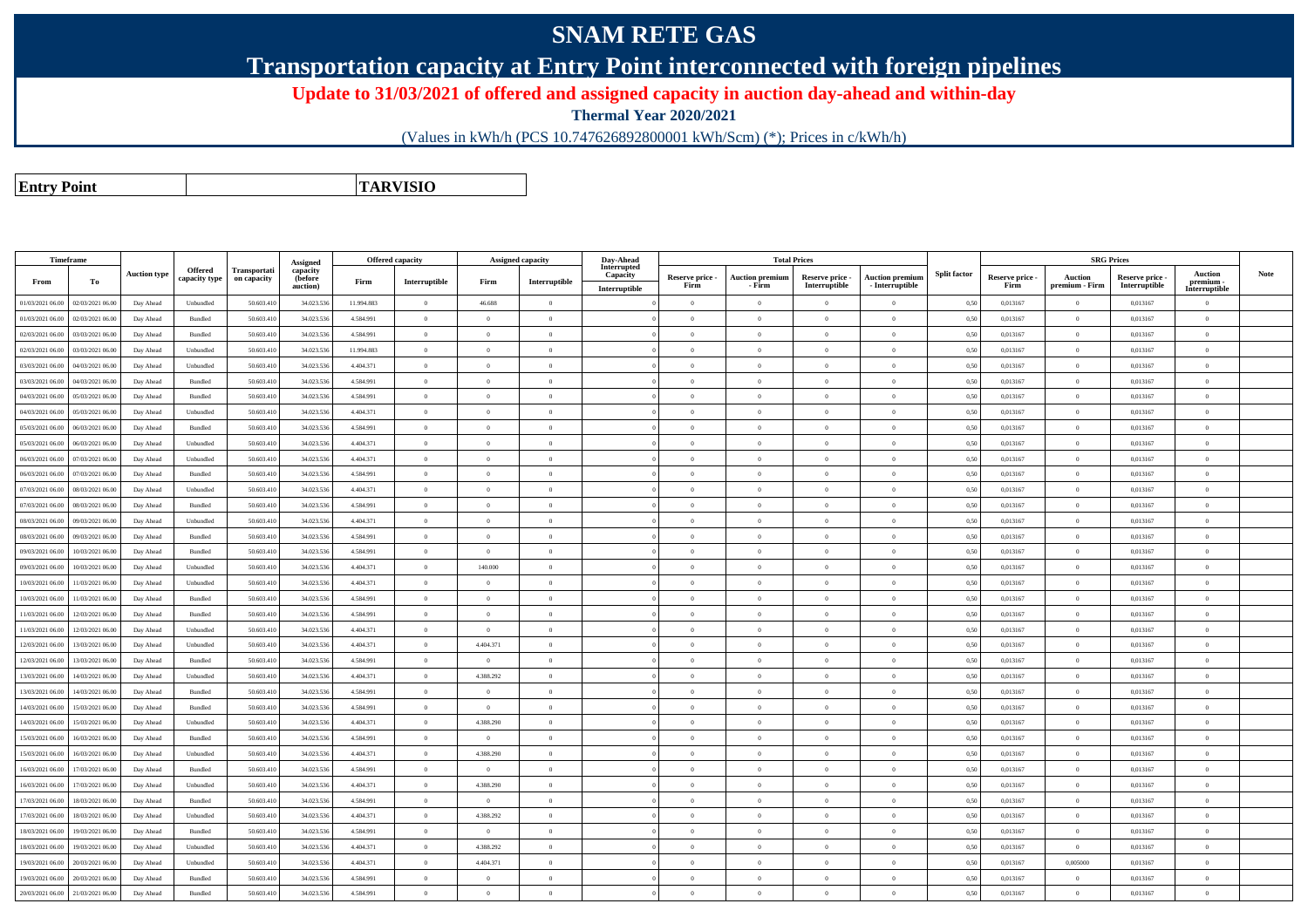## **SNAM RETE GAS**

**Transportation capacity at Entry Point interconnected with foreign pipelines**

**Update to 31/03/2021 of offered and assigned capacity in auction day-ahead and within-day**

**Thermal Year 2020/2021**

(Values in kWh/h (PCS 10.747626892800001 kWh/Scm) (\*); Prices in c/kWh/h)

**Entry PointTARVISIO**

| Timeframe        |                  |                     |                             |                             | Assigned                        | Offered capacity |                |                | Assigned capacity                           | Day-Ahead                                |                         | <b>Total Prices</b>              |                                  |                                           |                     |                         | <b>SRG Prices</b>         |                                  |                                              |             |
|------------------|------------------|---------------------|-----------------------------|-----------------------------|---------------------------------|------------------|----------------|----------------|---------------------------------------------|------------------------------------------|-------------------------|----------------------------------|----------------------------------|-------------------------------------------|---------------------|-------------------------|---------------------------|----------------------------------|----------------------------------------------|-------------|
| From             | To               | <b>Auction type</b> | Offered<br>capacity type    | Transportati<br>on capacity | capacity<br>(before<br>auction) | Firm             | Interruptible  | Firm           | $\label{prop:inter} \textbf{Interruptible}$ | Interrupted<br>Capacity<br>Interruptible | Reserve price -<br>Firm | <b>Auction premium</b><br>- Firm | Reserve price -<br>Interruptible | <b>Auction premium</b><br>- Interruptible | <b>Split factor</b> | Reserve price -<br>Firm | Auction<br>premium - Firm | Reserve price -<br>Interruptible | <b>Auction</b><br>premium -<br>Interruptible | <b>Note</b> |
| 01/03/2021 06:00 | 02/03/2021 06:00 | Day Ahead           | Unbundled                   | 50.603.410                  | 34.023.536                      | 11.994.883       | $\overline{0}$ | 46.688         | $\overline{0}$                              |                                          | $\overline{0}$          | $\theta$                         | $\Omega$                         | $\overline{0}$                            | 0,50                | 0.013167                | $\theta$                  | 0.013167                         | $\overline{0}$                               |             |
| 01/03/2021 06:00 | 02/03/2021 06:00 | Day Ahead           | Bundled                     | 50.603.410                  | 34.023.536                      | 4.584.991        | $\overline{0}$ | $\Omega$       | $\Omega$                                    |                                          | $\Omega$                | $\Omega$                         | $\theta$                         | $\theta$                                  | 0,50                | 0.013167                | $\overline{0}$            | 0.013167                         | $\theta$                                     |             |
| 02/03/2021 06:00 | 03/03/2021 06:00 | Day Ahead           | Bundled                     | 50.603.410                  | 34.023.536                      | 4.584.991        | $\overline{0}$ | $\Omega$       | $\Omega$                                    |                                          | $\Omega$                | $\Omega$                         | $\Omega$                         | $\overline{0}$                            | 0,50                | 0,013167                | $\overline{0}$            | 0,013167                         | $\theta$                                     |             |
| 02/03/2021 06:00 | 03/03/2021 06:00 | Day Ahead           | Unbundled                   | 50.603.410                  | 34.023.536                      | 11.994.883       | $\overline{0}$ | $\Omega$       | $\Omega$                                    |                                          | $\Omega$                | $\Omega$                         | $\theta$                         | $\theta$                                  | 0,50                | 0.013167                | $\Omega$                  | 0,013167                         | $\theta$                                     |             |
| 03/03/2021 06:00 | 04/03/2021 06:00 | Day Ahead           | Unbundled                   | 50.603.410                  | 34.023.536                      | 4.404.371        | $\overline{0}$ | $\Omega$       | $\Omega$                                    |                                          | $\Omega$                | $\Omega$                         | $\theta$                         | $\overline{0}$                            | 0,50                | 0.013167                | $\overline{0}$            | 0.013167                         | $\theta$                                     |             |
| 03/03/2021 06:00 | 04/03/2021 06:00 | Day Ahead           | Bundled                     | 50.603.410                  | 34.023.536                      | 4.584.991        | $\overline{0}$ | $\overline{0}$ | $\overline{0}$                              |                                          | $\overline{0}$          | $\theta$                         | $\theta$                         | $\hspace{0.1mm}$ 0                        | 0.50                | 0,013167                | $\overline{0}$            | 0,013167                         | $\overline{0}$                               |             |
| 04/03/2021 06:00 | 05/03/2021 06:0  | Day Ahead           | Bundled                     | 50.603.410                  | 34.023.536                      | 4 584 991        | $\overline{0}$ | $\Omega$       | $\Omega$                                    |                                          | $\Omega$                | $\Omega$                         | $\Omega$                         | $\theta$                                  | 0.50                | 0.013167                | $\overline{0}$            | 0.013167                         | $\theta$                                     |             |
| 04/03/2021 06:00 | 05/03/2021 06:00 | Day Ahead           | Unbundled                   | 50.603.410                  | 34.023.536                      | 4.404.371        | $\overline{0}$ | $\Omega$       | $\Omega$                                    |                                          | $\Omega$                | $\Omega$                         | $\Omega$                         | $\theta$                                  | 0.50                | 0,013167                | $\overline{0}$            | 0,013167                         | $\theta$                                     |             |
| 05/03/2021 06:00 | 06/03/2021 06.0  | Day Ahead           | Bundled                     | 50.603.41                   | 34.023.536                      | 4.584.991        | $\overline{0}$ | $\overline{0}$ | $\Omega$                                    |                                          | $\Omega$                | $\Omega$                         | $\overline{0}$                   | $\overline{0}$                            | 0,50                | 0,013167                | $\Omega$                  | 0,013167                         | $\overline{0}$                               |             |
| 05/03/2021 06:00 | 06/03/2021 06:00 | Day Ahead           | Unbundled                   | 50.603.410                  | 34.023.536                      | 4.404.371        | $\overline{0}$ | $\overline{0}$ | $\overline{0}$                              |                                          | $\overline{0}$          | $\theta$                         | $\overline{0}$                   | $\hspace{0.1mm}$ 0                        | 0.50                | 0,013167                | $\overline{0}$            | 0,013167                         | $\overline{0}$                               |             |
| 06/03/2021 06:00 | 07/03/2021 06.0  | Day Ahead           | Unbundled                   | 50.603.41                   | 34.023.536                      | 4.404.371        | $\overline{0}$ | $\overline{0}$ | $\Omega$                                    |                                          | $\Omega$                | $\Omega$                         | $\overline{0}$                   | $\overline{0}$                            | 0,50                | 0,013167                | $\Omega$                  | 0,013167                         | $\theta$                                     |             |
| 06/03/2021 06:00 | 07/03/2021 06:00 | Day Ahead           | Bundled                     | 50.603.410                  | 34.023.536                      | 4.584.991        | $\overline{0}$ | $\overline{0}$ | $\overline{0}$                              |                                          | $\overline{0}$          | $\theta$                         | $\overline{0}$                   | $\overline{0}$                            | 0,50                | 0,013167                | $\overline{0}$            | 0,013167                         | $\overline{0}$                               |             |
| 07/03/2021 06:00 | 08/03/2021 06:00 | Day Ahead           | Unbundled                   | 50.603.410                  | 34.023.536                      | 4.404.371        | $\theta$       | $\Omega$       | $\Omega$                                    |                                          | $\Omega$                |                                  | $\Omega$                         | $\theta$                                  | 0,50                | 0,013167                | $\Omega$                  | 0,013167                         | $\Omega$                                     |             |
| 07/03/2021 06:00 | 08/03/2021 06:0  | Day Ahead           | Bundled                     | 50.603.410                  | 34.023.536                      | 4.584.991        | $\overline{0}$ | $\overline{0}$ | $\overline{0}$                              |                                          | $\overline{0}$          | $\overline{0}$                   | $\theta$                         | $\bf{0}$                                  | 0,50                | 0,013167                | $\overline{0}$            | 0,013167                         | $\overline{0}$                               |             |
| 08/03/2021 06:00 | 09/03/2021 06:00 | Day Ahead           | Unbundled                   | 50.603.410                  | 34.023.536                      | 4.404.371        | $\overline{0}$ | $\Omega$       | $\Omega$                                    |                                          | $\Omega$                |                                  | $\Omega$                         | $\overline{0}$                            | 0,50                | 0,013167                | $\Omega$                  | 0,013167                         | $\Omega$                                     |             |
| 08/03/2021 06:00 | 09/03/2021 06:00 | Day Ahead           | Bundled                     | 50.603.410                  | 34.023.536                      | 4.584.991        | $\overline{0}$ | $\theta$       | $\overline{0}$                              |                                          | $\theta$                | $\Omega$                         | $\overline{0}$                   | $\mathbf{0}$                              | 0,50                | 0,013167                | $\overline{0}$            | 0,013167                         | $\theta$                                     |             |
| 09/03/2021 06:00 | 10/03/2021 06.0  | Day Ahead           | Bundled                     | 50.603.410                  | 34.023.536                      | 4.584.991        | $\overline{0}$ | $\Omega$       | $\Omega$                                    |                                          | $\theta$                |                                  | $\Omega$                         | $\theta$                                  | 0,50                | 0,013167                | $\theta$                  | 0,013167                         | $\theta$                                     |             |
| 09/03/2021 06:00 | 10/03/2021 06:00 | Day Ahead           | Unbundled                   | 50.603.410                  | 34.023.536                      | 4.404.371        | $\overline{0}$ | 140.000        | $\overline{0}$                              |                                          | $\overline{0}$          | $\theta$                         | $\overline{0}$                   | $\overline{0}$                            | 0,50                | 0,013167                | $\overline{0}$            | 0,013167                         | $\overline{0}$                               |             |
| 10/03/2021 06:00 | 11/03/2021 06:00 | Day Ahead           | Unbundled                   | 50.603.410                  | 34.023.536                      | 4.404.371        | $\overline{0}$ | $\Omega$       | $\Omega$                                    |                                          | $\Omega$                | $\Omega$                         | $\theta$                         | $\theta$                                  | 0.50                | 0.013167                | $\overline{0}$            | 0.013167                         | $\theta$                                     |             |
| 10/03/2021 06:00 | 11/03/2021 06:00 | Day Ahead           | Bundled                     | 50.603.410                  | 34.023.536                      | 4.584.991        | $\overline{0}$ | $\overline{0}$ | $\overline{0}$                              |                                          | $\overline{0}$          | $\theta$                         | $\theta$                         | $\overline{0}$                            | 0,50                | 0,013167                | $\overline{0}$            | 0,013167                         | $\overline{0}$                               |             |
| 11/03/2021 06:00 | 12/03/2021 06:00 | Day Ahead           | Bundled                     | 50.603.410                  | 34.023.536                      | 4.584.991        | $\Omega$       | $\Omega$       | $\Omega$                                    |                                          | $\Omega$                |                                  | $\Omega$                         | $\theta$                                  | 0.50                | 0.013167                | $\Omega$                  | 0.013167                         | $\Omega$                                     |             |
| 11/03/2021 06:00 | 12/03/2021 06:00 | Day Ahead           | Unbundled                   | 50.603.410                  | 34.023.536                      | 4.404.371        | $\overline{0}$ | $\Omega$       | $\overline{0}$                              |                                          | $\Omega$                | $\theta$                         | $\Omega$                         | $\overline{0}$                            | 0,50                | 0,013167                | $\overline{0}$            | 0,013167                         | $\overline{0}$                               |             |
| 12/03/2021 06:00 | 13/03/2021 06:00 | Day Ahead           | Unbundled                   | 50.603.410                  | 34.023.536                      | 4.404.371        | $\overline{0}$ | 4.404.371      | $\Omega$                                    |                                          | $\Omega$                | $\Omega$                         | $\theta$                         | $\theta$                                  | 0.50                | 0.013167                | $\overline{0}$            | 0.013167                         | $\theta$                                     |             |
| 12/03/2021 06:00 | 13/03/2021 06:00 | Day Ahead           | Bundled                     | 50.603.410                  | 34.023.536                      | 4.584.991        | $\overline{0}$ | $\Omega$       | $\Omega$                                    |                                          | $\Omega$                | $\theta$                         | $\theta$                         | $\overline{0}$                            | 0,50                | 0.013167                | $\overline{0}$            | 0,013167                         | $\theta$                                     |             |
| 13/03/2021 06:00 | 14/03/2021 06:00 | Day Ahead           | Unbundled                   | 50.603.410                  | 34.023.536                      | 4.404.371        | $\overline{0}$ | 4.388.292      | $\Omega$                                    |                                          | $\Omega$                | $\Omega$                         | $\Omega$                         | $\theta$                                  | 0,50                | 0.013167                | $\Omega$                  | 0.013167                         | $\theta$                                     |             |
| 13/03/2021 06:00 | 14/03/2021 06:00 | Day Ahead           | Bundled                     | 50.603.410                  | 34.023.536                      | 4.584.991        | $\overline{0}$ | $\Omega$       | $\overline{0}$                              |                                          | $\overline{0}$          | $\theta$                         | $\overline{0}$                   | $\overline{0}$                            | 0,50                | 0,013167                | $\overline{0}$            | 0,013167                         | $\overline{0}$                               |             |
| 14/03/2021 06:00 | 15/03/2021 06:00 | Day Ahead           | Bundled                     | 50.603.410                  | 34.023.536                      | 4.584.991        | $\overline{0}$ | $\Omega$       | $\Omega$                                    |                                          | $\Omega$                | $\Omega$                         | $\overline{0}$                   | $\bf{0}$                                  | 0.50                | 0.013167                | $\overline{0}$            | 0.013167                         | $\theta$                                     |             |
| 14/03/2021 06:00 | 15/03/2021 06:00 | Day Ahead           | Unbundled                   | 50.603.410                  | 34.023.536                      | 4.404.371        | $\overline{0}$ | 4.388.290      | $\overline{0}$                              |                                          | $\overline{0}$          | $\Omega$                         | $\overline{0}$                   | $\bf{0}$                                  | 0.50                | 0,013167                | $\overline{0}$            | 0,013167                         | $\theta$                                     |             |
| 15/03/2021 06:00 | 16/03/2021 06:00 | Day Ahead           | Bundled                     | 50.603.410                  | 34.023.536                      | 4.584.991        | $\overline{0}$ | $^{\circ}$     | $\Omega$                                    |                                          | $\Omega$                | $\Omega$                         | $\Omega$                         | $\theta$                                  | 0.50                | 0.013167                | $\Omega$                  | 0.013167                         | $\theta$                                     |             |
| 15/03/2021 06:00 | 16/03/2021 06.0  | Day Ahead           | Unbundled                   | 50.603.41                   | 34.023.536                      | 4.404.371        | $\,$ 0 $\,$    | 4.388.290      | $\overline{0}$                              |                                          | $\overline{0}$          | $\Omega$                         | $\overline{0}$                   | $\overline{0}$                            | 0,50                | 0,013167                | $\overline{0}$            | 0,013167                         | $\overline{0}$                               |             |
| 16/03/2021 06:00 | 17/03/2021 06:00 | Day Ahead           | Bundled                     | 50.603.410                  | 34.023.536                      | 4.584.991        | $\overline{0}$ | $\overline{0}$ | $\overline{0}$                              |                                          | $\overline{0}$          | $\theta$                         | $\overline{0}$                   | $\bf{0}$                                  | 0,50                | 0,013167                | $\overline{0}$            | 0,013167                         | $\bf{0}$                                     |             |
| 16/03/2021 06:00 | 17/03/2021 06.0  | Day Ahead           | Unbundled                   | 50.603.41                   | 34.023.536                      | 4.404.371        | $\,$ 0 $\,$    | 4.388.290      | $\overline{0}$                              |                                          | $\overline{0}$          | $\Omega$                         | $\overline{0}$                   | $\hspace{0.1mm}$ 0                        | 0.50                | 0,013167                | $\overline{0}$            | 0,013167                         | $\overline{0}$                               |             |
| 17/03/2021 06:00 | 18/03/2021 06:00 | Day Ahead           | Bundled                     | 50.603.410                  | 34.023.536                      | 4.584.991        | $\bf{0}$       | $\overline{0}$ | $\overline{0}$                              |                                          | $\overline{0}$          | $\theta$                         | $\overline{0}$                   | $\overline{0}$                            | 0,50                | 0,013167                | $\overline{0}$            | 0,013167                         | $\bf{0}$                                     |             |
| 17/03/2021 06:00 | 18/03/2021 06.0  | Day Ahead           | $\label{thm:undl} Unbundle$ | 50.603.41                   | 34.023.536                      | 4.404.371        | $\overline{0}$ | 4.388.292      | $\theta$                                    |                                          | $\overline{0}$          | $\theta$                         | $\overline{0}$                   | $\overline{0}$                            | 0,50                | 0,013167                | $\overline{0}$            | 0,013167                         | $\overline{0}$                               |             |
| 18/03/2021 06:00 | 19/03/2021 06:00 | Day Ahead           | Bundled                     | 50.603.410                  | 34.023.536                      | 4.584.991        | $\overline{0}$ | $\overline{0}$ | $\overline{0}$                              |                                          | $\overline{0}$          | $\overline{0}$                   | $\overline{0}$                   | $\bf{0}$                                  | 0,50                | 0,013167                | $\overline{0}$            | 0,013167                         | $\bf{0}$                                     |             |
| 18/03/2021 06:00 | 9/03/2021 06.0   | Day Ahead           | Unbundled                   | 50.603.410                  | 34.023.536                      | 4.404.371        | $\overline{0}$ | 4.388.292      | $\overline{0}$                              |                                          | $\overline{0}$          |                                  | $\overline{0}$                   | $\overline{0}$                            | 0,50                | 0,013167                | $\overline{0}$            | 0,013167                         | $\overline{0}$                               |             |
| 19/03/2021 06:00 | 20/03/2021 06:00 | Day Ahead           | Unbundled                   | 50.603.410                  | 34.023.536                      | 4.404.371        | $\overline{0}$ | 4.404.371      | $\Omega$                                    |                                          | $\Omega$                | $\theta$                         | $\Omega$                         | $\theta$                                  | 0,50                | 0,013167                | 0,005000                  | 0,013167                         | $\theta$                                     |             |
| 19/03/2021 06:00 | 20/03/2021 06.0  | Day Ahead           | Bundled                     | 50.603.41                   | 34.023.536                      | 4.584.991        | $\overline{0}$ | $\overline{0}$ | $\overline{0}$                              |                                          | $\overline{0}$          |                                  | $\overline{0}$                   | $\overline{0}$                            | 0,50                | 0,013167                | $\overline{0}$            | 0,013167                         | $\overline{0}$                               |             |
| 20/03/2021 06:00 | 21/03/2021 06:00 | Day Ahead           | Bundled                     | 50.603.410                  | 34.023.536                      | 4.584.991        | $\Omega$       | $\Omega$       | $\Omega$                                    |                                          | $\Omega$                |                                  | $\Omega$                         | $\theta$                                  | 0,50                | 0.013167                | $\overline{0}$            | 0.013167                         | $\theta$                                     |             |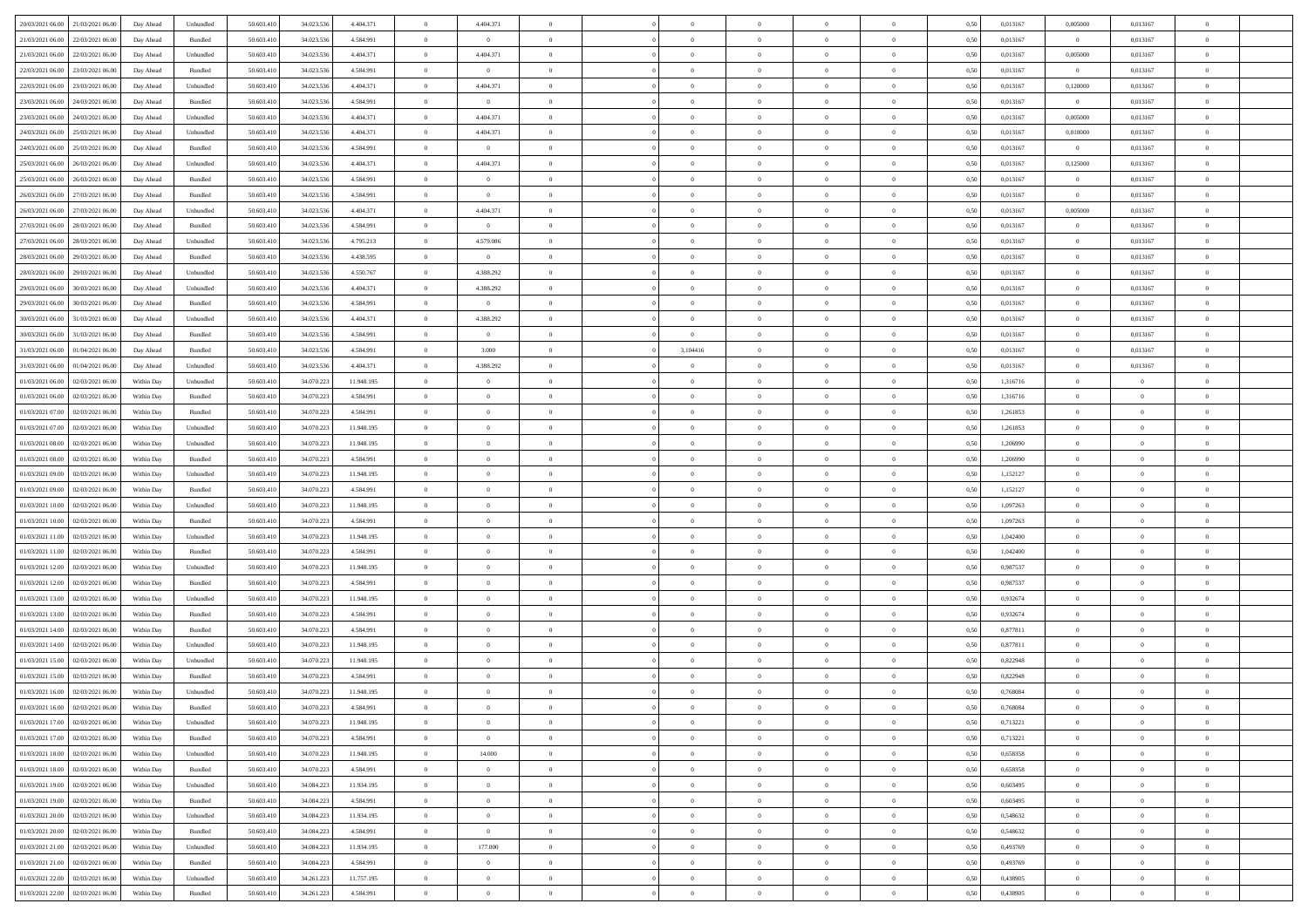| 20/03/2021 06:00 21/03/2021 06:00            | Day Ahead  | Unbundled          | 50.603.410 | 34.023.536 | 4.404.371  | $\overline{0}$ | 4.404.371      |                |                | $\theta$       | $\theta$          |                | 0,50 | 0,013167 | 0,005000       | 0,013167       |                |  |
|----------------------------------------------|------------|--------------------|------------|------------|------------|----------------|----------------|----------------|----------------|----------------|-------------------|----------------|------|----------|----------------|----------------|----------------|--|
|                                              |            |                    |            |            |            |                |                |                |                |                |                   |                |      |          |                |                |                |  |
| 21/03/2021 06:00<br>22/03/2021 06:00         | Day Ahead  | Bundled            | 50.603.41  | 34.023.536 | 4.584.991  | $\overline{0}$ | $\overline{0}$ | $\overline{0}$ | $\Omega$       | $\bf{0}$       | $\overline{0}$    | $\overline{0}$ | 0,50 | 0,013167 | $\overline{0}$ | 0,013167       | $\theta$       |  |
| 21/03/2021 06:00<br>22/03/2021 06:00         | Day Ahead  | Unbundled          | 50.603.410 | 34.023.536 | 4.404.371  | $\overline{0}$ | 4.404.371      | $\overline{0}$ | $\overline{0}$ | $\,$ 0 $\,$    | $\overline{0}$    | $\overline{0}$ | 0.50 | 0.013167 | 0,005000       | 0.013167       | $\bf{0}$       |  |
| 22/03/2021 06:00<br>23/03/2021 06:00         | Day Ahead  | Bundled            | 50.603.410 | 34.023.536 | 4.584.991  | $\overline{0}$ | $\overline{0}$ | $\overline{0}$ | $\overline{0}$ | $\,$ 0 $\,$    | $\overline{0}$    | $\overline{0}$ | 0,50 | 0,013167 | $\overline{0}$ | 0,013167       | $\overline{0}$ |  |
| 22/03/2021 06:00<br>23/03/2021 06:00         | Day Ahead  | Unbundled          | 50.603.41  | 34.023.536 | 4.404.371  | $\overline{0}$ | 4.404.371      | $\overline{0}$ | $\Omega$       | $\bf{0}$       | $\overline{0}$    | $\bf{0}$       | 0,50 | 0,013167 | 0,120000       | 0,013167       |                |  |
| 23/03/2021 06:00<br>24/03/2021 06:00         | Day Ahead  | Bundled            | 50,603.41  | 34.023.536 | 4.584.991  | $\overline{0}$ | $\overline{0}$ | $\Omega$       | $\overline{0}$ | $\bf{0}$       | $\overline{0}$    | $\mathbf{0}$   | 0.50 | 0.013167 | $\overline{0}$ | 0.013167       | $\bf{0}$       |  |
| 23/03/2021 06:00<br>24/03/2021 06:00         | Day Ahead  | Unbundled          | 50.603.410 | 34.023.536 | 4.404.371  | $\overline{0}$ | 4.404.371      | $\overline{0}$ | $\overline{0}$ | $\bf{0}$       | $\overline{0}$    | $\overline{0}$ | 0,50 | 0,013167 | 0,005000       | 0,013167       | $\overline{0}$ |  |
| 24/03/2021 06:00<br>25/03/2021 06.00         | Day Ahead  | Unbundled          | 50.603.41  | 34.023.536 | 4.404.371  | $\overline{0}$ | 4.404.371      | $\overline{0}$ | $\Omega$       | $\bf{0}$       | $\overline{0}$    | $\bf{0}$       | 0,50 | 0,013167 | 0,010000       | 0,013167       |                |  |
|                                              |            |                    |            |            |            |                |                |                |                |                |                   |                |      |          |                |                |                |  |
| 24/03/2021 06:00<br>25/03/2021 06:00         | Day Ahead  | Bundled            | 50.603.410 | 34.023.536 | 4.584.991  | $\overline{0}$ | $\overline{0}$ | $\overline{0}$ | $\overline{0}$ | $\bf{0}$       | $\overline{0}$    | $\overline{0}$ | 0.50 | 0.013167 | $\overline{0}$ | 0.013167       | $\bf{0}$       |  |
| 25/03/2021 06:00<br>26/03/2021 06:00         | Day Ahead  | Unbundled          | 50.603.410 | 34.023.536 | 4.404.371  | $\overline{0}$ | 4.404.371      | $\overline{0}$ | $\overline{0}$ | $\bf{0}$       | $\overline{0}$    | $\overline{0}$ | 0,50 | 0,013167 | 0,125000       | 0,013167       | $\overline{0}$ |  |
| 25/03/2021 06:00<br>26/03/2021 06:00         | Day Ahead  | Bundled            | 50.603.41  | 34.023.536 | 4.584.991  | $\overline{0}$ | $\overline{0}$ | $\overline{0}$ | $\Omega$       | $\overline{0}$ | $\overline{0}$    | $\bf{0}$       | 0,50 | 0,013167 | $\overline{0}$ | 0,013167       | $\theta$       |  |
| 26/03/2021 06:00<br>27/03/2021 06:00         | Day Ahead  | Bundled            | 50.603.410 | 34.023.536 | 4.584.991  | $\overline{0}$ | $\overline{0}$ | $\overline{0}$ | $\overline{0}$ | $\bf{0}$       | $\overline{0}$    | $\overline{0}$ | 0.50 | 0.013167 | $\overline{0}$ | 0.013167       | $\bf{0}$       |  |
| 26/03/2021 06:00<br>27/03/2021 06:00         | Day Ahead  | Unbundled          | 50.603.410 | 34.023.536 | 4.404.371  | $\overline{0}$ | 4.404.371      | $\overline{0}$ | $\overline{0}$ | $\bf{0}$       | $\overline{0}$    | $\overline{0}$ | 0,50 | 0,013167 | 0,005000       | 0,013167       | $\overline{0}$ |  |
| 27/03/2021 06:00<br>28/03/2021 06:00         | Day Ahead  | Bundled            | 50.603.41  | 34.023.536 | 4.584.991  | $\overline{0}$ | $\overline{0}$ | $\overline{0}$ | $\Omega$       | $\bf{0}$       | $\overline{0}$    | $\overline{0}$ | 0,50 | 0,013167 | $\overline{0}$ | 0,013167       |                |  |
| 27/03/2021 06:00<br>28/03/2021 06:00         | Day Ahead  | Unbundled          | 50.603.410 | 34.023.536 | 4.795.213  | $\overline{0}$ | 4.579.086      | $\overline{0}$ | $\overline{0}$ | $\bf{0}$       | $\overline{0}$    | $\overline{0}$ | 0.50 | 0.013167 |                | 0.013167       | $\bf{0}$       |  |
|                                              |            |                    |            |            |            |                |                |                |                |                |                   |                |      |          | $\overline{0}$ |                |                |  |
| 28/03/2021 06:00<br>29/03/2021 06:00         | Day Ahead  | Bundled            | 50.603.410 | 34.023.536 | 4.438.595  | $\overline{0}$ | $\overline{0}$ | $\overline{0}$ | $\overline{0}$ | $\bf{0}$       | $\overline{0}$    | $\overline{0}$ | 0,50 | 0,013167 | $\overline{0}$ | 0,013167       | $\overline{0}$ |  |
| 28/03/2021 06:00<br>29/03/2021 06:00         | Day Ahead  | Unbundled          | 50.603.41  | 34.023.536 | 4.550.767  | $\overline{0}$ | 4.388.292      | $\overline{0}$ | $\Omega$       | $\bf{0}$       | $\overline{0}$    | $\bf{0}$       | 0,50 | 0,013167 | $\overline{0}$ | 0,013167       | $\bf{0}$       |  |
| 29/03/2021 06:00<br>30/03/2021 06:00         | Day Ahead  | Unbundled          | 50.603.410 | 34.023.536 | 4.404.371  | $\overline{0}$ | 4.388.292      | $\overline{0}$ | $\overline{0}$ | $\bf{0}$       | $\overline{0}$    | $\overline{0}$ | 0.50 | 0.013167 | $\overline{0}$ | 0.013167       | $\bf{0}$       |  |
| 29/03/2021 06:00<br>30/03/2021 06:00         | Day Ahead  | Bundled            | 50.603.410 | 34.023.536 | 4.584.991  | $\overline{0}$ | $\overline{0}$ | $\overline{0}$ | $\overline{0}$ | $\bf{0}$       | $\overline{0}$    | $\overline{0}$ | 0,50 | 0,013167 | $\overline{0}$ | 0,013167       | $\overline{0}$ |  |
| 30/03/2021 06:00<br>31/03/2021 06:00         | Day Ahead  | Unbundled          | 50.603.41  | 34.023.536 | 4.404.371  | $\overline{0}$ | 4.388.292      | $\overline{0}$ | $\Omega$       | $\bf{0}$       | $\overline{0}$    | $\overline{0}$ | 0,50 | 0,013167 | $\overline{0}$ | 0,013167       | $\theta$       |  |
| 30/03/2021 06:00<br>31/03/2021 06:00         | Day Ahead  | Bundled            | 50,603.41  | 34.023.536 | 4.584.991  | $\overline{0}$ | $\overline{0}$ | $\overline{0}$ | $\Omega$       | $\bf{0}$       | $\overline{0}$    | $\mathbf{0}$   | 0.50 | 0.013167 | $\overline{0}$ | 0.013167       | $\bf{0}$       |  |
| 31/03/2021 06:00<br>01/04/2021 06:00         | Day Ahead  | Bundled            | 50.603.410 | 34.023.536 | 4.584.991  | $\overline{0}$ | 3.000          | $\overline{0}$ | 3,104416       | $\bf{0}$       | $\overline{0}$    | $\overline{0}$ | 0,50 | 0,013167 | $\overline{0}$ | 0,013167       | $\overline{0}$ |  |
|                                              |            |                    |            |            |            |                |                |                |                |                |                   |                |      |          |                |                |                |  |
| 31/03/2021 06:00<br>01/04/2021 06.00         | Day Ahead  | Unbundled          | 50.603.41  | 34.023.536 | 4.404.371  | $\overline{0}$ | 4.388.292      | $\overline{0}$ |                | $\bf{0}$       | $\overline{0}$    | $\bf{0}$       | 0,50 | 0,013167 | $\overline{0}$ | 0,013167       |                |  |
| 01/03/2021 06:00<br>02/03/2021 06:00         | Within Day | Unbundled          | 50.603.410 | 34.070.223 | 11.948.195 | $\overline{0}$ | $\overline{0}$ | $\overline{0}$ | $\overline{0}$ | $\bf{0}$       | $\overline{0}$    | $\overline{0}$ | 0.50 | 1.316716 | $\overline{0}$ | $\overline{0}$ | $\overline{0}$ |  |
| 01/03/2021 06:00<br>02/03/2021 06:00         | Within Day | Bundled            | 50.603.410 | 34.070.223 | 4.584.991  | $\overline{0}$ | $\overline{0}$ | $\overline{0}$ | $\overline{0}$ | $\bf{0}$       | $\overline{0}$    | $\overline{0}$ | 0,50 | 1,316716 | $\overline{0}$ | $\overline{0}$ | $\overline{0}$ |  |
| 01/03/2021 07:00<br>02/03/2021 06:00         | Within Day | Bundled            | 50.603.41  | 34.070.223 | 4.584.991  | $\overline{0}$ | $\overline{0}$ | $\overline{0}$ | $\Omega$       | $\bf{0}$       | $\overline{0}$    | $\overline{0}$ | 0,50 | 1,261853 | $\overline{0}$ | $\bf{0}$       | $\theta$       |  |
| 01/03/2021 07:00<br>02/03/2021 06:00         | Within Day | Unbundled          | 50.603.410 | 34.070.223 | 11.948.195 | $\overline{0}$ | $\overline{0}$ | $\overline{0}$ | $\overline{0}$ | $\bf{0}$       | $\overline{0}$    | $\overline{0}$ | 0.50 | 1,261853 | $\overline{0}$ | $\Omega$       | $\bf{0}$       |  |
| 01/03/2021 08:00<br>02/03/2021 06:00         | Within Day | Unbundled          | 50.603.410 | 34.070.223 | 11.948.195 | $\overline{0}$ | $\overline{0}$ | $\overline{0}$ | $\overline{0}$ | $\bf{0}$       | $\overline{0}$    | $\overline{0}$ | 0,50 | 1,206990 | $\overline{0}$ | $\overline{0}$ | $\overline{0}$ |  |
| 01/03/2021 08:00<br>02/03/2021 06:00         | Within Day | Bundled            | 50.603.41  | 34.070.223 | 4.584.991  | $\overline{0}$ | $\overline{0}$ | $\overline{0}$ | $\Omega$       | $\overline{0}$ | $\overline{0}$    | $\overline{0}$ | 0,50 | 1,206990 | $\bf{0}$       | $\bf{0}$       | $\theta$       |  |
|                                              |            |                    |            |            |            |                |                |                |                |                |                   |                |      |          |                |                |                |  |
| 01/03/2021 09:00<br>02/03/2021 06:00         | Within Day | Unbundled          | 50.603.410 | 34.070.223 | 11.948.195 | $\overline{0}$ | $\overline{0}$ | $\overline{0}$ | $\overline{0}$ | $\bf{0}$       | $\overline{0}$    | $\overline{0}$ | 0.50 | 1,152127 | $\overline{0}$ | $\overline{0}$ | $\overline{0}$ |  |
| 01/03/2021 09:00<br>02/03/2021 06:00         | Within Day | Bundled            | 50.603.410 | 34.070.223 | 4.584.991  | $\overline{0}$ | $\overline{0}$ | $\overline{0}$ | $\theta$       | $\overline{0}$ | $\overline{0}$    | $\overline{0}$ | 0,50 | 1,152127 | $\overline{0}$ | $\overline{0}$ | $\theta$       |  |
| 01/03/2021 10:00<br>02/03/2021 06.00         | Within Day | Unbundled          | 50.603.41  | 34.070.223 | 11.948.195 | $\overline{0}$ | $\overline{0}$ | $\overline{0}$ | $\overline{0}$ | $\bf{0}$       | $\overline{0}$    | $\bf{0}$       | 0,50 | 1,097263 | $\overline{0}$ | $\bf{0}$       | $\bf{0}$       |  |
| 01/03/2021 10:00<br>02/03/2021 06:00         | Within Day | Bundled            | 50.603.410 | 34.070.223 | 4.584.991  | $\overline{0}$ | $\overline{0}$ | $\overline{0}$ | $\overline{0}$ | $\,$ 0 $\,$    | $\overline{0}$    | $\overline{0}$ | 0.50 | 1.097263 | $\overline{0}$ | $\overline{0}$ | $\bf{0}$       |  |
| 01/03/2021 11:00<br>02/03/2021 06:00         | Within Day | Unbundled          | 50.603.410 | 34.070.223 | 11.948.195 | $\overline{0}$ | $\overline{0}$ | $\overline{0}$ | $\Omega$       | $\overline{0}$ | $\overline{0}$    | $\overline{0}$ | 0,50 | 1,042400 | $\overline{0}$ | $\overline{0}$ | $\theta$       |  |
| 01/03/2021 11:00<br>02/03/2021 06:00         | Within Day | Bundled            | 50.603.41  | 34.070.223 | 4.584.991  | $\overline{0}$ | $\overline{0}$ | $\overline{0}$ | $\Omega$       | $\overline{0}$ | $\overline{0}$    | $\overline{0}$ | 0,50 | 1,042400 | $\overline{0}$ | $\bf{0}$       | $\theta$       |  |
| 01/03/2021 12:00<br>02/03/2021 06:00         | Within Day | Unbundled          | 50,603.41  | 34.070.223 | 11.948.195 | $\overline{0}$ | $\overline{0}$ | $\overline{0}$ | $\overline{0}$ | $\bf{0}$       | $\overline{0}$    | $\mathbf{0}$   | 0.50 | 0.987537 | $\overline{0}$ | $\Omega$       | $\bf{0}$       |  |
| 01/03/2021 12:00<br>02/03/2021 06:00         | Within Day | Bundled            | 50.603.410 | 34.070.223 | 4.584.991  | $\overline{0}$ | $\overline{0}$ | $\overline{0}$ | $\theta$       | $\overline{0}$ | $\overline{0}$    | $\overline{0}$ | 0,50 | 0,987537 | $\overline{0}$ | $\overline{0}$ | $\theta$       |  |
|                                              |            |                    |            |            |            |                |                |                |                |                |                   |                |      |          |                |                |                |  |
| 01/03/2021 13:00<br>02/03/2021 06:00         | Within Day | Unbundled          | 50.603.41  | 34.070.223 | 11.948.195 | $\overline{0}$ | $\overline{0}$ | $\overline{0}$ | $\overline{0}$ | $\bf{0}$       | $\overline{0}$    | $\bf{0}$       | 0,50 | 0,932674 | $\overline{0}$ | $\bf{0}$       | $\bf{0}$       |  |
| 01/03/2021 13:00<br>02/03/2021 06:00         | Within Day | Bundled            | 50.603.410 | 34.070.223 | 4.584.991  | $\overline{0}$ | $\overline{0}$ | $\overline{0}$ | $\overline{0}$ | $\bf{0}$       | $\overline{0}$    | $\overline{0}$ | 0.50 | 0.932674 | $\overline{0}$ | $\overline{0}$ | $\overline{0}$ |  |
| 01/03/2021 14:00<br>02/03/2021 06:00         | Within Day | Bundled            | 50.603.410 | 34.070.223 | 4.584.991  | $\overline{0}$ | $\overline{0}$ | $\overline{0}$ | $\theta$       | $\overline{0}$ | $\overline{0}$    | $\overline{0}$ | 0,50 | 0,877811 | $\overline{0}$ | $\overline{0}$ | $\theta$       |  |
| 01/03/2021 14:00<br>02/03/2021 06:00         | Within Day | Unbundled          | 50.603.41  | 34.070.223 | 11.948.195 | $\overline{0}$ | $\overline{0}$ | $\overline{0}$ | $\overline{0}$ | $\bf{0}$       | $\overline{0}$    | $\bf{0}$       | 0,50 | 0,877811 | $\overline{0}$ | $\bf{0}$       | $\bf{0}$       |  |
| 01/03/2021 15:00<br>02/03/2021 06:00         | Within Day | Unbundled          | 50.603.410 | 34.070.223 | 11.948.195 | $\overline{0}$ | $\overline{0}$ | $\overline{0}$ | $\overline{0}$ | $\bf{0}$       | $\overline{0}$    | $\overline{0}$ | 0.50 | 0,822948 | $\overline{0}$ | $\Omega$       | $\bf{0}$       |  |
| 01/03/2021 15:00<br>02/03/2021 06:00         | Within Day | Bundled            | 50.603.410 | 34.070.223 | 4.584.991  | $\overline{0}$ | $\overline{0}$ | $\overline{0}$ | $\theta$       | $\overline{0}$ | $\overline{0}$    | $\theta$       | 0.50 | 0,822948 | $\overline{0}$ | $\overline{0}$ | $\theta$       |  |
| 01/03/2021 16:00<br>02/03/2021 06:00         | Within Day | Unbundled          | 50.603.41  | 34.070.223 | 11.948.195 | $\overline{0}$ | $\overline{0}$ | $\overline{0}$ | $\overline{0}$ | $\bf{0}$       | $\bf{0}$          | $\bf{0}$       | 0,50 | 0,768084 | $\overline{0}$ | $\bf{0}$       | $\overline{0}$ |  |
| $01/03/2021\ 16.00 \qquad 02/03/2021\ 06.00$ | Within Day | $\mathbf B$ undled | 50.603.410 | 34.070.223 | 4 584 991  |                | $\bf{0}$       |                | $\bf{0}$       | $\theta$       |                   |                | 0,50 | 0.768084 | $\bf{0}$       |                |                |  |
|                                              |            |                    |            |            |            | $\overline{0}$ |                |                |                |                |                   |                |      |          |                |                |                |  |
| 01/03/2021 17:00 02/03/2021 06:00            | Within Dav | Unbundled          | 50.603.410 | 34.070.223 | 11.948.195 | $\Omega$       | $\overline{0}$ | $\overline{0}$ | $\Omega$       | $\overline{0}$ | $\overline{0}$    | $\overline{0}$ | 0,50 | 0,713221 | $\overline{0}$ | $\overline{0}$ | $\theta$       |  |
| 01/03/2021 17:00<br>02/03/2021 06:00         | Within Day | Bundled            | 50.603.41  | 34.070.223 | 4.584.991  | $\overline{0}$ | $\overline{0}$ | $\overline{0}$ | $\overline{0}$ | $\bf{0}$       | $\overline{0}$    | $\overline{0}$ | 0,50 | 0,713221 | $\overline{0}$ | $\overline{0}$ | $\overline{0}$ |  |
| 01/03/2021 18:00 02/03/2021 06:00            | Within Day | Unbundled          | 50.603.410 | 34.070.223 | 11.948.195 | $\overline{0}$ | 14.000         | $\overline{0}$ | $\overline{0}$ | $\,$ 0 $\,$    | $\overline{0}$    | $\overline{0}$ | 0.50 | 0,658358 | $\overline{0}$ | $\overline{0}$ | $\overline{0}$ |  |
| 01/03/2021 18:00 02/03/2021 06:00            | Within Dav | Bundled            | 50.603.410 | 34.070.223 | 4.584.991  | $\overline{0}$ | $\overline{0}$ | $\overline{0}$ | $\Omega$       | $\overline{0}$ | $\overline{0}$    | $\overline{0}$ | 0,50 | 0,658358 | $\overline{0}$ | $\overline{0}$ | $\theta$       |  |
| 01/03/2021 19:00<br>02/03/2021 06:00         | Within Day | Unbundled          | 50.603.41  | 34.084.223 | 11.934.195 | $\overline{0}$ | $\overline{0}$ | $\overline{0}$ | $\overline{0}$ | $\bf{0}$       | $\overline{0}$    | $\overline{0}$ | 0,50 | 0,603495 | $\overline{0}$ | $\bf{0}$       | $\overline{0}$ |  |
| 01/03/2021 19:00 02/03/2021 06:00            | Within Day | Bundled            | 50.603.410 | 34.084.223 | 4.584.991  | $\overline{0}$ | $\overline{0}$ | $\overline{0}$ | $\overline{0}$ | $\bf{0}$       | $\overline{0}$    | $\overline{0}$ | 0.50 | 0.603495 | $\overline{0}$ | $\Omega$       | $\overline{0}$ |  |
| 01/03/2021 20:00<br>02/03/2021 06:00         | Within Dav | Unbundled          | 50.603.410 | 34.084.223 | 11.934.195 | $\overline{0}$ | $\overline{0}$ | $\overline{0}$ | $\overline{0}$ | $\overline{0}$ | $\overline{0}$    | $\overline{0}$ | 0,50 | 0,548632 | $\overline{0}$ | $\overline{0}$ | $\overline{0}$ |  |
|                                              |            |                    |            |            |            |                |                |                |                |                |                   |                |      |          |                |                |                |  |
| 02/03/2021 06:00<br>01/03/2021 20:00         | Within Day | Bundled            | 50.603.41  | 34.084.223 | 4.584.991  | $\overline{0}$ | $\overline{0}$ | $\overline{0}$ | $\overline{0}$ | $\bf{0}$       | $\overline{0}$    | $\overline{0}$ | 0,50 | 0,548632 | $\overline{0}$ | $\overline{0}$ | $\overline{0}$ |  |
| 01/03/2021 21:00 02/03/2021 06:00            | Within Day | Unbundled          | 50.603.410 | 34,084.223 | 11.934.195 | $\overline{0}$ | 177.000        | $\overline{0}$ | $\overline{0}$ | $\mathbf{0}$   | $\hspace{0.1cm}0$ | $\overline{0}$ | 0.50 | 0.493769 | $\overline{0}$ | $\overline{0}$ | $\overline{0}$ |  |
| 01/03/2021 21:00 02/03/2021 06:00            | Within Dav | Bundled            | 50.603.410 | 34.084.223 | 4.584.991  | $\overline{0}$ | $\overline{0}$ | $\overline{0}$ | $\theta$       | $\overline{0}$ | $\overline{0}$    | $\mathbf{0}$   | 0,50 | 0,493769 | $\overline{0}$ | $\overline{0}$ | $\theta$       |  |
| 01/03/2021 22:00<br>02/03/2021 06:00         | Within Day | Unbundled          | 50.603.41  | 34.261.223 | 11.757.195 | $\overline{0}$ | $\overline{0}$ | $\overline{0}$ | $\overline{0}$ | $\bf{0}$       | $\overline{0}$    | $\overline{0}$ | 0,50 | 0,438905 | $\overline{0}$ | $\bf{0}$       | $\overline{0}$ |  |
| 01/03/2021 22:00 02/03/2021 06:00            | Within Day | Bundled            | 50.603.410 | 34.261.223 | 4.584.991  | $\overline{0}$ | $\overline{0}$ | $\overline{0}$ | $\overline{0}$ | $\,$ 0 $\,$    | $\,$ 0 $\,$       | $\overline{0}$ | 0,50 | 0,438905 | $\overline{0}$ | $\overline{0}$ | $\overline{0}$ |  |
|                                              |            |                    |            |            |            |                |                |                |                |                |                   |                |      |          |                |                |                |  |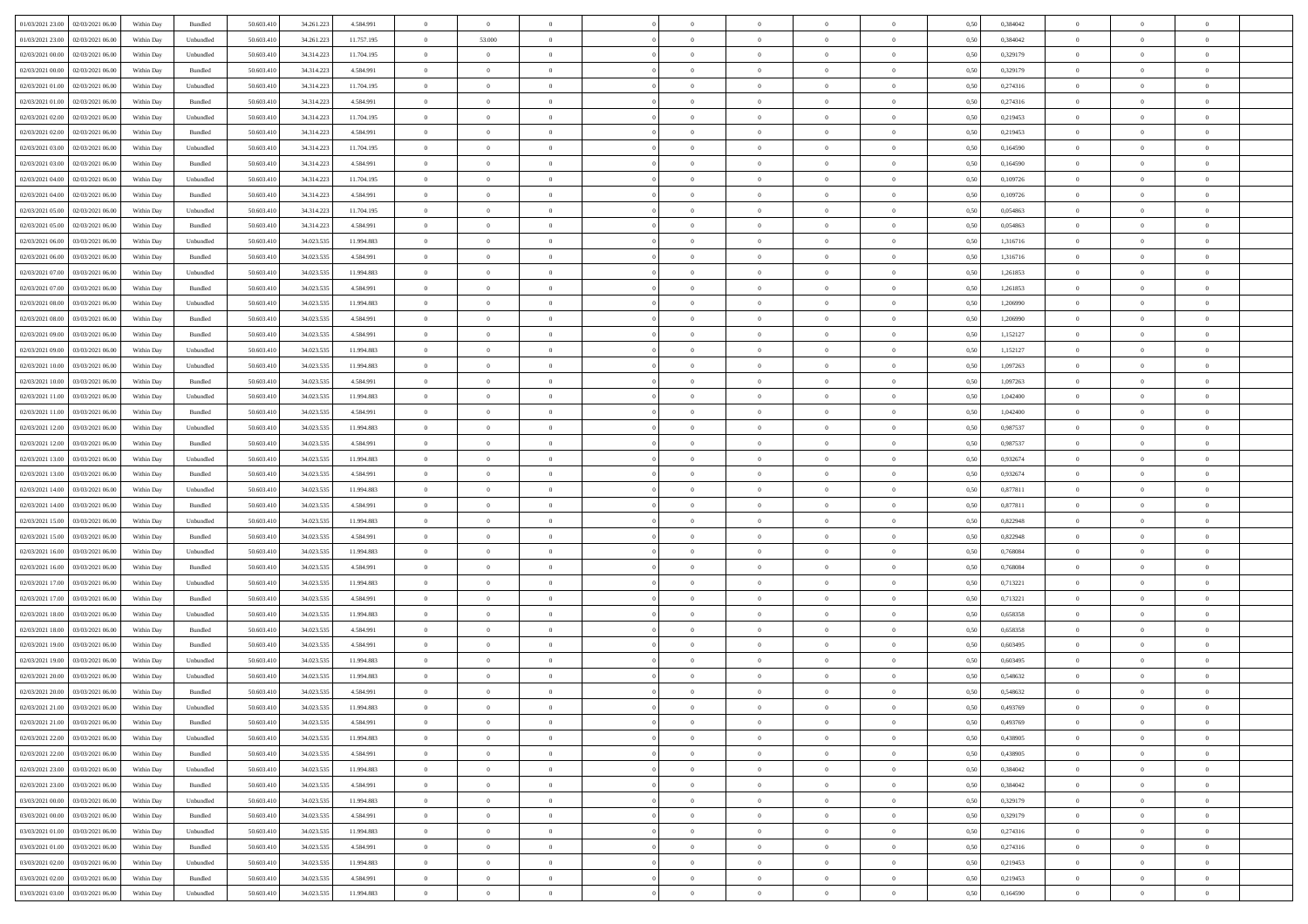| 01/03/2021 23:00 02/03/2021 06:00                       |            |                             | 50.603.410 |            |            | $\overline{0}$ | $\overline{0}$ |                | $\overline{0}$ | $\theta$       |                | $\theta$       |      | 0,384042 | $\theta$       | $\theta$       | $\overline{0}$ |  |
|---------------------------------------------------------|------------|-----------------------------|------------|------------|------------|----------------|----------------|----------------|----------------|----------------|----------------|----------------|------|----------|----------------|----------------|----------------|--|
|                                                         | Within Day | Bundled                     |            | 34.261.223 | 4.584.991  |                |                |                |                |                |                |                | 0,50 |          |                |                |                |  |
| 01/03/2021 23:00<br>02/03/2021 06:00                    | Within Day | Unbundled                   | 50.603.41  | 34.261.22  | 11.757.195 | $\bf{0}$       | 53.000         | $\bf{0}$       | $\overline{0}$ | $\overline{0}$ | $\overline{0}$ | $\bf{0}$       | 0,50 | 0,384042 | $\,$ 0 $\,$    | $\bf{0}$       | $\overline{0}$ |  |
| 02/03/2021 00:00<br>02/03/2021 06:00                    | Within Day | Unbundled                   | 50.603.41  | 34.314.223 | 11.704.195 | $\overline{0}$ | $\overline{0}$ | $\overline{0}$ | $\bf{0}$       | $\bf{0}$       | $\overline{0}$ | $\bf{0}$       | 0.50 | 0,329179 | $\bf{0}$       | $\overline{0}$ | $\overline{0}$ |  |
| 02/03/2021 00:00<br>02/03/2021 06:00                    | Within Day | Bundled                     | 50.603.41  | 34.314.223 | 4.584.991  | $\overline{0}$ | $\bf{0}$       | $\overline{0}$ | $\theta$       | $\theta$       | $\overline{0}$ | $\bf{0}$       | 0,50 | 0,329179 | $\theta$       | $\theta$       | $\overline{0}$ |  |
| 02/03/2021 01:00<br>02/03/2021 06.00                    | Within Day | Unbundled                   | 50.603.41  | 34.314.223 | 11.704.195 | $\bf{0}$       | $\overline{0}$ | $\bf{0}$       | $\overline{0}$ | $\theta$       | $\overline{0}$ | $\bf{0}$       | 0,50 | 0,274316 | $\,$ 0 $\,$    | $\bf{0}$       | $\overline{0}$ |  |
| 02/03/2021 01:00<br>02/03/2021 06:00                    |            | Bundled                     | 50.603.41  | 34.314.223 | 4.584.991  | $\overline{0}$ | $\overline{0}$ | $\overline{0}$ | $\bf{0}$       | $\overline{0}$ | $\theta$       | $\bf{0}$       | 0.50 | 0,274316 | $\,$ 0 $\,$    | $\theta$       | $\overline{0}$ |  |
|                                                         | Within Day |                             |            |            |            |                |                |                |                |                |                |                |      |          |                |                |                |  |
| 02/03/2021 02:00<br>02/03/2021 06:00                    | Within Day | Unbundled                   | 50.603.41  | 34.314.223 | 11.704.195 | $\overline{0}$ | $\overline{0}$ | $\overline{0}$ | $\overline{0}$ | $\overline{0}$ | $\overline{0}$ | $\bf{0}$       | 0,50 | 0,219453 | $\,$ 0 $\,$    | $\theta$       | $\overline{0}$ |  |
| 02/03/2021 02:00<br>02/03/2021 06.00                    | Within Day | Bundled                     | 50.603.41  | 34.314.22  | 4.584.991  | $\bf{0}$       | $\bf{0}$       | $\bf{0}$       | $\overline{0}$ | $\overline{0}$ | $\overline{0}$ | $\bf{0}$       | 0,50 | 0,219453 | $\,$ 0 $\,$    | $\bf{0}$       | $\overline{0}$ |  |
| 02/03/2021 03:00<br>02/03/2021 06:00                    | Within Day | Unbundled                   | 50.603.41  | 34.314.22  | 11.704.195 | $\overline{0}$ | $\bf{0}$       | $\overline{0}$ | $\bf{0}$       | $\overline{0}$ | $\overline{0}$ | $\bf{0}$       | 0.50 | 0.164590 | $\bf{0}$       | $\overline{0}$ | $\overline{0}$ |  |
| 02/03/2021 03:00<br>02/03/2021 06:00                    | Within Day | Bundled                     | 50.603.410 | 34.314.223 | 4.584.991  | $\bf{0}$       | $\bf{0}$       | $\overline{0}$ | $\overline{0}$ | $\overline{0}$ | $\overline{0}$ | $\bf{0}$       | 0,50 | 0,164590 | $\,$ 0 $\,$    | $\bf{0}$       | $\overline{0}$ |  |
| 02/03/2021 04:00<br>02/03/2021 06.00                    | Within Day | Unbundled                   | 50.603.41  | 34.314.223 | 11.704.195 | $\bf{0}$       | $\overline{0}$ | $\bf{0}$       | $\bf{0}$       | $\bf{0}$       | $\overline{0}$ | $\bf{0}$       | 0,50 | 0,109726 | $\,$ 0 $\,$    | $\bf{0}$       | $\overline{0}$ |  |
| 02/03/2021 04:00<br>02/03/2021 06:00                    | Within Day | Bundled                     | 50.603.41  | 34.314.223 | 4.584.991  | $\overline{0}$ | $\bf{0}$       | $\overline{0}$ | $\overline{0}$ | $\bf{0}$       | $\overline{0}$ | $\bf{0}$       | 0.50 | 0.109726 | $\bf{0}$       | $\overline{0}$ | $\bf{0}$       |  |
| 02/03/2021 05:00<br>02/03/2021 06:00                    | Within Day | Unbundled                   | 50.603.41  | 34.314.223 | 11.704.195 | $\overline{0}$ | $\overline{0}$ | $\overline{0}$ | $\theta$       | $\theta$       | $\overline{0}$ | $\bf{0}$       | 0,50 | 0,054863 | $\,$ 0 $\,$    | $\theta$       | $\overline{0}$ |  |
|                                                         |            |                             |            |            |            |                |                |                |                |                |                |                |      |          |                |                |                |  |
| 02/03/2021 05:00<br>02/03/2021 06.00                    | Within Day | Bundled                     | 50.603.41  | 34.314.223 | 4.584.991  | $\bf{0}$       | $\overline{0}$ | $\bf{0}$       | $\overline{0}$ | $\theta$       | $\overline{0}$ | $\bf{0}$       | 0,50 | 0,054863 | $\,$ 0 $\,$    | $\bf{0}$       | $\overline{0}$ |  |
| 02/03/2021 06:00<br>03/03/2021 06:00                    | Within Day | Unbundled                   | 50.603.41  | 34.023.53  | 11.994.883 | $\overline{0}$ | $\overline{0}$ | $\overline{0}$ | $\bf{0}$       | $\overline{0}$ | $\Omega$       | $\bf{0}$       | 0.50 | 1.316716 | $\,$ 0 $\,$    | $\theta$       | $\overline{0}$ |  |
| 02/03/2021 06:00<br>03/03/2021 06:00                    | Within Day | Bundled                     | 50.603.410 | 34.023.535 | 4.584.991  | $\overline{0}$ | $\overline{0}$ | $\overline{0}$ | $\overline{0}$ | $\overline{0}$ | $\overline{0}$ | $\bf{0}$       | 0,50 | 1,316716 | $\theta$       | $\theta$       | $\overline{0}$ |  |
| 02/03/2021 07:00<br>03/03/2021 06.00                    | Within Day | Unbundled                   | 50.603.41  | 34.023.53  | 11.994.883 | $\bf{0}$       | $\overline{0}$ | $\bf{0}$       | $\overline{0}$ | $\bf{0}$       | $\overline{0}$ | $\bf{0}$       | 0,50 | 1,261853 | $\,$ 0 $\,$    | $\bf{0}$       | $\overline{0}$ |  |
| 02/03/2021 07:00<br>03/03/2021 06:00                    | Within Day | Bundled                     | 50.603.41  | 34.023.53  | 4.584.991  | $\overline{0}$ | $\bf{0}$       | $\overline{0}$ | $\bf{0}$       | $\overline{0}$ | $\overline{0}$ | $\bf{0}$       | 0.50 | 1.261853 | $\bf{0}$       | $\overline{0}$ | $\overline{0}$ |  |
| 02/03/2021 08:00<br>03/03/2021 06:00                    | Within Day | Unbundled                   | 50.603.410 | 34.023.535 | 11.994.883 | $\bf{0}$       | $\bf{0}$       | $\overline{0}$ | $\overline{0}$ | $\overline{0}$ | $\overline{0}$ | $\bf{0}$       | 0,50 | 1,206990 | $\,$ 0 $\,$    | $\bf{0}$       | $\overline{0}$ |  |
| 02/03/2021 08:00<br>03/03/2021 06.00                    | Within Day | Bundled                     | 50.603.41  | 34.023.53  | 4.584.991  | $\bf{0}$       | $\bf{0}$       | $\bf{0}$       | $\bf{0}$       | $\overline{0}$ | $\overline{0}$ | $\bf{0}$       | 0,50 | 1,206990 | $\,$ 0 $\,$    | $\bf{0}$       | $\overline{0}$ |  |
| 02/03/2021 09:00<br>03/03/2021 06:00                    | Within Day | Bundled                     | 50,603.41  | 34.023.535 | 4.584.991  | $\overline{0}$ | $\bf{0}$       | $\overline{0}$ | $\overline{0}$ | $\bf{0}$       | $\overline{0}$ | $\bf{0}$       | 0.50 | 1,152127 | $\bf{0}$       | $\overline{0}$ | $\bf{0}$       |  |
|                                                         |            |                             |            |            |            |                |                |                |                |                |                |                |      |          |                |                |                |  |
| 02/03/2021 09:00<br>03/03/2021 06:00                    | Within Day | Unbundled                   | 50.603.410 | 34.023.535 | 11.994.883 | $\overline{0}$ | $\overline{0}$ | $\overline{0}$ | $\theta$       | $\theta$       | $\overline{0}$ | $\bf{0}$       | 0,50 | 1,152127 | $\theta$       | $\theta$       | $\overline{0}$ |  |
| 02/03/2021 10:00<br>03/03/2021 06.00                    | Within Day | Unbundled                   | 50.603.41  | 34.023.53  | 11.994.883 | $\bf{0}$       | $\overline{0}$ | $\bf{0}$       | $\bf{0}$       | $\overline{0}$ | $\overline{0}$ | $\bf{0}$       | 0,50 | 1,097263 | $\,$ 0 $\,$    | $\bf{0}$       | $\overline{0}$ |  |
| 02/03/2021 10:00<br>03/03/2021 06:00                    | Within Day | Bundled                     | 50.603.41  | 34.023.53  | 4.584.991  | $\overline{0}$ | $\overline{0}$ | $\overline{0}$ | $\overline{0}$ | $\overline{0}$ | $\theta$       | $\bf{0}$       | 0.50 | 1.097263 | $\,$ 0 $\,$    | $\theta$       | $\overline{0}$ |  |
| 02/03/2021 11:00<br>03/03/2021 06:00                    | Within Day | Unbundled                   | 50.603.410 | 34.023.535 | 11.994.883 | $\overline{0}$ | $\overline{0}$ | $\overline{0}$ | $\overline{0}$ | $\overline{0}$ | $\overline{0}$ | $\bf{0}$       | 0,50 | 1,042400 | $\,$ 0 $\,$    | $\theta$       | $\overline{0}$ |  |
| 02/03/2021 11:00<br>03/03/2021 06.00                    | Within Day | Bundled                     | 50.603.41  | 34.023.53  | 4.584.991  | $\bf{0}$       | $\overline{0}$ | $\bf{0}$       | $\overline{0}$ | $\bf{0}$       | $\overline{0}$ | $\bf{0}$       | 0,50 | 1,042400 | $\,$ 0 $\,$    | $\bf{0}$       | $\overline{0}$ |  |
| 02/03/2021 12:00<br>03/03/2021 06:00                    | Within Day | Unbundled                   | 50,603.41  | 34.023.53  | 11.994.883 | $\overline{0}$ | $\bf{0}$       | $\overline{0}$ | $\bf{0}$       | $\overline{0}$ | $\overline{0}$ | $\bf{0}$       | 0.50 | 0.987537 | $\bf{0}$       | $\overline{0}$ | $\overline{0}$ |  |
| 02/03/2021 12:00<br>03/03/2021 06:00                    | Within Day | Bundled                     | 50.603.410 | 34.023.535 | 4.584.991  | $\overline{0}$ | $\bf{0}$       | $\overline{0}$ | $\overline{0}$ | $\overline{0}$ | $\overline{0}$ | $\bf{0}$       | 0,50 | 0,987537 | $\theta$       | $\theta$       | $\overline{0}$ |  |
|                                                         |            |                             |            |            |            |                |                |                |                |                |                |                |      |          |                |                |                |  |
| 02/03/2021 13:00<br>03/03/2021 06.00                    | Within Day | Unbundled                   | 50.603.41  | 34.023.535 | 11.994.883 | $\bf{0}$       | $\bf{0}$       | $\bf{0}$       | $\bf{0}$       | $\overline{0}$ | $\overline{0}$ | $\bf{0}$       | 0,50 | 0,932674 | $\,$ 0 $\,$    | $\bf{0}$       | $\overline{0}$ |  |
| 02/03/2021 13:00<br>03/03/2021 06:00                    | Within Day | Bundled                     | 50.603.41  | 34.023.53  | 4.584.991  | $\overline{0}$ | $\bf{0}$       | $\overline{0}$ | $\bf{0}$       | $\bf{0}$       | $\overline{0}$ | $\bf{0}$       | 0.50 | 0.932674 | $\bf{0}$       | $\overline{0}$ | $\bf{0}$       |  |
| 02/03/2021 14:00<br>03/03/2021 06:00                    | Within Day | Unbundled                   | 50.603.41  | 34.023.535 | 11.994.883 | $\overline{0}$ | $\overline{0}$ | $\overline{0}$ | $\overline{0}$ | $\overline{0}$ | $\overline{0}$ | $\bf{0}$       | 0.5( | 0,877811 | $\theta$       | $\theta$       | $\overline{0}$ |  |
| 02/03/2021 14:00<br>03/03/2021 06.00                    | Within Day | Bundled                     | 50.603.41  | 34.023.53  | 4.584.991  | $\bf{0}$       | $\overline{0}$ | $\bf{0}$       | $\bf{0}$       | $\overline{0}$ | $\overline{0}$ | $\bf{0}$       | 0,50 | 0,877811 | $\,$ 0 $\,$    | $\bf{0}$       | $\overline{0}$ |  |
| 02/03/2021 15:00<br>03/03/2021 06:00                    | Within Day | Unbundled                   | 50,603.41  | 34.023.53  | 11.994.883 | $\overline{0}$ | $\bf{0}$       | $\overline{0}$ | $\bf{0}$       | $\overline{0}$ | $\Omega$       | $\bf{0}$       | 0.50 | 0.822948 | $\,$ 0 $\,$    | $\theta$       | $\overline{0}$ |  |
| 02/03/2021 15:00<br>03/03/2021 06:00                    | Within Dav | Bundled                     | 50.603.41  | 34.023.535 | 4.584.991  | $\overline{0}$ | $\overline{0}$ | $\overline{0}$ | $\overline{0}$ | $\theta$       | $\overline{0}$ | $\bf{0}$       | 0.50 | 0,822948 | $\theta$       | $\theta$       | $\overline{0}$ |  |
| 02/03/2021 16:00<br>03/03/2021 06.00                    | Within Day | Unbundled                   | 50.603.41  | 34.023.53  | 11.994.883 | $\bf{0}$       | $\bf{0}$       | $\bf{0}$       | $\bf{0}$       | $\bf{0}$       | $\overline{0}$ | $\bf{0}$       | 0,50 | 0,768084 | $\,$ 0 $\,$    | $\bf{0}$       | $\overline{0}$ |  |
| 02/03/2021 16:00<br>03/03/2021 06:00                    | Within Day | Bundled                     | 50,603.41  | 34.023.53  | 4.584.991  | $\overline{0}$ | $\bf{0}$       | $\overline{0}$ | $\bf{0}$       | $\overline{0}$ | $\overline{0}$ | $\bf{0}$       | 0.50 | 0.768084 | $\bf{0}$       | $\overline{0}$ | $\overline{0}$ |  |
| 02/03/2021 17:00<br>03/03/2021 06:00                    | Within Day | Unbundled                   | 50.603.41  | 34.023.535 | 11.994.883 | $\overline{0}$ | $\overline{0}$ | $\overline{0}$ | $\overline{0}$ | $\overline{0}$ | $\overline{0}$ | $\bf{0}$       | 0.50 | 0,713221 | $\theta$       | $\theta$       | $\overline{0}$ |  |
|                                                         |            |                             |            |            |            |                |                |                |                |                |                |                |      |          |                |                |                |  |
| 02/03/2021 17:00<br>03/03/2021 06.00                    | Within Day | Bundled                     | 50.603.41  | 34.023.53  | 4.584.991  | $\bf{0}$       | $\bf{0}$       | $\bf{0}$       | $\bf{0}$       | $\overline{0}$ | $\overline{0}$ | $\bf{0}$       | 0,50 | 0,713221 | $\,$ 0 $\,$    | $\bf{0}$       | $\overline{0}$ |  |
| 02/03/2021 18:00<br>03/03/2021 06:00                    | Within Day | Unbundled                   | 50.603.41  | 34.023.53  | 11.994.883 | $\overline{0}$ | $\bf{0}$       | $\overline{0}$ | $\overline{0}$ | $\bf{0}$       | $\overline{0}$ | $\bf{0}$       | 0.50 | 0.658358 | $\bf{0}$       | $\overline{0}$ | $\overline{0}$ |  |
| 02/03/2021 18:00<br>03/03/2021 06:00                    | Within Day | Bundled                     | 50.603.41  | 34.023.535 | 4.584.991  | $\overline{0}$ | $\overline{0}$ | $\overline{0}$ | $\overline{0}$ | $\overline{0}$ | $\overline{0}$ | $\bf{0}$       | 0.5( | 0,658358 | $\theta$       | $\theta$       | $\overline{0}$ |  |
| 02/03/2021 19:00<br>03/03/2021 06.00                    | Within Day | Bundled                     | 50.603.41  | 34.023.53  | 4.584.991  | $\bf{0}$       | $\bf{0}$       | $\bf{0}$       | $\bf{0}$       | $\overline{0}$ | $\overline{0}$ | $\bf{0}$       | 0,50 | 0,603495 | $\,$ 0 $\,$    | $\bf{0}$       | $\overline{0}$ |  |
| 02/03/2021 19:00<br>03/03/2021 06:00                    | Within Day | Unbundled                   | 50.603.41  | 34.023.53  | 11.994.883 | $\overline{0}$ | $\overline{0}$ | $\overline{0}$ | $\bf{0}$       | $\overline{0}$ | $\Omega$       | $\bf{0}$       | 0.50 | 0.603495 | $\bf{0}$       | $\theta$       | $\overline{0}$ |  |
| 02/03/2021 20:00<br>03/03/2021 06:00                    | Within Dav | Unbundled                   | 50.603.41  | 34.023.535 | 11.994.883 | $\overline{0}$ | $\overline{0}$ | $\Omega$       | $\overline{0}$ | $\theta$       | $\Omega$       | $\overline{0}$ | 0.5( | 0,548632 | $\theta$       | $\theta$       | $\overline{0}$ |  |
| 02/03/2021 20:00<br>03/03/2021 06:00                    | Within Day | Bundled                     | 50.603.41  | 34.023.53  | 4.584.991  | $\bf{0}$       | $\bf{0}$       | $\overline{0}$ | $\bf{0}$       | $\bf{0}$       | $\overline{0}$ | $\bf{0}$       | 0,50 | 0,548632 | $\,$ 0 $\,$    | $\bf{0}$       | $\overline{0}$ |  |
| $02/03/2021\,\, 21.00 \quad \  \  03/03/2021\,\, 06.00$ | Within Day | $\ensuremath{\mathsf{Unb}}$ | 50.603.410 | 34.023.535 | 11 994 883 | $\bf{0}$       | $\Omega$       |                | $\Omega$       |                |                |                | 0,50 | 0.493769 | $\theta$       | $\overline{0}$ |                |  |
| 02/03/2021 21:00 03/03/2021 06:00                       | Within Day | Bundled                     | 50.603.410 | 34.023.535 | 4.584.991  | $\overline{0}$ | $\overline{0}$ | $\Omega$       | $\theta$       | $\overline{0}$ | $\overline{0}$ | $\bf{0}$       | 0,50 | 0,493769 | $\theta$       | $\theta$       | $\overline{0}$ |  |
|                                                         |            |                             |            |            |            |                |                |                |                |                |                |                |      |          |                |                |                |  |
| 02/03/2021 22:00<br>03/03/2021 06:00                    | Within Day | Unbundled                   | 50.603.41  | 34.023.535 | 11.994.883 | $\overline{0}$ | $\bf{0}$       | $\overline{0}$ | $\overline{0}$ | $\bf{0}$       | $\overline{0}$ | $\bf{0}$       | 0,50 | 0,438905 | $\bf{0}$       | $\overline{0}$ | $\bf{0}$       |  |
| 02/03/2021 22:00 03/03/2021 06:00                       | Within Day | Bundled                     | 50,603.410 | 34.023.535 | 4.584.991  | $\overline{0}$ | $\bf{0}$       | $\overline{0}$ | $\overline{0}$ | $\mathbf{0}$   | $\overline{0}$ | $\,$ 0 $\,$    | 0.50 | 0.438905 | $\overline{0}$ | $\bf{0}$       | $\,$ 0 $\,$    |  |
| 02/03/2021 23:00 03/03/2021 06:00                       | Within Day | Unbundled                   | 50.603.410 | 34.023.535 | 11.994.883 | $\overline{0}$ | $\overline{0}$ | $\overline{0}$ | $\overline{0}$ | $\overline{0}$ | $\overline{0}$ | $\bf{0}$       | 0,50 | 0,384042 | $\overline{0}$ | $\theta$       | $\overline{0}$ |  |
| 02/03/2021 23:00<br>03/03/2021 06:00                    | Within Day | Bundled                     | 50.603.41  | 34.023.535 | 4.584.991  | $\overline{0}$ | $\bf{0}$       | $\overline{0}$ | $\overline{0}$ | $\overline{0}$ | $\bf{0}$       | $\bf{0}$       | 0,50 | 0,384042 | $\bf{0}$       | $\overline{0}$ | $\overline{0}$ |  |
| 03/03/2021 00:00<br>03/03/2021 06:00                    | Within Day | Unbundled                   | 50,603.410 | 34.023.535 | 11.994.883 | $\overline{0}$ | $\bf{0}$       | $\overline{0}$ | $\overline{0}$ | $\overline{0}$ | $\overline{0}$ | $\bf{0}$       | 0.50 | 0,329179 | $\,$ 0 $\,$    | $\theta$       | $\,$ 0         |  |
| 03/03/2021 00:00<br>03/03/2021 06:00                    | Within Dav | Bundled                     | 50.603.410 | 34.023.535 | 4.584.991  | $\overline{0}$ | $\overline{0}$ | $\overline{0}$ | $\overline{0}$ | $\overline{0}$ | $\overline{0}$ | $\bf{0}$       | 0,50 | 0,329179 | $\overline{0}$ | $\theta$       | $\overline{0}$ |  |
| 03/03/2021 06:00<br>03/03/2021 01:00                    | Within Day | Unbundled                   | 50.603.41  | 34.023.535 | 11.994.883 | $\overline{0}$ | $\overline{0}$ | $\overline{0}$ | $\overline{0}$ | $\overline{0}$ | $\overline{0}$ | $\bf{0}$       | 0,50 | 0,274316 | $\bf{0}$       | $\overline{0}$ | $\overline{0}$ |  |
|                                                         |            |                             |            |            |            |                |                |                |                |                |                |                |      |          |                |                |                |  |
| 03/03/2021 01:00 03/03/2021 06:00                       | Within Day | Bundled                     | 50,603.410 | 34.023.535 | 4.584.991  | $\overline{0}$ | $\overline{0}$ | $\overline{0}$ | $\overline{0}$ | $\overline{0}$ | $\overline{0}$ | $\bf{0}$       | 0.50 | 0,274316 | $\mathbf{0}$   | $\bf{0}$       | $\,$ 0         |  |
| 03/03/2021 02:00 03/03/2021 06:00                       | Within Dav | Unbundled                   | 50.603.410 | 34.023.535 | 11.994.883 | $\overline{0}$ | $\overline{0}$ | $\overline{0}$ | $\overline{0}$ | $\overline{0}$ | $\overline{0}$ | $\bf{0}$       | 0,50 | 0,219453 | $\overline{0}$ | $\theta$       | $\overline{0}$ |  |
| 03/03/2021 02:00<br>03/03/2021 06:00                    | Within Day | Bundled                     | 50.603.41  | 34.023.535 | 4.584.991  | $\overline{0}$ | $\bf{0}$       | $\overline{0}$ | $\bf{0}$       | $\overline{0}$ | $\bf{0}$       | $\bf{0}$       | 0,50 | 0,219453 | $\bf{0}$       | $\bf{0}$       | $\bf{0}$       |  |
| 03/03/2021 03:00 03/03/2021 06:00                       | Within Day | Unbundled                   | 50.603.410 | 34.023.535 | 11.994.883 | $\overline{0}$ | $\bf{0}$       | $\overline{0}$ | $\overline{0}$ | $\,$ 0 $\,$    | $\overline{0}$ | $\bf{0}$       | 0,50 | 0,164590 | $\overline{0}$ | $\,$ 0 $\,$    | $\,$ 0 $\,$    |  |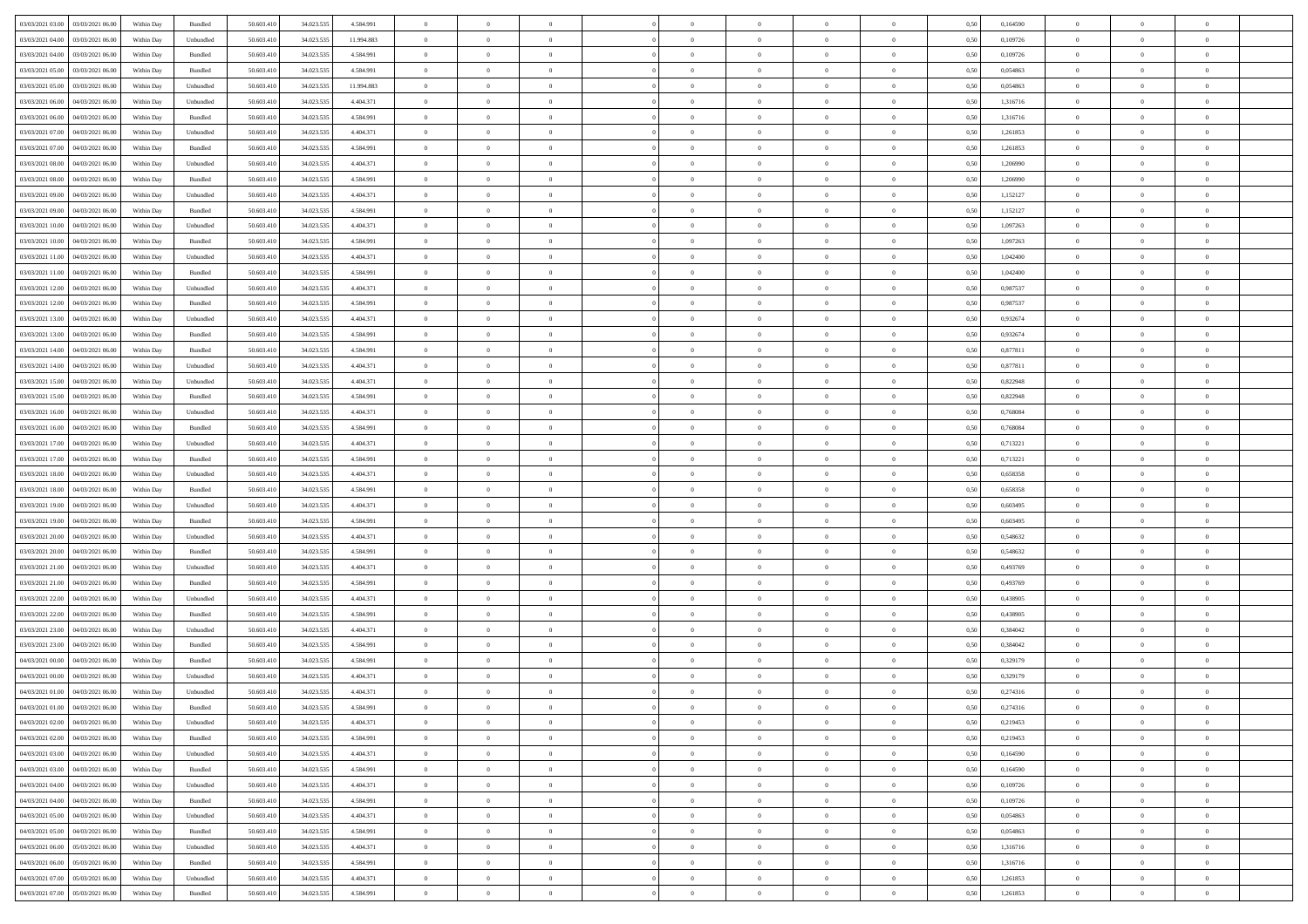| 03/03/2021 03:00                  | 03/03/2021 06:00 | Within Day | Bundled            | 50.603.410 | 34.023.535 | 4.584.991  | $\overline{0}$ | $\theta$       |                | $\overline{0}$ | $\overline{0}$ | $\overline{0}$ | $\theta$       | 0,50 | 0,164590 | $\theta$       | $\theta$       | $\overline{0}$           |  |
|-----------------------------------|------------------|------------|--------------------|------------|------------|------------|----------------|----------------|----------------|----------------|----------------|----------------|----------------|------|----------|----------------|----------------|--------------------------|--|
| 03/03/2021 04:00                  | 03/03/2021 06.00 | Within Day | Unbundled          | 50.603.41  | 34.023.535 | 11.994.883 | $\overline{0}$ | $\overline{0}$ | $\overline{0}$ | $\overline{0}$ | $\,$ 0         | $\overline{0}$ | $\bf{0}$       | 0,50 | 0,109726 | $\,$ 0 $\,$    | $\overline{0}$ | $\overline{0}$           |  |
|                                   |                  |            |                    |            |            |            |                |                |                |                |                |                |                |      |          |                |                |                          |  |
| 03/03/2021 04:00                  | 03/03/2021 06:00 | Within Day | Bundled            | 50.603.410 | 34.023.535 | 4.584.991  | $\overline{0}$ | $\overline{0}$ | $\overline{0}$ | $\overline{0}$ | $\bf{0}$       | $\overline{0}$ | $\mathbf{0}$   | 0.50 | 0.109726 | $\bf{0}$       | $\overline{0}$ | $\overline{0}$           |  |
| 03/03/2021 05:00                  | 03/03/2021 06:00 | Within Day | Bundled            | 50.603.410 | 34.023.535 | 4.584.991  | $\overline{0}$ | $\overline{0}$ | $\overline{0}$ | $\overline{0}$ | $\,$ 0         | $\overline{0}$ | $\overline{0}$ | 0,50 | 0,054863 | $\,$ 0 $\,$    | $\overline{0}$ | $\overline{0}$           |  |
| 03/03/2021 05:00                  | 03/03/2021 06.00 | Within Day | Unbundled          | 50.603.41  | 34.023.535 | 11.994.883 | $\overline{0}$ | $\theta$       | $\overline{0}$ |                | $\bf{0}$       | $\overline{0}$ | $\bf{0}$       | 0,50 | 0,054863 | $\,$ 0 $\,$    | $\overline{0}$ | $\overline{0}$           |  |
| 03/03/2021 06:00                  | 04/03/2021 06:00 | Within Day | Unbundled          | 50.603.410 | 34.023.535 | 4.404.371  | $\overline{0}$ | $\overline{0}$ | $\overline{0}$ | $\overline{0}$ | $\bf{0}$       | $\overline{0}$ | $\bf{0}$       | 0.50 | 1.316716 | $\,0\,$        | $\theta$       | $\overline{0}$           |  |
| 03/03/2021 06:00                  | 04/03/2021 06.00 | Within Day | Bundled            | 50.603.410 | 34.023.535 | 4.584.991  | $\overline{0}$ | $\overline{0}$ | $\overline{0}$ | $\overline{0}$ | $\bf{0}$       | $\overline{0}$ | $\overline{0}$ | 0,50 | 1,316716 | $\,$ 0 $\,$    | $\theta$       | $\overline{0}$           |  |
| 03/03/2021 07:00                  | 04/03/2021 06.00 | Within Day | Unbundled          | 50.603.41  | 34.023.535 | 4.404.371  | $\overline{0}$ | $\theta$       | $\overline{0}$ |                | $\,$ 0         | $\overline{0}$ | $\bf{0}$       | 0,50 | 1,261853 | $\,$ 0 $\,$    | $\overline{0}$ | $\overline{0}$           |  |
| 03/03/2021 07:00                  | 04/03/2021 06:00 | Within Day | Bundled            | 50.603.410 | 34.023.535 | 4.584.991  | $\overline{0}$ | $\overline{0}$ | $\overline{0}$ | $\overline{0}$ | $\bf{0}$       | $\overline{0}$ | $\bf{0}$       | 0.50 | 1.261853 | $\,0\,$        | $\overline{0}$ | $\overline{0}$           |  |
| 03/03/2021 08:00                  | 04/03/2021 06.00 | Within Day | Unbundled          | 50.603.410 | 34.023.535 | 4.404.371  | $\overline{0}$ | $\overline{0}$ | $\overline{0}$ | $\overline{0}$ | $\bf{0}$       | $\overline{0}$ | $\bf{0}$       | 0,50 | 1,206990 | $\,$ 0 $\,$    | $\overline{0}$ | $\overline{0}$           |  |
| 03/03/2021 08:00                  | 04/03/2021 06.00 | Within Day | Bundled            | 50.603.41  | 34.023.535 | 4.584.991  | $\overline{0}$ | $\theta$       | $\overline{0}$ | $\overline{0}$ | $\,$ 0         | $\overline{0}$ | $\bf{0}$       | 0,50 | 1,206990 | $\,$ 0 $\,$    | $\overline{0}$ | $\overline{0}$           |  |
|                                   |                  |            |                    |            |            |            |                |                |                |                |                |                |                |      |          |                |                |                          |  |
| 03/03/2021 09:00                  | 04/03/2021 06:00 | Within Day | Unbundled          | 50.603.410 | 34.023.535 | 4.404.371  | $\overline{0}$ | $\overline{0}$ | $\overline{0}$ | $\overline{0}$ | $\bf{0}$       | $\overline{0}$ | $\mathbf{0}$   | 0.50 | 1,152127 | $\,$ 0 $\,$    | $\overline{0}$ | $\bf{0}$                 |  |
| 03/03/2021 09:00                  | 04/03/2021 06.00 | Within Day | Bundled            | 50.603.410 | 34.023.535 | 4.584.991  | $\overline{0}$ | $\overline{0}$ | $\overline{0}$ | $\overline{0}$ | $\,$ 0         | $\overline{0}$ | $\overline{0}$ | 0,50 | 1,152127 | $\,$ 0 $\,$    | $\overline{0}$ | $\overline{0}$           |  |
| 03/03/2021 10:00                  | 04/03/2021 06.00 | Within Day | Unbundled          | 50.603.41  | 34.023.535 | 4.404.371  | $\overline{0}$ | $\theta$       | $\overline{0}$ |                | $\bf{0}$       | $\overline{0}$ | $\bf{0}$       | 0,50 | 1,097263 | $\,$ 0 $\,$    | $\overline{0}$ | $\overline{0}$           |  |
| 03/03/2021 10:00                  | 04/03/2021 06:00 | Within Day | Bundled            | 50.603.410 | 34.023.535 | 4.584.991  | $\overline{0}$ | $\overline{0}$ | $\overline{0}$ | $\overline{0}$ | $\bf{0}$       | $\overline{0}$ | $\bf{0}$       | 0.50 | 1.097263 | $\,0\,$        | $\theta$       | $\overline{0}$           |  |
| 03/03/2021 11:00                  | 04/03/2021 06.00 | Within Day | Unbundled          | 50.603.410 | 34.023.535 | 4.404.371  | $\overline{0}$ | $\overline{0}$ | $\overline{0}$ | $\overline{0}$ | $\,$ 0         | $\overline{0}$ | $\overline{0}$ | 0,50 | 1,042400 | $\,$ 0 $\,$    | $\theta$       | $\overline{0}$           |  |
| 03/03/2021 11:00                  | 04/03/2021 06.00 | Within Day | Bundled            | 50.603.41  | 34.023.535 | 4.584.991  | $\overline{0}$ | $\theta$       | $\overline{0}$ |                | $\,$ 0         | $\overline{0}$ | $\bf{0}$       | 0,50 | 1,042400 | $\,$ 0 $\,$    | $\overline{0}$ | $\overline{0}$           |  |
| 03/03/2021 12:00                  | 04/03/2021 06:00 | Within Day | Unbundled          | 50.603.410 | 34.023.535 | 4.404.371  | $\overline{0}$ | $\overline{0}$ | $\overline{0}$ | $\overline{0}$ | $\bf{0}$       | $\overline{0}$ | $\bf{0}$       | 0.50 | 0.987537 | $\,0\,$        | $\overline{0}$ | $\bf{0}$                 |  |
| 03/03/2021 12:00                  | 04/03/2021 06.00 | Within Day | Bundled            | 50.603.410 | 34.023.535 | 4.584.991  | $\overline{0}$ | $\overline{0}$ | $\overline{0}$ | $\overline{0}$ | $\,$ 0         | $\overline{0}$ | $\bf{0}$       | 0,50 | 0,987537 | $\,$ 0 $\,$    | $\overline{0}$ | $\overline{0}$           |  |
| 03/03/2021 13:00                  | 04/03/2021 06.00 | Within Day | Unbundled          | 50.603.41  | 34.023.535 | 4.404.371  | $\bf{0}$       | $\,$ 0 $\,$    | $\overline{0}$ | $\overline{0}$ | $\,$ 0         | $\overline{0}$ | $\bf{0}$       | 0,50 | 0,932674 | $\,$ 0 $\,$    | $\overline{0}$ | $\overline{0}$           |  |
|                                   |                  |            |                    |            |            |            |                |                |                |                |                |                |                |      |          |                |                |                          |  |
| 03/03/2021 13:00                  | 04/03/2021 06:00 | Within Day | Bundled            | 50.603.410 | 34.023.535 | 4.584.991  | $\overline{0}$ | $\overline{0}$ | $\overline{0}$ | $\overline{0}$ | $\bf{0}$       | $\overline{0}$ | $\mathbf{0}$   | 0.50 | 0.932674 | $\,$ 0 $\,$    | $\overline{0}$ | $\bf{0}$                 |  |
| 03/03/2021 14:00                  | 04/03/2021 06.00 | Within Day | Bundled            | 50.603.410 | 34.023.535 | 4.584.991  | $\overline{0}$ | $\overline{0}$ | $\overline{0}$ | $\overline{0}$ | $\,$ 0         | $\overline{0}$ | $\overline{0}$ | 0,50 | 0,877811 | $\,$ 0 $\,$    | $\overline{0}$ | $\overline{0}$           |  |
| 03/03/2021 14:00                  | 04/03/2021 06.00 | Within Day | Unbundled          | 50.603.41  | 34.023.535 | 4.404.371  | $\overline{0}$ | $\theta$       | $\overline{0}$ | $\overline{0}$ | $\,$ 0         | $\overline{0}$ | $\bf{0}$       | 0,50 | 0,877811 | $\,$ 0 $\,$    | $\overline{0}$ | $\overline{0}$           |  |
| 03/03/2021 15:00                  | 04/03/2021 06:00 | Within Day | Unbundled          | 50.603.410 | 34.023.535 | 4.404.371  | $\overline{0}$ | $\overline{0}$ | $\overline{0}$ | $\overline{0}$ | $\bf{0}$       | $\overline{0}$ | $\bf{0}$       | 0.50 | 0.822948 | $\,0\,$        | $\theta$       | $\overline{0}$           |  |
| 03/03/2021 15:00                  | 04/03/2021 06.00 | Within Day | Bundled            | 50.603.410 | 34.023.535 | 4.584.991  | $\overline{0}$ | $\overline{0}$ | $\overline{0}$ | $\overline{0}$ | $\,$ 0         | $\overline{0}$ | $\overline{0}$ | 0,50 | 0,822948 | $\,0\,$        | $\theta$       | $\overline{0}$           |  |
| 03/03/2021 16:00                  | 04/03/2021 06.00 | Within Day | Unbundled          | 50.603.41  | 34.023.535 | 4.404.371  | $\overline{0}$ | $\theta$       | $\overline{0}$ |                | $\,$ 0         | $\overline{0}$ | $\bf{0}$       | 0,50 | 0,768084 | $\,$ 0 $\,$    | $\overline{0}$ | $\overline{0}$           |  |
| 03/03/2021 16:00                  | 04/03/2021 06:00 | Within Day | Bundled            | 50.603.410 | 34.023.535 | 4.584.991  | $\overline{0}$ | $\overline{0}$ | $\overline{0}$ | $\overline{0}$ | $\bf{0}$       | $\overline{0}$ | $\bf{0}$       | 0.50 | 0.768084 | $\,0\,$        | $\overline{0}$ | $\overline{0}$           |  |
| 03/03/2021 17:00                  | 04/03/2021 06.00 | Within Day | Unbundled          | 50.603.410 | 34.023.535 | 4.404.371  | $\overline{0}$ | $\overline{0}$ | $\overline{0}$ | $\overline{0}$ | $\bf{0}$       | $\overline{0}$ | $\bf{0}$       | 0,50 | 0,713221 | $\,$ 0 $\,$    | $\overline{0}$ | $\overline{0}$           |  |
| 03/03/2021 17:00                  | 04/03/2021 06.00 | Within Day | Bundled            | 50.603.41  | 34.023.535 | 4.584.991  | $\overline{0}$ | $\overline{0}$ | $\overline{0}$ | $\overline{0}$ | $\bf{0}$       | $\overline{0}$ | $\bf{0}$       | 0,50 | 0,713221 | $\,$ 0 $\,$    | $\overline{0}$ | $\overline{0}$           |  |
|                                   |                  |            |                    |            |            |            |                |                |                |                |                |                |                |      |          |                |                |                          |  |
| 03/03/2021 18:00                  | 04/03/2021 06:00 | Within Day | Unbundled          | 50.603.410 | 34.023.535 | 4.404.371  | $\overline{0}$ | $\bf{0}$       | $\overline{0}$ | $\overline{0}$ | $\bf{0}$       | $\overline{0}$ | $\mathbf{0}$   | 0.50 | 0.658358 | $\,$ 0 $\,$    | $\overline{0}$ | $\bf{0}$                 |  |
| 03/03/2021 18:00                  | 04/03/2021 06:00 | Within Dav | Bundled            | 50.603.410 | 34.023.535 | 4.584.991  | $\overline{0}$ | $\overline{0}$ | $\overline{0}$ | $\overline{0}$ | $\overline{0}$ | $\overline{0}$ | $\overline{0}$ | 0.50 | 0,658358 | $\theta$       | $\overline{0}$ | $\overline{0}$           |  |
| 03/03/2021 19:00                  | 04/03/2021 06.00 | Within Day | Unbundled          | 50.603.41  | 34.023.535 | 4.404.371  | $\overline{0}$ | $\theta$       | $\overline{0}$ |                | $\,$ 0         | $\overline{0}$ | $\bf{0}$       | 0,50 | 0,603495 | $\,$ 0 $\,$    | $\overline{0}$ | $\overline{0}$           |  |
| 03/03/2021 19:00                  | 04/03/2021 06:00 | Within Day | Bundled            | 50.603.410 | 34.023.535 | 4.584.991  | $\overline{0}$ | $\overline{0}$ | $\overline{0}$ | $\overline{0}$ | $\bf{0}$       | $\overline{0}$ | $\bf{0}$       | 0.50 | 0.603495 | $\,0\,$        | $\theta$       | $\overline{0}$           |  |
| 03/03/2021 20:00                  | 04/03/2021 06:00 | Within Dav | Unbundled          | 50.603.410 | 34.023.535 | 4.404.371  | $\overline{0}$ | $\overline{0}$ | $\Omega$       | $\Omega$       | $\mathbf{0}$   | $\overline{0}$ | $\overline{0}$ | 0.50 | 0,548632 | $\theta$       | $\overline{0}$ | $\overline{0}$           |  |
| 03/03/2021 20:00                  | 04/03/2021 06.00 | Within Day | Bundled            | 50.603.41  | 34.023.535 | 4.584.991  | $\overline{0}$ | $\theta$       | $\overline{0}$ |                | $\,$ 0         | $\overline{0}$ | $\bf{0}$       | 0,50 | 0,548632 | $\,$ 0 $\,$    | $\overline{0}$ | $\overline{0}$           |  |
| 03/03/2021 21:00                  | 04/03/2021 06:00 | Within Day | Unbundled          | 50.603.410 | 34.023.535 | 4.404.371  | $\overline{0}$ | $\overline{0}$ | $\overline{0}$ | $\overline{0}$ | $\bf{0}$       | $\overline{0}$ | $\bf{0}$       | 0.50 | 0.493769 | $\,0\,$        | $\overline{0}$ | $\overline{\phantom{a}}$ |  |
| 03/03/2021 21:00                  | 04/03/2021 06:00 | Within Dav | Bundled            | 50.603.410 | 34.023.535 | 4.584.991  | $\overline{0}$ | $\overline{0}$ | $\overline{0}$ | $\overline{0}$ | $\overline{0}$ | $\overline{0}$ | $\overline{0}$ | 0.50 | 0,493769 | $\theta$       | $\overline{0}$ | $\overline{0}$           |  |
| 03/03/2021 22.00                  | 04/03/2021 06.00 | Within Day | Unbundled          | 50.603.41  | 34.023.535 | 4.404.371  | $\overline{0}$ | $\overline{0}$ | $\overline{0}$ | $\overline{0}$ | $\bf{0}$       | $\overline{0}$ | $\bf{0}$       | 0,50 | 0,438905 | $\,$ 0 $\,$    | $\overline{0}$ | $\overline{0}$           |  |
| 03/03/2021 22:00                  | 04/03/2021 06:00 | Within Day | Bundled            | 50.603.410 | 34.023.535 | 4.584.991  | $\overline{0}$ | $\overline{0}$ | $\overline{0}$ | $\overline{0}$ | $\bf{0}$       | $\overline{0}$ | $\mathbf{0}$   | 0.50 | 0.438905 | $\,$ 0 $\,$    | $\overline{0}$ | $\bf{0}$                 |  |
|                                   |                  |            |                    |            |            |            |                |                |                |                |                |                |                |      |          |                |                |                          |  |
| 03/03/2021 23:00                  | 04/03/2021 06:00 | Within Dav | Unbundled          | 50.603.410 | 34.023.535 | 4.404.371  | $\overline{0}$ | $\overline{0}$ | $\Omega$       | $\Omega$       | $\mathbf{0}$   | $\overline{0}$ | $\overline{0}$ | 0.50 | 0,384042 | $\theta$       | $\overline{0}$ | $\overline{0}$           |  |
| 03/03/2021 23.00                  | 04/03/2021 06.00 | Within Day | Bundled            | 50.603.41  | 34.023.535 | 4.584.991  | $\overline{0}$ | $\overline{0}$ | $\overline{0}$ | $\overline{0}$ | $\,$ 0         | $\overline{0}$ | $\bf{0}$       | 0,50 | 0,384042 | $\,$ 0 $\,$    | $\overline{0}$ | $\overline{0}$           |  |
| 04/03/2021 00:00                  | 04/03/2021 06:00 | Within Day | Bundled            | 50.603.410 | 34.023.535 | 4.584.991  | $\overline{0}$ | $\overline{0}$ | $\overline{0}$ | $\overline{0}$ | $\bf{0}$       | $\overline{0}$ | $\overline{0}$ | 0.50 | 0,329179 | $\,0\,$        | $\theta$       | $\overline{0}$           |  |
| 04/03/2021 00:00                  | 04/03/2021 06:00 | Within Dav | Unbundled          | 50.603.410 | 34.023.535 | 4.404.371  | $\overline{0}$ | $\Omega$       | $\Omega$       | $\Omega$       | $\bf{0}$       | $\overline{0}$ | $\overline{0}$ | 0.50 | 0,329179 | $\theta$       | $\overline{0}$ | $\overline{0}$           |  |
| 04/03/2021 01:00                  | 04/03/2021 06.00 | Within Day | Unbundled          | 50.603.410 | 34.023.535 | 4.404.371  | $\bf{0}$       | $\overline{0}$ | $\overline{0}$ | $\bf{0}$       | $\,$ 0         | $\bf{0}$       | $\bf{0}$       | 0,50 | 0,274316 | $\overline{0}$ | $\overline{0}$ | $\overline{0}$           |  |
| 04/03/2021 01:00                  | 04/03/2021 06:00 | Within Day | $\mathbf B$ undled | 50.603.410 | 34.023.535 | 4 584 991  | $\bf{0}$       | $\bf{0}$       |                |                |                |                |                | 0,50 | 0,274316 | $\,$ 0         | $\theta$       |                          |  |
| 04/03/2021 02:00                  | 04/03/2021 06:00 | Within Day | Unbundled          | 50.603.410 | 34.023.535 | 4.404.371  | $\Omega$       | $\overline{0}$ | $\overline{0}$ | $\Omega$       | $\mathbf{0}$   | $\overline{0}$ | $\mathbf{0}$   | 0,50 | 0,219453 | $\theta$       | $\overline{0}$ | $\overline{0}$           |  |
| 04/03/2021 02:00                  | 04/03/2021 06.00 | Within Day | Bundled            | 50.603.41  | 34.023.535 | 4.584.991  | $\overline{0}$ | $\bf{0}$       | $\overline{0}$ | $\bf{0}$       | $\overline{0}$ | $\overline{0}$ | $\mathbf{0}$   | 0,50 | 0,219453 | $\bf{0}$       | $\overline{0}$ | $\bf{0}$                 |  |
| 04/03/2021 03:00                  | 04/03/2021 06:00 | Within Day | Unbundled          | 50,603.410 | 34.023.535 | 4.404.371  | $\overline{0}$ | $\overline{0}$ | $\overline{0}$ | $\overline{0}$ | $\overline{0}$ | $\overline{0}$ | $\mathbf{0}$   | 0.50 | 0.164590 | $\overline{0}$ | $\bf{0}$       | $\bf{0}$                 |  |
|                                   |                  |            |                    |            |            |            |                |                |                |                |                |                |                |      |          |                |                |                          |  |
| 04/03/2021 03:00                  | 04/03/2021 06:00 | Within Dav | Bundled            | 50.603.410 | 34.023.535 | 4.584.991  | $\overline{0}$ | $\overline{0}$ | $\overline{0}$ | $\overline{0}$ | $\overline{0}$ | $\overline{0}$ | $\mathbf{0}$   | 0.50 | 0,164590 | $\overline{0}$ | $\theta$       | $\overline{0}$           |  |
| 04/03/2021 04:00                  | 04/03/2021 06.00 | Within Day | Unbundled          | 50.603.410 | 34.023.535 | 4.404.371  | $\bf{0}$       | $\overline{0}$ | $\overline{0}$ | $\overline{0}$ | $\bf{0}$       | $\bf{0}$       | $\bf{0}$       | 0,50 | 0,109726 | $\bf{0}$       | $\overline{0}$ | $\overline{0}$           |  |
| 04/03/2021 04:00                  | 04/03/2021 06:00 | Within Day | Bundled            | 50.603.410 | 34.023.535 | 4.584.991  | $\overline{0}$ | $\overline{0}$ | $\overline{0}$ | $\overline{0}$ | $\bf{0}$       | $\overline{0}$ | $\mathbf{0}$   | 0.50 | 0.109726 | $\,$ 0 $\,$    | $\overline{0}$ | $\overline{0}$           |  |
| 04/03/2021 05:00                  | 04/03/2021 06:00 | Within Day | Unbundled          | 50.603.410 | 34.023.535 | 4.404.371  | $\overline{0}$ | $\overline{0}$ | $\overline{0}$ | $\overline{0}$ | $\overline{0}$ | $\overline{0}$ | $\overline{0}$ | 0.50 | 0,054863 | $\overline{0}$ | $\theta$       | $\overline{0}$           |  |
| 04/03/2021 05:00                  | 04/03/2021 06.00 | Within Day | Bundled            | 50.603.41  | 34.023.535 | 4.584.991  | $\overline{0}$ | $\,$ 0         | $\overline{0}$ | $\bf{0}$       | $\,$ 0 $\,$    | $\bf{0}$       | $\bf{0}$       | 0,50 | 0,054863 | $\,$ 0 $\,$    | $\overline{0}$ | $\,$ 0                   |  |
| 04/03/2021 06:00                  | 05/03/2021 06:00 | Within Day | Unbundled          | 50.603.410 | 34.023.535 | 4.404.371  | $\overline{0}$ | $\overline{0}$ | $\overline{0}$ | $\overline{0}$ | $\bf{0}$       | $\overline{0}$ | $\mathbf{0}$   | 0.50 | 1.316716 | $\mathbf{0}$   | $\bf{0}$       | $\overline{0}$           |  |
| 04/03/2021 06:00                  | 05/03/2021 06:00 | Within Dav | Bundled            | 50.603.410 | 34.023.535 | 4.584.991  | $\overline{0}$ | $\overline{0}$ | $\overline{0}$ | $\overline{0}$ | $\overline{0}$ | $\overline{0}$ | $\overline{0}$ | 0,50 | 1,316716 | $\overline{0}$ | $\theta$       | $\overline{0}$           |  |
| 04/03/2021 07:00                  | 05/03/2021 06:00 | Within Day | Unbundled          | 50.603.41  | 34.023.535 | 4.404.371  | $\overline{0}$ | $\overline{0}$ | $\overline{0}$ | $\bf{0}$       | $\bf{0}$       | $\bf{0}$       | $\bf{0}$       | 0,50 | 1,261853 | $\bf{0}$       | $\overline{0}$ | $\bf{0}$                 |  |
|                                   |                  |            |                    |            |            |            |                |                |                |                |                |                |                |      |          |                |                |                          |  |
| 04/03/2021 07:00 05/03/2021 06:00 |                  | Within Day | Bundled            | 50.603.410 | 34.023.535 | 4.584.991  | $\overline{0}$ | $\,$ 0 $\,$    | $\overline{0}$ | $\overline{0}$ | $\bf{0}$       | $\overline{0}$ | $\,$ 0 $\,$    | 0,50 | 1,261853 | $\overline{0}$ | $\,$ 0 $\,$    | $\,$ 0 $\,$              |  |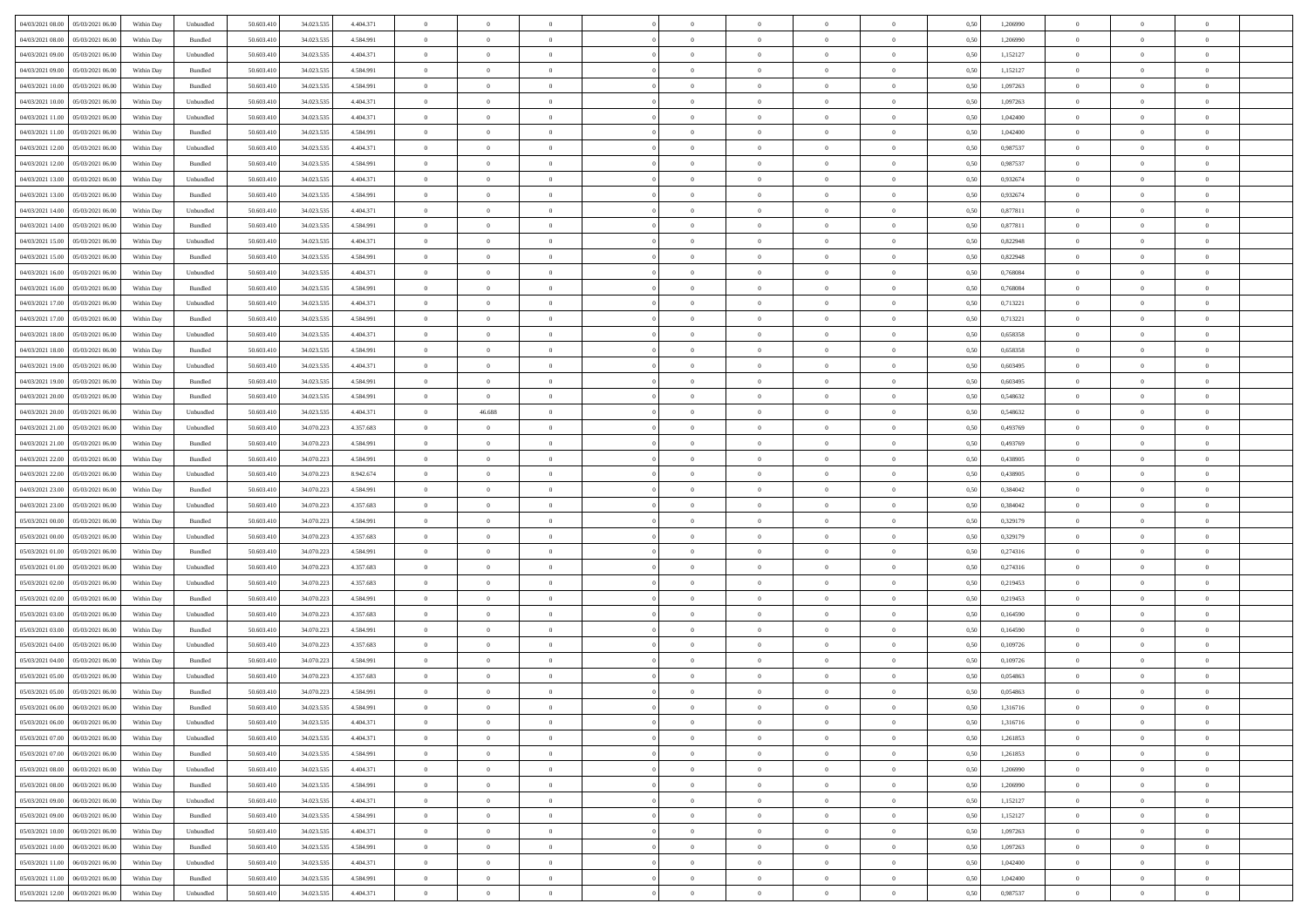| 04/03/2021 08:00 05/03/2021 06:00    |            |           | 50.603.410 |            |           | $\overline{0}$ | $\theta$       |                | $\overline{0}$ | $\theta$       |                | $\theta$       |      | 1,206990 | $\theta$       | $\theta$       | $\theta$       |  |
|--------------------------------------|------------|-----------|------------|------------|-----------|----------------|----------------|----------------|----------------|----------------|----------------|----------------|------|----------|----------------|----------------|----------------|--|
|                                      | Within Day | Unbundled |            | 34.023.535 | 4.404.371 |                |                |                |                |                |                |                | 0,50 |          |                |                |                |  |
| 04/03/2021 08:00<br>05/03/2021 06:00 | Within Day | Bundled   | 50.603.41  | 34.023.53  | 4.584.991 | $\bf{0}$       | $\bf{0}$       | $\bf{0}$       | $\bf{0}$       | $\overline{0}$ | $\overline{0}$ | $\bf{0}$       | 0,50 | 1,206990 | $\,$ 0 $\,$    | $\bf{0}$       | $\overline{0}$ |  |
| 04/03/2021 09:00<br>05/03/2021 06:00 | Within Day | Unbundled | 50.603.41  | 34.023.53  | 4.404.371 | $\overline{0}$ | $\bf{0}$       | $\overline{0}$ | $\bf{0}$       | $\bf{0}$       | $\overline{0}$ | $\bf{0}$       | 0.50 | 1,152127 | $\bf{0}$       | $\overline{0}$ | $\overline{0}$ |  |
| 04/03/2021 09:00<br>05/03/2021 06:00 | Within Day | Bundled   | 50.603.410 | 34.023.535 | 4.584.991 | $\overline{0}$ | $\overline{0}$ | $\overline{0}$ | $\theta$       | $\theta$       | $\overline{0}$ | $\bf{0}$       | 0,50 | 1,152127 | $\theta$       | $\theta$       | $\overline{0}$ |  |
| 04/03/2021 10:00<br>05/03/2021 06.00 | Within Day | Bundled   | 50.603.41  | 34.023.53  | 4.584.991 | $\bf{0}$       | $\overline{0}$ | $\bf{0}$       | $\overline{0}$ | $\theta$       | $\overline{0}$ | $\bf{0}$       | 0,50 | 1,097263 | $\,$ 0 $\,$    | $\bf{0}$       | $\overline{0}$ |  |
| 04/03/2021 10:00<br>05/03/2021 06:00 |            | Unbundled | 50.603.41  | 34.023.53  | 4.404.371 | $\overline{0}$ | $\overline{0}$ | $\overline{0}$ | $\bf{0}$       | $\overline{0}$ | $\theta$       | $\bf{0}$       | 0.50 | 1.097263 | $\,$ 0 $\,$    | $\theta$       | $\overline{0}$ |  |
|                                      | Within Day |           |            |            |           |                |                |                |                |                |                |                |      |          |                |                |                |  |
| 04/03/2021 11:00<br>05/03/2021 06:00 | Within Day | Unbundled | 50.603.41  | 34.023.535 | 4.404.371 | $\overline{0}$ | $\overline{0}$ | $\overline{0}$ | $\overline{0}$ | $\overline{0}$ | $\overline{0}$ | $\bf{0}$       | 0,50 | 1,042400 | $\,$ 0 $\,$    | $\theta$       | $\overline{0}$ |  |
| 04/03/2021 11:00<br>05/03/2021 06.00 | Within Day | Bundled   | 50.603.41  | 34.023.53  | 4.584.991 | $\bf{0}$       | $\overline{0}$ | $\bf{0}$       | $\overline{0}$ | $\overline{0}$ | $\overline{0}$ | $\bf{0}$       | 0,50 | 1,042400 | $\,$ 0 $\,$    | $\bf{0}$       | $\overline{0}$ |  |
| 04/03/2021 12:00<br>05/03/2021 06:00 | Within Day | Unbundled | 50.603.41  | 34.023.53  | 4.404.371 | $\overline{0}$ | $\bf{0}$       | $\overline{0}$ | $\bf{0}$       | $\overline{0}$ | $\overline{0}$ | $\bf{0}$       | 0.50 | 0.987537 | $\bf{0}$       | $\overline{0}$ | $\overline{0}$ |  |
| 04/03/2021 12:00<br>05/03/2021 06:00 | Within Day | Bundled   | 50.603.410 | 34.023.535 | 4.584.991 | $\overline{0}$ | $\bf{0}$       | $\overline{0}$ | $\overline{0}$ | $\overline{0}$ | $\overline{0}$ | $\bf{0}$       | 0,50 | 0,987537 | $\,$ 0 $\,$    | $\bf{0}$       | $\overline{0}$ |  |
| 04/03/2021 13:00<br>05/03/2021 06.00 | Within Day | Unbundled | 50.603.41  | 34.023.53  | 4.404.371 | $\bf{0}$       | $\overline{0}$ | $\bf{0}$       | $\bf{0}$       | $\bf{0}$       | $\overline{0}$ | $\bf{0}$       | 0,50 | 0,932674 | $\,$ 0 $\,$    | $\bf{0}$       | $\overline{0}$ |  |
| 04/03/2021 13:00<br>05/03/2021 06:00 | Within Day | Bundled   | 50.603.41  | 34.023.53  | 4.584.991 | $\overline{0}$ | $\bf{0}$       | $\overline{0}$ | $\overline{0}$ | $\bf{0}$       | $\overline{0}$ | $\bf{0}$       | 0.50 | 0.932674 | $\bf{0}$       | $\overline{0}$ | $\,$ 0         |  |
| 04/03/2021 14:00<br>05/03/2021 06:00 | Within Day | Unbundled | 50.603.41  | 34.023.535 | 4.404.371 | $\overline{0}$ | $\overline{0}$ | $\overline{0}$ | $\theta$       | $\theta$       | $\overline{0}$ | $\bf{0}$       | 0,50 | 0,877811 | $\,$ 0 $\,$    | $\theta$       | $\overline{0}$ |  |
|                                      |            |           |            |            |           |                |                |                |                |                |                |                |      |          |                |                |                |  |
| 04/03/2021 14:00<br>05/03/2021 06.00 | Within Day | Bundled   | 50.603.41  | 34.023.53  | 4.584.991 | $\bf{0}$       | $\overline{0}$ | $\bf{0}$       | $\overline{0}$ | $\bf{0}$       | $\overline{0}$ | $\bf{0}$       | 0,50 | 0,877811 | $\,$ 0 $\,$    | $\bf{0}$       | $\overline{0}$ |  |
| 04/03/2021 15:00<br>05/03/2021 06:00 | Within Day | Unbundled | 50.603.41  | 34.023.53  | 4.404.371 | $\overline{0}$ | $\overline{0}$ | $\overline{0}$ | $\bf{0}$       | $\overline{0}$ | $\theta$       | $\bf{0}$       | 0.50 | 0.822948 | $\,$ 0 $\,$    | $\theta$       | $\overline{0}$ |  |
| 04/03/2021 15:00<br>05/03/2021 06:00 | Within Day | Bundled   | 50.603.410 | 34.023.535 | 4.584.991 | $\overline{0}$ | $\overline{0}$ | $\overline{0}$ | $\overline{0}$ | $\overline{0}$ | $\overline{0}$ | $\bf{0}$       | 0,50 | 0,822948 | $\theta$       | $\theta$       | $\overline{0}$ |  |
| 04/03/2021 16:00<br>05/03/2021 06.00 | Within Day | Unbundled | 50.603.41  | 34.023.53  | 4.404.371 | $\bf{0}$       | $\overline{0}$ | $\bf{0}$       | $\overline{0}$ | $\bf{0}$       | $\overline{0}$ | $\bf{0}$       | 0,50 | 0,768084 | $\,$ 0 $\,$    | $\bf{0}$       | $\overline{0}$ |  |
| 04/03/2021 16:00<br>05/03/2021 06:00 | Within Day | Bundled   | 50.603.41  | 34.023.53  | 4.584.991 | $\overline{0}$ | $\bf{0}$       | $\overline{0}$ | $\bf{0}$       | $\overline{0}$ | $\overline{0}$ | $\bf{0}$       | 0.50 | 0.768084 | $\bf{0}$       | $\overline{0}$ | $\overline{0}$ |  |
| 04/03/2021 17:00<br>05/03/2021 06:00 | Within Day | Unbundled | 50.603.410 | 34.023.535 | 4.404.371 | $\bf{0}$       | $\bf{0}$       | $\overline{0}$ | $\overline{0}$ | $\overline{0}$ | $\overline{0}$ | $\bf{0}$       | 0,50 | 0,713221 | $\,$ 0 $\,$    | $\bf{0}$       | $\overline{0}$ |  |
| 04/03/2021 17:00<br>05/03/2021 06.00 | Within Day | Bundled   | 50.603.41  | 34.023.53  | 4.584.991 | $\bf{0}$       | $\bf{0}$       | $\bf{0}$       | $\bf{0}$       | $\overline{0}$ | $\overline{0}$ | $\bf{0}$       | 0,50 | 0,713221 | $\,$ 0 $\,$    | $\bf{0}$       | $\overline{0}$ |  |
| 05/03/2021 06:00                     |            |           | 50.603.41  | 34.023.53  | 4.404.371 |                |                | $\overline{0}$ |                |                | $\overline{0}$ |                | 0.50 | 0.658358 |                |                | $\,$ 0         |  |
| 04/03/2021 18:00                     | Within Day | Unbundled |            |            |           | $\overline{0}$ | $\bf{0}$       |                | $\overline{0}$ | $\bf{0}$       |                | $\bf{0}$       |      |          | $\bf{0}$       | $\overline{0}$ |                |  |
| 04/03/2021 18:00<br>05/03/2021 06:00 | Within Day | Bundled   | 50.603.41  | 34.023.535 | 4.584.991 | $\overline{0}$ | $\overline{0}$ | $\overline{0}$ | $\overline{0}$ | $\theta$       | $\overline{0}$ | $\bf{0}$       | 0,50 | 0,658358 | $\theta$       | $\theta$       | $\overline{0}$ |  |
| 04/03/2021 19:00<br>05/03/2021 06.00 | Within Day | Unbundled | 50.603.41  | 34.023.53  | 4.404.371 | $\bf{0}$       | $\bf{0}$       | $\bf{0}$       | $\bf{0}$       | $\,$ 0 $\,$    | $\overline{0}$ | $\bf{0}$       | 0,50 | 0,603495 | $\,$ 0 $\,$    | $\bf{0}$       | $\overline{0}$ |  |
| 04/03/2021 19:00<br>05/03/2021 06:00 | Within Day | Bundled   | 50,603.41  | 34.023.53  | 4.584.991 | $\overline{0}$ | $\bf{0}$       | $\overline{0}$ | $\bf{0}$       | $\overline{0}$ | $\theta$       | $\bf{0}$       | 0.50 | 0.603495 | $\,$ 0 $\,$    | $\theta$       | $\overline{0}$ |  |
| 04/03/2021 20:00<br>05/03/2021 06:00 | Within Day | Bundled   | 50.603.41  | 34.023.535 | 4.584.991 | $\overline{0}$ | $\overline{0}$ | $\overline{0}$ | $\overline{0}$ | $\overline{0}$ | $\overline{0}$ | $\bf{0}$       | 0,50 | 0,548632 | $\,$ 0 $\,$    | $\theta$       | $\overline{0}$ |  |
| 04/03/2021 20:00<br>05/03/2021 06.00 | Within Day | Unbundled | 50.603.41  | 34.023.53  | 4.404.371 | $\bf{0}$       | 46.688         | $\bf{0}$       | $\overline{0}$ | $\bf{0}$       | $\overline{0}$ | $\bf{0}$       | 0,50 | 0,548632 | $\,$ 0 $\,$    | $\bf{0}$       | $\overline{0}$ |  |
| 04/03/2021 21:00<br>05/03/2021 06:00 | Within Day | Unbundled | 50,603.41  | 34,070.22  | 4.357.683 | $\overline{0}$ | $\bf{0}$       | $\overline{0}$ | $\bf{0}$       | $\overline{0}$ | $\overline{0}$ | $\bf{0}$       | 0.50 | 0.493769 | $\bf{0}$       | $\overline{0}$ | $\overline{0}$ |  |
| 04/03/2021 21:00<br>05/03/2021 06:00 | Within Day | Bundled   | 50.603.410 | 34.070.223 | 4.584.991 | $\overline{0}$ | $\bf{0}$       | $\overline{0}$ | $\overline{0}$ | $\overline{0}$ | $\overline{0}$ | $\bf{0}$       | 0,50 | 0,493769 | $\theta$       | $\theta$       | $\overline{0}$ |  |
|                                      |            |           |            |            |           |                |                |                |                |                |                |                |      |          |                |                |                |  |
| 04/03/2021 22.00<br>05/03/2021 06.00 | Within Day | Bundled   | 50.603.41  | 34.070.223 | 4.584.991 | $\bf{0}$       | $\bf{0}$       | $\bf{0}$       | $\bf{0}$       | $\overline{0}$ | $\overline{0}$ | $\bf{0}$       | 0,50 | 0,438905 | $\,$ 0 $\,$    | $\bf{0}$       | $\overline{0}$ |  |
| 04/03/2021 22:00<br>05/03/2021 06:00 | Within Day | Unbundled | 50.603.41  | 34.070.223 | 8.942.674 | $\overline{0}$ | $\bf{0}$       | $\overline{0}$ | $\bf{0}$       | $\bf{0}$       | $\overline{0}$ | $\bf{0}$       | 0.50 | 0.438905 | $\bf{0}$       | $\overline{0}$ | $\bf{0}$       |  |
| 04/03/2021 23:00<br>05/03/2021 06:00 | Within Day | Bundled   | 50.603.41  | 34.070.223 | 4.584.991 | $\overline{0}$ | $\overline{0}$ | $\overline{0}$ | $\overline{0}$ | $\overline{0}$ | $\overline{0}$ | $\bf{0}$       | 0.5( | 0.384042 | $\theta$       | $\theta$       | $\overline{0}$ |  |
| 04/03/2021 23:00<br>05/03/2021 06.00 | Within Day | Unbundled | 50.603.41  | 34.070.223 | 4.357.683 | $\bf{0}$       | $\overline{0}$ | $\bf{0}$       | $\bf{0}$       | $\,$ 0 $\,$    | $\overline{0}$ | $\bf{0}$       | 0,50 | 0,384042 | $\,$ 0 $\,$    | $\bf{0}$       | $\overline{0}$ |  |
| 05/03/2021 00:00<br>05/03/2021 06:00 | Within Day | Bundled   | 50,603.41  | 34.070.223 | 4.584.991 | $\overline{0}$ | $\bf{0}$       | $\overline{0}$ | $\bf{0}$       | $\overline{0}$ | $\Omega$       | $\bf{0}$       | 0.50 | 0,329179 | $\,$ 0 $\,$    | $\bf{0}$       | $\overline{0}$ |  |
| 05/03/2021 00:00<br>05/03/2021 06:00 | Within Dav | Unbundled | 50.603.41  | 34.070.223 | 4.357.683 | $\overline{0}$ | $\overline{0}$ | $\overline{0}$ | $\overline{0}$ | $\theta$       | $\overline{0}$ | $\bf{0}$       | 0.50 | 0,329179 | $\theta$       | $\theta$       | $\overline{0}$ |  |
| 05/03/2021 01:00<br>05/03/2021 06.00 | Within Day | Bundled   | 50.603.41  | 34.070.22  | 4.584.991 | $\bf{0}$       | $\bf{0}$       | $\bf{0}$       | $\bf{0}$       | $\bf{0}$       | $\overline{0}$ | $\bf{0}$       | 0,50 | 0,274316 | $\,$ 0 $\,$    | $\bf{0}$       | $\overline{0}$ |  |
| 05/03/2021 01:00<br>05/03/2021 06:00 | Within Day | Unbundled | 50,603.41  | 34,070.22  | 4.357.683 | $\overline{0}$ | $\bf{0}$       | $\overline{0}$ | $\bf{0}$       | $\overline{0}$ | $\overline{0}$ | $\bf{0}$       | 0.50 | 0,274316 | $\bf{0}$       | $\overline{0}$ | $\overline{0}$ |  |
| 05/03/2021 02:00<br>05/03/2021 06:00 | Within Day | Unbundled | 50.603.41  | 34.070.223 | 4.357.683 | $\overline{0}$ | $\overline{0}$ | $\overline{0}$ | $\overline{0}$ | $\overline{0}$ | $\overline{0}$ | $\bf{0}$       | 0.50 | 0,219453 | $\theta$       | $\theta$       | $\overline{0}$ |  |
|                                      |            |           |            |            |           |                |                |                |                |                |                |                |      |          |                |                |                |  |
| 05/03/2021 02:00<br>05/03/2021 06.00 | Within Day | Bundled   | 50.603.41  | 34.070.223 | 4.584.991 | $\bf{0}$       | $\bf{0}$       | $\bf{0}$       | $\bf{0}$       | $\overline{0}$ | $\overline{0}$ | $\bf{0}$       | 0,50 | 0,219453 | $\,$ 0 $\,$    | $\bf{0}$       | $\overline{0}$ |  |
| 05/03/2021 03:00<br>05/03/2021 06:00 | Within Day | Unbundled | 50.603.41  | 34,070,223 | 4.357.683 | $\overline{0}$ | $\bf{0}$       | $\overline{0}$ | $\overline{0}$ | $\bf{0}$       | $\overline{0}$ | $\bf{0}$       | 0.50 | 0.164590 | $\bf{0}$       | $\overline{0}$ | $\bf{0}$       |  |
| 05/03/2021 03:00<br>05/03/2021 06:00 | Within Day | Bundled   | 50.603.41  | 34.070.223 | 4.584.991 | $\overline{0}$ | $\overline{0}$ | $\overline{0}$ | $\overline{0}$ | $\overline{0}$ | $\overline{0}$ | $\bf{0}$       | 0.50 | 0,164590 | $\theta$       | $\theta$       | $\overline{0}$ |  |
| 05/03/2021 04:00<br>05/03/2021 06.00 | Within Day | Unbundled | 50.603.41  | 34.070.223 | 4.357.683 | $\bf{0}$       | $\bf{0}$       | $\bf{0}$       | $\bf{0}$       | $\overline{0}$ | $\overline{0}$ | $\bf{0}$       | 0,50 | 0,109726 | $\,$ 0 $\,$    | $\bf{0}$       | $\overline{0}$ |  |
| 05/03/2021 04:00<br>05/03/2021 06:00 | Within Day | Bundled   | 50.603.41  | 34,070.22  | 4.584.991 | $\overline{0}$ | $\overline{0}$ | $\overline{0}$ | $\bf{0}$       | $\overline{0}$ | $\Omega$       | $\bf{0}$       | 0.50 | 0.109726 | $\bf{0}$       | $\theta$       | $\overline{0}$ |  |
| 05/03/2021 05:00<br>05/03/2021 06:00 | Within Dav | Unbundled | 50.603.41  | 34.070.223 | 4.357.683 | $\overline{0}$ | $\overline{0}$ | $\Omega$       | $\overline{0}$ | $\theta$       | $\overline{0}$ | $\overline{0}$ | 0.5( | 0,054863 | $\theta$       | $\theta$       | $\overline{0}$ |  |
| 05/03/2021 05:00<br>05/03/2021 06:00 | Within Day | Bundled   | 50.603.41  | 34.070.223 | 4.584.991 | $\bf{0}$       | $\bf{0}$       | $\overline{0}$ | $\bf{0}$       | $\bf{0}$       | $\overline{0}$ | $\bf{0}$       | 0,50 | 0,054863 | $\,$ 0 $\,$    | $\bf{0}$       | $\overline{0}$ |  |
|                                      | Within Day | Bundled   | 50.603.410 | 34.023.535 | 4 584 991 | $\bf{0}$       | $\Omega$       |                | $\Omega$       |                |                |                | 0,50 | 1,316716 | $\theta$       | $\overline{0}$ |                |  |
|                                      |            |           |            |            |           | $\overline{0}$ | $\overline{0}$ |                |                | $\overline{0}$ |                |                |      |          | $\theta$       | $\overline{0}$ | $\overline{0}$ |  |
| 05/03/2021 06:00 06/03/2021 06:00    | Within Day | Unbundled | 50.603.410 | 34.023.535 | 4.404.371 |                |                | $\overline{0}$ | $\theta$       |                | $\overline{0}$ | $\bf{0}$       | 0,50 | 1,316716 |                |                |                |  |
| 05/03/2021 07:00<br>06/03/2021 06:00 | Within Day | Unbundled | 50.603.41  | 34.023.535 | 4.404.371 | $\overline{0}$ | $\bf{0}$       | $\overline{0}$ | $\overline{0}$ | $\bf{0}$       | $\overline{0}$ | $\bf{0}$       | 0,50 | 1,261853 | $\bf{0}$       | $\overline{0}$ | $\bf{0}$       |  |
| 05/03/2021 07:00   06/03/2021 06:00  | Within Day | Bundled   | 50,603.410 | 34.023.535 | 4.584.991 | $\overline{0}$ | $\bf{0}$       | $\overline{0}$ | $\overline{0}$ | $\mathbf{0}$   | $\overline{0}$ | $\,$ 0 $\,$    | 0.50 | 1,261853 | $\overline{0}$ | $\bf{0}$       | $\,$ 0 $\,$    |  |
| 05/03/2021 08:00   06/03/2021 06:00  | Within Day | Unbundled | 50.603.410 | 34.023.535 | 4.404.371 | $\overline{0}$ | $\overline{0}$ | $\overline{0}$ | $\overline{0}$ | $\overline{0}$ | $\overline{0}$ | $\bf{0}$       | 0,50 | 1,206990 | $\overline{0}$ | $\theta$       | $\overline{0}$ |  |
| 05/03/2021 08:00<br>06/03/2021 06:00 | Within Day | Bundled   | 50.603.41  | 34.023.535 | 4.584.991 | $\overline{0}$ | $\bf{0}$       | $\overline{0}$ | $\overline{0}$ | $\overline{0}$ | $\overline{0}$ | $\bf{0}$       | 0,50 | 1,206990 | $\bf{0}$       | $\overline{0}$ | $\overline{0}$ |  |
| 06/03/2021 06:00<br>05/03/2021 09:00 | Within Day | Unbundled | 50.603.410 | 34.023.535 | 4.404.371 | $\overline{0}$ | $\bf{0}$       | $\overline{0}$ | $\overline{0}$ | $\bf{0}$       | $\overline{0}$ | $\bf{0}$       | 0.50 | 1,152127 | $\,$ 0 $\,$    | $\overline{0}$ | $\,$ 0         |  |
| 05/03/2021 09:00<br>06/03/2021 06:00 | Within Dav | Bundled   | 50.603.410 | 34.023.535 | 4.584.991 | $\overline{0}$ | $\overline{0}$ | $\overline{0}$ | $\overline{0}$ | $\overline{0}$ | $\overline{0}$ | $\bf{0}$       | 0,50 | 1,152127 | $\overline{0}$ | $\theta$       | $\overline{0}$ |  |
| 05/03/2021 10:00<br>06/03/2021 06:00 | Within Day | Unbundled | 50.603.41  | 34.023.535 | 4.404.371 | $\overline{0}$ | $\overline{0}$ | $\overline{0}$ | $\overline{0}$ | $\overline{0}$ | $\overline{0}$ | $\bf{0}$       | 0,50 | 1,097263 | $\bf{0}$       | $\overline{0}$ | $\overline{0}$ |  |
|                                      |            |           |            |            |           |                |                |                |                |                |                |                |      |          |                |                |                |  |
| 05/03/2021 10:00<br>06/03/2021 06:00 | Within Day | Bundled   | 50,603.410 | 34.023.535 | 4.584.991 | $\overline{0}$ | $\overline{0}$ | $\overline{0}$ | $\overline{0}$ | $\overline{0}$ | $\overline{0}$ | $\bf{0}$       | 0.50 | 1.097263 | $\mathbf{0}$   | $\bf{0}$       | $\,$ 0         |  |
| 05/03/2021 11:00<br>06/03/2021 06:00 | Within Dav | Unbundled | 50.603.410 | 34.023.535 | 4.404.371 | $\overline{0}$ | $\overline{0}$ | $\overline{0}$ | $\overline{0}$ | $\overline{0}$ | $\overline{0}$ | $\bf{0}$       | 0,50 | 1,042400 | $\overline{0}$ | $\theta$       | $\overline{0}$ |  |
| 05/03/2021 11:00<br>06/03/2021 06:00 | Within Day | Bundled   | 50.603.41  | 34.023.535 | 4.584.991 | $\overline{0}$ | $\bf{0}$       | $\overline{0}$ | $\overline{0}$ | $\overline{0}$ | $\overline{0}$ | $\bf{0}$       | 0,50 | 1,042400 | $\bf{0}$       | $\,$ 0 $\,$    | $\bf{0}$       |  |
| 05/03/2021 12:00 06/03/2021 06:00    | Within Day | Unbundled | 50.603.410 | 34.023.535 | 4.404.371 | $\overline{0}$ | $\bf{0}$       | $\overline{0}$ | $\overline{0}$ | $\,$ 0 $\,$    | $\overline{0}$ | $\bf{0}$       | 0,50 | 0,987537 | $\overline{0}$ | $\,$ 0 $\,$    | $\,$ 0 $\,$    |  |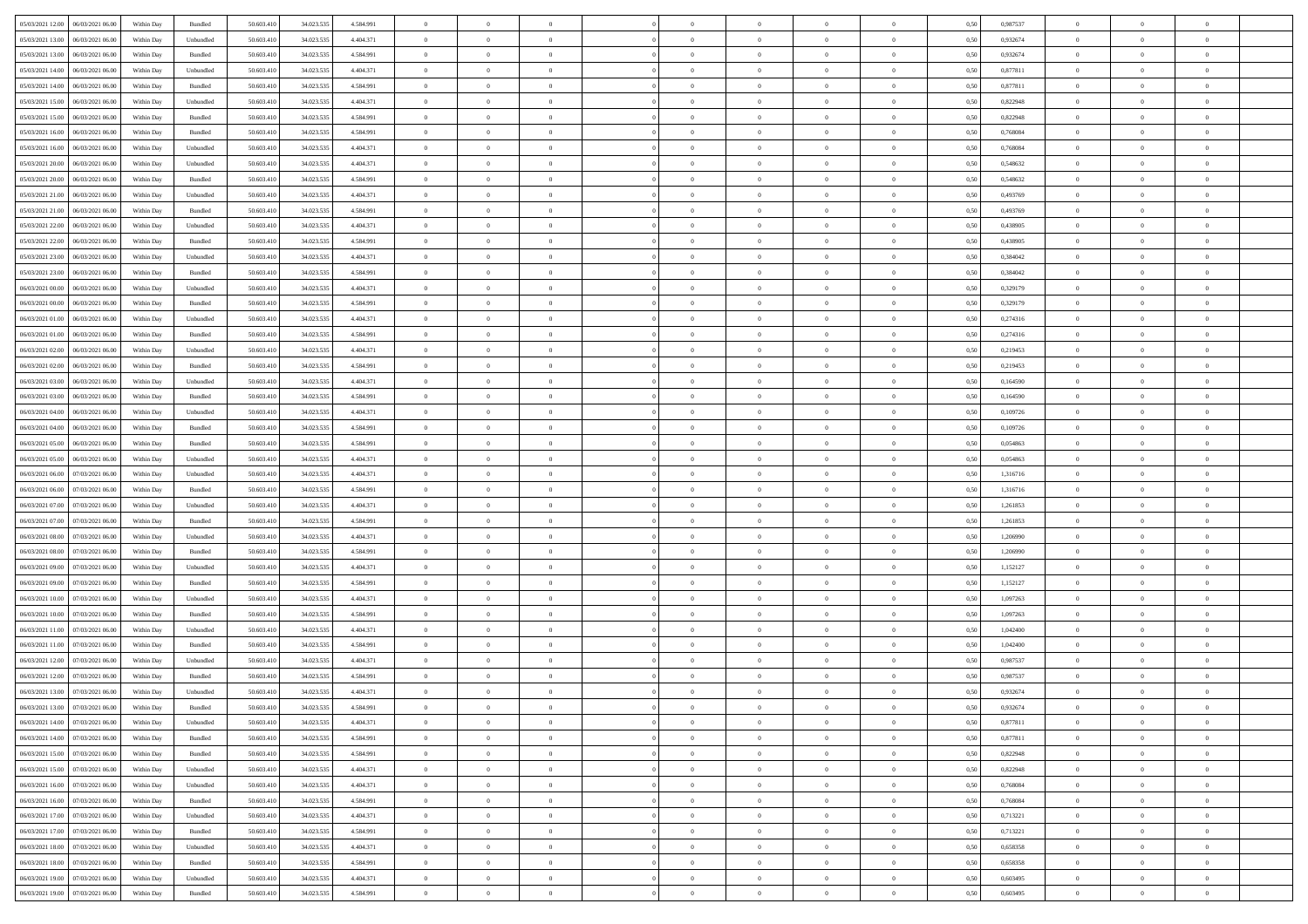| 05/03/2021 12:00   06/03/2021 06:00          |            |           | 50.603.410 |            |           | $\overline{0}$ | $\theta$       |                | $\overline{0}$ | $\theta$       |                | $\bf{0}$       |      | 0,987537 | $\theta$       | $\theta$       | $\theta$       |  |
|----------------------------------------------|------------|-----------|------------|------------|-----------|----------------|----------------|----------------|----------------|----------------|----------------|----------------|------|----------|----------------|----------------|----------------|--|
|                                              | Within Day | Bundled   |            | 34.023.535 | 4.584.991 |                |                |                |                |                |                |                | 0,50 |          |                |                |                |  |
| 05/03/2021 13:00<br>06/03/2021 06:00         | Within Day | Unbundled | 50.603.41  | 34.023.53  | 4.404.371 | $\bf{0}$       | $\bf{0}$       | $\bf{0}$       | $\bf{0}$       | $\overline{0}$ | $\overline{0}$ | $\bf{0}$       | 0,50 | 0,932674 | $\,$ 0 $\,$    | $\bf{0}$       | $\overline{0}$ |  |
| 05/03/2021 13:00<br>06/03/2021 06:00         | Within Day | Bundled   | 50,603,410 | 34.023.53  | 4.584.991 | $\overline{0}$ | $\bf{0}$       | $\overline{0}$ | $\bf{0}$       | $\bf{0}$       | $\overline{0}$ | $\bf{0}$       | 0.50 | 0.932674 | $\bf{0}$       | $\overline{0}$ | $\bf{0}$       |  |
| 05/03/2021 14:00<br>06/03/2021 06:00         | Within Day | Unbundled | 50.603.41  | 34.023.535 | 4.404.371 | $\overline{0}$ | $\overline{0}$ | $\overline{0}$ | $\overline{0}$ | $\theta$       | $\overline{0}$ | $\bf{0}$       | 0,50 | 0,877811 | $\theta$       | $\theta$       | $\overline{0}$ |  |
| 05/03/2021 14:00<br>06/03/2021 06.00         | Within Day | Bundled   | 50.603.41  | 34.023.53  | 4.584.991 | $\bf{0}$       | $\overline{0}$ | $\bf{0}$       | $\overline{0}$ | $\theta$       | $\overline{0}$ | $\bf{0}$       | 0,50 | 0,877811 | $\,$ 0 $\,$    | $\bf{0}$       | $\overline{0}$ |  |
| 05/03/2021 15:00<br>06/03/2021 06:00         |            | Unbundled | 50,603.41  | 34.023.53  | 4.404.371 | $\overline{0}$ | $\bf{0}$       | $\overline{0}$ | $\bf{0}$       | $\overline{0}$ | $\theta$       | $\bf{0}$       | 0.50 | 0.822948 | $\,$ 0 $\,$    | $\theta$       | $\overline{0}$ |  |
|                                              | Within Day |           |            |            |           |                |                |                |                |                |                |                |      |          |                |                |                |  |
| 05/03/2021 15:00<br>06/03/2021 06:00         | Within Day | Bundled   | 50.603.41  | 34.023.535 | 4.584.991 | $\overline{0}$ | $\overline{0}$ | $\overline{0}$ | $\overline{0}$ | $\overline{0}$ | $\overline{0}$ | $\bf{0}$       | 0,50 | 0,822948 | $\theta$       | $\theta$       | $\overline{0}$ |  |
| 05/03/2021 16:00<br>06/03/2021 06:00         | Within Day | Bundled   | 50.603.41  | 34.023.53  | 4.584.991 | $\bf{0}$       | $\bf{0}$       | $\bf{0}$       | $\overline{0}$ | $\overline{0}$ | $\overline{0}$ | $\bf{0}$       | 0,50 | 0,768084 | $\,$ 0 $\,$    | $\bf{0}$       | $\overline{0}$ |  |
| 05/03/2021 16:00<br>06/03/2021 06:00         | Within Day | Unbundled | 50.603.41  | 34.023.53  | 4.404.371 | $\overline{0}$ | $\bf{0}$       | $\overline{0}$ | $\bf{0}$       | $\overline{0}$ | $\overline{0}$ | $\bf{0}$       | 0.50 | 0.768084 | $\bf{0}$       | $\overline{0}$ | $\overline{0}$ |  |
| 05/03/2021 20:00<br>06/03/2021 06:00         | Within Day | Unbundled | 50.603.410 | 34.023.535 | 4.404.371 | $\bf{0}$       | $\bf{0}$       | $\overline{0}$ | $\overline{0}$ | $\overline{0}$ | $\overline{0}$ | $\bf{0}$       | 0,50 | 0,548632 | $\,$ 0 $\,$    | $\bf{0}$       | $\overline{0}$ |  |
| 05/03/2021 20:00<br>06/03/2021 06.00         | Within Day | Bundled   | 50.603.41  | 34.023.53  | 4.584.991 | $\bf{0}$       | $\bf{0}$       | $\bf{0}$       | $\bf{0}$       | $\overline{0}$ | $\overline{0}$ | $\bf{0}$       | 0,50 | 0,548632 | $\,$ 0 $\,$    | $\bf{0}$       | $\overline{0}$ |  |
| 05/03/2021 21:00<br>06/03/2021 06:00         | Within Day | Unbundled | 50,603.41  | 34.023.53  | 4.404.371 | $\overline{0}$ | $\bf{0}$       | $\overline{0}$ | $\overline{0}$ | $\bf{0}$       | $\overline{0}$ | $\bf{0}$       | 0.50 | 0.493769 | $\bf{0}$       | $\overline{0}$ | $\,$ 0         |  |
|                                              |            |           |            |            |           | $\overline{0}$ | $\overline{0}$ | $\overline{0}$ | $\theta$       | $\theta$       | $\overline{0}$ |                |      |          | $\,$ 0 $\,$    | $\theta$       |                |  |
| 05/03/2021 21:00<br>06/03/2021 06:00         | Within Day | Bundled   | 50.603.41  | 34.023.535 | 4.584.991 |                |                |                |                |                |                | $\bf{0}$       | 0,50 | 0,493769 |                |                | $\overline{0}$ |  |
| 05/03/2021 22.00<br>06/03/2021 06:00         | Within Day | Unbundled | 50.603.41  | 34.023.53  | 4.404.371 | $\bf{0}$       | $\overline{0}$ | $\bf{0}$       | $\bf{0}$       | $\bf{0}$       | $\overline{0}$ | $\bf{0}$       | 0,50 | 0,438905 | $\,$ 0 $\,$    | $\bf{0}$       | $\overline{0}$ |  |
| 05/03/2021 22:00<br>06/03/2021 06:00         | Within Day | Bundled   | 50.603.41  | 34.023.53  | 4.584.991 | $\overline{0}$ | $\bf{0}$       | $\overline{0}$ | $\bf{0}$       | $\overline{0}$ | $\theta$       | $\bf{0}$       | 0.50 | 0.438905 | $\,$ 0 $\,$    | $\theta$       | $\overline{0}$ |  |
| 05/03/2021 23:00<br>06/03/2021 06:00         | Within Day | Unbundled | 50.603.410 | 34.023.535 | 4.404.371 | $\overline{0}$ | $\overline{0}$ | $\overline{0}$ | $\overline{0}$ | $\overline{0}$ | $\overline{0}$ | $\bf{0}$       | 0,50 | 0,384042 | $\theta$       | $\theta$       | $\overline{0}$ |  |
| 05/03/2021 23:00<br>06/03/2021 06.00         | Within Day | Bundled   | 50.603.41  | 34.023.53  | 4.584.991 | $\bf{0}$       | $\bf{0}$       | $\bf{0}$       | $\overline{0}$ | $\overline{0}$ | $\overline{0}$ | $\bf{0}$       | 0,50 | 0,384042 | $\,$ 0 $\,$    | $\bf{0}$       | $\overline{0}$ |  |
| 06/03/2021 00:00<br>06/03/2021 06:00         | Within Day | Unbundled | 50,603.41  | 34.023.53  | 4.404.371 | $\overline{0}$ | $\bf{0}$       | $\overline{0}$ | $\bf{0}$       | $\overline{0}$ | $\overline{0}$ | $\bf{0}$       | 0.50 | 0,329179 | $\bf{0}$       | $\overline{0}$ | $\bf{0}$       |  |
| 06/03/2021 00:00<br>06/03/2021 06:00         | Within Day | Bundled   | 50.603.410 | 34.023.535 | 4.584.991 | $\bf{0}$       | $\bf{0}$       | $\overline{0}$ | $\overline{0}$ | $\overline{0}$ | $\overline{0}$ | $\bf{0}$       | 0,50 | 0,329179 | $\,$ 0 $\,$    | $\bf{0}$       | $\overline{0}$ |  |
|                                              |            |           |            |            |           |                |                |                |                |                |                |                |      |          |                |                |                |  |
| 06/03/2021 01:00<br>06/03/2021 06.00         | Within Day | Unbundled | 50.603.41  | 34.023.53  | 4.404.371 | $\bf{0}$       | $\bf{0}$       | $\bf{0}$       | $\bf{0}$       | $\overline{0}$ | $\overline{0}$ | $\bf{0}$       | 0,50 | 0,274316 | $\,$ 0 $\,$    | $\bf{0}$       | $\overline{0}$ |  |
| 06/03/2021 01:00<br>06/03/2021 06:00         | Within Day | Bundled   | 50,603.41  | 34.023.535 | 4.584.991 | $\overline{0}$ | $\bf{0}$       | $\overline{0}$ | $\overline{0}$ | $\bf{0}$       | $\overline{0}$ | $\bf{0}$       | 0.50 | 0,274316 | $\bf{0}$       | $\overline{0}$ | $\,$ 0         |  |
| 06/03/2021 02:00<br>06/03/2021 06:00         | Within Day | Unbundled | 50.603.41  | 34.023.535 | 4.404.371 | $\overline{0}$ | $\overline{0}$ | $\overline{0}$ | $\overline{0}$ | $\theta$       | $\overline{0}$ | $\bf{0}$       | 0,50 | 0,219453 | $\theta$       | $\theta$       | $\overline{0}$ |  |
| 06/03/2021 02:00<br>06/03/2021 06.00         | Within Day | Bundled   | 50.603.41  | 34.023.53  | 4.584.991 | $\bf{0}$       | $\bf{0}$       | $\bf{0}$       | $\bf{0}$       | $\overline{0}$ | $\overline{0}$ | $\bf{0}$       | 0,50 | 0,219453 | $\,$ 0 $\,$    | $\bf{0}$       | $\overline{0}$ |  |
| 06/03/2021 03:00<br>06/03/2021 06:00         | Within Day | Unbundled | 50.603.41  | 34.023.53  | 4.404.371 | $\overline{0}$ | $\bf{0}$       | $\overline{0}$ | $\bf{0}$       | $\overline{0}$ | $\theta$       | $\bf{0}$       | 0.50 | 0.164590 | $\,$ 0 $\,$    | $\theta$       | $\overline{0}$ |  |
| 06/03/2021 03:00<br>06/03/2021 06:00         | Within Day | Bundled   | 50.603.41  | 34.023.535 | 4.584.991 | $\overline{0}$ | $\overline{0}$ | $\overline{0}$ | $\overline{0}$ | $\overline{0}$ | $\overline{0}$ | $\bf{0}$       | 0,50 | 0,164590 | $\,$ 0 $\,$    | $\theta$       | $\overline{0}$ |  |
| 06/03/2021 04:00<br>06/03/2021 06:00         | Within Day | Unbundled | 50.603.41  | 34.023.53  | 4.404.371 | $\bf{0}$       | $\overline{0}$ | $\bf{0}$       | $\overline{0}$ | $\bf{0}$       | $\overline{0}$ | $\bf{0}$       | 0,50 | 0,109726 | $\,$ 0 $\,$    | $\bf{0}$       | $\overline{0}$ |  |
|                                              |            |           |            |            |           |                |                |                |                |                |                |                |      |          |                |                |                |  |
| 06/03/2021 04:00<br>06/03/2021 06:00         | Within Day | Bundled   | 50,603.41  | 34.023.53  | 4.584.991 | $\overline{0}$ | $\bf{0}$       | $\overline{0}$ | $\bf{0}$       | $\overline{0}$ | $\overline{0}$ | $\bf{0}$       | 0.50 | 0.109726 | $\bf{0}$       | $\overline{0}$ | $\overline{0}$ |  |
| 06/03/2021 05:00<br>06/03/2021 06:00         | Within Day | Bundled   | 50.603.410 | 34.023.535 | 4.584.991 | $\overline{0}$ | $\bf{0}$       | $\overline{0}$ | $\overline{0}$ | $\overline{0}$ | $\overline{0}$ | $\bf{0}$       | 0,50 | 0,054863 | $\theta$       | $\bf{0}$       | $\overline{0}$ |  |
| 06/03/2021 05:00<br>06/03/2021 06.00         | Within Day | Unbundled | 50.603.41  | 34.023.53  | 4.404.371 | $\bf{0}$       | $\bf{0}$       | $\bf{0}$       | $\bf{0}$       | $\overline{0}$ | $\overline{0}$ | $\bf{0}$       | 0,50 | 0,054863 | $\,$ 0 $\,$    | $\bf{0}$       | $\overline{0}$ |  |
| 06/03/2021 06:00<br>07/03/2021 06:00         | Within Day | Unbundled | 50.603.41  | 34.023.53  | 4.404.371 | $\overline{0}$ | $\bf{0}$       | $\overline{0}$ | $\bf{0}$       | $\bf{0}$       | $\overline{0}$ | $\bf{0}$       | 0.50 | 1.316716 | $\bf{0}$       | $\overline{0}$ | $\,$ 0         |  |
| 06/03/2021 06:00<br>07/03/2021 06:00         | Within Day | Bundled   | 50.603.41  | 34.023.535 | 4.584.991 | $\overline{0}$ | $\overline{0}$ | $\overline{0}$ | $\overline{0}$ | $\overline{0}$ | $\overline{0}$ | $\bf{0}$       | 0.50 | 1,316716 | $\theta$       | $\theta$       | $\overline{0}$ |  |
| 06/03/2021 07:00<br>07/03/2021 06.00         | Within Day | Unbundled | 50.603.41  | 34.023.53  | 4.404.371 | $\bf{0}$       | $\bf{0}$       | $\bf{0}$       | $\bf{0}$       | $\overline{0}$ | $\overline{0}$ | $\bf{0}$       | 0,50 | 1,261853 | $\,$ 0 $\,$    | $\bf{0}$       | $\overline{0}$ |  |
| 06/03/2021 07:00<br>07/03/2021 06:00         | Within Day | Bundled   | 50,603.41  | 34.023.53  | 4.584.991 | $\overline{0}$ | $\bf{0}$       | $\overline{0}$ | $\bf{0}$       | $\overline{0}$ | $\overline{0}$ | $\bf{0}$       | 0.50 | 1.261853 | $\,$ 0 $\,$    | $\bf{0}$       | $\overline{0}$ |  |
| 06/03/2021 08:00<br>07/03/2021 06:00         | Within Dav | Unbundled | 50.603.41  | 34.023.535 | 4.404.371 | $\overline{0}$ | $\overline{0}$ | $\overline{0}$ | $\overline{0}$ | $\overline{0}$ | $\overline{0}$ | $\bf{0}$       | 0.50 | 1.206990 | $\theta$       | $\theta$       | $\overline{0}$ |  |
|                                              |            |           |            |            |           |                |                |                |                |                |                |                |      |          |                |                |                |  |
| 06/03/2021 08:00<br>07/03/2021 06.00         | Within Day | Bundled   | 50.603.41  | 34.023.53  | 4.584.991 | $\bf{0}$       | $\bf{0}$       | $\bf{0}$       | $\bf{0}$       | $\overline{0}$ | $\overline{0}$ | $\bf{0}$       | 0,50 | 1,206990 | $\,$ 0 $\,$    | $\bf{0}$       | $\overline{0}$ |  |
| 06/03/2021 09:00<br>07/03/2021 06:00         | Within Day | Unbundled | 50,603.41  | 34.023.53  | 4.404.371 | $\overline{0}$ | $\bf{0}$       | $\overline{0}$ | $\bf{0}$       | $\overline{0}$ | $\overline{0}$ | $\bf{0}$       | 0.50 | 1.152127 | $\bf{0}$       | $\overline{0}$ | $\bf{0}$       |  |
| 06/03/2021 09:00<br>07/03/2021 06:00         | Within Day | Bundled   | 50.603.41  | 34.023.535 | 4.584.991 | $\overline{0}$ | $\overline{0}$ | $\overline{0}$ | $\overline{0}$ | $\overline{0}$ | $\overline{0}$ | $\bf{0}$       | 0.50 | 1,152127 | $\theta$       | $\theta$       | $\overline{0}$ |  |
| 06/03/2021 10:00<br>07/03/2021 06.00         | Within Day | Unbundled | 50.603.41  | 34.023.53  | 4.404.371 | $\bf{0}$       | $\bf{0}$       | $\bf{0}$       | $\bf{0}$       | $\overline{0}$ | $\overline{0}$ | $\bf{0}$       | 0,50 | 1,097263 | $\,$ 0 $\,$    | $\bf{0}$       | $\overline{0}$ |  |
| 06/03/2021 10:00<br>07/03/2021 06:00         | Within Day | Bundled   | 50.603.41  | 34.023.535 | 4.584.991 | $\overline{0}$ | $\bf{0}$       | $\overline{0}$ | $\overline{0}$ | $\bf{0}$       | $\overline{0}$ | $\bf{0}$       | 0.50 | 1.097263 | $\bf{0}$       | $\,$ 0 $\,$    | $\,$ 0         |  |
| 06/03/2021 11:00<br>07/03/2021 06:00         | Within Dav | Unbundled | 50.603.41  | 34.023.535 | 4.404.371 | $\overline{0}$ | $\overline{0}$ | $\overline{0}$ | $\overline{0}$ | $\overline{0}$ | $\overline{0}$ | $\bf{0}$       | 0.50 | 1,042400 | $\theta$       | $\theta$       | $\overline{0}$ |  |
| 06/03/2021 11:00<br>07/03/2021 06.00         | Within Day | Bundled   | 50.603.41  | 34.023.53  | 4.584.991 | $\bf{0}$       | $\bf{0}$       | $\bf{0}$       | $\bf{0}$       | $\overline{0}$ | $\overline{0}$ | $\bf{0}$       | 0,50 | 1,042400 | $\,$ 0 $\,$    | $\bf{0}$       | $\overline{0}$ |  |
|                                              |            |           | 50.603.41  | 34.023.53  | 4.404.371 |                | $\overline{0}$ | $\overline{0}$ |                | $\overline{0}$ | $\Omega$       |                | 0.50 | 0.987537 | $\bf{0}$       | $\theta$       | $\overline{0}$ |  |
| 06/03/2021 12:00<br>07/03/2021 06:00         | Within Day | Unbundled |            |            |           | $\overline{0}$ |                |                | $\bf{0}$       |                |                | $\bf{0}$       |      |          |                |                |                |  |
| 06/03/2021 12:00<br>07/03/2021 06:00         | Within Dav | Bundled   | 50.603.41  | 34.023.535 | 4.584.991 | $\overline{0}$ | $\overline{0}$ | $\Omega$       | $\theta$       | $\theta$       | $\overline{0}$ | $\overline{0}$ | 0.5( | 0,987537 | $\theta$       | $\theta$       | $\overline{0}$ |  |
| 06/03/2021 13:00<br>07/03/2021 06:00         | Within Day | Unbundled | 50.603.41  | 34.023.535 | 4.404.371 | $\bf{0}$       | $\bf{0}$       | $\bf{0}$       | $\bf{0}$       | $\bf{0}$       | $\overline{0}$ | $\bf{0}$       | 0,50 | 0,932674 | $\overline{0}$ | $\bf{0}$       | $\overline{0}$ |  |
| $06/03/2021\ 13.00 \qquad 07/03/2021\ 06.00$ | Within Day | Bundled   | 50.603.410 | 34.023.535 | 4 584 991 | $\bf{0}$       | $\Omega$       |                | $\Omega$       |                |                |                | 0,50 | 0,932674 | $\bf{0}$       | $\overline{0}$ |                |  |
| 06/03/2021 14:00 07/03/2021 06:00            | Within Day | Unbundled | 50.603.410 | 34.023.535 | 4.404.371 | $\overline{0}$ | $\overline{0}$ | $\overline{0}$ | $\theta$       | $\overline{0}$ | $\overline{0}$ | $\bf{0}$       | 0,50 | 0,877811 | $\theta$       | $\overline{0}$ | $\overline{0}$ |  |
| 06/03/2021 14:00<br>07/03/2021 06:00         | Within Day | Bundled   | 50.603.41  | 34.023.535 | 4.584.991 | $\overline{0}$ | $\bf{0}$       | $\overline{0}$ | $\overline{0}$ | $\bf{0}$       | $\overline{0}$ | $\bf{0}$       | 0,50 | 0,877811 | $\bf{0}$       | $\overline{0}$ | $\bf{0}$       |  |
| 06/03/2021 15:00 07/03/2021 06:00            | Within Day | Bundled   | 50,603.410 | 34.023.535 | 4.584.991 | $\overline{0}$ | $\bf{0}$       | $\overline{0}$ | $\overline{0}$ | $\mathbf{0}$   | $\overline{0}$ | $\,$ 0 $\,$    | 0.50 | 0,822948 | $\overline{0}$ | $\bf{0}$       | $\,$ 0 $\,$    |  |
| 06/03/2021 15:00 07/03/2021 06:00            | Within Day | Unbundled | 50.603.410 | 34.023.535 | 4.404.371 | $\overline{0}$ | $\overline{0}$ | $\overline{0}$ | $\overline{0}$ | $\overline{0}$ | $\overline{0}$ | $\bf{0}$       | 0,50 | 0,822948 | $\overline{0}$ | $\theta$       | $\overline{0}$ |  |
|                                              |            |           |            |            |           |                |                |                |                |                |                |                |      |          |                |                |                |  |
| 06/03/2021 16:00<br>07/03/2021 06:00         | Within Day | Unbundled | 50.603.41  | 34.023.535 | 4.404.371 | $\overline{0}$ | $\bf{0}$       | $\overline{0}$ | $\overline{0}$ | $\bf{0}$       | $\overline{0}$ | $\bf{0}$       | 0,50 | 0,768084 | $\bf{0}$       | $\overline{0}$ | $\overline{0}$ |  |
| 06/03/2021 16:00 07/03/2021 06:00            | Within Day | Bundled   | 50.603.410 | 34.023.535 | 4.584.991 | $\overline{0}$ | $\bf{0}$       | $\overline{0}$ | $\overline{0}$ | $\bf{0}$       | $\overline{0}$ | $\bf{0}$       | 0.50 | 0.768084 | $\,$ 0 $\,$    | $\overline{0}$ | $\,$ 0         |  |
| 06/03/2021 17:00<br>07/03/2021 06:00         | Within Dav | Unbundled | 50.603.410 | 34.023.535 | 4.404.371 | $\overline{0}$ | $\overline{0}$ | $\overline{0}$ | $\overline{0}$ | $\overline{0}$ | $\overline{0}$ | $\bf{0}$       | 0.50 | 0,713221 | $\overline{0}$ | $\theta$       | $\overline{0}$ |  |
| 07/03/2021 06:00<br>06/03/2021 17:00         | Within Day | Bundled   | 50.603.41  | 34.023.535 | 4.584.991 | $\overline{0}$ | $\overline{0}$ | $\overline{0}$ | $\overline{0}$ | $\overline{0}$ | $\overline{0}$ | $\bf{0}$       | 0,50 | 0,713221 | $\bf{0}$       | $\overline{0}$ | $\overline{0}$ |  |
| 06/03/2021 18:00 07/03/2021 06:00            | Within Day | Unbundled | 50,603.410 | 34.023.535 | 4.404.371 | $\overline{0}$ | $\overline{0}$ | $\overline{0}$ | $\overline{0}$ | $\overline{0}$ | $\overline{0}$ | $\bf{0}$       | 0.50 | 0.658358 | $\mathbf{0}$   | $\bf{0}$       | $\,$ 0         |  |
| 06/03/2021 18:00 07/03/2021 06:00            | Within Dav | Bundled   | 50.603.410 | 34.023.535 | 4.584.991 | $\overline{0}$ | $\overline{0}$ | $\overline{0}$ | $\overline{0}$ | $\overline{0}$ | $\overline{0}$ | $\bf{0}$       | 0,50 | 0,658358 | $\overline{0}$ | $\theta$       | $\overline{0}$ |  |
|                                              |            |           |            |            |           |                |                |                |                |                |                |                |      |          |                |                |                |  |
| 06/03/2021 19:00<br>07/03/2021 06:00         | Within Day | Unbundled | 50.603.41  | 34.023.535 | 4.404.371 | $\overline{0}$ | $\bf{0}$       | $\overline{0}$ | $\bf{0}$       | $\overline{0}$ | $\overline{0}$ | $\bf{0}$       | 0,50 | 0,603495 | $\bf{0}$       | $\overline{0}$ | $\bf{0}$       |  |
| 06/03/2021 19:00 07/03/2021 06:00            | Within Day | Bundled   | 50.603.410 | 34.023.535 | 4.584.991 | $\overline{0}$ | $\bf{0}$       | $\overline{0}$ | $\overline{0}$ | $\,$ 0 $\,$    | $\overline{0}$ | $\bf{0}$       | 0,50 | 0,603495 | $\overline{0}$ | $\,$ 0 $\,$    | $\,$ 0 $\,$    |  |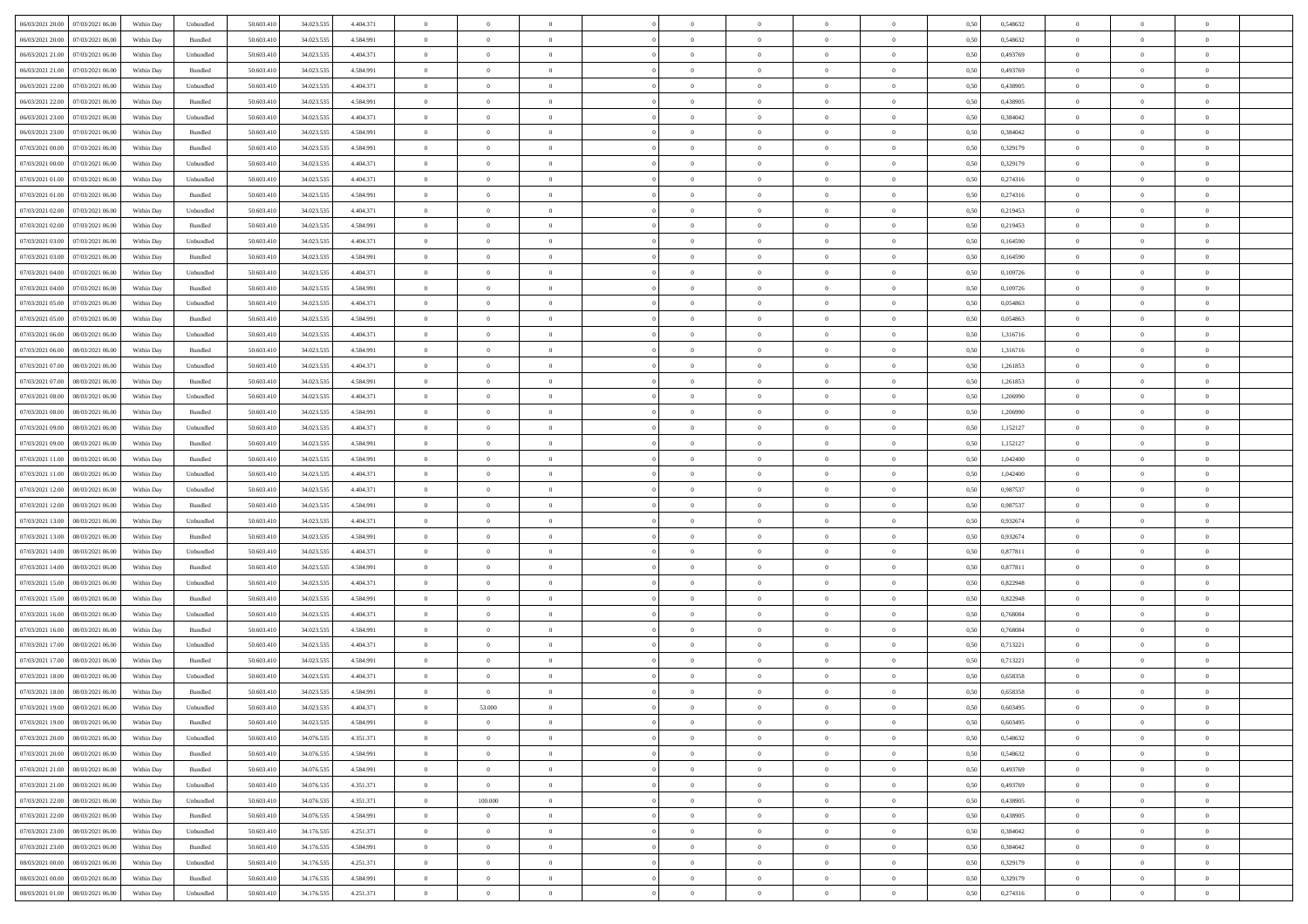| 06/03/2021 20:00 07/03/2021 06:00                                                       | Within Day | Unbundled                   | 50.603.410 | 34.023.535 | 4.404.371 | $\overline{0}$ | $\theta$       |                | $\overline{0}$ | $\theta$       |                | $\theta$       | 0,50 | 0,548632 | $\theta$       | $\theta$       | $\theta$       |  |
|-----------------------------------------------------------------------------------------|------------|-----------------------------|------------|------------|-----------|----------------|----------------|----------------|----------------|----------------|----------------|----------------|------|----------|----------------|----------------|----------------|--|
| 06/03/2021 20:00<br>07/03/2021 06:00                                                    | Within Day | Bundled                     | 50.603.41  | 34.023.53  | 4.584.991 | $\bf{0}$       | $\bf{0}$       | $\bf{0}$       | $\bf{0}$       | $\overline{0}$ | $\overline{0}$ | $\bf{0}$       | 0,50 | 0,548632 | $\,$ 0 $\,$    | $\bf{0}$       | $\overline{0}$ |  |
| 06/03/2021 21:00<br>07/03/2021 06:00                                                    | Within Day | Unbundled                   | 50.603.41  | 34.023.53  | 4.404.371 | $\overline{0}$ | $\bf{0}$       | $\overline{0}$ | $\bf{0}$       | $\bf{0}$       | $\overline{0}$ | $\bf{0}$       | 0.50 | 0.493769 | $\bf{0}$       | $\overline{0}$ | $\overline{0}$ |  |
| 06/03/2021 21:00<br>07/03/2021 06:00                                                    |            |                             | 50.603.410 |            |           | $\overline{0}$ | $\overline{0}$ | $\overline{0}$ | $\theta$       | $\theta$       | $\overline{0}$ |                |      | 0,493769 | $\theta$       | $\theta$       | $\overline{0}$ |  |
|                                                                                         | Within Day | Bundled                     |            | 34.023.535 | 4.584.991 |                |                |                |                |                |                | $\bf{0}$       | 0,50 |          |                |                |                |  |
| 06/03/2021 22:00<br>07/03/2021 06.00                                                    | Within Day | Unbundled                   | 50.603.41  | 34.023.53  | 4.404.371 | $\bf{0}$       | $\overline{0}$ | $\bf{0}$       | $\overline{0}$ | $\theta$       | $\overline{0}$ | $\bf{0}$       | 0,50 | 0,438905 | $\,$ 0 $\,$    | $\bf{0}$       | $\overline{0}$ |  |
| 06/03/2021 22:00<br>07/03/2021 06:00                                                    | Within Day | Bundled                     | 50.603.41  | 34.023.53  | 4.584.991 | $\overline{0}$ | $\overline{0}$ | $\overline{0}$ | $\bf{0}$       | $\overline{0}$ | $\theta$       | $\bf{0}$       | 0.50 | 0.438905 | $\,$ 0 $\,$    | $\theta$       | $\overline{0}$ |  |
| 06/03/2021 23:00<br>07/03/2021 06:00                                                    | Within Day | Unbundled                   | 50.603.41  | 34.023.535 | 4.404.371 | $\overline{0}$ | $\overline{0}$ | $\overline{0}$ | $\overline{0}$ | $\overline{0}$ | $\overline{0}$ | $\bf{0}$       | 0,50 | 0,384042 | $\,$ 0 $\,$    | $\theta$       | $\overline{0}$ |  |
|                                                                                         |            |                             |            |            |           |                |                |                |                |                |                |                |      |          |                |                |                |  |
| 06/03/2021 23:00<br>07/03/2021 06.00                                                    | Within Day | Bundled                     | 50.603.41  | 34.023.53  | 4.584.991 | $\bf{0}$       | $\bf{0}$       | $\bf{0}$       | $\overline{0}$ | $\overline{0}$ | $\overline{0}$ | $\bf{0}$       | 0,50 | 0,384042 | $\,$ 0 $\,$    | $\bf{0}$       | $\overline{0}$ |  |
| 07/03/2021 00:00<br>07/03/2021 06:00                                                    | Within Day | Bundled                     | 50,603.41  | 34.023.53  | 4.584.991 | $\overline{0}$ | $\bf{0}$       | $\overline{0}$ | $\bf{0}$       | $\overline{0}$ | $\overline{0}$ | $\bf{0}$       | 0.50 | 0,329179 | $\bf{0}$       | $\overline{0}$ | $\overline{0}$ |  |
| 07/03/2021 00:00<br>07/03/2021 06:00                                                    | Within Day | Unbundled                   | 50.603.410 | 34.023.535 | 4.404.371 | $\overline{0}$ | $\bf{0}$       | $\overline{0}$ | $\overline{0}$ | $\overline{0}$ | $\overline{0}$ | $\bf{0}$       | 0,50 | 0,329179 | $\,$ 0 $\,$    | $\bf{0}$       | $\overline{0}$ |  |
| 07/03/2021 01:00<br>07/03/2021 06:00                                                    | Within Day | Unbundled                   | 50.603.41  | 34.023.535 | 4.404.371 | $\bf{0}$       | $\overline{0}$ | $\bf{0}$       | $\bf{0}$       | $\bf{0}$       | $\overline{0}$ | $\bf{0}$       | 0,50 | 0,274316 | $\,$ 0 $\,$    | $\bf{0}$       | $\overline{0}$ |  |
|                                                                                         |            |                             |            |            |           |                |                |                |                |                |                |                |      |          |                |                |                |  |
| 07/03/2021 01:00<br>07/03/2021 06:00                                                    | Within Day | Bundled                     | 50.603.41  | 34.023.53  | 4.584.991 | $\overline{0}$ | $\bf{0}$       | $\overline{0}$ | $\overline{0}$ | $\bf{0}$       | $\overline{0}$ | $\bf{0}$       | 0.50 | 0,274316 | $\bf{0}$       | $\overline{0}$ | $\,$ 0         |  |
| 07/03/2021 02:00<br>07/03/2021 06:00                                                    | Within Day | Unbundled                   | 50.603.41  | 34.023.535 | 4.404.371 | $\overline{0}$ | $\overline{0}$ | $\overline{0}$ | $\theta$       | $\theta$       | $\overline{0}$ | $\bf{0}$       | 0,50 | 0,219453 | $\,$ 0 $\,$    | $\theta$       | $\overline{0}$ |  |
| 07/03/2021 02:00<br>07/03/2021 06:00                                                    | Within Day | Bundled                     | 50.603.41  | 34.023.53  | 4.584.991 | $\bf{0}$       | $\overline{0}$ | $\bf{0}$       | $\overline{0}$ | $\bf{0}$       | $\overline{0}$ | $\bf{0}$       | 0,50 | 0,219453 | $\,$ 0 $\,$    | $\bf{0}$       | $\overline{0}$ |  |
|                                                                                         |            |                             |            |            |           |                |                |                |                |                | $\theta$       |                |      |          |                |                |                |  |
| 07/03/2021 03:00<br>07/03/2021 06:00                                                    | Within Day | Unbundled                   | 50.603.41  | 34.023.53  | 4.404.371 | $\overline{0}$ | $\overline{0}$ | $\overline{0}$ | $\bf{0}$       | $\overline{0}$ |                | $\bf{0}$       | 0.50 | 0.164590 | $\,$ 0 $\,$    | $\theta$       | $\overline{0}$ |  |
| 07/03/2021 03:00<br>07/03/2021 06:00                                                    | Within Day | Bundled                     | 50.603.410 | 34.023.535 | 4.584.991 | $\overline{0}$ | $\overline{0}$ | $\overline{0}$ | $\overline{0}$ | $\overline{0}$ | $\overline{0}$ | $\bf{0}$       | 0,50 | 0,164590 | $\theta$       | $\theta$       | $\overline{0}$ |  |
| 07/03/2021 04:00<br>07/03/2021 06.00                                                    | Within Day | Unbundled                   | 50.603.41  | 34.023.53  | 4.404.371 | $\bf{0}$       | $\overline{0}$ | $\bf{0}$       | $\overline{0}$ | $\bf{0}$       | $\overline{0}$ | $\bf{0}$       | 0,50 | 0,109726 | $\,$ 0 $\,$    | $\bf{0}$       | $\overline{0}$ |  |
| 07/03/2021 04:00<br>07/03/2021 06:00                                                    | Within Day | Bundled                     | 50,603.41  | 34.023.53  | 4.584.991 | $\overline{0}$ | $\bf{0}$       | $\overline{0}$ | $\bf{0}$       | $\overline{0}$ | $\overline{0}$ | $\bf{0}$       | 0.50 | 0.109726 | $\bf{0}$       | $\overline{0}$ | $\overline{0}$ |  |
|                                                                                         |            |                             |            |            |           |                |                | $\overline{0}$ | $\overline{0}$ | $\overline{0}$ | $\overline{0}$ |                |      |          | $\,$ 0 $\,$    |                |                |  |
| 07/03/2021 05:00<br>07/03/2021 06:00                                                    | Within Day | Unbundled                   | 50.603.410 | 34.023.535 | 4.404.371 | $\bf{0}$       | $\bf{0}$       |                |                |                |                | $\bf{0}$       | 0,50 | 0,054863 |                | $\bf{0}$       | $\overline{0}$ |  |
| 07/03/2021 05:00<br>07/03/2021 06.00                                                    | Within Day | Bundled                     | 50.603.41  | 34.023.53  | 4.584.991 | $\bf{0}$       | $\bf{0}$       | $\bf{0}$       | $\bf{0}$       | $\overline{0}$ | $\overline{0}$ | $\bf{0}$       | 0,50 | 0,054863 | $\,$ 0 $\,$    | $\bf{0}$       | $\overline{0}$ |  |
| 07/03/2021 06:00<br>08/03/2021 06:00                                                    | Within Day | Unbundled                   | 50.603.41  | 34.023.53  | 4.404.371 | $\overline{0}$ | $\bf{0}$       | $\overline{0}$ | $\overline{0}$ | $\bf{0}$       | $\overline{0}$ | $\bf{0}$       | 0.50 | 1.316716 | $\bf{0}$       | $\overline{0}$ | $\,$ 0         |  |
| 07/03/2021 06:00<br>08/03/2021 06:00                                                    | Within Day | Bundled                     | 50.603.410 | 34.023.535 | 4.584.991 | $\overline{0}$ | $\overline{0}$ | $\overline{0}$ | $\overline{0}$ | $\theta$       | $\overline{0}$ | $\bf{0}$       | 0,50 | 1,316716 | $\theta$       | $\theta$       | $\overline{0}$ |  |
| 07/03/2021 07:00<br>08/03/2021 06:00                                                    | Within Day | Unbundled                   | 50.603.41  | 34.023.53  | 4.404.371 | $\bf{0}$       | $\overline{0}$ | $\bf{0}$       | $\bf{0}$       | $\overline{0}$ | $\overline{0}$ | $\bf{0}$       | 0,50 | 1,261853 | $\,$ 0 $\,$    | $\bf{0}$       | $\overline{0}$ |  |
|                                                                                         |            |                             |            |            |           |                |                |                |                |                |                |                |      |          |                |                |                |  |
| 07/03/2021 07:00<br>08/03/2021 06:00                                                    | Within Day | Bundled                     | 50.603.41  | 34.023.53  | 4.584.991 | $\overline{0}$ | $\overline{0}$ | $\overline{0}$ | $\bf{0}$       | $\overline{0}$ | $\theta$       | $\bf{0}$       | 0.50 | 1.261853 | $\,$ 0 $\,$    | $\theta$       | $\overline{0}$ |  |
| 07/03/2021 08:00<br>08/03/2021 06:00                                                    | Within Day | Unbundled                   | 50.603.41  | 34.023.535 | 4.404.371 | $\overline{0}$ | $\overline{0}$ | $\overline{0}$ | $\overline{0}$ | $\overline{0}$ | $\overline{0}$ | $\bf{0}$       | 0,50 | 1,206990 | $\,$ 0 $\,$    | $\theta$       | $\overline{0}$ |  |
| 07/03/2021 08:00<br>08/03/2021 06:00                                                    | Within Day | Bundled                     | 50.603.41  | 34.023.53  | 4.584.991 | $\bf{0}$       | $\overline{0}$ | $\bf{0}$       | $\overline{0}$ | $\bf{0}$       | $\overline{0}$ | $\bf{0}$       | 0,50 | 1,206990 | $\,$ 0 $\,$    | $\bf{0}$       | $\overline{0}$ |  |
| 07/03/2021 09:00<br>08/03/2021 06:00                                                    | Within Day | Unbundled                   | 50,603.41  | 34.023.53  | 4.404.371 | $\overline{0}$ | $\bf{0}$       | $\overline{0}$ | $\bf{0}$       | $\overline{0}$ | $\overline{0}$ | $\bf{0}$       | 0.50 | 1,152127 | $\bf{0}$       | $\overline{0}$ | $\overline{0}$ |  |
|                                                                                         |            |                             |            |            |           |                |                |                |                |                |                |                |      |          |                |                |                |  |
| 07/03/2021 09:00<br>08/03/2021 06:00                                                    | Within Day | Bundled                     | 50.603.410 | 34.023.535 | 4.584.991 | $\overline{0}$ | $\bf{0}$       | $\overline{0}$ | $\overline{0}$ | $\overline{0}$ | $\overline{0}$ | $\bf{0}$       | 0,50 | 1,152127 | $\,$ 0 $\,$    | $\theta$       | $\overline{0}$ |  |
| 07/03/2021 11:00<br>08/03/2021 06:00                                                    | Within Day | Bundled                     | 50.603.41  | 34.023.53  | 4.584.991 | $\bf{0}$       | $\bf{0}$       | $\bf{0}$       | $\bf{0}$       | $\overline{0}$ | $\overline{0}$ | $\bf{0}$       | 0,50 | 1,042400 | $\,$ 0 $\,$    | $\bf{0}$       | $\overline{0}$ |  |
| 07/03/2021 11:00<br>08/03/2021 06:00                                                    | Within Day | Unbundled                   | 50.603.41  | 34.023.53  | 4.404.371 | $\overline{0}$ | $\bf{0}$       | $\overline{0}$ | $\bf{0}$       | $\bf{0}$       | $\overline{0}$ | $\bf{0}$       | 0.50 | 1.042400 | $\bf{0}$       | $\overline{0}$ | $\bf{0}$       |  |
| 07/03/2021 12:00<br>08/03/2021 06:00                                                    | Within Day | Unbundled                   | 50.603.41  | 34.023.535 | 4.404.371 | $\overline{0}$ | $\overline{0}$ | $\overline{0}$ | $\overline{0}$ | $\overline{0}$ | $\overline{0}$ | $\bf{0}$       | 0.5( | 0,987537 | $\theta$       | $\theta$       | $\overline{0}$ |  |
|                                                                                         |            |                             |            |            |           |                |                |                |                |                |                |                |      |          |                |                |                |  |
| 07/03/2021 12:00<br>08/03/2021 06:00                                                    | Within Day | Bundled                     | 50.603.41  | 34.023.53  | 4.584.991 | $\bf{0}$       | $\bf{0}$       | $\bf{0}$       | $\bf{0}$       | $\,$ 0 $\,$    | $\overline{0}$ | $\bf{0}$       | 0,50 | 0,987537 | $\,$ 0 $\,$    | $\bf{0}$       | $\overline{0}$ |  |
| 07/03/2021 13:00<br>08/03/2021 06:00                                                    | Within Day | Unbundled                   | 50,603.41  | 34.023.53  | 4.404.371 | $\overline{0}$ | $\bf{0}$       | $\overline{0}$ | $\bf{0}$       | $\overline{0}$ | $\Omega$       | $\bf{0}$       | 0.50 | 0.932674 | $\,$ 0 $\,$    | $\bf{0}$       | $\overline{0}$ |  |
| 07/03/2021 13:00<br>08/03/2021 06:00                                                    | Within Day | Bundled                     | 50.603.410 | 34.023.535 | 4.584.991 | $\overline{0}$ | $\overline{0}$ | $\overline{0}$ | $\overline{0}$ | $\theta$       | $\overline{0}$ | $\bf{0}$       | 0.5( | 0,932674 | $\theta$       | $\theta$       | $\overline{0}$ |  |
| 07/03/2021 14:00<br>08/03/2021 06:00                                                    | Within Day | Unbundled                   | 50.603.41  | 34.023.53  | 4.404.371 | $\bf{0}$       | $\bf{0}$       | $\bf{0}$       | $\bf{0}$       | $\overline{0}$ | $\overline{0}$ | $\bf{0}$       | 0,50 | 0,877811 | $\,$ 0 $\,$    | $\bf{0}$       | $\overline{0}$ |  |
|                                                                                         |            |                             |            |            |           |                |                |                |                |                |                |                |      |          |                |                |                |  |
| 07/03/2021 14:00<br>08/03/2021 06:00                                                    | Within Day | Bundled                     | 50,603.41  | 34.023.53  | 4.584.991 | $\overline{0}$ | $\bf{0}$       | $\overline{0}$ | $\bf{0}$       | $\overline{0}$ | $\overline{0}$ | $\bf{0}$       | 0.50 | 0.877811 | $\bf{0}$       | $\overline{0}$ | $\overline{0}$ |  |
| 07/03/2021 15:00<br>08/03/2021 06:00                                                    | Within Day | Unbundled                   | 50.603.41  | 34.023.535 | 4.404.371 | $\overline{0}$ | $\overline{0}$ | $\overline{0}$ | $\overline{0}$ | $\overline{0}$ | $\overline{0}$ | $\bf{0}$       | 0.50 | 0,822948 | $\theta$       | $\theta$       | $\overline{0}$ |  |
| 07/03/2021 15:00<br>08/03/2021 06:00                                                    | Within Day | Bundled                     | 50.603.41  | 34.023.53  | 4.584.991 | $\bf{0}$       | $\bf{0}$       | $\bf{0}$       | $\bf{0}$       | $\overline{0}$ | $\overline{0}$ | $\bf{0}$       | 0,50 | 0,822948 | $\,$ 0 $\,$    | $\bf{0}$       | $\overline{0}$ |  |
| 07/03/2021 16:00<br>08/03/2021 06:00                                                    | Within Day | Unbundled                   | 50.603.41  | 34.023.53  | 4.404.371 | $\overline{0}$ | $\bf{0}$       | $\overline{0}$ | $\overline{0}$ | $\bf{0}$       | $\overline{0}$ | $\bf{0}$       | 0.50 | 0.768084 | $\bf{0}$       | $\overline{0}$ | $\bf{0}$       |  |
| 07/03/2021 16:00<br>08/03/2021 06:00                                                    | Within Day | Bundled                     | 50.603.41  | 34.023.535 | 4.584.991 | $\overline{0}$ | $\overline{0}$ | $\overline{0}$ | $\overline{0}$ | $\overline{0}$ | $\overline{0}$ | $\bf{0}$       | 0.5( | 0,768084 | $\theta$       | $\theta$       | $\overline{0}$ |  |
|                                                                                         |            |                             |            |            |           |                |                |                |                |                |                |                |      |          |                |                |                |  |
| 07/03/2021 17:00<br>08/03/2021 06:00                                                    | Within Day | Unbundled                   | 50.603.41  | 34.023.53  | 4.404.371 | $\bf{0}$       | $\bf{0}$       | $\bf{0}$       | $\bf{0}$       | $\overline{0}$ | $\overline{0}$ | $\bf{0}$       | 0,50 | 0,713221 | $\,$ 0 $\,$    | $\bf{0}$       | $\overline{0}$ |  |
| 07/03/2021 17:00<br>08/03/2021 06:00                                                    | Within Day | Bundled                     | 50,603.41  | 34.023.53  | 4.584.991 | $\overline{0}$ | $\overline{0}$ | $\overline{0}$ | $\bf{0}$       | $\overline{0}$ | $\Omega$       | $\bf{0}$       | 0.50 | 0,713221 | $\bf{0}$       | $\theta$       | $\overline{0}$ |  |
| 07/03/2021 18:00<br>08/03/2021 06:00                                                    | Within Dav | Unbundled                   | 50.603.41  | 34.023.535 | 4.404.371 | $\overline{0}$ | $\overline{0}$ | $\overline{0}$ | $\overline{0}$ | $\theta$       | $\overline{0}$ | $\overline{0}$ | 0.50 | 0,658358 | $\theta$       | $\theta$       | $\overline{0}$ |  |
| 07/03/2021 18:00<br>08/03/2021 06:00                                                    | Within Day | Bundled                     | 50.603.41  | 34.023.53  | 4.584.991 | $\bf{0}$       | $\bf{0}$       | $\bf{0}$       | $\bf{0}$       | $\bf{0}$       | $\overline{0}$ | $\bf{0}$       | 0,50 | 0,658358 | $\,$ 0 $\,$    | $\bf{0}$       | $\overline{0}$ |  |
|                                                                                         |            |                             |            |            |           |                |                |                |                |                |                |                |      |          |                |                |                |  |
| ${\color{red} 07/03/2021}\,\, 19.00 {\color{red} 08/03/2021}\,\, 06.00 {\color{red} 0}$ | Within Day | $\ensuremath{\mathsf{Unb}}$ | 50.603.410 | 34.023.535 | 4.404.371 | $\bf{0}$       | 53.000         |                | $\Omega$       |                |                |                | 0,50 | 0.603495 | $\bf{0}$       | $\overline{0}$ |                |  |
| 07/03/2021 19:00 08/03/2021 06:00                                                       | Within Day | Bundled                     | 50.603.410 | 34.023.535 | 4.584.991 | $\overline{0}$ | $\overline{0}$ | $\Omega$       | $\theta$       | $\overline{0}$ | $\overline{0}$ | $\bf{0}$       | 0,50 | 0,603495 | $\theta$       | $\overline{0}$ | $\overline{0}$ |  |
| 07/03/2021 20:00<br>08/03/2021 06:00                                                    | Within Day | Unbundled                   | 50.603.41  | 34.076.535 | 4.351.371 | $\overline{0}$ | $\bf{0}$       | $\overline{0}$ | $\overline{0}$ | $\bf{0}$       | $\overline{0}$ | $\bf{0}$       | 0,50 | 0,548632 | $\bf{0}$       | $\overline{0}$ | $\bf{0}$       |  |
| 07/03/2021 20:00   08/03/2021 06:00                                                     | Within Day | Bundled                     | 50,603.410 | 34.076.535 | 4.584.991 | $\overline{0}$ | $\overline{0}$ | $\overline{0}$ | $\overline{0}$ | $\mathbf{0}$   | $\overline{0}$ | $\,$ 0 $\,$    | 0.50 | 0.548632 | $\overline{0}$ | $\bf{0}$       | $\bf{0}$       |  |
|                                                                                         |            |                             |            |            |           |                |                |                |                |                |                |                |      |          |                |                |                |  |
| 07/03/2021 21:00  08/03/2021 06:00                                                      | Within Dav | Bundled                     | 50.603.410 | 34.076.535 | 4.584.991 | $\overline{0}$ | $\overline{0}$ | $\overline{0}$ | $\overline{0}$ | $\overline{0}$ | $\overline{0}$ | $\bf{0}$       | 0,50 | 0,493769 | $\overline{0}$ | $\theta$       | $\overline{0}$ |  |
| 07/03/2021 21:00<br>08/03/2021 06:00                                                    | Within Day | Unbundled                   | 50.603.41  | 34.076.535 | 4.351.371 | $\overline{0}$ | $\bf{0}$       | $\overline{0}$ | $\overline{0}$ | $\bf{0}$       | $\overline{0}$ | $\bf{0}$       | 0,50 | 0,493769 | $\bf{0}$       | $\overline{0}$ | $\overline{0}$ |  |
| 07/03/2021 22:00<br>08/03/2021 06:00                                                    | Within Day | Unbundled                   | 50.603.410 | 34,076,535 | 4.351.371 | $\overline{0}$ | 100,000        | $\overline{0}$ | $\overline{0}$ | $\overline{0}$ | $\overline{0}$ | $\bf{0}$       | 0.50 | 0.438905 | $\,$ 0 $\,$    | $\overline{0}$ | $\,$ 0         |  |
| 07/03/2021 22:00<br>08/03/2021 06:00                                                    | Within Dav | Bundled                     | 50.603.410 | 34.076.535 | 4.584.991 | $\overline{0}$ | $\overline{0}$ | $\overline{0}$ | $\overline{0}$ | $\overline{0}$ | $\overline{0}$ | $\bf{0}$       | 0.50 | 0,438905 | $\overline{0}$ | $\theta$       | $\overline{0}$ |  |
|                                                                                         |            |                             |            |            |           |                |                |                |                |                |                |                |      |          |                |                |                |  |
| 07/03/2021 23:00<br>08/03/2021 06:00                                                    | Within Day | Unbundled                   | 50.603.41  | 34.176.535 | 4.251.371 | $\overline{0}$ | $\bf{0}$       | $\overline{0}$ | $\overline{0}$ | $\overline{0}$ | $\overline{0}$ | $\bf{0}$       | 0,50 | 0,384042 | $\bf{0}$       | $\overline{0}$ | $\overline{0}$ |  |
| 07/03/2021 23:00<br>08/03/2021 06:00                                                    | Within Day | Bundled                     | 50,603.410 | 34.176.535 | 4.584.991 | $\overline{0}$ | $\overline{0}$ | $\overline{0}$ | $\overline{0}$ | $\overline{0}$ | $\overline{0}$ | $\bf{0}$       | 0.50 | 0.384042 | $\mathbf{0}$   | $\bf{0}$       | $\,$ 0         |  |
| 08/03/2021 00:00 08/03/2021 06:00                                                       | Within Dav | Unbundled                   | 50.603.410 | 34.176.535 | 4.251.371 | $\overline{0}$ | $\overline{0}$ | $\overline{0}$ | $\overline{0}$ | $\overline{0}$ | $\overline{0}$ | $\bf{0}$       | 0,50 | 0,329179 | $\overline{0}$ | $\theta$       | $\overline{0}$ |  |
| 08/03/2021 00:00<br>08/03/2021 06:00                                                    | Within Day | Bundled                     | 50.603.41  | 34.176.535 | 4.584.991 | $\overline{0}$ | $\bf{0}$       | $\overline{0}$ | $\overline{0}$ | $\overline{0}$ | $\overline{0}$ | $\bf{0}$       | 0,50 | 0,329179 | $\bf{0}$       | $\,0\,$        | $\bf{0}$       |  |
|                                                                                         |            |                             |            |            |           |                |                |                |                |                |                |                |      |          |                |                |                |  |
| 08/03/2021 01:00 08/03/2021 06:00                                                       | Within Day | Unbundled                   | 50.603.410 | 34.176.535 | 4.251.371 | $\,$ 0 $\,$    | $\bf{0}$       | $\overline{0}$ | $\overline{0}$ | $\,$ 0 $\,$    | $\overline{0}$ | $\bf{0}$       | 0,50 | 0,274316 | $\overline{0}$ | $\,$ 0 $\,$    | $\,$ 0 $\,$    |  |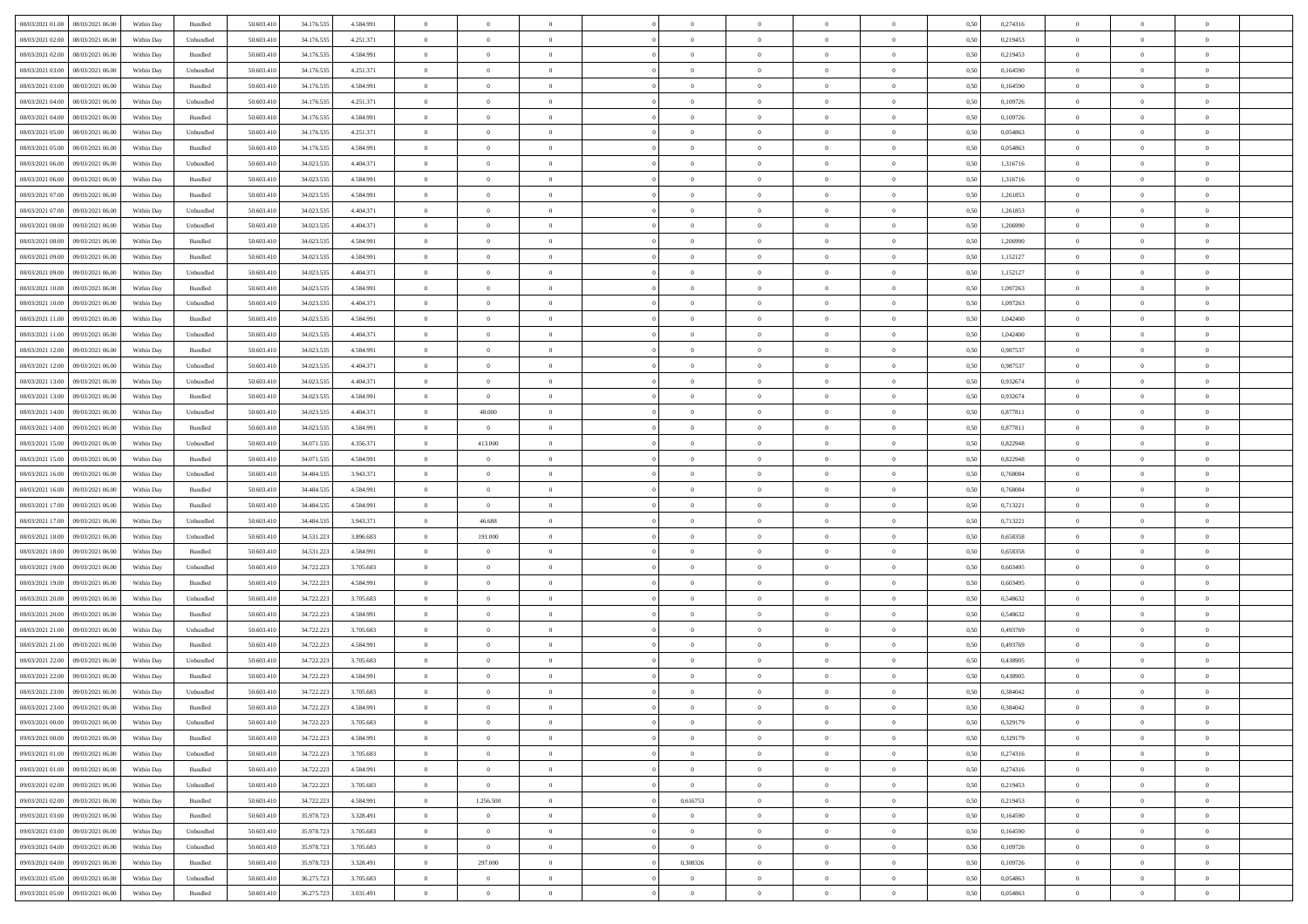| 08/03/2021 01:00 08/03/2021 06:00                                                                  | Within Day | Bundled   | 50.603.410 | 34.176.535 | 4.584.991 | $\overline{0}$ | $\overline{0}$ |                | $\overline{0}$ | $\theta$       |                | $\theta$       | 0,50 | 0,274316 | $\theta$       | $\theta$       | $\overline{0}$ |  |
|----------------------------------------------------------------------------------------------------|------------|-----------|------------|------------|-----------|----------------|----------------|----------------|----------------|----------------|----------------|----------------|------|----------|----------------|----------------|----------------|--|
| 08/03/2021 02:00<br>08/03/2021 06:00                                                               | Within Day | Unbundled | 50.603.41  | 34.176.53  | 4.251.371 | $\bf{0}$       | $\bf{0}$       | $\bf{0}$       | $\bf{0}$       | $\overline{0}$ | $\overline{0}$ | $\bf{0}$       | 0,50 | 0,219453 | $\,$ 0 $\,$    | $\bf{0}$       | $\overline{0}$ |  |
| 08/03/2021 02:00<br>08/03/2021 06:00                                                               | Within Day | Bundled   | 50.603.41  | 34.176.535 | 4.584.991 | $\overline{0}$ | $\bf{0}$       | $\overline{0}$ | $\bf{0}$       | $\bf{0}$       | $\overline{0}$ | $\bf{0}$       | 0.50 | 0,219453 | $\bf{0}$       | $\overline{0}$ | $\overline{0}$ |  |
| 08/03/2021 03:00<br>08/03/2021 06:00                                                               | Within Day | Unbundled | 50.603.41  | 34.176.535 | 4.251.371 | $\overline{0}$ | $\overline{0}$ | $\overline{0}$ | $\overline{0}$ | $\theta$       | $\overline{0}$ | $\bf{0}$       | 0,50 | 0,164590 | $\theta$       | $\theta$       | $\overline{0}$ |  |
|                                                                                                    |            |           |            |            |           |                |                |                |                |                |                |                |      |          |                |                |                |  |
| 08/03/2021 03:00<br>08/03/2021 06:00                                                               | Within Day | Bundled   | 50.603.41  | 34.176.535 | 4.584.991 | $\bf{0}$       | $\overline{0}$ | $\bf{0}$       | $\overline{0}$ | $\theta$       | $\overline{0}$ | $\bf{0}$       | 0,50 | 0,164590 | $\,$ 0 $\,$    | $\bf{0}$       | $\overline{0}$ |  |
| 08/03/2021 04:00<br>08/03/2021 06:00                                                               | Within Day | Unbundled | 50,603.41  | 34.176.53  | 4.251.371 | $\overline{0}$ | $\overline{0}$ | $\overline{0}$ | $\bf{0}$       | $\overline{0}$ | $\theta$       | $\bf{0}$       | 0.50 | 0.109726 | $\,$ 0 $\,$    | $\theta$       | $\overline{0}$ |  |
| 08/03/2021 04:00<br>08/03/2021 06:00                                                               | Within Day | Bundled   | 50.603.41  | 34.176.535 | 4.584.991 | $\overline{0}$ | $\overline{0}$ | $\overline{0}$ | $\overline{0}$ | $\overline{0}$ | $\overline{0}$ | $\bf{0}$       | 0,50 | 0,109726 | $\,$ 0 $\,$    | $\theta$       | $\overline{0}$ |  |
| 08/03/2021 05:00<br>08/03/2021 06:00                                                               | Within Day | Unbundled | 50.603.41  | 34.176.53  | 4.251.371 | $\bf{0}$       | $\bf{0}$       | $\bf{0}$       | $\overline{0}$ | $\overline{0}$ | $\overline{0}$ | $\bf{0}$       | 0,50 | 0,054863 | $\,$ 0 $\,$    | $\bf{0}$       | $\overline{0}$ |  |
| 08/03/2021 05:00<br>08/03/2021 06:00                                                               | Within Day | Bundled   | 50.603.41  | 34.176.53  | 4.584.991 | $\overline{0}$ | $\bf{0}$       | $\overline{0}$ | $\bf{0}$       | $\overline{0}$ | $\overline{0}$ | $\bf{0}$       | 0.50 | 0.054863 | $\bf{0}$       | $\overline{0}$ | $\overline{0}$ |  |
| 08/03/2021 06:00<br>09/03/2021 06:00                                                               | Within Day | Unbundled | 50.603.410 | 34.023.535 | 4.404.371 | $\bf{0}$       | $\bf{0}$       | $\overline{0}$ | $\overline{0}$ | $\overline{0}$ | $\overline{0}$ | $\bf{0}$       | 0,50 | 1,316716 | $\,$ 0 $\,$    | $\,$ 0 $\,$    | $\overline{0}$ |  |
|                                                                                                    |            |           |            |            |           |                |                |                |                |                |                |                |      |          |                |                |                |  |
| 08/03/2021 06:00<br>09/03/2021 06.00                                                               | Within Day | Bundled   | 50.603.41  | 34.023.53  | 4.584.991 | $\bf{0}$       | $\bf{0}$       | $\bf{0}$       | $\bf{0}$       | $\overline{0}$ | $\overline{0}$ | $\bf{0}$       | 0,50 | 1,316716 | $\,$ 0 $\,$    | $\bf{0}$       | $\overline{0}$ |  |
| 08/03/2021 07:00<br>09/03/2021 06:00                                                               | Within Day | Bundled   | 50,603.41  | 34.023.53  | 4.584.991 | $\overline{0}$ | $\bf{0}$       | $\overline{0}$ | $\overline{0}$ | $\bf{0}$       | $\overline{0}$ | $\bf{0}$       | 0.50 | 1.261853 | $\bf{0}$       | $\overline{0}$ | $\,$ 0         |  |
| 08/03/2021 07:00<br>09/03/2021 06:00                                                               | Within Day | Unbundled | 50.603.41  | 34.023.535 | 4.404.371 | $\overline{0}$ | $\overline{0}$ | $\overline{0}$ | $\theta$       | $\theta$       | $\overline{0}$ | $\bf{0}$       | 0,50 | 1,261853 | $\,$ 0 $\,$    | $\theta$       | $\overline{0}$ |  |
| 08/03/2021 08:00<br>09/03/2021 06.00                                                               | Within Day | Unbundled | 50.603.41  | 34.023.53  | 4.404.371 | $\bf{0}$       | $\overline{0}$ | $\bf{0}$       | $\overline{0}$ | $\bf{0}$       | $\overline{0}$ | $\bf{0}$       | 0,50 | 1,206990 | $\,$ 0 $\,$    | $\bf{0}$       | $\overline{0}$ |  |
| 08/03/2021 08:00<br>09/03/2021 06:00                                                               | Within Day | Bundled   | 50,603.41  | 34.023.53  | 4.584.991 | $\overline{0}$ | $\bf{0}$       | $\overline{0}$ | $\bf{0}$       | $\overline{0}$ | $\theta$       | $\bf{0}$       | 0.50 | 1.206990 | $\,$ 0 $\,$    | $\theta$       | $\overline{0}$ |  |
|                                                                                                    |            |           |            |            |           |                |                |                |                |                |                |                |      |          |                |                |                |  |
| 08/03/2021 09:00<br>09/03/2021 06:00                                                               | Within Day | Bundled   | 50.603.410 | 34.023.535 | 4.584.991 | $\overline{0}$ | $\overline{0}$ | $\overline{0}$ | $\overline{0}$ | $\overline{0}$ | $\overline{0}$ | $\bf{0}$       | 0,50 | 1,152127 | $\theta$       | $\theta$       | $\overline{0}$ |  |
| 08/03/2021 09:00<br>09/03/2021 06.00                                                               | Within Day | Unbundled | 50.603.41  | 34.023.53  | 4.404.371 | $\bf{0}$       | $\bf{0}$       | $\bf{0}$       | $\overline{0}$ | $\bf{0}$       | $\overline{0}$ | $\bf{0}$       | 0,50 | 1,152127 | $\,$ 0 $\,$    | $\bf{0}$       | $\overline{0}$ |  |
| 08/03/2021 10:00<br>09/03/2021 06:00                                                               | Within Day | Bundled   | 50.603.41  | 34.023.53  | 4.584.991 | $\overline{0}$ | $\bf{0}$       | $\overline{0}$ | $\bf{0}$       | $\overline{0}$ | $\overline{0}$ | $\bf{0}$       | 0.50 | 1.097263 | $\bf{0}$       | $\overline{0}$ | $\bf{0}$       |  |
| 08/03/2021 10:00<br>09/03/2021 06:00                                                               | Within Day | Unbundled | 50.603.410 | 34.023.535 | 4.404.371 | $\bf{0}$       | $\bf{0}$       | $\overline{0}$ | $\overline{0}$ | $\overline{0}$ | $\overline{0}$ | $\bf{0}$       | 0,50 | 1,097263 | $\,$ 0 $\,$    | $\bf{0}$       | $\overline{0}$ |  |
| 08/03/2021 11:00<br>09/03/2021 06.00                                                               | Within Day | Bundled   | 50.603.41  | 34.023.53  | 4.584.991 | $\bf{0}$       | $\bf{0}$       | $\bf{0}$       | $\bf{0}$       | $\overline{0}$ | $\overline{0}$ | $\bf{0}$       | 0,50 | 1,042400 | $\,$ 0 $\,$    | $\bf{0}$       | $\overline{0}$ |  |
| 08/03/2021 11:00<br>09/03/2021 06:00                                                               | Within Day | Unbundled | 50.603.41  | 34.023.53  | 4.404.371 | $\overline{0}$ | $\bf{0}$       | $\overline{0}$ | $\overline{0}$ | $\bf{0}$       | $\overline{0}$ | $\bf{0}$       | 0.50 | 1.042400 | $\bf{0}$       | $\overline{0}$ | $\,$ 0         |  |
|                                                                                                    |            |           |            |            |           | $\overline{0}$ | $\overline{0}$ |                |                |                |                |                |      |          | $\theta$       | $\theta$       |                |  |
| 08/03/2021 12:00<br>09/03/2021 06:00                                                               | Within Day | Bundled   | 50.603.41  | 34.023.535 | 4.584.991 |                |                | $\overline{0}$ | $\overline{0}$ | $\theta$       | $\overline{0}$ | $\bf{0}$       | 0,50 | 0,987537 |                |                | $\overline{0}$ |  |
| 08/03/2021 12:00<br>09/03/2021 06.00                                                               | Within Day | Unbundled | 50.603.41  | 34.023.53  | 4.404.371 | $\bf{0}$       | $\bf{0}$       | $\bf{0}$       | $\bf{0}$       | $\overline{0}$ | $\overline{0}$ | $\bf{0}$       | 0,50 | 0,987537 | $\,$ 0 $\,$    | $\bf{0}$       | $\overline{0}$ |  |
| 08/03/2021 13:00<br>09/03/2021 06:00                                                               | Within Day | Unbundled | 50.603.41  | 34.023.53  | 4.404.371 | $\overline{0}$ | $\bf{0}$       | $\overline{0}$ | $\bf{0}$       | $\overline{0}$ | $\theta$       | $\bf{0}$       | 0.50 | 0.932674 | $\,$ 0 $\,$    | $\theta$       | $\overline{0}$ |  |
| 08/03/2021 13:00<br>09/03/2021 06:00                                                               | Within Day | Bundled   | 50.603.41  | 34.023.535 | 4.584.991 | $\overline{0}$ | $\overline{0}$ | $\overline{0}$ | $\overline{0}$ | $\overline{0}$ | $\overline{0}$ | $\bf{0}$       | 0,50 | 0,932674 | $\,$ 0 $\,$    | $\theta$       | $\overline{0}$ |  |
| 08/03/2021 14:00<br>09/03/2021 06.00                                                               | Within Day | Unbundled | 50.603.41  | 34.023.53  | 4.404.371 | $\bf{0}$       | 48.000         | $\bf{0}$       | $\overline{0}$ | $\bf{0}$       | $\overline{0}$ | $\bf{0}$       | 0,50 | 0,877811 | $\,$ 0 $\,$    | $\bf{0}$       | $\overline{0}$ |  |
| 08/03/2021 14:00<br>09/03/2021 06:00                                                               | Within Day | Bundled   | 50,603.41  | 34.023.53  | 4.584.991 | $\overline{0}$ | $\overline{0}$ | $\overline{0}$ | $\bf{0}$       | $\overline{0}$ | $\overline{0}$ | $\bf{0}$       | 0.50 | 0.877811 | $\bf{0}$       | $\overline{0}$ | $\overline{0}$ |  |
| 08/03/2021 15:00<br>09/03/2021 06:00                                                               | Within Day | Unbundled | 50.603.410 | 34.071.535 | 4.356.371 | $\overline{0}$ | 413.000        | $\overline{0}$ | $\overline{0}$ | $\overline{0}$ | $\overline{0}$ | $\bf{0}$       | 0,50 | 0,822948 | $\theta$       | $\theta$       | $\overline{0}$ |  |
|                                                                                                    |            |           |            |            |           |                |                |                |                |                |                |                |      |          |                |                |                |  |
| 08/03/2021 15:00<br>09/03/2021 06.00                                                               | Within Day | Bundled   | 50.603.41  | 34.071.535 | 4.584.991 | $\bf{0}$       | $\bf{0}$       | $\bf{0}$       | $\bf{0}$       | $\overline{0}$ | $\overline{0}$ | $\bf{0}$       | 0,50 | 0,822948 | $\,$ 0 $\,$    | $\bf{0}$       | $\overline{0}$ |  |
| 08/03/2021 16:00<br>09/03/2021 06:00                                                               | Within Day | Unbundled | 50.603.41  | 34.484.535 | 3.943.371 | $\overline{0}$ | $\bf{0}$       | $\overline{0}$ | $\overline{0}$ | $\bf{0}$       | $\overline{0}$ | $\bf{0}$       | 0.50 | 0.768084 | $\bf{0}$       | $\overline{0}$ | $\,$ 0         |  |
| 08/03/2021 16:00<br>09/03/2021 06:00                                                               | Within Day | Bundled   | 50.603.41  | 34,484,53  | 4.584.991 | $\overline{0}$ | $\overline{0}$ | $\overline{0}$ | $\overline{0}$ | $\overline{0}$ | $\overline{0}$ | $\bf{0}$       | 0.5( | 0.768084 | $\theta$       | $\theta$       | $\overline{0}$ |  |
| 08/03/2021 17:00<br>09/03/2021 06.00                                                               | Within Day | Bundled   | 50.603.41  | 34.484.53  | 4.584.991 | $\bf{0}$       | $\bf{0}$       | $\bf{0}$       | $\bf{0}$       | $\,$ 0 $\,$    | $\overline{0}$ | $\bf{0}$       | 0,50 | 0,713221 | $\,$ 0 $\,$    | $\bf{0}$       | $\overline{0}$ |  |
| 08/03/2021 17:00<br>09/03/2021 06:00                                                               | Within Day | Unbundled | 50.603.41  | 34,484,535 | 3.943.371 | $\overline{0}$ | 46.688         | $\overline{0}$ | $\bf{0}$       | $\overline{0}$ | $\Omega$       | $\bf{0}$       | 0.50 | 0,713221 | $\,$ 0 $\,$    | $\bf{0}$       | $\overline{0}$ |  |
| 08/03/2021 18:00<br>09/03/2021 06:00                                                               | Within Dav | Unbundled | 50.603.41  | 34.531.223 | 3.896.683 | $\overline{0}$ | 191.000        | $\overline{0}$ | $\overline{0}$ | $\overline{0}$ | $\overline{0}$ | $\bf{0}$       | 0.50 | 0,658358 | $\theta$       | $\theta$       | $\overline{0}$ |  |
| 09/03/2021 06.00                                                                                   | Within Day | Bundled   | 50.603.41  | 34.531.223 | 4.584.991 | $\bf{0}$       | $\theta$       | $\bf{0}$       | $\bf{0}$       | $\overline{0}$ | $\overline{0}$ | $\bf{0}$       | 0,50 | 0,658358 | $\,$ 0 $\,$    | $\bf{0}$       | $\overline{0}$ |  |
| 08/03/2021 18:00                                                                                   |            |           |            |            |           |                |                |                |                |                |                |                |      |          |                |                |                |  |
| 08/03/2021 19:00<br>09/03/2021 06:00                                                               | Within Day | Unbundled | 50,603.41  | 34.722.22  | 3.705.683 | $\overline{0}$ | $\bf{0}$       | $\overline{0}$ | $\bf{0}$       | $\overline{0}$ | $\overline{0}$ | $\bf{0}$       | 0.50 | 0.603495 | $\bf{0}$       | $\overline{0}$ | $\overline{0}$ |  |
| 08/03/2021 19:00<br>09/03/2021 06:00                                                               | Within Day | Bundled   | 50.603.41  | 34.722.223 | 4.584.991 | $\overline{0}$ | $\overline{0}$ | $\overline{0}$ | $\overline{0}$ | $\overline{0}$ | $\overline{0}$ | $\bf{0}$       | 0.50 | 0,603495 | $\theta$       | $\theta$       | $\overline{0}$ |  |
| 08/03/2021 20:00<br>09/03/2021 06.00                                                               | Within Day | Unbundled | 50.603.41  | 34.722.223 | 3.705.683 | $\bf{0}$       | $\bf{0}$       | $\bf{0}$       | $\bf{0}$       | $\overline{0}$ | $\overline{0}$ | $\bf{0}$       | 0,50 | 0,548632 | $\,$ 0 $\,$    | $\bf{0}$       | $\overline{0}$ |  |
| 08/03/2021 20:00<br>09/03/2021 06:00                                                               | Within Day | Bundled   | 50.603.41  | 34.722.223 | 4.584.991 | $\overline{0}$ | $\bf{0}$       | $\overline{0}$ | $\overline{0}$ | $\bf{0}$       | $\overline{0}$ | $\bf{0}$       | 0.50 | 0.548632 | $\bf{0}$       | $\overline{0}$ | $\,$ 0         |  |
| 08/03/2021 21:00<br>09/03/2021 06:00                                                               | Within Day | Unbundled | 50.603.41  | 34.722.223 | 3.705.683 | $\overline{0}$ | $\overline{0}$ | $\overline{0}$ | $\overline{0}$ | $\overline{0}$ | $\overline{0}$ | $\bf{0}$       | 0.50 | 0,493769 | $\theta$       | $\theta$       | $\overline{0}$ |  |
| 08/03/2021 21:00<br>09/03/2021 06.00                                                               | Within Day | Bundled   | 50.603.41  | 34.722.223 | 4.584.991 | $\bf{0}$       | $\bf{0}$       | $\bf{0}$       | $\bf{0}$       | $\overline{0}$ | $\overline{0}$ | $\bf{0}$       | 0,50 | 0,493769 | $\,$ 0 $\,$    | $\bf{0}$       | $\overline{0}$ |  |
| 08/03/2021 22:00<br>09/03/2021 06:00                                                               |            | Unbundled | 50.603.41  | 34.722.223 | 3.705.683 | $\overline{0}$ | $\overline{0}$ | $\overline{0}$ | $\bf{0}$       | $\overline{0}$ | $\Omega$       | $\bf{0}$       | 0.50 | 0.438905 | $\bf{0}$       | $\theta$       | $\overline{0}$ |  |
|                                                                                                    | Within Day |           |            |            |           |                |                |                |                |                |                |                |      |          |                |                |                |  |
| 08/03/2021 22:00<br>09/03/2021 06:00                                                               | Within Dav | Bundled   | 50.603.41  | 34.722.22  | 4.584.991 | $\overline{0}$ | $\overline{0}$ | $\Omega$       | $\theta$       | $\theta$       | $\overline{0}$ | $\overline{0}$ | 0.5( | 0,438905 | $\theta$       | $\theta$       | $\overline{0}$ |  |
| 08/03/2021 23:00<br>09/03/2021 06:00                                                               | Within Day | Unbundled | 50.603.41  | 34.722.223 | 3.705.683 | $\bf{0}$       | $\bf{0}$       | $\bf{0}$       | $\bf{0}$       | $\bf{0}$       | $\overline{0}$ | $\bf{0}$       | 0,50 | 0,384042 | $\,$ 0 $\,$    | $\bf{0}$       | $\overline{0}$ |  |
| ${\color{red} 08}/03/2021 {\color{red} 23.00} \qquad {\color{red} 09}/03/2021 {\color{red} 06.00}$ | Within Day | Bundled   | 50.603.410 | 34.722.223 | 4 584 991 | $\bf{0}$       | $\Omega$       |                | $\Omega$       |                |                |                | 0,50 | 0,384042 | $\theta$       | $\overline{0}$ |                |  |
| 09/03/2021 00:00 09/03/2021 06:00                                                                  | Within Day | Unbundled | 50.603.410 | 34.722.223 | 3.705.683 | $\overline{0}$ | $\overline{0}$ | $\overline{0}$ | $\theta$       | $\overline{0}$ | $\overline{0}$ | $\bf{0}$       | 0,50 | 0,329179 | $\theta$       | $\overline{0}$ | $\overline{0}$ |  |
| 09/03/2021 00:00<br>09/03/2021 06:00                                                               | Within Day | Bundled   | 50.603.41  | 34.722.223 | 4.584.991 | $\overline{0}$ | $\bf{0}$       | $\overline{0}$ | $\overline{0}$ | $\bf{0}$       | $\overline{0}$ | $\bf{0}$       | 0,50 | 0,329179 | $\bf{0}$       | $\overline{0}$ | $\bf{0}$       |  |
| 09/03/2021 01:00 09/03/2021 06:00                                                                  | Within Day | Unbundled | 50,603.410 | 34.722.223 | 3.705.683 | $\overline{0}$ | $\overline{0}$ | $\overline{0}$ | $\overline{0}$ | $\mathbf{0}$   | $\overline{0}$ | $\,$ 0 $\,$    | 0.50 | 0,274316 | $\overline{0}$ | $\bf{0}$       | $\,$ 0 $\,$    |  |
|                                                                                                    |            |           |            |            |           |                | $\overline{0}$ |                |                | $\overline{0}$ |                |                |      |          | $\overline{0}$ | $\theta$       | $\overline{0}$ |  |
| 09/03/2021 01:00 09/03/2021 06:00                                                                  | Within Dav | Bundled   | 50.603.410 | 34.722.223 | 4.584.991 | $\overline{0}$ |                | $\overline{0}$ | $\overline{0}$ |                | $\overline{0}$ | $\bf{0}$       | 0.50 | 0,274316 |                |                |                |  |
| 09/03/2021 02:00<br>09/03/2021 06:00                                                               | Within Day | Unbundled | 50.603.41  | 34.722.223 | 3.705.683 | $\overline{0}$ | $\bf{0}$       | $\overline{0}$ | $\overline{0}$ | $\bf{0}$       | $\overline{0}$ | $\bf{0}$       | 0,50 | 0,219453 | $\bf{0}$       | $\overline{0}$ | $\overline{0}$ |  |
| 09/03/2021 02:00<br>09/03/2021 06:00                                                               | Within Day | Bundled   | 50.603.410 | 34.722.223 | 4.584.991 | $\overline{0}$ | 1.256.500      | $\overline{0}$ | 0,616753       | $\overline{0}$ | $\overline{0}$ | $\bf{0}$       | 0.50 | 0,219453 | $\,$ 0 $\,$    | $\overline{0}$ | $\overline{0}$ |  |
| 09/03/2021 03:00<br>09/03/2021 06:00                                                               | Within Dav | Bundled   | 50.603.410 | 35.978.723 | 3.328.491 | $\overline{0}$ | $\overline{0}$ | $\overline{0}$ | $\overline{0}$ | $\overline{0}$ | $\overline{0}$ | $\bf{0}$       | 0.50 | 0,164590 | $\overline{0}$ | $\theta$       | $\overline{0}$ |  |
| 09/03/2021 03:00<br>09/03/2021 06:00                                                               | Within Day | Unbundled | 50.603.41  | 35.978.723 | 3.705.683 | $\overline{0}$ | $\bf{0}$       | $\overline{0}$ | $\overline{0}$ | $\overline{0}$ | $\overline{0}$ | $\bf{0}$       | 0,50 | 0,164590 | $\bf{0}$       | $\overline{0}$ | $\overline{0}$ |  |
| 09/03/2021 04:00<br>09/03/2021 06:00                                                               | Within Day | Unbundled | 50,603.410 | 35.978.723 | 3.705.683 | $\overline{0}$ | $\overline{0}$ | $\overline{0}$ | $\overline{0}$ | $\overline{0}$ | $\overline{0}$ | $\bf{0}$       | 0.50 | 0.109726 | $\mathbf{0}$   | $\bf{0}$       | $\,$ 0         |  |
| 09/03/2021 04:00<br>09/03/2021 06:00                                                               | Within Dav | Bundled   | 50.603.410 | 35.978.723 | 3.328.491 | $\overline{0}$ | 297.000        | $\overline{0}$ | 0,308326       | $\overline{0}$ | $\overline{0}$ | $\bf{0}$       | 0,50 | 0,109726 | $\overline{0}$ | $\theta$       | $\overline{0}$ |  |
|                                                                                                    |            |           |            |            |           |                |                |                |                |                |                |                |      |          |                |                |                |  |
| 09/03/2021 05:00<br>09/03/2021 06.00                                                               | Within Day | Unbundled | 50.603.41  | 36.275.723 | 3.705.683 | $\overline{0}$ | $\bf{0}$       | $\overline{0}$ | $\bf{0}$       | $\bf{0}$       | $\overline{0}$ | $\bf{0}$       | 0,50 | 0,054863 | $\bf{0}$       | $\,0\,$        | $\bf{0}$       |  |
| 09/03/2021 05:00 09/03/2021 06:00                                                                  | Within Day | Bundled   | 50.603.410 | 36.275.723 | 3.031.491 | $\overline{0}$ | $\bf{0}$       | $\overline{0}$ | $\overline{0}$ | $\,$ 0 $\,$    | $\overline{0}$ | $\bf{0}$       | 0,50 | 0,054863 | $\overline{0}$ | $\,$ 0 $\,$    | $\,$ 0 $\,$    |  |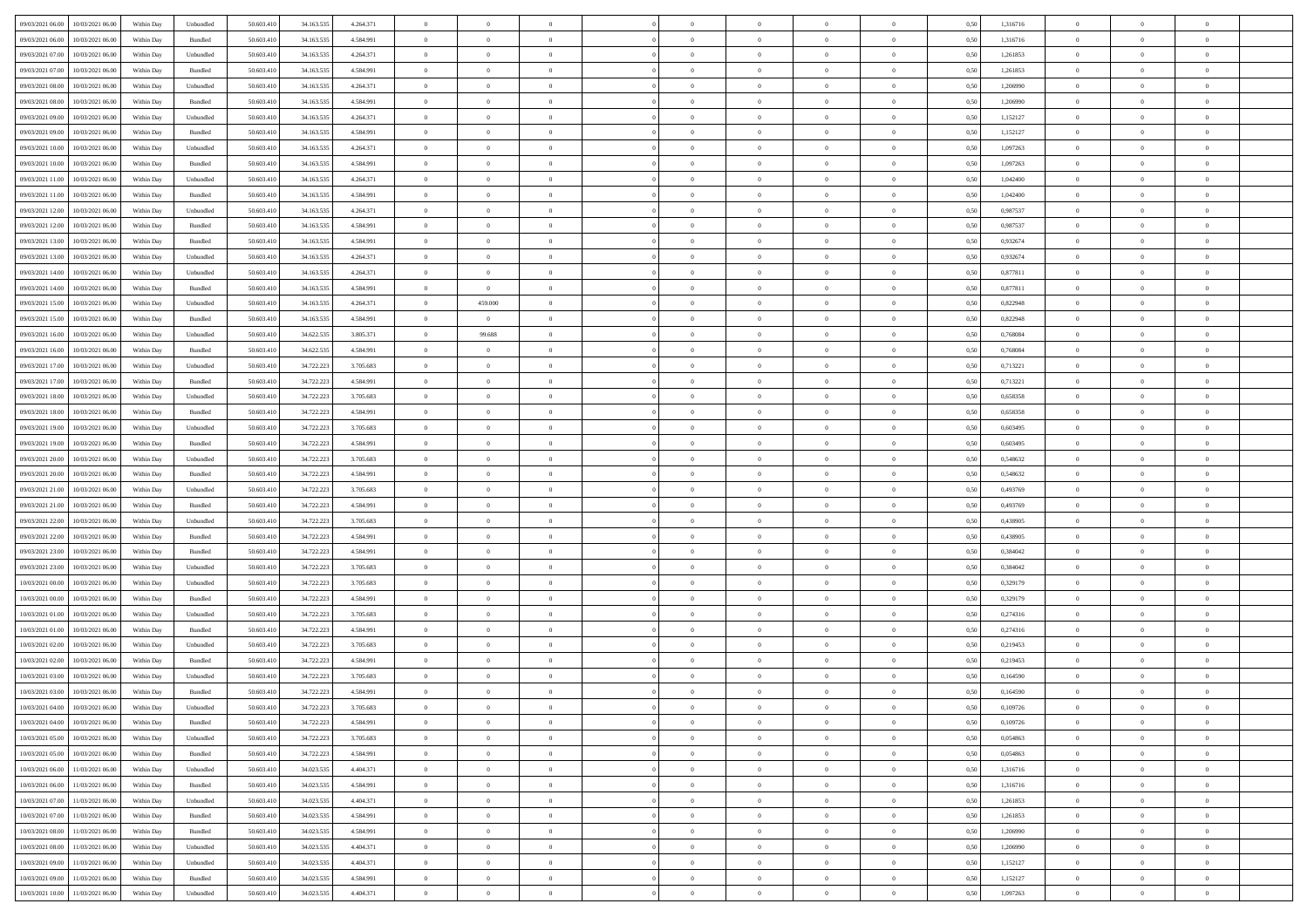| 09/03/2021 06:00<br>10/03/2021 06:00         | Within Day | Unbundled                   | 50.603.410 | 34.163.535 | 4.264.371 | $\overline{0}$ | $\overline{0}$ |                | $\overline{0}$ | $\theta$       |                | $\theta$       | 0,50 | 1,316716 | $\theta$       | $\theta$       | $\overline{0}$ |  |
|----------------------------------------------|------------|-----------------------------|------------|------------|-----------|----------------|----------------|----------------|----------------|----------------|----------------|----------------|------|----------|----------------|----------------|----------------|--|
| 09/03/2021 06:00<br>10/03/2021 06:00         | Within Day | Bundled                     | 50.603.41  | 34.163.53  | 4.584.991 | $\bf{0}$       | $\bf{0}$       | $\bf{0}$       | $\bf{0}$       | $\overline{0}$ | $\overline{0}$ | $\bf{0}$       | 0,50 | 1,316716 | $\,$ 0 $\,$    | $\bf{0}$       | $\overline{0}$ |  |
| 09/03/2021 07:00<br>10/03/2021 06:00         | Within Day | Unbundled                   | 50.603.41  | 34.163.53  | 4.264.371 | $\overline{0}$ | $\bf{0}$       | $\overline{0}$ | $\bf{0}$       | $\bf{0}$       | $\overline{0}$ | $\bf{0}$       | 0.50 | 1,261853 | $\bf{0}$       | $\overline{0}$ | $\overline{0}$ |  |
| 09/03/2021 07:00<br>10/03/2021 06:00         |            |                             | 50.603.41  |            |           | $\overline{0}$ | $\overline{0}$ | $\overline{0}$ | $\overline{0}$ | $\theta$       | $\overline{0}$ |                |      | 1,261853 | $\theta$       | $\theta$       | $\overline{0}$ |  |
|                                              | Within Day | Bundled                     |            | 34.163.535 | 4.584.991 |                |                |                |                |                |                | $\bf{0}$       | 0,50 |          |                |                |                |  |
| 09/03/2021 08:00<br>10/03/2021 06:00         | Within Day | Unbundled                   | 50.603.41  | 34.163.53  | 4.264.371 | $\bf{0}$       | $\overline{0}$ | $\bf{0}$       | $\overline{0}$ | $\theta$       | $\overline{0}$ | $\bf{0}$       | 0,50 | 1,206990 | $\,$ 0 $\,$    | $\bf{0}$       | $\overline{0}$ |  |
| 09/03/2021 08:00<br>10/03/2021 06:00         | Within Day | Bundled                     | 50.603.41  | 34.163.53  | 4.584.991 | $\overline{0}$ | $\overline{0}$ | $\overline{0}$ | $\bf{0}$       | $\overline{0}$ | $\theta$       | $\bf{0}$       | 0.50 | 1.206990 | $\,$ 0 $\,$    | $\theta$       | $\overline{0}$ |  |
| 09/03/2021 09:00<br>10/03/2021 06:00         | Within Day | Unbundled                   | 50.603.41  | 34.163.535 | 4.264.371 | $\overline{0}$ | $\overline{0}$ | $\overline{0}$ | $\overline{0}$ | $\overline{0}$ | $\overline{0}$ | $\bf{0}$       | 0,50 | 1,152127 | $\,$ 0 $\,$    | $\theta$       | $\overline{0}$ |  |
|                                              |            |                             |            |            |           |                |                |                |                |                |                |                |      |          |                |                |                |  |
| 09/03/2021 09:00<br>10/03/2021 06:00         | Within Day | Bundled                     | 50.603.41  | 34.163.53  | 4.584.991 | $\bf{0}$       | $\bf{0}$       | $\bf{0}$       | $\overline{0}$ | $\overline{0}$ | $\overline{0}$ | $\bf{0}$       | 0,50 | 1,152127 | $\,$ 0 $\,$    | $\bf{0}$       | $\overline{0}$ |  |
| 09/03/2021 10:00<br>10/03/2021 06:00         | Within Day | Unbundled                   | 50.603.41  | 34.163.53  | 4.264.371 | $\overline{0}$ | $\bf{0}$       | $\overline{0}$ | $\bf{0}$       | $\overline{0}$ | $\overline{0}$ | $\bf{0}$       | 0.50 | 1.097263 | $\bf{0}$       | $\overline{0}$ | $\overline{0}$ |  |
| 09/03/2021 10:00<br>10/03/2021 06:00         | Within Day | Bundled                     | 50.603.410 | 34.163.535 | 4.584.991 | $\overline{0}$ | $\bf{0}$       | $\overline{0}$ | $\overline{0}$ | $\overline{0}$ | $\overline{0}$ | $\bf{0}$       | 0,50 | 1,097263 | $\,$ 0 $\,$    | $\bf{0}$       | $\overline{0}$ |  |
| 09/03/2021 11:00<br>10/03/2021 06:00         | Within Day | Unbundled                   | 50.603.41  | 34.163.53  | 4.264.371 | $\bf{0}$       | $\overline{0}$ | $\bf{0}$       | $\bf{0}$       | $\bf{0}$       | $\overline{0}$ | $\bf{0}$       | 0,50 | 1,042400 | $\,$ 0 $\,$    | $\bf{0}$       | $\overline{0}$ |  |
|                                              |            |                             |            |            |           |                |                |                |                |                |                |                |      |          |                |                |                |  |
| 09/03/2021 11:00<br>10/03/2021 06:00         | Within Day | Bundled                     | 50.603.41  | 34.163.53  | 4.584.991 | $\overline{0}$ | $\bf{0}$       | $\overline{0}$ | $\overline{0}$ | $\bf{0}$       | $\overline{0}$ | $\bf{0}$       | 0.50 | 1.042400 | $\bf{0}$       | $\overline{0}$ | $\,$ 0         |  |
| 09/03/2021 12:00<br>10/03/2021 06:00         | Within Day | Unbundled                   | 50.603.41  | 34.163.535 | 4.264.371 | $\overline{0}$ | $\overline{0}$ | $\overline{0}$ | $\theta$       | $\theta$       | $\overline{0}$ | $\bf{0}$       | 0,50 | 0,987537 | $\,$ 0 $\,$    | $\theta$       | $\overline{0}$ |  |
| 09/03/2021 12:00<br>10/03/2021 06:00         | Within Day | Bundled                     | 50.603.41  | 34.163.53  | 4.584.991 | $\bf{0}$       | $\overline{0}$ | $\bf{0}$       | $\overline{0}$ | $\bf{0}$       | $\overline{0}$ | $\bf{0}$       | 0,50 | 0,987537 | $\,$ 0 $\,$    | $\bf{0}$       | $\overline{0}$ |  |
|                                              |            |                             |            |            |           |                |                |                |                |                | $\theta$       |                |      |          |                |                |                |  |
| 09/03/2021 13:00<br>10/03/2021 06:00         | Within Day | Bundled                     | 50.603.41  | 34.163.53  | 4.584.991 | $\overline{0}$ | $\overline{0}$ | $\overline{0}$ | $\bf{0}$       | $\overline{0}$ |                | $\bf{0}$       | 0.50 | 0.932674 | $\,$ 0 $\,$    | $\theta$       | $\overline{0}$ |  |
| 09/03/2021 13:00<br>10/03/2021 06:00         | Within Day | Unbundled                   | 50.603.410 | 34.163.535 | 4.264.371 | $\overline{0}$ | $\overline{0}$ | $\overline{0}$ | $\overline{0}$ | $\overline{0}$ | $\overline{0}$ | $\bf{0}$       | 0,50 | 0,932674 | $\theta$       | $\theta$       | $\overline{0}$ |  |
| 09/03/2021 14:00<br>10/03/2021 06:00         | Within Day | Unbundled                   | 50.603.41  | 34.163.53  | 4.264.371 | $\bf{0}$       | $\overline{0}$ | $\bf{0}$       | $\overline{0}$ | $\bf{0}$       | $\overline{0}$ | $\bf{0}$       | 0,50 | 0,877811 | $\,$ 0 $\,$    | $\bf{0}$       | $\overline{0}$ |  |
| 09/03/2021 14:00<br>10/03/2021 06:00         | Within Day | Bundled                     | 50.603.41  | 34.163.53  | 4.584.991 | $\overline{0}$ | $\overline{0}$ | $\overline{0}$ | $\bf{0}$       | $\overline{0}$ | $\overline{0}$ | $\bf{0}$       | 0.50 | 0.877811 | $\bf{0}$       | $\overline{0}$ | $\overline{0}$ |  |
|                                              |            |                             |            |            |           |                |                | $\overline{0}$ | $\overline{0}$ | $\overline{0}$ | $\overline{0}$ |                |      |          | $\,$ 0 $\,$    |                |                |  |
| 09/03/2021 15:00<br>10/03/2021 06:00         | Within Day | Unbundled                   | 50.603.410 | 34.163.535 | 4.264.371 | $\bf{0}$       | 459.000        |                |                |                |                | $\bf{0}$       | 0,50 | 0,822948 |                | $\bf{0}$       | $\overline{0}$ |  |
| 09/03/2021 15:00<br>10/03/2021 06:00         | Within Day | Bundled                     | 50.603.41  | 34.163.53  | 4.584.991 | $\bf{0}$       | $\bf{0}$       | $\bf{0}$       | $\bf{0}$       | $\overline{0}$ | $\overline{0}$ | $\bf{0}$       | 0,50 | 0,822948 | $\,$ 0 $\,$    | $\bf{0}$       | $\overline{0}$ |  |
| 09/03/2021 16:00<br>10/03/2021 06:00         | Within Day | Unbundled                   | 50.603.41  | 34.622.535 | 3.805.371 | $\overline{0}$ | 99.688         | $\overline{0}$ | $\overline{0}$ | $\bf{0}$       | $\overline{0}$ | $\bf{0}$       | 0.50 | 0.768084 | $\bf{0}$       | $\overline{0}$ | $\,$ 0         |  |
| 09/03/2021 16:00<br>10/03/2021 06:00         | Within Day | Bundled                     | 50.603.41  | 34.622.535 | 4.584.991 | $\overline{0}$ | $\overline{0}$ | $\overline{0}$ | $\overline{0}$ | $\theta$       | $\overline{0}$ | $\bf{0}$       | 0,50 | 0,768084 | $\theta$       | $\theta$       | $\overline{0}$ |  |
|                                              |            |                             |            |            |           |                | $\overline{0}$ |                |                | $\overline{0}$ | $\overline{0}$ |                |      |          | $\,$ 0 $\,$    | $\bf{0}$       | $\overline{0}$ |  |
| 09/03/2021 17:00<br>10/03/2021 06:00         | Within Day | Unbundled                   | 50.603.41  | 34.722.223 | 3.705.683 | $\bf{0}$       |                | $\bf{0}$       | $\bf{0}$       |                |                | $\bf{0}$       | 0,50 | 0,713221 |                |                |                |  |
| 09/03/2021 17:00<br>10/03/2021 06:00         | Within Day | Bundled                     | 50.603.41  | 34.722.22  | 4.584.991 | $\overline{0}$ | $\overline{0}$ | $\overline{0}$ | $\bf{0}$       | $\overline{0}$ | $\theta$       | $\bf{0}$       | 0.50 | 0,713221 | $\,$ 0 $\,$    | $\theta$       | $\overline{0}$ |  |
| 09/03/2021 18:00<br>10/03/2021 06:00         | Within Day | Unbundled                   | 50.603.41  | 34.722.223 | 3.705.683 | $\overline{0}$ | $\overline{0}$ | $\overline{0}$ | $\overline{0}$ | $\overline{0}$ | $\overline{0}$ | $\bf{0}$       | 0,50 | 0,658358 | $\,$ 0 $\,$    | $\theta$       | $\overline{0}$ |  |
| 09/03/2021 18:00<br>10/03/2021 06:00         | Within Day | Bundled                     | 50.603.41  | 34.722.22  | 4.584.991 | $\bf{0}$       | $\overline{0}$ | $\bf{0}$       | $\overline{0}$ | $\bf{0}$       | $\overline{0}$ | $\bf{0}$       | 0,50 | 0,658358 | $\,$ 0 $\,$    | $\bf{0}$       | $\overline{0}$ |  |
| 09/03/2021 19:00<br>10/03/2021 06:00         | Within Day | Unbundled                   | 50,603.41  | 34.722.22  | 3.705.683 | $\overline{0}$ | $\bf{0}$       | $\overline{0}$ | $\bf{0}$       | $\overline{0}$ | $\overline{0}$ | $\bf{0}$       | 0.50 | 0.603495 | $\bf{0}$       | $\overline{0}$ | $\overline{0}$ |  |
|                                              |            |                             |            |            |           |                |                |                |                |                |                |                |      |          |                |                |                |  |
| 09/03/2021 19:00<br>10/03/2021 06:00         | Within Day | Bundled                     | 50.603.410 | 34.722.223 | 4.584.991 | $\overline{0}$ | $\bf{0}$       | $\overline{0}$ | $\overline{0}$ | $\overline{0}$ | $\overline{0}$ | $\bf{0}$       | 0,50 | 0,603495 | $\theta$       | $\theta$       | $\overline{0}$ |  |
| 09/03/2021 20:00<br>10/03/2021 06:00         | Within Day | Unbundled                   | 50.603.41  | 34.722.223 | 3.705.683 | $\bf{0}$       | $\bf{0}$       | $\bf{0}$       | $\bf{0}$       | $\overline{0}$ | $\overline{0}$ | $\bf{0}$       | 0,50 | 0,548632 | $\,$ 0 $\,$    | $\bf{0}$       | $\overline{0}$ |  |
| 09/03/2021 20:00<br>10/03/2021 06:00         | Within Day | Bundled                     | 50.603.41  | 34.722.223 | 4.584.991 | $\overline{0}$ | $\bf{0}$       | $\overline{0}$ | $\bf{0}$       | $\bf{0}$       | $\overline{0}$ | $\bf{0}$       | 0.50 | 0.548632 | $\bf{0}$       | $\overline{0}$ | $\bf{0}$       |  |
| 09/03/2021 21:00<br>10/03/2021 06:00         | Within Day | Unbundled                   | 50.603.41  | 34.722.223 | 3.705.683 | $\overline{0}$ | $\overline{0}$ | $\overline{0}$ | $\overline{0}$ | $\overline{0}$ | $\overline{0}$ | $\bf{0}$       | 0.50 | 0,493769 | $\theta$       | $\theta$       | $\overline{0}$ |  |
|                                              |            |                             |            |            |           |                |                |                |                |                |                |                |      |          |                |                |                |  |
| 09/03/2021 21:00<br>10/03/2021 06:00         | Within Day | Bundled                     | 50.603.41  | 34.722.223 | 4.584.991 | $\bf{0}$       | $\overline{0}$ | $\bf{0}$       | $\bf{0}$       | $\,$ 0 $\,$    | $\overline{0}$ | $\bf{0}$       | 0,50 | 0,493769 | $\,$ 0 $\,$    | $\bf{0}$       | $\overline{0}$ |  |
| 09/03/2021 22.00<br>10/03/2021 06:00         | Within Day | Unbundled                   | 50,603.41  | 34.722.22  | 3.705.683 | $\overline{0}$ | $\bf{0}$       | $\overline{0}$ | $\bf{0}$       | $\overline{0}$ | $\Omega$       | $\bf{0}$       | 0.50 | 0.438905 | $\,$ 0 $\,$    | $\bf{0}$       | $\overline{0}$ |  |
| 09/03/2021 22:00<br>10/03/2021 06:00         | Within Dav | Bundled                     | 50.603.41  | 34.722.223 | 4.584.991 | $\overline{0}$ | $\overline{0}$ | $\overline{0}$ | $\overline{0}$ | $\theta$       | $\overline{0}$ | $\bf{0}$       | 0.50 | 0,438905 | $\theta$       | $\theta$       | $\overline{0}$ |  |
| 09/03/2021 23:00<br>10/03/2021 06:00         | Within Day | Bundled                     | 50.603.41  | 34.722.22  | 4.584.991 | $\bf{0}$       | $\bf{0}$       | $\bf{0}$       | $\bf{0}$       | $\bf{0}$       | $\overline{0}$ | $\bf{0}$       | 0,50 | 0,384042 | $\,$ 0 $\,$    | $\bf{0}$       | $\overline{0}$ |  |
| 09/03/2021 23:00<br>10/03/2021 06:00         | Within Day | Unbundled                   | 50,603.41  | 34.722.22  | 3.705.683 | $\overline{0}$ | $\bf{0}$       | $\overline{0}$ | $\bf{0}$       | $\overline{0}$ | $\overline{0}$ | $\bf{0}$       | 0.50 | 0.384042 | $\bf{0}$       | $\overline{0}$ | $\overline{0}$ |  |
|                                              |            |                             |            |            |           |                |                |                |                |                |                |                |      |          |                |                |                |  |
| 10/03/2021 00:00<br>10/03/2021 06:00         | Within Day | Unbundled                   | 50.603.41  | 34.722.223 | 3.705.683 | $\overline{0}$ | $\overline{0}$ | $\overline{0}$ | $\overline{0}$ | $\overline{0}$ | $\overline{0}$ | $\bf{0}$       | 0.50 | 0,329179 | $\theta$       | $\theta$       | $\overline{0}$ |  |
| 10/03/2021 00:00<br>10/03/2021 06:00         | Within Day | Bundled                     | 50.603.41  | 34.722.223 | 4.584.991 | $\bf{0}$       | $\bf{0}$       | $\bf{0}$       | $\bf{0}$       | $\overline{0}$ | $\overline{0}$ | $\bf{0}$       | 0,50 | 0,329179 | $\,$ 0 $\,$    | $\bf{0}$       | $\overline{0}$ |  |
| 10/03/2021 01:00<br>10/03/2021 06:00         | Within Day | Unbundled                   | 50.603.41  | 34.722.223 | 3.705.683 | $\overline{0}$ | $\bf{0}$       | $\overline{0}$ | $\overline{0}$ | $\bf{0}$       | $\overline{0}$ | $\bf{0}$       | 0.50 | 0,274316 | $\bf{0}$       | $\overline{0}$ | $\overline{0}$ |  |
| 10/03/2021 01:00<br>10/03/2021 06:00         | Within Day | Bundled                     | 50.603.41  | 34.722.223 | 4.584.991 | $\overline{0}$ | $\overline{0}$ | $\overline{0}$ | $\overline{0}$ | $\overline{0}$ | $\overline{0}$ | $\bf{0}$       | 0.5( | 0,274316 | $\theta$       | $\theta$       | $\overline{0}$ |  |
|                                              |            |                             |            |            |           |                |                |                |                |                |                |                |      |          |                |                |                |  |
| 10/03/2021 02:00<br>10/03/2021 06:00         | Within Day | Unbundled                   | 50.603.41  | 34.722.223 | 3.705.683 | $\bf{0}$       | $\bf{0}$       | $\bf{0}$       | $\bf{0}$       | $\overline{0}$ | $\overline{0}$ | $\bf{0}$       | 0,50 | 0,219453 | $\,$ 0 $\,$    | $\bf{0}$       | $\overline{0}$ |  |
| 10/03/2021 02:00<br>10/03/2021 06:00         | Within Day | Bundled                     | 50.603.41  | 34.722.22  | 4.584.991 | $\overline{0}$ | $\overline{0}$ | $\overline{0}$ | $\bf{0}$       | $\overline{0}$ | $\Omega$       | $\bf{0}$       | 0.50 | 0,219453 | $\bf{0}$       | $\theta$       | $\overline{0}$ |  |
| 10/03/2021 03:00<br>10/03/2021 06:00         | Within Dav | Unbundled                   | 50.603.41  | 34.722.22  | 3.705.683 | $\overline{0}$ | $\overline{0}$ | $\Omega$       | $\overline{0}$ | $\theta$       | $\overline{0}$ | $\overline{0}$ | 0.5( | 0,164590 | $\theta$       | $\theta$       | $\overline{0}$ |  |
| 10/03/2021 03:00<br>10/03/2021 06:00         | Within Day | Bundled                     | 50.603.41  | 34.722.223 | 4.584.991 | $\bf{0}$       | $\bf{0}$       | $\bf{0}$       | $\bf{0}$       | $\bf{0}$       | $\overline{0}$ | $\bf{0}$       | 0,50 | 0,164590 | $\,$ 0 $\,$    | $\bf{0}$       | $\overline{0}$ |  |
| $10/03/2021\;04.00 \qquad 10/03/2021\;06.00$ |            |                             | 50.603.410 |            | 3.705.683 |                | $\Omega$       |                | $\Omega$       |                |                |                |      | 0,109726 |                |                |                |  |
|                                              | Within Day | $\ensuremath{\mathsf{Unb}}$ |            | 34.722.223 |           | $\overline{0}$ |                |                |                |                |                |                | 0,50 |          | $\theta$       | $\overline{0}$ |                |  |
| 10/03/2021 04:00 10/03/2021 06:00            | Within Day | Bundled                     | 50.603.410 | 34.722.223 | 4.584.991 | $\overline{0}$ | $\overline{0}$ | $\overline{0}$ | $\theta$       | $\overline{0}$ | $\overline{0}$ | $\bf{0}$       | 0,50 | 0,109726 | $\theta$       | $\overline{0}$ | $\overline{0}$ |  |
| 10/03/2021 05:00<br>10/03/2021 06:00         | Within Day | Unbundled                   | 50.603.41  | 34.722.223 | 3.705.683 | $\overline{0}$ | $\bf{0}$       | $\overline{0}$ | $\overline{0}$ | $\bf{0}$       | $\overline{0}$ | $\bf{0}$       | 0,50 | 0,054863 | $\bf{0}$       | $\overline{0}$ | $\bf{0}$       |  |
| 10/03/2021 05:00 10/03/2021 06:00            | Within Day | Bundled                     | 50,603.410 | 34.722.223 | 4.584.991 | $\overline{0}$ | $\bf{0}$       | $\overline{0}$ | $\overline{0}$ | $\mathbf{0}$   | $\overline{0}$ | $\,$ 0 $\,$    | 0.50 | 0.054863 | $\overline{0}$ | $\bf{0}$       | $\,$ 0 $\,$    |  |
|                                              |            |                             |            |            |           |                | $\overline{0}$ |                |                | $\overline{0}$ |                |                |      |          | $\overline{0}$ | $\theta$       | $\overline{0}$ |  |
| 10/03/2021 06:00 11/03/2021 06:00            | Within Day | Unbundled                   | 50.603.410 | 34.023.535 | 4.404.371 | $\overline{0}$ |                | $\overline{0}$ | $\overline{0}$ |                | $\overline{0}$ | $\bf{0}$       | 0,50 | 1,316716 |                |                |                |  |
| 10/03/2021 06:00<br>11/03/2021 06:00         | Within Day | Bundled                     | 50.603.41  | 34.023.535 | 4.584.991 | $\overline{0}$ | $\bf{0}$       | $\overline{0}$ | $\overline{0}$ | $\overline{0}$ | $\overline{0}$ | $\bf{0}$       | 0,50 | 1,316716 | $\bf{0}$       | $\overline{0}$ | $\overline{0}$ |  |
| 10/03/2021 07:00<br>11/03/2021 06:00         | Within Day | Unbundled                   | 50.603.410 | 34.023.535 | 4.404.371 | $\overline{0}$ | $\bf{0}$       | $\overline{0}$ | $\overline{0}$ | $\bf{0}$       | $\overline{0}$ | $\bf{0}$       | 0.50 | 1.261853 | $\,$ 0 $\,$    | $\overline{0}$ | $\,$ 0         |  |
| 10/03/2021 07:00<br>11/03/2021 06:00         | Within Dav | Bundled                     | 50.603.410 | 34.023.535 | 4.584.991 | $\overline{0}$ | $\overline{0}$ | $\overline{0}$ | $\overline{0}$ | $\overline{0}$ | $\overline{0}$ | $\bf{0}$       | 0.50 | 1,261853 | $\overline{0}$ | $\theta$       | $\overline{0}$ |  |
|                                              |            |                             |            |            |           |                | $\overline{0}$ |                |                | $\overline{0}$ |                |                |      |          | $\bf{0}$       | $\overline{0}$ | $\overline{0}$ |  |
| 10/03/2021 08:00<br>11/03/2021 06:00         | Within Day | Bundled                     | 50.603.41  | 34.023.535 | 4.584.991 | $\overline{0}$ |                | $\overline{0}$ | $\overline{0}$ |                | $\overline{0}$ | $\bf{0}$       | 0,50 | 1,206990 |                |                |                |  |
| 10/03/2021 08:00<br>11/03/2021 06:00         | Within Day | Unbundled                   | 50,603.410 | 34.023.535 | 4.404.371 | $\overline{0}$ | $\overline{0}$ | $\overline{0}$ | $\overline{0}$ | $\overline{0}$ | $\overline{0}$ | $\bf{0}$       | 0.50 | 1.206990 | $\mathbf{0}$   | $\bf{0}$       | $\,$ 0         |  |
| 10/03/2021 09:00<br>11/03/2021 06:00         | Within Dav | Unbundled                   | 50.603.410 | 34.023.535 | 4.404.371 | $\overline{0}$ | $\overline{0}$ | $\overline{0}$ | $\overline{0}$ | $\overline{0}$ | $\overline{0}$ | $\bf{0}$       | 0,50 | 1,152127 | $\overline{0}$ | $\theta$       | $\overline{0}$ |  |
| 10/03/2021 09:00<br>11/03/2021 06:00         | Within Day | Bundled                     | 50.603.41  | 34.023.535 | 4.584.991 | $\overline{0}$ | $\bf{0}$       | $\overline{0}$ | $\bf{0}$       | $\overline{0}$ | $\overline{0}$ | $\bf{0}$       | 0,50 | 1,152127 | $\bf{0}$       | $\,$ 0 $\,$    | $\bf{0}$       |  |
|                                              |            | Unbundled                   | 50.603.410 | 34.023.535 | 4.404.371 | $\,$ 0 $\,$    | $\bf{0}$       | $\overline{0}$ |                | $\,$ 0 $\,$    | $\overline{0}$ | $\bf{0}$       | 0,50 | 1,097263 | $\overline{0}$ | $\,$ 0 $\,$    | $\,$ 0 $\,$    |  |
| 10/03/2021 10:00 11/03/2021 06:00            | Within Day |                             |            |            |           |                |                |                | $\overline{0}$ |                |                |                |      |          |                |                |                |  |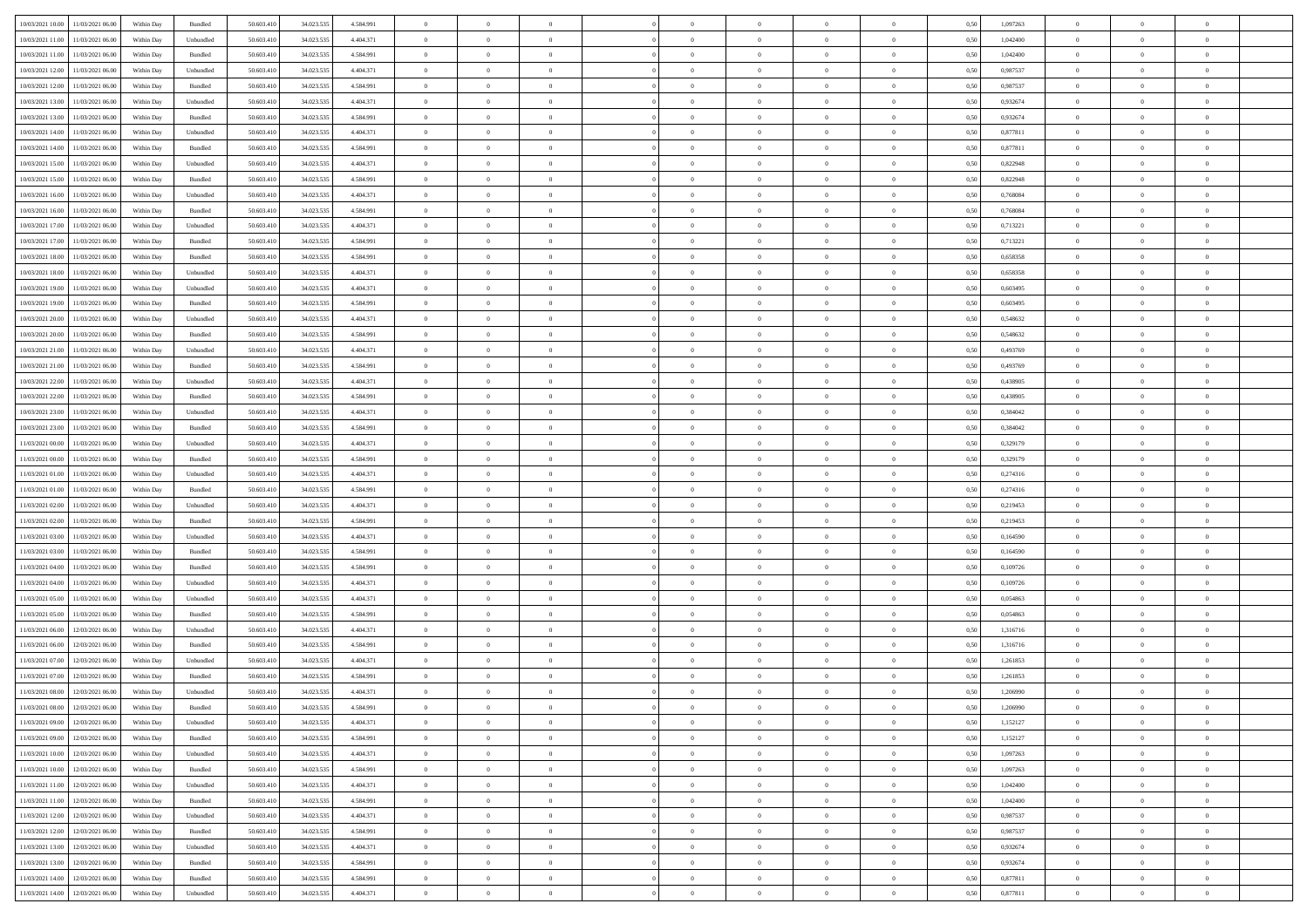| 10/03/2021 10:00 11/03/2021 06:00          | Within Day | Bundled   | 50.603.410 | 34.023.535 | 4.584.991 | $\overline{0}$ | $\theta$       |                | $\overline{0}$ | $\theta$       |                | $\theta$       | 0,50 | 1,097263 | $\theta$       | $\theta$       | $\overline{0}$ |  |
|--------------------------------------------|------------|-----------|------------|------------|-----------|----------------|----------------|----------------|----------------|----------------|----------------|----------------|------|----------|----------------|----------------|----------------|--|
|                                            |            |           |            |            |           |                |                |                |                |                |                |                |      |          |                |                |                |  |
| 10/03/2021 11:00<br>11/03/2021 06:00       | Within Day | Unbundled | 50.603.41  | 34.023.53  | 4.404.371 | $\bf{0}$       | $\bf{0}$       | $\bf{0}$       | $\bf{0}$       | $\overline{0}$ | $\overline{0}$ | $\bf{0}$       | 0,50 | 1,042400 | $\,$ 0 $\,$    | $\bf{0}$       | $\overline{0}$ |  |
| 10/03/2021 11:00<br>11/03/2021 06:00       | Within Day | Bundled   | 50,603,410 | 34.023.535 | 4.584.991 | $\overline{0}$ | $\bf{0}$       | $\overline{0}$ | $\bf{0}$       | $\bf{0}$       | $\overline{0}$ | $\bf{0}$       | 0.50 | 1.042400 | $\bf{0}$       | $\overline{0}$ | $\bf{0}$       |  |
| 10/03/2021 12:00<br>11/03/2021 06:00       | Within Day | Unbundled | 50.603.410 | 34.023.535 | 4.404.371 | $\overline{0}$ | $\overline{0}$ | $\overline{0}$ | $\overline{0}$ | $\theta$       | $\overline{0}$ | $\bf{0}$       | 0,50 | 0,987537 | $\,$ 0 $\,$    | $\,$ 0 $\,$    | $\overline{0}$ |  |
| 10/03/2021 12:00<br>11/03/2021 06:00       | Within Day | Bundled   | 50.603.41  | 34.023.53  | 4.584.991 | $\bf{0}$       | $\overline{0}$ | $\bf{0}$       | $\overline{0}$ | $\bf{0}$       | $\overline{0}$ | $\bf{0}$       | 0,50 | 0,987537 | $\,$ 0 $\,$    | $\bf{0}$       | $\overline{0}$ |  |
| 10/03/2021 13:00<br>11/03/2021 06:00       | Within Day | Unbundled | 50,603.41  | 34.023.53  | 4.404.371 | $\overline{0}$ | $\bf{0}$       | $\overline{0}$ | $\bf{0}$       | $\overline{0}$ | $\overline{0}$ | $\bf{0}$       | 0.50 | 0.932674 | $\,$ 0 $\,$    | $\theta$       | $\overline{0}$ |  |
| 10/03/2021 13:00                           |            |           |            |            |           | $\overline{0}$ | $\bf{0}$       | $\overline{0}$ | $\overline{0}$ | $\overline{0}$ | $\overline{0}$ |                |      |          | $\,$ 0 $\,$    | $\theta$       | $\overline{0}$ |  |
| 11/03/2021 06:00                           | Within Day | Bundled   | 50.603.41  | 34.023.535 | 4.584.991 |                |                |                |                |                |                | $\bf{0}$       | 0,50 | 0,932674 |                |                |                |  |
| 10/03/2021 14:00<br>11/03/2021 06:00       | Within Day | Unbundled | 50.603.41  | 34.023.53  | 4.404.371 | $\bf{0}$       | $\bf{0}$       | $\bf{0}$       | $\bf{0}$       | $\overline{0}$ | $\overline{0}$ | $\bf{0}$       | 0,50 | 0,877811 | $\,$ 0 $\,$    | $\bf{0}$       | $\overline{0}$ |  |
| 10/03/2021 14:00<br>11/03/2021 06:00       | Within Day | Bundled   | 50.603.41  | 34.023.53  | 4.584.991 | $\overline{0}$ | $\bf{0}$       | $\overline{0}$ | $\bf{0}$       | $\overline{0}$ | $\overline{0}$ | $\bf{0}$       | 0.50 | 0.877811 | $\bf{0}$       | $\overline{0}$ | $\overline{0}$ |  |
| 10/03/2021 15:00<br>11/03/2021 06:00       | Within Day | Unbundled | 50.603.410 | 34.023.535 | 4.404.371 | $\bf{0}$       | $\bf{0}$       | $\overline{0}$ | $\overline{0}$ | $\overline{0}$ | $\overline{0}$ | $\bf{0}$       | 0,50 | 0,822948 | $\,$ 0 $\,$    | $\bf{0}$       | $\overline{0}$ |  |
| 10/03/2021 15:00<br>11/03/2021 06:00       | Within Day | Bundled   | 50.603.41  | 34.023.53  | 4.584.991 | $\bf{0}$       | $\bf{0}$       | $\bf{0}$       | $\bf{0}$       | $\overline{0}$ | $\overline{0}$ | $\bf{0}$       | 0,50 | 0,822948 | $\,$ 0 $\,$    | $\bf{0}$       | $\overline{0}$ |  |
| 10/03/2021 16:00<br>11/03/2021 06:00       | Within Day | Unbundled | 50,603.41  | 34.023.53  | 4.404.371 | $\overline{0}$ | $\bf{0}$       | $\overline{0}$ | $\overline{0}$ | $\overline{0}$ | $\overline{0}$ | $\bf{0}$       | 0.50 | 0.768084 | $\bf{0}$       | $\overline{0}$ | $\,$ 0         |  |
| 10/03/2021 16:00<br>11/03/2021 06:00       | Within Day | Bundled   | 50.603.41  | 34.023.535 | 4.584.991 | $\overline{0}$ | $\bf{0}$       | $\overline{0}$ | $\theta$       | $\theta$       | $\overline{0}$ | $\bf{0}$       | 0,50 | 0,768084 | $\,$ 0 $\,$    | $\,$ 0 $\,$    | $\overline{0}$ |  |
| 10/03/2021 17:00<br>11/03/2021 06:00       | Within Day | Unbundled | 50.603.41  | 34.023.53  | 4.404.371 | $\bf{0}$       | $\overline{0}$ | $\bf{0}$       | $\bf{0}$       | $\bf{0}$       | $\overline{0}$ | $\bf{0}$       | 0,50 | 0,713221 | $\,$ 0 $\,$    | $\bf{0}$       | $\overline{0}$ |  |
|                                            |            |           |            |            |           |                |                |                |                |                |                |                |      |          |                |                |                |  |
| 10/03/2021 17:00<br>11/03/2021 06:00       | Within Day | Bundled   | 50,603.41  | 34.023.53  | 4.584.991 | $\overline{0}$ | $\bf{0}$       | $\overline{0}$ | $\bf{0}$       | $\overline{0}$ | $\overline{0}$ | $\bf{0}$       | 0.50 | 0,713221 | $\,$ 0 $\,$    | $\bf{0}$       | $\overline{0}$ |  |
| 10/03/2021 18:00<br>11/03/2021 06:00       | Within Day | Bundled   | 50.603.410 | 34.023.535 | 4.584.991 | $\overline{0}$ | $\bf{0}$       | $\overline{0}$ | $\overline{0}$ | $\overline{0}$ | $\overline{0}$ | $\bf{0}$       | 0,50 | 0,658358 | $\theta$       | $\theta$       | $\overline{0}$ |  |
| 10/03/2021 18:00<br>11/03/2021 06:00       | Within Day | Unbundled | 50.603.41  | 34.023.53  | 4.404.371 | $\bf{0}$       | $\bf{0}$       | $\bf{0}$       | $\overline{0}$ | $\overline{0}$ | $\overline{0}$ | $\bf{0}$       | 0,50 | 0,658358 | $\,$ 0 $\,$    | $\bf{0}$       | $\overline{0}$ |  |
| 10/03/2021 19:00<br>11/03/2021 06:00       | Within Day | Unbundled | 50,603.41  | 34.023.53  | 4.404.371 | $\overline{0}$ | $\bf{0}$       | $\overline{0}$ | $\bf{0}$       | $\bf{0}$       | $\overline{0}$ | $\bf{0}$       | 0.50 | 0.603495 | $\bf{0}$       | $\overline{0}$ | $\bf{0}$       |  |
| 10/03/2021 19:00<br>11/03/2021 06:00       | Within Day | Bundled   | 50.603.410 | 34.023.535 | 4.584.991 | $\bf{0}$       | $\bf{0}$       | $\overline{0}$ | $\overline{0}$ | $\overline{0}$ | $\overline{0}$ | $\bf{0}$       | 0,50 | 0,603495 | $\,$ 0 $\,$    | $\bf{0}$       | $\overline{0}$ |  |
| 10/03/2021 20:00<br>11/03/2021 06:00       | Within Day | Unbundled | 50.603.41  | 34.023.53  | 4.404.371 | $\bf{0}$       | $\bf{0}$       | $\bf{0}$       | $\bf{0}$       | $\overline{0}$ | $\overline{0}$ | $\bf{0}$       | 0,50 | 0,548632 | $\,$ 0 $\,$    | $\bf{0}$       | $\overline{0}$ |  |
| 10/03/2021 20:00<br>11/03/2021 06:00       | Within Day | Bundled   | 50,603.41  | 34.023.53  | 4.584.991 | $\overline{0}$ | $\bf{0}$       | $\overline{0}$ | $\overline{0}$ | $\bf{0}$       | $\overline{0}$ | $\bf{0}$       | 0.50 | 0.548632 | $\bf{0}$       | $\overline{0}$ | $\,$ 0         |  |
|                                            |            |           |            |            |           | $\overline{0}$ | $\overline{0}$ | $\overline{0}$ | $\overline{0}$ | $\theta$       | $\overline{0}$ |                |      |          | $\theta$       | $\theta$       | $\overline{0}$ |  |
| 10/03/2021 21:00<br>11/03/2021 06:00       | Within Day | Unbundled | 50.603.41  | 34.023.535 | 4.404.371 |                |                |                |                |                |                | $\bf{0}$       | 0,50 | 0,493769 |                |                |                |  |
| 10/03/2021 21:00<br>11/03/2021 06:00       | Within Day | Bundled   | 50.603.41  | 34.023.53  | 4.584.991 | $\bf{0}$       | $\bf{0}$       | $\bf{0}$       | $\bf{0}$       | $\overline{0}$ | $\overline{0}$ | $\bf{0}$       | 0,50 | 0,493769 | $\,$ 0 $\,$    | $\bf{0}$       | $\overline{0}$ |  |
| 10/03/2021 22:00<br>11/03/2021 06:00       | Within Day | Unbundled | 50.603.41  | 34.023.53  | 4.404.371 | $\overline{0}$ | $\bf{0}$       | $\overline{0}$ | $\bf{0}$       | $\overline{0}$ | $\overline{0}$ | $\bf{0}$       | 0.50 | 0.438905 | $\,$ 0 $\,$    | $\overline{0}$ | $\overline{0}$ |  |
| 10/03/2021 22:00<br>11/03/2021 06:00       | Within Day | Bundled   | 50.603.410 | 34.023.535 | 4.584.991 | $\overline{0}$ | $\overline{0}$ | $\overline{0}$ | $\overline{0}$ | $\overline{0}$ | $\overline{0}$ | $\bf{0}$       | 0,50 | 0,438905 | $\,$ 0 $\,$    | $\theta$       | $\overline{0}$ |  |
| 10/03/2021 23:00<br>11/03/2021 06:00       | Within Day | Unbundled | 50.603.41  | 34.023.53  | 4.404.371 | $\bf{0}$       | $\overline{0}$ | $\bf{0}$       | $\overline{0}$ | $\overline{0}$ | $\overline{0}$ | $\bf{0}$       | 0,50 | 0,384042 | $\,$ 0 $\,$    | $\bf{0}$       | $\overline{0}$ |  |
| 10/03/2021 23:00<br>11/03/2021 06:00       | Within Day | Bundled   | 50,603.41  | 34.023.53  | 4.584.991 | $\overline{0}$ | $\bf{0}$       | $\overline{0}$ | $\bf{0}$       | $\overline{0}$ | $\overline{0}$ | $\bf{0}$       | 0.50 | 0.384042 | $\bf{0}$       | $\overline{0}$ | $\overline{0}$ |  |
| 11/03/2021 00:00<br>11/03/2021 06:00       | Within Day | Unbundled | 50.603.410 | 34.023.535 | 4.404.371 | $\overline{0}$ | $\bf{0}$       | $\overline{0}$ | $\overline{0}$ | $\overline{0}$ | $\overline{0}$ | $\bf{0}$       | 0,50 | 0,329179 | $\theta$       | $\bf{0}$       | $\overline{0}$ |  |
| 11/03/2021 00:00<br>11/03/2021 06:00       | Within Day | Bundled   | 50.603.41  | 34.023.53  | 4.584.991 | $\bf{0}$       | $\bf{0}$       | $\bf{0}$       | $\bf{0}$       | $\overline{0}$ | $\overline{0}$ | $\bf{0}$       | 0,50 | 0,329179 | $\,$ 0 $\,$    | $\bf{0}$       | $\overline{0}$ |  |
|                                            |            |           |            |            |           |                |                |                |                |                |                |                |      |          |                |                |                |  |
| 11/03/2021 01:00<br>11/03/2021 06:00       | Within Day | Unbundled | 50.603.41  | 34.023.53  | 4.404.371 | $\overline{0}$ | $\bf{0}$       | $\overline{0}$ | $\overline{0}$ | $\bf{0}$       | $\overline{0}$ | $\bf{0}$       | 0.50 | 0,274316 | $\bf{0}$       | $\,$ 0 $\,$    | $\,$ 0         |  |
| 11/03/2021 01:00<br>11/03/2021 06:00       | Within Day | Bundled   | 50.603.41  | 34.023.535 | 4.584.991 | $\overline{0}$ | $\overline{0}$ | $\overline{0}$ | $\overline{0}$ | $\overline{0}$ | $\overline{0}$ | $\bf{0}$       | 0.5( | 0,274316 | $\theta$       | $\theta$       | $\overline{0}$ |  |
| 11/03/2021 02:00<br>11/03/2021 06:00       | Within Day | Unbundled | 50.603.41  | 34.023.53  | 4.404.371 | $\bf{0}$       | $\bf{0}$       | $\bf{0}$       | $\bf{0}$       | $\overline{0}$ | $\overline{0}$ | $\bf{0}$       | 0,50 | 0,219453 | $\,$ 0 $\,$    | $\bf{0}$       | $\overline{0}$ |  |
| 11/03/2021 02:00<br>11/03/2021 06:00       | Within Day | Bundled   | 50,603.41  | 34.023.53  | 4.584.991 | $\overline{0}$ | $\bf{0}$       | $\overline{0}$ | $\bf{0}$       | $\overline{0}$ | $\overline{0}$ | $\bf{0}$       | 0.50 | 0,219453 | $\,$ 0 $\,$    | $\bf{0}$       | $\overline{0}$ |  |
| 11/03/2021 03:00<br>11/03/2021 06:00       | Within Dav | Unbundled | 50.603.41  | 34.023.535 | 4.404.371 | $\overline{0}$ | $\overline{0}$ | $\overline{0}$ | $\overline{0}$ | $\overline{0}$ | $\overline{0}$ | $\bf{0}$       | 0.50 | 0,164590 | $\theta$       | $\theta$       | $\overline{0}$ |  |
| 11/03/2021 03:00<br>11/03/2021 06:00       | Within Day | Bundled   | 50.603.41  | 34.023.53  | 4.584.991 | $\bf{0}$       | $\bf{0}$       | $\bf{0}$       | $\bf{0}$       | $\overline{0}$ | $\overline{0}$ | $\bf{0}$       | 0,50 | 0,164590 | $\,$ 0 $\,$    | $\bf{0}$       | $\overline{0}$ |  |
| 11/03/2021 04:00<br>11/03/2021 06:00       | Within Day | Bundled   | 50,603.41  | 34.023.53  | 4.584.991 | $\overline{0}$ | $\bf{0}$       | $\overline{0}$ | $\bf{0}$       | $\overline{0}$ | $\overline{0}$ | $\bf{0}$       | 0.50 | 0.109726 | $\bf{0}$       | $\overline{0}$ | $\bf{0}$       |  |
| 11/03/2021 04:00<br>11/03/2021 06:00       | Within Day | Unbundled | 50.603.41  | 34.023.535 | 4.404.371 | $\overline{0}$ | $\overline{0}$ | $\overline{0}$ | $\overline{0}$ | $\overline{0}$ | $\overline{0}$ | $\bf{0}$       | 0.50 | 0,109726 | $\theta$       | $\theta$       | $\overline{0}$ |  |
| 11/03/2021 06:00                           | Within Day | Unbundled | 50.603.41  | 34.023.53  | 4.404.371 | $\bf{0}$       | $\bf{0}$       | $\bf{0}$       | $\bf{0}$       | $\overline{0}$ | $\overline{0}$ | $\bf{0}$       | 0,50 | 0,054863 | $\,$ 0 $\,$    | $\bf{0}$       | $\overline{0}$ |  |
| 11/03/2021 05:00                           |            |           |            |            |           |                |                |                |                |                |                |                |      |          |                |                |                |  |
| 11/03/2021 05:00<br>11/03/2021 06:00       | Within Day | Bundled   | 50.603.41  | 34.023.535 | 4.584.991 | $\overline{0}$ | $\bf{0}$       | $\overline{0}$ | $\overline{0}$ | $\bf{0}$       | $\overline{0}$ | $\bf{0}$       | 0.50 | 0.054863 | $\bf{0}$       | $\,$ 0 $\,$    | $\,$ 0         |  |
| 11/03/2021 06:00<br>12/03/2021 06:00       | Within Dav | Unbundled | 50.603.41  | 34.023.535 | 4.404.371 | $\overline{0}$ | $\overline{0}$ | $\overline{0}$ | $\overline{0}$ | $\overline{0}$ | $\overline{0}$ | $\bf{0}$       | 0.5( | 1,316716 | $\theta$       | $\theta$       | $\overline{0}$ |  |
| 11/03/2021 06:00<br>12/03/2021 06:00       | Within Day | Bundled   | 50.603.41  | 34.023.53  | 4.584.991 | $\bf{0}$       | $\bf{0}$       | $\bf{0}$       | $\bf{0}$       | $\overline{0}$ | $\overline{0}$ | $\bf{0}$       | 0,50 | 1,316716 | $\,$ 0 $\,$    | $\bf{0}$       | $\overline{0}$ |  |
| 11/03/2021 07:00<br>12/03/2021 06:00       | Within Day | Unbundled | 50.603.41  | 34.023.53  | 4.404.371 | $\overline{0}$ | $\overline{0}$ | $\overline{0}$ | $\bf{0}$       | $\overline{0}$ | $\overline{0}$ | $\bf{0}$       | 0.50 | 1.261853 | $\bf{0}$       | $\bf{0}$       | $\overline{0}$ |  |
| 11/03/2021 07:00<br>12/03/2021 06:00       | Within Day | Bundled   | 50.603.41  | 34.023.535 | 4.584.991 | $\overline{0}$ | $\overline{0}$ | $\overline{0}$ | $\overline{0}$ | $\theta$       | $\overline{0}$ | $\overline{0}$ | 0.5( | 1,261853 | $\theta$       | $\theta$       | $\overline{0}$ |  |
| 11/03/2021 08:00<br>12/03/2021 06:00       | Within Day | Unbundled | 50.603.41  | 34.023.53  | 4.404.371 | $\bf{0}$       | $\bf{0}$       | $\bf{0}$       | $\bf{0}$       | $\bf{0}$       | $\overline{0}$ | $\bf{0}$       | 0,50 | 1,206990 | $\,$ 0 $\,$    | $\overline{0}$ | $\overline{0}$ |  |
| $11/03/2021~08.00 \qquad 12/03/2021~06.00$ | Within Day | Bundled   | 50.603.410 | 34.023.535 | 4 584 991 | $\bf{0}$       | $\theta$       |                | $\Omega$       |                |                |                | 0,50 | 1.206990 | $\bf{0}$       | $\bf{0}$       |                |  |
| 11/03/2021 09:00 12/03/2021 06:00          | Within Day | Unbundled | 50.603.410 | 34.023.535 | 4.404.371 | $\overline{0}$ | $\overline{0}$ | $\Omega$       | $\theta$       | $\overline{0}$ | $\overline{0}$ | $\bf{0}$       | 0,50 | 1,152127 | $\theta$       | $\overline{0}$ | $\overline{0}$ |  |
|                                            |            |           |            |            |           |                |                |                |                |                |                |                |      |          |                |                |                |  |
| 11/03/2021 09:00<br>12/03/2021 06:00       | Within Day | Bundled   | 50.603.41  | 34.023.535 | 4.584.991 | $\overline{0}$ | $\bf{0}$       | $\overline{0}$ | $\overline{0}$ | $\bf{0}$       | $\overline{0}$ | $\bf{0}$       | 0,50 | 1,152127 | $\bf{0}$       | $\overline{0}$ | $\bf{0}$       |  |
| 11/03/2021 10:00 12/03/2021 06:00          | Within Day | Unbundled | 50,603.410 | 34.023.535 | 4.404.371 | $\overline{0}$ | $\bf{0}$       | $\overline{0}$ | $\overline{0}$ | $\mathbf{0}$   | $\overline{0}$ | $\,$ 0 $\,$    | 0.50 | 1,097263 | $\overline{0}$ | $\bf{0}$       | $\,$ 0 $\,$    |  |
| 11/03/2021 10:00 12/03/2021 06:00          | Within Dav | Bundled   | 50.603.410 | 34.023.535 | 4.584.991 | $\overline{0}$ | $\overline{0}$ | $\overline{0}$ | $\overline{0}$ | $\overline{0}$ | $\overline{0}$ | $\bf{0}$       | 0,50 | 1,097263 | $\overline{0}$ | $\theta$       | $\overline{0}$ |  |
| 11/03/2021 11:00<br>12/03/2021 06:00       | Within Day | Unbundled | 50.603.41  | 34.023.535 | 4.404.371 | $\overline{0}$ | $\bf{0}$       | $\overline{0}$ | $\overline{0}$ | $\overline{0}$ | $\overline{0}$ | $\bf{0}$       | 0,50 | 1,042400 | $\bf{0}$       | $\overline{0}$ | $\overline{0}$ |  |
| 11/03/2021 11:00<br>12/03/2021 06:00       | Within Day | Bundled   | 50.603.410 | 34.023.535 | 4.584.991 | $\overline{0}$ | $\bf{0}$       | $\overline{0}$ | $\overline{0}$ | $\bf{0}$       | $\overline{0}$ | $\bf{0}$       | 0.50 | 1.042400 | $\,$ 0 $\,$    | $\overline{0}$ | $\,$ 0         |  |
| 11/03/2021 12:00<br>12/03/2021 06:00       | Within Dav | Unbundled | 50.603.410 | 34.023.535 | 4.404.371 | $\overline{0}$ | $\overline{0}$ | $\overline{0}$ | $\overline{0}$ | $\overline{0}$ | $\overline{0}$ | $\bf{0}$       | 0.50 | 0,987537 | $\overline{0}$ | $\theta$       | $\overline{0}$ |  |
| 11/03/2021 12:00<br>12/03/2021 06:00       | Within Day | Bundled   | 50.603.41  | 34.023.535 | 4.584.991 | $\overline{0}$ | $\overline{0}$ | $\overline{0}$ | $\overline{0}$ | $\overline{0}$ | $\overline{0}$ | $\bf{0}$       | 0,50 | 0,987537 | $\bf{0}$       | $\overline{0}$ | $\overline{0}$ |  |
| 11/03/2021 13:00<br>12/03/2021 06:00       |            | Unbundled | 50,603.410 | 34.023.535 | 4.404.371 | $\overline{0}$ | $\overline{0}$ |                |                |                | $\overline{0}$ |                | 0.50 | 0.932674 | $\mathbf{0}$   | $\bf{0}$       | $\,$ 0         |  |
|                                            | Within Day |           |            |            |           |                |                | $\overline{0}$ | $\overline{0}$ | $\overline{0}$ |                | $\bf{0}$       |      |          |                |                |                |  |
| 11/03/2021 13:00<br>12/03/2021 06:00       | Within Dav | Bundled   | 50.603.410 | 34.023.535 | 4.584.991 | $\overline{0}$ | $\overline{0}$ | $\overline{0}$ | $\overline{0}$ | $\overline{0}$ | $\overline{0}$ | $\bf{0}$       | 0,50 | 0,932674 | $\overline{0}$ | $\theta$       | $\overline{0}$ |  |
| 11/03/2021 14:00<br>12/03/2021 06:00       | Within Day | Bundled   | 50.603.41  | 34.023.535 | 4.584.991 | $\overline{0}$ | $\bf{0}$       | $\overline{0}$ | $\bf{0}$       | $\overline{0}$ | $\overline{0}$ | $\bf{0}$       | 0,50 | 0,877811 | $\bf{0}$       | $\,$ 0 $\,$    | $\bf{0}$       |  |
| 11/03/2021 14:00 12/03/2021 06:00          | Within Day | Unbundled | 50.603.410 | 34.023.535 | 4.404.371 | $\,$ 0 $\,$    | $\bf{0}$       | $\overline{0}$ | $\overline{0}$ | $\,$ 0 $\,$    | $\overline{0}$ | $\bf{0}$       | 0,50 | 0,877811 | $\overline{0}$ | $\,$ 0 $\,$    | $\,$ 0 $\,$    |  |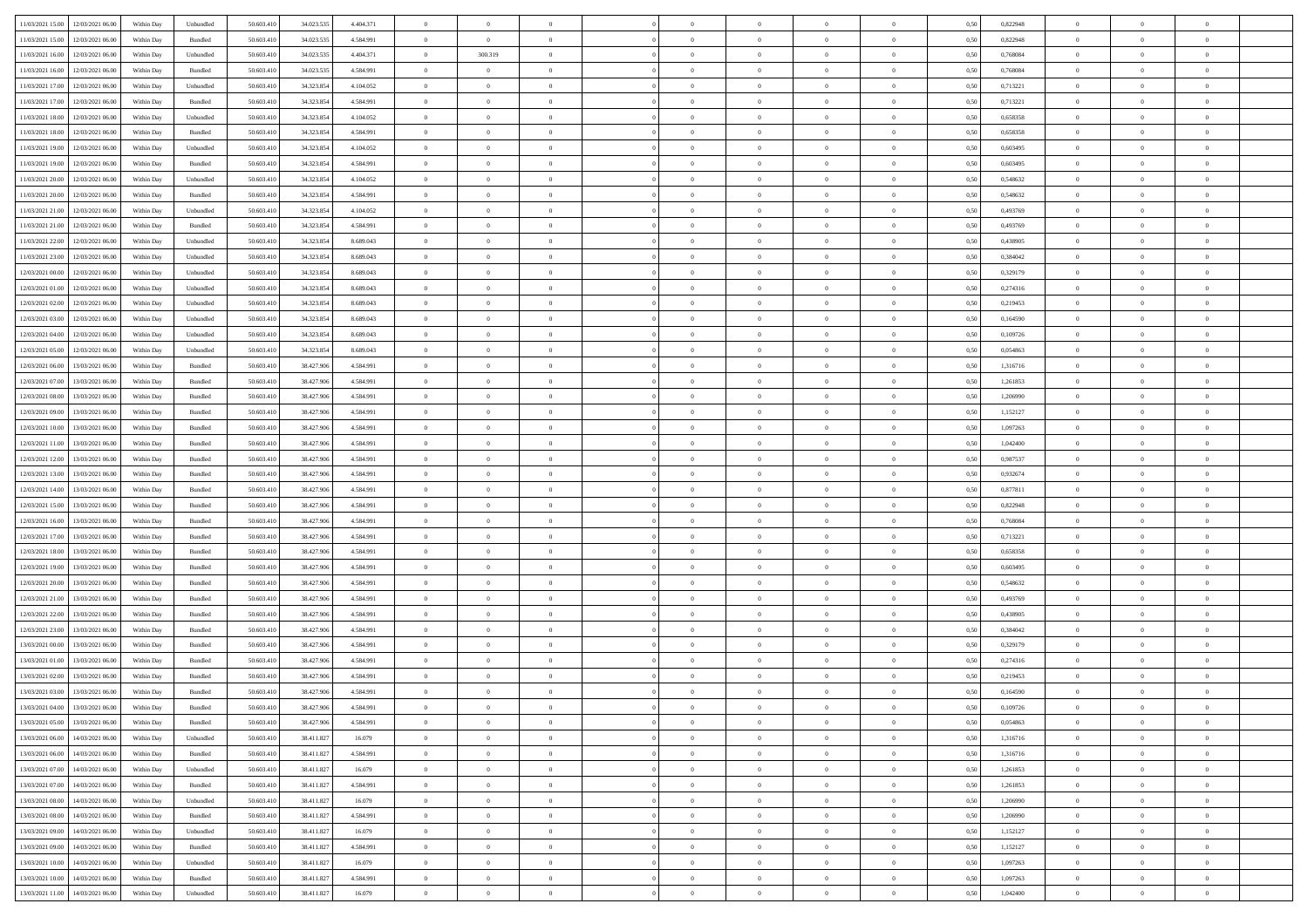| 11/03/2021 15:00 12/03/2021 06:00            | Within Day | Unbundled | 50.603.410 | 34.023.535 | 4.404.371 | $\overline{0}$ | $\overline{0}$ |                | $\overline{0}$ | $\theta$       |                | $\theta$       | 0,50 | 0,822948 | $\theta$       | $\theta$       | $\overline{0}$ |  |
|----------------------------------------------|------------|-----------|------------|------------|-----------|----------------|----------------|----------------|----------------|----------------|----------------|----------------|------|----------|----------------|----------------|----------------|--|
|                                              |            |           |            |            |           |                |                |                |                |                |                |                |      |          |                |                |                |  |
| 11/03/2021 15:00<br>12/03/2021 06:00         | Within Day | Bundled   | 50.603.41  | 34.023.53  | 4.584.991 | $\bf{0}$       | $\bf{0}$       | $\bf{0}$       | $\bf{0}$       | $\overline{0}$ | $\overline{0}$ | $\bf{0}$       | 0,50 | 0,822948 | $\,$ 0 $\,$    | $\bf{0}$       | $\overline{0}$ |  |
| 11/03/2021 16:00<br>12/03/2021 06:00         | Within Day | Unbundled | 50.603.41  | 34.023.53  | 4.404.371 | $\overline{0}$ | 300.319        | $\overline{0}$ | $\bf{0}$       | $\bf{0}$       | $\overline{0}$ | $\bf{0}$       | 0.50 | 0.768084 | $\bf{0}$       | $\overline{0}$ | $\bf{0}$       |  |
| 11/03/2021 16:00<br>12/03/2021 06:00         | Within Day | Bundled   | 50.603.410 | 34.023.535 | 4.584.991 | $\bf{0}$       | $\overline{0}$ | $\overline{0}$ | $\overline{0}$ | $\theta$       | $\overline{0}$ | $\bf{0}$       | 0,50 | 0,768084 | $\theta$       | $\,$ 0 $\,$    | $\overline{0}$ |  |
| 11/03/2021 17:00<br>12/03/2021 06:00         | Within Day | Unbundled | 50.603.41  | 34.323.854 | 4.104.052 | $\bf{0}$       | $\overline{0}$ | $\bf{0}$       | $\overline{0}$ | $\bf{0}$       | $\overline{0}$ | $\bf{0}$       | 0,50 | 0,713221 | $\,$ 0 $\,$    | $\bf{0}$       | $\overline{0}$ |  |
| 11/03/2021 17:00<br>12/03/2021 06:00         | Within Day | Bundled   | 50.603.41  | 34.323.85  | 4.584.991 | $\overline{0}$ | $\bf{0}$       | $\overline{0}$ | $\bf{0}$       | $\overline{0}$ | $\theta$       | $\bf{0}$       | 0.50 | 0,713221 | $\bf{0}$       | $\theta$       | $\overline{0}$ |  |
| 11/03/2021 18:00<br>12/03/2021 06:00         |            |           |            |            |           |                | $\overline{0}$ | $\overline{0}$ | $\overline{0}$ | $\overline{0}$ | $\overline{0}$ |                |      | 0,658358 | $\,$ 0 $\,$    | $\theta$       | $\overline{0}$ |  |
|                                              | Within Day | Unbundled | 50.603.41  | 34.323.854 | 4.104.052 | $\bf{0}$       |                |                |                |                |                | $\bf{0}$       | 0,50 |          |                |                |                |  |
| 11/03/2021 18:00<br>12/03/2021 06:00         | Within Day | Bundled   | 50.603.41  | 34.323.85  | 4.584.991 | $\bf{0}$       | $\bf{0}$       | $\bf{0}$       | $\overline{0}$ | $\overline{0}$ | $\overline{0}$ | $\bf{0}$       | 0,50 | 0,658358 | $\,$ 0 $\,$    | $\bf{0}$       | $\overline{0}$ |  |
| 11/03/2021 19:00<br>12/03/2021 06:00         | Within Day | Unbundled | 50.603.41  | 34.323.85  | 4.104.052 | $\overline{0}$ | $\bf{0}$       | $\overline{0}$ | $\bf{0}$       | $\overline{0}$ | $\overline{0}$ | $\bf{0}$       | 0.50 | 0.603495 | $\bf{0}$       | $\overline{0}$ | $\overline{0}$ |  |
| 11/03/2021 19:00<br>12/03/2021 06:00         | Within Day | Bundled   | 50.603.410 | 34.323.854 | 4.584.991 | $\bf{0}$       | $\bf{0}$       | $\overline{0}$ | $\overline{0}$ | $\overline{0}$ | $\overline{0}$ | $\bf{0}$       | 0,50 | 0,603495 | $\,$ 0 $\,$    | $\bf{0}$       | $\overline{0}$ |  |
| 11/03/2021 20:00<br>12/03/2021 06:00         | Within Day | Unbundled | 50.603.41  | 34.323.854 | 4.104.052 | $\bf{0}$       | $\bf{0}$       | $\bf{0}$       | $\bf{0}$       | $\overline{0}$ | $\overline{0}$ | $\bf{0}$       | 0,50 | 0,548632 | $\,$ 0 $\,$    | $\bf{0}$       | $\overline{0}$ |  |
| 11/03/2021 20:00<br>12/03/2021 06:00         | Within Day | Bundled   | 50.603.41  | 34.323.854 | 4.584.991 | $\overline{0}$ | $\bf{0}$       | $\overline{0}$ | $\overline{0}$ | $\overline{0}$ | $\overline{0}$ | $\bf{0}$       | 0.50 | 0.548632 | $\bf{0}$       | $\overline{0}$ | $\,$ 0         |  |
| 11/03/2021 21:00<br>12/03/2021 06:00         | Within Day | Unbundled | 50.603.41  | 34.323.854 | 4.104.052 | $\overline{0}$ | $\overline{0}$ | $\overline{0}$ | $\theta$       | $\theta$       | $\overline{0}$ | $\bf{0}$       | 0,50 | 0,493769 | $\,$ 0 $\,$    | $\,$ 0 $\,$    | $\overline{0}$ |  |
|                                              |            |           |            |            |           |                | $\overline{0}$ |                |                |                | $\overline{0}$ |                |      |          | $\,$ 0 $\,$    | $\bf{0}$       | $\overline{0}$ |  |
| 11/03/2021 21:00<br>12/03/2021 06:00         | Within Day | Bundled   | 50.603.41  | 34.323.85  | 4.584.991 | $\bf{0}$       |                | $\bf{0}$       | $\bf{0}$       | $\bf{0}$       |                | $\bf{0}$       | 0,50 | 0,493769 |                |                |                |  |
| 11/03/2021 22:00<br>12/03/2021 06:00         | Within Day | Unbundled | 50.603.41  | 34.323.85  | 8.689.043 | $\overline{0}$ | $\bf{0}$       | $\overline{0}$ | $\bf{0}$       | $\overline{0}$ | $\theta$       | $\bf{0}$       | 0.50 | 0.438905 | $\,$ 0 $\,$    | $\theta$       | $\overline{0}$ |  |
| 11/03/2021 23:00<br>12/03/2021 06:00         | Within Day | Unbundled | 50.603.410 | 34.323.854 | 8.689.043 | $\overline{0}$ | $\overline{0}$ | $\overline{0}$ | $\overline{0}$ | $\overline{0}$ | $\overline{0}$ | $\bf{0}$       | 0,50 | 0,384042 | $\theta$       | $\theta$       | $\overline{0}$ |  |
| 12/03/2021 00:00<br>12/03/2021 06:00         | Within Day | Unbundled | 50.603.41  | 34.323.854 | 8.689.043 | $\bf{0}$       | $\bf{0}$       | $\bf{0}$       | $\overline{0}$ | $\overline{0}$ | $\overline{0}$ | $\bf{0}$       | 0,50 | 0,329179 | $\,$ 0 $\,$    | $\bf{0}$       | $\overline{0}$ |  |
| 12/03/2021 01:00<br>12/03/2021 06:00         | Within Day | Unbundled | 50.603.41  | 34.323.85  | 8.689.043 | $\overline{0}$ | $\bf{0}$       | $\overline{0}$ | $\bf{0}$       | $\overline{0}$ | $\overline{0}$ | $\bf{0}$       | 0.50 | 0,274316 | $\bf{0}$       | $\overline{0}$ | $\bf{0}$       |  |
| 12/03/2021 02:00<br>12/03/2021 06:00         | Within Day | Unbundled | 50.603.410 | 34.323.854 | 8.689.043 | $\bf{0}$       | $\bf{0}$       | $\overline{0}$ | $\overline{0}$ | $\overline{0}$ | $\overline{0}$ | $\bf{0}$       | 0,50 | 0,219453 | $\,$ 0 $\,$    | $\bf{0}$       | $\overline{0}$ |  |
| 12/03/2021 03:00<br>12/03/2021 06:00         | Within Day | Unbundled | 50.603.41  | 34.323.854 | 8.689.043 | $\bf{0}$       | $\bf{0}$       | $\bf{0}$       | $\bf{0}$       | $\overline{0}$ | $\overline{0}$ | $\bf{0}$       | 0,50 | 0,164590 | $\,$ 0 $\,$    | $\bf{0}$       | $\overline{0}$ |  |
| 12/03/2021 04:00<br>12/03/2021 06:00         | Within Day | Unbundled | 50.603.41  | 34.323.854 | 8.689.043 | $\overline{0}$ | $\bf{0}$       | $\overline{0}$ | $\overline{0}$ | $\bf{0}$       | $\overline{0}$ | $\bf{0}$       | 0.50 | 0.109726 | $\bf{0}$       | $\overline{0}$ | $\,$ 0         |  |
|                                              |            |           |            |            |           |                |                |                |                |                |                |                |      |          |                |                |                |  |
| 12/03/2021 05:00<br>12/03/2021 06:00         | Within Day | Unbundled | 50.603.41  | 34.323.854 | 8.689.043 | $\overline{0}$ | $\overline{0}$ | $\overline{0}$ | $\overline{0}$ | $\theta$       | $\overline{0}$ | $\bf{0}$       | 0,50 | 0,054863 | $\theta$       | $\theta$       | $\overline{0}$ |  |
| 12/03/2021 06:00<br>13/03/2021 06:00         | Within Day | Bundled   | 50.603.41  | 38.427.90  | 4.584.991 | $\bf{0}$       | $\bf{0}$       | $\bf{0}$       | $\bf{0}$       | $\overline{0}$ | $\overline{0}$ | $\bf{0}$       | 0,50 | 1,316716 | $\,$ 0 $\,$    | $\bf{0}$       | $\overline{0}$ |  |
| 12/03/2021 07:00<br>13/03/2021 06:00         | Within Day | Bundled   | 50.603.41  | 38.427.90  | 4.584.991 | $\overline{0}$ | $\bf{0}$       | $\overline{0}$ | $\bf{0}$       | $\overline{0}$ | $\theta$       | $\bf{0}$       | 0.50 | 1.261853 | $\bf{0}$       | $\theta$       | $\overline{0}$ |  |
| 12/03/2021 08:00<br>13/03/2021 06:00         | Within Day | Bundled   | 50.603.410 | 38.427.906 | 4.584.991 | $\overline{0}$ | $\overline{0}$ | $\overline{0}$ | $\overline{0}$ | $\overline{0}$ | $\overline{0}$ | $\bf{0}$       | 0,50 | 1,206990 | $\,$ 0 $\,$    | $\theta$       | $\overline{0}$ |  |
| 12/03/2021 09:00<br>13/03/2021 06:00         | Within Day | Bundled   | 50.603.41  | 38.427.90  | 4.584.991 | $\bf{0}$       | $\overline{0}$ | $\bf{0}$       | $\overline{0}$ | $\overline{0}$ | $\overline{0}$ | $\bf{0}$       | 0,50 | 1,152127 | $\,$ 0 $\,$    | $\bf{0}$       | $\overline{0}$ |  |
| 12/03/2021 10:00<br>13/03/2021 06:00         | Within Day | Bundled   | 50,603.41  | 38,427,906 | 4.584.991 | $\overline{0}$ | $\bf{0}$       | $\overline{0}$ | $\bf{0}$       | $\overline{0}$ | $\overline{0}$ | $\bf{0}$       | 0.50 | 1.097263 | $\bf{0}$       | $\overline{0}$ | $\overline{0}$ |  |
| 12/03/2021 11:00<br>13/03/2021 06:00         | Within Day | Bundled   | 50.603.410 | 38.427.906 | 4.584.991 | $\overline{0}$ | $\bf{0}$       | $\overline{0}$ | $\overline{0}$ | $\overline{0}$ | $\overline{0}$ | $\bf{0}$       | 0,50 | 1,042400 | $\theta$       | $\bf{0}$       | $\overline{0}$ |  |
| 13/03/2021 06:00                             | Within Day | Bundled   | 50.603.41  | 38.427.906 | 4.584.991 | $\bf{0}$       | $\bf{0}$       | $\bf{0}$       | $\bf{0}$       | $\overline{0}$ | $\overline{0}$ | $\bf{0}$       | 0,50 | 0,987537 | $\,$ 0 $\,$    | $\bf{0}$       | $\overline{0}$ |  |
| 12/03/2021 12:00                             |            |           |            |            |           |                |                |                |                |                |                |                |      |          |                |                |                |  |
| 12/03/2021 13:00<br>13/03/2021 06:00         | Within Day | Bundled   | 50.603.41  | 38,427,906 | 4.584.991 | $\overline{0}$ | $\bf{0}$       | $\overline{0}$ | $\overline{0}$ | $\bf{0}$       | $\overline{0}$ | $\bf{0}$       | 0.50 | 0.932674 | $\bf{0}$       | $\overline{0}$ | $\,$ 0         |  |
| 12/03/2021 14:00<br>13/03/2021 06:00         | Within Day | Bundled   | 50.603.41  | 38,427,906 | 4.584.991 | $\overline{0}$ | $\overline{0}$ | $\overline{0}$ | $\overline{0}$ | $\overline{0}$ | $\overline{0}$ | $\bf{0}$       | 0.5( | 0,877811 | $\theta$       | $\theta$       | $\overline{0}$ |  |
| 12/03/2021 15:00<br>13/03/2021 06:00         | Within Day | Bundled   | 50.603.41  | 38.427.90  | 4.584.991 | $\bf{0}$       | $\bf{0}$       | $\bf{0}$       | $\bf{0}$       | $\overline{0}$ | $\overline{0}$ | $\bf{0}$       | 0,50 | 0,822948 | $\,$ 0 $\,$    | $\bf{0}$       | $\overline{0}$ |  |
| 12/03/2021 16:00<br>13/03/2021 06:00         | Within Day | Bundled   | 50,603.41  | 38,427,906 | 4.584.991 | $\overline{0}$ | $\bf{0}$       | $\overline{0}$ | $\bf{0}$       | $\overline{0}$ | $\overline{0}$ | $\bf{0}$       | 0.50 | 0.768084 | $\,$ 0 $\,$    | $\bf{0}$       | $\overline{0}$ |  |
| 12/03/2021 17:00<br>13/03/2021 06:00         | Within Dav | Bundled   | 50.603.41  | 38.427.906 | 4.584.991 | $\overline{0}$ | $\overline{0}$ | $\overline{0}$ | $\overline{0}$ | $\overline{0}$ | $\overline{0}$ | $\bf{0}$       | 0.50 | 0,713221 | $\theta$       | $\theta$       | $\overline{0}$ |  |
| 12/03/2021 18:00<br>13/03/2021 06:00         | Within Day | Bundled   | 50.603.41  | 38.427.90  | 4.584.991 | $\bf{0}$       | $\bf{0}$       | $\bf{0}$       | $\bf{0}$       | $\overline{0}$ | $\overline{0}$ | $\bf{0}$       | 0,50 | 0,658358 | $\,$ 0 $\,$    | $\bf{0}$       | $\overline{0}$ |  |
| 12/03/2021 19:00<br>13/03/2021 06:00         | Within Day | Bundled   | 50,603.41  | 38.427.90  | 4.584.991 | $\overline{0}$ | $\bf{0}$       | $\overline{0}$ | $\bf{0}$       | $\overline{0}$ | $\overline{0}$ | $\bf{0}$       | 0.50 | 0.603495 | $\bf{0}$       | $\overline{0}$ | $\bf{0}$       |  |
| 12/03/2021 20:00<br>13/03/2021 06:00         | Within Dav | Bundled   | 50.603.41  | 38.427.906 | 4.584.991 | $\overline{0}$ | $\overline{0}$ | $\overline{0}$ | $\overline{0}$ | $\overline{0}$ | $\overline{0}$ | $\bf{0}$       | 0.50 | 0,548632 | $\theta$       | $\theta$       | $\overline{0}$ |  |
|                                              |            |           |            |            |           |                |                |                |                |                |                |                |      |          |                |                |                |  |
| 12/03/2021 21:00<br>13/03/2021 06:00         | Within Day | Bundled   | 50.603.41  | 38.427.906 | 4.584.991 | $\bf{0}$       | $\bf{0}$       | $\bf{0}$       | $\bf{0}$       | $\overline{0}$ | $\overline{0}$ | $\bf{0}$       | 0,50 | 0,493769 | $\,$ 0 $\,$    | $\bf{0}$       | $\overline{0}$ |  |
| 12/03/2021 22:00<br>13/03/2021 06:00         | Within Day | Bundled   | 50.603.41  | 38,427,906 | 4.584.991 | $\overline{0}$ | $\bf{0}$       | $\overline{0}$ | $\overline{0}$ | $\bf{0}$       | $\overline{0}$ | $\bf{0}$       | 0.50 | 0.438905 | $\bf{0}$       | $\overline{0}$ | $\,$ 0         |  |
| 12/03/2021 23:00<br>13/03/2021 06:00         | Within Dav | Bundled   | 50.603.41  | 38.427.906 | 4.584.991 | $\overline{0}$ | $\overline{0}$ | $\overline{0}$ | $\overline{0}$ | $\overline{0}$ | $\overline{0}$ | $\bf{0}$       | 0.50 | 0.384042 | $\theta$       | $\theta$       | $\overline{0}$ |  |
| 13/03/2021 00:00<br>13/03/2021 06:00         | Within Day | Bundled   | 50.603.41  | 38.427.90  | 4.584.991 | $\bf{0}$       | $\bf{0}$       | $\bf{0}$       | $\bf{0}$       | $\overline{0}$ | $\overline{0}$ | $\bf{0}$       | 0,50 | 0,329179 | $\,$ 0 $\,$    | $\bf{0}$       | $\overline{0}$ |  |
| 13/03/2021 01:00<br>13/03/2021 06:00         | Within Day | Bundled   | 50,603.41  | 38.427.90  | 4.584.991 | $\overline{0}$ | $\overline{0}$ | $\overline{0}$ | $\bf{0}$       | $\overline{0}$ | $\overline{0}$ | $\bf{0}$       | 0.50 | 0,274316 | $\bf{0}$       | $\theta$       | $\overline{0}$ |  |
| 13/03/2021 02:00<br>13/03/2021 06:00         | Within Dav | Bundled   | 50.603.41  | 38.427.90  | 4.584.991 | $\overline{0}$ | $\overline{0}$ | $\overline{0}$ | $\overline{0}$ | $\theta$       | $\overline{0}$ | $\overline{0}$ | 0.5( | 0,219453 | $\theta$       | $\theta$       | $\overline{0}$ |  |
| 13/03/2021 03:00<br>13/03/2021 06:00         | Within Day | Bundled   | 50.603.41  | 38.427.906 | 4.584.991 | $\bf{0}$       | $\bf{0}$       | $\bf{0}$       | $\bf{0}$       | $\bf{0}$       | $\overline{0}$ | $\bf{0}$       | 0,50 | 0,164590 | $\,$ 0 $\,$    | $\overline{0}$ | $\overline{0}$ |  |
| $13/03/2021\ 04.00 \qquad 13/03/2021\ 06.00$ | Within Day | Bundled   | 50.603.410 | 38.427.906 | 4 584 991 | $\bf{0}$       | $\theta$       |                | $\Omega$       | $\Omega$       |                |                | 0,50 | 0,109726 | $\bf{0}$       | $\bf{0}$       |                |  |
| 13/03/2021 05:00 13/03/2021 06:00            | Within Day | Bundled   | 50.603.410 | 38.427.906 | 4.584.991 | $\overline{0}$ | $\overline{0}$ | $\Omega$       | $\overline{0}$ | $\overline{0}$ | $\overline{0}$ | $\bf{0}$       | 0,50 | 0,054863 | $\theta$       | $\overline{0}$ | $\overline{0}$ |  |
|                                              |            |           |            |            |           |                |                |                |                |                |                |                |      |          |                |                |                |  |
| 13/03/2021 06:00<br>14/03/2021 06:00         | Within Day | Unbundled | 50.603.41  | 38.411.827 | 16.079    | $\overline{0}$ | $\bf{0}$       | $\overline{0}$ | $\overline{0}$ | $\bf{0}$       | $\overline{0}$ | $\bf{0}$       | 0,50 | 1,316716 | $\bf{0}$       | $\overline{0}$ | $\bf{0}$       |  |
| 13/03/2021 06:00 14/03/2021 06:00            | Within Day | Bundled   | 50,603.410 | 38.411.827 | 4.584.991 | $\overline{0}$ | $\overline{0}$ | $\overline{0}$ | $\overline{0}$ | $\mathbf{0}$   | $\overline{0}$ | $\,$ 0 $\,$    | 0.50 | 1,316716 | $\overline{0}$ | $\bf{0}$       | $\bf{0}$       |  |
| 13/03/2021 07:00 14/03/2021 06:00            | Within Day | Unbundled | 50.603.410 | 38.411.827 | 16,079    | $\overline{0}$ | $\overline{0}$ | $\overline{0}$ | $\overline{0}$ | $\overline{0}$ | $\overline{0}$ | $\bf{0}$       | 0,50 | 1,261853 | $\overline{0}$ | $\theta$       | $\overline{0}$ |  |
| 13/03/2021 07:00<br>14/03/2021 06:00         | Within Day | Bundled   | 50.603.41  | 38.411.827 | 4.584.991 | $\overline{0}$ | $\bf{0}$       | $\overline{0}$ | $\overline{0}$ | $\bf{0}$       | $\overline{0}$ | $\bf{0}$       | 0,50 | 1,261853 | $\bf{0}$       | $\overline{0}$ | $\overline{0}$ |  |
| 13/03/2021 08:00<br>14/03/2021 06:00         | Within Day | Unbundled | 50.603.410 | 38.411.827 | 16,079    | $\overline{0}$ | $\bf{0}$       | $\overline{0}$ | $\overline{0}$ | $\bf{0}$       | $\overline{0}$ | $\bf{0}$       | 0.50 | 1.206990 | $\,$ 0 $\,$    | $\overline{0}$ | $\,$ 0         |  |
| 13/03/2021 08:00<br>14/03/2021 06:00         | Within Dav | Bundled   | 50.603.410 | 38.411.827 | 4.584.991 | $\overline{0}$ | $\overline{0}$ | $\overline{0}$ | $\overline{0}$ | $\overline{0}$ | $\overline{0}$ | $\bf{0}$       | 0.50 | 1,206990 | $\overline{0}$ | $\theta$       | $\overline{0}$ |  |
| 13/03/2021 09:00<br>14/03/2021 06:00         | Within Day | Unbundled | 50.603.41  | 38.411.827 | 16.079    | $\overline{0}$ | $\overline{0}$ | $\overline{0}$ | $\overline{0}$ | $\overline{0}$ | $\overline{0}$ | $\bf{0}$       | 0,50 | 1,152127 | $\bf{0}$       | $\overline{0}$ | $\,$ 0         |  |
|                                              |            |           |            |            |           |                |                |                |                |                |                |                |      |          |                |                |                |  |
| 13/03/2021 09:00<br>14/03/2021 06:00         | Within Day | Bundled   | 50,603.410 | 38.411.827 | 4.584.991 | $\overline{0}$ | $\bf{0}$       | $\overline{0}$ | $\overline{0}$ | $\overline{0}$ | $\overline{0}$ | $\bf{0}$       | 0.50 | 1.152127 | $\mathbf{0}$   | $\bf{0}$       | $\,$ 0         |  |
| 13/03/2021 10:00 14/03/2021 06:00            | Within Dav | Unbundled | 50.603.410 | 38.411.827 | 16.079    | $\overline{0}$ | $\overline{0}$ | $\overline{0}$ | $\overline{0}$ | $\overline{0}$ | $\overline{0}$ | $\bf{0}$       | 0,50 | 1,097263 | $\overline{0}$ | $\theta$       | $\overline{0}$ |  |
| 13/03/2021 10:00<br>14/03/2021 06:00         | Within Day | Bundled   | 50.603.41  | 38.411.827 | 4.584.991 | $\overline{0}$ | $\bf{0}$       | $\overline{0}$ | $\overline{0}$ | $\overline{0}$ | $\overline{0}$ | $\bf{0}$       | 0,50 | 1,097263 | $\bf{0}$       | $\overline{0}$ | $\bf{0}$       |  |
| 13/03/2021 11:00 14/03/2021 06:00            | Within Day | Unbundled | 50.603.410 | 38.411.827 | 16.079    | $\,$ 0 $\,$    | $\bf{0}$       | $\overline{0}$ | $\overline{0}$ | $\,$ 0 $\,$    | $\overline{0}$ | $\,$ 0 $\,$    | 0,50 | 1,042400 | $\overline{0}$ | $\,$ 0 $\,$    | $\,$ 0 $\,$    |  |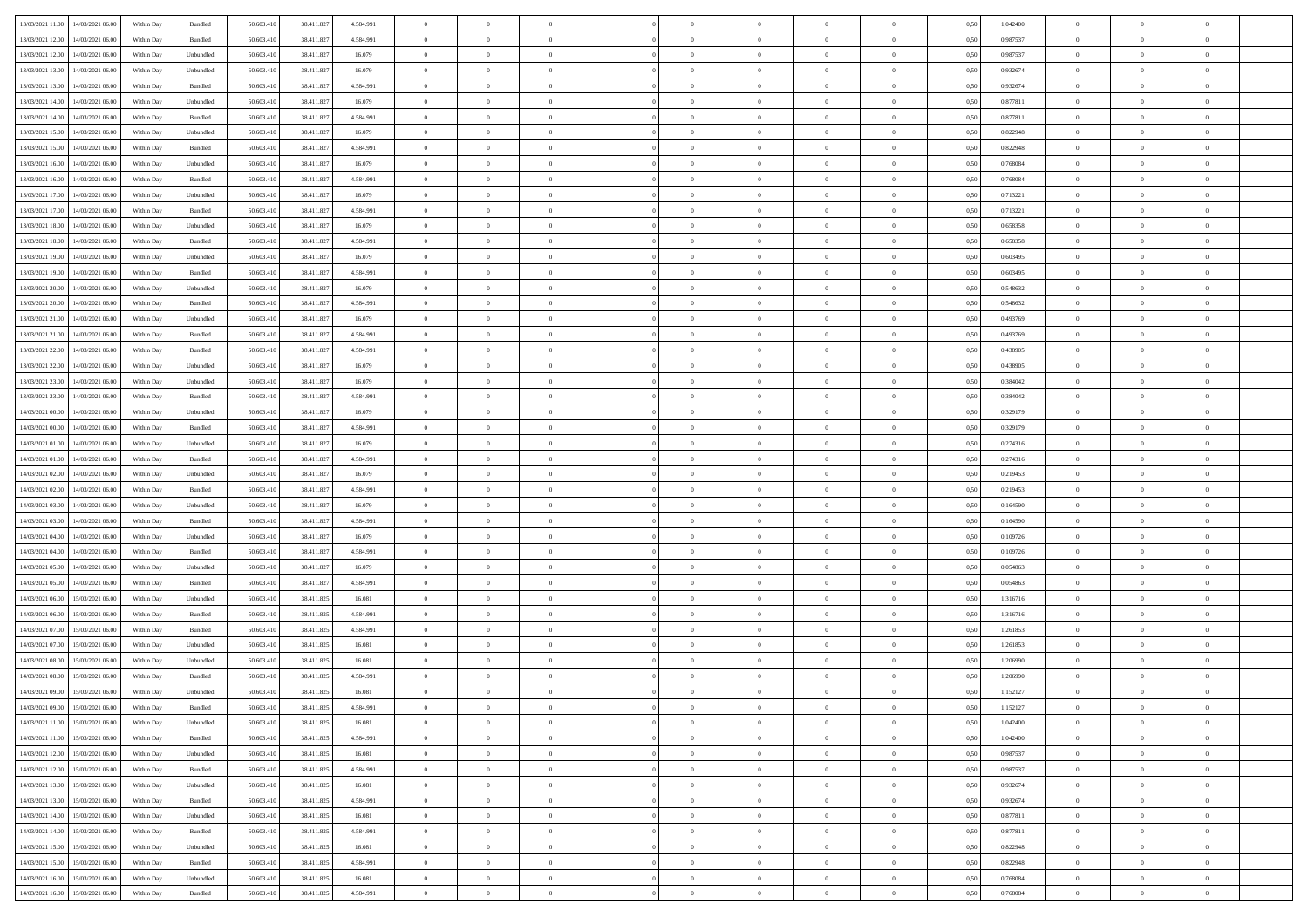| 13/03/2021 11:00 14/03/2021 06:00                                                                                              | Within Day | Bundled   | 50.603.410 | 38.411.827 | 4.584.991 | $\overline{0}$ | $\overline{0}$ |                | $\overline{0}$ | $\theta$       |                | $\theta$       | 0,50 | 1,042400 | $\theta$       | $\theta$       | $\overline{0}$ |  |
|--------------------------------------------------------------------------------------------------------------------------------|------------|-----------|------------|------------|-----------|----------------|----------------|----------------|----------------|----------------|----------------|----------------|------|----------|----------------|----------------|----------------|--|
|                                                                                                                                |            |           |            |            |           |                |                |                |                |                |                |                |      |          |                |                |                |  |
| 13/03/2021 12:00<br>14/03/2021 06:00                                                                                           | Within Day | Bundled   | 50.603.41  | 38.411.827 | 4.584.991 | $\bf{0}$       | $\bf{0}$       | $\bf{0}$       | $\bf{0}$       | $\overline{0}$ | $\overline{0}$ | $\bf{0}$       | 0,50 | 0,987537 | $\,$ 0 $\,$    | $\bf{0}$       | $\overline{0}$ |  |
| 13/03/2021 12:00<br>14/03/2021 06:00                                                                                           | Within Day | Unbundled | 50.603.41  | 38.411.827 | 16.079    | $\overline{0}$ | $\bf{0}$       | $\overline{0}$ | $\bf{0}$       | $\bf{0}$       | $\overline{0}$ | $\bf{0}$       | 0.50 | 0.987537 | $\bf{0}$       | $\overline{0}$ | $\bf{0}$       |  |
| 13/03/2021 13:00<br>14/03/2021 06:00                                                                                           | Within Day | Unbundled | 50.603.410 | 38.411.827 | 16.079    | $\overline{0}$ | $\overline{0}$ | $\overline{0}$ | $\overline{0}$ | $\theta$       | $\overline{0}$ | $\bf{0}$       | 0,50 | 0,932674 | $\theta$       | $\,$ 0 $\,$    | $\overline{0}$ |  |
| 13/03/2021 13:00<br>14/03/2021 06:00                                                                                           | Within Day | Bundled   | 50.603.41  | 38.411.827 | 4.584.991 | $\bf{0}$       | $\overline{0}$ | $\bf{0}$       | $\overline{0}$ | $\bf{0}$       | $\overline{0}$ | $\bf{0}$       | 0,50 | 0,932674 | $\,$ 0 $\,$    | $\bf{0}$       | $\overline{0}$ |  |
| 13/03/2021 14:00<br>14/03/2021 06:00                                                                                           | Within Day | Unbundled | 50.603.41  | 38.411.827 | 16.079    | $\overline{0}$ | $\bf{0}$       | $\overline{0}$ | $\bf{0}$       | $\overline{0}$ | $\overline{0}$ | $\bf{0}$       | 0.50 | 0.877811 | $\,$ 0 $\,$    | $\theta$       | $\overline{0}$ |  |
|                                                                                                                                |            |           |            |            |           | $\overline{0}$ |                | $\overline{0}$ | $\overline{0}$ | $\overline{0}$ | $\overline{0}$ |                |      |          |                | $\theta$       |                |  |
| 13/03/2021 14:00<br>14/03/2021 06:00                                                                                           | Within Day | Bundled   | 50.603.41  | 38.411.827 | 4.584.991 |                | $\bf{0}$       |                |                |                |                | $\bf{0}$       | 0,50 | 0,877811 | $\,$ 0 $\,$    |                | $\overline{0}$ |  |
| 13/03/2021 15:00<br>14/03/2021 06:00                                                                                           | Within Day | Unbundled | 50.603.41  | 38.411.82  | 16.079    | $\bf{0}$       | $\bf{0}$       | $\bf{0}$       | $\overline{0}$ | $\overline{0}$ | $\overline{0}$ | $\bf{0}$       | 0,50 | 0,822948 | $\,$ 0 $\,$    | $\bf{0}$       | $\overline{0}$ |  |
| 13/03/2021 15:00<br>14/03/2021 06:00                                                                                           | Within Day | Bundled   | 50.603.41  | 38.411.827 | 4.584.991 | $\overline{0}$ | $\bf{0}$       | $\overline{0}$ | $\bf{0}$       | $\overline{0}$ | $\overline{0}$ | $\bf{0}$       | 0.50 | 0.822948 | $\bf{0}$       | $\overline{0}$ | $\bf{0}$       |  |
| 13/03/2021 16:00<br>14/03/2021 06:00                                                                                           | Within Day | Unbundled | 50.603.410 | 38.411.827 | 16.079    | $\bf{0}$       | $\bf{0}$       | $\overline{0}$ | $\overline{0}$ | $\overline{0}$ | $\overline{0}$ | $\bf{0}$       | 0,50 | 0,768084 | $\,$ 0 $\,$    | $\,$ 0 $\,$    | $\overline{0}$ |  |
| 13/03/2021 16:00<br>14/03/2021 06:00                                                                                           | Within Day | Bundled   | 50.603.41  | 38.411.827 | 4.584.991 | $\bf{0}$       | $\bf{0}$       | $\bf{0}$       | $\bf{0}$       | $\overline{0}$ | $\overline{0}$ | $\bf{0}$       | 0,50 | 0,768084 | $\,$ 0 $\,$    | $\bf{0}$       | $\overline{0}$ |  |
| 13/03/2021 17:00<br>14/03/2021 06:00                                                                                           | Within Day | Unbundled | 50.603.41  | 38.411.827 | 16.079    | $\overline{0}$ | $\bf{0}$       | $\overline{0}$ | $\overline{0}$ | $\overline{0}$ | $\overline{0}$ | $\bf{0}$       | 0.50 | 0,713221 | $\bf{0}$       | $\,$ 0 $\,$    | $\,$ 0         |  |
| 13/03/2021 17:00<br>14/03/2021 06:00                                                                                           | Within Day | Bundled   | 50.603.41  | 38.411.827 | 4.584.991 | $\overline{0}$ | $\bf{0}$       | $\overline{0}$ | $\theta$       | $\theta$       | $\overline{0}$ | $\bf{0}$       | 0,50 | 0,713221 | $\,$ 0 $\,$    | $\,$ 0 $\,$    | $\overline{0}$ |  |
|                                                                                                                                |            |           |            |            |           |                | $\overline{0}$ |                |                |                | $\overline{0}$ |                |      |          | $\,$ 0 $\,$    | $\bf{0}$       | $\overline{0}$ |  |
| 13/03/2021 18:00<br>14/03/2021 06:00                                                                                           | Within Day | Unbundled | 50.603.41  | 38.411.827 | 16.079    | $\bf{0}$       |                | $\bf{0}$       | $\bf{0}$       | $\bf{0}$       |                | $\bf{0}$       | 0,50 | 0,658358 |                |                |                |  |
| 13/03/2021 18:00<br>14/03/2021 06:00                                                                                           | Within Day | Bundled   | 50.603.41  | 38.411.827 | 4.584.991 | $\overline{0}$ | $\bf{0}$       | $\overline{0}$ | $\bf{0}$       | $\overline{0}$ | $\overline{0}$ | $\bf{0}$       | 0.50 | 0.658358 | $\,$ 0 $\,$    | $\theta$       | $\overline{0}$ |  |
| 13/03/2021 19:00<br>14/03/2021 06:00                                                                                           | Within Day | Unbundled | 50.603.410 | 38.411.827 | 16.079    | $\overline{0}$ | $\bf{0}$       | $\overline{0}$ | $\overline{0}$ | $\overline{0}$ | $\overline{0}$ | $\bf{0}$       | 0,50 | 0,603495 | $\theta$       | $\theta$       | $\overline{0}$ |  |
| 13/03/2021 19:00<br>14/03/2021 06:00                                                                                           | Within Day | Bundled   | 50.603.41  | 38.411.827 | 4.584.991 | $\bf{0}$       | $\bf{0}$       | $\bf{0}$       | $\overline{0}$ | $\overline{0}$ | $\overline{0}$ | $\bf{0}$       | 0,50 | 0,603495 | $\,$ 0 $\,$    | $\bf{0}$       | $\overline{0}$ |  |
| 13/03/2021 20:00<br>14/03/2021 06:00                                                                                           | Within Day | Unbundled | 50,603.41  | 38.411.82  | 16.079    | $\overline{0}$ | $\bf{0}$       | $\overline{0}$ | $\bf{0}$       | $\overline{0}$ | $\overline{0}$ | $\bf{0}$       | 0.50 | 0.548632 | $\bf{0}$       | $\overline{0}$ | $\bf{0}$       |  |
| 13/03/2021 20:00<br>14/03/2021 06:00                                                                                           | Within Day | Bundled   | 50.603.410 | 38.411.827 | 4.584.991 | $\bf{0}$       | $\bf{0}$       | $\overline{0}$ | $\overline{0}$ | $\overline{0}$ | $\overline{0}$ | $\bf{0}$       | 0,50 | 0,548632 | $\,$ 0 $\,$    | $\bf{0}$       | $\overline{0}$ |  |
| 13/03/2021 21:00<br>14/03/2021 06:00                                                                                           | Within Day | Unbundled | 50.603.41  | 38.411.827 | 16.079    | $\bf{0}$       | $\bf{0}$       | $\bf{0}$       | $\bf{0}$       | $\overline{0}$ | $\overline{0}$ | $\bf{0}$       | 0,50 | 0,493769 | $\,$ 0 $\,$    | $\bf{0}$       | $\overline{0}$ |  |
| 13/03/2021 21:00<br>14/03/2021 06:00                                                                                           | Within Day | Bundled   | 50,603.41  | 38.411.827 | 4.584.991 | $\overline{0}$ | $\bf{0}$       | $\overline{0}$ | $\overline{0}$ | $\bf{0}$       | $\overline{0}$ | $\bf{0}$       | 0.50 | 0.493769 | $\bf{0}$       | $\,$ 0 $\,$    | $\,$ 0         |  |
|                                                                                                                                |            |           |            |            |           |                |                |                |                |                |                |                |      |          |                |                |                |  |
| 13/03/2021 22:00<br>14/03/2021 06:00                                                                                           | Within Day | Bundled   | 50.603.41  | 38.411.827 | 4.584.991 | $\overline{0}$ | $\overline{0}$ | $\overline{0}$ | $\overline{0}$ | $\theta$       | $\overline{0}$ | $\bf{0}$       | 0,50 | 0,438905 | $\theta$       | $\theta$       | $\overline{0}$ |  |
| 13/03/2021 22:00<br>14/03/2021 06:00                                                                                           | Within Day | Unbundled | 50.603.41  | 38.411.827 | 16.079    | $\bf{0}$       | $\bf{0}$       | $\bf{0}$       | $\bf{0}$       | $\overline{0}$ | $\overline{0}$ | $\bf{0}$       | 0,50 | 0,438905 | $\,$ 0 $\,$    | $\bf{0}$       | $\overline{0}$ |  |
| 13/03/2021 23:00<br>14/03/2021 06:00                                                                                           | Within Day | Unbundled | 50.603.41  | 38.411.827 | 16.079    | $\overline{0}$ | $\bf{0}$       | $\overline{0}$ | $\bf{0}$       | $\overline{0}$ | $\overline{0}$ | $\bf{0}$       | 0.50 | 0.384042 | $\,$ 0 $\,$    | $\overline{0}$ | $\overline{0}$ |  |
| 13/03/2021 23:00<br>14/03/2021 06:00                                                                                           | Within Day | Bundled   | 50.603.41  | 38.411.827 | 4.584.991 | $\overline{0}$ | $\overline{0}$ | $\overline{0}$ | $\overline{0}$ | $\overline{0}$ | $\overline{0}$ | $\bf{0}$       | 0,50 | 0,384042 | $\,$ 0 $\,$    | $\theta$       | $\overline{0}$ |  |
| 14/03/2021 00:00<br>14/03/2021 06.00                                                                                           | Within Day | Unbundled | 50.603.41  | 38.411.827 | 16.079    | $\bf{0}$       | $\overline{0}$ | $\bf{0}$       | $\overline{0}$ | $\overline{0}$ | $\overline{0}$ | $\bf{0}$       | 0,50 | 0,329179 | $\,$ 0 $\,$    | $\bf{0}$       | $\overline{0}$ |  |
| 14/03/2021 00:00<br>14/03/2021 06:00                                                                                           | Within Day | Bundled   | 50,603.41  | 38.411.827 | 4.584.991 | $\overline{0}$ | $\bf{0}$       | $\overline{0}$ | $\bf{0}$       | $\overline{0}$ | $\overline{0}$ | $\bf{0}$       | 0.50 | 0,329179 | $\bf{0}$       | $\overline{0}$ | $\bf{0}$       |  |
| 14/03/2021 01:00<br>14/03/2021 06:00                                                                                           | Within Day | Unbundled | 50.603.410 | 38.411.827 | 16.079    | $\overline{0}$ | $\bf{0}$       | $\overline{0}$ | $\overline{0}$ | $\overline{0}$ | $\overline{0}$ | $\bf{0}$       | 0,50 | 0,274316 | $\,$ 0 $\,$    | $\,$ 0 $\,$    | $\overline{0}$ |  |
| 14/03/2021 01:00<br>14/03/2021 06:00                                                                                           | Within Day | Bundled   | 50.603.41  | 38.411.827 | 4.584.991 | $\bf{0}$       | $\bf{0}$       | $\bf{0}$       | $\bf{0}$       | $\overline{0}$ | $\overline{0}$ | $\bf{0}$       | 0,50 | 0,274316 | $\,$ 0 $\,$    | $\bf{0}$       | $\overline{0}$ |  |
|                                                                                                                                |            |           |            |            |           |                |                |                |                |                |                |                |      |          |                |                |                |  |
| 14/03/2021 02:00<br>14/03/2021 06:00                                                                                           | Within Day | Unbundled | 50.603.41  | 38.411.827 | 16.079    | $\overline{0}$ | $\bf{0}$       | $\overline{0}$ | $\bf{0}$       | $\bf{0}$       | $\overline{0}$ | $\bf{0}$       | 0.50 | 0,219453 | $\bf{0}$       | $\,$ 0 $\,$    | $\,$ 0         |  |
| 14/03/2021 02:00<br>14/03/2021 06:00                                                                                           | Within Day | Bundled   | 50.603.41  | 38.411.827 | 4.584.991 | $\overline{0}$ | $\overline{0}$ | $\overline{0}$ | $\overline{0}$ | $\overline{0}$ | $\overline{0}$ | $\bf{0}$       | 0.50 | 0,219453 | $\theta$       | $\theta$       | $\overline{0}$ |  |
| 14/03/2021 03:00<br>14/03/2021 06:00                                                                                           | Within Day | Unbundled | 50.603.41  | 38.411.827 | 16.079    | $\bf{0}$       | $\bf{0}$       | $\bf{0}$       | $\bf{0}$       | $\overline{0}$ | $\overline{0}$ | $\bf{0}$       | 0,50 | 0,164590 | $\,$ 0 $\,$    | $\bf{0}$       | $\overline{0}$ |  |
| 14/03/2021 03:00<br>14/03/2021 06:00                                                                                           | Within Day | Bundled   | 50,603.41  | 38.411.827 | 4.584.991 | $\overline{0}$ | $\bf{0}$       | $\overline{0}$ | $\bf{0}$       | $\overline{0}$ | $\overline{0}$ | $\bf{0}$       | 0.50 | 0.164590 | $\,$ 0 $\,$    | $\bf{0}$       | $\overline{0}$ |  |
| 14/03/2021 04:00<br>14/03/2021 06:00                                                                                           | Within Dav | Unbundled | 50.603.41  | 38.411.827 | 16.079    | $\overline{0}$ | $\overline{0}$ | $\overline{0}$ | $\overline{0}$ | $\overline{0}$ | $\overline{0}$ | $\bf{0}$       | 0.50 | 0,109726 | $\theta$       | $\theta$       | $\overline{0}$ |  |
| 14/03/2021 04:00<br>14/03/2021 06:00                                                                                           | Within Day | Bundled   | 50.603.41  | 38.411.827 | 4.584.991 | $\bf{0}$       | $\bf{0}$       | $\bf{0}$       | $\bf{0}$       | $\overline{0}$ | $\overline{0}$ | $\bf{0}$       | 0,50 | 0,109726 | $\,$ 0 $\,$    | $\bf{0}$       | $\overline{0}$ |  |
| 14/03/2021 05:00<br>14/03/2021 06:00                                                                                           | Within Day | Unbundled | 50,603.41  | 38.411.827 | 16.079    | $\overline{0}$ | $\bf{0}$       | $\overline{0}$ | $\bf{0}$       | $\overline{0}$ | $\overline{0}$ | $\bf{0}$       | 0.50 | 0.054863 | $\bf{0}$       | $\overline{0}$ | $\bf{0}$       |  |
| 14/03/2021 05:00<br>14/03/2021 06:00                                                                                           | Within Day | Bundled   | 50.603.41  | 38.411.827 | 4.584.991 | $\overline{0}$ | $\overline{0}$ | $\overline{0}$ | $\overline{0}$ | $\overline{0}$ | $\overline{0}$ | $\bf{0}$       | 0.50 | 0,054863 | $\theta$       | $\theta$       | $\overline{0}$ |  |
| 15/03/2021 06:00                                                                                                               | Within Day | Unbundled | 50.603.41  | 38.411.825 | 16.081    | $\bf{0}$       | $\bf{0}$       | $\bf{0}$       | $\bf{0}$       | $\overline{0}$ | $\overline{0}$ | $\bf{0}$       | 0,50 | 1,316716 | $\,$ 0 $\,$    | $\bf{0}$       | $\overline{0}$ |  |
| 14/03/2021 06:00                                                                                                               |            |           |            |            |           |                |                |                |                |                |                |                |      |          |                |                |                |  |
| 14/03/2021 06:00<br>15/03/2021 06:00                                                                                           | Within Day | Bundled   | 50,603.41  | 38.411.825 | 4.584.991 | $\overline{0}$ | $\bf{0}$       | $\overline{0}$ | $\overline{0}$ | $\bf{0}$       | $\overline{0}$ | $\bf{0}$       | 0.50 | 1.316716 | $\,$ 0 $\,$    | $\,$ 0 $\,$    | $\,$ 0         |  |
| 14/03/2021 07:00<br>15/03/2021 06:00                                                                                           | Within Day | Bundled   | 50.603.41  | 38.411.825 | 4.584.991 | $\overline{0}$ | $\overline{0}$ | $\overline{0}$ | $\overline{0}$ | $\overline{0}$ | $\overline{0}$ | $\bf{0}$       | 0.50 | 1,261853 | $\theta$       | $\theta$       | $\overline{0}$ |  |
| 14/03/2021 07:00<br>15/03/2021 06:00                                                                                           | Within Day | Unbundled | 50.603.41  | 38.411.825 | 16.081    | $\bf{0}$       | $\bf{0}$       | $\bf{0}$       | $\bf{0}$       | $\overline{0}$ | $\overline{0}$ | $\bf{0}$       | 0,50 | 1,261853 | $\,$ 0 $\,$    | $\bf{0}$       | $\overline{0}$ |  |
| 14/03/2021 08:00<br>15/03/2021 06:00                                                                                           | Within Day | Unbundled | 50.603.41  | 38.411.825 | 16.081    | $\overline{0}$ | $\overline{0}$ | $\overline{0}$ | $\bf{0}$       | $\overline{0}$ | $\overline{0}$ | $\bf{0}$       | 0.50 | 1.206990 | $\bf{0}$       | $\theta$       | $\overline{0}$ |  |
| 14/03/2021 08:00<br>15/03/2021 06:00                                                                                           | Within Day | Bundled   | 50.603.41  | 38.411.825 | 4.584.991 | $\overline{0}$ | $\overline{0}$ | $\overline{0}$ | $\theta$       | $\theta$       | $\overline{0}$ | $\overline{0}$ | 0.50 | 1.206990 | $\theta$       | $\theta$       | $\overline{0}$ |  |
| 14/03/2021 09:00<br>15/03/2021 06:00                                                                                           | Within Day | Unbundled | 50.603.41  | 38.411.825 | 16.081    | $\bf{0}$       | $\bf{0}$       | $\bf{0}$       | $\bf{0}$       | $\bf{0}$       | $\overline{0}$ | $\bf{0}$       | 0,50 | 1,152127 | $\overline{0}$ | $\overline{0}$ | $\overline{0}$ |  |
| $\begin{tabular}{ c c c c c } \hline & \multicolumn{1}{ c }{14/03/2021} & 09.00 & 15/03/2021} & 06.00 \\ \hline \end{tabular}$ | Within Day | Bundled   | 50.603.410 | 38.411.825 | 4.584.991 | $\bf{0}$       | $\theta$       |                | $\overline{0}$ | $\Omega$       |                |                | 0,50 | 1,152127 | $\bf{0}$       | $\bf{0}$       |                |  |
| 14/03/2021 11:00 15/03/2021 06:00                                                                                              | Within Day | Unbundled | 50.603.410 | 38.411.825 | 16.081    | $\overline{0}$ | $\overline{0}$ | $\overline{0}$ | $\overline{0}$ | $\overline{0}$ | $\overline{0}$ | $\bf{0}$       | 0,50 | 1,042400 | $\theta$       | $\overline{0}$ | $\overline{0}$ |  |
|                                                                                                                                |            |           |            |            |           |                |                |                |                |                |                |                |      |          |                |                |                |  |
| 14/03/2021 11:00<br>15/03/2021 06:00                                                                                           | Within Day | Bundled   | 50.603.41  | 38.411.825 | 4.584.991 | $\overline{0}$ | $\bf{0}$       | $\overline{0}$ | $\overline{0}$ | $\bf{0}$       | $\overline{0}$ | $\bf{0}$       | 0,50 | 1,042400 | $\bf{0}$       | $\overline{0}$ | $\bf{0}$       |  |
| 14/03/2021 12:00 15/03/2021 06:00                                                                                              | Within Day | Unbundled | 50,603.410 | 38.411.825 | 16.081    | $\overline{0}$ | $\overline{0}$ | $\overline{0}$ | $\overline{0}$ | $\mathbf{0}$   | $\overline{0}$ | $\,$ 0 $\,$    | 0.50 | 0.987537 | $\overline{0}$ | $\bf{0}$       | $\bf{0}$       |  |
| 14/03/2021 12:00 15/03/2021 06:00                                                                                              | Within Day | Bundled   | 50.603.410 | 38.411.825 | 4.584.991 | $\overline{0}$ | $\overline{0}$ | $\overline{0}$ | $\overline{0}$ | $\overline{0}$ | $\overline{0}$ | $\bf{0}$       | 0,50 | 0,987537 | $\overline{0}$ | $\theta$       | $\overline{0}$ |  |
| 14/03/2021 13:00<br>15/03/2021 06:00                                                                                           | Within Day | Unbundled | 50.603.41  | 38.411.825 | 16.081    | $\overline{0}$ | $\bf{0}$       | $\overline{0}$ | $\overline{0}$ | $\bf{0}$       | $\overline{0}$ | $\bf{0}$       | 0,50 | 0,932674 | $\bf{0}$       | $\overline{0}$ | $\overline{0}$ |  |
| 14/03/2021 13:00<br>15/03/2021 06:00                                                                                           | Within Day | Bundled   | 50.603.410 | 38.411.825 | 4.584.991 | $\overline{0}$ | $\bf{0}$       | $\overline{0}$ | $\overline{0}$ | $\bf{0}$       | $\overline{0}$ | $\bf{0}$       | 0.50 | 0.932674 | $\,$ 0 $\,$    | $\overline{0}$ | $\,$ 0         |  |
| 14/03/2021 14:00<br>15/03/2021 06:00                                                                                           | Within Dav | Unbundled | 50.603.410 | 38.411.825 | 16.081    | $\overline{0}$ | $\overline{0}$ | $\overline{0}$ | $\overline{0}$ | $\overline{0}$ | $\overline{0}$ | $\bf{0}$       | 0,50 | 0,877811 | $\overline{0}$ | $\theta$       | $\overline{0}$ |  |
| 14/03/2021 14:00<br>15/03/2021 06:00                                                                                           | Within Day | Bundled   | 50.603.41  | 38.411.825 | 4.584.991 | $\overline{0}$ | $\overline{0}$ | $\overline{0}$ | $\overline{0}$ | $\overline{0}$ | $\overline{0}$ | $\bf{0}$       | 0,50 | 0,877811 | $\bf{0}$       | $\overline{0}$ | $\,$ 0         |  |
|                                                                                                                                |            | Unbundled | 50,603.410 |            | 16.081    |                | $\overline{0}$ |                |                |                | $\overline{0}$ |                | 0.50 | 0.822948 |                |                | $\,$ 0         |  |
| 14/03/2021 15:00<br>15/03/2021 06:00                                                                                           | Within Day |           |            | 38.411.825 |           | $\overline{0}$ |                | $\overline{0}$ | $\overline{0}$ | $\overline{0}$ |                | $\bf{0}$       |      |          | $\mathbf{0}$   | $\bf{0}$       |                |  |
| 14/03/2021 15:00 15/03/2021 06:00                                                                                              | Within Dav | Bundled   | 50.603.410 | 38.411.825 | 4.584.991 | $\overline{0}$ | $\overline{0}$ | $\overline{0}$ | $\overline{0}$ | $\overline{0}$ | $\overline{0}$ | $\bf{0}$       | 0,50 | 0,822948 | $\overline{0}$ | $\overline{0}$ | $\overline{0}$ |  |
| 14/03/2021 16:00<br>15/03/2021 06:00                                                                                           | Within Day | Unbundled | 50.603.41  | 38.411.825 | 16.081    | $\overline{0}$ | $\bf{0}$       | $\overline{0}$ | $\overline{0}$ | $\overline{0}$ | $\overline{0}$ | $\bf{0}$       | 0,50 | 0,768084 | $\bf{0}$       | $\overline{0}$ | $\bf{0}$       |  |
| 14/03/2021 16:00 15/03/2021 06:00                                                                                              | Within Day | Bundled   | 50.603.410 | 38.411.825 | 4.584.991 | $\overline{0}$ | $\bf{0}$       | $\overline{0}$ | $\overline{0}$ | $\,$ 0 $\,$    | $\overline{0}$ | $\,$ 0 $\,$    | 0,50 | 0,768084 | $\overline{0}$ | $\,$ 0 $\,$    | $\,$ 0 $\,$    |  |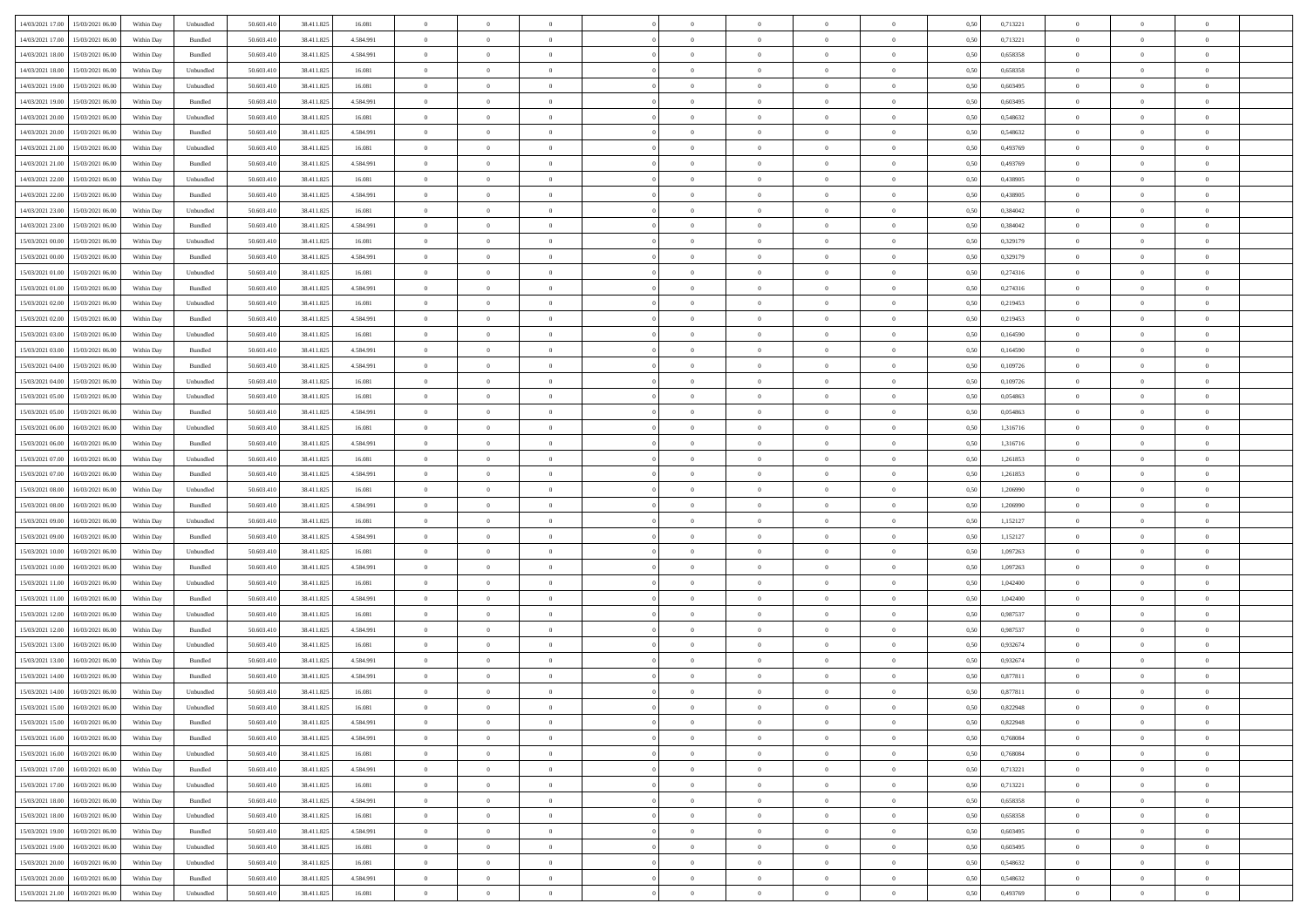| 14/03/2021 17:00 15/03/2021 06:00                                                                 | Within Day | Unbundled         | 50.603.410 | 38.411.825 | 16.081    | $\overline{0}$ | $\theta$         |                | $\overline{0}$ | $\theta$       |                | $\theta$       | 0,50 | 0,713221 | $\theta$       | $\theta$       | $\overline{0}$ |  |
|---------------------------------------------------------------------------------------------------|------------|-------------------|------------|------------|-----------|----------------|------------------|----------------|----------------|----------------|----------------|----------------|------|----------|----------------|----------------|----------------|--|
|                                                                                                   |            |                   |            |            |           |                |                  |                |                |                |                |                |      |          |                |                |                |  |
| 14/03/2021 17:00<br>15/03/2021 06:00                                                              | Within Day | Bundled           | 50.603.41  | 38.411.825 | 4.584.991 | $\bf{0}$       | $\bf{0}$         | $\bf{0}$       | $\bf{0}$       | $\overline{0}$ | $\overline{0}$ | $\bf{0}$       | 0,50 | 0,713221 | $\,$ 0 $\,$    | $\bf{0}$       | $\overline{0}$ |  |
| 14/03/2021 18:00<br>15/03/2021 06:00                                                              | Within Day | Bundled           | 50.603.41  | 38.411.825 | 4.584.991 | $\overline{0}$ | $\bf{0}$         | $\overline{0}$ | $\overline{0}$ | $\overline{0}$ | $\overline{0}$ | $\bf{0}$       | 0.50 | 0.658358 | $\bf{0}$       | $\overline{0}$ | $\bf{0}$       |  |
| 14/03/2021 18:00<br>15/03/2021 06:00                                                              | Within Day | Unbundled         | 50.603.41  | 38.411.825 | 16.081    | $\overline{0}$ | $\overline{0}$   | $\overline{0}$ | $\overline{0}$ | $\theta$       | $\overline{0}$ | $\bf{0}$       | 0,50 | 0,658358 | $\,$ 0 $\,$    | $\,$ 0 $\,$    | $\overline{0}$ |  |
| 14/03/2021 19:00<br>15/03/2021 06:00                                                              | Within Day | Unbundled         | 50.603.41  | 38.411.825 | 16.081    | $\bf{0}$       | $\bf{0}$         | $\bf{0}$       | $\overline{0}$ | $\bf{0}$       | $\overline{0}$ | $\bf{0}$       | 0,50 | 0,603495 | $\,$ 0 $\,$    | $\bf{0}$       | $\overline{0}$ |  |
| 14/03/2021 19:00<br>15/03/2021 06:00                                                              | Within Day | Bundled           | 50.603.41  | 38.411.825 | 4.584.991 | $\overline{0}$ | $\bf{0}$         | $\overline{0}$ | $\bf{0}$       | $\overline{0}$ | $\overline{0}$ | $\bf{0}$       | 0.50 | 0.603495 | $\,$ 0 $\,$    | $\overline{0}$ | $\overline{0}$ |  |
|                                                                                                   |            |                   |            |            |           | $\overline{0}$ |                  | $\overline{0}$ | $\overline{0}$ | $\overline{0}$ | $\overline{0}$ |                |      |          |                |                |                |  |
| 14/03/2021 20:00<br>15/03/2021 06:00                                                              | Within Day | Unbundled         | 50.603.41  | 38.411.825 | 16.081    |                | $\bf{0}$         |                |                |                |                | $\bf{0}$       | 0,50 | 0,548632 | $\,$ 0 $\,$    | $\bf{0}$       | $\overline{0}$ |  |
| 14/03/2021 20:00<br>15/03/2021 06:00                                                              | Within Day | Bundled           | 50.603.41  | 38.411.825 | 4.584.991 | $\bf{0}$       | $\bf{0}$         | $\bf{0}$       | $\bf{0}$       | $\overline{0}$ | $\overline{0}$ | $\bf{0}$       | 0,50 | 0,548632 | $\,$ 0 $\,$    | $\bf{0}$       | $\overline{0}$ |  |
| 14/03/2021 21:00<br>15/03/2021 06:00                                                              | Within Day | Unbundled         | 50,603.41  | 38.411.825 | 16.081    | $\overline{0}$ | $\bf{0}$         | $\overline{0}$ | $\bf{0}$       | $\bf{0}$       | $\overline{0}$ | $\bf{0}$       | 0.50 | 0.493769 | $\bf{0}$       | $\overline{0}$ | $\bf{0}$       |  |
| 14/03/2021 21:00<br>15/03/2021 06:00                                                              | Within Day | Bundled           | 50.603.410 | 38.411.825 | 4.584.991 | $\bf{0}$       | $\bf{0}$         | $\overline{0}$ | $\overline{0}$ | $\overline{0}$ | $\overline{0}$ | $\bf{0}$       | 0,50 | 0,493769 | $\,$ 0 $\,$    | $\,$ 0 $\,$    | $\overline{0}$ |  |
| 14/03/2021 22:00<br>15/03/2021 06:00                                                              | Within Day | Unbundled         | 50.603.41  | 38.411.825 | 16.081    | $\bf{0}$       | $\bf{0}$         | $\bf{0}$       | $\bf{0}$       | $\overline{0}$ | $\overline{0}$ | $\bf{0}$       | 0,50 | 0,438905 | $\,$ 0 $\,$    | $\bf{0}$       | $\overline{0}$ |  |
| 14/03/2021 22:00<br>15/03/2021 06:00                                                              | Within Day | Bundled           | 50.603.41  | 38.411.825 | 4.584.991 | $\overline{0}$ | $\bf{0}$         | $\overline{0}$ | $\overline{0}$ | $\overline{0}$ | $\overline{0}$ | $\bf{0}$       | 0.50 | 0.438905 | $\bf{0}$       | $\,$ 0 $\,$    | $\,$ 0         |  |
| 14/03/2021 23:00<br>15/03/2021 06:00                                                              | Within Day | Unbundled         | 50.603.41  | 38.411.825 | 16.081    | $\overline{0}$ | $\bf{0}$         | $\overline{0}$ | $\theta$       | $\theta$       | $\overline{0}$ | $\bf{0}$       | 0,50 | 0,384042 | $\,$ 0 $\,$    | $\,$ 0 $\,$    | $\overline{0}$ |  |
|                                                                                                   |            |                   |            |            |           |                | $\bf{0}$         |                |                |                | $\overline{0}$ |                |      |          | $\,$ 0 $\,$    | $\bf{0}$       | $\overline{0}$ |  |
| 14/03/2021 23:00<br>15/03/2021 06:00                                                              | Within Day | Bundled           | 50.603.41  | 38.411.825 | 4.584.991 | $\bf{0}$       |                  | $\bf{0}$       | $\bf{0}$       | $\bf{0}$       |                | $\bf{0}$       | 0,50 | 0,384042 |                |                |                |  |
| 15/03/2021 00:00<br>15/03/2021 06:00                                                              | Within Day | Unbundled         | 50.603.41  | 38.411.825 | 16.081    | $\overline{0}$ | $\bf{0}$         | $\overline{0}$ | $\bf{0}$       | $\overline{0}$ | $\overline{0}$ | $\bf{0}$       | 0.50 | 0,329179 | $\bf{0}$       | $\overline{0}$ | $\overline{0}$ |  |
| 15/03/2021 00:00<br>15/03/2021 06:00                                                              | Within Day | Bundled           | 50.603.410 | 38.411.825 | 4.584.991 | $\overline{0}$ | $\bf{0}$         | $\overline{0}$ | $\overline{0}$ | $\overline{0}$ | $\overline{0}$ | $\bf{0}$       | 0,50 | 0,329179 | $\theta$       | $\theta$       | $\overline{0}$ |  |
| 15/03/2021 01:00<br>15/03/2021 06:00                                                              | Within Day | Unbundled         | 50.603.41  | 38.411.825 | 16.081    | $\bf{0}$       | $\bf{0}$         | $\bf{0}$       | $\overline{0}$ | $\overline{0}$ | $\overline{0}$ | $\bf{0}$       | 0,50 | 0,274316 | $\,$ 0 $\,$    | $\bf{0}$       | $\overline{0}$ |  |
| 15/03/2021 01:00<br>15/03/2021 06:00                                                              | Within Day | Bundled           | 50.603.41  | 38.411.825 | 4.584.991 | $\overline{0}$ | $\bf{0}$         | $\overline{0}$ | $\bf{0}$       | $\overline{0}$ | $\overline{0}$ | $\bf{0}$       | 0.50 | 0,274316 | $\bf{0}$       | $\overline{0}$ | $\bf{0}$       |  |
| 15/03/2021 02:00<br>15/03/2021 06:00                                                              | Within Day | Unbundled         | 50.603.410 | 38.411.825 | 16.081    | $\overline{0}$ | $\bf{0}$         | $\overline{0}$ | $\overline{0}$ | $\overline{0}$ | $\overline{0}$ | $\bf{0}$       | 0,50 | 0,219453 | $\,$ 0 $\,$    | $\bf{0}$       | $\overline{0}$ |  |
| 15/03/2021 02:00<br>15/03/2021 06:00                                                              | Within Day | Bundled           | 50.603.41  | 38.411.825 | 4.584.991 | $\bf{0}$       | $\bf{0}$         | $\bf{0}$       | $\bf{0}$       | $\overline{0}$ | $\overline{0}$ | $\bf{0}$       | 0,50 | 0,219453 | $\,$ 0 $\,$    | $\bf{0}$       | $\overline{0}$ |  |
| 15/03/2021 03:00<br>15/03/2021 06:00                                                              | Within Day | Unbundled         | 50.603.41  | 38.411.825 | 16.081    | $\overline{0}$ | $\bf{0}$         | $\overline{0}$ | $\overline{0}$ | $\overline{0}$ | $\overline{0}$ | $\bf{0}$       | 0.50 | 0.164590 | $\bf{0}$       | $\,$ 0 $\,$    | $\,$ 0         |  |
|                                                                                                   |            |                   |            |            |           |                |                  |                |                |                |                |                |      |          |                |                |                |  |
| 15/03/2021 03:00<br>15/03/2021 06:00                                                              | Within Day | Bundled           | 50.603.41  | 38.411.825 | 4.584.991 | $\overline{0}$ | $\overline{0}$   | $\overline{0}$ | $\overline{0}$ | $\theta$       | $\overline{0}$ | $\bf{0}$       | 0,50 | 0,164590 | $\theta$       | $\theta$       | $\overline{0}$ |  |
| 15/03/2021 04:00<br>15/03/2021 06:00                                                              | Within Day | Bundled           | 50.603.41  | 38.411.825 | 4.584.991 | $\bf{0}$       | $\bf{0}$         | $\bf{0}$       | $\bf{0}$       | $\overline{0}$ | $\overline{0}$ | $\bf{0}$       | 0,50 | 0,109726 | $\,$ 0 $\,$    | $\bf{0}$       | $\overline{0}$ |  |
| 15/03/2021 04:00<br>15/03/2021 06:00                                                              | Within Day | Unbundled         | 50.603.41  | 38.411.825 | 16.081    | $\overline{0}$ | $\bf{0}$         | $\overline{0}$ | $\bf{0}$       | $\overline{0}$ | $\overline{0}$ | $\bf{0}$       | 0.50 | 0.109726 | $\bf{0}$       | $\overline{0}$ | $\overline{0}$ |  |
| 15/03/2021 05:00<br>15/03/2021 06:00                                                              | Within Day | Unbundled         | 50.603.410 | 38.411.825 | 16.081    | $\overline{0}$ | $\bf{0}$         | $\overline{0}$ | $\overline{0}$ | $\overline{0}$ | $\overline{0}$ | $\bf{0}$       | 0,50 | 0,054863 | $\,$ 0 $\,$    | $\theta$       | $\overline{0}$ |  |
| 15/03/2021 05:00<br>15/03/2021 06:00                                                              | Within Day | Bundled           | 50.603.41  | 38.411.825 | 4.584.991 | $\bf{0}$       | $\overline{0}$   | $\bf{0}$       | $\bf{0}$       | $\overline{0}$ | $\overline{0}$ | $\bf{0}$       | 0,50 | 0,054863 | $\,$ 0 $\,$    | $\bf{0}$       | $\overline{0}$ |  |
| 15/03/2021 06:00<br>16/03/2021 06:00                                                              | Within Day | Unbundled         | 50,603.41  | 38.411.825 | 16.081    | $\overline{0}$ | $\bf{0}$         | $\overline{0}$ | $\bf{0}$       | $\overline{0}$ | $\overline{0}$ | $\bf{0}$       | 0.50 | 1.316716 | $\bf{0}$       | $\overline{0}$ | $\bf{0}$       |  |
| 15/03/2021 06:00<br>16/03/2021 06:00                                                              | Within Day | Bundled           | 50.603.410 | 38.411.825 | 4.584.991 | $\overline{0}$ | $\bf{0}$         | $\overline{0}$ | $\overline{0}$ | $\overline{0}$ | $\overline{0}$ | $\bf{0}$       | 0,50 | 1,316716 | $\,$ 0 $\,$    | $\overline{0}$ | $\overline{0}$ |  |
| 15/03/2021 07:00<br>16/03/2021 06:00                                                              | Within Day | Unbundled         | 50.603.41  | 38.411.825 | 16.081    | $\bf{0}$       | $\bf{0}$         | $\bf{0}$       | $\bf{0}$       | $\overline{0}$ | $\overline{0}$ | $\bf{0}$       | 0,50 | 1,261853 | $\,$ 0 $\,$    | $\bf{0}$       | $\overline{0}$ |  |
|                                                                                                   |            |                   |            |            |           |                |                  |                |                |                |                |                |      |          |                |                |                |  |
| 15/03/2021 07:00<br>16/03/2021 06:00                                                              | Within Day | Bundled           | 50.603.41  | 38.411.825 | 4.584.991 | $\overline{0}$ | $\bf{0}$         | $\overline{0}$ | $\overline{0}$ | $\overline{0}$ | $\overline{0}$ | $\bf{0}$       | 0.50 | 1.261853 | $\bf{0}$       | $\,$ 0 $\,$    | $\,$ 0         |  |
| 15/03/2021 08:00<br>16/03/2021 06:00                                                              | Within Day | Unbundled         | 50.603.41  | 38.411.825 | 16.081    | $\overline{0}$ | $\overline{0}$   | $\overline{0}$ | $\overline{0}$ | $\overline{0}$ | $\overline{0}$ | $\bf{0}$       | 0.50 | 1.206990 | $\theta$       | $\theta$       | $\overline{0}$ |  |
| 15/03/2021 08:00<br>16/03/2021 06:00                                                              | Within Day | Bundled           | 50.603.41  | 38.411.825 | 4.584.991 | $\bf{0}$       | $\bf{0}$         | $\bf{0}$       | $\bf{0}$       | $\overline{0}$ | $\overline{0}$ | $\bf{0}$       | 0,50 | 1,206990 | $\,$ 0 $\,$    | $\bf{0}$       | $\overline{0}$ |  |
| 15/03/2021 09:00<br>16/03/2021 06:00                                                              | Within Day | Unbundled         | 50.603.41  | 38.411.825 | 16.081    | $\overline{0}$ | $\bf{0}$         | $\overline{0}$ | $\bf{0}$       | $\overline{0}$ | $\overline{0}$ | $\bf{0}$       | 0.50 | 1,152127 | $\bf{0}$       | $\overline{0}$ | $\overline{0}$ |  |
| 15/03/2021 09:00<br>16/03/2021 06:00                                                              | Within Dav | Bundled           | 50.603.41  | 38.411.825 | 4.584.991 | $\overline{0}$ | $\overline{0}$   | $\overline{0}$ | $\overline{0}$ | $\overline{0}$ | $\overline{0}$ | $\bf{0}$       | 0.50 | 1,152127 | $\theta$       | $\theta$       | $\overline{0}$ |  |
| 15/03/2021 10:00<br>16/03/2021 06:00                                                              | Within Day | Unbundled         | 50.603.41  | 38.411.825 | 16.081    | $\bf{0}$       | $\bf{0}$         | $\bf{0}$       | $\bf{0}$       | $\overline{0}$ | $\overline{0}$ | $\bf{0}$       | 0,50 | 1,097263 | $\,$ 0 $\,$    | $\bf{0}$       | $\overline{0}$ |  |
| 15/03/2021 10:00<br>16/03/2021 06:00                                                              | Within Day | Bundled           | 50,603.41  | 38.411.825 | 4.584.991 | $\overline{0}$ | $\bf{0}$         | $\overline{0}$ | $\bf{0}$       | $\overline{0}$ | $\overline{0}$ | $\bf{0}$       | 0.50 | 1.097263 | $\bf{0}$       | $\overline{0}$ | $\bf{0}$       |  |
| 15/03/2021 11:00<br>16/03/2021 06:00                                                              | Within Day | Unbundled         | 50.603.41  | 38.411.825 | 16.081    | $\overline{0}$ | $\overline{0}$   | $\overline{0}$ | $\overline{0}$ | $\overline{0}$ | $\overline{0}$ | $\bf{0}$       | 0.50 | 1,042400 | $\theta$       | $\overline{0}$ | $\overline{0}$ |  |
| 16/03/2021 06:00                                                                                  | Within Day | Bundled           | 50.603.41  | 38.411.825 | 4.584.991 | $\bf{0}$       | $\bf{0}$         | $\bf{0}$       | $\bf{0}$       | $\overline{0}$ | $\overline{0}$ | $\bf{0}$       | 0,50 | 1,042400 | $\,$ 0 $\,$    | $\bf{0}$       | $\overline{0}$ |  |
| 15/03/2021 11:00                                                                                  |            |                   |            |            |           |                |                  |                |                |                |                |                |      |          |                |                |                |  |
| 15/03/2021 12:00<br>16/03/2021 06:00                                                              | Within Day | Unbundled         | 50.603.41  | 38.411.825 | 16.081    | $\overline{0}$ | $\bf{0}$         | $\overline{0}$ | $\overline{0}$ | $\bf{0}$       | $\overline{0}$ | $\bf{0}$       | 0.50 | 0.987537 | $\bf{0}$       | $\,$ 0 $\,$    | $\,$ 0         |  |
| 15/03/2021 12:00<br>16/03/2021 06:00                                                              | Within Day | Bundled           | 50.603.41  | 38.411.825 | 4.584.991 | $\overline{0}$ | $\overline{0}$   | $\overline{0}$ | $\overline{0}$ | $\overline{0}$ | $\overline{0}$ | $\bf{0}$       | 0.5( | 0,987537 | $\theta$       | $\theta$       | $\overline{0}$ |  |
| 15/03/2021 13:00<br>16/03/2021 06:00                                                              | Within Day | Unbundled         | 50.603.41  | 38.411.825 | 16.081    | $\bf{0}$       | $\bf{0}$         | $\bf{0}$       | $\overline{0}$ | $\overline{0}$ | $\overline{0}$ | $\bf{0}$       | 0,50 | 0,932674 | $\,$ 0 $\,$    | $\bf{0}$       | $\overline{0}$ |  |
| 15/03/2021 13:00<br>16/03/2021 06:00                                                              | Within Day | Bundled           | 50,603.41  | 38.411.825 | 4.584.991 | $\overline{0}$ | $\overline{0}$   | $\overline{0}$ | $\bf{0}$       | $\overline{0}$ | $\overline{0}$ | $\bf{0}$       | 0.50 | 0.932674 | $\bf{0}$       | $\overline{0}$ | $\overline{0}$ |  |
| 15/03/2021 14:00<br>16/03/2021 06:00                                                              | Within Dav | Bundled           | 50.603.41  | 38.411.82  | 4.584.991 | $\overline{0}$ | $\overline{0}$   | $\overline{0}$ | $\overline{0}$ | $\theta$       | $\overline{0}$ | $\overline{0}$ | 0.5( | 0,877811 | $\theta$       | $\theta$       | $\overline{0}$ |  |
| 15/03/2021 14:00<br>16/03/2021 06:00                                                              | Within Day | Unbundled         | 50.603.41  | 38.411.825 | 16.081    | $\bf{0}$       | $\bf{0}$         | $\bf{0}$       | $\bf{0}$       | $\overline{0}$ | $\overline{0}$ | $\bf{0}$       | 0,50 | 0,877811 | $\overline{0}$ | $\overline{0}$ | $\overline{0}$ |  |
| $\begin{array}{ c c c c c } \hline 15/03/2021 & 15.00 & 16/03/2021 & 06.00 \\ \hline \end{array}$ | Within Day | ${\sf Unbundred}$ | 50.603.410 | 38.411.825 | 16.081    | $\bf{0}$       | $\boldsymbol{0}$ |                | $\overline{0}$ | $\bf{0}$       |                |                | 0,50 | 0,822948 | $\bf{0}$       | $\bf{0}$       |                |  |
| 15/03/2021 15:00 16/03/2021 06:00                                                                 | Within Day | Bundled           | 50.603.410 | 38.411.825 | 4.584.991 | $\overline{0}$ | $\overline{0}$   | $\overline{0}$ | $\theta$       | $\overline{0}$ | $\overline{0}$ | $\bf{0}$       | 0,50 | 0,822948 | $\theta$       | $\overline{0}$ | $\overline{0}$ |  |
|                                                                                                   |            |                   |            |            |           |                |                  |                |                |                |                |                |      |          |                |                |                |  |
| 15/03/2021 16:00<br>16/03/2021 06:00                                                              | Within Day | Bundled           | 50.603.41  | 38.411.825 | 4.584.991 | $\overline{0}$ | $\bf{0}$         | $\overline{0}$ | $\overline{0}$ | $\bf{0}$       | $\overline{0}$ | $\bf{0}$       | 0,50 | 0,768084 | $\bf{0}$       | $\overline{0}$ | $\bf{0}$       |  |
| 15/03/2021 16:00 16/03/2021 06:00                                                                 | Within Day | Unbundled         | 50,603.410 | 38.411.825 | 16.081    | $\overline{0}$ | $\overline{0}$   | $\overline{0}$ | $\overline{0}$ | $\mathbf{0}$   | $\overline{0}$ | $\,$ 0 $\,$    | 0.50 | 0.768084 | $\overline{0}$ | $\bf{0}$       | $\bf{0}$       |  |
| 15/03/2021 17:00 16/03/2021 06:00                                                                 | Within Day | Bundled           | 50.603.410 | 38.411.825 | 4.584.991 | $\overline{0}$ | $\overline{0}$   | $\overline{0}$ | $\overline{0}$ | $\overline{0}$ | $\overline{0}$ | $\bf{0}$       | 0,50 | 0,713221 | $\overline{0}$ | $\theta$       | $\overline{0}$ |  |
| 15/03/2021 17:00<br>16/03/2021 06:00                                                              | Within Day | Unbundled         | 50.603.41  | 38.411.825 | 16.081    | $\overline{0}$ | $\bf{0}$         | $\overline{0}$ | $\overline{0}$ | $\bf{0}$       | $\overline{0}$ | $\bf{0}$       | 0,50 | 0,713221 | $\bf{0}$       | $\overline{0}$ | $\overline{0}$ |  |
| 15/03/2021 18:00<br>16/03/2021 06:00                                                              | Within Day | Bundled           | 50.603.410 | 38.411.825 | 4.584.991 | $\overline{0}$ | $\bf{0}$         | $\overline{0}$ | $\overline{0}$ | $\bf{0}$       | $\overline{0}$ | $\bf{0}$       | 0.50 | 0.658358 | $\,$ 0 $\,$    | $\overline{0}$ | $\,$ 0         |  |
| 15/03/2021 18:00<br>16/03/2021 06:00                                                              | Within Dav | Unbundled         | 50.603.410 | 38.411.825 | 16.081    | $\overline{0}$ | $\overline{0}$   | $\overline{0}$ | $\overline{0}$ | $\overline{0}$ | $\overline{0}$ | $\bf{0}$       | 0,50 | 0,658358 | $\overline{0}$ | $\theta$       | $\overline{0}$ |  |
| 15/03/2021 19:00<br>16/03/2021 06:00                                                              | Within Day | Bundled           | 50.603.41  | 38.411.825 | 4.584.991 | $\overline{0}$ | $\overline{0}$   | $\overline{0}$ | $\overline{0}$ | $\overline{0}$ | $\overline{0}$ | $\bf{0}$       | 0,50 | 0,603495 | $\bf{0}$       | $\overline{0}$ | $\,$ 0         |  |
|                                                                                                   |            | Unbundled         | 50,603.410 |            | 16.081    |                |                  |                |                |                | $\overline{0}$ |                | 0.50 | 0.603495 |                |                | $\,$ 0         |  |
| 15/03/2021 19:00<br>16/03/2021 06:00                                                              | Within Day |                   |            | 38.411.825 |           | $\overline{0}$ | $\bf{0}$         | $\overline{0}$ | $\overline{0}$ | $\overline{0}$ |                | $\bf{0}$       |      |          | $\mathbf{0}$   | $\bf{0}$       |                |  |
| 15/03/2021 20:00 16/03/2021 06:00                                                                 | Within Dav | Unbundled         | 50.603.410 | 38.411.825 | 16.081    | $\overline{0}$ | $\overline{0}$   | $\overline{0}$ | $\overline{0}$ | $\overline{0}$ | $\overline{0}$ | $\bf{0}$       | 0,50 | 0,548632 | $\overline{0}$ | $\theta$       | $\overline{0}$ |  |
| 15/03/2021 20:00<br>16/03/2021 06:00                                                              | Within Day | Bundled           | 50.603.41  | 38.411.825 | 4.584.991 | $\overline{0}$ | $\bf{0}$         | $\overline{0}$ | $\overline{0}$ | $\overline{0}$ | $\overline{0}$ | $\bf{0}$       | 0,50 | 0,548632 | $\bf{0}$       | $\overline{0}$ | $\bf{0}$       |  |
| 15/03/2021 21:00 16/03/2021 06:00                                                                 | Within Day | Unbundled         | 50.603.410 | 38.411.825 | 16.081    | $\,$ 0 $\,$    | $\bf{0}$         | $\overline{0}$ | $\overline{0}$ | $\,$ 0 $\,$    | $\overline{0}$ | $\,$ 0 $\,$    | 0,50 | 0,493769 | $\overline{0}$ | $\,$ 0 $\,$    | $\,$ 0 $\,$    |  |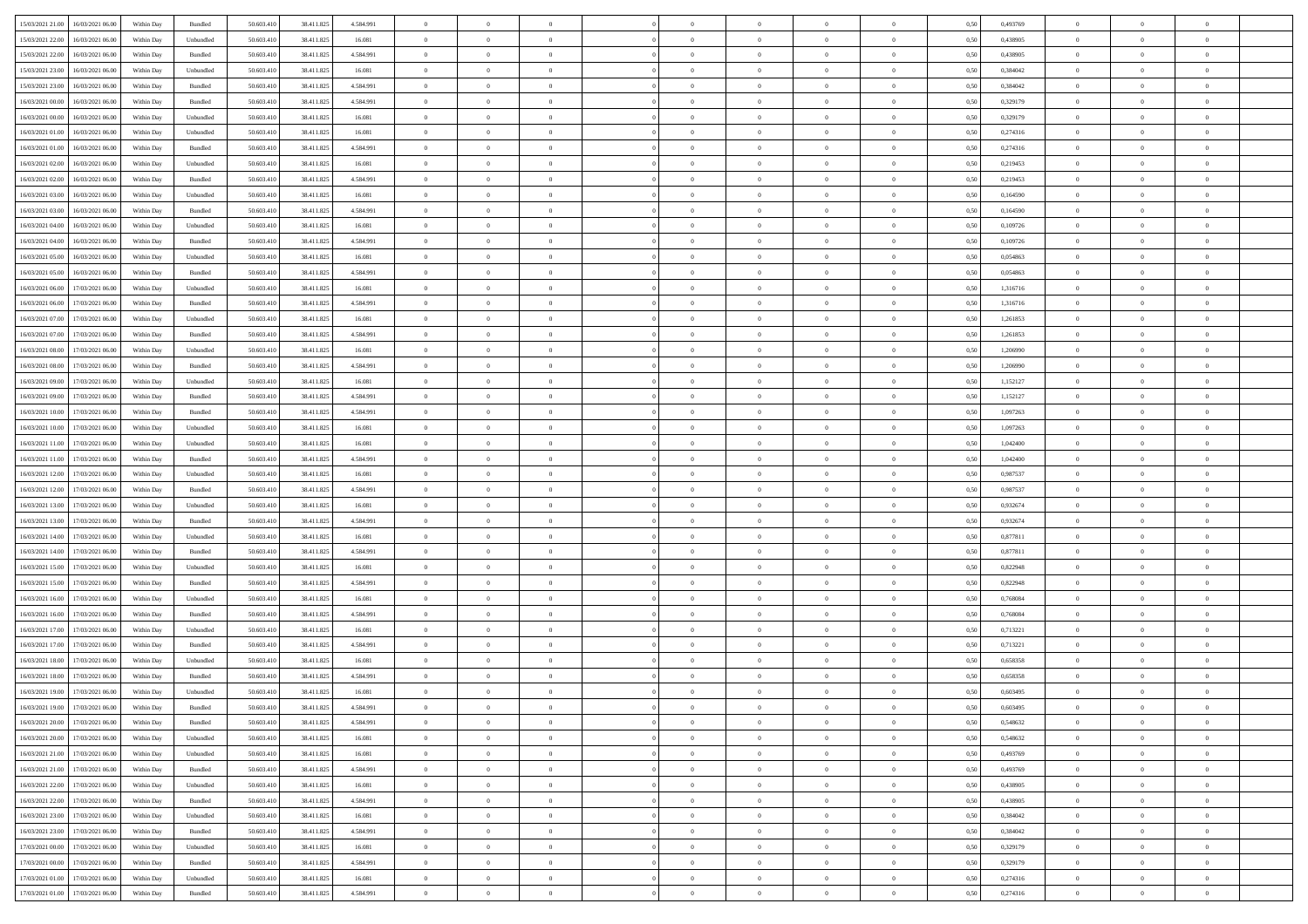| 15/03/2021 21:00<br>16/03/2021 06:00                                                              | Within Day | Bundled   | 50.603.410 | 38.411.825 | 4.584.991 | $\overline{0}$ | $\theta$       |                | $\overline{0}$ | $\theta$       |                | $\theta$       | 0,50 | 0,493769 | $\theta$       | $\theta$       | $\overline{0}$ |  |
|---------------------------------------------------------------------------------------------------|------------|-----------|------------|------------|-----------|----------------|----------------|----------------|----------------|----------------|----------------|----------------|------|----------|----------------|----------------|----------------|--|
|                                                                                                   |            |           |            |            |           |                |                |                |                |                |                |                |      |          |                |                |                |  |
| 15/03/2021 22:00<br>16/03/2021 06:00                                                              | Within Day | Unbundled | 50.603.41  | 38.411.825 | 16.081    | $\bf{0}$       | $\bf{0}$       | $\bf{0}$       | $\bf{0}$       | $\overline{0}$ | $\overline{0}$ | $\bf{0}$       | 0,50 | 0,438905 | $\,$ 0 $\,$    | $\bf{0}$       | $\overline{0}$ |  |
| 15/03/2021 22:00<br>16/03/2021 06:00                                                              | Within Day | Bundled   | 50.603.41  | 38.411.825 | 4.584.991 | $\overline{0}$ | $\bf{0}$       | $\overline{0}$ | $\bf{0}$       | $\bf{0}$       | $\overline{0}$ | $\bf{0}$       | 0.50 | 0.438905 | $\bf{0}$       | $\overline{0}$ | $\bf{0}$       |  |
| 15/03/2021 23:00<br>16/03/2021 06:00                                                              | Within Day | Unbundled | 50.603.410 | 38.411.825 | 16.081    | $\overline{0}$ | $\overline{0}$ | $\overline{0}$ | $\overline{0}$ | $\theta$       | $\overline{0}$ | $\bf{0}$       | 0,50 | 0,384042 | $\theta$       | $\theta$       | $\overline{0}$ |  |
| 15/03/2021 23:00<br>16/03/2021 06:00                                                              | Within Day | Bundled   | 50.603.41  | 38.411.825 | 4.584.991 | $\overline{0}$ | $\overline{0}$ | $\bf{0}$       | $\overline{0}$ | $\bf{0}$       | $\overline{0}$ | $\bf{0}$       | 0,50 | 0,384042 | $\,$ 0 $\,$    | $\bf{0}$       | $\overline{0}$ |  |
| 16/03/2021 00:00<br>16/03/2021 06:00                                                              | Within Day | Bundled   | 50,603.41  | 38.411.825 | 4.584.991 | $\overline{0}$ | $\bf{0}$       | $\overline{0}$ | $\bf{0}$       | $\overline{0}$ | $\theta$       | $\bf{0}$       | 0.50 | 0,329179 | $\,$ 0 $\,$    | $\theta$       | $\overline{0}$ |  |
|                                                                                                   |            |           |            |            |           | $\overline{0}$ | $\overline{0}$ | $\overline{0}$ | $\overline{0}$ | $\overline{0}$ | $\overline{0}$ |                |      |          |                | $\theta$       |                |  |
| 16/03/2021 00:00<br>16/03/2021 06:00                                                              | Within Day | Unbundled | 50.603.41  | 38.411.825 | 16.081    |                |                |                |                |                |                | $\bf{0}$       | 0,50 | 0,329179 | $\,$ 0 $\,$    |                | $\overline{0}$ |  |
| 16/03/2021 01:00<br>16/03/2021 06:00                                                              | Within Day | Unbundled | 50.603.41  | 38.411.825 | 16.081    | $\bf{0}$       | $\bf{0}$       | $\bf{0}$       | $\overline{0}$ | $\overline{0}$ | $\overline{0}$ | $\bf{0}$       | 0,50 | 0,274316 | $\,$ 0 $\,$    | $\bf{0}$       | $\overline{0}$ |  |
| 16/03/2021 01:00<br>16/03/2021 06:00                                                              | Within Day | Bundled   | 50.603.41  | 38.411.825 | 4.584.991 | $\overline{0}$ | $\bf{0}$       | $\overline{0}$ | $\bf{0}$       | $\overline{0}$ | $\overline{0}$ | $\bf{0}$       | 0.50 | 0,274316 | $\bf{0}$       | $\overline{0}$ | $\bf{0}$       |  |
| 16/03/2021 02:00<br>16/03/2021 06:00                                                              | Within Day | Unbundled | 50.603.410 | 38.411.825 | 16.081    | $\overline{0}$ | $\bf{0}$       | $\overline{0}$ | $\overline{0}$ | $\overline{0}$ | $\overline{0}$ | $\bf{0}$       | 0,50 | 0,219453 | $\,$ 0 $\,$    | $\,$ 0 $\,$    | $\overline{0}$ |  |
| 16/03/2021 02:00<br>16/03/2021 06:00                                                              | Within Day | Bundled   | 50.603.41  | 38.411.825 | 4.584.991 | $\bf{0}$       | $\bf{0}$       | $\bf{0}$       | $\bf{0}$       | $\overline{0}$ | $\overline{0}$ | $\bf{0}$       | 0,50 | 0,219453 | $\,$ 0 $\,$    | $\bf{0}$       | $\overline{0}$ |  |
| 16/03/2021 03:00<br>16/03/2021 06:00                                                              | Within Day | Unbundled | 50,603.41  | 38.411.825 | 16.081    | $\overline{0}$ | $\bf{0}$       | $\overline{0}$ | $\overline{0}$ | $\bf{0}$       | $\overline{0}$ | $\bf{0}$       | 0.50 | 0.164590 | $\bf{0}$       | $\,$ 0 $\,$    | $\,$ 0         |  |
| 16/03/2021 03:00<br>16/03/2021 06:00                                                              | Within Day | Bundled   | 50.603.41  | 38.411.825 | 4.584.991 | $\overline{0}$ | $\bf{0}$       | $\overline{0}$ | $\theta$       | $\theta$       | $\overline{0}$ | $\bf{0}$       | 0,50 | 0,164590 | $\,$ 0 $\,$    | $\theta$       | $\overline{0}$ |  |
|                                                                                                   |            |           |            |            |           |                | $\overline{0}$ |                |                |                | $\overline{0}$ |                |      |          | $\,$ 0 $\,$    | $\bf{0}$       | $\overline{0}$ |  |
| 16/03/2021 04:00<br>16/03/2021 06:00                                                              | Within Day | Unbundled | 50.603.41  | 38.411.825 | 16.081    | $\bf{0}$       |                | $\bf{0}$       | $\bf{0}$       | $\bf{0}$       |                | $\bf{0}$       | 0,50 | 0,109726 |                |                |                |  |
| 16/03/2021 04:00<br>16/03/2021 06:00                                                              | Within Day | Bundled   | 50.603.41  | 38.411.825 | 4.584.991 | $\overline{0}$ | $\bf{0}$       | $\overline{0}$ | $\bf{0}$       | $\overline{0}$ | $\theta$       | $\bf{0}$       | 0.50 | 0.109726 | $\,$ 0 $\,$    | $\theta$       | $\overline{0}$ |  |
| 16/03/2021 05:00<br>16/03/2021 06:00                                                              | Within Day | Unbundled | 50.603.410 | 38.411.825 | 16.081    | $\overline{0}$ | $\bf{0}$       | $\overline{0}$ | $\overline{0}$ | $\overline{0}$ | $\overline{0}$ | $\bf{0}$       | 0,50 | 0,054863 | $\theta$       | $\theta$       | $\overline{0}$ |  |
| 16/03/2021 05:00<br>16/03/2021 06:00                                                              | Within Day | Bundled   | 50.603.41  | 38.411.825 | 4.584.991 | $\bf{0}$       | $\bf{0}$       | $\bf{0}$       | $\overline{0}$ | $\overline{0}$ | $\overline{0}$ | $\bf{0}$       | 0,50 | 0,054863 | $\,$ 0 $\,$    | $\bf{0}$       | $\overline{0}$ |  |
| 16/03/2021 06:00<br>17/03/2021 06:00                                                              | Within Day | Unbundled | 50,603.41  | 38.411.825 | 16.081    | $\overline{0}$ | $\bf{0}$       | $\overline{0}$ | $\bf{0}$       | $\overline{0}$ | $\overline{0}$ | $\bf{0}$       | 0.50 | 1.316716 | $\bf{0}$       | $\overline{0}$ | $\bf{0}$       |  |
| 16/03/2021 06:00<br>17/03/2021 06:00                                                              | Within Day | Bundled   | 50.603.410 | 38.411.825 | 4.584.991 | $\overline{0}$ | $\bf{0}$       | $\overline{0}$ | $\overline{0}$ | $\overline{0}$ | $\overline{0}$ | $\bf{0}$       | 0,50 | 1,316716 | $\,$ 0 $\,$    | $\bf{0}$       | $\overline{0}$ |  |
| 16/03/2021 07:00<br>17/03/2021 06:00                                                              | Within Day | Unbundled | 50.603.41  | 38.411.825 | 16.081    | $\bf{0}$       | $\bf{0}$       | $\bf{0}$       | $\bf{0}$       | $\overline{0}$ | $\overline{0}$ | $\bf{0}$       | 0,50 | 1,261853 | $\,$ 0 $\,$    | $\bf{0}$       | $\overline{0}$ |  |
| 16/03/2021 07:00<br>17/03/2021 06:00                                                              | Within Day | Bundled   | 50,603.41  | 38.411.825 | 4.584.991 | $\overline{0}$ | $\bf{0}$       | $\overline{0}$ | $\overline{0}$ | $\bf{0}$       | $\overline{0}$ | $\bf{0}$       | 0.50 | 1.261853 | $\bf{0}$       | $\overline{0}$ | $\,$ 0         |  |
|                                                                                                   |            |           |            |            |           | $\overline{0}$ | $\overline{0}$ | $\overline{0}$ | $\overline{0}$ | $\theta$       | $\overline{0}$ |                |      |          | $\theta$       | $\theta$       | $\overline{0}$ |  |
| 16/03/2021 08:00<br>17/03/2021 06:00                                                              | Within Day | Unbundled | 50.603.41  | 38.411.825 | 16.081    |                |                |                |                |                |                | $\bf{0}$       | 0,50 | 1,206990 |                |                |                |  |
| 16/03/2021 08:00<br>17/03/2021 06:00                                                              | Within Day | Bundled   | 50.603.41  | 38.411.825 | 4.584.991 | $\bf{0}$       | $\bf{0}$       | $\bf{0}$       | $\bf{0}$       | $\overline{0}$ | $\overline{0}$ | $\bf{0}$       | 0,50 | 1,206990 | $\,$ 0 $\,$    | $\bf{0}$       | $\overline{0}$ |  |
| 16/03/2021 09:00<br>17/03/2021 06:00                                                              | Within Day | Unbundled | 50.603.41  | 38.411.825 | 16.081    | $\overline{0}$ | $\bf{0}$       | $\overline{0}$ | $\bf{0}$       | $\overline{0}$ | $\theta$       | $\bf{0}$       | 0.50 | 1,152127 | $\,$ 0 $\,$    | $\theta$       | $\overline{0}$ |  |
| 16/03/2021 09:00<br>17/03/2021 06:00                                                              | Within Day | Bundled   | 50.603.41  | 38.411.825 | 4.584.991 | $\overline{0}$ | $\overline{0}$ | $\overline{0}$ | $\overline{0}$ | $\overline{0}$ | $\overline{0}$ | $\bf{0}$       | 0,50 | 1,152127 | $\,$ 0 $\,$    | $\theta$       | $\overline{0}$ |  |
| 16/03/2021 10:00<br>17/03/2021 06:00                                                              | Within Day | Bundled   | 50.603.41  | 38.411.825 | 4.584.991 | $\bf{0}$       | $\overline{0}$ | $\bf{0}$       | $\overline{0}$ | $\bf{0}$       | $\overline{0}$ | $\bf{0}$       | 0,50 | 1,097263 | $\,$ 0 $\,$    | $\bf{0}$       | $\overline{0}$ |  |
| 16/03/2021 10:00<br>17/03/2021 06:00                                                              | Within Day | Unbundled | 50,603.41  | 38.411.825 | 16.081    | $\overline{0}$ | $\bf{0}$       | $\overline{0}$ | $\bf{0}$       | $\overline{0}$ | $\overline{0}$ | $\bf{0}$       | 0.50 | 1.097263 | $\bf{0}$       | $\overline{0}$ | $\bf{0}$       |  |
| 16/03/2021 11:00<br>17/03/2021 06:00                                                              | Within Day | Unbundled | 50.603.410 | 38.411.825 | 16.081    | $\overline{0}$ | $\bf{0}$       | $\overline{0}$ | $\overline{0}$ | $\overline{0}$ | $\overline{0}$ | $\bf{0}$       | 0,50 | 1,042400 | $\theta$       | $\bf{0}$       | $\overline{0}$ |  |
| 16/03/2021 11:00<br>17/03/2021 06:00                                                              | Within Day | Bundled   | 50.603.41  | 38.411.825 | 4.584.991 | $\bf{0}$       | $\bf{0}$       | $\bf{0}$       | $\bf{0}$       | $\overline{0}$ | $\overline{0}$ | $\bf{0}$       | 0,50 | 1,042400 | $\,$ 0 $\,$    | $\bf{0}$       | $\overline{0}$ |  |
|                                                                                                   |            |           |            |            |           |                |                |                |                |                |                |                |      |          |                |                |                |  |
| 16/03/2021 12:00<br>17/03/2021 06:00                                                              | Within Day | Unbundled | 50.603.41  | 38.411.825 | 16.081    | $\overline{0}$ | $\bf{0}$       | $\overline{0}$ | $\bf{0}$       | $\bf{0}$       | $\overline{0}$ | $\bf{0}$       | 0.50 | 0.987537 | $\bf{0}$       | $\,$ 0 $\,$    | $\,$ 0         |  |
| 16/03/2021 12:00<br>17/03/2021 06:00                                                              | Within Day | Bundled   | 50.603.41  | 38.411.825 | 4.584.991 | $\overline{0}$ | $\overline{0}$ | $\overline{0}$ | $\overline{0}$ | $\overline{0}$ | $\overline{0}$ | $\bf{0}$       | 0.50 | 0,987537 | $\theta$       | $\theta$       | $\overline{0}$ |  |
| 16/03/2021 13:00<br>17/03/2021 06:00                                                              | Within Day | Unbundled | 50.603.41  | 38.411.825 | 16.081    | $\bf{0}$       | $\overline{0}$ | $\bf{0}$       | $\bf{0}$       | $\overline{0}$ | $\overline{0}$ | $\bf{0}$       | 0,50 | 0,932674 | $\,$ 0 $\,$    | $\bf{0}$       | $\overline{0}$ |  |
| 16/03/2021 13:00<br>17/03/2021 06:00                                                              | Within Day | Bundled   | 50,603.41  | 38.411.825 | 4.584.991 | $\overline{0}$ | $\bf{0}$       | $\overline{0}$ | $\bf{0}$       | $\overline{0}$ | $\overline{0}$ | $\bf{0}$       | 0.50 | 0.932674 | $\,$ 0 $\,$    | $\theta$       | $\overline{0}$ |  |
| 16/03/2021 14:00<br>17/03/2021 06:00                                                              | Within Dav | Unbundled | 50.603.41  | 38.411.825 | 16.081    | $\overline{0}$ | $\overline{0}$ | $\overline{0}$ | $\overline{0}$ | $\overline{0}$ | $\overline{0}$ | $\bf{0}$       | 0.50 | 0,877811 | $\theta$       | $\theta$       | $\overline{0}$ |  |
| 16/03/2021 14:00<br>17/03/2021 06:00                                                              | Within Day | Bundled   | 50.603.41  | 38.411.825 | 4.584.991 | $\bf{0}$       | $\bf{0}$       | $\bf{0}$       | $\bf{0}$       | $\overline{0}$ | $\overline{0}$ | $\bf{0}$       | 0,50 | 0,877811 | $\,$ 0 $\,$    | $\bf{0}$       | $\overline{0}$ |  |
| 16/03/2021 15:00<br>17/03/2021 06:00                                                              | Within Day | Unbundled | 50,603.41  | 38.411.825 | 16.081    | $\overline{0}$ | $\bf{0}$       | $\overline{0}$ | $\bf{0}$       | $\overline{0}$ | $\overline{0}$ | $\bf{0}$       | 0.50 | 0.822948 | $\bf{0}$       | $\overline{0}$ | $\bf{0}$       |  |
| 16/03/2021 15:00<br>17/03/2021 06:00                                                              | Within Day | Bundled   | 50.603.41  | 38.411.825 | 4.584.991 | $\overline{0}$ | $\overline{0}$ | $\overline{0}$ | $\overline{0}$ | $\overline{0}$ | $\overline{0}$ | $\bf{0}$       | 0.50 | 0,822948 | $\theta$       | $\theta$       | $\overline{0}$ |  |
| 17/03/2021 06:00                                                                                  | Within Day | Unbundled | 50.603.41  | 38.411.825 | 16.081    | $\bf{0}$       | $\bf{0}$       | $\bf{0}$       | $\bf{0}$       | $\overline{0}$ | $\overline{0}$ | $\bf{0}$       | 0,50 | 0,768084 | $\,$ 0 $\,$    | $\bf{0}$       | $\overline{0}$ |  |
| 16/03/2021 16:00                                                                                  |            |           |            |            |           |                |                |                |                |                |                |                |      |          |                |                |                |  |
| 16/03/2021 16:00<br>17/03/2021 06:00                                                              | Within Day | Bundled   | 50.603.41  | 38.411.825 | 4.584.991 | $\overline{0}$ | $\bf{0}$       | $\overline{0}$ | $\overline{0}$ | $\bf{0}$       | $\overline{0}$ | $\bf{0}$       | 0.50 | 0.768084 | $\,$ 0 $\,$    | $\,$ 0 $\,$    | $\,$ 0         |  |
| 16/03/2021 17:00<br>17/03/2021 06:00                                                              | Within Day | Unbundled | 50.603.41  | 38.411.825 | 16.081    | $\overline{0}$ | $\overline{0}$ | $\overline{0}$ | $\overline{0}$ | $\overline{0}$ | $\overline{0}$ | $\bf{0}$       | 0.5( | 0,713221 | $\theta$       | $\theta$       | $\overline{0}$ |  |
| 16/03/2021 17:00<br>17/03/2021 06:00                                                              | Within Day | Bundled   | 50.603.41  | 38.411.825 | 4.584.991 | $\bf{0}$       | $\bf{0}$       | $\bf{0}$       | $\bf{0}$       | $\overline{0}$ | $\overline{0}$ | $\bf{0}$       | 0,50 | 0,713221 | $\,$ 0 $\,$    | $\bf{0}$       | $\overline{0}$ |  |
| 16/03/2021 18:00<br>17/03/2021 06:00                                                              | Within Day | Unbundled | 50.603.41  | 38.411.825 | 16.081    | $\overline{0}$ | $\overline{0}$ | $\overline{0}$ | $\bf{0}$       | $\overline{0}$ | $\overline{0}$ | $\bf{0}$       | 0.50 | 0.658358 | $\bf{0}$       | $\theta$       | $\overline{0}$ |  |
| 16/03/2021 18:00<br>17/03/2021 06:00                                                              | Within Day | Bundled   | 50.603.41  | 38.411.825 | 4.584.991 | $\overline{0}$ | $\overline{0}$ | $\Omega$       | $\overline{0}$ | $\theta$       | $\overline{0}$ | $\overline{0}$ | 0.5( | 0,658358 | $\theta$       | $\theta$       | $\overline{0}$ |  |
| 16/03/2021 19:00<br>17/03/2021 06:00                                                              | Within Day | Unbundled | 50.603.41  | 38.411.825 | 16.081    | $\bf{0}$       | $\bf{0}$       | $\bf{0}$       | $\bf{0}$       | $\bf{0}$       | $\overline{0}$ | $\bf{0}$       | 0,50 | 0,603495 | $\overline{0}$ | $\overline{0}$ | $\overline{0}$ |  |
| $\begin{array}{ c c c c c } \hline 16/03/2021 & 19.00 & 17/03/2021 & 06.00 \\ \hline \end{array}$ | Within Day | Bundled   | 50.603.410 | 38.411.825 | 4.584.991 | $\bf{0}$       | $\theta$       |                | $\overline{0}$ |                |                |                | 0,50 | 0.603495 | $\bf{0}$       | $\overline{0}$ |                |  |
| 16/03/2021 20:00 17/03/2021 06:00                                                                 | Within Day | Bundled   | 50.603.410 | 38.411.825 | 4.584.991 | $\overline{0}$ | $\overline{0}$ | $\Omega$       | $\theta$       | $\overline{0}$ | $\overline{0}$ | $\bf{0}$       | 0,50 | 0,548632 | $\theta$       | $\overline{0}$ | $\overline{0}$ |  |
|                                                                                                   |            |           |            |            |           |                |                |                |                |                |                |                |      |          |                |                |                |  |
| 16/03/2021 20:00<br>17/03/2021 06:00                                                              | Within Day | Unbundled | 50.603.41  | 38.411.825 | 16.081    | $\overline{0}$ | $\bf{0}$       | $\overline{0}$ | $\overline{0}$ | $\bf{0}$       | $\overline{0}$ | $\bf{0}$       | 0,50 | 0,548632 | $\bf{0}$       | $\overline{0}$ | $\bf{0}$       |  |
| 16/03/2021 21:00 17/03/2021 06:00                                                                 | Within Day | Unbundled | 50,603.410 | 38.411.825 | 16.081    | $\overline{0}$ | $\overline{0}$ | $\overline{0}$ | $\overline{0}$ | $\mathbf{0}$   | $\overline{0}$ | $\,$ 0 $\,$    | 0.50 | 0.493769 | $\overline{0}$ | $\bf{0}$       | $\bf{0}$       |  |
| 16/03/2021 21:00 17/03/2021 06:00                                                                 | Within Day | Bundled   | 50.603.410 | 38.411.825 | 4.584.991 | $\overline{0}$ | $\overline{0}$ | $\overline{0}$ | $\overline{0}$ | $\overline{0}$ | $\overline{0}$ | $\bf{0}$       | 0,50 | 0,493769 | $\overline{0}$ | $\theta$       | $\overline{0}$ |  |
| 16/03/2021 22:00<br>17/03/2021 06:00                                                              | Within Day | Unbundled | 50.603.41  | 38.411.825 | 16.081    | $\overline{0}$ | $\bf{0}$       | $\overline{0}$ | $\overline{0}$ | $\bf{0}$       | $\overline{0}$ | $\bf{0}$       | 0,50 | 0,438905 | $\bf{0}$       | $\overline{0}$ | $\overline{0}$ |  |
| 16/03/2021 22:00<br>17/03/2021 06:00                                                              | Within Day | Bundled   | 50,603.410 | 38.411.825 | 4.584.991 | $\overline{0}$ | $\bf{0}$       | $\overline{0}$ | $\overline{0}$ | $\bf{0}$       | $\overline{0}$ | $\bf{0}$       | 0.50 | 0.438905 | $\,$ 0 $\,$    | $\overline{0}$ | $\,$ 0         |  |
| 16/03/2021 23:00<br>17/03/2021 06:00                                                              | Within Day | Unbundled | 50.603.410 | 38.411.825 | 16.081    | $\overline{0}$ | $\overline{0}$ | $\overline{0}$ | $\overline{0}$ | $\overline{0}$ | $\overline{0}$ | $\bf{0}$       | 0,50 | 0,384042 | $\overline{0}$ | $\theta$       | $\overline{0}$ |  |
| 17/03/2021 06:00<br>16/03/2021 23:00                                                              | Within Day | Bundled   | 50.603.41  | 38.411.825 | 4.584.991 | $\overline{0}$ | $\overline{0}$ | $\overline{0}$ | $\overline{0}$ | $\overline{0}$ | $\overline{0}$ | $\bf{0}$       | 0,50 | 0,384042 | $\bf{0}$       | $\overline{0}$ | $\,$ 0         |  |
|                                                                                                   |            |           |            |            |           |                |                |                |                |                |                |                |      |          |                |                |                |  |
| 17/03/2021 00:00<br>17/03/2021 06:00                                                              | Within Day | Unbundled | 50,603.410 | 38.411.825 | 16.081    | $\overline{0}$ | $\overline{0}$ | $\overline{0}$ | $\overline{0}$ | $\overline{0}$ | $\overline{0}$ | $\bf{0}$       | 0.50 | 0.329179 | $\mathbf{0}$   | $\bf{0}$       | $\,$ 0         |  |
| 17/03/2021 00:00<br>17/03/2021 06:00                                                              | Within Dav | Bundled   | 50.603.410 | 38.411.825 | 4.584.991 | $\overline{0}$ | $\overline{0}$ | $\overline{0}$ | $\overline{0}$ | $\overline{0}$ | $\overline{0}$ | $\bf{0}$       | 0,50 | 0,329179 | $\overline{0}$ | $\theta$       | $\overline{0}$ |  |
| 17/03/2021 01:00<br>17/03/2021 06:00                                                              | Within Day | Unbundled | 50.603.41  | 38.411.825 | 16.081    | $\overline{0}$ | $\bf{0}$       | $\overline{0}$ | $\overline{0}$ | $\overline{0}$ | $\overline{0}$ | $\bf{0}$       | 0,50 | 0,274316 | $\bf{0}$       | $\overline{0}$ | $\bf{0}$       |  |
| 17/03/2021 01:00 17/03/2021 06:00                                                                 | Within Day | Bundled   | 50.603.410 | 38.411.825 | 4.584.991 | $\,$ 0 $\,$    | $\bf{0}$       | $\overline{0}$ | $\overline{0}$ | $\,$ 0 $\,$    | $\overline{0}$ | $\,$ 0 $\,$    | 0,50 | 0,274316 | $\overline{0}$ | $\,$ 0 $\,$    | $\,$ 0 $\,$    |  |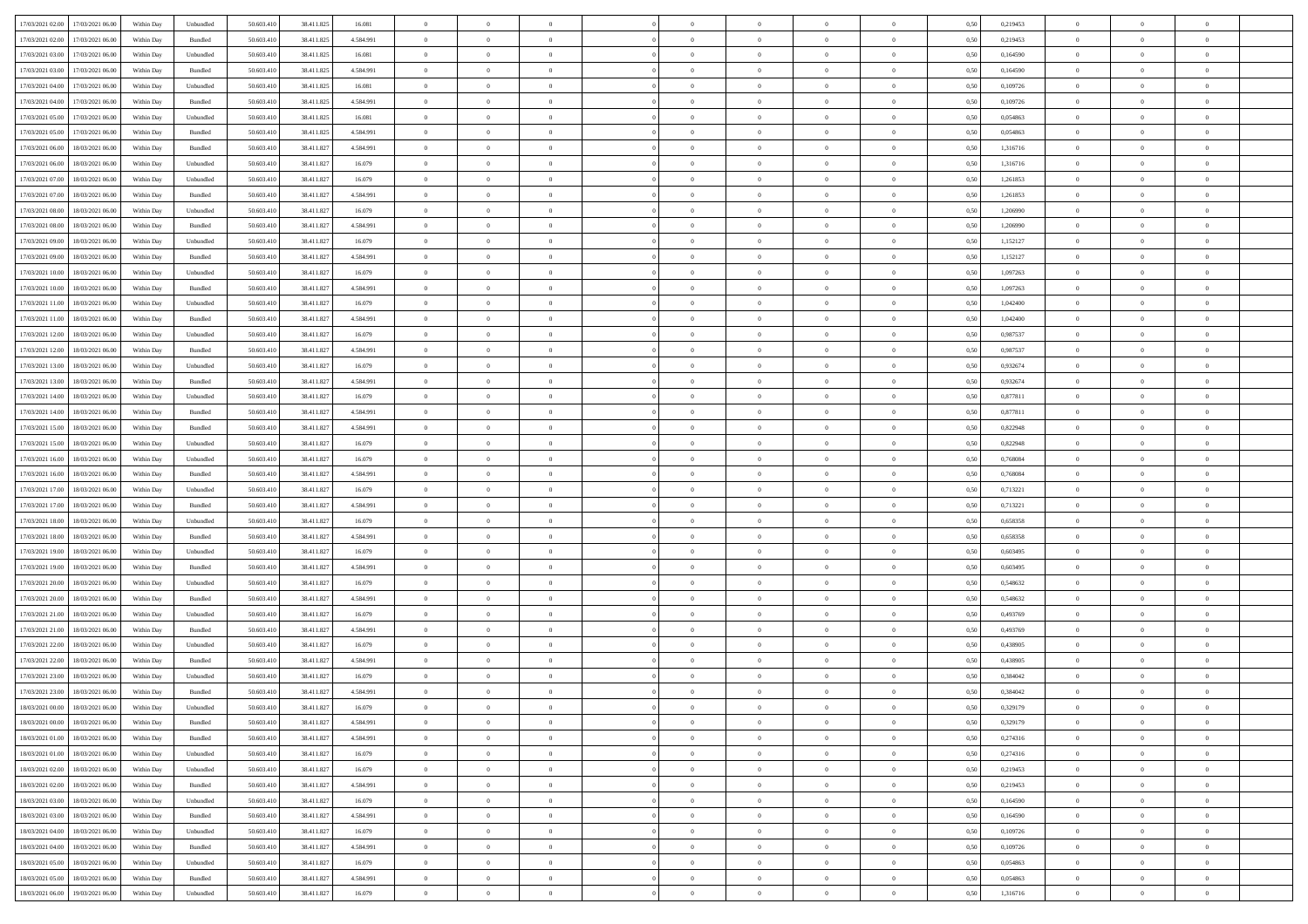| 17/03/2021 02:00 17/03/2021 06:00                                                                   |            |                   | 50.603.410 |            |           | $\overline{0}$ | $\overline{0}$   |                | $\overline{0}$ | $\theta$       |                | $\theta$       |      | 0,219453 | $\theta$       | $\theta$       | $\overline{0}$ |  |
|-----------------------------------------------------------------------------------------------------|------------|-------------------|------------|------------|-----------|----------------|------------------|----------------|----------------|----------------|----------------|----------------|------|----------|----------------|----------------|----------------|--|
|                                                                                                     | Within Day | Unbundled         |            | 38.411.825 | 16.081    |                |                  |                |                |                |                |                | 0,50 |          |                |                |                |  |
| 17/03/2021 02:00<br>17/03/2021 06:00                                                                | Within Day | Bundled           | 50.603.41  | 38.411.825 | 4.584.991 | $\bf{0}$       | $\bf{0}$         | $\bf{0}$       | $\bf{0}$       | $\overline{0}$ | $\overline{0}$ | $\bf{0}$       | 0,50 | 0,219453 | $\,$ 0 $\,$    | $\bf{0}$       | $\overline{0}$ |  |
| 17/03/2021 03:00<br>17/03/2021 06:00                                                                | Within Day | Unbundled         | 50.603.41  | 38.411.825 | 16.081    | $\overline{0}$ | $\bf{0}$         | $\overline{0}$ | $\overline{0}$ | $\overline{0}$ | $\overline{0}$ | $\bf{0}$       | 0.50 | 0.164590 | $\overline{0}$ | $\overline{0}$ | $\bf{0}$       |  |
| 17/03/2021 03:00<br>17/03/2021 06:00                                                                | Within Day | Bundled           | 50.603.41  | 38.411.825 | 4.584.991 | $\overline{0}$ | $\overline{0}$   | $\overline{0}$ | $\overline{0}$ | $\overline{0}$ | $\overline{0}$ | $\bf{0}$       | 0,50 | 0,164590 | $\,$ 0 $\,$    | $\,$ 0 $\,$    | $\overline{0}$ |  |
| 17/03/2021 04:00<br>17/03/2021 06:00                                                                | Within Day | Unbundled         | 50.603.41  | 38.411.825 | 16.081    | $\bf{0}$       | $\bf{0}$         | $\bf{0}$       | $\overline{0}$ | $\bf{0}$       | $\overline{0}$ | $\bf{0}$       | 0,50 | 0,109726 | $\,$ 0 $\,$    | $\bf{0}$       | $\overline{0}$ |  |
| 17/03/2021 04:00<br>17/03/2021 06:00                                                                |            | Bundled           | 50.603.41  | 38.411.825 | 4.584.991 | $\overline{0}$ | $\bf{0}$         | $\overline{0}$ | $\bf{0}$       | $\overline{0}$ | $\overline{0}$ | $\bf{0}$       | 0.50 | 0.109726 | $\,$ 0 $\,$    | $\overline{0}$ | $\overline{0}$ |  |
|                                                                                                     | Within Day |                   |            |            |           |                |                  |                |                |                |                |                |      |          |                |                |                |  |
| 17/03/2021 05:00<br>17/03/2021 06:00                                                                | Within Day | Unbundled         | 50.603.41  | 38.411.825 | 16.081    | $\overline{0}$ | $\bf{0}$         | $\overline{0}$ | $\overline{0}$ | $\overline{0}$ | $\overline{0}$ | $\bf{0}$       | 0,50 | 0,054863 | $\,$ 0 $\,$    | $\bf{0}$       | $\overline{0}$ |  |
| 17/03/2021 05:00<br>17/03/2021 06:00                                                                | Within Day | Bundled           | 50.603.41  | 38.411.825 | 4.584.991 | $\bf{0}$       | $\bf{0}$         | $\bf{0}$       | $\bf{0}$       | $\overline{0}$ | $\overline{0}$ | $\bf{0}$       | 0,50 | 0,054863 | $\,$ 0 $\,$    | $\bf{0}$       | $\overline{0}$ |  |
| 17/03/2021 06:00<br>18/03/2021 06:00                                                                | Within Day | Bundled           | 50.603.41  | 38.411.82  | 4.584.991 | $\overline{0}$ | $\bf{0}$         | $\overline{0}$ | $\bf{0}$       | $\bf{0}$       | $\overline{0}$ | $\bf{0}$       | 0.50 | 1.316716 | $\bf{0}$       | $\overline{0}$ | $\bf{0}$       |  |
| 17/03/2021 06:00<br>18/03/2021 06:00                                                                | Within Day | Unbundled         | 50.603.410 | 38.411.827 | 16.079    | $\bf{0}$       | $\bf{0}$         | $\overline{0}$ | $\overline{0}$ | $\overline{0}$ | $\overline{0}$ | $\bf{0}$       | 0,50 | 1,316716 | $\,$ 0 $\,$    | $\,$ 0 $\,$    | $\overline{0}$ |  |
| 17/03/2021 07:00<br>18/03/2021 06:00                                                                | Within Day | Unbundled         | 50.603.41  | 38.411.827 | 16.079    | $\bf{0}$       | $\bf{0}$         | $\bf{0}$       | $\bf{0}$       | $\overline{0}$ | $\overline{0}$ | $\bf{0}$       | 0,50 | 1,261853 | $\,$ 0 $\,$    | $\bf{0}$       | $\overline{0}$ |  |
| 17/03/2021 07:00<br>18/03/2021 06:00                                                                | Within Day | Bundled           | 50.603.41  | 38.411.827 | 4.584.991 | $\overline{0}$ | $\bf{0}$         | $\overline{0}$ | $\overline{0}$ | $\overline{0}$ | $\overline{0}$ | $\bf{0}$       | 0.50 | 1,261853 | $\bf{0}$       | $\,$ 0 $\,$    | $\,$ 0         |  |
| 17/03/2021 08:00<br>18/03/2021 06:00                                                                | Within Day | Unbundled         | 50.603.41  | 38.411.827 | 16.079    | $\overline{0}$ | $\bf{0}$         | $\overline{0}$ | $\theta$       | $\theta$       | $\overline{0}$ | $\bf{0}$       | 0,50 | 1,206990 | $\,$ 0 $\,$    | $\,$ 0 $\,$    | $\overline{0}$ |  |
|                                                                                                     |            |                   |            |            |           |                |                  |                |                |                |                |                |      |          |                |                |                |  |
| 17/03/2021 08:00<br>18/03/2021 06:00                                                                | Within Day | Bundled           | 50.603.41  | 38.411.827 | 4.584.991 | $\bf{0}$       | $\bf{0}$         | $\bf{0}$       | $\bf{0}$       | $\bf{0}$       | $\overline{0}$ | $\bf{0}$       | 0,50 | 1,206990 | $\,$ 0 $\,$    | $\bf{0}$       | $\overline{0}$ |  |
| 17/03/2021 09:00<br>18/03/2021 06:00                                                                | Within Day | Unbundled         | 50.603.41  | 38.411.82  | 16.079    | $\overline{0}$ | $\bf{0}$         | $\overline{0}$ | $\bf{0}$       | $\overline{0}$ | $\overline{0}$ | $\bf{0}$       | 0.50 | 1,152127 | $\,$ 0 $\,$    | $\bf{0}$       | $\overline{0}$ |  |
| 17/03/2021 09:00<br>18/03/2021 06:00                                                                | Within Day | Bundled           | 50.603.410 | 38.411.827 | 4.584.991 | $\overline{0}$ | $\bf{0}$         | $\overline{0}$ | $\overline{0}$ | $\overline{0}$ | $\overline{0}$ | $\bf{0}$       | 0,50 | 1,152127 | $\theta$       | $\theta$       | $\overline{0}$ |  |
| 17/03/2021 10:00<br>18/03/2021 06:00                                                                | Within Day | Unbundled         | 50.603.41  | 38.411.827 | 16.079    | $\bf{0}$       | $\bf{0}$         | $\bf{0}$       | $\bf{0}$       | $\overline{0}$ | $\overline{0}$ | $\bf{0}$       | 0,50 | 1,097263 | $\,$ 0 $\,$    | $\bf{0}$       | $\overline{0}$ |  |
| 17/03/2021 10:00<br>18/03/2021 06:00                                                                | Within Day | Bundled           | 50.603.41  | 38.411.827 | 4.584.991 | $\overline{0}$ | $\bf{0}$         | $\overline{0}$ | $\bf{0}$       | $\overline{0}$ | $\overline{0}$ | $\bf{0}$       | 0.50 | 1.097263 | $\bf{0}$       | $\overline{0}$ | $\bf{0}$       |  |
| 17/03/2021 11:00<br>18/03/2021 06:00                                                                | Within Day | Unbundled         | 50.603.410 | 38.411.827 | 16.079    | $\bf{0}$       | $\bf{0}$         | $\overline{0}$ | $\overline{0}$ | $\overline{0}$ | $\overline{0}$ | $\bf{0}$       | 0,50 | 1,042400 | $\,$ 0 $\,$    | $\bf{0}$       | $\overline{0}$ |  |
| 17/03/2021 11:00<br>18/03/2021 06:00                                                                | Within Day | Bundled           | 50.603.41  | 38.411.827 | 4.584.991 | $\bf{0}$       | $\bf{0}$         | $\bf{0}$       | $\bf{0}$       | $\overline{0}$ | $\overline{0}$ | $\bf{0}$       | 0,50 | 1,042400 | $\,$ 0 $\,$    | $\bf{0}$       | $\overline{0}$ |  |
| 17/03/2021 12:00<br>18/03/2021 06:00                                                                | Within Day | Unbundled         | 50.603.41  | 38.411.827 | 16.079    | $\overline{0}$ | $\bf{0}$         | $\overline{0}$ | $\overline{0}$ | $\overline{0}$ | $\overline{0}$ | $\bf{0}$       | 0.50 | 0.987537 | $\bf{0}$       | $\,$ 0 $\,$    | $\,$ 0         |  |
|                                                                                                     |            |                   |            |            |           |                |                  |                |                |                |                |                |      |          |                |                |                |  |
| 17/03/2021 12:00<br>18/03/2021 06:00                                                                | Within Day | Bundled           | 50.603.41  | 38.411.827 | 4.584.991 | $\overline{0}$ | $\overline{0}$   | $\overline{0}$ | $\overline{0}$ | $\overline{0}$ | $\overline{0}$ | $\bf{0}$       | 0,50 | 0,987537 | $\theta$       | $\theta$       | $\overline{0}$ |  |
| 17/03/2021 13:00<br>18/03/2021 06:00                                                                | Within Day | Unbundled         | 50.603.41  | 38.411.827 | 16.079    | $\bf{0}$       | $\bf{0}$         | $\bf{0}$       | $\bf{0}$       | $\overline{0}$ | $\overline{0}$ | $\bf{0}$       | 0,50 | 0,932674 | $\,$ 0 $\,$    | $\bf{0}$       | $\overline{0}$ |  |
| 17/03/2021 13:00<br>18/03/2021 06:00                                                                | Within Day | Bundled           | 50.603.41  | 38.411.827 | 4.584.991 | $\overline{0}$ | $\bf{0}$         | $\overline{0}$ | $\bf{0}$       | $\overline{0}$ | $\overline{0}$ | $\bf{0}$       | 0.50 | 0.932674 | $\,$ 0 $\,$    | $\overline{0}$ | $\overline{0}$ |  |
| 17/03/2021 14:00<br>18/03/2021 06:00                                                                | Within Day | Unbundled         | 50.603.410 | 38.411.827 | 16.079    | $\overline{0}$ | $\bf{0}$         | $\overline{0}$ | $\overline{0}$ | $\overline{0}$ | $\overline{0}$ | $\bf{0}$       | 0,50 | 0,877811 | $\,$ 0 $\,$    | $\theta$       | $\overline{0}$ |  |
| 17/03/2021 14:00<br>18/03/2021 06:00                                                                | Within Day | Bundled           | 50.603.41  | 38.411.827 | 4.584.991 | $\bf{0}$       | $\overline{0}$   | $\bf{0}$       | $\bf{0}$       | $\overline{0}$ | $\overline{0}$ | $\bf{0}$       | 0,50 | 0,877811 | $\,$ 0 $\,$    | $\bf{0}$       | $\overline{0}$ |  |
| 17/03/2021 15:00<br>18/03/2021 06:00                                                                | Within Day | Bundled           | 50,603.41  | 38.411.82  | 4.584.991 | $\overline{0}$ | $\bf{0}$         | $\overline{0}$ | $\bf{0}$       | $\overline{0}$ | $\overline{0}$ | $\bf{0}$       | 0.50 | 0.822948 | $\bf{0}$       | $\overline{0}$ | $\bf{0}$       |  |
| 17/03/2021 15:00<br>18/03/2021 06:00                                                                | Within Day | Unbundled         | 50.603.410 | 38.411.827 | 16.079    | $\overline{0}$ | $\bf{0}$         | $\overline{0}$ | $\overline{0}$ | $\overline{0}$ | $\overline{0}$ | $\bf{0}$       | 0,50 | 0,822948 | $\,$ 0 $\,$    | $\bf{0}$       | $\overline{0}$ |  |
| 17/03/2021 16:00<br>18/03/2021 06:00                                                                | Within Day | Unbundled         | 50.603.41  | 38.411.827 | 16.079    | $\bf{0}$       | $\bf{0}$         | $\bf{0}$       | $\bf{0}$       | $\overline{0}$ | $\overline{0}$ | $\bf{0}$       | 0,50 | 0,768084 | $\,$ 0 $\,$    | $\bf{0}$       | $\overline{0}$ |  |
| 17/03/2021 16:00<br>18/03/2021 06:00                                                                | Within Day | Bundled           | 50.603.41  | 38.411.827 | 4.584.991 | $\overline{0}$ | $\bf{0}$         | $\overline{0}$ | $\overline{0}$ | $\overline{0}$ | $\overline{0}$ | $\bf{0}$       | 0.50 | 0.768084 | $\bf{0}$       | $\,$ 0 $\,$    | $\,$ 0         |  |
|                                                                                                     |            |                   |            |            |           |                |                  |                |                |                |                |                |      |          |                |                |                |  |
| 17/03/2021 17:00<br>18/03/2021 06:00                                                                | Within Day | Unbundled         | 50.603.41  | 38.411.827 | 16.079    | $\overline{0}$ | $\overline{0}$   | $\overline{0}$ | $\overline{0}$ | $\overline{0}$ | $\overline{0}$ | $\bf{0}$       | 0.5( | 0,713221 | $\theta$       | $\theta$       | $\overline{0}$ |  |
| 17/03/2021 17:00<br>18/03/2021 06:00                                                                | Within Day | Bundled           | 50.603.41  | 38.411.827 | 4.584.991 | $\bf{0}$       | $\bf{0}$         | $\bf{0}$       | $\bf{0}$       | $\overline{0}$ | $\overline{0}$ | $\bf{0}$       | 0,50 | 0,713221 | $\,$ 0 $\,$    | $\bf{0}$       | $\overline{0}$ |  |
| 17/03/2021 18:00<br>18/03/2021 06:00                                                                | Within Day | Unbundled         | 50.603.41  | 38.411.82  | 16.079    | $\overline{0}$ | $\bf{0}$         | $\overline{0}$ | $\bf{0}$       | $\overline{0}$ | $\overline{0}$ | $\bf{0}$       | 0.50 | 0.658358 | $\,$ 0 $\,$    | $\bf{0}$       | $\overline{0}$ |  |
| 17/03/2021 18:00<br>18/03/2021 06:00                                                                | Within Day | Bundled           | 50.603.41  | 38.411.827 | 4.584.991 | $\overline{0}$ | $\overline{0}$   | $\overline{0}$ | $\overline{0}$ | $\overline{0}$ | $\overline{0}$ | $\bf{0}$       | 0.50 | 0,658358 | $\theta$       | $\theta$       | $\overline{0}$ |  |
| 17/03/2021 19:00<br>18/03/2021 06:00                                                                | Within Day | Unbundled         | 50.603.41  | 38.411.827 | 16.079    | $\bf{0}$       | $\bf{0}$         | $\bf{0}$       | $\bf{0}$       | $\overline{0}$ | $\overline{0}$ | $\bf{0}$       | 0,50 | 0,603495 | $\,$ 0 $\,$    | $\bf{0}$       | $\overline{0}$ |  |
| 17/03/2021 19:00<br>18/03/2021 06:00                                                                | Within Day | Bundled           | 50,603.41  | 38.411.827 | 4.584.991 | $\overline{0}$ | $\bf{0}$         | $\overline{0}$ | $\bf{0}$       | $\overline{0}$ | $\overline{0}$ | $\bf{0}$       | 0.50 | 0.603495 | $\bf{0}$       | $\overline{0}$ | $\bf{0}$       |  |
| 17/03/2021 20:00<br>18/03/2021 06:00                                                                | Within Day | Unbundled         | 50.603.41  | 38.411.827 | 16.079    | $\overline{0}$ | $\overline{0}$   | $\overline{0}$ | $\overline{0}$ | $\overline{0}$ | $\overline{0}$ | $\bf{0}$       | 0.50 | 0,548632 | $\theta$       | $\overline{0}$ | $\overline{0}$ |  |
| 17/03/2021 20:00<br>18/03/2021 06:00                                                                | Within Day | Bundled           | 50.603.41  | 38.411.827 | 4.584.991 | $\bf{0}$       | $\bf{0}$         | $\bf{0}$       | $\bf{0}$       | $\overline{0}$ | $\overline{0}$ | $\bf{0}$       | 0,50 | 0,548632 | $\,$ 0 $\,$    | $\bf{0}$       | $\overline{0}$ |  |
|                                                                                                     |            |                   | 50.603.41  |            | 16.079    |                |                  |                |                |                | $\overline{0}$ |                | 0.50 | 0.493769 |                | $\,$ 0 $\,$    | $\,$ 0         |  |
| 17/03/2021 21:00<br>18/03/2021 06:00                                                                | Within Day | Unbundled         |            | 38.411.827 |           | $\overline{0}$ | $\bf{0}$         | $\overline{0}$ | $\overline{0}$ | $\bf{0}$       |                | $\bf{0}$       |      |          | $\bf{0}$       |                |                |  |
| 17/03/2021 21:00<br>18/03/2021 06:00                                                                | Within Day | Bundled           | 50.603.41  | 38.411.827 | 4.584.991 | $\overline{0}$ | $\overline{0}$   | $\overline{0}$ | $\overline{0}$ | $\overline{0}$ | $\overline{0}$ | $\bf{0}$       | 0.50 | 0,493769 | $\theta$       | $\theta$       | $\overline{0}$ |  |
| 17/03/2021 22:00<br>18/03/2021 06:00                                                                | Within Day | Unbundled         | 50.603.41  | 38.411.827 | 16.079    | $\bf{0}$       | $\bf{0}$         | $\bf{0}$       | $\bf{0}$       | $\overline{0}$ | $\overline{0}$ | $\bf{0}$       | 0,50 | 0,438905 | $\,$ 0 $\,$    | $\bf{0}$       | $\overline{0}$ |  |
| 17/03/2021 22:00<br>18/03/2021 06:00                                                                | Within Day | Bundled           | 50.603.41  | 38.411.827 | 4.584.991 | $\overline{0}$ | $\overline{0}$   | $\overline{0}$ | $\bf{0}$       | $\overline{0}$ | $\overline{0}$ | $\bf{0}$       | 0.50 | 0.438905 | $\bf{0}$       | $\overline{0}$ | $\overline{0}$ |  |
| 17/03/2021 23:00<br>18/03/2021 06:00                                                                | Within Dav | Unbundled         | 50.603.41  | 38.411.827 | 16.079    | $\overline{0}$ | $\overline{0}$   | $\overline{0}$ | $\overline{0}$ | $\theta$       | $\overline{0}$ | $\overline{0}$ | 0.5( | 0,384042 | $\theta$       | $\theta$       | $\overline{0}$ |  |
| 17/03/2021 23:00<br>18/03/2021 06:00                                                                | Within Day | Bundled           | 50.603.41  | 38.411.827 | 4.584.991 | $\bf{0}$       | $\bf{0}$         | $\bf{0}$       | $\bf{0}$       | $\overline{0}$ | $\overline{0}$ | $\bf{0}$       | 0,50 | 0,384042 | $\overline{0}$ | $\overline{0}$ | $\overline{0}$ |  |
| $\begin{array}{ c c c c c } \hline 18/03/2021 & 00.00 & & 18/03/2021 & 06.00 \\ \hline \end{array}$ | Within Day | ${\sf Unbundred}$ | 50.603.410 | 38.411.827 | 16.079    | $\bf{0}$       | $\boldsymbol{0}$ |                | $\overline{0}$ | $\theta$       |                |                | 0,50 | 0.329179 | $\,$ 0         | $\bf{0}$       |                |  |
| 18/03/2021 00:00 18/03/2021 06:00                                                                   | Within Day | Bundled           | 50.603.410 | 38.411.827 | 4.584.991 | $\overline{0}$ | $\overline{0}$   | $\overline{0}$ | $\theta$       | $\overline{0}$ | $\overline{0}$ | $\bf{0}$       | 0,50 | 0,329179 | $\theta$       | $\overline{0}$ | $\overline{0}$ |  |
| 18/03/2021 01:00<br>18/03/2021 06:00                                                                | Within Day | Bundled           | 50.603.41  | 38.411.827 | 4.584.991 | $\overline{0}$ | $\bf{0}$         | $\overline{0}$ | $\overline{0}$ | $\bf{0}$       | $\overline{0}$ |                | 0,50 | 0,274316 | $\bf{0}$       | $\overline{0}$ | $\bf{0}$       |  |
|                                                                                                     |            |                   |            |            |           |                |                  |                |                |                |                | $\bf{0}$       |      |          |                |                |                |  |
| 18/03/2021 01:00 18/03/2021 06:00                                                                   | Within Day | Unbundled         | 50,603.410 | 38.411.827 | 16,079    | $\overline{0}$ | $\overline{0}$   | $\overline{0}$ | $\overline{0}$ | $\mathbf{0}$   | $\overline{0}$ | $\,$ 0 $\,$    | 0.50 | 0,274316 | $\overline{0}$ | $\bf{0}$       | $\overline{0}$ |  |
| 18/03/2021 02:00 18/03/2021 06:00                                                                   | Within Day | Unbundled         | 50.603.410 | 38.411.827 | 16,079    | $\overline{0}$ | $\overline{0}$   | $\overline{0}$ | $\overline{0}$ | $\overline{0}$ | $\overline{0}$ | $\bf{0}$       | 0,50 | 0,219453 | $\overline{0}$ | $\theta$       | $\overline{0}$ |  |
| 18/03/2021 02:00<br>18/03/2021 06:00                                                                | Within Day | Bundled           | 50.603.41  | 38.411.827 | 4.584.991 | $\overline{0}$ | $\bf{0}$         | $\overline{0}$ | $\overline{0}$ | $\bf{0}$       | $\overline{0}$ | $\bf{0}$       | 0,50 | 0,219453 | $\bf{0}$       | $\overline{0}$ | $\overline{0}$ |  |
| 18/03/2021 03:00<br>18/03/2021 06:00                                                                | Within Day | Unbundled         | 50.603.410 | 38.411.827 | 16,079    | $\overline{0}$ | $\bf{0}$         | $\overline{0}$ | $\overline{0}$ | $\bf{0}$       | $\overline{0}$ | $\bf{0}$       | 0.50 | 0.164590 | $\,$ 0 $\,$    | $\overline{0}$ | $\,$ 0         |  |
| 18/03/2021 03:00<br>18/03/2021 06:00                                                                | Within Dav | Bundled           | 50.603.410 | 38.411.827 | 4.584.991 | $\overline{0}$ | $\overline{0}$   | $\overline{0}$ | $\overline{0}$ | $\overline{0}$ | $\overline{0}$ | $\bf{0}$       | 0.50 | 0,164590 | $\overline{0}$ | $\theta$       | $\overline{0}$ |  |
| 18/03/2021 04:00<br>18/03/2021 06:00                                                                | Within Day | Unbundled         | 50.603.41  | 38.411.827 | 16.079    | $\overline{0}$ | $\overline{0}$   | $\overline{0}$ | $\overline{0}$ | $\overline{0}$ | $\overline{0}$ | $\bf{0}$       | 0,50 | 0,109726 | $\bf{0}$       | $\overline{0}$ | $\,$ 0         |  |
| 18/03/2021 04:00<br>18/03/2021 06:00                                                                | Within Day | Bundled           | 50,603.410 | 38.411.827 | 4.584.991 | $\overline{0}$ | $\overline{0}$   | $\overline{0}$ | $\overline{0}$ | $\overline{0}$ | $\overline{0}$ | $\bf{0}$       | 0.50 | 0.109726 | $\mathbf{0}$   | $\bf{0}$       | $\,$ 0         |  |
|                                                                                                     |            |                   |            |            |           |                | $\overline{0}$   |                |                | $\overline{0}$ |                |                |      |          |                | $\theta$       | $\overline{0}$ |  |
| 18/03/2021 05:00 18/03/2021 06:00                                                                   | Within Dav | Unbundled         | 50.603.410 | 38.411.827 | 16.079    | $\overline{0}$ |                  | $\overline{0}$ | $\overline{0}$ |                | $\overline{0}$ | $\bf{0}$       | 0,50 | 0,054863 | $\overline{0}$ |                |                |  |
| 18/03/2021 05:00<br>18/03/2021 06:00                                                                | Within Day | Bundled           | 50.603.41  | 38.411.827 | 4.584.991 | $\overline{0}$ | $\bf{0}$         | $\overline{0}$ | $\overline{0}$ | $\overline{0}$ | $\overline{0}$ | $\bf{0}$       | 0,50 | 0,054863 | $\bf{0}$       | $\overline{0}$ | $\bf{0}$       |  |
| 18/03/2021 06:00 19/03/2021 06:00                                                                   | Within Day | Unbundled         | 50.603.410 | 38.411.827 | 16.079    | $\,$ 0 $\,$    | $\bf{0}$         | $\overline{0}$ | $\overline{0}$ | $\,$ 0 $\,$    | $\overline{0}$ | $\,$ 0 $\,$    | 0,50 | 1,316716 | $\overline{0}$ | $\,$ 0 $\,$    | $\,$ 0 $\,$    |  |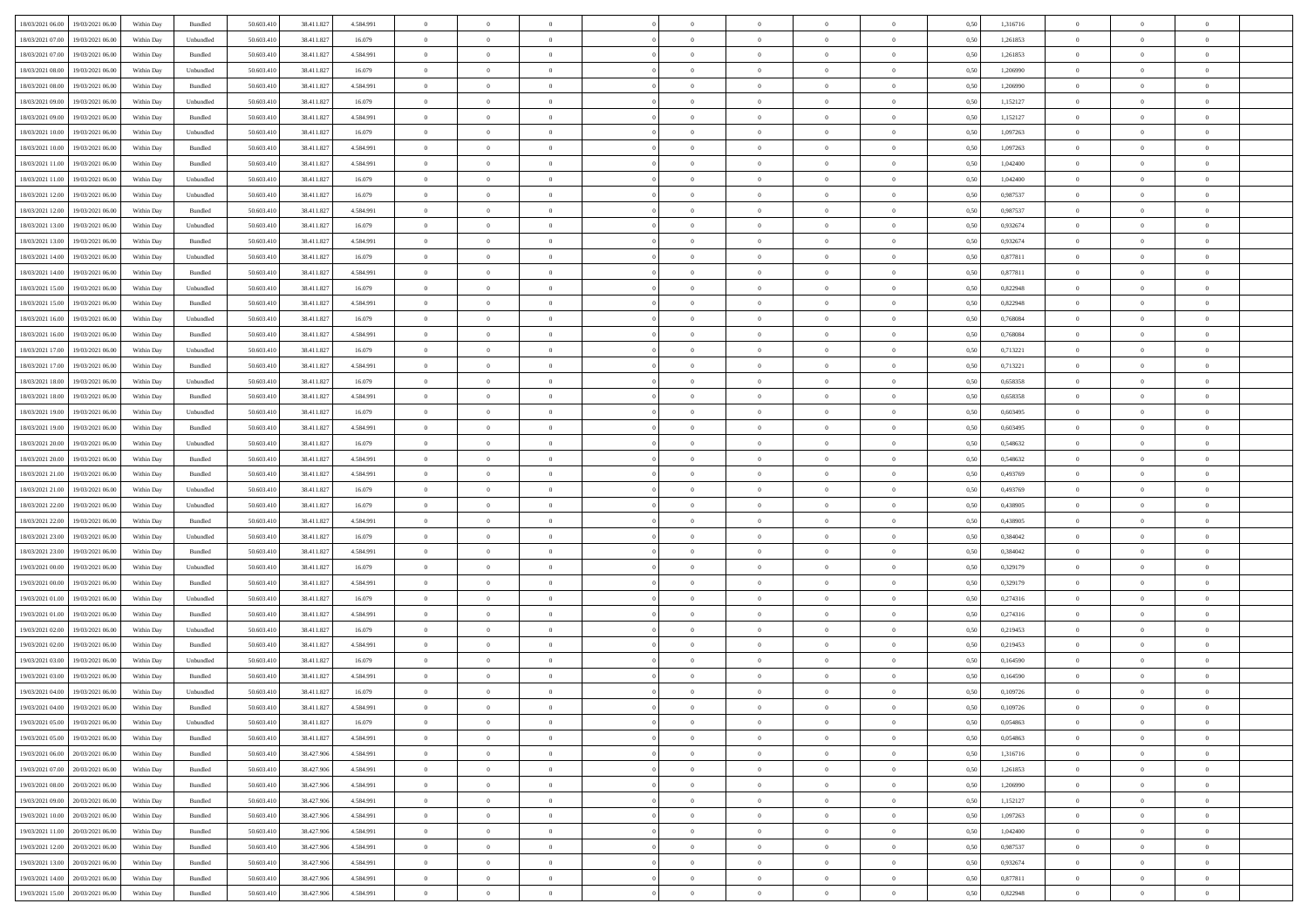|                                                                                                   |            |           |            |            |           | $\overline{0}$ | $\theta$       |                | $\overline{0}$ | $\theta$       |                | $\theta$       |      |          | $\theta$       | $\theta$       | $\overline{0}$ |  |
|---------------------------------------------------------------------------------------------------|------------|-----------|------------|------------|-----------|----------------|----------------|----------------|----------------|----------------|----------------|----------------|------|----------|----------------|----------------|----------------|--|
| 18/03/2021 06:00<br>19/03/2021 06:00                                                              | Within Day | Bundled   | 50.603.410 | 38.411.827 | 4.584.991 |                |                |                |                |                |                |                | 0,50 | 1,316716 |                |                |                |  |
| 18/03/2021 07:00<br>19/03/2021 06:00                                                              | Within Day | Unbundled | 50.603.41  | 38.411.827 | 16.079    | $\bf{0}$       | $\bf{0}$       | $\bf{0}$       | $\bf{0}$       | $\overline{0}$ | $\overline{0}$ | $\bf{0}$       | 0,50 | 1,261853 | $\,$ 0 $\,$    | $\bf{0}$       | $\overline{0}$ |  |
| 18/03/2021 07:00<br>19/03/2021 06:00                                                              | Within Day | Bundled   | 50.603.41  | 38.411.827 | 4.584.991 | $\overline{0}$ | $\bf{0}$       | $\overline{0}$ | $\bf{0}$       | $\bf{0}$       | $\overline{0}$ | $\bf{0}$       | 0.50 | 1,261853 | $\bf{0}$       | $\overline{0}$ | $\overline{0}$ |  |
| 18/03/2021 08:00<br>19/03/2021 06:00                                                              | Within Day | Unbundled | 50.603.41  | 38.411.827 | 16.079    | $\overline{0}$ | $\bf{0}$       | $\overline{0}$ | $\theta$       | $\theta$       | $\overline{0}$ | $\bf{0}$       | 0,50 | 1,206990 | $\theta$       | $\theta$       | $\overline{0}$ |  |
| 18/03/2021 08:00<br>19/03/2021 06:00                                                              | Within Day | Bundled   | 50.603.41  | 38.411.827 | 4.584.991 | $\overline{0}$ | $\overline{0}$ | $\bf{0}$       | $\overline{0}$ | $\theta$       | $\overline{0}$ | $\bf{0}$       | 0,50 | 1,206990 | $\,$ 0 $\,$    | $\bf{0}$       | $\overline{0}$ |  |
|                                                                                                   |            |           |            |            |           |                |                |                |                |                |                |                |      |          |                |                |                |  |
| 18/03/2021 09:00<br>19/03/2021 06:00                                                              | Within Day | Unbundled | 50,603.41  | 38.411.827 | 16.079    | $\overline{0}$ | $\overline{0}$ | $\overline{0}$ | $\bf{0}$       | $\overline{0}$ | $\theta$       | $\bf{0}$       | 0.50 | 1,152127 | $\,$ 0 $\,$    | $\theta$       | $\overline{0}$ |  |
| 18/03/2021 09:00<br>19/03/2021 06:00                                                              | Within Day | Bundled   | 50.603.41  | 38.411.827 | 4.584.991 | $\overline{0}$ | $\overline{0}$ | $\overline{0}$ | $\overline{0}$ | $\overline{0}$ | $\overline{0}$ | $\bf{0}$       | 0,50 | 1,152127 | $\,$ 0 $\,$    | $\theta$       | $\overline{0}$ |  |
| 18/03/2021 10:00<br>19/03/2021 06:00                                                              | Within Day | Unbundled | 50.603.41  | 38.411.827 | 16.079    | $\bf{0}$       | $\overline{0}$ | $\bf{0}$       | $\overline{0}$ | $\overline{0}$ | $\overline{0}$ | $\bf{0}$       | 0,50 | 1,097263 | $\,$ 0 $\,$    | $\bf{0}$       | $\overline{0}$ |  |
| 18/03/2021 10:00<br>19/03/2021 06:00                                                              | Within Day | Bundled   | 50,603.41  | 38.411.827 | 4.584.991 | $\overline{0}$ | $\bf{0}$       | $\overline{0}$ | $\bf{0}$       | $\overline{0}$ | $\overline{0}$ | $\bf{0}$       | 0.50 | 1.097263 | $\bf{0}$       | $\overline{0}$ | $\overline{0}$ |  |
| 18/03/2021 11:00<br>19/03/2021 06:00                                                              | Within Day | Bundled   | 50.603.410 | 38.411.827 | 4.584.991 | $\overline{0}$ | $\bf{0}$       | $\overline{0}$ | $\overline{0}$ | $\overline{0}$ | $\overline{0}$ | $\bf{0}$       | 0,50 | 1,042400 | $\,$ 0 $\,$    | $\bf{0}$       | $\overline{0}$ |  |
|                                                                                                   |            |           |            |            |           |                |                |                |                |                |                |                |      |          |                |                |                |  |
| 18/03/2021 11:00<br>19/03/2021 06:00                                                              | Within Day | Unbundled | 50.603.41  | 38.411.827 | 16.079    | $\bf{0}$       | $\overline{0}$ | $\bf{0}$       | $\bf{0}$       | $\bf{0}$       | $\overline{0}$ | $\bf{0}$       | 0,50 | 1,042400 | $\,$ 0 $\,$    | $\bf{0}$       | $\overline{0}$ |  |
| 18/03/2021 12:00<br>19/03/2021 06:00                                                              | Within Day | Unbundled | 50,603.41  | 38.411.827 | 16.079    | $\overline{0}$ | $\bf{0}$       | $\overline{0}$ | $\bf{0}$       | $\bf{0}$       | $\overline{0}$ | $\bf{0}$       | 0.50 | 0.987537 | $\bf{0}$       | $\overline{0}$ | $\,$ 0         |  |
| 18/03/2021 12:00<br>19/03/2021 06:00                                                              | Within Day | Bundled   | 50.603.41  | 38.411.827 | 4.584.991 | $\overline{0}$ | $\bf{0}$       | $\overline{0}$ | $\theta$       | $\theta$       | $\overline{0}$ | $\bf{0}$       | 0,50 | 0,987537 | $\,$ 0 $\,$    | $\theta$       | $\overline{0}$ |  |
| 18/03/2021 13:00<br>19/03/2021 06:00                                                              | Within Day | Unbundled | 50.603.41  | 38.411.827 | 16.079    | $\bf{0}$       | $\overline{0}$ | $\bf{0}$       | $\overline{0}$ | $\bf{0}$       | $\overline{0}$ | $\bf{0}$       | 0,50 | 0,932674 | $\bf{0}$       | $\bf{0}$       | $\overline{0}$ |  |
| 18/03/2021 13:00<br>19/03/2021 06:00                                                              | Within Day | Bundled   | 50.603.41  | 38.411.827 | 4.584.991 | $\overline{0}$ | $\overline{0}$ | $\overline{0}$ | $\bf{0}$       | $\overline{0}$ | $\theta$       | $\bf{0}$       | 0.50 | 0.932674 | $\theta$       | $\theta$       | $\overline{0}$ |  |
|                                                                                                   |            |           |            |            |           |                |                |                |                |                |                |                |      |          |                |                |                |  |
| 18/03/2021 14:00<br>19/03/2021 06:00                                                              | Within Day | Unbundled | 50.603.410 | 38.411.827 | 16.079    | $\overline{0}$ | $\overline{0}$ | $\overline{0}$ | $\overline{0}$ | $\overline{0}$ | $\overline{0}$ | $\bf{0}$       | 0,50 | 0,877811 | $\theta$       | $\theta$       | $\overline{0}$ |  |
| 18/03/2021 14:00<br>19/03/2021 06:00                                                              | Within Day | Bundled   | 50.603.41  | 38.411.827 | 4.584.991 | $\bf{0}$       | $\bf{0}$       | $\bf{0}$       | $\overline{0}$ | $\bf{0}$       | $\overline{0}$ | $\bf{0}$       | 0,50 | 0,877811 | $\,$ 0 $\,$    | $\bf{0}$       | $\overline{0}$ |  |
| 18/03/2021 15:00<br>19/03/2021 06:00                                                              | Within Day | Unbundled | 50,603.41  | 38.411.82  | 16.079    | $\overline{0}$ | $\bf{0}$       | $\overline{0}$ | $\bf{0}$       | $\overline{0}$ | $\overline{0}$ | $\bf{0}$       | 0.50 | 0.822948 | $\bf{0}$       | $\overline{0}$ | $\bf{0}$       |  |
| 18/03/2021 15:00<br>19/03/2021 06:00                                                              | Within Day | Bundled   | 50.603.410 | 38.411.827 | 4.584.991 | $\overline{0}$ | $\bf{0}$       | $\overline{0}$ | $\overline{0}$ | $\overline{0}$ | $\overline{0}$ | $\bf{0}$       | 0,50 | 0,822948 | $\,$ 0 $\,$    | $\bf{0}$       | $\overline{0}$ |  |
| 18/03/2021 16:00<br>19/03/2021 06:00                                                              | Within Day | Unbundled | 50.603.41  | 38.411.827 | 16.079    | $\bf{0}$       | $\bf{0}$       | $\bf{0}$       | $\bf{0}$       | $\overline{0}$ | $\overline{0}$ | $\bf{0}$       | 0,50 | 0,768084 | $\,$ 0 $\,$    | $\bf{0}$       | $\overline{0}$ |  |
| 18/03/2021 16:00<br>19/03/2021 06:00                                                              | Within Day | Bundled   | 50.603.41  | 38.411.827 | 4.584.991 | $\overline{0}$ | $\bf{0}$       | $\overline{0}$ | $\bf{0}$       | $\bf{0}$       | $\overline{0}$ | $\bf{0}$       | 0.50 | 0.768084 | $\bf{0}$       | $\overline{0}$ | $\,$ 0         |  |
|                                                                                                   |            |           |            |            |           |                |                |                |                |                |                |                |      |          |                |                |                |  |
| 18/03/2021 17:00<br>19/03/2021 06:00                                                              | Within Day | Unbundled | 50.603.41  | 38.411.827 | 16.079    | $\overline{0}$ | $\overline{0}$ | $\overline{0}$ | $\overline{0}$ | $\theta$       | $\overline{0}$ | $\bf{0}$       | 0,50 | 0,713221 | $\theta$       | $\theta$       | $\overline{0}$ |  |
| 18/03/2021 17:00<br>19/03/2021 06:00                                                              | Within Day | Bundled   | 50.603.41  | 38.411.827 | 4.584.991 | $\bf{0}$       | $\bf{0}$       | $\bf{0}$       | $\bf{0}$       | $\overline{0}$ | $\overline{0}$ | $\bf{0}$       | 0,50 | 0,713221 | $\,$ 0 $\,$    | $\bf{0}$       | $\overline{0}$ |  |
| 18/03/2021 18:00<br>19/03/2021 06:00                                                              | Within Day | Unbundled | 50,603.41  | 38.411.827 | 16.079    | $\overline{0}$ | $\overline{0}$ | $\overline{0}$ | $\bf{0}$       | $\overline{0}$ | $\theta$       | $\bf{0}$       | 0.50 | 0.658358 | $\,$ 0 $\,$    | $\theta$       | $\overline{0}$ |  |
| 18/03/2021 18:00<br>19/03/2021 06:00                                                              | Within Day | Bundled   | 50.603.41  | 38.411.827 | 4.584.991 | $\overline{0}$ | $\overline{0}$ | $\overline{0}$ | $\overline{0}$ | $\overline{0}$ | $\overline{0}$ | $\bf{0}$       | 0,50 | 0,658358 | $\theta$       | $\theta$       | $\overline{0}$ |  |
| 18/03/2021 19:00<br>19/03/2021 06:00                                                              | Within Day | Unbundled | 50.603.41  | 38.411.827 | 16.079    | $\bf{0}$       | $\overline{0}$ | $\bf{0}$       | $\overline{0}$ | $\bf{0}$       | $\overline{0}$ | $\bf{0}$       | 0,50 | 0,603495 | $\,$ 0 $\,$    | $\bf{0}$       | $\overline{0}$ |  |
| 18/03/2021 19:00<br>19/03/2021 06:00                                                              | Within Day | Bundled   | 50,603.41  | 38.411.827 | 4.584.991 | $\overline{0}$ | $\bf{0}$       | $\overline{0}$ | $\bf{0}$       | $\overline{0}$ | $\overline{0}$ | $\bf{0}$       | 0.50 | 0.603495 | $\bf{0}$       | $\overline{0}$ | $\overline{0}$ |  |
| 18/03/2021 20:00<br>19/03/2021 06:00                                                              |            |           |            |            |           | $\overline{0}$ | $\bf{0}$       | $\overline{0}$ | $\overline{0}$ | $\overline{0}$ | $\overline{0}$ |                |      |          | $\theta$       | $\bf{0}$       | $\overline{0}$ |  |
|                                                                                                   | Within Day | Unbundled | 50.603.410 | 38.411.827 | 16.079    |                |                |                |                |                |                | $\bf{0}$       | 0,50 | 0,548632 |                |                |                |  |
| 18/03/2021 20:00<br>19/03/2021 06:00                                                              | Within Day | Bundled   | 50.603.41  | 38.411.827 | 4.584.991 | $\bf{0}$       | $\bf{0}$       | $\bf{0}$       | $\bf{0}$       | $\overline{0}$ | $\overline{0}$ | $\bf{0}$       | 0,50 | 0,548632 | $\,$ 0 $\,$    | $\bf{0}$       | $\overline{0}$ |  |
| 18/03/2021 21:00<br>19/03/2021 06:00                                                              | Within Day | Bundled   | 50.603.41  | 38.411.827 | 4.584.991 | $\overline{0}$ | $\bf{0}$       | $\overline{0}$ | $\bf{0}$       | $\bf{0}$       | $\overline{0}$ | $\bf{0}$       | 0.50 | 0.493769 | $\bf{0}$       | $\overline{0}$ | $\,$ 0         |  |
| 18/03/2021 21:00<br>19/03/2021 06:00                                                              | Within Day | Unbundled | 50.603.41  | 38.411.827 | 16.079    | $\overline{0}$ | $\overline{0}$ | $\overline{0}$ | $\overline{0}$ | $\overline{0}$ | $\overline{0}$ | $\bf{0}$       | 0.50 | 0,493769 | $\theta$       | $\theta$       | $\overline{0}$ |  |
| 18/03/2021 22:00<br>19/03/2021 06:00                                                              | Within Day | Unbundled | 50.603.41  | 38.411.827 | 16.079    | $\bf{0}$       | $\overline{0}$ | $\bf{0}$       | $\bf{0}$       | $\,$ 0 $\,$    | $\overline{0}$ | $\bf{0}$       | 0,50 | 0,438905 | $\,$ 0 $\,$    | $\bf{0}$       | $\overline{0}$ |  |
| 18/03/2021 22:00<br>19/03/2021 06:00                                                              | Within Day | Bundled   | 50,603.41  | 38.411.827 | 4.584.991 | $\overline{0}$ | $\bf{0}$       | $\overline{0}$ | $\bf{0}$       | $\overline{0}$ | $\overline{0}$ | $\bf{0}$       | 0.50 | 0.438905 | $\,$ 0 $\,$    | $\theta$       | $\overline{0}$ |  |
| 18/03/2021 23:00<br>19/03/2021 06:00                                                              | Within Dav | Unbundled | 50.603.41  | 38.411.827 | 16.079    | $\overline{0}$ | $\overline{0}$ | $\overline{0}$ | $\overline{0}$ | $\theta$       | $\overline{0}$ | $\bf{0}$       | 0.50 | 0,384042 | $\theta$       | $\theta$       | $\overline{0}$ |  |
|                                                                                                   |            |           |            |            |           |                |                |                |                |                |                |                |      |          |                |                |                |  |
| 18/03/2021 23:00<br>19/03/2021 06:00                                                              | Within Day | Bundled   | 50.603.41  | 38.411.827 | 4.584.991 | $\bf{0}$       | $\bf{0}$       | $\bf{0}$       | $\bf{0}$       | $\bf{0}$       | $\overline{0}$ | $\bf{0}$       | 0,50 | 0,384042 | $\,$ 0 $\,$    | $\bf{0}$       | $\overline{0}$ |  |
| 19/03/2021 00:00<br>19/03/2021 06:00                                                              | Within Day | Unbundled | 50,603.41  | 38.411.827 | 16.079    | $\overline{0}$ | $\bf{0}$       | $\overline{0}$ | $\bf{0}$       | $\overline{0}$ | $\overline{0}$ | $\bf{0}$       | 0.50 | 0,329179 | $\bf{0}$       | $\overline{0}$ | $\overline{0}$ |  |
| 19/03/2021 00:00<br>19/03/2021 06:00                                                              | Within Day | Bundled   | 50.603.41  | 38.411.827 | 4.584.991 | $\overline{0}$ | $\overline{0}$ | $\overline{0}$ | $\overline{0}$ | $\overline{0}$ | $\overline{0}$ | $\bf{0}$       | 0.50 | 0,329179 | $\theta$       | $\theta$       | $\overline{0}$ |  |
| 19/03/2021 01:00<br>19/03/2021 06:00                                                              | Within Day | Unbundled | 50.603.41  | 38.411.827 | 16.079    | $\bf{0}$       | $\bf{0}$       | $\bf{0}$       | $\bf{0}$       | $\overline{0}$ | $\overline{0}$ | $\bf{0}$       | 0,50 | 0,274316 | $\,$ 0 $\,$    | $\bf{0}$       | $\overline{0}$ |  |
| 19/03/2021 01:00<br>19/03/2021 06:00                                                              | Within Day | Bundled   | 50.603.41  | 38.411.827 | 4.584.991 | $\overline{0}$ | $\bf{0}$       | $\overline{0}$ | $\bf{0}$       | $\bf{0}$       | $\overline{0}$ | $\bf{0}$       | 0.50 | 0,274316 | $\bf{0}$       | $\overline{0}$ | $\bf{0}$       |  |
| 19/03/2021 02:00<br>19/03/2021 06:00                                                              | Within Dav | Unbundled | 50.603.41  | 38.411.827 | 16.079    | $\overline{0}$ | $\overline{0}$ | $\overline{0}$ | $\overline{0}$ | $\overline{0}$ | $\overline{0}$ | $\bf{0}$       | 0.50 | 0,219453 | $\theta$       | $\theta$       | $\overline{0}$ |  |
| 19/03/2021 02:00<br>19/03/2021 06:00                                                              | Within Day | Bundled   | 50.603.41  | 38.411.827 | 4.584.991 | $\bf{0}$       | $\bf{0}$       | $\bf{0}$       | $\bf{0}$       | $\overline{0}$ | $\overline{0}$ | $\bf{0}$       | 0,50 | 0,219453 | $\,$ 0 $\,$    | $\bf{0}$       | $\overline{0}$ |  |
|                                                                                                   |            |           |            |            |           |                |                |                |                |                |                |                |      |          |                |                |                |  |
| 19/03/2021 03:00<br>19/03/2021 06:00                                                              | Within Day | Unbundled | 50.603.41  | 38.411.82  | 16.079    | $\overline{0}$ | $\overline{0}$ | $\overline{0}$ | $\bf{0}$       | $\bf{0}$       | $\overline{0}$ | $\bf{0}$       | 0.50 | 0.164590 | $\,$ 0 $\,$    | $\theta$       | $\overline{0}$ |  |
| 19/03/2021 03:00<br>19/03/2021 06:00                                                              | Within Day | Bundled   | 50.603.41  | 38.411.827 | 4.584.991 | $\overline{0}$ | $\overline{0}$ | $\Omega$       | $\overline{0}$ | $\theta$       | $\overline{0}$ | $\overline{0}$ | 0.50 | 0,164590 | $\theta$       | $\theta$       | $\overline{0}$ |  |
| 19/03/2021 04:00<br>19/03/2021 06:00                                                              | Within Day | Unbundled | 50.603.41  | 38.411.827 | 16.079    | $\bf{0}$       | $\bf{0}$       | $\overline{0}$ | $\bf{0}$       | $\bf{0}$       | $\overline{0}$ | $\bf{0}$       | 0,50 | 0,109726 | $\overline{0}$ | $\overline{0}$ | $\overline{0}$ |  |
| $\begin{array}{ c c c c c } \hline 19/03/2021 & 04.00 & 19/03/2021 & 06.00 \\ \hline \end{array}$ | Within Day | Bundled   | 50.603.410 | 38.411.827 | 4.584.991 | $\overline{0}$ | $\Omega$       |                | $\Omega$       |                |                |                | 0,50 | 0,109726 | $\theta$       | $\overline{0}$ |                |  |
| 19/03/2021 05:00 19/03/2021 06:00                                                                 | Within Day | Unbundled | 50.603.410 | 38.411.827 | 16.079    | $\overline{0}$ | $\overline{0}$ | $\overline{0}$ | $\theta$       | $\overline{0}$ | $\overline{0}$ | $\bf{0}$       | 0,50 | 0,054863 | $\theta$       | $\overline{0}$ | $\overline{0}$ |  |
| 19/03/2021 05:00<br>19/03/2021 06:00                                                              | Within Day | Bundled   | 50.603.41  | 38.411.827 | 4.584.991 | $\overline{0}$ | $\bf{0}$       | $\overline{0}$ | $\overline{0}$ | $\bf{0}$       | $\overline{0}$ | $\bf{0}$       | 0,50 | 0,054863 | $\bf{0}$       | $\overline{0}$ | $\bf{0}$       |  |
|                                                                                                   |            |           |            | 38,427,906 | 4.584.991 |                |                |                |                |                | $\overline{0}$ |                | 0.50 | 1,316716 | $\overline{0}$ |                |                |  |
| 19/03/2021 06:00 20/03/2021 06:00                                                                 | Within Day | Bundled   | 50.603.410 |            |           | $\overline{0}$ | $\overline{0}$ | $\overline{0}$ | $\overline{0}$ | $\mathbf{0}$   |                | $\,$ 0 $\,$    |      |          |                | $\bf{0}$       | $\overline{0}$ |  |
| 19/03/2021 07:00 20/03/2021 06:00                                                                 | Within Dav | Bundled   | 50.603.410 | 38.427.906 | 4.584.991 | $\overline{0}$ | $\overline{0}$ | $\overline{0}$ | $\overline{0}$ | $\overline{0}$ | $\overline{0}$ | $\bf{0}$       | 0,50 | 1,261853 | $\overline{0}$ | $\theta$       | $\overline{0}$ |  |
| 19/03/2021 08:00<br>20/03/2021 06:00                                                              | Within Day | Bundled   | 50.603.41  | 38.427.906 | 4.584.991 | $\overline{0}$ | $\bf{0}$       | $\overline{0}$ | $\overline{0}$ | $\bf{0}$       | $\overline{0}$ | $\bf{0}$       | 0,50 | 1,206990 | $\bf{0}$       | $\overline{0}$ | $\overline{0}$ |  |
| 19/03/2021 09:00<br>20/03/2021 06:00                                                              | Within Day | Bundled   | 50.603.410 | 38.427.906 | 4.584.991 | $\overline{0}$ | $\bf{0}$       | $\overline{0}$ | $\overline{0}$ | $\bf{0}$       | $\overline{0}$ | $\bf{0}$       | 0.50 | 1,152127 | $\,$ 0 $\,$    | $\overline{0}$ | $\,$ 0         |  |
| 19/03/2021 10:00 20/03/2021 06:00                                                                 | Within Dav | Bundled   | 50.603.410 | 38.427.906 | 4.584.991 | $\overline{0}$ | $\overline{0}$ | $\overline{0}$ | $\overline{0}$ | $\overline{0}$ | $\overline{0}$ | $\bf{0}$       | 0.50 | 1,097263 | $\overline{0}$ | $\theta$       | $\overline{0}$ |  |
| 19/03/2021 11:00<br>20/03/2021 06:00                                                              | Within Day | Bundled   | 50.603.41  | 38.427.906 | 4.584.991 | $\overline{0}$ | $\overline{0}$ | $\overline{0}$ | $\overline{0}$ | $\overline{0}$ | $\overline{0}$ | $\bf{0}$       | 0,50 | 1,042400 | $\bf{0}$       | $\overline{0}$ | $\overline{0}$ |  |
| 19/03/2021 12:00 20/03/2021 06:00                                                                 |            |           |            |            |           |                |                |                |                |                |                |                |      |          |                |                |                |  |
|                                                                                                   | Within Day | Bundled   | 50,603.410 | 38,427,906 | 4.584.991 | $\overline{0}$ | $\overline{0}$ | $\overline{0}$ | $\overline{0}$ | $\overline{0}$ | $\overline{0}$ | $\bf{0}$       | 0.50 | 0.987537 | $\mathbf{0}$   | $\bf{0}$       | $\,$ 0         |  |
| 19/03/2021 13:00 20/03/2021 06:00                                                                 | Within Dav | Bundled   | 50.603.410 | 38.427.906 | 4.584.991 | $\overline{0}$ | $\overline{0}$ | $\overline{0}$ | $\overline{0}$ | $\overline{0}$ | $\overline{0}$ | $\bf{0}$       | 0,50 | 0,932674 | $\overline{0}$ | $\theta$       | $\overline{0}$ |  |
| 19/03/2021 14:00<br>20/03/2021 06:00                                                              | Within Day | Bundled   | 50.603.41  | 38.427.906 | 4.584.991 | $\overline{0}$ | $\bf{0}$       | $\overline{0}$ | $\overline{0}$ | $\overline{0}$ | $\overline{0}$ | $\bf{0}$       | 0,50 | 0,877811 | $\bf{0}$       | $\overline{0}$ | $\bf{0}$       |  |
| 19/03/2021 15:00 20/03/2021 06:00                                                                 | Within Day | Bundled   | 50.603.410 | 38.427.906 | 4.584.991 | $\,$ 0 $\,$    | $\bf{0}$       | $\overline{0}$ | $\overline{0}$ | $\,$ 0 $\,$    | $\overline{0}$ | $\,$ 0 $\,$    | 0,50 | 0,822948 | $\overline{0}$ | $\,$ 0 $\,$    | $\,$ 0 $\,$    |  |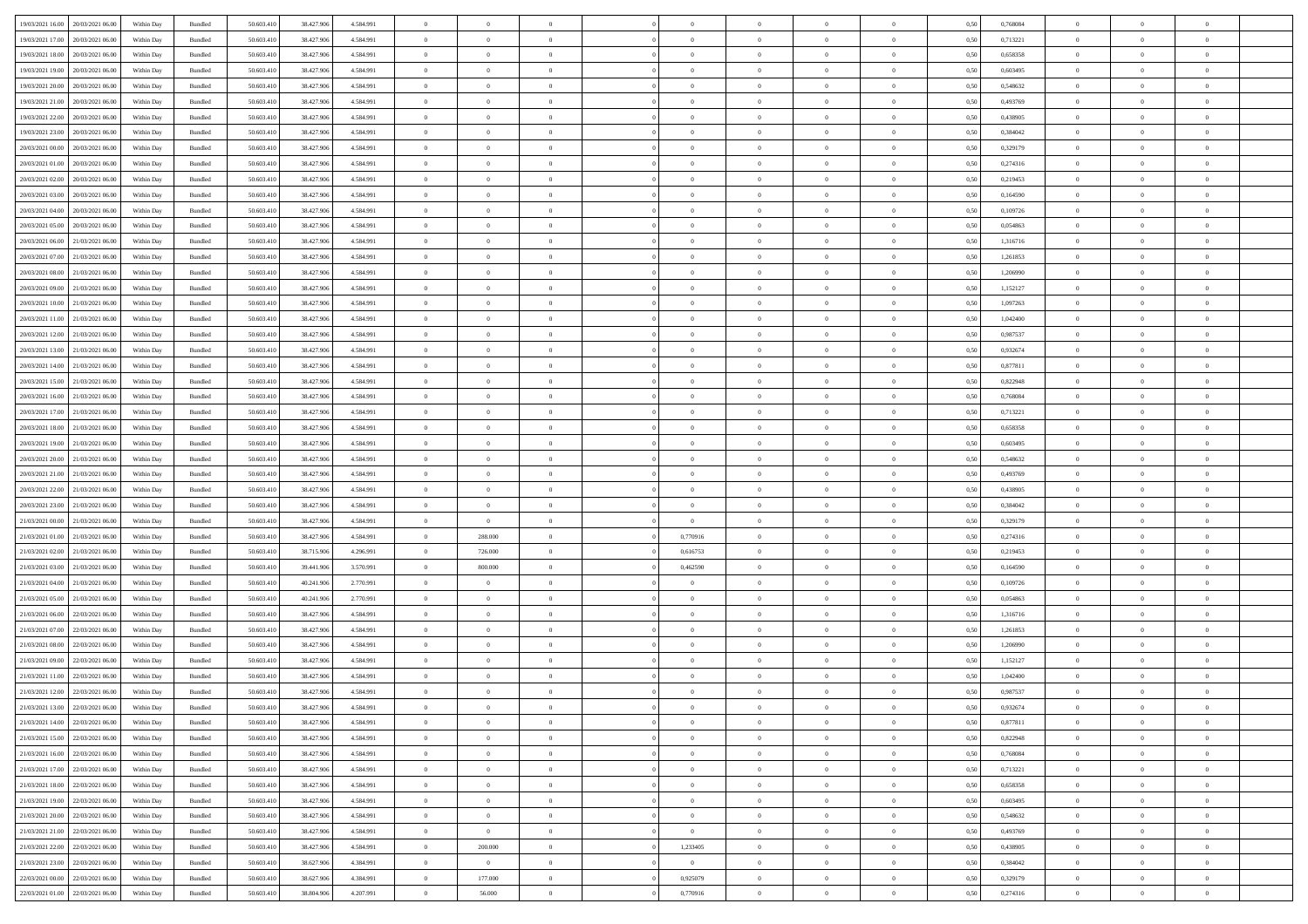| 19/03/2021 16:00                  | 20/03/2021 06:00                  | Within Day | Bundled | 50.603.410 | 38.427.906 | 4.584.991 | $\overline{0}$ | $\theta$       |                | $\overline{0}$ | $\bf{0}$       | $\overline{0}$ | $\theta$       | 0,50 | 0,768084 | $\theta$       | $\theta$       | $\theta$                 |  |
|-----------------------------------|-----------------------------------|------------|---------|------------|------------|-----------|----------------|----------------|----------------|----------------|----------------|----------------|----------------|------|----------|----------------|----------------|--------------------------|--|
| 19/03/2021 17:00                  | 20/03/2021 06:00                  | Within Day | Bundled | 50.603.41  | 38.427.906 | 4.584.991 | $\overline{0}$ | $\overline{0}$ | $\overline{0}$ | $\overline{0}$ | $\,$ 0         | $\bf{0}$       | $\bf{0}$       | 0,50 | 0,713221 | $\,$ 0 $\,$    | $\overline{0}$ | $\overline{0}$           |  |
|                                   |                                   |            |         |            |            |           |                |                |                |                |                |                |                |      |          |                |                |                          |  |
| 19/03/2021 18:00                  | 20/03/2021 06:00                  | Within Day | Bundled | 50.603.410 | 38.427.906 | 4.584.991 | $\overline{0}$ | $\overline{0}$ | $\overline{0}$ | $\overline{0}$ | $\bf{0}$       | $\overline{0}$ | $\mathbf{0}$   | 0.50 | 0.658358 | $\bf{0}$       | $\overline{0}$ | $\overline{0}$           |  |
| 19/03/2021 19:00                  | 20/03/2021 06:00                  | Within Day | Bundled | 50.603.410 | 38.427.906 | 4.584.991 | $\overline{0}$ | $\overline{0}$ | $\overline{0}$ | $\overline{0}$ | $\bf{0}$       | $\overline{0}$ | $\overline{0}$ | 0,50 | 0,603495 | $\,$ 0 $\,$    | $\overline{0}$ | $\overline{0}$           |  |
| 19/03/2021 20:00                  | 20/03/2021 06:00                  | Within Day | Bundled | 50.603.41  | 38.427.906 | 4.584.991 | $\overline{0}$ | $\theta$       | $\overline{0}$ |                | $\overline{0}$ | $\overline{0}$ | $\bf{0}$       | 0,50 | 0,548632 | $\,$ 0 $\,$    | $\overline{0}$ | $\overline{0}$           |  |
| 19/03/2021 21:00                  | 20/03/2021 06:00                  | Within Day | Bundled | 50.603.410 | 38.427.906 | 4.584.991 | $\overline{0}$ | $\overline{0}$ | $\overline{0}$ | $\overline{0}$ | $\bf{0}$       | $\overline{0}$ | $\bf{0}$       | 0.50 | 0.493769 | $\,0\,$        | $\theta$       | $\overline{0}$           |  |
| 19/03/2021 22:00                  | 20/03/2021 06:00                  | Within Day | Bundled | 50.603.410 | 38.427.906 | 4.584.991 | $\overline{0}$ | $\overline{0}$ | $\overline{0}$ | $\overline{0}$ | $\bf{0}$       | $\overline{0}$ | $\overline{0}$ | 0,50 | 0,438905 | $\,$ 0 $\,$    | $\theta$       | $\overline{0}$           |  |
| 19/03/2021 23:00                  | 20/03/2021 06:00                  | Within Day | Bundled | 50.603.41  | 38.427.906 | 4.584.991 | $\overline{0}$ | $\theta$       | $\overline{0}$ |                | $\,$ 0         | $\bf{0}$       | $\bf{0}$       | 0,50 | 0,384042 | $\,$ 0 $\,$    | $\overline{0}$ | $\overline{0}$           |  |
| 20/03/2021 00:00                  | 20/03/2021 06:00                  | Within Day | Bundled | 50.603.410 | 38.427.906 | 4.584.991 | $\overline{0}$ | $\overline{0}$ | $\overline{0}$ | $\overline{0}$ | $\bf{0}$       | $\overline{0}$ | $\bf{0}$       | 0.50 | 0,329179 | $\,0\,$        | $\overline{0}$ | $\overline{0}$           |  |
| 20/03/2021 01:00                  | 20/03/2021 06:00                  | Within Day | Bundled | 50.603.410 | 38.427.906 | 4.584.991 | $\overline{0}$ | $\overline{0}$ | $\overline{0}$ | $\overline{0}$ | $\bf{0}$       | $\overline{0}$ | $\bf{0}$       | 0,50 | 0,274316 | $\,$ 0 $\,$    | $\overline{0}$ | $\overline{0}$           |  |
| 20/03/2021 02:00                  | 20/03/2021 06:00                  | Within Day | Bundled | 50.603.41  | 38.427.906 | 4.584.991 | $\bf{0}$       | $\theta$       | $\overline{0}$ | $\overline{0}$ | $\,$ 0         | $\bf{0}$       | $\bf{0}$       | 0,50 | 0,219453 | $\,$ 0 $\,$    | $\overline{0}$ | $\overline{0}$           |  |
|                                   |                                   |            |         |            |            |           |                |                |                |                |                |                |                |      |          |                |                |                          |  |
| 20/03/2021 03:00                  | 20/03/2021 06:00                  | Within Day | Bundled | 50.603.410 | 38.427.906 | 4.584.991 | $\overline{0}$ | $\overline{0}$ | $\overline{0}$ | $\overline{0}$ | $\bf{0}$       | $\overline{0}$ | $\mathbf{0}$   | 0.50 | 0.164590 | $\bf{0}$       | $\overline{0}$ | $\bf{0}$                 |  |
| 20/03/2021 04:00                  | 20/03/2021 06:00                  | Within Day | Bundled | 50.603.410 | 38.427.906 | 4.584.991 | $\overline{0}$ | $\overline{0}$ | $\overline{0}$ | $\overline{0}$ | $\,$ 0         | $\overline{0}$ | $\overline{0}$ | 0,50 | 0,109726 | $\,$ 0 $\,$    | $\overline{0}$ | $\overline{0}$           |  |
| 20/03/2021 05:00                  | 20/03/2021 06:00                  | Within Day | Bundled | 50.603.41  | 38.427.906 | 4.584.991 | $\overline{0}$ | $\theta$       | $\overline{0}$ |                | $\bf{0}$       | $\overline{0}$ | $\bf{0}$       | 0,50 | 0,054863 | $\,$ 0 $\,$    | $\overline{0}$ | $\overline{0}$           |  |
| 20/03/2021 06:00                  | 21/03/2021 06:00                  | Within Day | Bundled | 50.603.410 | 38.427.906 | 4.584.991 | $\overline{0}$ | $\overline{0}$ | $\overline{0}$ | $\overline{0}$ | $\bf{0}$       | $\overline{0}$ | $\bf{0}$       | 0.50 | 1.316716 | $\,0\,$        | $\theta$       | $\overline{0}$           |  |
| 20/03/2021 07:00                  | 21/03/2021 06:00                  | Within Day | Bundled | 50.603.410 | 38.427.906 | 4.584.991 | $\overline{0}$ | $\overline{0}$ | $\overline{0}$ | $\overline{0}$ | $\,$ 0         | $\overline{0}$ | $\overline{0}$ | 0,50 | 1,261853 | $\,$ 0 $\,$    | $\theta$       | $\overline{0}$           |  |
| 20/03/2021 08:00                  | 21/03/2021 06.00                  | Within Day | Bundled | 50.603.41  | 38.427.906 | 4.584.991 | $\overline{0}$ | $\theta$       | $\overline{0}$ |                | $\,$ 0         | $\overline{0}$ | $\bf{0}$       | 0,50 | 1,206990 | $\,$ 0 $\,$    | $\overline{0}$ | $\overline{0}$           |  |
| 20/03/2021 09:00                  | 21/03/2021 06:00                  | Within Day | Bundled | 50.603.410 | 38.427.906 | 4.584.991 | $\overline{0}$ | $\overline{0}$ | $\overline{0}$ | $\overline{0}$ | $\bf{0}$       | $\overline{0}$ | $\bf{0}$       | 0.50 | 1.152127 | $\,0\,$        | $\overline{0}$ | $\overline{\phantom{a}}$ |  |
| 20/03/2021 10:00                  | 21/03/2021 06:00                  | Within Day | Bundled | 50.603.410 | 38.427.906 | 4.584.991 | $\overline{0}$ | $\overline{0}$ | $\overline{0}$ | $\overline{0}$ | $\bf{0}$       | $\overline{0}$ | $\bf{0}$       | 0,50 | 1,097263 | $\,$ 0 $\,$    | $\overline{0}$ | $\overline{0}$           |  |
| 20/03/2021 11:00                  | 21/03/2021 06.00                  | Within Day | Bundled | 50.603.41  | 38.427.906 | 4.584.991 | $\bf{0}$       | $\overline{0}$ | $\overline{0}$ | $\overline{0}$ | $\,$ 0         | $\bf{0}$       | $\bf{0}$       | 0,50 | 1,042400 | $\,$ 0 $\,$    | $\overline{0}$ | $\overline{0}$           |  |
|                                   |                                   |            |         |            |            |           |                |                |                |                |                |                |                |      |          |                |                |                          |  |
| 20/03/2021 12:00                  | 21/03/2021 06:00                  | Within Day | Bundled | 50.603.410 | 38.427.906 | 4.584.991 | $\overline{0}$ | $\overline{0}$ | $\overline{0}$ | $\overline{0}$ | $\bf{0}$       | $\overline{0}$ | $\mathbf{0}$   | 0.50 | 0.987537 | $\,$ 0 $\,$    | $\overline{0}$ | $\bf{0}$                 |  |
| 20/03/2021 13:00                  | 21/03/2021 06:00                  | Within Day | Bundled | 50.603.410 | 38.427.906 | 4.584.991 | $\overline{0}$ | $\overline{0}$ | $\overline{0}$ | $\overline{0}$ | $\bf{0}$       | $\overline{0}$ | $\overline{0}$ | 0,50 | 0,932674 | $\,$ 0 $\,$    | $\overline{0}$ | $\overline{0}$           |  |
| 20/03/2021 14:00                  | 21/03/2021 06.00                  | Within Day | Bundled | 50.603.41  | 38.427.906 | 4.584.991 | $\overline{0}$ | $\theta$       | $\overline{0}$ | $\overline{0}$ | $\,$ 0         | $\overline{0}$ | $\bf{0}$       | 0,50 | 0,877811 | $\,$ 0 $\,$    | $\overline{0}$ | $\overline{0}$           |  |
| 20/03/2021 15:00                  | 21/03/2021 06:00                  | Within Day | Bundled | 50.603.410 | 38.427.906 | 4.584.991 | $\overline{0}$ | $\overline{0}$ | $\overline{0}$ | $\overline{0}$ | $\bf{0}$       | $\overline{0}$ | $\bf{0}$       | 0.50 | 0.822948 | $\,0\,$        | $\theta$       | $\overline{0}$           |  |
| 20/03/2021 16:00                  | 21/03/2021 06:00                  | Within Day | Bundled | 50.603.410 | 38.427.906 | 4.584.991 | $\overline{0}$ | $\overline{0}$ | $\overline{0}$ | $\overline{0}$ | $\,$ 0         | $\overline{0}$ | $\overline{0}$ | 0,50 | 0,768084 | $\,$ 0 $\,$    | $\theta$       | $\overline{0}$           |  |
| 20/03/2021 17:00                  | 21/03/2021 06.00                  | Within Day | Bundled | 50.603.41  | 38.427.906 | 4.584.991 | $\overline{0}$ | $\theta$       | $\overline{0}$ |                | $\,$ 0         | $\overline{0}$ | $\bf{0}$       | 0,50 | 0,713221 | $\,$ 0 $\,$    | $\overline{0}$ | $\overline{0}$           |  |
| 20/03/2021 18:00                  | 21/03/2021 06:00                  | Within Day | Bundled | 50.603.410 | 38.427.906 | 4.584.991 | $\overline{0}$ | $\overline{0}$ | $\overline{0}$ | $\overline{0}$ | $\bf{0}$       | $\overline{0}$ | $\bf{0}$       | 0.50 | 0.658358 | $\,0\,$        | $\overline{0}$ | $\overline{0}$           |  |
| 20/03/2021 19:00                  | 21/03/2021 06:00                  | Within Day | Bundled | 50.603.410 | 38.427.906 | 4.584.991 | $\overline{0}$ | $\overline{0}$ | $\overline{0}$ | $\overline{0}$ | $\bf{0}$       | $\overline{0}$ | $\bf{0}$       | 0,50 | 0,603495 | $\,$ 0 $\,$    | $\theta$       | $\overline{0}$           |  |
| 20/03/2021 20:00                  | 21/03/2021 06.00                  | Within Day | Bundled | 50.603.41  | 38.427.906 | 4.584.991 | $\overline{0}$ | $\overline{0}$ | $\overline{0}$ | $\overline{0}$ | $\bf{0}$       | $\overline{0}$ | $\bf{0}$       | 0,50 | 0,548632 | $\,$ 0 $\,$    | $\overline{0}$ | $\overline{0}$           |  |
|                                   |                                   |            |         |            |            |           |                |                |                |                |                |                |                |      |          |                |                |                          |  |
| 20/03/2021 21:00                  | 21/03/2021 06:00                  | Within Day | Bundled | 50.603.410 | 38.427.906 | 4.584.991 | $\overline{0}$ | $\bf{0}$       | $\overline{0}$ | $\overline{0}$ | $\bf{0}$       | $\overline{0}$ | $\mathbf{0}$   | 0.50 | 0.493769 | $\bf{0}$       | $\overline{0}$ | $\bf{0}$                 |  |
| 20/03/2021 22:00                  | 21/03/2021 06:00                  | Within Dav | Bundled | 50.603.410 | 38.427.906 | 4.584.991 | $\overline{0}$ | $\overline{0}$ | $\overline{0}$ | $\overline{0}$ | $\mathbf{0}$   | $\overline{0}$ | $\overline{0}$ | 0.50 | 0,438905 | $\theta$       | $\overline{0}$ | $\overline{0}$           |  |
| 20/03/2021 23:00                  | 21/03/2021 06.00                  | Within Day | Bundled | 50.603.41  | 38.427.906 | 4.584.991 | $\overline{0}$ | $\overline{0}$ | $\overline{0}$ | $\overline{0}$ | $\,$ 0         | $\overline{0}$ | $\bf{0}$       | 0,50 | 0,384042 | $\,$ 0 $\,$    | $\overline{0}$ | $\overline{0}$           |  |
| 21/03/2021 00:00                  | 21/03/2021 06:00                  | Within Day | Bundled | 50.603.410 | 38.427.906 | 4.584.991 | $\overline{0}$ | $\overline{0}$ | $\overline{0}$ | $\overline{0}$ | $\bf{0}$       | $\overline{0}$ | $\bf{0}$       | 0.50 | 0,329179 | $\,0\,$        | $\theta$       | $\overline{0}$           |  |
| 21/03/2021 01:00                  | 21/03/2021 06:00                  | Within Dav | Bundled | 50.603.410 | 38.427.906 | 4.584.991 | $\overline{0}$ | 288.000        | $\Omega$       | 0,770916       | $\bf{0}$       | $\overline{0}$ | $\overline{0}$ | 0.50 | 0,274316 | $\theta$       | $\overline{0}$ | $\overline{0}$           |  |
| 21/03/2021 02:00                  | 21/03/2021 06.00                  | Within Day | Bundled | 50.603.41  | 38.715.906 | 4.296.991 | $\overline{0}$ | 726.000        | $\overline{0}$ | 0,616753       | $\,$ 0         | $\overline{0}$ | $\bf{0}$       | 0,50 | 0,219453 | $\,$ 0 $\,$    | $\overline{0}$ | $\overline{0}$           |  |
| 21/03/2021 03:00                  | 21/03/2021 06:00                  | Within Day | Bundled | 50.603.410 | 39,441,906 | 3.570.991 | $\overline{0}$ | 800,000        | $\overline{0}$ | 0.462590       | $\bf{0}$       | $\overline{0}$ | $\bf{0}$       | 0.50 | 0.164590 | $\,0\,$        | $\overline{0}$ | $\overline{\phantom{a}}$ |  |
| 21/03/2021 04:00                  | 21/03/2021 06:00                  | Within Dav | Bundled | 50.603.410 | 40.241.906 | 2.770.991 | $\overline{0}$ | $\overline{0}$ | $\overline{0}$ | $\overline{0}$ | $\overline{0}$ | $\overline{0}$ | $\overline{0}$ | 0.50 | 0,109726 | $\theta$       | $\overline{0}$ | $\overline{0}$           |  |
| 21/03/2021 05:00                  | 21/03/2021 06.00                  | Within Day | Bundled | 50.603.41  | 40.241.906 | 2.770.991 | $\overline{0}$ | $\overline{0}$ | $\overline{0}$ | $\overline{0}$ | $\bf{0}$       | $\overline{0}$ | $\bf{0}$       | 0,50 | 0,054863 | $\,$ 0 $\,$    | $\overline{0}$ | $\overline{0}$           |  |
|                                   |                                   |            |         |            |            |           |                |                |                |                |                |                |                |      |          |                |                |                          |  |
| 21/03/2021 06:00                  | 22/03/2021 06:00                  | Within Day | Bundled | 50.603.410 | 38.427.906 | 4.584.991 | $\overline{0}$ | $\overline{0}$ | $\overline{0}$ | $\overline{0}$ | $\bf{0}$       | $\overline{0}$ | $\mathbf{0}$   | 0.50 | 1,316716 | $\,$ 0 $\,$    | $\overline{0}$ | $\overline{\phantom{a}}$ |  |
| 21/03/2021 07:00                  | 22/03/2021 06:00                  | Within Dav | Bundled | 50.603.410 | 38.427.906 | 4.584.991 | $\overline{0}$ | $\overline{0}$ | $\Omega$       | $\Omega$       | $\mathbf{0}$   | $\overline{0}$ | $\overline{0}$ | 0.50 | 1,261853 | $\theta$       | $\overline{0}$ | $\overline{0}$           |  |
| 21/03/2021 08:00                  | 22/03/2021 06.00                  | Within Day | Bundled | 50.603.41  | 38.427.906 | 4.584.991 | $\overline{0}$ | $\overline{0}$ | $\overline{0}$ | $\overline{0}$ | $\,$ 0         | $\overline{0}$ | $\bf{0}$       | 0,50 | 1,206990 | $\,$ 0 $\,$    | $\overline{0}$ | $\overline{0}$           |  |
| 21/03/2021 09:00                  | 22/03/2021 06:00                  | Within Day | Bundled | 50.603.410 | 38.427.906 | 4.584.991 | $\overline{0}$ | $\overline{0}$ | $\overline{0}$ | $\overline{0}$ | $\bf{0}$       | $\overline{0}$ | $\overline{0}$ | 0.50 | 1,152127 | $\,0\,$        | $\theta$       | $\overline{0}$           |  |
| 21/03/2021 11:00                  | 22/03/2021 06:00                  | Within Dav | Bundled | 50.603.410 | 38.427.906 | 4.584.991 | $\overline{0}$ | $\Omega$       | $\Omega$       | $\Omega$       | $\bf{0}$       | $\overline{0}$ | $\overline{0}$ | 0.50 | 1,042400 | $\theta$       | $\overline{0}$ | $\overline{0}$           |  |
| 21/03/2021 12:00                  | 22/03/2021 06:00                  | Within Day | Bundled | 50.603.410 | 38.427.906 | 4.584.991 | $\overline{0}$ | $\overline{0}$ | $\overline{0}$ | $\bf{0}$       | $\,$ 0         | $\bf{0}$       | $\bf{0}$       | 0,50 | 0,987537 | $\overline{0}$ | $\overline{0}$ | $\overline{0}$           |  |
| 21/03/2021 13:00                  | 22/03/2021 06:00                  | Within Day | Bundled | 50.603.410 | 38.427.906 | 4 584 991 | $\bf{0}$       | $\theta$       |                | $^{\circ}$     |                |                |                | 0,50 | 0.932674 | $\,$ 0         | $\theta$       |                          |  |
| 21/03/2021 14:00 22/03/2021 06:00 |                                   | Within Day | Bundled | 50.603.410 | 38.427.906 | 4.584.991 | $\Omega$       | $\overline{0}$ | $\overline{0}$ | $\Omega$       | $\mathbf{0}$   | $\overline{0}$ | $\mathbf{0}$   | 0,50 | 0,877811 | $\theta$       | $\theta$       | $\overline{0}$           |  |
| 21/03/2021 15:00                  | 22/03/2021 06:00                  | Within Day | Bundled | 50.603.41  | 38.427.906 | 4.584.991 | $\overline{0}$ | $\overline{0}$ | $\overline{0}$ | $\bf{0}$       | $\overline{0}$ | $\overline{0}$ | $\mathbf{0}$   | 0,50 | 0,822948 | $\overline{0}$ | $\overline{0}$ | $\bf{0}$                 |  |
|                                   |                                   |            |         |            |            | 4.584.991 |                |                |                |                |                |                |                | 0.50 | 0.768084 | $\overline{0}$ |                |                          |  |
| 21/03/2021 16:00                  | 22/03/2021 06:00                  | Within Day | Bundled | 50.603.410 | 38.427.906 |           | $\overline{0}$ | $\overline{0}$ | $\overline{0}$ | $\overline{0}$ | $\overline{0}$ | $\overline{0}$ | $\mathbf{0}$   |      |          |                | $\bf{0}$       | $\bf{0}$                 |  |
| 21/03/2021 17:00                  | 22/03/2021 06:00                  | Within Day | Bundled | 50.603.410 | 38.427.906 | 4.584.991 | $\overline{0}$ | $\overline{0}$ | $\overline{0}$ | $\overline{0}$ | $\overline{0}$ | $\overline{0}$ | $\mathbf{0}$   | 0.50 | 0,713221 | $\overline{0}$ | $\theta$       | $\overline{0}$           |  |
| 21/03/2021 18:00                  | 22/03/2021 06:00                  | Within Day | Bundled | 50.603.410 | 38.427.906 | 4.584.991 | $\overline{0}$ | $\overline{0}$ | $\overline{0}$ | $\overline{0}$ | $\bf{0}$       | $\bf{0}$       | $\bf{0}$       | 0,50 | 0,658358 | $\bf{0}$       | $\overline{0}$ | $\overline{0}$           |  |
| 21/03/2021 19:00                  | 22/03/2021 06:00                  | Within Day | Bundled | 50.603.410 | 38.427.906 | 4.584.991 | $\overline{0}$ | $\overline{0}$ | $\overline{0}$ | $\overline{0}$ | $\bf{0}$       | $\overline{0}$ | $\mathbf{0}$   | 0.50 | 0.603495 | $\,$ 0 $\,$    | $\overline{0}$ | $\overline{0}$           |  |
| 21/03/2021 20:00                  | 22/03/2021 06:00                  | Within Day | Bundled | 50.603.410 | 38.427.906 | 4.584.991 | $\overline{0}$ | $\overline{0}$ | $\overline{0}$ | $\overline{0}$ | $\overline{0}$ | $\overline{0}$ | $\overline{0}$ | 0.50 | 0,548632 | $\overline{0}$ | $\theta$       | $\overline{0}$           |  |
| 21/03/2021 21:00                  | 22/03/2021 06:00                  | Within Day | Bundled | 50.603.41  | 38.427.906 | 4.584.991 | $\overline{0}$ | $\overline{0}$ | $\overline{0}$ | $\bf{0}$       | $\,$ 0 $\,$    | $\overline{0}$ | $\bf{0}$       | 0,50 | 0,493769 | $\,$ 0 $\,$    | $\overline{0}$ | $\overline{0}$           |  |
| 21/03/2021 22.00                  | 22/03/2021 06:00                  | Within Day | Bundled | 50.603.410 | 38.427.906 | 4.584.991 | $\overline{0}$ | 200,000        | $\overline{0}$ | 1,233405       | $\bf{0}$       | $\overline{0}$ | $\mathbf{0}$   | 0.50 | 0.438905 | $\mathbf{0}$   | $\bf{0}$       | $\overline{0}$           |  |
| 21/03/2021 23:00                  | 22/03/2021 06:00                  | Within Dav | Bundled | 50.603.410 | 38.627.906 | 4.384.991 | $\overline{0}$ | $\overline{0}$ | $\overline{0}$ | $\overline{0}$ | $\overline{0}$ | $\overline{0}$ | $\overline{0}$ | 0,50 | 0,384042 | $\overline{0}$ | $\theta$       | $\overline{0}$           |  |
| 22/03/2021 00:00                  | 22/03/2021 06:00                  | Within Day | Bundled | 50.603.41  | 38.627.906 | 4.384.991 | $\overline{0}$ | 177.000        | $\overline{0}$ | 0,925079       | $\bf{0}$       | $\bf{0}$       | $\bf{0}$       | 0,50 | 0,329179 | $\overline{0}$ | $\overline{0}$ | $\bf{0}$                 |  |
|                                   |                                   |            |         |            |            |           |                |                |                |                |                |                |                |      |          |                |                |                          |  |
|                                   | 22/03/2021 01:00 22/03/2021 06:00 | Within Day | Bundled | 50.603.410 | 38.804.906 | 4.207.991 | $\overline{0}$ | 56.000         | $\overline{0}$ | 0,770916       | $\bf{0}$       | $\overline{0}$ | $\,$ 0 $\,$    | 0,50 | 0,274316 | $\overline{0}$ | $\,$ 0 $\,$    | $\,$ 0 $\,$              |  |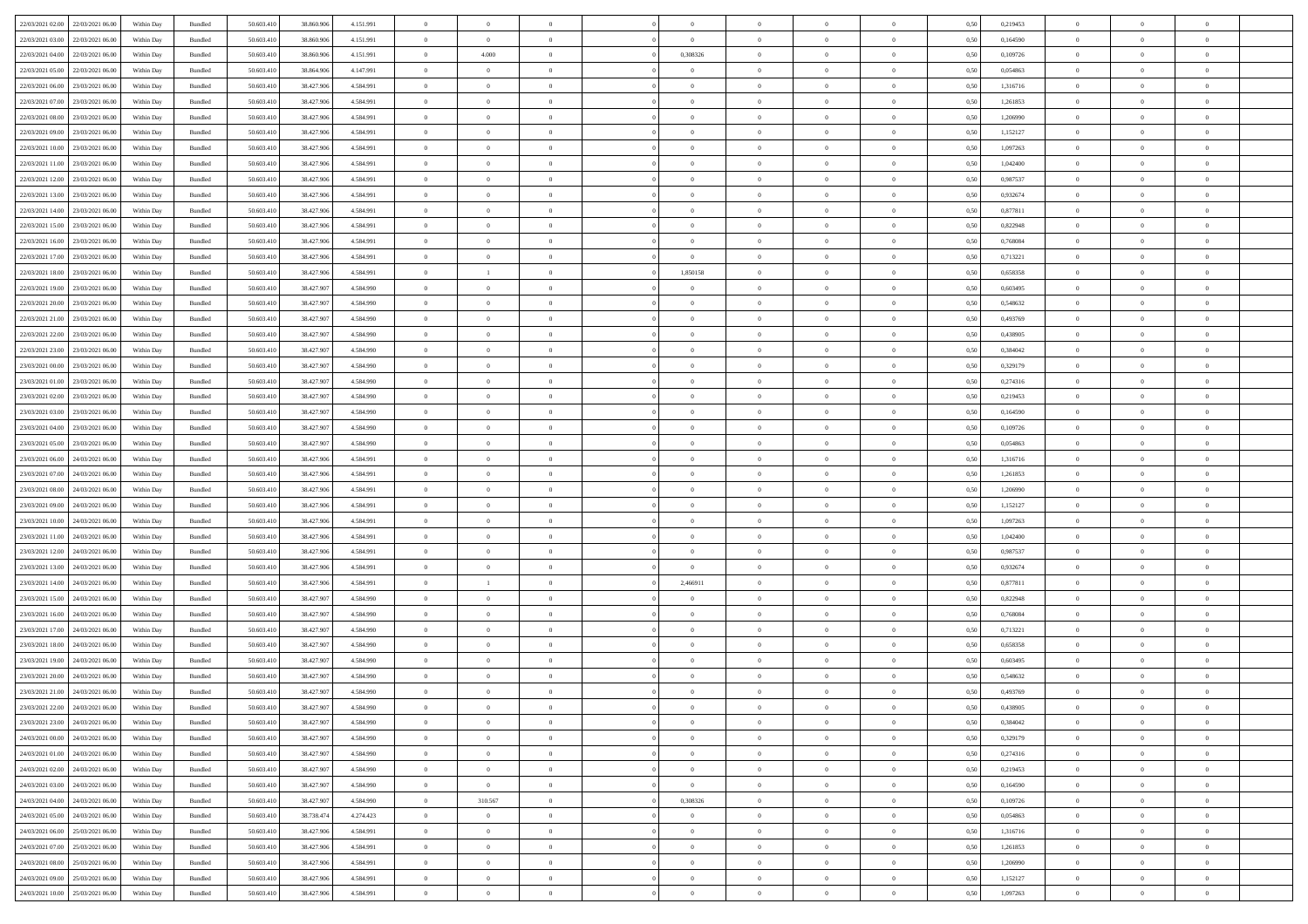| 22/03/2021 02:00 22/03/2021 06:00    | Within Day | Bundled | 50.603.410 | 38.860.906 | 4.151.991 | $\overline{0}$ | $\overline{0}$ | $\Omega$       | $\Omega$       | $\theta$       | $\Omega$       | $\overline{0}$ | 0,50 | 0,219453 | $\theta$       | $\theta$       | $\overline{0}$ |  |
|--------------------------------------|------------|---------|------------|------------|-----------|----------------|----------------|----------------|----------------|----------------|----------------|----------------|------|----------|----------------|----------------|----------------|--|
| 22/03/2021 03:00<br>22/03/2021 06:00 | Within Day | Bundled | 50.603.41  | 38.860.906 | 4.151.991 | $\overline{0}$ | $\overline{0}$ | $\overline{0}$ | $\theta$       | $\theta$       | $\overline{0}$ | $\bf{0}$       | 0,50 | 0,164590 | $\theta$       | $\theta$       | $\overline{0}$ |  |
| 22/03/2021 04:00<br>22/03/2021 06:00 | Within Day | Bundled | 50.603.41  | 38.860.906 | 4.151.991 | $\overline{0}$ | 4.000          | $\overline{0}$ | 0,308326       | $\overline{0}$ | $\overline{0}$ | $\bf{0}$       | 0,50 | 0,109726 | $\bf{0}$       | $\overline{0}$ | $\overline{0}$ |  |
| 22/03/2021 05:00<br>22/03/2021 06:00 | Within Day | Bundled | 50.603.410 | 38,864,906 | 4.147.991 | $\overline{0}$ | $\overline{0}$ | $\overline{0}$ | $\overline{0}$ | $\overline{0}$ | $\overline{0}$ | $\overline{0}$ | 0.50 | 0.054863 | $\theta$       | $\theta$       | $\overline{0}$ |  |
| 22/03/2021 06:00<br>23/03/2021 06:00 | Within Day | Bundled | 50.603.41  | 38.427.906 | 4.584.991 | $\overline{0}$ | $\overline{0}$ | $\overline{0}$ | $\overline{0}$ | $\theta$       | $\overline{0}$ | $\bf{0}$       | 0,50 | 1,316716 | $\theta$       | $\theta$       | $\overline{0}$ |  |
|                                      |            |         |            |            |           |                |                |                |                |                |                |                |      |          |                |                |                |  |
| 22/03/2021 07:00<br>23/03/2021 06:00 | Within Day | Bundled | 50.603.41  | 38.427.906 | 4.584.991 | $\overline{0}$ | $\bf{0}$       | $\overline{0}$ | $\overline{0}$ | $\overline{0}$ | $\overline{0}$ | $\bf{0}$       | 0,50 | 1,261853 | $\overline{0}$ | $\overline{0}$ | $\bf{0}$       |  |
| 22/03/2021 08:00<br>23/03/2021 06:00 | Within Day | Bundled | 50.603.410 | 38,427,906 | 4.584.991 | $\overline{0}$ | $\overline{0}$ | $\overline{0}$ | $\overline{0}$ | $\overline{0}$ | $\overline{0}$ | $\bf{0}$       | 0.5( | 1.206990 | $\theta$       | $\overline{0}$ | $\overline{0}$ |  |
| 22/03/2021 09:00<br>23/03/2021 06:00 | Within Day | Bundled | 50.603.41  | 38.427.906 | 4.584.991 | $\bf{0}$       | $\overline{0}$ | $\overline{0}$ | $\overline{0}$ | $\overline{0}$ | $\overline{0}$ | $\bf{0}$       | 0,50 | 1,152127 | $\theta$       | $\theta$       | $\overline{0}$ |  |
| 22/03/2021 10:00<br>23/03/2021 06:00 | Within Day | Bundled | 50.603.41  | 38.427.906 | 4.584.991 | $\overline{0}$ | $\bf{0}$       | $\overline{0}$ | $\overline{0}$ | $\overline{0}$ | $\overline{0}$ | $\bf{0}$       | 0,50 | 1,097263 | $\bf{0}$       | $\overline{0}$ | $\overline{0}$ |  |
| 22/03/2021 11:00<br>23/03/2021 06:00 | Within Day | Bundled | 50.603.41  | 38.427.906 | 4.584.991 | $\overline{0}$ | $\overline{0}$ | $\overline{0}$ | $\overline{0}$ | $\overline{0}$ | $\overline{0}$ | $\bf{0}$       | 0.5( | 1,042400 | $\theta$       | $\theta$       | $\overline{0}$ |  |
| 22/03/2021 12:00<br>23/03/2021 06:00 | Within Day | Bundled | 50.603.410 | 38.427.906 | 4.584.991 | $\bf{0}$       | $\overline{0}$ | $\overline{0}$ | $\overline{0}$ | $\theta$       | $\overline{0}$ | $\bf{0}$       | 0,50 | 0,987537 | $\theta$       | $\theta$       | $\overline{0}$ |  |
| 22/03/2021 13:00<br>23/03/2021 06:00 | Within Day | Bundled | 50.603.41  | 38.427.906 | 4.584.991 | $\overline{0}$ | $\bf{0}$       | $\overline{0}$ | $\overline{0}$ | $\bf{0}$       | $\overline{0}$ | $\bf{0}$       | 0,50 | 0,932674 | $\bf{0}$       | $\overline{0}$ | $\overline{0}$ |  |
| 22/03/2021 14:00<br>23/03/2021 06:00 | Within Day | Bundled | 50.603.410 | 38,427,906 | 4.584.991 | $\overline{0}$ | $\overline{0}$ | $\overline{0}$ | $\overline{0}$ | $\overline{0}$ | $\overline{0}$ | $\overline{0}$ | 0.5( | 0,877811 | $\theta$       | $\theta$       | $\overline{0}$ |  |
| 22/03/2021 15:00<br>23/03/2021 06:00 | Within Day | Bundled | 50.603.41  | 38.427.906 | 4.584.991 | $\overline{0}$ | $\theta$       | $\overline{0}$ | $\overline{0}$ | $\overline{0}$ | $\overline{0}$ | $\bf{0}$       | 0,50 | 0,822948 | $\theta$       | $\theta$       | $\overline{0}$ |  |
| 22/03/2021 16:00<br>23/03/2021 06:00 | Within Day | Bundled | 50.603.410 | 38.427.906 | 4.584.991 | $\overline{0}$ | $\bf{0}$       | $\overline{0}$ | $\overline{0}$ | $\overline{0}$ | $\overline{0}$ | $\bf{0}$       | 0,50 | 0,768084 | $\overline{0}$ | $\overline{0}$ | $\bf{0}$       |  |
|                                      |            |         |            |            |           |                | $\overline{0}$ |                |                | $\overline{0}$ |                |                |      |          | $\overline{0}$ | $\overline{0}$ | $\overline{0}$ |  |
| 22/03/2021 17:00<br>23/03/2021 06:00 | Within Day | Bundled | 50.603.410 | 38.427.906 | 4.584.991 | $\overline{0}$ |                | $\overline{0}$ | $\overline{0}$ |                | $\overline{0}$ | $\bf{0}$       | 0.5( | 0,713221 |                |                |                |  |
| 22/03/2021 18:00<br>23/03/2021 06:00 | Within Day | Bundled | 50.603.41  | 38.427.906 | 4.584.991 | $\bf{0}$       | <sup>1</sup>   | $\overline{0}$ | 1,850158       | $\theta$       | $\overline{0}$ | $\bf{0}$       | 0,50 | 0,658358 | $\theta$       | $\theta$       | $\overline{0}$ |  |
| 22/03/2021 19:00<br>23/03/2021 06:00 | Within Day | Bundled | 50.603.41  | 38.427.907 | 4.584.990 | $\overline{0}$ | $\bf{0}$       | $\overline{0}$ | $\overline{0}$ | $\overline{0}$ | $\overline{0}$ | $\bf{0}$       | 0,50 | 0,603495 | $\bf{0}$       | $\overline{0}$ | $\overline{0}$ |  |
| 22/03/2021 20:00<br>23/03/2021 06:00 | Within Day | Bundled | 50.603.41  | 38.427.907 | 4.584.990 | $\overline{0}$ | $\overline{0}$ | $\overline{0}$ | $\overline{0}$ | $\overline{0}$ | $\overline{0}$ | $\bf{0}$       | 0.5( | 0,548632 | $\theta$       | $\theta$       | $\overline{0}$ |  |
| 22/03/2021 21:00<br>23/03/2021 06:00 | Within Day | Bundled | 50.603.410 | 38.427.907 | 4.584.990 | $\bf{0}$       | $\overline{0}$ | $\overline{0}$ | $\overline{0}$ | $\theta$       | $\overline{0}$ | $\bf{0}$       | 0,50 | 0,493769 | $\theta$       | $\theta$       | $\overline{0}$ |  |
| 22/03/2021 22:00<br>23/03/2021 06:00 | Within Day | Bundled | 50.603.41  | 38.427.907 | 4.584.990 | $\overline{0}$ | $\bf{0}$       | $\overline{0}$ | $\overline{0}$ | $\overline{0}$ | $\overline{0}$ | $\bf{0}$       | 0,50 | 0,438905 | $\bf{0}$       | $\overline{0}$ | $\overline{0}$ |  |
| 22/03/2021 23:00<br>23/03/2021 06:00 | Within Day | Bundled | 50.603.410 | 38.427.907 | 4.584.990 | $\overline{0}$ | $\overline{0}$ | $\overline{0}$ | $\overline{0}$ | $\overline{0}$ | $\overline{0}$ | $\overline{0}$ | 0.5( | 0.384042 | $\overline{0}$ | $\overline{0}$ | $\overline{0}$ |  |
| 23/03/2021 00:00<br>23/03/2021 06:00 | Within Day | Bundled | 50.603.41  | 38.427.90  | 4.584.990 | $\overline{0}$ | $\theta$       | $\overline{0}$ | $\overline{0}$ | $\theta$       | $\overline{0}$ | $\bf{0}$       | 0,50 | 0,329179 | $\theta$       | $\theta$       | $\overline{0}$ |  |
| 23/03/2021 01:00<br>23/03/2021 06:00 | Within Day | Bundled | 50.603.41  | 38.427.907 | 4.584.990 | $\overline{0}$ | $\bf{0}$       | $\overline{0}$ | $\overline{0}$ | $\overline{0}$ | $\overline{0}$ | $\bf{0}$       | 0,50 | 0,274316 | $\overline{0}$ | $\overline{0}$ | $\bf{0}$       |  |
| 23/03/2021 02:00<br>23/03/2021 06:00 | Within Day | Bundled | 50.603.410 | 38.427.907 | 4.584.990 | $\overline{0}$ | $\overline{0}$ | $\overline{0}$ | $\overline{0}$ | $\overline{0}$ | $\overline{0}$ | $\overline{0}$ | 0.5( | 0,219453 | $\overline{0}$ | $\overline{0}$ | $\overline{0}$ |  |
| 23/03/2021 03:00<br>23/03/2021 06:00 | Within Day | Bundled | 50.603.41  | 38.427.90  | 4.584.990 | $\bf{0}$       | $\overline{0}$ | $\overline{0}$ | $\overline{0}$ | $\overline{0}$ | $\overline{0}$ | $\bf{0}$       | 0,50 | 0,164590 | $\theta$       | $\theta$       | $\overline{0}$ |  |
|                                      |            |         |            |            |           |                | $\bf{0}$       |                |                | $\overline{0}$ |                |                |      |          | $\bf{0}$       | $\bf{0}$       | $\overline{0}$ |  |
| 23/03/2021 04:00<br>23/03/2021 06:00 | Within Day | Bundled | 50.603.41  | 38.427.907 | 4.584.990 | $\overline{0}$ |                | $\overline{0}$ | $\overline{0}$ |                | $\overline{0}$ | $\bf{0}$       | 0,50 | 0,109726 |                |                |                |  |
| 23/03/2021 05:00<br>23/03/2021 06:00 | Within Day | Bundled | 50.603.410 | 38.427.907 | 4.584.990 | $\overline{0}$ | $\overline{0}$ | $\overline{0}$ | $\overline{0}$ | $\overline{0}$ | $\overline{0}$ | $\overline{0}$ | 0.5( | 0.054863 | $\theta$       | $\theta$       | $\overline{0}$ |  |
| 23/03/2021 06:00<br>24/03/2021 06:00 | Within Day | Bundled | 50.603.410 | 38.427.906 | 4.584.991 | $\bf{0}$       | $\overline{0}$ | $\overline{0}$ | $\overline{0}$ | $\theta$       | $\overline{0}$ | $\bf{0}$       | 0,50 | 1,316716 | $\,$ 0 $\,$    | $\theta$       | $\overline{0}$ |  |
| 23/03/2021 07:00<br>24/03/2021 06.00 | Within Day | Bundled | 50.603.41  | 38.427.906 | 4.584.991 | $\overline{0}$ | $\bf{0}$       | $\overline{0}$ | $\overline{0}$ | $\overline{0}$ | $\overline{0}$ | $\bf{0}$       | 0,50 | 1,261853 | $\bf{0}$       | $\overline{0}$ | $\overline{0}$ |  |
| 23/03/2021 08:00<br>24/03/2021 06.00 | Within Day | Bundled | 50.603.41  | 38.427.906 | 4.584.991 | $\overline{0}$ | $\overline{0}$ | $\overline{0}$ | $\Omega$       | $\theta$       | $\Omega$       | $\bf{0}$       | 0,50 | 1,206990 | $\,$ 0 $\,$    | $\theta$       | $\theta$       |  |
| 23/03/2021 09:00<br>24/03/2021 06:00 | Within Day | Bundled | 50.603.41  | 38.427.906 | 4.584.991 | $\bf{0}$       | $\theta$       | $\overline{0}$ | $\overline{0}$ | $\overline{0}$ | $\overline{0}$ | $\bf{0}$       | 0,50 | 1,152127 | $\theta$       | $\theta$       | $\overline{0}$ |  |
| 23/03/2021 10:00<br>24/03/2021 06:00 | Within Day | Bundled | 50.603.410 | 38.427.906 | 4.584.991 | $\overline{0}$ | $\bf{0}$       | $\overline{0}$ | $\overline{0}$ | $\overline{0}$ | $\overline{0}$ | $\bf{0}$       | 0,50 | 1,097263 | $\overline{0}$ | $\overline{0}$ | $\bf{0}$       |  |
| 23/03/2021 11:00<br>24/03/2021 06.00 | Within Day | Bundled | 50.603.41  | 38.427.90  | 4.584.991 | $\overline{0}$ | $\overline{0}$ | $\Omega$       | $\Omega$       | $\overline{0}$ | $\overline{0}$ | $\overline{0}$ | 0.50 | 1.042400 | $\bf{0}$       | $\theta$       | $\overline{0}$ |  |
| 23/03/2021 12:00<br>24/03/2021 06:00 | Within Day | Bundled | 50.603.41  | 38.427.906 | 4.584.991 | $\bf{0}$       | $\overline{0}$ | $\overline{0}$ | $\overline{0}$ | $\theta$       | $\overline{0}$ | $\bf{0}$       | 0,50 | 0,987537 | $\theta$       | $\theta$       | $\overline{0}$ |  |
| 23/03/2021 13:00<br>24/03/2021 06.00 | Within Day | Bundled | 50.603.41  | 38.427.906 | 4.584.991 | $\overline{0}$ | $\bf{0}$       | $\overline{0}$ | $\overline{0}$ | $\overline{0}$ | $\overline{0}$ | $\bf{0}$       | 0,50 | 0,932674 | $\bf{0}$       | $\overline{0}$ | $\overline{0}$ |  |
| 23/03/2021 14:00<br>24/03/2021 06:00 | Within Day | Bundled | 50.603.41  | 38.427.90  | 4.584.991 | $\overline{0}$ | $\overline{1}$ | $\Omega$       | 2.466911       | $\overline{0}$ | $\theta$       | $\overline{0}$ | 0.50 | 0,877811 | $\bf{0}$       | $\theta$       | $\theta$       |  |
| 23/03/2021 15:00<br>24/03/2021 06:00 | Within Day | Bundled | 50.603.41  | 38.427.907 | 4.584.990 | $\bf{0}$       | $\bf{0}$       | $\overline{0}$ | $\overline{0}$ | $\overline{0}$ | $\overline{0}$ | $\bf{0}$       | 0,50 | 0,822948 | $\,$ 0 $\,$    | $\theta$       | $\overline{0}$ |  |
| 23/03/2021 16:00<br>24/03/2021 06:00 | Within Day | Bundled | 50.603.41  | 38.427.907 | 4.584.990 | $\overline{0}$ | $\bf{0}$       | $\overline{0}$ | $\overline{0}$ | $\overline{0}$ | $\overline{0}$ | $\bf{0}$       | 0,50 | 0,768084 | $\bf{0}$       | $\overline{0}$ | $\overline{0}$ |  |
|                                      |            |         |            |            |           |                |                |                |                |                |                |                |      |          |                |                |                |  |
| 23/03/2021 17:00<br>24/03/2021 06.00 | Within Day | Bundled | 50.603.41  | 38.427.907 | 4.584.990 | $\overline{0}$ | $\overline{0}$ | $\overline{0}$ | $\Omega$       | $\theta$       | $\overline{0}$ | $\bf{0}$       | 0.50 | 0,713221 | $\bf{0}$       | $\theta$       | $\overline{0}$ |  |
| 23/03/2021 18:00<br>24/03/2021 06:00 | Within Day | Bundled | 50.603.41  | 38.427.90  | 4.584.990 | $\bf{0}$       | $\overline{0}$ | $\overline{0}$ | $\overline{0}$ | $\theta$       | $\overline{0}$ | $\bf{0}$       | 0,50 | 0,658358 | $\,$ 0 $\,$    | $\theta$       | $\overline{0}$ |  |
| 23/03/2021 19:00<br>24/03/2021 06.00 | Within Day | Bundled | 50.603.410 | 38.427.907 | 4.584.990 | $\overline{0}$ | $\bf{0}$       | $\overline{0}$ | $\overline{0}$ | $\overline{0}$ | $\overline{0}$ | $\bf{0}$       | 0,50 | 0,603495 | $\overline{0}$ | $\overline{0}$ | $\bf{0}$       |  |
| 23/03/2021 20:00<br>24/03/2021 06.00 | Within Day | Bundled | 50.603.41  | 38.427.90  | 4.584.990 | $\overline{0}$ | $\overline{0}$ | $\overline{0}$ | $\Omega$       | $\overline{0}$ | $\theta$       | $\overline{0}$ | 0.50 | 0.548632 | $\bf{0}$       | $\theta$       | $\overline{0}$ |  |
| 23/03/2021 21:00 24/03/2021 06:00    | Within Day | Bundled | 50.603.410 | 38.427.907 | 4.584.990 | $\overline{0}$ | $\bf{0}$       | $\overline{0}$ | $\overline{0}$ | $\overline{0}$ | $\overline{0}$ | $\bf{0}$       | 0,50 | 0,493769 | $\bf{0}$       | $\,$ 0 $\,$    | $\overline{0}$ |  |
| 23/03/2021 22:00 24/03/2021 06:00    | Within Day | Bundled | 50.603.410 | 38.427.907 | 4.584.990 | $\bf{0}$       |                |                |                |                |                |                | 0,50 | 0,438905 | $\bf{0}$       | $\bf{0}$       |                |  |
| 23/03/2021 23:00 24/03/2021 06:00    | Within Day | Bundled | 50.603.41  | 38,427,907 | 4.584.990 | $\Omega$       | $\overline{0}$ | $\Omega$       | $\theta$       | $\Omega$       | $\theta$       | $\overline{0}$ | 0.50 | 0.384042 | $\theta$       | $\Omega$       | $\theta$       |  |
| 24/03/2021 00:00<br>24/03/2021 06:00 | Within Day | Bundled | 50.603.410 | 38.427.907 | 4.584.990 | $\overline{0}$ | $\overline{0}$ | $\overline{0}$ | $\overline{0}$ | $\,$ 0 $\,$    | $\overline{0}$ | $\,$ 0 $\,$    | 0,50 | 0,329179 | $\,$ 0 $\,$    | $\,$ 0 $\,$    | $\bf{0}$       |  |
| 24/03/2021 01:00 24/03/2021 06:00    | Within Day | Bundled | 50.603.410 | 38.427.907 | 4.584.990 | $\overline{0}$ | $\overline{0}$ | $\overline{0}$ | $\overline{0}$ | $\overline{0}$ | $\overline{0}$ | $\bf{0}$       | 0,50 | 0,274316 | $\overline{0}$ | $\bf{0}$       | $\overline{0}$ |  |
| 24/03/2021 02:00<br>24/03/2021 06:00 | Within Day | Bundled | 50.603.410 | 38.427.907 | 4.584.990 | $\overline{0}$ | $\overline{0}$ | $\overline{0}$ | $\overline{0}$ | $\overline{0}$ | $\overline{0}$ | $\bf{0}$       | 0,50 | 0,219453 | $\bf{0}$       | $\theta$       | $\overline{0}$ |  |
| 24/03/2021 03:00<br>24/03/2021 06:00 | Within Day | Bundled | 50.603.410 | 38.427.907 | 4.584.990 | $\overline{0}$ | $\overline{0}$ | $\overline{0}$ | $\overline{0}$ | $\overline{0}$ | $\overline{0}$ | $\bf{0}$       | 0,50 | 0,164590 | $\,$ 0 $\,$    | $\theta$       | $\overline{0}$ |  |
| 24/03/2021 04:00<br>24/03/2021 06:00 | Within Day | Bundled | 50.603.410 | 38.427.907 | 4.584.990 | $\overline{0}$ | 310.567        | $\overline{0}$ | 0,308326       | $\overline{0}$ | $\overline{0}$ | $\bf{0}$       | 0,50 | 0,109726 | $\overline{0}$ | $\overline{0}$ | $\overline{0}$ |  |
|                                      |            |         |            |            |           |                |                |                |                |                |                |                |      |          |                |                |                |  |
| 24/03/2021 06:00<br>24/03/2021 05:00 | Within Day | Bundled | 50.603.41  | 38.738.474 | 4.274.423 | $\overline{0}$ | $\overline{0}$ | $\overline{0}$ | $\overline{0}$ | $\overline{0}$ | $\overline{0}$ | $\bf{0}$       | 0.50 | 0.054863 | $\overline{0}$ | $\theta$       | $\overline{0}$ |  |
| 24/03/2021 06:00<br>25/03/2021 06:00 | Within Day | Bundled | 50.603.410 | 38.427.906 | 4.584.991 | $\overline{0}$ | $\bf{0}$       | $\overline{0}$ | $\overline{0}$ | $\overline{0}$ | $\overline{0}$ | $\bf{0}$       | 0,50 | 1,316716 | $\,$ 0 $\,$    | $\theta$       | $\overline{0}$ |  |
| 25/03/2021 06:00<br>24/03/2021 07:00 | Within Day | Bundled | 50.603.410 | 38.427.906 | 4.584.991 | $\overline{0}$ | $\bf{0}$       | $\overline{0}$ | $\overline{0}$ | $\overline{0}$ | $\overline{0}$ | $\bf{0}$       | 0,50 | 1,261853 | $\bf{0}$       | $\overline{0}$ | $\bf{0}$       |  |
| 25/03/2021 06:00<br>24/03/2021 08:00 | Within Day | Bundled | 50.603.410 | 38.427.906 | 4.584.991 | $\overline{0}$ | $\overline{0}$ | $\overline{0}$ | $\overline{0}$ | $\overline{0}$ | $\overline{0}$ | $\bf{0}$       | 0.50 | 1,206990 | $\overline{0}$ | $\theta$       | $\overline{0}$ |  |
| 24/03/2021 09:00<br>25/03/2021 06:00 | Within Day | Bundled | 50.603.410 | 38.427.906 | 4.584.991 | $\overline{0}$ | $\,$ 0         | $\overline{0}$ | $\overline{0}$ | $\bf{0}$       | $\bf{0}$       | $\bf{0}$       | 0,50 | 1,152127 | $\,$ 0 $\,$    | $\,$ 0 $\,$    | $\bf{0}$       |  |
| 24/03/2021 10:00 25/03/2021 06:00    | Within Day | Bundled | 50.603.410 | 38.427.906 | 4.584.991 | $\overline{0}$ | $\bf{0}$       | $\overline{0}$ | $\overline{0}$ | $\overline{0}$ | $\overline{0}$ | $\bf{0}$       | 0,50 | 1,097263 | $\overline{0}$ | $\bf{0}$       | $\overline{0}$ |  |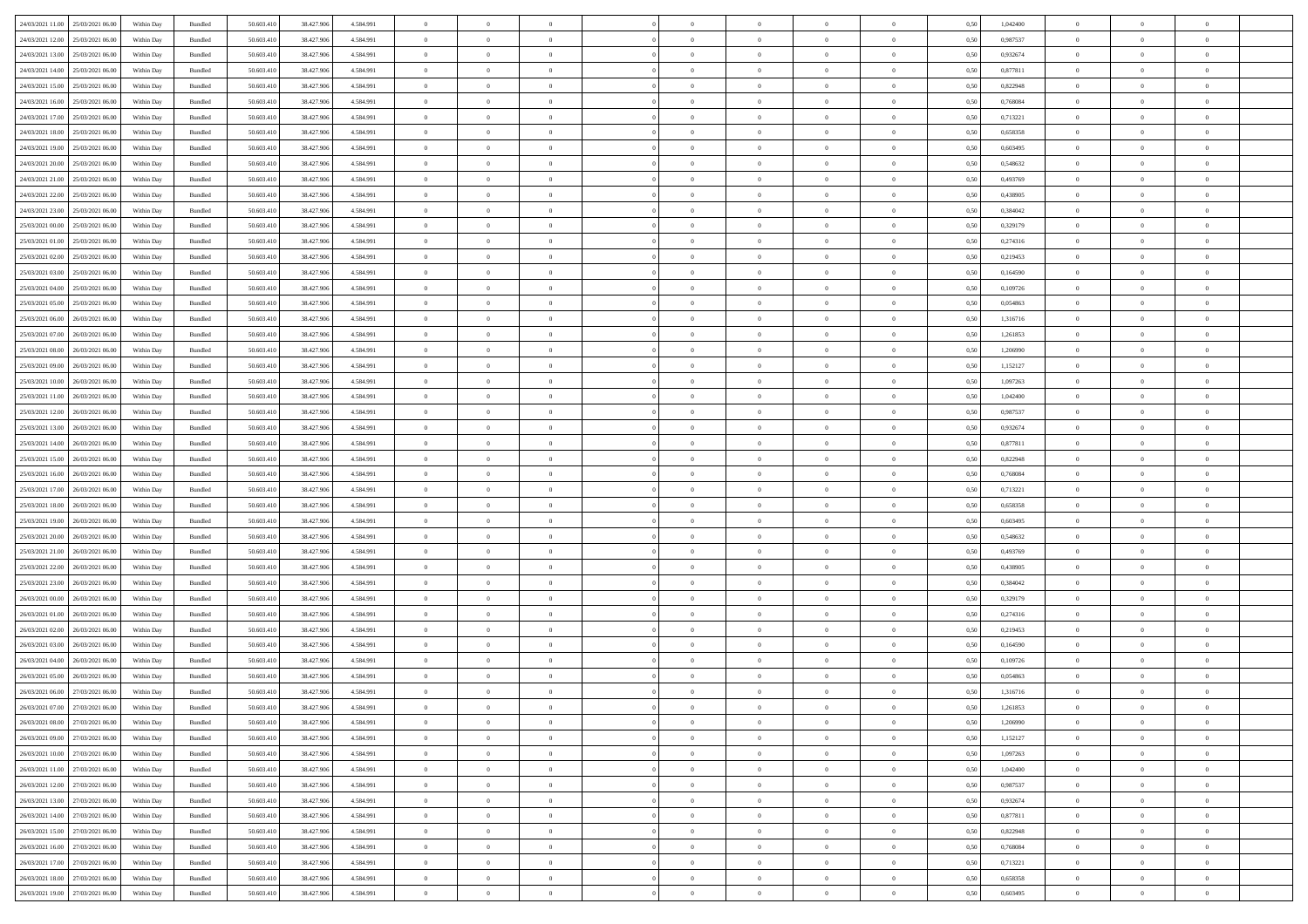| 24/03/2021 11:00 25/03/2021 06:00    | Within Day | Bundled            | 50.603.410 | 38.427.906 | 4.584.991 | $\overline{0}$ | $\overline{0}$   |                | $\overline{0}$ | $\theta$       |                | $\overline{0}$ | 0,50 | 1,042400 | $\theta$       | $\theta$       | $\overline{0}$ |  |
|--------------------------------------|------------|--------------------|------------|------------|-----------|----------------|------------------|----------------|----------------|----------------|----------------|----------------|------|----------|----------------|----------------|----------------|--|
| 24/03/2021 12:00<br>25/03/2021 06.00 | Within Day | Bundled            | 50.603.41  | 38.427.90  | 4.584.991 | $\bf{0}$       | $\bf{0}$         | $\bf{0}$       | $\bf{0}$       | $\overline{0}$ | $\overline{0}$ | $\bf{0}$       | 0,50 | 0,987537 | $\,$ 0 $\,$    | $\bf{0}$       | $\overline{0}$ |  |
| 24/03/2021 13:00<br>25/03/2021 06:00 | Within Day | Bundled            | 50.603.41  | 38.427.906 | 4.584.991 | $\overline{0}$ | $\bf{0}$         | $\overline{0}$ | $\bf{0}$       | $\overline{0}$ | $\overline{0}$ | $\bf{0}$       | 0.50 | 0.932674 | $\bf{0}$       | $\overline{0}$ | $\overline{0}$ |  |
| 24/03/2021 14:00<br>25/03/2021 06:00 |            |                    | 50.603.410 |            |           | $\overline{0}$ | $\overline{0}$   | $\overline{0}$ | $\overline{0}$ | $\theta$       | $\overline{0}$ |                |      | 0,877811 | $\,$ 0 $\,$    | $\,$ 0 $\,$    | $\overline{0}$ |  |
|                                      | Within Day | Bundled            |            | 38.427.906 | 4.584.991 |                |                  |                |                |                |                | $\bf{0}$       | 0,50 |          |                |                |                |  |
| 24/03/2021 15:00<br>25/03/2021 06.00 | Within Day | Bundled            | 50.603.41  | 38.427.90  | 4.584.991 | $\bf{0}$       | $\bf{0}$         | $\bf{0}$       | $\overline{0}$ | $\bf{0}$       | $\overline{0}$ | $\bf{0}$       | 0,50 | 0,822948 | $\,$ 0 $\,$    | $\bf{0}$       | $\overline{0}$ |  |
| 24/03/2021 16:00<br>25/03/2021 06:00 | Within Day | Bundled            | 50,603.41  | 38,427,906 | 4.584.991 | $\overline{0}$ | $\bf{0}$         | $\overline{0}$ | $\bf{0}$       | $\overline{0}$ | $\overline{0}$ | $\bf{0}$       | 0.50 | 0.768084 | $\bf{0}$       | $\bf{0}$       | $\overline{0}$ |  |
| 24/03/2021 17:00<br>25/03/2021 06:00 | Within Day | Bundled            | 50.603.41  | 38.427.906 | 4.584.991 | $\bf{0}$       | $\bf{0}$         | $\overline{0}$ | $\overline{0}$ | $\overline{0}$ | $\overline{0}$ | $\bf{0}$       | 0,50 | 0,713221 | $\,$ 0 $\,$    | $\bf{0}$       | $\overline{0}$ |  |
|                                      |            |                    |            |            |           |                |                  |                |                |                |                |                |      |          |                |                |                |  |
| 24/03/2021 18:00<br>25/03/2021 06.00 | Within Day | Bundled            | 50.603.41  | 38.427.90  | 4.584.991 | $\bf{0}$       | $\bf{0}$         | $\bf{0}$       | $\bf{0}$       | $\overline{0}$ | $\overline{0}$ | $\bf{0}$       | 0,50 | 0,658358 | $\,$ 0 $\,$    | $\bf{0}$       | $\overline{0}$ |  |
| 24/03/2021 19:00<br>25/03/2021 06:00 | Within Day | Bundled            | 50,603.41  | 38.427.90  | 4.584.991 | $\overline{0}$ | $\bf{0}$         | $\overline{0}$ | $\bf{0}$       | $\overline{0}$ | $\overline{0}$ | $\bf{0}$       | 0.50 | 0.603495 | $\bf{0}$       | $\overline{0}$ | $\overline{0}$ |  |
| 24/03/2021 20:00<br>25/03/2021 06:00 | Within Day | Bundled            | 50.603.410 | 38.427.906 | 4.584.991 | $\bf{0}$       | $\bf{0}$         | $\overline{0}$ | $\overline{0}$ | $\overline{0}$ | $\overline{0}$ | $\bf{0}$       | 0,50 | 0,548632 | $\,$ 0 $\,$    | $\,$ 0 $\,$    | $\overline{0}$ |  |
| 24/03/2021 21:00<br>25/03/2021 06.00 | Within Day | Bundled            | 50.603.41  | 38.427.906 | 4.584.991 | $\bf{0}$       | $\bf{0}$         | $\bf{0}$       | $\bf{0}$       | $\overline{0}$ | $\overline{0}$ | $\bf{0}$       | 0,50 | 0,493769 | $\,$ 0 $\,$    | $\bf{0}$       | $\overline{0}$ |  |
|                                      |            |                    |            |            |           |                |                  |                |                |                |                |                |      |          |                |                |                |  |
| 24/03/2021 22:00<br>25/03/2021 06:00 | Within Day | $\mathbf B$ undled | 50,603.41  | 38,427,906 | 4.584.991 | $\overline{0}$ | $\bf{0}$         | $\overline{0}$ | $\overline{0}$ | $\overline{0}$ | $\overline{0}$ | $\bf{0}$       | 0.50 | 0.438905 | $\bf{0}$       | $\,$ 0 $\,$    | $\,$ 0         |  |
| 24/03/2021 23:00<br>25/03/2021 06:00 | Within Day | Bundled            | 50.603.41  | 38.427.906 | 4.584.991 | $\overline{0}$ | $\bf{0}$         | $\overline{0}$ | $\theta$       | $\theta$       | $\overline{0}$ | $\bf{0}$       | 0,50 | 0,384042 | $\,$ 0 $\,$    | $\,$ 0 $\,$    | $\overline{0}$ |  |
| 25/03/2021 00:00<br>25/03/2021 06.00 | Within Day | Bundled            | 50.603.41  | 38.427.90  | 4.584.991 | $\bf{0}$       | $\overline{0}$   | $\bf{0}$       | $\bf{0}$       | $\overline{0}$ | $\overline{0}$ | $\bf{0}$       | 0,50 | 0,329179 | $\,$ 0 $\,$    | $\bf{0}$       | $\overline{0}$ |  |
| 25/03/2021 01:00<br>25/03/2021 06:00 |            | Bundled            | 50.603.41  | 38,427,906 | 4.584.991 | $\overline{0}$ | $\bf{0}$         | $\overline{0}$ | $\bf{0}$       | $\overline{0}$ | $\overline{0}$ | $\bf{0}$       | 0.50 | 0,274316 | $\,$ 0 $\,$    | $\bf{0}$       | $\overline{0}$ |  |
|                                      | Within Day |                    |            |            |           |                |                  |                |                |                |                |                |      |          |                |                |                |  |
| 25/03/2021 02:00<br>25/03/2021 06:00 | Within Day | Bundled            | 50.603.410 | 38.427.906 | 4.584.991 | $\overline{0}$ | $\bf{0}$         | $\overline{0}$ | $\overline{0}$ | $\overline{0}$ | $\overline{0}$ | $\bf{0}$       | 0,50 | 0,219453 | $\,$ 0 $\,$    | $\theta$       | $\overline{0}$ |  |
| 25/03/2021 03:00<br>25/03/2021 06.00 | Within Day | Bundled            | 50.603.41  | 38.427.90  | 4.584.991 | $\bf{0}$       | $\bf{0}$         | $\bf{0}$       | $\overline{0}$ | $\overline{0}$ | $\overline{0}$ | $\bf{0}$       | 0,50 | 0,164590 | $\,$ 0 $\,$    | $\bf{0}$       | $\overline{0}$ |  |
| 25/03/2021 04:00<br>25/03/2021 06:00 | Within Day | Bundled            | 50,603.41  | 38.427.90  | 4.584.991 | $\overline{0}$ | $\bf{0}$         | $\overline{0}$ | $\bf{0}$       | $\bf{0}$       | $\overline{0}$ | $\bf{0}$       | 0.50 | 0.109726 | $\bf{0}$       | $\overline{0}$ | $\bf{0}$       |  |
| 25/03/2021 05:00<br>25/03/2021 06:00 | Within Day | Bundled            | 50.603.410 | 38.427.906 | 4.584.991 | $\bf{0}$       | $\bf{0}$         | $\overline{0}$ | $\overline{0}$ | $\overline{0}$ | $\overline{0}$ | $\bf{0}$       | 0,50 | 0,054863 | $\,$ 0 $\,$    | $\bf{0}$       | $\overline{0}$ |  |
|                                      |            |                    |            |            |           |                |                  |                |                |                |                |                |      |          |                |                |                |  |
| 25/03/2021 06:00<br>26/03/2021 06.00 | Within Day | Bundled            | 50.603.41  | 38.427.906 | 4.584.991 | $\bf{0}$       | $\bf{0}$         | $\bf{0}$       | $\bf{0}$       | $\overline{0}$ | $\overline{0}$ | $\bf{0}$       | 0,50 | 1,316716 | $\,$ 0 $\,$    | $\bf{0}$       | $\overline{0}$ |  |
| 25/03/2021 07:00<br>26/03/2021 06:00 | Within Day | Bundled            | 50.603.41  | 38,427,906 | 4.584.991 | $\overline{0}$ | $\bf{0}$         | $\overline{0}$ | $\overline{0}$ | $\bf{0}$       | $\overline{0}$ | $\bf{0}$       | 0.50 | 1,261853 | $\bf{0}$       | $\,$ 0 $\,$    | $\,$ 0         |  |
| 25/03/2021 08:00<br>26/03/2021 06:00 | Within Day | Bundled            | 50.603.41  | 38.427.906 | 4.584.991 | $\overline{0}$ | $\overline{0}$   | $\overline{0}$ | $\overline{0}$ | $\theta$       | $\overline{0}$ | $\bf{0}$       | 0,50 | 1,206990 | $\,$ 0 $\,$    | $\,$ 0 $\,$    | $\overline{0}$ |  |
| 25/03/2021 09:00<br>26/03/2021 06.00 | Within Day | Bundled            | 50.603.41  | 38.427.90  | 4.584.991 | $\bf{0}$       | $\bf{0}$         | $\bf{0}$       | $\bf{0}$       | $\overline{0}$ | $\overline{0}$ | $\bf{0}$       | 0,50 | 1,152127 | $\,$ 0 $\,$    | $\bf{0}$       | $\overline{0}$ |  |
|                                      |            |                    |            |            |           |                |                  |                |                |                |                |                |      |          |                |                |                |  |
| 25/03/2021 10:00<br>26/03/2021 06:00 | Within Day | Bundled            | 50.603.41  | 38.427.90  | 4.584.991 | $\overline{0}$ | $\bf{0}$         | $\overline{0}$ | $\bf{0}$       | $\overline{0}$ | $\overline{0}$ | $\bf{0}$       | 0.50 | 1.097263 | $\bf{0}$       | $\overline{0}$ | $\overline{0}$ |  |
| 25/03/2021 11:00<br>26/03/2021 06:00 | Within Day | Bundled            | 50.603.410 | 38.427.906 | 4.584.991 | $\bf{0}$       | $\overline{0}$   | $\overline{0}$ | $\overline{0}$ | $\overline{0}$ | $\overline{0}$ | $\bf{0}$       | 0,50 | 1,042400 | $\,$ 0 $\,$    | $\theta$       | $\overline{0}$ |  |
| 25/03/2021 12:00<br>26/03/2021 06.00 | Within Day | Bundled            | 50.603.41  | 38.427.90  | 4.584.991 | $\bf{0}$       | $\overline{0}$   | $\bf{0}$       | $\overline{0}$ | $\overline{0}$ | $\overline{0}$ | $\bf{0}$       | 0,50 | 0,987537 | $\,$ 0 $\,$    | $\bf{0}$       | $\overline{0}$ |  |
| 25/03/2021 13:00<br>26/03/2021 06:00 | Within Day | Bundled            | 50,603.41  | 38,427,906 | 4.584.991 | $\overline{0}$ | $\bf{0}$         | $\overline{0}$ | $\bf{0}$       | $\overline{0}$ | $\overline{0}$ | $\bf{0}$       | 0.50 | 0.932674 | $\bf{0}$       | $\overline{0}$ | $\overline{0}$ |  |
| 25/03/2021 14:00<br>26/03/2021 06:00 | Within Day | Bundled            | 50.603.410 | 38.427.906 | 4.584.991 | $\overline{0}$ | $\bf{0}$         | $\overline{0}$ | $\overline{0}$ | $\overline{0}$ | $\overline{0}$ | $\bf{0}$       | 0,50 | 0,877811 | $\,$ 0 $\,$    | $\bf{0}$       | $\overline{0}$ |  |
|                                      |            |                    |            |            |           |                |                  |                |                |                |                |                |      |          |                |                |                |  |
| 25/03/2021 15:00<br>26/03/2021 06.00 | Within Day | Bundled            | 50.603.41  | 38.427.906 | 4.584.991 | $\bf{0}$       | $\bf{0}$         | $\bf{0}$       | $\bf{0}$       | $\overline{0}$ | $\overline{0}$ | $\bf{0}$       | 0,50 | 0,822948 | $\,$ 0 $\,$    | $\bf{0}$       | $\overline{0}$ |  |
| 25/03/2021 16:00<br>26/03/2021 06:00 | Within Day | Bundled            | 50.603.41  | 38,427,906 | 4.584.991 | $\overline{0}$ | $\bf{0}$         | $\overline{0}$ | $\overline{0}$ | $\bf{0}$       | $\overline{0}$ | $\bf{0}$       | 0.50 | 0.768084 | $\overline{0}$ | $\,$ 0 $\,$    | $\,$ 0         |  |
| 25/03/2021 17:00<br>26/03/2021 06:00 | Within Day | Bundled            | 50.603.41  | 38,427,906 | 4.584.991 | $\overline{0}$ | $\overline{0}$   | $\overline{0}$ | $\overline{0}$ | $\overline{0}$ | $\overline{0}$ | $\bf{0}$       | 0.5( | 0,713221 | $\theta$       | $\theta$       | $\overline{0}$ |  |
| 25/03/2021 18:00<br>26/03/2021 06.00 | Within Day | Bundled            | 50.603.41  | 38.427.90  | 4.584.991 | $\bf{0}$       | $\bf{0}$         | $\bf{0}$       | $\bf{0}$       | $\overline{0}$ | $\overline{0}$ | $\bf{0}$       | 0,50 | 0,658358 | $\,$ 0 $\,$    | $\bf{0}$       | $\overline{0}$ |  |
|                                      |            |                    |            |            |           |                |                  |                |                |                |                |                |      |          |                |                |                |  |
| 25/03/2021 19:00<br>26/03/2021 06:00 | Within Day | Bundled            | 50,603.41  | 38,427,906 | 4.584.991 | $\overline{0}$ | $\bf{0}$         | $\overline{0}$ | $\bf{0}$       | $\overline{0}$ | $\overline{0}$ | $\bf{0}$       | 0.50 | 0.603495 | $\bf{0}$       | $\bf{0}$       | $\overline{0}$ |  |
| 25/03/2021 20:00<br>26/03/2021 06:00 | Within Dav | Bundled            | 50.603.410 | 38.427.906 | 4.584.991 | $\overline{0}$ | $\overline{0}$   | $\overline{0}$ | $\overline{0}$ | $\overline{0}$ | $\overline{0}$ | $\bf{0}$       | 0.50 | 0,548632 | $\theta$       | $\theta$       | $\overline{0}$ |  |
| 25/03/2021 21:00<br>26/03/2021 06.00 | Within Day | Bundled            | 50.603.41  | 38.427.90  | 4.584.991 | $\bf{0}$       | $\bf{0}$         | $\bf{0}$       | $\bf{0}$       | $\overline{0}$ | $\overline{0}$ | $\bf{0}$       | 0,50 | 0,493769 | $\,$ 0 $\,$    | $\bf{0}$       | $\overline{0}$ |  |
| 25/03/2021 22.00<br>26/03/2021 06:00 | Within Day | Bundled            | 50,603.41  | 38.427.90  | 4.584.991 | $\overline{0}$ | $\bf{0}$         | $\overline{0}$ | $\bf{0}$       | $\overline{0}$ | $\overline{0}$ | $\bf{0}$       | 0.50 | 0.438905 | $\bf{0}$       | $\overline{0}$ | $\overline{0}$ |  |
|                                      |            |                    |            |            |           |                | $\overline{0}$   |                |                | $\overline{0}$ |                |                |      |          | $\theta$       | $\theta$       | $\overline{0}$ |  |
| 25/03/2021 23:00<br>26/03/2021 06:00 | Within Day | Bundled            | 50.603.41  | 38.427.906 | 4.584.991 | $\overline{0}$ |                  | $\overline{0}$ | $\overline{0}$ |                | $\overline{0}$ | $\bf{0}$       | 0.50 | 0,384042 |                |                |                |  |
| 26/03/2021 00:00<br>26/03/2021 06.00 | Within Day | Bundled            | 50.603.41  | 38.427.906 | 4.584.991 | $\bf{0}$       | $\bf{0}$         | $\bf{0}$       | $\bf{0}$       | $\overline{0}$ | $\overline{0}$ | $\bf{0}$       | 0,50 | 0,329179 | $\,$ 0 $\,$    | $\bf{0}$       | $\overline{0}$ |  |
| 26/03/2021 01:00<br>26/03/2021 06:00 | Within Day | Bundled            | 50.603.41  | 38,427,906 | 4.584.991 | $\overline{0}$ | $\bf{0}$         | $\overline{0}$ | $\overline{0}$ | $\bf{0}$       | $\overline{0}$ | $\bf{0}$       | 0.50 | 0,274316 | $\,$ 0 $\,$    | $\,$ 0 $\,$    | $\,$ 0         |  |
| 26/03/2021 02:00<br>26/03/2021 06:00 | Within Day | Bundled            | 50.603.41  | 38.427.906 | 4.584.991 | $\overline{0}$ | $\overline{0}$   | $\overline{0}$ | $\overline{0}$ | $\overline{0}$ | $\overline{0}$ | $\bf{0}$       | 0.50 | 0,219453 | $\theta$       | $\theta$       | $\overline{0}$ |  |
| 26/03/2021 03:00<br>26/03/2021 06.00 | Within Day | Bundled            | 50.603.41  | 38.427.90  | 4.584.991 | $\bf{0}$       | $\bf{0}$         | $\bf{0}$       | $\bf{0}$       | $\overline{0}$ | $\overline{0}$ | $\bf{0}$       | 0,50 | 0,164590 | $\,$ 0 $\,$    | $\bf{0}$       | $\overline{0}$ |  |
|                                      |            |                    |            |            |           |                |                  |                |                |                |                |                |      |          |                |                |                |  |
| 26/03/2021 04:00<br>26/03/2021 06.00 | Within Day | Bundled            | 50,603.41  | 38.427.90  | 4.584.991 | $\overline{0}$ | $\bf{0}$         | $\overline{0}$ | $\bf{0}$       | $\overline{0}$ | $\overline{0}$ | $\bf{0}$       | 0.50 | 0.109726 | $\bf{0}$       | $\bf{0}$       | $\overline{0}$ |  |
| 26/03/2021 05:00<br>26/03/2021 06:00 | Within Day | Bundled            | 50.603.41  | 38.427.906 | 4.584.991 | $\overline{0}$ | $\overline{0}$   | $\overline{0}$ | $\overline{0}$ | $\theta$       | $\overline{0}$ | $\overline{0}$ | 0.5( | 0,054863 | $\theta$       | $\theta$       | $\overline{0}$ |  |
| 26/03/2021 06:00<br>27/03/2021 06:00 | Within Day | Bundled            | 50.603.41  | 38.427.906 | 4.584.991 | $\bf{0}$       | $\bf{0}$         | $\bf{0}$       | $\bf{0}$       | $\bf{0}$       | $\overline{0}$ | $\bf{0}$       | 0,50 | 1,316716 | $\overline{0}$ | $\overline{0}$ | $\overline{0}$ |  |
| 26/03/2021 07:00 27/03/2021 06:00    | Within Day | $\mathbf B$ undled | 50.603.410 | 38.427.906 | 4 584 991 | $\bf{0}$       | $\boldsymbol{0}$ |                | $\overline{0}$ | $\bf{0}$       |                | $\bf{0}$       | 0,50 | 1,261853 | $\bf{0}$       | $\,$ 0         |                |  |
|                                      |            |                    |            |            |           | $\overline{0}$ | $\overline{0}$   |                |                | $\overline{0}$ |                |                |      |          | $\theta$       | $\overline{0}$ | $\overline{0}$ |  |
| 26/03/2021 08:00 27/03/2021 06:00    | Within Day | Bundled            | 50.603.410 | 38.427.906 | 4.584.991 |                |                  | $\overline{0}$ | $\theta$       |                | $\overline{0}$ | $\bf{0}$       | 0,50 | 1,206990 |                |                |                |  |
| 26/03/2021 09:00<br>27/03/2021 06:00 | Within Day | Bundled            | 50.603.41  | 38.427.906 | 4.584.991 | $\overline{0}$ | $\bf{0}$         | $\overline{0}$ | $\overline{0}$ | $\bf{0}$       | $\overline{0}$ | $\bf{0}$       | 0,50 | 1,152127 | $\bf{0}$       | $\overline{0}$ | $\bf{0}$       |  |
| 26/03/2021 10:00 27/03/2021 06:00    | Within Day | Bundled            | 50.603.410 | 38,427,906 | 4.584.991 | $\overline{0}$ | $\bf{0}$         | $\overline{0}$ | $\overline{0}$ | $\mathbf{0}$   | $\overline{0}$ | $\,$ 0 $\,$    | 0.50 | 1,097263 | $\overline{0}$ | $\bf{0}$       | $\,$ 0 $\,$    |  |
| 26/03/2021 11:00 27/03/2021 06:00    | Within Dav | Bundled            | 50.603.410 | 38.427.906 | 4.584.991 | $\overline{0}$ | $\overline{0}$   | $\overline{0}$ | $\overline{0}$ | $\overline{0}$ | $\overline{0}$ | $\bf{0}$       | 0,50 | 1,042400 | $\overline{0}$ | $\theta$       | $\overline{0}$ |  |
|                                      |            |                    |            |            |           |                |                  |                |                |                |                |                |      |          |                |                |                |  |
| 26/03/2021 12:00<br>27/03/2021 06:00 | Within Day | Bundled            | 50.603.41  | 38.427.906 | 4.584.991 | $\overline{0}$ | $\bf{0}$         | $\overline{0}$ | $\overline{0}$ | $\bf{0}$       | $\overline{0}$ | $\bf{0}$       | 0,50 | 0,987537 | $\bf{0}$       | $\overline{0}$ | $\overline{0}$ |  |
| 26/03/2021 13:00<br>27/03/2021 06:00 | Within Day | Bundled            | 50.603.410 | 38,427,906 | 4.584.991 | $\overline{0}$ | $\bf{0}$         | $\overline{0}$ | $\overline{0}$ | $\bf{0}$       | $\overline{0}$ | $\bf{0}$       | 0.50 | 0.932674 | $\,$ 0 $\,$    | $\overline{0}$ | $\,$ 0         |  |
| 26/03/2021 14:00<br>27/03/2021 06:00 | Within Dav | Bundled            | 50.603.410 | 38.427.906 | 4.584.991 | $\overline{0}$ | $\overline{0}$   | $\overline{0}$ | $\overline{0}$ | $\overline{0}$ | $\overline{0}$ | $\bf{0}$       | 0,50 | 0,877811 | $\overline{0}$ | $\theta$       | $\overline{0}$ |  |
| 27/03/2021 06:00<br>26/03/2021 15:00 | Within Day | Bundled            | 50.603.41  | 38.427.906 | 4.584.991 | $\overline{0}$ | $\overline{0}$   | $\overline{0}$ | $\overline{0}$ | $\overline{0}$ | $\overline{0}$ | $\bf{0}$       | 0,50 | 0,822948 | $\bf{0}$       | $\overline{0}$ | $\overline{0}$ |  |
| 26/03/2021 16:00 27/03/2021 06:00    |            | Bundled            | 50,603.410 | 38,427,906 | 4.584.991 | $\overline{0}$ | $\overline{0}$   |                |                |                | $\overline{0}$ |                | 0.50 | 0.768084 | $\mathbf{0}$   | $\bf{0}$       | $\,$ 0         |  |
|                                      | Within Day |                    |            |            |           |                |                  | $\overline{0}$ | $\overline{0}$ | $\overline{0}$ |                | $\bf{0}$       |      |          |                |                |                |  |
| 26/03/2021 17:00 27/03/2021 06:00    | Within Dav | Bundled            | 50.603.410 | 38.427.906 | 4.584.991 | $\overline{0}$ | $\overline{0}$   | $\overline{0}$ | $\overline{0}$ | $\overline{0}$ | $\overline{0}$ | $\bf{0}$       | 0,50 | 0,713221 | $\overline{0}$ | $\theta$       | $\overline{0}$ |  |
| 26/03/2021 18:00<br>27/03/2021 06:00 | Within Day | Bundled            | 50.603.41  | 38.427.906 | 4.584.991 | $\overline{0}$ | $\bf{0}$         | $\overline{0}$ | $\bf{0}$       | $\overline{0}$ | $\overline{0}$ | $\bf{0}$       | 0,50 | 0,658358 | $\bf{0}$       | $\overline{0}$ | $\bf{0}$       |  |
| 26/03/2021 19:00 27/03/2021 06:00    | Within Day | Bundled            | 50.603.410 | 38.427.906 | 4.584.991 | $\,$ 0 $\,$    | $\bf{0}$         | $\overline{0}$ | $\overline{0}$ | $\,$ 0 $\,$    | $\overline{0}$ | $\bf{0}$       | 0,50 | 0,603495 | $\overline{0}$ | $\,$ 0 $\,$    | $\,$ 0 $\,$    |  |
|                                      |            |                    |            |            |           |                |                  |                |                |                |                |                |      |          |                |                |                |  |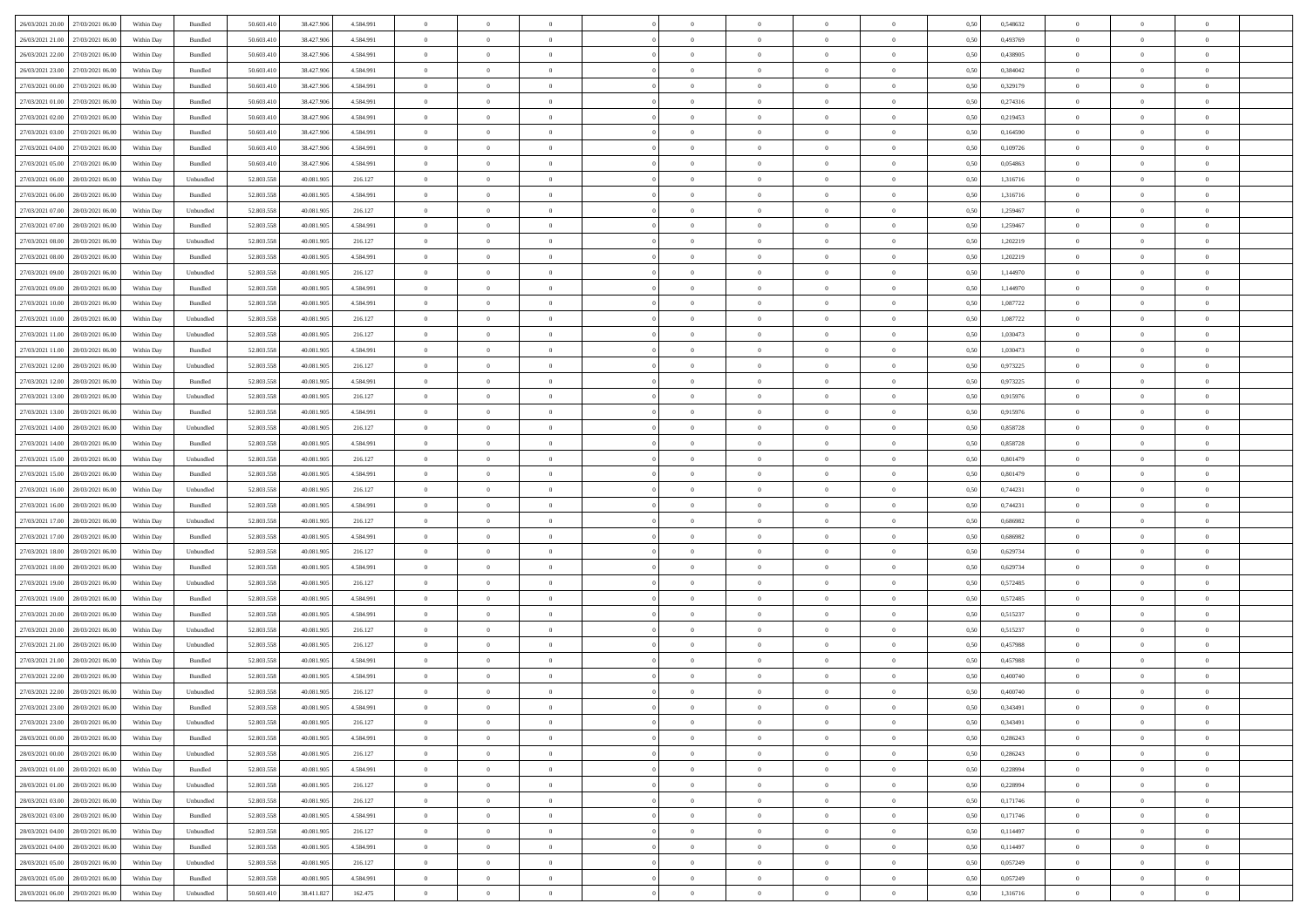| 26/03/2021 20:00 27/03/2021 06:00    | Within Day | Bundled   | 50.603.410 | 38.427.906 | 4.584.991 | $\overline{0}$ | $\overline{0}$   |                | $\overline{0}$ | $\theta$       |                | $\theta$       | 0,50 | 0,548632 | $\theta$       | $\theta$       | $\overline{0}$ |  |
|--------------------------------------|------------|-----------|------------|------------|-----------|----------------|------------------|----------------|----------------|----------------|----------------|----------------|------|----------|----------------|----------------|----------------|--|
| 26/03/2021 21:00<br>27/03/2021 06.00 | Within Day | Bundled   | 50.603.41  | 38.427.90  | 4.584.991 | $\bf{0}$       | $\bf{0}$         | $\bf{0}$       | $\bf{0}$       | $\overline{0}$ | $\overline{0}$ | $\bf{0}$       | 0,50 | 0,493769 | $\,$ 0 $\,$    | $\bf{0}$       | $\overline{0}$ |  |
| 26/03/2021 22:00<br>27/03/2021 06:00 | Within Day | Bundled   | 50.603.41  | 38.427.906 | 4.584.991 | $\overline{0}$ | $\bf{0}$         | $\overline{0}$ | $\bf{0}$       | $\overline{0}$ | $\overline{0}$ | $\bf{0}$       | 0.50 | 0.438905 | $\overline{0}$ | $\overline{0}$ | $\bf{0}$       |  |
| 26/03/2021 23:00<br>27/03/2021 06:00 |            |           |            |            |           | $\overline{0}$ | $\overline{0}$   | $\overline{0}$ | $\overline{0}$ | $\theta$       | $\overline{0}$ |                |      |          | $\,$ 0 $\,$    | $\overline{0}$ | $\overline{0}$ |  |
|                                      | Within Day | Bundled   | 50.603.410 | 38.427.906 | 4.584.991 |                |                  |                |                |                |                | $\bf{0}$       | 0,50 | 0,384042 |                |                |                |  |
| 27/03/2021 00:00<br>27/03/2021 06.00 | Within Day | Bundled   | 50.603.41  | 38.427.90  | 4.584.991 | $\bf{0}$       | $\bf{0}$         | $\bf{0}$       | $\overline{0}$ | $\bf{0}$       | $\overline{0}$ | $\bf{0}$       | 0,50 | 0,329179 | $\,$ 0 $\,$    | $\bf{0}$       | $\overline{0}$ |  |
| 27/03/2021 01:00<br>27/03/2021 06:00 | Within Day | Bundled   | 50.603.41  | 38.427.90  | 4.584.991 | $\overline{0}$ | $\bf{0}$         | $\overline{0}$ | $\bf{0}$       | $\overline{0}$ | $\overline{0}$ | $\bf{0}$       | 0.50 | 0,274316 | $\bf{0}$       | $\bf{0}$       | $\overline{0}$ |  |
| 27/03/2021 02:00<br>27/03/2021 06:00 | Within Day | Bundled   | 50.603.41  | 38.427.906 | 4.584.991 | $\overline{0}$ | $\bf{0}$         | $\overline{0}$ | $\overline{0}$ | $\overline{0}$ | $\overline{0}$ | $\bf{0}$       | 0,50 | 0,219453 | $\,$ 0 $\,$    | $\bf{0}$       | $\overline{0}$ |  |
|                                      |            |           |            |            |           |                |                  |                |                |                |                |                |      |          |                |                |                |  |
| 27/03/2021 03:00<br>27/03/2021 06.00 | Within Day | Bundled   | 50.603.41  | 38.427.90  | 4.584.991 | $\bf{0}$       | $\bf{0}$         | $\bf{0}$       | $\bf{0}$       | $\overline{0}$ | $\overline{0}$ | $\bf{0}$       | 0,50 | 0,164590 | $\,$ 0 $\,$    | $\bf{0}$       | $\overline{0}$ |  |
| 27/03/2021 04:00<br>27/03/2021 06:00 | Within Day | Bundled   | 50,603.41  | 38.427.90  | 4.584.991 | $\overline{0}$ | $\bf{0}$         | $\overline{0}$ | $\bf{0}$       | $\overline{0}$ | $\overline{0}$ | $\bf{0}$       | 0.50 | 0.109726 | $\bf{0}$       | $\overline{0}$ | $\overline{0}$ |  |
| 27/03/2021 05:00<br>27/03/2021 06:00 | Within Day | Bundled   | 50.603.410 | 38.427.906 | 4.584.991 | $\bf{0}$       | $\bf{0}$         | $\overline{0}$ | $\overline{0}$ | $\overline{0}$ | $\overline{0}$ | $\bf{0}$       | 0,50 | 0,054863 | $\,$ 0 $\,$    | $\,$ 0 $\,$    | $\overline{0}$ |  |
| 27/03/2021 06:00<br>28/03/2021 06:00 | Within Day | Unbundled | 52.803.55  | 40.081.90  | 216.127   | $\bf{0}$       | $\bf{0}$         | $\bf{0}$       | $\bf{0}$       | $\overline{0}$ | $\overline{0}$ | $\bf{0}$       | 0,50 | 1,316716 | $\,$ 0 $\,$    | $\bf{0}$       | $\overline{0}$ |  |
|                                      |            |           |            |            |           |                |                  |                |                |                |                |                |      |          |                |                |                |  |
| 27/03/2021 06:00<br>28/03/2021 06:00 | Within Day | Bundled   | 52.803.558 | 40.081.905 | 4.584.991 | $\overline{0}$ | $\bf{0}$         | $\overline{0}$ | $\overline{0}$ | $\overline{0}$ | $\overline{0}$ | $\bf{0}$       | 0.50 | 1.316716 | $\overline{0}$ | $\,$ 0 $\,$    | $\,$ 0         |  |
| 27/03/2021 07:00<br>28/03/2021 06:00 | Within Day | Unbundled | 52.803.55  | 40.081.905 | 216.127   | $\bf{0}$       | $\bf{0}$         | $\overline{0}$ | $\theta$       | $\theta$       | $\overline{0}$ | $\bf{0}$       | 0,50 | 1,259467 | $\,$ 0 $\,$    | $\,$ 0 $\,$    | $\overline{0}$ |  |
| 27/03/2021 07:00<br>28/03/2021 06:00 | Within Day | Bundled   | 52.803.55  | 40.081.90  | 4.584.991 | $\bf{0}$       | $\bf{0}$         | $\bf{0}$       | $\bf{0}$       | $\overline{0}$ | $\overline{0}$ | $\bf{0}$       | 0,50 | 1,259467 | $\,$ 0 $\,$    | $\bf{0}$       | $\overline{0}$ |  |
|                                      |            |           |            |            |           |                |                  |                |                |                |                |                |      |          |                |                |                |  |
| 27/03/2021 08:00<br>28/03/2021 06:00 | Within Day | Unbundled | 52,803,55  | 40.081.90  | 216.127   | $\overline{0}$ | $\bf{0}$         | $\overline{0}$ | $\bf{0}$       | $\overline{0}$ | $\overline{0}$ | $\bf{0}$       | 0.50 | 1.202219 | $\,$ 0 $\,$    | $\bf{0}$       | $\overline{0}$ |  |
| 27/03/2021 08:00<br>28/03/2021 06:00 | Within Day | Bundled   | 52.803.558 | 40.081.905 | 4.584.991 | $\overline{0}$ | $\bf{0}$         | $\overline{0}$ | $\overline{0}$ | $\overline{0}$ | $\overline{0}$ | $\bf{0}$       | 0,50 | 1,202219 | $\,$ 0 $\,$    | $\theta$       | $\overline{0}$ |  |
| 27/03/2021 09:00<br>28/03/2021 06:00 | Within Day | Unbundled | 52.803.55  | 40.081.90  | 216.127   | $\bf{0}$       | $\bf{0}$         | $\bf{0}$       | $\bf{0}$       | $\overline{0}$ | $\overline{0}$ | $\bf{0}$       | 0,50 | 1,144970 | $\,$ 0 $\,$    | $\bf{0}$       | $\overline{0}$ |  |
| 27/03/2021 09:00<br>28/03/2021 06:00 | Within Day | Bundled   | 52,803,55  | 40.081.905 | 4.584.991 | $\overline{0}$ | $\bf{0}$         | $\overline{0}$ | $\bf{0}$       | $\overline{0}$ | $\overline{0}$ | $\bf{0}$       | 0.50 | 1.144970 | $\bf{0}$       | $\overline{0}$ | $\bf{0}$       |  |
| 27/03/2021 10:00<br>28/03/2021 06:00 | Within Day | Bundled   | 52.803.558 | 40.081.905 | 4.584.991 | $\bf{0}$       | $\bf{0}$         | $\overline{0}$ | $\overline{0}$ | $\overline{0}$ | $\overline{0}$ | $\bf{0}$       | 0,50 | 1,087722 | $\,$ 0 $\,$    | $\bf{0}$       | $\overline{0}$ |  |
|                                      |            |           |            |            |           |                |                  |                |                |                |                |                |      |          |                |                |                |  |
| 27/03/2021 10:00<br>28/03/2021 06:00 | Within Day | Unbundled | 52.803.55  | 40.081.90  | 216.127   | $\bf{0}$       | $\bf{0}$         | $\bf{0}$       | $\bf{0}$       | $\overline{0}$ | $\overline{0}$ | $\bf{0}$       | 0,50 | 1,087722 | $\,$ 0 $\,$    | $\bf{0}$       | $\overline{0}$ |  |
| 27/03/2021 11:00<br>28/03/2021 06:00 | Within Day | Unbundled | 52.803.558 | 40.081.905 | 216.127   | $\overline{0}$ | $\bf{0}$         | $\overline{0}$ | $\overline{0}$ | $\,$ 0 $\,$    | $\overline{0}$ | $\bf{0}$       | 0.50 | 1.030473 | $\,$ 0 $\,$    | $\,$ 0 $\,$    | $\,$ 0         |  |
| 27/03/2021 11:00<br>28/03/2021 06:00 | Within Day | Bundled   | 52.803.55  | 40.081.905 | 4.584.991 | $\overline{0}$ | $\overline{0}$   | $\overline{0}$ | $\overline{0}$ | $\theta$       | $\overline{0}$ | $\bf{0}$       | 0,50 | 1,030473 | $\,$ 0 $\,$    | $\theta$       | $\overline{0}$ |  |
|                                      |            |           |            |            |           |                | $\bf{0}$         |                |                | $\overline{0}$ | $\overline{0}$ |                |      |          | $\,$ 0 $\,$    | $\bf{0}$       | $\overline{0}$ |  |
| 27/03/2021 12:00<br>28/03/2021 06:00 | Within Day | Unbundled | 52.803.55  | 40.081.90  | 216.127   | $\bf{0}$       |                  | $\bf{0}$       | $\bf{0}$       |                |                | $\bf{0}$       | 0,50 | 0,973225 |                |                |                |  |
| 27/03/2021 12:00<br>28/03/2021 06:00 | Within Day | Bundled   | 52,803,55  | 40.081.905 | 4.584.991 | $\overline{0}$ | $\bf{0}$         | $\overline{0}$ | $\bf{0}$       | $\overline{0}$ | $\overline{0}$ | $\bf{0}$       | 0.50 | 0.973225 | $\bf{0}$       | $\overline{0}$ | $\overline{0}$ |  |
| 27/03/2021 13:00<br>28/03/2021 06:00 | Within Day | Unbundled | 52.803.55  | 40.081.905 | 216.127   | $\overline{0}$ | $\overline{0}$   | $\overline{0}$ | $\overline{0}$ | $\overline{0}$ | $\overline{0}$ | $\bf{0}$       | 0,50 | 0,915976 | $\,$ 0 $\,$    | $\theta$       | $\overline{0}$ |  |
| 27/03/2021 13:00<br>28/03/2021 06:00 | Within Day | Bundled   | 52.803.55  | 40.081.90  | 4.584.991 | $\bf{0}$       | $\overline{0}$   | $\bf{0}$       | $\bf{0}$       | $\overline{0}$ | $\overline{0}$ | $\bf{0}$       | 0,50 | 0,915976 | $\,$ 0 $\,$    | $\bf{0}$       | $\overline{0}$ |  |
| 27/03/2021 14:00<br>28/03/2021 06:00 | Within Day | Unbundled | 52,803,55  | 40.081.90  | 216.127   | $\overline{0}$ | $\bf{0}$         | $\overline{0}$ | $\bf{0}$       | $\overline{0}$ | $\overline{0}$ | $\bf{0}$       | 0.50 | 0.858728 | $\bf{0}$       | $\overline{0}$ | $\overline{0}$ |  |
|                                      |            |           |            |            |           |                |                  |                |                |                |                |                |      |          |                |                |                |  |
| 27/03/2021 14:00<br>28/03/2021 06:00 | Within Day | Bundled   | 52.803.558 | 40.081.905 | 4.584.991 | $\overline{0}$ | $\bf{0}$         | $\overline{0}$ | $\overline{0}$ | $\overline{0}$ | $\overline{0}$ | $\bf{0}$       | 0,50 | 0,858728 | $\,$ 0 $\,$    | $\,$ 0 $\,$    | $\overline{0}$ |  |
| 27/03/2021 15:00<br>28/03/2021 06:00 | Within Day | Unbundled | 52.803.55  | 40.081.90  | 216.127   | $\bf{0}$       | $\bf{0}$         | $\bf{0}$       | $\bf{0}$       | $\overline{0}$ | $\bf{0}$       | $\bf{0}$       | 0,50 | 0,801479 | $\,$ 0 $\,$    | $\bf{0}$       | $\overline{0}$ |  |
| 27/03/2021 15:00<br>28/03/2021 06:00 | Within Day | Bundled   | 52.803.558 | 40.081.905 | 4.584.991 | $\overline{0}$ | $\bf{0}$         | $\overline{0}$ | $\overline{0}$ | $\overline{0}$ | $\overline{0}$ | $\bf{0}$       | 0.50 | 0.801479 | $\overline{0}$ | $\,$ 0 $\,$    | $\,$ 0         |  |
| 27/03/2021 16:00<br>28/03/2021 06:00 | Within Day | Unbundled | 52.803.558 | 40.081.90  | 216.127   | $\overline{0}$ | $\overline{0}$   | $\overline{0}$ | $\overline{0}$ | $\overline{0}$ | $\overline{0}$ | $\bf{0}$       | 0.5( | 0,744231 | $\theta$       | $\theta$       | $\overline{0}$ |  |
|                                      |            |           |            |            |           |                |                  |                |                |                |                |                |      |          |                |                |                |  |
| 27/03/2021 16:00<br>28/03/2021 06:00 | Within Day | Bundled   | 52.803.55  | 40.081.90  | 4.584.991 | $\bf{0}$       | $\bf{0}$         | $\bf{0}$       | $\bf{0}$       | $\overline{0}$ | $\overline{0}$ | $\bf{0}$       | 0,50 | 0,744231 | $\,$ 0 $\,$    | $\bf{0}$       | $\overline{0}$ |  |
| 27/03/2021 17:00<br>28/03/2021 06:00 | Within Day | Unbundled | 52,803,55  | 40.081.905 | 216.127   | $\overline{0}$ | $\bf{0}$         | $\overline{0}$ | $\bf{0}$       | $\overline{0}$ | $\overline{0}$ | $\bf{0}$       | 0.50 | 0.686982 | $\bf{0}$       | $\bf{0}$       | $\overline{0}$ |  |
| 27/03/2021 17:00<br>28/03/2021 06:00 | Within Day | Bundled   | 52.803.558 | 40.081.905 | 4.584.991 | $\overline{0}$ | $\overline{0}$   | $\overline{0}$ | $\overline{0}$ | $\overline{0}$ | $\overline{0}$ | $\bf{0}$       | 0.50 | 0,686982 | $\theta$       | $\theta$       | $\overline{0}$ |  |
| 27/03/2021 18:00<br>28/03/2021 06:00 | Within Day | Unbundled | 52.803.55  | 40.081.90  | 216.127   | $\bf{0}$       | $\bf{0}$         | $\bf{0}$       | $\bf{0}$       | $\overline{0}$ | $\overline{0}$ | $\bf{0}$       | 0,50 | 0,629734 | $\,$ 0 $\,$    | $\bf{0}$       | $\overline{0}$ |  |
| 27/03/2021 18:00<br>28/03/2021 06:00 |            | Bundled   | 52,803,55  | 40.081.905 | 4.584.991 |                | $\bf{0}$         | $\overline{0}$ |                | $\overline{0}$ | $\overline{0}$ |                | 0.50 | 0.629734 | $\bf{0}$       | $\overline{0}$ | $\bf{0}$       |  |
|                                      | Within Day |           |            |            |           | $\overline{0}$ |                  |                | $\bf{0}$       |                |                | $\bf{0}$       |      |          |                |                |                |  |
| 27/03/2021 19:00<br>28/03/2021 06:00 | Within Day | Unbundled | 52.803.558 | 40.081.90  | 216.127   | $\overline{0}$ | $\overline{0}$   | $\overline{0}$ | $\overline{0}$ | $\overline{0}$ | $\overline{0}$ | $\bf{0}$       | 0.50 | 0,572485 | $\theta$       | $\theta$       | $\overline{0}$ |  |
| 27/03/2021 19:00<br>28/03/2021 06:00 | Within Day | Bundled   | 52.803.55  | 40.081.90  | 4.584.991 | $\bf{0}$       | $\bf{0}$         | $\bf{0}$       | $\bf{0}$       | $\overline{0}$ | $\bf{0}$       | $\bf{0}$       | 0,50 | 0,572485 | $\,$ 0 $\,$    | $\bf{0}$       | $\overline{0}$ |  |
| 27/03/2021 20:00<br>28/03/2021 06:00 | Within Day | Bundled   | 52.803.558 | 40.081.905 | 4.584.991 | $\overline{0}$ | $\bf{0}$         | $\overline{0}$ | $\overline{0}$ | $\bf{0}$       | $\overline{0}$ | $\bf{0}$       | 0.50 | 0,515237 | $\,$ 0 $\,$    | $\,$ 0 $\,$    | $\,$ 0         |  |
| 27/03/2021 20:00<br>28/03/2021 06:00 | Within Day | Unbundled | 52.803.558 | 40.081.905 | 216.127   | $\overline{0}$ | $\overline{0}$   | $\overline{0}$ | $\overline{0}$ | $\overline{0}$ | $\overline{0}$ | $\bf{0}$       | 0.5( | 0,515237 | $\theta$       | $\theta$       | $\overline{0}$ |  |
|                                      |            |           |            |            |           |                |                  |                |                |                |                |                |      |          |                |                |                |  |
| 27/03/2021 21:00<br>28/03/2021 06:00 | Within Day | Unbundled | 52.803.55  | 40.081.90  | 216.127   | $\bf{0}$       | $\bf{0}$         | $\bf{0}$       | $\bf{0}$       | $\overline{0}$ | $\overline{0}$ | $\bf{0}$       | 0,50 | 0,457988 | $\,$ 0 $\,$    | $\bf{0}$       | $\overline{0}$ |  |
| 27/03/2021 21:00<br>28/03/2021 06:00 | Within Day | Bundled   | 52.803.558 | 40.081.905 | 4.584.991 | $\overline{0}$ | $\bf{0}$         | $\overline{0}$ | $\bf{0}$       | $\overline{0}$ | $\overline{0}$ | $\bf{0}$       | 0.50 | 0.457988 | $\bf{0}$       | $\bf{0}$       | $\overline{0}$ |  |
| 27/03/2021 22:00<br>28/03/2021 06:00 | Within Day | Bundled   | 52.803.558 | 40.081.90  | 4.584.991 | $\overline{0}$ | $\overline{0}$   | $\overline{0}$ | $\overline{0}$ | $\theta$       | $\overline{0}$ | $\overline{0}$ | 0.5( | 0,400740 | $\theta$       | $\theta$       | $\overline{0}$ |  |
| 27/03/2021 22:00<br>28/03/2021 06:00 | Within Day | Unbundled | 52.803.55  | 40.081.905 | 216.127   | $\bf{0}$       | $\bf{0}$         | $\bf{0}$       | $\bf{0}$       | $\bf{0}$       | $\overline{0}$ | $\bf{0}$       | 0,50 | 0,400740 | $\overline{0}$ | $\bf{0}$       | $\overline{0}$ |  |
| 27/03/2021 23:00 28/03/2021 06:00    | Within Day | Bundled   |            | 40.081.905 | 4 584 991 |                |                  |                |                |                |                |                |      |          |                |                |                |  |
|                                      |            |           | 52.803.558 |            |           | $\bf{0}$       | $\boldsymbol{0}$ |                | $\overline{0}$ | $\bf{0}$       |                | $\bf{0}$       | 0,50 | 0,343491 | $\bf{0}$       | $\bf{0}$       |                |  |
| 27/03/2021 23:00 28/03/2021 06:00    | Within Day | Unbundled | 52.803.558 | 40.081.905 | 216.127   | $\overline{0}$ | $\overline{0}$   | $\overline{0}$ | $\theta$       | $\overline{0}$ | $\overline{0}$ | $\bf{0}$       | 0,50 | 0,343491 | $\theta$       | $\theta$       | $\overline{0}$ |  |
| 28/03/2021 00:00<br>28/03/2021 06:00 | Within Day | Bundled   | 52.803.55  | 40.081.905 | 4.584.991 | $\overline{0}$ | $\bf{0}$         | $\overline{0}$ | $\overline{0}$ | $\bf{0}$       | $\overline{0}$ | $\bf{0}$       | 0,50 | 0,286243 | $\bf{0}$       | $\overline{0}$ | $\bf{0}$       |  |
| 28/03/2021 00:00 28/03/2021 06:00    | Within Day | Unbundled | 52.803.558 | 40.081.905 | 216.127   | $\overline{0}$ | $\bf{0}$         | $\overline{0}$ | $\overline{0}$ | $\mathbf{0}$   | $\overline{0}$ | $\,$ 0 $\,$    | 0.50 | 0,286243 | $\overline{0}$ | $\bf{0}$       | $\,$ 0 $\,$    |  |
|                                      |            |           |            |            |           |                | $\overline{0}$   |                |                | $\overline{0}$ |                |                |      |          |                | $\theta$       | $\overline{0}$ |  |
| 28/03/2021 01:00 28/03/2021 06:00    | Within Dav | Bundled   | 52.803.558 | 40.081.905 | 4.584.991 | $\overline{0}$ |                  | $\overline{0}$ | $\overline{0}$ |                | $\overline{0}$ | $\bf{0}$       | 0,50 | 0,228994 | $\overline{0}$ |                |                |  |
| 28/03/2021 01:00<br>28/03/2021 06:00 | Within Day | Unbundled | 52.803.558 | 40.081.905 | 216.127   | $\overline{0}$ | $\bf{0}$         | $\overline{0}$ | $\overline{0}$ | $\bf{0}$       | $\overline{0}$ | $\bf{0}$       | 0,50 | 0,228994 | $\bf{0}$       | $\overline{0}$ | $\overline{0}$ |  |
| 28/03/2021 03:00<br>28/03/2021 06:00 | Within Day | Unbundled | 52.803.558 | 40.081.905 | 216.127   | $\overline{0}$ | $\bf{0}$         | $\overline{0}$ | $\overline{0}$ | $\bf{0}$       | $\overline{0}$ | $\bf{0}$       | 0.50 | 0,171746 | $\,$ 0 $\,$    | $\overline{0}$ | $\,$ 0         |  |
| 28/03/2021 03:00 28/03/2021 06:00    | Within Dav | Bundled   | 52.803.558 | 40.081.905 | 4.584.991 | $\overline{0}$ | $\overline{0}$   | $\overline{0}$ | $\overline{0}$ | $\overline{0}$ | $\overline{0}$ | $\bf{0}$       | 0.50 | 0,171746 | $\overline{0}$ | $\theta$       | $\overline{0}$ |  |
|                                      |            |           |            |            |           |                | $\overline{0}$   |                |                | $\overline{0}$ |                |                |      |          | $\bf{0}$       | $\overline{0}$ | $\overline{0}$ |  |
| 28/03/2021 04:00<br>28/03/2021 06:00 | Within Day | Unbundled | 52.803.55  | 40.081.905 | 216.127   | $\overline{0}$ |                  | $\overline{0}$ | $\overline{0}$ |                | $\overline{0}$ | $\bf{0}$       | 0,50 | 0,114497 |                |                |                |  |
| 28/03/2021 04:00<br>28/03/2021 06:00 | Within Day | Bundled   | 52.803.558 | 40.081.905 | 4.584.991 | $\overline{0}$ | $\overline{0}$   | $\overline{0}$ | $\overline{0}$ | $\overline{0}$ | $\overline{0}$ | $\bf{0}$       | 0.50 | 0.114497 | $\mathbf{0}$   | $\bf{0}$       | $\,$ 0         |  |
| 28/03/2021 05:00 28/03/2021 06:00    | Within Dav | Unbundled | 52.803.558 | 40.081.905 | 216.127   | $\overline{0}$ | $\overline{0}$   | $\overline{0}$ | $\overline{0}$ | $\overline{0}$ | $\overline{0}$ | $\bf{0}$       | 0,50 | 0,057249 | $\overline{0}$ | $\theta$       | $\overline{0}$ |  |
| 28/03/2021 05:00<br>28/03/2021 06:00 | Within Day | Bundled   | 52.803.55  | 40.081.905 | 4.584.991 | $\overline{0}$ | $\bf{0}$         | $\overline{0}$ | $\bf{0}$       | $\overline{0}$ | $\overline{0}$ | $\bf{0}$       | 0,50 | 0,057249 | $\bf{0}$       | $\,$ 0 $\,$    | $\bf{0}$       |  |
|                                      |            |           |            |            |           |                |                  |                |                |                |                |                |      |          |                |                |                |  |
| 28/03/2021 06:00 29/03/2021 06:00    | Within Day | Unbundled | 50.603.410 | 38.411.827 | 162.475   | $\,$ 0 $\,$    | $\bf{0}$         | $\overline{0}$ | $\overline{0}$ | $\,$ 0 $\,$    | $\overline{0}$ | $\,$ 0 $\,$    | 0,50 | 1,316716 | $\overline{0}$ | $\,$ 0 $\,$    | $\,$ 0 $\,$    |  |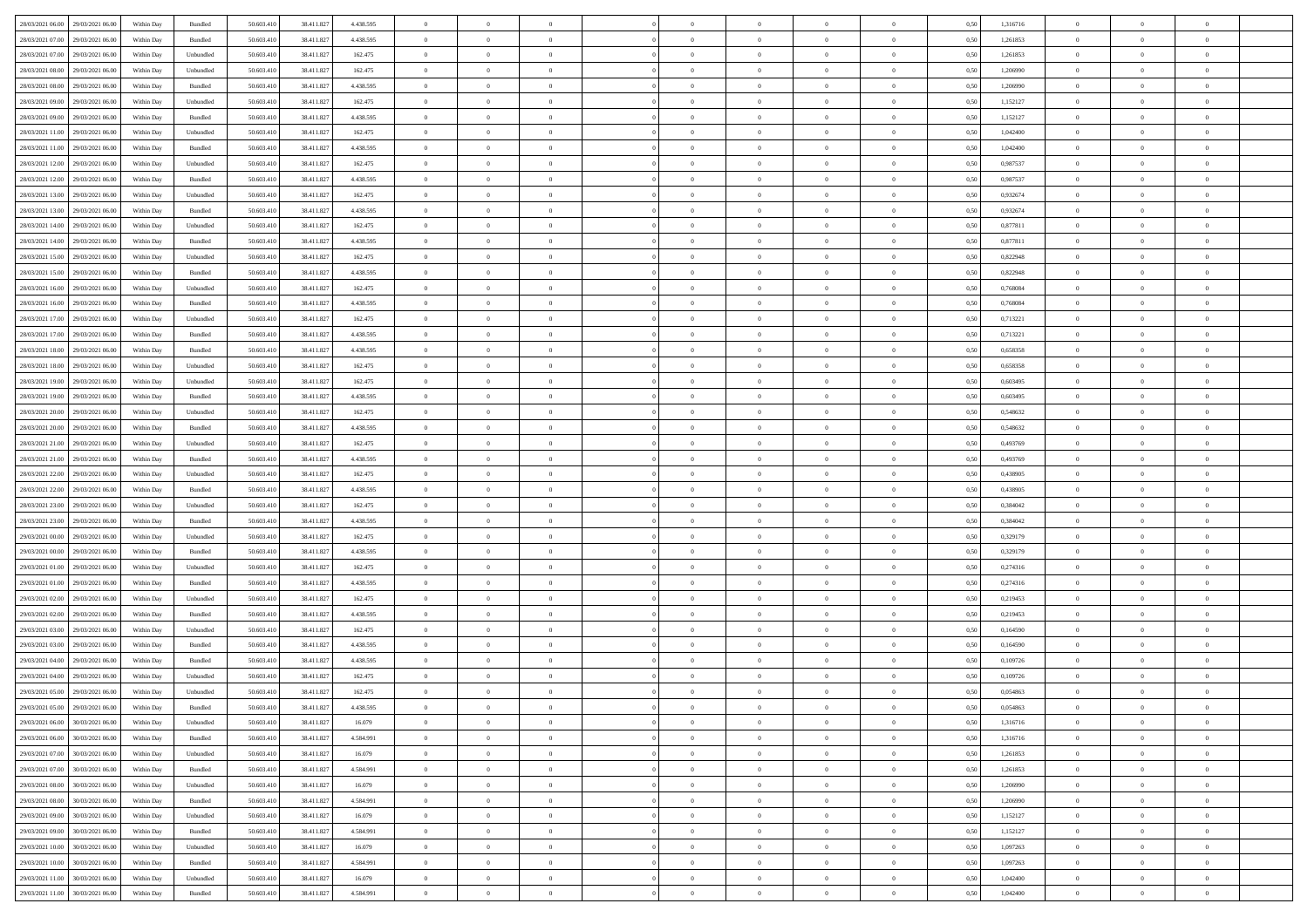|                                                    |            |                    |            |            |           | $\overline{0}$ | $\theta$       |                | $\overline{0}$ | $\theta$       |                | $\theta$       |      |          | $\theta$       | $\theta$       | $\overline{0}$ |  |
|----------------------------------------------------|------------|--------------------|------------|------------|-----------|----------------|----------------|----------------|----------------|----------------|----------------|----------------|------|----------|----------------|----------------|----------------|--|
| 28/03/2021 06:00 29/03/2021 06:00                  | Within Day | Bundled            | 50.603.410 | 38.411.827 | 4.438.595 |                |                |                |                |                |                |                | 0,50 | 1,316716 |                |                |                |  |
| 28/03/2021 07:00<br>29/03/2021 06.00               | Within Day | Bundled            | 50.603.41  | 38.411.827 | 4.438.595 | $\bf{0}$       | $\bf{0}$       | $\bf{0}$       | $\bf{0}$       | $\overline{0}$ | $\overline{0}$ | $\bf{0}$       | 0,50 | 1,261853 | $\,$ 0 $\,$    | $\bf{0}$       | $\overline{0}$ |  |
| 28/03/2021 07:00<br>29/03/2021 06:00               | Within Day | Unbundled          | 50.603.41  | 38.411.827 | 162.475   | $\overline{0}$ | $\bf{0}$       | $\overline{0}$ | $\bf{0}$       | $\bf{0}$       | $\overline{0}$ | $\bf{0}$       | 0.50 | 1,261853 | $\bf{0}$       | $\overline{0}$ | $\overline{0}$ |  |
| 28/03/2021 08:00<br>29/03/2021 06:00               | Within Day | Unbundled          | 50.603.410 | 38.411.827 | 162.475   | $\overline{0}$ | $\bf{0}$       | $\overline{0}$ | $\theta$       | $\theta$       | $\overline{0}$ | $\bf{0}$       | 0,50 | 1,206990 | $\theta$       | $\theta$       | $\overline{0}$ |  |
| 28/03/2021 08:00<br>29/03/2021 06.00               | Within Day | Bundled            | 50.603.41  | 38.411.827 | 4.438.595 | $\overline{0}$ | $\overline{0}$ | $\bf{0}$       | $\overline{0}$ | $\theta$       | $\overline{0}$ | $\bf{0}$       | 0,50 | 1,206990 | $\,$ 0 $\,$    | $\bf{0}$       | $\overline{0}$ |  |
|                                                    |            |                    |            |            |           |                |                |                |                |                |                |                |      |          |                |                |                |  |
| 28/03/2021 09:00<br>29/03/2021 06:00               | Within Day | Unbundled          | 50,603.41  | 38.411.827 | 162.475   | $\overline{0}$ | $\overline{0}$ | $\overline{0}$ | $\bf{0}$       | $\overline{0}$ | $\theta$       | $\bf{0}$       | 0.50 | 1,152127 | $\,$ 0 $\,$    | $\theta$       | $\overline{0}$ |  |
| 28/03/2021 09:00<br>29/03/2021 06:00               | Within Day | Bundled            | 50.603.41  | 38.411.827 | 4.438.595 | $\overline{0}$ | $\overline{0}$ | $\overline{0}$ | $\overline{0}$ | $\overline{0}$ | $\overline{0}$ | $\bf{0}$       | 0,50 | 1,152127 | $\,$ 0 $\,$    | $\theta$       | $\overline{0}$ |  |
| 28/03/2021 11:00<br>29/03/2021 06.00               | Within Day | Unbundled          | 50.603.41  | 38.411.82  | 162.475   | $\bf{0}$       | $\overline{0}$ | $\bf{0}$       | $\overline{0}$ | $\overline{0}$ | $\overline{0}$ | $\bf{0}$       | 0,50 | 1,042400 | $\,$ 0 $\,$    | $\bf{0}$       | $\overline{0}$ |  |
| 28/03/2021 11:00<br>29/03/2021 06:00               | Within Day | Bundled            | 50.603.41  | 38.411.827 | 4.438.595 | $\overline{0}$ | $\bf{0}$       | $\overline{0}$ | $\bf{0}$       | $\overline{0}$ | $\overline{0}$ | $\bf{0}$       | 0.50 | 1.042400 | $\bf{0}$       | $\overline{0}$ | $\overline{0}$ |  |
| 28/03/2021 12:00<br>29/03/2021 06:00               | Within Day | Unbundled          | 50.603.410 | 38.411.827 | 162.475   | $\overline{0}$ | $\bf{0}$       | $\overline{0}$ | $\overline{0}$ | $\overline{0}$ | $\overline{0}$ | $\bf{0}$       | 0,50 | 0,987537 | $\,$ 0 $\,$    | $\bf{0}$       | $\overline{0}$ |  |
| 28/03/2021 12:00<br>29/03/2021 06.00               | Within Day | Bundled            | 50.603.41  | 38.411.827 | 4.438.595 | $\bf{0}$       | $\overline{0}$ | $\bf{0}$       | $\bf{0}$       | $\bf{0}$       | $\overline{0}$ | $\bf{0}$       | 0,50 | 0,987537 | $\,$ 0 $\,$    | $\bf{0}$       | $\overline{0}$ |  |
| 28/03/2021 13:00<br>29/03/2021 06:00               | Within Day | Unbundled          | 50,603.41  | 38.411.827 | 162.475   | $\overline{0}$ | $\bf{0}$       | $\overline{0}$ | $\overline{0}$ | $\bf{0}$       | $\overline{0}$ | $\bf{0}$       | 0.50 | 0.932674 | $\bf{0}$       | $\overline{0}$ | $\bf{0}$       |  |
|                                                    |            |                    |            |            |           |                |                |                |                |                |                |                |      |          |                |                |                |  |
| 28/03/2021 13:00<br>29/03/2021 06:00               | Within Day | Bundled            | 50.603.41  | 38.411.827 | 4.438.595 | $\overline{0}$ | $\overline{0}$ | $\overline{0}$ | $\theta$       | $\theta$       | $\overline{0}$ | $\bf{0}$       | 0,50 | 0,932674 | $\,$ 0 $\,$    | $\theta$       | $\overline{0}$ |  |
| 28/03/2021 14:00<br>29/03/2021 06.00               | Within Day | Unbundled          | 50.603.41  | 38.411.827 | 162.475   | $\bf{0}$       | $\overline{0}$ | $\bf{0}$       | $\overline{0}$ | $\bf{0}$       | $\overline{0}$ | $\bf{0}$       | 0,50 | 0,877811 | $\,$ 0 $\,$    | $\bf{0}$       | $\overline{0}$ |  |
| 28/03/2021 14:00<br>29/03/2021 06:00               | Within Day | Bundled            | 50.603.41  | 38.411.827 | 4.438.595 | $\overline{0}$ | $\overline{0}$ | $\overline{0}$ | $\bf{0}$       | $\overline{0}$ | $\theta$       | $\bf{0}$       | 0.50 | 0.877811 | $\,$ 0 $\,$    | $\theta$       | $\overline{0}$ |  |
| 28/03/2021 15:00<br>29/03/2021 06:00               | Within Day | Unbundled          | 50.603.410 | 38.411.827 | 162.475   | $\overline{0}$ | $\overline{0}$ | $\overline{0}$ | $\overline{0}$ | $\theta$       | $\overline{0}$ | $\bf{0}$       | 0,50 | 0,822948 | $\theta$       | $\theta$       | $\overline{0}$ |  |
| 28/03/2021 15:00<br>29/03/2021 06.00               | Within Day | Bundled            | 50.603.41  | 38.411.827 | 4.438.595 | $\bf{0}$       | $\bf{0}$       | $\bf{0}$       | $\overline{0}$ | $\bf{0}$       | $\overline{0}$ | $\bf{0}$       | 0,50 | 0,822948 | $\,$ 0 $\,$    | $\bf{0}$       | $\overline{0}$ |  |
| 28/03/2021 16:00<br>29/03/2021 06:00               | Within Day | Unbundled          | 50,603.41  | 38.411.82  | 162.475   | $\overline{0}$ | $\bf{0}$       | $\overline{0}$ | $\bf{0}$       | $\overline{0}$ | $\overline{0}$ | $\bf{0}$       | 0.50 | 0.768084 | $\bf{0}$       | $\overline{0}$ | $\overline{0}$ |  |
| 28/03/2021 16:00<br>29/03/2021 06:00               | Within Day | Bundled            | 50.603.410 | 38.411.827 | 4.438.595 | $\overline{0}$ | $\bf{0}$       | $\overline{0}$ | $\overline{0}$ | $\overline{0}$ | $\overline{0}$ | $\bf{0}$       | 0,50 | 0,768084 | $\,$ 0 $\,$    | $\bf{0}$       | $\overline{0}$ |  |
|                                                    |            |                    |            |            |           |                |                |                |                |                |                |                |      |          |                |                |                |  |
| 28/03/2021 17:00<br>29/03/2021 06.00               | Within Day | Unbundled          | 50.603.41  | 38.411.827 | 162.475   | $\bf{0}$       | $\bf{0}$       | $\bf{0}$       | $\bf{0}$       | $\overline{0}$ | $\overline{0}$ | $\bf{0}$       | 0,50 | 0,713221 | $\,$ 0 $\,$    | $\bf{0}$       | $\overline{0}$ |  |
| 28/03/2021 17:00<br>29/03/2021 06:00               | Within Day | Bundled            | 50,603.41  | 38.411.827 | 4.438.595 | $\overline{0}$ | $\bf{0}$       | $\overline{0}$ | $\bf{0}$       | $\bf{0}$       | $\overline{0}$ | $\bf{0}$       | 0.50 | 0,713221 | $\bf{0}$       | $\overline{0}$ | $\overline{0}$ |  |
| 28/03/2021 18:00<br>29/03/2021 06:00               | Within Day | Bundled            | 50.603.41  | 38.411.827 | 4.438.595 | $\overline{0}$ | $\overline{0}$ | $\overline{0}$ | $\overline{0}$ | $\theta$       | $\overline{0}$ | $\bf{0}$       | 0,50 | 0,658358 | $\theta$       | $\theta$       | $\overline{0}$ |  |
| 28/03/2021 18:00<br>29/03/2021 06.00               | Within Day | Unbundled          | 50.603.41  | 38.411.827 | 162.475   | $\bf{0}$       | $\overline{0}$ | $\bf{0}$       | $\bf{0}$       | $\overline{0}$ | $\overline{0}$ | $\bf{0}$       | 0,50 | 0,658358 | $\,$ 0 $\,$    | $\bf{0}$       | $\overline{0}$ |  |
| 28/03/2021 19:00<br>29/03/2021 06:00               | Within Day | Unbundled          | 50.603.41  | 38.411.827 | 162.475   | $\overline{0}$ | $\overline{0}$ | $\overline{0}$ | $\bf{0}$       | $\overline{0}$ | $\theta$       | $\bf{0}$       | 0.50 | 0.603495 | $\,$ 0 $\,$    | $\theta$       | $\overline{0}$ |  |
| 28/03/2021 19:00<br>29/03/2021 06:00               | Within Day | Bundled            | 50.603.41  | 38.411.827 | 4.438.595 | $\overline{0}$ | $\overline{0}$ | $\overline{0}$ | $\overline{0}$ | $\overline{0}$ | $\overline{0}$ | $\bf{0}$       | 0,50 | 0,603495 | $\,$ 0 $\,$    | $\theta$       | $\overline{0}$ |  |
| 28/03/2021 20:00<br>29/03/2021 06.00               | Within Day | Unbundled          | 50.603.41  | 38.411.827 | 162.475   | $\bf{0}$       | $\overline{0}$ | $\bf{0}$       | $\overline{0}$ | $\bf{0}$       | $\overline{0}$ | $\bf{0}$       | 0,50 | 0,548632 | $\,$ 0 $\,$    | $\bf{0}$       | $\overline{0}$ |  |
| 28/03/2021 20:00<br>29/03/2021 06:00               | Within Day | Bundled            | 50,603.41  | 38.411.827 | 4.438.595 | $\overline{0}$ | $\bf{0}$       | $\overline{0}$ | $\bf{0}$       | $\overline{0}$ | $\overline{0}$ | $\bf{0}$       | 0.50 | 0.548632 | $\bf{0}$       | $\overline{0}$ | $\overline{0}$ |  |
| 28/03/2021 21:00<br>29/03/2021 06:00               | Within Day | Unbundled          | 50.603.410 | 38.411.827 | 162.475   | $\overline{0}$ | $\bf{0}$       | $\overline{0}$ | $\overline{0}$ | $\overline{0}$ | $\overline{0}$ | $\bf{0}$       | 0,50 | 0,493769 | $\theta$       | $\theta$       | $\overline{0}$ |  |
|                                                    |            |                    |            |            |           |                |                |                |                |                |                |                |      |          |                |                |                |  |
| 28/03/2021 21:00<br>29/03/2021 06.00               | Within Day | Bundled            | 50.603.41  | 38.411.827 | 4.438.595 | $\bf{0}$       | $\bf{0}$       | $\bf{0}$       | $\bf{0}$       | $\overline{0}$ | $\overline{0}$ | $\bf{0}$       | 0,50 | 0,493769 | $\,$ 0 $\,$    | $\bf{0}$       | $\overline{0}$ |  |
| 28/03/2021 22:00<br>29/03/2021 06:00               | Within Day | Unbundled          | 50.603.41  | 38.411.827 | 162.475   | $\overline{0}$ | $\bf{0}$       | $\overline{0}$ | $\bf{0}$       | $\bf{0}$       | $\overline{0}$ | $\bf{0}$       | 0.50 | 0.438905 | $\bf{0}$       | $\overline{0}$ | $\bf{0}$       |  |
| 28/03/2021 22:00<br>29/03/2021 06:00               | Within Day | Bundled            | 50.603.41  | 38.411.827 | 4.438.595 | $\overline{0}$ | $\overline{0}$ | $\overline{0}$ | $\overline{0}$ | $\overline{0}$ | $\overline{0}$ | $\bf{0}$       | 0.50 | 0,438905 | $\theta$       | $\theta$       | $\overline{0}$ |  |
| 28/03/2021 23:00<br>29/03/2021 06.00               | Within Day | Unbundled          | 50.603.41  | 38.411.827 | 162.475   | $\bf{0}$       | $\overline{0}$ | $\bf{0}$       | $\bf{0}$       | $\,$ 0 $\,$    | $\overline{0}$ | $\bf{0}$       | 0,50 | 0,384042 | $\,$ 0 $\,$    | $\bf{0}$       | $\overline{0}$ |  |
| 28/03/2021 23:00<br>29/03/2021 06:00               | Within Day | Bundled            | 50,603.41  | 38.411.827 | 4.438.595 | $\overline{0}$ | $\bf{0}$       | $\overline{0}$ | $\bf{0}$       | $\overline{0}$ | $\Omega$       | $\bf{0}$       | 0.50 | 0.384042 | $\,$ 0 $\,$    | $\theta$       | $\overline{0}$ |  |
| 29/03/2021 00:00<br>29/03/2021 06:00               | Within Dav | Unbundled          | 50.603.41  | 38.411.827 | 162.475   | $\overline{0}$ | $\overline{0}$ | $\overline{0}$ | $\overline{0}$ | $\theta$       | $\overline{0}$ | $\bf{0}$       | 0.50 | 0,329179 | $\theta$       | $\theta$       | $\overline{0}$ |  |
| 29/03/2021 00:00<br>29/03/2021 06.00               | Within Day | Bundled            | 50.603.41  | 38.411.827 | 4.438.595 | $\bf{0}$       | $\bf{0}$       | $\bf{0}$       | $\bf{0}$       | $\bf{0}$       | $\overline{0}$ | $\bf{0}$       | 0,50 | 0,329179 | $\,$ 0 $\,$    | $\bf{0}$       | $\overline{0}$ |  |
| 29/03/2021 01:00<br>29/03/2021 06:00               | Within Day | Unbundled          | 50,603.41  | 38.411.82  | 162.475   | $\overline{0}$ | $\bf{0}$       | $\overline{0}$ | $\bf{0}$       | $\overline{0}$ | $\overline{0}$ | $\bf{0}$       | 0.50 | 0,274316 | $\bf{0}$       | $\overline{0}$ | $\overline{0}$ |  |
|                                                    |            |                    |            |            |           |                |                |                |                |                |                |                |      |          |                |                |                |  |
| 29/03/2021 01:00<br>29/03/2021 06:00               | Within Day | Bundled            | 50.603.41  | 38.411.827 | 4.438.595 | $\overline{0}$ | $\overline{0}$ | $\overline{0}$ | $\overline{0}$ | $\overline{0}$ | $\overline{0}$ | $\bf{0}$       | 0.50 | 0,274316 | $\theta$       | $\theta$       | $\overline{0}$ |  |
| 29/03/2021 02:00<br>29/03/2021 06.00               | Within Day | Unbundled          | 50.603.41  | 38.411.827 | 162.475   | $\bf{0}$       | $\bf{0}$       | $\bf{0}$       | $\bf{0}$       | $\overline{0}$ | $\overline{0}$ | $\bf{0}$       | 0,50 | 0,219453 | $\,$ 0 $\,$    | $\bf{0}$       | $\overline{0}$ |  |
| 29/03/2021 02:00<br>29/03/2021 06:00               | Within Day | Bundled            | 50.603.41  | 38.411.827 | 4.438.595 | $\overline{0}$ | $\bf{0}$       | $\overline{0}$ | $\bf{0}$       | $\bf{0}$       | $\overline{0}$ | $\bf{0}$       | 0.50 | 0,219453 | $\bf{0}$       | $\overline{0}$ | $\overline{0}$ |  |
| 29/03/2021 03:00<br>29/03/2021 06:00               | Within Day | Unbundled          | 50.603.41  | 38.411.827 | 162.475   | $\overline{0}$ | $\overline{0}$ | $\overline{0}$ | $\overline{0}$ | $\theta$       | $\overline{0}$ | $\bf{0}$       | 0.50 | 0,164590 | $\theta$       | $\theta$       | $\overline{0}$ |  |
| 29/03/2021 03:00<br>29/03/2021 06.00               | Within Day | Bundled            | 50.603.41  | 38.411.827 | 4.438.595 | $\bf{0}$       | $\bf{0}$       | $\bf{0}$       | $\bf{0}$       | $\overline{0}$ | $\overline{0}$ | $\bf{0}$       | 0,50 | 0,164590 | $\,$ 0 $\,$    | $\bf{0}$       | $\overline{0}$ |  |
| 29/03/2021 04:00<br>29/03/2021 06.00               | Within Day | Bundled            | 50,603.41  | 38.411.82  | 4.438.595 | $\overline{0}$ | $\overline{0}$ | $\overline{0}$ | $\bf{0}$       | $\theta$       | $\Omega$       | $\bf{0}$       | 0.50 | 0.109726 | $\bf{0}$       | $\theta$       | $\overline{0}$ |  |
| 29/03/2021 04:00<br>29/03/2021 06:00               | Within Dav | Unbundled          | 50.603.41  | 38.411.827 | 162.475   | $\overline{0}$ | $\overline{0}$ | $\Omega$       | $\overline{0}$ | $\theta$       | $\overline{0}$ | $\overline{0}$ | 0.50 | 0,109726 | $\theta$       | $\theta$       | $\overline{0}$ |  |
| 29/03/2021 05:00<br>29/03/2021 06:00               | Within Day | Unbundled          | 50.603.41  | 38.411.827 | 162.475   | $\bf{0}$       | $\bf{0}$       | $\overline{0}$ | $\bf{0}$       | $\bf{0}$       | $\overline{0}$ | $\bf{0}$       | 0,50 | 0,054863 | $\overline{0}$ | $\bf{0}$       | $\overline{0}$ |  |
| $29/03/2021\;05.00 \qquad \  \  29/03/2021\;06.00$ | Within Day | $\mathbf B$ undled | 50.603.410 | 38.411.827 | 4.438.595 | $\overline{0}$ |                |                | $\Omega$       |                |                |                | 0,50 | 0.054863 | $\theta$       | $\overline{0}$ |                |  |
|                                                    |            |                    |            |            |           |                |                |                |                |                |                |                |      |          |                |                |                |  |
| 29/03/2021 06:00 30/03/2021 06:00                  | Within Day | Unbundled          | 50.603.410 | 38.411.827 | 16.079    | $\overline{0}$ | $\overline{0}$ | $\overline{0}$ | $\overline{0}$ | $\overline{0}$ | $\overline{0}$ | $\bf{0}$       | 0,50 | 1,316716 | $\theta$       | $\overline{0}$ | $\overline{0}$ |  |
| 29/03/2021 06:00<br>30/03/2021 06:00               | Within Day | Bundled            | 50.603.41  | 38.411.827 | 4.584.991 | $\overline{0}$ | $\bf{0}$       | $\overline{0}$ | $\overline{0}$ | $\bf{0}$       | $\overline{0}$ | $\bf{0}$       | 0,50 | 1,316716 | $\overline{0}$ | $\overline{0}$ | $\bf{0}$       |  |
| 29/03/2021 07:00 30/03/2021 06:00                  | Within Day | Unbundled          | 50,603.410 | 38.411.827 | 16,079    | $\overline{0}$ | $\overline{0}$ | $\overline{0}$ | $\overline{0}$ | $\mathbf{0}$   | $\overline{0}$ | $\,$ 0 $\,$    | 0.50 | 1,261853 | $\overline{0}$ | $\bf{0}$       | $\bf{0}$       |  |
| 29/03/2021 07:00 30/03/2021 06:00                  | Within Dav | Bundled            | 50.603.410 | 38.411.827 | 4.584.991 | $\overline{0}$ | $\overline{0}$ | $\overline{0}$ | $\overline{0}$ | $\overline{0}$ | $\overline{0}$ | $\bf{0}$       | 0,50 | 1,261853 | $\overline{0}$ | $\theta$       | $\overline{0}$ |  |
| 29/03/2021 08:00<br>30/03/2021 06:00               | Within Day | Unbundled          | 50.603.41  | 38.411.827 | 16.079    | $\overline{0}$ | $\bf{0}$       | $\overline{0}$ | $\overline{0}$ | $\bf{0}$       | $\overline{0}$ | $\bf{0}$       | 0,50 | 1,206990 | $\bf{0}$       | $\overline{0}$ | $\overline{0}$ |  |
| 29/03/2021 08:00<br>30/03/2021 06:00               | Within Day | Bundled            | 50.603.410 | 38.411.827 | 4.584.991 | $\overline{0}$ | $\bf{0}$       | $\overline{0}$ | $\overline{0}$ | $\bf{0}$       | $\overline{0}$ | $\bf{0}$       | 0.50 | 1.206990 | $\,$ 0 $\,$    | $\overline{0}$ | $\,$ 0         |  |
| 29/03/2021 09:00<br>30/03/2021 06:00               | Within Dav | Unbundled          | 50.603.410 | 38.411.827 | 16.079    | $\overline{0}$ | $\overline{0}$ | $\overline{0}$ | $\overline{0}$ | $\overline{0}$ | $\overline{0}$ | $\bf{0}$       | 0.50 | 1,152127 | $\overline{0}$ | $\theta$       | $\overline{0}$ |  |
|                                                    |            |                    |            |            |           |                |                |                |                |                |                |                |      |          |                |                |                |  |
| 29/03/2021 09:00<br>30/03/2021 06:00               | Within Day | Bundled            | 50.603.41  | 38.411.827 | 4.584.991 | $\overline{0}$ | $\overline{0}$ | $\overline{0}$ | $\overline{0}$ | $\overline{0}$ | $\overline{0}$ | $\bf{0}$       | 0,50 | 1,152127 | $\bf{0}$       | $\overline{0}$ | $\overline{0}$ |  |
| 29/03/2021 10:00<br>30/03/2021 06:00               | Within Day | Unbundled          | 50,603.410 | 38.411.827 | 16,079    | $\overline{0}$ | $\overline{0}$ | $\overline{0}$ | $\overline{0}$ | $\overline{0}$ | $\overline{0}$ | $\bf{0}$       | 0.50 | 1.097263 | $\mathbf{0}$   | $\bf{0}$       | $\,$ 0         |  |
| 29/03/2021 10:00<br>30/03/2021 06:00               | Within Dav | Bundled            | 50.603.410 | 38.411.827 | 4.584.991 | $\overline{0}$ | $\overline{0}$ | $\overline{0}$ | $\overline{0}$ | $\overline{0}$ | $\overline{0}$ | $\bf{0}$       | 0,50 | 1,097263 | $\overline{0}$ | $\theta$       | $\overline{0}$ |  |
| 29/03/2021 11:00<br>30/03/2021 06:00               | Within Day | Unbundled          | 50.603.41  | 38.411.827 | 16.079    | $\overline{0}$ | $\bf{0}$       | $\overline{0}$ | $\overline{0}$ | $\overline{0}$ | $\overline{0}$ | $\bf{0}$       | 0,50 | 1,042400 | $\bf{0}$       | $\overline{0}$ | $\bf{0}$       |  |
| 29/03/2021 11:00 30/03/2021 06:00                  | Within Day | Bundled            | 50.603.410 | 38.411.827 | 4.584.991 | $\,$ 0 $\,$    | $\bf{0}$       | $\overline{0}$ | $\overline{0}$ | $\,$ 0 $\,$    | $\overline{0}$ | $\,$ 0 $\,$    | 0,50 | 1,042400 | $\overline{0}$ | $\,$ 0 $\,$    | $\,$ 0 $\,$    |  |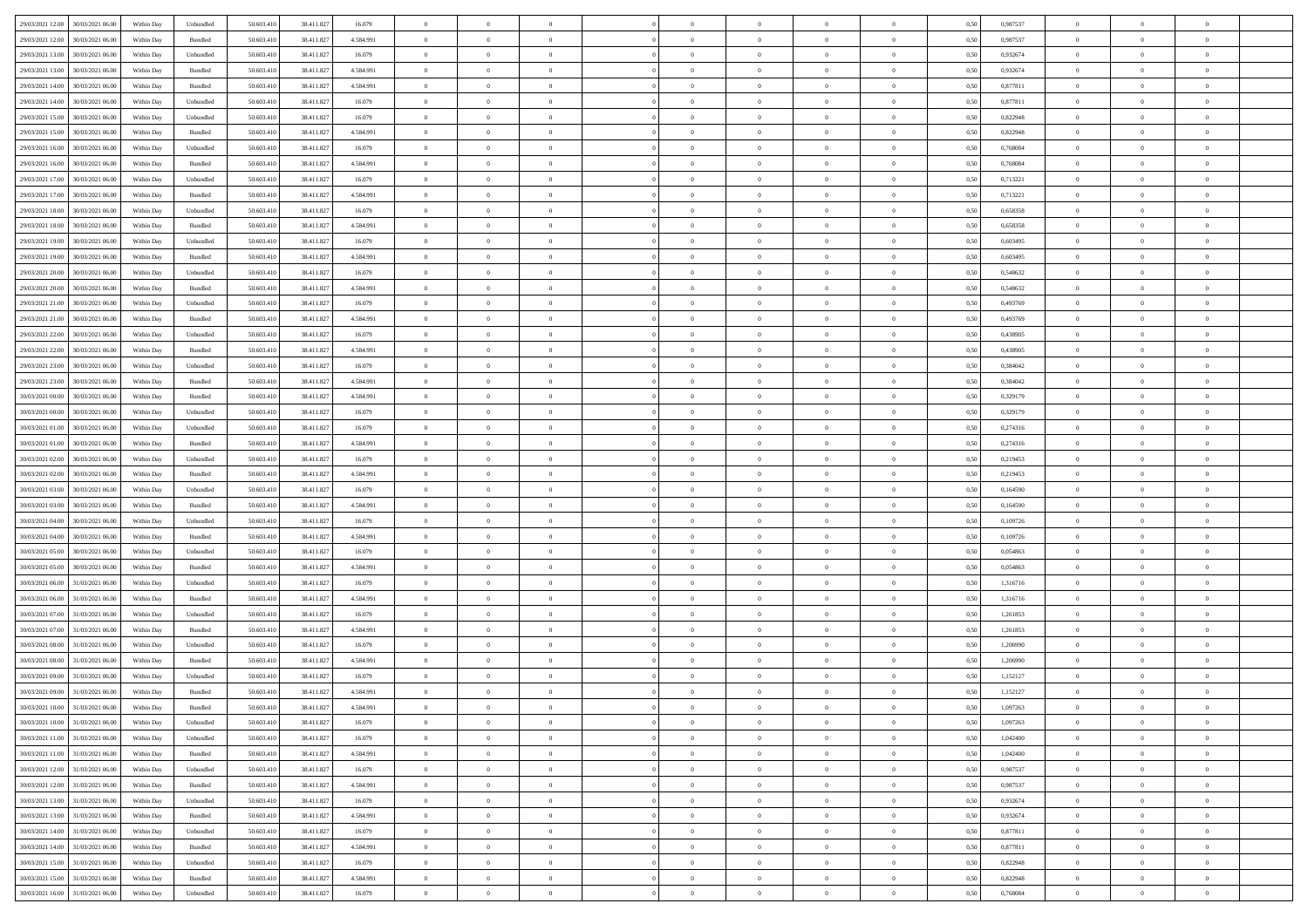| 29/03/2021 12:00 | 30/03/2021 06:00                  | Within Day | Unbundled          | 50.603.410 | 38.411.827 | 16.079    | $\overline{0}$ | $\theta$       |                | $\overline{0}$ | $\bf{0}$       | $\overline{0}$ | $\theta$       | 0,50 | 0,987537 | $\theta$       | $\theta$       | $\theta$                 |  |
|------------------|-----------------------------------|------------|--------------------|------------|------------|-----------|----------------|----------------|----------------|----------------|----------------|----------------|----------------|------|----------|----------------|----------------|--------------------------|--|
| 29/03/2021 12:00 | 30/03/2021 06.00                  | Within Day | Bundled            | 50.603.41  | 38.411.827 | 4.584.991 | $\overline{0}$ | $\overline{0}$ | $\overline{0}$ | $\overline{0}$ | $\bf{0}$       | $\bf{0}$       | $\bf{0}$       | 0,50 | 0,987537 | $\,$ 0 $\,$    | $\overline{0}$ | $\overline{0}$           |  |
|                  |                                   |            |                    |            |            |           |                |                |                |                |                |                |                |      |          |                |                |                          |  |
| 29/03/2021 13:00 | 30/03/2021 06:00                  | Within Day | Unbundled          | 50.603.410 | 38.411.827 | 16.079    | $\overline{0}$ | $\overline{0}$ | $\overline{0}$ | $\overline{0}$ | $\bf{0}$       | $\overline{0}$ | $\mathbf{0}$   | 0.50 | 0.932674 | $\mathbf{0}$   | $\,$ 0 $\,$    | $\bf{0}$                 |  |
| 29/03/2021 13:00 | 30/03/2021 06:00                  | Within Day | Bundled            | 50.603.410 | 38.411.827 | 4.584.991 | $\overline{0}$ | $\overline{0}$ | $\overline{0}$ | $\overline{0}$ | $\,0\,$        | $\overline{0}$ | $\overline{0}$ | 0,50 | 0,932674 | $\,$ 0 $\,$    | $\overline{0}$ | $\overline{0}$           |  |
| 29/03/2021 14:00 | 30/03/2021 06.00                  | Within Day | Bundled            | 50.603.41  | 38.411.827 | 4.584.991 | $\overline{0}$ | $\overline{0}$ | $\overline{0}$ | $\overline{0}$ | $\,$ 0         | $\overline{0}$ | $\bf{0}$       | 0,50 | 0,877811 | $\,$ 0 $\,$    | $\overline{0}$ | $\overline{0}$           |  |
| 29/03/2021 14:00 | 30/03/2021 06:00                  | Within Day | Unbundled          | 50.603.410 | 38.411.827 | 16.079    | $\overline{0}$ | $\overline{0}$ | $\overline{0}$ | $\overline{0}$ | $\bf{0}$       | $\overline{0}$ | $\bf{0}$       | 0.50 | 0.877811 | $\,0\,$        | $\overline{0}$ | $\overline{0}$           |  |
| 29/03/2021 15:00 | 30/03/2021 06:00                  | Within Day | Unbundled          | 50.603.410 | 38.411.827 | 16.079    | $\overline{0}$ | $\overline{0}$ | $\overline{0}$ | $\overline{0}$ | $\bf{0}$       | $\overline{0}$ | $\overline{0}$ | 0,50 | 0,822948 | $\,$ 0 $\,$    | $\theta$       | $\overline{0}$           |  |
| 29/03/2021 15:00 | 30/03/2021 06.00                  | Within Day | Bundled            | 50.603.41  | 38.411.827 | 4.584.991 | $\overline{0}$ | $\overline{0}$ | $\overline{0}$ | $\overline{0}$ | $\,$ 0         | $\bf{0}$       | $\bf{0}$       | 0,50 | 0,822948 | $\,$ 0 $\,$    | $\overline{0}$ | $\overline{0}$           |  |
| 29/03/2021 16:00 | 30/03/2021 06:00                  | Within Day | Unbundled          | 50.603.410 | 38.411.827 | 16.079    | $\overline{0}$ | $\overline{0}$ | $\overline{0}$ | $\overline{0}$ | $\bf{0}$       | $\overline{0}$ | $\mathbf{0}$   | 0.50 | 0.768084 | $\bf{0}$       | $\overline{0}$ | $\bf{0}$                 |  |
| 29/03/2021 16:00 | 30/03/2021 06:00                  | Within Day | Bundled            | 50.603.410 | 38.411.827 | 4.584.991 | $\overline{0}$ | $\overline{0}$ | $\overline{0}$ | $\overline{0}$ | $\bf{0}$       | $\overline{0}$ | $\bf{0}$       | 0,50 | 0,768084 | $\,$ 0 $\,$    | $\overline{0}$ | $\overline{0}$           |  |
| 29/03/2021 17:00 | 30/03/2021 06.00                  | Within Day | Unbundled          | 50.603.41  | 38.411.827 | 16.079    | $\bf{0}$       | $\overline{0}$ | $\overline{0}$ | $\overline{0}$ | $\,$ 0         | $\bf{0}$       | $\bf{0}$       | 0,50 | 0,713221 | $\,$ 0 $\,$    | $\overline{0}$ | $\overline{0}$           |  |
|                  |                                   |            |                    |            |            |           |                |                |                |                |                |                |                |      |          |                |                |                          |  |
| 29/03/2021 17:00 | 30/03/2021 06:00                  | Within Day | Bundled            | 50.603.410 | 38.411.827 | 4.584.991 | $\overline{0}$ | $\overline{0}$ | $\overline{0}$ | $\overline{0}$ | $\bf{0}$       | $\overline{0}$ | $\mathbf{0}$   | 0.50 | 0,713221 | $\overline{0}$ | $\,$ 0 $\,$    | $\overline{0}$           |  |
| 29/03/2021 18:00 | 30/03/2021 06:00                  | Within Day | Unbundled          | 50.603.410 | 38.411.827 | 16.079    | $\overline{0}$ | $\overline{0}$ | $\overline{0}$ | $\overline{0}$ | $\,0\,$        | $\overline{0}$ | $\overline{0}$ | 0,50 | 0,658358 | $\,$ 0 $\,$    | $\overline{0}$ | $\overline{0}$           |  |
| 29/03/2021 18:00 | 30/03/2021 06:00                  | Within Day | Bundled            | 50.603.41  | 38.411.827 | 4.584.991 | $\overline{0}$ | $\overline{0}$ | $\overline{0}$ | $\overline{0}$ | $\,$ 0         | $\bf{0}$       | $\bf{0}$       | 0,50 | 0,658358 | $\,$ 0 $\,$    | $\overline{0}$ | $\overline{0}$           |  |
| 29/03/2021 19:00 | 30/03/2021 06:00                  | Within Day | Unbundled          | 50.603.410 | 38.411.827 | 16.079    | $\overline{0}$ | $\overline{0}$ | $\overline{0}$ | $\overline{0}$ | $\bf{0}$       | $\overline{0}$ | $\bf{0}$       | 0.50 | 0.603495 | $\,0\,$        | $\overline{0}$ | $\overline{0}$           |  |
| 29/03/2021 19:00 | 30/03/2021 06:00                  | Within Day | Bundled            | 50.603.410 | 38.411.827 | 4.584.991 | $\overline{0}$ | $\overline{0}$ | $\overline{0}$ | $\overline{0}$ | $\bf{0}$       | $\overline{0}$ | $\bf{0}$       | 0,50 | 0,603495 | $\,$ 0 $\,$    | $\theta$       | $\overline{0}$           |  |
| 29/03/2021 20:00 | 30/03/2021 06.00                  | Within Day | Unbundled          | 50.603.41  | 38.411.827 | 16.079    | $\overline{0}$ | $\overline{0}$ | $\overline{0}$ | $\overline{0}$ | $\,$ 0         | $\bf{0}$       | $\bf{0}$       | 0,50 | 0,548632 | $\,$ 0 $\,$    | $\overline{0}$ | $\overline{0}$           |  |
| 29/03/2021 20:00 | 30/03/2021 06:00                  | Within Day | Bundled            | 50.603.410 | 38.411.827 | 4.584.991 | $\overline{0}$ | $\overline{0}$ | $\overline{0}$ | $\overline{0}$ | $\overline{0}$ | $\overline{0}$ | $\mathbf{0}$   | 0.50 | 0.548632 | $\bf{0}$       | $\overline{0}$ | $\bf{0}$                 |  |
| 29/03/2021 21:00 | 30/03/2021 06:00                  | Within Day | Unbundled          | 50.603.410 | 38.411.827 | 16.079    | $\overline{0}$ | $\overline{0}$ | $\overline{0}$ | $\overline{0}$ | $\bf{0}$       | $\overline{0}$ | $\bf{0}$       | 0,50 | 0,493769 | $\,$ 0 $\,$    | $\overline{0}$ | $\overline{0}$           |  |
| 29/03/2021 21:00 | 30/03/2021 06.00                  | Within Day | Bundled            | 50.603.41  | 38.411.827 | 4.584.991 | $\overline{0}$ | $\overline{0}$ | $\overline{0}$ | $\overline{0}$ | $\bf{0}$       | $\overline{0}$ | $\bf{0}$       | 0,50 | 0,493769 | $\,$ 0 $\,$    | $\overline{0}$ | $\overline{0}$           |  |
|                  |                                   |            |                    |            |            |           |                |                |                |                |                |                |                |      |          |                |                |                          |  |
| 29/03/2021 22:00 | 30/03/2021 06:00                  | Within Day | Unbundled          | 50.603.410 | 38.411.827 | 16.079    | $\overline{0}$ | $\overline{0}$ | $\overline{0}$ | $\overline{0}$ | $\bf{0}$       | $\overline{0}$ | $\mathbf{0}$   | 0.50 | 0.438905 | $\overline{0}$ | $\,$ 0 $\,$    | $\overline{0}$           |  |
| 29/03/2021 22:00 | 30/03/2021 06:00                  | Within Day | Bundled            | 50.603.410 | 38.411.827 | 4.584.991 | $\overline{0}$ | $\overline{0}$ | $\overline{0}$ | $\overline{0}$ | $\,$ 0 $\,$    | $\overline{0}$ | $\overline{0}$ | 0,50 | 0,438905 | $\,$ 0 $\,$    | $\overline{0}$ | $\overline{0}$           |  |
| 29/03/2021 23:00 | 30/03/2021 06.00                  | Within Day | Unbundled          | 50.603.41  | 38.411.827 | 16.079    | $\overline{0}$ | $\overline{0}$ | $\overline{0}$ | $\overline{0}$ | $\bf{0}$       | $\overline{0}$ | $\bf{0}$       | 0,50 | 0,384042 | $\,$ 0 $\,$    | $\overline{0}$ | $\overline{0}$           |  |
| 29/03/2021 23:00 | 30/03/2021 06:00                  | Within Day | Bundled            | 50.603.410 | 38.411.827 | 4.584.991 | $\overline{0}$ | $\overline{0}$ | $\overline{0}$ | $\overline{0}$ | $\bf{0}$       | $\overline{0}$ | $\bf{0}$       | 0.50 | 0.384042 | $\,0\,$        | $\overline{0}$ | $\overline{0}$           |  |
| 30/03/2021 00:00 | 30/03/2021 06:00                  | Within Day | Bundled            | 50.603.410 | 38.411.827 | 4.584.991 | $\overline{0}$ | $\overline{0}$ | $\overline{0}$ | $\overline{0}$ | $\bf{0}$       | $\overline{0}$ | $\overline{0}$ | 0,50 | 0,329179 | $\,$ 0 $\,$    | $\theta$       | $\overline{0}$           |  |
| 30/03/2021 00:00 | 30/03/2021 06.00                  | Within Day | Unbundled          | 50.603.41  | 38.411.827 | 16.079    | $\overline{0}$ | $\overline{0}$ | $\overline{0}$ | $\overline{0}$ | $\,$ 0         | $\overline{0}$ | $\bf{0}$       | 0,50 | 0,329179 | $\,$ 0 $\,$    | $\overline{0}$ | $\overline{0}$           |  |
| 30/03/2021 01:00 | 30/03/2021 06:00                  | Within Day | Unbundled          | 50.603.410 | 38.411.827 | 16.079    | $\overline{0}$ | $\overline{0}$ | $\overline{0}$ | $\overline{0}$ | $\bf{0}$       | $\overline{0}$ | $\mathbf{0}$   | 0.50 | 0,274316 | $\bf{0}$       | $\overline{0}$ | $\bf{0}$                 |  |
| 30/03/2021 01:00 | 30/03/2021 06:00                  | Within Day | Bundled            | 50.603.410 | 38.411.827 | 4.584.991 | $\overline{0}$ | $\overline{0}$ | $\overline{0}$ | $\overline{0}$ | $\bf{0}$       | $\overline{0}$ | $\bf{0}$       | 0,50 | 0,274316 | $\,$ 0 $\,$    | $\overline{0}$ | $\overline{0}$           |  |
| 30/03/2021 02:00 | 30/03/2021 06.00                  | Within Day | Unbundled          | 50.603.41  | 38.411.827 | 16.079    | $\overline{0}$ | $\overline{0}$ | $\overline{0}$ | $\overline{0}$ | $\bf{0}$       | $\overline{0}$ | $\bf{0}$       | 0,50 | 0,219453 | $\,$ 0 $\,$    | $\overline{0}$ | $\overline{0}$           |  |
|                  |                                   |            |                    |            |            |           |                |                |                |                |                |                |                |      |          |                |                |                          |  |
| 30/03/2021 02:00 | 30/03/2021 06:00                  | Within Day | Bundled            | 50.603.410 | 38.411.827 | 4.584.991 | $\overline{0}$ | $\overline{0}$ | $\overline{0}$ | $\overline{0}$ | $\bf{0}$       | $\overline{0}$ | $\mathbf{0}$   | 0.50 | 0,219453 | $\overline{0}$ | $\,$ 0 $\,$    | $\overline{0}$           |  |
| 30/03/2021 03:00 | 30/03/2021 06:00                  | Within Dav | Unbundled          | 50.603.410 | 38.411.827 | 16.079    | $\overline{0}$ | $\overline{0}$ | $\overline{0}$ | $\overline{0}$ | $\overline{0}$ | $\overline{0}$ | $\overline{0}$ | 0.50 | 0,164590 | $\theta$       | $\overline{0}$ | $\overline{0}$           |  |
| 30/03/2021 03:00 | 30/03/2021 06.00                  | Within Day | Bundled            | 50.603.41  | 38.411.827 | 4.584.991 | $\overline{0}$ | $\overline{0}$ | $\overline{0}$ | $\overline{0}$ | $\,$ 0         | $\bf{0}$       | $\bf{0}$       | 0,50 | 0,164590 | $\,$ 0 $\,$    | $\overline{0}$ | $\overline{0}$           |  |
| 30/03/2021 04:00 | 30/03/2021 06:00                  | Within Day | Unbundled          | 50.603.410 | 38.411.827 | 16.079    | $\overline{0}$ | $\bf{0}$       | $\overline{0}$ | $\overline{0}$ | $\bf{0}$       | $\overline{0}$ | $\bf{0}$       | 0.50 | 0.109726 | $\,0\,$        | $\overline{0}$ | $\overline{0}$           |  |
| 30/03/2021 04:00 | 30/03/2021 06:00                  | Within Dav | Bundled            | 50.603.410 | 38.411.827 | 4.584.991 | $\overline{0}$ | $\overline{0}$ | $\Omega$       | $\overline{0}$ | $\overline{0}$ | $\overline{0}$ | $\overline{0}$ | 0.50 | 0,109726 | $\theta$       | $\overline{0}$ | $\overline{0}$           |  |
| 30/03/2021 05:00 | 30/03/2021 06.00                  | Within Day | Unbundled          | 50.603.41  | 38.411.827 | 16.079    | $\overline{0}$ | $\overline{0}$ | $\overline{0}$ | $\overline{0}$ | $\,$ 0         | $\bf{0}$       | $\bf{0}$       | 0,50 | 0,054863 | $\,$ 0 $\,$    | $\overline{0}$ | $\overline{0}$           |  |
| 30/03/2021 05:00 | 30/03/2021 06:00                  | Within Day | Bundled            | 50.603.410 | 38.411.827 | 4.584.991 | $\overline{0}$ | $\overline{0}$ | $\overline{0}$ | $\overline{0}$ | $\bf{0}$       | $\overline{0}$ | $\mathbf{0}$   | 0.50 | 0.054863 | $\bf{0}$       | $\overline{0}$ | $\bf{0}$                 |  |
| 30/03/2021 06:00 | 31/03/2021 06:00                  | Within Dav | Unbundled          | 50.603.410 | 38.411.827 | 16.079    | $\overline{0}$ | $\overline{0}$ | $\overline{0}$ | $\overline{0}$ | $\overline{0}$ | $\overline{0}$ | $\overline{0}$ | 0,50 | 1,316716 | $\theta$       | $\overline{0}$ | $\overline{0}$           |  |
| 30/03/2021 06:00 | 31/03/2021 06.00                  | Within Day | Bundled            | 50.603.41  | 38.411.827 | 4.584.991 | $\overline{0}$ | $\overline{0}$ | $\overline{0}$ | $\bf{0}$       | $\bf{0}$       | $\bf{0}$       | $\bf{0}$       | 0,50 | 1,316716 | $\,$ 0 $\,$    | $\overline{0}$ | $\overline{\phantom{a}}$ |  |
|                  | 31/03/2021 06:00                  |            |                    | 50.603.410 |            | 16.079    |                |                |                |                |                | $\overline{0}$ |                | 0.50 | 1.261853 |                | $\,$ 0 $\,$    | $\overline{0}$           |  |
| 30/03/2021 07:00 |                                   | Within Day | Unbundled          |            | 38.411.827 |           | $\overline{0}$ | $\overline{0}$ | $\overline{0}$ | $\overline{0}$ | $\bf{0}$       |                | $\mathbf{0}$   |      |          | $\overline{0}$ |                |                          |  |
| 30/03/2021 07:00 | 31/03/2021 06:00                  | Within Dav | Bundled            | 50.603.410 | 38.411.827 | 4.584.991 | $\overline{0}$ | $\overline{0}$ | $\overline{0}$ | $\overline{0}$ | $\overline{0}$ | $\overline{0}$ | $\mathbf{0}$   | 0.50 | 1,261853 | $\theta$       | $\overline{0}$ | $\overline{0}$           |  |
| 30/03/2021 08:00 | 31/03/2021 06.00                  | Within Day | Unbundled          | 50.603.41  | 38.411.827 | 16.079    | $\overline{0}$ | $\overline{0}$ | $\overline{0}$ | $\overline{0}$ | $\bf{0}$       | $\bf{0}$       | $\bf{0}$       | 0,50 | 1,206990 | $\,$ 0 $\,$    | $\overline{0}$ | $\overline{0}$           |  |
| 30/03/2021 08:00 | 31/03/2021 06:00                  | Within Day | Bundled            | 50.603.410 | 38.411.827 | 4.584.991 | $\overline{0}$ | $\overline{0}$ | $\overline{0}$ | $\overline{0}$ | $\bf{0}$       | $\overline{0}$ | $\bf{0}$       | 0.50 | 1.206990 | $\,0\,$        | $\overline{0}$ | $\overline{0}$           |  |
| 30/03/2021 09:00 | 31/03/2021 06:00                  | Within Dav | Unbundled          | 50.603.410 | 38.411.827 | 16.079    | $\overline{0}$ | $\theta$       | $\Omega$       | $\Omega$       | $\bf{0}$       | $\overline{0}$ | $\overline{0}$ | 0.50 | 1,152127 | $\theta$       | $\overline{0}$ | $\overline{0}$           |  |
| 30/03/2021 09:00 | 31/03/2021 06:00                  | Within Day | Bundled            | 50.603.410 | 38.411.827 | 4.584.991 | $\overline{0}$ | $\overline{0}$ | $\overline{0}$ | $\bf{0}$       | $\,$ 0         | $\bf{0}$       | $\bf{0}$       | 0,50 | 1,152127 | $\bf{0}$       | $\overline{0}$ | $\overline{0}$           |  |
| 30/03/2021 10:00 | 31/03/2021 06:00                  | Within Day | $\mathbf B$ undled | 50.603.410 | 38.411.827 | 4 584 991 | $\bf{0}$       | $\bf{0}$       |                |                | $\theta$       |                |                | 0.50 | 1,097263 | $\,0\,$        | $\theta$       |                          |  |
| 30/03/2021 10:00 | 31/03/2021 06:00                  | Within Day | Unbundled          | 50.603.410 | 38.411.827 | 16.079    | $\Omega$       | $\overline{0}$ | $\overline{0}$ | $\overline{0}$ | $\overline{0}$ | $\overline{0}$ | $\mathbf{0}$   | 0,50 | 1,097263 | $\theta$       | $\theta$       | $\overline{0}$           |  |
| 30/03/2021 11:00 | 31/03/2021 06:00                  | Within Day | Unbundled          | 50.603.410 | 38.411.827 | 16.079    | $\overline{0}$ | $\overline{0}$ | $\overline{0}$ | $\overline{0}$ | $\overline{0}$ | $\overline{0}$ | $\mathbf{0}$   | 0,50 | 1,042400 | $\overline{0}$ | $\overline{0}$ | $\bf{0}$                 |  |
| 30/03/2021 11:00 | 31/03/2021 06:00                  | Within Day | Bundled            | 50.603.410 | 38.411.827 | 4.584.991 | $\overline{0}$ | $\overline{0}$ | $\overline{0}$ | $\overline{0}$ | $\overline{0}$ | $\overline{0}$ | $\mathbf{0}$   | 0.50 | 1.042400 | $\overline{0}$ | $\bf{0}$       | $\bf{0}$                 |  |
|                  |                                   |            |                    |            |            |           |                |                |                |                |                |                |                |      |          |                |                |                          |  |
| 30/03/2021 12:00 | 31/03/2021 06:00                  | Within Day | Unbundled          | 50.603.410 | 38.411.827 | 16.079    | $\overline{0}$ | $\overline{0}$ | $\overline{0}$ | $\overline{0}$ | $\overline{0}$ | $\overline{0}$ | $\overline{0}$ | 0.50 | 0,987537 | $\overline{0}$ | $\theta$       | $\overline{0}$           |  |
| 30/03/2021 12:00 | 31/03/2021 06:00                  | Within Day | Bundled            | 50.603.410 | 38.411.827 | 4.584.991 | $\overline{0}$ | $\overline{0}$ | $\overline{0}$ | $\overline{0}$ | $\bf{0}$       | $\overline{0}$ | $\bf{0}$       | 0,50 | 0,987537 | $\bf{0}$       | $\overline{0}$ | $\bf{0}$                 |  |
| 30/03/2021 13:00 | 31/03/2021 06:00                  | Within Day | Unbundled          | 50.603.410 | 38.411.827 | 16.079    | $\overline{0}$ | $\overline{0}$ | $\overline{0}$ | $\overline{0}$ | $\bf{0}$       | $\overline{0}$ | $\mathbf{0}$   | 0.50 | 0.932674 | $\,$ 0 $\,$    | $\overline{0}$ | $\overline{0}$           |  |
| 30/03/2021 13:00 | 31/03/2021 06:00                  | Within Day | Bundled            | 50.603.410 | 38.411.827 | 4.584.991 | $\overline{0}$ | $\overline{0}$ | $\overline{0}$ | $\overline{0}$ | $\overline{0}$ | $\overline{0}$ | $\overline{0}$ | 0,50 | 0,932674 | $\overline{0}$ | $\theta$       | $\overline{0}$           |  |
| 30/03/2021 14:00 | 31/03/2021 06:00                  | Within Day | Unbundled          | 50.603.41  | 38.411.827 | 16.079    | $\overline{0}$ | $\,$ 0         | $\overline{0}$ | $\bf{0}$       | $\,$ 0 $\,$    | $\overline{0}$ | $\bf{0}$       | 0,50 | 0,877811 | $\,$ 0 $\,$    | $\overline{0}$ | $\overline{0}$           |  |
| 30/03/2021 14:00 | 31/03/2021 06:00                  | Within Day | Bundled            | 50.603.410 | 38.411.827 | 4.584.991 | $\overline{0}$ | $\overline{0}$ | $\overline{0}$ | $\overline{0}$ | $\bf{0}$       | $\overline{0}$ | $\mathbf{0}$   | 0.50 | 0.877811 | $\mathbf{0}$   | $\bf{0}$       | $\bf{0}$                 |  |
| 30/03/2021 15:00 | 31/03/2021 06:00                  | Within Day | Unbundled          | 50.603.410 | 38.411.827 | 16.079    | $\overline{0}$ | $\overline{0}$ | $\overline{0}$ | $\overline{0}$ | $\overline{0}$ | $\overline{0}$ | $\overline{0}$ | 0,50 | 0,822948 | $\overline{0}$ | $\overline{0}$ | $\overline{0}$           |  |
| 30/03/2021 15:00 | 31/03/2021 06:00                  | Within Day | Bundled            | 50.603.41  | 38.411.827 | 4.584.991 | $\overline{0}$ | $\bf{0}$       | $\overline{0}$ | $\bf{0}$       | $\bf{0}$       | $\overline{0}$ | $\bf{0}$       | 0,50 | 0,822948 | $\overline{0}$ | $\overline{0}$ | $\bf{0}$                 |  |
|                  |                                   |            |                    |            |            |           |                |                |                |                |                |                |                |      |          |                |                |                          |  |
|                  | 30/03/2021 16:00 31/03/2021 06:00 | Within Day | Unbundled          | 50.603.410 | 38.411.827 | 16.079    | $\overline{0}$ | $\,$ 0 $\,$    | $\overline{0}$ | $\overline{0}$ | $\,$ 0 $\,$    | $\overline{0}$ | $\,$ 0 $\,$    | 0,50 | 0,768084 | $\overline{0}$ | $\,$ 0 $\,$    | $\,$ 0 $\,$              |  |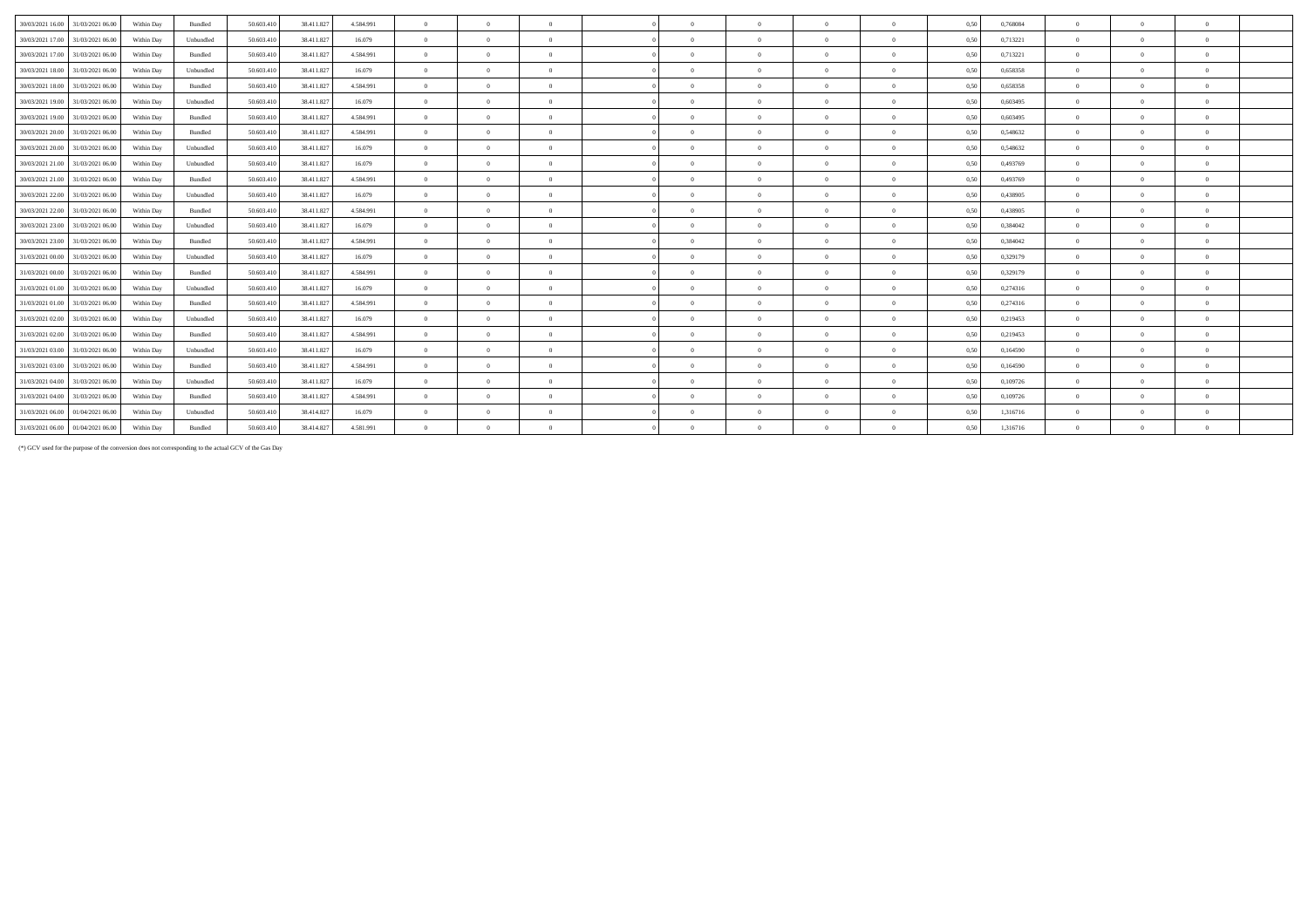| 30/03/2021 16:00<br>31/03/2021 06:00 | Within Day | Bundled   | 50.603.410 | 38.411.827 | 4.584.991 | $\overline{0}$ | $\theta$       | $\overline{0}$ | $\Omega$       | $\Omega$   | $\Omega$       | $\overline{0}$ | 0,50 | 0,768084 | $\Omega$       | $\Omega$ | $\theta$       |  |
|--------------------------------------|------------|-----------|------------|------------|-----------|----------------|----------------|----------------|----------------|------------|----------------|----------------|------|----------|----------------|----------|----------------|--|
| 30/03/2021 17:00<br>31/03/2021 06:00 | Within Day | Unbundled | 50.603.410 | 38.411.82  | 16.079    | $\overline{0}$ | $\Omega$       | $\overline{0}$ | $\Omega$       | $\Omega$   | $\overline{0}$ | $\overline{0}$ | 0,50 | 0,713221 | $\Omega$       |          | $\bf{0}$       |  |
| 30/03/2021 17:00<br>31/03/2021 06:00 | Within Day | Bundled   | 50.603.410 | 38.411.82  | 4.584.991 | $\overline{0}$ | $\Omega$       | $\Omega$       | $\Omega$       |            | $\Omega$       | $\theta$       | 0,50 | 0,713221 | $\Omega$       |          | $\Omega$       |  |
| 30/03/2021 18:00 31/03/2021 06:00    | Within Day | Unbundled | 50.603.410 | 38.411.82  | 16.079    | $\overline{0}$ | $\theta$       | $\overline{0}$ | $\Omega$       | $\Omega$   | $\Omega$       | $\overline{0}$ | 0,50 | 0,658358 | $\theta$       | $\Omega$ | $\theta$       |  |
| 30/03/2021 18:00<br>31/03/2021 06:00 | Within Day | Bundled   | 50.603.410 | 38.411.827 | 4.584.991 | $\overline{0}$ | $\overline{0}$ | $\overline{0}$ | $\theta$       | $\Omega$   | $\theta$       | $\overline{0}$ | 0.50 | 0.658358 | $\Omega$       | $\Omega$ | $\theta$       |  |
| 30/03/2021 19:00<br>31/03/2021 06:00 | Within Day | Unbundled | 50.603.410 | 38.411.82  | 16.079    | $\overline{0}$ | $\Omega$       | $\overline{0}$ | $\theta$       | $\Omega$   | $\Omega$       | $\overline{0}$ | 0.50 | 0.603495 | $\theta$       |          | $\theta$       |  |
| 30/03/2021 19:00<br>31/03/2021 06:00 | Within Day | Bundled   | 50.603.410 | 38.411.827 | 4.584.991 | $\overline{0}$ | $\overline{0}$ | $\overline{0}$ | $\overline{0}$ | $\Omega$   | $\overline{0}$ | $\overline{0}$ | 0,50 | 0.603495 | $\overline{0}$ | $\Omega$ | $\overline{0}$ |  |
| 30/03/2021 20:00 31/03/2021 06:00    | Within Day | Bundled   | 50.603.410 | 38.411.82  | 4.584.991 | $\Omega$       | $\Omega$       | $\Omega$       | $\Omega$       | $\Omega$   | $\Omega$       | $\overline{0}$ | 0.50 | 0,548632 | $\Omega$       | $\Omega$ | $\theta$       |  |
| 30/03/2021 20:00<br>31/03/2021 06:00 | Within Day | Unbundled | 50.603.410 | 38.411.82  | 16.079    | $\theta$       | $\theta$       | $\overline{0}$ | $\Omega$       |            | $\Omega$       | $\theta$       | 0,50 | 0,548632 | $\Omega$       |          | $\Omega$       |  |
| 30/03/2021 21:00<br>31/03/2021 06:00 | Within Day | Unbundled | 50.603.410 | 38.411.82  | 16.079    | $\overline{0}$ | $\theta$       | $\Omega$       | $\theta$       |            | $\Omega$       | $\theta$       | 0,50 | 0.493769 | $\theta$       | $\Omega$ | $\theta$       |  |
| 30/03/2021 21:00<br>31/03/2021 06:00 | Within Day | Bundled   | 50.603.410 | 38.411.827 | 4.584.991 | $\overline{0}$ | $\theta$       | $\overline{0}$ | $\Omega$       | $\Omega$   | $\Omega$       | $\overline{0}$ | 0,50 | 0.493769 | $\theta$       | $\Omega$ | $\theta$       |  |
| 30/03/2021 22:00<br>31/03/2021 06:00 | Within Day | Unbundled | 50.603.410 | 38.411.827 | 16.079    | $\overline{0}$ | $\sqrt{0}$     | $\overline{0}$ | $\overline{0}$ | $\Omega$   | $\Omega$       | $\overline{0}$ | 0.50 | 0.438905 | $\Omega$       | $\Omega$ | $\theta$       |  |
| 30/03/2021 22:00<br>31/03/2021 06:00 | Within Day | Bundled   | 50.603.410 | 38.411.827 | 4.584.991 | $\overline{0}$ | $\theta$       | $\overline{0}$ | $\theta$       | $\Omega$   | $\Omega$       | $\overline{0}$ | 0,50 | 0,438905 | $\theta$       | $\Omega$ | $\theta$       |  |
| 30/03/2021 23:00<br>31/03/2021 06:00 | Within Day | Unbundled | 50.603.410 | 38.411.82  | 16.079    | $\overline{0}$ | $\theta$       | $\overline{0}$ | $\Omega$       |            | $\Omega$       | $\overline{0}$ | 0,50 | 0,384042 | $\theta$       | $\Omega$ | $\theta$       |  |
| 30/03/2021 23:00<br>31/03/2021 06:00 | Within Day | Bundled   | 50.603.410 | 38.411.82  | 4.584.991 | $\theta$       | $\theta$       | $\Omega$       | $\Omega$       | $\sqrt{2}$ | $\Omega$       | $\overline{0}$ | 0,50 | 0,384042 | $\theta$       | $\Omega$ | $\theta$       |  |
| 31/03/2021 00:00<br>31/03/2021 06:00 | Within Day | Unbundled | 50.603.410 | 38.411.827 | 16.079    | $\overline{0}$ | $\overline{0}$ | $\overline{0}$ | $\Omega$       |            | $\overline{0}$ | $\overline{0}$ | 0,50 | 0,329179 | $\Omega$       | $\Omega$ | $\overline{0}$ |  |
| 31/03/2021 06:00<br>31/03/2021 00:00 | Within Day | Bundled   | 50.603.41  | 38.411.82  | 4.584.991 | $\overline{0}$ | $\Omega$       | $\Omega$       | $\Omega$       |            | $\Omega$       | $\theta$       | 0.50 | 0,329179 | $\Omega$       |          | $\Omega$       |  |
| 31/03/2021 01:00<br>31/03/2021 06:00 | Within Day | Unbundled | 50.603.410 | 38.411.82  | 16.079    | $\overline{0}$ | $\overline{0}$ | $\overline{0}$ | $\Omega$       | $\Omega$   | $\overline{0}$ | $\overline{0}$ | 0,50 | 0,274316 | $\overline{0}$ | $\Omega$ | $\bf{0}$       |  |
| 31/03/2021 01:00<br>31/03/2021 06:00 | Within Day | Bundled   | 50.603.410 | 38.411.82  | 4.584.991 | $\overline{0}$ | $\theta$       | $\overline{0}$ | $\overline{0}$ | $\Omega$   | $\theta$       | $\overline{0}$ | 0.50 | 0.274316 | $\theta$       | $\Omega$ | $\overline{0}$ |  |
| 31/03/2021 02:00<br>31/03/2021 06:00 | Within Day | Unbundled | 50.603.410 | 38.411.82  | 16.079    | $\overline{0}$ | $\Omega$       | $\Omega$       | $\Omega$       |            | $\Omega$       | $\theta$       | 0,50 | 0,219453 | $\Omega$       |          | $\Omega$       |  |
| 31/03/2021 02:00<br>31/03/2021 06:00 | Within Day | Bundled   | 50.603.410 | 38.411.82  | 4.584.991 | $\overline{0}$ | $\theta$       | $\overline{0}$ | $\overline{0}$ | $\Omega$   | $\Omega$       | $\overline{0}$ | 0.50 | 0.219453 | $\theta$       | $\Omega$ | $\theta$       |  |
| 31/03/2021 03:00<br>31/03/2021 06:00 | Within Day | Unbundled | 50.603.41  | 38.411.82  | 16.079    | $\overline{0}$ | $\Omega$       | $\overline{0}$ | $\Omega$       |            | $\overline{0}$ | $\overline{0}$ | 0.50 | 0,164590 | $\Omega$       | $\Omega$ | $\theta$       |  |
| 31/03/2021 03:00<br>31/03/2021 06:00 | Within Day | Bundled   | 50.603.410 | 38.411.827 | 4.584.991 | $\overline{0}$ | $\overline{0}$ | $\overline{0}$ | $\theta$       | $\theta$   | $\theta$       | $\overline{0}$ | 0.50 | 0,164590 | $\theta$       | $\Omega$ | $\theta$       |  |
| 31/03/2021 04:00<br>31/03/2021 06:00 | Within Day | Unbundled | 50.603.410 | 38.411.82  | 16.079    | $\theta$       | $\theta$       | $\Omega$       | $\Omega$       |            | $\Omega$       | $\theta$       | 0,50 | 0,109726 | $\Omega$       | $\Omega$ | $\theta$       |  |
| 31/03/2021 04:00<br>31/03/2021 06:00 | Within Day | Bundled   | 50.603.410 | 38.411.82  | 4.584.991 | $\overline{0}$ | $\overline{0}$ | $\Omega$       | $\Omega$       | $\Omega$   | $\overline{0}$ | $\overline{0}$ | 0.50 | 0.109726 | $\overline{0}$ | $\Omega$ | $\theta$       |  |
| 31/03/2021 06:00<br>01/04/2021 06:00 | Within Day | Unbundled | 50.603.410 | 38.414.82  | 16.079    | $\overline{0}$ | $\Omega$       | $\Omega$       | $\Omega$       |            | $\Omega$       | $\Omega$       | 0.50 | 1,316716 | $\Omega$       | $\Omega$ | $\Omega$       |  |
| 31/03/2021 06:00 01/04/2021 06:00    | Within Day | Bundled   | 50.603.410 | 38.414.82  | 4.581.991 | $\Omega$       | $\Omega$       | $\overline{0}$ | $\overline{0}$ |            | $\Omega$       | $\Omega$       | 0.50 | 1,316716 |                |          | $\Omega$       |  |
|                                      |            |           |            |            |           |                |                |                |                |            |                |                |      |          |                |          |                |  |

(\*) GCV used for the purpose of the conversion does not corresponding to the actual GCV of the Gas Day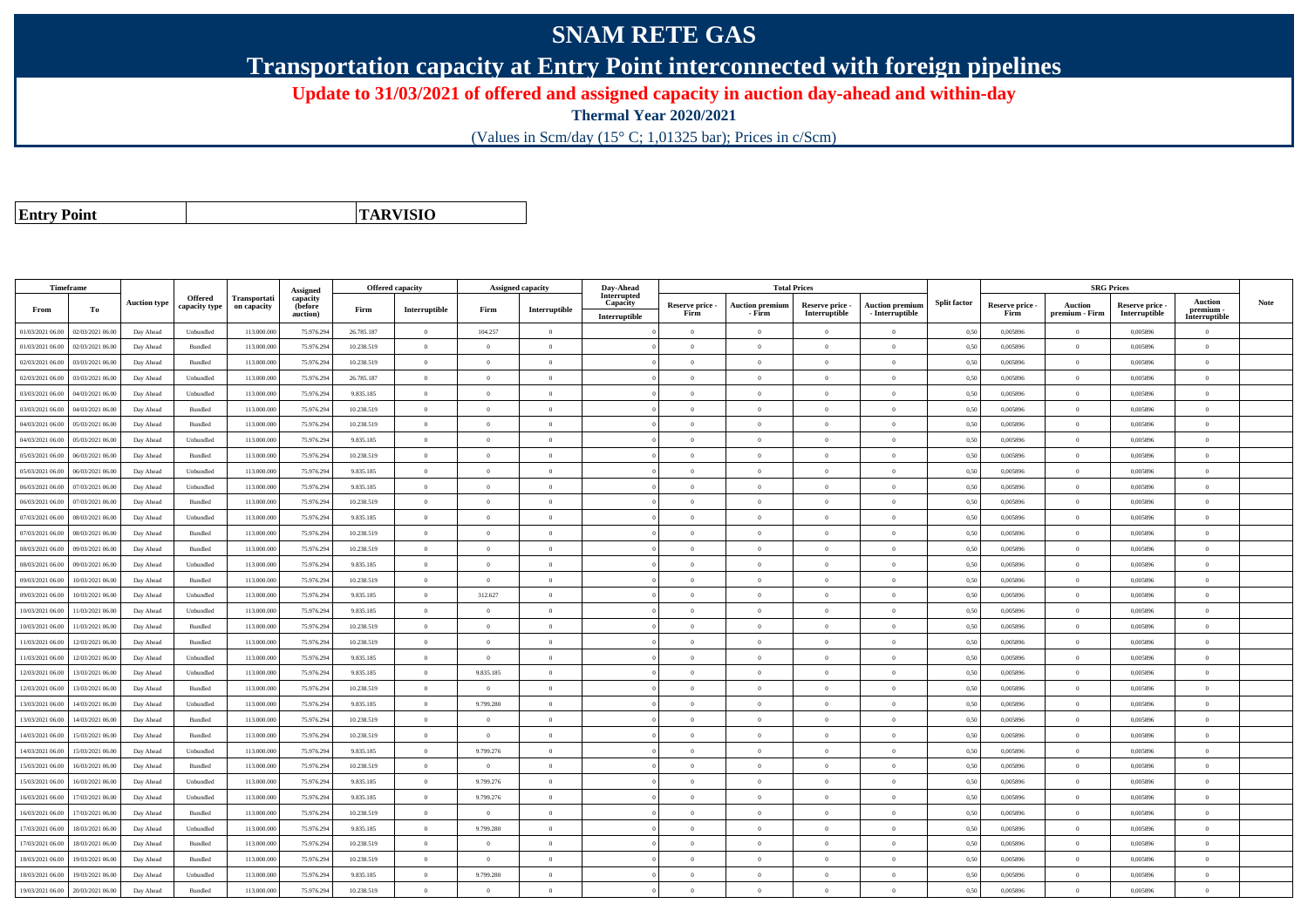## **SNAM RETE GAS**

**Transportation capacity at Entry Point interconnected with foreign pipelines**

**Update to 31/03/2021 of offered and assigned capacity in auction day-ahead and within-day**

**Thermal Year 2020/2021**

(Values in Scm/day (15° C; 1,01325 bar); Prices in c/Scm)

**Entry Point**

**TARVISIO**

|                  | Timeframe        |                     |                |              |                      |            | Offered capacity |                | <b>Assigned capacity</b> | Day-Ahead               |                         | <b>Total Prices</b>              |                                  |                                           |                     |                         | <b>SRG Prices</b>                |                                  |                          |             |
|------------------|------------------|---------------------|----------------|--------------|----------------------|------------|------------------|----------------|--------------------------|-------------------------|-------------------------|----------------------------------|----------------------------------|-------------------------------------------|---------------------|-------------------------|----------------------------------|----------------------------------|--------------------------|-------------|
|                  |                  | <b>Auction type</b> | Offered        | Transportati | Assigned<br>capacity |            |                  |                |                          | Interrupted<br>Capacity |                         |                                  |                                  |                                           | <b>Split factor</b> |                         |                                  |                                  | Auction                  | <b>Note</b> |
| From             | To               |                     | capacity type  | on capacity  | (before<br>auction)  | Firm       | Interruptible    | Firm           | Interruptible            | Interruptible           | Reserve price -<br>Firm | <b>Auction premium</b><br>- Firm | Reserve price -<br>Interruptible | <b>Auction premiun</b><br>- Interruptible |                     | Reserve price -<br>Firm | <b>Auction</b><br>premium - Firm | Reserve price -<br>Interruptible | premium<br>Interruptible |             |
| 01/03/2021 06:00 | 02/03/2021 06:00 | Day Ahead           | Unbundled      | 113.000.000  | 75.976.29            | 26.785.187 | $\overline{0}$   | 104.257        | $\overline{0}$           |                         | $\Omega$                | $\theta$                         | $\Omega$                         | $\theta$                                  | 0.50                | 0.005896                | $\theta$                         | 0.005896                         | $\Omega$                 |             |
| 01/03/2021 06:00 | 02/03/2021 06:00 | Day Ahead           | Bundled        | 113.000.000  | 75.976.29            | 10.238.519 | $\overline{0}$   | $\Omega$       | $\overline{0}$           |                         | $\Omega$                | $\theta$                         | $\overline{0}$                   | $\theta$                                  | 0,50                | 0,005896                | $\overline{0}$                   | 0,005896                         | $\bf{0}$                 |             |
| 02/03/2021 06:00 | 03/03/2021 06:00 | Day Ahead           | <b>Bundled</b> | 113,000,000  | 75.976.294           | 10.238.519 | $\overline{0}$   | $\theta$       | $\Omega$                 |                         | $\Omega$                | $\sqrt{2}$                       | $\Omega$                         | $\Omega$                                  | 0.50                | 0.005896                | $\overline{0}$                   | 0.005896                         | $\Omega$                 |             |
| 02/03/2021 06:00 | 03/03/2021 06:00 | Day Ahead           | Unbundled      | 113,000,000  | 75.976.29            | 26.785.187 | $\overline{0}$   | $\overline{0}$ | $\overline{0}$           |                         | $\overline{0}$          | $\theta$                         | $\overline{0}$                   | $\overline{0}$                            | 0.50                | 0.005896                | $\overline{0}$                   | 0.005896                         | $\Omega$                 |             |
| 03/03/2021 06:00 | 04/03/2021 06:00 | Day Ahead           | Unbundled      | 113.000.000  | 75.976.294           | 9.835.185  | $\overline{0}$   | $\overline{0}$ | $\overline{0}$           |                         | $\overline{0}$          | $\bf{0}$                         | $\overline{0}$                   | $\mathbf{0}$                              | 0,50                | 0,005896                | $\overline{0}$                   | 0,005896                         | $\bf{0}$                 |             |
| 03/03/2021 06:00 | 04/03/2021 06:00 | Day Ahead           | Bundled        | 113,000,000  | 75.976.29            | 10.238.519 | $\overline{0}$   | $\theta$       | $\theta$                 |                         | $\Omega$                | $\theta$                         | $\overline{0}$                   | $\Omega$                                  | 0.50                | 0.005896                | $\overline{0}$                   | 0.005896                         | $\Omega$                 |             |
| 04/03/2021 06:00 | 05/03/2021 06:00 | Day Ahead           | Bundled        | 113.000.000  | 75.976.29            | 10.238.519 | $\overline{0}$   | $\theta$       | $\Omega$                 |                         | $\Omega$                |                                  | $\Omega$                         | $\Omega$                                  | 0.50                | 0,005896                | $\Omega$                         | 0.005896                         | $\Omega$                 |             |
| 04/03/2021 06:00 | 05/03/2021 06:00 | Day Ahead           | Unbundled      | 113.000.000  | 75.976.294           | 9.835.185  | $\overline{0}$   | $\Omega$       | $\Omega$                 |                         | $\Omega$                | $\theta$                         | $\Omega$                         | $\Omega$                                  | 0,50                | 0,005896                | $\Omega$                         | 0,005896                         | $\Omega$                 |             |
| 05/03/2021 06:00 | 06/03/2021 06:00 | Day Ahead           | <b>Bundled</b> | 113,000,000  | 75.976.294           | 10.238.519 | $\overline{0}$   | $\theta$       | $\Omega$                 |                         | $\Omega$                | $\theta$                         | $\Omega$                         | $\theta$                                  | 0.50                | 0.005896                | $\overline{0}$                   | 0.005896                         | $\Omega$                 |             |
| 05/03/2021 06:00 | 06/03/2021 06.00 | Day Ahead           | Unbundled      | 113.000.000  | 75.976.29            | 9.835.185  | $\overline{0}$   | $\overline{0}$ | $\overline{0}$           |                         | $\theta$                |                                  | $\theta$                         | $\theta$                                  | 0,50                | 0,005896                | $\overline{0}$                   | 0,005896                         | $\bf{0}$                 |             |
| 06/03/2021 06:00 | 07/03/2021 06:00 | Day Ahead           | Unbundled      | 113.000.000  | 75.976.294           | 9.835.185  | $\overline{0}$   | $\overline{0}$ | $\overline{0}$           |                         | $\overline{0}$          | $\theta$                         | $\overline{0}$                   | $\overline{0}$                            | 0,50                | 0,005896                | $\overline{0}$                   | 0,005896                         | $\Omega$                 |             |
| 06/03/2021 06:00 | 07/03/2021 06:00 | Day Ahead           | Bundled        | 113.000.000  | 75.976.29            | 10.238.519 | $\overline{0}$   | $\theta$       | $\theta$                 |                         | $\overline{0}$          | $\theta$                         | $\overline{0}$                   | $\overline{0}$                            | 0.50                | 0.005896                | $\,$ 0 $\,$                      | 0.005896                         | $\Omega$                 |             |
| 07/03/2021 06:00 | 08/03/2021 06:00 | Day Ahead           | Unbundled      | 113.000.000  | 75.976.29            | 9.835.185  | $\overline{0}$   | $\theta$       | $\Omega$                 |                         | $\Omega$                |                                  | $\Omega$                         | $\Omega$                                  | 0.50                | 0,005896                | $\overline{0}$                   | 0,005896                         | $\Omega$                 |             |
| 07/03/2021 06:00 | 08/03/2021 06:00 | Day Ahead           | Bundled        | 113,000,000  | 75.976.294           | 10.238.519 | $\overline{0}$   | $\overline{0}$ | $\overline{0}$           |                         | $\overline{0}$          | $\theta$                         | $\overline{0}$                   | $\mathbf{0}$                              | 0.50                | 0.005896                | $\overline{0}$                   | 0.005896                         | $\bf{0}$                 |             |
| 08/03/2021 06:00 | 09/03/2021 06:00 | Day Ahead           | Bundled        | 113.000.000  | 75.976.29            | 10.238.519 | $\overline{0}$   | $\overline{0}$ | $\Omega$                 |                         | $\overline{0}$          | $\theta$                         | $\overline{0}$                   | $\mathbf{0}$                              | 0,50                | 0,005896                | $\overline{0}$                   | 0.005896                         | $\overline{0}$           |             |
| 08/03/2021 06:00 | 09/03/2021 06:00 | Day Ahead           | Unbundled      | 113.000.000  | 75.976.29            | 9.835.185  | $\overline{0}$   | $\Omega$       | $\Omega$                 |                         | $\Omega$                |                                  | $\overline{0}$                   | $\theta$                                  | 0,50                | 0,005896                | $\overline{0}$                   | 0,005896                         | $\Omega$                 |             |
| 09/03/2021 06:00 | 10/03/2021 06:00 | Day Ahead           | Bundled        | 113.000.000  | 75.976.294           | 10.238.519 | $\overline{0}$   | $\overline{0}$ | $\overline{0}$           |                         | $\Omega$                | $\theta$                         | $\theta$                         | $\overline{0}$                            | 0.50                | 0.005896                | $\overline{0}$                   | 0.005896                         | $\theta$                 |             |
| 09/03/2021 06:00 | 10/03/2021 06:00 | Day Ahead           | Unbundled      | 113.000.000  | 75.976.294           | 9.835.185  | $\overline{0}$   | 312.627        | $\overline{0}$           |                         | $\overline{0}$          | $\theta$                         | $\overline{0}$                   | $\mathbf{0}$                              | 0,50                | 0,005896                | $\overline{0}$                   | 0,005896                         | $\Omega$                 |             |
| 10/03/2021 06:00 | 11/03/2021 06:00 | Day Ahead           | Unbundled      | 113,000,000  | 75.976.29            | 9.835.185  | $\overline{0}$   | $\Omega$       | $\Omega$                 |                         | $\Omega$                |                                  | $\Omega$                         | $\theta$                                  | 0.50                | 0.005896                | $\Omega$                         | 0.005896                         | $\theta$                 |             |
| 10/03/2021 06:00 | 11/03/2021 06:00 | Day Ahead           | Bundled        | 113.000.000  | 75.976.294           | 10.238.519 | $\overline{0}$   | $\overline{0}$ | $\overline{0}$           |                         | $\Omega$                | $\theta$                         | $\overline{0}$                   | $\overline{0}$                            | 0,50                | 0,005896                | $\overline{0}$                   | 0,005896                         | $\Omega$                 |             |
| 11/03/2021 06:00 | 12/03/2021 06:00 | Day Ahead           | Bundled        | 113.000.000  | 75.976.294           | 10.238.519 | $\overline{0}$   | $\overline{0}$ | $\overline{0}$           |                         | $\overline{0}$          | $\theta$                         | $\overline{0}$                   | $\mathbf{0}$                              | 0,50                | 0,005896                | $\overline{0}$                   | 0,005896                         | $\Omega$                 |             |
| 11/03/2021 06:00 | 12/03/2021 06:00 | Day Ahead           | Unbundled      | 113,000,000  | 75.976.29            | 9.835.185  | $\overline{0}$   | $\Omega$       | $\Omega$                 |                         | $\Omega$                |                                  | $\theta$                         | $\Omega$                                  | 0.50                | 0.005896                | $\Omega$                         | 0.005896                         | $\Omega$                 |             |
| 12/03/2021 06:00 | 13/03/2021 06:00 | Day Ahead           | Unbundled      | 113.000.000  | 75.976.29            | 9.835.185  | $\overline{0}$   | 9.835.185      | $\overline{0}$           |                         | $\Omega$                | $\theta$                         | $\theta$                         | $\overline{0}$                            | 0.50                | 0,005896                | $\overline{0}$                   | 0.005896                         | $\Omega$                 |             |
| 12/03/2021 06:00 | 13/03/2021 06:00 | Day Ahead           | Bundled        | 113.000.000  | 75.976.294           | 10.238.519 | $\overline{0}$   | $\overline{0}$ | $\overline{0}$           |                         | $\overline{0}$          | $\overline{0}$                   | $\overline{0}$                   | $\mathbf{0}$                              | 0.50                | 0,005896                | $\overline{0}$                   | 0,005896                         | $\bf{0}$                 |             |
| 13/03/2021 06:00 | 14/03/2021 06:00 | Day Ahead           | Unbundled      | 113,000,000  | 75.976.29            | 9835185    | $\overline{0}$   | 9.799.280      | $\overline{0}$           |                         | $\overline{0}$          | $\theta$                         | $\overline{0}$                   | $\overline{0}$                            | 0.50                | 0.005896                | $\overline{0}$                   | 0.005896                         | $\Omega$                 |             |
| 13/03/2021 06:00 | 14/03/2021 06.00 | Day Ahead           | Bundled        | 113.000.000  | 75.976.29            | 10.238.519 | $\overline{0}$   | $\overline{0}$ | $\Omega$                 |                         | $\Omega$                | $\theta$                         | $\Omega$                         | $\theta$                                  | 0.50                | 0,005896                | $\overline{0}$                   | 0,005896                         | $\Omega$                 |             |
| 14/03/2021 06:00 | 15/03/2021 06:00 | Day Ahead           | Bundled        | 113.000.000  | 75.976.294           | 10.238.519 | $\overline{0}$   | $\Omega$       | $\Omega$                 |                         | $\Omega$                |                                  | $\Omega$                         | $\theta$                                  | 0,50                | 0,005896                | $\overline{0}$                   | 0,005896                         | $\Omega$                 |             |
| 14/03/2021 06:00 | 15/03/2021 06:00 | Day Ahead           | Unbundled      | 113.000.000  | 75.976.294           | 9.835.185  | $\overline{0}$   | 9.799.276      | $\Omega$                 |                         | $\Omega$                | $\sqrt{2}$                       | $\Omega$                         | $\Omega$                                  | 0.50                | 0.005896                | $\overline{0}$                   | 0.005896                         | $\theta$                 |             |
| 15/03/2021 06:00 | 16/03/2021 06.0  | Day Ahead           | Bundled        | 113.000.000  | 75.976.29            | 10.238.519 | $\overline{0}$   | $\overline{0}$ | $\overline{0}$           |                         | $\overline{0}$          | $\Omega$                         | $\overline{0}$                   | $\mathbf{0}$                              | 0,50                | 0,005896                | $\overline{0}$                   | 0,005896                         | $\bf{0}$                 |             |
| 15/03/2021 06:00 | 16/03/2021 06:00 | Day Ahead           | Unbundled      | 113.000.000  | 75.976.294           | 9.835.185  | $\overline{0}$   | 9.799.276      | $\overline{0}$           |                         | $\overline{0}$          | $\theta$                         | $\overline{0}$                   | $\overline{0}$                            | 0,50                | 0,005896                | $\overline{0}$                   | 0,005896                         | $\bf{0}$                 |             |
| 16/03/2021 06:00 | 17/03/2021 06:00 | Day Ahead           | Unbundled      | 113.000.000  | 75.976.29            | 9.835.185  | $\,$ 0 $\,$      | 9.799.276      | $\overline{0}$           |                         | $\overline{0}$          | $\theta$                         | $\overline{0}$                   | $\overline{0}$                            | 0.50                | 0,005896                | $\overline{0}$                   | 0.005896                         | $\Omega$                 |             |
| 16/03/2021 06:00 | 17/03/2021 06.00 | Day Ahead           | Bundled        | 113.000.000  | 75.976.29            | 10.238.519 | $\overline{0}$   | $\overline{0}$ | $\overline{0}$           |                         | $\overline{0}$          | $\theta$                         | $\overline{0}$                   | $\overline{0}$                            | 0,50                | 0,005896                | $\overline{0}$                   | 0,005896                         | $\bf{0}$                 |             |
| 17/03/2021 06:00 | 18/03/2021 06:00 | Day Ahead           | Unbundled      | 113,000,000  | 75.976.294           | 9.835.185  | $\overline{0}$   | 9.799.280      | $\Omega$                 |                         | $\Omega$                | $\theta$                         | $\Omega$                         | $\theta$                                  | 0.50                | 0.005896                | $\Omega$                         | 0.005896                         | $\Omega$                 |             |
| 17/03/2021 06:00 | 18/03/2021 06:00 | Day Ahead           | Bundled        | 113.000.000  | 75.976.294           | 10.238.519 | $\overline{0}$   | $\theta$       | $\Omega$                 |                         | $\Omega$                | $\theta$                         | $\Omega$                         | $\Omega$                                  | 0,50                | 0,005896                | $\overline{0}$                   | 0,005896                         | $\Omega$                 |             |
| 18/03/2021 06:00 | 19/03/2021 06:00 | Day Ahead           | Bundled        | 113.000.000  | 75.976.29            | 10.238.519 | $\overline{0}$   | $\overline{0}$ | $\overline{0}$           |                         | $\overline{0}$          | $\theta$                         | $\overline{0}$                   | $\mathbf{0}$                              | 0,50                | 0,005896                | $\overline{0}$                   | 0,005896                         | $\bf{0}$                 |             |
| 18/03/2021 06:00 | 19/03/2021 06:00 | Day Ahead           | Unbundled      | 113.000.000  | 75.976.29            | 9.835.185  | $\overline{0}$   | 9.799.280      | $\theta$                 |                         | $\Omega$                | $\theta$                         | $\Omega$                         | $\Omega$                                  | 0,50                | 0,005896                | $\overline{0}$                   | 0.005896                         | $\Omega$                 |             |
| 19/03/2021 06:00 | 20/03/2021 06:00 | Day Ahead           | Bundled        | 113.000.000  | 75.976.294           | 10.238.519 | $\overline{0}$   | $\Omega$       | $\Omega$                 |                         | $\Omega$                | $\Omega$                         | $\Omega$                         | $\Omega$                                  | 0,50                | 0,005896                | $\overline{0}$                   | 0,005896                         | $\Omega$                 |             |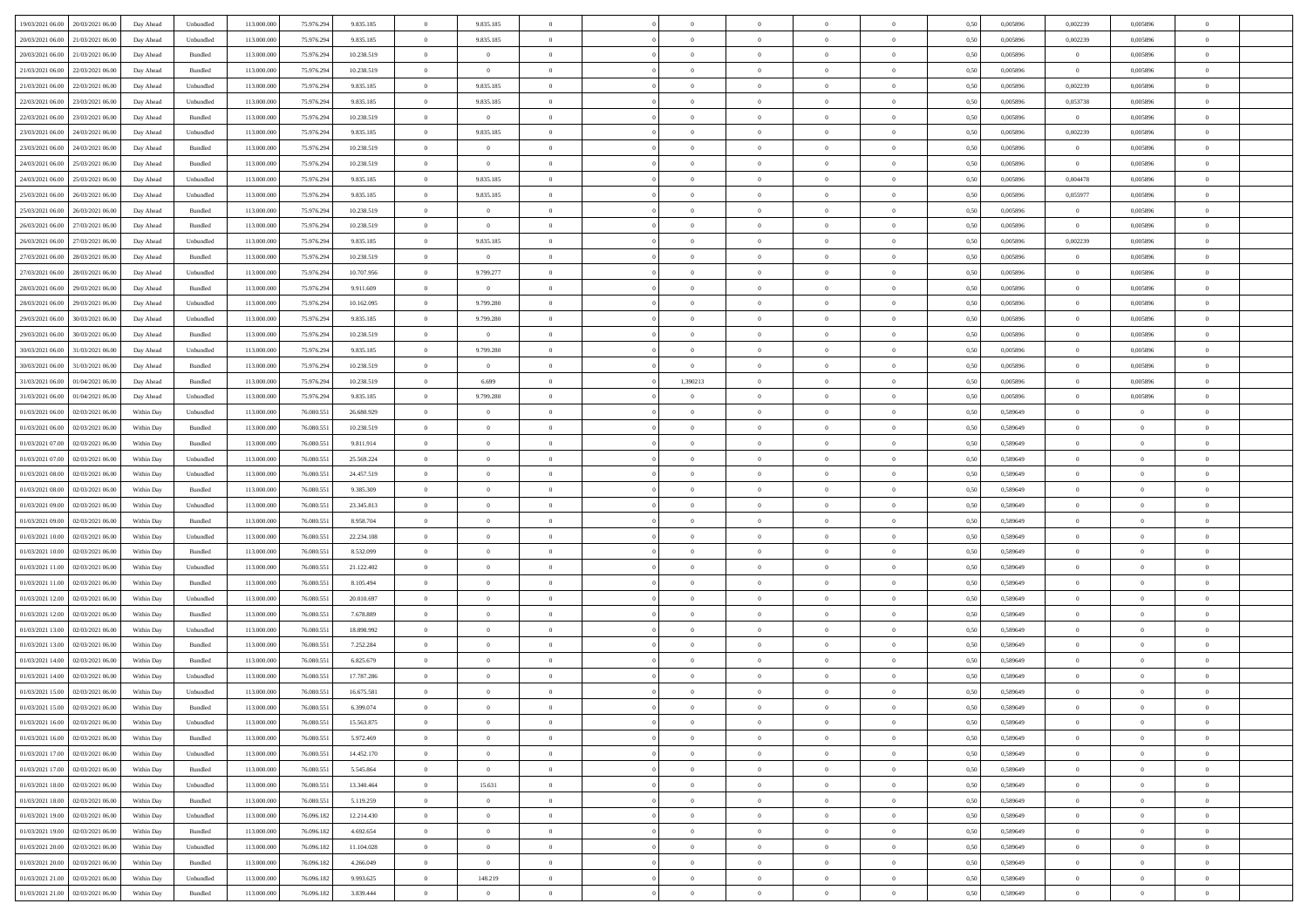| 19/03/2021 06:00 20/03/2021 06:00            | Day Ahead  | Unbundled | 113.000.000 | 75.976.294 | 9.835.185  | $\overline{0}$ | 9.835.185      |                |                |                |                          |                | 0,50 | 0,005896 | 0,002239       | 0,005896       |                |  |
|----------------------------------------------|------------|-----------|-------------|------------|------------|----------------|----------------|----------------|----------------|----------------|--------------------------|----------------|------|----------|----------------|----------------|----------------|--|
| 21/03/2021 06:00<br>20/03/2021 06:00         | Day Ahead  | Unbundled | 113.000.000 | 75.976.294 | 9.835.185  | $\overline{0}$ | 9.835.185      | $\Omega$       | $\Omega$       | $\overline{0}$ | $\overline{0}$           | $\bf{0}$       | 0.50 | 0.005896 | 0.002239       | 0.005896       | $\theta$       |  |
|                                              |            |           |             |            |            |                |                |                |                |                |                          |                |      |          |                |                |                |  |
| 20/03/2021 06:00<br>21/03/2021 06:00         | Day Ahead  | Bundled   | 113.000.000 | 75.976.294 | 10.238.519 | $\overline{0}$ | $\overline{0}$ | $\overline{0}$ | $\Omega$       | $\overline{0}$ | $\overline{0}$           | $\overline{0}$ | 0.50 | 0,005896 | $\overline{0}$ | 0.005896       | $\theta$       |  |
| 21/03/2021 06:00<br>22/03/2021 06:00         | Day Ahead  | Bundled   | 113.000.000 | 75.976.294 | 10.238.519 | $\overline{0}$ | $\overline{0}$ | $\overline{0}$ | $\overline{0}$ | $\bf{0}$       | $\overline{0}$           | $\overline{0}$ | 0,50 | 0,005896 | $\overline{0}$ | 0,005896       | $\bf{0}$       |  |
| 21/03/2021 06:00<br>22/03/2021 06:00         | Day Ahead  | Unbundled | 113.000.000 | 75.976.294 | 9.835.185  | $\overline{0}$ | 9.835.185      | $\overline{0}$ | $\Omega$       | $\bf{0}$       | $\overline{0}$           | $\bf{0}$       | 0,50 | 0.005896 | 0,002239       | 0,005896       | $\theta$       |  |
| 22/03/2021 06:00<br>23/03/2021 06:00         | Day Ahead  | Unbundled | 113.000.000 | 75.976.294 | 9.835.185  | $\overline{0}$ | 9.835.185      | $\overline{0}$ | $\overline{0}$ | $\overline{0}$ | $\overline{0}$           | $\bf{0}$       | 0.50 | 0,005896 | 0,053738       | 0,005896       | $\theta$       |  |
| 22/03/2021 06:00<br>23/03/2021 06:00         | Day Ahead  | Bundled   | 113.000.000 | 75.976.294 | 10.238.519 | $\overline{0}$ | $\overline{0}$ | $\Omega$       | $\Omega$       | $\bf{0}$       | $\overline{0}$           | $\theta$       | 0,50 | 0,005896 | $\overline{0}$ | 0,005896       | $\theta$       |  |
| 23/03/2021 06:00<br>24/03/2021 06:00         | Day Ahead  | Unbundled | 113.000.000 | 75.976.294 | 9.835.185  | $\overline{0}$ | 9.835.185      | $\mathbf{0}$   | $\Omega$       | $\overline{0}$ | $\overline{0}$           | $\theta$       | 0.50 | 0.005896 | 0.002239       | 0.005896       | $\theta$       |  |
| 23/03/2021 06:00<br>24/03/2021 06.00         | Day Ahead  | Bundled   | 113.000.000 | 75.976.294 | 10.238.519 | $\overline{0}$ | $\overline{0}$ | $\overline{0}$ | $\overline{0}$ | $\overline{0}$ | $\overline{0}$           | $\overline{0}$ | 0.50 | 0,005896 | $\overline{0}$ | 0,005896       | $\theta$       |  |
| 24/03/2021 06:00<br>25/03/2021 06:00         | Day Ahead  | Bundled   | 113.000.000 | 75.976.294 | 10.238.519 | $\overline{0}$ | $\overline{0}$ | $\overline{0}$ | $\overline{0}$ | $\bf{0}$       | $\overline{0}$           | $\overline{0}$ | 0,50 | 0,005896 | $\overline{0}$ | 0,005896       | $\bf{0}$       |  |
| 24/03/2021 06:00<br>25/03/2021 06.00         | Day Ahead  | Unbundled | 113.000.000 | 75.976.294 | 9.835.185  | $\overline{0}$ | 9.835.185      | $\overline{0}$ | $\Omega$       | $\bf{0}$       | $\overline{0}$           | $\bf{0}$       | 0,50 | 0.005896 | 0.004478       | 0.005896       | $\theta$       |  |
| 25/03/2021 06:00<br>26/03/2021 06:00         | Day Ahead  | Unbundled | 113.000.000 | 75.976.294 | 9.835.185  | $\overline{0}$ | 9.835.185      | $\overline{0}$ | $\overline{0}$ | $\overline{0}$ | $\overline{0}$           | $\bf{0}$       | 0.50 | 0,005896 | 0,055977       | 0.005896       | $\theta$       |  |
| 25/03/2021 06:00<br>26/03/2021 06:00         | Day Ahead  | Bundled   | 113.000.000 | 75.976.294 | 10.238.519 | $\overline{0}$ | $\overline{0}$ | $\overline{0}$ | $\overline{0}$ | $\bf{0}$       | $\overline{0}$           | $\theta$       | 0,50 | 0,005896 | $\overline{0}$ | 0,005896       | $\theta$       |  |
|                                              |            |           |             |            |            |                |                |                |                |                |                          |                |      |          |                |                |                |  |
| 26/03/2021 06:00<br>27/03/2021 06:00         | Day Ahead  | Bundled   | 113.000.000 | 75.976.294 | 10.238.519 | $\overline{0}$ | $\overline{0}$ | $\overline{0}$ | $\Omega$       | $\overline{0}$ | $\overline{0}$           | $\bf{0}$       | 0.50 | 0.005896 | $\overline{0}$ | 0.005896       | $\theta$       |  |
| 26/03/2021 06:00<br>27/03/2021 06:00         | Day Ahead  | Unbundled | 113.000.000 | 75.976.294 | 9.835.185  | $\overline{0}$ | 9.835.185      | $\overline{0}$ | $\Omega$       | $\overline{0}$ | $\overline{0}$           | $\overline{0}$ | 0.50 | 0,005896 | 0,002239       | 0,005896       | $\theta$       |  |
| 27/03/2021 06:00<br>28/03/2021 06:00         | Day Ahead  | Bundled   | 113.000.000 | 75.976.294 | 10.238.519 | $\overline{0}$ | $\overline{0}$ | $\Omega$       | $\Omega$       | $\bf{0}$       | $\overline{0}$           | $\theta$       | 0,50 | 0,005896 | $\overline{0}$ | 0,005896       | $\theta$       |  |
| 27/03/2021 06:00<br>28/03/2021 06:00         | Day Ahead  | Unbundled | 113.000.000 | 75.976.294 | 10,707.956 | $\overline{0}$ | 9.799.277      | $\overline{0}$ | $\Omega$       | $\overline{0}$ | $\overline{0}$           | $\bf{0}$       | 0.50 | 0.005896 | $\overline{0}$ | 0.005896       | $\theta$       |  |
| 28/03/2021 06:00<br>29/03/2021 06:00         | Day Ahead  | Bundled   | 113.000.000 | 75.976.294 | 9.911.609  | $\overline{0}$ | $\overline{0}$ | $\overline{0}$ | $\overline{0}$ | $\overline{0}$ | $\overline{0}$           | $\overline{0}$ | 0.50 | 0,005896 | $\overline{0}$ | 0.005896       | $\theta$       |  |
| 28/03/2021 06:00<br>29/03/2021 06:00         | Day Ahead  | Unbundled | 113.000.000 | 75.976.294 | 10.162.095 | $\overline{0}$ | 9.799.280      | $\overline{0}$ | $\overline{0}$ | $\bf{0}$       | $\bf{0}$                 | $\overline{0}$ | 0,50 | 0,005896 | $\overline{0}$ | 0,005896       | $\bf{0}$       |  |
| 29/03/2021 06:00<br>30/03/2021 06:00         | Day Ahead  | Unbundled | 113.000.000 | 75.976.294 | 9.835.185  | $\overline{0}$ | 9.799.280      | $\overline{0}$ | $\Omega$       | $\bf{0}$       | $\overline{0}$           | $\bf{0}$       | 0,50 | 0,005896 | $\overline{0}$ | 0,005896       | $\theta$       |  |
| 29/03/2021 06:00<br>30/03/2021 06:00         | Day Ahead  | Bundled   | 113.000.000 | 75.976.294 | 10.238.519 | $\overline{0}$ | $\overline{0}$ | $\overline{0}$ | $^{\circ}$     | $\overline{0}$ | $\overline{0}$           | $\bf{0}$       | 0.50 | 0,005896 | $\overline{0}$ | 0,005896       | $\theta$       |  |
| 30/03/2021 06:00<br>31/03/2021 06:00         | Day Ahead  | Unbundled | 113.000.000 | 75.976.294 | 9.835.185  | $\overline{0}$ | 9.799.280      | $\theta$       | $\Omega$       | $\bf{0}$       | $\overline{0}$           | $\theta$       | 0,50 | 0,005896 | $\overline{0}$ | 0,005896       | $\theta$       |  |
| 30/03/2021 06:00<br>31/03/2021 06:00         | Day Ahead  | Bundled   | 113.000.000 | 75.976.294 | 10.238.519 | $\overline{0}$ | $\overline{0}$ | $\overline{0}$ | $\Omega$       | $\overline{0}$ | $\overline{0}$           | $\theta$       | 0.50 | 0.005896 | $\overline{0}$ | 0.005896       | $\theta$       |  |
| 31/03/2021 06:00<br>01/04/2021 06:00         | Day Ahead  | Bundled   | 113.000.000 | 75.976.294 | 10.238.519 | $\overline{0}$ | 6.699          | $\overline{0}$ | 1,390213       | $\overline{0}$ | $\overline{0}$           | $\overline{0}$ | 0.50 | 0,005896 | $\overline{0}$ | 0,005896       | $\theta$       |  |
| 31/03/2021 06:00<br>01/04/2021 06:00         | Day Ahead  | Unbundled | 113.000.000 | 75.976.294 | 9.835.185  | $\overline{0}$ | 9.799.280      | $\overline{0}$ | $\overline{0}$ | $\bf{0}$       | $\overline{0}$           | $\overline{0}$ | 0,50 | 0,005896 | $\overline{0}$ | 0,005896       | $\bf{0}$       |  |
|                                              |            |           |             |            |            |                |                |                |                |                |                          |                |      |          |                |                |                |  |
| 01/03/2021 06:00<br>02/03/2021 06:00         | Within Day | Unbundled | 113.000.000 | 76,080.55  | 26.680.929 | $\overline{0}$ | $\overline{0}$ | $\overline{0}$ | $\Omega$       | $\bf{0}$       | $\overline{0}$           | $\bf{0}$       | 0,50 | 0,589649 | $\overline{0}$ | $\overline{0}$ | $\theta$       |  |
| 01/03/2021 06:00<br>02/03/2021 06:00         | Within Dav | Bundled   | 113.000.000 | 76.080.551 | 10.238.519 | $\overline{0}$ | $\overline{0}$ | $\overline{0}$ | $\overline{0}$ | $\overline{0}$ | $\overline{0}$           | $\bf{0}$       | 0.50 | 0,589649 | $\overline{0}$ | $\overline{0}$ | $\theta$       |  |
| 01/03/2021 07:00<br>02/03/2021 06:00         | Within Day | Bundled   | 113.000.000 | 76.080.551 | 9.811.914  | $\overline{0}$ | $\overline{0}$ | $\Omega$       | $\Omega$       | $\bf{0}$       | $\overline{0}$           | $\theta$       | 0,50 | 0,589649 | $\overline{0}$ | $\overline{0}$ | $\theta$       |  |
| 01/03/2021 07:00<br>02/03/2021 06:00         | Within Day | Unbundled | 113.000.000 | 76,080.55  | 25.569.224 | $\overline{0}$ | $\overline{0}$ | $\overline{0}$ | $\Omega$       | $\overline{0}$ | $\overline{0}$           | $\bf{0}$       | 0.50 | 0,589649 | $\overline{0}$ | $\overline{0}$ | $\theta$       |  |
| 01/03/2021 08:00<br>02/03/2021 06:00         | Within Dav | Unbundled | 113.000.000 | 76.080.551 | 24.457.519 | $\overline{0}$ | $\overline{0}$ | $\overline{0}$ | $\Omega$       | $\overline{0}$ | $\overline{0}$           | $\overline{0}$ | 0.50 | 0,589649 | $\overline{0}$ | $^{\circ}$     | $^{\circ}$     |  |
| 01/03/2021 08:00<br>02/03/2021 06:00         | Within Day | Bundled   | 113.000.000 | 76.080.55  | 9.385.309  | $\overline{0}$ | $\overline{0}$ | $\overline{0}$ | $\overline{0}$ | $\overline{0}$ | $\theta$                 | $\overline{0}$ | 0,50 | 0,589649 | $\overline{0}$ | $\overline{0}$ |                |  |
| 01/03/2021 09:00<br>02/03/2021 06:00         | Within Day | Unbundled | 113.000.000 | 76,080.55  | 23.345.813 | $\overline{0}$ | $\overline{0}$ | $\overline{0}$ | $\Omega$       | $\bf{0}$       | $\overline{0}$           | $\bf{0}$       | 0,50 | 0,589649 | $\overline{0}$ | $\overline{0}$ | $\theta$       |  |
| 01/03/2021 09:00<br>02/03/2021 06:00         | Within Dav | Bundled   | 113.000.000 | 76.080.551 | 8.958.704  | $\overline{0}$ | $\overline{0}$ | $\overline{0}$ | $\Omega$       | $\overline{0}$ | $\overline{0}$           | $\overline{0}$ | 0.50 | 0,589649 | $\overline{0}$ | $^{\circ}$     | $\theta$       |  |
| 01/03/2021 10:00<br>02/03/2021 06:00         | Within Day | Unbundled | 113.000.000 | 76.080.551 | 22.234.108 | $\overline{0}$ | $\overline{0}$ | $\overline{0}$ | $\overline{0}$ | $\overline{0}$ | $\theta$                 | $\overline{0}$ | 0,50 | 0,589649 | $\overline{0}$ | $\overline{0}$ |                |  |
| 01/03/2021 10:00<br>02/03/2021 06:00         | Within Day | Bundled   | 113.000.000 | 76,080.55  | 8.532.099  | $\overline{0}$ | $\overline{0}$ | $\overline{0}$ | $\Omega$       | $\bf{0}$       | $\overline{0}$           | $\bf{0}$       | 0,50 | 0,589649 | $\overline{0}$ | $\overline{0}$ | $\theta$       |  |
| 01/03/2021 11:00<br>02/03/2021 06:00         | Within Dav | Unbundled | 113.000.000 | 76.080.551 | 21.122.402 | $\overline{0}$ | $\overline{0}$ | $\overline{0}$ | $\overline{0}$ | $\overline{0}$ | $\overline{0}$           | $\bf{0}$       | 0.50 | 0,589649 | $\overline{0}$ | $^{\circ}$     | $\theta$       |  |
| 01/03/2021 11:00<br>02/03/2021 06:00         | Within Day | Bundled   | 113.000.000 | 76.080.551 | 8.105.494  | $\overline{0}$ | $\overline{0}$ | $\overline{0}$ | $\overline{0}$ | $\overline{0}$ | $\theta$                 | $\theta$       | 0,50 | 0,589649 | $\overline{0}$ | $\overline{0}$ |                |  |
| 01/03/2021 12:00<br>02/03/2021 06:00         | Within Day | Unbundled | 113.000.000 | 76,080.55  | 20.010.697 | $\overline{0}$ | $\overline{0}$ | $\overline{0}$ | $\Omega$       | $\overline{0}$ | $\overline{0}$           | $\bf{0}$       | 0.50 | 0,589649 | $\overline{0}$ | $\overline{0}$ | $\theta$       |  |
| 01/03/2021 12:00<br>02/03/2021 06:00         | Within Dav | Bundled   | 113.000.000 | 76.080.551 | 7.678.889  | $\overline{0}$ | $\overline{0}$ | $\overline{0}$ | $\Omega$       | $\overline{0}$ | $\overline{0}$           | $\overline{0}$ | 0,50 | 0,589649 | $\overline{0}$ | $^{\circ}$     | $\theta$       |  |
|                                              |            |           |             |            |            |                |                |                |                |                |                          |                |      |          |                |                |                |  |
| 01/03/2021 13:00<br>02/03/2021 06:00         | Within Day | Unbundled | 113.000.000 | 76.080.551 | 18.898.992 | $\overline{0}$ | $\overline{0}$ | $\overline{0}$ | $\overline{0}$ | $\overline{0}$ | $\overline{0}$           | $\overline{0}$ | 0,50 | 0,589649 | $\overline{0}$ | $\overline{0}$ |                |  |
| 01/03/2021 13:00<br>02/03/2021 06:00         | Within Day | Bundled   | 113.000.000 | 76,080.55  | 7.252.284  | $\overline{0}$ | $\overline{0}$ | $\overline{0}$ | $\Omega$       | $\bf{0}$       | $\overline{0}$           | $\bf{0}$       | 0,50 | 0,589649 | $\overline{0}$ | $\overline{0}$ | $\theta$       |  |
| 01/03/2021 14:00<br>02/03/2021 06:00         | Within Dav | Bundled   | 113.000.000 | 76.080.551 | 6.825.679  | $\overline{0}$ | $\overline{0}$ | $\overline{0}$ | $\Omega$       | $\overline{0}$ | $\overline{0}$           | $\bf{0}$       | 0.50 | 0,589649 | $\overline{0}$ | $^{\circ}$     | $\theta$       |  |
| 01/03/2021 14:00<br>02/03/2021 06:00         | Within Day | Unbundled | 113.000.000 | 76.080.551 | 17.787.286 | $\overline{0}$ | $\overline{0}$ |                |                | $\theta$       | $\theta$                 |                | 0,50 | 0,589649 | $\overline{0}$ |                |                |  |
| 02/03/2021 06:00<br>01/03/2021 15:00         | Within Day | Unbundled | 113.000.000 | 76,080.55  | 16.675.581 | $\overline{0}$ | $\overline{0}$ | $\overline{0}$ | $\overline{0}$ | $\bf{0}$       | $\bf{0}$                 | $\bf{0}$       | 0,50 | 0,589649 | $\overline{0}$ | $\overline{0}$ | $\theta$       |  |
| 01/03/2021 15:00 02/03/2021 06:00            | Within Day | Bundled   | 113.000.000 | 76.080.551 | 6.399.074  | $\overline{0}$ | $\overline{0}$ |                |                | $\Omega$       |                          |                | 0,50 | 0,589649 | $\theta$       |                |                |  |
| 01/03/2021 16:00 02/03/2021 06:00            | Within Day | Unbundled | 113.000.000 | 76.080.551 | 15.563.875 | $\overline{0}$ | $\overline{0}$ | $\overline{0}$ | $\overline{0}$ | $\overline{0}$ | $\overline{0}$           | $\overline{0}$ | 0,50 | 0,589649 | $\overline{0}$ | $\overline{0}$ | $\overline{0}$ |  |
| 01/03/2021 16:00 02/03/2021 06:00            | Within Day | Bundled   | 113.000.000 | 76,080.55  | 5.972.469  | $\overline{0}$ | $\overline{0}$ | $\overline{0}$ | $\overline{0}$ | $\overline{0}$ | $\overline{0}$           | $\overline{0}$ | 0,50 | 0,589649 | $\overline{0}$ | $\overline{0}$ | $\bf{0}$       |  |
| 01/03/2021 17:00<br>02/03/2021 06:00         | Within Dav | Unbundled | 113.000.000 | 76.080.551 | 14.452.170 | $\overline{0}$ | $\overline{0}$ | $\overline{0}$ | $\overline{0}$ | $\overline{0}$ | $\overline{0}$           | $\overline{0}$ | 0,50 | 0,589649 | $\overline{0}$ | $\overline{0}$ | $\overline{0}$ |  |
| 01/03/2021 17:00 02/03/2021 06:00            | Within Day | Bundled   | 113.000.000 | 76.080.551 | 5.545.864  | $\overline{0}$ | $\overline{0}$ | $\overline{0}$ | $\overline{0}$ | $\overline{0}$ | $\overline{0}$           | $\overline{0}$ | 0,50 | 0,589649 | $\overline{0}$ | $\overline{0}$ | $\overline{0}$ |  |
| $01/03/2021\ 18.00 \qquad 02/03/2021\ 06.00$ | Within Day | Unbundled | 113.000.000 | 76.080.551 | 13.340.464 | $\overline{0}$ | 15.631         | $\overline{0}$ | $\overline{0}$ | $\overline{0}$ | $\overline{\phantom{0}}$ | $\bf{0}$       | 0,50 | 0,589649 | $\overline{0}$ | $\overline{0}$ | $\bf{0}$       |  |
| 01/03/2021 18:00<br>02/03/2021 06:00         | Within Dav | Bundled   | 113.000.000 | 76.080.551 | 5.119.259  | $\overline{0}$ | $\overline{0}$ | $\overline{0}$ | $\overline{0}$ | $\overline{0}$ | $\overline{0}$           | $\overline{0}$ | 0,50 | 0,589649 | $\overline{0}$ | $\overline{0}$ | $\overline{0}$ |  |
| 01/03/2021 19:00<br>02/03/2021 06:00         | Within Day | Unbundled | 113.000.000 | 76.096.182 | 12.214.430 | $\overline{0}$ | $\overline{0}$ | $\overline{0}$ | $\overline{0}$ | $\overline{0}$ | $\overline{0}$           | $\overline{0}$ | 0,50 | 0,589649 | $\overline{0}$ | $\overline{0}$ | $\overline{0}$ |  |
|                                              |            |           |             |            |            |                |                |                |                |                |                          |                |      |          |                |                |                |  |
| 01/03/2021 19:00 02/03/2021 06:00            | Within Day | Bundled   | 113.000.000 | 76.096.182 | 4.692.654  | $\overline{0}$ | $\overline{0}$ | $\overline{0}$ | $\Omega$       | $\bf{0}$       | $\overline{0}$           | $\mathbf{0}$   | 0.50 | 0.589649 | $\overline{0}$ | $\overline{0}$ | $\theta$       |  |
| 01/03/2021 20:00<br>02/03/2021 06:00         | Within Dav | Unbundled | 113.000.000 | 76.096.182 | 11.104.028 | $\overline{0}$ | $\overline{0}$ | $\overline{0}$ | $\overline{0}$ | $\overline{0}$ | $\overline{0}$           | $\overline{0}$ | 0,50 | 0,589649 | $\overline{0}$ | $\overline{0}$ | $\overline{0}$ |  |
| 01/03/2021 20:00 02/03/2021 06:00            | Within Day | Bundled   | 113.000.000 | 76.096.182 | 4.266.049  | $\overline{0}$ | $\overline{0}$ | $\overline{0}$ | $\overline{0}$ | $\,$ 0 $\,$    | $\overline{0}$           | $\overline{0}$ | 0,50 | 0,589649 | $\overline{0}$ | $\overline{0}$ | $\overline{0}$ |  |
| 01/03/2021 21.00 02/03/2021 06:00            | Within Day | Unbundled | 113.000.000 | 76.096.182 | 9.993.625  | $\overline{0}$ | 148.219        | $\overline{0}$ | $\overline{0}$ | $\bf{0}$       | $\overline{0}$           | $\bf{0}$       | 0,50 | 0,589649 | $\overline{0}$ | $\overline{0}$ | $\bf{0}$       |  |
| 01/03/2021 21:00 02/03/2021 06:00            | Within Day | Bundled   | 113.000.000 | 76.096.182 | 3.839.444  | $\overline{0}$ | $\overline{0}$ | $\overline{0}$ | $\overline{0}$ | $\overline{0}$ | $\overline{0}$           | $\mathbf{0}$   | 0,50 | 0,589649 | $\overline{0}$ | $\overline{0}$ | $\overline{0}$ |  |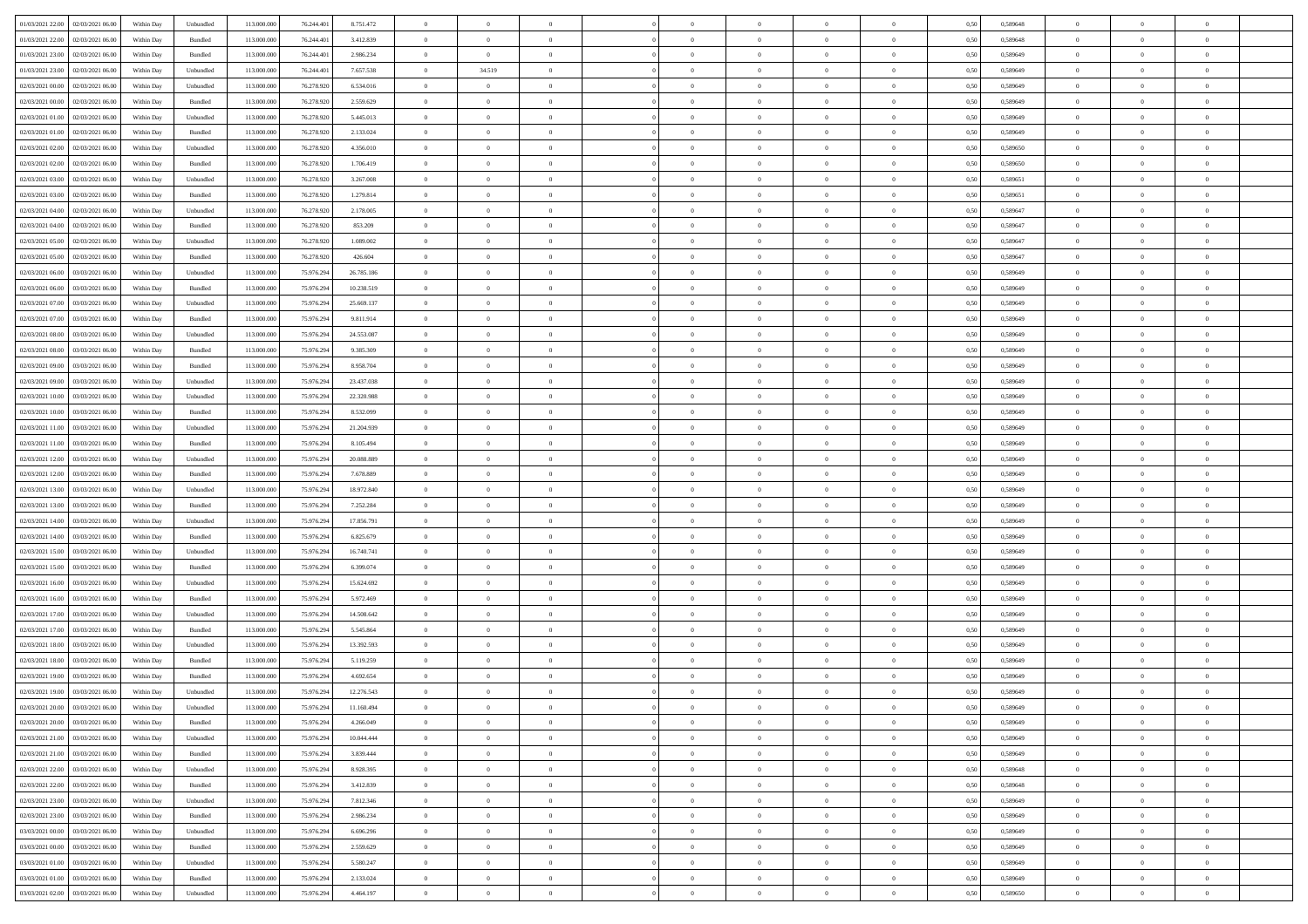| 01/03/2021 22:00 02/03/2021 06:00            |            |                             | 113.000.000 |            |            | $\overline{0}$ | $\overline{0}$ |                | $\overline{0}$ | $\theta$       |                | $\theta$       |      | 0,589648 | $\theta$       | $\theta$       | $\overline{0}$ |  |
|----------------------------------------------|------------|-----------------------------|-------------|------------|------------|----------------|----------------|----------------|----------------|----------------|----------------|----------------|------|----------|----------------|----------------|----------------|--|
|                                              | Within Day | Unbundled                   |             | 76.244.401 | 8.751.472  |                |                |                |                |                |                |                | 0,50 |          |                |                |                |  |
| 01/03/2021 22.00<br>02/03/2021 06:00         | Within Day | Bundled                     | 113.000.00  | 76.244.40  | 3.412.839  | $\bf{0}$       | $\bf{0}$       | $\bf{0}$       | $\overline{0}$ | $\overline{0}$ | $\overline{0}$ | $\bf{0}$       | 0,50 | 0,589648 | $\,$ 0 $\,$    | $\bf{0}$       | $\overline{0}$ |  |
| 01/03/2021 23:00<br>02/03/2021 06:00         | Within Day | Bundled                     | 113,000,000 | 76.244.40  | 2.986.234  | $\overline{0}$ | $\overline{0}$ | $\overline{0}$ | $\bf{0}$       | $\bf{0}$       | $\overline{0}$ | $\bf{0}$       | 0.50 | 0.589649 | $\bf{0}$       | $\overline{0}$ | $\overline{0}$ |  |
| 01/03/2021 23:00<br>02/03/2021 06:00         | Within Day | Unbundled                   | 113.000.000 | 76.244.401 | 7.657.538  | $\overline{0}$ | 34.519         | $\overline{0}$ | $\theta$       | $\theta$       | $\overline{0}$ | $\bf{0}$       | 0,50 | 0,589649 | $\theta$       | $\theta$       | $\overline{0}$ |  |
|                                              |            |                             |             |            |            |                |                |                |                |                |                |                |      |          |                |                |                |  |
| 02/03/2021 00:00<br>02/03/2021 06.00         | Within Day | Unbundled                   | 113.000.00  | 76.278.920 | 6.534.016  | $\bf{0}$       | $\theta$       | $\bf{0}$       | $\overline{0}$ | $\theta$       | $\overline{0}$ | $\bf{0}$       | 0,50 | 0,589649 | $\,$ 0 $\,$    | $\bf{0}$       | $\overline{0}$ |  |
| 02/03/2021 00:00<br>02/03/2021 06:00         | Within Day | Bundled                     | 113,000,000 | 76.278.920 | 2.559.629  | $\overline{0}$ | $\overline{0}$ | $\overline{0}$ | $\bf{0}$       | $\overline{0}$ | $\theta$       | $\bf{0}$       | 0.50 | 0.589649 | $\,$ 0 $\,$    | $\theta$       | $\overline{0}$ |  |
| 02/03/2021 01:00<br>02/03/2021 06:00         | Within Day | Unbundled                   | 113.000.000 | 76.278.920 | 5.445.013  | $\overline{0}$ | $\overline{0}$ | $\overline{0}$ | $\overline{0}$ | $\overline{0}$ | $\overline{0}$ | $\bf{0}$       | 0,50 | 0,589649 | $\theta$       | $\theta$       | $\overline{0}$ |  |
| 02/03/2021 01:00<br>02/03/2021 06.00         | Within Day | Bundled                     | 113.000.00  | 76.278.92  | 2.133.024  | $\bf{0}$       | $\bf{0}$       | $\bf{0}$       | $\overline{0}$ | $\overline{0}$ | $\overline{0}$ | $\bf{0}$       | 0,50 | 0,589649 | $\,$ 0 $\,$    | $\bf{0}$       | $\overline{0}$ |  |
| 02/03/2021 06:00                             |            | Unbundled                   | 113,000,000 | 76.278.92  |            |                |                |                |                |                | $\overline{0}$ |                |      |          |                |                |                |  |
| 02/03/2021 02:00                             | Within Day |                             |             |            | 4.356.010  | $\overline{0}$ | $\bf{0}$       | $\overline{0}$ | $\bf{0}$       | $\overline{0}$ |                | $\bf{0}$       | 0.50 | 0.589650 | $\bf{0}$       | $\overline{0}$ | $\overline{0}$ |  |
| 02/03/2021 02:00<br>02/03/2021 06:00         | Within Day | Bundled                     | 113.000.000 | 76.278.920 | 1.706.419  | $\bf{0}$       | $\bf{0}$       | $\overline{0}$ | $\overline{0}$ | $\overline{0}$ | $\overline{0}$ | $\bf{0}$       | 0,50 | 0,589650 | $\,$ 0 $\,$    | $\bf{0}$       | $\overline{0}$ |  |
| 02/03/2021 03:00<br>02/03/2021 06.00         | Within Day | Unbundled                   | 113.000.00  | 76.278.920 | 3.267.008  | $\bf{0}$       | $\overline{0}$ | $\bf{0}$       | $\bf{0}$       | $\bf{0}$       | $\overline{0}$ | $\bf{0}$       | 0,50 | 0,589651 | $\,$ 0 $\,$    | $\bf{0}$       | $\overline{0}$ |  |
| 02/03/2021 03:00<br>02/03/2021 06:00         | Within Day | Bundled                     | 113,000,000 | 76.278.920 | 1.279.814  | $\overline{0}$ | $\bf{0}$       | $\overline{0}$ | $\overline{0}$ | $\bf{0}$       | $\overline{0}$ | $\bf{0}$       | 0.50 | 0.589651 | $\bf{0}$       | $\overline{0}$ | $\bf{0}$       |  |
| 02/03/2021 04:00<br>02/03/2021 06:00         | Within Day | Unbundled                   | 113.000.000 | 76.278.920 | 2.178.005  | $\overline{0}$ | $\overline{0}$ | $\overline{0}$ | $\theta$       | $\theta$       | $\overline{0}$ | $\overline{0}$ | 0,50 | 0,589647 | $\,$ 0 $\,$    | $\theta$       | $\overline{0}$ |  |
|                                              |            |                             |             |            |            |                |                |                |                |                |                |                |      |          |                |                |                |  |
| 02/03/2021 04:00<br>02/03/2021 06.00         | Within Day | Bundled                     | 113.000.00  | 76.278.92  | 853.209    | $\bf{0}$       | $\overline{0}$ | $\bf{0}$       | $\overline{0}$ | $\theta$       | $\overline{0}$ | $\bf{0}$       | 0,50 | 0,589647 | $\,$ 0 $\,$    | $\bf{0}$       | $\overline{0}$ |  |
| 02/03/2021 05:00<br>02/03/2021 06:00         | Within Day | Unbundled                   | 113,000,000 | 76.278.920 | 1.089.002  | $\overline{0}$ | $\overline{0}$ | $\overline{0}$ | $\bf{0}$       | $\overline{0}$ | $\Omega$       | $\bf{0}$       | 0.50 | 0.589647 | $\,$ 0 $\,$    | $\theta$       | $\overline{0}$ |  |
| 02/03/2021 05:00<br>02/03/2021 06:00         | Within Day | Bundled                     | 113.000.000 | 76.278.920 | 426.604    | $\overline{0}$ | $\overline{0}$ | $\overline{0}$ | $\overline{0}$ | $\overline{0}$ | $\overline{0}$ | $\bf{0}$       | 0,50 | 0,589647 | $\theta$       | $\theta$       | $\overline{0}$ |  |
| 02/03/2021 06:00<br>03/03/2021 06.00         | Within Day | Unbundled                   | 113.000.00  | 75.976.29  | 26.785.186 | $\bf{0}$       | $\overline{0}$ | $\bf{0}$       | $\overline{0}$ | $\bf{0}$       | $\overline{0}$ | $\bf{0}$       | 0,50 | 0,589649 | $\,$ 0 $\,$    | $\bf{0}$       | $\overline{0}$ |  |
| 02/03/2021 06:00<br>03/03/2021 06:00         | Within Day | Bundled                     | 113,000,00  | 75.976.294 | 10.238.519 | $\overline{0}$ | $\bf{0}$       | $\overline{0}$ | $\bf{0}$       | $\overline{0}$ | $\overline{0}$ | $\bf{0}$       | 0.50 | 0.589649 | $\bf{0}$       | $\overline{0}$ | $\overline{0}$ |  |
|                                              |            |                             |             |            |            |                |                |                |                |                |                |                |      |          |                |                |                |  |
| 02/03/2021 07:00<br>03/03/2021 06:00         | Within Day | Unbundled                   | 113.000.000 | 75.976.294 | 25.669.137 | $\bf{0}$       | $\bf{0}$       | $\overline{0}$ | $\overline{0}$ | $\overline{0}$ | $\overline{0}$ | $\bf{0}$       | 0,50 | 0,589649 | $\,$ 0 $\,$    | $\bf{0}$       | $\overline{0}$ |  |
| 02/03/2021 07:00<br>03/03/2021 06.00         | Within Day | Bundled                     | 113.000.00  | 75.976.294 | 9.811.914  | $\bf{0}$       | $\bf{0}$       | $\bf{0}$       | $\bf{0}$       | $\overline{0}$ | $\overline{0}$ | $\bf{0}$       | 0,50 | 0,589649 | $\,$ 0 $\,$    | $\bf{0}$       | $\overline{0}$ |  |
| 02/03/2021 08:00<br>03/03/2021 06:00         | Within Day | Unbundled                   | 113,000,000 | 75.976.294 | 24.553.087 | $\overline{0}$ | $\bf{0}$       | $\overline{0}$ | $\overline{0}$ | $\bf{0}$       | $\overline{0}$ | $\bf{0}$       | 0.50 | 0.589649 | $\bf{0}$       | $\overline{0}$ | $\overline{0}$ |  |
| 02/03/2021 08:00<br>03/03/2021 06:00         | Within Day | Bundled                     | 113.000.000 | 75.976.294 | 9.385.309  | $\overline{0}$ | $\overline{0}$ | $\overline{0}$ | $\theta$       | $\theta$       | $\overline{0}$ | $\bf{0}$       | 0,50 | 0,589649 | $\theta$       | $\theta$       | $\overline{0}$ |  |
|                                              |            |                             |             |            |            |                | $\overline{0}$ |                |                | $\overline{0}$ | $\overline{0}$ |                |      |          | $\,$ 0 $\,$    | $\bf{0}$       | $\overline{0}$ |  |
| 02/03/2021 09:00<br>03/03/2021 06.00         | Within Day | Bundled                     | 113.000.00  | 75.976.294 | 8.958.704  | $\bf{0}$       |                | $\bf{0}$       | $\bf{0}$       |                |                | $\bf{0}$       | 0,50 | 0,589649 |                |                |                |  |
| 02/03/2021 09:00<br>03/03/2021 06:00         | Within Day | Unbundled                   | 113,000,000 | 75.976.294 | 23.437.038 | $\overline{0}$ | $\overline{0}$ | $\overline{0}$ | $\overline{0}$ | $\overline{0}$ | $\theta$       | $\bf{0}$       | 0.50 | 0.589649 | $\,$ 0 $\,$    | $\theta$       | $\overline{0}$ |  |
| 02/03/2021 10:00<br>03/03/2021 06:00         | Within Day | Unbundled                   | 113.000.000 | 75.976.294 | 22.320.988 | $\overline{0}$ | $\overline{0}$ | $\overline{0}$ | $\overline{0}$ | $\theta$       | $\overline{0}$ | $\bf{0}$       | 0,50 | 0,589649 | $\,$ 0 $\,$    | $\theta$       | $\overline{0}$ |  |
| 02/03/2021 10:00<br>03/03/2021 06.00         | Within Day | Bundled                     | 113.000.00  | 75.976.29  | 8.532.099  | $\bf{0}$       | $\overline{0}$ | $\bf{0}$       | $\overline{0}$ | $\theta$       | $\overline{0}$ | $\bf{0}$       | 0,50 | 0,589649 | $\,$ 0 $\,$    | $\bf{0}$       | $\overline{0}$ |  |
| 02/03/2021 11:00<br>03/03/2021 06:00         | Within Day | Unbundled                   | 113,000,000 | 75.976.294 | 21.204.939 | $\overline{0}$ | $\bf{0}$       | $\overline{0}$ | $\bf{0}$       | $\overline{0}$ | $\overline{0}$ | $\bf{0}$       | 0.50 | 0.589649 | $\bf{0}$       | $\overline{0}$ | $\overline{0}$ |  |
|                                              |            |                             |             |            |            |                |                |                |                |                |                |                |      |          |                |                |                |  |
| 02/03/2021 11:00<br>03/03/2021 06:00         | Within Day | Bundled                     | 113.000.000 | 75.976.294 | 8.105.494  | $\overline{0}$ | $\overline{0}$ | $\overline{0}$ | $\overline{0}$ | $\overline{0}$ | $\overline{0}$ | $\bf{0}$       | 0,50 | 0,589649 | $\theta$       | $\theta$       | $\overline{0}$ |  |
| 02/03/2021 12:00<br>03/03/2021 06.00         | Within Day | Unbundled                   | 113.000.00  | 75.976.294 | 20.088.889 | $\bf{0}$       | $\bf{0}$       | $\bf{0}$       | $\bf{0}$       | $\overline{0}$ | $\overline{0}$ | $\bf{0}$       | 0,50 | 0,589649 | $\,$ 0 $\,$    | $\bf{0}$       | $\overline{0}$ |  |
| 02/03/2021 12:00<br>03/03/2021 06:00         | Within Day | Bundled                     | 113,000,000 | 75.976.294 | 7.678.889  | $\overline{0}$ | $\bf{0}$       | $\overline{0}$ | $\bf{0}$       | $\bf{0}$       | $\overline{0}$ | $\bf{0}$       | 0.50 | 0.589649 | $\bf{0}$       | $\overline{0}$ | $\overline{0}$ |  |
| 02/03/2021 13:00<br>03/03/2021 06:00         | Within Day | Unbundled                   | 113.000.000 | 75.976.294 | 18.972.840 | $\overline{0}$ | $\overline{0}$ | $\overline{0}$ | $\overline{0}$ | $\overline{0}$ | $\overline{0}$ | $\bf{0}$       | 0.50 | 0.589649 | $\theta$       | $\theta$       | $\overline{0}$ |  |
| 02/03/2021 13:00<br>03/03/2021 06.00         | Within Day | Bundled                     | 113.000.00  | 75.976.29  | 7.252.284  | $\bf{0}$       | $\overline{0}$ | $\bf{0}$       | $\bf{0}$       | $\overline{0}$ | $\overline{0}$ | $\bf{0}$       | 0,50 | 0,589649 | $\,$ 0 $\,$    | $\bf{0}$       | $\overline{0}$ |  |
|                                              |            |                             |             |            |            |                |                |                |                |                |                |                |      |          |                |                |                |  |
| 02/03/2021 14:00<br>03/03/2021 06:00         | Within Day | Unbundled                   | 113,000,000 | 75.976.294 | 17.856.791 | $\overline{0}$ | $\bf{0}$       | $\overline{0}$ | $\bf{0}$       | $\overline{0}$ | $\Omega$       | $\bf{0}$       | 0.50 | 0.589649 | $\,$ 0 $\,$    | $\theta$       | $\overline{0}$ |  |
| 02/03/2021 14:00<br>03/03/2021 06:00         | Within Dav | Bundled                     | 113.000.000 | 75.976.294 | 6.825.679  | $\overline{0}$ | $\overline{0}$ | $\overline{0}$ | $\overline{0}$ | $\overline{0}$ | $\overline{0}$ | $\bf{0}$       | 0.5( | 0.589649 | $\theta$       | $\theta$       | $\overline{0}$ |  |
| 02/03/2021 15:00<br>03/03/2021 06.00         | Within Day | Unbundled                   | 113.000.00  | 75.976.29  | 16.740.741 | $\bf{0}$       | $\bf{0}$       | $\bf{0}$       | $\bf{0}$       | $\bf{0}$       | $\overline{0}$ | $\bf{0}$       | 0,50 | 0,589649 | $\,$ 0 $\,$    | $\bf{0}$       | $\overline{0}$ |  |
| 02/03/2021 15:00<br>03/03/2021 06:00         | Within Day | Bundled                     | 113,000,000 | 75.976.294 | 6.399.074  | $\overline{0}$ | $\bf{0}$       | $\overline{0}$ | $\bf{0}$       | $\overline{0}$ | $\overline{0}$ | $\bf{0}$       | 0.50 | 0.589649 | $\bf{0}$       | $\overline{0}$ | $\overline{0}$ |  |
| 02/03/2021 16:00<br>03/03/2021 06:00         | Within Day | Unbundled                   | 113.000.000 | 75.976.294 | 15.624.692 | $\overline{0}$ | $\overline{0}$ | $\overline{0}$ | $\overline{0}$ | $\overline{0}$ | $\overline{0}$ | $\overline{0}$ | 0.50 | 0.589649 | $\theta$       | $\theta$       | $\overline{0}$ |  |
|                                              |            |                             |             |            |            |                |                |                |                |                |                |                |      |          |                |                |                |  |
| 02/03/2021 16:00<br>03/03/2021 06.00         | Within Day | Bundled                     | 113.000.00  | 75.976.29  | 5.972.469  | $\bf{0}$       | $\bf{0}$       | $\bf{0}$       | $\bf{0}$       | $\overline{0}$ | $\overline{0}$ | $\bf{0}$       | 0,50 | 0,589649 | $\,$ 0 $\,$    | $\bf{0}$       | $\overline{0}$ |  |
| 02/03/2021 17:00<br>03/03/2021 06:00         | Within Day | Unbundled                   | 113,000,000 | 75.976.294 | 14,508,642 | $\overline{0}$ | $\bf{0}$       | $\overline{0}$ | $\overline{0}$ | $\bf{0}$       | $\overline{0}$ | $\bf{0}$       | 0.50 | 0.589649 | $\bf{0}$       | $\overline{0}$ | $\overline{0}$ |  |
| 02/03/2021 17:00<br>03/03/2021 06:00         | Within Day | Bundled                     | 113.000.000 | 75.976.294 | 5.545.864  | $\overline{0}$ | $\overline{0}$ | $\overline{0}$ | $\overline{0}$ | $\overline{0}$ | $\overline{0}$ | $\bf{0}$       | 0.50 | 0.589649 | $\theta$       | $\theta$       | $\overline{0}$ |  |
| 02/03/2021 18:00<br>03/03/2021 06.00         | Within Day | Unbundled                   | 113.000.00  | 75.976.29  | 13.392.593 | $\bf{0}$       | $\bf{0}$       | $\bf{0}$       | $\bf{0}$       | $\overline{0}$ | $\overline{0}$ | $\bf{0}$       | 0,50 | 0,589649 | $\,$ 0 $\,$    | $\bf{0}$       | $\overline{0}$ |  |
| 02/03/2021 18:00<br>03/03/2021 06:00         | Within Day | Bundled                     | 113,000,00  | 75.976.294 | 5.119.259  | $\overline{0}$ | $\overline{0}$ | $\overline{0}$ | $\bf{0}$       | $\overline{0}$ | $\Omega$       | $\bf{0}$       | 0.50 | 0.589649 | $\,$ 0 $\,$    | $\theta$       | $\overline{0}$ |  |
|                                              |            |                             |             |            |            |                |                |                |                |                |                |                |      |          |                |                |                |  |
| 02/03/2021 19:00<br>03/03/2021 06:00         | Within Dav | Bundled                     | 113.000.000 | 75.976.294 | 4.692.654  | $\overline{0}$ | $\overline{0}$ | $\Omega$       | $\overline{0}$ | $\theta$       | $\Omega$       | $\overline{0}$ | 0.5( | 0.589649 | $\theta$       | $\theta$       | $\overline{0}$ |  |
| 02/03/2021 19:00<br>03/03/2021 06:00         | Within Day | Unbundled                   | 113.000.000 | 75.976.294 | 12.276.543 | $\bf{0}$       | $\bf{0}$       | $\bf{0}$       | $\bf{0}$       | $\bf{0}$       | $\overline{0}$ | $\bf{0}$       | 0,50 | 0,589649 | $\,$ 0 $\,$    | $\bf{0}$       | $\overline{0}$ |  |
| $02/03/2021\ 20.00 \qquad 03/03/2021\ 06.00$ | Within Day | $\ensuremath{\mathsf{Unb}}$ | 113.000.000 | 75.976.294 | 11.160.494 | $\overline{0}$ | $\theta$       |                | $\Omega$       |                |                |                | 0,50 | 0.589649 | $\theta$       | $\overline{0}$ |                |  |
| 02/03/2021 20:00 03/03/2021 06:00            | Within Day | Bundled                     | 113.000.000 | 75.976.294 | 4.266.049  | $\overline{0}$ | $\overline{0}$ | $\Omega$       | $\theta$       | $\overline{0}$ | $\overline{0}$ | $\bf{0}$       | 0,50 | 0,589649 | $\theta$       | $\theta$       | $\overline{0}$ |  |
| 02/03/2021 21:00<br>03/03/2021 06:00         | Within Day | Unbundled                   | 113.000.00  | 75.976.294 | 10.044.444 | $\overline{0}$ | $\bf{0}$       | $\overline{0}$ | $\overline{0}$ | $\bf{0}$       | $\overline{0}$ | $\bf{0}$       | 0,50 | 0,589649 | $\bf{0}$       | $\overline{0}$ | $\bf{0}$       |  |
|                                              |            |                             |             |            |            |                |                |                |                |                |                |                |      |          |                |                |                |  |
| 02/03/2021 21:00 03/03/2021 06:00            | Within Day | Bundled                     | 113,000,000 | 75.976.294 | 3.839.444  | $\overline{0}$ | $\bf{0}$       | $\overline{0}$ | $\overline{0}$ | $\mathbf{0}$   | $\overline{0}$ | $\,$ 0 $\,$    | 0.50 | 0.589649 | $\overline{0}$ | $\bf{0}$       | $\,$ 0 $\,$    |  |
| 02/03/2021 22:00 03/03/2021 06:00            | Within Day | Unbundled                   | 113.000.000 | 75.976.294 | 8.928.395  | $\overline{0}$ | $\overline{0}$ | $\overline{0}$ | $\overline{0}$ | $\overline{0}$ | $\overline{0}$ | $\bf{0}$       | 0,50 | 0.589648 | $\theta$       | $\theta$       | $\overline{0}$ |  |
| 02/03/2021 22:00<br>03/03/2021 06:00         | Within Day | Bundled                     | 113.000.000 | 75.976.294 | 3.412.839  | $\overline{0}$ | $\bf{0}$       | $\overline{0}$ | $\overline{0}$ | $\overline{0}$ | $\bf{0}$       | $\bf{0}$       | 0,50 | 0,589648 | $\bf{0}$       | $\overline{0}$ | $\overline{0}$ |  |
| 02/03/2021 23:00 03/03/2021 06:00            | Within Day | Unbundled                   | 113,000,000 | 75.976.294 | 7.812.346  | $\overline{0}$ | $\bf{0}$       | $\overline{0}$ | $\overline{0}$ | $\overline{0}$ | $\overline{0}$ | $\bf{0}$       | 0.50 | 0.589649 | $\,$ 0 $\,$    | $\theta$       | $\,$ 0         |  |
|                                              |            |                             |             |            |            |                |                |                |                |                |                |                |      |          |                |                |                |  |
| 02/03/2021 23:00<br>03/03/2021 06:00         | Within Dav | Bundled                     | 113.000.000 | 75.976.294 | 2.986.234  | $\overline{0}$ | $\overline{0}$ | $\overline{0}$ | $\overline{0}$ | $\overline{0}$ | $\overline{0}$ | $\bf{0}$       | 0,50 | 0.589649 | $\overline{0}$ | $\theta$       | $\overline{0}$ |  |
| 03/03/2021 06:00<br>03/03/2021 00:00         | Within Day | Unbundled                   | 113.000.00  | 75.976.294 | 6.696.296  | $\overline{0}$ | $\overline{0}$ | $\overline{0}$ | $\overline{0}$ | $\overline{0}$ | $\overline{0}$ | $\bf{0}$       | 0,50 | 0,589649 | $\bf{0}$       | $\overline{0}$ | $\overline{0}$ |  |
| 03/03/2021 00:00 03/03/2021 06:00            | Within Day | Bundled                     | 113,000,000 | 75.976.294 | 2.559.629  | $\overline{0}$ | $\overline{0}$ | $\overline{0}$ | $\overline{0}$ | $\overline{0}$ | $\overline{0}$ | $\bf{0}$       | 0.50 | 0.589649 | $\mathbf{0}$   | $\bf{0}$       | $\,$ 0         |  |
| 03/03/2021 01:00 03/03/2021 06:00            | Within Dav | Unbundled                   | 113.000.000 | 75.976.294 | 5.580.247  | $\overline{0}$ | $\overline{0}$ | $\overline{0}$ | $\overline{0}$ | $\overline{0}$ | $\overline{0}$ | $\bf{0}$       | 0,50 | 0.589649 | $\overline{0}$ | $\theta$       | $\overline{0}$ |  |
| 03/03/2021 01:00<br>03/03/2021 06:00         | Within Day | Bundled                     | 113.000.00  | 75.976.294 | 2.133.024  | $\overline{0}$ | $\bf{0}$       | $\overline{0}$ | $\bf{0}$       | $\overline{0}$ | $\bf{0}$       | $\bf{0}$       | 0,50 | 0,589649 | $\bf{0}$       | $\bf{0}$       | $\bf{0}$       |  |
|                                              |            |                             |             |            |            |                |                |                |                |                |                |                |      |          |                |                |                |  |
| 03/03/2021 02:00 03/03/2021 06:00            | Within Day | Unbundled                   | 113.000.000 | 75.976.294 | 4.464.197  | $\overline{0}$ | $\bf{0}$       | $\overline{0}$ | $\overline{0}$ | $\,$ 0 $\,$    | $\overline{0}$ | $\bf{0}$       | 0,50 | 0,589650 | $\overline{0}$ | $\,$ 0 $\,$    | $\,$ 0 $\,$    |  |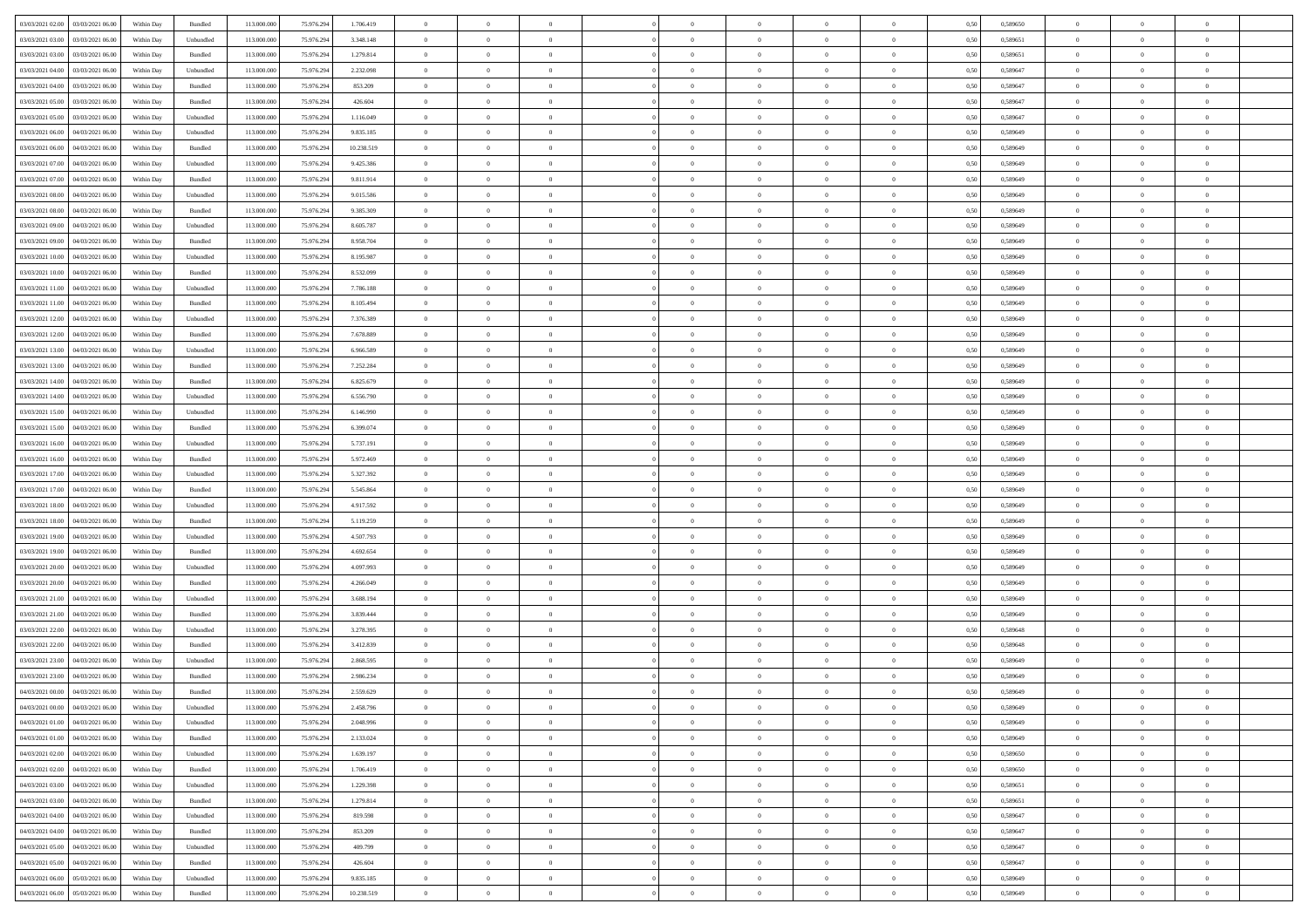| 03/03/2021 02:00 03/03/2021 06:00            | Within Day | Bundled   | 113.000.000 | 75.976.294 | 1.706.419  | $\overline{0}$ | $\overline{0}$ |                | $\overline{0}$ | $\theta$       |                | $\theta$       | 0,50 | 0,589650 | $\theta$       | $\theta$       | $\overline{0}$ |  |
|----------------------------------------------|------------|-----------|-------------|------------|------------|----------------|----------------|----------------|----------------|----------------|----------------|----------------|------|----------|----------------|----------------|----------------|--|
| 03/03/2021 03:00<br>03/03/2021 06:00         | Within Day | Unbundled | 113.000.00  | 75.976.29  | 3.348.148  | $\bf{0}$       | $\bf{0}$       | $\bf{0}$       | $\bf{0}$       | $\overline{0}$ | $\overline{0}$ | $\bf{0}$       | 0,50 | 0,589651 | $\,$ 0 $\,$    | $\bf{0}$       | $\overline{0}$ |  |
| 03/03/2021 03:00<br>03/03/2021 06:00         | Within Day | Bundled   | 113,000,000 | 75.976.294 | 1.279.814  | $\overline{0}$ | $\bf{0}$       | $\overline{0}$ | $\bf{0}$       | $\bf{0}$       | $\overline{0}$ | $\bf{0}$       | 0.50 | 0.589651 | $\bf{0}$       | $\overline{0}$ | $\bf{0}$       |  |
|                                              |            |           |             |            |            | $\overline{0}$ | $\overline{0}$ | $\overline{0}$ | $\overline{0}$ | $\theta$       | $\overline{0}$ |                |      |          | $\theta$       | $\theta$       | $\overline{0}$ |  |
| 03/03/2021 04:00<br>03/03/2021 06:00         | Within Day | Unbundled | 113.000.000 | 75.976.294 | 2.232.098  |                |                |                |                |                |                | $\bf{0}$       | 0,50 | 0,589647 |                |                |                |  |
| 03/03/2021 04:00<br>03/03/2021 06.00         | Within Day | Bundled   | 113.000.00  | 75.976.294 | 853.209    | $\bf{0}$       | $\overline{0}$ | $\bf{0}$       | $\overline{0}$ | $\theta$       | $\overline{0}$ | $\bf{0}$       | 0,50 | 0,589647 | $\,$ 0 $\,$    | $\bf{0}$       | $\overline{0}$ |  |
| 03/03/2021 05:00<br>03/03/2021 06:00         | Within Day | Bundled   | 113,000,000 | 75.976.294 | 426.604    | $\overline{0}$ | $\overline{0}$ | $\overline{0}$ | $\bf{0}$       | $\overline{0}$ | $\theta$       | $\bf{0}$       | 0.50 | 0.589647 | $\,$ 0 $\,$    | $\theta$       | $\overline{0}$ |  |
| 03/03/2021 05:00<br>03/03/2021 06:00         | Within Day | Unbundled | 113.000.000 | 75.976.294 | 1.116.049  | $\overline{0}$ | $\overline{0}$ | $\overline{0}$ | $\overline{0}$ | $\overline{0}$ | $\overline{0}$ | $\bf{0}$       | 0,50 | 0,589647 | $\theta$       | $\theta$       | $\overline{0}$ |  |
|                                              |            |           |             |            |            |                | $\bf{0}$       | $\bf{0}$       | $\overline{0}$ | $\overline{0}$ | $\overline{0}$ |                |      |          | $\,$ 0 $\,$    | $\bf{0}$       | $\overline{0}$ |  |
| 03/03/2021 06:00<br>04/03/2021 06.00         | Within Day | Unbundled | 113.000.00  | 75.976.29  | 9.835.185  | $\bf{0}$       |                |                |                |                |                | $\bf{0}$       | 0,50 | 0,589649 |                |                |                |  |
| 03/03/2021 06:00<br>04/03/2021 06:00         | Within Day | Bundled   | 113,000,000 | 75.976.294 | 10.238.519 | $\overline{0}$ | $\bf{0}$       | $\overline{0}$ | $\bf{0}$       | $\overline{0}$ | $\overline{0}$ | $\bf{0}$       | 0.50 | 0.589649 | $\bf{0}$       | $\overline{0}$ | $\overline{0}$ |  |
| 03/03/2021 07:00<br>04/03/2021 06:00         | Within Day | Unbundled | 113.000.000 | 75.976.294 | 9.425.386  | $\bf{0}$       | $\bf{0}$       | $\overline{0}$ | $\overline{0}$ | $\overline{0}$ | $\overline{0}$ | $\bf{0}$       | 0,50 | 0,589649 | $\,$ 0 $\,$    | $\bf{0}$       | $\overline{0}$ |  |
| 03/03/2021 07:00<br>04/03/2021 06.00         | Within Day | Bundled   | 113.000.00  | 75.976.29  | 9.811.914  | $\bf{0}$       | $\bf{0}$       | $\bf{0}$       | $\bf{0}$       | $\overline{0}$ | $\overline{0}$ | $\bf{0}$       | 0,50 | 0,589649 | $\,$ 0 $\,$    | $\bf{0}$       | $\overline{0}$ |  |
| 03/03/2021 08:00<br>04/03/2021 06:00         | Within Day | Unbundled | 113,000,000 | 75.976.294 | 9.015.586  | $\overline{0}$ | $\bf{0}$       | $\overline{0}$ | $\overline{0}$ | $\bf{0}$       | $\overline{0}$ | $\bf{0}$       | 0.50 | 0.589649 | $\bf{0}$       | $\overline{0}$ | $\,$ 0         |  |
|                                              |            |           |             |            |            |                |                |                |                |                |                |                |      |          |                |                |                |  |
| 03/03/2021 08:00<br>04/03/2021 06:00         | Within Day | Bundled   | 113.000.000 | 75.976.294 | 9.385.309  | $\overline{0}$ | $\overline{0}$ | $\overline{0}$ | $\theta$       | $\theta$       | $\overline{0}$ | $\bf{0}$       | 0,50 | 0,589649 | $\theta$       | $\theta$       | $\overline{0}$ |  |
| 03/03/2021 09:00<br>04/03/2021 06.00         | Within Day | Unbundled | 113.000.00  | 75.976.29  | 8.605.787  | $\bf{0}$       | $\overline{0}$ | $\bf{0}$       | $\bf{0}$       | $\bf{0}$       | $\overline{0}$ | $\bf{0}$       | 0,50 | 0,589649 | $\,$ 0 $\,$    | $\bf{0}$       | $\overline{0}$ |  |
| 03/03/2021 09:00<br>04/03/2021 06:00         | Within Day | Bundled   | 113,000,000 | 75.976.294 | 8.958.704  | $\overline{0}$ | $\overline{0}$ | $\overline{0}$ | $\bf{0}$       | $\overline{0}$ | $\theta$       | $\bf{0}$       | 0.50 | 0.589649 | $\,$ 0 $\,$    | $\theta$       | $\overline{0}$ |  |
| 03/03/2021 10:00<br>04/03/2021 06:00         | Within Day | Unbundled | 113.000.000 | 75.976.294 | 8.195.987  | $\overline{0}$ | $\overline{0}$ | $\overline{0}$ | $\overline{0}$ | $\overline{0}$ | $\overline{0}$ | $\bf{0}$       | 0,50 | 0,589649 | $\theta$       | $\theta$       | $\overline{0}$ |  |
| 03/03/2021 10:00<br>04/03/2021 06.00         | Within Day | Bundled   | 113.000.00  | 75.976.29  | 8.532.099  | $\bf{0}$       | $\bf{0}$       | $\bf{0}$       | $\overline{0}$ | $\overline{0}$ | $\overline{0}$ | $\bf{0}$       | 0,50 | 0,589649 | $\,$ 0 $\,$    | $\bf{0}$       | $\overline{0}$ |  |
|                                              |            |           |             |            |            |                |                |                |                |                |                |                |      |          |                |                |                |  |
| 03/03/2021 11:00<br>04/03/2021 06:00         | Within Day | Unbundled | 113,000,000 | 75.976.294 | 7.786.188  | $\overline{0}$ | $\bf{0}$       | $\overline{0}$ | $\bf{0}$       | $\overline{0}$ | $\overline{0}$ | $\bf{0}$       | 0.50 | 0.589649 | $\bf{0}$       | $\overline{0}$ | $\bf{0}$       |  |
| 03/03/2021 11:00<br>04/03/2021 06:00         | Within Day | Bundled   | 113.000.000 | 75.976.294 | 8.105.494  | $\overline{0}$ | $\bf{0}$       | $\overline{0}$ | $\overline{0}$ | $\overline{0}$ | $\overline{0}$ | $\bf{0}$       | 0,50 | 0,589649 | $\,$ 0 $\,$    | $\bf{0}$       | $\overline{0}$ |  |
| 03/03/2021 12:00<br>04/03/2021 06.00         | Within Day | Unbundled | 113.000.00  | 75.976.294 | 7.376.389  | $\bf{0}$       | $\bf{0}$       | $\bf{0}$       | $\bf{0}$       | $\overline{0}$ | $\overline{0}$ | $\bf{0}$       | 0,50 | 0,589649 | $\,$ 0 $\,$    | $\bf{0}$       | $\overline{0}$ |  |
| 03/03/2021 12:00<br>04/03/2021 06:00         | Within Day | Bundled   | 113,000,000 | 75.976.294 | 7.678.889  | $\overline{0}$ | $\bf{0}$       | $\overline{0}$ | $\overline{0}$ | $\bf{0}$       | $\overline{0}$ | $\bf{0}$       | 0.50 | 0.589649 | $\bf{0}$       | $\overline{0}$ | $\,$ 0         |  |
| 03/03/2021 13:00<br>04/03/2021 06:00         | Within Day | Unbundled | 113.000.000 | 75.976.294 | 6.966.589  | $\overline{0}$ | $\overline{0}$ | $\overline{0}$ | $\theta$       | $\theta$       | $\overline{0}$ | $\bf{0}$       | 0,50 | 0,589649 | $\theta$       | $\theta$       | $\overline{0}$ |  |
|                                              |            |           |             |            |            |                |                |                |                |                |                |                |      |          |                |                |                |  |
| 03/03/2021 13:00<br>04/03/2021 06.00         | Within Day | Bundled   | 113.000.00  | 75.976.29  | 7.252.284  | $\bf{0}$       | $\bf{0}$       | $\bf{0}$       | $\bf{0}$       | $\overline{0}$ | $\overline{0}$ | $\bf{0}$       | 0,50 | 0,589649 | $\,$ 0 $\,$    | $\bf{0}$       | $\overline{0}$ |  |
| 03/03/2021 14:00<br>04/03/2021 06:00         | Within Day | Bundled   | 113,000,000 | 75.976.294 | 6.825.679  | $\overline{0}$ | $\overline{0}$ | $\overline{0}$ | $\bf{0}$       | $\overline{0}$ | $\theta$       | $\bf{0}$       | 0.50 | 0.589649 | $\,$ 0 $\,$    | $\theta$       | $\overline{0}$ |  |
| 03/03/2021 14:00<br>04/03/2021 06:00         | Within Day | Unbundled | 113.000.000 | 75.976.294 | 6.556.790  | $\overline{0}$ | $\overline{0}$ | $\overline{0}$ | $\overline{0}$ | $\overline{0}$ | $\overline{0}$ | $\bf{0}$       | 0,50 | 0,589649 | $\theta$       | $\theta$       | $\overline{0}$ |  |
| 03/03/2021 15:00<br>04/03/2021 06.00         | Within Day | Unbundled | 113.000.00  | 75.976.29  | 6.146.990  | $\bf{0}$       | $\overline{0}$ | $\bf{0}$       | $\overline{0}$ | $\bf{0}$       | $\overline{0}$ | $\bf{0}$       | 0,50 | 0,589649 | $\,$ 0 $\,$    | $\bf{0}$       | $\overline{0}$ |  |
| 03/03/2021 15:00<br>04/03/2021 06:00         |            | Bundled   | 113,000,000 | 75.976.294 |            |                |                |                |                |                | $\overline{0}$ |                |      |          |                |                |                |  |
|                                              | Within Day |           |             |            | 6.399.074  | $\overline{0}$ | $\bf{0}$       | $\overline{0}$ | $\bf{0}$       | $\overline{0}$ |                | $\bf{0}$       | 0.50 | 0.589649 | $\bf{0}$       | $\overline{0}$ | $\overline{0}$ |  |
| 03/03/2021 16:00<br>04/03/2021 06:00         | Within Day | Unbundled | 113.000.000 | 75.976.294 | 5.737.191  | $\overline{0}$ | $\bf{0}$       | $\overline{0}$ | $\overline{0}$ | $\overline{0}$ | $\overline{0}$ | $\bf{0}$       | 0,50 | 0,589649 | $\theta$       | $\theta$       | $\overline{0}$ |  |
| 03/03/2021 16:00<br>04/03/2021 06.00         | Within Day | Bundled   | 113.000.00  | 75.976.294 | 5.972.469  | $\bf{0}$       | $\bf{0}$       | $\bf{0}$       | $\bf{0}$       | $\overline{0}$ | $\overline{0}$ | $\bf{0}$       | 0,50 | 0,589649 | $\,$ 0 $\,$    | $\bf{0}$       | $\overline{0}$ |  |
| 03/03/2021 17:00<br>04/03/2021 06:00         | Within Day | Unbundled | 113,000,000 | 75.976.294 | 5.327.392  | $\overline{0}$ | $\bf{0}$       | $\overline{0}$ | $\overline{0}$ | $\bf{0}$       | $\overline{0}$ | $\bf{0}$       | 0.50 | 0.589649 | $\bf{0}$       | $\overline{0}$ | $\,$ 0         |  |
| 03/03/2021 17:00<br>04/03/2021 06:00         | Within Day | Bundled   | 113.000.000 | 75.976.294 | 5.545.864  | $\overline{0}$ | $\overline{0}$ | $\overline{0}$ | $\overline{0}$ | $\overline{0}$ | $\overline{0}$ | $\bf{0}$       | 0.50 | 0.589649 | $\theta$       | $\theta$       | $\overline{0}$ |  |
|                                              |            |           |             |            |            |                | $\bf{0}$       | $\bf{0}$       |                | $\overline{0}$ | $\overline{0}$ |                |      |          | $\,$ 0 $\,$    | $\bf{0}$       | $\overline{0}$ |  |
| 03/03/2021 18:00<br>04/03/2021 06.00         | Within Day | Unbundled | 113.000.00  | 75.976.29  | 4.917.592  | $\bf{0}$       |                |                | $\bf{0}$       |                |                | $\bf{0}$       | 0,50 | 0,589649 |                |                |                |  |
| 03/03/2021 18:00<br>04/03/2021 06:00         | Within Day | Bundled   | 113,000,000 | 75.976.294 | 5.119.259  | $\overline{0}$ | $\bf{0}$       | $\overline{0}$ | $\bf{0}$       | $\overline{0}$ | $\Omega$       | $\bf{0}$       | 0.50 | 0.589649 | $\,$ 0 $\,$    | $\theta$       | $\overline{0}$ |  |
| 03/03/2021 19:00<br>04/03/2021 06:00         | Within Dav | Unbundled | 113.000.000 | 75.976.294 | 4.507.793  | $\overline{0}$ | $\overline{0}$ | $\overline{0}$ | $\overline{0}$ | $\overline{0}$ | $\overline{0}$ | $\bf{0}$       | 0.5( | 0.589649 | $\theta$       | $\theta$       | $\overline{0}$ |  |
| 03/03/2021 19:00<br>04/03/2021 06.00         | Within Day | Bundled   | 113.000.00  | 75.976.29  | 4.692.654  | $\bf{0}$       | $\bf{0}$       | $\bf{0}$       | $\bf{0}$       | $\overline{0}$ | $\overline{0}$ | $\bf{0}$       | 0,50 | 0,589649 | $\,$ 0 $\,$    | $\bf{0}$       | $\overline{0}$ |  |
| 03/03/2021 20:00<br>04/03/2021 06:00         | Within Day | Unbundled | 113,000,000 | 75.976.294 | 4.097.993  | $\overline{0}$ | $\bf{0}$       | $\overline{0}$ | $\bf{0}$       | $\overline{0}$ | $\overline{0}$ | $\bf{0}$       | 0.50 | 0.589649 | $\bf{0}$       | $\overline{0}$ | $\bf{0}$       |  |
| 03/03/2021 20:00<br>04/03/2021 06:00         | Within Day | Bundled   | 113.000.000 | 75.976.294 | 4.266.049  | $\overline{0}$ | $\overline{0}$ | $\overline{0}$ | $\overline{0}$ | $\overline{0}$ | $\overline{0}$ | $\bf{0}$       | 0.50 | 0.589649 | $\theta$       | $\theta$       | $\overline{0}$ |  |
|                                              |            |           |             |            |            |                |                |                |                |                |                |                |      |          |                |                |                |  |
| 03/03/2021 21:00<br>04/03/2021 06.00         | Within Day | Unbundled | 113.000.00  | 75.976.29  | 3.688.194  | $\bf{0}$       | $\bf{0}$       | $\bf{0}$       | $\bf{0}$       | $\overline{0}$ | $\overline{0}$ | $\bf{0}$       | 0,50 | 0,589649 | $\,$ 0 $\,$    | $\bf{0}$       | $\overline{0}$ |  |
| 03/03/2021 21:00<br>04/03/2021 06:00         | Within Day | Bundled   | 113,000,000 | 75.976.294 | 3.839.444  | $\overline{0}$ | $\bf{0}$       | $\overline{0}$ | $\overline{0}$ | $\bf{0}$       | $\overline{0}$ | $\bf{0}$       | 0.50 | 0.589649 | $\bf{0}$       | $\overline{0}$ | $\,$ 0         |  |
| 03/03/2021 22:00<br>04/03/2021 06:00         | Within Dav | Unbundled | 113.000.000 | 75.976.294 | 3.278.395  | $\overline{0}$ | $\overline{0}$ | $\overline{0}$ | $\overline{0}$ | $\overline{0}$ | $\overline{0}$ | $\bf{0}$       | 0.50 | 0.589648 | $\theta$       | $\theta$       | $\overline{0}$ |  |
| 03/03/2021 22:00<br>04/03/2021 06.00         | Within Day | Bundled   | 113.000.00  | 75.976.294 | 3.412.839  | $\bf{0}$       | $\bf{0}$       | $\bf{0}$       | $\bf{0}$       | $\overline{0}$ | $\overline{0}$ | $\bf{0}$       | 0,50 | 0,589648 | $\,$ 0 $\,$    | $\bf{0}$       | $\overline{0}$ |  |
| 03/03/2021 23:00<br>04/03/2021 06:00         | Within Day | Unbundled | 113,000,000 | 75.976.294 | 2.868.595  | $\overline{0}$ | $\overline{0}$ | $\overline{0}$ | $\bf{0}$       | $\overline{0}$ | $\Omega$       | $\bf{0}$       | 0.50 | 0.589649 | $\bf{0}$       | $\theta$       | $\overline{0}$ |  |
|                                              |            |           |             |            |            |                |                |                |                |                |                |                |      |          |                |                |                |  |
| 03/03/2021 23:00<br>04/03/2021 06:00         | Within Dav | Bundled   | 113.000.000 | 75.976.294 | 2.986.234  | $\overline{0}$ | $\overline{0}$ | $\Omega$       | $\theta$       | $\theta$       | $\overline{0}$ | $\overline{0}$ | 0.5( | 0.589649 | $\theta$       | $\theta$       | $\overline{0}$ |  |
| 04/03/2021 00:00<br>04/03/2021 06:00         | Within Day | Bundled   | 113.000.000 | 75.976.294 | 2.559.629  | $\bf{0}$       | $\bf{0}$       | $\bf{0}$       | $\bf{0}$       | $\bf{0}$       | $\overline{0}$ | $\bf{0}$       | 0,50 | 0,589649 | $\overline{0}$ | $\overline{0}$ | $\overline{0}$ |  |
| $04/03/2021\ 00.00 \qquad 04/03/2021\ 06.00$ | Within Day | Unbundled | 113.000.000 | 75.976.294 | 2.458.796  | $\bf{0}$       | $\theta$       |                | $\overline{0}$ |                |                |                | 0,50 | 0.589649 | $\bf{0}$       | $\overline{0}$ |                |  |
| 04/03/2021 01:00 04/03/2021 06:00            | Within Day | Unbundled | 113.000.000 | 75.976.294 | 2.048.996  | $\overline{0}$ | $\overline{0}$ | $\Omega$       | $\theta$       | $\overline{0}$ | $\overline{0}$ | $\bf{0}$       | 0,50 | 0,589649 | $\theta$       | $\overline{0}$ | $\overline{0}$ |  |
| 04/03/2021 01:00<br>04/03/2021 06:00         | Within Day | Bundled   | 113.000.00  | 75.976.294 | 2.133.024  | $\overline{0}$ | $\bf{0}$       | $\overline{0}$ | $\overline{0}$ | $\bf{0}$       | $\overline{0}$ | $\bf{0}$       | 0,50 | 0,589649 | $\bf{0}$       | $\overline{0}$ | $\bf{0}$       |  |
|                                              |            |           |             |            |            |                |                |                |                |                |                |                |      |          |                |                |                |  |
| 04/03/2021 02:00 04/03/2021 06:00            | Within Day | Unbundled | 113,000,000 | 75.976.294 | 1.639.197  | $\overline{0}$ | $\bf{0}$       | $\overline{0}$ | $\overline{0}$ | $\mathbf{0}$   | $\overline{0}$ | $\,$ 0 $\,$    | 0.50 | 0.589650 | $\overline{0}$ | $\bf{0}$       | $\,$ 0 $\,$    |  |
| 04/03/2021 02:00 04/03/2021 06:00            | Within Day | Bundled   | 113.000.000 | 75.976.294 | 1.706.419  | $\overline{0}$ | $\overline{0}$ | $\overline{0}$ | $\overline{0}$ | $\overline{0}$ | $\overline{0}$ | $\bf{0}$       | 0,50 | 0,589650 | $\overline{0}$ | $\theta$       | $\overline{0}$ |  |
| 04/03/2021 03:00<br>04/03/2021 06:00         | Within Day | Unbundled | 113.000.000 | 75.976.294 | 1.229.398  | $\overline{0}$ | $\bf{0}$       | $\overline{0}$ | $\overline{0}$ | $\bf{0}$       | $\overline{0}$ | $\bf{0}$       | 0,50 | 0,589651 | $\bf{0}$       | $\overline{0}$ | $\overline{0}$ |  |
| 04/03/2021 03:00<br>04/03/2021 06:00         | Within Day | Bundled   | 113,000,000 | 75.976.294 | 1.279.814  | $\overline{0}$ | $\bf{0}$       | $\overline{0}$ | $\overline{0}$ | $\overline{0}$ | $\overline{0}$ | $\bf{0}$       | 0.50 | 0.589651 | $\,$ 0 $\,$    | $\overline{0}$ | $\,$ 0         |  |
| 04/03/2021 04:00<br>04/03/2021 06:00         | Within Dav | Unbundled | 113.000.000 | 75.976.294 | 819,598    | $\overline{0}$ | $\overline{0}$ | $\overline{0}$ | $\overline{0}$ | $\overline{0}$ | $\overline{0}$ | $\bf{0}$       | 0.50 | 0,589647 | $\overline{0}$ | $\theta$       | $\overline{0}$ |  |
|                                              |            |           |             |            |            |                |                |                |                |                |                |                |      |          |                |                |                |  |
| 04/03/2021 04:00<br>04/03/2021 06:00         | Within Day | Bundled   | 113.000.00  | 75.976.294 | 853.209    | $\overline{0}$ | $\overline{0}$ | $\overline{0}$ | $\overline{0}$ | $\overline{0}$ | $\overline{0}$ | $\bf{0}$       | 0,50 | 0,589647 | $\bf{0}$       | $\overline{0}$ | $\overline{0}$ |  |
| 04/03/2021 05:00 04/03/2021 06:00            | Within Day | Unbundled | 113,000,000 | 75.976.294 | 409,799    | $\overline{0}$ | $\overline{0}$ | $\overline{0}$ | $\overline{0}$ | $\overline{0}$ | $\overline{0}$ | $\bf{0}$       | 0.50 | 0.589647 | $\mathbf{0}$   | $\bf{0}$       | $\,$ 0         |  |
| 04/03/2021 05:00 04/03/2021 06:00            | Within Dav | Bundled   | 113.000.000 | 75.976.294 | 426.604    | $\overline{0}$ | $\overline{0}$ | $\overline{0}$ | $\overline{0}$ | $\overline{0}$ | $\overline{0}$ | $\bf{0}$       | 0,50 | 0,589647 | $\overline{0}$ | $\theta$       | $\overline{0}$ |  |
| 04/03/2021 06:00<br>05/03/2021 06:00         | Within Day | Unbundled | 113.000.00  | 75.976.294 | 9.835.185  | $\overline{0}$ | $\bf{0}$       | $\overline{0}$ | $\bf{0}$       | $\overline{0}$ | $\overline{0}$ | $\bf{0}$       | 0,50 | 0,589649 | $\bf{0}$       | $\,0\,$        | $\bf{0}$       |  |
|                                              |            |           |             |            |            |                |                |                |                |                |                |                |      |          |                |                |                |  |
| 04/03/2021 06:00 05/03/2021 06:00            | Within Day | Bundled   | 113.000.000 | 75.976.294 | 10.238.519 | $\overline{0}$ | $\bf{0}$       | $\overline{0}$ | $\overline{0}$ | $\,$ 0 $\,$    | $\overline{0}$ | $\bf{0}$       | 0,50 | 0,589649 | $\overline{0}$ | $\,$ 0 $\,$    | $\,$ 0 $\,$    |  |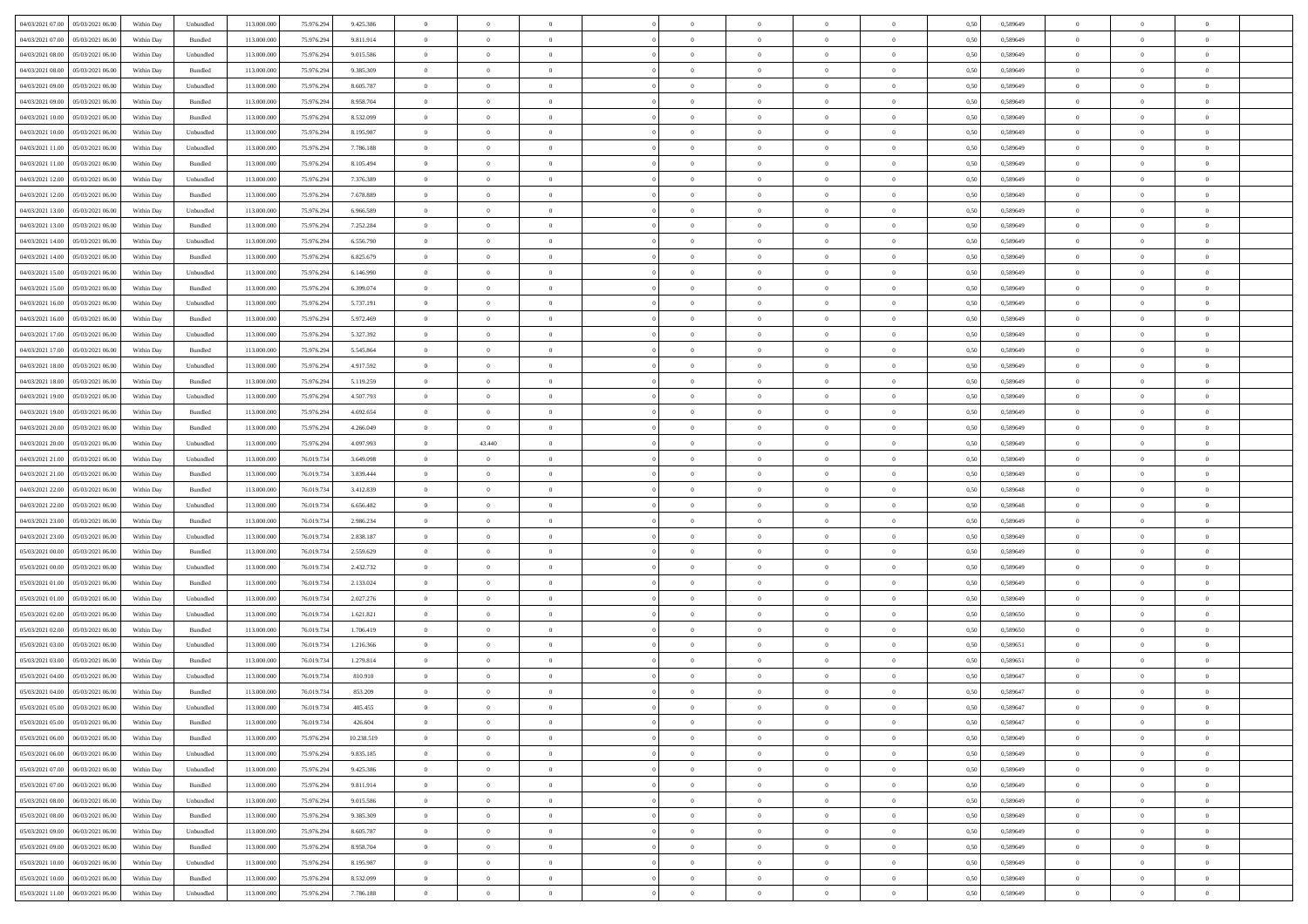| 04/03/2021 07:00 05/03/2021 06:00    | Within Day | Unbundled                   | 113.000.000 | 75.976.294 | 9.425.386  | $\overline{0}$ | $\overline{0}$ |                | $\overline{0}$ | $\theta$       |                | $\theta$       | 0,50 | 0,589649 | $\theta$       | $\theta$       | $\overline{0}$ |  |
|--------------------------------------|------------|-----------------------------|-------------|------------|------------|----------------|----------------|----------------|----------------|----------------|----------------|----------------|------|----------|----------------|----------------|----------------|--|
| 04/03/2021 07:00<br>05/03/2021 06:00 | Within Day | Bundled                     | 113.000.00  | 75.976.29  | 9.811.914  | $\bf{0}$       | $\bf{0}$       | $\bf{0}$       | $\overline{0}$ | $\overline{0}$ | $\overline{0}$ | $\bf{0}$       | 0,50 | 0,589649 | $\,$ 0 $\,$    | $\bf{0}$       | $\overline{0}$ |  |
| 04/03/2021 08:00<br>05/03/2021 06:00 | Within Day | Unbundled                   | 113,000,000 | 75.976.294 | 9.015.586  | $\overline{0}$ | $\bf{0}$       | $\overline{0}$ | $\bf{0}$       | $\bf{0}$       | $\overline{0}$ | $\bf{0}$       | 0.50 | 0.589649 | $\bf{0}$       | $\overline{0}$ | $\overline{0}$ |  |
| 04/03/2021 08:00<br>05/03/2021 06:00 |            |                             | 113.000.000 | 75.976.294 |            | $\overline{0}$ | $\overline{0}$ | $\overline{0}$ | $\theta$       | $\theta$       | $\overline{0}$ | $\overline{0}$ |      |          | $\theta$       | $\theta$       | $\overline{0}$ |  |
|                                      | Within Day | Bundled                     |             |            | 9.385.309  |                |                |                |                |                |                |                | 0,50 | 0,589649 |                |                |                |  |
| 04/03/2021 09:00<br>05/03/2021 06.00 | Within Day | Unbundled                   | 113.000.00  | 75.976.29  | 8.605.787  | $\bf{0}$       | $\overline{0}$ | $\bf{0}$       | $\overline{0}$ | $\theta$       | $\overline{0}$ | $\bf{0}$       | 0,50 | 0,589649 | $\,$ 0 $\,$    | $\bf{0}$       | $\overline{0}$ |  |
| 04/03/2021 09:00<br>05/03/2021 06:00 | Within Day | Bundled                     | 113,000,000 | 75.976.294 | 8.958.704  | $\overline{0}$ | $\overline{0}$ | $\overline{0}$ | $\bf{0}$       | $\overline{0}$ | $\Omega$       | $\bf{0}$       | 0.50 | 0.589649 | $\,$ 0 $\,$    | $\theta$       | $\overline{0}$ |  |
| 04/03/2021 10:00<br>05/03/2021 06:00 | Within Day | Bundled                     | 113.000.000 | 75.976.294 | 8.532.099  | $\overline{0}$ | $\overline{0}$ | $\overline{0}$ | $\overline{0}$ | $\theta$       | $\overline{0}$ | $\bf{0}$       | 0,50 | 0,589649 | $\theta$       | $\theta$       | $\overline{0}$ |  |
|                                      |            |                             |             |            |            |                |                |                |                |                |                |                |      |          |                |                |                |  |
| 04/03/2021 10:00<br>05/03/2021 06.00 | Within Day | Unbundled                   | 113.000.00  | 75.976.29  | 8.195.987  | $\bf{0}$       | $\overline{0}$ | $\bf{0}$       | $\overline{0}$ | $\theta$       | $\overline{0}$ | $\bf{0}$       | 0,50 | 0,589649 | $\,$ 0 $\,$    | $\bf{0}$       | $\overline{0}$ |  |
| 04/03/2021 11:00<br>05/03/2021 06:00 | Within Day | Unbundled                   | 113,000,000 | 75.976.294 | 7.786.188  | $\overline{0}$ | $\bf{0}$       | $\overline{0}$ | $\bf{0}$       | $\overline{0}$ | $\overline{0}$ | $\bf{0}$       | 0.50 | 0.589649 | $\bf{0}$       | $\overline{0}$ | $\overline{0}$ |  |
| 04/03/2021 11:00<br>05/03/2021 06:00 | Within Day | Bundled                     | 113.000.000 | 75.976.294 | 8.105.494  | $\overline{0}$ | $\bf{0}$       | $\overline{0}$ | $\overline{0}$ | $\overline{0}$ | $\overline{0}$ | $\bf{0}$       | 0,50 | 0,589649 | $\,$ 0 $\,$    | $\bf{0}$       | $\overline{0}$ |  |
| 04/03/2021 12:00<br>05/03/2021 06.00 | Within Day | Unbundled                   | 113.000.00  | 75.976.29  | 7.376.389  | $\bf{0}$       | $\overline{0}$ | $\bf{0}$       | $\bf{0}$       | $\bf{0}$       | $\overline{0}$ | $\bf{0}$       | 0,50 | 0,589649 | $\,$ 0 $\,$    | $\bf{0}$       | $\overline{0}$ |  |
|                                      |            |                             |             |            |            |                |                |                |                |                |                |                |      |          |                |                |                |  |
| 04/03/2021 12:00<br>05/03/2021 06:00 | Within Day | Bundled                     | 113,000,000 | 75.976.294 | 7.678.889  | $\overline{0}$ | $\bf{0}$       | $\overline{0}$ | $\overline{0}$ | $\bf{0}$       | $\overline{0}$ | $\bf{0}$       | 0.50 | 0.589649 | $\bf{0}$       | $\overline{0}$ | $\bf{0}$       |  |
| 04/03/2021 13:00<br>05/03/2021 06:00 | Within Day | Unbundled                   | 113.000.000 | 75.976.294 | 6.966.589  | $\overline{0}$ | $\overline{0}$ | $\overline{0}$ | $\theta$       | $\theta$       | $\overline{0}$ | $\overline{0}$ | 0,50 | 0,589649 | $\theta$       | $\theta$       | $\overline{0}$ |  |
| 04/03/2021 13:00<br>05/03/2021 06.00 | Within Day | Bundled                     | 113.000.00  | 75.976.294 | 7.252.284  | $\bf{0}$       | $\overline{0}$ | $\bf{0}$       | $\overline{0}$ | $\theta$       | $\overline{0}$ | $\bf{0}$       | 0,50 | 0,589649 | $\,$ 0 $\,$    | $\bf{0}$       | $\overline{0}$ |  |
|                                      |            |                             |             |            |            |                |                |                |                |                |                |                |      |          |                |                |                |  |
| 04/03/2021 14:00<br>05/03/2021 06:00 | Within Day | Unbundled                   | 113,000,000 | 75.976.294 | 6.556.790  | $\overline{0}$ | $\overline{0}$ | $\overline{0}$ | $\bf{0}$       | $\overline{0}$ | $\Omega$       | $\bf{0}$       | 0.50 | 0.589649 | $\,$ 0 $\,$    | $\theta$       | $\overline{0}$ |  |
| 04/03/2021 14:00<br>05/03/2021 06:00 | Within Day | Bundled                     | 113.000.000 | 75.976.294 | 6.825.679  | $\overline{0}$ | $\overline{0}$ | $\overline{0}$ | $\overline{0}$ | $\overline{0}$ | $\overline{0}$ | $\bf{0}$       | 0,50 | 0,589649 | $\theta$       | $\theta$       | $\overline{0}$ |  |
| 04/03/2021 15:00<br>05/03/2021 06.00 | Within Day | Unbundled                   | 113.000.00  | 75.976.29  | 6.146.990  | $\bf{0}$       | $\overline{0}$ | $\bf{0}$       | $\overline{0}$ | $\theta$       | $\overline{0}$ | $\bf{0}$       | 0,50 | 0,589649 | $\,$ 0 $\,$    | $\bf{0}$       | $\overline{0}$ |  |
| 04/03/2021 15:00<br>05/03/2021 06:00 | Within Day | Bundled                     | 113,000,00  | 75.976.294 | 6.399.074  | $\overline{0}$ | $\bf{0}$       | $\overline{0}$ | $\bf{0}$       | $\overline{0}$ | $\overline{0}$ | $\bf{0}$       | 0.50 | 0.589649 | $\bf{0}$       | $\overline{0}$ | $\overline{0}$ |  |
| 04/03/2021 16:00<br>05/03/2021 06:00 |            |                             | 113.000.000 |            |            | $\overline{0}$ | $\bf{0}$       | $\overline{0}$ | $\overline{0}$ | $\overline{0}$ | $\overline{0}$ |                |      |          | $\,$ 0 $\,$    | $\theta$       | $\overline{0}$ |  |
|                                      | Within Day | Unbundled                   |             | 75.976.294 | 5.737.191  |                |                |                |                |                |                | $\bf{0}$       | 0,50 | 0,589649 |                |                |                |  |
| 04/03/2021 16:00<br>05/03/2021 06.00 | Within Day | Bundled                     | 113.000.00  | 75.976.294 | 5.972.469  | $\bf{0}$       | $\bf{0}$       | $\bf{0}$       | $\bf{0}$       | $\overline{0}$ | $\overline{0}$ | $\bf{0}$       | 0,50 | 0,589649 | $\,$ 0 $\,$    | $\bf{0}$       | $\overline{0}$ |  |
| 04/03/2021 17:00<br>05/03/2021 06:00 | Within Day | Unbundled                   | 113,000,000 | 75.976.294 | 5.327.392  | $\overline{0}$ | $\bf{0}$       | $\overline{0}$ | $\bf{0}$       | $\bf{0}$       | $\overline{0}$ | $\bf{0}$       | 0.50 | 0.589649 | $\bf{0}$       | $\overline{0}$ | $\overline{0}$ |  |
| 04/03/2021 17:00<br>05/03/2021 06:00 | Within Day | Bundled                     | 113.000.000 | 75.976.294 | 5.545.864  | $\overline{0}$ | $\overline{0}$ | $\overline{0}$ | $\theta$       | $\theta$       | $\overline{0}$ | $\bf{0}$       | 0,50 | 0,589649 | $\theta$       | $\theta$       | $\overline{0}$ |  |
| 04/03/2021 18:00<br>05/03/2021 06.00 | Within Day | Unbundled                   | 113.000.00  | 75.976.294 | 4.917.592  | $\bf{0}$       | $\overline{0}$ | $\bf{0}$       | $\bf{0}$       | $\overline{0}$ | $\overline{0}$ | $\bf{0}$       | 0,50 | 0,589649 | $\,$ 0 $\,$    | $\bf{0}$       | $\overline{0}$ |  |
|                                      |            |                             |             |            |            |                |                |                |                |                |                |                |      |          |                |                |                |  |
| 04/03/2021 18:00<br>05/03/2021 06:00 | Within Day | Bundled                     | 113,000,000 | 75.976.294 | 5.119.259  | $\overline{0}$ | $\overline{0}$ | $\overline{0}$ | $\overline{0}$ | $\overline{0}$ | $\Omega$       | $\bf{0}$       | 0.50 | 0.589649 | $\,$ 0 $\,$    | $\theta$       | $\overline{0}$ |  |
| 04/03/2021 19:00<br>05/03/2021 06:00 | Within Day | Unbundled                   | 113.000.000 | 75.976.294 | 4.507.793  | $\overline{0}$ | $\overline{0}$ | $\overline{0}$ | $\overline{0}$ | $\theta$       | $\overline{0}$ | $\bf{0}$       | 0,50 | 0,589649 | $\theta$       | $\theta$       | $\overline{0}$ |  |
| 04/03/2021 19:00<br>05/03/2021 06.00 | Within Day | Bundled                     | 113.000.00  | 75.976.29  | 4.692.654  | $\bf{0}$       | $\overline{0}$ | $\bf{0}$       | $\overline{0}$ | $\theta$       | $\overline{0}$ | $\bf{0}$       | 0,50 | 0,589649 | $\,$ 0 $\,$    | $\bf{0}$       | $\overline{0}$ |  |
| 04/03/2021 20:00<br>05/03/2021 06:00 | Within Day | Bundled                     | 113,000,000 | 75.976.294 | 4.266.049  | $\overline{0}$ | $\bf{0}$       | $\overline{0}$ | $\bf{0}$       | $\overline{0}$ | $\overline{0}$ | $\bf{0}$       | 0.50 | 0.589649 | $\bf{0}$       | $\overline{0}$ | $\overline{0}$ |  |
|                                      |            |                             |             |            |            |                |                |                |                |                |                |                |      |          |                |                |                |  |
| 04/03/2021 20:00<br>05/03/2021 06:00 | Within Day | Unbundled                   | 113.000.000 | 75.976.294 | 4.097.993  | $\overline{0}$ | 43,440         | $\overline{0}$ | $\overline{0}$ | $\overline{0}$ | $\overline{0}$ | $\bf{0}$       | 0,50 | 0,589649 | $\theta$       | $\theta$       | $\overline{0}$ |  |
| 04/03/2021 21:00<br>05/03/2021 06.00 | Within Day | Unbundled                   | 113.000.00  | 76.019.73  | 3.649.098  | $\bf{0}$       | $\overline{0}$ | $\bf{0}$       | $\bf{0}$       | $\overline{0}$ | $\overline{0}$ | $\bf{0}$       | 0,50 | 0,589649 | $\,$ 0 $\,$    | $\bf{0}$       | $\overline{0}$ |  |
| 04/03/2021 21:00<br>05/03/2021 06:00 | Within Day | Bundled                     | 113,000,000 | 76,019,734 | 3.839.444  | $\overline{0}$ | $\bf{0}$       | $\overline{0}$ | $\bf{0}$       | $\bf{0}$       | $\overline{0}$ | $\bf{0}$       | 0.50 | 0.589649 | $\bf{0}$       | $\overline{0}$ | $\overline{0}$ |  |
| 04/03/2021 22:00<br>05/03/2021 06:00 | Within Day | Bundled                     | 113.000.000 | 76.019.73  | 3.412.839  | $\overline{0}$ | $\overline{0}$ | $\overline{0}$ | $\overline{0}$ | $\overline{0}$ | $\overline{0}$ | $\bf{0}$       | 0.50 | 0.589648 | $\theta$       | $\theta$       | $\overline{0}$ |  |
|                                      |            |                             |             |            |            |                |                |                |                |                |                |                |      |          |                |                |                |  |
| 04/03/2021 22:00<br>05/03/2021 06.00 | Within Day | Unbundled                   | 113.000.00  | 76.019.73  | 6.656.482  | $\bf{0}$       | $\overline{0}$ | $\bf{0}$       | $\bf{0}$       | $\overline{0}$ | $\overline{0}$ | $\bf{0}$       | 0,50 | 0,589648 | $\,$ 0 $\,$    | $\bf{0}$       | $\overline{0}$ |  |
| 04/03/2021 23:00<br>05/03/2021 06:00 | Within Day | Bundled                     | 113,000,000 | 76.019.73  | 2.986.234  | $\overline{0}$ | $\bf{0}$       | $\overline{0}$ | $\bf{0}$       | $\overline{0}$ | $\Omega$       | $\bf{0}$       | 0.50 | 0.589649 | $\,$ 0 $\,$    | $\theta$       | $\overline{0}$ |  |
| 04/03/2021 23:00<br>05/03/2021 06:00 | Within Dav | Unbundled                   | 113.000.000 | 76.019.734 | 2.838.187  | $\overline{0}$ | $\overline{0}$ | $\overline{0}$ | $\overline{0}$ | $\theta$       | $\overline{0}$ | $\bf{0}$       | 0.50 | 0.589649 | $\theta$       | $\theta$       | $\overline{0}$ |  |
| 05/03/2021 00:00<br>05/03/2021 06.00 | Within Day | Bundled                     | 113.000.00  | 76.019.73  | 2.559.629  | $\bf{0}$       | $\bf{0}$       | $\bf{0}$       | $\overline{0}$ | $\bf{0}$       | $\overline{0}$ | $\bf{0}$       | 0,50 | 0,589649 | $\,$ 0 $\,$    | $\bf{0}$       | $\overline{0}$ |  |
|                                      |            |                             |             |            |            |                |                |                |                |                |                |                |      |          |                |                |                |  |
| 05/03/2021 00:00<br>05/03/2021 06:00 | Within Day | Unbundled                   | 113,000,000 | 76.019.73  | 2.432.732  | $\overline{0}$ | $\bf{0}$       | $\overline{0}$ | $\bf{0}$       | $\overline{0}$ | $\overline{0}$ | $\bf{0}$       | 0.50 | 0.589649 | $\bf{0}$       | $\overline{0}$ | $\overline{0}$ |  |
| 05/03/2021 01:00<br>05/03/2021 06:00 | Within Day | Bundled                     | 113.000.000 | 76.019.734 | 2.133.024  | $\overline{0}$ | $\overline{0}$ | $\overline{0}$ | $\overline{0}$ | $\overline{0}$ | $\overline{0}$ | $\overline{0}$ | 0.50 | 0.589649 | $\theta$       | $\theta$       | $\overline{0}$ |  |
| 05/03/2021 01:00<br>05/03/2021 06.00 | Within Day | Unbundled                   | 113.000.00  | 76.019.73  | 2.027.276  | $\bf{0}$       | $\bf{0}$       | $\bf{0}$       | $\bf{0}$       | $\overline{0}$ | $\overline{0}$ | $\bf{0}$       | 0,50 | 0,589649 | $\,$ 0 $\,$    | $\bf{0}$       | $\overline{0}$ |  |
| 05/03/2021 02:00<br>05/03/2021 06:00 | Within Day | Unbundled                   | 113,000,000 | 76,019,734 | 1.621.821  | $\overline{0}$ | $\bf{0}$       | $\overline{0}$ | $\bf{0}$       | $\bf{0}$       | $\overline{0}$ | $\bf{0}$       | 0.50 | 0.589650 | $\bf{0}$       | $\overline{0}$ | $\overline{0}$ |  |
|                                      |            |                             |             |            |            |                |                |                |                |                |                |                |      |          |                |                |                |  |
| 05/03/2021 02:00<br>05/03/2021 06:00 | Within Day | Bundled                     | 113.000.000 | 76.019.734 | 1.706.419  | $\overline{0}$ | $\overline{0}$ | $\overline{0}$ | $\overline{0}$ | $\theta$       | $\overline{0}$ | $\bf{0}$       | 0.50 | 0,589650 | $\theta$       | $\theta$       | $\overline{0}$ |  |
| 05/03/2021 03:00<br>05/03/2021 06.00 | Within Day | Unbundled                   | 113.000.00  | 76.019.73  | 1.216.366  | $\bf{0}$       | $\bf{0}$       | $\bf{0}$       | $\bf{0}$       | $\overline{0}$ | $\overline{0}$ | $\bf{0}$       | 0,50 | 0,589651 | $\,$ 0 $\,$    | $\bf{0}$       | $\overline{0}$ |  |
| 05/03/2021 03:00<br>05/03/2021 06:00 | Within Day | Bundled                     | 113,000,000 | 76.019.73  | 1.279.814  | $\overline{0}$ | $\overline{0}$ | $\overline{0}$ | $\overline{0}$ | $\overline{0}$ | $\theta$       | $\bf{0}$       | 0.50 | 0.589651 | $\,$ 0 $\,$    | $\theta$       | $\overline{0}$ |  |
| 05/03/2021 04:00<br>05/03/2021 06:00 | Within Dav | Unbundled                   | 113.000.000 | 76.019.734 | 810.910    | $\overline{0}$ | $\overline{0}$ | $\Omega$       | $\overline{0}$ | $\theta$       | $\Omega$       | $\overline{0}$ | 0.5( | 0.589647 | $\theta$       | $\theta$       | $\overline{0}$ |  |
|                                      |            |                             |             |            |            | $\bf{0}$       | $\bf{0}$       | $\overline{0}$ | $\bf{0}$       | $\bf{0}$       | $\overline{0}$ |                |      |          | $\,$ 0 $\,$    | $\bf{0}$       | $\overline{0}$ |  |
| 05/03/2021 04:00<br>05/03/2021 06:00 | Within Day | Bundled                     | 113.000.00  | 76.019.73  | 853.209    |                |                |                |                |                |                | $\bf{0}$       | 0,50 | 0,589647 |                |                |                |  |
|                                      | Within Day | $\ensuremath{\mathsf{Unb}}$ | 113.000.000 | 76.019.734 | 405 455    | $\overline{0}$ | $\Omega$       |                | $\Omega$       |                |                |                | 0,50 | 0.589647 | $\theta$       | $\overline{0}$ |                |  |
| 05/03/2021 05:00 05/03/2021 06:00    | Within Day | Bundled                     | 113.000.000 | 76.019.734 | 426.604    | $\overline{0}$ | $\overline{0}$ | $\overline{0}$ | $\theta$       | $\overline{0}$ | $\overline{0}$ | $\bf{0}$       | 0,50 | 0,589647 | $\theta$       | $\overline{0}$ | $\overline{0}$ |  |
| 05/03/2021 06:00<br>06/03/2021 06:00 | Within Day | Bundled                     | 113.000.00  | 75.976.294 | 10.238.519 | $\overline{0}$ | $\bf{0}$       | $\overline{0}$ | $\overline{0}$ | $\bf{0}$       | $\overline{0}$ | $\bf{0}$       | 0,50 | 0,589649 | $\bf{0}$       | $\overline{0}$ | $\bf{0}$       |  |
| 05/03/2021 06:00   06/03/2021 06:00  | Within Day | Unbundled                   | 113,000,000 | 75.976.294 | 9.835.185  | $\overline{0}$ | $\bf{0}$       | $\overline{0}$ | $\overline{0}$ | $\mathbf{0}$   | $\overline{0}$ | $\,$ 0 $\,$    | 0.50 | 0.589649 | $\overline{0}$ | $\bf{0}$       | $\bf{0}$       |  |
|                                      |            |                             |             |            |            |                |                |                |                |                |                |                |      |          |                |                |                |  |
| 05/03/2021 07:00   06/03/2021 06:00  | Within Dav | Unbundled                   | 113.000.000 | 75.976.294 | 9.425.386  | $\overline{0}$ | $\overline{0}$ | $\overline{0}$ | $\overline{0}$ | $\overline{0}$ | $\overline{0}$ | $\bf{0}$       | 0,50 | 0.589649 | $\theta$       | $\theta$       | $\overline{0}$ |  |
| 05/03/2021 07:00<br>06/03/2021 06:00 | Within Day | Bundled                     | 113.000.000 | 75.976.294 | 9.811.914  | $\overline{0}$ | $\bf{0}$       | $\overline{0}$ | $\overline{0}$ | $\bf{0}$       | $\overline{0}$ | $\bf{0}$       | 0,50 | 0,589649 | $\bf{0}$       | $\overline{0}$ | $\overline{0}$ |  |
| 05/03/2021 08:00<br>06/03/2021 06:00 | Within Day | Unbundled                   | 113,000,000 | 75.976.294 | 9.015.586  | $\overline{0}$ | $\bf{0}$       | $\overline{0}$ | $\overline{0}$ | $\overline{0}$ | $\overline{0}$ | $\bf{0}$       | 0.50 | 0.589649 | $\,$ 0 $\,$    | $\overline{0}$ | $\,$ 0         |  |
| 05/03/2021 08:00<br>06/03/2021 06:00 | Within Dav | Bundled                     | 113.000.000 | 75.976.294 | 9.385.309  | $\overline{0}$ | $\overline{0}$ | $\overline{0}$ | $\overline{0}$ | $\overline{0}$ | $\overline{0}$ | $\bf{0}$       | 0,50 | 0.589649 | $\overline{0}$ | $\theta$       | $\overline{0}$ |  |
|                                      |            |                             |             |            |            |                |                |                |                |                |                |                |      |          |                |                |                |  |
| 05/03/2021 09:00<br>06/03/2021 06:00 | Within Day | Unbundled                   | 113.000.00  | 75.976.294 | 8.605.787  | $\overline{0}$ | $\overline{0}$ | $\overline{0}$ | $\overline{0}$ | $\overline{0}$ | $\overline{0}$ | $\bf{0}$       | 0,50 | 0,589649 | $\bf{0}$       | $\overline{0}$ | $\overline{0}$ |  |
| 05/03/2021 09:00<br>06/03/2021 06:00 | Within Day | Bundled                     | 113,000,000 | 75.976.294 | 8.958.704  | $\overline{0}$ | $\overline{0}$ | $\overline{0}$ | $\overline{0}$ | $\overline{0}$ | $\overline{0}$ | $\bf{0}$       | 0.50 | 0.589649 | $\mathbf{0}$   | $\bf{0}$       | $\,$ 0         |  |
| 05/03/2021 10:00   06/03/2021 06:00  | Within Dav | Unbundled                   | 113.000.000 | 75.976.294 | 8.195.987  | $\overline{0}$ | $\overline{0}$ | $\overline{0}$ | $\overline{0}$ | $\overline{0}$ | $\overline{0}$ | $\bf{0}$       | 0,50 | 0.589649 | $\overline{0}$ | $\theta$       | $\overline{0}$ |  |
|                                      |            |                             |             |            |            |                |                |                |                |                |                |                |      |          |                |                |                |  |
| 05/03/2021 10:00<br>06/03/2021 06:00 | Within Day | Bundled                     | 113.000.00  | 75.976.294 | 8.532.099  | $\overline{0}$ | $\bf{0}$       | $\overline{0}$ | $\overline{0}$ | $\overline{0}$ | $\overline{0}$ | $\bf{0}$       | 0,50 | 0,589649 | $\bf{0}$       | $\,$ 0 $\,$    | $\bf{0}$       |  |
| 05/03/2021 11:00   06/03/2021 06:00  | Within Day | Unbundled                   | 113.000.000 | 75.976.294 | 7.786.188  | $\overline{0}$ | $\bf{0}$       | $\overline{0}$ | $\overline{0}$ | $\,$ 0 $\,$    | $\overline{0}$ | $\bf{0}$       | 0,50 | 0,589649 | $\overline{0}$ | $\,$ 0 $\,$    | $\,$ 0 $\,$    |  |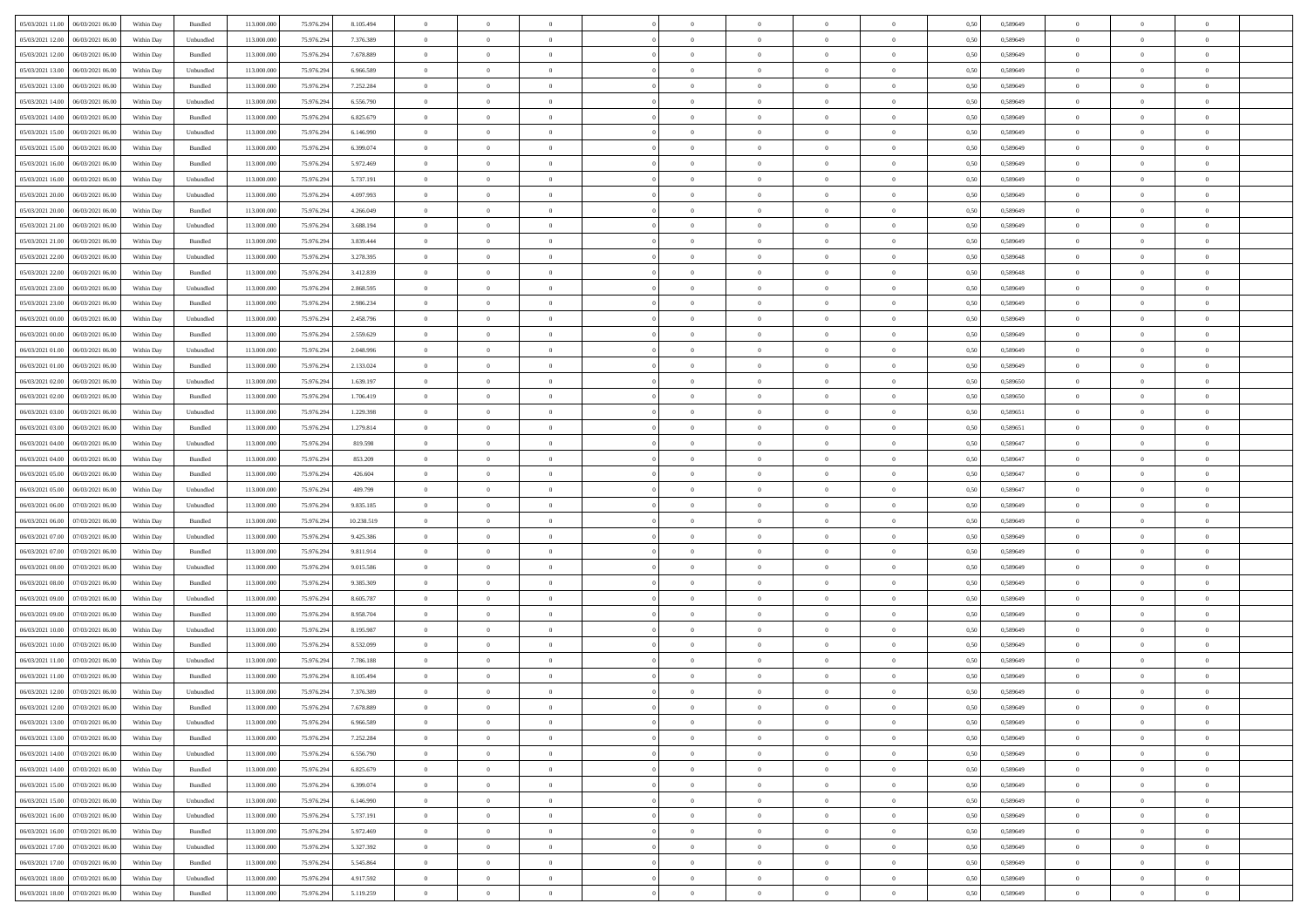|                                      |            |           |             |            |            | $\overline{0}$ | $\theta$       |                | $\overline{0}$ | $\theta$       |                | $\bf{0}$       |      |          | $\theta$       | $\theta$       | $\theta$       |  |
|--------------------------------------|------------|-----------|-------------|------------|------------|----------------|----------------|----------------|----------------|----------------|----------------|----------------|------|----------|----------------|----------------|----------------|--|
| 05/03/2021 11:00   06/03/2021 06:00  | Within Day | Bundled   | 113.000.000 | 75.976.294 | 8.105.494  |                |                |                |                |                |                |                | 0,50 | 0,589649 |                |                |                |  |
| 05/03/2021 12:00<br>06/03/2021 06:00 | Within Day | Unbundled | 113.000.00  | 75.976.29  | 7.376.389  | $\bf{0}$       | $\bf{0}$       | $\bf{0}$       | $\bf{0}$       | $\overline{0}$ | $\overline{0}$ | $\bf{0}$       | 0,50 | 0,589649 | $\,$ 0 $\,$    | $\bf{0}$       | $\overline{0}$ |  |
| 05/03/2021 12:00<br>06/03/2021 06:00 | Within Day | Bundled   | 113,000,000 | 75.976.294 | 7.678.889  | $\overline{0}$ | $\bf{0}$       | $\overline{0}$ | $\bf{0}$       | $\bf{0}$       | $\overline{0}$ | $\bf{0}$       | 0.50 | 0.589649 | $\bf{0}$       | $\overline{0}$ | $\overline{0}$ |  |
| 05/03/2021 13:00<br>06/03/2021 06:00 | Within Day | Unbundled | 113.000.000 | 75.976.294 | 6.966.589  | $\overline{0}$ | $\overline{0}$ | $\overline{0}$ | $\overline{0}$ | $\theta$       | $\overline{0}$ | $\bf{0}$       | 0,50 | 0,589649 | $\theta$       | $\theta$       | $\overline{0}$ |  |
|                                      |            |           |             |            |            |                |                |                |                |                |                |                |      |          |                |                |                |  |
| 05/03/2021 13:00<br>06/03/2021 06.00 | Within Day | Bundled   | 113.000.00  | 75.976.29  | 7.252.284  | $\bf{0}$       | $\overline{0}$ | $\bf{0}$       | $\overline{0}$ | $\theta$       | $\overline{0}$ | $\bf{0}$       | 0,50 | 0,589649 | $\,$ 0 $\,$    | $\bf{0}$       | $\overline{0}$ |  |
| 05/03/2021 14:00<br>06/03/2021 06:00 | Within Day | Unbundled | 113,000,000 | 75.976.294 | 6,556,790  | $\overline{0}$ | $\overline{0}$ | $\overline{0}$ | $\bf{0}$       | $\overline{0}$ | $\theta$       | $\bf{0}$       | 0.50 | 0.589649 | $\,$ 0 $\,$    | $\theta$       | $\overline{0}$ |  |
| 05/03/2021 14:00<br>06/03/2021 06:00 | Within Day | Bundled   | 113.000.000 | 75.976.294 | 6.825.679  | $\overline{0}$ | $\overline{0}$ | $\overline{0}$ | $\overline{0}$ | $\overline{0}$ | $\overline{0}$ | $\bf{0}$       | 0,50 | 0,589649 | $\theta$       | $\theta$       | $\overline{0}$ |  |
|                                      |            |           |             |            |            |                |                |                |                |                |                |                |      |          |                |                |                |  |
| 05/03/2021 15:00<br>06/03/2021 06:00 | Within Day | Unbundled | 113.000.00  | 75.976.29  | 6.146.990  | $\bf{0}$       | $\bf{0}$       | $\bf{0}$       | $\overline{0}$ | $\overline{0}$ | $\overline{0}$ | $\bf{0}$       | 0,50 | 0,589649 | $\,$ 0 $\,$    | $\bf{0}$       | $\overline{0}$ |  |
| 05/03/2021 15:00<br>06/03/2021 06:00 | Within Day | Bundled   | 113,000,000 | 75.976.294 | 6.399.074  | $\overline{0}$ | $\bf{0}$       | $\overline{0}$ | $\bf{0}$       | $\overline{0}$ | $\overline{0}$ | $\bf{0}$       | 0.50 | 0.589649 | $\bf{0}$       | $\overline{0}$ | $\overline{0}$ |  |
| 05/03/2021 16:00<br>06/03/2021 06:00 | Within Day | Bundled   | 113.000.000 | 75.976.294 | 5.972.469  | $\bf{0}$       | $\bf{0}$       | $\overline{0}$ | $\overline{0}$ | $\overline{0}$ | $\overline{0}$ | $\bf{0}$       | 0,50 | 0,589649 | $\,$ 0 $\,$    | $\bf{0}$       | $\overline{0}$ |  |
| 05/03/2021 16:00<br>06/03/2021 06.00 | Within Day | Unbundled | 113.000.00  | 75.976.294 | 5.737.191  | $\bf{0}$       | $\overline{0}$ | $\bf{0}$       | $\bf{0}$       | $\bf{0}$       | $\overline{0}$ | $\bf{0}$       | 0,50 | 0,589649 | $\,$ 0 $\,$    | $\bf{0}$       | $\overline{0}$ |  |
| 06/03/2021 06:00                     |            |           | 113,000,000 |            | 4.097.993  |                |                |                |                |                | $\overline{0}$ |                |      |          |                |                | $\,$ 0         |  |
| 05/03/2021 20:00                     | Within Day | Unbundled |             | 75.976.294 |            | $\overline{0}$ | $\bf{0}$       | $\overline{0}$ | $\overline{0}$ | $\bf{0}$       |                | $\bf{0}$       | 0.50 | 0.589649 | $\bf{0}$       | $\overline{0}$ |                |  |
| 05/03/2021 20:00<br>06/03/2021 06:00 | Within Day | Bundled   | 113.000.000 | 75.976.294 | 4.266.049  | $\overline{0}$ | $\overline{0}$ | $\overline{0}$ | $\theta$       | $\theta$       | $\overline{0}$ | $\bf{0}$       | 0,50 | 0,589649 | $\theta$       | $\theta$       | $\overline{0}$ |  |
| 05/03/2021 21:00<br>06/03/2021 06:00 | Within Day | Unbundled | 113.000.00  | 75.976.294 | 3.688.194  | $\bf{0}$       | $\overline{0}$ | $\bf{0}$       | $\overline{0}$ | $\theta$       | $\overline{0}$ | $\bf{0}$       | 0,50 | 0,589649 | $\bf{0}$       | $\bf{0}$       | $\overline{0}$ |  |
| 05/03/2021 21:00<br>06/03/2021 06:00 | Within Day | Bundled   | 113,000,000 | 75.976.294 | 3.839.444  | $\overline{0}$ | $\overline{0}$ | $\overline{0}$ | $\bf{0}$       | $\overline{0}$ | $\theta$       | $\bf{0}$       | 0.50 | 0.589649 | $\theta$       | $\theta$       | $\overline{0}$ |  |
| 05/03/2021 22:00<br>06/03/2021 06:00 | Within Day | Unbundled | 113.000.000 | 75.976.294 | 3.278.395  | $\overline{0}$ | $\overline{0}$ | $\overline{0}$ | $\overline{0}$ | $\overline{0}$ | $\overline{0}$ | $\bf{0}$       | 0,50 | 0,589648 | $\theta$       | $\theta$       | $\overline{0}$ |  |
|                                      |            |           |             |            |            |                |                |                |                |                |                |                |      |          |                |                |                |  |
| 05/03/2021 22:00<br>06/03/2021 06.00 | Within Day | Bundled   | 113.000.00  | 75.976.29  | 3.412.839  | $\bf{0}$       | $\bf{0}$       | $\bf{0}$       | $\overline{0}$ | $\bf{0}$       | $\overline{0}$ | $\bf{0}$       | 0,50 | 0,589648 | $\,$ 0 $\,$    | $\bf{0}$       | $\overline{0}$ |  |
| 05/03/2021 23:00<br>06/03/2021 06:00 | Within Day | Unbundled | 113,000,000 | 75.976.294 | 2.868.595  | $\overline{0}$ | $\bf{0}$       | $\overline{0}$ | $\bf{0}$       | $\overline{0}$ | $\overline{0}$ | $\bf{0}$       | 0.50 | 0.589649 | $\bf{0}$       | $\overline{0}$ | $\bf{0}$       |  |
| 05/03/2021 23:00<br>06/03/2021 06:00 | Within Day | Bundled   | 113.000.000 | 75.976.294 | 2.986.234  | $\overline{0}$ | $\bf{0}$       | $\overline{0}$ | $\overline{0}$ | $\overline{0}$ | $\overline{0}$ | $\bf{0}$       | 0,50 | 0,589649 | $\,$ 0 $\,$    | $\bf{0}$       | $\overline{0}$ |  |
| 06/03/2021 00:00<br>06/03/2021 06:00 | Within Day | Unbundled | 113.000.00  | 75.976.294 | 2.458.796  | $\bf{0}$       | $\bf{0}$       | $\bf{0}$       | $\bf{0}$       | $\overline{0}$ | $\overline{0}$ | $\bf{0}$       | 0,50 | 0,589649 | $\,$ 0 $\,$    | $\bf{0}$       | $\overline{0}$ |  |
|                                      |            |           |             |            |            |                |                |                |                |                |                |                |      |          |                |                |                |  |
| 06/03/2021 00:00<br>06/03/2021 06:00 | Within Day | Bundled   | 113,000,000 | 75.976.294 | 2.559.629  | $\overline{0}$ | $\bf{0}$       | $\overline{0}$ | $\overline{0}$ | $\bf{0}$       | $\overline{0}$ | $\bf{0}$       | 0.50 | 0.589649 | $\bf{0}$       | $\overline{0}$ | $\,$ 0         |  |
| 06/03/2021 01:00<br>06/03/2021 06:00 | Within Day | Unbundled | 113.000.000 | 75.976.294 | 2.048.996  | $\overline{0}$ | $\overline{0}$ | $\overline{0}$ | $\overline{0}$ | $\theta$       | $\overline{0}$ | $\bf{0}$       | 0,50 | 0,589649 | $\theta$       | $\theta$       | $\overline{0}$ |  |
| 06/03/2021 01:00<br>06/03/2021 06.00 | Within Day | Bundled   | 113.000.00  | 75.976.294 | 2.133.024  | $\bf{0}$       | $\overline{0}$ | $\bf{0}$       | $\bf{0}$       | $\,$ 0 $\,$    | $\overline{0}$ | $\bf{0}$       | 0,50 | 0,589649 | $\,$ 0 $\,$    | $\bf{0}$       | $\overline{0}$ |  |
| 06/03/2021 02:00<br>06/03/2021 06:00 | Within Day | Unbundled | 113,000,000 | 75.976.294 | 1.639.197  | $\overline{0}$ | $\overline{0}$ | $\overline{0}$ | $\bf{0}$       | $\overline{0}$ | $\theta$       | $\bf{0}$       | 0.50 | 0.589650 | $\,$ 0 $\,$    | $\theta$       | $\overline{0}$ |  |
| 06/03/2021 02:00<br>06/03/2021 06:00 | Within Day | Bundled   | 113.000.000 | 75.976.294 | 1.706.419  | $\overline{0}$ | $\overline{0}$ | $\overline{0}$ | $\overline{0}$ | $\overline{0}$ | $\overline{0}$ | $\bf{0}$       | 0,50 | 0,589650 | $\theta$       | $\theta$       | $\overline{0}$ |  |
|                                      |            |           |             |            |            |                |                |                |                |                |                |                |      |          |                |                |                |  |
| 06/03/2021 03:00<br>06/03/2021 06:00 | Within Day | Unbundled | 113.000.00  | 75.976.29  | 1.229.398  | $\bf{0}$       | $\overline{0}$ | $\bf{0}$       | $\overline{0}$ | $\bf{0}$       | $\overline{0}$ | $\bf{0}$       | 0,50 | 0,589651 | $\,$ 0 $\,$    | $\bf{0}$       | $\overline{0}$ |  |
| 06/03/2021 03:00<br>06/03/2021 06:00 | Within Day | Bundled   | 113,000,000 | 75.976.294 | 1.279.814  | $\overline{0}$ | $\bf{0}$       | $\overline{0}$ | $\bf{0}$       | $\overline{0}$ | $\overline{0}$ | $\bf{0}$       | 0.50 | 0.589651 | $\bf{0}$       | $\overline{0}$ | $\overline{0}$ |  |
| 06/03/2021 04:00<br>06/03/2021 06:00 | Within Day | Unbundled | 113.000.000 | 75.976.294 | 819.598    | $\overline{0}$ | $\bf{0}$       | $\overline{0}$ | $\overline{0}$ | $\overline{0}$ | $\overline{0}$ | $\bf{0}$       | 0,50 | 0,589647 | $\theta$       | $\theta$       | $\overline{0}$ |  |
| 06/03/2021 04:00<br>06/03/2021 06.00 | Within Day | Bundled   | 113.000.00  | 75.976.294 | 853.209    | $\bf{0}$       | $\bf{0}$       | $\bf{0}$       | $\bf{0}$       | $\overline{0}$ | $\overline{0}$ | $\bf{0}$       | 0,50 | 0,589647 | $\,$ 0 $\,$    | $\bf{0}$       | $\overline{0}$ |  |
|                                      |            |           |             |            |            |                |                |                |                |                |                |                |      |          |                |                |                |  |
| 06/03/2021 05:00<br>06/03/2021 06:00 | Within Day | Bundled   | 113,000,000 | 75.976.294 | 426.604    | $\overline{0}$ | $\bf{0}$       | $\overline{0}$ | $\bf{0}$       | $\bf{0}$       | $\overline{0}$ | $\bf{0}$       | 0.50 | 0.589647 | $\bf{0}$       | $\overline{0}$ | $\,$ 0         |  |
| 06/03/2021 05:00<br>06/03/2021 06:00 | Within Day | Unbundled | 113.000.000 | 75.976.294 | 409,799    | $\overline{0}$ | $\overline{0}$ | $\overline{0}$ | $\overline{0}$ | $\overline{0}$ | $\overline{0}$ | $\bf{0}$       | 0.50 | 0.589647 | $\theta$       | $\theta$       | $\overline{0}$ |  |
| 06/03/2021 06:00<br>07/03/2021 06.00 | Within Day | Unbundled | 113.000.00  | 75.976.29  | 9.835.185  | $\bf{0}$       | $\overline{0}$ | $\bf{0}$       | $\bf{0}$       | $\,$ 0 $\,$    | $\overline{0}$ | $\bf{0}$       | 0,50 | 0,589649 | $\,$ 0 $\,$    | $\bf{0}$       | $\overline{0}$ |  |
| 06/03/2021 06:00<br>07/03/2021 06:00 | Within Day | Bundled   | 113,000,000 | 75.976.294 | 10.238.519 | $\overline{0}$ | $\bf{0}$       | $\overline{0}$ | $\bf{0}$       | $\overline{0}$ | $\Omega$       | $\bf{0}$       | 0.50 | 0.589649 | $\,$ 0 $\,$    | $\theta$       | $\overline{0}$ |  |
| 06/03/2021 07:00<br>07/03/2021 06:00 | Within Dav | Unbundled | 113.000.000 | 75.976.294 | 9.425.386  | $\overline{0}$ | $\overline{0}$ | $\overline{0}$ | $\overline{0}$ | $\theta$       | $\overline{0}$ | $\bf{0}$       | 0.50 | 0.589649 | $\theta$       | $\theta$       | $\overline{0}$ |  |
|                                      |            |           |             |            |            |                |                |                |                |                |                |                |      |          |                |                |                |  |
| 06/03/2021 07:00<br>07/03/2021 06.00 | Within Day | Bundled   | 113.000.00  | 75.976.29  | 9.811.914  | $\bf{0}$       | $\bf{0}$       | $\bf{0}$       | $\bf{0}$       | $\overline{0}$ | $\overline{0}$ | $\bf{0}$       | 0,50 | 0,589649 | $\,$ 0 $\,$    | $\bf{0}$       | $\overline{0}$ |  |
| 06/03/2021 08:00<br>07/03/2021 06:00 | Within Day | Unbundled | 113,000,00  | 75.976.294 | 9.015.586  | $\overline{0}$ | $\bf{0}$       | $\overline{0}$ | $\bf{0}$       | $\overline{0}$ | $\overline{0}$ | $\bf{0}$       | 0.50 | 0.589649 | $\bf{0}$       | $\overline{0}$ | $\overline{0}$ |  |
| 06/03/2021 08:00<br>07/03/2021 06:00 | Within Dav | Bundled   | 113.000.000 | 75.976.294 | 9.385.309  | $\overline{0}$ | $\overline{0}$ | $\overline{0}$ | $\overline{0}$ | $\overline{0}$ | $\overline{0}$ | $\bf{0}$       | 0.50 | 0.589649 | $\theta$       | $\theta$       | $\overline{0}$ |  |
| 06/03/2021 09:00<br>07/03/2021 06.00 | Within Day | Unbundled | 113.000.00  | 75.976.29  | 8.605.787  | $\bf{0}$       | $\bf{0}$       | $\bf{0}$       | $\bf{0}$       | $\overline{0}$ | $\overline{0}$ | $\bf{0}$       | 0,50 | 0,589649 | $\,$ 0 $\,$    | $\bf{0}$       | $\overline{0}$ |  |
| 07/03/2021 06:00                     |            | Bundled   | 113,000,000 |            | 8.958.704  |                |                | $\overline{0}$ |                |                | $\overline{0}$ |                |      |          |                |                | $\,$ 0         |  |
| 06/03/2021 09:00                     | Within Day |           |             | 75.976.294 |            | $\overline{0}$ | $\bf{0}$       |                | $\overline{0}$ | $\bf{0}$       |                | $\bf{0}$       | 0.50 | 0.589649 | $\bf{0}$       | $\overline{0}$ |                |  |
| 06/03/2021 10:00<br>07/03/2021 06:00 | Within Dav | Unbundled | 113.000.000 | 75.976.294 | 8.195.987  | $\overline{0}$ | $\overline{0}$ | $\overline{0}$ | $\overline{0}$ | $\overline{0}$ | $\overline{0}$ | $\bf{0}$       | 0.50 | 0.589649 | $\theta$       | $\theta$       | $\overline{0}$ |  |
| 06/03/2021 10:00<br>07/03/2021 06.00 | Within Day | Bundled   | 113.000.00  | 75.976.294 | 8.532.099  | $\bf{0}$       | $\bf{0}$       | $\bf{0}$       | $\bf{0}$       | $\overline{0}$ | $\overline{0}$ | $\bf{0}$       | 0,50 | 0,589649 | $\,$ 0 $\,$    | $\bf{0}$       | $\overline{0}$ |  |
| 06/03/2021 11:00<br>07/03/2021 06:00 | Within Day | Unbundled | 113,000,000 | 75.976.294 | 7.786.188  | $\overline{0}$ | $\overline{0}$ | $\overline{0}$ | $\bf{0}$       | $\overline{0}$ | $\Omega$       | $\bf{0}$       | 0.50 | 0.589649 | $\bf{0}$       | $\theta$       | $\overline{0}$ |  |
| 06/03/2021 11:00<br>07/03/2021 06:00 | Within Day | Bundled   | 113.000.000 | 75.976.294 | 8.105.494  | $\overline{0}$ | $\overline{0}$ | $\Omega$       | $\overline{0}$ | $\theta$       | $\overline{0}$ | $\overline{0}$ | 0.5( | 0.589649 | $\theta$       | $\theta$       | $\overline{0}$ |  |
|                                      |            |           |             |            |            |                |                |                |                |                |                |                |      |          |                |                |                |  |
| 06/03/2021 12:00<br>07/03/2021 06:00 | Within Day | Unbundled | 113.000.000 | 75.976.294 | 7.376.389  | $\bf{0}$       | $\bf{0}$       | $\overline{0}$ | $\bf{0}$       | $\bf{0}$       | $\overline{0}$ | $\bf{0}$       | 0,50 | 0,589649 | $\overline{0}$ | $\bf{0}$       | $\overline{0}$ |  |
| 06/03/2021 12:00 07/03/2021 06:00    | Within Day | Bundled   | 113.000.000 | 75.976.294 | 7.678.889  | $\bf{0}$       | $\Omega$       |                | $\Omega$       |                |                |                | 0,50 | 0.589649 | $\bf{0}$       | $\overline{0}$ |                |  |
| 06/03/2021 13:00 07/03/2021 06:00    | Within Day | Unbundled | 113.000.000 | 75.976.294 | 6.966.589  | $\overline{0}$ | $\overline{0}$ | $\Omega$       | $\theta$       | $\overline{0}$ | $\overline{0}$ | $\bf{0}$       | 0,50 | 0,589649 | $\theta$       | $\overline{0}$ | $\overline{0}$ |  |
| 06/03/2021 13:00<br>07/03/2021 06:00 | Within Day | Bundled   | 113.000.00  | 75.976.294 | 7.252.284  | $\overline{0}$ | $\bf{0}$       | $\overline{0}$ | $\overline{0}$ | $\bf{0}$       | $\overline{0}$ | $\bf{0}$       | 0,50 | 0,589649 | $\bf{0}$       | $\overline{0}$ | $\bf{0}$       |  |
|                                      |            |           | 113,000,000 |            | 6.556.790  |                |                |                |                |                | $\overline{0}$ |                | 0.50 | 0.589649 | $\overline{0}$ |                |                |  |
| 06/03/2021 14:00 07/03/2021 06:00    | Within Day | Unbundled |             | 75.976.294 |            | $\overline{0}$ | $\bf{0}$       | $\overline{0}$ | $\overline{0}$ | $\mathbf{0}$   |                | $\,$ 0 $\,$    |      |          |                | $\bf{0}$       | $\,$ 0 $\,$    |  |
| 06/03/2021 14:00 07/03/2021 06:00    | Within Day | Bundled   | 113.000.000 | 75.976.294 | 6.825.679  | $\overline{0}$ | $\overline{0}$ | $\overline{0}$ | $\overline{0}$ | $\overline{0}$ | $\overline{0}$ | $\bf{0}$       | 0,50 | 0.589649 | $\theta$       | $\theta$       | $\overline{0}$ |  |
| 06/03/2021 15:00<br>07/03/2021 06:00 | Within Day | Bundled   | 113.000.000 | 75.976.294 | 6.399.074  | $\overline{0}$ | $\bf{0}$       | $\overline{0}$ | $\overline{0}$ | $\bf{0}$       | $\overline{0}$ | $\bf{0}$       | 0,50 | 0,589649 | $\bf{0}$       | $\overline{0}$ | $\overline{0}$ |  |
| 07/03/2021 06:00<br>06/03/2021 15:00 | Within Day | Unbundled | 113,000,000 | 75.976.294 | 6.146.990  | $\overline{0}$ | $\bf{0}$       | $\overline{0}$ | $\overline{0}$ | $\overline{0}$ | $\overline{0}$ | $\bf{0}$       | 0.50 | 0.589649 | $\,$ 0 $\,$    | $\overline{0}$ | $\,$ 0         |  |
| 06/03/2021 16:00<br>07/03/2021 06:00 | Within Dav | Unbundled | 113.000.000 | 75.976.294 | 5.737.191  | $\overline{0}$ | $\overline{0}$ | $\overline{0}$ | $\overline{0}$ | $\overline{0}$ | $\overline{0}$ | $\bf{0}$       | 0,50 | 0.589649 | $\overline{0}$ | $\theta$       | $\overline{0}$ |  |
|                                      |            |           |             |            |            |                |                |                |                |                |                |                |      |          |                |                |                |  |
| 07/03/2021 06:00<br>06/03/2021 16:00 | Within Day | Bundled   | 113.000.00  | 75.976.294 | 5.972.469  | $\overline{0}$ | $\overline{0}$ | $\overline{0}$ | $\overline{0}$ | $\overline{0}$ | $\overline{0}$ | $\bf{0}$       | 0,50 | 0,589649 | $\bf{0}$       | $\overline{0}$ | $\overline{0}$ |  |
| 06/03/2021 17:00 07/03/2021 06:00    | Within Day | Unbundled | 113,000,000 | 75.976.294 | 5.327.392  | $\overline{0}$ | $\overline{0}$ | $\overline{0}$ | $\overline{0}$ | $\overline{0}$ | $\overline{0}$ | $\bf{0}$       | 0.50 | 0.589649 | $\mathbf{0}$   | $\bf{0}$       | $\,$ 0         |  |
| 06/03/2021 17:00 07/03/2021 06:00    | Within Dav | Bundled   | 113.000.000 | 75.976.294 | 5.545.864  | $\overline{0}$ | $\overline{0}$ | $\overline{0}$ | $\overline{0}$ | $\overline{0}$ | $\overline{0}$ | $\bf{0}$       | 0,50 | 0.589649 | $\overline{0}$ | $\theta$       | $\overline{0}$ |  |
| 06/03/2021 18:00<br>07/03/2021 06:00 | Within Day | Unbundled | 113.000.00  | 75.976.294 | 4.917.592  | $\overline{0}$ | $\bf{0}$       | $\overline{0}$ | $\bf{0}$       | $\overline{0}$ | $\overline{0}$ | $\bf{0}$       | 0,50 | 0,589649 | $\bf{0}$       | $\,$ 0 $\,$    | $\bf{0}$       |  |
|                                      |            |           |             |            |            |                |                |                |                |                |                |                |      |          |                |                |                |  |
| 06/03/2021 18:00 07/03/2021 06:00    | Within Day | Bundled   | 113.000.000 | 75.976.294 | 5.119.259  | $\overline{0}$ | $\bf{0}$       | $\overline{0}$ | $\overline{0}$ | $\,$ 0 $\,$    | $\overline{0}$ | $\bf{0}$       | 0,50 | 0,589649 | $\overline{0}$ | $\,$ 0 $\,$    | $\,$ 0 $\,$    |  |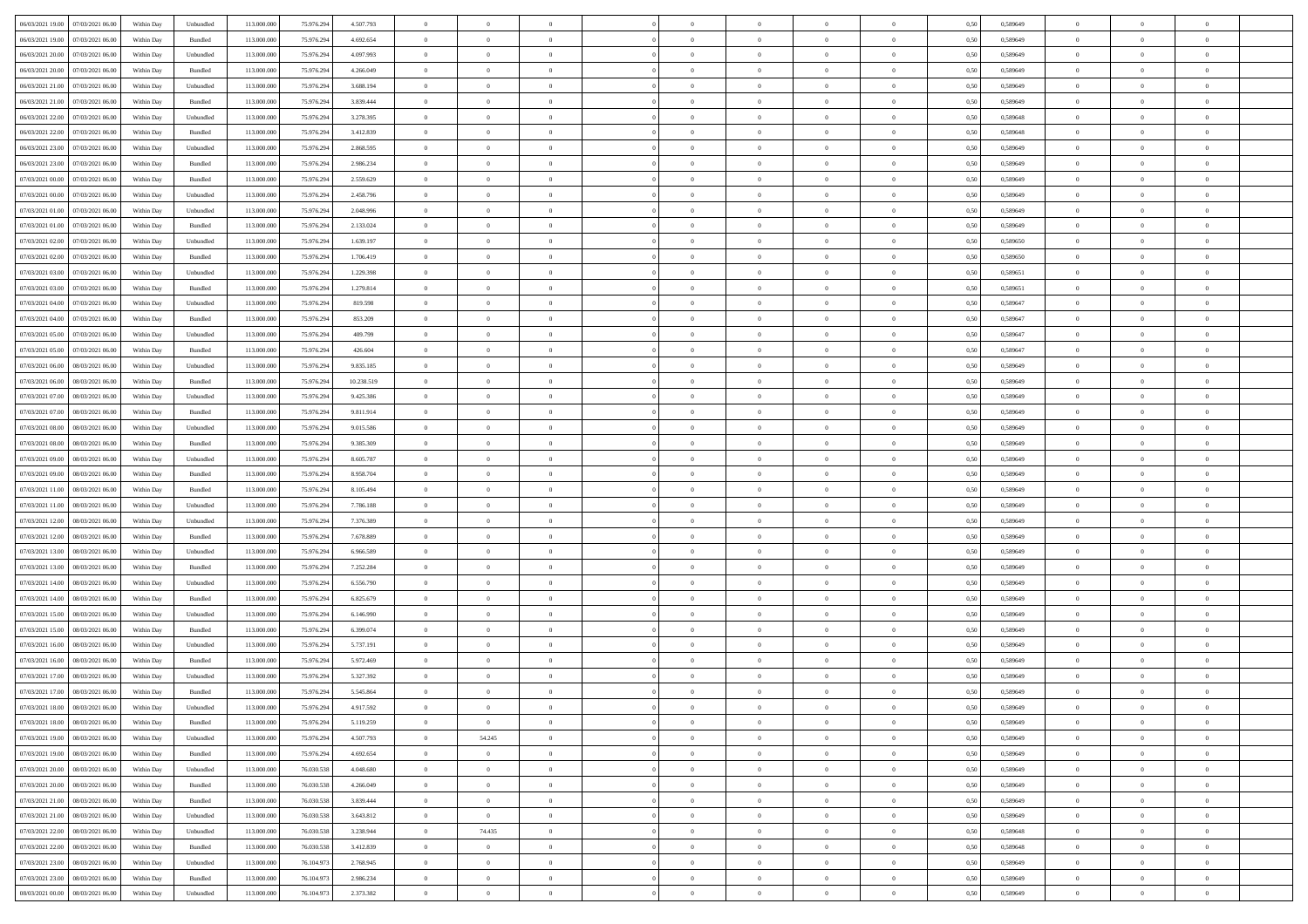| 06/03/2021 19:00 07/03/2021 06:00                                                      | Within Day | Unbundled                   | 113.000.000 | 75.976.294 | 4.507.793  | $\overline{0}$ | $\overline{0}$ |                | $\overline{0}$ | $\theta$       |                | $\theta$       | 0,50 | 0,589649 | $\theta$       | $\theta$       | $\overline{0}$ |  |
|----------------------------------------------------------------------------------------|------------|-----------------------------|-------------|------------|------------|----------------|----------------|----------------|----------------|----------------|----------------|----------------|------|----------|----------------|----------------|----------------|--|
| 06/03/2021 19:00<br>07/03/2021 06:00                                                   | Within Day | Bundled                     | 113.000.00  | 75.976.29  | 4.692.654  | $\bf{0}$       | $\bf{0}$       | $\bf{0}$       | $\bf{0}$       | $\overline{0}$ | $\overline{0}$ | $\bf{0}$       | 0,50 | 0,589649 | $\,$ 0 $\,$    | $\bf{0}$       | $\overline{0}$ |  |
| 06/03/2021 20:00<br>07/03/2021 06:00                                                   | Within Day | Unbundled                   | 113,000,000 | 75.976.294 | 4.097.993  | $\overline{0}$ | $\bf{0}$       | $\overline{0}$ | $\bf{0}$       | $\bf{0}$       | $\overline{0}$ | $\bf{0}$       | 0.50 | 0.589649 | $\bf{0}$       | $\overline{0}$ | $\overline{0}$ |  |
| 06/03/2021 20:00<br>07/03/2021 06:00                                                   |            |                             | 113.000.000 | 75.976.294 |            | $\overline{0}$ | $\overline{0}$ | $\overline{0}$ | $\overline{0}$ | $\theta$       | $\overline{0}$ |                |      |          | $\theta$       | $\theta$       | $\overline{0}$ |  |
|                                                                                        | Within Day | Bundled                     |             |            | 4.266.049  |                |                |                |                |                |                | $\bf{0}$       | 0,50 | 0,589649 |                |                |                |  |
| 06/03/2021 21:00<br>07/03/2021 06.00                                                   | Within Day | Unbundled                   | 113.000.00  | 75.976.29  | 3.688.194  | $\bf{0}$       | $\overline{0}$ | $\bf{0}$       | $\overline{0}$ | $\theta$       | $\overline{0}$ | $\bf{0}$       | 0,50 | 0,589649 | $\,$ 0 $\,$    | $\bf{0}$       | $\overline{0}$ |  |
| 06/03/2021 21:00<br>07/03/2021 06:00                                                   | Within Day | Bundled                     | 113,000,000 | 75.976.294 | 3.839.444  | $\overline{0}$ | $\overline{0}$ | $\overline{0}$ | $\bf{0}$       | $\overline{0}$ | $\theta$       | $\bf{0}$       | 0.50 | 0.589649 | $\,$ 0 $\,$    | $\theta$       | $\overline{0}$ |  |
| 06/03/2021 22:00<br>07/03/2021 06:00                                                   | Within Day | Unbundled                   | 113.000.000 | 75.976.294 | 3.278.395  | $\overline{0}$ | $\overline{0}$ | $\overline{0}$ | $\overline{0}$ | $\overline{0}$ | $\overline{0}$ | $\bf{0}$       | 0,50 | 0,589648 | $\theta$       | $\theta$       | $\overline{0}$ |  |
|                                                                                        |            |                             |             |            |            |                |                |                |                |                |                |                |      |          |                |                |                |  |
| 06/03/2021 22:00<br>07/03/2021 06.00                                                   | Within Day | Bundled                     | 113.000.00  | 75.976.29  | 3.412.839  | $\bf{0}$       | $\bf{0}$       | $\bf{0}$       | $\overline{0}$ | $\overline{0}$ | $\overline{0}$ | $\bf{0}$       | 0,50 | 0,589648 | $\,$ 0 $\,$    | $\bf{0}$       | $\overline{0}$ |  |
| 06/03/2021 23:00<br>07/03/2021 06:00                                                   | Within Day | Unbundled                   | 113,000,000 | 75.976.294 | 2.868.595  | $\overline{0}$ | $\bf{0}$       | $\overline{0}$ | $\bf{0}$       | $\overline{0}$ | $\overline{0}$ | $\bf{0}$       | 0.50 | 0.589649 | $\bf{0}$       | $\overline{0}$ | $\overline{0}$ |  |
| 06/03/2021 23:00<br>07/03/2021 06:00                                                   | Within Day | Bundled                     | 113.000.000 | 75.976.294 | 2.986.234  | $\bf{0}$       | $\bf{0}$       | $\overline{0}$ | $\overline{0}$ | $\overline{0}$ | $\overline{0}$ | $\bf{0}$       | 0,50 | 0,589649 | $\,$ 0 $\,$    | $\bf{0}$       | $\overline{0}$ |  |
| 07/03/2021 00:00<br>07/03/2021 06:00                                                   | Within Day | Bundled                     | 113.000.00  | 75.976.29  | 2.559.629  | $\bf{0}$       | $\bf{0}$       | $\bf{0}$       | $\bf{0}$       | $\overline{0}$ | $\overline{0}$ | $\bf{0}$       | 0,50 | 0,589649 | $\,$ 0 $\,$    | $\bf{0}$       | $\overline{0}$ |  |
|                                                                                        |            |                             |             |            |            |                |                |                |                |                |                |                |      |          |                |                |                |  |
| 07/03/2021 00:00<br>07/03/2021 06:00                                                   | Within Day | Unbundled                   | 113,000,000 | 75.976.294 | 2.458.796  | $\overline{0}$ | $\bf{0}$       | $\overline{0}$ | $\overline{0}$ | $\bf{0}$       | $\overline{0}$ | $\bf{0}$       | 0.50 | 0.589649 | $\bf{0}$       | $\overline{0}$ | $\,$ 0         |  |
| 07/03/2021 01:00<br>07/03/2021 06:00                                                   | Within Day | Unbundled                   | 113.000.000 | 75.976.294 | 2.048.996  | $\overline{0}$ | $\overline{0}$ | $\overline{0}$ | $\theta$       | $\theta$       | $\overline{0}$ | $\bf{0}$       | 0,50 | 0,589649 | $\,$ 0 $\,$    | $\theta$       | $\overline{0}$ |  |
| 07/03/2021 01:00<br>07/03/2021 06:00                                                   | Within Day | Bundled                     | 113.000.00  | 75.976.29  | 2.133.024  | $\bf{0}$       | $\overline{0}$ | $\bf{0}$       | $\bf{0}$       | $\bf{0}$       | $\overline{0}$ | $\bf{0}$       | 0,50 | 0,589649 | $\bf{0}$       | $\bf{0}$       | $\overline{0}$ |  |
| 07/03/2021 02:00<br>07/03/2021 06:00                                                   | Within Day | Unbundled                   | 113,000,000 | 75.976.294 | 1.639.197  | $\overline{0}$ | $\bf{0}$       | $\overline{0}$ | $\bf{0}$       | $\overline{0}$ | $\theta$       | $\bf{0}$       | 0.50 | 0.589650 | $\,$ 0 $\,$    | $\theta$       | $\overline{0}$ |  |
|                                                                                        |            |                             |             |            |            |                |                |                |                |                |                |                |      |          |                |                |                |  |
| 07/03/2021 02:00<br>07/03/2021 06:00                                                   | Within Day | Bundled                     | 113.000.000 | 75.976.294 | 1.706.419  | $\overline{0}$ | $\overline{0}$ | $\overline{0}$ | $\overline{0}$ | $\overline{0}$ | $\overline{0}$ | $\bf{0}$       | 0,50 | 0,589650 | $\theta$       | $\theta$       | $\overline{0}$ |  |
| 07/03/2021 03:00<br>07/03/2021 06.00                                                   | Within Day | Unbundled                   | 113.000.00  | 75.976.29  | 1.229.398  | $\bf{0}$       | $\bf{0}$       | $\bf{0}$       | $\overline{0}$ | $\overline{0}$ | $\overline{0}$ | $\bf{0}$       | 0,50 | 0,589651 | $\,$ 0 $\,$    | $\bf{0}$       | $\overline{0}$ |  |
| 07/03/2021 03:00<br>07/03/2021 06:00                                                   | Within Day | Bundled                     | 113,000,000 | 75.976.294 | 1.279.814  | $\overline{0}$ | $\bf{0}$       | $\overline{0}$ | $\bf{0}$       | $\overline{0}$ | $\overline{0}$ | $\bf{0}$       | 0.50 | 0.589651 | $\bf{0}$       | $\overline{0}$ | $\overline{0}$ |  |
| 07/03/2021 04:00<br>07/03/2021 06:00                                                   | Within Day | Unbundled                   | 113.000.000 | 75.976.294 | 819.598    | $\overline{0}$ | $\bf{0}$       | $\overline{0}$ | $\overline{0}$ | $\overline{0}$ | $\overline{0}$ | $\bf{0}$       | 0,50 | 0,589647 | $\,$ 0 $\,$    | $\bf{0}$       | $\overline{0}$ |  |
|                                                                                        |            |                             |             |            |            |                |                |                |                |                |                |                |      |          |                |                |                |  |
| 07/03/2021 04:00<br>07/03/2021 06.00                                                   | Within Day | Bundled                     | 113.000.00  | 75.976.29  | 853.209    | $\bf{0}$       | $\bf{0}$       | $\bf{0}$       | $\bf{0}$       | $\overline{0}$ | $\overline{0}$ | $\bf{0}$       | 0,50 | 0,589647 | $\,$ 0 $\,$    | $\bf{0}$       | $\overline{0}$ |  |
| 07/03/2021 05:00<br>07/03/2021 06:00                                                   | Within Day | Unbundled                   | 113,000,000 | 75.976.294 | 409,799    | $\overline{0}$ | $\bf{0}$       | $\overline{0}$ | $\overline{0}$ | $\bf{0}$       | $\overline{0}$ | $\bf{0}$       | 0.50 | 0.589647 | $\bf{0}$       | $\overline{0}$ | $\,$ 0         |  |
| 07/03/2021 05:00<br>07/03/2021 06:00                                                   | Within Day | Bundled                     | 113.000.000 | 75.976.294 | 426.604    | $\overline{0}$ | $\overline{0}$ | $\overline{0}$ | $\overline{0}$ | $\theta$       | $\overline{0}$ | $\bf{0}$       | 0,50 | 0,589647 | $\theta$       | $\theta$       | $\overline{0}$ |  |
| 07/03/2021 06:00<br>08/03/2021 06:00                                                   | Within Day | Unbundled                   | 113.000.00  | 75.976.29  | 9.835.185  | $\bf{0}$       | $\bf{0}$       | $\bf{0}$       | $\bf{0}$       | $\overline{0}$ | $\overline{0}$ | $\bf{0}$       | 0,50 | 0,589649 | $\,$ 0 $\,$    | $\bf{0}$       | $\overline{0}$ |  |
|                                                                                        |            |                             |             |            |            |                |                |                |                |                | $\theta$       |                |      |          |                |                |                |  |
| 07/03/2021 06:00<br>08/03/2021 06:00                                                   | Within Day | Bundled                     | 113,000,000 | 75.976.294 | 10.238.519 | $\overline{0}$ | $\bf{0}$       | $\overline{0}$ | $\bf{0}$       | $\overline{0}$ |                | $\bf{0}$       | 0.50 | 0.589649 | $\,$ 0 $\,$    | $\theta$       | $\overline{0}$ |  |
| 07/03/2021 07:00<br>08/03/2021 06:00                                                   | Within Day | Unbundled                   | 113.000.000 | 75.976.294 | 9.425.386  | $\overline{0}$ | $\overline{0}$ | $\overline{0}$ | $\overline{0}$ | $\overline{0}$ | $\overline{0}$ | $\bf{0}$       | 0,50 | 0,589649 | $\,$ 0 $\,$    | $\theta$       | $\overline{0}$ |  |
| 07/03/2021 07:00<br>08/03/2021 06:00                                                   | Within Day | Bundled                     | 113.000.00  | 75.976.29  | 9.811.914  | $\bf{0}$       | $\overline{0}$ | $\bf{0}$       | $\overline{0}$ | $\bf{0}$       | $\overline{0}$ | $\bf{0}$       | 0,50 | 0,589649 | $\,$ 0 $\,$    | $\bf{0}$       | $\overline{0}$ |  |
| 07/03/2021 08:00<br>08/03/2021 06:00                                                   | Within Day | Unbundled                   | 113,000,000 | 75.976.294 | 9.015.586  | $\overline{0}$ | $\bf{0}$       | $\overline{0}$ | $\bf{0}$       | $\overline{0}$ | $\overline{0}$ | $\bf{0}$       | 0.50 | 0.589649 | $\bf{0}$       | $\overline{0}$ | $\overline{0}$ |  |
| 07/03/2021 08:00<br>08/03/2021 06:00                                                   | Within Day | Bundled                     | 113.000.000 | 75.976.294 | 9.385.309  | $\overline{0}$ | $\bf{0}$       | $\overline{0}$ | $\overline{0}$ | $\overline{0}$ | $\overline{0}$ | $\bf{0}$       | 0,50 | 0,589649 | $\theta$       | $\bf{0}$       | $\overline{0}$ |  |
|                                                                                        |            |                             |             |            |            |                |                |                |                |                |                |                |      |          |                |                |                |  |
| 07/03/2021 09:00<br>08/03/2021 06:00                                                   | Within Day | Unbundled                   | 113.000.00  | 75.976.29  | 8.605.787  | $\bf{0}$       | $\bf{0}$       | $\bf{0}$       | $\bf{0}$       | $\overline{0}$ | $\overline{0}$ | $\bf{0}$       | 0,50 | 0,589649 | $\,$ 0 $\,$    | $\bf{0}$       | $\overline{0}$ |  |
| 07/03/2021 09:00<br>08/03/2021 06:00                                                   | Within Day | Bundled                     | 113,000,000 | 75.976.294 | 8.958.704  | $\overline{0}$ | $\bf{0}$       | $\overline{0}$ | $\bf{0}$       | $\bf{0}$       | $\overline{0}$ | $\bf{0}$       | 0.50 | 0.589649 | $\bf{0}$       | $\overline{0}$ | $\,$ 0         |  |
| 07/03/2021 11:00<br>08/03/2021 06:00                                                   | Within Day | Bundled                     | 113.000.000 | 75.976.294 | 8.105.494  | $\overline{0}$ | $\overline{0}$ | $\overline{0}$ | $\overline{0}$ | $\overline{0}$ | $\overline{0}$ | $\bf{0}$       | 0.50 | 0.589649 | $\theta$       | $\theta$       | $\overline{0}$ |  |
| 07/03/2021 11:00<br>08/03/2021 06:00                                                   | Within Day | Unbundled                   | 113.000.00  | 75.976.29  | 7.786.188  | $\bf{0}$       | $\bf{0}$       | $\bf{0}$       | $\bf{0}$       | $\overline{0}$ | $\overline{0}$ | $\bf{0}$       | 0,50 | 0,589649 | $\,$ 0 $\,$    | $\bf{0}$       | $\overline{0}$ |  |
|                                                                                        |            |                             |             |            |            |                |                |                |                |                |                |                |      |          |                |                |                |  |
| 07/03/2021 12:00<br>08/03/2021 06:00                                                   | Within Day | Unbundled                   | 113,000,000 | 75.976.294 | 7.376.389  | $\overline{0}$ | $\bf{0}$       | $\overline{0}$ | $\bf{0}$       | $\overline{0}$ | $\overline{0}$ | $\bf{0}$       | 0.50 | 0.589649 | $\,$ 0 $\,$    | $\bf{0}$       | $\overline{0}$ |  |
| 07/03/2021 12:00<br>08/03/2021 06:00                                                   | Within Day | Bundled                     | 113.000.000 | 75.976.294 | 7.678.889  | $\overline{0}$ | $\overline{0}$ | $\overline{0}$ | $\overline{0}$ | $\overline{0}$ | $\overline{0}$ | $\bf{0}$       | 0.50 | 0.589649 | $\theta$       | $\theta$       | $\overline{0}$ |  |
| 07/03/2021 13:00<br>08/03/2021 06:00                                                   | Within Day | Unbundled                   | 113.000.00  | 75.976.29  | 6.966.589  | $\bf{0}$       | $\bf{0}$       | $\bf{0}$       | $\bf{0}$       | $\overline{0}$ | $\overline{0}$ | $\bf{0}$       | 0,50 | 0,589649 | $\,$ 0 $\,$    | $\bf{0}$       | $\overline{0}$ |  |
| 07/03/2021 13:00<br>08/03/2021 06:00                                                   | Within Day | Bundled                     | 113,000,000 | 75.976.294 | 7.252.284  | $\overline{0}$ | $\bf{0}$       | $\overline{0}$ | $\bf{0}$       | $\overline{0}$ | $\overline{0}$ | $\bf{0}$       | 0.50 | 0.589649 | $\bf{0}$       | $\overline{0}$ | $\overline{0}$ |  |
|                                                                                        |            |                             |             |            |            |                |                |                |                |                |                |                |      |          |                |                |                |  |
| 07/03/2021 14:00<br>08/03/2021 06:00                                                   | Within Day | Unbundled                   | 113.000.000 | 75.976.294 | 6,556,790  | $\overline{0}$ | $\overline{0}$ | $\overline{0}$ | $\overline{0}$ | $\overline{0}$ | $\overline{0}$ | $\bf{0}$       | 0.50 | 0.589649 | $\theta$       | $\theta$       | $\overline{0}$ |  |
| 07/03/2021 14:00<br>08/03/2021 06:00                                                   | Within Day | Bundled                     | 113.000.00  | 75.976.29  | 6.825.679  | $\bf{0}$       | $\bf{0}$       | $\bf{0}$       | $\bf{0}$       | $\overline{0}$ | $\overline{0}$ | $\bf{0}$       | 0,50 | 0,589649 | $\,$ 0 $\,$    | $\bf{0}$       | $\overline{0}$ |  |
| 07/03/2021 15:00<br>08/03/2021 06:00                                                   | Within Day | Unbundled                   | 113,000,000 | 75.976.294 | 6.146.990  | $\overline{0}$ | $\bf{0}$       | $\overline{0}$ | $\overline{0}$ | $\bf{0}$       | $\overline{0}$ | $\bf{0}$       | 0.50 | 0.589649 | $\bf{0}$       | $\overline{0}$ | $\,$ 0         |  |
| 07/03/2021 15:00<br>08/03/2021 06:00                                                   | Within Day | Bundled                     | 113.000.000 | 75.976.294 | 6.399.074  | $\overline{0}$ | $\overline{0}$ | $\overline{0}$ | $\overline{0}$ | $\overline{0}$ | $\overline{0}$ | $\bf{0}$       | 0.50 | 0.589649 | $\theta$       | $\theta$       | $\overline{0}$ |  |
| 07/03/2021 16:00<br>08/03/2021 06:00                                                   | Within Day | Unbundled                   | 113.000.00  | 75.976.294 | 5.737.191  | $\bf{0}$       | $\bf{0}$       | $\bf{0}$       | $\bf{0}$       | $\overline{0}$ | $\overline{0}$ | $\bf{0}$       | 0,50 | 0,589649 | $\,$ 0 $\,$    | $\bf{0}$       | $\overline{0}$ |  |
|                                                                                        |            |                             |             |            |            |                |                |                |                |                |                |                |      |          |                |                |                |  |
| 07/03/2021 16:00<br>08/03/2021 06:00                                                   | Within Day | Bundled                     | 113,000,000 | 75.976.294 | 5.972.469  | $\overline{0}$ | $\overline{0}$ | $\overline{0}$ | $\bf{0}$       | $\overline{0}$ | $\Omega$       | $\bf{0}$       | 0.50 | 0.589649 | $\bf{0}$       | $\theta$       | $\overline{0}$ |  |
| 07/03/2021 17:00<br>08/03/2021 06:00                                                   | Within Dav | Unbundled                   | 113.000.000 | 75.976.294 | 5.327.392  | $\overline{0}$ | $\overline{0}$ | $\Omega$       | $\theta$       | $\theta$       | $\overline{0}$ | $\overline{0}$ | 0.5( | 0.589649 | $\theta$       | $\theta$       | $\overline{0}$ |  |
| 07/03/2021 17:00<br>08/03/2021 06:00                                                   | Within Day | Bundled                     | 113.000.000 | 75.976.294 | 5.545.864  | $\bf{0}$       | $\bf{0}$       | $\bf{0}$       | $\bf{0}$       | $\bf{0}$       | $\overline{0}$ | $\bf{0}$       | 0,50 | 0,589649 | $\overline{0}$ | $\bf{0}$       | $\overline{0}$ |  |
| ${\color{red} 07/03/2021}\,\, 18.00 {\color{red}08/03/2021}\,\, 06.00 {\color{red}00}$ | Within Day | $\ensuremath{\mathsf{Unb}}$ | 113.000.000 | 75.976.294 | 4.917.592  | $\bf{0}$       | $\theta$       |                | $\Omega$       |                |                |                | 0,50 | 0.589649 | $\bf{0}$       | $\overline{0}$ |                |  |
|                                                                                        |            |                             |             |            |            |                |                |                |                |                |                |                |      |          |                |                |                |  |
| 07/03/2021 18:00 08/03/2021 06:00                                                      | Within Day | Bundled                     | 113.000.000 | 75.976.294 | 5.119.259  | $\overline{0}$ | $\overline{0}$ | $\Omega$       | $\theta$       | $\overline{0}$ | $\overline{0}$ | $\bf{0}$       | 0,50 | 0,589649 | $\theta$       | $\theta$       | $\overline{0}$ |  |
| 07/03/2021 19:00<br>08/03/2021 06:00                                                   | Within Day | Unbundled                   | 113.000.00  | 75.976.294 | 4.507.793  | $\overline{0}$ | 54.245         | $\overline{0}$ | $\overline{0}$ | $\bf{0}$       | $\overline{0}$ | $\bf{0}$       | 0,50 | 0,589649 | $\bf{0}$       | $\overline{0}$ | $\bf{0}$       |  |
| 07/03/2021 19:00   08/03/2021 06:00                                                    | Within Day | Bundled                     | 113,000,000 | 75.976.294 | 4.692.654  | $\overline{0}$ | $\overline{0}$ | $\overline{0}$ | $\overline{0}$ | $\mathbf{0}$   | $\overline{0}$ | $\,$ 0 $\,$    | 0.50 | 0.589649 | $\overline{0}$ | $\bf{0}$       | $\bf{0}$       |  |
| 07/03/2021 20:00  08/03/2021 06:00                                                     | Within Dav | Unbundled                   | 113.000.000 | 76.030.538 | 4.048.680  | $\overline{0}$ | $\overline{0}$ | $\overline{0}$ | $\overline{0}$ | $\overline{0}$ | $\overline{0}$ | $\bf{0}$       | 0,50 | 0.589649 | $\theta$       | $\theta$       | $\overline{0}$ |  |
|                                                                                        |            |                             |             |            |            |                |                |                |                |                |                |                |      |          |                |                |                |  |
| 07/03/2021 20:00<br>08/03/2021 06:00                                                   | Within Day | Bundled                     | 113.000.000 | 76.030.538 | 4.266.049  | $\overline{0}$ | $\bf{0}$       | $\overline{0}$ | $\overline{0}$ | $\bf{0}$       | $\overline{0}$ | $\bf{0}$       | 0,50 | 0,589649 | $\bf{0}$       | $\overline{0}$ | $\overline{0}$ |  |
| 07/03/2021 21:00   08/03/2021 06:00                                                    | Within Day | Bundled                     | 113,000,000 | 76,030,538 | 3.839.444  | $\overline{0}$ | $\bf{0}$       | $\overline{0}$ | $\overline{0}$ | $\overline{0}$ | $\overline{0}$ | $\bf{0}$       | 0.50 | 0.589649 | $\,$ 0 $\,$    | $\overline{0}$ | $\,$ 0         |  |
| 07/03/2021 21:00<br>08/03/2021 06:00                                                   | Within Dav | Unbundled                   | 113.000.000 | 76.030.538 | 3.643.812  | $\overline{0}$ | $\overline{0}$ | $\overline{0}$ | $\overline{0}$ | $\overline{0}$ | $\overline{0}$ | $\bf{0}$       | 0,50 | 0.589649 | $\overline{0}$ | $\theta$       | $\overline{0}$ |  |
| 07/03/2021 22:00<br>08/03/2021 06:00                                                   | Within Day | Unbundled                   | 113.000.00  | 76.030.538 | 3.238.944  | $\overline{0}$ | 74.435         | $\overline{0}$ | $\overline{0}$ | $\overline{0}$ | $\overline{0}$ | $\bf{0}$       | 0,50 | 0,589648 | $\bf{0}$       | $\overline{0}$ | $\overline{0}$ |  |
|                                                                                        |            |                             |             |            |            |                |                |                |                |                |                |                |      |          |                |                |                |  |
| 07/03/2021 22:00<br>08/03/2021 06:00                                                   | Within Day | Bundled                     | 113,000,000 | 76,030,538 | 3.412.839  | $\overline{0}$ | $\overline{0}$ | $\overline{0}$ | $\overline{0}$ | $\overline{0}$ | $\overline{0}$ | $\bf{0}$       | 0.50 | 0.589648 | $\mathbf{0}$   | $\bf{0}$       | $\,$ 0         |  |
| 07/03/2021 23:00   08/03/2021 06:00                                                    | Within Dav | Unbundled                   | 113.000.000 | 76.104.973 | 2.768.945  | $\overline{0}$ | $\overline{0}$ | $\overline{0}$ | $\overline{0}$ | $\overline{0}$ | $\overline{0}$ | $\bf{0}$       | 0,50 | 0.589649 | $\overline{0}$ | $\theta$       | $\overline{0}$ |  |
| 07/03/2021 23:00<br>08/03/2021 06:00                                                   | Within Day | Bundled                     | 113.000.00  | 76.104.97  | 2.986.234  | $\overline{0}$ | $\bf{0}$       | $\overline{0}$ | $\bf{0}$       | $\overline{0}$ | $\bf{0}$       | $\bf{0}$       | 0,50 | 0,589649 | $\bf{0}$       | $\,0\,$        | $\bf{0}$       |  |
| 08/03/2021 00:00 08/03/2021 06:00                                                      | Within Day | Unbundled                   | 113.000.000 | 76.104.973 | 2.373.382  | $\overline{0}$ | $\bf{0}$       | $\overline{0}$ | $\overline{0}$ | $\,$ 0 $\,$    | $\overline{0}$ | $\bf{0}$       | 0,50 | 0,589649 | $\overline{0}$ | $\,$ 0 $\,$    | $\,$ 0 $\,$    |  |
|                                                                                        |            |                             |             |            |            |                |                |                |                |                |                |                |      |          |                |                |                |  |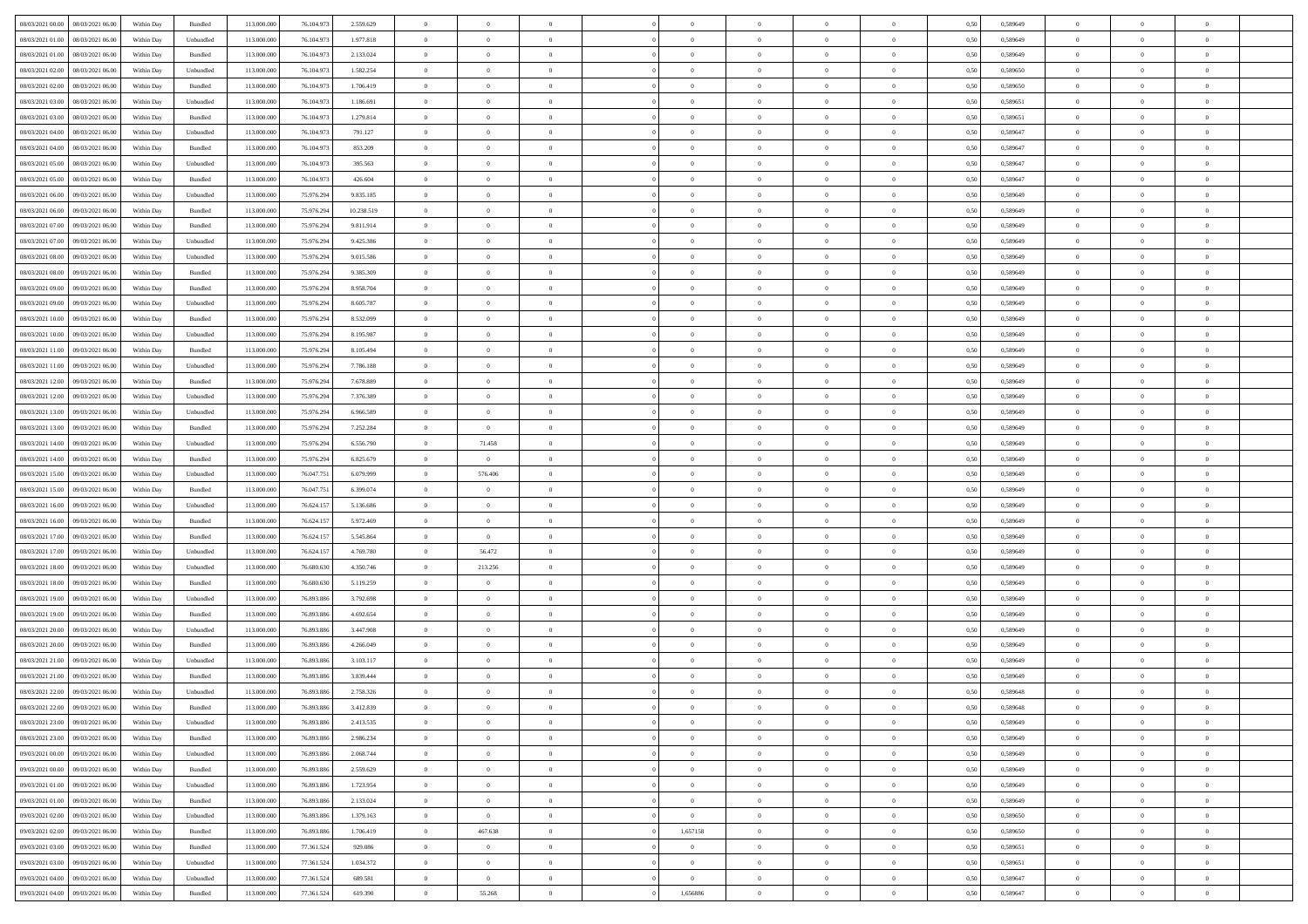| 08/03/2021 00:00 08/03/2021 06:00    | Within Day | Bundled   | 113.000.000 | 76.104.973 | 2.559.629  | $\overline{0}$ | $\theta$       |                | $\overline{0}$ | $\theta$       |                | $\theta$       | 0,50 | 0,589649 | $\theta$       | $\theta$       | $\theta$       |  |
|--------------------------------------|------------|-----------|-------------|------------|------------|----------------|----------------|----------------|----------------|----------------|----------------|----------------|------|----------|----------------|----------------|----------------|--|
| 08/03/2021 01:00<br>08/03/2021 06:00 | Within Day | Unbundled | 113.000.00  | 76.104.97  | 1.977.818  | $\bf{0}$       | $\bf{0}$       | $\bf{0}$       | $\bf{0}$       | $\overline{0}$ | $\overline{0}$ | $\bf{0}$       | 0,50 | 0,589649 | $\,$ 0 $\,$    | $\bf{0}$       | $\overline{0}$ |  |
| 08/03/2021 01:00<br>08/03/2021 06:00 | Within Day | Bundled   | 113,000,000 | 76.104.97  | 2.133.024  | $\overline{0}$ | $\bf{0}$       | $\overline{0}$ | $\bf{0}$       | $\bf{0}$       | $\overline{0}$ | $\bf{0}$       | 0.50 | 0.589649 | $\bf{0}$       | $\overline{0}$ | $\overline{0}$ |  |
| 08/03/2021 02:00<br>08/03/2021 06:00 |            |           | 113.000.000 |            |            | $\overline{0}$ | $\overline{0}$ | $\overline{0}$ | $\overline{0}$ | $\theta$       | $\overline{0}$ |                |      |          | $\theta$       | $\theta$       | $\overline{0}$ |  |
|                                      | Within Day | Unbundled |             | 76.104.973 | 1.582.254  |                |                |                |                |                |                | $\bf{0}$       | 0,50 | 0,589650 |                |                |                |  |
| 08/03/2021 02:00<br>08/03/2021 06:00 | Within Day | Bundled   | 113.000.00  | 76.104.97  | 1.706.419  | $\bf{0}$       | $\overline{0}$ | $\bf{0}$       | $\overline{0}$ | $\theta$       | $\overline{0}$ | $\bf{0}$       | 0,50 | 0,589650 | $\,$ 0 $\,$    | $\bf{0}$       | $\overline{0}$ |  |
| 08/03/2021 03:00<br>08/03/2021 06:00 | Within Day | Unbundled | 113,000,000 | 76.104.97  | 1.186.691  | $\overline{0}$ | $\overline{0}$ | $\overline{0}$ | $\bf{0}$       | $\overline{0}$ | $\theta$       | $\bf{0}$       | 0.50 | 0.589651 | $\,$ 0 $\,$    | $\theta$       | $\overline{0}$ |  |
| 08/03/2021 03:00<br>08/03/2021 06:00 | Within Day | Bundled   | 113.000.000 | 76.104.973 | 1.279.814  | $\overline{0}$ | $\overline{0}$ | $\overline{0}$ | $\overline{0}$ | $\overline{0}$ | $\overline{0}$ | $\bf{0}$       | 0,50 | 0,589651 | $\theta$       | $\theta$       | $\overline{0}$ |  |
|                                      |            |           |             |            |            |                |                |                |                |                |                |                |      |          |                |                |                |  |
| 08/03/2021 04:00<br>08/03/2021 06:00 | Within Day | Unbundled | 113.000.00  | 76.104.97  | 791.127    | $\bf{0}$       | $\bf{0}$       | $\bf{0}$       | $\overline{0}$ | $\overline{0}$ | $\overline{0}$ | $\bf{0}$       | 0,50 | 0,589647 | $\,$ 0 $\,$    | $\bf{0}$       | $\overline{0}$ |  |
| 08/03/2021 04:00<br>08/03/2021 06:00 | Within Day | Bundled   | 113,000,000 | 76.104.97  | 853.209    | $\overline{0}$ | $\bf{0}$       | $\overline{0}$ | $\bf{0}$       | $\overline{0}$ | $\overline{0}$ | $\bf{0}$       | 0.50 | 0.589647 | $\bf{0}$       | $\overline{0}$ | $\overline{0}$ |  |
| 08/03/2021 05:00<br>08/03/2021 06:00 | Within Day | Unbundled | 113.000.000 | 76.104.973 | 395.563    | $\bf{0}$       | $\bf{0}$       | $\overline{0}$ | $\overline{0}$ | $\overline{0}$ | $\overline{0}$ | $\bf{0}$       | 0,50 | 0,589647 | $\,$ 0 $\,$    | $\bf{0}$       | $\overline{0}$ |  |
| 08/03/2021 05:00<br>08/03/2021 06:00 | Within Day | Bundled   | 113.000.00  | 76.104.97  | 426.604    | $\bf{0}$       | $\overline{0}$ | $\bf{0}$       | $\bf{0}$       | $\bf{0}$       | $\overline{0}$ | $\bf{0}$       | 0,50 | 0,589647 | $\,$ 0 $\,$    | $\bf{0}$       | $\overline{0}$ |  |
|                                      |            |           |             |            |            |                |                |                |                |                |                |                |      |          |                |                |                |  |
| 08/03/2021 06:00<br>09/03/2021 06:00 | Within Day | Unbundled | 113,000,000 | 75.976.294 | 9.835.185  | $\overline{0}$ | $\bf{0}$       | $\overline{0}$ | $\overline{0}$ | $\bf{0}$       | $\overline{0}$ | $\bf{0}$       | 0.50 | 0.589649 | $\bf{0}$       | $\overline{0}$ | $\bf{0}$       |  |
| 08/03/2021 06:00<br>09/03/2021 06:00 | Within Day | Bundled   | 113.000.000 | 75.976.294 | 10.238.519 | $\overline{0}$ | $\overline{0}$ | $\overline{0}$ | $\theta$       | $\theta$       | $\overline{0}$ | $\bf{0}$       | 0,50 | 0,589649 | $\,$ 0 $\,$    | $\theta$       | $\overline{0}$ |  |
| 08/03/2021 07:00<br>09/03/2021 06.00 | Within Day | Bundled   | 113.000.00  | 75.976.29  | 9.811.914  | $\bf{0}$       | $\overline{0}$ | $\bf{0}$       | $\overline{0}$ | $\theta$       | $\overline{0}$ | $\bf{0}$       | 0,50 | 0,589649 | $\bf{0}$       | $\bf{0}$       | $\overline{0}$ |  |
|                                      |            |           |             |            |            |                |                |                |                |                |                |                |      |          |                |                |                |  |
| 08/03/2021 07:00<br>09/03/2021 06:00 | Within Day | Unbundled | 113,000,000 | 75.976.294 | 9.425.386  | $\overline{0}$ | $\overline{0}$ | $\overline{0}$ | $\bf{0}$       | $\overline{0}$ | $\Omega$       | $\bf{0}$       | 0.50 | 0.589649 | $\theta$       | $\theta$       | $\overline{0}$ |  |
| 08/03/2021 08:00<br>09/03/2021 06:00 | Within Day | Unbundled | 113.000.000 | 75.976.294 | 9.015.586  | $\overline{0}$ | $\overline{0}$ | $\overline{0}$ | $\overline{0}$ | $\overline{0}$ | $\overline{0}$ | $\bf{0}$       | 0,50 | 0,589649 | $\theta$       | $\theta$       | $\overline{0}$ |  |
| 08/03/2021 08:00<br>09/03/2021 06.00 | Within Day | Bundled   | 113.000.00  | 75.976.29  | 9.385.309  | $\bf{0}$       | $\overline{0}$ | $\bf{0}$       | $\overline{0}$ | $\theta$       | $\overline{0}$ | $\bf{0}$       | 0,50 | 0,589649 | $\,$ 0 $\,$    | $\bf{0}$       | $\overline{0}$ |  |
| 08/03/2021 09:00<br>09/03/2021 06:00 | Within Day | Bundled   | 113,000,000 | 75.976.294 | 8.958.704  | $\overline{0}$ | $\bf{0}$       | $\overline{0}$ | $\bf{0}$       | $\overline{0}$ | $\overline{0}$ | $\bf{0}$       | 0.50 | 0.589649 | $\bf{0}$       | $\overline{0}$ | $\overline{0}$ |  |
|                                      |            |           |             |            |            | $\overline{0}$ |                | $\overline{0}$ | $\overline{0}$ | $\overline{0}$ | $\overline{0}$ |                |      |          | $\,$ 0 $\,$    |                | $\overline{0}$ |  |
| 08/03/2021 09:00<br>09/03/2021 06:00 | Within Day | Unbundled | 113.000.000 | 75.976.294 | 8.605.787  |                | $\bf{0}$       |                |                |                |                | $\bf{0}$       | 0,50 | 0,589649 |                | $\bf{0}$       |                |  |
| 08/03/2021 10:00<br>09/03/2021 06.00 | Within Day | Bundled   | 113.000.00  | 75.976.294 | 8.532.099  | $\bf{0}$       | $\bf{0}$       | $\bf{0}$       | $\bf{0}$       | $\overline{0}$ | $\overline{0}$ | $\bf{0}$       | 0,50 | 0,589649 | $\,$ 0 $\,$    | $\bf{0}$       | $\overline{0}$ |  |
| 08/03/2021 10:00<br>09/03/2021 06:00 | Within Day | Unbundled | 113,000,000 | 75.976.294 | 8.195.987  | $\overline{0}$ | $\bf{0}$       | $\overline{0}$ | $\bf{0}$       | $\bf{0}$       | $\overline{0}$ | $\bf{0}$       | 0.50 | 0.589649 | $\bf{0}$       | $\overline{0}$ | $\bf{0}$       |  |
| 08/03/2021 11:00<br>09/03/2021 06:00 | Within Day | Bundled   | 113.000.000 | 75.976.294 | 8.105.494  | $\overline{0}$ | $\overline{0}$ | $\overline{0}$ | $\overline{0}$ | $\theta$       | $\overline{0}$ | $\bf{0}$       | 0,50 | 0,589649 | $\theta$       | $\theta$       | $\overline{0}$ |  |
|                                      |            |           |             |            |            |                | $\overline{0}$ |                |                | $\,$ 0 $\,$    | $\overline{0}$ |                |      |          | $\,$ 0 $\,$    | $\bf{0}$       | $\overline{0}$ |  |
| 08/03/2021 11:00<br>09/03/2021 06.00 | Within Day | Unbundled | 113.000.00  | 75.976.294 | 7.786.188  | $\bf{0}$       |                | $\bf{0}$       | $\bf{0}$       |                |                | $\bf{0}$       | 0,50 | 0,589649 |                |                |                |  |
| 08/03/2021 12:00<br>09/03/2021 06:00 | Within Day | Bundled   | 113,000,000 | 75.976.294 | 7.678.889  | $\overline{0}$ | $\overline{0}$ | $\overline{0}$ | $\bf{0}$       | $\overline{0}$ | $\Omega$       | $\bf{0}$       | 0.50 | 0.589649 | $\,$ 0 $\,$    | $\theta$       | $\overline{0}$ |  |
| 08/03/2021 12:00<br>09/03/2021 06:00 | Within Day | Unbundled | 113.000.000 | 75.976.294 | 7.376.389  | $\overline{0}$ | $\overline{0}$ | $\overline{0}$ | $\overline{0}$ | $\overline{0}$ | $\overline{0}$ | $\bf{0}$       | 0,50 | 0,589649 | $\,$ 0 $\,$    | $\theta$       | $\overline{0}$ |  |
| 08/03/2021 13:00<br>09/03/2021 06.00 | Within Day | Unbundled | 113.000.00  | 75.976.29  | 6.966.589  | $\bf{0}$       | $\overline{0}$ | $\bf{0}$       | $\overline{0}$ | $\theta$       | $\overline{0}$ | $\bf{0}$       | 0,50 | 0,589649 | $\,$ 0 $\,$    | $\bf{0}$       | $\overline{0}$ |  |
| 08/03/2021 13:00<br>09/03/2021 06:00 |            | Bundled   | 113,000,000 |            |            |                |                | $\overline{0}$ |                | $\overline{0}$ | $\overline{0}$ |                | 0.50 | 0.589649 | $\bf{0}$       | $\overline{0}$ | $\overline{0}$ |  |
|                                      | Within Day |           |             | 75.976.294 | 7.252.284  | $\overline{0}$ | $\overline{0}$ |                | $\bf{0}$       |                |                | $\bf{0}$       |      |          |                |                |                |  |
| 08/03/2021 14:00<br>09/03/2021 06:00 | Within Day | Unbundled | 113.000.000 | 75.976.294 | 6.556.790  | $\overline{0}$ | 71.458         | $\overline{0}$ | $\overline{0}$ | $\overline{0}$ | $\overline{0}$ | $\bf{0}$       | 0,50 | 0,589649 | $\theta$       | $\theta$       | $\overline{0}$ |  |
| 08/03/2021 14:00<br>09/03/2021 06.00 | Within Day | Bundled   | 113.000.00  | 75.976.29  | 6.825.679  | $\bf{0}$       | $\bf{0}$       | $\bf{0}$       | $\bf{0}$       | $\overline{0}$ | $\overline{0}$ | $\bf{0}$       | 0,50 | 0,589649 | $\,$ 0 $\,$    | $\bf{0}$       | $\overline{0}$ |  |
| 08/03/2021 15:00<br>09/03/2021 06:00 | Within Day | Unbundled | 113,000,000 | 76.047.75  | 6.079.999  | $\overline{0}$ | 576,406        | $\overline{0}$ | $\bf{0}$       | $\bf{0}$       | $\overline{0}$ | $\bf{0}$       | 0.50 | 0.589649 | $\bf{0}$       | $\overline{0}$ | $\bf{0}$       |  |
| 08/03/2021 15:00<br>09/03/2021 06:00 | Within Day | Bundled   | 113.000.000 | 76.047.75  | 6.399.074  | $\overline{0}$ | $\overline{0}$ | $\overline{0}$ | $\overline{0}$ | $\overline{0}$ | $\overline{0}$ | $\bf{0}$       | 0.50 | 0.589649 | $\theta$       | $\theta$       | $\overline{0}$ |  |
|                                      |            |           |             |            |            |                |                |                |                |                |                |                |      |          |                |                |                |  |
| 08/03/2021 16:00<br>09/03/2021 06.00 | Within Day | Unbundled | 113.000.00  | 76.624.15  | 5.136.686  | $\bf{0}$       | $\overline{0}$ | $\bf{0}$       | $\bf{0}$       | $\overline{0}$ | $\overline{0}$ | $\bf{0}$       | 0,50 | 0,589649 | $\,$ 0 $\,$    | $\bf{0}$       | $\overline{0}$ |  |
| 08/03/2021 16:00<br>09/03/2021 06:00 | Within Day | Bundled   | 113,000,000 | 76.624.157 | 5.972.469  | $\overline{0}$ | $\overline{0}$ | $\overline{0}$ | $\bf{0}$       | $\overline{0}$ | $\Omega$       | $\bf{0}$       | 0.50 | 0.589649 | $\,$ 0 $\,$    | $\theta$       | $\overline{0}$ |  |
| 08/03/2021 17:00<br>09/03/2021 06:00 | Within Dav | Bundled   | 113.000.000 | 76.624.157 | 5.545.864  | $\overline{0}$ | $\overline{0}$ | $\overline{0}$ | $\overline{0}$ | $\theta$       | $\overline{0}$ | $\bf{0}$       | 0.50 | 0.589649 | $\theta$       | $\theta$       | $\overline{0}$ |  |
| 09/03/2021 06.00                     | Within Day | Unbundled | 113.000.00  | 76.624.15  | 4.769.780  | $\bf{0}$       | 56.472         | $\bf{0}$       | $\bf{0}$       | $\bf{0}$       | $\overline{0}$ | $\bf{0}$       | 0,50 | 0,589649 | $\,$ 0 $\,$    | $\bf{0}$       | $\overline{0}$ |  |
| 08/03/2021 17:00                     |            |           |             |            |            |                |                |                |                |                |                |                |      |          |                |                |                |  |
| 08/03/2021 18:00<br>09/03/2021 06:00 | Within Day | Unbundled | 113,000,00  | 76,680,630 | 4.350.746  | $\overline{0}$ | 213.256        | $\overline{0}$ | $\bf{0}$       | $\overline{0}$ | $\overline{0}$ | $\bf{0}$       | 0.50 | 0.589649 | $\bf{0}$       | $\overline{0}$ | $\overline{0}$ |  |
| 08/03/2021 18:00<br>09/03/2021 06:00 | Within Day | Bundled   | 113.000.000 | 76.680.630 | 5.119.259  | $\overline{0}$ | $\overline{0}$ | $\overline{0}$ | $\overline{0}$ | $\overline{0}$ | $\overline{0}$ | $\overline{0}$ | 0.50 | 0.589649 | $\theta$       | $\theta$       | $\overline{0}$ |  |
| 08/03/2021 19:00<br>09/03/2021 06.00 | Within Day | Unbundled | 113.000.00  | 76.893.88  | 3.792.698  | $\bf{0}$       | $\bf{0}$       | $\bf{0}$       | $\bf{0}$       | $\overline{0}$ | $\overline{0}$ | $\bf{0}$       | 0,50 | 0,589649 | $\,$ 0 $\,$    | $\bf{0}$       | $\overline{0}$ |  |
| 08/03/2021 19:00<br>09/03/2021 06:00 | Within Day | Bundled   | 113,000,000 | 76,893,886 | 4.692.654  | $\overline{0}$ | $\bf{0}$       | $\overline{0}$ | $\overline{0}$ | $\bf{0}$       | $\overline{0}$ | $\bf{0}$       | 0.50 | 0.589649 | $\bf{0}$       | $\overline{0}$ | $\overline{0}$ |  |
|                                      |            |           |             |            |            |                |                |                |                |                |                |                |      |          |                |                |                |  |
| 08/03/2021 20:00<br>09/03/2021 06:00 | Within Day | Unbundled | 113.000.000 | 76.893.886 | 3.447.908  | $\overline{0}$ | $\overline{0}$ | $\overline{0}$ | $\overline{0}$ | $\overline{0}$ | $\overline{0}$ | $\bf{0}$       | 0.50 | 0.589649 | $\theta$       | $\theta$       | $\overline{0}$ |  |
| 08/03/2021 20:00<br>09/03/2021 06.00 | Within Day | Bundled   | 113.000.00  | 76.893.88  | 4.266.049  | $\bf{0}$       | $\bf{0}$       | $\bf{0}$       | $\bf{0}$       | $\overline{0}$ | $\overline{0}$ | $\bf{0}$       | 0,50 | 0,589649 | $\,$ 0 $\,$    | $\bf{0}$       | $\overline{0}$ |  |
| 08/03/2021 21:00<br>09/03/2021 06:00 | Within Day | Unbundled | 113,000,00  | 76.893.88  | 3.103.117  | $\overline{0}$ | $\overline{0}$ | $\overline{0}$ | $\bf{0}$       | $\overline{0}$ | $\Omega$       | $\bf{0}$       | 0.50 | 0.589649 | $\bf{0}$       | $\theta$       | $\overline{0}$ |  |
| 08/03/2021 21:00<br>09/03/2021 06:00 | Within Dav | Bundled   | 113.000.000 | 76,893,886 | 3.839.444  | $\overline{0}$ | $\overline{0}$ | $\Omega$       | $\overline{0}$ | $\theta$       | $\Omega$       | $\overline{0}$ | 0.5( | 0.589649 | $\theta$       | $\theta$       | $\overline{0}$ |  |
|                                      |            |           |             |            |            |                |                |                |                |                |                |                |      |          |                |                |                |  |
| 08/03/2021 22:00<br>09/03/2021 06:00 | Within Day | Unbundled | 113.000.000 | 76.893.886 | 2.758.326  | $\bf{0}$       | $\bf{0}$       | $\bf{0}$       | $\bf{0}$       | $\bf{0}$       | $\overline{0}$ | $\bf{0}$       | 0,50 | 0,589648 | $\overline{0}$ | $\overline{0}$ | $\overline{0}$ |  |
| 08/03/2021 22:00 09/03/2021 06:00    | Within Day | Bundled   | 113.000.000 | 76.893.886 | 3.412.839  | $\bf{0}$       | $\theta$       |                | $\overline{0}$ |                |                |                | 0,50 | 0.589648 | $\theta$       | $\overline{0}$ |                |  |
| 08/03/2021 23:00 09/03/2021 06:00    | Within Day | Unbundled | 113.000.000 | 76.893.886 | 2.413.535  | $\overline{0}$ | $\overline{0}$ | $\Omega$       | $\theta$       | $\overline{0}$ | $\overline{0}$ | $\bf{0}$       | 0,50 | 0,589649 | $\theta$       | $\overline{0}$ | $\overline{0}$ |  |
| 08/03/2021 23:00<br>09/03/2021 06:00 | Within Day | Bundled   | 113.000.00  | 76.893.88  | 2.986.234  | $\overline{0}$ | $\bf{0}$       | $\overline{0}$ | $\overline{0}$ | $\bf{0}$       | $\overline{0}$ | $\bf{0}$       | 0,50 | 0,589649 | $\bf{0}$       | $\overline{0}$ | $\bf{0}$       |  |
|                                      |            |           |             |            |            |                |                |                |                |                |                |                |      |          |                |                |                |  |
| 09/03/2021 00:00 09/03/2021 06:00    | Within Day | Unbundled | 113,000,000 | 76,893,886 | 2.068.744  | $\overline{0}$ | $\bf{0}$       | $\overline{0}$ | $\overline{0}$ | $\mathbf{0}$   | $\overline{0}$ | $\,$ 0 $\,$    | 0.50 | 0.589649 | $\overline{0}$ | $\bf{0}$       | $\,$ 0 $\,$    |  |
| 09/03/2021 00:00 09/03/2021 06:00    | Within Day | Bundled   | 113.000.000 | 76.893.886 | 2.559.629  | $\overline{0}$ | $\overline{0}$ | $\overline{0}$ | $\overline{0}$ | $\overline{0}$ | $\overline{0}$ | $\bf{0}$       | 0,50 | 0.589649 | $\theta$       | $\theta$       | $\overline{0}$ |  |
| 09/03/2021 01:00<br>09/03/2021 06:00 | Within Day | Unbundled | 113.000.000 | 76.893.886 | 1.723.954  | $\overline{0}$ | $\bf{0}$       | $\overline{0}$ | $\overline{0}$ | $\bf{0}$       | $\overline{0}$ | $\bf{0}$       | 0,50 | 0,589649 | $\bf{0}$       | $\overline{0}$ | $\overline{0}$ |  |
| 09/03/2021 06:00<br>09/03/2021 01:00 | Within Day | Bundled   | 113,000,000 | 76,893,886 | 2.133.024  | $\overline{0}$ | $\bf{0}$       | $\overline{0}$ | $\overline{0}$ | $\bf{0}$       | $\overline{0}$ | $\bf{0}$       | 0.50 | 0.589649 | $\,$ 0 $\,$    | $\overline{0}$ | $\overline{0}$ |  |
|                                      |            |           |             |            |            |                |                |                |                |                |                |                |      |          |                |                |                |  |
| 09/03/2021 02:00<br>09/03/2021 06:00 | Within Dav | Unbundled | 113.000.000 | 76.893.886 | 1.379.163  | $\overline{0}$ | $\overline{0}$ | $\overline{0}$ | $\overline{0}$ | $\overline{0}$ | $\overline{0}$ | $\bf{0}$       | 0,50 | 0,589650 | $\overline{0}$ | $\theta$       | $\overline{0}$ |  |
| 09/03/2021 02:00<br>09/03/2021 06:00 | Within Day | Bundled   | 113.000.00  | 76.893.886 | 1.706.419  | $\overline{0}$ | 467.638        | $\overline{0}$ | 1,657158       | $\bf{0}$       | $\overline{0}$ | $\bf{0}$       | 0,50 | 0,589650 | $\bf{0}$       | $\overline{0}$ | $\,$ 0         |  |
| 09/03/2021 03:00<br>09/03/2021 06:00 | Within Day | Bundled   | 113,000,000 | 77.361.524 | 929.086    | $\overline{0}$ | $\overline{0}$ | $\overline{0}$ | $\overline{0}$ | $\overline{0}$ | $\overline{0}$ | $\bf{0}$       | 0.50 | 0.589651 | $\mathbf{0}$   | $\bf{0}$       | $\,$ 0         |  |
| 09/03/2021 03:00<br>09/03/2021 06:00 | Within Dav | Unbundled | 113.000.000 | 77.361.524 | 1.034.372  | $\overline{0}$ | $\overline{0}$ | $\overline{0}$ | $\overline{0}$ | $\overline{0}$ | $\overline{0}$ | $\bf{0}$       | 0,50 | 0,589651 | $\overline{0}$ | $\theta$       | $\overline{0}$ |  |
|                                      |            |           |             |            |            |                |                |                |                |                |                |                |      |          |                |                |                |  |
| 09/03/2021 04:00<br>09/03/2021 06.00 | Within Day | Unbundled | 113.000.00  | 77.361.524 | 689.581    | $\overline{0}$ | $\bf{0}$       | $\overline{0}$ | $\overline{0}$ | $\overline{0}$ | $\overline{0}$ | $\bf{0}$       | 0,50 | 0,589647 | $\bf{0}$       | $\,$ 0 $\,$    | $\bf{0}$       |  |
| 09/03/2021 04:00 09/03/2021 06:00    | Within Day | Bundled   | 113.000.000 | 77.361.524 | 619.390    | $\overline{0}$ | 55.268         | $\overline{0}$ | 1,656886       | $\,$ 0 $\,$    | $\overline{0}$ | $\bf{0}$       | 0,50 | 0,589647 | $\overline{0}$ | $\,$ 0 $\,$    | $\,$ 0 $\,$    |  |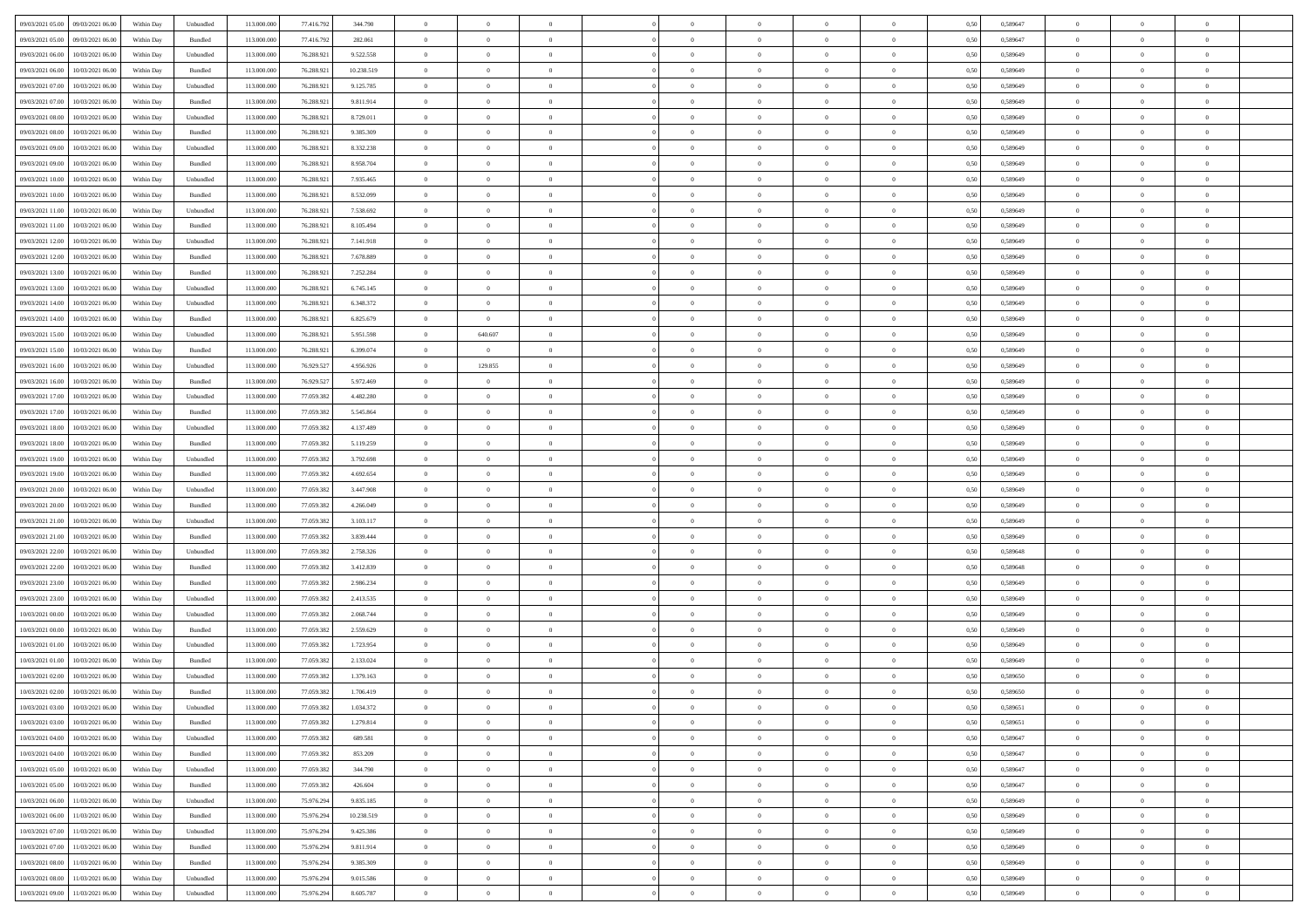| 09/03/2021 05:00 09/03/2021 06:00              | Within Day | Unbundled                   | 113.000.000 | 77.416.792 | 344.790    | $\overline{0}$ | $\overline{0}$ |                | $\overline{0}$ | $\theta$       |                | $\theta$       | 0,50 | 0,589647 | $\theta$       | $\theta$       | $\theta$       |  |
|------------------------------------------------|------------|-----------------------------|-------------|------------|------------|----------------|----------------|----------------|----------------|----------------|----------------|----------------|------|----------|----------------|----------------|----------------|--|
| 09/03/2021 05:00<br>09/03/2021 06.00           | Within Day | Bundled                     | 113.000.00  | 77.416.79  | 282.061    | $\bf{0}$       | $\bf{0}$       | $\bf{0}$       | $\overline{0}$ | $\overline{0}$ | $\overline{0}$ | $\bf{0}$       | 0,50 | 0,589647 | $\,$ 0 $\,$    | $\bf{0}$       | $\overline{0}$ |  |
| 09/03/2021 06:00<br>10/03/2021 06:00           | Within Day | Unbundled                   | 113,000,000 | 76.288.921 | 9.522.558  | $\overline{0}$ | $\bf{0}$       | $\overline{0}$ | $\bf{0}$       | $\bf{0}$       | $\overline{0}$ | $\bf{0}$       | 0.50 | 0.589649 | $\bf{0}$       | $\overline{0}$ | $\overline{0}$ |  |
|                                                |            |                             |             |            |            | $\overline{0}$ |                |                |                |                |                |                |      |          | $\theta$       | $\theta$       |                |  |
| 09/03/2021 06:00<br>10/03/2021 06:00           | Within Day | Bundled                     | 113.000.000 | 76.288.921 | 10.238.519 |                | $\overline{0}$ | $\overline{0}$ | $\theta$       | $\theta$       | $\overline{0}$ | $\bf{0}$       | 0,50 | 0,589649 |                |                | $\overline{0}$ |  |
| 09/03/2021 07:00<br>10/03/2021 06:00           | Within Day | Unbundled                   | 113.000.00  | 76.288.921 | 9.125.785  | $\overline{0}$ | $\overline{0}$ | $\bf{0}$       | $\overline{0}$ | $\theta$       | $\overline{0}$ | $\bf{0}$       | 0,50 | 0,589649 | $\,$ 0 $\,$    | $\bf{0}$       | $\overline{0}$ |  |
| 09/03/2021 07:00<br>10/03/2021 06:00           | Within Day | Bundled                     | 113,000,000 | 76.288.92  | 9.811.914  | $\overline{0}$ | $\overline{0}$ | $\overline{0}$ | $\bf{0}$       | $\overline{0}$ | $\theta$       | $\bf{0}$       | 0.50 | 0.589649 | $\,$ 0 $\,$    | $\theta$       | $\overline{0}$ |  |
| 09/03/2021 08:00<br>10/03/2021 06:00           | Within Day | Unbundled                   | 113.000.000 | 76.288.921 | 8.729.011  | $\overline{0}$ | $\overline{0}$ | $\overline{0}$ | $\overline{0}$ | $\overline{0}$ | $\overline{0}$ | $\bf{0}$       | 0,50 | 0,589649 | $\theta$       | $\theta$       | $\overline{0}$ |  |
|                                                |            |                             |             |            |            |                | $\overline{0}$ |                | $\overline{0}$ | $\overline{0}$ | $\overline{0}$ |                |      |          | $\,$ 0 $\,$    | $\bf{0}$       | $\overline{0}$ |  |
| 09/03/2021 08:00<br>10/03/2021 06:00           | Within Day | Bundled                     | 113.000.00  | 76.288.92  | 9.385.309  | $\bf{0}$       |                | $\bf{0}$       |                |                |                | $\bf{0}$       | 0,50 | 0,589649 |                |                |                |  |
| 09/03/2021 09:00<br>10/03/2021 06:00           | Within Day | Unbundled                   | 113,000,000 | 76.288.92  | 8.332.238  | $\overline{0}$ | $\bf{0}$       | $\overline{0}$ | $\bf{0}$       | $\overline{0}$ | $\overline{0}$ | $\bf{0}$       | 0.50 | 0.589649 | $\bf{0}$       | $\overline{0}$ | $\overline{0}$ |  |
| 09/03/2021 09:00<br>10/03/2021 06:00           | Within Day | Bundled                     | 113.000.000 | 76.288.921 | 8.958.704  | $\bf{0}$       | $\bf{0}$       | $\overline{0}$ | $\overline{0}$ | $\overline{0}$ | $\overline{0}$ | $\bf{0}$       | 0,50 | 0,589649 | $\,$ 0 $\,$    | $\bf{0}$       | $\overline{0}$ |  |
| 09/03/2021 10:00<br>10/03/2021 06:00           | Within Day | Unbundled                   | 113.000.00  | 76.288.921 | 7.935.465  | $\bf{0}$       | $\overline{0}$ | $\bf{0}$       | $\bf{0}$       | $\bf{0}$       | $\overline{0}$ | $\bf{0}$       | 0,50 | 0,589649 | $\,$ 0 $\,$    | $\bf{0}$       | $\overline{0}$ |  |
| 09/03/2021 10:00<br>10/03/2021 06:00           | Within Day | Bundled                     | 113,000,000 | 76.288.921 | 8.532.099  | $\overline{0}$ | $\bf{0}$       | $\overline{0}$ | $\overline{0}$ | $\bf{0}$       | $\overline{0}$ | $\bf{0}$       | 0.50 | 0.589649 | $\bf{0}$       | $\overline{0}$ | $\bf{0}$       |  |
|                                                |            |                             |             |            |            |                |                |                |                |                |                |                |      |          |                |                |                |  |
| 09/03/2021 11:00<br>10/03/2021 06:00           | Within Day | Unbundled                   | 113.000.000 | 76.288.921 | 7.538.692  | $\overline{0}$ | $\overline{0}$ | $\overline{0}$ | $\theta$       | $\theta$       | $\overline{0}$ | $\overline{0}$ | 0,50 | 0,589649 | $\theta$       | $\theta$       | $\overline{0}$ |  |
| 09/03/2021 11:00<br>10/03/2021 06:00           | Within Day | Bundled                     | 113.000.00  | 76.288.92  | 8.105.494  | $\bf{0}$       | $\overline{0}$ | $\bf{0}$       | $\overline{0}$ | $\theta$       | $\overline{0}$ | $\bf{0}$       | 0,50 | 0,589649 | $\,$ 0 $\,$    | $\bf{0}$       | $\overline{0}$ |  |
| 09/03/2021 12:00<br>10/03/2021 06:00           | Within Day | Unbundled                   | 113,000,000 | 76.288.92  | 7.141.918  | $\overline{0}$ | $\overline{0}$ | $\overline{0}$ | $\bf{0}$       | $\overline{0}$ | $\Omega$       | $\bf{0}$       | 0.50 | 0.589649 | $\,$ 0 $\,$    | $\theta$       | $\overline{0}$ |  |
| 09/03/2021 12:00<br>10/03/2021 06:00           | Within Day | Bundled                     | 113.000.000 | 76.288.921 | 7.678.889  | $\overline{0}$ | $\overline{0}$ | $\overline{0}$ | $\overline{0}$ | $\overline{0}$ | $\overline{0}$ | $\bf{0}$       | 0,50 | 0,589649 | $\theta$       | $\theta$       | $\overline{0}$ |  |
|                                                |            |                             |             |            |            |                | $\overline{0}$ | $\bf{0}$       | $\overline{0}$ | $\theta$       | $\overline{0}$ |                |      |          | $\,$ 0 $\,$    | $\bf{0}$       | $\overline{0}$ |  |
| 09/03/2021 13:00<br>10/03/2021 06:00           | Within Day | Bundled                     | 113.000.00  | 76.288.92  | 7.252.284  | $\bf{0}$       |                |                |                |                |                | $\bf{0}$       | 0,50 | 0,589649 |                |                |                |  |
| 09/03/2021 13:00<br>10/03/2021 06:00           | Within Day | Unbundled                   | 113,000,00  | 76.288.92  | 6.745.145  | $\overline{0}$ | $\bf{0}$       | $\overline{0}$ | $\bf{0}$       | $\overline{0}$ | $\overline{0}$ | $\bf{0}$       | 0.50 | 0.589649 | $\bf{0}$       | $\overline{0}$ | $\overline{0}$ |  |
| 09/03/2021 14:00<br>10/03/2021 06:00           | Within Day | Unbundled                   | 113.000.000 | 76.288.921 | 6.348.372  | $\overline{0}$ | $\bf{0}$       | $\overline{0}$ | $\overline{0}$ | $\overline{0}$ | $\overline{0}$ | $\bf{0}$       | 0,50 | 0,589649 | $\,$ 0 $\,$    | $\bf{0}$       | $\overline{0}$ |  |
| 09/03/2021 14:00<br>10/03/2021 06:00           | Within Day | Bundled                     | 113.000.00  | 76.288.921 | 6.825.679  | $\bf{0}$       | $\bf{0}$       | $\bf{0}$       | $\bf{0}$       | $\overline{0}$ | $\overline{0}$ | $\bf{0}$       | 0,50 | 0,589649 | $\,$ 0 $\,$    | $\bf{0}$       | $\overline{0}$ |  |
| 09/03/2021 15:00<br>10/03/2021 06:00           | Within Day | Unbundled                   | 113,000,000 | 76.288.921 | 5.951.598  | $\overline{0}$ | 640.607        | $\overline{0}$ | $\overline{0}$ | $\bf{0}$       | $\overline{0}$ | $\bf{0}$       | 0.50 | 0.589649 | $\bf{0}$       | $\overline{0}$ | $\bf{0}$       |  |
| 09/03/2021 15:00<br>10/03/2021 06:00           | Within Day | Bundled                     | 113.000.000 | 76.288.921 | 6.399.074  | $\overline{0}$ | $\overline{0}$ | $\overline{0}$ | $\theta$       | $\theta$       | $\overline{0}$ | $\bf{0}$       | 0,50 | 0,589649 | $\theta$       | $\theta$       | $\overline{0}$ |  |
|                                                |            |                             |             |            |            |                |                |                |                |                |                |                |      |          |                |                |                |  |
| 09/03/2021 16:00<br>10/03/2021 06:00           | Within Day | Unbundled                   | 113.000.00  | 76.929.527 | 4.956.926  | $\bf{0}$       | 129.855        | $\bf{0}$       | $\bf{0}$       | $\,$ 0 $\,$    | $\overline{0}$ | $\bf{0}$       | 0,50 | 0,589649 | $\,$ 0 $\,$    | $\bf{0}$       | $\overline{0}$ |  |
| 09/03/2021 16:00<br>10/03/2021 06:00           | Within Day | Bundled                     | 113,000,000 | 76.929.52  | 5.972.469  | $\overline{0}$ | $\overline{0}$ | $\overline{0}$ | $\overline{0}$ | $\overline{0}$ | $\theta$       | $\bf{0}$       | 0.50 | 0.589649 | $\,$ 0 $\,$    | $\theta$       | $\overline{0}$ |  |
| 09/03/2021 17:00<br>10/03/2021 06:00           | Within Day | Unbundled                   | 113.000.000 | 77.059.382 | 4.482.280  | $\overline{0}$ | $\overline{0}$ | $\overline{0}$ | $\overline{0}$ | $\theta$       | $\overline{0}$ | $\bf{0}$       | 0,50 | 0,589649 | $\theta$       | $\theta$       | $\overline{0}$ |  |
| 09/03/2021 17:00<br>10/03/2021 06:00           | Within Day | Bundled                     | 113.000.00  | 77.059.38  | 5.545.864  | $\bf{0}$       | $\overline{0}$ | $\bf{0}$       | $\overline{0}$ | $\theta$       | $\overline{0}$ | $\bf{0}$       | 0,50 | 0,589649 | $\,$ 0 $\,$    | $\bf{0}$       | $\overline{0}$ |  |
| 09/03/2021 18:00<br>10/03/2021 06:00           |            | Unbundled                   | 113,000,000 | 77.059.382 | 4.137.489  |                |                |                |                |                | $\overline{0}$ |                |      |          |                |                |                |  |
|                                                | Within Day |                             |             |            |            | $\overline{0}$ | $\bf{0}$       | $\overline{0}$ | $\bf{0}$       | $\overline{0}$ |                | $\bf{0}$       | 0.50 | 0.589649 | $\bf{0}$       | $\overline{0}$ | $\overline{0}$ |  |
| 09/03/2021 18:00<br>10/03/2021 06:00           | Within Day | Bundled                     | 113.000.000 | 77.059.382 | 5.119.259  | $\overline{0}$ | $\overline{0}$ | $\overline{0}$ | $\overline{0}$ | $\overline{0}$ | $\overline{0}$ | $\bf{0}$       | 0,50 | 0,589649 | $\theta$       | $\theta$       | $\overline{0}$ |  |
| 09/03/2021 19:00<br>10/03/2021 06:00           | Within Day | Unbundled                   | 113.000.00  | 77.059.38  | 3.792.698  | $\bf{0}$       | $\bf{0}$       | $\bf{0}$       | $\bf{0}$       | $\overline{0}$ | $\overline{0}$ | $\bf{0}$       | 0,50 | 0,589649 | $\,$ 0 $\,$    | $\bf{0}$       | $\overline{0}$ |  |
| 09/03/2021 19:00<br>10/03/2021 06:00           | Within Day | Bundled                     | 113,000,000 | 77.059.382 | 4.692.654  | $\overline{0}$ | $\bf{0}$       | $\overline{0}$ | $\bf{0}$       | $\bf{0}$       | $\overline{0}$ | $\bf{0}$       | 0.50 | 0.589649 | $\bf{0}$       | $\overline{0}$ | $\bf{0}$       |  |
| 09/03/2021 20:00<br>10/03/2021 06:00           | Within Day | Unbundled                   | 113.000.000 | 77.059.382 | 3.447.908  | $\overline{0}$ | $\overline{0}$ | $\overline{0}$ | $\overline{0}$ | $\overline{0}$ | $\overline{0}$ | $\bf{0}$       | 0.50 | 0.589649 | $\theta$       | $\theta$       | $\overline{0}$ |  |
|                                                |            |                             |             |            |            |                | $\overline{0}$ |                |                | $\overline{0}$ | $\overline{0}$ |                |      |          | $\,$ 0 $\,$    | $\bf{0}$       | $\overline{0}$ |  |
| 09/03/2021 20:00<br>10/03/2021 06:00           | Within Day | Bundled                     | 113.000.00  | 77.059.38  | 4.266.049  | $\bf{0}$       |                | $\bf{0}$       | $\bf{0}$       |                |                | $\bf{0}$       | 0,50 | 0,589649 |                |                |                |  |
| 09/03/2021 21:00<br>10/03/2021 06:00           | Within Day | Unbundled                   | 113,000,000 | 77,059,382 | 3.103.117  | $\overline{0}$ | $\bf{0}$       | $\overline{0}$ | $\bf{0}$       | $\overline{0}$ | $\Omega$       | $\bf{0}$       | 0.50 | 0.589649 | $\,$ 0 $\,$    | $\theta$       | $\overline{0}$ |  |
| 09/03/2021 21:00<br>10/03/2021 06:00           | Within Dav | Bundled                     | 113.000.000 | 77.059.382 | 3.839.444  | $\overline{0}$ | $\overline{0}$ | $\overline{0}$ | $\overline{0}$ | $\overline{0}$ | $\overline{0}$ | $\overline{0}$ | 0.5( | 0.589649 | $\theta$       | $\theta$       | $\overline{0}$ |  |
| 09/03/2021 22:00<br>10/03/2021 06:00           | Within Day | Unbundled                   | 113.000.00  | 77.059.38  | 2.758.326  | $\bf{0}$       | $\bf{0}$       | $\bf{0}$       | $\bf{0}$       | $\bf{0}$       | $\overline{0}$ | $\bf{0}$       | 0,50 | 0,589648 | $\,$ 0 $\,$    | $\bf{0}$       | $\overline{0}$ |  |
| 09/03/2021 22:00<br>10/03/2021 06:00           | Within Day | Bundled                     | 113,000,00  | 77,059,382 | 3.412.839  | $\overline{0}$ | $\bf{0}$       | $\overline{0}$ | $\bf{0}$       | $\overline{0}$ | $\overline{0}$ | $\bf{0}$       | 0.50 | 0.589648 | $\bf{0}$       | $\overline{0}$ | $\overline{0}$ |  |
| 09/03/2021 23:00<br>10/03/2021 06:00           | Within Dav | Bundled                     | 113.000.000 | 77.059.382 | 2.986.234  | $\overline{0}$ | $\overline{0}$ | $\overline{0}$ | $\overline{0}$ | $\overline{0}$ | $\overline{0}$ | $\overline{0}$ | 0.50 | 0.589649 | $\theta$       | $\theta$       | $\overline{0}$ |  |
|                                                |            |                             |             |            |            |                |                |                |                |                |                |                |      |          |                |                |                |  |
| 09/03/2021 23:00<br>10/03/2021 06:00           | Within Day | Unbundled                   | 113.000.00  | 77.059.38  | 2.413.535  | $\bf{0}$       | $\bf{0}$       | $\bf{0}$       | $\bf{0}$       | $\overline{0}$ | $\overline{0}$ | $\bf{0}$       | 0,50 | 0,589649 | $\,$ 0 $\,$    | $\bf{0}$       | $\overline{0}$ |  |
| 10/03/2021 00:00<br>10/03/2021 06:00           | Within Day | Unbundled                   | 113,000,000 | 77.059.382 | 2.068.744  | $\overline{0}$ | $\bf{0}$       | $\overline{0}$ | $\overline{0}$ | $\bf{0}$       | $\overline{0}$ | $\bf{0}$       | 0.50 | 0.589649 | $\bf{0}$       | $\overline{0}$ | $\overline{0}$ |  |
| 10/03/2021 00:00<br>10/03/2021 06:00           | Within Dav | Bundled                     | 113.000.000 | 77.059.382 | 2.559.629  | $\overline{0}$ | $\overline{0}$ | $\overline{0}$ | $\overline{0}$ | $\overline{0}$ | $\overline{0}$ | $\bf{0}$       | 0.50 | 0.589649 | $\theta$       | $\theta$       | $\overline{0}$ |  |
| 10/03/2021 01:00<br>10/03/2021 06:00           | Within Day | Unbundled                   | 113.000.00  | 77.059.382 | 1.723.954  | $\bf{0}$       | $\bf{0}$       | $\bf{0}$       | $\bf{0}$       | $\overline{0}$ | $\overline{0}$ | $\bf{0}$       | 0,50 | 0,589649 | $\,$ 0 $\,$    | $\bf{0}$       | $\overline{0}$ |  |
| 10/03/2021 01:00<br>10/03/2021 06:00           | Within Day | Bundled                     | 113,000,000 | 77.059.382 | 2.133.024  | $\overline{0}$ | $\overline{0}$ | $\overline{0}$ | $\bf{0}$       | $\overline{0}$ | $\Omega$       | $\bf{0}$       | 0.50 | 0.589649 | $\,$ 0 $\,$    | $\theta$       | $\overline{0}$ |  |
|                                                |            |                             |             |            |            |                |                |                |                |                |                |                |      |          |                |                |                |  |
| 10/03/2021 02:00<br>10/03/2021 06:00           | Within Dav | Unbundled                   | 113.000.000 | 77.059.382 | 1.379.163  | $\overline{0}$ | $\overline{0}$ | $\Omega$       | $\overline{0}$ | $\theta$       | $\Omega$       | $\overline{0}$ | 0.5( | 0.589650 | $\theta$       | $\theta$       | $\overline{0}$ |  |
| 10/03/2021 02:00<br>10/03/2021 06:00           | Within Day | Bundled                     | 113.000.000 | 77.059.382 | 1.706.419  | $\bf{0}$       | $\bf{0}$       | $\overline{0}$ | $\bf{0}$       | $\bf{0}$       | $\overline{0}$ | $\bf{0}$       | 0,50 | 0,589650 | $\,$ 0 $\,$    | $\bf{0}$       | $\overline{0}$ |  |
| $10/03/2021\; 03.00 \qquad 10/03/2021\; 06.00$ | Within Day | $\ensuremath{\mathsf{Unb}}$ | 113.000.000 | 77.059.382 | 1.034.372  | $\overline{0}$ | $\Omega$       |                | $\Omega$       |                |                |                | 0,50 | 0.589651 | $\theta$       | $\overline{0}$ |                |  |
| 10/03/2021 03:00 10/03/2021 06:00              | Within Day | Bundled                     | 113.000.000 | 77.059.382 | 1.279.814  | $\overline{0}$ | $\overline{0}$ | $\overline{0}$ | $\theta$       | $\overline{0}$ | $\overline{0}$ | $\bf{0}$       | 0,50 | 0,589651 | $\theta$       | $\overline{0}$ | $\overline{0}$ |  |
| 10/03/2021 04:00<br>10/03/2021 06:00           | Within Day | Unbundled                   | 113.000.00  | 77.059.382 | 689.581    | $\overline{0}$ | $\bf{0}$       | $\overline{0}$ | $\overline{0}$ | $\bf{0}$       | $\overline{0}$ | $\bf{0}$       | 0,50 | 0,589647 | $\bf{0}$       | $\overline{0}$ | $\bf{0}$       |  |
|                                                |            |                             |             |            |            |                |                |                |                |                |                |                |      |          |                |                |                |  |
| 10/03/2021 04:00 10/03/2021 06:00              | Within Day | Bundled                     | 113,000,000 | 77.059.382 | 853,209    | $\overline{0}$ | $\bf{0}$       | $\overline{0}$ | $\overline{0}$ | $\mathbf{0}$   | $\overline{0}$ | $\,$ 0 $\,$    | 0.50 | 0.589647 | $\overline{0}$ | $\bf{0}$       | $\bf{0}$       |  |
| 10/03/2021 05:00 10/03/2021 06:00              | Within Dav | Unbundled                   | 113.000.000 | 77.059.382 | 344.790    | $\overline{0}$ | $\overline{0}$ | $\overline{0}$ | $\overline{0}$ | $\overline{0}$ | $\overline{0}$ | $\bf{0}$       | 0,50 | 0.589647 | $\theta$       | $\theta$       | $\overline{0}$ |  |
| 10/03/2021 05:00<br>10/03/2021 06:00           | Within Day | Bundled                     | 113.000.000 | 77.059.382 | 426.604    | $\overline{0}$ | $\bf{0}$       | $\overline{0}$ | $\overline{0}$ | $\bf{0}$       | $\overline{0}$ | $\bf{0}$       | 0,50 | 0,589647 | $\bf{0}$       | $\overline{0}$ | $\overline{0}$ |  |
| 10/03/2021 06:00<br>11/03/2021 06:00           | Within Day | Unbundled                   | 113,000,000 | 75.976.294 | 9.835.185  | $\overline{0}$ | $\bf{0}$       | $\overline{0}$ | $\overline{0}$ | $\bf{0}$       | $\overline{0}$ | $\bf{0}$       | 0.50 | 0.589649 | $\,$ 0 $\,$    | $\overline{0}$ | $\,$ 0         |  |
| 10/03/2021 06:00<br>11/03/2021 06:00           | Within Dav | Bundled                     | 113.000.000 | 75.976.294 | 10.238.519 | $\overline{0}$ | $\overline{0}$ | $\overline{0}$ | $\overline{0}$ | $\overline{0}$ | $\overline{0}$ | $\bf{0}$       | 0,50 | 0.589649 | $\overline{0}$ | $\theta$       | $\overline{0}$ |  |
|                                                |            |                             |             |            |            |                |                |                |                |                |                |                |      |          |                |                |                |  |
| 10/03/2021 07:00<br>11/03/2021 06:00           | Within Day | Unbundled                   | 113.000.00  | 75.976.294 | 9.425.386  | $\overline{0}$ | $\overline{0}$ | $\overline{0}$ | $\overline{0}$ | $\overline{0}$ | $\overline{0}$ | $\bf{0}$       | 0,50 | 0,589649 | $\bf{0}$       | $\overline{0}$ | $\overline{0}$ |  |
| 10/03/2021 07:00<br>11/03/2021 06:00           | Within Day | Bundled                     | 113,000,000 | 75.976.294 | 9.811.914  | $\overline{0}$ | $\overline{0}$ | $\overline{0}$ | $\overline{0}$ | $\overline{0}$ | $\overline{0}$ | $\bf{0}$       | 0.50 | 0.589649 | $\mathbf{0}$   | $\bf{0}$       | $\,$ 0         |  |
| 10/03/2021 08:00<br>11/03/2021 06:00           | Within Dav | Bundled                     | 113.000.000 | 75.976.294 | 9.385.309  | $\overline{0}$ | $\overline{0}$ | $\overline{0}$ | $\overline{0}$ | $\overline{0}$ | $\overline{0}$ | $\bf{0}$       | 0,50 | 0.589649 | $\overline{0}$ | $\theta$       | $\overline{0}$ |  |
| 10/03/2021 08:00<br>11/03/2021 06:00           | Within Day | Unbundled                   | 113.000.00  | 75.976.294 | 9.015.586  | $\overline{0}$ | $\bf{0}$       | $\overline{0}$ | $\overline{0}$ | $\overline{0}$ | $\overline{0}$ | $\bf{0}$       | 0,50 | 0,589649 | $\bf{0}$       | $\overline{0}$ | $\bf{0}$       |  |
|                                                |            |                             |             |            |            |                |                |                |                |                |                |                |      |          |                |                |                |  |
| 10/03/2021 09:00 11/03/2021 06:00              | Within Day | Unbundled                   | 113.000.000 | 75.976.294 | 8.605.787  | $\overline{0}$ | $\bf{0}$       | $\overline{0}$ | $\overline{0}$ | $\,$ 0 $\,$    | $\overline{0}$ | $\bf{0}$       | 0,50 | 0,589649 | $\overline{0}$ | $\,$ 0 $\,$    | $\,$ 0 $\,$    |  |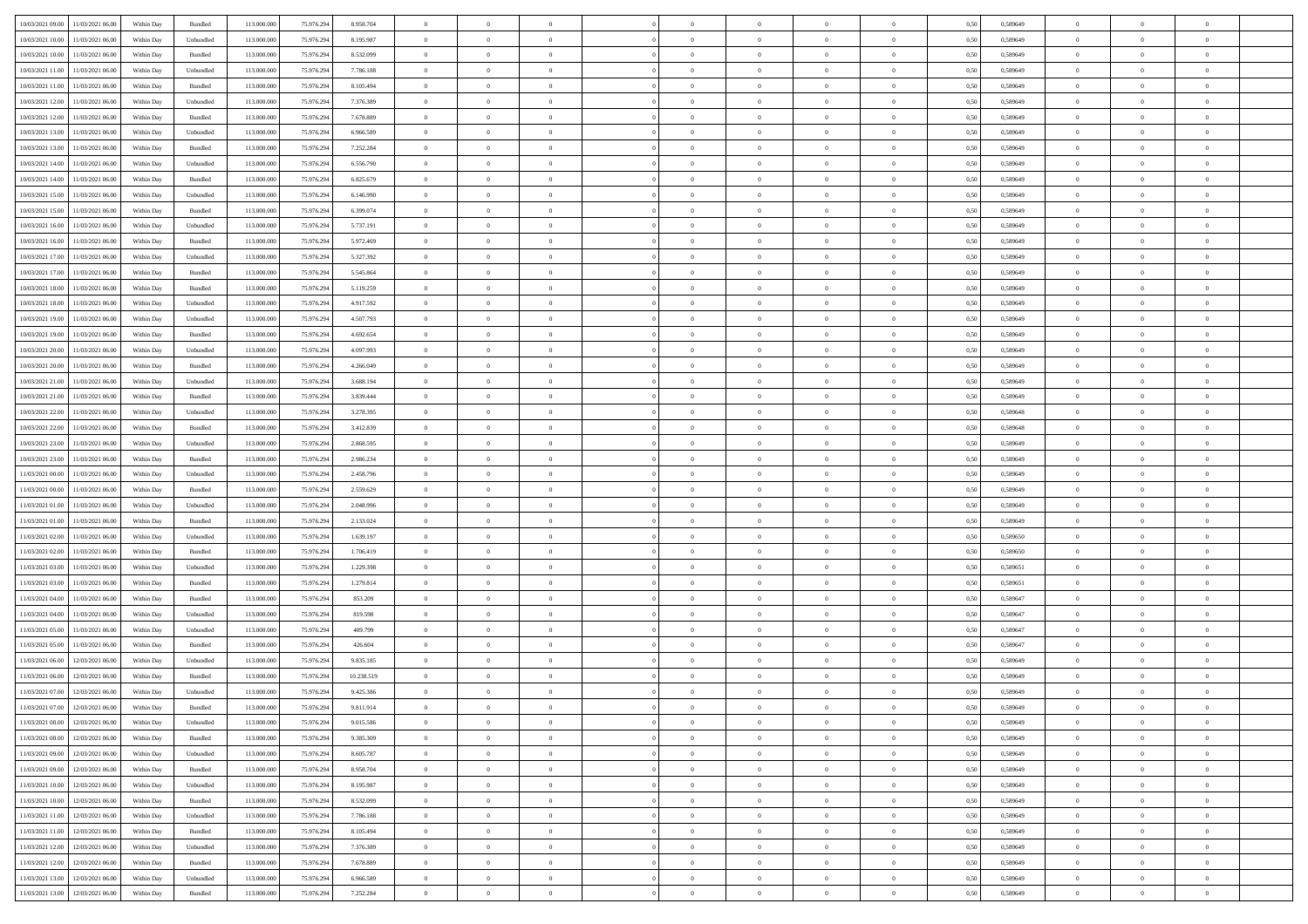|                                      |            |           |             |            |            | $\overline{0}$ | $\overline{0}$ |                | $\overline{0}$ | $\theta$       |                | $\theta$       |      |          | $\theta$       | $\theta$       | $\overline{0}$ |  |
|--------------------------------------|------------|-----------|-------------|------------|------------|----------------|----------------|----------------|----------------|----------------|----------------|----------------|------|----------|----------------|----------------|----------------|--|
| 10/03/2021 09:00 11/03/2021 06:00    | Within Day | Bundled   | 113.000.000 | 75.976.294 | 8.958.704  |                |                |                |                |                |                |                | 0,50 | 0,589649 |                |                |                |  |
| 10/03/2021 10:00<br>11/03/2021 06:00 | Within Day | Unbundled | 113.000.00  | 75.976.29  | 8.195.987  | $\bf{0}$       | $\bf{0}$       | $\bf{0}$       | $\bf{0}$       | $\overline{0}$ | $\overline{0}$ | $\bf{0}$       | 0,50 | 0,589649 | $\,$ 0 $\,$    | $\bf{0}$       | $\overline{0}$ |  |
| 10/03/2021 10:00<br>11/03/2021 06:00 | Within Day | Bundled   | 113,000,000 | 75.976.294 | 8.532.099  | $\overline{0}$ | $\bf{0}$       | $\overline{0}$ | $\bf{0}$       | $\overline{0}$ | $\overline{0}$ | $\bf{0}$       | 0.50 | 0.589649 | $\bf{0}$       | $\overline{0}$ | $\bf{0}$       |  |
| 10/03/2021 11:00<br>11/03/2021 06:00 | Within Day | Unbundled | 113.000.000 | 75.976.294 | 7.786.188  | $\overline{0}$ | $\overline{0}$ | $\overline{0}$ | $\overline{0}$ | $\theta$       | $\overline{0}$ | $\bf{0}$       | 0,50 | 0,589649 | $\,$ 0 $\,$    | $\,$ 0 $\,$    | $\overline{0}$ |  |
|                                      |            |           |             |            |            |                |                |                |                |                |                |                |      |          |                |                |                |  |
| 10/03/2021 11:00<br>11/03/2021 06:00 | Within Day | Bundled   | 113.000.00  | 75.976.29  | 8.105.494  | $\bf{0}$       | $\overline{0}$ | $\bf{0}$       | $\overline{0}$ | $\bf{0}$       | $\overline{0}$ | $\bf{0}$       | 0,50 | 0,589649 | $\,$ 0 $\,$    | $\bf{0}$       | $\overline{0}$ |  |
| 10/03/2021 12:00<br>11/03/2021 06:00 | Within Day | Unbundled | 113,000,000 | 75.976.294 | 7.376.389  | $\overline{0}$ | $\bf{0}$       | $\overline{0}$ | $\bf{0}$       | $\overline{0}$ | $\theta$       | $\bf{0}$       | 0.50 | 0.589649 | $\,$ 0 $\,$    | $\theta$       | $\overline{0}$ |  |
| 10/03/2021 12:00<br>11/03/2021 06:00 | Within Day | Bundled   | 113.000.000 | 75.976.294 | 7.678.889  | $\overline{0}$ | $\overline{0}$ | $\overline{0}$ | $\overline{0}$ | $\overline{0}$ | $\overline{0}$ | $\bf{0}$       | 0,50 | 0,589649 | $\,$ 0 $\,$    | $\theta$       | $\overline{0}$ |  |
|                                      |            |           |             |            |            |                |                |                |                |                |                |                |      |          |                |                |                |  |
| 10/03/2021 13:00<br>11/03/2021 06:00 | Within Day | Unbundled | 113.000.00  | 75.976.29  | 6.966.589  | $\bf{0}$       | $\bf{0}$       | $\bf{0}$       | $\overline{0}$ | $\overline{0}$ | $\overline{0}$ | $\bf{0}$       | 0,50 | 0,589649 | $\,$ 0 $\,$    | $\bf{0}$       | $\overline{0}$ |  |
| 10/03/2021 13:00<br>11/03/2021 06:00 | Within Day | Bundled   | 113,000,000 | 75.976.294 | 7.252.284  | $\overline{0}$ | $\bf{0}$       | $\overline{0}$ | $\bf{0}$       | $\overline{0}$ | $\overline{0}$ | $\bf{0}$       | 0.50 | 0.589649 | $\bf{0}$       | $\overline{0}$ | $\overline{0}$ |  |
| 10/03/2021 14:00<br>11/03/2021 06:00 | Within Day | Unbundled | 113.000.000 | 75.976.294 | 6.556.790  | $\bf{0}$       | $\bf{0}$       | $\overline{0}$ | $\overline{0}$ | $\overline{0}$ | $\overline{0}$ | $\bf{0}$       | 0,50 | 0,589649 | $\,$ 0 $\,$    | $\bf{0}$       | $\overline{0}$ |  |
| 10/03/2021 14:00<br>11/03/2021 06:00 | Within Day | Bundled   | 113.000.00  | 75.976.294 | 6.825.679  | $\bf{0}$       | $\bf{0}$       | $\bf{0}$       | $\bf{0}$       | $\overline{0}$ | $\overline{0}$ | $\bf{0}$       | 0,50 | 0,589649 | $\,$ 0 $\,$    | $\bf{0}$       | $\overline{0}$ |  |
|                                      |            |           | 113,000,000 |            | 6.146.990  |                |                | $\overline{0}$ |                |                | $\overline{0}$ |                |      |          |                | $\,$ 0 $\,$    | $\,$ 0         |  |
| 10/03/2021 15:00<br>11/03/2021 06:00 | Within Day | Unbundled |             | 75.976.294 |            | $\overline{0}$ | $\bf{0}$       |                | $\overline{0}$ | $\overline{0}$ |                | $\bf{0}$       | 0.50 | 0.589649 | $\bf{0}$       |                |                |  |
| 10/03/2021 15:00<br>11/03/2021 06:00 | Within Day | Bundled   | 113.000.000 | 75.976.294 | 6.399.074  | $\overline{0}$ | $\overline{0}$ | $\overline{0}$ | $\theta$       | $\theta$       | $\overline{0}$ | $\bf{0}$       | 0,50 | 0,589649 | $\,$ 0 $\,$    | $\,$ 0 $\,$    | $\overline{0}$ |  |
| 10/03/2021 16:00<br>11/03/2021 06:00 | Within Day | Unbundled | 113.000.00  | 75.976.294 | 5.737.191  | $\bf{0}$       | $\overline{0}$ | $\bf{0}$       | $\bf{0}$       | $\bf{0}$       | $\overline{0}$ | $\bf{0}$       | 0,50 | 0,589649 | $\,$ 0 $\,$    | $\bf{0}$       | $\overline{0}$ |  |
| 10/03/2021 16:00<br>11/03/2021 06:00 | Within Day | Bundled   | 113,000,000 | 75.976.294 | 5.972.469  | $\overline{0}$ | $\bf{0}$       | $\overline{0}$ | $\bf{0}$       | $\overline{0}$ | $\theta$       | $\bf{0}$       | 0.50 | 0.589649 | $\,$ 0 $\,$    | $\theta$       | $\overline{0}$ |  |
| 10/03/2021 17:00<br>11/03/2021 06:00 | Within Day | Unbundled | 113.000.000 | 75.976.294 | 5.327.392  | $\overline{0}$ | $\overline{0}$ | $\overline{0}$ | $\overline{0}$ | $\overline{0}$ | $\overline{0}$ | $\bf{0}$       | 0,50 | 0,589649 | $\theta$       | $\theta$       | $\overline{0}$ |  |
|                                      |            |           |             |            |            |                |                |                |                |                |                |                |      |          |                |                |                |  |
| 10/03/2021 17:00<br>11/03/2021 06:00 | Within Day | Bundled   | 113.000.00  | 75.976.29  | 5.545.864  | $\bf{0}$       | $\bf{0}$       | $\bf{0}$       | $\overline{0}$ | $\overline{0}$ | $\overline{0}$ | $\bf{0}$       | 0,50 | 0,589649 | $\,$ 0 $\,$    | $\bf{0}$       | $\overline{0}$ |  |
| 10/03/2021 18:00<br>11/03/2021 06:00 | Within Day | Bundled   | 113,000,000 | 75.976.294 | 5.119.259  | $\overline{0}$ | $\bf{0}$       | $\overline{0}$ | $\bf{0}$       | $\bf{0}$       | $\overline{0}$ | $\bf{0}$       | 0.50 | 0.589649 | $\bf{0}$       | $\overline{0}$ | $\bf{0}$       |  |
| 10/03/2021 18:00<br>11/03/2021 06:00 | Within Day | Unbundled | 113.000.000 | 75.976.294 | 4.917.592  | $\bf{0}$       | $\bf{0}$       | $\overline{0}$ | $\overline{0}$ | $\overline{0}$ | $\overline{0}$ | $\bf{0}$       | 0,50 | 0,589649 | $\,$ 0 $\,$    | $\bf{0}$       | $\overline{0}$ |  |
| 10/03/2021 19:00<br>11/03/2021 06:00 | Within Day | Unbundled | 113.000.00  | 75.976.29  | 4.507.793  | $\bf{0}$       | $\bf{0}$       | $\bf{0}$       | $\bf{0}$       | $\overline{0}$ | $\overline{0}$ | $\bf{0}$       | 0,50 | 0,589649 | $\,$ 0 $\,$    | $\bf{0}$       | $\overline{0}$ |  |
|                                      |            | Bundled   | 113,000,000 |            | 4.692.654  |                |                | $\overline{0}$ |                |                | $\overline{0}$ |                |      |          |                |                | $\,$ 0         |  |
| 10/03/2021 19:00<br>11/03/2021 06:00 | Within Day |           |             | 75.976.294 |            | $\overline{0}$ | $\bf{0}$       |                | $\overline{0}$ | $\bf{0}$       |                | $\bf{0}$       | 0.50 | 0.589649 | $\bf{0}$       | $\overline{0}$ |                |  |
| 10/03/2021 20:00<br>11/03/2021 06:00 | Within Day | Unbundled | 113.000.000 | 75.976.294 | 4.097.993  | $\overline{0}$ | $\overline{0}$ | $\overline{0}$ | $\overline{0}$ | $\theta$       | $\overline{0}$ | $\bf{0}$       | 0,50 | 0,589649 | $\theta$       | $\theta$       | $\overline{0}$ |  |
| 10/03/2021 20:00<br>11/03/2021 06:00 | Within Day | Bundled   | 113.000.00  | 75.976.29  | 4.266.049  | $\bf{0}$       | $\bf{0}$       | $\bf{0}$       | $\bf{0}$       | $\overline{0}$ | $\overline{0}$ | $\bf{0}$       | 0,50 | 0,589649 | $\,$ 0 $\,$    | $\bf{0}$       | $\overline{0}$ |  |
| 10/03/2021 21:00<br>11/03/2021 06:00 | Within Day | Unbundled | 113,000,000 | 75.976.294 | 3.688.194  | $\overline{0}$ | $\bf{0}$       | $\overline{0}$ | $\bf{0}$       | $\overline{0}$ | $\theta$       | $\bf{0}$       | 0.50 | 0.589649 | $\,$ 0 $\,$    | $\overline{0}$ | $\overline{0}$ |  |
| 10/03/2021 21:00<br>11/03/2021 06:00 | Within Day | Bundled   | 113.000.000 | 75.976.294 | 3.839.444  | $\overline{0}$ | $\overline{0}$ | $\overline{0}$ | $\overline{0}$ | $\overline{0}$ | $\overline{0}$ | $\bf{0}$       | 0,50 | 0,589649 | $\,$ 0 $\,$    | $\theta$       | $\overline{0}$ |  |
|                                      |            |           |             |            |            |                |                |                |                |                |                |                |      |          |                |                |                |  |
| 10/03/2021 22:00<br>11/03/2021 06:00 | Within Day | Unbundled | 113.000.00  | 75.976.29  | 3.278.395  | $\bf{0}$       | $\overline{0}$ | $\bf{0}$       | $\overline{0}$ | $\overline{0}$ | $\overline{0}$ | $\bf{0}$       | 0,50 | 0,589648 | $\,$ 0 $\,$    | $\bf{0}$       | $\overline{0}$ |  |
| 10/03/2021 22:00<br>11/03/2021 06:00 | Within Day | Bundled   | 113,000,000 | 75.976.294 | 3.412.839  | $\overline{0}$ | $\bf{0}$       | $\overline{0}$ | $\bf{0}$       | $\overline{0}$ | $\overline{0}$ | $\bf{0}$       | 0.50 | 0.589648 | $\bf{0}$       | $\overline{0}$ | $\overline{0}$ |  |
| 10/03/2021 23:00<br>11/03/2021 06:00 | Within Day | Unbundled | 113.000.000 | 75.976.294 | 2.868.595  | $\overline{0}$ | $\bf{0}$       | $\overline{0}$ | $\overline{0}$ | $\overline{0}$ | $\overline{0}$ | $\bf{0}$       | 0,50 | 0,589649 | $\theta$       | $\bf{0}$       | $\overline{0}$ |  |
| 10/03/2021 23:00<br>11/03/2021 06:00 | Within Day | Bundled   | 113.000.00  | 75.976.29  | 2.986.234  | $\bf{0}$       | $\bf{0}$       | $\bf{0}$       | $\bf{0}$       | $\overline{0}$ | $\overline{0}$ | $\bf{0}$       | 0,50 | 0,589649 | $\,$ 0 $\,$    | $\bf{0}$       | $\overline{0}$ |  |
| 11/03/2021 00:00<br>11/03/2021 06:00 | Within Day | Unbundled | 113,000,000 | 75.976.294 | 2.458.796  | $\overline{0}$ | $\bf{0}$       | $\overline{0}$ | $\overline{0}$ | $\bf{0}$       | $\overline{0}$ | $\bf{0}$       | 0.50 | 0.589649 | $\bf{0}$       | $\,$ 0 $\,$    | $\,$ 0         |  |
|                                      |            |           |             |            |            |                |                |                |                |                |                |                |      |          |                |                |                |  |
| 11/03/2021 00:00<br>11/03/2021 06:00 | Within Day | Bundled   | 113.000.000 | 75.976.294 | 2.559.629  | $\overline{0}$ | $\overline{0}$ | $\overline{0}$ | $\overline{0}$ | $\overline{0}$ | $\overline{0}$ | $\bf{0}$       | 0.50 | 0.589649 | $\theta$       | $\theta$       | $\overline{0}$ |  |
| 11/03/2021 01:00<br>11/03/2021 06:00 | Within Day | Unbundled | 113.000.00  | 75.976.29  | 2.048.996  | $\bf{0}$       | $\bf{0}$       | $\bf{0}$       | $\bf{0}$       | $\overline{0}$ | $\overline{0}$ | $\bf{0}$       | 0,50 | 0,589649 | $\,$ 0 $\,$    | $\bf{0}$       | $\overline{0}$ |  |
| 11/03/2021 01:00<br>11/03/2021 06:00 | Within Day | Bundled   | 113,000,000 | 75.976.294 | 2.133.024  | $\overline{0}$ | $\bf{0}$       | $\overline{0}$ | $\bf{0}$       | $\overline{0}$ | $\overline{0}$ | $\bf{0}$       | 0.50 | 0.589649 | $\,$ 0 $\,$    | $\bf{0}$       | $\overline{0}$ |  |
| 11/03/2021 02:00<br>11/03/2021 06:00 | Within Dav | Unbundled | 113.000.000 | 75.976.294 | 1.639.197  | $\overline{0}$ | $\overline{0}$ | $\overline{0}$ | $\overline{0}$ | $\overline{0}$ | $\overline{0}$ | $\bf{0}$       | 0.50 | 0.589650 | $\theta$       | $\theta$       | $\overline{0}$ |  |
| 11/03/2021 02:00<br>11/03/2021 06:00 | Within Day | Bundled   | 113.000.00  | 75.976.29  | 1.706.419  | $\bf{0}$       | $\bf{0}$       | $\bf{0}$       | $\bf{0}$       | $\overline{0}$ | $\overline{0}$ | $\bf{0}$       | 0,50 | 0,589650 | $\,$ 0 $\,$    | $\bf{0}$       | $\overline{0}$ |  |
|                                      |            |           |             |            |            |                |                |                |                |                |                |                |      |          |                |                |                |  |
| 11/03/2021 03:00<br>11/03/2021 06:00 | Within Day | Unbundled | 113,000,000 | 75.976.294 | 1.229.398  | $\overline{0}$ | $\bf{0}$       | $\overline{0}$ | $\bf{0}$       | $\overline{0}$ | $\overline{0}$ | $\bf{0}$       | 0.50 | 0.589651 | $\bf{0}$       | $\overline{0}$ | $\bf{0}$       |  |
| 11/03/2021 03:00<br>11/03/2021 06:00 | Within Day | Bundled   | 113.000.000 | 75.976.294 | 1.279.814  | $\overline{0}$ | $\overline{0}$ | $\overline{0}$ | $\overline{0}$ | $\overline{0}$ | $\overline{0}$ | $\bf{0}$       | 0.50 | 0.589651 | $\theta$       | $\theta$       | $\overline{0}$ |  |
| 11/03/2021 04:00<br>11/03/2021 06:00 | Within Day | Bundled   | 113.000.00  | 75.976.29  | 853.209    | $\bf{0}$       | $\bf{0}$       | $\bf{0}$       | $\bf{0}$       | $\overline{0}$ | $\overline{0}$ | $\bf{0}$       | 0,50 | 0,589647 | $\,$ 0 $\,$    | $\bf{0}$       | $\overline{0}$ |  |
| 11/03/2021 04:00<br>11/03/2021 06:00 | Within Day | Unbundled | 113,000,000 | 75.976.294 | 819.598    | $\overline{0}$ | $\bf{0}$       | $\overline{0}$ | $\overline{0}$ | $\bf{0}$       | $\overline{0}$ | $\bf{0}$       | 0.50 | 0.589647 | $\bf{0}$       | $\,$ 0 $\,$    | $\,$ 0         |  |
| 11/03/2021 05:00<br>11/03/2021 06:00 | Within Day | Unbundled | 113.000.000 | 75.976.294 | 409,799    | $\overline{0}$ | $\overline{0}$ | $\overline{0}$ | $\overline{0}$ | $\overline{0}$ | $\overline{0}$ | $\bf{0}$       | 0.50 | 0.589647 | $\theta$       | $\theta$       | $\overline{0}$ |  |
|                                      |            |           |             |            |            |                |                |                |                |                |                |                |      |          |                |                |                |  |
| 11/03/2021 05:00<br>11/03/2021 06:00 | Within Day | Bundled   | 113.000.00  | 75.976.294 | 426.604    | $\bf{0}$       | $\bf{0}$       | $\bf{0}$       | $\bf{0}$       | $\overline{0}$ | $\overline{0}$ | $\bf{0}$       | 0,50 | 0,589647 | $\,$ 0 $\,$    | $\bf{0}$       | $\overline{0}$ |  |
| 11/03/2021 06:00<br>12/03/2021 06:00 | Within Day | Unbundled | 113,000,000 | 75.976.294 | 9.835.185  | $\overline{0}$ | $\overline{0}$ | $\overline{0}$ | $\bf{0}$       | $\overline{0}$ | $\overline{0}$ | $\bf{0}$       | 0.50 | 0.589649 | $\bf{0}$       | $\theta$       | $\overline{0}$ |  |
| 11/03/2021 06:00<br>12/03/2021 06:00 | Within Day | Bundled   | 113.000.000 | 75.976.294 | 10.238.519 | $\overline{0}$ | $\overline{0}$ | $\overline{0}$ | $\overline{0}$ | $\theta$       | $\overline{0}$ | $\overline{0}$ | 0.5( | 0.589649 | $\theta$       | $\theta$       | $\overline{0}$ |  |
| 11/03/2021 07:00<br>12/03/2021 06:00 | Within Day | Unbundled | 113.000.000 | 75.976.294 | 9.425.386  | $\bf{0}$       | $\bf{0}$       | $\bf{0}$       | $\bf{0}$       | $\bf{0}$       | $\overline{0}$ | $\bf{0}$       | 0,50 | 0,589649 | $\,$ 0 $\,$    | $\overline{0}$ | $\overline{0}$ |  |
| 11/03/2021 07:00 12/03/2021 06:00    | Within Day | Bundled   | 113.000.000 | 75.976.294 | 9.811.914  | $\bf{0}$       | $\theta$       |                | $\Omega$       | $\Omega$       |                |                | 0,50 | 0.589649 | $\bf{0}$       | $\bf{0}$       |                |  |
|                                      |            |           |             |            |            |                |                |                |                |                |                |                |      |          |                |                |                |  |
| 11/03/2021 08:00 12/03/2021 06:00    | Within Day | Unbundled | 113.000.000 | 75.976.294 | 9.015.586  | $\overline{0}$ | $\overline{0}$ | $\Omega$       | $\theta$       | $\overline{0}$ | $\overline{0}$ | $\bf{0}$       | 0,50 | 0,589649 | $\theta$       | $\overline{0}$ | $\overline{0}$ |  |
| 11/03/2021 08:00<br>12/03/2021 06:00 | Within Day | Bundled   | 113.000.00  | 75.976.294 | 9.385.309  | $\overline{0}$ | $\bf{0}$       | $\overline{0}$ | $\overline{0}$ | $\bf{0}$       | $\overline{0}$ | $\bf{0}$       | 0,50 | 0,589649 | $\bf{0}$       | $\overline{0}$ | $\bf{0}$       |  |
| 11/03/2021 09:00 12/03/2021 06:00    | Within Day | Unbundled | 113,000,000 | 75.976.294 | 8.605.787  | $\overline{0}$ | $\bf{0}$       | $\overline{0}$ | $\overline{0}$ | $\mathbf{0}$   | $\overline{0}$ | $\,$ 0 $\,$    | 0.50 | 0.589649 | $\overline{0}$ | $\bf{0}$       | $\overline{0}$ |  |
| 11/03/2021 09:00 12/03/2021 06:00    | Within Dav | Bundled   | 113.000.000 | 75.976.294 | 8.958.704  | $\overline{0}$ | $\overline{0}$ | $\overline{0}$ | $\overline{0}$ | $\overline{0}$ | $\overline{0}$ | $\bf{0}$       | 0,50 | 0.589649 | $\overline{0}$ | $\theta$       | $\overline{0}$ |  |
|                                      |            |           |             |            |            |                |                |                |                |                |                |                |      |          |                |                |                |  |
| 11/03/2021 10:00<br>12/03/2021 06:00 | Within Day | Unbundled | 113.000.000 | 75.976.294 | 8.195.987  | $\overline{0}$ | $\bf{0}$       | $\overline{0}$ | $\overline{0}$ | $\bf{0}$       | $\overline{0}$ | $\bf{0}$       | 0,50 | 0,589649 | $\bf{0}$       | $\overline{0}$ | $\overline{0}$ |  |
| 11/03/2021 10:00<br>12/03/2021 06:00 | Within Day | Bundled   | 113,000,000 | 75.976.294 | 8.532.099  | $\overline{0}$ | $\bf{0}$       | $\overline{0}$ | $\overline{0}$ | $\bf{0}$       | $\overline{0}$ | $\bf{0}$       | 0.50 | 0.589649 | $\,$ 0 $\,$    | $\overline{0}$ | $\,$ 0         |  |
| 11/03/2021 11:00<br>12/03/2021 06:00 | Within Dav | Unbundled | 113.000.000 | 75.976.294 | 7.786.188  | $\overline{0}$ | $\overline{0}$ | $\overline{0}$ | $\overline{0}$ | $\overline{0}$ | $\overline{0}$ | $\bf{0}$       | 0,50 | 0.589649 | $\overline{0}$ | $\theta$       | $\overline{0}$ |  |
| 11/03/2021 11:00<br>12/03/2021 06:00 | Within Day | Bundled   | 113.000.00  | 75.976.294 | 8.105.494  | $\overline{0}$ | $\overline{0}$ | $\overline{0}$ | $\overline{0}$ | $\overline{0}$ | $\overline{0}$ | $\bf{0}$       | 0,50 | 0,589649 | $\bf{0}$       | $\overline{0}$ | $\overline{0}$ |  |
| 11/03/2021 12:00 12/03/2021 06:00    | Within Day | Unbundled | 113,000,000 | 75.976.294 | 7.376.389  | $\overline{0}$ | $\overline{0}$ | $\overline{0}$ | $\overline{0}$ | $\overline{0}$ | $\overline{0}$ | $\bf{0}$       | 0.50 | 0.589649 | $\mathbf{0}$   | $\bf{0}$       | $\,$ 0         |  |
|                                      |            |           |             |            |            |                |                |                |                |                |                |                |      |          |                |                |                |  |
| 11/03/2021 12:00 12/03/2021 06:00    | Within Dav | Bundled   | 113.000.000 | 75.976.294 | 7.678.889  | $\overline{0}$ | $\overline{0}$ | $\overline{0}$ | $\overline{0}$ | $\overline{0}$ | $\overline{0}$ | $\bf{0}$       | 0,50 | 0.589649 | $\overline{0}$ | $\theta$       | $\overline{0}$ |  |
| 11/03/2021 13:00<br>12/03/2021 06:00 | Within Day | Unbundled | 113.000.00  | 75.976.294 | 6.966.589  | $\overline{0}$ | $\bf{0}$       | $\overline{0}$ | $\bf{0}$       | $\overline{0}$ | $\overline{0}$ | $\bf{0}$       | 0,50 | 0,589649 | $\bf{0}$       | $\,$ 0 $\,$    | $\bf{0}$       |  |
| 11/03/2021 13:00 12/03/2021 06:00    | Within Day | Bundled   | 113.000.000 | 75.976.294 | 7.252.284  | $\,$ 0 $\,$    | $\bf{0}$       | $\overline{0}$ | $\overline{0}$ | $\,$ 0 $\,$    | $\overline{0}$ | $\bf{0}$       | 0,50 | 0,589649 | $\overline{0}$ | $\,$ 0 $\,$    | $\,$ 0 $\,$    |  |
|                                      |            |           |             |            |            |                |                |                |                |                |                |                |      |          |                |                |                |  |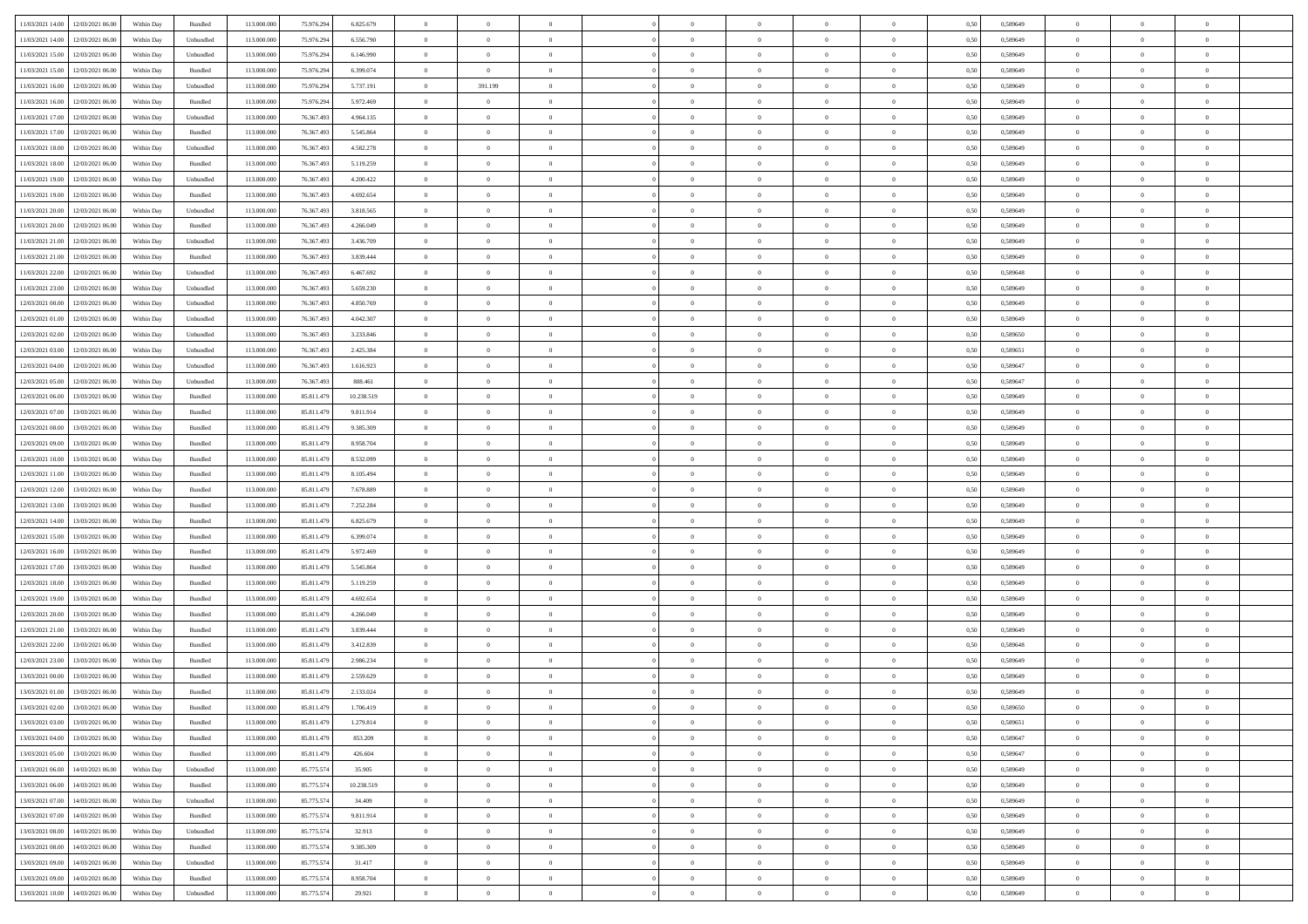| 11/03/2021 14:00 12/03/2021 06:00              | Within Day | Bundled   | 113.000.000 | 75.976.294 | 6.825.679  | $\overline{0}$ | $\overline{0}$ |                | $\overline{0}$ | $\theta$       |                | $\theta$       | 0,50 | 0,589649 | $\theta$       | $\theta$       | $\overline{0}$ |  |
|------------------------------------------------|------------|-----------|-------------|------------|------------|----------------|----------------|----------------|----------------|----------------|----------------|----------------|------|----------|----------------|----------------|----------------|--|
|                                                |            |           |             |            |            |                |                |                |                |                |                |                |      |          |                |                |                |  |
| 11/03/2021 14:00<br>12/03/2021 06:00           | Within Day | Unbundled | 113.000.00  | 75.976.29  | 6.556.790  | $\bf{0}$       | $\bf{0}$       | $\bf{0}$       | $\bf{0}$       | $\overline{0}$ | $\overline{0}$ | $\bf{0}$       | 0,50 | 0,589649 | $\,$ 0 $\,$    | $\bf{0}$       | $\overline{0}$ |  |
| 11/03/2021 15:00<br>12/03/2021 06:00           | Within Day | Unbundled | 113,000,000 | 75.976.294 | 6.146.990  | $\overline{0}$ | $\bf{0}$       | $\overline{0}$ | $\bf{0}$       | $\overline{0}$ | $\overline{0}$ | $\bf{0}$       | 0.50 | 0.589649 | $\bf{0}$       | $\overline{0}$ | $\bf{0}$       |  |
| 11/03/2021 15:00<br>12/03/2021 06:00           | Within Day | Bundled   | 113.000.000 | 75.976.294 | 6.399.074  | $\overline{0}$ | $\overline{0}$ | $\overline{0}$ | $\overline{0}$ | $\theta$       | $\overline{0}$ | $\bf{0}$       | 0,50 | 0,589649 | $\,$ 0 $\,$    | $\,$ 0 $\,$    | $\overline{0}$ |  |
| 11/03/2021 16:00<br>12/03/2021 06:00           | Within Day | Unbundled | 113.000.00  | 75.976.29  | 5.737.191  | $\bf{0}$       | 391.199        | $\bf{0}$       | $\overline{0}$ | $\bf{0}$       | $\overline{0}$ | $\bf{0}$       | 0,50 | 0,589649 | $\,$ 0 $\,$    | $\bf{0}$       | $\overline{0}$ |  |
| 11/03/2021 16:00<br>12/03/2021 06:00           | Within Day | Bundled   | 113,000,000 | 75.976.294 | 5.972.469  | $\overline{0}$ | $\overline{0}$ | $\overline{0}$ | $\bf{0}$       | $\overline{0}$ | $\theta$       | $\bf{0}$       | 0.50 | 0.589649 | $\,$ 0 $\,$    | $\theta$       | $\overline{0}$ |  |
| 11/03/2021 17:00<br>12/03/2021 06:00           |            |           | 113.000.000 |            |            |                | $\overline{0}$ | $\overline{0}$ | $\overline{0}$ | $\overline{0}$ | $\overline{0}$ |                |      |          | $\,$ 0 $\,$    | $\theta$       | $\overline{0}$ |  |
|                                                | Within Day | Unbundled |             | 76.367.493 | 4.964.135  | $\bf{0}$       |                |                |                |                |                | $\bf{0}$       | 0,50 | 0,589649 |                |                |                |  |
| 11/03/2021 17:00<br>12/03/2021 06:00           | Within Day | Bundled   | 113.000.00  | 76.367.49  | 5.545.864  | $\bf{0}$       | $\bf{0}$       | $\bf{0}$       | $\bf{0}$       | $\overline{0}$ | $\overline{0}$ | $\bf{0}$       | 0,50 | 0,589649 | $\,$ 0 $\,$    | $\bf{0}$       | $\overline{0}$ |  |
| 11/03/2021 18:00<br>12/03/2021 06:00           | Within Day | Unbundled | 113,000,000 | 76.367.493 | 4.582.278  | $\overline{0}$ | $\bf{0}$       | $\overline{0}$ | $\bf{0}$       | $\overline{0}$ | $\overline{0}$ | $\bf{0}$       | 0.50 | 0.589649 | $\bf{0}$       | $\overline{0}$ | $\overline{0}$ |  |
| 11/03/2021 18:00<br>12/03/2021 06:00           | Within Day | Bundled   | 113.000.000 | 76.367.493 | 5.119.259  | $\bf{0}$       | $\bf{0}$       | $\overline{0}$ | $\overline{0}$ | $\overline{0}$ | $\overline{0}$ | $\bf{0}$       | 0,50 | 0,589649 | $\,$ 0 $\,$    | $\bf{0}$       | $\overline{0}$ |  |
| 11/03/2021 19:00<br>12/03/2021 06:00           | Within Day | Unbundled | 113.000.00  | 76.367.49  | 4.200.422  | $\bf{0}$       | $\bf{0}$       | $\bf{0}$       | $\bf{0}$       | $\overline{0}$ | $\overline{0}$ | $\bf{0}$       | 0,50 | 0,589649 | $\,$ 0 $\,$    | $\bf{0}$       | $\overline{0}$ |  |
| 11/03/2021 19:00<br>12/03/2021 06:00           | Within Day | Bundled   | 113,000,000 | 76.367.493 | 4.692.654  | $\overline{0}$ | $\bf{0}$       | $\overline{0}$ | $\overline{0}$ | $\overline{0}$ | $\overline{0}$ | $\bf{0}$       | 0.50 | 0.589649 | $\bf{0}$       | $\,$ 0 $\,$    | $\,$ 0         |  |
| 11/03/2021 20:00<br>12/03/2021 06:00           | Within Day | Unbundled | 113.000.000 | 76.367.493 | 3.818.565  | $\overline{0}$ | $\bf{0}$       | $\overline{0}$ | $\theta$       | $\theta$       | $\overline{0}$ | $\bf{0}$       | 0,50 | 0,589649 | $\,$ 0 $\,$    | $\,$ 0 $\,$    | $\overline{0}$ |  |
|                                                |            |           |             |            |            |                | $\bf{0}$       |                |                |                | $\overline{0}$ |                |      |          | $\,$ 0 $\,$    | $\bf{0}$       | $\overline{0}$ |  |
| 11/03/2021 20:00<br>12/03/2021 06:00           | Within Day | Bundled   | 113.000.00  | 76.367.49  | 4.266.049  | $\bf{0}$       |                | $\bf{0}$       | $\bf{0}$       | $\bf{0}$       |                | $\bf{0}$       | 0,50 | 0,589649 |                |                |                |  |
| 11/03/2021 21:00<br>12/03/2021 06:00           | Within Day | Unbundled | 113,000,000 | 76.367.493 | 3.436.709  | $\overline{0}$ | $\bf{0}$       | $\overline{0}$ | $\bf{0}$       | $\overline{0}$ | $\theta$       | $\bf{0}$       | 0.50 | 0.589649 | $\,$ 0 $\,$    | $\theta$       | $\overline{0}$ |  |
| 11/03/2021 21:00<br>12/03/2021 06:00           | Within Day | Bundled   | 113.000.000 | 76.367.493 | 3.839.444  | $\overline{0}$ | $\overline{0}$ | $\overline{0}$ | $\overline{0}$ | $\overline{0}$ | $\overline{0}$ | $\bf{0}$       | 0,50 | 0,589649 | $\theta$       | $\theta$       | $\overline{0}$ |  |
| 11/03/2021 22:00<br>12/03/2021 06:00           | Within Day | Unbundled | 113.000.00  | 76.367.49  | 6.467.692  | $\bf{0}$       | $\bf{0}$       | $\bf{0}$       | $\overline{0}$ | $\overline{0}$ | $\overline{0}$ | $\bf{0}$       | 0,50 | 0,589648 | $\,$ 0 $\,$    | $\bf{0}$       | $\overline{0}$ |  |
| 11/03/2021 23:00<br>12/03/2021 06:00           | Within Day | Unbundled | 113,000,00  | 76.367.49  | 5.659.230  | $\overline{0}$ | $\bf{0}$       | $\overline{0}$ | $\bf{0}$       | $\bf{0}$       | $\overline{0}$ | $\bf{0}$       | 0.50 | 0.589649 | $\bf{0}$       | $\overline{0}$ | $\bf{0}$       |  |
| 12/03/2021 00:00<br>12/03/2021 06:00           | Within Day | Unbundled | 113.000.000 | 76.367.493 | 4.850.769  | $\bf{0}$       | $\bf{0}$       | $\overline{0}$ | $\overline{0}$ | $\overline{0}$ | $\overline{0}$ | $\bf{0}$       | 0,50 | 0,589649 | $\,$ 0 $\,$    | $\bf{0}$       | $\overline{0}$ |  |
| 12/03/2021 01:00<br>12/03/2021 06:00           | Within Day | Unbundled | 113.000.00  | 76.367.49  | 4.042.307  | $\bf{0}$       | $\bf{0}$       | $\bf{0}$       | $\bf{0}$       | $\overline{0}$ | $\overline{0}$ | $\bf{0}$       | 0,50 | 0,589649 | $\,$ 0 $\,$    | $\bf{0}$       | $\overline{0}$ |  |
| 12/03/2021 02:00<br>12/03/2021 06:00           | Within Day | Unbundled | 113,000,000 | 76.367.493 | 3.233.846  | $\overline{0}$ | $\bf{0}$       | $\overline{0}$ | $\overline{0}$ | $\bf{0}$       | $\overline{0}$ | $\bf{0}$       | 0.50 | 0.589650 | $\bf{0}$       | $\overline{0}$ | $\,$ 0         |  |
|                                                |            |           |             |            |            |                |                |                |                |                |                |                |      |          |                |                |                |  |
| 12/03/2021 03:00<br>12/03/2021 06:00           | Within Day | Unbundled | 113.000.000 | 76.367.493 | 2.425.384  | $\overline{0}$ | $\overline{0}$ | $\overline{0}$ | $\overline{0}$ | $\theta$       | $\overline{0}$ | $\bf{0}$       | 0,50 | 0,589651 | $\theta$       | $\theta$       | $\overline{0}$ |  |
| 12/03/2021 04:00<br>12/03/2021 06:00           | Within Day | Unbundled | 113.000.00  | 76.367.49  | 1.616.923  | $\bf{0}$       | $\bf{0}$       | $\bf{0}$       | $\bf{0}$       | $\overline{0}$ | $\overline{0}$ | $\bf{0}$       | 0,50 | 0,589647 | $\,$ 0 $\,$    | $\bf{0}$       | $\overline{0}$ |  |
| 12/03/2021 05:00<br>12/03/2021 06:00           | Within Day | Unbundled | 113,000,000 | 76.367.493 | 808.461    | $\overline{0}$ | $\bf{0}$       | $\overline{0}$ | $\bf{0}$       | $\overline{0}$ | $\theta$       | $\bf{0}$       | 0.50 | 0.589647 | $\,$ 0 $\,$    | $\overline{0}$ | $\overline{0}$ |  |
| 12/03/2021 06:00<br>13/03/2021 06:00           | Within Day | Bundled   | 113.000.000 | 85.811.479 | 10.238.519 | $\overline{0}$ | $\overline{0}$ | $\overline{0}$ | $\overline{0}$ | $\overline{0}$ | $\overline{0}$ | $\bf{0}$       | 0,50 | 0,589649 | $\,$ 0 $\,$    | $\theta$       | $\overline{0}$ |  |
| 12/03/2021 07:00<br>13/03/2021 06:00           | Within Day | Bundled   | 113.000.00  | 85.811.479 | 9.811.914  | $\bf{0}$       | $\overline{0}$ | $\bf{0}$       | $\overline{0}$ | $\overline{0}$ | $\overline{0}$ | $\bf{0}$       | 0,50 | 0,589649 | $\,$ 0 $\,$    | $\bf{0}$       | $\overline{0}$ |  |
| 12/03/2021 08:00<br>13/03/2021 06:00           | Within Day | Bundled   | 113,000,000 | 85.811.479 | 9.385.309  | $\overline{0}$ | $\bf{0}$       | $\overline{0}$ | $\bf{0}$       | $\overline{0}$ | $\overline{0}$ | $\bf{0}$       | 0.50 | 0.589649 | $\bf{0}$       | $\overline{0}$ | $\overline{0}$ |  |
| 12/03/2021 09:00<br>13/03/2021 06:00           | Within Day | Bundled   | 113.000.000 | 85.811.479 | 8.958.704  | $\overline{0}$ | $\bf{0}$       | $\overline{0}$ | $\overline{0}$ | $\overline{0}$ | $\overline{0}$ | $\bf{0}$       | 0,50 | 0,589649 | $\,$ 0 $\,$    | $\bf{0}$       | $\overline{0}$ |  |
|                                                |            |           |             |            |            |                |                |                |                |                |                |                |      |          |                |                |                |  |
| 12/03/2021 10:00<br>13/03/2021 06:00           | Within Day | Bundled   | 113.000.00  | 85.811.479 | 8.532.099  | $\bf{0}$       | $\bf{0}$       | $\bf{0}$       | $\bf{0}$       | $\overline{0}$ | $\bf{0}$       | $\bf{0}$       | 0,50 | 0,589649 | $\,$ 0 $\,$    | $\bf{0}$       | $\overline{0}$ |  |
| 12/03/2021 11:00<br>13/03/2021 06:00           | Within Day | Bundled   | 113,000,000 | 85.811.479 | 8.105.494  | $\overline{0}$ | $\bf{0}$       | $\overline{0}$ | $\overline{0}$ | $\bf{0}$       | $\overline{0}$ | $\bf{0}$       | 0.50 | 0.589649 | $\bf{0}$       | $\,$ 0 $\,$    | $\,$ 0         |  |
| 12/03/2021 12:00<br>13/03/2021 06:00           | Within Day | Bundled   | 113.000.000 | 85.811.479 | 7.678.889  | $\overline{0}$ | $\overline{0}$ | $\overline{0}$ | $\overline{0}$ | $\overline{0}$ | $\overline{0}$ | $\bf{0}$       | 0.50 | 0.589649 | $\theta$       | $\theta$       | $\overline{0}$ |  |
| 12/03/2021 13:00<br>13/03/2021 06:00           | Within Day | Bundled   | 113.000.00  | 85.811.479 | 7.252.284  | $\bf{0}$       | $\bf{0}$       | $\bf{0}$       | $\bf{0}$       | $\overline{0}$ | $\overline{0}$ | $\bf{0}$       | 0,50 | 0,589649 | $\,$ 0 $\,$    | $\bf{0}$       | $\overline{0}$ |  |
| 12/03/2021 14:00<br>13/03/2021 06:00           | Within Day | Bundled   | 113,000,000 | 85.811.479 | 6.825.679  | $\overline{0}$ | $\bf{0}$       | $\overline{0}$ | $\bf{0}$       | $\overline{0}$ | $\overline{0}$ | $\bf{0}$       | 0.50 | 0.589649 | $\,$ 0 $\,$    | $\bf{0}$       | $\overline{0}$ |  |
| 12/03/2021 15:00<br>13/03/2021 06:00           | Within Dav | Bundled   | 113.000.000 | 85.811.479 | 6.399.074  | $\overline{0}$ | $\overline{0}$ | $\overline{0}$ | $\overline{0}$ | $\overline{0}$ | $\overline{0}$ | $\bf{0}$       | 0.50 | 0.589649 | $\theta$       | $\theta$       | $\overline{0}$ |  |
| 12/03/2021 16:00<br>13/03/2021 06:00           | Within Day | Bundled   | 113.000.00  | 85.811.479 | 5.972.469  | $\bf{0}$       | $\bf{0}$       | $\bf{0}$       | $\bf{0}$       | $\overline{0}$ | $\overline{0}$ | $\bf{0}$       | 0,50 | 0,589649 | $\,$ 0 $\,$    | $\bf{0}$       | $\overline{0}$ |  |
| 12/03/2021 17:00<br>13/03/2021 06:00           | Within Day | Bundled   | 113,000,00  | 85.811.479 | 5.545.864  | $\overline{0}$ | $\bf{0}$       | $\overline{0}$ | $\bf{0}$       | $\overline{0}$ | $\overline{0}$ | $\bf{0}$       | 0.50 | 0.589649 | $\bf{0}$       | $\overline{0}$ | $\overline{0}$ |  |
| 12/03/2021 18:00<br>13/03/2021 06:00           | Within Dav | Bundled   | 113.000.000 | 85.811.479 | 5.119.259  | $\overline{0}$ | $\overline{0}$ | $\overline{0}$ | $\overline{0}$ | $\overline{0}$ | $\overline{0}$ | $\bf{0}$       | 0.50 | 0.589649 | $\theta$       | $\theta$       | $\overline{0}$ |  |
|                                                |            |           |             |            |            |                |                |                |                |                |                |                |      |          |                |                |                |  |
| 12/03/2021 19:00<br>13/03/2021 06:00           | Within Day | Bundled   | 113.000.00  | 85.811.479 | 4.692.654  | $\bf{0}$       | $\bf{0}$       | $\bf{0}$       | $\bf{0}$       | $\overline{0}$ | $\bf{0}$       | $\bf{0}$       | 0,50 | 0,589649 | $\,$ 0 $\,$    | $\bf{0}$       | $\overline{0}$ |  |
| 12/03/2021 20:00<br>13/03/2021 06:00           | Within Day | Bundled   | 113,000,000 | 85.811.479 | 4.266.049  | $\overline{0}$ | $\bf{0}$       | $\overline{0}$ | $\overline{0}$ | $\bf{0}$       | $\overline{0}$ | $\bf{0}$       | 0.50 | 0.589649 | $\bf{0}$       | $\overline{0}$ | $\,$ 0         |  |
| 12/03/2021 21:00<br>13/03/2021 06:00           | Within Dav | Bundled   | 113.000.000 | 85.811.479 | 3.839.444  | $\overline{0}$ | $\overline{0}$ | $\overline{0}$ | $\overline{0}$ | $\overline{0}$ | $\overline{0}$ | $\bf{0}$       | 0.50 | 0.589649 | $\theta$       | $\theta$       | $\overline{0}$ |  |
| 12/03/2021 22:00<br>13/03/2021 06:00           | Within Day | Bundled   | 113.000.00  | 85.811.479 | 3.412.839  | $\bf{0}$       | $\bf{0}$       | $\bf{0}$       | $\bf{0}$       | $\overline{0}$ | $\overline{0}$ | $\bf{0}$       | 0,50 | 0,589648 | $\,$ 0 $\,$    | $\bf{0}$       | $\overline{0}$ |  |
| 12/03/2021 23:00<br>13/03/2021 06:00           | Within Day | Bundled   | 113,000,000 | 85.811.479 | 2.986.234  | $\overline{0}$ | $\bf{0}$       | $\overline{0}$ | $\bf{0}$       | $\overline{0}$ | $\overline{0}$ | $\bf{0}$       | 0.50 | 0.589649 | $\bf{0}$       | $\theta$       | $\overline{0}$ |  |
| 13/03/2021 00:00<br>13/03/2021 06:00           | Within Dav | Bundled   | 113.000.000 | 85.811.479 | 2.559.629  | $\overline{0}$ | $\overline{0}$ | $\overline{0}$ | $\overline{0}$ | $\theta$       | $\overline{0}$ | $\overline{0}$ | 0.5( | 0.589649 | $\theta$       | $\theta$       | $\overline{0}$ |  |
| 13/03/2021 01:00<br>13/03/2021 06:00           | Within Day | Bundled   | 113.000.000 | 85.811.479 | 2.133.024  | $\bf{0}$       | $\bf{0}$       | $\bf{0}$       | $\bf{0}$       | $\bf{0}$       | $\overline{0}$ | $\bf{0}$       | 0,50 | 0,589649 | $\,$ 0 $\,$    | $\overline{0}$ | $\overline{0}$ |  |
| $13/03/2021\; 02.00 \qquad 13/03/2021\; 06.00$ | Within Day | Bundled   | 113.000.000 | 85.811.479 | 1.706.419  | $\bf{0}$       | $\theta$       |                | $\overline{0}$ | $\bf{0}$       |                |                | 0,50 | 0.589650 | $\bf{0}$       | $\bf{0}$       |                |  |
| 13/03/2021 03:00 13/03/2021 06:00              | Within Day | Bundled   | 113.000.000 | 85.811.479 | 1.279.814  | $\overline{0}$ | $\overline{0}$ | $\overline{0}$ | $\theta$       | $\overline{0}$ | $\overline{0}$ | $\bf{0}$       | 0,50 | 0,589651 | $\theta$       | $\overline{0}$ | $\overline{0}$ |  |
|                                                |            |           |             |            |            |                |                |                |                |                |                |                |      |          |                |                |                |  |
| 13/03/2021 04:00<br>13/03/2021 06:00           | Within Day | Bundled   | 113.000.00  | 85.811.479 | 853.209    | $\overline{0}$ | $\bf{0}$       | $\overline{0}$ | $\overline{0}$ | $\bf{0}$       | $\overline{0}$ | $\bf{0}$       | 0,50 | 0,589647 | $\bf{0}$       | $\overline{0}$ | $\bf{0}$       |  |
| 13/03/2021 05:00 13/03/2021 06:00              | Within Day | Bundled   | 113,000,000 | 85.811.479 | 426.604    | $\overline{0}$ | $\overline{0}$ | $\overline{0}$ | $\overline{0}$ | $\mathbf{0}$   | $\overline{0}$ | $\,$ 0 $\,$    | 0.50 | 0.589647 | $\overline{0}$ | $\bf{0}$       | $\bf{0}$       |  |
| 13/03/2021 06:00 14/03/2021 06:00              | Within Day | Unbundled | 113.000.000 | 85.775.574 | 35.905     | $\overline{0}$ | $\overline{0}$ | $\overline{0}$ | $\overline{0}$ | $\overline{0}$ | $\overline{0}$ | $\bf{0}$       | 0,50 | 0.589649 | $\overline{0}$ | $\theta$       | $\overline{0}$ |  |
| 13/03/2021 06:00<br>14/03/2021 06:00           | Within Day | Bundled   | 113.000.000 | 85.775.574 | 10.238.519 | $\overline{0}$ | $\bf{0}$       | $\overline{0}$ | $\overline{0}$ | $\bf{0}$       | $\overline{0}$ | $\bf{0}$       | 0,50 | 0,589649 | $\bf{0}$       | $\overline{0}$ | $\overline{0}$ |  |
| 13/03/2021 07:00<br>14/03/2021 06:00           | Within Day | Unbundled | 113,000,000 | 85.775.574 | 34,409     | $\overline{0}$ | $\bf{0}$       | $\overline{0}$ | $\overline{0}$ | $\bf{0}$       | $\overline{0}$ | $\bf{0}$       | 0.50 | 0.589649 | $\,$ 0 $\,$    | $\overline{0}$ | $\,$ 0         |  |
| 13/03/2021 07:00<br>14/03/2021 06:00           | Within Dav | Bundled   | 113.000.000 | 85.775.574 | 9.811.914  | $\overline{0}$ | $\overline{0}$ | $\overline{0}$ | $\overline{0}$ | $\overline{0}$ | $\overline{0}$ | $\bf{0}$       | 0,50 | 0.589649 | $\overline{0}$ | $\theta$       | $\overline{0}$ |  |
| 13/03/2021 08:00<br>14/03/2021 06:00           | Within Day | Unbundled | 113.000.00  | 85.775.574 | 32.913     | $\overline{0}$ | $\overline{0}$ | $\overline{0}$ | $\overline{0}$ | $\overline{0}$ | $\overline{0}$ | $\bf{0}$       | 0,50 | 0,589649 | $\bf{0}$       | $\overline{0}$ | $\,$ 0         |  |
|                                                |            |           |             |            |            |                |                |                |                |                |                |                |      |          |                |                |                |  |
| 13/03/2021 08:00<br>14/03/2021 06:00           | Within Day | Bundled   | 113,000,000 | 85.775.574 | 9.385.309  | $\overline{0}$ | $\overline{0}$ | $\overline{0}$ | $\overline{0}$ | $\overline{0}$ | $\overline{0}$ | $\bf{0}$       | 0.50 | 0.589649 | $\mathbf{0}$   | $\bf{0}$       | $\,$ 0         |  |
| 13/03/2021 09:00 14/03/2021 06:00              | Within Dav | Unbundled | 113.000.000 | 85.775.574 | 31.417     | $\overline{0}$ | $\overline{0}$ | $\overline{0}$ | $\overline{0}$ | $\overline{0}$ | $\overline{0}$ | $\bf{0}$       | 0,50 | 0.589649 | $\overline{0}$ | $\theta$       | $\overline{0}$ |  |
| 13/03/2021 09:00<br>14/03/2021 06:00           | Within Day | Bundled   | 113.000.00  | 85.775.574 | 8.958.704  | $\overline{0}$ | $\bf{0}$       | $\overline{0}$ | $\overline{0}$ | $\overline{0}$ | $\overline{0}$ | $\bf{0}$       | 0,50 | 0,589649 | $\bf{0}$       | $\overline{0}$ | $\bf{0}$       |  |
| 13/03/2021 10:00 14/03/2021 06:00              | Within Day | Unbundled | 113.000.000 | 85.775.574 | 29.921     | $\,$ 0 $\,$    | $\bf{0}$       | $\overline{0}$ | $\overline{0}$ | $\,$ 0 $\,$    | $\overline{0}$ | $\bf{0}$       | 0,50 | 0,589649 | $\overline{0}$ | $\,$ 0 $\,$    | $\,$ 0 $\,$    |  |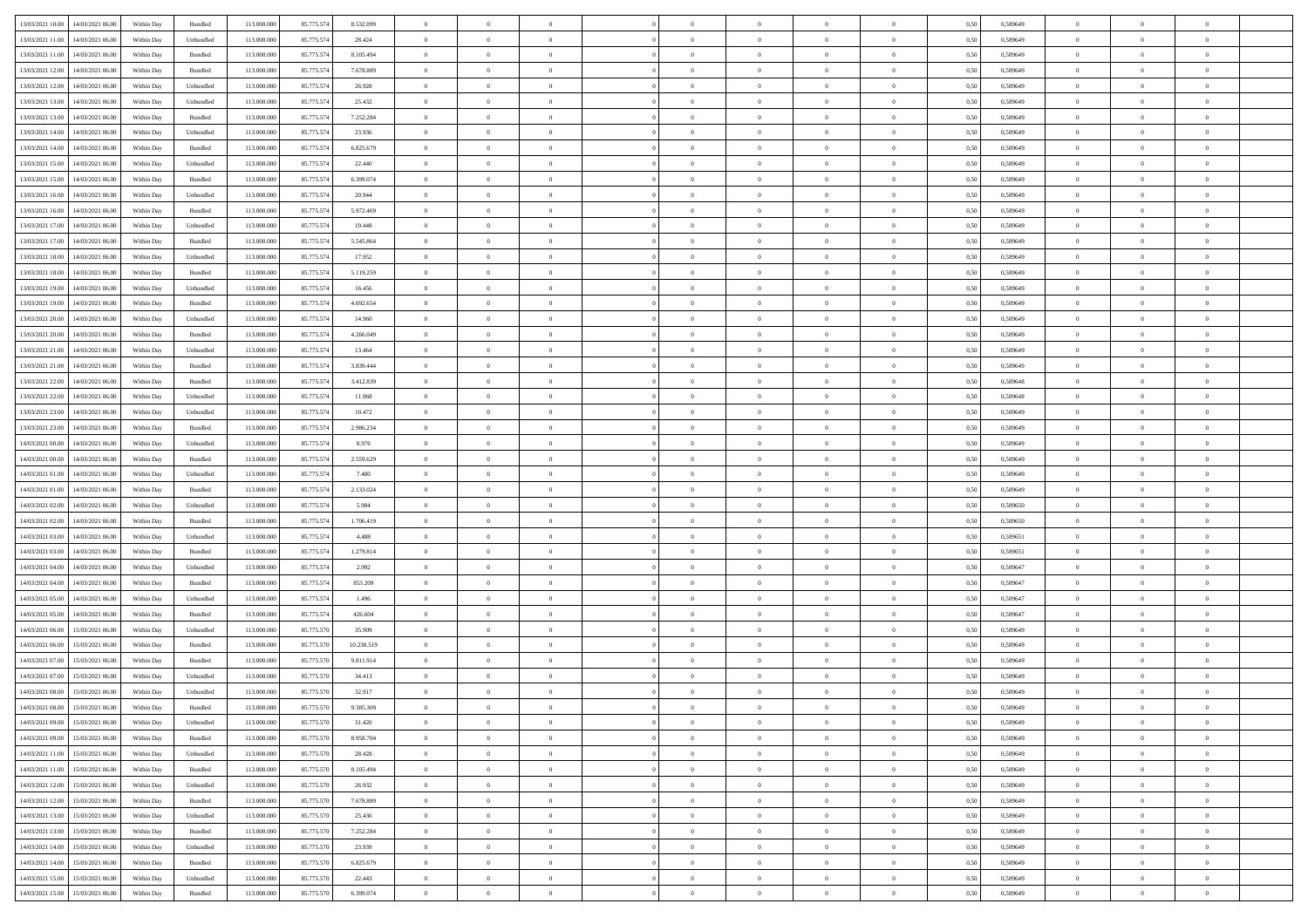| 13/03/2021 10:00 14/03/2021 06:00                                                                 | Within Day | Bundled            | 113.000.000 | 85.775.574 | 8.532.099  | $\overline{0}$ | $\overline{0}$   |                | $\overline{0}$ | $\theta$       |                | $\theta$       | 0,50 | 0,589649 | $\theta$       | $\theta$       | $\overline{0}$ |  |
|---------------------------------------------------------------------------------------------------|------------|--------------------|-------------|------------|------------|----------------|------------------|----------------|----------------|----------------|----------------|----------------|------|----------|----------------|----------------|----------------|--|
|                                                                                                   |            |                    |             |            |            |                |                  |                |                |                |                |                |      |          |                |                |                |  |
| 13/03/2021 11:00<br>14/03/2021 06:00                                                              | Within Day | Unbundled          | 113.000.00  | 85.775.574 | 28.424     | $\bf{0}$       | $\bf{0}$         | $\bf{0}$       | $\bf{0}$       | $\overline{0}$ | $\overline{0}$ | $\bf{0}$       | 0,50 | 0,589649 | $\,$ 0 $\,$    | $\bf{0}$       | $\overline{0}$ |  |
| 13/03/2021 11:00<br>14/03/2021 06:00                                                              | Within Day | $\mathbf B$ undled | 113,000,000 | 85.775.574 | 8.105.494  | $\overline{0}$ | $\bf{0}$         | $\overline{0}$ | $\overline{0}$ | $\overline{0}$ | $\overline{0}$ | $\bf{0}$       | 0.50 | 0.589649 | $\overline{0}$ | $\,$ 0 $\,$    | $\,$ 0         |  |
| 13/03/2021 12:00<br>14/03/2021 06:00                                                              | Within Day | Bundled            | 113.000.000 | 85.775.574 | 7.678.889  | $\overline{0}$ | $\overline{0}$   | $\overline{0}$ | $\overline{0}$ | $\overline{0}$ | $\overline{0}$ | $\bf{0}$       | 0,50 | 0,589649 | $\,$ 0 $\,$    | $\overline{0}$ | $\overline{0}$ |  |
| 13/03/2021 12:00<br>14/03/2021 06:00                                                              | Within Day | Unbundled          | 113.000.00  | 85.775.574 | 26.928     | $\bf{0}$       | $\bf{0}$         | $\bf{0}$       | $\overline{0}$ | $\bf{0}$       | $\overline{0}$ | $\bf{0}$       | 0,50 | 0,589649 | $\,$ 0 $\,$    | $\bf{0}$       | $\overline{0}$ |  |
| 13/03/2021 13:00<br>14/03/2021 06:00                                                              | Within Day | Unbundled          | 113,000,000 | 85.775.574 | 25.432     | $\overline{0}$ | $\bf{0}$         | $\overline{0}$ | $\bf{0}$       | $\overline{0}$ | $\overline{0}$ | $\bf{0}$       | 0.50 | 0.589649 | $\bf{0}$       | $\overline{0}$ | $\overline{0}$ |  |
| 13/03/2021 13:00                                                                                  |            |                    | 113.000.000 |            |            |                | $\bf{0}$         | $\overline{0}$ | $\overline{0}$ | $\overline{0}$ | $\overline{0}$ |                |      |          | $\,$ 0 $\,$    | $\theta$       | $\overline{0}$ |  |
| 14/03/2021 06:00                                                                                  | Within Day | Bundled            |             | 85.775.574 | 7.252.284  | $\bf{0}$       |                  |                |                |                |                | $\bf{0}$       | 0,50 | 0,589649 |                |                |                |  |
| 13/03/2021 14:00<br>14/03/2021 06:00                                                              | Within Day | Unbundled          | 113.000.00  | 85.775.574 | 23.936     | $\bf{0}$       | $\bf{0}$         | $\bf{0}$       | $\bf{0}$       | $\overline{0}$ | $\overline{0}$ | $\bf{0}$       | 0,50 | 0,589649 | $\,$ 0 $\,$    | $\bf{0}$       | $\overline{0}$ |  |
| 13/03/2021 14:00<br>14/03/2021 06:00                                                              | Within Day | Bundled            | 113,000,000 | 85.775.57  | 6.825.679  | $\overline{0}$ | $\bf{0}$         | $\overline{0}$ | $\bf{0}$       | $\overline{0}$ | $\overline{0}$ | $\bf{0}$       | 0.50 | 0.589649 | $\bf{0}$       | $\overline{0}$ | $\bf{0}$       |  |
| 13/03/2021 15:00<br>14/03/2021 06:00                                                              | Within Day | Unbundled          | 113.000.000 | 85.775.574 | 22.440     | $\bf{0}$       | $\bf{0}$         | $\overline{0}$ | $\overline{0}$ | $\overline{0}$ | $\overline{0}$ | $\bf{0}$       | 0,50 | 0,589649 | $\,$ 0 $\,$    | $\,$ 0 $\,$    | $\overline{0}$ |  |
| 13/03/2021 15:00<br>14/03/2021 06:00                                                              | Within Day | Bundled            | 113.000.00  | 85.775.574 | 6.399.074  | $\bf{0}$       | $\bf{0}$         | $\bf{0}$       | $\bf{0}$       | $\overline{0}$ | $\overline{0}$ | $\bf{0}$       | 0,50 | 0,589649 | $\,$ 0 $\,$    | $\bf{0}$       | $\overline{0}$ |  |
| 13/03/2021 16:00<br>14/03/2021 06:00                                                              | Within Day | Unbundled          | 113,000,000 | 85.775.574 | 20.944     | $\overline{0}$ | $\bf{0}$         | $\overline{0}$ | $\overline{0}$ | $\overline{0}$ | $\overline{0}$ | $\bf{0}$       | 0.50 | 0.589649 | $\bf{0}$       | $\,$ 0 $\,$    | $\,$ 0         |  |
| 13/03/2021 16:00<br>14/03/2021 06:00                                                              | Within Day | Bundled            | 113.000.000 | 85.775.574 | 5.972.469  | $\overline{0}$ | $\overline{0}$   | $\overline{0}$ | $\theta$       | $\theta$       | $\overline{0}$ | $\bf{0}$       | 0,50 | 0,589649 | $\,$ 0 $\,$    | $\,$ 0 $\,$    | $\overline{0}$ |  |
|                                                                                                   |            |                    |             |            |            |                | $\bf{0}$         |                |                | $\overline{0}$ | $\overline{0}$ |                |      |          | $\,$ 0 $\,$    | $\bf{0}$       | $\overline{0}$ |  |
| 13/03/2021 17:00<br>14/03/2021 06:00                                                              | Within Day | Unbundled          | 113.000.00  | 85.775.574 | 19.448     | $\bf{0}$       |                  | $\bf{0}$       | $\bf{0}$       |                |                | $\bf{0}$       | 0,50 | 0,589649 |                |                |                |  |
| 13/03/2021 17:00<br>14/03/2021 06:00                                                              | Within Day | Bundled            | 113,000,000 | 85.775.574 | 5.545.864  | $\overline{0}$ | $\bf{0}$         | $\overline{0}$ | $\bf{0}$       | $\overline{0}$ | $\overline{0}$ | $\bf{0}$       | 0.50 | 0.589649 | $\,$ 0 $\,$    | $\bf{0}$       | $\overline{0}$ |  |
| 13/03/2021 18:00<br>14/03/2021 06:00                                                              | Within Day | Unbundled          | 113.000.000 | 85.775.574 | 17.952     | $\overline{0}$ | $\bf{0}$         | $\overline{0}$ | $\overline{0}$ | $\overline{0}$ | $\overline{0}$ | $\bf{0}$       | 0,50 | 0,589649 | $\theta$       | $\theta$       | $\overline{0}$ |  |
| 13/03/2021 18:00<br>14/03/2021 06:00                                                              | Within Day | Bundled            | 113.000.00  | 85.775.574 | 5.119.259  | $\bf{0}$       | $\bf{0}$         | $\bf{0}$       | $\bf{0}$       | $\overline{0}$ | $\overline{0}$ | $\bf{0}$       | 0,50 | 0,589649 | $\,$ 0 $\,$    | $\bf{0}$       | $\overline{0}$ |  |
| 13/03/2021 19:00<br>14/03/2021 06:00                                                              | Within Day | Unbundled          | 113,000,000 | 85.775.574 | 16.456     | $\overline{0}$ | $\bf{0}$         | $\overline{0}$ | $\bf{0}$       | $\overline{0}$ | $\overline{0}$ | $\bf{0}$       | 0.50 | 0.589649 | $\bf{0}$       | $\overline{0}$ | $\bf{0}$       |  |
| 13/03/2021 19:00<br>14/03/2021 06:00                                                              | Within Day | Bundled            | 113.000.000 | 85.775.574 | 4.692.654  | $\bf{0}$       | $\bf{0}$         | $\overline{0}$ | $\overline{0}$ | $\overline{0}$ | $\overline{0}$ | $\bf{0}$       | 0,50 | 0,589649 | $\,$ 0 $\,$    | $\bf{0}$       | $\overline{0}$ |  |
| 13/03/2021 20:00<br>14/03/2021 06:00                                                              | Within Day | Unbundled          | 113.000.00  | 85.775.574 | 14.960     | $\bf{0}$       | $\bf{0}$         | $\bf{0}$       | $\bf{0}$       | $\overline{0}$ | $\overline{0}$ | $\bf{0}$       | 0,50 | 0,589649 | $\,$ 0 $\,$    | $\bf{0}$       | $\overline{0}$ |  |
| 14/03/2021 06:00                                                                                  |            | Bundled            | 113,000,000 |            | 4.266.049  |                | $\bf{0}$         |                |                | $\overline{0}$ | $\overline{0}$ |                | 0.50 | 0.589649 | $\bf{0}$       | $\,$ 0 $\,$    | $\,$ 0         |  |
| 13/03/2021 20:00                                                                                  | Within Day |                    |             | 85.775.574 |            | $\overline{0}$ |                  | $\overline{0}$ | $\overline{0}$ |                |                | $\bf{0}$       |      |          |                |                |                |  |
| 13/03/2021 21:00<br>14/03/2021 06:00                                                              | Within Day | Unbundled          | 113.000.000 | 85.775.574 | 13.464     | $\overline{0}$ | $\overline{0}$   | $\overline{0}$ | $\overline{0}$ | $\overline{0}$ | $\overline{0}$ | $\bf{0}$       | 0,50 | 0,589649 | $\theta$       | $\overline{0}$ | $\overline{0}$ |  |
| 13/03/2021 21:00<br>14/03/2021 06:00                                                              | Within Day | Bundled            | 113.000.00  | 85.775.574 | 3.839.444  | $\bf{0}$       | $\bf{0}$         | $\bf{0}$       | $\bf{0}$       | $\overline{0}$ | $\overline{0}$ | $\bf{0}$       | 0,50 | 0,589649 | $\,$ 0 $\,$    | $\bf{0}$       | $\overline{0}$ |  |
| 13/03/2021 22:00<br>14/03/2021 06:00                                                              | Within Day | Bundled            | 113,000,000 | 85.775.574 | 3.412.839  | $\overline{0}$ | $\bf{0}$         | $\overline{0}$ | $\bf{0}$       | $\overline{0}$ | $\overline{0}$ | $\bf{0}$       | 0.50 | 0.589648 | $\bf{0}$       | $\overline{0}$ | $\overline{0}$ |  |
| 13/03/2021 22:00<br>14/03/2021 06:00                                                              | Within Day | Unbundled          | 113.000.000 | 85.775.574 | 11.968     | $\overline{0}$ | $\bf{0}$         | $\overline{0}$ | $\overline{0}$ | $\overline{0}$ | $\overline{0}$ | $\bf{0}$       | 0,50 | 0,589648 | $\,$ 0 $\,$    | $\theta$       | $\overline{0}$ |  |
| 13/03/2021 23:00<br>14/03/2021 06.00                                                              | Within Day | Unbundled          | 113.000.00  | 85.775.574 | 10.472     | $\bf{0}$       | $\bf{0}$         | $\bf{0}$       | $\bf{0}$       | $\overline{0}$ | $\overline{0}$ | $\bf{0}$       | 0,50 | 0,589649 | $\,$ 0 $\,$    | $\bf{0}$       | $\overline{0}$ |  |
| 13/03/2021 23:00<br>14/03/2021 06:00                                                              | Within Day | Bundled            | 113,000,000 | 85.775.574 | 2.986.234  | $\overline{0}$ | $\bf{0}$         | $\overline{0}$ | $\bf{0}$       | $\overline{0}$ | $\overline{0}$ | $\bf{0}$       | 0.50 | 0.589649 | $\bf{0}$       | $\overline{0}$ | $\bf{0}$       |  |
| 14/03/2021 00:00<br>14/03/2021 06:00                                                              | Within Day | Unbundled          | 113.000.000 | 85.775.574 | 8.976      | $\overline{0}$ | $\bf{0}$         | $\overline{0}$ | $\overline{0}$ | $\overline{0}$ | $\overline{0}$ | $\bf{0}$       | 0,50 | 0,589649 | $\,$ 0 $\,$    | $\overline{0}$ | $\overline{0}$ |  |
|                                                                                                   |            |                    |             |            |            |                |                  |                |                |                |                |                |      |          |                |                |                |  |
| 14/03/2021 00:00<br>14/03/2021 06:00                                                              | Within Day | Bundled            | 113.000.00  | 85.775.57  | 2.559.629  | $\bf{0}$       | $\bf{0}$         | $\bf{0}$       | $\bf{0}$       | $\overline{0}$ | $\overline{0}$ | $\bf{0}$       | 0,50 | 0,589649 | $\,$ 0 $\,$    | $\bf{0}$       | $\overline{0}$ |  |
| 14/03/2021 01:00<br>14/03/2021 06:00                                                              | Within Day | Unbundled          | 113,000,000 | 85.775.574 | 7.480      | $\overline{0}$ | $\bf{0}$         | $\overline{0}$ | $\overline{0}$ | $\overline{0}$ | $\overline{0}$ | $\bf{0}$       | 0.50 | 0.589649 | $\bf{0}$       | $\,$ 0 $\,$    | $\,$ 0         |  |
| 14/03/2021 01:00<br>14/03/2021 06:00                                                              | Within Day | Bundled            | 113.000.000 | 85.775.574 | 2.133.024  | $\overline{0}$ | $\overline{0}$   | $\overline{0}$ | $\overline{0}$ | $\overline{0}$ | $\overline{0}$ | $\bf{0}$       | 0.50 | 0.589649 | $\theta$       | $\theta$       | $\overline{0}$ |  |
| 14/03/2021 02:00<br>14/03/2021 06:00                                                              | Within Day | Unbundled          | 113.000.00  | 85.775.574 | 5.984      | $\bf{0}$       | $\bf{0}$         | $\bf{0}$       | $\bf{0}$       | $\overline{0}$ | $\overline{0}$ | $\bf{0}$       | 0,50 | 0,589650 | $\,$ 0 $\,$    | $\bf{0}$       | $\overline{0}$ |  |
| 14/03/2021 02:00<br>14/03/2021 06:00                                                              | Within Day | Bundled            | 113,000,000 | 85.775.574 | 1.706.419  | $\overline{0}$ | $\bf{0}$         | $\overline{0}$ | $\bf{0}$       | $\overline{0}$ | $\overline{0}$ | $\bf{0}$       | 0.50 | 0.589650 | $\bf{0}$       | $\bf{0}$       | $\overline{0}$ |  |
| 14/03/2021 03:00<br>14/03/2021 06:00                                                              | Within Dav | Unbundled          | 113.000.000 | 85.775.574 | 4.488      | $\overline{0}$ | $\overline{0}$   | $\overline{0}$ | $\overline{0}$ | $\overline{0}$ | $\overline{0}$ | $\bf{0}$       | 0.50 | 0.589651 | $\theta$       | $\theta$       | $\overline{0}$ |  |
| 14/03/2021 03:00<br>14/03/2021 06:00                                                              | Within Day | Bundled            | 113.000.00  | 85.775.574 | 1.279.814  | $\bf{0}$       | $\bf{0}$         | $\bf{0}$       | $\bf{0}$       | $\overline{0}$ | $\overline{0}$ | $\bf{0}$       | 0,50 | 0,589651 | $\,$ 0 $\,$    | $\bf{0}$       | $\overline{0}$ |  |
| 14/03/2021 04:00<br>14/03/2021 06:00                                                              | Within Day | Unbundled          | 113,000,000 | 85.775.57  | 2.992      | $\overline{0}$ | $\bf{0}$         | $\overline{0}$ | $\bf{0}$       | $\overline{0}$ | $\overline{0}$ | $\bf{0}$       | 0.50 | 0.589647 | $\bf{0}$       | $\overline{0}$ | $\bf{0}$       |  |
| 14/03/2021 04:00<br>14/03/2021 06:00                                                              | Within Day | Bundled            | 113.000.000 | 85.775.574 | 853.209    | $\overline{0}$ | $\overline{0}$   | $\overline{0}$ | $\overline{0}$ | $\overline{0}$ | $\overline{0}$ | $\bf{0}$       | 0.50 | 0.589647 | $\theta$       | $\overline{0}$ | $\overline{0}$ |  |
|                                                                                                   |            |                    |             |            |            |                |                  |                |                |                |                |                |      |          |                |                |                |  |
| 14/03/2021 05:00<br>14/03/2021 06:00                                                              | Within Day | Unbundled          | 113.000.00  | 85.775.574 | 1.496      | $\bf{0}$       | $\bf{0}$         | $\bf{0}$       | $\bf{0}$       | $\overline{0}$ | $\overline{0}$ | $\bf{0}$       | 0,50 | 0,589647 | $\,$ 0 $\,$    | $\overline{0}$ | $\overline{0}$ |  |
| 14/03/2021 05:00<br>14/03/2021 06:00                                                              | Within Day | Bundled            | 113,000,000 | 85.775.574 | 426.604    | $\overline{0}$ | $\bf{0}$         | $\overline{0}$ | $\overline{0}$ | $\bf{0}$       | $\overline{0}$ | $\bf{0}$       | 0.50 | 0.589647 | $\bf{0}$       | $\,$ 0 $\,$    | $\,$ 0         |  |
| 14/03/2021 06:00<br>15/03/2021 06:00                                                              | Within Day | Unbundled          | 113.000.000 | 85.775.570 | 35.909     | $\overline{0}$ | $\overline{0}$   | $\overline{0}$ | $\overline{0}$ | $\overline{0}$ | $\overline{0}$ | $\bf{0}$       | 0.50 | 0.589649 | $\theta$       | $\theta$       | $\overline{0}$ |  |
| 14/03/2021 06:00<br>15/03/2021 06:00                                                              | Within Day | Bundled            | 113.000.00  | 85.775.570 | 10.238.519 | $\bf{0}$       | $\bf{0}$         | $\bf{0}$       | $\bf{0}$       | $\overline{0}$ | $\overline{0}$ | $\bf{0}$       | 0,50 | 0,589649 | $\,$ 0 $\,$    | $\bf{0}$       | $\overline{0}$ |  |
| 14/03/2021 07:00<br>15/03/2021 06:00                                                              | Within Day | Bundled            | 113,000,000 | 85.775.570 | 9.811.914  | $\overline{0}$ | $\bf{0}$         | $\overline{0}$ | $\bf{0}$       | $\overline{0}$ | $\overline{0}$ | $\bf{0}$       | 0.50 | 0.589649 | $\bf{0}$       | $\overline{0}$ | $\overline{0}$ |  |
| 14/03/2021 07:00<br>15/03/2021 06:00                                                              | Within Day | Unbundled          | 113.000.000 | 85.775.570 | 34.413     | $\overline{0}$ | $\overline{0}$   | $\overline{0}$ | $\overline{0}$ | $\theta$       | $\overline{0}$ | $\overline{0}$ | 0.50 | 0.589649 | $\theta$       | $\theta$       | $\overline{0}$ |  |
| 14/03/2021 08:00<br>15/03/2021 06:00                                                              | Within Day | Unbundled          | 113.000.000 | 85.775.570 | 32.917     | $\bf{0}$       | $\bf{0}$         | $\bf{0}$       | $\bf{0}$       | $\overline{0}$ | $\overline{0}$ | $\bf{0}$       | 0,50 | 0,589649 | $\overline{0}$ | $\overline{0}$ | $\overline{0}$ |  |
| $\begin{array}{ c c c c c } \hline 14/03/2021 & 08.00 & 15/03/2021 & 06.00 \\ \hline \end{array}$ | Within Day | $\mathbf B$ undled | 113.000.000 | 85.775.570 | 9.385.309  | $\bf{0}$       | $\boldsymbol{0}$ |                | $\overline{0}$ | $\bf{0}$       |                | $\bf{0}$       | 0,50 | 0.589649 | $\,$ 0         | $\bf{0}$       |                |  |
|                                                                                                   |            |                    |             |            |            | $\overline{0}$ | $\overline{0}$   | $\Omega$       |                | $\overline{0}$ |                |                |      |          | $\theta$       | $\overline{0}$ | $\overline{0}$ |  |
| 14/03/2021 09:00 15/03/2021 06:00                                                                 | Within Day | Unbundled          | 113.000.000 | 85.775.570 | 31.420     |                |                  |                | $\theta$       |                | $\overline{0}$ | $\bf{0}$       | 0,50 | 0,589649 |                |                |                |  |
| 14/03/2021 09:00<br>15/03/2021 06:00                                                              | Within Day | Bundled            | 113.000.00  | 85.775.570 | 8.958.704  | $\overline{0}$ | $\bf{0}$         | $\overline{0}$ | $\overline{0}$ | $\bf{0}$       | $\overline{0}$ | $\bf{0}$       | 0,50 | 0,589649 | $\bf{0}$       | $\overline{0}$ | $\bf{0}$       |  |
| 14/03/2021 11:00 15/03/2021 06:00                                                                 | Within Day | Unbundled          | 113,000,000 | 85.775.570 | 28.428     | $\overline{0}$ | $\overline{0}$   | $\overline{0}$ | $\overline{0}$ | $\mathbf{0}$   | $\overline{0}$ | $\,$ 0 $\,$    | 0.50 | 0.589649 | $\overline{0}$ | $\bf{0}$       | $\bf{0}$       |  |
| 14/03/2021 11:00 15/03/2021 06:00                                                                 | Within Day | Bundled            | 113.000.000 | 85.775.570 | 8.105.494  | $\overline{0}$ | $\overline{0}$   | $\overline{0}$ | $\overline{0}$ | $\overline{0}$ | $\overline{0}$ | $\bf{0}$       | 0,50 | 0.589649 | $\overline{0}$ | $\theta$       | $\overline{0}$ |  |
| 14/03/2021 12:00<br>15/03/2021 06:00                                                              | Within Day | Unbundled          | 113.000.000 | 85.775.570 | 26.932     | $\overline{0}$ | $\bf{0}$         | $\overline{0}$ | $\overline{0}$ | $\bf{0}$       | $\overline{0}$ | $\bf{0}$       | 0,50 | 0,589649 | $\bf{0}$       | $\overline{0}$ | $\overline{0}$ |  |
| 14/03/2021 12:00<br>15/03/2021 06:00                                                              | Within Day | Bundled            | 113,000,000 | 85.775.570 | 7.678.889  | $\overline{0}$ | $\bf{0}$         | $\overline{0}$ | $\overline{0}$ | $\bf{0}$       | $\overline{0}$ | $\bf{0}$       | 0.50 | 0.589649 | $\,$ 0 $\,$    | $\overline{0}$ | $\,$ 0         |  |
| 14/03/2021 13:00<br>15/03/2021 06:00                                                              | Within Dav | Unbundled          | 113.000.000 | 85.775.570 | 25.436     | $\overline{0}$ | $\overline{0}$   | $\overline{0}$ | $\overline{0}$ | $\overline{0}$ | $\overline{0}$ | $\bf{0}$       | 0,50 | 0.589649 | $\overline{0}$ | $\theta$       | $\overline{0}$ |  |
|                                                                                                   |            |                    |             |            |            |                |                  |                |                |                |                |                |      |          |                |                |                |  |
| 14/03/2021 13:00<br>15/03/2021 06:00                                                              | Within Day | Bundled            | 113.000.00  | 85.775.570 | 7.252.284  | $\overline{0}$ | $\overline{0}$   | $\overline{0}$ | $\overline{0}$ | $\overline{0}$ | $\overline{0}$ | $\bf{0}$       | 0,50 | 0,589649 | $\bf{0}$       | $\overline{0}$ | $\overline{0}$ |  |
| 14/03/2021 14:00<br>15/03/2021 06:00                                                              | Within Day | Unbundled          | 113,000,000 | 85.775.570 | 23.939     | $\overline{0}$ | $\overline{0}$   | $\overline{0}$ | $\overline{0}$ | $\overline{0}$ | $\overline{0}$ | $\bf{0}$       | 0.50 | 0.589649 | $\mathbf{0}$   | $\bf{0}$       | $\,$ 0         |  |
| 14/03/2021 14:00<br>15/03/2021 06:00                                                              | Within Dav | Bundled            | 113.000.000 | 85.775.570 | 6.825.679  | $\overline{0}$ | $\overline{0}$   | $\overline{0}$ | $\overline{0}$ | $\overline{0}$ | $\overline{0}$ | $\bf{0}$       | 0,50 | 0.589649 | $\overline{0}$ | $\theta$       | $\overline{0}$ |  |
| 14/03/2021 15:00<br>15/03/2021 06:00                                                              | Within Day | Unbundled          | 113.000.00  | 85.775.570 | 22.443     | $\overline{0}$ | $\bf{0}$         | $\overline{0}$ | $\overline{0}$ | $\overline{0}$ | $\overline{0}$ | $\bf{0}$       | 0,50 | 0,589649 | $\bf{0}$       | $\overline{0}$ | $\bf{0}$       |  |
| 14/03/2021 15:00 15/03/2021 06:00                                                                 | Within Day | Bundled            | 113.000.000 | 85.775.570 | 6.399.074  | $\,$ 0 $\,$    | $\bf{0}$         | $\overline{0}$ | $\overline{0}$ | $\,$ 0 $\,$    | $\overline{0}$ | $\bf{0}$       | 0,50 | 0,589649 | $\overline{0}$ | $\,$ 0 $\,$    | $\,$ 0 $\,$    |  |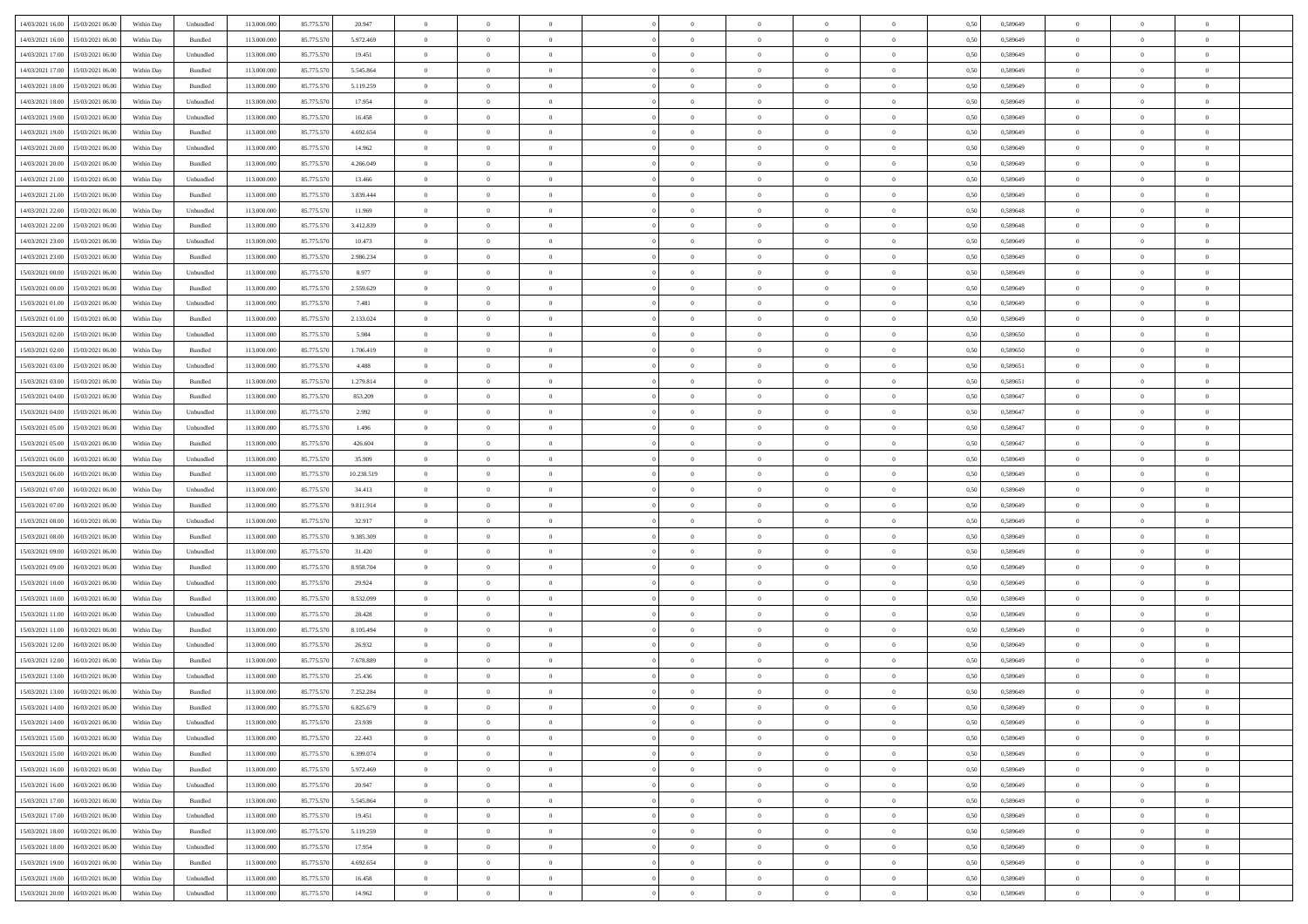| 14/03/2021 16:00 15/03/2021 06:00             | Within Day | Unbundled          | 113.000.000 | 85.775.570 | 20.947     | $\overline{0}$ | $\overline{0}$   |                | $\overline{0}$ | $\theta$       |                | $\theta$       | 0,50 | 0,589649 | $\theta$       | $\theta$       | $\overline{0}$ |  |
|-----------------------------------------------|------------|--------------------|-------------|------------|------------|----------------|------------------|----------------|----------------|----------------|----------------|----------------|------|----------|----------------|----------------|----------------|--|
|                                               |            |                    |             |            |            |                |                  |                |                |                |                |                |      |          |                |                |                |  |
| 14/03/2021 16:00<br>15/03/2021 06:00          | Within Day | Bundled            | 113.000.00  | 85.775.570 | 5.972.469  | $\bf{0}$       | $\bf{0}$         | $\bf{0}$       | $\bf{0}$       | $\overline{0}$ | $\bf{0}$       | $\bf{0}$       | 0,50 | 0,589649 | $\,$ 0 $\,$    | $\bf{0}$       | $\overline{0}$ |  |
| 14/03/2021 17:00<br>15/03/2021 06:00          | Within Day | Unbundled          | 113,000,000 | 85.775.570 | 19.451     | $\overline{0}$ | $\bf{0}$         | $\overline{0}$ | $\overline{0}$ | $\overline{0}$ | $\overline{0}$ | $\bf{0}$       | 0.50 | 0.589649 | $\bf{0}$       | $\,$ 0 $\,$    | $\bf{0}$       |  |
| 14/03/2021 17:00<br>15/03/2021 06:00          | Within Day | Bundled            | 113.000.000 | 85.775.570 | 5.545.864  | $\overline{0}$ | $\overline{0}$   | $\overline{0}$ | $\overline{0}$ | $\overline{0}$ | $\overline{0}$ | $\bf{0}$       | 0,50 | 0,589649 | $\,$ 0 $\,$    | $\overline{0}$ | $\overline{0}$ |  |
| 14/03/2021 18:00<br>15/03/2021 06:00          | Within Day | Bundled            | 113.000.00  | 85.775.570 | 5.119.259  | $\bf{0}$       | $\bf{0}$         | $\bf{0}$       | $\bf{0}$       | $\overline{0}$ | $\overline{0}$ | $\bf{0}$       | 0,50 | 0,589649 | $\,$ 0 $\,$    | $\bf{0}$       | $\overline{0}$ |  |
| 14/03/2021 18:00<br>15/03/2021 06:00          | Within Day | Unbundled          | 113,000,000 | 85.775.570 | 17.954     | $\overline{0}$ | $\bf{0}$         | $\overline{0}$ | $\bf{0}$       | $\overline{0}$ | $\overline{0}$ | $\bf{0}$       | 0.50 | 0.589649 | $\,$ 0 $\,$    | $\overline{0}$ | $\overline{0}$ |  |
| 14/03/2021 19:00<br>15/03/2021 06:00          |            |                    | 113.000.000 |            |            | $\overline{0}$ | $\bf{0}$         | $\overline{0}$ | $\overline{0}$ | $\overline{0}$ | $\overline{0}$ |                |      |          | $\,$ 0 $\,$    | $\bf{0}$       | $\overline{0}$ |  |
|                                               | Within Day | Unbundled          |             | 85.775.570 | 16.458     |                |                  |                |                |                |                | $\bf{0}$       | 0,50 | 0,589649 |                |                |                |  |
| 14/03/2021 19:00<br>15/03/2021 06:00          | Within Day | Bundled            | 113.000.00  | 85.775.570 | 4.692.654  | $\bf{0}$       | $\bf{0}$         | $\bf{0}$       | $\bf{0}$       | $\overline{0}$ | $\overline{0}$ | $\bf{0}$       | 0,50 | 0,589649 | $\,$ 0 $\,$    | $\bf{0}$       | $\overline{0}$ |  |
| 14/03/2021 20:00<br>15/03/2021 06:00          | Within Day | Unbundled          | 113,000,000 | 85.775.57  | 14.962     | $\overline{0}$ | $\bf{0}$         | $\overline{0}$ | $\bf{0}$       | $\bf{0}$       | $\overline{0}$ | $\bf{0}$       | 0.50 | 0.589649 | $\bf{0}$       | $\overline{0}$ | $\bf{0}$       |  |
| 14/03/2021 20:00<br>15/03/2021 06:00          | Within Day | Bundled            | 113.000.000 | 85.775.570 | 4.266.049  | $\bf{0}$       | $\bf{0}$         | $\overline{0}$ | $\overline{0}$ | $\overline{0}$ | $\overline{0}$ | $\bf{0}$       | 0,50 | 0,589649 | $\,$ 0 $\,$    | $\overline{0}$ | $\overline{0}$ |  |
| 14/03/2021 21:00<br>15/03/2021 06:00          | Within Day | Unbundled          | 113.000.00  | 85.775.570 | 13.466     | $\bf{0}$       | $\bf{0}$         | $\bf{0}$       | $\bf{0}$       | $\overline{0}$ | $\overline{0}$ | $\bf{0}$       | 0,50 | 0,589649 | $\,$ 0 $\,$    | $\bf{0}$       | $\overline{0}$ |  |
| 14/03/2021 21:00<br>15/03/2021 06:00          | Within Day | Bundled            | 113,000,000 | 85.775.570 | 3.839.444  | $\overline{0}$ | $\bf{0}$         | $\overline{0}$ | $\overline{0}$ | $\overline{0}$ | $\overline{0}$ | $\bf{0}$       | 0.50 | 0.589649 | $\bf{0}$       | $\,$ 0 $\,$    | $\,$ 0         |  |
| 14/03/2021 22:00<br>15/03/2021 06:00          | Within Day | Unbundled          | 113.000.000 | 85.775.570 | 11.969     | $\overline{0}$ | $\bf{0}$         | $\overline{0}$ | $\theta$       | $\theta$       | $\overline{0}$ | $\bf{0}$       | 0,50 | 0,589648 | $\,$ 0 $\,$    | $\,$ 0 $\,$    | $\overline{0}$ |  |
| 14/03/2021 22:00<br>15/03/2021 06:00          | Within Day | Bundled            | 113.000.00  | 85.775.570 | 3.412.839  | $\bf{0}$       | $\bf{0}$         | $\bf{0}$       | $\bf{0}$       | $\overline{0}$ | $\overline{0}$ | $\bf{0}$       | 0,50 | 0,589648 | $\,$ 0 $\,$    | $\bf{0}$       | $\overline{0}$ |  |
|                                               |            |                    |             |            |            |                |                  |                |                |                |                |                |      |          |                |                |                |  |
| 14/03/2021 23:00<br>15/03/2021 06:00          | Within Day | Unbundled          | 113,000,000 | 85.775.570 | 10.473     | $\overline{0}$ | $\bf{0}$         | $\overline{0}$ | $\bf{0}$       | $\overline{0}$ | $\overline{0}$ | $\bf{0}$       | 0.50 | 0.589649 | $\,$ 0 $\,$    | $\overline{0}$ | $\overline{0}$ |  |
| 14/03/2021 23:00<br>15/03/2021 06:00          | Within Day | Bundled            | 113.000.000 | 85.775.570 | 2.986.234  | $\bf{0}$       | $\bf{0}$         | $\overline{0}$ | $\overline{0}$ | $\overline{0}$ | $\overline{0}$ | $\bf{0}$       | 0,50 | 0,589649 | $\theta$       | $\theta$       | $\overline{0}$ |  |
| 15/03/2021 00:00<br>15/03/2021 06:00          | Within Day | Unbundled          | 113.000.00  | 85.775.570 | 8.977      | $\bf{0}$       | $\bf{0}$         | $\bf{0}$       | $\bf{0}$       | $\overline{0}$ | $\overline{0}$ | $\bf{0}$       | 0,50 | 0,589649 | $\,$ 0 $\,$    | $\bf{0}$       | $\overline{0}$ |  |
| 15/03/2021 00:00<br>15/03/2021 06:00          | Within Day | Bundled            | 113,000,000 | 85.775.57  | 2.559.629  | $\overline{0}$ | $\bf{0}$         | $\overline{0}$ | $\bf{0}$       | $\overline{0}$ | $\overline{0}$ | $\bf{0}$       | 0.50 | 0.589649 | $\bf{0}$       | $\overline{0}$ | $\bf{0}$       |  |
| 15/03/2021 01:00<br>15/03/2021 06:00          | Within Day | Unbundled          | 113.000.000 | 85.775.570 | 7.481      | $\bf{0}$       | $\bf{0}$         | $\overline{0}$ | $\overline{0}$ | $\overline{0}$ | $\overline{0}$ | $\bf{0}$       | 0,50 | 0,589649 | $\,$ 0 $\,$    | $\overline{0}$ | $\overline{0}$ |  |
| 15/03/2021 01:00<br>15/03/2021 06:00          | Within Day | Bundled            | 113.000.00  | 85.775.570 | 2.133.024  | $\bf{0}$       | $\bf{0}$         | $\bf{0}$       | $\bf{0}$       | $\overline{0}$ | $\overline{0}$ | $\bf{0}$       | 0,50 | 0,589649 | $\,$ 0 $\,$    | $\bf{0}$       | $\overline{0}$ |  |
| 15/03/2021 02:00<br>15/03/2021 06:00          | Within Day | Unbundled          | 113,000,000 | 85.775.570 | 5.984      | $\overline{0}$ | $\bf{0}$         | $\overline{0}$ | $\overline{0}$ | $\overline{0}$ | $\overline{0}$ | $\bf{0}$       | 0.50 | 0.589650 | $\bf{0}$       | $\,$ 0 $\,$    | $\,$ 0         |  |
|                                               |            |                    |             |            |            |                |                  |                |                |                |                |                |      |          |                |                |                |  |
| 15/03/2021 02:00<br>15/03/2021 06:00          | Within Day | Bundled            | 113.000.000 | 85.775.570 | 1.706.419  | $\overline{0}$ | $\overline{0}$   | $\overline{0}$ | $\overline{0}$ | $\overline{0}$ | $\overline{0}$ | $\bf{0}$       | 0,50 | 0,589650 | $\theta$       | $\overline{0}$ | $\overline{0}$ |  |
| 15/03/2021 03:00<br>15/03/2021 06:00          | Within Day | Unbundled          | 113.000.00  | 85.775.570 | 4.488      | $\bf{0}$       | $\bf{0}$         | $\bf{0}$       | $\bf{0}$       | $\overline{0}$ | $\overline{0}$ | $\bf{0}$       | 0,50 | 0,589651 | $\,$ 0 $\,$    | $\bf{0}$       | $\overline{0}$ |  |
| 15/03/2021 03:00<br>15/03/2021 06:00          | Within Day | Bundled            | 113,000,000 | 85.775.57  | 1.279.814  | $\overline{0}$ | $\bf{0}$         | $\overline{0}$ | $\bf{0}$       | $\overline{0}$ | $\overline{0}$ | $\bf{0}$       | 0.50 | 0.589651 | $\bf{0}$       | $\overline{0}$ | $\overline{0}$ |  |
| 15/03/2021 04:00<br>15/03/2021 06:00          | Within Day | Bundled            | 113.000.000 | 85.775.570 | 853.209    | $\overline{0}$ | $\bf{0}$         | $\overline{0}$ | $\overline{0}$ | $\overline{0}$ | $\overline{0}$ | $\bf{0}$       | 0,50 | 0,589647 | $\,$ 0 $\,$    | $\theta$       | $\overline{0}$ |  |
| 15/03/2021 04:00<br>15/03/2021 06:00          | Within Day | Unbundled          | 113.000.00  | 85.775.570 | 2.992      | $\bf{0}$       | $\bf{0}$         | $\bf{0}$       | $\bf{0}$       | $\overline{0}$ | $\overline{0}$ | $\bf{0}$       | 0,50 | 0,589647 | $\,$ 0 $\,$    | $\bf{0}$       | $\overline{0}$ |  |
| 15/03/2021 05:00<br>15/03/2021 06:00          | Within Day | Unbundled          | 113,000,000 | 85.775.57  | 1.496      | $\overline{0}$ | $\bf{0}$         | $\overline{0}$ | $\bf{0}$       | $\bf{0}$       | $\overline{0}$ | $\bf{0}$       | 0.50 | 0.589647 | $\bf{0}$       | $\overline{0}$ | $\bf{0}$       |  |
| 15/03/2021 05:00<br>15/03/2021 06:00          | Within Day | Bundled            | 113.000.000 | 85.775.570 | 426.604    | $\overline{0}$ | $\bf{0}$         | $\overline{0}$ | $\overline{0}$ | $\overline{0}$ | $\overline{0}$ | $\bf{0}$       | 0,50 | 0,589647 | $\,$ 0 $\,$    | $\overline{0}$ | $\overline{0}$ |  |
|                                               |            |                    |             |            |            |                |                  |                |                |                |                |                |      |          |                |                |                |  |
| 15/03/2021 06:00<br>16/03/2021 06:00          | Within Day | Unbundled          | 113.000.00  | 85.775.570 | 35.909     | $\bf{0}$       | $\bf{0}$         | $\bf{0}$       | $\bf{0}$       | $\overline{0}$ | $\bf{0}$       | $\bf{0}$       | 0,50 | 0,589649 | $\,$ 0 $\,$    | $\bf{0}$       | $\overline{0}$ |  |
| 15/03/2021 06:00<br>16/03/2021 06:00          | Within Day | Bundled            | 113,000,000 | 85.775.570 | 10.238.519 | $\overline{0}$ | $\bf{0}$         | $\overline{0}$ | $\overline{0}$ | $\overline{0}$ | $\overline{0}$ | $\bf{0}$       | 0.50 | 0.589649 | $\bf{0}$       | $\,$ 0 $\,$    | $\,$ 0         |  |
| 15/03/2021 07:00<br>16/03/2021 06:00          | Within Day | Unbundled          | 113.000.000 | 85.775.570 | 34.413     | $\overline{0}$ | $\overline{0}$   | $\overline{0}$ | $\overline{0}$ | $\overline{0}$ | $\overline{0}$ | $\bf{0}$       | 0.50 | 0.589649 | $\theta$       | $\overline{0}$ | $\overline{0}$ |  |
| 15/03/2021 07:00<br>16/03/2021 06:00          | Within Day | Bundled            | 113.000.00  | 85.775.570 | 9.811.914  | $\bf{0}$       | $\bf{0}$         | $\bf{0}$       | $\bf{0}$       | $\overline{0}$ | $\overline{0}$ | $\bf{0}$       | 0,50 | 0,589649 | $\,$ 0 $\,$    | $\bf{0}$       | $\overline{0}$ |  |
| 15/03/2021 08:00<br>16/03/2021 06:00          | Within Day | Unbundled          | 113,000,000 | 85.775.570 | 32.917     | $\overline{0}$ | $\bf{0}$         | $\overline{0}$ | $\bf{0}$       | $\overline{0}$ | $\overline{0}$ | $\bf{0}$       | 0.50 | 0.589649 | $\bf{0}$       | $\overline{0}$ | $\overline{0}$ |  |
| 15/03/2021 08:00<br>16/03/2021 06:00          | Within Day | Bundled            | 113.000.000 | 85.775.570 | 9.385.309  | $\overline{0}$ | $\overline{0}$   | $\overline{0}$ | $\overline{0}$ | $\overline{0}$ | $\overline{0}$ | $\bf{0}$       | 0.50 | 0.589649 | $\theta$       | $\theta$       | $\overline{0}$ |  |
| 15/03/2021 09:00<br>16/03/2021 06:00          | Within Day | Unbundled          | 113.000.00  | 85.775.570 | 31.420     | $\bf{0}$       | $\bf{0}$         | $\bf{0}$       | $\bf{0}$       | $\overline{0}$ | $\overline{0}$ | $\bf{0}$       | 0,50 | 0,589649 | $\,$ 0 $\,$    | $\bf{0}$       | $\overline{0}$ |  |
| 15/03/2021 09:00<br>16/03/2021 06:00          | Within Day | Bundled            | 113,000,000 | 85.775.57  | 8.958.704  | $\overline{0}$ | $\bf{0}$         | $\overline{0}$ | $\bf{0}$       | $\overline{0}$ | $\overline{0}$ | $\bf{0}$       | 0.50 | 0.589649 | $\bf{0}$       | $\overline{0}$ | $\bf{0}$       |  |
| 15/03/2021 10:00<br>16/03/2021 06:00          | Within Day | Unbundled          | 113.000.000 | 85.775.570 | 29.924     | $\overline{0}$ | $\overline{0}$   | $\overline{0}$ | $\overline{0}$ | $\overline{0}$ | $\overline{0}$ | $\bf{0}$       | 0.50 | 0.589649 | $\theta$       | $\overline{0}$ | $\overline{0}$ |  |
|                                               |            |                    |             |            |            |                |                  |                |                |                |                |                |      |          |                |                |                |  |
| 15/03/2021 10:00<br>16/03/2021 06:00          | Within Day | Bundled            | 113.000.00  | 85.775.570 | 8.532.099  | $\bf{0}$       | $\bf{0}$         | $\bf{0}$       | $\bf{0}$       | $\overline{0}$ | $\overline{0}$ | $\bf{0}$       | 0,50 | 0,589649 | $\,$ 0 $\,$    | $\overline{0}$ | $\overline{0}$ |  |
| 15/03/2021 11:00<br>16/03/2021 06:00          | Within Day | Unbundled          | 113,000,000 | 85.775.570 | 28.428     | $\overline{0}$ | $\bf{0}$         | $\overline{0}$ | $\overline{0}$ | $\bf{0}$       | $\overline{0}$ | $\bf{0}$       | 0.50 | 0.589649 | $\overline{0}$ | $\,$ 0 $\,$    | $\,$ 0         |  |
| 15/03/2021 11:00<br>16/03/2021 06:00          | Within Day | Bundled            | 113.000.000 | 85.775.570 | 8.105.494  | $\overline{0}$ | $\overline{0}$   | $\overline{0}$ | $\overline{0}$ | $\overline{0}$ | $\overline{0}$ | $\bf{0}$       | 0.50 | 0.589649 | $\theta$       | $\theta$       | $\overline{0}$ |  |
| 15/03/2021 12:00<br>16/03/2021 06:00          | Within Day | Unbundled          | 113.000.00  | 85.775.570 | 26.932     | $\bf{0}$       | $\bf{0}$         | $\bf{0}$       | $\bf{0}$       | $\overline{0}$ | $\overline{0}$ | $\bf{0}$       | 0,50 | 0,589649 | $\,$ 0 $\,$    | $\bf{0}$       | $\overline{0}$ |  |
| 15/03/2021 12:00<br>16/03/2021 06:00          | Within Day | Bundled            | 113,000,000 | 85.775.570 | 7.678.889  | $\overline{0}$ | $\bf{0}$         | $\overline{0}$ | $\bf{0}$       | $\overline{0}$ | $\overline{0}$ | $\bf{0}$       | 0.50 | 0.589649 | $\bf{0}$       | $\overline{0}$ | $\overline{0}$ |  |
| 15/03/2021 13:00<br>16/03/2021 06:00          | Within Dav | Unbundled          | 113.000.000 | 85.775.570 | 25.436     | $\overline{0}$ | $\overline{0}$   | $\overline{0}$ | $\overline{0}$ | $\theta$       | $\overline{0}$ | $\overline{0}$ | 0.50 | 0.589649 | $\theta$       | $\theta$       | $\overline{0}$ |  |
| 15/03/2021 13:00<br>16/03/2021 06:00          | Within Day | Bundled            | 113.000.000 | 85.775.570 | 7.252.284  | $\bf{0}$       | $\bf{0}$         | $\bf{0}$       | $\bf{0}$       | $\overline{0}$ | $\overline{0}$ | $\bf{0}$       | 0,50 | 0,589649 | $\overline{0}$ | $\overline{0}$ | $\overline{0}$ |  |
| $15/03/2021\ 14.00\quad \  16/03/2021\ 06.00$ | Within Day | $\mathbf B$ undled | 113.000.000 | 85.775.570 | 6.825.679  | $\bf{0}$       | $\boldsymbol{0}$ |                | $\overline{0}$ | $\bf{0}$       |                | $\bf{0}$       | 0,50 | 0.589649 | $\,$ 0         | $\bf{0}$       |                |  |
| 15/03/2021 14:00 16/03/2021 06:00             | Within Day | Unbundled          | 113.000.000 | 85.775.570 | 23.939     | $\overline{0}$ | $\overline{0}$   | $\Omega$       | $\theta$       | $\overline{0}$ | $\overline{0}$ | $\bf{0}$       | 0,50 | 0,589649 | $\theta$       | $\overline{0}$ | $\overline{0}$ |  |
|                                               |            |                    |             |            |            |                |                  |                |                |                |                |                |      |          |                |                |                |  |
| 15/03/2021 15:00<br>16/03/2021 06:00          | Within Day | Unbundled          | 113.000.000 | 85.775.570 | 22.443     | $\overline{0}$ | $\bf{0}$         | $\overline{0}$ | $\overline{0}$ | $\bf{0}$       | $\overline{0}$ | $\bf{0}$       | 0,50 | 0,589649 | $\bf{0}$       | $\overline{0}$ | $\bf{0}$       |  |
| 15/03/2021 15:00 16/03/2021 06:00             | Within Day | Bundled            | 113,000,000 | 85.775.570 | 6.399.074  | $\overline{0}$ | $\overline{0}$   | $\overline{0}$ | $\overline{0}$ | $\mathbf{0}$   | $\overline{0}$ | $\,$ 0 $\,$    | 0.50 | 0.589649 | $\overline{0}$ | $\bf{0}$       | $\bf{0}$       |  |
| 15/03/2021 16:00 16/03/2021 06:00             | Within Day | Bundled            | 113.000.000 | 85.775.570 | 5.972.469  | $\overline{0}$ | $\overline{0}$   | $\overline{0}$ | $\overline{0}$ | $\overline{0}$ | $\overline{0}$ | $\bf{0}$       | 0,50 | 0.589649 | $\overline{0}$ | $\theta$       | $\overline{0}$ |  |
| 15/03/2021 16:00<br>16/03/2021 06:00          | Within Day | Unbundled          | 113.000.000 | 85.775.570 | 20.947     | $\overline{0}$ | $\bf{0}$         | $\overline{0}$ | $\overline{0}$ | $\bf{0}$       | $\overline{0}$ | $\bf{0}$       | 0,50 | 0,589649 | $\bf{0}$       | $\overline{0}$ | $\overline{0}$ |  |
| 15/03/2021 17:00<br>16/03/2021 06:00          | Within Day | Bundled            | 113,000,000 | 85.775.570 | 5.545.864  | $\overline{0}$ | $\bf{0}$         | $\overline{0}$ | $\overline{0}$ | $\bf{0}$       | $\overline{0}$ | $\bf{0}$       | 0.50 | 0.589649 | $\,$ 0 $\,$    | $\overline{0}$ | $\,$ 0         |  |
| 15/03/2021 17:00<br>16/03/2021 06:00          | Within Dav | Unbundled          | 113.000.000 | 85.775.570 | 19.451     | $\overline{0}$ | $\overline{0}$   | $\overline{0}$ | $\overline{0}$ | $\overline{0}$ | $\overline{0}$ | $\bf{0}$       | 0,50 | 0.589649 | $\overline{0}$ | $\theta$       | $\overline{0}$ |  |
| 15/03/2021 18:00<br>16/03/2021 06:00          | Within Day | Bundled            | 113.000.00  | 85.775.570 | 5.119.259  | $\overline{0}$ | $\overline{0}$   | $\overline{0}$ | $\overline{0}$ | $\overline{0}$ | $\overline{0}$ | $\bf{0}$       | 0,50 | 0,589649 | $\bf{0}$       | $\overline{0}$ | $\,$ 0         |  |
|                                               |            |                    |             |            |            |                |                  |                |                |                |                |                |      |          |                |                |                |  |
| 15/03/2021 18:00<br>16/03/2021 06:00          | Within Day | Unbundled          | 113,000,000 | 85.775.570 | 17.954     | $\overline{0}$ | $\overline{0}$   | $\overline{0}$ | $\overline{0}$ | $\overline{0}$ | $\overline{0}$ | $\bf{0}$       | 0.50 | 0.589649 | $\mathbf{0}$   | $\bf{0}$       | $\,$ 0         |  |
| 15/03/2021 19:00<br>16/03/2021 06:00          | Within Dav | Bundled            | 113.000.000 | 85.775.570 | 4.692.654  | $\overline{0}$ | $\overline{0}$   | $\overline{0}$ | $\overline{0}$ | $\overline{0}$ | $\overline{0}$ | $\bf{0}$       | 0,50 | 0.589649 | $\overline{0}$ | $\theta$       | $\overline{0}$ |  |
| 15/03/2021 19:00<br>16/03/2021 06:00          | Within Day | Unbundled          | 113.000.00  | 85.775.570 | 16.458     | $\overline{0}$ | $\bf{0}$         | $\overline{0}$ | $\overline{0}$ | $\overline{0}$ | $\overline{0}$ | $\bf{0}$       | 0,50 | 0,589649 | $\bf{0}$       | $\overline{0}$ | $\bf{0}$       |  |
| 15/03/2021 20:00 16/03/2021 06:00             | Within Day | Unbundled          | 113.000.000 | 85.775.570 | 14.962     | $\,$ 0 $\,$    | $\bf{0}$         | $\overline{0}$ | $\overline{0}$ | $\,$ 0 $\,$    | $\overline{0}$ | $\bf{0}$       | 0,50 | 0,589649 | $\overline{0}$ | $\,$ 0 $\,$    | $\,$ 0 $\,$    |  |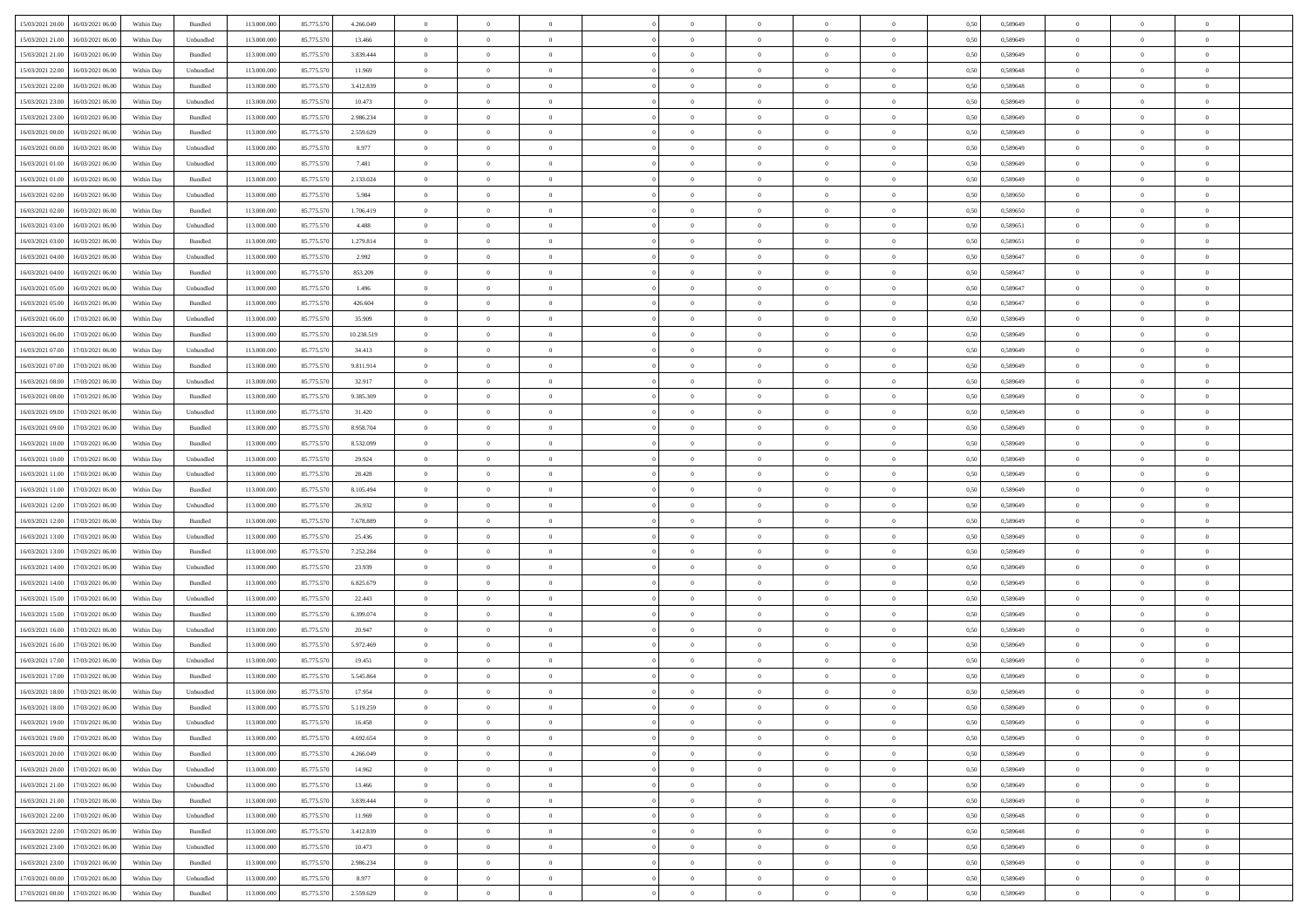| 15/03/2021 20:00 16/03/2021 06:00            | Within Day | Bundled            | 113.000.000 | 85.775.570 | 4.266.049  | $\overline{0}$ | $\overline{0}$ |                | $\overline{0}$ | $\theta$       |                | $\theta$       | 0,50 | 0,589649 | $\theta$       | $\theta$       | $\overline{0}$ |  |
|----------------------------------------------|------------|--------------------|-------------|------------|------------|----------------|----------------|----------------|----------------|----------------|----------------|----------------|------|----------|----------------|----------------|----------------|--|
|                                              |            |                    |             |            |            |                |                |                |                |                |                |                |      |          |                |                |                |  |
| 15/03/2021 21:00<br>16/03/2021 06:00         | Within Day | Unbundled          | 113.000.00  | 85.775.570 | 13.466     | $\bf{0}$       | $\bf{0}$       | $\bf{0}$       | $\bf{0}$       | $\overline{0}$ | $\overline{0}$ | $\bf{0}$       | 0,50 | 0,589649 | $\,$ 0 $\,$    | $\bf{0}$       | $\overline{0}$ |  |
| 15/03/2021 21:00<br>16/03/2021 06:00         | Within Day | Bundled            | 113,000,000 | 85.775.570 | 3.839.444  | $\overline{0}$ | $\bf{0}$       | $\overline{0}$ | $\bf{0}$       | $\bf{0}$       | $\overline{0}$ | $\bf{0}$       | 0.50 | 0.589649 | $\bf{0}$       | $\overline{0}$ | $\bf{0}$       |  |
| 15/03/2021 22:00<br>16/03/2021 06:00         | Within Day | Unbundled          | 113.000.000 | 85.775.570 | 11.969     | $\overline{0}$ | $\overline{0}$ | $\overline{0}$ | $\overline{0}$ | $\theta$       | $\overline{0}$ | $\bf{0}$       | 0,50 | 0,589648 | $\theta$       | $\theta$       | $\overline{0}$ |  |
| 15/03/2021 22:00<br>16/03/2021 06:00         | Within Day | Bundled            | 113.000.00  | 85.775.570 | 3.412.839  | $\bf{0}$       | $\overline{0}$ | $\bf{0}$       | $\overline{0}$ | $\bf{0}$       | $\overline{0}$ | $\bf{0}$       | 0,50 | 0,589648 | $\,$ 0 $\,$    | $\bf{0}$       | $\overline{0}$ |  |
| 15/03/2021 23:00<br>16/03/2021 06:00         | Within Day | Unbundled          | 113,000,000 | 85.775.57  | 10.473     | $\overline{0}$ | $\bf{0}$       | $\overline{0}$ | $\bf{0}$       | $\overline{0}$ | $\theta$       | $\bf{0}$       | 0.50 | 0.589649 | $\,$ 0 $\,$    | $\theta$       | $\overline{0}$ |  |
|                                              |            |                    |             |            |            | $\overline{0}$ | $\overline{0}$ | $\overline{0}$ | $\overline{0}$ | $\overline{0}$ | $\overline{0}$ |                |      |          |                | $\theta$       |                |  |
| 15/03/2021 23:00<br>16/03/2021 06:00         | Within Day | Bundled            | 113.000.000 | 85.775.570 | 2.986.234  |                |                |                |                |                |                | $\bf{0}$       | 0,50 | 0,589649 | $\,$ 0 $\,$    |                | $\overline{0}$ |  |
| 16/03/2021 00:00<br>16/03/2021 06:00         | Within Day | Bundled            | 113.000.00  | 85.775.570 | 2.559.629  | $\bf{0}$       | $\bf{0}$       | $\bf{0}$       | $\overline{0}$ | $\overline{0}$ | $\overline{0}$ | $\bf{0}$       | 0,50 | 0,589649 | $\,$ 0 $\,$    | $\bf{0}$       | $\overline{0}$ |  |
| 16/03/2021 00:00<br>16/03/2021 06:00         | Within Day | Unbundled          | 113,000,000 | 85.775.57  | 8.977      | $\overline{0}$ | $\bf{0}$       | $\overline{0}$ | $\bf{0}$       | $\overline{0}$ | $\overline{0}$ | $\bf{0}$       | 0.50 | 0.589649 | $\bf{0}$       | $\overline{0}$ | $\overline{0}$ |  |
| 16/03/2021 01:00<br>16/03/2021 06:00         | Within Day | Unbundled          | 113.000.000 | 85.775.570 | 7.481      | $\bf{0}$       | $\bf{0}$       | $\overline{0}$ | $\overline{0}$ | $\overline{0}$ | $\overline{0}$ | $\bf{0}$       | 0,50 | 0,589649 | $\,$ 0 $\,$    | $\,$ 0 $\,$    | $\overline{0}$ |  |
| 16/03/2021 01:00<br>16/03/2021 06:00         | Within Day | Bundled            | 113.000.00  | 85.775.57  | 2.133.024  | $\bf{0}$       | $\bf{0}$       | $\bf{0}$       | $\bf{0}$       | $\overline{0}$ | $\overline{0}$ | $\bf{0}$       | 0,50 | 0,589649 | $\,$ 0 $\,$    | $\bf{0}$       | $\overline{0}$ |  |
| 16/03/2021 02:00<br>16/03/2021 06:00         | Within Day | Unbundled          | 113,000,000 | 85.775.570 | 5.984      | $\overline{0}$ | $\bf{0}$       | $\overline{0}$ | $\overline{0}$ | $\bf{0}$       | $\overline{0}$ | $\bf{0}$       | 0.50 | 0.589650 | $\bf{0}$       | $\,$ 0 $\,$    | $\,$ 0         |  |
| 16/03/2021 02:00<br>16/03/2021 06:00         | Within Day | Bundled            | 113.000.000 | 85.775.570 | 1.706.419  | $\overline{0}$ | $\bf{0}$       | $\overline{0}$ | $\theta$       | $\theta$       | $\overline{0}$ | $\bf{0}$       | 0,50 | 0,589650 | $\,$ 0 $\,$    | $\,$ 0 $\,$    | $\overline{0}$ |  |
|                                              |            |                    |             |            |            |                | $\overline{0}$ |                |                |                | $\overline{0}$ |                |      |          | $\,$ 0 $\,$    | $\bf{0}$       | $\overline{0}$ |  |
| 16/03/2021 03:00<br>16/03/2021 06:00         | Within Day | Unbundled          | 113.000.00  | 85.775.570 | 4.488      | $\bf{0}$       |                | $\bf{0}$       | $\bf{0}$       | $\bf{0}$       |                | $\bf{0}$       | 0,50 | 0,589651 |                |                |                |  |
| 16/03/2021 03:00<br>16/03/2021 06:00         | Within Day | Bundled            | 113,000,000 | 85.775.570 | 1.279.814  | $\overline{0}$ | $\bf{0}$       | $\overline{0}$ | $\bf{0}$       | $\overline{0}$ | $\theta$       | $\bf{0}$       | 0.50 | 0.589651 | $\,$ 0 $\,$    | $\theta$       | $\overline{0}$ |  |
| 16/03/2021 04:00<br>16/03/2021 06:00         | Within Day | Unbundled          | 113.000.000 | 85.775.570 | 2.992      | $\overline{0}$ | $\bf{0}$       | $\overline{0}$ | $\overline{0}$ | $\overline{0}$ | $\overline{0}$ | $\bf{0}$       | 0,50 | 0,589647 | $\theta$       | $\theta$       | $\overline{0}$ |  |
| 16/03/2021 04:00<br>16/03/2021 06:00         | Within Day | Bundled            | 113.000.00  | 85.775.570 | 853.209    | $\bf{0}$       | $\bf{0}$       | $\bf{0}$       | $\overline{0}$ | $\overline{0}$ | $\overline{0}$ | $\bf{0}$       | 0,50 | 0,589647 | $\,$ 0 $\,$    | $\bf{0}$       | $\overline{0}$ |  |
| 16/03/2021 05:00<br>16/03/2021 06:00         | Within Day | Unbundled          | 113,000,000 | 85.775.57  | 1.496      | $\overline{0}$ | $\bf{0}$       | $\overline{0}$ | $\bf{0}$       | $\overline{0}$ | $\overline{0}$ | $\bf{0}$       | 0.50 | 0.589647 | $\bf{0}$       | $\overline{0}$ | $\bf{0}$       |  |
| 16/03/2021 05:00<br>16/03/2021 06:00         | Within Day | Bundled            | 113.000.000 | 85.775.570 | 426.604    | $\overline{0}$ | $\bf{0}$       | $\overline{0}$ | $\overline{0}$ | $\overline{0}$ | $\overline{0}$ | $\bf{0}$       | 0,50 | 0,589647 | $\,$ 0 $\,$    | $\bf{0}$       | $\overline{0}$ |  |
| 16/03/2021 06:00<br>17/03/2021 06:00         | Within Day | Unbundled          | 113.000.00  | 85.775.570 | 35.909     | $\bf{0}$       | $\bf{0}$       | $\bf{0}$       | $\bf{0}$       | $\overline{0}$ | $\overline{0}$ | $\bf{0}$       | 0,50 | 0,589649 | $\,$ 0 $\,$    | $\bf{0}$       | $\overline{0}$ |  |
|                                              |            |                    |             |            |            |                |                |                |                |                |                |                |      |          |                |                |                |  |
| 16/03/2021 06:00<br>17/03/2021 06:00         | Within Day | Bundled            | 113,000,000 | 85.775.570 | 10.238.519 | $\overline{0}$ | $\bf{0}$       | $\overline{0}$ | $\overline{0}$ | $\bf{0}$       | $\overline{0}$ | $\bf{0}$       | 0.50 | 0.589649 | $\bf{0}$       | $\overline{0}$ | $\,$ 0         |  |
| 16/03/2021 07:00<br>17/03/2021 06:00         | Within Day | Unbundled          | 113.000.000 | 85.775.570 | 34.413     | $\overline{0}$ | $\overline{0}$ | $\overline{0}$ | $\overline{0}$ | $\theta$       | $\overline{0}$ | $\bf{0}$       | 0,50 | 0,589649 | $\theta$       | $\theta$       | $\overline{0}$ |  |
| 16/03/2021 07:00<br>17/03/2021 06:00         | Within Day | Bundled            | 113.000.00  | 85.775.570 | 9.811.914  | $\bf{0}$       | $\bf{0}$       | $\bf{0}$       | $\bf{0}$       | $\overline{0}$ | $\overline{0}$ | $\bf{0}$       | 0,50 | 0,589649 | $\,$ 0 $\,$    | $\bf{0}$       | $\overline{0}$ |  |
| 16/03/2021 08:00<br>17/03/2021 06:00         | Within Day | Unbundled          | 113,000,000 | 85.775.57  | 32.917     | $\overline{0}$ | $\bf{0}$       | $\overline{0}$ | $\bf{0}$       | $\overline{0}$ | $\theta$       | $\bf{0}$       | 0.50 | 0.589649 | $\,$ 0 $\,$    | $\overline{0}$ | $\overline{0}$ |  |
| 16/03/2021 08:00<br>17/03/2021 06:00         | Within Day | Bundled            | 113.000.000 | 85.775.570 | 9.385.309  | $\overline{0}$ | $\overline{0}$ | $\overline{0}$ | $\overline{0}$ | $\overline{0}$ | $\overline{0}$ | $\bf{0}$       | 0,50 | 0,589649 | $\,$ 0 $\,$    | $\theta$       | $\overline{0}$ |  |
| 16/03/2021 09:00<br>17/03/2021 06.00         | Within Day | Unbundled          | 113.000.00  | 85.775.570 | 31.420     | $\bf{0}$       | $\overline{0}$ | $\bf{0}$       | $\overline{0}$ | $\bf{0}$       | $\overline{0}$ | $\bf{0}$       | 0,50 | 0,589649 | $\,$ 0 $\,$    | $\bf{0}$       | $\overline{0}$ |  |
| 16/03/2021 09:00<br>17/03/2021 06:00         | Within Day | Bundled            | 113,000,000 | 85.775.57  | 8.958.704  | $\overline{0}$ | $\bf{0}$       | $\overline{0}$ | $\bf{0}$       | $\overline{0}$ | $\overline{0}$ | $\bf{0}$       | 0.50 | 0.589649 | $\bf{0}$       | $\overline{0}$ | $\overline{0}$ |  |
| 16/03/2021 10:00<br>17/03/2021 06:00         | Within Day | Bundled            | 113.000.000 | 85.775.570 | 8.532.099  | $\overline{0}$ | $\bf{0}$       | $\overline{0}$ | $\overline{0}$ | $\overline{0}$ | $\overline{0}$ | $\bf{0}$       | 0,50 | 0,589649 | $\theta$       | $\bf{0}$       | $\overline{0}$ |  |
|                                              |            |                    |             |            |            |                |                |                |                |                |                |                |      |          |                |                |                |  |
| 16/03/2021 10:00<br>17/03/2021 06:00         | Within Day | Unbundled          | 113.000.00  | 85.775.570 | 29.924     | $\bf{0}$       | $\bf{0}$       | $\bf{0}$       | $\bf{0}$       | $\overline{0}$ | $\overline{0}$ | $\bf{0}$       | 0,50 | 0,589649 | $\,$ 0 $\,$    | $\bf{0}$       | $\overline{0}$ |  |
| 16/03/2021 11:00<br>17/03/2021 06:00         | Within Day | Unbundled          | 113,000,000 | 85.775.570 | 28.428     | $\overline{0}$ | $\bf{0}$       | $\overline{0}$ | $\overline{0}$ | $\bf{0}$       | $\overline{0}$ | $\bf{0}$       | 0.50 | 0.589649 | $\bf{0}$       | $\,$ 0 $\,$    | $\,$ 0         |  |
| 16/03/2021 11:00<br>17/03/2021 06:00         | Within Day | Bundled            | 113.000.000 | 85.775.570 | 8.105.494  | $\overline{0}$ | $\overline{0}$ | $\overline{0}$ | $\overline{0}$ | $\overline{0}$ | $\overline{0}$ | $\bf{0}$       | 0.50 | 0.589649 | $\theta$       | $\theta$       | $\overline{0}$ |  |
| 16/03/2021 12:00<br>17/03/2021 06:00         | Within Day | Unbundled          | 113.000.00  | 85.775.570 | 26.932     | $\bf{0}$       | $\bf{0}$       | $\bf{0}$       | $\bf{0}$       | $\overline{0}$ | $\overline{0}$ | $\bf{0}$       | 0,50 | 0,589649 | $\,$ 0 $\,$    | $\bf{0}$       | $\overline{0}$ |  |
| 16/03/2021 12:00<br>17/03/2021 06:00         | Within Day | Bundled            | 113,000,000 | 85,775,570 | 7.678.889  | $\overline{0}$ | $\bf{0}$       | $\overline{0}$ | $\bf{0}$       | $\overline{0}$ | $\overline{0}$ | $\bf{0}$       | 0.50 | 0.589649 | $\,$ 0 $\,$    | $\bf{0}$       | $\overline{0}$ |  |
| 16/03/2021 13:00<br>17/03/2021 06:00         | Within Dav | Unbundled          | 113.000.000 | 85.775.570 | 25.436     | $\overline{0}$ | $\overline{0}$ | $\overline{0}$ | $\overline{0}$ | $\theta$       | $\overline{0}$ | $\bf{0}$       | 0.50 | 0.589649 | $\theta$       | $\theta$       | $\overline{0}$ |  |
| 16/03/2021 13:00<br>17/03/2021 06:00         | Within Day | Bundled            | 113.000.00  | 85.775.57  | 7.252.284  | $\bf{0}$       | $\bf{0}$       | $\bf{0}$       | $\bf{0}$       | $\overline{0}$ | $\overline{0}$ | $\bf{0}$       | 0,50 | 0,589649 | $\,$ 0 $\,$    | $\bf{0}$       | $\overline{0}$ |  |
| 16/03/2021 14:00<br>17/03/2021 06:00         | Within Day | Unbundled          | 113,000,000 | 85.775.57  | 23.939     | $\overline{0}$ | $\bf{0}$       | $\overline{0}$ | $\bf{0}$       | $\overline{0}$ | $\overline{0}$ | $\bf{0}$       | 0.50 | 0.589649 | $\bf{0}$       | $\overline{0}$ | $\bf{0}$       |  |
| 16/03/2021 14:00<br>17/03/2021 06:00         | Within Day | Bundled            | 113.000.000 | 85.775.570 | 6.825.679  | $\overline{0}$ | $\overline{0}$ | $\overline{0}$ | $\overline{0}$ | $\overline{0}$ | $\overline{0}$ | $\bf{0}$       | 0.50 | 0.589649 | $\theta$       | $\theta$       | $\overline{0}$ |  |
|                                              |            |                    |             |            |            |                |                |                |                |                |                |                |      |          |                |                |                |  |
| 16/03/2021 15:00<br>17/03/2021 06:00         | Within Day | Unbundled          | 113.000.00  | 85.775.570 | 22.443     | $\bf{0}$       | $\bf{0}$       | $\bf{0}$       | $\bf{0}$       | $\overline{0}$ | $\overline{0}$ | $\bf{0}$       | 0,50 | 0,589649 | $\,$ 0 $\,$    | $\bf{0}$       | $\overline{0}$ |  |
| 16/03/2021 15:00<br>17/03/2021 06:00         | Within Day | Bundled            | 113,000,000 | 85.775.570 | 6.399.074  | $\overline{0}$ | $\bf{0}$       | $\overline{0}$ | $\overline{0}$ | $\bf{0}$       | $\overline{0}$ | $\bf{0}$       | 0.50 | 0.589649 | $\bf{0}$       | $\,$ 0 $\,$    | $\,$ 0         |  |
| 16/03/2021 16:00<br>17/03/2021 06:00         | Within Day | Unbundled          | 113.000.000 | 85.775.570 | 20.947     | $\overline{0}$ | $\overline{0}$ | $\overline{0}$ | $\overline{0}$ | $\overline{0}$ | $\overline{0}$ | $\bf{0}$       | 0.50 | 0.589649 | $\theta$       | $\theta$       | $\overline{0}$ |  |
| 16/03/2021 16:00<br>17/03/2021 06:00         | Within Day | Bundled            | 113.000.00  | 85.775.570 | 5.972.469  | $\bf{0}$       | $\bf{0}$       | $\bf{0}$       | $\bf{0}$       | $\overline{0}$ | $\overline{0}$ | $\bf{0}$       | 0,50 | 0,589649 | $\,$ 0 $\,$    | $\bf{0}$       | $\overline{0}$ |  |
| 16/03/2021 17:00<br>17/03/2021 06:00         | Within Day | Unbundled          | 113,000,000 | 85.775.570 | 19.451     | $\overline{0}$ | $\overline{0}$ | $\overline{0}$ | $\bf{0}$       | $\overline{0}$ | $\overline{0}$ | $\bf{0}$       | 0.50 | 0.589649 | $\bf{0}$       | $\theta$       | $\overline{0}$ |  |
| 16/03/2021 17:00<br>17/03/2021 06:00         | Within Day | Bundled            | 113.000.000 | 85.775.570 | 5.545.864  | $\overline{0}$ | $\overline{0}$ | $\overline{0}$ | $\overline{0}$ | $\theta$       | $\overline{0}$ | $\overline{0}$ | 0.50 | 0.589649 | $\theta$       | $\theta$       | $\overline{0}$ |  |
| 16/03/2021 18:00<br>17/03/2021 06:00         | Within Day | Unbundled          | 113.000.000 | 85.775.570 | 17.954     | $\bf{0}$       | $\bf{0}$       | $\bf{0}$       | $\bf{0}$       | $\bf{0}$       | $\overline{0}$ | $\bf{0}$       | 0,50 | 0,589649 | $\overline{0}$ | $\overline{0}$ | $\overline{0}$ |  |
| $16/03/2021\ 18.00 \qquad 17/03/2021\ 06.00$ | Within Day | $\mathbf B$ undled | 113.000.000 | 85.775.570 | 5.119.259  | $\bf{0}$       | $\theta$       |                | $\overline{0}$ |                |                |                | 0,50 | 0.589649 | $\bf{0}$       | $\overline{0}$ |                |  |
|                                              |            |                    |             |            |            |                |                |                |                |                |                |                |      |          |                |                |                |  |
| 16/03/2021 19:00 17/03/2021 06:00            | Within Day | Unbundled          | 113.000.000 | 85.775.570 | 16.458     | $\overline{0}$ | $\overline{0}$ | $\Omega$       | $\theta$       | $\overline{0}$ | $\overline{0}$ | $\bf{0}$       | 0,50 | 0,589649 | $\theta$       | $\overline{0}$ | $\overline{0}$ |  |
| 16/03/2021 19:00<br>17/03/2021 06:00         | Within Day | Bundled            | 113.000.00  | 85.775.570 | 4.692.654  | $\overline{0}$ | $\bf{0}$       | $\overline{0}$ | $\overline{0}$ | $\bf{0}$       | $\overline{0}$ | $\bf{0}$       | 0,50 | 0,589649 | $\bf{0}$       | $\overline{0}$ | $\bf{0}$       |  |
| 16/03/2021 20:00 17/03/2021 06:00            | Within Day | Bundled            | 113,000,000 | 85.775.570 | 4.266.049  | $\overline{0}$ | $\overline{0}$ | $\overline{0}$ | $\overline{0}$ | $\mathbf{0}$   | $\overline{0}$ | $\,$ 0 $\,$    | 0.50 | 0.589649 | $\overline{0}$ | $\bf{0}$       | $\bf{0}$       |  |
| 16/03/2021 20:00 17/03/2021 06:00            | Within Day | Unbundled          | 113.000.000 | 85.775.570 | 14.962     | $\overline{0}$ | $\overline{0}$ | $\overline{0}$ | $\overline{0}$ | $\overline{0}$ | $\overline{0}$ | $\bf{0}$       | 0,50 | 0.589649 | $\overline{0}$ | $\theta$       | $\overline{0}$ |  |
| 16/03/2021 21:00<br>17/03/2021 06:00         | Within Day | Unbundled          | 113.000.000 | 85.775.570 | 13.466     | $\overline{0}$ | $\bf{0}$       | $\overline{0}$ | $\overline{0}$ | $\bf{0}$       | $\overline{0}$ | $\bf{0}$       | 0,50 | 0,589649 | $\bf{0}$       | $\overline{0}$ | $\overline{0}$ |  |
| 16/03/2021 21:00<br>17/03/2021 06:00         | Within Day | Bundled            | 113,000,000 | 85.775.570 | 3.839.444  | $\overline{0}$ | $\bf{0}$       | $\overline{0}$ | $\overline{0}$ | $\bf{0}$       | $\overline{0}$ | $\bf{0}$       | 0.50 | 0.589649 | $\,$ 0 $\,$    | $\overline{0}$ | $\,$ 0         |  |
| 16/03/2021 22:00<br>17/03/2021 06:00         | Within Dav | Unbundled          | 113.000.000 | 85.775.570 | 11.969     | $\overline{0}$ | $\overline{0}$ | $\overline{0}$ | $\overline{0}$ | $\overline{0}$ | $\overline{0}$ | $\bf{0}$       | 0,50 | 0.589648 | $\overline{0}$ | $\theta$       | $\overline{0}$ |  |
| 17/03/2021 06:00                             | Within Day | Bundled            | 113.000.00  | 85.775.570 | 3.412.839  | $\overline{0}$ | $\overline{0}$ | $\overline{0}$ | $\overline{0}$ | $\overline{0}$ | $\overline{0}$ | $\bf{0}$       | 0,50 | 0,589648 | $\bf{0}$       | $\overline{0}$ | $\,$ 0         |  |
| 16/03/2021 22:00                             |            |                    |             |            |            |                |                |                |                |                |                |                |      |          |                |                |                |  |
| 16/03/2021 23:00<br>17/03/2021 06:00         | Within Day | Unbundled          | 113,000,000 | 85.775.570 | 10.473     | $\overline{0}$ | $\overline{0}$ | $\overline{0}$ | $\overline{0}$ | $\overline{0}$ | $\overline{0}$ | $\bf{0}$       | 0.50 | 0.589649 | $\mathbf{0}$   | $\bf{0}$       | $\,$ 0         |  |
| 16/03/2021 23:00<br>17/03/2021 06:00         | Within Dav | Bundled            | 113.000.000 | 85.775.570 | 2.986.234  | $\overline{0}$ | $\overline{0}$ | $\overline{0}$ | $\overline{0}$ | $\overline{0}$ | $\overline{0}$ | $\bf{0}$       | 0,50 | 0.589649 | $\overline{0}$ | $\theta$       | $\overline{0}$ |  |
| 17/03/2021 00:00<br>17/03/2021 06:00         | Within Day | Unbundled          | 113.000.00  | 85.775.570 | 8.977      | $\overline{0}$ | $\bf{0}$       | $\overline{0}$ | $\overline{0}$ | $\overline{0}$ | $\overline{0}$ | $\bf{0}$       | 0,50 | 0,589649 | $\bf{0}$       | $\overline{0}$ | $\bf{0}$       |  |
| 17/03/2021 00:00 17/03/2021 06:00            | Within Day | Bundled            | 113.000.000 | 85.775.570 | 2.559.629  | $\overline{0}$ | $\bf{0}$       | $\overline{0}$ | $\overline{0}$ | $\,$ 0 $\,$    | $\overline{0}$ | $\,$ 0 $\,$    | 0,50 | 0,589649 | $\overline{0}$ | $\,$ 0 $\,$    | $\,$ 0 $\,$    |  |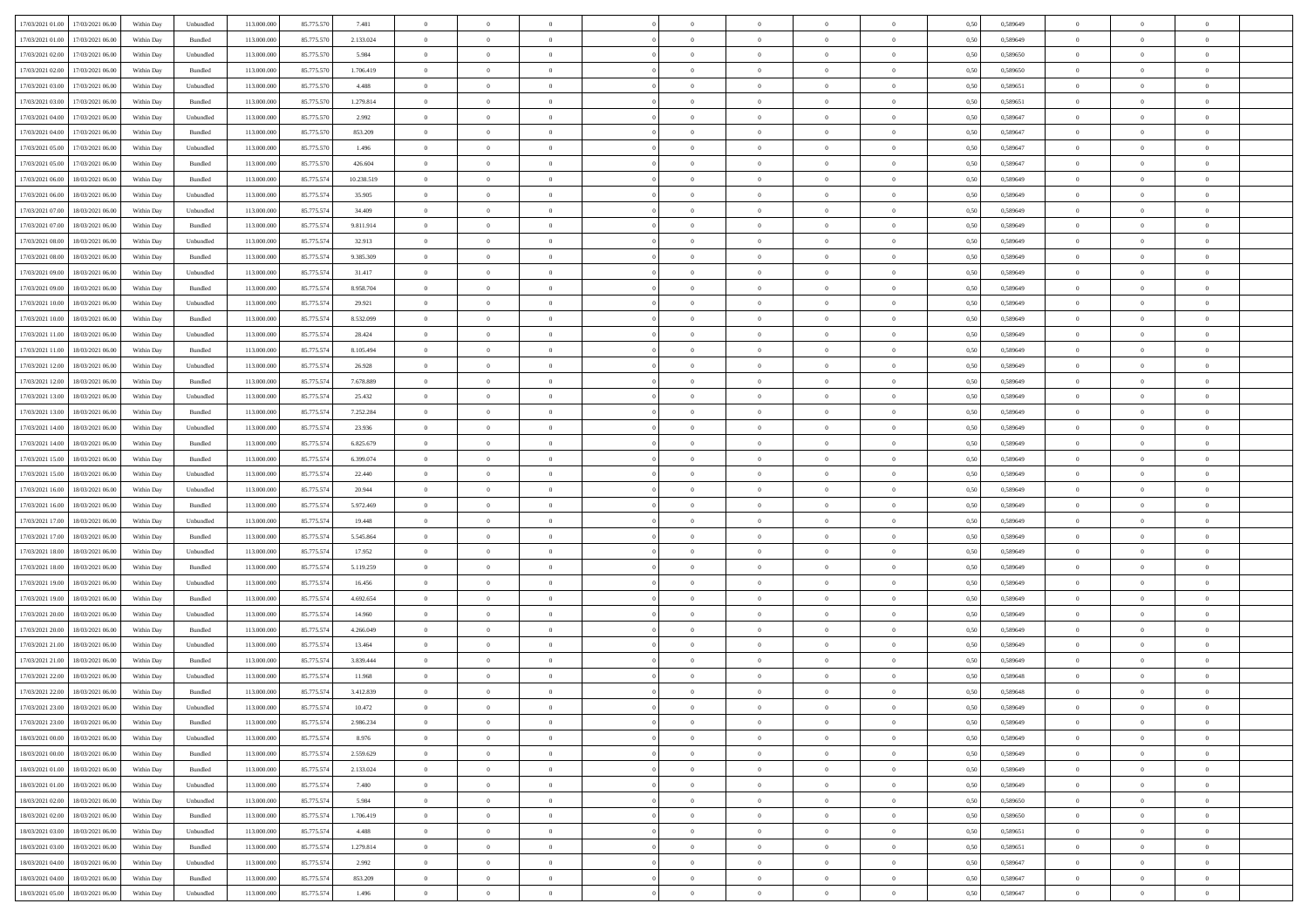| 17/03/2021 01:00 17/03/2021 06:00            | Within Day | Unbundled                   | 113.000.000 | 85.775.570 | 7.481      | $\overline{0}$ | $\overline{0}$   |                | $\overline{0}$ | $\theta$       |                | $\theta$       | 0,50 | 0,589649 | $\theta$       | $\theta$       | $\overline{0}$ |  |
|----------------------------------------------|------------|-----------------------------|-------------|------------|------------|----------------|------------------|----------------|----------------|----------------|----------------|----------------|------|----------|----------------|----------------|----------------|--|
|                                              |            |                             |             |            |            |                |                  |                |                |                |                |                |      |          |                |                |                |  |
| 17/03/2021 01:00<br>17/03/2021 06:00         | Within Day | Bundled                     | 113.000.00  | 85.775.570 | 2.133.024  | $\bf{0}$       | $\bf{0}$         | $\bf{0}$       | $\bf{0}$       | $\overline{0}$ | $\bf{0}$       | $\bf{0}$       | 0,50 | 0,589649 | $\,$ 0 $\,$    | $\bf{0}$       | $\overline{0}$ |  |
| 17/03/2021 02:00<br>17/03/2021 06:00         | Within Day | Unbundled                   | 113,000,000 | 85.775.570 | 5.984      | $\overline{0}$ | $\bf{0}$         | $\overline{0}$ | $\overline{0}$ | $\overline{0}$ | $\overline{0}$ | $\bf{0}$       | 0.50 | 0.589650 | $\bf{0}$       | $\overline{0}$ | $\bf{0}$       |  |
| 17/03/2021 02:00<br>17/03/2021 06:00         | Within Day | Bundled                     | 113.000.000 | 85.775.570 | 1.706.419  | $\overline{0}$ | $\overline{0}$   | $\overline{0}$ | $\overline{0}$ | $\overline{0}$ | $\overline{0}$ | $\bf{0}$       | 0,50 | 0,589650 | $\,$ 0 $\,$    | $\overline{0}$ | $\overline{0}$ |  |
| 17/03/2021 03:00<br>17/03/2021 06:00         | Within Day | Unbundled                   | 113.000.00  | 85.775.570 | 4.488      | $\bf{0}$       | $\bf{0}$         | $\bf{0}$       | $\bf{0}$       | $\overline{0}$ | $\overline{0}$ | $\bf{0}$       | 0,50 | 0,589651 | $\,$ 0 $\,$    | $\bf{0}$       | $\overline{0}$ |  |
| 17/03/2021 03:00<br>17/03/2021 06:00         | Within Day | Bundled                     | 113,000,000 | 85.775.570 | 1.279.814  | $\overline{0}$ | $\bf{0}$         | $\overline{0}$ | $\bf{0}$       | $\overline{0}$ | $\overline{0}$ | $\bf{0}$       | 0.50 | 0.589651 | $\bf{0}$       | $\overline{0}$ | $\overline{0}$ |  |
|                                              |            |                             |             |            |            | $\overline{0}$ |                  | $\overline{0}$ | $\overline{0}$ | $\overline{0}$ | $\overline{0}$ |                |      |          |                |                |                |  |
| 17/03/2021 04:00<br>17/03/2021 06:00         | Within Day | Unbundled                   | 113.000.000 | 85.775.570 | 2.992      |                | $\bf{0}$         |                |                |                |                | $\bf{0}$       | 0,50 | 0,589647 | $\,$ 0 $\,$    | $\bf{0}$       | $\overline{0}$ |  |
| 17/03/2021 04:00<br>17/03/2021 06:00         | Within Day | Bundled                     | 113.000.00  | 85.775.570 | 853.209    | $\bf{0}$       | $\bf{0}$         | $\bf{0}$       | $\bf{0}$       | $\overline{0}$ | $\overline{0}$ | $\bf{0}$       | 0,50 | 0,589647 | $\,$ 0 $\,$    | $\bf{0}$       | $\overline{0}$ |  |
| 17/03/2021 05:00<br>17/03/2021 06:00         | Within Day | Unbundled                   | 113,000,000 | 85.775.57  | 1.496      | $\overline{0}$ | $\bf{0}$         | $\overline{0}$ | $\bf{0}$       | $\overline{0}$ | $\overline{0}$ | $\bf{0}$       | 0.50 | 0.589647 | $\bf{0}$       | $\overline{0}$ | $\bf{0}$       |  |
| 17/03/2021 05:00<br>17/03/2021 06:00         | Within Day | Bundled                     | 113.000.000 | 85.775.570 | 426.604    | $\bf{0}$       | $\bf{0}$         | $\overline{0}$ | $\overline{0}$ | $\overline{0}$ | $\overline{0}$ | $\bf{0}$       | 0,50 | 0,589647 | $\,$ 0 $\,$    | $\,$ 0 $\,$    | $\overline{0}$ |  |
| 17/03/2021 06:00<br>18/03/2021 06:00         | Within Day | Bundled                     | 113.000.00  | 85.775.574 | 10.238.519 | $\bf{0}$       | $\bf{0}$         | $\bf{0}$       | $\bf{0}$       | $\overline{0}$ | $\overline{0}$ | $\bf{0}$       | 0,50 | 0,589649 | $\,$ 0 $\,$    | $\bf{0}$       | $\overline{0}$ |  |
| 17/03/2021 06:00<br>18/03/2021 06:00         | Within Day | Unbundled                   | 113,000,000 | 85.775.574 | 35.905     | $\overline{0}$ | $\bf{0}$         | $\overline{0}$ | $\overline{0}$ | $\overline{0}$ | $\overline{0}$ | $\bf{0}$       | 0.50 | 0.589649 | $\bf{0}$       | $\,$ 0 $\,$    | $\,$ 0         |  |
| 17/03/2021 07:00<br>18/03/2021 06:00         | Within Day | Unbundled                   | 113.000.000 | 85.775.574 | 34.409     | $\overline{0}$ | $\bf{0}$         | $\overline{0}$ | $\theta$       | $\theta$       | $\overline{0}$ | $\bf{0}$       | 0,50 | 0,589649 | $\,$ 0 $\,$    | $\,$ 0 $\,$    | $\overline{0}$ |  |
|                                              |            |                             |             |            |            |                | $\bf{0}$         |                |                | $\overline{0}$ | $\overline{0}$ |                |      |          | $\,$ 0 $\,$    | $\bf{0}$       | $\overline{0}$ |  |
| 17/03/2021 07:00<br>18/03/2021 06:00         | Within Day | Bundled                     | 113.000.00  | 85.775.574 | 9.811.914  | $\bf{0}$       |                  | $\bf{0}$       | $\bf{0}$       |                |                | $\bf{0}$       | 0,50 | 0,589649 |                |                |                |  |
| 17/03/2021 08:00<br>18/03/2021 06:00         | Within Day | Unbundled                   | 113,000,000 | 85.775.574 | 32.913     | $\overline{0}$ | $\bf{0}$         | $\overline{0}$ | $\bf{0}$       | $\overline{0}$ | $\overline{0}$ | $\bf{0}$       | 0.50 | 0.589649 | $\,$ 0 $\,$    | $\bf{0}$       | $\overline{0}$ |  |
| 17/03/2021 08:00<br>18/03/2021 06:00         | Within Day | Bundled                     | 113.000.000 | 85.775.574 | 9.385.309  | $\overline{0}$ | $\bf{0}$         | $\overline{0}$ | $\overline{0}$ | $\overline{0}$ | $\overline{0}$ | $\bf{0}$       | 0,50 | 0,589649 | $\theta$       | $\theta$       | $\overline{0}$ |  |
| 17/03/2021 09:00<br>18/03/2021 06:00         | Within Day | Unbundled                   | 113.000.00  | 85.775.574 | 31.417     | $\bf{0}$       | $\bf{0}$         | $\bf{0}$       | $\bf{0}$       | $\overline{0}$ | $\overline{0}$ | $\bf{0}$       | 0,50 | 0,589649 | $\,$ 0 $\,$    | $\bf{0}$       | $\overline{0}$ |  |
| 17/03/2021 09:00<br>18/03/2021 06:00         | Within Day | Bundled                     | 113,000,000 | 85.775.57  | 8.958.704  | $\overline{0}$ | $\bf{0}$         | $\overline{0}$ | $\bf{0}$       | $\overline{0}$ | $\overline{0}$ | $\bf{0}$       | 0.50 | 0.589649 | $\bf{0}$       | $\overline{0}$ | $\bf{0}$       |  |
| 17/03/2021 10:00<br>18/03/2021 06:00         | Within Day | Unbundled                   | 113.000.000 | 85.775.574 | 29.921     | $\bf{0}$       | $\bf{0}$         | $\overline{0}$ | $\overline{0}$ | $\overline{0}$ | $\overline{0}$ | $\bf{0}$       | 0,50 | 0,589649 | $\,$ 0 $\,$    | $\bf{0}$       | $\overline{0}$ |  |
| 17/03/2021 10:00<br>18/03/2021 06:00         | Within Day | Bundled                     | 113.000.00  | 85.775.574 | 8.532.099  | $\bf{0}$       | $\bf{0}$         | $\bf{0}$       | $\bf{0}$       | $\overline{0}$ | $\overline{0}$ | $\bf{0}$       | 0,50 | 0,589649 | $\,$ 0 $\,$    | $\bf{0}$       | $\overline{0}$ |  |
|                                              |            |                             |             |            |            |                |                  |                |                |                |                |                |      |          |                |                |                |  |
| 17/03/2021 11:00<br>18/03/2021 06:00         | Within Day | Unbundled                   | 113,000,000 | 85.775.574 | 28.424     | $\overline{0}$ | $\bf{0}$         | $\overline{0}$ | $\overline{0}$ | $\overline{0}$ | $\overline{0}$ | $\bf{0}$       | 0.50 | 0.589649 | $\bf{0}$       | $\,$ 0 $\,$    | $\,$ 0         |  |
| 17/03/2021 11:00<br>18/03/2021 06:00         | Within Day | Bundled                     | 113.000.000 | 85.775.574 | 8.105.494  | $\overline{0}$ | $\overline{0}$   | $\overline{0}$ | $\overline{0}$ | $\overline{0}$ | $\overline{0}$ | $\bf{0}$       | 0,50 | 0,589649 | $\theta$       | $\theta$       | $\overline{0}$ |  |
| 17/03/2021 12:00<br>18/03/2021 06:00         | Within Day | Unbundled                   | 113.000.00  | 85.775.574 | 26.928     | $\bf{0}$       | $\bf{0}$         | $\bf{0}$       | $\bf{0}$       | $\overline{0}$ | $\overline{0}$ | $\bf{0}$       | 0,50 | 0,589649 | $\,$ 0 $\,$    | $\bf{0}$       | $\overline{0}$ |  |
| 17/03/2021 12:00<br>18/03/2021 06:00         | Within Day | Bundled                     | 113,000,000 | 85.775.574 | 7.678.889  | $\overline{0}$ | $\bf{0}$         | $\overline{0}$ | $\bf{0}$       | $\overline{0}$ | $\overline{0}$ | $\bf{0}$       | 0.50 | 0.589649 | $\bf{0}$       | $\overline{0}$ | $\overline{0}$ |  |
| 17/03/2021 13:00<br>18/03/2021 06:00         | Within Day | Unbundled                   | 113.000.000 | 85.775.574 | 25.432     | $\overline{0}$ | $\overline{0}$   | $\overline{0}$ | $\overline{0}$ | $\overline{0}$ | $\overline{0}$ | $\bf{0}$       | 0,50 | 0,589649 | $\,$ 0 $\,$    | $\theta$       | $\overline{0}$ |  |
| 17/03/2021 13:00<br>18/03/2021 06:00         | Within Day | Bundled                     | 113.000.00  | 85.775.574 | 7.252.284  | $\bf{0}$       | $\bf{0}$         | $\bf{0}$       | $\bf{0}$       | $\overline{0}$ | $\overline{0}$ | $\bf{0}$       | 0,50 | 0,589649 | $\,$ 0 $\,$    | $\bf{0}$       | $\overline{0}$ |  |
| 17/03/2021 14:00<br>18/03/2021 06:00         | Within Day | Unbundled                   | 113,000,000 | 85.775.574 | 23.936     | $\overline{0}$ | $\bf{0}$         | $\overline{0}$ | $\bf{0}$       | $\bf{0}$       | $\overline{0}$ | $\bf{0}$       | 0.50 | 0.589649 | $\bf{0}$       | $\overline{0}$ | $\bf{0}$       |  |
| 17/03/2021 14:00<br>18/03/2021 06:00         | Within Day | Bundled                     | 113.000.000 | 85.775.574 | 6.825.679  | $\overline{0}$ | $\bf{0}$         | $\overline{0}$ | $\overline{0}$ | $\overline{0}$ | $\overline{0}$ | $\bf{0}$       | 0,50 | 0,589649 | $\,$ 0 $\,$    | $\bf{0}$       | $\overline{0}$ |  |
|                                              |            |                             |             |            |            |                |                  |                |                |                |                |                |      |          |                |                |                |  |
| 17/03/2021 15:00<br>18/03/2021 06:00         | Within Day | Bundled                     | 113.000.00  | 85.775.574 | 6.399.074  | $\bf{0}$       | $\bf{0}$         | $\bf{0}$       | $\bf{0}$       | $\overline{0}$ | $\overline{0}$ | $\bf{0}$       | 0,50 | 0,589649 | $\,$ 0 $\,$    | $\bf{0}$       | $\overline{0}$ |  |
| 17/03/2021 15:00<br>18/03/2021 06:00         | Within Day | Unbundled                   | 113,000,000 | 85.775.574 | 22.440     | $\overline{0}$ | $\bf{0}$         | $\overline{0}$ | $\overline{0}$ | $\overline{0}$ | $\overline{0}$ | $\bf{0}$       | 0.50 | 0.589649 | $\bf{0}$       | $\,$ 0 $\,$    | $\,$ 0         |  |
| 17/03/2021 16:00<br>18/03/2021 06:00         | Within Day | Unbundled                   | 113.000.000 | 85.775.574 | 20.944     | $\overline{0}$ | $\overline{0}$   | $\overline{0}$ | $\overline{0}$ | $\overline{0}$ | $\overline{0}$ | $\bf{0}$       | 0.50 | 0.589649 | $\theta$       | $\theta$       | $\overline{0}$ |  |
| 17/03/2021 16:00<br>18/03/2021 06:00         | Within Day | Bundled                     | 113.000.00  | 85.775.574 | 5.972.469  | $\bf{0}$       | $\bf{0}$         | $\bf{0}$       | $\bf{0}$       | $\overline{0}$ | $\overline{0}$ | $\bf{0}$       | 0,50 | 0,589649 | $\,$ 0 $\,$    | $\bf{0}$       | $\overline{0}$ |  |
| 17/03/2021 17:00<br>18/03/2021 06:00         | Within Day | Unbundled                   | 113,000,000 | 85.775.574 | 19,448     | $\overline{0}$ | $\bf{0}$         | $\overline{0}$ | $\bf{0}$       | $\overline{0}$ | $\overline{0}$ | $\bf{0}$       | 0.50 | 0.589649 | $\bf{0}$       | $\bf{0}$       | $\overline{0}$ |  |
| 17/03/2021 17:00<br>18/03/2021 06:00         | Within Day | Bundled                     | 113.000.000 | 85.775.574 | 5.545.864  | $\overline{0}$ | $\overline{0}$   | $\overline{0}$ | $\overline{0}$ | $\overline{0}$ | $\overline{0}$ | $\bf{0}$       | 0.50 | 0.589649 | $\theta$       | $\theta$       | $\overline{0}$ |  |
| 17/03/2021 18:00<br>18/03/2021 06:00         | Within Day | Unbundled                   | 113.000.00  | 85.775.574 | 17.952     | $\bf{0}$       | $\bf{0}$         | $\bf{0}$       | $\bf{0}$       | $\overline{0}$ | $\overline{0}$ | $\bf{0}$       | 0,50 | 0,589649 | $\,$ 0 $\,$    | $\bf{0}$       | $\overline{0}$ |  |
| 17/03/2021 18:00<br>18/03/2021 06:00         | Within Day | Bundled                     | 113,000,000 | 85.775.574 | 5.119.259  | $\overline{0}$ | $\bf{0}$         | $\overline{0}$ | $\bf{0}$       | $\overline{0}$ | $\overline{0}$ | $\bf{0}$       | 0.50 | 0.589649 | $\bf{0}$       | $\overline{0}$ | $\bf{0}$       |  |
|                                              |            |                             |             |            |            |                |                  |                |                |                |                |                |      |          |                |                |                |  |
| 17/03/2021 19:00<br>18/03/2021 06:00         | Within Day | Unbundled                   | 113.000.000 | 85.775.574 | 16.456     | $\overline{0}$ | $\overline{0}$   | $\overline{0}$ | $\overline{0}$ | $\overline{0}$ | $\overline{0}$ | $\bf{0}$       | 0.50 | 0.589649 | $\theta$       | $\overline{0}$ | $\overline{0}$ |  |
| 17/03/2021 19:00<br>18/03/2021 06:00         | Within Day | Bundled                     | 113.000.00  | 85.775.574 | 4.692.654  | $\bf{0}$       | $\bf{0}$         | $\bf{0}$       | $\bf{0}$       | $\overline{0}$ | $\overline{0}$ | $\bf{0}$       | 0,50 | 0,589649 | $\,$ 0 $\,$    | $\bf{0}$       | $\overline{0}$ |  |
| 17/03/2021 20:00<br>18/03/2021 06:00         | Within Day | Unbundled                   | 113,000,000 | 85.775.574 | 14.960     | $\overline{0}$ | $\bf{0}$         | $\overline{0}$ | $\overline{0}$ | $\bf{0}$       | $\overline{0}$ | $\bf{0}$       | 0.50 | 0.589649 | $\bf{0}$       | $\,$ 0 $\,$    | $\,$ 0         |  |
| 17/03/2021 20:00<br>18/03/2021 06:00         | Within Day | Bundled                     | 113.000.000 | 85.775.574 | 4.266.049  | $\overline{0}$ | $\overline{0}$   | $\overline{0}$ | $\overline{0}$ | $\overline{0}$ | $\overline{0}$ | $\bf{0}$       | 0.50 | 0.589649 | $\theta$       | $\theta$       | $\overline{0}$ |  |
| 17/03/2021 21:00<br>18/03/2021 06:00         | Within Day | Unbundled                   | 113.000.00  | 85.775.574 | 13.464     | $\bf{0}$       | $\bf{0}$         | $\bf{0}$       | $\overline{0}$ | $\overline{0}$ | $\overline{0}$ | $\bf{0}$       | 0,50 | 0,589649 | $\,$ 0 $\,$    | $\bf{0}$       | $\overline{0}$ |  |
| 17/03/2021 21:00<br>18/03/2021 06:00         | Within Day | Bundled                     | 113,000,000 | 85.775.574 | 3.839.444  | $\overline{0}$ | $\bf{0}$         | $\overline{0}$ | $\bf{0}$       | $\overline{0}$ | $\overline{0}$ | $\bf{0}$       | 0.50 | 0.589649 | $\bf{0}$       | $\overline{0}$ | $\overline{0}$ |  |
| 17/03/2021 22:00<br>18/03/2021 06:00         | Within Dav | Unbundled                   | 113.000.000 | 85.775.574 | 11.968     | $\overline{0}$ | $\overline{0}$   | $\overline{0}$ | $\overline{0}$ | $\theta$       | $\overline{0}$ | $\overline{0}$ | 0.50 | 0.589648 | $\theta$       | $\theta$       | $\overline{0}$ |  |
| 17/03/2021 22:00<br>18/03/2021 06:00         | Within Day | Bundled                     | 113.000.000 | 85.775.574 | 3.412.839  | $\bf{0}$       | $\bf{0}$         | $\bf{0}$       | $\bf{0}$       | $\overline{0}$ | $\overline{0}$ | $\bf{0}$       | 0,50 | 0,589648 | $\overline{0}$ | $\overline{0}$ | $\overline{0}$ |  |
|                                              |            |                             |             |            |            |                |                  |                |                |                |                |                |      |          |                |                |                |  |
| $17/03/2021\ 23.00 \qquad 18/03/2021\ 06.00$ | Within Day | $\ensuremath{\mathsf{Unb}}$ | 113.000.000 | 85.775.574 | 10.472     | $\bf{0}$       | $\boldsymbol{0}$ |                | $\overline{0}$ | $\theta$       |                | $\bf{0}$       | 0,50 | 0.589649 | $\,$ 0         | $\bf{0}$       |                |  |
| 17/03/2021 23:00 18/03/2021 06:00            | Within Day | Bundled                     | 113.000.000 | 85.775.574 | 2.986.234  | $\overline{0}$ | $\overline{0}$   | $\Omega$       | $\theta$       | $\overline{0}$ | $\overline{0}$ | $\bf{0}$       | 0,50 | 0,589649 | $\theta$       | $\overline{0}$ | $\overline{0}$ |  |
| 18/03/2021 00:00<br>18/03/2021 06:00         | Within Day | Unbundled                   | 113.000.00  | 85.775.574 | 8.976      | $\overline{0}$ | $\bf{0}$         | $\overline{0}$ | $\overline{0}$ | $\bf{0}$       | $\overline{0}$ | $\bf{0}$       | 0,50 | 0,589649 | $\bf{0}$       | $\overline{0}$ | $\bf{0}$       |  |
| 18/03/2021 00:00 18/03/2021 06:00            | Within Day | Bundled                     | 113.000.000 | 85.775.574 | 2.559.629  | $\overline{0}$ | $\overline{0}$   | $\overline{0}$ | $\overline{0}$ | $\mathbf{0}$   | $\overline{0}$ | $\,$ 0 $\,$    | 0.50 | 0.589649 | $\overline{0}$ | $\bf{0}$       | $\bf{0}$       |  |
| 18/03/2021 01:00 18/03/2021 06:00            | Within Day | Bundled                     | 113.000.000 | 85.775.574 | 2.133.024  | $\overline{0}$ | $\overline{0}$   | $\overline{0}$ | $\overline{0}$ | $\overline{0}$ | $\overline{0}$ | $\bf{0}$       | 0,50 | 0.589649 | $\overline{0}$ | $\theta$       | $\overline{0}$ |  |
| 18/03/2021 01:00<br>18/03/2021 06:00         | Within Day | Unbundled                   | 113.000.000 | 85.775.574 | 7.480      | $\overline{0}$ | $\bf{0}$         | $\overline{0}$ | $\overline{0}$ | $\bf{0}$       | $\overline{0}$ | $\bf{0}$       | 0,50 | 0,589649 | $\bf{0}$       | $\overline{0}$ | $\overline{0}$ |  |
| 18/03/2021 02:00<br>18/03/2021 06:00         | Within Day | Unbundled                   | 113,000,000 | 85.775.574 | 5.984      | $\overline{0}$ | $\bf{0}$         | $\overline{0}$ | $\overline{0}$ | $\bf{0}$       | $\overline{0}$ | $\bf{0}$       | 0.50 | 0.589650 | $\,$ 0 $\,$    | $\overline{0}$ | $\,$ 0         |  |
|                                              |            |                             |             |            |            |                |                  |                |                |                |                |                |      |          |                |                |                |  |
| 18/03/2021 02:00<br>18/03/2021 06:00         | Within Dav | Bundled                     | 113.000.000 | 85.775.574 | 1.706.419  | $\overline{0}$ | $\overline{0}$   | $\overline{0}$ | $\overline{0}$ | $\overline{0}$ | $\overline{0}$ | $\bf{0}$       | 0.50 | 0,589650 | $\overline{0}$ | $\theta$       | $\overline{0}$ |  |
| 18/03/2021 03:00<br>18/03/2021 06:00         | Within Day | Unbundled                   | 113.000.00  | 85.775.574 | 4.488      | $\overline{0}$ | $\overline{0}$   | $\overline{0}$ | $\overline{0}$ | $\overline{0}$ | $\overline{0}$ | $\bf{0}$       | 0,50 | 0,589651 | $\bf{0}$       | $\overline{0}$ | $\,$ 0         |  |
| 18/03/2021 03:00<br>18/03/2021 06:00         | Within Day | Bundled                     | 113,000,000 | 85.775.574 | 1.279.814  | $\overline{0}$ | $\bf{0}$         | $\overline{0}$ | $\overline{0}$ | $\overline{0}$ | $\overline{0}$ | $\bf{0}$       | 0.50 | 0.589651 | $\mathbf{0}$   | $\bf{0}$       | $\,$ 0         |  |
| 18/03/2021 04:00<br>18/03/2021 06:00         | Within Dav | Unbundled                   | 113.000.000 | 85.775.574 | 2.992      | $\overline{0}$ | $\overline{0}$   | $\overline{0}$ | $\overline{0}$ | $\overline{0}$ | $\overline{0}$ | $\bf{0}$       | 0,50 | 0,589647 | $\overline{0}$ | $\theta$       | $\overline{0}$ |  |
| 18/03/2021 04:00<br>18/03/2021 06:00         | Within Day | Bundled                     | 113.000.00  | 85.775.574 | 853.209    | $\overline{0}$ | $\bf{0}$         | $\overline{0}$ | $\overline{0}$ | $\overline{0}$ | $\overline{0}$ | $\bf{0}$       | 0,50 | 0,589647 | $\bf{0}$       | $\overline{0}$ | $\bf{0}$       |  |
| 18/03/2021 05:00 18/03/2021 06:00            | Within Day | Unbundled                   | 113.000.000 | 85.775.574 | 1.496      | $\overline{0}$ | $\bf{0}$         | $\overline{0}$ | $\overline{0}$ | $\,$ 0 $\,$    | $\overline{0}$ | $\bf{0}$       | 0,50 | 0,589647 | $\overline{0}$ | $\,$ 0 $\,$    | $\,$ 0 $\,$    |  |
|                                              |            |                             |             |            |            |                |                  |                |                |                |                |                |      |          |                |                |                |  |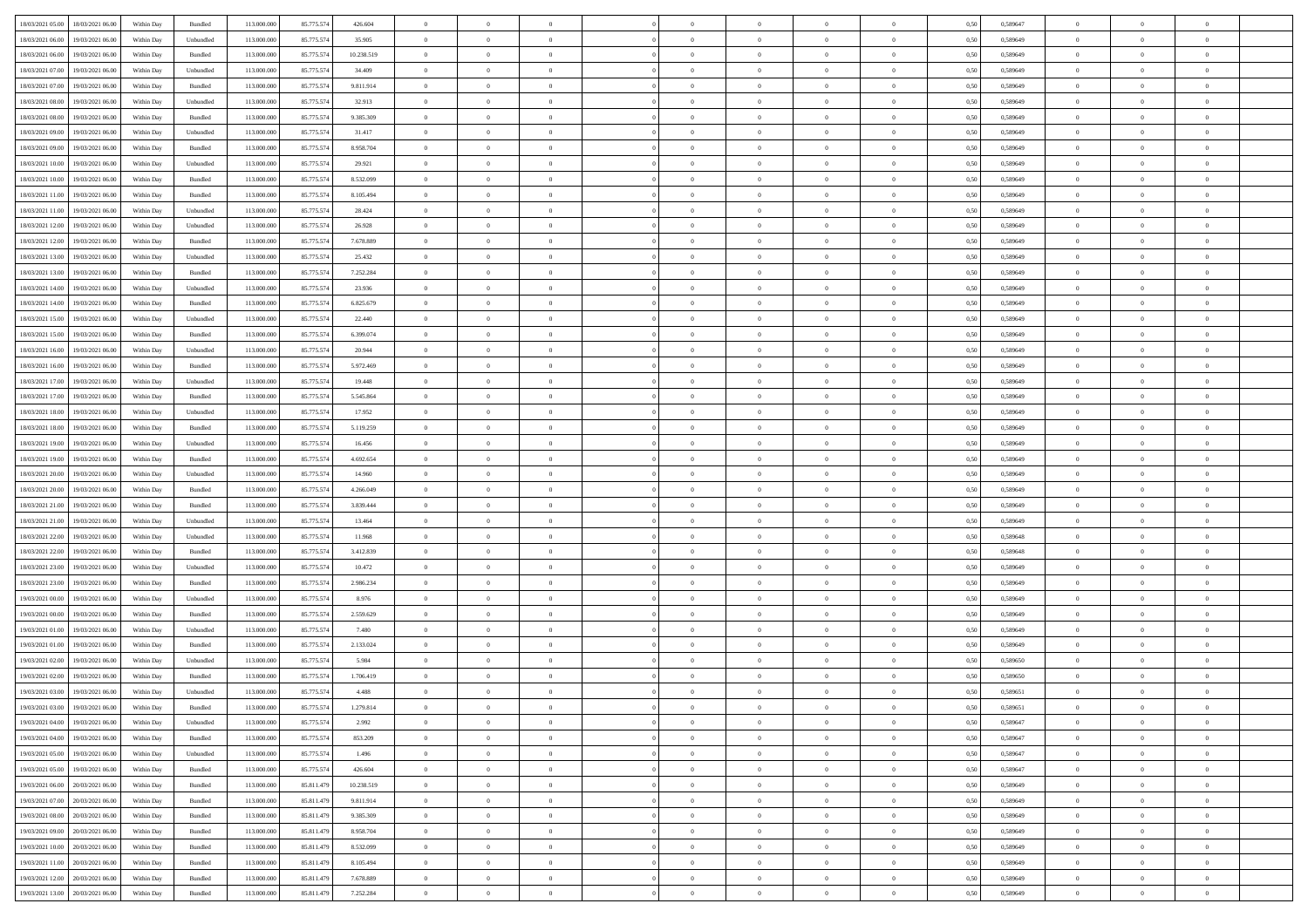|                                                |            |           |             |            |            | $\overline{0}$ | $\theta$       |                | $\overline{0}$ |                |                | $\bf{0}$       |      |          | $\theta$       | $\theta$       | $\theta$       |  |
|------------------------------------------------|------------|-----------|-------------|------------|------------|----------------|----------------|----------------|----------------|----------------|----------------|----------------|------|----------|----------------|----------------|----------------|--|
| 18/03/2021 05:00 18/03/2021 06:00              | Within Day | Bundled   | 113.000.000 | 85.775.574 | 426.604    |                |                |                |                | $\bf{0}$       |                |                | 0,50 | 0,589647 |                |                |                |  |
| 18/03/2021 06:00<br>19/03/2021 06:00           | Within Day | Unbundled | 113.000.00  | 85.775.574 | 35.905     | $\bf{0}$       | $\bf{0}$       | $\bf{0}$       | $\bf{0}$       | $\overline{0}$ | $\overline{0}$ | $\bf{0}$       | 0,50 | 0,589649 | $\,$ 0 $\,$    | $\bf{0}$       | $\overline{0}$ |  |
| 18/03/2021 06:00<br>19/03/2021 06:00           | Within Day | Bundled   | 113,000,000 | 85.775.574 | 10.238.519 | $\overline{0}$ | $\bf{0}$       | $\overline{0}$ | $\bf{0}$       | $\bf{0}$       | $\overline{0}$ | $\bf{0}$       | 0.50 | 0.589649 | $\bf{0}$       | $\overline{0}$ | $\overline{0}$ |  |
| 18/03/2021 07:00<br>19/03/2021 06:00           | Within Day | Unbundled | 113.000.000 | 85.775.574 | 34.409     | $\overline{0}$ | $\bf{0}$       | $\overline{0}$ | $\overline{0}$ | $\theta$       | $\overline{0}$ | $\bf{0}$       | 0,50 | 0,589649 | $\theta$       | $\theta$       | $\overline{0}$ |  |
| 18/03/2021 07:00<br>19/03/2021 06:00           | Within Day | Bundled   | 113.000.00  | 85.775.574 | 9.811.914  | $\overline{0}$ | $\overline{0}$ | $\bf{0}$       | $\overline{0}$ | $\theta$       | $\overline{0}$ | $\bf{0}$       | 0,50 | 0,589649 | $\,$ 0 $\,$    | $\bf{0}$       | $\overline{0}$ |  |
|                                                |            |           |             |            |            |                |                |                |                |                |                |                |      |          |                |                |                |  |
| 18/03/2021 08:00<br>19/03/2021 06:00           | Within Day | Unbundled | 113,000,000 | 85.775.574 | 32.913     | $\overline{0}$ | $\overline{0}$ | $\overline{0}$ | $\bf{0}$       | $\overline{0}$ | $\theta$       | $\bf{0}$       | 0.50 | 0.589649 | $\bf{0}$       | $\theta$       | $\overline{0}$ |  |
| 18/03/2021 08:00<br>19/03/2021 06:00           | Within Day | Bundled   | 113.000.000 | 85.775.574 | 9.385.309  | $\overline{0}$ | $\overline{0}$ | $\overline{0}$ | $\overline{0}$ | $\overline{0}$ | $\overline{0}$ | $\bf{0}$       | 0,50 | 0,589649 | $\theta$       | $\theta$       | $\overline{0}$ |  |
| 18/03/2021 09:00<br>19/03/2021 06:00           | Within Day | Unbundled | 113.000.00  | 85.775.574 | 31.417     | $\bf{0}$       | $\bf{0}$       | $\bf{0}$       | $\overline{0}$ | $\overline{0}$ | $\overline{0}$ | $\bf{0}$       | 0,50 | 0,589649 | $\,$ 0 $\,$    | $\bf{0}$       | $\overline{0}$ |  |
| 18/03/2021 09:00<br>19/03/2021 06:00           | Within Day | Bundled   | 113,000,000 | 85.775.57  | 8.958.704  | $\overline{0}$ | $\bf{0}$       | $\overline{0}$ | $\bf{0}$       | $\overline{0}$ | $\overline{0}$ | $\bf{0}$       | 0.50 | 0.589649 | $\bf{0}$       | $\overline{0}$ | $\overline{0}$ |  |
| 18/03/2021 10:00<br>19/03/2021 06:00           | Within Day | Unbundled | 113.000.000 | 85.775.574 | 29.921     | $\bf{0}$       | $\bf{0}$       | $\overline{0}$ | $\overline{0}$ | $\overline{0}$ | $\overline{0}$ | $\bf{0}$       | 0,50 | 0,589649 | $\,$ 0 $\,$    | $\bf{0}$       | $\overline{0}$ |  |
|                                                |            |           |             |            |            |                |                |                |                |                |                |                |      |          |                |                |                |  |
| 18/03/2021 10:00<br>19/03/2021 06:00           | Within Day | Bundled   | 113.000.00  | 85.775.57  | 8.532.099  | $\bf{0}$       | $\overline{0}$ | $\bf{0}$       | $\bf{0}$       | $\bf{0}$       | $\overline{0}$ | $\bf{0}$       | 0,50 | 0,589649 | $\,$ 0 $\,$    | $\bf{0}$       | $\overline{0}$ |  |
| 18/03/2021 11:00<br>19/03/2021 06:00           | Within Day | Bundled   | 113,000,000 | 85.775.574 | 8.105.494  | $\overline{0}$ | $\bf{0}$       | $\overline{0}$ | $\bf{0}$       | $\bf{0}$       | $\overline{0}$ | $\bf{0}$       | 0.50 | 0.589649 | $\bf{0}$       | $\overline{0}$ | $\bf{0}$       |  |
| 18/03/2021 11:00<br>19/03/2021 06:00           | Within Day | Unbundled | 113.000.000 | 85.775.574 | 28.424     | $\overline{0}$ | $\overline{0}$ | $\overline{0}$ | $\theta$       | $\theta$       | $\overline{0}$ | $\bf{0}$       | 0,50 | 0,589649 | $\,$ 0 $\,$    | $\theta$       | $\overline{0}$ |  |
| 18/03/2021 12:00<br>19/03/2021 06:00           | Within Day | Unbundled | 113.000.00  | 85.775.574 | 26.928     | $\bf{0}$       | $\overline{0}$ | $\bf{0}$       | $\overline{0}$ | $\bf{0}$       | $\overline{0}$ | $\bf{0}$       | 0,50 | 0,589649 | $\bf{0}$       | $\bf{0}$       | $\overline{0}$ |  |
| 18/03/2021 12:00<br>19/03/2021 06:00           | Within Day | Bundled   | 113,000,000 | 85.775.574 | 7.678.889  | $\overline{0}$ | $\overline{0}$ | $\overline{0}$ | $\bf{0}$       | $\overline{0}$ | $\Omega$       | $\bf{0}$       | 0.50 | 0.589649 | $\theta$       | $\theta$       | $\overline{0}$ |  |
| 18/03/2021 13:00<br>19/03/2021 06:00           | Within Day | Unbundled | 113.000.000 | 85.775.574 | 25.432     | $\overline{0}$ | $\overline{0}$ | $\overline{0}$ | $\overline{0}$ | $\theta$       | $\overline{0}$ | $\bf{0}$       | 0,50 | 0,589649 | $\theta$       | $\theta$       | $\overline{0}$ |  |
|                                                |            |           |             |            |            |                |                |                |                |                |                |                |      |          |                |                |                |  |
| 18/03/2021 13:00<br>19/03/2021 06:00           | Within Day | Bundled   | 113.000.00  | 85.775.57  | 7.252.284  | $\bf{0}$       | $\overline{0}$ | $\bf{0}$       | $\overline{0}$ | $\theta$       | $\overline{0}$ | $\bf{0}$       | 0,50 | 0,589649 | $\,$ 0 $\,$    | $\bf{0}$       | $\overline{0}$ |  |
| 18/03/2021 14:00<br>19/03/2021 06:00           | Within Day | Unbundled | 113,000,000 | 85.775.574 | 23.936     | $\overline{0}$ | $\bf{0}$       | $\overline{0}$ | $\bf{0}$       | $\overline{0}$ | $\overline{0}$ | $\bf{0}$       | 0.50 | 0.589649 | $\bf{0}$       | $\overline{0}$ | $\overline{0}$ |  |
| 18/03/2021 14:00<br>19/03/2021 06:00           | Within Day | Bundled   | 113.000.000 | 85.775.574 | 6.825.679  | $\overline{0}$ | $\bf{0}$       | $\overline{0}$ | $\overline{0}$ | $\overline{0}$ | $\overline{0}$ | $\bf{0}$       | 0,50 | 0,589649 | $\,$ 0 $\,$    | $\bf{0}$       | $\overline{0}$ |  |
| 18/03/2021 15:00<br>19/03/2021 06:00           | Within Day | Unbundled | 113.000.00  | 85.775.57  | 22.440     | $\bf{0}$       | $\bf{0}$       | $\bf{0}$       | $\bf{0}$       | $\overline{0}$ | $\overline{0}$ | $\bf{0}$       | 0,50 | 0,589649 | $\,$ 0 $\,$    | $\bf{0}$       | $\overline{0}$ |  |
| 18/03/2021 15:00<br>19/03/2021 06:00           | Within Day | Bundled   | 113,000,000 | 85.775.574 | 6.399.074  | $\overline{0}$ | $\bf{0}$       | $\overline{0}$ | $\bf{0}$       | $\bf{0}$       | $\overline{0}$ | $\bf{0}$       | 0.50 | 0.589649 | $\bf{0}$       | $\overline{0}$ | $\bf{0}$       |  |
| 18/03/2021 16:00<br>19/03/2021 06:00           | Within Day | Unbundled | 113.000.000 | 85.775.574 | 20.944     | $\overline{0}$ | $\overline{0}$ | $\overline{0}$ | $\overline{0}$ | $\theta$       | $\overline{0}$ | $\bf{0}$       | 0,50 | 0,589649 | $\theta$       | $\theta$       | $\overline{0}$ |  |
|                                                |            |           |             |            |            |                |                |                |                |                |                |                |      |          |                |                |                |  |
| 18/03/2021 16:00<br>19/03/2021 06:00           | Within Day | Bundled   | 113.000.00  | 85.775.57  | 5.972.469  | $\bf{0}$       | $\overline{0}$ | $\bf{0}$       | $\bf{0}$       | $\,$ 0 $\,$    | $\overline{0}$ | $\bf{0}$       | 0,50 | 0,589649 | $\,$ 0 $\,$    | $\bf{0}$       | $\overline{0}$ |  |
| 18/03/2021 17:00<br>19/03/2021 06:00           | Within Day | Unbundled | 113,000,000 | 85.775.574 | 19,448     | $\overline{0}$ | $\overline{0}$ | $\overline{0}$ | $\bf{0}$       | $\overline{0}$ | $\Omega$       | $\bf{0}$       | 0.50 | 0.589649 | $\bf{0}$       | $\theta$       | $\overline{0}$ |  |
| 18/03/2021 17:00<br>19/03/2021 06:00           | Within Day | Bundled   | 113.000.000 | 85.775.574 | 5.545.864  | $\overline{0}$ | $\overline{0}$ | $\overline{0}$ | $\overline{0}$ | $\overline{0}$ | $\overline{0}$ | $\bf{0}$       | 0,50 | 0,589649 | $\theta$       | $\theta$       | $\overline{0}$ |  |
| 18/03/2021 18:00<br>19/03/2021 06:00           | Within Day | Unbundled | 113.000.00  | 85.775.574 | 17.952     | $\bf{0}$       | $\overline{0}$ | $\bf{0}$       | $\overline{0}$ | $\bf{0}$       | $\overline{0}$ | $\bf{0}$       | 0,50 | 0,589649 | $\,$ 0 $\,$    | $\bf{0}$       | $\overline{0}$ |  |
| 18/03/2021 18:00<br>19/03/2021 06:00           | Within Day | Bundled   | 113,000,000 | 85.775.574 | 5.119.259  | $\overline{0}$ | $\bf{0}$       | $\overline{0}$ | $\bf{0}$       | $\overline{0}$ | $\overline{0}$ | $\bf{0}$       | 0.50 | 0.589649 | $\bf{0}$       | $\overline{0}$ | $\overline{0}$ |  |
| 18/03/2021 19:00<br>19/03/2021 06:00           | Within Day | Unbundled | 113.000.000 | 85.775.574 | 16.456     | $\overline{0}$ | $\bf{0}$       | $\overline{0}$ | $\overline{0}$ | $\overline{0}$ | $\overline{0}$ | $\bf{0}$       | 0,50 | 0,589649 | $\theta$       | $\theta$       | $\overline{0}$ |  |
| 19/03/2021 06:00                               | Within Day | Bundled   | 113.000.00  | 85.775.57  | 4.692.654  | $\bf{0}$       | $\bf{0}$       | $\bf{0}$       | $\bf{0}$       | $\overline{0}$ | $\overline{0}$ | $\bf{0}$       | 0,50 | 0,589649 | $\,$ 0 $\,$    | $\bf{0}$       | $\overline{0}$ |  |
| 18/03/2021 19:00                               |            |           |             |            |            |                |                |                |                |                |                |                |      |          |                |                |                |  |
| 18/03/2021 20:00<br>19/03/2021 06:00           | Within Day | Unbundled | 113,000,000 | 85.775.574 | 14.960     | $\overline{0}$ | $\bf{0}$       | $\overline{0}$ | $\bf{0}$       | $\bf{0}$       | $\overline{0}$ | $\bf{0}$       | 0.50 | 0.589649 | $\bf{0}$       | $\overline{0}$ | $\bf{0}$       |  |
| 18/03/2021 20:00<br>19/03/2021 06:00           | Within Day | Bundled   | 113.000.000 | 85.775.574 | 4.266.049  | $\overline{0}$ | $\overline{0}$ | $\overline{0}$ | $\overline{0}$ | $\overline{0}$ | $\overline{0}$ | $\bf{0}$       | 0.50 | 0.589649 | $\theta$       | $\theta$       | $\overline{0}$ |  |
| 18/03/2021 21:00<br>19/03/2021 06:00           | Within Day | Bundled   | 113.000.00  | 85.775.574 | 3.839.444  | $\bf{0}$       | $\overline{0}$ | $\bf{0}$       | $\bf{0}$       | $\overline{0}$ | $\overline{0}$ | $\bf{0}$       | 0,50 | 0,589649 | $\,$ 0 $\,$    | $\bf{0}$       | $\overline{0}$ |  |
| 18/03/2021 21:00<br>19/03/2021 06:00           | Within Day | Unbundled | 113,000,000 | 85.775.574 | 13.464     | $\overline{0}$ | $\bf{0}$       | $\overline{0}$ | $\bf{0}$       | $\overline{0}$ | $\Omega$       | $\bf{0}$       | 0.50 | 0.589649 | $\,$ 0 $\,$    | $\theta$       | $\overline{0}$ |  |
| 18/03/2021 22:00<br>19/03/2021 06:00           | Within Dav | Unbundled | 113.000.000 | 85.775.574 | 11.968     | $\overline{0}$ | $\overline{0}$ | $\overline{0}$ | $\overline{0}$ | $\theta$       | $\overline{0}$ | $\bf{0}$       | 0.50 | 0.589648 | $\theta$       | $\theta$       | $\overline{0}$ |  |
| 18/03/2021 22:00<br>19/03/2021 06:00           | Within Day | Bundled   | 113.000.00  | 85.775.57  | 3.412.839  | $\bf{0}$       | $\bf{0}$       | $\bf{0}$       | $\bf{0}$       | $\bf{0}$       | $\overline{0}$ | $\bf{0}$       | 0,50 | 0,589648 | $\,$ 0 $\,$    | $\bf{0}$       | $\overline{0}$ |  |
| 18/03/2021 23:00<br>19/03/2021 06:00           | Within Day | Unbundled | 113,000,000 | 85.775.574 | 10.472     | $\overline{0}$ | $\bf{0}$       | $\overline{0}$ | $\bf{0}$       | $\overline{0}$ | $\overline{0}$ | $\bf{0}$       | 0.50 | 0.589649 | $\bf{0}$       | $\overline{0}$ | $\overline{0}$ |  |
|                                                |            |           |             |            |            |                |                |                |                |                |                |                |      |          |                |                |                |  |
| 18/03/2021 23:00<br>19/03/2021 06:00           | Within Dav | Bundled   | 113.000.000 | 85.775.574 | 2.986.234  | $\overline{0}$ | $\overline{0}$ | $\overline{0}$ | $\overline{0}$ | $\overline{0}$ | $\overline{0}$ | $\bf{0}$       | 0.50 | 0.589649 | $\theta$       | $\theta$       | $\overline{0}$ |  |
| 19/03/2021 00:00<br>19/03/2021 06:00           | Within Day | Unbundled | 113.000.00  | 85.775.574 | 8.976      | $\bf{0}$       | $\bf{0}$       | $\bf{0}$       | $\bf{0}$       | $\overline{0}$ | $\overline{0}$ | $\bf{0}$       | 0,50 | 0,589649 | $\,$ 0 $\,$    | $\bf{0}$       | $\overline{0}$ |  |
| 19/03/2021 00:00<br>19/03/2021 06:00           | Within Day | Bundled   | 113,000,000 | 85.775.574 | 2.559.629  | $\overline{0}$ | $\bf{0}$       | $\overline{0}$ | $\bf{0}$       | $\bf{0}$       | $\overline{0}$ | $\bf{0}$       | 0.50 | 0.589649 | $\bf{0}$       | $\overline{0}$ | $\overline{0}$ |  |
| 19/03/2021 01:00<br>19/03/2021 06:00           | Within Dav | Unbundled | 113.000.000 | 85.775.574 | 7.480      | $\overline{0}$ | $\overline{0}$ | $\overline{0}$ | $\overline{0}$ | $\theta$       | $\overline{0}$ | $\bf{0}$       | 0.50 | 0.589649 | $\theta$       | $\theta$       | $\overline{0}$ |  |
| 19/03/2021 01:00<br>19/03/2021 06:00           | Within Day | Bundled   | 113.000.00  | 85.775.57  | 2.133.024  | $\bf{0}$       | $\bf{0}$       | $\bf{0}$       | $\bf{0}$       | $\overline{0}$ | $\overline{0}$ | $\bf{0}$       | 0,50 | 0,589649 | $\,$ 0 $\,$    | $\bf{0}$       | $\overline{0}$ |  |
| 19/03/2021 02:00<br>19/03/2021 06:00           | Within Day | Unbundled | 113,000,00  | 85.775.574 | 5.984      | $\overline{0}$ | $\overline{0}$ | $\overline{0}$ | $\bf{0}$       | $\theta$       | $\Omega$       | $\bf{0}$       | 0.50 | 0.589650 | $\,$ 0 $\,$    | $\theta$       | $\overline{0}$ |  |
| 19/03/2021 02:00<br>19/03/2021 06:00           | Within Dav | Bundled   | 113.000.000 | 85.775.574 | 1.706.419  | $\overline{0}$ | $\overline{0}$ | $\Omega$       | $\overline{0}$ | $\theta$       | $\overline{0}$ | $\overline{0}$ | 0.5( | 0.589650 | $\theta$       | $\theta$       | $\overline{0}$ |  |
|                                                |            |           |             |            |            |                |                |                |                |                |                |                |      |          |                |                |                |  |
| 19/03/2021 03:00<br>19/03/2021 06:00           | Within Day | Unbundled | 113.000.000 | 85.775.574 | 4.488      | $\bf{0}$       | $\bf{0}$       | $\overline{0}$ | $\bf{0}$       | $\bf{0}$       | $\overline{0}$ | $\bf{0}$       | 0,50 | 0,589651 | $\overline{0}$ | $\overline{0}$ | $\overline{0}$ |  |
| $19/03/2021\; 03.00 \qquad 19/03/2021\; 06.00$ | Within Day | Bundled   | 113.000.000 | 85.775.574 | 1.279.814  | $\overline{0}$ | $\Omega$       |                | $\Omega$       |                |                |                | 0,50 | 0.589651 | $\theta$       | $\overline{0}$ |                |  |
| 19/03/2021 04:00 19/03/2021 06:00              | Within Day | Unbundled | 113.000.000 | 85.775.574 | 2.992      | $\overline{0}$ | $\overline{0}$ | $\overline{0}$ | $\theta$       | $\overline{0}$ | $\overline{0}$ | $\bf{0}$       | 0,50 | 0,589647 | $\theta$       | $\overline{0}$ | $\overline{0}$ |  |
| 19/03/2021 04:00<br>19/03/2021 06:00           | Within Day | Bundled   | 113.000.00  | 85.775.574 | 853.209    | $\overline{0}$ | $\bf{0}$       | $\overline{0}$ | $\overline{0}$ | $\bf{0}$       | $\overline{0}$ | $\bf{0}$       | 0,50 | 0,589647 | $\bf{0}$       | $\overline{0}$ | $\bf{0}$       |  |
| 19/03/2021 05:00 19/03/2021 06:00              | Within Day | Unbundled | 113,000,000 | 85.775.574 | 1.496      | $\overline{0}$ | $\overline{0}$ | $\overline{0}$ | $\overline{0}$ | $\mathbf{0}$   | $\overline{0}$ | $\,$ 0 $\,$    | 0.50 | 0.589647 | $\overline{0}$ | $\bf{0}$       | $\bf{0}$       |  |
| 19/03/2021 05:00 19/03/2021 06:00              | Within Dav | Bundled   | 113.000.000 | 85.775.574 | 426.604    | $\overline{0}$ | $\overline{0}$ | $\overline{0}$ | $\overline{0}$ | $\overline{0}$ | $\overline{0}$ | $\bf{0}$       | 0,50 | 0.589647 | $\overline{0}$ | $\theta$       | $\overline{0}$ |  |
| 19/03/2021 06:00<br>20/03/2021 06:00           | Within Day | Bundled   | 113.000.000 | 85.811.479 | 10.238.519 | $\overline{0}$ | $\bf{0}$       | $\overline{0}$ | $\overline{0}$ | $\bf{0}$       | $\overline{0}$ | $\bf{0}$       | 0,50 | 0,589649 | $\bf{0}$       | $\overline{0}$ | $\overline{0}$ |  |
|                                                |            |           |             |            |            |                |                |                |                |                |                |                |      |          |                |                |                |  |
| 19/03/2021 07:00 20/03/2021 06:00              | Within Day | Bundled   | 113,000,000 | 85.811.479 | 9.811.914  | $\overline{0}$ | $\bf{0}$       | $\overline{0}$ | $\overline{0}$ | $\bf{0}$       | $\overline{0}$ | $\bf{0}$       | 0.50 | 0.589649 | $\,$ 0 $\,$    | $\overline{0}$ | $\,$ 0         |  |
| 19/03/2021 08:00 20/03/2021 06:00              | Within Dav | Bundled   | 113.000.000 | 85.811.479 | 9.385.309  | $\overline{0}$ | $\overline{0}$ | $\overline{0}$ | $\overline{0}$ | $\overline{0}$ | $\overline{0}$ | $\bf{0}$       | 0,50 | 0.589649 | $\overline{0}$ | $\theta$       | $\overline{0}$ |  |
| 19/03/2021 09:00<br>20/03/2021 06:00           | Within Day | Bundled   | 113.000.00  | 85.811.479 | 8.958.704  | $\overline{0}$ | $\overline{0}$ | $\overline{0}$ | $\overline{0}$ | $\overline{0}$ | $\overline{0}$ | $\bf{0}$       | 0,50 | 0,589649 | $\bf{0}$       | $\overline{0}$ | $\,$ 0         |  |
| 19/03/2021 10:00 20/03/2021 06:00              | Within Day | Bundled   | 113,000,000 | 85.811.479 | 8.532.099  | $\overline{0}$ | $\overline{0}$ | $\overline{0}$ | $\overline{0}$ | $\overline{0}$ | $\overline{0}$ | $\bf{0}$       | 0.50 | 0.589649 | $\mathbf{0}$   | $\bf{0}$       | $\,$ 0         |  |
| 19/03/2021 11:00 20/03/2021 06:00              | Within Dav | Bundled   | 113.000.000 | 85.811.479 | 8.105.494  | $\overline{0}$ | $\overline{0}$ | $\overline{0}$ | $\overline{0}$ | $\overline{0}$ | $\overline{0}$ | $\bf{0}$       | 0,50 | 0.589649 | $\overline{0}$ | $\theta$       | $\overline{0}$ |  |
|                                                |            |           |             |            |            |                |                |                |                |                |                |                |      |          |                |                |                |  |
| 19/03/2021 12:00<br>20/03/2021 06:00           | Within Day | Bundled   | 113.000.00  | 85.811.479 | 7.678.889  | $\overline{0}$ | $\bf{0}$       | $\overline{0}$ | $\overline{0}$ | $\overline{0}$ | $\overline{0}$ | $\bf{0}$       | 0,50 | 0,589649 | $\bf{0}$       | $\overline{0}$ | $\bf{0}$       |  |
| 19/03/2021 13:00 20/03/2021 06:00              | Within Day | Bundled   | 113.000.000 | 85.811.479 | 7.252.284  | $\,$ 0 $\,$    | $\bf{0}$       | $\overline{0}$ | $\overline{0}$ | $\,$ 0 $\,$    | $\overline{0}$ | $\,$ 0 $\,$    | 0,50 | 0,589649 | $\overline{0}$ | $\,$ 0 $\,$    | $\,$ 0 $\,$    |  |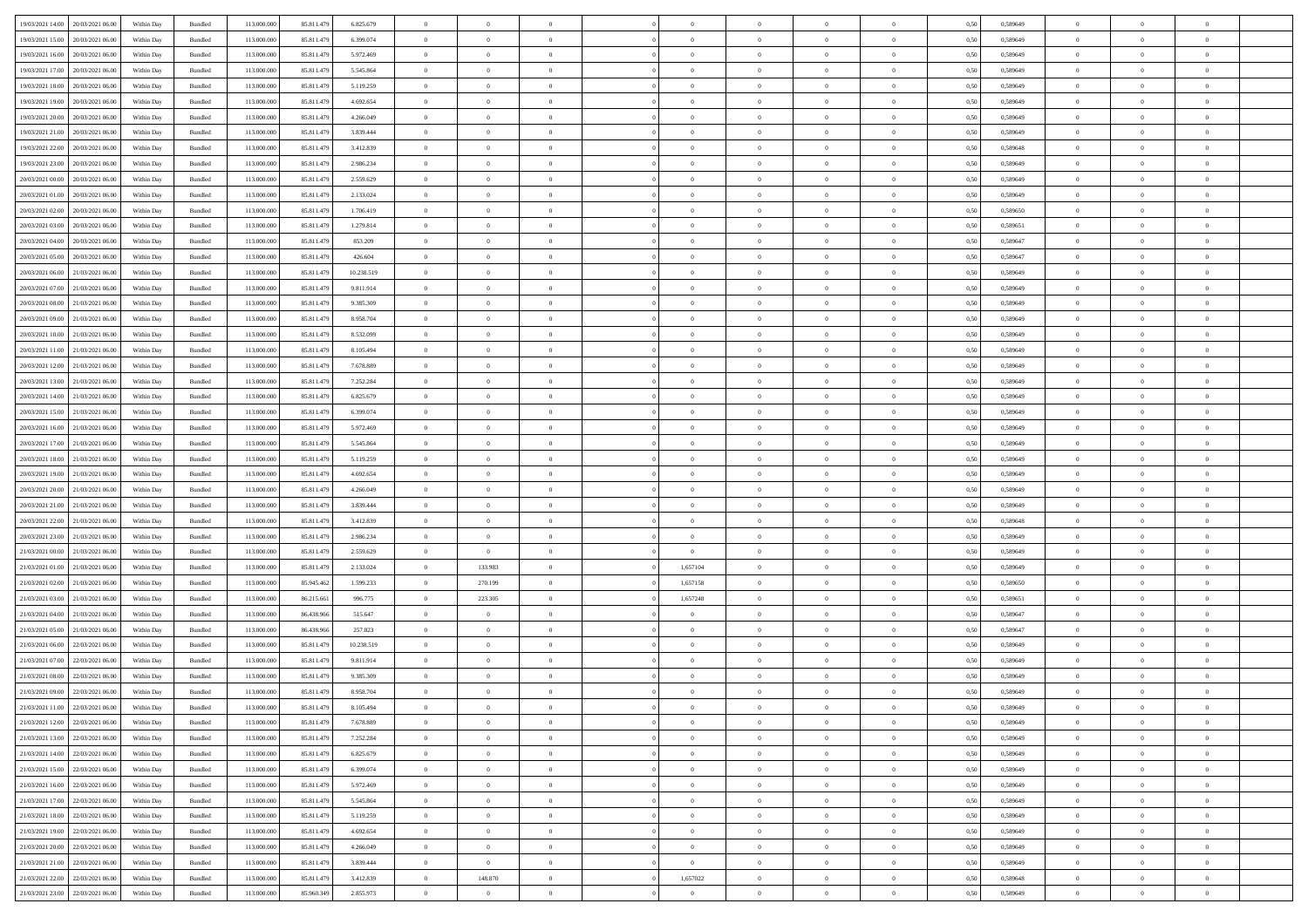| 19/03/2021 14:00                  | 20/03/2021 06:00 | Within Day | Bundled            | 113.000.000 | 85.811.479 | 6.825.679  | $\overline{0}$ | $\theta$       |                | $\overline{0}$ | $\bf{0}$       | $\overline{0}$ | $\theta$       | 0,50 | 0,589649 | $\theta$       | $\theta$       | $\theta$                 |  |
|-----------------------------------|------------------|------------|--------------------|-------------|------------|------------|----------------|----------------|----------------|----------------|----------------|----------------|----------------|------|----------|----------------|----------------|--------------------------|--|
| 19/03/2021 15:00                  | 20/03/2021 06:00 | Within Day | Bundled            | 113.000.000 | 85.811.479 | 6.399.074  | $\overline{0}$ | $\overline{0}$ | $\overline{0}$ | $\overline{0}$ | $\,$ 0         | $\bf{0}$       | $\bf{0}$       | 0,50 | 0,589649 | $\,$ 0 $\,$    | $\overline{0}$ | $\overline{0}$           |  |
|                                   |                  |            |                    |             |            |            |                |                |                |                |                |                |                |      |          |                |                |                          |  |
| 19/03/2021 16:00                  | 20/03/2021 06:00 | Within Day | Bundled            | 113.000.000 | 85.811.479 | 5.972.469  | $\overline{0}$ | $\overline{0}$ | $\overline{0}$ | $\overline{0}$ | $\bf{0}$       | $\overline{0}$ | $\mathbf{0}$   | 0.50 | 0.589649 | $\bf{0}$       | $\overline{0}$ | $\overline{0}$           |  |
| 19/03/2021 17:00                  | 20/03/2021 06:00 | Within Day | Bundled            | 113.000.000 | 85.811.479 | 5.545.864  | $\overline{0}$ | $\overline{0}$ | $\overline{0}$ | $\overline{0}$ | $\,$ 0         | $\overline{0}$ | $\overline{0}$ | 0,50 | 0,589649 | $\,$ 0 $\,$    | $\overline{0}$ | $\overline{0}$           |  |
| 19/03/2021 18:00                  | 20/03/2021 06:00 | Within Day | Bundled            | 113.000.000 | 85.811.479 | 5.119.259  | $\overline{0}$ | $\theta$       | $\overline{0}$ |                | $\overline{0}$ | $\overline{0}$ | $\bf{0}$       | 0,50 | 0,589649 | $\,$ 0 $\,$    | $\overline{0}$ | $\overline{0}$           |  |
| 19/03/2021 19:00                  | 20/03/2021 06:00 | Within Day | Bundled            | 113,000,000 | 85.811.479 | 4.692.654  | $\overline{0}$ | $\overline{0}$ | $\overline{0}$ | $\overline{0}$ | $\bf{0}$       | $\overline{0}$ | $\bf{0}$       | 0.50 | 0.589649 | $\,0\,$        | $\theta$       | $\overline{0}$           |  |
| 19/03/2021 20:00                  | 20/03/2021 06:00 | Within Day | Bundled            | 113.000.000 | 85.811.479 | 4.266.049  | $\overline{0}$ | $\overline{0}$ | $\overline{0}$ | $\overline{0}$ | $\,$ 0         | $\overline{0}$ | $\overline{0}$ | 0,50 | 0,589649 | $\,$ 0 $\,$    | $\theta$       | $\overline{0}$           |  |
| 19/03/2021 21:00                  | 20/03/2021 06:00 | Within Day | Bundled            | 113.000.000 | 85.811.479 | 3.839.444  | $\overline{0}$ | $\theta$       | $\overline{0}$ | $\overline{0}$ | $\,$ 0         | $\overline{0}$ | $\bf{0}$       | 0,50 | 0,589649 | $\,$ 0 $\,$    | $\overline{0}$ | $\overline{0}$           |  |
| 19/03/2021 22:00                  | 20/03/2021 06:00 | Within Day | Bundled            | 113,000,000 | 85.811.479 | 3.412.839  | $\overline{0}$ | $\overline{0}$ | $\overline{0}$ | $\overline{0}$ | $\bf{0}$       | $\overline{0}$ | $\bf{0}$       | 0.50 | 0.589648 | $\,0\,$        | $\overline{0}$ | $\overline{\phantom{a}}$ |  |
| 19/03/2021 23:00                  | 20/03/2021 06:00 | Within Day | Bundled            | 113.000.000 | 85.811.479 | 2.986.234  | $\overline{0}$ | $\overline{0}$ | $\overline{0}$ | $\overline{0}$ | $\bf{0}$       | $\overline{0}$ | $\bf{0}$       | 0,50 | 0,589649 | $\,$ 0 $\,$    | $\overline{0}$ | $\overline{0}$           |  |
| 20/03/2021 00:00                  | 20/03/2021 06:00 | Within Day | Bundled            | 113.000.000 | 85.811.479 | 2.559.629  | $\bf{0}$       | $\theta$       | $\overline{0}$ | $\overline{0}$ | $\,$ 0         | $\overline{0}$ | $\bf{0}$       | 0,50 | 0,589649 | $\,$ 0 $\,$    | $\overline{0}$ | $\overline{0}$           |  |
| 20/03/2021 01:00                  | 20/03/2021 06:00 |            | Bundled            | 113,000,000 | 85.811.479 |            | $\overline{0}$ | $\overline{0}$ | $\overline{0}$ | $\overline{0}$ |                | $\overline{0}$ |                | 0.50 | 0.589649 | $\bf{0}$       | $\overline{0}$ | $\bf{0}$                 |  |
|                                   |                  | Within Day |                    |             |            | 2.133.024  |                |                |                |                | $\bf{0}$       |                | $\mathbf{0}$   |      |          |                |                |                          |  |
| 20/03/2021 02:00                  | 20/03/2021 06:00 | Within Day | Bundled            | 113.000.000 | 85.811.479 | 1.706.419  | $\overline{0}$ | $\overline{0}$ | $\overline{0}$ | $\overline{0}$ | $\bf{0}$       | $\overline{0}$ | $\overline{0}$ | 0,50 | 0,589650 | $\,$ 0 $\,$    | $\overline{0}$ | $\overline{0}$           |  |
| 20/03/2021 03:00                  | 20/03/2021 06:00 | Within Day | Bundled            | 113.000.000 | 85.811.479 | 1.279.814  | $\overline{0}$ | $\theta$       | $\overline{0}$ | $\overline{0}$ | $\bf{0}$       | $\overline{0}$ | $\bf{0}$       | 0,50 | 0,589651 | $\,$ 0 $\,$    | $\overline{0}$ | $\overline{0}$           |  |
| 20/03/2021 04:00                  | 20/03/2021 06:00 | Within Day | Bundled            | 113,000,000 | 85.811.479 | 853,209    | $\overline{0}$ | $\overline{0}$ | $\overline{0}$ | $\overline{0}$ | $\bf{0}$       | $\overline{0}$ | $\bf{0}$       | 0.50 | 0.589647 | $\,0\,$        | $\theta$       | $\overline{0}$           |  |
| 20/03/2021 05:00                  | 20/03/2021 06:00 | Within Day | Bundled            | 113.000.000 | 85.811.479 | 426.604    | $\overline{0}$ | $\overline{0}$ | $\overline{0}$ | $\overline{0}$ | $\bf{0}$       | $\overline{0}$ | $\overline{0}$ | 0,50 | 0,589647 | $\theta$       | $\theta$       | $\overline{0}$           |  |
| 20/03/2021 06:00                  | 21/03/2021 06.00 | Within Day | Bundled            | 113.000.000 | 85.811.479 | 10.238.519 | $\overline{0}$ | $\theta$       | $\overline{0}$ |                | $\,$ 0         | $\overline{0}$ | $\bf{0}$       | 0,50 | 0,589649 | $\,$ 0 $\,$    | $\overline{0}$ | $\overline{0}$           |  |
| 20/03/2021 07:00                  | 21/03/2021 06:00 | Within Day | Bundled            | 113,000,000 | 85.811.479 | 9.811.914  | $\overline{0}$ | $\overline{0}$ | $\overline{0}$ | $\overline{0}$ | $\bf{0}$       | $\overline{0}$ | $\bf{0}$       | 0.50 | 0.589649 | $\,0\,$        | $\overline{0}$ | $\overline{\phantom{a}}$ |  |
| 20/03/2021 08:00                  | 21/03/2021 06:00 | Within Day | Bundled            | 113.000.000 | 85.811.479 | 9.385.309  | $\overline{0}$ | $\overline{0}$ | $\overline{0}$ | $\overline{0}$ | $\bf{0}$       | $\overline{0}$ | $\bf{0}$       | 0,50 | 0,589649 | $\,$ 0 $\,$    | $\overline{0}$ | $\overline{0}$           |  |
| 20/03/2021 09:00                  | 21/03/2021 06.00 | Within Day | Bundled            | 113.000.000 | 85.811.479 | 8.958.704  | $\bf{0}$       | $\overline{0}$ | $\overline{0}$ | $\overline{0}$ | $\,$ 0         | $\overline{0}$ | $\bf{0}$       | 0,50 | 0,589649 | $\,$ 0 $\,$    | $\overline{0}$ | $\overline{0}$           |  |
| 20/03/2021 10:00                  | 21/03/2021 06:00 | Within Day | Bundled            | 113,000,000 | 85.811.479 | 8.532.099  | $\overline{0}$ | $\overline{0}$ | $\overline{0}$ | $\overline{0}$ | $\bf{0}$       | $\overline{0}$ | $\mathbf{0}$   | 0.50 | 0.589649 | $\bf{0}$       | $\overline{0}$ | $\bf{0}$                 |  |
| 20/03/2021 11:00                  | 21/03/2021 06:00 | Within Day | Bundled            | 113.000.000 | 85.811.479 | 8.105.494  | $\overline{0}$ | $\overline{0}$ | $\overline{0}$ | $\overline{0}$ | $\bf{0}$       | $\overline{0}$ | $\overline{0}$ | 0,50 | 0,589649 | $\theta$       | $\overline{0}$ | $\overline{0}$           |  |
|                                   |                  |            |                    |             |            |            |                |                |                |                |                |                |                |      |          |                |                |                          |  |
| 20/03/2021 12:00                  | 21/03/2021 06.00 | Within Day | Bundled            | 113.000.000 | 85.811.479 | 7.678.889  | $\overline{0}$ | $\theta$       | $\overline{0}$ | $\overline{0}$ | $\,$ 0         | $\overline{0}$ | $\bf{0}$       | 0,50 | 0,589649 | $\,$ 0 $\,$    | $\overline{0}$ | $\overline{0}$           |  |
| 20/03/2021 13:00                  | 21/03/2021 06:00 | Within Day | Bundled            | 113,000,000 | 85.811.479 | 7.252.284  | $\overline{0}$ | $\overline{0}$ | $\overline{0}$ | $\overline{0}$ | $\bf{0}$       | $\overline{0}$ | $\bf{0}$       | 0.50 | 0.589649 | $\,0\,$        | $\theta$       | $\overline{0}$           |  |
| 20/03/2021 14:00                  | 21/03/2021 06:00 | Within Day | Bundled            | 113.000.000 | 85.811.479 | 6.825.679  | $\overline{0}$ | $\overline{0}$ | $\overline{0}$ | $\overline{0}$ | $\bf{0}$       | $\overline{0}$ | $\overline{0}$ | 0,50 | 0,589649 | $\,$ 0 $\,$    | $\theta$       | $\overline{0}$           |  |
| 20/03/2021 15:00                  | 21/03/2021 06.00 | Within Day | Bundled            | 113.000.000 | 85.811.479 | 6.399.074  | $\overline{0}$ | $\theta$       | $\overline{0}$ |                | $\,$ 0         | $\overline{0}$ | $\bf{0}$       | 0,50 | 0,589649 | $\,$ 0 $\,$    | $\overline{0}$ | $\overline{0}$           |  |
| 20/03/2021 16:00                  | 21/03/2021 06:00 | Within Day | Bundled            | 113,000,000 | 85.811.479 | 5.972.469  | $\overline{0}$ | $\overline{0}$ | $\overline{0}$ | $\overline{0}$ | $\bf{0}$       | $\overline{0}$ | $\bf{0}$       | 0.50 | 0.589649 | $\,0\,$        | $\overline{0}$ | $\overline{\phantom{a}}$ |  |
| 20/03/2021 17:00                  | 21/03/2021 06:00 | Within Day | Bundled            | 113.000.000 | 85.811.479 | 5.545.864  | $\overline{0}$ | $\overline{0}$ | $\overline{0}$ | $\overline{0}$ | $\bf{0}$       | $\overline{0}$ | $\bf{0}$       | 0,50 | 0,589649 | $\,$ 0 $\,$    | $\overline{0}$ | $\overline{0}$           |  |
| 20/03/2021 18:00                  | 21/03/2021 06.00 | Within Day | Bundled            | 113.000.000 | 85.811.479 | 5.119.259  | $\overline{0}$ | $\overline{0}$ | $\overline{0}$ | $\overline{0}$ | $\bf{0}$       | $\bf{0}$       | $\bf{0}$       | 0,50 | 0,589649 | $\,$ 0 $\,$    | $\overline{0}$ | $\overline{0}$           |  |
| 20/03/2021 19:00                  | 21/03/2021 06:00 | Within Day | Bundled            | 113,000,000 | 85.811.479 | 4.692.654  | $\overline{0}$ | $\bf{0}$       | $\overline{0}$ | $\overline{0}$ | $\bf{0}$       | $\overline{0}$ | $\mathbf{0}$   | 0.50 | 0.589649 | $\bf{0}$       | $\overline{0}$ | $\bf{0}$                 |  |
| 20/03/2021 20:00                  | 21/03/2021 06:00 | Within Dav | Bundled            | 113.000.000 | 85.811.479 | 4.266.049  | $\overline{0}$ | $\overline{0}$ | $\overline{0}$ | $\overline{0}$ | $\overline{0}$ | $\overline{0}$ | $\overline{0}$ | 0.50 | 0.589649 | $\theta$       | $\overline{0}$ | $\overline{0}$           |  |
| 20/03/2021 21:00                  | 21/03/2021 06.00 | Within Day | Bundled            | 113.000.000 | 85.811.479 | 3.839.444  | $\overline{0}$ | $\theta$       | $\overline{0}$ | $\overline{0}$ | $\,$ 0         | $\overline{0}$ | $\bf{0}$       | 0,50 | 0,589649 | $\,$ 0 $\,$    | $\overline{0}$ | $\overline{0}$           |  |
| 20/03/2021 22:00                  | 21/03/2021 06:00 |            |                    | 113,000,000 | 85.811.479 | 3.412.839  |                | $\overline{0}$ | $\overline{0}$ | $\overline{0}$ | $\bf{0}$       | $\overline{0}$ |                | 0.50 | 0.589648 | $\,0\,$        | $\overline{0}$ | $\overline{0}$           |  |
|                                   |                  | Within Day | Bundled            |             |            |            | $\overline{0}$ |                |                |                |                |                | $\bf{0}$       |      |          |                |                |                          |  |
| 20/03/2021 23:00                  | 21/03/2021 06:00 | Within Dav | Bundled            | 113.000.000 | 85.811.479 | 2.986.234  | $\overline{0}$ | $\overline{0}$ | $\Omega$       | $\Omega$       | $\mathbf{0}$   | $\overline{0}$ | $\overline{0}$ | 0.50 | 0.589649 | $\theta$       | $\overline{0}$ | $\overline{0}$           |  |
| 21/03/2021 00:00                  | 21/03/2021 06.00 | Within Day | Bundled            | 113.000.000 | 85.811.479 | 2.559.629  | $\overline{0}$ | $\overline{0}$ | $\overline{0}$ | $\overline{0}$ | $\,$ 0         | $\overline{0}$ | $\bf{0}$       | 0,50 | 0,589649 | $\,$ 0 $\,$    | $\overline{0}$ | $\overline{0}$           |  |
| 21/03/2021 01:00                  | 21/03/2021 06:00 | Within Day | Bundled            | 113,000,000 | 85.811.479 | 2.133.024  | $\overline{0}$ | 133,983        | $\overline{0}$ | 1.657104       | $\bf{0}$       | $\overline{0}$ | $\bf{0}$       | 0.50 | 0.589649 | $\,0\,$        | $\overline{0}$ | $\overline{\phantom{a}}$ |  |
| 21/03/2021 02:00                  | 21/03/2021 06:00 | Within Dav | Bundled            | 113.000.000 | 85.945.462 | 1.599.233  | $\overline{0}$ | 270.199        | $\overline{0}$ | 1,657158       | $\overline{0}$ | $\overline{0}$ | $\overline{0}$ | 0.50 | 0,589650 | $\theta$       | $\overline{0}$ | $\overline{0}$           |  |
| 21/03/2021 03:00                  | 21/03/2021 06.00 | Within Day | Bundled            | 113.000.000 | 86.215.661 | 996.775    | $\overline{0}$ | 223.305        | $\overline{0}$ | 1,657248       | $\bf{0}$       | $\bf{0}$       | $\bf{0}$       | 0,50 | 0,589651 | $\,$ 0 $\,$    | $\overline{0}$ | $\overline{0}$           |  |
| 21/03/2021 04:00                  | 21/03/2021 06:00 | Within Day | Bundled            | 113,000,000 | 86,438,966 | 515.647    | $\overline{0}$ | $\overline{0}$ | $\overline{0}$ | $\overline{0}$ | $\bf{0}$       | $\overline{0}$ | $\mathbf{0}$   | 0.50 | 0.589647 | $\,$ 0 $\,$    | $\overline{0}$ | $\overline{\phantom{a}}$ |  |
| 21/03/2021 05:00                  | 21/03/2021 06:00 | Within Dav | Bundled            | 113.000.000 | 86.438.966 | 257.823    | $\overline{0}$ | $\overline{0}$ | $\Omega$       | $\overline{0}$ | $\mathbf{0}$   | $\overline{0}$ | $\overline{0}$ | 0.50 | 0.589647 | $\theta$       | $\overline{0}$ | $\overline{0}$           |  |
| 21/03/2021 06:00                  | 22/03/2021 06.00 | Within Day | Bundled            | 113.000.000 | 85.811.479 | 10.238.519 | $\overline{0}$ | $\overline{0}$ | $\overline{0}$ | $\overline{0}$ | $\,$ 0         | $\overline{0}$ | $\bf{0}$       | 0,50 | 0,589649 | $\,$ 0 $\,$    | $\overline{0}$ | $\overline{0}$           |  |
| 21/03/2021 07:00                  | 22/03/2021 06:00 | Within Day | Bundled            | 113.000.000 | 85.811.479 | 9.811.914  | $\overline{0}$ | $\overline{0}$ | $\overline{0}$ | $\overline{0}$ | $\bf{0}$       | $\overline{0}$ | $\overline{0}$ | 0.50 | 0.589649 | $\,0\,$        | $\theta$       | $\overline{0}$           |  |
| 21/03/2021 08:00                  | 22/03/2021 06:00 | Within Dav | Bundled            | 113.000.000 | 85.811.479 | 9.385.309  | $\overline{0}$ | $\Omega$       | $\Omega$       | $\Omega$       | $\bf{0}$       | $\overline{0}$ | $\overline{0}$ | 0.50 | 0.589649 | $\theta$       | $\overline{0}$ | $\overline{0}$           |  |
| 21/03/2021 09:00                  | 22/03/2021 06:00 | Within Day | Bundled            | 113.000.000 | 85.811.479 | 8.958.704  | $\overline{0}$ | $\overline{0}$ | $\overline{0}$ | $\bf{0}$       | $\,$ 0         | $\bf{0}$       | $\bf{0}$       | 0,50 | 0,589649 | $\,$ 0 $\,$    | $\overline{0}$ | $\overline{0}$           |  |
|                                   |                  |            |                    |             |            | 8 105 494  |                |                |                |                |                |                |                |      | 0.589649 |                |                |                          |  |
| 21/03/2021 11:00                  | 22/03/2021 06:00 | Within Day | $\mathbf B$ undled | 113.000.000 | 85.811.479 |            | $\bf{0}$       | $\theta$       |                | $^{\circ}$     |                |                |                | 0,50 |          | $\,0\,$        | $\theta$       |                          |  |
| 21/03/2021 12:00                  | 22/03/2021 06:00 | Within Day | Bundled            | 113.000.000 | 85.811.479 | 7.678.889  | $\Omega$       | $\overline{0}$ | $\Omega$       | $\Omega$       | $\mathbf{0}$   | $\overline{0}$ | $\mathbf{0}$   | 0.50 | 0,589649 | $\theta$       | $\theta$       | $\overline{0}$           |  |
| 21/03/2021 13:00                  | 22/03/2021 06:00 | Within Day | Bundled            | 113.000.000 | 85.811.479 | 7.252.284  | $\overline{0}$ | $\bf{0}$       | $\overline{0}$ | $\bf{0}$       | $\overline{0}$ | $\overline{0}$ | $\mathbf{0}$   | 0,50 | 0,589649 | $\bf{0}$       | $\overline{0}$ | $\bf{0}$                 |  |
| 21/03/2021 14:00                  | 22/03/2021 06:00 | Within Day | Bundled            | 113,000,000 | 85.811.479 | 6.825.679  | $\overline{0}$ | $\overline{0}$ | $\overline{0}$ | $\overline{0}$ | $\overline{0}$ | $\overline{0}$ | $\mathbf{0}$   | 0.50 | 0.589649 | $\overline{0}$ | $\bf{0}$       | $\bf{0}$                 |  |
| 21/03/2021 15:00                  | 22/03/2021 06:00 | Within Day | Bundled            | 113.000.000 | 85.811.479 | 6.399.074  | $\overline{0}$ | $\overline{0}$ | $\overline{0}$ | $\overline{0}$ | $\overline{0}$ | $\overline{0}$ | $\mathbf{0}$   | 0.50 | 0,589649 | $\overline{0}$ | $\theta$       | $\overline{0}$           |  |
| 21/03/2021 16:00                  | 22/03/2021 06:00 | Within Day | Bundled            | 113.000.000 | 85.811.479 | 5.972.469  | $\overline{0}$ | $\overline{0}$ | $\overline{0}$ | $\overline{0}$ | $\bf{0}$       | $\bf{0}$       | $\bf{0}$       | 0,50 | 0,589649 | $\bf{0}$       | $\overline{0}$ | $\overline{0}$           |  |
| 21/03/2021 17:00                  | 22/03/2021 06:00 | Within Day | Bundled            | 113.000.000 | 85.811.479 | 5.545.864  | $\overline{0}$ | $\overline{0}$ | $\overline{0}$ | $\overline{0}$ | $\bf{0}$       | $\overline{0}$ | $\mathbf{0}$   | 0.50 | 0.589649 | $\,$ 0 $\,$    | $\overline{0}$ | $\overline{0}$           |  |
| 21/03/2021 18:00                  | 22/03/2021 06:00 | Within Day | Bundled            | 113.000.000 | 85.811.479 | 5.119.259  | $\overline{0}$ | $\overline{0}$ | $\overline{0}$ | $\overline{0}$ | $\overline{0}$ | $\overline{0}$ | $\overline{0}$ | 0,50 | 0.589649 | $\overline{0}$ | $\theta$       | $\overline{0}$           |  |
| 21/03/2021 19:00                  | 22/03/2021 06:00 | Within Day | Bundled            | 113.000.000 | 85.811.479 | 4.692.654  | $\overline{0}$ | $\,$ 0         | $\overline{0}$ | $\bf{0}$       | $\,$ 0 $\,$    | $\bf{0}$       | $\bf{0}$       | 0,50 | 0,589649 | $\,$ 0 $\,$    | $\overline{0}$ | $\overline{0}$           |  |
| 21/03/2021 20:00                  | 22/03/2021 06:00 | Within Day | Bundled            | 113,000,000 | 85.811.479 | 4.266.049  | $\overline{0}$ | $\overline{0}$ |                | $\overline{0}$ | $\bf{0}$       | $\overline{0}$ |                | 0.50 | 0.589649 | $\mathbf{0}$   | $\bf{0}$       | $\overline{0}$           |  |
|                                   |                  |            |                    |             |            |            |                |                | $\overline{0}$ |                |                |                | $\mathbf{0}$   |      |          |                |                |                          |  |
| 21/03/2021 21:00                  | 22/03/2021 06:00 | Within Dav | Bundled            | 113.000.000 | 85.811.479 | 3.839.444  | $\overline{0}$ | $\overline{0}$ | $\overline{0}$ | $\overline{0}$ | $\overline{0}$ | $\overline{0}$ | $\overline{0}$ | 0,50 | 0.589649 | $\overline{0}$ | $\theta$       | $\overline{0}$           |  |
| 21/03/2021 22:00                  | 22/03/2021 06:00 | Within Day | Bundled            | 113.000.000 | 85.811.479 | 3.412.839  | $\overline{0}$ | 148.870        | $\overline{0}$ | 1,657022       | $\bf{0}$       | $\bf{0}$       | $\bf{0}$       | 0,50 | 0,589648 | $\bf{0}$       | $\overline{0}$ | $\bf{0}$                 |  |
| 21/03/2021 23.00 22/03/2021 06:00 |                  | Within Day | Bundled            | 113.000.000 | 85.960.349 | 2.855.973  | $\overline{0}$ | $\overline{0}$ | $\overline{0}$ | $\overline{0}$ | $\bf{0}$       | $\overline{0}$ | $\,$ 0 $\,$    | 0,50 | 0,589649 | $\overline{0}$ | $\,$ 0 $\,$    | $\,$ 0 $\,$              |  |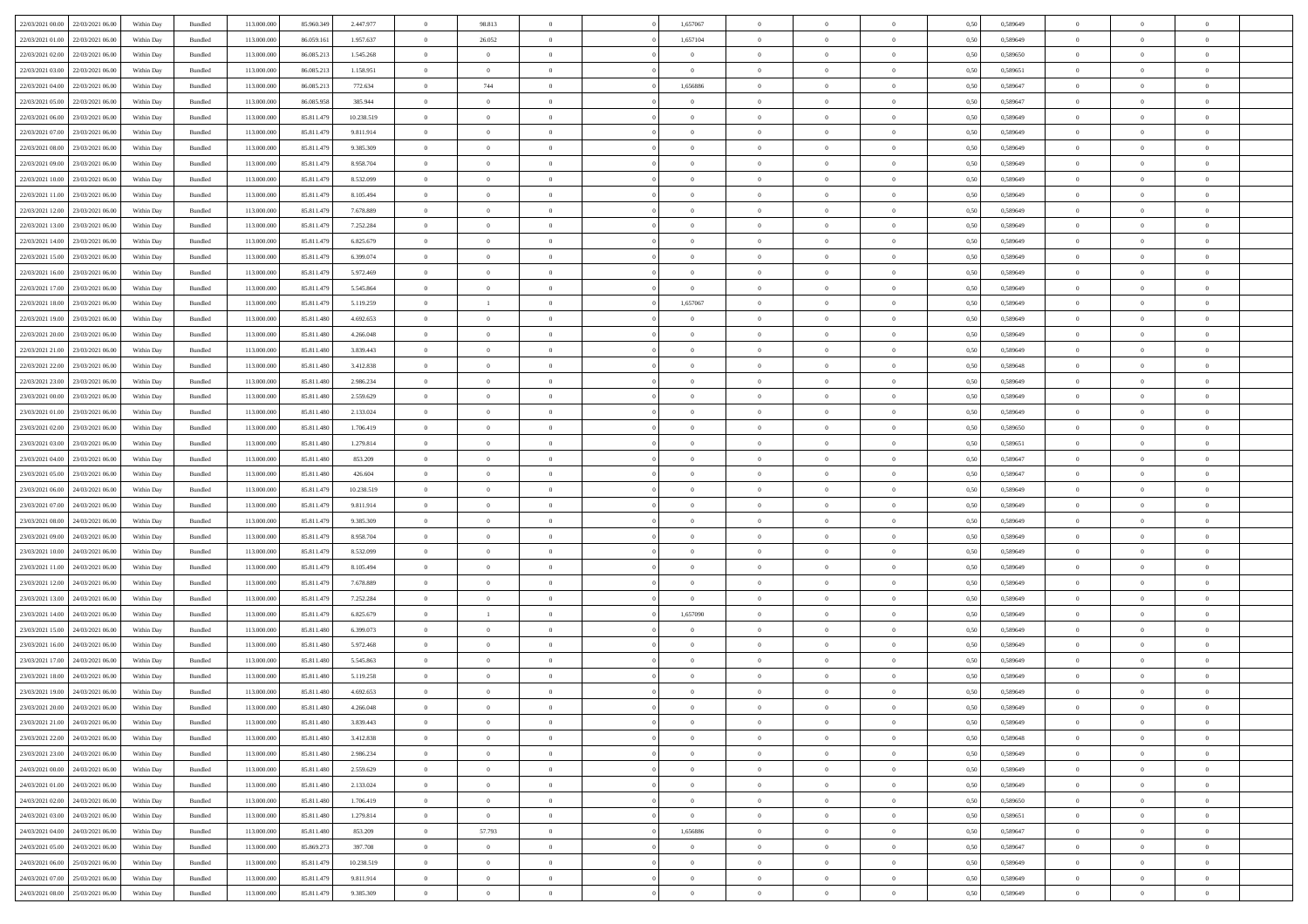| 22/03/2021 00:00 22/03/2021 06:00 |                                   | Within Day | Bundled | 113.000.000 | 85.960.349 | 2.447.977  | $\overline{0}$ | 98.813         |                | 1,657067       | $\bf{0}$       | $\overline{0}$ | $\theta$       | 0,50 | 0,589649 | $\theta$       | $\theta$       | $\overline{0}$           |  |
|-----------------------------------|-----------------------------------|------------|---------|-------------|------------|------------|----------------|----------------|----------------|----------------|----------------|----------------|----------------|------|----------|----------------|----------------|--------------------------|--|
| 22/03/2021 01:00                  | 22/03/2021 06.00                  | Within Day | Bundled | 113.000.000 | 86.059.161 | 1.957.637  | $\overline{0}$ | 26.052         | $\overline{0}$ | 1,657104       | $\,$ 0         | $\bf{0}$       | $\bf{0}$       | 0,50 | 0,589649 | $\,$ 0 $\,$    | $\overline{0}$ | $\overline{0}$           |  |
|                                   |                                   |            |         |             |            |            |                |                |                |                |                |                |                |      |          |                |                |                          |  |
| 22/03/2021 02:00                  | 22/03/2021 06:00                  | Within Day | Bundled | 113,000,000 | 86.085.213 | 1.545.268  | $\overline{0}$ | $\overline{0}$ | $\overline{0}$ | $\overline{0}$ | $\bf{0}$       | $\overline{0}$ | $\mathbf{0}$   | 0.50 | 0.589650 | $\bf{0}$       | $\overline{0}$ | $\overline{0}$           |  |
| 22/03/2021 03:00                  | 22/03/2021 06:00                  | Within Day | Bundled | 113.000.000 | 86.085.213 | 1.158.951  | $\overline{0}$ | $\overline{0}$ | $\overline{0}$ | $\overline{0}$ | $\bf{0}$       | $\overline{0}$ | $\overline{0}$ | 0,50 | 0,589651 | $\,$ 0 $\,$    | $\overline{0}$ | $\overline{0}$           |  |
| 22/03/2021 04:00                  | 22/03/2021 06.00                  | Within Day | Bundled | 113.000.000 | 86.085.213 | 772.634    | $\overline{0}$ | 744            | $\overline{0}$ | 1,656886       | $\overline{0}$ | $\overline{0}$ | $\bf{0}$       | 0,50 | 0,589647 | $\,$ 0 $\,$    | $\overline{0}$ | $\overline{0}$           |  |
| 22/03/2021 05:00                  | 22/03/2021 06:00                  | Within Day | Bundled | 113,000,000 | 86,085,958 | 385,944    | $\overline{0}$ | $\overline{0}$ | $\overline{0}$ | $\overline{0}$ | $\bf{0}$       | $\overline{0}$ | $\bf{0}$       | 0.50 | 0.589647 | $\,0\,$        | $\theta$       | $\overline{0}$           |  |
| 22/03/2021 06:00                  | 23/03/2021 06:00                  | Within Day | Bundled | 113.000.000 | 85.811.479 | 10.238.519 | $\overline{0}$ | $\overline{0}$ | $\overline{0}$ | $\overline{0}$ | $\bf{0}$       | $\overline{0}$ | $\overline{0}$ | 0,50 | 0,589649 | $\,0\,$        | $\theta$       | $\overline{0}$           |  |
| 22/03/2021 07:00                  | 23/03/2021 06:00                  | Within Day | Bundled | 113.000.000 | 85.811.479 | 9.811.914  | $\overline{0}$ | $\theta$       | $\overline{0}$ | $\overline{0}$ | $\bf{0}$       | $\bf{0}$       | $\bf{0}$       | 0,50 | 0,589649 | $\,$ 0 $\,$    | $\overline{0}$ | $\overline{0}$           |  |
| 22/03/2021 08:00                  | 23/03/2021 06:00                  | Within Day | Bundled | 113,000,000 | 85.811.479 | 9.385.309  | $\overline{0}$ | $\overline{0}$ | $\overline{0}$ | $\overline{0}$ | $\bf{0}$       | $\overline{0}$ | $\bf{0}$       | 0.50 | 0.589649 | $\,0\,$        | $\overline{0}$ | $\overline{0}$           |  |
| 22/03/2021 09:00                  | 23/03/2021 06:00                  | Within Day | Bundled | 113.000.000 | 85.811.479 | 8.958.704  | $\overline{0}$ | $\overline{0}$ | $\overline{0}$ | $\overline{0}$ | $\bf{0}$       | $\overline{0}$ | $\bf{0}$       | 0,50 | 0,589649 | $\,$ 0 $\,$    | $\overline{0}$ | $\overline{0}$           |  |
| 22/03/2021 10:00                  | 23/03/2021 06.00                  | Within Day | Bundled | 113.000.000 | 85.811.479 | 8.532.099  | $\bf{0}$       | $\theta$       | $\overline{0}$ | $\overline{0}$ | $\,$ 0         | $\bf{0}$       | $\bf{0}$       | 0,50 | 0,589649 | $\,$ 0 $\,$    | $\overline{0}$ | $\overline{0}$           |  |
|                                   |                                   |            |         |             |            |            |                |                |                |                |                |                |                |      |          |                |                |                          |  |
| 22/03/2021 11:00                  | 23/03/2021 06:00                  | Within Day | Bundled | 113,000,000 | 85.811.479 | 8.105.494  | $\overline{0}$ | $\overline{0}$ | $\overline{0}$ | $\overline{0}$ | $\bf{0}$       | $\overline{0}$ | $\mathbf{0}$   | 0.50 | 0.589649 | $\bf{0}$       | $\overline{0}$ | $\bf{0}$                 |  |
| 22/03/2021 12:00                  | 23/03/2021 06:00                  | Within Day | Bundled | 113.000.000 | 85.811.479 | 7.678.889  | $\overline{0}$ | $\overline{0}$ | $\overline{0}$ | $\overline{0}$ | $\,$ 0         | $\overline{0}$ | $\overline{0}$ | 0,50 | 0,589649 | $\,$ 0 $\,$    | $\overline{0}$ | $\overline{0}$           |  |
| 22/03/2021 13:00                  | 23/03/2021 06.00                  | Within Day | Bundled | 113.000.000 | 85.811.479 | 7.252.284  | $\overline{0}$ | $\theta$       | $\overline{0}$ | $\overline{0}$ | $\bf{0}$       | $\overline{0}$ | $\bf{0}$       | 0,50 | 0,589649 | $\,$ 0 $\,$    | $\overline{0}$ | $\overline{0}$           |  |
| 22/03/2021 14:00                  | 23/03/2021 06:00                  | Within Day | Bundled | 113,000,000 | 85.811.479 | 6.825.679  | $\overline{0}$ | $\overline{0}$ | $\overline{0}$ | $\overline{0}$ | $\bf{0}$       | $\overline{0}$ | $\bf{0}$       | 0.50 | 0.589649 | $\,0\,$        | $\theta$       | $\overline{0}$           |  |
| 22/03/2021 15:00                  | 23/03/2021 06:00                  | Within Day | Bundled | 113.000.000 | 85.811.479 | 6.399.074  | $\overline{0}$ | $\overline{0}$ | $\overline{0}$ | $\overline{0}$ | $\bf{0}$       | $\overline{0}$ | $\overline{0}$ | 0,50 | 0,589649 | $\theta$       | $\theta$       | $\overline{0}$           |  |
| 22/03/2021 16:00                  | 23/03/2021 06.00                  | Within Day | Bundled | 113.000.000 | 85.811.479 | 5.972.469  | $\overline{0}$ | $\theta$       | $\overline{0}$ |                | $\,$ 0         | $\overline{0}$ | $\bf{0}$       | 0,50 | 0,589649 | $\,$ 0 $\,$    | $\overline{0}$ | $\overline{0}$           |  |
| 22/03/2021 17:00                  | 23/03/2021 06:00                  | Within Day | Bundled | 113,000,000 | 85.811.479 | 5.545.864  | $\overline{0}$ | $\overline{0}$ | $\overline{0}$ | $\overline{0}$ | $\bf{0}$       | $\overline{0}$ | $\bf{0}$       | 0.50 | 0.589649 | $\,0\,$        | $\overline{0}$ | $\overline{\phantom{a}}$ |  |
| 22/03/2021 18:00                  | 23/03/2021 06:00                  | Within Day | Bundled | 113.000.000 | 85.811.479 | 5.119.259  | $\overline{0}$ | $\mathbf{1}$   | $\overline{0}$ | 1,657067       | $\bf{0}$       | $\overline{0}$ | $\bf{0}$       | 0,50 | 0,589649 | $\,$ 0 $\,$    | $\overline{0}$ | $\overline{0}$           |  |
|                                   | 23/03/2021 06.00                  | Within Day | Bundled | 113.000.000 | 85.811.480 | 4.692.653  | $\bf{0}$       | $\overline{0}$ | $\overline{0}$ |                | $\bf{0}$       | $\bf{0}$       | $\bf{0}$       | 0,50 | 0,589649 | $\,$ 0 $\,$    | $\overline{0}$ | $\overline{0}$           |  |
| 22/03/2021 19:00                  |                                   |            |         |             |            |            |                |                |                |                |                |                |                |      |          |                |                |                          |  |
| 22/03/2021 20:00                  | 23/03/2021 06:00                  | Within Day | Bundled | 113,000,000 | 85.811.480 | 4.266.048  | $\overline{0}$ | $\overline{0}$ | $\overline{0}$ | $\overline{0}$ | $\bf{0}$       | $\overline{0}$ | $\mathbf{0}$   | 0.50 | 0.589649 | $\,$ 0 $\,$    | $\overline{0}$ | $\overline{\phantom{a}}$ |  |
| 22/03/2021 21:00                  | 23/03/2021 06:00                  | Within Day | Bundled | 113.000.000 | 85.811.480 | 3.839.443  | $\overline{0}$ | $\overline{0}$ | $\overline{0}$ | $\overline{0}$ | $\bf{0}$       | $\overline{0}$ | $\overline{0}$ | 0,50 | 0,589649 | $\,$ 0 $\,$    | $\overline{0}$ | $\overline{0}$           |  |
| 22/03/2021 22:00                  | 23/03/2021 06.00                  | Within Day | Bundled | 113.000.000 | 85.811.480 | 3.412.838  | $\overline{0}$ | $\theta$       | $\overline{0}$ | $\overline{0}$ | $\,$ 0         | $\overline{0}$ | $\bf{0}$       | 0,50 | 0,589648 | $\,$ 0 $\,$    | $\overline{0}$ | $\overline{0}$           |  |
| 22/03/2021 23:00                  | 23/03/2021 06:00                  | Within Day | Bundled | 113,000,000 | 85.811.480 | 2.986.234  | $\overline{0}$ | $\overline{0}$ | $\overline{0}$ | $\overline{0}$ | $\bf{0}$       | $\overline{0}$ | $\bf{0}$       | 0.50 | 0.589649 | $\,0\,$        | $\theta$       | $\overline{0}$           |  |
| 23/03/2021 00:00                  | 23/03/2021 06:00                  | Within Day | Bundled | 113.000.000 | 85.811.480 | 2.559.629  | $\overline{0}$ | $\overline{0}$ | $\overline{0}$ | $\overline{0}$ | $\,$ 0         | $\overline{0}$ | $\overline{0}$ | 0,50 | 0,589649 | $\,0\,$        | $\theta$       | $\overline{0}$           |  |
| 23/03/2021 01:00                  | 23/03/2021 06:00                  | Within Day | Bundled | 113.000.000 | 85.811.480 | 2.133.024  | $\overline{0}$ | $\theta$       | $\overline{0}$ |                | $\,$ 0         | $\overline{0}$ | $\bf{0}$       | 0,50 | 0,589649 | $\,$ 0 $\,$    | $\overline{0}$ | $\overline{0}$           |  |
| 23/03/2021 02:00                  | 23/03/2021 06:00                  | Within Day | Bundled | 113,000,000 | 85.811.480 | 1.706.419  | $\overline{0}$ | $\overline{0}$ | $\overline{0}$ | $\overline{0}$ | $\bf{0}$       | $\overline{0}$ | $\bf{0}$       | 0.50 | 0.589650 | $\,0\,$        | $\overline{0}$ | $\overline{\phantom{a}}$ |  |
| 23/03/2021 03:00                  | 23/03/2021 06:00                  | Within Day | Bundled | 113.000.000 | 85.811.480 | 1.279.814  | $\overline{0}$ | $\overline{0}$ | $\overline{0}$ | $\overline{0}$ | $\bf{0}$       | $\overline{0}$ | $\bf{0}$       | 0,50 | 0,589651 | $\,$ 0 $\,$    | $\overline{0}$ | $\overline{0}$           |  |
|                                   |                                   |            |         |             |            |            |                |                |                |                |                |                |                |      |          |                |                |                          |  |
| 23/03/2021 04:00                  | 23/03/2021 06.00                  | Within Day | Bundled | 113.000.000 | 85.811.480 | 853.209    | $\overline{0}$ | $\overline{0}$ | $\overline{0}$ | $\overline{0}$ | $\bf{0}$       | $\bf{0}$       | $\bf{0}$       | 0,50 | 0,589647 | $\,$ 0 $\,$    | $\overline{0}$ | $\overline{0}$           |  |
| 23/03/2021 05:00                  | 23/03/2021 06:00                  | Within Day | Bundled | 113,000,000 | 85.811.480 | 426,604    | $\overline{0}$ | $\bf{0}$       | $\overline{0}$ | $\overline{0}$ | $\bf{0}$       | $\overline{0}$ | $\mathbf{0}$   | 0.50 | 0.589647 | $\bf{0}$       | $\overline{0}$ | $\bf{0}$                 |  |
| 23/03/2021 06:00                  | 24/03/2021 06:00                  | Within Dav | Bundled | 113.000.000 | 85.811.479 | 10.238.519 | $\overline{0}$ | $\overline{0}$ | $\overline{0}$ | $\overline{0}$ | $\overline{0}$ | $\overline{0}$ | $\overline{0}$ | 0.50 | 0.589649 | $\theta$       | $\overline{0}$ | $\overline{0}$           |  |
| 23/03/2021 07:00                  | 24/03/2021 06.00                  | Within Day | Bundled | 113.000.000 | 85.811.479 | 9.811.914  | $\overline{0}$ | $\theta$       | $\overline{0}$ | $\overline{0}$ | $\,$ 0         | $\overline{0}$ | $\bf{0}$       | 0,50 | 0,589649 | $\,$ 0 $\,$    | $\overline{0}$ | $\overline{0}$           |  |
| 23/03/2021 08:00                  | 24/03/2021 06:00                  | Within Day | Bundled | 113,000,000 | 85.811.479 | 9.385.309  | $\overline{0}$ | $\overline{0}$ | $\overline{0}$ | $\overline{0}$ | $\bf{0}$       | $\overline{0}$ | $\bf{0}$       | 0.50 | 0.589649 | $\,0\,$        | $\overline{0}$ | $\overline{0}$           |  |
| 23/03/2021 09:00                  | 24/03/2021 06:00                  | Within Dav | Bundled | 113.000.000 | 85.811.479 | 8.958.704  | $\overline{0}$ | $\overline{0}$ | $\Omega$       | $\Omega$       | $\mathbf{0}$   | $\overline{0}$ | $\overline{0}$ | 0.50 | 0.589649 | $\theta$       | $\overline{0}$ | $\overline{0}$           |  |
| 23/03/2021 10:00                  | 24/03/2021 06.00                  | Within Day | Bundled | 113.000.000 | 85.811.479 | 8.532.099  | $\overline{0}$ | $\theta$       | $\overline{0}$ | $\overline{0}$ | $\,$ 0         | $\overline{0}$ | $\bf{0}$       | 0,50 | 0,589649 | $\,$ 0 $\,$    | $\overline{0}$ | $\overline{0}$           |  |
| 23/03/2021 11:00                  | 24/03/2021 06:00                  | Within Day | Bundled | 113,000,000 | 85.811.479 | 8.105.494  | $\overline{0}$ | $\overline{0}$ | $\overline{0}$ | $\overline{0}$ | $\bf{0}$       | $\overline{0}$ | $\bf{0}$       | 0.50 | 0.589649 | $\,0\,$        | $\overline{0}$ | $\overline{\phantom{a}}$ |  |
| 23/03/2021 12:00                  | 24/03/2021 06:00                  | Within Dav | Bundled | 113.000.000 | 85.811.479 | 7.678.889  | $\overline{0}$ | $\overline{0}$ | $\overline{0}$ | $\overline{0}$ | $\overline{0}$ | $\overline{0}$ | $\overline{0}$ | 0.50 | 0.589649 | $\theta$       | $\overline{0}$ | $\overline{0}$           |  |
| 23/03/2021 13:00                  | 24/03/2021 06.00                  | Within Day | Bundled | 113.000.000 | 85.811.479 | 7.252.284  | $\bf{0}$       | $\overline{0}$ | $\overline{0}$ | $\bf{0}$       | $\bf{0}$       | $\bf{0}$       | $\bf{0}$       | 0,50 | 0,589649 | $\,$ 0 $\,$    | $\overline{0}$ | $\overline{0}$           |  |
|                                   |                                   |            |         |             |            |            |                |                |                |                |                |                |                |      |          |                |                |                          |  |
| 23/03/2021 14:00                  | 24/03/2021 06:00                  | Within Day | Bundled | 113,000,000 | 85.811.479 | 6.825.679  | $\overline{0}$ | -1             | $\overline{0}$ | 1,657090       | $\bf{0}$       | $\overline{0}$ | $\mathbf{0}$   | 0.50 | 0.589649 | $\,$ 0 $\,$    | $\overline{0}$ | $\overline{\phantom{a}}$ |  |
| 23/03/2021 15:00                  | 24/03/2021 06:00                  | Within Dav | Bundled | 113.000.000 | 85.811.480 | 6.399.073  | $\overline{0}$ | $\overline{0}$ | $\Omega$       | $\overline{0}$ | $\overline{0}$ | $\overline{0}$ | $\mathbf{0}$   | 0.50 | 0.589649 | $\theta$       | $\overline{0}$ | $\overline{0}$           |  |
| 23/03/2021 16:00                  | 24/03/2021 06.00                  | Within Day | Bundled | 113.000.000 | 85.811.480 | 5.972.468  | $\overline{0}$ | $\overline{0}$ | $\overline{0}$ | $\overline{0}$ | $\bf{0}$       | $\overline{0}$ | $\bf{0}$       | 0,50 | 0,589649 | $\,$ 0 $\,$    | $\overline{0}$ | $\overline{0}$           |  |
| 23/03/2021 17:00                  | 24/03/2021 06:00                  | Within Day | Bundled | 113.000.000 | 85.811.480 | 5.545.863  | $\overline{0}$ | $\overline{0}$ | $\overline{0}$ | $\overline{0}$ | $\bf{0}$       | $\overline{0}$ | $\overline{0}$ | 0.50 | 0.589649 | $\,0\,$        | $\theta$       | $\overline{0}$           |  |
| 23/03/2021 18:00                  | 24/03/2021 06:00                  | Within Dav | Bundled | 113.000.000 | 85.811.480 | 5.119.258  | $\overline{0}$ | $\Omega$       | $\Omega$       | $\Omega$       | $\bf{0}$       | $\overline{0}$ | $\overline{0}$ | 0.50 | 0.589649 | $\theta$       | $\overline{0}$ | $\overline{0}$           |  |
| 23/03/2021 19:00                  | 24/03/2021 06:00                  | Within Day | Bundled | 113.000.000 | 85.811.480 | 4.692.653  | $\bf{0}$       | $\overline{0}$ | $\overline{0}$ | $\bf{0}$       | $\,$ 0         | $\bf{0}$       | $\bf{0}$       | 0,50 | 0,589649 | $\,$ 0 $\,$    | $\overline{0}$ | $\overline{0}$           |  |
| 23/03/2021 20:00 24/03/2021 06:00 |                                   | Within Day | Bundled | 113.000.000 | 85.811.480 | 4 266 048  | $\bf{0}$       | $\bf{0}$       |                | $^{\circ}$     |                |                |                | 0,50 | 0.589649 | $\,0\,$        | $\theta$       |                          |  |
| 23/03/2021 21:00 24/03/2021 06:00 |                                   | Within Day | Bundled | 113.000.000 | 85.811.480 | 3.839.443  | $\Omega$       | $\overline{0}$ | $\Omega$       | $\Omega$       | $\mathbf{0}$   | $\overline{0}$ | $\mathbf{0}$   | 0.50 | 0,589649 | $\theta$       | $\theta$       | $\overline{0}$           |  |
| 23/03/2021 22:00                  | 24/03/2021 06:00                  | Within Day | Bundled | 113.000.000 | 85.811.480 | 3.412.838  | $\overline{0}$ | $\bf{0}$       | $\overline{0}$ | $\bf{0}$       | $\overline{0}$ | $\overline{0}$ | $\mathbf{0}$   | 0,50 | 0,589648 | $\bf{0}$       | $\overline{0}$ | $\bf{0}$                 |  |
|                                   |                                   |            |         |             |            |            |                |                |                |                |                |                |                |      |          |                |                |                          |  |
| 23/03/2021 23:00                  | 24/03/2021 06:00                  | Within Day | Bundled | 113,000,000 | 85.811.480 | 2.986.234  | $\overline{0}$ | $\overline{0}$ | $\overline{0}$ | $\overline{0}$ | $\overline{0}$ | $\overline{0}$ | $\mathbf{0}$   | 0.50 | 0.589649 | $\overline{0}$ | $\bf{0}$       | $\bf{0}$                 |  |
| 24/03/2021 00:00                  | 24/03/2021 06:00                  | Within Dav | Bundled | 113.000.000 | 85.811.480 | 2.559.629  | $\overline{0}$ | $\overline{0}$ | $\overline{0}$ | $\overline{0}$ | $\overline{0}$ | $\overline{0}$ | $\mathbf{0}$   | 0.50 | 0.589649 | $\overline{0}$ | $\theta$       | $\overline{0}$           |  |
| 24/03/2021 01:00                  | 24/03/2021 06:00                  | Within Day | Bundled | 113.000.000 | 85.811.480 | 2.133.024  | $\overline{0}$ | $\overline{0}$ | $\overline{0}$ | $\overline{0}$ | $\bf{0}$       | $\bf{0}$       | $\bf{0}$       | 0,50 | 0,589649 | $\bf{0}$       | $\overline{0}$ | $\overline{0}$           |  |
| 24/03/2021 02.00                  | 24/03/2021 06:00                  | Within Day | Bundled | 113,000,000 | 85.811.480 | 1.706.419  | $\overline{0}$ | $\overline{0}$ | $\overline{0}$ | $\overline{0}$ | $\bf{0}$       | $\overline{0}$ | $\mathbf{0}$   | 0.50 | 0.589650 | $\,$ 0 $\,$    | $\overline{0}$ | $\overline{0}$           |  |
| 24/03/2021 03:00                  | 24/03/2021 06:00                  | Within Day | Bundled | 113.000.000 | 85.811.480 | 1.279.814  | $\overline{0}$ | $\overline{0}$ | $\overline{0}$ | $\overline{0}$ | $\overline{0}$ | $\overline{0}$ | $\overline{0}$ | 0.50 | 0,589651 | $\overline{0}$ | $\theta$       | $\overline{0}$           |  |
| 24/03/2021 04:00                  | 24/03/2021 06:00                  | Within Day | Bundled | 113.000.000 | 85.811.480 | 853.209    | $\overline{0}$ | 57.793         | $\overline{0}$ | 1,656886       | $\bf{0}$       | $\bf{0}$       | $\bf{0}$       | 0,50 | 0,589647 | $\,$ 0 $\,$    | $\overline{0}$ | $\overline{0}$           |  |
| 24/03/2021 05:00                  | 24/03/2021 06:00                  | Within Day | Bundled | 113,000,000 | 85.869.273 | 397.708    | $\overline{0}$ | $\overline{0}$ | $\overline{0}$ | $\overline{0}$ | $\bf{0}$       | $\overline{0}$ | $\mathbf{0}$   | 0.50 | 0.589647 | $\mathbf{0}$   | $\bf{0}$       | $\overline{0}$           |  |
| 24/03/2021 06:00                  | 25/03/2021 06:00                  | Within Dav | Bundled | 113.000.000 | 85.811.479 | 10.238.519 | $\overline{0}$ | $\overline{0}$ | $\overline{0}$ | $\overline{0}$ | $\overline{0}$ | $\overline{0}$ | $\overline{0}$ | 0,50 | 0.589649 | $\overline{0}$ | $\theta$       | $\overline{0}$           |  |
|                                   |                                   |            |         |             |            |            |                |                |                |                |                |                |                |      |          |                |                |                          |  |
| 24/03/2021 07:00                  | 25/03/2021 06:00                  | Within Day | Bundled | 113.000.000 | 85.811.479 | 9.811.914  | $\overline{0}$ | $\overline{0}$ | $\overline{0}$ | $\bf{0}$       | $\bf{0}$       | $\bf{0}$       | $\bf{0}$       | 0,50 | 0,589649 | $\bf{0}$       | $\overline{0}$ | $\bf{0}$                 |  |
|                                   | 24/03/2021 08:00 25/03/2021 06:00 | Within Day | Bundled | 113.000.000 | 85.811.479 | 9.385.309  | $\overline{0}$ | $\overline{0}$ | $\overline{0}$ | $\overline{0}$ | $\bf{0}$       | $\overline{0}$ | $\,$ 0 $\,$    | 0,50 | 0,589649 | $\overline{0}$ | $\,$ 0 $\,$    | $\,$ 0 $\,$              |  |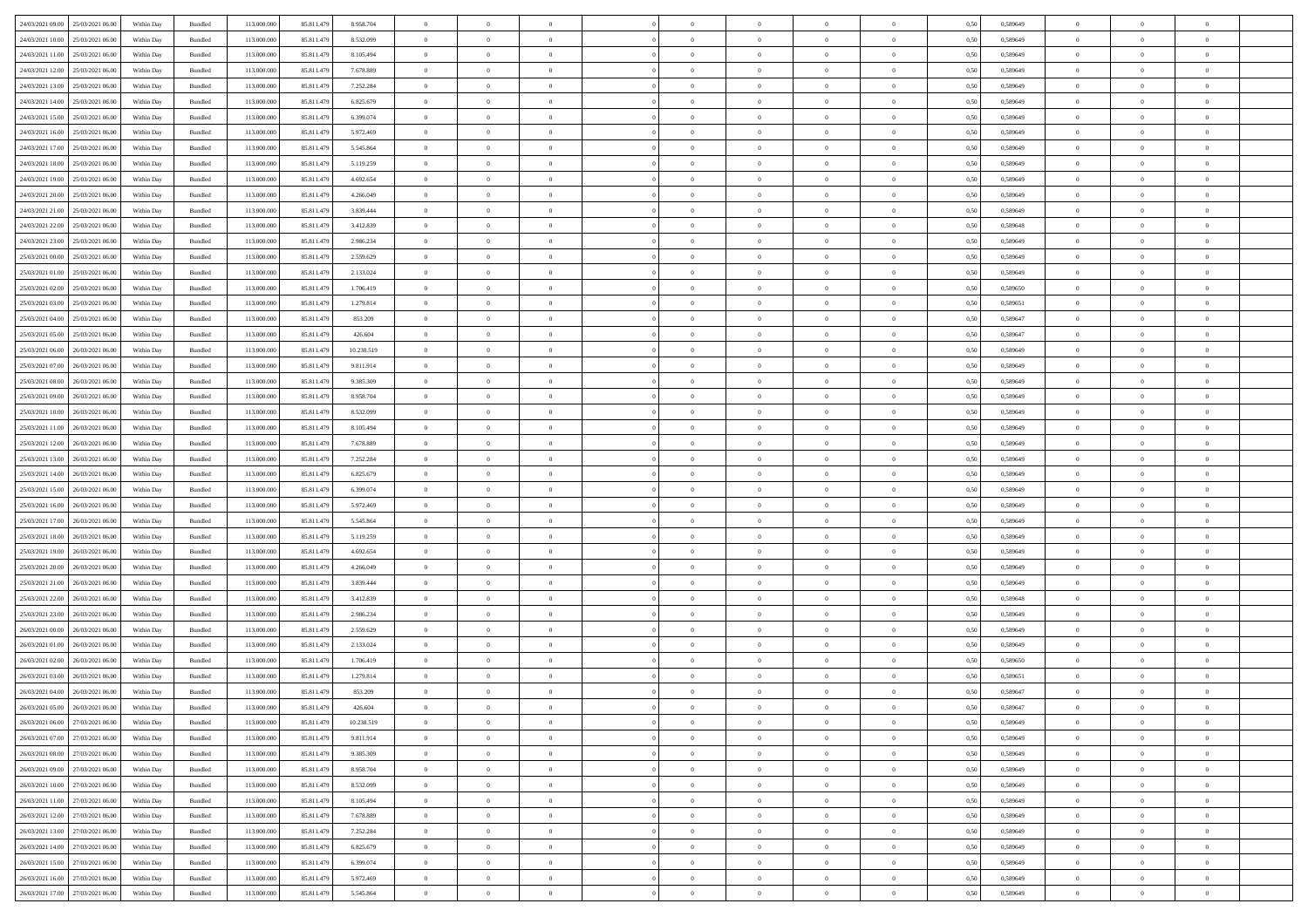| 24/03/2021 09:00 25/03/2021 06:00            | Within Day | Bundled            | 113.000.000 | 85.811.479 | 8.958.704  | $\overline{0}$ | $\overline{0}$ |                | $\overline{0}$ | $\theta$       |                | $\theta$       | 0,50 | 0,589649 | $\theta$       | $\theta$       | $\overline{0}$ |  |
|----------------------------------------------|------------|--------------------|-------------|------------|------------|----------------|----------------|----------------|----------------|----------------|----------------|----------------|------|----------|----------------|----------------|----------------|--|
|                                              |            |                    |             |            |            |                |                |                |                |                |                |                |      |          |                |                |                |  |
| 24/03/2021 10:00<br>25/03/2021 06.00         | Within Day | Bundled            | 113.000.00  | 85.811.479 | 8.532.099  | $\bf{0}$       | $\bf{0}$       | $\bf{0}$       | $\bf{0}$       | $\overline{0}$ | $\overline{0}$ | $\bf{0}$       | 0,50 | 0,589649 | $\,$ 0 $\,$    | $\bf{0}$       | $\overline{0}$ |  |
| 24/03/2021 11:00<br>25/03/2021 06:00         | Within Day | Bundled            | 113,000,000 | 85.811.479 | 8,105,494  | $\overline{0}$ | $\bf{0}$       | $\overline{0}$ | $\bf{0}$       | $\bf{0}$       | $\overline{0}$ | $\bf{0}$       | 0.50 | 0.589649 | $\bf{0}$       | $\overline{0}$ | $\overline{0}$ |  |
| 24/03/2021 12:00<br>25/03/2021 06:00         | Within Day | Bundled            | 113.000.000 | 85.811.479 | 7.678.889  | $\overline{0}$ | $\overline{0}$ | $\overline{0}$ | $\overline{0}$ | $\theta$       | $\overline{0}$ | $\bf{0}$       | 0,50 | 0,589649 | $\,$ 0 $\,$    | $\theta$       | $\overline{0}$ |  |
| 24/03/2021 13:00<br>25/03/2021 06.00         | Within Day | Bundled            | 113.000.00  | 85.811.479 | 7.252.284  | $\bf{0}$       | $\overline{0}$ | $\bf{0}$       | $\overline{0}$ | $\theta$       | $\overline{0}$ | $\bf{0}$       | 0,50 | 0,589649 | $\,$ 0 $\,$    | $\bf{0}$       | $\overline{0}$ |  |
| 24/03/2021 14:00<br>25/03/2021 06:00         | Within Day | Bundled            | 113,000,000 | 85.811.479 | 6.825.679  | $\overline{0}$ | $\bf{0}$       | $\overline{0}$ | $\bf{0}$       | $\overline{0}$ | $\theta$       | $\bf{0}$       | 0.50 | 0.589649 | $\,$ 0 $\,$    | $\theta$       | $\overline{0}$ |  |
|                                              |            |                    |             |            |            | $\overline{0}$ | $\overline{0}$ | $\overline{0}$ | $\overline{0}$ | $\overline{0}$ | $\overline{0}$ |                |      |          |                | $\theta$       | $\overline{0}$ |  |
| 24/03/2021 15:00<br>25/03/2021 06:00         | Within Day | Bundled            | 113.000.000 | 85.811.479 | 6.399.074  |                |                |                |                |                |                | $\bf{0}$       | 0,50 | 0,589649 | $\,$ 0 $\,$    |                |                |  |
| 24/03/2021 16:00<br>25/03/2021 06.00         | Within Day | Bundled            | 113.000.00  | 85.811.479 | 5.972.469  | $\bf{0}$       | $\bf{0}$       | $\bf{0}$       | $\overline{0}$ | $\overline{0}$ | $\overline{0}$ | $\bf{0}$       | 0,50 | 0,589649 | $\,$ 0 $\,$    | $\bf{0}$       | $\overline{0}$ |  |
| 24/03/2021 17:00<br>25/03/2021 06:00         | Within Day | Bundled            | 113,000,000 | 85.811.479 | 5.545.864  | $\overline{0}$ | $\bf{0}$       | $\overline{0}$ | $\bf{0}$       | $\overline{0}$ | $\overline{0}$ | $\bf{0}$       | 0.50 | 0.589649 | $\bf{0}$       | $\overline{0}$ | $\overline{0}$ |  |
| 24/03/2021 18:00<br>25/03/2021 06:00         | Within Day | Bundled            | 113.000.000 | 85.811.479 | 5.119.259  | $\bf{0}$       | $\bf{0}$       | $\overline{0}$ | $\overline{0}$ | $\overline{0}$ | $\overline{0}$ | $\bf{0}$       | 0,50 | 0,589649 | $\,$ 0 $\,$    | $\,$ 0 $\,$    | $\overline{0}$ |  |
| 24/03/2021 19:00<br>25/03/2021 06.00         | Within Day | Bundled            | 113.000.00  | 85.811.479 | 4.692.654  | $\bf{0}$       | $\bf{0}$       | $\bf{0}$       | $\bf{0}$       | $\overline{0}$ | $\overline{0}$ | $\bf{0}$       | 0,50 | 0,589649 | $\,$ 0 $\,$    | $\bf{0}$       | $\overline{0}$ |  |
| 24/03/2021 20:00<br>25/03/2021 06:00         | Within Day | Bundled            | 113,000,000 | 85.811.479 | 4.266.049  | $\overline{0}$ | $\bf{0}$       | $\overline{0}$ | $\overline{0}$ | $\bf{0}$       | $\overline{0}$ | $\bf{0}$       | 0.50 | 0.589649 | $\bf{0}$       | $\,$ 0 $\,$    | $\,$ 0         |  |
| 24/03/2021 21:00<br>25/03/2021 06:00         | Within Day | Bundled            | 113.000.000 | 85.811.479 | 3.839.444  | $\overline{0}$ | $\overline{0}$ | $\overline{0}$ | $\theta$       | $\theta$       | $\overline{0}$ | $\bf{0}$       | 0,50 | 0,589649 | $\,$ 0 $\,$    | $\theta$       | $\overline{0}$ |  |
|                                              |            |                    |             |            |            |                | $\overline{0}$ |                |                |                | $\overline{0}$ |                |      |          | $\,$ 0 $\,$    | $\bf{0}$       | $\overline{0}$ |  |
| 24/03/2021 22.00<br>25/03/2021 06.00         | Within Day | Bundled            | 113.000.00  | 85.811.479 | 3.412.839  | $\bf{0}$       |                | $\bf{0}$       | $\bf{0}$       | $\bf{0}$       |                | $\bf{0}$       | 0,50 | 0,589648 |                |                |                |  |
| 24/03/2021 23:00<br>25/03/2021 06:00         | Within Day | Bundled            | 113,000,000 | 85.811.479 | 2.986.234  | $\overline{0}$ | $\bf{0}$       | $\overline{0}$ | $\bf{0}$       | $\overline{0}$ | $\theta$       | $\bf{0}$       | 0.50 | 0.589649 | $\,$ 0 $\,$    | $\theta$       | $\overline{0}$ |  |
| 25/03/2021 00:00<br>25/03/2021 06:00         | Within Day | Bundled            | 113.000.000 | 85.811.479 | 2.559.629  | $\overline{0}$ | $\overline{0}$ | $\overline{0}$ | $\overline{0}$ | $\overline{0}$ | $\overline{0}$ | $\bf{0}$       | 0,50 | 0,589649 | $\theta$       | $\theta$       | $\overline{0}$ |  |
| 25/03/2021 01:00<br>25/03/2021 06.00         | Within Day | Bundled            | 113.000.00  | 85.811.479 | 2.133.024  | $\bf{0}$       | $\bf{0}$       | $\bf{0}$       | $\overline{0}$ | $\bf{0}$       | $\overline{0}$ | $\bf{0}$       | 0,50 | 0,589649 | $\,$ 0 $\,$    | $\bf{0}$       | $\overline{0}$ |  |
| 25/03/2021 02:00<br>25/03/2021 06:00         | Within Day | Bundled            | 113,000,00  | 85.811.479 | 1.706.419  | $\overline{0}$ | $\bf{0}$       | $\overline{0}$ | $\bf{0}$       | $\overline{0}$ | $\overline{0}$ | $\bf{0}$       | 0.50 | 0.589650 | $\bf{0}$       | $\overline{0}$ | $\overline{0}$ |  |
| 25/03/2021 03:00<br>25/03/2021 06:00         | Within Day | Bundled            | 113.000.000 | 85.811.479 | 1.279.814  | $\bf{0}$       | $\bf{0}$       | $\overline{0}$ | $\overline{0}$ | $\overline{0}$ | $\overline{0}$ | $\bf{0}$       | 0,50 | 0,589651 | $\,$ 0 $\,$    | $\bf{0}$       | $\overline{0}$ |  |
| 25/03/2021 04:00<br>25/03/2021 06.00         | Within Day | Bundled            | 113.000.00  | 85.811.479 | 853.209    | $\bf{0}$       | $\bf{0}$       | $\bf{0}$       | $\bf{0}$       | $\overline{0}$ | $\overline{0}$ | $\bf{0}$       | 0,50 | 0,589647 | $\,$ 0 $\,$    | $\bf{0}$       | $\overline{0}$ |  |
| 25/03/2021 05:00<br>25/03/2021 06:00         | Within Day | Bundled            | 113,000,000 | 85.811.479 | 426.604    | $\overline{0}$ | $\bf{0}$       | $\overline{0}$ | $\overline{0}$ | $\bf{0}$       | $\overline{0}$ | $\bf{0}$       | 0.50 | 0.589647 | $\bf{0}$       | $\overline{0}$ | $\overline{0}$ |  |
|                                              |            |                    |             |            |            |                |                |                |                |                |                |                |      |          |                |                |                |  |
| 25/03/2021 06:00<br>26/03/2021 06:00         | Within Day | Bundled            | 113.000.000 | 85.811.479 | 10.238.519 | $\overline{0}$ | $\overline{0}$ | $\overline{0}$ | $\overline{0}$ | $\theta$       | $\overline{0}$ | $\bf{0}$       | 0,50 | 0,589649 | $\theta$       | $\theta$       | $\overline{0}$ |  |
| 25/03/2021 07:00<br>26/03/2021 06.00         | Within Day | Bundled            | 113.000.00  | 85.811.479 | 9.811.914  | $\bf{0}$       | $\bf{0}$       | $\bf{0}$       | $\bf{0}$       | $\overline{0}$ | $\overline{0}$ | $\bf{0}$       | 0,50 | 0,589649 | $\,$ 0 $\,$    | $\bf{0}$       | $\overline{0}$ |  |
| 25/03/2021 08:00<br>26/03/2021 06:00         | Within Day | Bundled            | 113,000,000 | 85.811.479 | 9.385.309  | $\overline{0}$ | $\bf{0}$       | $\overline{0}$ | $\bf{0}$       | $\overline{0}$ | $\theta$       | $\bf{0}$       | 0.50 | 0.589649 | $\,$ 0 $\,$    | $\theta$       | $\overline{0}$ |  |
| 25/03/2021 09:00<br>26/03/2021 06:00         | Within Day | Bundled            | 113.000.000 | 85.811.479 | 8.958.704  | $\overline{0}$ | $\overline{0}$ | $\overline{0}$ | $\overline{0}$ | $\overline{0}$ | $\overline{0}$ | $\bf{0}$       | 0,50 | 0,589649 | $\,$ 0 $\,$    | $\theta$       | $\overline{0}$ |  |
| 25/03/2021 10:00<br>26/03/2021 06.00         | Within Day | Bundled            | 113.000.00  | 85.811.479 | 8.532.099  | $\bf{0}$       | $\overline{0}$ | $\bf{0}$       | $\overline{0}$ | $\bf{0}$       | $\overline{0}$ | $\bf{0}$       | 0,50 | 0,589649 | $\,$ 0 $\,$    | $\bf{0}$       | $\overline{0}$ |  |
| 25/03/2021 11:00<br>26/03/2021 06:00         | Within Day | Bundled            | 113,000,000 | 85.811.479 | 8.105.494  | $\overline{0}$ | $\bf{0}$       | $\overline{0}$ | $\bf{0}$       | $\overline{0}$ | $\overline{0}$ | $\bf{0}$       | 0.50 | 0.589649 | $\bf{0}$       | $\overline{0}$ | $\overline{0}$ |  |
| 25/03/2021 12:00<br>26/03/2021 06:00         | Within Day | Bundled            | 113.000.000 | 85.811.479 | 7.678.889  | $\overline{0}$ | $\bf{0}$       | $\overline{0}$ | $\overline{0}$ | $\overline{0}$ | $\overline{0}$ | $\bf{0}$       | 0,50 | 0,589649 | $\,$ 0 $\,$    | $\bf{0}$       | $\overline{0}$ |  |
| 26/03/2021 06.00                             | Within Day | Bundled            | 113.000.00  | 85.811.479 | 7.252.284  | $\bf{0}$       | $\bf{0}$       | $\bf{0}$       | $\bf{0}$       | $\overline{0}$ | $\overline{0}$ | $\bf{0}$       | 0,50 | 0,589649 | $\,$ 0 $\,$    | $\bf{0}$       | $\overline{0}$ |  |
| 25/03/2021 13:00                             |            |                    |             |            |            |                |                |                |                |                |                |                |      |          |                |                |                |  |
| 25/03/2021 14:00<br>26/03/2021 06:00         | Within Day | Bundled            | 113,000,000 | 85.811.479 | 6.825.679  | $\overline{0}$ | $\bf{0}$       | $\overline{0}$ | $\overline{0}$ | $\bf{0}$       | $\overline{0}$ | $\bf{0}$       | 0.50 | 0.589649 | $\bf{0}$       | $\,$ 0 $\,$    | $\,$ 0         |  |
| 25/03/2021 15:00<br>26/03/2021 06:00         | Within Day | Bundled            | 113.000.000 | 85.811.479 | 6.399.074  | $\overline{0}$ | $\overline{0}$ | $\overline{0}$ | $\overline{0}$ | $\overline{0}$ | $\overline{0}$ | $\bf{0}$       | 0.50 | 0.589649 | $\theta$       | $\theta$       | $\overline{0}$ |  |
| 25/03/2021 16:00<br>26/03/2021 06.00         | Within Day | Bundled            | 113.000.00  | 85.811.479 | 5.972.469  | $\bf{0}$       | $\bf{0}$       | $\bf{0}$       | $\bf{0}$       | $\overline{0}$ | $\overline{0}$ | $\bf{0}$       | 0,50 | 0,589649 | $\,$ 0 $\,$    | $\bf{0}$       | $\overline{0}$ |  |
| 25/03/2021 17:00<br>26/03/2021 06:00         | Within Day | Bundled            | 113,000,000 | 85.811.479 | 5.545.864  | $\overline{0}$ | $\bf{0}$       | $\overline{0}$ | $\bf{0}$       | $\overline{0}$ | $\overline{0}$ | $\bf{0}$       | 0.50 | 0.589649 | $\,$ 0 $\,$    | $\bf{0}$       | $\overline{0}$ |  |
| 25/03/2021 18:00<br>26/03/2021 06:00         | Within Day | Bundled            | 113.000.000 | 85.811.479 | 5.119.259  | $\overline{0}$ | $\overline{0}$ | $\overline{0}$ | $\overline{0}$ | $\overline{0}$ | $\overline{0}$ | $\bf{0}$       | 0.50 | 0.589649 | $\theta$       | $\theta$       | $\overline{0}$ |  |
| 25/03/2021 19:00<br>26/03/2021 06.00         | Within Day | Bundled            | 113.000.00  | 85.811.479 | 4.692.654  | $\bf{0}$       | $\bf{0}$       | $\bf{0}$       | $\bf{0}$       | $\overline{0}$ | $\overline{0}$ | $\bf{0}$       | 0,50 | 0,589649 | $\,$ 0 $\,$    | $\bf{0}$       | $\overline{0}$ |  |
| 25/03/2021 20:00<br>26/03/2021 06:00         | Within Day | Bundled            | 113,000,000 | 85.811.479 | 4.266.049  | $\overline{0}$ | $\bf{0}$       | $\overline{0}$ | $\bf{0}$       | $\overline{0}$ | $\overline{0}$ | $\bf{0}$       | 0.50 | 0.589649 | $\bf{0}$       | $\overline{0}$ | $\overline{0}$ |  |
| 25/03/2021 21:00<br>26/03/2021 06:00         | Within Day | Bundled            | 113.000.000 | 85.811.479 | 3.839.444  | $\overline{0}$ | $\overline{0}$ | $\overline{0}$ | $\overline{0}$ | $\overline{0}$ | $\overline{0}$ | $\bf{0}$       | 0.50 | 0.589649 | $\theta$       | $\theta$       | $\overline{0}$ |  |
|                                              |            |                    |             |            |            |                |                |                |                |                |                |                |      |          |                |                |                |  |
| 25/03/2021 22:00<br>26/03/2021 06.00         | Within Day | Bundled            | 113.000.00  | 85.811.479 | 3.412.839  | $\bf{0}$       | $\bf{0}$       | $\bf{0}$       | $\bf{0}$       | $\overline{0}$ | $\overline{0}$ | $\bf{0}$       | 0,50 | 0,589648 | $\,$ 0 $\,$    | $\bf{0}$       | $\overline{0}$ |  |
| 25/03/2021 23:00<br>26/03/2021 06:00         | Within Day | Bundled            | 113,000,000 | 85.811.479 | 2.986.234  | $\overline{0}$ | $\bf{0}$       | $\overline{0}$ | $\overline{0}$ | $\bf{0}$       | $\overline{0}$ | $\bf{0}$       | 0.50 | 0.589649 | $\bf{0}$       | $\overline{0}$ | $\overline{0}$ |  |
| 26/03/2021 00:00<br>26/03/2021 06:00         | Within Day | Bundled            | 113.000.000 | 85.811.479 | 2.559.629  | $\overline{0}$ | $\overline{0}$ | $\overline{0}$ | $\overline{0}$ | $\overline{0}$ | $\overline{0}$ | $\bf{0}$       | 0.50 | 0.589649 | $\theta$       | $\theta$       | $\overline{0}$ |  |
| 26/03/2021 01:00<br>26/03/2021 06.00         | Within Day | Bundled            | 113.000.00  | 85.811.479 | 2.133.024  | $\bf{0}$       | $\bf{0}$       | $\bf{0}$       | $\bf{0}$       | $\overline{0}$ | $\overline{0}$ | $\bf{0}$       | 0,50 | 0,589649 | $\,$ 0 $\,$    | $\bf{0}$       | $\overline{0}$ |  |
| 26/03/2021 02:00<br>26/03/2021 06.00         | Within Day | Bundled            | 113,000,00  | 85.811.479 | 1.706.419  | $\overline{0}$ | $\overline{0}$ | $\overline{0}$ | $\bf{0}$       | $\overline{0}$ | $\Omega$       | $\bf{0}$       | 0.50 | 0.589650 | $\bf{0}$       | $\theta$       | $\overline{0}$ |  |
| 26/03/2021 03:00<br>26/03/2021 06:00         | Within Dav | Bundled            | 113.000.000 | 85.811.479 | 1.279.814  | $\overline{0}$ | $\overline{0}$ | $\overline{0}$ | $\theta$       | $\theta$       | $\overline{0}$ | $\overline{0}$ | 0.5( | 0.589651 | $\theta$       | $\theta$       | $\overline{0}$ |  |
| 26/03/2021 04:00<br>26/03/2021 06:00         | Within Day | Bundled            | 113.000.00  | 85.811.479 | 853.209    | $\bf{0}$       | $\bf{0}$       | $\bf{0}$       | $\bf{0}$       | $\bf{0}$       | $\overline{0}$ | $\bf{0}$       | 0,50 | 0,589647 | $\,$ 0 $\,$    | $\overline{0}$ | $\overline{0}$ |  |
| $26/03/2021\ 05.00 \qquad 26/03/2021\ 06.00$ | Within Day | $\mathbf B$ undled | 113.000.000 | 85.811.479 | 426.604    | $\bf{0}$       | $\theta$       |                | $\overline{0}$ |                |                |                | 0,50 | 0.589647 | $\theta$       | $\bf{0}$       |                |  |
| 26/03/2021 06:00 27/03/2021 06:00            | Within Day | Bundled            | 113.000.000 | 85.811.479 | 10.238.519 | $\overline{0}$ | $\overline{0}$ | $\overline{0}$ | $\theta$       | $\overline{0}$ | $\overline{0}$ | $\bf{0}$       | 0,50 | 0,589649 | $\theta$       | $\overline{0}$ | $\overline{0}$ |  |
|                                              |            |                    |             |            |            |                |                |                |                |                |                |                |      |          |                |                |                |  |
| 26/03/2021 07:00<br>27/03/2021 06:00         | Within Day | Bundled            | 113.000.00  | 85.811.479 | 9.811.914  | $\overline{0}$ | $\bf{0}$       | $\overline{0}$ | $\overline{0}$ | $\bf{0}$       | $\overline{0}$ | $\bf{0}$       | 0,50 | 0,589649 | $\bf{0}$       | $\overline{0}$ | $\bf{0}$       |  |
| 26/03/2021 08:00 27/03/2021 06:00            | Within Day | Bundled            | 113,000,000 | 85.811.479 | 9,385,309  | $\overline{0}$ | $\bf{0}$       | $\overline{0}$ | $\overline{0}$ | $\mathbf{0}$   | $\overline{0}$ | $\,$ 0 $\,$    | 0.50 | 0.589649 | $\overline{0}$ | $\bf{0}$       | $\,$ 0 $\,$    |  |
| 26/03/2021 09:00 27/03/2021 06:00            | Within Dav | Bundled            | 113.000.000 | 85.811.479 | 8.958.704  | $\overline{0}$ | $\overline{0}$ | $\overline{0}$ | $\overline{0}$ | $\overline{0}$ | $\overline{0}$ | $\bf{0}$       | 0,50 | 0.589649 | $\overline{0}$ | $\theta$       | $\overline{0}$ |  |
| 26/03/2021 10:00<br>27/03/2021 06:00         | Within Day | Bundled            | 113.000.000 | 85.811.479 | 8.532.099  | $\overline{0}$ | $\bf{0}$       | $\overline{0}$ | $\overline{0}$ | $\bf{0}$       | $\overline{0}$ | $\bf{0}$       | 0,50 | 0,589649 | $\bf{0}$       | $\overline{0}$ | $\overline{0}$ |  |
| 26/03/2021 11:00 27/03/2021 06:00            | Within Day | Bundled            | 113,000,000 | 85.811.479 | 8.105.494  | $\overline{0}$ | $\bf{0}$       | $\overline{0}$ | $\overline{0}$ | $\bf{0}$       | $\overline{0}$ | $\bf{0}$       | 0.50 | 0.589649 | $\,$ 0 $\,$    | $\overline{0}$ | $\,$ 0         |  |
| 26/03/2021 12:00<br>27/03/2021 06:00         | Within Dav | Bundled            | 113.000.000 | 85.811.479 | 7.678.889  | $\overline{0}$ | $\overline{0}$ | $\overline{0}$ | $\overline{0}$ | $\overline{0}$ | $\overline{0}$ | $\bf{0}$       | 0,50 | 0.589649 | $\overline{0}$ | $\theta$       | $\overline{0}$ |  |
| 26/03/2021 13:00<br>27/03/2021 06:00         | Within Day | Bundled            | 113.000.00  | 85.811.479 | 7.252.284  | $\overline{0}$ | $\overline{0}$ | $\overline{0}$ | $\overline{0}$ | $\overline{0}$ | $\overline{0}$ | $\bf{0}$       | 0,50 | 0,589649 | $\bf{0}$       | $\overline{0}$ | $\overline{0}$ |  |
|                                              |            |                    |             |            |            |                |                |                |                |                |                |                |      |          |                |                |                |  |
| 26/03/2021 14:00 27/03/2021 06:00            | Within Day | Bundled            | 113,000,000 | 85.811.479 | 6.825.679  | $\overline{0}$ | $\overline{0}$ | $\overline{0}$ | $\overline{0}$ | $\overline{0}$ | $\overline{0}$ | $\bf{0}$       | 0.50 | 0.589649 | $\mathbf{0}$   | $\bf{0}$       | $\,$ 0         |  |
| 26/03/2021 15:00 27/03/2021 06:00            | Within Dav | Bundled            | 113.000.000 | 85.811.479 | 6.399.074  | $\overline{0}$ | $\overline{0}$ | $\overline{0}$ | $\overline{0}$ | $\overline{0}$ | $\overline{0}$ | $\bf{0}$       | 0,50 | 0.589649 | $\overline{0}$ | $\theta$       | $\overline{0}$ |  |
| 26/03/2021 16:00<br>27/03/2021 06:00         | Within Day | Bundled            | 113.000.00  | 85.811.479 | 5.972.469  | $\overline{0}$ | $\bf{0}$       | $\overline{0}$ | $\bf{0}$       | $\overline{0}$ | $\overline{0}$ | $\bf{0}$       | 0,50 | 0,589649 | $\bf{0}$       | $\,$ 0 $\,$    | $\bf{0}$       |  |
| 26/03/2021 17:00 27/03/2021 06:00            | Within Day | Bundled            | 113.000.000 | 85.811.479 | 5.545.864  | $\,$ 0 $\,$    | $\bf{0}$       | $\overline{0}$ | $\overline{0}$ | $\,$ 0 $\,$    | $\overline{0}$ | $\bf{0}$       | 0,50 | 0,589649 | $\overline{0}$ | $\,$ 0 $\,$    | $\,$ 0 $\,$    |  |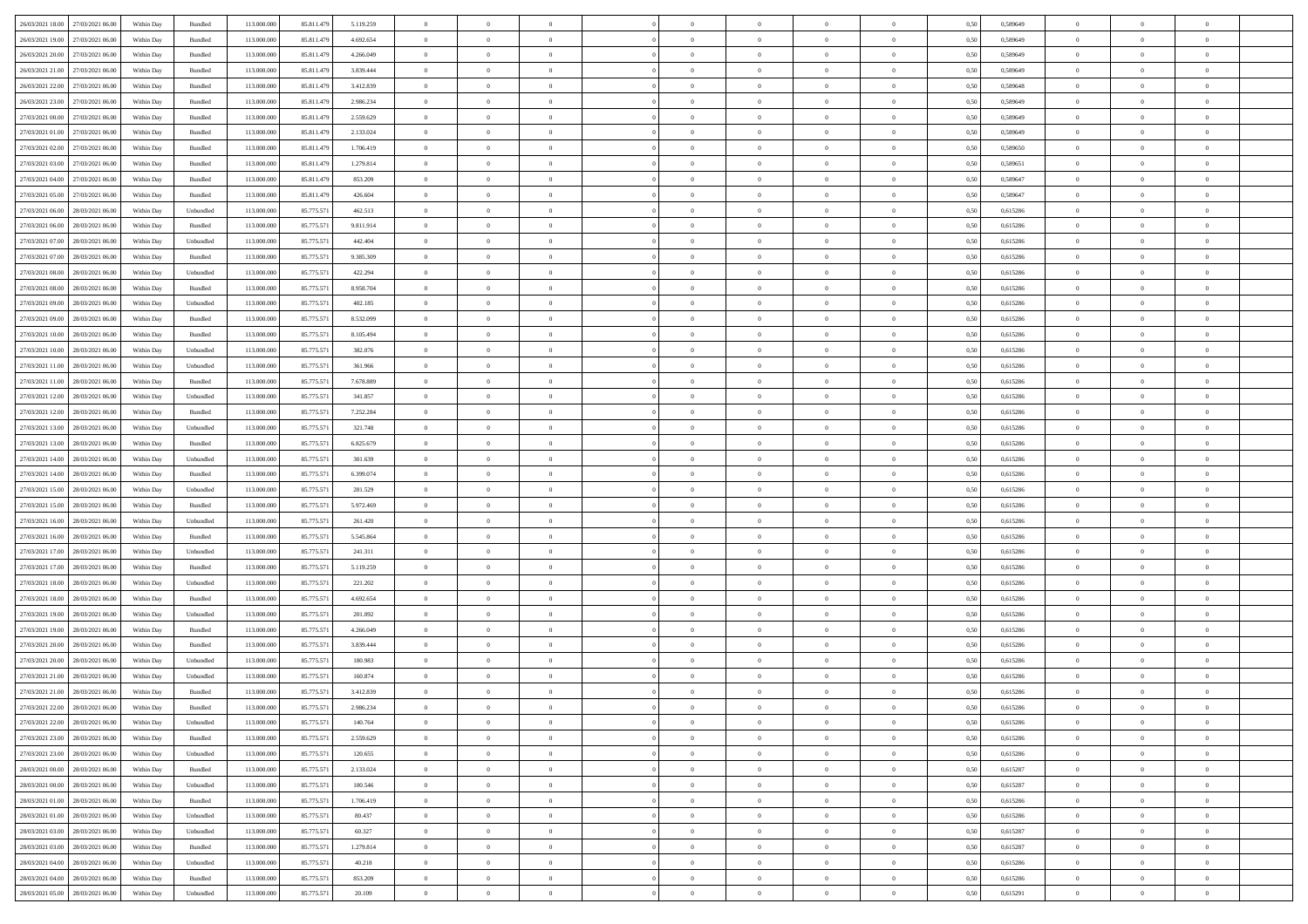| 26/03/2021 18:00 27/03/2021 06:00    | Within Day | Bundled            | 113.000.000 | 85.811.479 | 5.119.259 | $\overline{0}$ | $\overline{0}$ |                | $\overline{0}$ | $\theta$       |                | $\theta$       | 0,50 | 0,589649 | $\theta$       | $\theta$       | $\overline{0}$ |  |
|--------------------------------------|------------|--------------------|-------------|------------|-----------|----------------|----------------|----------------|----------------|----------------|----------------|----------------|------|----------|----------------|----------------|----------------|--|
|                                      |            |                    |             |            |           |                |                |                |                |                |                |                |      |          |                |                |                |  |
| 26/03/2021 19:00<br>27/03/2021 06.00 | Within Day | Bundled            | 113.000.00  | 85.811.479 | 4.692.654 | $\bf{0}$       | $\bf{0}$       | $\bf{0}$       | $\bf{0}$       | $\overline{0}$ | $\overline{0}$ | $\bf{0}$       | 0,50 | 0,589649 | $\,$ 0 $\,$    | $\bf{0}$       | $\overline{0}$ |  |
| 26/03/2021 20:00<br>27/03/2021 06:00 | Within Day | Bundled            | 113,000,000 | 85.811.479 | 4.266.049 | $\overline{0}$ | $\bf{0}$       | $\overline{0}$ | $\bf{0}$       | $\overline{0}$ | $\overline{0}$ | $\bf{0}$       | 0.50 | 0.589649 | $\overline{0}$ | $\overline{0}$ | $\bf{0}$       |  |
| 26/03/2021 21:00<br>27/03/2021 06:00 | Within Day | Bundled            | 113.000.000 | 85.811.479 | 3.839.444 | $\overline{0}$ | $\overline{0}$ | $\overline{0}$ | $\overline{0}$ | $\theta$       | $\overline{0}$ | $\bf{0}$       | 0,50 | 0,589649 | $\,$ 0 $\,$    | $\,$ 0 $\,$    | $\overline{0}$ |  |
|                                      |            |                    |             |            |           |                |                |                |                |                |                |                |      |          |                |                |                |  |
| 26/03/2021 22:00<br>27/03/2021 06.00 | Within Day | Bundled            | 113.000.00  | 85.811.479 | 3.412.839 | $\bf{0}$       | $\overline{0}$ | $\bf{0}$       | $\overline{0}$ | $\bf{0}$       | $\overline{0}$ | $\bf{0}$       | 0,50 | 0,589648 | $\,$ 0 $\,$    | $\bf{0}$       | $\overline{0}$ |  |
| 26/03/2021 23:00<br>27/03/2021 06:00 | Within Day | Bundled            | 113,000,000 | 85.811.479 | 2.986.234 | $\overline{0}$ | $\bf{0}$       | $\overline{0}$ | $\bf{0}$       | $\overline{0}$ | $\overline{0}$ | $\bf{0}$       | 0.50 | 0.589649 | $\,$ 0 $\,$    | $\theta$       | $\overline{0}$ |  |
| 27/03/2021 00:00<br>27/03/2021 06:00 | Within Day | Bundled            | 113.000.000 | 85.811.479 | 2.559.629 | $\bf{0}$       | $\bf{0}$       | $\overline{0}$ | $\overline{0}$ | $\overline{0}$ | $\overline{0}$ | $\bf{0}$       | 0,50 | 0,589649 | $\,$ 0 $\,$    | $\theta$       | $\overline{0}$ |  |
| 27/03/2021 01:00<br>27/03/2021 06.00 | Within Day | Bundled            | 113.000.00  | 85.811.479 | 2.133.024 | $\bf{0}$       | $\bf{0}$       | $\bf{0}$       | $\bf{0}$       | $\overline{0}$ | $\overline{0}$ | $\bf{0}$       | 0,50 | 0,589649 | $\,$ 0 $\,$    | $\bf{0}$       | $\overline{0}$ |  |
| 27/03/2021 06:00                     |            | Bundled            | 113,000,000 |            |           |                |                |                |                |                | $\overline{0}$ |                |      |          |                |                |                |  |
| 27/03/2021 02:00                     | Within Day |                    |             | 85.811.479 | 1.706.419 | $\overline{0}$ | $\bf{0}$       | $\overline{0}$ | $\bf{0}$       | $\overline{0}$ |                | $\bf{0}$       | 0.50 | 0.589650 | $\bf{0}$       | $\overline{0}$ | $\overline{0}$ |  |
| 27/03/2021 03:00<br>27/03/2021 06:00 | Within Day | Bundled            | 113.000.000 | 85.811.479 | 1.279.814 | $\bf{0}$       | $\bf{0}$       | $\overline{0}$ | $\overline{0}$ | $\overline{0}$ | $\overline{0}$ | $\bf{0}$       | 0,50 | 0,589651 | $\,$ 0 $\,$    | $\,$ 0 $\,$    | $\overline{0}$ |  |
| 27/03/2021 04:00<br>27/03/2021 06.00 | Within Day | Bundled            | 113.000.00  | 85.811.479 | 853.209   | $\bf{0}$       | $\bf{0}$       | $\bf{0}$       | $\bf{0}$       | $\overline{0}$ | $\overline{0}$ | $\bf{0}$       | 0,50 | 0,589647 | $\,$ 0 $\,$    | $\bf{0}$       | $\overline{0}$ |  |
| 27/03/2021 05:00<br>27/03/2021 06:00 | Within Day | Bundled            | 113,000,000 | 85.811.479 | 426.604   | $\overline{0}$ | $\bf{0}$       | $\overline{0}$ | $\overline{0}$ | $\overline{0}$ | $\overline{0}$ | $\bf{0}$       | 0.50 | 0.589647 | $\bf{0}$       | $\,$ 0 $\,$    | $\,$ 0         |  |
| 27/03/2021 06:00<br>28/03/2021 06:00 | Within Day | Unbundled          | 113.000.000 | 85.775.571 | 462.513   | $\overline{0}$ | $\bf{0}$       | $\overline{0}$ | $\theta$       | $\theta$       | $\overline{0}$ | $\bf{0}$       | 0,50 | 0,615286 | $\,$ 0 $\,$    | $\,$ 0 $\,$    | $\overline{0}$ |  |
|                                      |            |                    |             |            |           |                |                |                |                |                |                |                |      |          |                |                |                |  |
| 27/03/2021 06:00<br>28/03/2021 06:00 | Within Day | Bundled            | 113.000.00  | 85.775.57  | 9.811.914 | $\bf{0}$       | $\bf{0}$       | $\bf{0}$       | $\bf{0}$       | $\bf{0}$       | $\overline{0}$ | $\bf{0}$       | 0,50 | 0,615286 | $\,$ 0 $\,$    | $\bf{0}$       | $\overline{0}$ |  |
| 27/03/2021 07:00<br>28/03/2021 06:00 | Within Day | Unbundled          | 113,000,000 | 85.775.571 | 442.404   | $\overline{0}$ | $\bf{0}$       | $\overline{0}$ | $\bf{0}$       | $\overline{0}$ | $\overline{0}$ | $\bf{0}$       | 0.50 | 0.615286 | $\,$ 0 $\,$    | $\bf{0}$       | $\overline{0}$ |  |
| 27/03/2021 07:00<br>28/03/2021 06:00 | Within Day | Bundled            | 113.000.000 | 85.775.571 | 9.385.309 | $\overline{0}$ | $\bf{0}$       | $\overline{0}$ | $\overline{0}$ | $\overline{0}$ | $\overline{0}$ | $\bf{0}$       | 0,50 | 0,615286 | $\theta$       | $\theta$       | $\overline{0}$ |  |
| 27/03/2021 08:00<br>28/03/2021 06:00 | Within Day | Unbundled          | 113.000.00  | 85.775.57  | 422.294   | $\bf{0}$       | $\bf{0}$       | $\bf{0}$       | $\overline{0}$ | $\overline{0}$ | $\overline{0}$ | $\bf{0}$       | 0,50 | 0,615286 | $\,$ 0 $\,$    | $\bf{0}$       | $\overline{0}$ |  |
| 27/03/2021 08:00<br>28/03/2021 06:00 |            | Bundled            | 113,000,000 | 85,775.57  | 8.958.704 | $\overline{0}$ | $\bf{0}$       | $\overline{0}$ | $\bf{0}$       | $\bf{0}$       | $\overline{0}$ | $\bf{0}$       | 0.50 | 0.615286 | $\bf{0}$       | $\overline{0}$ | $\bf{0}$       |  |
|                                      | Within Day |                    |             |            |           |                |                |                |                |                |                |                |      |          |                |                |                |  |
| 27/03/2021 09:00<br>28/03/2021 06:00 | Within Day | Unbundled          | 113.000.000 | 85.775.571 | 402.185   | $\bf{0}$       | $\bf{0}$       | $\overline{0}$ | $\overline{0}$ | $\overline{0}$ | $\overline{0}$ | $\bf{0}$       | 0,50 | 0,615286 | $\,$ 0 $\,$    | $\bf{0}$       | $\overline{0}$ |  |
| 27/03/2021 09:00<br>28/03/2021 06:00 | Within Day | Bundled            | 113.000.00  | 85.775.57  | 8.532.099 | $\bf{0}$       | $\bf{0}$       | $\bf{0}$       | $\bf{0}$       | $\overline{0}$ | $\overline{0}$ | $\bf{0}$       | 0,50 | 0,615286 | $\,$ 0 $\,$    | $\bf{0}$       | $\overline{0}$ |  |
| 27/03/2021 10:00<br>28/03/2021 06:00 | Within Day | Bundled            | 113,000,000 | 85.775.571 | 8.105.494 | $\overline{0}$ | $\bf{0}$       | $\overline{0}$ | $\overline{0}$ | $\bf{0}$       | $\overline{0}$ | $\bf{0}$       | 0.50 | 0.615286 | $\bf{0}$       | $\,$ 0 $\,$    | $\,$ 0         |  |
| 27/03/2021 10:00<br>28/03/2021 06:00 | Within Day | Unbundled          | 113.000.000 | 85.775.571 | 382.076   | $\overline{0}$ | $\overline{0}$ | $\overline{0}$ | $\overline{0}$ | $\theta$       | $\overline{0}$ | $\bf{0}$       | 0,50 | 0,615286 | $\,$ 0 $\,$    | $\theta$       | $\overline{0}$ |  |
|                                      |            |                    |             |            |           |                |                |                |                |                | $\overline{0}$ |                |      |          |                |                |                |  |
| 27/03/2021 11:00<br>28/03/2021 06:00 | Within Day | Unbundled          | 113.000.00  | 85.775.57  | 361.966   | $\bf{0}$       | $\bf{0}$       | $\bf{0}$       | $\bf{0}$       | $\overline{0}$ |                | $\bf{0}$       | 0,50 | 0,615286 | $\,$ 0 $\,$    | $\bf{0}$       | $\overline{0}$ |  |
| 27/03/2021 11:00<br>28/03/2021 06:00 | Within Day | Bundled            | 113,000,000 | 85.775.571 | 7.678.889 | $\overline{0}$ | $\bf{0}$       | $\overline{0}$ | $\bf{0}$       | $\overline{0}$ | $\overline{0}$ | $\bf{0}$       | 0.50 | 0.615286 | $\bf{0}$       | $\overline{0}$ | $\overline{0}$ |  |
| 27/03/2021 12:00<br>28/03/2021 06:00 | Within Day | Unbundled          | 113.000.000 | 85.775.571 | 341.857   | $\overline{0}$ | $\overline{0}$ | $\overline{0}$ | $\overline{0}$ | $\overline{0}$ | $\overline{0}$ | $\bf{0}$       | 0,50 | 0,615286 | $\,$ 0 $\,$    | $\theta$       | $\overline{0}$ |  |
| 27/03/2021 12:00<br>28/03/2021 06:00 | Within Day | Bundled            | 113.000.00  | 85.775.57  | 7.252.284 | $\bf{0}$       | $\overline{0}$ | $\bf{0}$       | $\overline{0}$ | $\overline{0}$ | $\overline{0}$ | $\bf{0}$       | 0,50 | 0,615286 | $\,$ 0 $\,$    | $\bf{0}$       | $\overline{0}$ |  |
| 27/03/2021 13:00<br>28/03/2021 06:00 | Within Day | Unbundled          | 113,000,000 | 85.775.571 | 321.748   | $\overline{0}$ | $\bf{0}$       | $\overline{0}$ | $\bf{0}$       | $\overline{0}$ | $\overline{0}$ | $\bf{0}$       | 0.50 | 0.615286 | $\bf{0}$       | $\overline{0}$ | $\overline{0}$ |  |
|                                      |            |                    |             |            |           |                |                |                |                |                |                |                |      |          |                |                |                |  |
| 27/03/2021 13:00<br>28/03/2021 06:00 | Within Day | Bundled            | 113.000.000 | 85.775.571 | 6.825.679 | $\overline{0}$ | $\bf{0}$       | $\overline{0}$ | $\overline{0}$ | $\overline{0}$ | $\overline{0}$ | $\bf{0}$       | 0,50 | 0,615286 | $\,$ 0 $\,$    | $\bf{0}$       | $\overline{0}$ |  |
| 27/03/2021 14:00<br>28/03/2021 06:00 | Within Day | Unbundled          | 113.000.00  | 85.775.57  | 301.639   | $\bf{0}$       | $\bf{0}$       | $\bf{0}$       | $\bf{0}$       | $\overline{0}$ | $\bf{0}$       | $\bf{0}$       | 0,50 | 0,615286 | $\,$ 0 $\,$    | $\bf{0}$       | $\overline{0}$ |  |
| 27/03/2021 14:00<br>28/03/2021 06:00 | Within Day | Bundled            | 113,000,000 | 85.775.571 | 6.399.074 | $\overline{0}$ | $\bf{0}$       | $\overline{0}$ | $\overline{0}$ | $\bf{0}$       | $\overline{0}$ | $\bf{0}$       | 0.50 | 0.615286 | $\overline{0}$ | $\,$ 0 $\,$    | $\,$ 0         |  |
| 27/03/2021 15:00<br>28/03/2021 06:00 | Within Day | Unbundled          | 113.000.000 | 85.775.571 | 281.529   | $\overline{0}$ | $\overline{0}$ | $\overline{0}$ | $\overline{0}$ | $\overline{0}$ | $\overline{0}$ | $\bf{0}$       | 0.5( | 0.615286 | $\theta$       | $\theta$       | $\overline{0}$ |  |
| 27/03/2021 15:00<br>28/03/2021 06:00 | Within Day | Bundled            | 113.000.00  | 85.775.57  | 5.972.469 | $\bf{0}$       | $\bf{0}$       | $\bf{0}$       | $\bf{0}$       | $\overline{0}$ | $\overline{0}$ | $\bf{0}$       | 0,50 | 0,615286 | $\,$ 0 $\,$    | $\bf{0}$       | $\overline{0}$ |  |
|                                      |            |                    |             |            |           |                |                |                |                |                |                |                |      |          |                |                |                |  |
| 27/03/2021 16:00<br>28/03/2021 06:00 | Within Day | Unbundled          | 113,000,000 | 85.775.571 | 261.420   | $\overline{0}$ | $\bf{0}$       | $\overline{0}$ | $\bf{0}$       | $\overline{0}$ | $\overline{0}$ | $\bf{0}$       | 0.50 | 0.615286 | $\bf{0}$       | $\bf{0}$       | $\overline{0}$ |  |
| 27/03/2021 16:00<br>28/03/2021 06:00 | Within Day | Bundled            | 113.000.000 | 85.775.571 | 5.545.864 | $\overline{0}$ | $\overline{0}$ | $\overline{0}$ | $\overline{0}$ | $\overline{0}$ | $\overline{0}$ | $\bf{0}$       | 0.50 | 0,615286 | $\theta$       | $\theta$       | $\overline{0}$ |  |
| 27/03/2021 17:00<br>28/03/2021 06:00 | Within Day | Unbundled          | 113.000.00  | 85.775.57  | 241.311   | $\bf{0}$       | $\bf{0}$       | $\bf{0}$       | $\bf{0}$       | $\overline{0}$ | $\overline{0}$ | $\bf{0}$       | 0,50 | 0,615286 | $\,$ 0 $\,$    | $\bf{0}$       | $\overline{0}$ |  |
| 27/03/2021 17:00<br>28/03/2021 06:00 | Within Day | Bundled            | 113,000,000 | 85.775.571 | 5.119.259 | $\overline{0}$ | $\bf{0}$       | $\overline{0}$ | $\bf{0}$       | $\overline{0}$ | $\overline{0}$ | $\bf{0}$       | 0.50 | 0.615286 | $\bf{0}$       | $\overline{0}$ | $\overline{0}$ |  |
| 27/03/2021 18:00<br>28/03/2021 06:00 | Within Day | Unbundled          | 113.000.000 | 85.775.571 | 221.202   | $\overline{0}$ | $\overline{0}$ | $\overline{0}$ | $\overline{0}$ | $\overline{0}$ | $\overline{0}$ | $\bf{0}$       | 0.50 | 0,615286 | $\theta$       | $\theta$       | $\overline{0}$ |  |
|                                      |            |                    |             |            |           |                |                |                |                |                |                |                |      |          |                |                |                |  |
| 27/03/2021 18:00<br>28/03/2021 06:00 | Within Day | Bundled            | 113.000.00  | 85.775.57  | 4.692.654 | $\bf{0}$       | $\bf{0}$       | $\bf{0}$       | $\bf{0}$       | $\overline{0}$ | $\bf{0}$       | $\bf{0}$       | 0,50 | 0,615286 | $\,$ 0 $\,$    | $\bf{0}$       | $\overline{0}$ |  |
| 27/03/2021 19:00<br>28/03/2021 06:00 | Within Day | Unbundled          | 113,000,000 | 85.775.571 | 201.092   | $\overline{0}$ | $\bf{0}$       | $\overline{0}$ | $\overline{0}$ | $\bf{0}$       | $\overline{0}$ | $\bf{0}$       | 0.50 | 0.615286 | $\overline{0}$ | $\,$ 0 $\,$    | $\,$ 0         |  |
| 27/03/2021 19:00<br>28/03/2021 06:00 | Within Day | Bundled            | 113.000.000 | 85.775.571 | 4.266.049 | $\overline{0}$ | $\overline{0}$ | $\overline{0}$ | $\overline{0}$ | $\overline{0}$ | $\overline{0}$ | $\bf{0}$       | 0.5( | 0,615286 | $\theta$       | $\theta$       | $\overline{0}$ |  |
| 27/03/2021 20:00<br>28/03/2021 06:00 | Within Day | Bundled            | 113.000.00  | 85.775.57  | 3.839.444 | $\bf{0}$       | $\bf{0}$       | $\bf{0}$       | $\bf{0}$       | $\overline{0}$ | $\overline{0}$ | $\bf{0}$       | 0,50 | 0,615286 | $\,$ 0 $\,$    | $\bf{0}$       | $\overline{0}$ |  |
| 27/03/2021 20:00<br>28/03/2021 06:00 | Within Day | Unbundled          | 113,000,000 | 85.775.571 | 180.983   | $\overline{0}$ | $\bf{0}$       | $\overline{0}$ | $\bf{0}$       | $\overline{0}$ | $\overline{0}$ | $\bf{0}$       | 0.50 | 0.615286 | $\bf{0}$       | $\bf{0}$       | $\overline{0}$ |  |
|                                      |            |                    |             |            |           |                |                |                |                |                |                |                |      |          |                |                |                |  |
| 27/03/2021 21:00<br>28/03/2021 06:00 | Within Dav | Unbundled          | 113.000.000 | 85.775.571 | 160,874   | $\overline{0}$ | $\overline{0}$ | $\overline{0}$ | $\overline{0}$ | $\theta$       | $\overline{0}$ | $\overline{0}$ | 0.5( | 0,615286 | $\theta$       | $\theta$       | $\overline{0}$ |  |
| 27/03/2021 21:00<br>28/03/2021 06:00 | Within Day | Bundled            | 113.000.000 | 85.775.571 | 3.412.839 | $\bf{0}$       | $\bf{0}$       | $\bf{0}$       | $\bf{0}$       | $\bf{0}$       | $\overline{0}$ | $\bf{0}$       | 0,50 | 0,615286 | $\overline{0}$ | $\bf{0}$       | $\overline{0}$ |  |
| 27/03/2021 22:00 28/03/2021 06:00    | Within Day | $\mathbf B$ undled | 113.000.000 | 85.775.571 | 2.986.234 | $\bf{0}$       | $\theta$       |                | $\Omega$       | $\bf{0}$       |                |                | 0,50 | 0,615286 | $\bf{0}$       | $\bf{0}$       |                |  |
| 27/03/2021 22:00 28/03/2021 06:00    | Within Day | Unbundled          | 113.000.000 | 85.775.571 | 140.764   | $\overline{0}$ | $\overline{0}$ | $\Omega$       | $\theta$       | $\overline{0}$ | $\overline{0}$ | $\bf{0}$       | 0,50 | 0,615286 | $\theta$       | $\overline{0}$ | $\overline{0}$ |  |
| 27/03/2021 23:00<br>28/03/2021 06:00 | Within Day | Bundled            | 113.000.00  | 85.775.571 | 2.559.629 | $\overline{0}$ | $\bf{0}$       | $\overline{0}$ | $\overline{0}$ | $\bf{0}$       | $\overline{0}$ | $\bf{0}$       | 0,50 | 0,615286 | $\bf{0}$       | $\overline{0}$ | $\bf{0}$       |  |
|                                      |            |                    |             |            |           |                |                |                |                |                |                |                |      |          |                |                |                |  |
| 27/03/2021 23:00 28/03/2021 06:00    | Within Day | Unbundled          | 113,000,000 | 85.775.571 | 120.655   | $\overline{0}$ | $\bf{0}$       | $\overline{0}$ | $\overline{0}$ | $\mathbf{0}$   | $\overline{0}$ | $\,$ 0 $\,$    | 0.50 | 0.615286 | $\overline{0}$ | $\bf{0}$       | $\,$ 0 $\,$    |  |
| 28/03/2021 00:00 28/03/2021 06:00    | Within Dav | Bundled            | 113.000.000 | 85.775.571 | 2.133.024 | $\overline{0}$ | $\overline{0}$ | $\overline{0}$ | $\overline{0}$ | $\overline{0}$ | $\overline{0}$ | $\bf{0}$       | 0,50 | 0,615287 | $\overline{0}$ | $\theta$       | $\overline{0}$ |  |
| 28/03/2021 00:00<br>28/03/2021 06:00 | Within Day | Unbundled          | 113.000.000 | 85.775.571 | 100.546   | $\overline{0}$ | $\bf{0}$       | $\overline{0}$ | $\overline{0}$ | $\bf{0}$       | $\overline{0}$ | $\bf{0}$       | 0,50 | 0,615287 | $\bf{0}$       | $\overline{0}$ | $\overline{0}$ |  |
| 28/03/2021 01:00<br>28/03/2021 06:00 | Within Day | Bundled            | 113,000,000 | 85.775.571 | 1.706.419 | $\overline{0}$ | $\bf{0}$       | $\overline{0}$ | $\overline{0}$ | $\bf{0}$       | $\overline{0}$ | $\bf{0}$       | 0.50 | 0.615286 | $\,$ 0 $\,$    | $\overline{0}$ | $\,$ 0         |  |
|                                      |            |                    |             |            |           |                | $\overline{0}$ |                |                | $\overline{0}$ |                |                |      |          |                | $\theta$       | $\overline{0}$ |  |
| 28/03/2021 01:00 28/03/2021 06:00    | Within Dav | Unbundled          | 113.000.000 | 85.775.571 | 80.437    | $\overline{0}$ |                | $\overline{0}$ | $\overline{0}$ |                | $\overline{0}$ | $\bf{0}$       | 0,50 | 0,615286 | $\overline{0}$ |                |                |  |
| 28/03/2021 03:00<br>28/03/2021 06:00 | Within Day | Unbundled          | 113.000.00  | 85.775.571 | 60.327    | $\overline{0}$ | $\overline{0}$ | $\overline{0}$ | $\overline{0}$ | $\overline{0}$ | $\overline{0}$ | $\bf{0}$       | 0,50 | 0,615287 | $\bf{0}$       | $\overline{0}$ | $\overline{0}$ |  |
| 28/03/2021 03:00<br>28/03/2021 06:00 | Within Day | Bundled            | 113,000,000 | 85.775.571 | 1.279.814 | $\overline{0}$ | $\overline{0}$ | $\overline{0}$ | $\overline{0}$ | $\overline{0}$ | $\overline{0}$ | $\bf{0}$       | 0.50 | 0.615287 | $\mathbf{0}$   | $\bf{0}$       | $\,$ 0         |  |
| 28/03/2021 04:00 28/03/2021 06:00    | Within Dav | Unbundled          | 113.000.000 | 85.775.571 | 40.218    | $\overline{0}$ | $\overline{0}$ | $\overline{0}$ | $\overline{0}$ | $\overline{0}$ | $\overline{0}$ | $\bf{0}$       | 0,50 | 0,615286 | $\overline{0}$ | $\theta$       | $\overline{0}$ |  |
| 28/03/2021 04:00<br>28/03/2021 06:00 | Within Day | Bundled            | 113.000.00  | 85.775.571 | 853.209   | $\overline{0}$ | $\bf{0}$       | $\overline{0}$ | $\bf{0}$       | $\overline{0}$ | $\bf{0}$       | $\bf{0}$       | 0,50 | 0,615286 | $\bf{0}$       | $\,$ 0 $\,$    | $\bf{0}$       |  |
|                                      |            |                    |             |            |           |                |                |                |                |                |                |                |      |          |                |                |                |  |
| 28/03/2021 05:00 28/03/2021 06:00    | Within Day | Unbundled          | 113.000.000 | 85.775.571 | 20.109    | $\overline{0}$ | $\bf{0}$       | $\overline{0}$ | $\overline{0}$ | $\,$ 0 $\,$    | $\overline{0}$ | $\bf{0}$       | 0,50 | 0,615291 | $\overline{0}$ | $\,$ 0 $\,$    | $\,$ 0 $\,$    |  |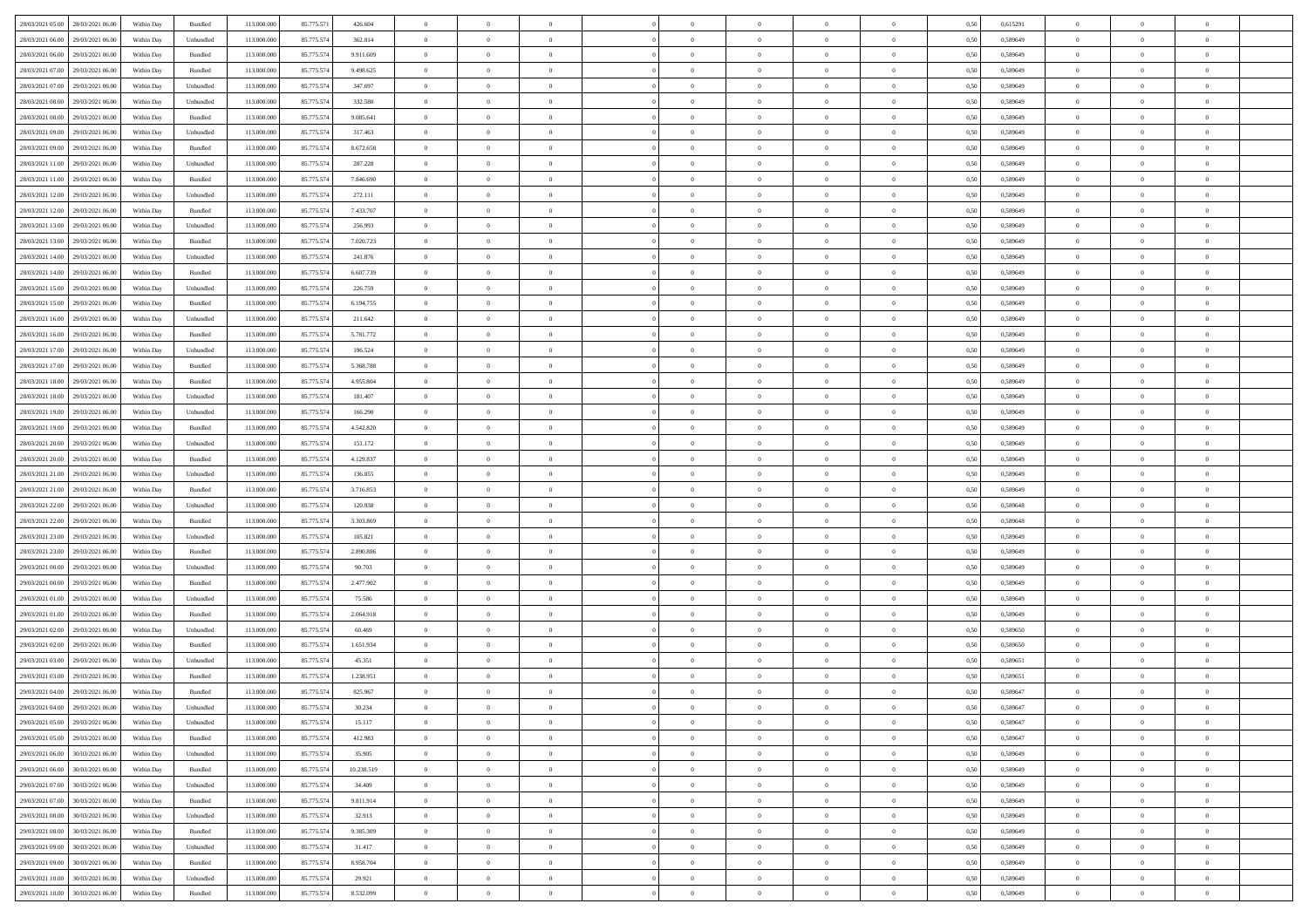| 28/03/2021 05:00 28/03/2021 06:00            | Within Day | Bundled                     | 113.000.000 | 85.775.571 | 426.604    | $\overline{0}$ | $\theta$       |                | $\overline{0}$ | $\theta$       |                | $\theta$       | 0,50 | 0,615291 | $\theta$       | $\theta$       | $\overline{0}$ |  |
|----------------------------------------------|------------|-----------------------------|-------------|------------|------------|----------------|----------------|----------------|----------------|----------------|----------------|----------------|------|----------|----------------|----------------|----------------|--|
| 28/03/2021 06:00<br>29/03/2021 06.00         | Within Day | Unbundled                   | 113.000.00  | 85.775.57  | 362.814    | $\bf{0}$       | $\bf{0}$       | $\bf{0}$       | $\bf{0}$       | $\overline{0}$ | $\overline{0}$ | $\bf{0}$       | 0,50 | 0,589649 | $\,$ 0 $\,$    | $\bf{0}$       | $\overline{0}$ |  |
| 28/03/2021 06:00<br>29/03/2021 06:00         | Within Day | Bundled                     | 113,000,000 | 85.775.574 | 9.911.609  | $\overline{0}$ | $\bf{0}$       | $\overline{0}$ | $\bf{0}$       | $\bf{0}$       | $\overline{0}$ | $\bf{0}$       | 0.50 | 0.589649 | $\bf{0}$       | $\overline{0}$ | $\overline{0}$ |  |
| 28/03/2021 07:00<br>29/03/2021 06:00         |            |                             | 113.000.000 |            |            | $\overline{0}$ | $\bf{0}$       | $\overline{0}$ | $\theta$       | $\theta$       | $\overline{0}$ |                |      |          | $\theta$       | $\theta$       | $\overline{0}$ |  |
|                                              | Within Day | Bundled                     |             | 85.775.574 | 9.498.625  |                |                |                |                |                |                | $\bf{0}$       | 0,50 | 0,589649 |                |                |                |  |
| 28/03/2021 07:00<br>29/03/2021 06.00         | Within Day | Unbundled                   | 113.000.00  | 85.775.574 | 347.697    | $\overline{0}$ | $\overline{0}$ | $\bf{0}$       | $\overline{0}$ | $\theta$       | $\overline{0}$ | $\bf{0}$       | 0,50 | 0,589649 | $\,$ 0 $\,$    | $\bf{0}$       | $\overline{0}$ |  |
| 28/03/2021 08:00<br>29/03/2021 06:00         | Within Day | Unbundled                   | 113,000,000 | 85.775.574 | 332.580    | $\overline{0}$ | $\overline{0}$ | $\overline{0}$ | $\bf{0}$       | $\overline{0}$ | $\theta$       | $\bf{0}$       | 0.50 | 0.589649 | $\bf{0}$       | $\theta$       | $\overline{0}$ |  |
| 28/03/2021 08:00<br>29/03/2021 06:00         | Within Day | Bundled                     | 113.000.000 | 85.775.574 | 9.085.641  | $\overline{0}$ | $\overline{0}$ | $\overline{0}$ | $\overline{0}$ | $\overline{0}$ | $\overline{0}$ | $\bf{0}$       | 0,50 | 0,589649 | $\theta$       | $\theta$       | $\overline{0}$ |  |
|                                              |            |                             |             |            |            |                |                |                |                |                |                |                |      |          |                |                |                |  |
| 28/03/2021 09:00<br>29/03/2021 06.00         | Within Day | Unbundled                   | 113.000.00  | 85.775.574 | 317.463    | $\bf{0}$       | $\overline{0}$ | $\bf{0}$       | $\overline{0}$ | $\overline{0}$ | $\overline{0}$ | $\bf{0}$       | 0,50 | 0,589649 | $\,$ 0 $\,$    | $\bf{0}$       | $\overline{0}$ |  |
| 28/03/2021 09:00<br>29/03/2021 06:00         | Within Day | Bundled                     | 113,000,000 | 85.775.57  | 8.672.658  | $\overline{0}$ | $\bf{0}$       | $\overline{0}$ | $\bf{0}$       | $\overline{0}$ | $\overline{0}$ | $\bf{0}$       | 0.50 | 0.589649 | $\bf{0}$       | $\overline{0}$ | $\overline{0}$ |  |
| 28/03/2021 11:00<br>29/03/2021 06:00         | Within Day | Unbundled                   | 113.000.000 | 85.775.574 | 287.228    | $\overline{0}$ | $\bf{0}$       | $\overline{0}$ | $\overline{0}$ | $\overline{0}$ | $\overline{0}$ | $\bf{0}$       | 0,50 | 0,589649 | $\,$ 0 $\,$    | $\bf{0}$       | $\overline{0}$ |  |
| 28/03/2021 11:00<br>29/03/2021 06.00         | Within Day | Bundled                     | 113.000.00  | 85.775.57  | 7.846.690  | $\bf{0}$       | $\overline{0}$ | $\bf{0}$       | $\bf{0}$       | $\bf{0}$       | $\overline{0}$ | $\bf{0}$       | 0,50 | 0,589649 | $\,$ 0 $\,$    | $\bf{0}$       | $\overline{0}$ |  |
|                                              |            |                             |             |            |            |                |                |                |                |                |                |                |      |          |                |                |                |  |
| 28/03/2021 12:00<br>29/03/2021 06:00         | Within Day | Unbundled                   | 113,000,000 | 85.775.574 | 272.111    | $\overline{0}$ | $\bf{0}$       | $\overline{0}$ | $\bf{0}$       | $\bf{0}$       | $\overline{0}$ | $\bf{0}$       | 0.50 | 0.589649 | $\bf{0}$       | $\overline{0}$ | $\bf{0}$       |  |
| 28/03/2021 12:00<br>29/03/2021 06:00         | Within Day | Bundled                     | 113.000.000 | 85.775.574 | 7.433.707  | $\overline{0}$ | $\overline{0}$ | $\overline{0}$ | $\theta$       | $\theta$       | $\overline{0}$ | $\bf{0}$       | 0,50 | 0,589649 | $\theta$       | $\theta$       | $\overline{0}$ |  |
| 28/03/2021 13:00<br>29/03/2021 06.00         | Within Day | Unbundled                   | 113.000.00  | 85.775.574 | 256.993    | $\bf{0}$       | $\overline{0}$ | $\bf{0}$       | $\overline{0}$ | $\theta$       | $\overline{0}$ | $\bf{0}$       | 0,50 | 0,589649 | $\bf{0}$       | $\bf{0}$       | $\overline{0}$ |  |
|                                              |            |                             |             |            |            |                |                |                |                |                |                |                |      |          |                |                |                |  |
| 28/03/2021 13:00<br>29/03/2021 06:00         | Within Day | Bundled                     | 113,000,000 | 85.775.574 | 7.020.723  | $\overline{0}$ | $\overline{0}$ | $\overline{0}$ | $\bf{0}$       | $\overline{0}$ | $\Omega$       | $\bf{0}$       | 0.50 | 0.589649 | $\theta$       | $\theta$       | $\overline{0}$ |  |
| 28/03/2021 14:00<br>29/03/2021 06:00         | Within Day | Unbundled                   | 113.000.000 | 85.775.574 | 241.876    | $\overline{0}$ | $\overline{0}$ | $\overline{0}$ | $\overline{0}$ | $\theta$       | $\overline{0}$ | $\bf{0}$       | 0,50 | 0,589649 | $\theta$       | $\theta$       | $\overline{0}$ |  |
| 28/03/2021 14:00<br>29/03/2021 06.00         | Within Day | Bundled                     | 113.000.00  | 85.775.574 | 6.607.739  | $\bf{0}$       | $\overline{0}$ | $\bf{0}$       | $\overline{0}$ | $\theta$       | $\overline{0}$ | $\bf{0}$       | 0,50 | 0,589649 | $\,$ 0 $\,$    | $\bf{0}$       | $\overline{0}$ |  |
| 28/03/2021 15:00<br>29/03/2021 06:00         | Within Day | Unbundled                   | 113,000,000 | 85.775.57  | 226,759    | $\overline{0}$ | $\bf{0}$       | $\overline{0}$ | $\bf{0}$       | $\overline{0}$ | $\overline{0}$ | $\bf{0}$       | 0.50 | 0.589649 | $\bf{0}$       | $\overline{0}$ | $\overline{0}$ |  |
|                                              |            |                             |             |            |            |                |                |                |                |                |                |                |      |          |                |                |                |  |
| 28/03/2021 15:00<br>29/03/2021 06:00         | Within Day | Bundled                     | 113.000.000 | 85.775.574 | 6.194.755  | $\overline{0}$ | $\bf{0}$       | $\overline{0}$ | $\overline{0}$ | $\overline{0}$ | $\overline{0}$ | $\bf{0}$       | 0,50 | 0,589649 | $\,$ 0 $\,$    | $\theta$       | $\overline{0}$ |  |
| 28/03/2021 16:00<br>29/03/2021 06.00         | Within Day | Unbundled                   | 113.000.00  | 85.775.574 | 211.642    | $\bf{0}$       | $\bf{0}$       | $\bf{0}$       | $\bf{0}$       | $\overline{0}$ | $\overline{0}$ | $\bf{0}$       | 0,50 | 0,589649 | $\,$ 0 $\,$    | $\bf{0}$       | $\overline{0}$ |  |
| 28/03/2021 16:00<br>29/03/2021 06:00         | Within Day | Bundled                     | 113,000,000 | 85.775.574 | 5.781.772  | $\overline{0}$ | $\bf{0}$       | $\overline{0}$ | $\bf{0}$       | $\bf{0}$       | $\overline{0}$ | $\bf{0}$       | 0.50 | 0.589649 | $\bf{0}$       | $\overline{0}$ | $\overline{0}$ |  |
| 28/03/2021 17:00<br>29/03/2021 06:00         | Within Day | Unbundled                   | 113.000.000 | 85.775.574 | 196.524    | $\overline{0}$ | $\overline{0}$ | $\overline{0}$ | $\theta$       | $\theta$       | $\overline{0}$ | $\bf{0}$       | 0,50 | 0,589649 | $\theta$       | $\theta$       | $\overline{0}$ |  |
|                                              |            |                             |             |            |            |                | $\overline{0}$ |                | $\overline{0}$ | $\overline{0}$ | $\overline{0}$ |                |      |          | $\,$ 0 $\,$    | $\bf{0}$       | $\overline{0}$ |  |
| 28/03/2021 17:00<br>29/03/2021 06.00         | Within Day | Bundled                     | 113.000.00  | 85.775.57  | 5.368.788  | $\bf{0}$       |                | $\bf{0}$       |                |                |                | $\bf{0}$       | 0,50 | 0,589649 |                |                |                |  |
| 28/03/2021 18:00<br>29/03/2021 06:00         | Within Day | Bundled                     | 113,000,000 | 85.775.57  | 4.955.804  | $\overline{0}$ | $\overline{0}$ | $\overline{0}$ | $\bf{0}$       | $\overline{0}$ | $\Omega$       | $\bf{0}$       | 0.50 | 0.589649 | $\bf{0}$       | $\theta$       | $\overline{0}$ |  |
| 28/03/2021 18:00<br>29/03/2021 06:00         | Within Day | Unbundled                   | 113.000.000 | 85.775.574 | 181.407    | $\overline{0}$ | $\overline{0}$ | $\overline{0}$ | $\overline{0}$ | $\overline{0}$ | $\overline{0}$ | $\bf{0}$       | 0,50 | 0,589649 | $\theta$       | $\theta$       | $\overline{0}$ |  |
| 28/03/2021 19:00<br>29/03/2021 06.00         | Within Day | Unbundled                   | 113.000.00  | 85.775.574 | 166.290    | $\bf{0}$       | $\overline{0}$ | $\bf{0}$       | $\overline{0}$ | $\theta$       | $\overline{0}$ | $\bf{0}$       | 0,50 | 0,589649 | $\,$ 0 $\,$    | $\bf{0}$       | $\overline{0}$ |  |
| 28/03/2021 19:00<br>29/03/2021 06:00         |            | Bundled                     | 113,000,000 | 85.775.57  | 4.542.820  |                | $\bf{0}$       | $\overline{0}$ |                | $\overline{0}$ | $\overline{0}$ |                | 0.50 | 0.589649 | $\bf{0}$       | $\overline{0}$ | $\overline{0}$ |  |
|                                              | Within Day |                             |             |            |            | $\overline{0}$ |                |                | $\bf{0}$       |                |                | $\bf{0}$       |      |          |                |                |                |  |
| 28/03/2021 20:00<br>29/03/2021 06:00         | Within Day | Unbundled                   | 113.000.000 | 85.775.574 | 151.172    | $\overline{0}$ | $\overline{0}$ | $\overline{0}$ | $\overline{0}$ | $\overline{0}$ | $\overline{0}$ | $\bf{0}$       | 0,50 | 0,589649 | $\theta$       | $\theta$       | $\overline{0}$ |  |
| 28/03/2021 20:00<br>29/03/2021 06.00         | Within Day | Bundled                     | 113.000.00  | 85.775.57  | 4.129.837  | $\bf{0}$       | $\bf{0}$       | $\bf{0}$       | $\bf{0}$       | $\overline{0}$ | $\overline{0}$ | $\bf{0}$       | 0,50 | 0,589649 | $\,$ 0 $\,$    | $\bf{0}$       | $\overline{0}$ |  |
| 28/03/2021 21:00<br>29/03/2021 06:00         | Within Day | Unbundled                   | 113,000,000 | 85.775.574 | 136,055    | $\overline{0}$ | $\bf{0}$       | $\overline{0}$ | $\bf{0}$       | $\bf{0}$       | $\overline{0}$ | $\bf{0}$       | 0.50 | 0.589649 | $\bf{0}$       | $\overline{0}$ | $\bf{0}$       |  |
| 28/03/2021 21:00<br>29/03/2021 06:00         | Within Day | Bundled                     | 113.000.000 | 85.775.574 | 3.716.853  | $\overline{0}$ | $\overline{0}$ | $\overline{0}$ | $\overline{0}$ | $\overline{0}$ | $\overline{0}$ | $\bf{0}$       | 0.50 | 0.589649 | $\theta$       | $\theta$       | $\overline{0}$ |  |
|                                              |            |                             |             |            |            |                |                |                |                |                |                |                |      |          |                |                |                |  |
| 28/03/2021 22:00<br>29/03/2021 06.00         | Within Day | Unbundled                   | 113.000.00  | 85.775.574 | 120.938    | $\bf{0}$       | $\overline{0}$ | $\bf{0}$       | $\bf{0}$       | $\overline{0}$ | $\overline{0}$ | $\bf{0}$       | 0,50 | 0,589648 | $\,$ 0 $\,$    | $\bf{0}$       | $\overline{0}$ |  |
| 28/03/2021 22:00<br>29/03/2021 06:00         | Within Day | Bundled                     | 113,000,000 | 85.775.574 | 3.303.869  | $\overline{0}$ | $\bf{0}$       | $\overline{0}$ | $\bf{0}$       | $\overline{0}$ | $\Omega$       | $\bf{0}$       | 0.50 | 0.589648 | $\,$ 0 $\,$    | $\theta$       | $\overline{0}$ |  |
| 28/03/2021 23:00<br>29/03/2021 06:00         | Within Dav | Unbundled                   | 113.000.000 | 85.775.574 | 105.821    | $\overline{0}$ | $\overline{0}$ | $\overline{0}$ | $\overline{0}$ | $\theta$       | $\overline{0}$ | $\bf{0}$       | 0.50 | 0.589649 | $\theta$       | $\theta$       | $\overline{0}$ |  |
| 28/03/2021 23:00<br>29/03/2021 06.00         | Within Day | Bundled                     | 113.000.00  | 85.775.57  | 2.890.886  | $\bf{0}$       | $\bf{0}$       | $\bf{0}$       | $\overline{0}$ | $\bf{0}$       | $\overline{0}$ | $\bf{0}$       | 0,50 | 0,589649 | $\,$ 0 $\,$    | $\bf{0}$       | $\overline{0}$ |  |
|                                              |            |                             |             |            |            |                |                |                |                |                |                |                |      |          |                |                |                |  |
| 29/03/2021 00:00<br>29/03/2021 06:00         | Within Day | Unbundled                   | 113,000,000 | 85.775.57  | 90.703     | $\overline{0}$ | $\bf{0}$       | $\overline{0}$ | $\bf{0}$       | $\overline{0}$ | $\overline{0}$ | $\bf{0}$       | 0.50 | 0.589649 | $\bf{0}$       | $\overline{0}$ | $\overline{0}$ |  |
| 29/03/2021 00:00<br>29/03/2021 06:00         | Within Dav | Bundled                     | 113.000.000 | 85.775.574 | 2.477.902  | $\overline{0}$ | $\overline{0}$ | $\overline{0}$ | $\overline{0}$ | $\overline{0}$ | $\overline{0}$ | $\overline{0}$ | 0.50 | 0.589649 | $\theta$       | $\theta$       | $\overline{0}$ |  |
| 29/03/2021 01:00<br>29/03/2021 06.00         | Within Day | Unbundled                   | 113.000.00  | 85.775.574 | 75.586     | $\bf{0}$       | $\bf{0}$       | $\bf{0}$       | $\bf{0}$       | $\overline{0}$ | $\overline{0}$ | $\bf{0}$       | 0,50 | 0,589649 | $\,$ 0 $\,$    | $\bf{0}$       | $\overline{0}$ |  |
| 29/03/2021 01:00<br>29/03/2021 06:00         | Within Day | Bundled                     | 113,000,000 | 85.775.574 | 2.064.918  | $\overline{0}$ | $\bf{0}$       | $\overline{0}$ | $\bf{0}$       | $\bf{0}$       | $\overline{0}$ | $\bf{0}$       | 0.50 | 0.589649 | $\bf{0}$       | $\overline{0}$ | $\overline{0}$ |  |
| 29/03/2021 02:00                             |            |                             |             |            |            |                | $\overline{0}$ |                |                | $\theta$       |                |                |      |          | $\theta$       | $\theta$       | $\overline{0}$ |  |
| 29/03/2021 06:00                             | Within Dav | Unbundled                   | 113.000.000 | 85.775.574 | 60.469     | $\overline{0}$ |                | $\overline{0}$ | $\overline{0}$ |                | $\overline{0}$ | $\bf{0}$       | 0.50 | 0.589650 |                |                |                |  |
| 29/03/2021 02:00<br>29/03/2021 06.00         | Within Day | Bundled                     | 113.000.00  | 85.775.57  | 1.651.934  | $\bf{0}$       | $\bf{0}$       | $\bf{0}$       | $\bf{0}$       | $\overline{0}$ | $\overline{0}$ | $\bf{0}$       | 0,50 | 0,589650 | $\,$ 0 $\,$    | $\bf{0}$       | $\overline{0}$ |  |
| 29/03/2021 03:00<br>29/03/2021 06.00         | Within Day | Unbundled                   | 113,000,00  | 85.775.574 | 45.351     | $\overline{0}$ | $\overline{0}$ | $\overline{0}$ | $\bf{0}$       | $\theta$       | $\Omega$       | $\bf{0}$       | 0.50 | 0.589651 | $\bf{0}$       | $\theta$       | $\overline{0}$ |  |
| 29/03/2021 03:00<br>29/03/2021 06:00         | Within Dav | Bundled                     | 113.000.000 | 85.775.574 | 1.238.951  | $\overline{0}$ | $\overline{0}$ | $\Omega$       | $\overline{0}$ | $\theta$       | $\Omega$       | $\overline{0}$ | 0.50 | 0.589651 | $\theta$       | $\theta$       | $\overline{0}$ |  |
| 29/03/2021 04:00<br>29/03/2021 06:00         | Within Day | Bundled                     | 113.000.000 | 85.775.574 | 825.967    | $\bf{0}$       | $\bf{0}$       | $\overline{0}$ | $\bf{0}$       | $\bf{0}$       | $\overline{0}$ | $\bf{0}$       | 0,50 | 0,589647 | $\overline{0}$ | $\overline{0}$ | $\overline{0}$ |  |
|                                              |            |                             |             |            |            |                |                |                |                |                |                |                |      |          |                |                |                |  |
| $29/03/2021\ 04.00 \qquad 29/03/2021\ 06.00$ | Within Day | $\ensuremath{\mathsf{Unb}}$ | 113.000.000 | 85.775.574 | 30.234     | $\overline{0}$ | $\Omega$       |                | $\Omega$       |                |                |                | 0,50 | 0.589647 | $\theta$       | $\overline{0}$ |                |  |
| 29/03/2021 05:00 29/03/2021 06:00            | Within Day | Unbundled                   | 113.000.000 | 85.775.574 | 15.117     | $\overline{0}$ | $\overline{0}$ | $\overline{0}$ | $\theta$       | $\overline{0}$ | $\overline{0}$ | $\bf{0}$       | 0,50 | 0,589647 | $\theta$       | $\overline{0}$ | $\overline{0}$ |  |
| 29/03/2021 05:00<br>29/03/2021 06.00         | Within Day | Bundled                     | 113.000.00  | 85.775.574 | 412.983    | $\overline{0}$ | $\bf{0}$       | $\overline{0}$ | $\overline{0}$ | $\bf{0}$       | $\overline{0}$ | $\bf{0}$       | 0,50 | 0,589647 | $\bf{0}$       | $\overline{0}$ | $\bf{0}$       |  |
| 29/03/2021 06:00<br>30/03/2021 06:00         | Within Day | Unbundled                   | 113,000,000 | 85.775.574 | 35.905     | $\overline{0}$ | $\bf{0}$       | $\overline{0}$ | $\overline{0}$ | $\mathbf{0}$   | $\overline{0}$ | $\,$ 0 $\,$    | 0.50 | 0.589649 | $\overline{0}$ | $\bf{0}$       | $\bf{0}$       |  |
|                                              |            |                             |             |            |            |                |                |                |                |                |                |                |      |          |                |                |                |  |
| 29/03/2021 06:00<br>30/03/2021 06:00         | Within Dav | Bundled                     | 113.000.000 | 85.775.574 | 10.238.519 | $\overline{0}$ | $\overline{0}$ | $\overline{0}$ | $\overline{0}$ | $\overline{0}$ | $\overline{0}$ | $\bf{0}$       | 0,50 | 0.589649 | $\theta$       | $\theta$       | $\overline{0}$ |  |
| 29/03/2021 07:00<br>30/03/2021 06:00         | Within Day | Unbundled                   | 113.000.000 | 85.775.574 | 34.409     | $\overline{0}$ | $\bf{0}$       | $\overline{0}$ | $\overline{0}$ | $\bf{0}$       | $\overline{0}$ | $\bf{0}$       | 0,50 | 0,589649 | $\bf{0}$       | $\overline{0}$ | $\overline{0}$ |  |
| 29/03/2021 07:00<br>30/03/2021 06:00         | Within Day | Bundled                     | 113,000,000 | 85.775.574 | 9.811.914  | $\overline{0}$ | $\bf{0}$       | $\overline{0}$ | $\overline{0}$ | $\bf{0}$       | $\overline{0}$ | $\bf{0}$       | 0.50 | 0.589649 | $\,$ 0 $\,$    | $\overline{0}$ | $\,$ 0         |  |
| 29/03/2021 08:00<br>30/03/2021 06:00         | Within Dav | Unbundled                   | 113.000.000 | 85.775.574 | 32.913     | $\overline{0}$ | $\overline{0}$ | $\overline{0}$ | $\overline{0}$ | $\overline{0}$ | $\overline{0}$ | $\bf{0}$       | 0,50 | 0.589649 | $\overline{0}$ | $\theta$       | $\overline{0}$ |  |
|                                              |            |                             |             |            |            |                |                |                |                |                |                |                |      |          |                |                |                |  |
| 29/03/2021 08:00<br>30/03/2021 06:00         | Within Day | Bundled                     | 113.000.00  | 85.775.574 | 9.385.309  | $\overline{0}$ | $\overline{0}$ | $\overline{0}$ | $\overline{0}$ | $\overline{0}$ | $\overline{0}$ | $\bf{0}$       | 0,50 | 0,589649 | $\bf{0}$       | $\overline{0}$ | $\,$ 0         |  |
| 29/03/2021 09:00<br>30/03/2021 06:00         | Within Day | Unbundled                   | 113,000,000 | 85.775.574 | 31.417     | $\overline{0}$ | $\overline{0}$ | $\overline{0}$ | $\overline{0}$ | $\overline{0}$ | $\overline{0}$ | $\bf{0}$       | 0.50 | 0.589649 | $\mathbf{0}$   | $\bf{0}$       | $\,$ 0         |  |
| 29/03/2021 09:00<br>30/03/2021 06:00         | Within Dav | Bundled                     | 113.000.000 | 85.775.574 | 8.958.704  | $\overline{0}$ | $\overline{0}$ | $\overline{0}$ | $\overline{0}$ | $\overline{0}$ | $\overline{0}$ | $\bf{0}$       | 0,50 | 0.589649 | $\overline{0}$ | $\theta$       | $\overline{0}$ |  |
| 29/03/2021 10:00<br>30/03/2021 06:00         | Within Day | Unbundled                   | 113.000.00  | 85.775.574 | 29.921     | $\overline{0}$ | $\bf{0}$       | $\overline{0}$ | $\overline{0}$ | $\overline{0}$ | $\overline{0}$ | $\bf{0}$       | 0,50 | 0,589649 | $\bf{0}$       | $\overline{0}$ | $\bf{0}$       |  |
|                                              |            |                             |             |            |            |                |                |                |                |                |                |                |      |          |                |                |                |  |
| 29/03/2021 10:00 30/03/2021 06:00            | Within Day | Bundled                     | 113.000.000 | 85.775.574 | 8.532.099  | $\overline{0}$ | $\bf{0}$       | $\overline{0}$ | $\overline{0}$ | $\,$ 0 $\,$    | $\overline{0}$ | $\,$ 0 $\,$    | 0,50 | 0,589649 | $\overline{0}$ | $\,$ 0 $\,$    | $\,$ 0 $\,$    |  |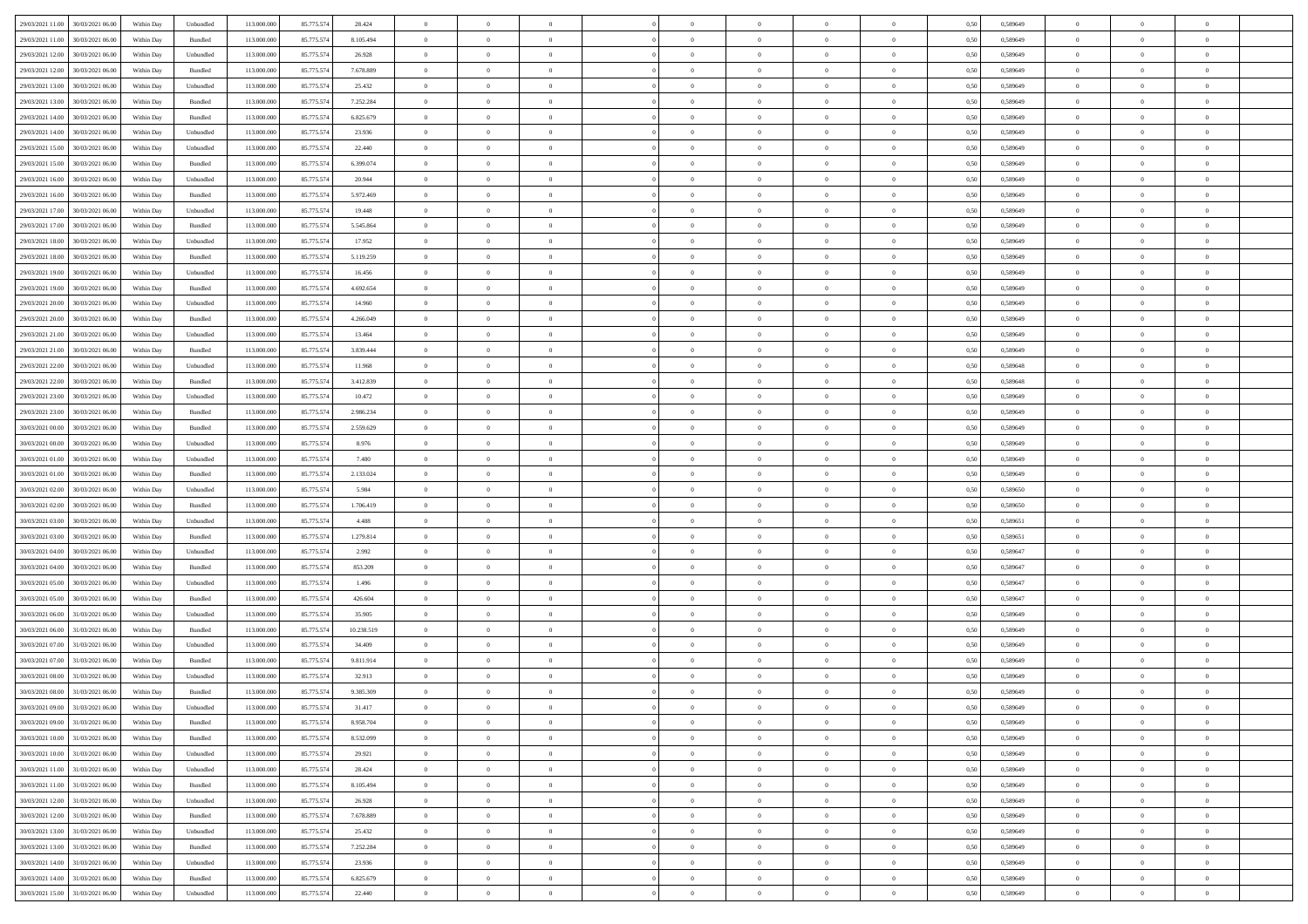| 29/03/2021 11:00<br>30/03/2021 06:00         |            |                             | 113.000.000 |            |            | $\overline{0}$ | $\overline{0}$ |                | $\overline{0}$ | $\theta$       |                | $\theta$       |      | 0,589649 | $\theta$       | $\theta$       | $\overline{0}$ |  |
|----------------------------------------------|------------|-----------------------------|-------------|------------|------------|----------------|----------------|----------------|----------------|----------------|----------------|----------------|------|----------|----------------|----------------|----------------|--|
|                                              | Within Day | Unbundled                   |             | 85.775.574 | 28.424     |                |                |                |                |                |                |                | 0,50 |          |                |                |                |  |
| 29/03/2021 11:00<br>30/03/2021 06:00         | Within Day | Bundled                     | 113.000.00  | 85.775.574 | 8.105.494  | $\bf{0}$       | $\bf{0}$       | $\bf{0}$       | $\bf{0}$       | $\overline{0}$ | $\bf{0}$       | $\bf{0}$       | 0,50 | 0,589649 | $\,$ 0 $\,$    | $\bf{0}$       | $\overline{0}$ |  |
| 29/03/2021 12:00<br>30/03/2021 06:00         | Within Day | Unbundled                   | 113,000,000 | 85.775.574 | 26.928     | $\overline{0}$ | $\bf{0}$       | $\overline{0}$ | $\overline{0}$ | $\overline{0}$ | $\overline{0}$ | $\bf{0}$       | 0.50 | 0.589649 | $\overline{0}$ | $\overline{0}$ | $\,$ 0         |  |
| 29/03/2021 12:00<br>30/03/2021 06:00         | Within Day | Bundled                     | 113.000.000 | 85.775.574 | 7.678.889  | $\overline{0}$ | $\overline{0}$ | $\overline{0}$ | $\overline{0}$ | $\theta$       | $\overline{0}$ | $\bf{0}$       | 0,50 | 0,589649 | $\theta$       | $\,$ 0 $\,$    | $\overline{0}$ |  |
|                                              |            |                             |             |            |            |                |                |                |                |                |                |                |      |          |                |                |                |  |
| 29/03/2021 13:00<br>30/03/2021 06:00         | Within Day | Unbundled                   | 113.000.00  | 85.775.574 | 25.432     | $\bf{0}$       | $\overline{0}$ | $\bf{0}$       | $\overline{0}$ | $\bf{0}$       | $\overline{0}$ | $\bf{0}$       | 0,50 | 0,589649 | $\,$ 0 $\,$    | $\bf{0}$       | $\overline{0}$ |  |
| 29/03/2021 13:00<br>30/03/2021 06:00         | Within Day | Bundled                     | 113,000,000 | 85.775.57  | 7.252.284  | $\overline{0}$ | $\bf{0}$       | $\overline{0}$ | $\bf{0}$       | $\overline{0}$ | $\overline{0}$ | $\bf{0}$       | 0.50 | 0.589649 | $\,$ 0 $\,$    | $\theta$       | $\overline{0}$ |  |
| 29/03/2021 14:00<br>30/03/2021 06:00         | Within Day | Bundled                     | 113.000.000 | 85.775.574 | 6.825.679  | $\overline{0}$ | $\overline{0}$ | $\overline{0}$ | $\overline{0}$ | $\overline{0}$ | $\overline{0}$ | $\bf{0}$       | 0,50 | 0,589649 | $\,$ 0 $\,$    | $\theta$       | $\overline{0}$ |  |
| 29/03/2021 14:00<br>30/03/2021 06:00         | Within Day | Unbundled                   | 113.000.00  | 85.775.574 | 23.936     | $\bf{0}$       | $\bf{0}$       | $\bf{0}$       | $\bf{0}$       | $\overline{0}$ | $\overline{0}$ | $\bf{0}$       | 0,50 | 0,589649 | $\,$ 0 $\,$    | $\bf{0}$       | $\overline{0}$ |  |
| 29/03/2021 15:00<br>30/03/2021 06:00         | Within Day | Unbundled                   | 113,000,000 | 85.775.57  | 22.440     | $\overline{0}$ | $\bf{0}$       | $\overline{0}$ | $\bf{0}$       | $\overline{0}$ | $\overline{0}$ | $\bf{0}$       | 0.50 | 0.589649 | $\bf{0}$       | $\overline{0}$ | $\bf{0}$       |  |
|                                              |            |                             |             |            |            |                |                |                |                |                |                |                |      |          |                |                |                |  |
| 29/03/2021 15:00<br>30/03/2021 06:00         | Within Day | Bundled                     | 113.000.000 | 85.775.574 | 6.399.074  | $\bf{0}$       | $\bf{0}$       | $\overline{0}$ | $\overline{0}$ | $\overline{0}$ | $\overline{0}$ | $\bf{0}$       | 0,50 | 0,589649 | $\,$ 0 $\,$    | $\,$ 0 $\,$    | $\overline{0}$ |  |
| 29/03/2021 16:00<br>30/03/2021 06:00         | Within Day | Unbundled                   | 113.000.00  | 85.775.57  | 20.944     | $\bf{0}$       | $\bf{0}$       | $\bf{0}$       | $\bf{0}$       | $\overline{0}$ | $\overline{0}$ | $\bf{0}$       | 0,50 | 0,589649 | $\,$ 0 $\,$    | $\bf{0}$       | $\overline{0}$ |  |
| 29/03/2021 16:00<br>30/03/2021 06:00         | Within Day | Bundled                     | 113,000,000 | 85.775.574 | 5.972.469  | $\overline{0}$ | $\bf{0}$       | $\overline{0}$ | $\overline{0}$ | $\overline{0}$ | $\overline{0}$ | $\bf{0}$       | 0.50 | 0.589649 | $\bf{0}$       | $\,$ 0 $\,$    | $\,$ 0         |  |
| 29/03/2021 17:00<br>30/03/2021 06:00         | Within Day | Unbundled                   | 113.000.000 | 85.775.574 | 19.448     | $\overline{0}$ | $\bf{0}$       | $\overline{0}$ | $\theta$       | $\theta$       | $\overline{0}$ | $\bf{0}$       | 0,50 | 0,589649 | $\,$ 0 $\,$    | $\,$ 0 $\,$    | $\overline{0}$ |  |
|                                              |            |                             |             |            |            |                | $\bf{0}$       |                |                | $\overline{0}$ | $\overline{0}$ |                |      |          | $\,$ 0 $\,$    | $\bf{0}$       | $\overline{0}$ |  |
| 29/03/2021 17:00<br>30/03/2021 06:00         | Within Day | Bundled                     | 113.000.00  | 85.775.574 | 5.545.864  | $\bf{0}$       |                | $\bf{0}$       | $\bf{0}$       |                |                | $\bf{0}$       | 0,50 | 0,589649 |                |                |                |  |
| 29/03/2021 18:00<br>30/03/2021 06:00         | Within Day | Unbundled                   | 113,000,000 | 85.775.574 | 17.952     | $\overline{0}$ | $\bf{0}$       | $\overline{0}$ | $\bf{0}$       | $\overline{0}$ | $\theta$       | $\bf{0}$       | 0.50 | 0.589649 | $\,$ 0 $\,$    | $\theta$       | $\overline{0}$ |  |
| 29/03/2021 18:00<br>30/03/2021 06:00         | Within Day | Bundled                     | 113.000.000 | 85.775.574 | 5.119.259  | $\overline{0}$ | $\bf{0}$       | $\overline{0}$ | $\overline{0}$ | $\overline{0}$ | $\overline{0}$ | $\bf{0}$       | 0,50 | 0,589649 | $\theta$       | $\theta$       | $\overline{0}$ |  |
| 29/03/2021 19:00<br>30/03/2021 06:00         | Within Day | Unbundled                   | 113.000.00  | 85.775.574 | 16.456     | $\bf{0}$       | $\bf{0}$       | $\bf{0}$       | $\overline{0}$ | $\overline{0}$ | $\overline{0}$ | $\bf{0}$       | 0,50 | 0,589649 | $\,$ 0 $\,$    | $\bf{0}$       | $\overline{0}$ |  |
| 29/03/2021 19:00<br>30/03/2021 06:00         | Within Day | Bundled                     | 113,000,000 | 85.775.57  | 4.692.654  | $\overline{0}$ | $\bf{0}$       | $\overline{0}$ | $\bf{0}$       | $\overline{0}$ | $\overline{0}$ | $\bf{0}$       | 0.50 | 0.589649 | $\bf{0}$       | $\overline{0}$ | $\bf{0}$       |  |
|                                              |            |                             |             |            |            | $\overline{0}$ |                | $\overline{0}$ | $\overline{0}$ | $\overline{0}$ | $\overline{0}$ |                |      |          | $\,$ 0 $\,$    |                |                |  |
| 29/03/2021 20:00<br>30/03/2021 06:00         | Within Day | Unbundled                   | 113.000.000 | 85.775.574 | 14.960     |                | $\bf{0}$       |                |                |                |                | $\bf{0}$       | 0,50 | 0,589649 |                | $\bf{0}$       | $\overline{0}$ |  |
| 29/03/2021 20:00<br>30/03/2021 06:00         | Within Day | Bundled                     | 113.000.00  | 85.775.574 | 4.266.049  | $\bf{0}$       | $\bf{0}$       | $\bf{0}$       | $\bf{0}$       | $\overline{0}$ | $\overline{0}$ | $\bf{0}$       | 0,50 | 0,589649 | $\,$ 0 $\,$    | $\bf{0}$       | $\overline{0}$ |  |
| 29/03/2021 21:00<br>30/03/2021 06:00         | Within Day | Unbundled                   | 113,000,000 | 85.775.574 | 13.464     | $\overline{0}$ | $\bf{0}$       | $\overline{0}$ | $\overline{0}$ | $\overline{0}$ | $\overline{0}$ | $\bf{0}$       | 0.50 | 0.589649 | $\bf{0}$       | $\,$ 0 $\,$    | $\,$ 0         |  |
| 29/03/2021 21:00<br>30/03/2021 06:00         | Within Day | Bundled                     | 113.000.000 | 85.775.574 | 3.839.444  | $\overline{0}$ | $\overline{0}$ | $\overline{0}$ | $\overline{0}$ | $\overline{0}$ | $\overline{0}$ | $\bf{0}$       | 0,50 | 0,589649 | $\theta$       | $\theta$       | $\overline{0}$ |  |
| 29/03/2021 22:00<br>30/03/2021 06:00         | Within Day | Unbundled                   | 113.000.00  | 85.775.574 | 11.968     | $\bf{0}$       | $\bf{0}$       | $\bf{0}$       | $\bf{0}$       | $\overline{0}$ | $\overline{0}$ | $\bf{0}$       | 0,50 | 0,589648 | $\,$ 0 $\,$    | $\bf{0}$       | $\overline{0}$ |  |
| 29/03/2021 22:00<br>30/03/2021 06:00         | Within Day | Bundled                     | 113,000,000 | 85.775.57  | 3.412.839  | $\overline{0}$ | $\bf{0}$       | $\overline{0}$ | $\bf{0}$       | $\overline{0}$ | $\theta$       | $\bf{0}$       | 0.50 | 0.589648 | $\,$ 0 $\,$    | $\overline{0}$ | $\overline{0}$ |  |
|                                              |            |                             |             |            |            | $\overline{0}$ | $\overline{0}$ | $\overline{0}$ | $\overline{0}$ | $\overline{0}$ | $\overline{0}$ |                |      |          |                | $\theta$       |                |  |
| 29/03/2021 23:00<br>30/03/2021 06:00         | Within Day | Unbundled                   | 113.000.000 | 85.775.574 | 10.472     |                |                |                |                |                |                | $\bf{0}$       | 0,50 | 0,589649 | $\,$ 0 $\,$    |                | $\overline{0}$ |  |
| 29/03/2021 23:00<br>30/03/2021 06.00         | Within Day | Bundled                     | 113.000.00  | 85.775.574 | 2.986.234  | $\bf{0}$       | $\bf{0}$       | $\bf{0}$       | $\bf{0}$       | $\overline{0}$ | $\overline{0}$ | $\bf{0}$       | 0,50 | 0,589649 | $\,$ 0 $\,$    | $\bf{0}$       | $\overline{0}$ |  |
| 30/03/2021 00:00<br>30/03/2021 06:00         | Within Day | Bundled                     | 113,000,000 | 85.775.57  | 2.559.629  | $\overline{0}$ | $\bf{0}$       | $\overline{0}$ | $\bf{0}$       | $\overline{0}$ | $\overline{0}$ | $\bf{0}$       | 0.50 | 0.589649 | $\bf{0}$       | $\overline{0}$ | $\bf{0}$       |  |
| 30/03/2021 00:00<br>30/03/2021 06:00         | Within Day | Unbundled                   | 113.000.000 | 85.775.574 | 8.976      | $\overline{0}$ | $\bf{0}$       | $\overline{0}$ | $\overline{0}$ | $\overline{0}$ | $\overline{0}$ | $\bf{0}$       | 0,50 | 0,589649 | $\theta$       | $\,$ 0 $\,$    | $\overline{0}$ |  |
| 30/03/2021 01:00<br>30/03/2021 06:00         | Within Day | Unbundled                   | 113.000.00  | 85.775.574 | 7.480      | $\bf{0}$       | $\bf{0}$       | $\bf{0}$       | $\bf{0}$       | $\overline{0}$ | $\bf{0}$       | $\bf{0}$       | 0,50 | 0,589649 | $\,$ 0 $\,$    | $\bf{0}$       | $\overline{0}$ |  |
| 30/03/2021 01:00<br>30/03/2021 06:00         | Within Day | Bundled                     | 113,000,000 | 85.775.574 | 2.133.024  | $\overline{0}$ | $\bf{0}$       | $\overline{0}$ | $\overline{0}$ | $\overline{0}$ | $\overline{0}$ | $\bf{0}$       | 0.50 | 0.589649 | $\bf{0}$       | $\,$ 0 $\,$    | $\,$ 0         |  |
| 30/03/2021 02:00<br>30/03/2021 06:00         | Within Day | Unbundled                   | 113.000.000 | 85.775.574 | 5.984      | $\overline{0}$ | $\overline{0}$ | $\overline{0}$ | $\overline{0}$ | $\overline{0}$ | $\overline{0}$ | $\bf{0}$       | 0.50 | 0.589650 | $\theta$       | $\theta$       | $\overline{0}$ |  |
|                                              |            |                             |             |            |            |                |                |                |                |                |                |                |      |          |                |                |                |  |
| 30/03/2021 02:00<br>30/03/2021 06:00         | Within Day | Bundled                     | 113.000.00  | 85.775.574 | 1.706.419  | $\bf{0}$       | $\bf{0}$       | $\bf{0}$       | $\bf{0}$       | $\overline{0}$ | $\overline{0}$ | $\bf{0}$       | 0,50 | 0,589650 | $\,$ 0 $\,$    | $\bf{0}$       | $\overline{0}$ |  |
| 30/03/2021 03:00<br>30/03/2021 06:00         | Within Day | Unbundled                   | 113,000,000 | 85.775.574 | 4.488      | $\overline{0}$ | $\bf{0}$       | $\overline{0}$ | $\bf{0}$       | $\overline{0}$ | $\overline{0}$ | $\bf{0}$       | 0.50 | 0.589651 | $\bf{0}$       | $\bf{0}$       | $\overline{0}$ |  |
| 30/03/2021 03:00<br>30/03/2021 06:00         | Within Dav | Bundled                     | 113.000.000 | 85.775.574 | 1.279.814  | $\overline{0}$ | $\overline{0}$ | $\overline{0}$ | $\overline{0}$ | $\overline{0}$ | $\overline{0}$ | $\bf{0}$       | 0.50 | 0,589651 | $\theta$       | $\theta$       | $\overline{0}$ |  |
| 30/03/2021 04:00<br>30/03/2021 06:00         | Within Day | Unbundled                   | 113.000.00  | 85.775.574 | 2.992      | $\bf{0}$       | $\bf{0}$       | $\bf{0}$       | $\bf{0}$       | $\overline{0}$ | $\overline{0}$ | $\bf{0}$       | 0,50 | 0,589647 | $\,$ 0 $\,$    | $\bf{0}$       | $\overline{0}$ |  |
| 30/03/2021 04:00<br>30/03/2021 06:00         | Within Day | Bundled                     | 113,000,000 | 85.775.57  | 853.209    | $\overline{0}$ | $\bf{0}$       | $\overline{0}$ | $\bf{0}$       | $\overline{0}$ | $\overline{0}$ | $\bf{0}$       | 0.50 | 0.589647 | $\bf{0}$       | $\overline{0}$ | $\bf{0}$       |  |
| 30/03/2021 05:00<br>30/03/2021 06:00         | Within Day | Unbundled                   | 113.000.000 | 85.775.574 | 1.496      | $\overline{0}$ | $\overline{0}$ | $\overline{0}$ | $\overline{0}$ | $\overline{0}$ | $\overline{0}$ | $\bf{0}$       | 0.50 | 0.589647 | $\theta$       | $\theta$       | $\overline{0}$ |  |
|                                              |            |                             |             |            |            |                |                |                |                |                |                |                |      |          |                |                |                |  |
| 30/03/2021 05:00<br>30/03/2021 06:00         | Within Day | Bundled                     | 113.000.00  | 85.775.574 | 426.604    | $\bf{0}$       | $\bf{0}$       | $\bf{0}$       | $\bf{0}$       | $\overline{0}$ | $\overline{0}$ | $\bf{0}$       | 0,50 | 0,589647 | $\,$ 0 $\,$    | $\bf{0}$       | $\overline{0}$ |  |
| 30/03/2021 06:00<br>31/03/2021 06.00         | Within Day | Unbundled                   | 113,000,000 | 85.775.574 | 35.905     | $\overline{0}$ | $\bf{0}$       | $\overline{0}$ | $\overline{0}$ | $\bf{0}$       | $\overline{0}$ | $\bf{0}$       | 0.50 | 0.589649 | $\bf{0}$       | $\,$ 0 $\,$    | $\,$ 0         |  |
| 30/03/2021 06:00<br>31/03/2021 06:00         | Within Day | Bundled                     | 113.000.000 | 85.775.574 | 10.238.519 | $\overline{0}$ | $\overline{0}$ | $\overline{0}$ | $\overline{0}$ | $\overline{0}$ | $\overline{0}$ | $\bf{0}$       | 0.50 | 0.589649 | $\theta$       | $\theta$       | $\overline{0}$ |  |
| 30/03/2021 07:00<br>31/03/2021 06.00         | Within Day | Unbundled                   | 113.000.00  | 85.775.574 | 34.409     | $\bf{0}$       | $\bf{0}$       | $\bf{0}$       | $\overline{0}$ | $\overline{0}$ | $\overline{0}$ | $\bf{0}$       | 0,50 | 0,589649 | $\,$ 0 $\,$    | $\bf{0}$       | $\overline{0}$ |  |
| 30/03/2021 07:00<br>31/03/2021 06.00         | Within Day | Bundled                     | 113,000,000 | 85.775.574 | 9.811.914  | $\overline{0}$ | $\overline{0}$ | $\overline{0}$ | $\bf{0}$       | $\overline{0}$ | $\overline{0}$ | $\bf{0}$       | 0.50 | 0.589649 | $\bf{0}$       | $\theta$       | $\overline{0}$ |  |
| 30/03/2021 08:00<br>31/03/2021 06:00         | Within Dav | Unbundled                   | 113.000.000 | 85.775.574 | 32.913     | $\overline{0}$ | $\overline{0}$ | $\overline{0}$ | $\overline{0}$ | $\theta$       | $\overline{0}$ | $\overline{0}$ | 0.5( | 0.589649 | $\theta$       | $\theta$       | $\overline{0}$ |  |
|                                              |            |                             |             |            |            |                |                |                |                |                |                |                |      |          |                |                |                |  |
| 30/03/2021 08:00<br>31/03/2021 06:00         | Within Day | Bundled                     | 113.000.000 | 85.775.574 | 9.385.309  | $\bf{0}$       | $\bf{0}$       | $\bf{0}$       | $\bf{0}$       | $\overline{0}$ | $\overline{0}$ | $\bf{0}$       | 0,50 | 0,589649 | $\overline{0}$ | $\overline{0}$ | $\overline{0}$ |  |
| $30/03/2021\ 09.00 \qquad 31/03/2021\ 06.00$ | Within Day | $\ensuremath{\mathsf{Unb}}$ | 113.000.000 | 85.775.574 | 31.417     | $\bf{0}$       | $\theta$       |                | $\overline{0}$ | $\bf{0}$       |                |                | 0,50 | 0.589649 | $\bf{0}$       | $\bf{0}$       |                |  |
| 30/03/2021 09:00 31/03/2021 06:00            | Within Day | Bundled                     | 113.000.000 | 85.775.574 | 8.958.704  | $\overline{0}$ | $\overline{0}$ | $\overline{0}$ | $\overline{0}$ | $\overline{0}$ | $\overline{0}$ | $\bf{0}$       | 0,50 | 0,589649 | $\theta$       | $\overline{0}$ | $\overline{0}$ |  |
| 30/03/2021 10:00<br>31/03/2021 06:00         | Within Day | Bundled                     | 113.000.00  | 85.775.574 | 8.532.099  | $\overline{0}$ | $\bf{0}$       | $\overline{0}$ | $\overline{0}$ | $\bf{0}$       | $\overline{0}$ | $\bf{0}$       | 0,50 | 0,589649 | $\bf{0}$       | $\overline{0}$ | $\bf{0}$       |  |
| 30/03/2021 10:00 31/03/2021 06:00            | Within Day | Unbundled                   | 113,000,000 | 85.775.574 | 29.921     | $\overline{0}$ | $\overline{0}$ | $\overline{0}$ | $\overline{0}$ | $\mathbf{0}$   | $\overline{0}$ | $\,$ 0 $\,$    | 0.50 | 0.589649 | $\overline{0}$ | $\bf{0}$       | $\bf{0}$       |  |
|                                              |            |                             |             |            |            |                |                |                |                |                |                |                |      |          |                |                |                |  |
| 30/03/2021 11:00 31/03/2021 06:00            | Within Dav | Unbundled                   | 113.000.000 | 85.775.574 | 28.424     | $\overline{0}$ | $\overline{0}$ | $\overline{0}$ | $\overline{0}$ | $\overline{0}$ | $\overline{0}$ | $\bf{0}$       | 0,50 | 0.589649 | $\overline{0}$ | $\theta$       | $\overline{0}$ |  |
| 30/03/2021 11:00<br>31/03/2021 06:00         | Within Day | Bundled                     | 113.000.000 | 85.775.574 | 8.105.494  | $\overline{0}$ | $\bf{0}$       | $\overline{0}$ | $\overline{0}$ | $\bf{0}$       | $\overline{0}$ | $\bf{0}$       | 0,50 | 0,589649 | $\bf{0}$       | $\overline{0}$ | $\overline{0}$ |  |
| 30/03/2021 12:00<br>31/03/2021 06:00         | Within Day | Unbundled                   | 113,000,000 | 85.775.574 | 26.928     | $\overline{0}$ | $\bf{0}$       | $\overline{0}$ | $\overline{0}$ | $\bf{0}$       | $\overline{0}$ | $\bf{0}$       | 0.50 | 0.589649 | $\,$ 0 $\,$    | $\overline{0}$ | $\,$ 0         |  |
| 30/03/2021 12:00<br>31/03/2021 06:00         | Within Dav | Bundled                     | 113.000.000 | 85.775.574 | 7.678.889  | $\overline{0}$ | $\overline{0}$ | $\overline{0}$ | $\overline{0}$ | $\overline{0}$ | $\overline{0}$ | $\bf{0}$       | 0,50 | 0.589649 | $\overline{0}$ | $\theta$       | $\overline{0}$ |  |
| 30/03/2021 13:00<br>31/03/2021 06:00         | Within Day | Unbundled                   | 113.000.00  | 85.775.574 | 25.432     | $\overline{0}$ | $\overline{0}$ | $\overline{0}$ | $\overline{0}$ | $\overline{0}$ | $\overline{0}$ | $\bf{0}$       | 0,50 | 0,589649 | $\bf{0}$       | $\overline{0}$ | $\,$ 0         |  |
|                                              |            |                             |             |            |            |                |                |                |                |                |                |                |      |          |                |                |                |  |
| 30/03/2021 13:00<br>31/03/2021 06:00         | Within Day | Bundled                     | 113,000,000 | 85.775.574 | 7.252.284  | $\overline{0}$ | $\overline{0}$ | $\overline{0}$ | $\overline{0}$ | $\overline{0}$ | $\overline{0}$ | $\bf{0}$       | 0.50 | 0.589649 | $\mathbf{0}$   | $\bf{0}$       | $\,$ 0         |  |
| 30/03/2021 14:00<br>31/03/2021 06:00         | Within Dav | Unbundled                   | 113.000.000 | 85.775.574 | 23.936     | $\overline{0}$ | $\overline{0}$ | $\overline{0}$ | $\overline{0}$ | $\overline{0}$ | $\overline{0}$ | $\bf{0}$       | 0,50 | 0.589649 | $\overline{0}$ | $\theta$       | $\overline{0}$ |  |
| 30/03/2021 14:00<br>31/03/2021 06:00         | Within Day | Bundled                     | 113.000.00  | 85.775.574 | 6.825.679  | $\overline{0}$ | $\bf{0}$       | $\overline{0}$ | $\overline{0}$ | $\overline{0}$ | $\overline{0}$ | $\bf{0}$       | 0,50 | 0,589649 | $\bf{0}$       | $\overline{0}$ | $\bf{0}$       |  |
| 30/03/2021 15:00 31/03/2021 06:00            | Within Day | Unbundled                   | 113.000.000 | 85.775.574 | 22.440     | $\,$ 0 $\,$    | $\bf{0}$       | $\overline{0}$ | $\overline{0}$ | $\,$ 0 $\,$    | $\overline{0}$ | $\bf{0}$       | 0,50 | 0,589649 | $\overline{0}$ | $\,$ 0 $\,$    | $\,$ 0 $\,$    |  |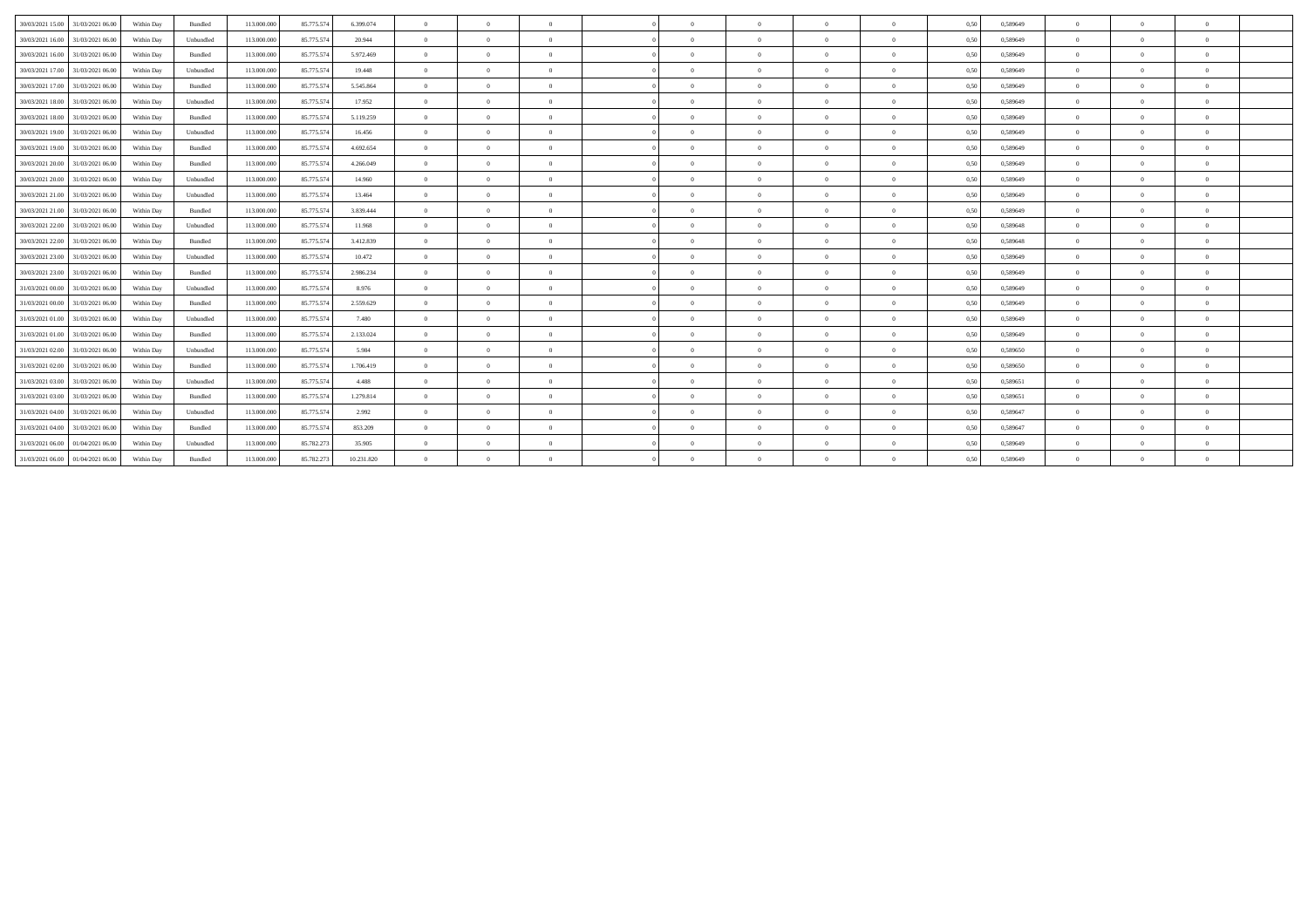| 30/03/2021 15:00 | 31/03/2021 06:00 | Within Day | Bundled   | 113.000.000 | 85.775.574 | 6.399.074  | $\overline{0}$ | $\Omega$ | $\Omega$       |          | $\Omega$       | $\Omega$       | $\theta$       | 0,50 | 0.589649 | $\Omega$ | $\theta$       | $\theta$       |  |
|------------------|------------------|------------|-----------|-------------|------------|------------|----------------|----------|----------------|----------|----------------|----------------|----------------|------|----------|----------|----------------|----------------|--|
| 30/03/2021 16:00 | 31/03/2021 06:00 | Within Day | Unbundled | 113.000.000 | 85.775.574 | 20.944     | $\theta$       | $\Omega$ | $\Omega$       |          | $\Omega$       | $\Omega$       | $\overline{0}$ | 0.50 | 0.589649 | $\Omega$ | $\theta$       | $\theta$       |  |
| 30/03/2021 16:00 | 31/03/2021 06:00 | Within Day | Bundled   | 113.000.000 | 85.775.574 | 5.972.469  | $\overline{0}$ | $\Omega$ |                |          | $\Omega$       | $\Omega$       | $\Omega$       | 0,50 | 0,589649 | $\Omega$ | $\theta$       | $\theta$       |  |
| 30/03/2021 17:00 | 31/03/2021 06:00 | Within Day | Unbundled | 113.000.000 | 85.775.574 | 19.448     | $\Omega$       | $\Omega$ |                |          | $\Omega$       | $\Omega$       | $\Omega$       | 0,50 | 0,589649 | $\Omega$ | $\Omega$       | $\theta$       |  |
| 30/03/2021 17:00 | 31/03/2021 06:00 | Within Day | Bundled   | 113.000.000 | 85.775.574 | 5.545.864  | $\overline{0}$ | $\Omega$ | $\Omega$       | $\Omega$ | $\bf{0}$       | $\overline{0}$ | $\overline{0}$ | 0,50 | 0,589649 | $\theta$ | $\overline{0}$ | $\overline{0}$ |  |
| 30/03/2021 18:00 | 31/03/2021 06:00 | Within Day | Unbundled | 113,000,000 | 85.775.574 | 17.952     | $\overline{0}$ | $\Omega$ | $\sqrt{2}$     |          | $\Omega$       | $\overline{0}$ | $\overline{0}$ | 0.50 | 0.589649 | $\Omega$ | $\Omega$       | $\theta$       |  |
| 30/03/2021 18:00 | 31/03/2021 06:00 | Within Day | Bundled   | 113.000.000 | 85.775.574 | 5.119.259  | $\overline{0}$ | $\Omega$ | $\Omega$       | $\Omega$ | $\overline{0}$ | $\overline{0}$ | $\overline{0}$ | 0,50 | 0,589649 | $\theta$ | $\theta$       | $\theta$       |  |
| 30/03/2021 19:00 | 31/03/2021 06:00 | Within Dav | Unbundled | 113,000,000 | 85.775.574 | 16.456     | $\overline{0}$ | $\Omega$ | $\Omega$       |          | $\Omega$       | $\Omega$       | $\theta$       | 0,50 | 0.589649 | $\Omega$ | $\theta$       | $\theta$       |  |
| 30/03/2021 19:00 | 31/03/2021 06:00 | Within Day | Bundled   | 113.000.000 | 85.775.574 | 4.692.654  | $\overline{0}$ | $\Omega$ | $\overline{0}$ | $\Omega$ | $\theta$       | $\overline{0}$ | $\overline{0}$ | 0,50 | 0.589649 | $\theta$ | $\overline{0}$ | $\theta$       |  |
| 30/03/2021 20:00 | 31/03/2021 06:00 | Within Day | Bundled   | 113,000,000 | 85.775.574 | 4.266.049  | $\overline{0}$ | $\Omega$ | $\Omega$       | $\Omega$ | $\Omega$       | $\Omega$       | $\overline{0}$ | 0,50 | 0.589649 | $\Omega$ | $\theta$       | $\theta$       |  |
| 30/03/2021 20:00 | 31/03/2021 06:00 | Within Day | Unbundled | 113.000.000 | 85.775.574 | 14.960     | $\overline{0}$ | $\theta$ | $\overline{0}$ |          | $\bf{0}$       | $\overline{0}$ | $\overline{0}$ | 0.50 | 0.589649 | $\theta$ | $\theta$       | $\overline{0}$ |  |
| 30/03/2021 21:00 | 31/03/2021 06.00 | Within Day | Unbundled | 113.000.000 | 85.775.574 | 13.464     | $\Omega$       | $\Omega$ |                |          | $\Omega$       | $\Omega$       | $\Omega$       | 0,50 | 0,589649 | $\Omega$ | $\Omega$       | $\theta$       |  |
| 30/03/2021 21:00 | 31/03/2021 06:00 | Within Day | Bundled   | 113.000.000 | 85.775.574 | 3.839.444  | $\overline{0}$ | $\Omega$ | $\Omega$       |          | $\Omega$       | $\overline{0}$ | $\overline{0}$ | 0.50 | 0.589649 | $\theta$ | $\theta$       | $\theta$       |  |
| 30/03/2021 22.00 | 31/03/2021 06:00 | Within Day | Unbundled | 113.000.000 | 85.775.574 | 11.968     | $\overline{0}$ | $\Omega$ |                |          | $\Omega$       | $\Omega$       | $\Omega$       | 0,50 | 0.589648 | $\Omega$ | $\Omega$       | $\theta$       |  |
| 30/03/2021 22.00 | 31/03/2021 06:00 | Within Day | Bundled   | 113.000.000 | 85.775.574 | 3.412.839  | $\overline{0}$ | $\Omega$ | $\Omega$       | $\Omega$ | $\bf{0}$       | $\overline{0}$ | $\overline{0}$ | 0,50 | 0,589648 | $\theta$ | $\theta$       | $\overline{0}$ |  |
| 30/03/2021 23:00 | 31/03/2021 06:00 | Within Day | Unbundled | 113.000.000 | 85.775.574 | 10.472     | $\overline{0}$ | $\theta$ | $\Omega$       | $\Omega$ | $\overline{0}$ | $\overline{0}$ | $\overline{0}$ | 0,50 | 0,589649 | $\theta$ | $\overline{0}$ | $\overline{0}$ |  |
| 30/03/2021 23:00 | 31/03/2021 06:00 | Within Dav | Bundled   | 113,000,000 | 85,775,574 | 2.986.234  | $\overline{0}$ | $\Omega$ | $\Omega$       | $\Omega$ | $\Omega$       | $\overline{0}$ | $\overline{0}$ | 0,50 | 0.589649 | $\Omega$ | $\theta$       | $\theta$       |  |
| 31/03/2021 00:00 | 31/03/2021 06:00 | Within Day | Unbundled | 113,000,000 | 85.775.574 | 8.976      | $\overline{0}$ | $\Omega$ | $\Omega$       | $\Omega$ | $\Omega$       | $\overline{0}$ | $\overline{0}$ | 0.50 | 0.589649 | $\Omega$ | $\theta$       | $\theta$       |  |
| 31/03/2021 00:00 | 31/03/2021 06:00 | Within Dav | Bundled   | 113,000,000 | 85.775.574 | 2.559.629  | $\overline{0}$ | $\Omega$ | $\Omega$       | $\Omega$ | $\Omega$       | $\overline{0}$ | $\overline{0}$ | 0.50 | 0.589649 | $\Omega$ | $\Omega$       | $\theta$       |  |
| 31/03/2021 01:00 | 31/03/2021 06:00 | Within Day | Unbundled | 113.000.000 | 85.775.574 | 7.480      | $\overline{0}$ | $\Omega$ | $\Omega$       | $\Omega$ | $\bf{0}$       | $\overline{0}$ | $\overline{0}$ | 0,50 | 0.589649 | $\theta$ | $\theta$       | $\theta$       |  |
| 31/03/2021 01:00 | 31/03/2021 06:00 | Within Day | Bundled   | 113.000.000 | 85.775.574 | 2.133.024  | $\Omega$       | $\Omega$ | $\Omega$       |          | $\Omega$       | $\Omega$       | $\Omega$       | 0,50 | 0.589649 | $\Omega$ | $\theta$       | $\theta$       |  |
| 31/03/2021 02.00 | 31/03/2021 06:00 | Within Day | Unbundled | 113.000.000 | 85.775.574 | 5.984      | $\overline{0}$ | $\Omega$ | $\Omega$       |          | $\Omega$       | $\Omega$       | $\overline{0}$ | 0.50 | 0,589650 | $\Omega$ | $\theta$       | $\theta$       |  |
| 31/03/2021 02:00 | 31/03/2021 06.00 | Within Day | Bundled   | 113,000,000 | 85.775.574 | 1.706.419  | $\Omega$       | $\Omega$ | $\Omega$       | $\Omega$ | $\Omega$       | $\Omega$       | $\Omega$       | 0,50 | 0.589650 | $\Omega$ | $\Omega$       | $\theta$       |  |
| 31/03/2021 03:00 | 31/03/2021 06:00 | Within Day | Unbundled | 113.000.000 | 85.775.574 | 4.488      | $\theta$       | $\Omega$ |                |          | $\Omega$       | $\theta$       | $\theta$       | 0,50 | 0,589651 | $\Omega$ | $\theta$       | $\theta$       |  |
| 31/03/2021 03:00 | 31/03/2021 06:00 | Within Day | Bundled   | 113.000.000 | 85.775.574 | 1.279.814  | $\overline{0}$ | $\Omega$ |                |          | $\Omega$       | $\Omega$       | $\Omega$       | 0,50 | 0,589651 | $\theta$ | $\Omega$       | $\theta$       |  |
| 31/03/2021 04:00 | 31/03/2021 06:00 | Within Day | Unbundled | 113.000.000 | 85.775.574 | 2.992      | $\overline{0}$ | $\Omega$ | $\Omega$       |          | $\bf{0}$       | $\overline{0}$ | $\overline{0}$ | 0,50 | 0,589647 | $\theta$ | $\theta$       | $\theta$       |  |
| 31/03/2021 04:00 | 31/03/2021 06:00 | Within Day | Bundled   | 113,000,000 | 85,775,574 | 853.209    | $\overline{0}$ | $\Omega$ | $\sqrt{2}$     | $\Omega$ | $\Omega$       | $\overline{0}$ | $\overline{0}$ | 0.50 | 0.589647 | $\theta$ | $\Omega$       | $\theta$       |  |
| 31/03/2021 06:00 | 01/04/2021 06:00 | Within Day | Unbundled | 113.000.000 | 85.782.273 | 35.905     | $\overline{0}$ | $\Omega$ | $\Omega$       | $\Omega$ | $\Omega$       | $\overline{0}$ | $\overline{0}$ | 0,50 | 0,589649 | $\Omega$ | $\theta$       | $\theta$       |  |
| 31/03/2021 06:00 | 01/04/2021 06:00 | Within Day | Bundled   | 113.000.000 | 85.782.273 | 10.231.820 | $\Omega$       | $\Omega$ |                |          | $\Omega$       | $\Omega$       | $\Omega$       | 0.50 | 0.589649 | $\Omega$ | $\theta$       | $\theta$       |  |
|                  |                  |            |           |             |            |            |                |          |                |          |                |                |                |      |          |          |                |                |  |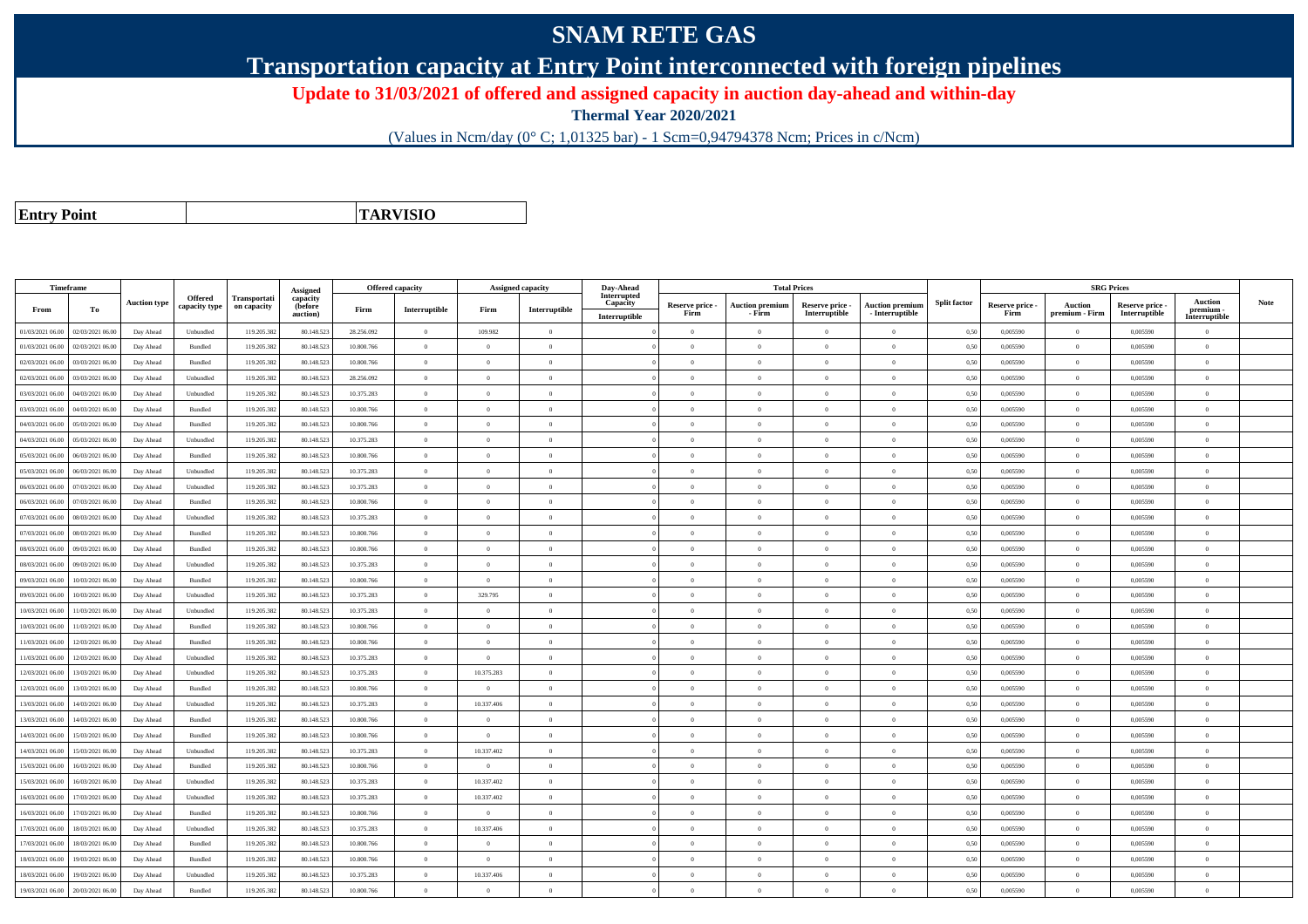## **SNAM RETE GAS**

**Transportation capacity at Entry Point interconnected with foreign pipelines**

**Update to 31/03/2021 of offered and assigned capacity in auction day-ahead and within-day**

**Thermal Year 2020/2021**

(Values in Ncm/day (0° C; 1,01325 bar) - 1 Scm=0,94794378 Ncm; Prices in c/Ncm)

**Entry Point**

**TARVISIO**

|                  | Timeframe        |                     |                |              |                      | <b>Offered capacity</b> |                |                | <b>Assigned capacity</b> | Day-Ahead               |                         | <b>Total Prices</b>              |                                  |                                      |                     |                         | <b>SRG Prices</b>                |                                |                          |             |
|------------------|------------------|---------------------|----------------|--------------|----------------------|-------------------------|----------------|----------------|--------------------------|-------------------------|-------------------------|----------------------------------|----------------------------------|--------------------------------------|---------------------|-------------------------|----------------------------------|--------------------------------|--------------------------|-------------|
|                  |                  | <b>Auction type</b> | Offered        | Transportati | Assigned<br>capacity |                         |                |                |                          | Interrupted<br>Capacity |                         |                                  |                                  |                                      | <b>Split factor</b> |                         |                                  |                                | <b>Auction</b>           | <b>Note</b> |
| From             | To               |                     | capacity type  | on capacity  | (before<br>auction)  | Firm                    | Interruptible  | Firm           | Interruptible            | Interruptible           | Reserve price -<br>Firm | <b>Auction premium</b><br>- Firm | Reserve price -<br>Interruptible | Auction premiun<br>$-$ Interruptible |                     | Reserve price -<br>Firm | <b>Auction</b><br>premium - Firm | Reserve price<br>Interruptible | premium<br>Interruptible |             |
| 01/03/2021 06:00 | 02/03/2021 06:00 | Day Ahead           | Unbundled      | 119.205.382  | 80.148.52            | 28.256.092              | $\overline{0}$ | 109.982        | $\overline{0}$           |                         | $\Omega$                | $\theta$                         | $\overline{0}$                   | $\theta$                             | 0,50                | 0,005590                | $\Omega$                         | 0,005590                       | $\Omega$                 |             |
| 01/03/2021 06:00 | 02/03/2021 06:00 | Day Ahead           | <b>Bundled</b> | 119.205.382  | 80.148.523           | 10.800.766              | $\overline{0}$ | $\Omega$       | $\Omega$                 |                         | $\Omega$                | $\theta$                         | $\Omega$                         | $\Omega$                             | 0,50                | 0,005590                | $\overline{0}$                   | 0.005590                       | $\Omega$                 |             |
| 02/03/2021 06:00 | 03/03/2021 06:00 | Day Ahead           | Bundled        | 119.205.382  | 80.148.52            | 10.800.766              | $\theta$       | $\Omega$       | $\Omega$                 |                         | $\Omega$                |                                  | $\Omega$                         | $\theta$                             | 0,50                | 0,005590                | $\Omega$                         | 0,005590                       | $\theta$                 |             |
| 02/03/2021 06:00 | 03/03/2021 06:00 | Day Ahead           | Unbundled      | 119.205.382  | 80.148.523           | 28.256.092              | $\overline{0}$ | $\Omega$       | $\Omega$                 |                         | $\Omega$                | $\theta$                         | $\theta$                         | $\theta$                             | 0.50                | 0.005590                | $\overline{0}$                   | 0.005590                       | $\theta$                 |             |
| 03/03/2021 06:00 | 04/03/2021 06.00 | Day Ahead           | Unbundled      | 119.205.382  | 80.148.523           | 10.375.283              | $\overline{0}$ | $\overline{0}$ | $\overline{0}$           |                         | $\overline{0}$          | $\theta$                         | $\overline{0}$                   | $\mathbf{0}$                         | 0,50                | 0,005590                | $\overline{0}$                   | 0,005590                       | $\Omega$                 |             |
| 03/03/2021 06:00 | 04/03/2021 06:00 | Day Ahead           | Bundled        | 119.205.382  | 80.148.52            | 10.800.766              | $\overline{0}$ | $\overline{0}$ | $\overline{0}$           |                         | $\theta$                |                                  | $\overline{0}$                   | $\mathbf{0}$                         | 0,50                | 0,005590                | $\overline{0}$                   | 0,005590                       | $\bf{0}$                 |             |
| 04/03/2021 06:00 | 05/03/2021 06:00 | Day Ahead           | Bundled        | 119.205.382  | 80.148.52            | 10.800.766              | $\overline{0}$ | $\Omega$       | $\Omega$                 |                         | $\Omega$                | $\theta$                         | $\theta$                         | $\theta$                             | 0.50                | 0.005590                | $\overline{0}$                   | 0.005590                       | $\Omega$                 |             |
| 04/03/2021 06:00 | 05/03/2021 06:00 | Day Ahead           | Unbundled      | 119.205.382  | 80.148.523           | 10.375.283              | $\overline{0}$ | $\theta$       | $\overline{0}$           |                         | $\Omega$                | $\theta$                         | $\overline{0}$                   | $\mathbf{0}$                         | 0,50                | 0,005590                | $\overline{0}$                   | 0,005590                       | $\Omega$                 |             |
| 05/03/2021 06:00 | 06/03/2021 06:00 | Day Ahead           | Bundled        | 119.205.382  | 80.148.523           | 10.800.766              | $\theta$       | $\Omega$       | $\Omega$                 |                         | $\Omega$                |                                  | $\Omega$                         | $\Omega$                             | 0.50                | 0.005590                | $\theta$                         | 0.005590                       | $\Omega$                 |             |
| 05/03/2021 06:00 | 06/03/2021 06.0  | Day Ahead           | Unbundled      | 119.205.382  | 80.148.52            | 10.375.283              | $\theta$       | $\Omega$       | $\Omega$                 |                         | $\Omega$                |                                  | $\Omega$                         | $\theta$                             | 0,50                | 0,005590                | $\Omega$                         | 0,005590                       | $\Omega$                 |             |
| 06/03/2021 06:00 | 07/03/2021 06:00 | Day Ahead           | Unbundled      | 119.205.382  | 80.148.52            | 10.375.283              | $\overline{0}$ | $\overline{0}$ | $\overline{0}$           |                         | $\overline{0}$          | $\theta$                         | $\overline{0}$                   | $\mathbf{0}$                         | 0,50                | 0,005590                | $\overline{0}$                   | 0,005590                       | $\bf{0}$                 |             |
| 06/03/2021 06:00 | 07/03/2021 06:00 | Day Ahead           | Bundled        | 119.205.382  | 80.148.523           | 10.800.766              | $\overline{0}$ | $\theta$       | $\theta$                 |                         | $\Omega$                | $\theta$                         | $\overline{0}$                   | $\theta$                             | 0.50                | 0.005590                | $\overline{0}$                   | 0.005590                       | $\Omega$                 |             |
| 07/03/2021 06:00 | 08/03/2021 06.0  | Day Ahead           | Unbundled      | 119.205.382  | 80.148.52            | 10.375.283              | $\overline{0}$ | $\overline{0}$ | $\overline{0}$           |                         | $\Omega$                | $\theta$                         | $\overline{0}$                   | $\mathbf{0}$                         | 0,50                | 0,005590                | $\overline{0}$                   | 0,005590                       | $\bf{0}$                 |             |
| 07/03/2021 06:00 | 08/03/2021 06:00 | Day Ahead           | Bundled        | 119.205.382  | 80.148.523           | 10.800.766              | $\overline{0}$ | $\theta$       | $\Omega$                 |                         | $\Omega$                | $\theta$                         | $\overline{0}$                   | $\Omega$                             | 0,50                | 0,005590                | $\overline{0}$                   | 0,005590                       | $\Omega$                 |             |
| 08/03/2021 06:00 | 09/03/2021 06:00 | Day Ahead           | <b>Bundled</b> | 119.205.382  | 80.148.52            | 10.800.766              | $\overline{0}$ | $\Omega$       | $\Omega$                 |                         | $\Omega$                | $\theta$                         | $\Omega$                         | $\Omega$                             | 0.50                | 0.005590                | $\overline{0}$                   | 0.005590                       | $\theta$                 |             |
| 08/03/2021 06:00 | 09/03/2021 06:00 | Day Ahead           | Unbundled      | 119.205.382  | 80.148.52            | 10.375.283              | $\theta$       | $\theta$       | $\Omega$                 |                         | $\Omega$                |                                  | $\Omega$                         | $\theta$                             | 0.50                | 0,005590                | $\Omega$                         | 0,005590                       | $\Omega$                 |             |
| 09/03/2021 06:00 | 10/03/2021 06:00 | Day Ahead           | Bundled        | 119.205.382  | 80.148.523           | 10.800.766              | $\overline{0}$ | $\overline{0}$ | $\overline{0}$           |                         | $\overline{0}$          | $\theta$                         | $\overline{0}$                   | $\mathbf{0}$                         | 0,50                | 0,005590                | $\overline{0}$                   | 0,005590                       | $\bf{0}$                 |             |
| 09/03/2021 06:00 | 10/03/2021 06:00 | Day Ahead           | Unbundled      | 119.205.382  | 80.148.523           | 10.375.283              | $\overline{0}$ | 329.795        | $\overline{0}$           |                         | $\overline{0}$          | $\theta$                         | $\overline{0}$                   | $\overline{0}$                       | 0,50                | 0,005590                | $\overline{0}$                   | 0,005590                       | $\overline{0}$           |             |
| 10/03/2021 06:00 | 11/03/2021 06:00 | Day Ahead           | Unbundled      | 119.205.382  | 80.148.52            | 10.375.283              | $\overline{0}$ | $\theta$       | $\Omega$                 |                         | $\Omega$                |                                  | $\overline{0}$                   | $\Omega$                             | 0,50                | 0,005590                | $\overline{0}$                   | 0,005590                       | $\theta$                 |             |
| 10/03/2021 06:00 | 11/03/2021 06:00 | Day Ahead           | Bundled        | 119.205.382  | 80.148.523           | 10.800.766              | $\overline{0}$ | $\Omega$       | $\Omega$                 |                         | $\Omega$                | $\theta$                         | $\theta$                         | $\theta$                             | 0.50                | 0.005590                | $\overline{0}$                   | 0.005590                       | $\theta$                 |             |
| 11/03/2021 06:00 | 12/03/2021 06:00 | Day Ahead           | Bundled        | 119.205.382  | 80.148.523           | 10.800.766              | $\overline{0}$ | $\theta$       | $\Omega$                 |                         | $\Omega$                | $\theta$                         | $\overline{0}$                   | $\Omega$                             | 0,50                | 0,005590                | $\overline{0}$                   | 0,005590                       | $\Omega$                 |             |
| 11/03/2021 06:00 | 12/03/2021 06:00 | Day Ahead           | Unbundled      | 119.205.382  | 80.148.52            | 10.375.283              | $\theta$       | $\Omega$       | $\Omega$                 |                         | $\Omega$                |                                  | $\Omega$                         | $\theta$                             | 0.50                | 0.005590                | $\theta$                         | 0.005590                       | $\theta$                 |             |
| 12/03/2021 06:00 | 13/03/2021 06:00 | Day Ahead           | Unbundled      | 119.205.382  | 80.148.523           | 10.375.283              | $\overline{0}$ | 10.375.283     | $\overline{0}$           |                         | $\overline{0}$          | $\theta$                         | $\overline{0}$                   | $\overline{0}$                       | 0,50                | 0,005590                | $\overline{0}$                   | 0,005590                       | $\bf{0}$                 |             |
| 12/03/2021 06:00 | 13/03/2021 06:00 | Day Ahead           | Bundled        | 119.205.382  | 80.148.523           | 10.800.766              | $\overline{0}$ | $\overline{0}$ | $\overline{0}$           |                         | $\overline{0}$          | $\theta$                         | $\overline{0}$                   | $\mathbf{0}$                         | 0,50                | 0,005590                | $\overline{0}$                   | 0,005590                       | $\bf{0}$                 |             |
| 13/03/2021 06:00 | 14/03/2021 06:00 | Day Ahead           | Unbundled      | 119.205.382  | 80 148 52            | 10.375.283              | $\overline{0}$ | 10.337.406     | $\Omega$                 |                         | $\Omega$                | $\theta$                         | $\Omega$                         | $\Omega$                             | 0.50                | 0.005590                | $\overline{0}$                   | 0.005590                       | $\Omega$                 |             |
| 13/03/2021 06:00 | 14/03/2021 06:00 | Day Ahead           | <b>Bundled</b> | 119.205.382  | 80.148.52            | 10.800.766              | $\overline{0}$ | $\theta$       | $\theta$                 |                         | $\Omega$                | $\sqrt{2}$                       | $\Omega$                         | $\Omega$                             | 0.50                | 0.005590                | $\overline{0}$                   | 0.005590                       | $\theta$                 |             |
| 14/03/2021 06:00 | 15/03/2021 06:00 | Day Ahead           | Bundled        | 119.205.382  | 80.148.52            | 10.800.766              | $\overline{0}$ | $\Omega$       | $\Omega$                 |                         | $\Omega$                |                                  | $\Omega$                         | $\theta$                             | 0,50                | 0,005590                | $\Omega$                         | 0,005590                       | $\Omega$                 |             |
| 14/03/2021 06:00 | 15/03/2021 06:00 | Day Ahead           | Unbundled      | 119.205.382  | 80.148.523           | 10.375.283              | $\overline{0}$ | 10.337.402     | $\Omega$                 |                         | $\Omega$                | $\sqrt{2}$                       | $\Omega$                         | $\theta$                             | 0.50                | 0.005590                | $\overline{0}$                   | 0.005590                       | $\theta$                 |             |
| 15/03/2021 06:00 | 16/03/2021 06:00 | Day Ahead           | Bundled        | 119.205.382  | 80.148.523           | 10.800.766              | $\overline{0}$ | $\overline{0}$ | $\overline{0}$           |                         | $\Omega$                | $\theta$                         | $\overline{0}$                   | $\mathbf{0}$                         | 0,50                | 0,005590                | $\overline{0}$                   | 0,005590                       | $\Omega$                 |             |
| 15/03/2021 06:00 | 16/03/2021 06:00 | Day Ahead           | Unbundled      | 119.205.382  | 80.148.523           | 10.375.283              | $\overline{0}$ | 10.337.402     | $\overline{0}$           |                         | $\overline{0}$          | $\theta$                         | $\overline{0}$                   | $\mathbf{0}$                         | 0,50                | 0,005590                | $\overline{0}$                   | 0,005590                       | $\bf{0}$                 |             |
| 16/03/2021 06:00 | 17/03/2021 06:00 | Day Ahead           | Unbundled      | 119.205.382  | 80.148.52            | 10.375.283              | $\overline{0}$ | 10.337.402     | $\overline{0}$           |                         | $\overline{0}$          | $\theta$                         | $\overline{0}$                   | $\overline{0}$                       | 0.50                | 0.005590                | $\,$ 0 $\,$                      | 0.005590                       | $\Omega$                 |             |
| 16/03/2021 06:00 | 17/03/2021 06:00 | Day Ahead           | Bundled        | 119.205.382  | 80.148.52            | 10.800.766              | $\overline{0}$ | $\overline{0}$ | $\overline{0}$           |                         | $\Omega$                | $\theta$                         | $\overline{0}$                   | $\mathbf{0}$                         | 0,50                | 0,005590                | $\overline{0}$                   | 0,005590                       | $\Omega$                 |             |
| 17/03/2021 06:00 | 18/03/2021 06:00 | Day Ahead           | Unbundled      | 119.205.382  | 80.148.52            | 10.375.283              | $\overline{0}$ | 10.337.406     | $\Omega$                 |                         | $\Omega$                |                                  | $\Omega$                         | $\theta$                             | 0.50                | 0.005590                | $\Omega$                         | 0.005590                       | $\theta$                 |             |
| 17/03/2021 06:00 | 18/03/2021 06:00 | Day Ahead           | Bundled        | 119.205.382  | 80.148.523           | 10.800.766              | $\overline{0}$ | $\theta$       | $\overline{0}$           |                         | $\Omega$                | $\theta$                         | $\overline{0}$                   | $\Omega$                             | 0,50                | 0,005590                | $\overline{0}$                   | 0,005590                       | $\Omega$                 |             |
| 18/03/2021 06:00 | 19/03/2021 06.0  | Day Ahead           | Bundled        | 119.205.382  | 80.148.52            | 10.800.766              | $\overline{0}$ | $\overline{0}$ | $\overline{0}$           |                         | $\overline{0}$          | $\theta$                         | $\overline{0}$                   | $\mathbf{0}$                         | 0,50                | 0,005590                | $\overline{0}$                   | 0,005590                       | $\bf{0}$                 |             |
| 18/03/2021 06:00 | 19/03/2021 06:00 | Day Ahead           | Unbundled      | 119.205.382  | 80.148.523           | 10.375.283              | $\overline{0}$ | 10.337.406     | $\theta$                 |                         | $\Omega$                | $\theta$                         | $\Omega$                         | $\Omega$                             | 0,50                | 0,005590                | $\overline{0}$                   | 0.005590                       | $\Omega$                 |             |
| 19/03/2021 06:00 | 20/03/2021 06:00 | Day Ahead           | Bundled        | 119.205.382  | 80.148.523           | 10.800.766              | $\Omega$       | $\Omega$       | $\Omega$                 |                         | $\Omega$                |                                  | $\Omega$                         | $\Omega$                             | 0,50                | 0,005590                | $\overline{0}$                   | 0,005590                       | $\Omega$                 |             |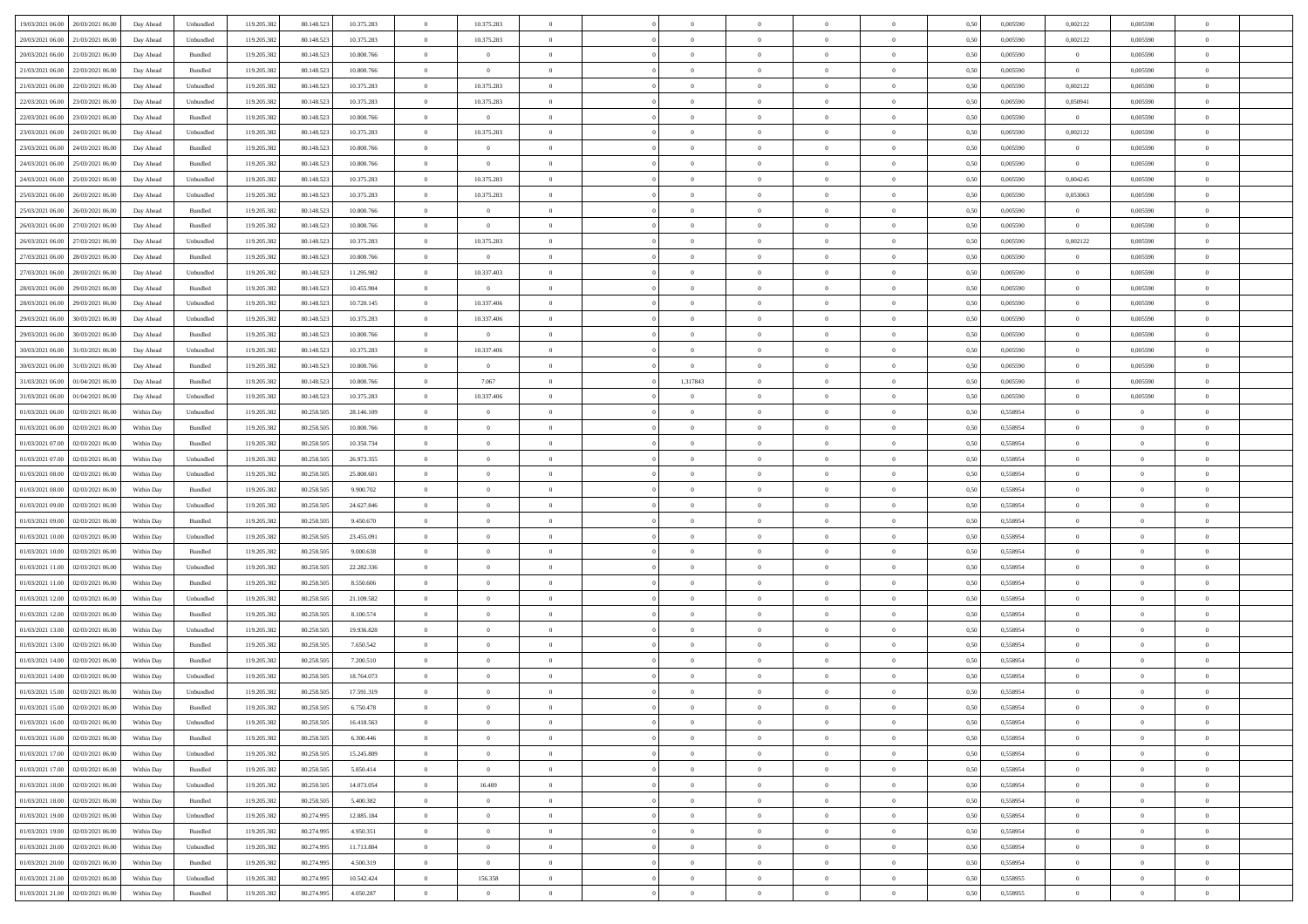| 19/03/2021 06:00 20/03/2021 06:00            | Day Ahead  | Unbundled          | 119.205.382 | 80.148.523 | 10.375.283 | $\overline{0}$ | 10.375.283     |                |                | $\theta$       |                |                | 0,50 | 0,005590 | 0,002122       | 0,005590       |                |  |
|----------------------------------------------|------------|--------------------|-------------|------------|------------|----------------|----------------|----------------|----------------|----------------|----------------|----------------|------|----------|----------------|----------------|----------------|--|
|                                              |            |                    |             |            |            |                |                |                |                |                |                |                |      |          |                |                |                |  |
| 20/03/2021 06:00<br>21/03/2021 06:00         | Day Ahead  | Unbundled          | 119.205.38  | 80.148.523 | 10.375.283 | $\overline{0}$ | 10.375.283     | $\overline{0}$ | $\Omega$       | $\bf{0}$       | $\overline{0}$ | $\bf{0}$       | 0,50 | 0,005590 | 0,002122       | 0,005590       | $\theta$       |  |
| 20/03/2021 06:00<br>21/03/2021 06:00         | Day Ahead  | Bundled            | 119.205.382 | 80.148.523 | 10.800.766 | $\overline{0}$ | $\overline{0}$ | $\overline{0}$ | $\overline{0}$ | $\,$ 0 $\,$    | $\overline{0}$ | $\overline{0}$ | 0.50 | 0.005590 | $\overline{0}$ | 0.005590       | $\bf{0}$       |  |
| 21/03/2021 06:00<br>22/03/2021 06:00         | Day Ahead  | Bundled            | 119.205.382 | 80.148.523 | 10.800.766 | $\overline{0}$ | $\overline{0}$ | $\overline{0}$ | $\overline{0}$ | $\bf{0}$       | $\overline{0}$ | $\overline{0}$ | 0,50 | 0,005590 | $\overline{0}$ | 0,005590       | $\overline{0}$ |  |
| 21/03/2021 06:00<br>22/03/2021 06.00         | Day Ahead  | Unbundled          | 119.205.38  | 80.148.523 | 10.375.283 | $\overline{0}$ | 10.375.283     | $\overline{0}$ | $\Omega$       | $\bf{0}$       | $\bf{0}$       | $\bf{0}$       | 0,50 | 0,005590 | 0,002122       | 0,005590       |                |  |
| 22/03/2021 06:00<br>23/03/2021 06:00         | Day Ahead  | Unbundled          | 119,205,383 | 80.148.523 | 10.375.283 | $\overline{0}$ | 10.375.283     | $\overline{0}$ | $\overline{0}$ | $\bf{0}$       | $\overline{0}$ | $\mathbf{0}$   | 0.50 | 0.005590 | 0.050941       | 0.005590       | $\bf{0}$       |  |
| 23/03/2021 06:00<br>22/03/2021 06:00         | Day Ahead  | Bundled            | 119.205.382 | 80.148.523 | 10.800.766 | $\overline{0}$ | $\overline{0}$ | $\overline{0}$ | $\overline{0}$ | $\bf{0}$       | $\overline{0}$ | $\overline{0}$ | 0,50 | 0,005590 | $\overline{0}$ | 0,005590       | $\overline{0}$ |  |
| 23/03/2021 06:00<br>24/03/2021 06.00         | Day Ahead  | Unbundled          | 119.205.38  | 80.148.523 | 10.375.283 | $\overline{0}$ | 10.375.283     | $\overline{0}$ | $\Omega$       | $\bf{0}$       | $\bf{0}$       | $\bf{0}$       | 0,50 | 0,005590 | 0,002122       | 0,005590       |                |  |
| 24/03/2021 06:00                             |            | Bundled            | 119.205.38  | 80.148.523 | 10.800.766 |                |                |                |                |                |                |                | 0.50 | 0.005590 |                | 0.005590       |                |  |
| 23/03/2021 06:00                             | Day Ahead  |                    |             |            |            | $\overline{0}$ | $\sim$ 0       | $\overline{0}$ | $\overline{0}$ | $\bf{0}$       | $\overline{0}$ | $\overline{0}$ |      |          | $\overline{0}$ |                | $\bf{0}$       |  |
| 24/03/2021 06:00<br>25/03/2021 06:00         | Day Ahead  | Bundled            | 119.205.382 | 80.148.523 | 10.800.766 | $\overline{0}$ | $\overline{0}$ | $\overline{0}$ | $\overline{0}$ | $\bf{0}$       | $\overline{0}$ | $\overline{0}$ | 0,50 | 0,005590 | $\overline{0}$ | 0,005590       | $\overline{0}$ |  |
| 24/03/2021 06:00<br>25/03/2021 06.00         | Day Ahead  | Unbundled          | 119.205.38  | 80.148.523 | 10.375.283 | $\overline{0}$ | 10.375.283     | $\overline{0}$ | $\Omega$       | $\overline{0}$ | $\overline{0}$ | $\bf{0}$       | 0,50 | 0,005590 | 0,004245       | 0,005590       |                |  |
| 25/03/2021 06:00<br>26/03/2021 06:00         | Day Ahead  | Unbundled          | 119,205,383 | 80.148.523 | 10.375.283 | $\overline{0}$ | 10.375.283     | $\overline{0}$ | $\overline{0}$ | $\bf{0}$       | $\overline{0}$ | $\overline{0}$ | 0.50 | 0.005590 | 0.053063       | 0.005590       | $\bf{0}$       |  |
| 25/03/2021 06:00<br>26/03/2021 06:00         | Day Ahead  | Bundled            | 119.205.382 | 80.148.523 | 10.800.766 | $\overline{0}$ | $\overline{0}$ | $\overline{0}$ | $\overline{0}$ | $\bf{0}$       | $\overline{0}$ | $\overline{0}$ | 0,50 | 0,005590 | $\overline{0}$ | 0,005590       | $\overline{0}$ |  |
| 26/03/2021 06:00<br>27/03/2021 06:00         | Day Ahead  | Bundled            | 119.205.38  | 80.148.523 | 10.800.766 | $\overline{0}$ | $\overline{0}$ | $\overline{0}$ | $\Omega$       | $\bf{0}$       | $\overline{0}$ | $\overline{0}$ | 0,50 | 0,005590 | $\overline{0}$ | 0,005590       |                |  |
| 26/03/2021 06:00<br>27/03/2021 06:00         | Day Ahead  | Unbundled          | 119,205,383 | 80.148.523 | 10.375.283 | $\overline{0}$ | 10.375.283     | $\overline{0}$ | $\overline{0}$ | $\bf{0}$       | $\overline{0}$ | $\overline{0}$ | 0.50 | 0.005590 | 0,002122       | 0.005590       | $\bf{0}$       |  |
| 27/03/2021 06:00<br>28/03/2021 06:00         | Day Ahead  | Bundled            | 119.205.382 | 80.148.523 | 10.800.766 | $\overline{0}$ | $\overline{0}$ | $\overline{0}$ | $\overline{0}$ | $\bf{0}$       | $\overline{0}$ | $\overline{0}$ | 0,50 | 0,005590 | $\overline{0}$ | 0,005590       | $\overline{0}$ |  |
|                                              |            |                    |             |            |            |                |                |                |                |                |                |                |      |          |                |                |                |  |
| 27/03/2021 06:00<br>28/03/2021 06:00         | Day Ahead  | Unbundled          | 119.205.38  | 80.148.523 | 11.295.982 | $\overline{0}$ | 10.337.403     | $\overline{0}$ | $\overline{0}$ | $\bf{0}$       | $\overline{0}$ | $\bf{0}$       | 0,50 | 0,005590 | $\overline{0}$ | 0,005590       | $\bf{0}$       |  |
| 28/03/2021 06:00<br>29/03/2021 06:00         | Day Ahead  | Bundled            | 119.205.38  | 80.148.523 | 10.455.904 | $\overline{0}$ | $\overline{0}$ | $\overline{0}$ | $\overline{0}$ | $\bf{0}$       | $\overline{0}$ | $\overline{0}$ | 0.50 | 0.005590 | $\overline{0}$ | 0.005590       | $\bf{0}$       |  |
| 28/03/2021 06:00<br>29/03/2021 06:00         | Day Ahead  | Unbundled          | 119.205.382 | 80.148.523 | 10.720.145 | $\overline{0}$ | 10.337.406     | $\overline{0}$ | $\overline{0}$ | $\bf{0}$       | $\overline{0}$ | $\overline{0}$ | 0,50 | 0,005590 | $\overline{0}$ | 0,005590       | $\overline{0}$ |  |
| 29/03/2021 06:00<br>30/03/2021 06:00         | Day Ahead  | Unbundled          | 119.205.38  | 80.148.523 | 10.375.283 | $\overline{0}$ | 10.337.406     | $\overline{0}$ | $\Omega$       | $\bf{0}$       | $\overline{0}$ | $\overline{0}$ | 0,50 | 0,005590 | $\overline{0}$ | 0,005590       | $\theta$       |  |
| 29/03/2021 06:00<br>30/03/2021 06:00         | Day Ahead  | Bundled            | 119.205.38  | 80.148.523 | 10.800.766 | $\overline{0}$ | $\overline{0}$ | $\overline{0}$ | $\overline{0}$ | $\bf{0}$       | $\overline{0}$ | $\overline{0}$ | 0.50 | 0.005590 | $\overline{0}$ | 0.005590       | $\bf{0}$       |  |
| 30/03/2021 06:00<br>31/03/2021 06:00         | Day Ahead  | Unbundled          | 119.205.382 | 80.148.523 | 10.375.283 | $\overline{0}$ | 10.337.406     | $\overline{0}$ | $\overline{0}$ | $\bf{0}$       | $\overline{0}$ | $\overline{0}$ | 0,50 | 0,005590 | $\overline{0}$ | 0,005590       | $\overline{0}$ |  |
| 30/03/2021 06:00<br>31/03/2021 06:00         | Day Ahead  | Bundled            | 119.205.38  | 80.148.523 | 10.800.766 | $\overline{0}$ | $\overline{0}$ | $\overline{0}$ | $\overline{0}$ | $\overline{0}$ | $\overline{0}$ | $\overline{0}$ | 0,50 | 0,005590 | $\overline{0}$ | 0,005590       |                |  |
| 31/03/2021 06:00<br>01/04/2021 06:00         | Day Ahead  | Bundled            | 119.205.38  | 80.148.523 | 10.800.766 | $\overline{0}$ | 7.067          | $\overline{0}$ | 1,317843       | $\bf{0}$       | $\overline{0}$ | $\overline{0}$ | 0.50 | 0.005590 | $\overline{0}$ | 0.005590       | $\overline{0}$ |  |
|                                              |            |                    |             |            |            | $\overline{0}$ |                | $\overline{0}$ | $\overline{0}$ |                | $\overline{0}$ | $\overline{0}$ |      |          |                |                | $\overline{0}$ |  |
| 31/03/2021 06:00<br>01/04/2021 06:00         | Day Ahead  | Unbundled          | 119.205.382 | 80.148.523 | 10.375.283 |                | 10.337.406     |                |                | $\bf{0}$       |                |                | 0,50 | 0,005590 | $\overline{0}$ | 0,005590       |                |  |
| 01/03/2021 06:00<br>02/03/2021 06:00         | Within Day | Unbundled          | 119.205.38  | 80.258.505 | 28.146.109 | $\overline{0}$ | $\bf{0}$       | $\overline{0}$ | $\Omega$       | $\overline{0}$ | $\overline{0}$ | $\bf{0}$       | 0,50 | 0,558954 | $\overline{0}$ | $\bf{0}$       | $\bf{0}$       |  |
| 01/03/2021 06:00<br>02/03/2021 06:00         | Within Day | Bundled            | 119.205.382 | 80.258.505 | 10.800.766 | $\overline{0}$ | $\overline{0}$ | $\overline{0}$ | $\overline{0}$ | $\bf{0}$       | $\overline{0}$ | $\overline{0}$ | 0.50 | 0.558954 | $\overline{0}$ | $\Omega$       | $\bf{0}$       |  |
| 01/03/2021 07:00<br>02/03/2021 06:00         | Within Day | Bundled            | 119.205.382 | 80.258.505 | 10.350.734 | $\overline{0}$ | $\overline{0}$ | $\overline{0}$ | $\overline{0}$ | $\bf{0}$       | $\overline{0}$ | $\overline{0}$ | 0,50 | 0,558954 | $\overline{0}$ | $\overline{0}$ | $\overline{0}$ |  |
| 01/03/2021 07:00<br>02/03/2021 06:00         | Within Day | Unbundled          | 119.205.38  | 80.258.505 | 26.973.355 | $\overline{0}$ | $\overline{0}$ | $\overline{0}$ | $\Omega$       | $\overline{0}$ | $\overline{0}$ | $\overline{0}$ | 0,50 | 0,558954 | $\bf{0}$       | $\bf{0}$       | $\theta$       |  |
| 01/03/2021 08:00<br>02/03/2021 06:00         | Within Day | Unbundled          | 119.205.38  | 80.258.505 | 25.800.601 | $\overline{0}$ | $\overline{0}$ | $\overline{0}$ | $\overline{0}$ | $\bf{0}$       | $\overline{0}$ | $\overline{0}$ | 0.50 | 0.558954 | $\overline{0}$ | $\overline{0}$ | $\overline{0}$ |  |
| 01/03/2021 08:00<br>02/03/2021 06:00         | Within Day | Bundled            | 119.205.382 | 80.258.505 | 9.900.702  | $\overline{0}$ | $\overline{0}$ | $\overline{0}$ | $\theta$       | $\overline{0}$ | $\overline{0}$ | $\overline{0}$ | 0,50 | 0,558954 | $\overline{0}$ | $\overline{0}$ | $\theta$       |  |
| 01/03/2021 09:00<br>02/03/2021 06.00         | Within Day | Unbundled          | 119.205.38  | 80.258.505 | 24.627.846 | $\overline{0}$ | $\overline{0}$ | $\overline{0}$ | $\overline{0}$ | $\bf{0}$       | $\overline{0}$ | $\bf{0}$       | 0,50 | 0,558954 | $\overline{0}$ | $\bf{0}$       | $\bf{0}$       |  |
| 01/03/2021 09:00<br>02/03/2021 06:00         | Within Day | Bundled            | 119.205.382 | 80.258.505 | 9.450.670  | $\overline{0}$ | $\overline{0}$ | $\overline{0}$ | $\overline{0}$ | $\,$ 0 $\,$    | $\overline{0}$ | $\overline{0}$ | 0.50 | 0.558954 | $\overline{0}$ | $\overline{0}$ | $\bf{0}$       |  |
|                                              |            |                    |             |            |            |                |                |                |                |                |                |                |      |          |                |                |                |  |
| 01/03/2021 10:00<br>02/03/2021 06:00         | Within Day | Unbundled          | 119.205.382 | 80.258.505 | 23.455.091 | $\overline{0}$ | $\overline{0}$ | $\Omega$       | $\Omega$       | $\overline{0}$ | $\overline{0}$ | $\overline{0}$ | 0,50 | 0,558954 | $\overline{0}$ | $\overline{0}$ | $\theta$       |  |
| 01/03/2021 10:00<br>02/03/2021 06:00         | Within Day | Bundled            | 119.205.38  | 80.258.505 | 9.000.638  | $\overline{0}$ | $\overline{0}$ | $\overline{0}$ | $\Omega$       | $\overline{0}$ | $\overline{0}$ | $\overline{0}$ | 0,50 | 0,558954 | $\overline{0}$ | $\bf{0}$       | $\bf{0}$       |  |
| 01/03/2021 11:00<br>02/03/2021 06:00         | Within Day | Unbundled          | 119.205.38  | 80.258.505 | 22.282.336 | $\overline{0}$ | $\overline{0}$ | $\overline{0}$ | $\overline{0}$ | $\bf{0}$       | $\overline{0}$ | $\mathbf{0}$   | 0.50 | 0.558954 | $\overline{0}$ | $\Omega$       | $\bf{0}$       |  |
| 01/03/2021 11:00<br>02/03/2021 06:00         | Within Day | Bundled            | 119.205.382 | 80.258.505 | 8.550.606  | $\overline{0}$ | $\overline{0}$ | $\overline{0}$ | $\theta$       | $\overline{0}$ | $\overline{0}$ | $\theta$       | 0,50 | 0,558954 | $\overline{0}$ | $\overline{0}$ | $\theta$       |  |
| 01/03/2021 12:00<br>02/03/2021 06:00         | Within Day | Unbundled          | 119.205.38  | 80.258.505 | 21.109.582 | $\overline{0}$ | $\overline{0}$ | $\overline{0}$ | $\overline{0}$ | $\bf{0}$       | $\overline{0}$ | $\bf{0}$       | 0,50 | 0,558954 | $\overline{0}$ | $\bf{0}$       | $\bf{0}$       |  |
| 01/03/2021 12:00<br>02/03/2021 06:00         | Within Day | Bundled            | 119.205.38  | 80.258.505 | 8,100,574  | $\overline{0}$ | $\overline{0}$ | $\overline{0}$ | $\overline{0}$ | $\bf{0}$       | $\overline{0}$ | $\overline{0}$ | 0.50 | 0.558954 | $\overline{0}$ | $\overline{0}$ | $\overline{0}$ |  |
| 01/03/2021 13:00<br>02/03/2021 06:00         | Within Day | Unbundled          | 119.205.382 | 80.258.505 | 19.936.828 | $\overline{0}$ | $\overline{0}$ | $\overline{0}$ | $\theta$       | $\overline{0}$ | $\overline{0}$ | $\overline{0}$ | 0,50 | 0,558954 | $\overline{0}$ | $\overline{0}$ | $\theta$       |  |
| 01/03/2021 13:00<br>02/03/2021 06:00         | Within Day | Bundled            | 119.205.38  | 80.258.505 | 7.650.542  | $\overline{0}$ | $\overline{0}$ | $\overline{0}$ | $\overline{0}$ | $\bf{0}$       | $\overline{0}$ | $\bf{0}$       | 0,50 | 0,558954 | $\overline{0}$ | $\bf{0}$       | $\bf{0}$       |  |
| 02/03/2021 06:00                             |            | Bundled            |             | 80.258.505 | 7.200.510  |                | $\overline{0}$ | $\overline{0}$ | $\overline{0}$ | $\bf{0}$       | $\overline{0}$ | $\overline{0}$ | 0.50 | 0.558954 |                | $\Omega$       | $\bf{0}$       |  |
| 01/03/2021 14:00                             | Within Day |                    | 119.205.382 |            |            | $\overline{0}$ |                |                |                |                |                |                |      |          | $\overline{0}$ |                |                |  |
| 01/03/2021 14:00<br>02/03/2021 06:00         | Within Dav | Unbundled          | 119.205.382 | 80.258.505 | 18.764.073 | $\overline{0}$ | $\overline{0}$ | $\overline{0}$ | $\theta$       | $\overline{0}$ | $\overline{0}$ | $\theta$       | 0.50 | 0,558954 | $\overline{0}$ | $\overline{0}$ | $\theta$       |  |
| 01/03/2021 15:00<br>02/03/2021 06:00         | Within Day | Unbundled          | 119.205.382 | 80.258.505 | 17.591.319 | $\overline{0}$ | $\overline{0}$ | $\overline{0}$ | $\overline{0}$ | $\bf{0}$       | $\overline{0}$ | $\overline{0}$ | 0,50 | 0,558954 | $\overline{0}$ | $\bf{0}$       | $\overline{0}$ |  |
| $01/03/2021\ 15.00 \qquad 02/03/2021\ 06.00$ | Within Day | $\mathbf B$ undled | 119.205.382 | 80.258.505 | 6.750.478  | $\overline{0}$ | $\bf{0}$       |                | $\bf{0}$       | $\theta$       |                |                | 0,50 | 0.558954 | $\bf{0}$       |                |                |  |
| 01/03/2021 16:00 02/03/2021 06:00            | Within Dav | Unbundled          | 119.205.382 | 80.258.505 | 16.418.563 | $\theta$       | $\overline{0}$ | $\overline{0}$ | $\Omega$       | $\overline{0}$ | $\overline{0}$ | $\theta$       | 0,50 | 0,558954 | $\overline{0}$ | $\overline{0}$ | $\theta$       |  |
| 01/03/2021 16:00<br>02/03/2021 06:00         | Within Day | Bundled            | 119.205.382 | 80.258.505 | 6.300.446  | $\overline{0}$ | $\overline{0}$ | $\overline{0}$ | $\overline{0}$ | $\bf{0}$       | $\overline{0}$ | $\overline{0}$ | 0,50 | 0,558954 | $\overline{0}$ | $\overline{0}$ | $\overline{0}$ |  |
| 01/03/2021 17:00 02/03/2021 06:00            | Within Day | Unbundled          | 119.205.382 | 80.258.505 | 15.245.809 | $\overline{0}$ | $\overline{0}$ | $\overline{0}$ | $\overline{0}$ | $\,$ 0 $\,$    | $\overline{0}$ | $\overline{0}$ | 0.50 | 0.558954 | $\overline{0}$ | $\overline{0}$ | $\overline{0}$ |  |
| 01/03/2021 17:00 02/03/2021 06:00            | Within Dav | Bundled            | 119.205.382 | 80.258.505 | 5.850.414  | $\overline{0}$ | $\overline{0}$ | $\overline{0}$ | $\Omega$       | $\overline{0}$ | $\overline{0}$ | $\mathbf{0}$   | 0,50 | 0,558954 | $\overline{0}$ | $\overline{0}$ | $\theta$       |  |
| 01/03/2021 18:00<br>02/03/2021 06:00         | Within Day | Unbundled          | 119.205.382 | 80.258.505 | 14.073.054 | $\overline{0}$ | 16.489         | $\overline{0}$ | $\overline{0}$ | $\bf{0}$       | $\overline{0}$ | $\overline{0}$ | 0,50 | 0,558954 | $\overline{0}$ | $\bf{0}$       | $\overline{0}$ |  |
|                                              |            |                    |             |            |            |                |                |                |                |                |                |                |      |          |                |                |                |  |
| 01/03/2021 18:00 02/03/2021 06:00            | Within Day | Bundled            | 119.205.382 | 80.258.505 | 5.400.382  | $\overline{0}$ | $\overline{0}$ | $\overline{0}$ | $\overline{0}$ | $\bf{0}$       | $\overline{0}$ | $\overline{0}$ | 0.50 | 0.558954 | $\overline{0}$ | $\Omega$       | $\overline{0}$ |  |
| 01/03/2021 19:00<br>02/03/2021 06:00         | Within Dav | Unbundled          | 119.205.382 | 80.274.995 | 12.885.184 | $\overline{0}$ | $\overline{0}$ | $\overline{0}$ | $\theta$       | $\overline{0}$ | $\overline{0}$ | $\mathbf{0}$   | 0,50 | 0,558954 | $\overline{0}$ | $\overline{0}$ | $\overline{0}$ |  |
| 02/03/2021 06:00<br>01/03/2021 19:00         | Within Day | Bundled            | 119.205.38  | 80.274.995 | 4.950.351  | $\overline{0}$ | $\overline{0}$ | $\overline{0}$ | $\overline{0}$ | $\bf{0}$       | $\overline{0}$ | $\overline{0}$ | 0,50 | 0,558954 | $\overline{0}$ | $\overline{0}$ | $\overline{0}$ |  |
| 01/03/2021 20:00 02/03/2021 06:00            | Within Day | Unbundled          | 119.205.382 | 80.274.995 | 11.713.804 | $\overline{0}$ | $\overline{0}$ | $\overline{0}$ | $\overline{0}$ | $\mathbf{0}$   | $\overline{0}$ | $\overline{0}$ | 0.50 | 0.558954 | $\overline{0}$ | $\overline{0}$ | $\overline{0}$ |  |
| 01/03/2021 20.00 02/03/2021 06:00            | Within Dav | Bundled            | 119.205.382 | 80.274.995 | 4.500.319  | $\overline{0}$ | $\overline{0}$ | $\overline{0}$ | $\theta$       | $\overline{0}$ | $\overline{0}$ | $\mathbf{0}$   | 0,50 | 0,558954 | $\overline{0}$ | $\overline{0}$ | $\theta$       |  |
| 01/03/2021 21:00<br>02/03/2021 06:00         | Within Day | Unbundled          | 119.205.382 | 80.274.995 | 10.542.424 | $\overline{0}$ | 156.358        | $\overline{0}$ | $\overline{0}$ | $\bf{0}$       | $\overline{0}$ | $\overline{0}$ | 0,50 | 0,558955 | $\overline{0}$ | $\bf{0}$       | $\overline{0}$ |  |
| 01/03/2021 21:00 02/03/2021 06:00            | Within Day | Bundled            | 119.205.382 | 80.274.995 | 4.050.287  | $\overline{0}$ | $\overline{0}$ | $\overline{0}$ | $\overline{0}$ | $\,$ 0 $\,$    | $\,$ 0 $\,$    | $\overline{0}$ | 0,50 | 0,558955 | $\overline{0}$ | $\overline{0}$ | $\overline{0}$ |  |
|                                              |            |                    |             |            |            |                |                |                |                |                |                |                |      |          |                |                |                |  |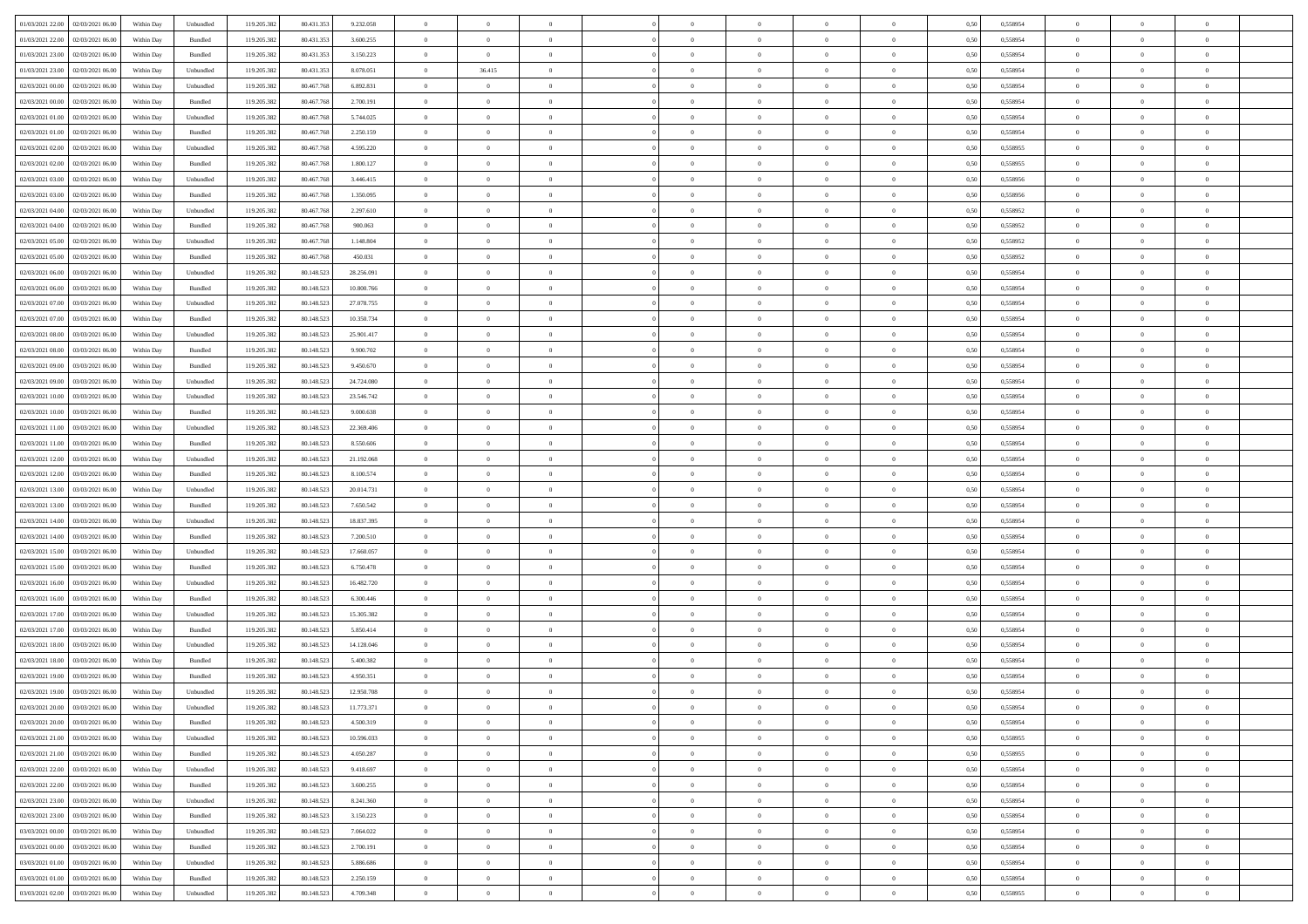| 01/03/2021 22:00 02/03/2021 06:00            | Within Day | Unbundled                   | 119.205.382 | 80.431.353 | 9.232.058  | $\overline{0}$ | $\overline{0}$ |                | $\overline{0}$ | $\theta$       |                | $\theta$       | 0,50 | 0,558954 | $\theta$       | $\theta$       | $\overline{0}$ |  |
|----------------------------------------------|------------|-----------------------------|-------------|------------|------------|----------------|----------------|----------------|----------------|----------------|----------------|----------------|------|----------|----------------|----------------|----------------|--|
|                                              |            |                             |             |            |            |                |                |                |                |                |                |                |      |          |                |                |                |  |
| 01/03/2021 22.00<br>02/03/2021 06:00         | Within Day | Bundled                     | 119.205.38  | 80.431.35  | 3.600.255  | $\bf{0}$       | $\bf{0}$       | $\bf{0}$       | $\overline{0}$ | $\overline{0}$ | $\overline{0}$ | $\bf{0}$       | 0,50 | 0,558954 | $\,$ 0 $\,$    | $\bf{0}$       | $\overline{0}$ |  |
| 01/03/2021 23:00<br>02/03/2021 06:00         | Within Day | Bundled                     | 119.205.382 | 80.431.353 | 3.150.223  | $\overline{0}$ | $\bf{0}$       | $\overline{0}$ | $\bf{0}$       | $\bf{0}$       | $\overline{0}$ | $\bf{0}$       | 0.50 | 0.558954 | $\bf{0}$       | $\overline{0}$ | $\overline{0}$ |  |
| 01/03/2021 23:00<br>02/03/2021 06:00         | Within Day | Unbundled                   | 119.205.382 | 80.431.353 | 8.078.051  | $\overline{0}$ | 36.415         | $\overline{0}$ | $\theta$       | $\theta$       | $\overline{0}$ | $\bf{0}$       | 0,50 | 0,558954 | $\theta$       | $\theta$       | $\overline{0}$ |  |
| 02/03/2021 00:00<br>02/03/2021 06.00         | Within Day | Unbundled                   | 119.205.38  | 80.467.76  | 6.892.831  | $\bf{0}$       | $\theta$       | $\bf{0}$       | $\overline{0}$ | $\theta$       | $\overline{0}$ | $\bf{0}$       | 0,50 | 0,558954 | $\,$ 0 $\,$    | $\bf{0}$       | $\overline{0}$ |  |
| 02/03/2021 00:00<br>02/03/2021 06:00         | Within Day | Bundled                     | 119,205.38  | 80.467.76  | 2.700.191  | $\overline{0}$ | $\overline{0}$ | $\overline{0}$ | $\bf{0}$       | $\overline{0}$ | $\theta$       | $\bf{0}$       | 0.50 | 0.558954 | $\,$ 0 $\,$    | $\theta$       | $\overline{0}$ |  |
|                                              |            |                             |             |            |            | $\overline{0}$ | $\overline{0}$ | $\overline{0}$ | $\overline{0}$ | $\overline{0}$ | $\overline{0}$ |                |      |          | $\theta$       | $\theta$       | $\overline{0}$ |  |
| 02/03/2021 01:00<br>02/03/2021 06:00         | Within Day | Unbundled                   | 119.205.38  | 80.467.768 | 5.744.025  |                |                |                |                |                |                | $\bf{0}$       | 0,50 | 0,558954 |                |                |                |  |
| 02/03/2021 01:00<br>02/03/2021 06.00         | Within Day | Bundled                     | 119.205.38  | 80.467.76  | 2.250.159  | $\bf{0}$       | $\bf{0}$       | $\bf{0}$       | $\overline{0}$ | $\overline{0}$ | $\overline{0}$ | $\bf{0}$       | 0,50 | 0,558954 | $\,$ 0 $\,$    | $\bf{0}$       | $\overline{0}$ |  |
| 02/03/2021 02:00<br>02/03/2021 06:00         | Within Day | Unbundled                   | 119,205.38  | 80.467.76  | 4.595.220  | $\overline{0}$ | $\bf{0}$       | $\overline{0}$ | $\bf{0}$       | $\overline{0}$ | $\overline{0}$ | $\bf{0}$       | 0.50 | 0.558955 | $\bf{0}$       | $\overline{0}$ | $\overline{0}$ |  |
| 02/03/2021 02:00<br>02/03/2021 06:00         | Within Day | Bundled                     | 119.205.382 | 80.467.768 | 1.800.127  | $\overline{0}$ | $\bf{0}$       | $\overline{0}$ | $\overline{0}$ | $\overline{0}$ | $\overline{0}$ | $\bf{0}$       | 0,50 | 0,558955 | $\,$ 0 $\,$    | $\bf{0}$       | $\overline{0}$ |  |
| 02/03/2021 03:00<br>02/03/2021 06.00         | Within Day | Unbundled                   | 119.205.38  | 80.467.76  | 3.446.415  | $\bf{0}$       | $\overline{0}$ | $\bf{0}$       | $\bf{0}$       | $\bf{0}$       | $\overline{0}$ | $\bf{0}$       | 0,50 | 0,558956 | $\,$ 0 $\,$    | $\bf{0}$       | $\overline{0}$ |  |
| 02/03/2021 03:00<br>02/03/2021 06:00         | Within Day | Bundled                     | 119.205.382 | 80.467.768 | 1.350.095  | $\overline{0}$ | $\bf{0}$       | $\overline{0}$ | $\overline{0}$ | $\bf{0}$       | $\overline{0}$ | $\bf{0}$       | 0.50 | 0.558956 | $\bf{0}$       | $\overline{0}$ | $\bf{0}$       |  |
| 02/03/2021 04:00<br>02/03/2021 06:00         | Within Day | Unbundled                   | 119.205.38  | 80.467.768 | 2.297.610  | $\overline{0}$ | $\overline{0}$ | $\overline{0}$ | $\theta$       | $\theta$       | $\overline{0}$ | $\bf{0}$       | 0,50 | 0,558952 | $\,$ 0 $\,$    | $\theta$       | $\overline{0}$ |  |
|                                              |            |                             |             |            |            |                | $\overline{0}$ |                | $\overline{0}$ | $\theta$       | $\overline{0}$ |                |      |          | $\,$ 0 $\,$    | $\bf{0}$       | $\overline{0}$ |  |
| 02/03/2021 04:00<br>02/03/2021 06.00         | Within Day | Bundled                     | 119.205.38  | 80.467.76  | 900.063    | $\bf{0}$       |                | $\bf{0}$       |                |                |                | $\bf{0}$       | 0,50 | 0,558952 |                |                |                |  |
| 02/03/2021 05:00<br>02/03/2021 06:00         | Within Day | Unbundled                   | 119.205.382 | 80.467.768 | 1.148.804  | $\overline{0}$ | $\overline{0}$ | $\overline{0}$ | $\bf{0}$       | $\overline{0}$ | $\Omega$       | $\bf{0}$       | 0.50 | 0.558952 | $\,$ 0 $\,$    | $\theta$       | $\overline{0}$ |  |
| 02/03/2021 05:00<br>02/03/2021 06:00         | Within Day | Bundled                     | 119.205.382 | 80.467.768 | 450.031    | $\overline{0}$ | $\overline{0}$ | $\overline{0}$ | $\overline{0}$ | $\overline{0}$ | $\overline{0}$ | $\bf{0}$       | 0,50 | 0,558952 | $\theta$       | $\theta$       | $\overline{0}$ |  |
| 02/03/2021 06:00<br>03/03/2021 06.00         | Within Day | Unbundled                   | 119.205.38  | 80.148.52  | 28.256.091 | $\bf{0}$       | $\overline{0}$ | $\bf{0}$       | $\overline{0}$ | $\theta$       | $\overline{0}$ | $\bf{0}$       | 0,50 | 0,558954 | $\,$ 0 $\,$    | $\bf{0}$       | $\overline{0}$ |  |
| 02/03/2021 06:00<br>03/03/2021 06:00         | Within Day | Bundled                     | 119,205.38  | 80.148.52  | 10,800,766 | $\overline{0}$ | $\bf{0}$       | $\overline{0}$ | $\bf{0}$       | $\overline{0}$ | $\overline{0}$ | $\bf{0}$       | 0.50 | 0.558954 | $\bf{0}$       | $\overline{0}$ | $\overline{0}$ |  |
| 02/03/2021 07:00<br>03/03/2021 06:00         | Within Day | Unbundled                   | 119.205.382 | 80.148.523 | 27.078.755 | $\overline{0}$ | $\bf{0}$       | $\overline{0}$ | $\overline{0}$ | $\overline{0}$ | $\overline{0}$ | $\bf{0}$       | 0,50 | 0,558954 | $\,$ 0 $\,$    | $\bf{0}$       | $\overline{0}$ |  |
| 02/03/2021 07:00<br>03/03/2021 06.00         | Within Day | Bundled                     | 119.205.38  | 80.148.52  | 10.350.734 | $\bf{0}$       | $\bf{0}$       | $\bf{0}$       | $\bf{0}$       | $\overline{0}$ | $\overline{0}$ | $\bf{0}$       | 0,50 | 0,558954 | $\,$ 0 $\,$    | $\bf{0}$       | $\overline{0}$ |  |
| 02/03/2021 08:00<br>03/03/2021 06:00         | Within Day | Unbundled                   | 119.205.382 | 80.148.52  | 25.901.417 | $\overline{0}$ | $\bf{0}$       | $\overline{0}$ | $\overline{0}$ | $\bf{0}$       | $\overline{0}$ | $\bf{0}$       | 0.50 | 0.558954 | $\bf{0}$       | $\overline{0}$ | $\overline{0}$ |  |
|                                              |            |                             |             |            |            | $\overline{0}$ | $\overline{0}$ | $\overline{0}$ | $\theta$       | $\theta$       | $\overline{0}$ |                |      |          | $\theta$       | $\theta$       | $\overline{0}$ |  |
| 02/03/2021 08:00<br>03/03/2021 06:00         | Within Day | Bundled                     | 119.205.38  | 80.148.523 | 9.900.702  |                |                |                |                |                |                | $\bf{0}$       | 0,50 | 0,558954 |                |                |                |  |
| 02/03/2021 09:00<br>03/03/2021 06.00         | Within Day | Bundled                     | 119.205.38  | 80.148.523 | 9.450.670  | $\bf{0}$       | $\overline{0}$ | $\bf{0}$       | $\bf{0}$       | $\,$ 0 $\,$    | $\overline{0}$ | $\bf{0}$       | 0,50 | 0,558954 | $\,$ 0 $\,$    | $\bf{0}$       | $\overline{0}$ |  |
| 02/03/2021 09:00<br>03/03/2021 06:00         | Within Day | Unbundled                   | 119,205.38  | 80.148.52  | 24.724.080 | $\overline{0}$ | $\overline{0}$ | $\overline{0}$ | $\overline{0}$ | $\overline{0}$ | $\theta$       | $\bf{0}$       | 0.50 | 0.558954 | $\,$ 0 $\,$    | $\theta$       | $\overline{0}$ |  |
| 02/03/2021 10:00<br>03/03/2021 06:00         | Within Day | Unbundled                   | 119.205.382 | 80.148.523 | 23.546.742 | $\overline{0}$ | $\overline{0}$ | $\overline{0}$ | $\overline{0}$ | $\overline{0}$ | $\overline{0}$ | $\bf{0}$       | 0,50 | 0,558954 | $\theta$       | $\theta$       | $\overline{0}$ |  |
| 02/03/2021 10:00<br>03/03/2021 06.00         | Within Day | Bundled                     | 119.205.38  | 80.148.52  | 9.000.638  | $\bf{0}$       | $\overline{0}$ | $\bf{0}$       | $\overline{0}$ | $\bf{0}$       | $\overline{0}$ | $\bf{0}$       | 0,50 | 0,558954 | $\,$ 0 $\,$    | $\bf{0}$       | $\overline{0}$ |  |
| 02/03/2021 11:00<br>03/03/2021 06:00         | Within Day | Unbundled                   | 119,205.38  | 80.148.52  | 22.369.406 | $\overline{0}$ | $\bf{0}$       | $\overline{0}$ | $\bf{0}$       | $\overline{0}$ | $\overline{0}$ | $\bf{0}$       | 0.50 | 0.558954 | $\bf{0}$       | $\overline{0}$ | $\overline{0}$ |  |
| 02/03/2021 11:00<br>03/03/2021 06:00         | Within Day | Bundled                     | 119.205.382 | 80.148.523 | 8.550.606  | $\overline{0}$ | $\overline{0}$ | $\overline{0}$ | $\overline{0}$ | $\overline{0}$ | $\overline{0}$ | $\bf{0}$       | 0,50 | 0,558954 | $\theta$       | $\theta$       | $\overline{0}$ |  |
| 02/03/2021 12:00<br>03/03/2021 06.00         | Within Day | Unbundled                   | 119.205.38  | 80.148.523 | 21.192.068 | $\bf{0}$       | $\bf{0}$       | $\bf{0}$       | $\bf{0}$       | $\overline{0}$ | $\overline{0}$ | $\bf{0}$       | 0,50 | 0,558954 | $\,$ 0 $\,$    | $\bf{0}$       | $\overline{0}$ |  |
|                                              |            |                             |             |            |            |                |                |                |                |                |                |                |      |          |                |                |                |  |
| 02/03/2021 12:00<br>03/03/2021 06:00         | Within Day | Bundled                     | 119.205.382 | 80.148.52  | 8,100,574  | $\overline{0}$ | $\bf{0}$       | $\overline{0}$ | $\bf{0}$       | $\bf{0}$       | $\overline{0}$ | $\bf{0}$       | 0.50 | 0.558954 | $\bf{0}$       | $\overline{0}$ | $\overline{0}$ |  |
| 02/03/2021 13:00<br>03/03/2021 06:00         | Within Day | Unbundled                   | 119.205.38  | 80.148.52  | 20.014.731 | $\overline{0}$ | $\overline{0}$ | $\overline{0}$ | $\overline{0}$ | $\overline{0}$ | $\overline{0}$ | $\bf{0}$       | 0.50 | 0.558954 | $\theta$       | $\theta$       | $\overline{0}$ |  |
| 02/03/2021 13:00<br>03/03/2021 06.00         | Within Day | Bundled                     | 119.205.38  | 80.148.523 | 7.650.542  | $\bf{0}$       | $\overline{0}$ | $\bf{0}$       | $\bf{0}$       | $\overline{0}$ | $\overline{0}$ | $\bf{0}$       | 0,50 | 0,558954 | $\,$ 0 $\,$    | $\bf{0}$       | $\overline{0}$ |  |
| 02/03/2021 14:00<br>03/03/2021 06:00         | Within Day | Unbundled                   | 119,205.38  | 80.148.523 | 18.837.395 | $\overline{0}$ | $\bf{0}$       | $\overline{0}$ | $\bf{0}$       | $\overline{0}$ | $\Omega$       | $\bf{0}$       | 0.50 | 0.558954 | $\,$ 0 $\,$    | $\theta$       | $\overline{0}$ |  |
| 02/03/2021 14:00<br>03/03/2021 06:00         | Within Dav | Bundled                     | 119.205.382 | 80.148.52  | 7.200.510  | $\overline{0}$ | $\overline{0}$ | $\overline{0}$ | $\overline{0}$ | $\theta$       | $\overline{0}$ | $\bf{0}$       | 0.5( | 0,558954 | $\theta$       | $\theta$       | $\overline{0}$ |  |
| 02/03/2021 15:00<br>03/03/2021 06.00         | Within Day | Unbundled                   | 119.205.38  | 80.148.52  | 17.660.057 | $\bf{0}$       | $\bf{0}$       | $\bf{0}$       | $\bf{0}$       | $\bf{0}$       | $\overline{0}$ | $\bf{0}$       | 0,50 | 0,558954 | $\,$ 0 $\,$    | $\bf{0}$       | $\overline{0}$ |  |
| 02/03/2021 15:00<br>03/03/2021 06:00         | Within Day | Bundled                     | 119,205.38  | 80.148.52  | 6.750.478  | $\overline{0}$ | $\bf{0}$       | $\overline{0}$ | $\bf{0}$       | $\overline{0}$ | $\overline{0}$ | $\bf{0}$       | 0.50 | 0.558954 | $\bf{0}$       | $\overline{0}$ | $\overline{0}$ |  |
| 02/03/2021 16:00<br>03/03/2021 06:00         | Within Day | Unbundled                   | 119.205.38  | 80.148.52  | 16.482.720 | $\overline{0}$ | $\overline{0}$ | $\overline{0}$ | $\overline{0}$ | $\overline{0}$ | $\overline{0}$ | $\bf{0}$       | 0.50 | 0,558954 | $\theta$       | $\theta$       | $\overline{0}$ |  |
| 03/03/2021 06.00                             | Within Day | Bundled                     |             | 80.148.52  | 6.300.446  | $\bf{0}$       | $\bf{0}$       | $\bf{0}$       | $\bf{0}$       | $\overline{0}$ | $\overline{0}$ | $\bf{0}$       | 0,50 | 0,558954 | $\,$ 0 $\,$    | $\bf{0}$       | $\overline{0}$ |  |
| 02/03/2021 16:00                             |            |                             | 119.205.38  |            |            |                |                |                |                |                |                |                |      |          |                |                |                |  |
| 02/03/2021 17:00<br>03/03/2021 06:00         | Within Day | Unbundled                   | 119.205.382 | 80.148.523 | 15.305.382 | $\overline{0}$ | $\bf{0}$       | $\overline{0}$ | $\overline{0}$ | $\bf{0}$       | $\overline{0}$ | $\bf{0}$       | 0.50 | 0.558954 | $\bf{0}$       | $\overline{0}$ | $\overline{0}$ |  |
| 02/03/2021 17:00<br>03/03/2021 06:00         | Within Day | Bundled                     | 119.205.382 | 80.148.52  | 5.850.414  | $\overline{0}$ | $\overline{0}$ | $\overline{0}$ | $\overline{0}$ | $\overline{0}$ | $\overline{0}$ | $\bf{0}$       | 0.50 | 0,558954 | $\theta$       | $\theta$       | $\overline{0}$ |  |
| 02/03/2021 18:00<br>03/03/2021 06.00         | Within Day | Unbundled                   | 119.205.38  | 80.148.523 | 14.128.046 | $\bf{0}$       | $\bf{0}$       | $\bf{0}$       | $\bf{0}$       | $\overline{0}$ | $\overline{0}$ | $\bf{0}$       | 0,50 | 0,558954 | $\,$ 0 $\,$    | $\bf{0}$       | $\overline{0}$ |  |
| 02/03/2021 18:00<br>03/03/2021 06:00         | Within Day | Bundled                     | 119.205.382 | 80.148.52  | 5.400.382  | $\overline{0}$ | $\overline{0}$ | $\overline{0}$ | $\bf{0}$       | $\overline{0}$ | $\Omega$       | $\bf{0}$       | 0.50 | 0.558954 | $\,$ 0 $\,$    | $\theta$       | $\overline{0}$ |  |
| 02/03/2021 19:00<br>03/03/2021 06:00         | Within Dav | Bundled                     | 119.205.38  | 80.148.52  | 4.950.351  | $\overline{0}$ | $\overline{0}$ | $\Omega$       | $\theta$       | $\theta$       | $\Omega$       | $\overline{0}$ | 0.5( | 0,558954 | $\theta$       | $\theta$       | $\overline{0}$ |  |
| 02/03/2021 19:00<br>03/03/2021 06:00         | Within Day | Unbundled                   | 119.205.38  | 80.148.52  | 12.950.708 | $\bf{0}$       | $\bf{0}$       | $\bf{0}$       | $\bf{0}$       | $\bf{0}$       | $\overline{0}$ | $\bf{0}$       | 0,50 | 0,558954 | $\,$ 0 $\,$    | $\bf{0}$       | $\overline{0}$ |  |
| $02/03/2021\ 20.00 \qquad 03/03/2021\ 06.00$ | Within Day | $\ensuremath{\mathsf{Unb}}$ | 119.205.382 | 80.148.523 | 11.773.371 | $\bf{0}$       | $\theta$       |                | $\Omega$       |                |                |                | 0,50 | 0.558954 | $\theta$       | $\overline{0}$ |                |  |
| 02/03/2021 20:00 03/03/2021 06:00            | Within Day | Bundled                     | 119.205.382 | 80.148.523 | 4.500.319  | $\overline{0}$ | $\overline{0}$ | $\overline{0}$ | $\theta$       | $\overline{0}$ | $\overline{0}$ | $\bf{0}$       | 0,50 | 0,558954 | $\theta$       | $\overline{0}$ | $\overline{0}$ |  |
|                                              |            |                             |             |            |            |                |                |                |                |                |                |                |      |          |                |                |                |  |
| 02/03/2021 21:00<br>03/03/2021 06:00         | Within Day | Unbundled                   | 119.205.38  | 80.148.523 | 10.596.033 | $\overline{0}$ | $\bf{0}$       | $\overline{0}$ | $\overline{0}$ | $\bf{0}$       | $\overline{0}$ | $\bf{0}$       | 0,50 | 0,558955 | $\bf{0}$       | $\overline{0}$ | $\bf{0}$       |  |
| 02/03/2021 21:00 03/03/2021 06:00            | Within Day | Bundled                     | 119.205.382 | 80.148.523 | 4.050.287  | $\overline{0}$ | $\bf{0}$       | $\overline{0}$ | $\overline{0}$ | $\mathbf{0}$   | $\overline{0}$ | $\,$ 0 $\,$    | 0.50 | 0.558955 | $\overline{0}$ | $\bf{0}$       | $\,$ 0 $\,$    |  |
| 02/03/2021 22:00 03/03/2021 06:00            | Within Day | Unbundled                   | 119.205.382 | 80.148.523 | 9.418.697  | $\overline{0}$ | $\overline{0}$ | $\overline{0}$ | $\overline{0}$ | $\overline{0}$ | $\overline{0}$ | $\bf{0}$       | 0,50 | 0,558954 | $\theta$       | $\theta$       | $\overline{0}$ |  |
| 02/03/2021 22:00<br>03/03/2021 06:00         | Within Day | Bundled                     | 119.205.382 | 80.148.523 | 3.600.255  | $\overline{0}$ | $\bf{0}$       | $\overline{0}$ | $\overline{0}$ | $\bf{0}$       | $\overline{0}$ | $\bf{0}$       | 0,50 | 0,558954 | $\bf{0}$       | $\overline{0}$ | $\overline{0}$ |  |
| 02/03/2021 23:00 03/03/2021 06:00            | Within Day | Unbundled                   | 119.205.382 | 80.148.523 | 8.241.360  | $\overline{0}$ | $\bf{0}$       | $\overline{0}$ | $\overline{0}$ | $\bf{0}$       | $\overline{0}$ | $\bf{0}$       | 0.50 | 0.558954 | $\,$ 0 $\,$    | $\overline{0}$ | $\,$ 0         |  |
| 02/03/2021 23:00<br>03/03/2021 06:00         | Within Dav | Bundled                     | 119.205.382 | 80.148.523 | 3.150.223  | $\overline{0}$ | $\overline{0}$ | $\overline{0}$ | $\overline{0}$ | $\overline{0}$ | $\overline{0}$ | $\bf{0}$       | 0.50 | 0,558954 | $\overline{0}$ | $\theta$       | $\overline{0}$ |  |
| 03/03/2021 06:00<br>03/03/2021 00:00         | Within Day | Unbundled                   | 119.205.38  | 80.148.523 | 7.064.022  | $\overline{0}$ | $\overline{0}$ | $\overline{0}$ | $\overline{0}$ | $\overline{0}$ | $\overline{0}$ | $\bf{0}$       | 0,50 | 0,558954 | $\bf{0}$       | $\overline{0}$ | $\overline{0}$ |  |
|                                              |            |                             |             |            |            |                |                |                |                |                |                |                |      |          |                |                |                |  |
| 03/03/2021 00:00 03/03/2021 06:00            | Within Day | Bundled                     | 119.205.382 | 80.148.523 | 2.700.191  | $\overline{0}$ | $\overline{0}$ | $\overline{0}$ | $\overline{0}$ | $\overline{0}$ | $\overline{0}$ | $\bf{0}$       | 0.50 | 0.558954 | $\mathbf{0}$   | $\bf{0}$       | $\,$ 0         |  |
| 03/03/2021 01:00 03/03/2021 06:00            | Within Dav | Unbundled                   | 119.205.382 | 80.148.523 | 5.886.686  | $\overline{0}$ | $\overline{0}$ | $\overline{0}$ | $\overline{0}$ | $\overline{0}$ | $\overline{0}$ | $\bf{0}$       | 0,50 | 0,558954 | $\overline{0}$ | $\theta$       | $\overline{0}$ |  |
| 03/03/2021 01:00<br>03/03/2021 06:00         | Within Day | Bundled                     | 119.205.38  | 80.148.523 | 2.250.159  | $\overline{0}$ | $\bf{0}$       | $\overline{0}$ | $\overline{0}$ | $\overline{0}$ | $\overline{0}$ | $\bf{0}$       | 0,50 | 0,558954 | $\bf{0}$       | $\,$ 0 $\,$    | $\bf{0}$       |  |
| 03/03/2021 02:00 03/03/2021 06:00            | Within Day | Unbundled                   | 119.205.382 | 80.148.523 | 4.709.348  | $\overline{0}$ | $\bf{0}$       | $\overline{0}$ | $\overline{0}$ | $\,$ 0 $\,$    | $\overline{0}$ | $\bf{0}$       | 0,50 | 0,558955 | $\overline{0}$ | $\,$ 0 $\,$    | $\,$ 0 $\,$    |  |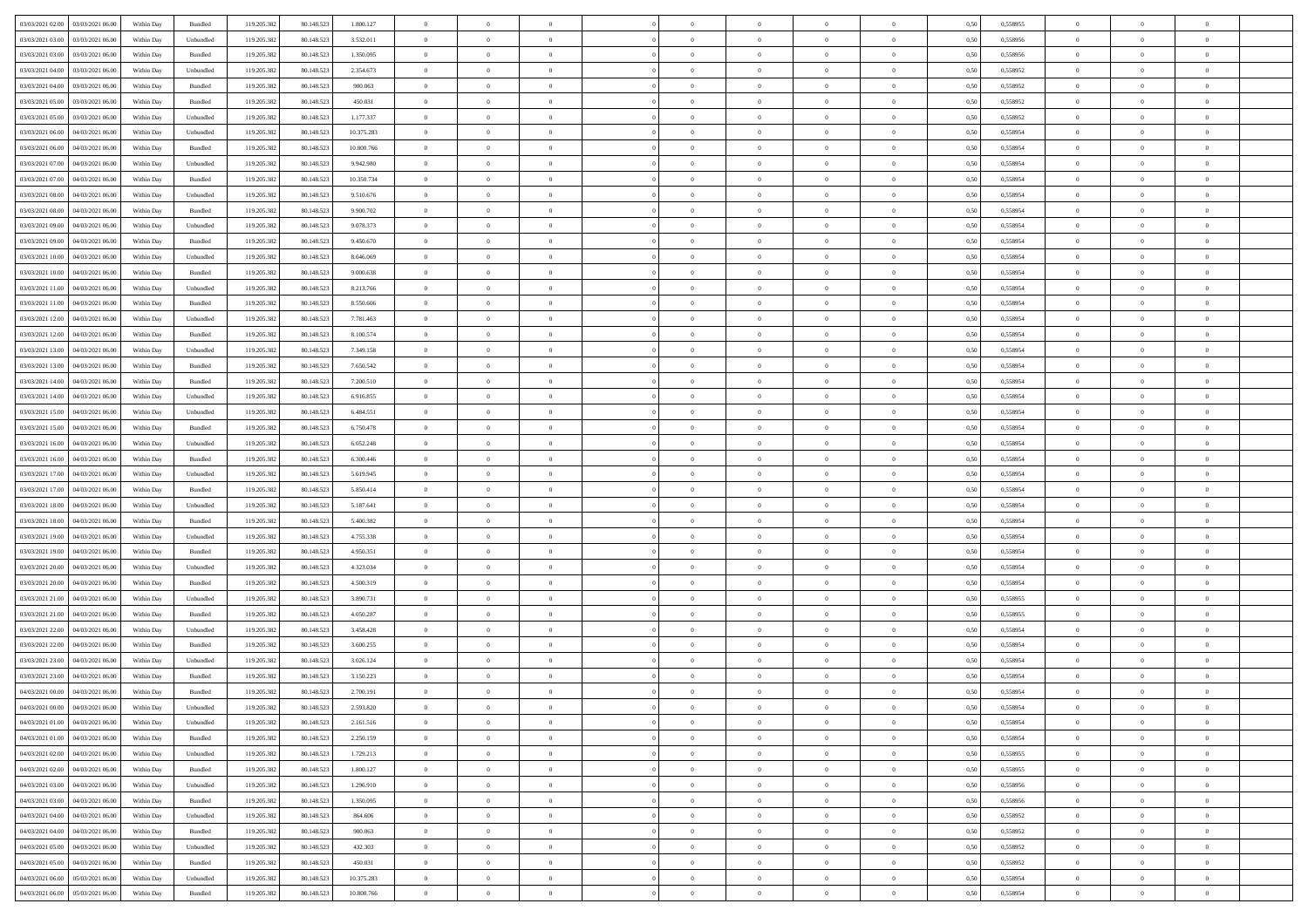| 03/03/2021 02:00 03/03/2021 06:00            | Within Day | Bundled   | 119.205.382 | 80.148.523 | 1.800.127  | $\overline{0}$ | $\theta$       |                | $\overline{0}$ | $\theta$       |                | $\theta$       | 0,50 | 0,558955 | $\theta$       | $\theta$       | $\theta$       |  |
|----------------------------------------------|------------|-----------|-------------|------------|------------|----------------|----------------|----------------|----------------|----------------|----------------|----------------|------|----------|----------------|----------------|----------------|--|
| 03/03/2021 03:00<br>03/03/2021 06:00         | Within Day | Unbundled | 119.205.38  | 80.148.52  | 3.532.011  | $\bf{0}$       | $\bf{0}$       | $\bf{0}$       | $\bf{0}$       | $\overline{0}$ | $\overline{0}$ | $\bf{0}$       | 0,50 | 0,558956 | $\,$ 0 $\,$    | $\bf{0}$       | $\overline{0}$ |  |
| 03/03/2021 03:00<br>03/03/2021 06:00         | Within Day | Bundled   | 119.205.382 | 80.148.52  | 1.350.095  | $\overline{0}$ | $\bf{0}$       | $\overline{0}$ | $\bf{0}$       | $\bf{0}$       | $\overline{0}$ | $\bf{0}$       | 0.50 | 0.558956 | $\bf{0}$       | $\overline{0}$ | $\bf{0}$       |  |
| 03/03/2021 04:00<br>03/03/2021 06:00         | Within Day | Unbundled | 119.205.382 | 80.148.523 | 2.354.673  | $\overline{0}$ | $\overline{0}$ | $\overline{0}$ | $\overline{0}$ | $\theta$       | $\overline{0}$ | $\bf{0}$       | 0,50 | 0,558952 | $\theta$       | $\theta$       | $\overline{0}$ |  |
| 03/03/2021 04:00<br>03/03/2021 06.00         | Within Day | Bundled   | 119.205.38  | 80.148.52  | 900.063    | $\bf{0}$       | $\overline{0}$ | $\bf{0}$       | $\overline{0}$ | $\theta$       | $\overline{0}$ | $\bf{0}$       | 0,50 | 0,558952 | $\,$ 0 $\,$    | $\bf{0}$       | $\overline{0}$ |  |
|                                              |            |           |             |            |            |                |                |                |                |                | $\theta$       |                |      |          |                |                |                |  |
| 03/03/2021 05:00<br>03/03/2021 06:00         | Within Day | Bundled   | 119,205.38  | 80.148.523 | 450.031    | $\overline{0}$ | $\overline{0}$ | $\overline{0}$ | $\bf{0}$       | $\overline{0}$ |                | $\bf{0}$       | 0.50 | 0.558952 | $\,$ 0 $\,$    | $\theta$       | $\overline{0}$ |  |
| 03/03/2021 05:00<br>03/03/2021 06:00         | Within Day | Unbundled | 119.205.38  | 80.148.523 | 1.177.337  | $\overline{0}$ | $\overline{0}$ | $\overline{0}$ | $\overline{0}$ | $\overline{0}$ | $\overline{0}$ | $\bf{0}$       | 0,50 | 0,558952 | $\theta$       | $\theta$       | $\overline{0}$ |  |
| 03/03/2021 06:00<br>04/03/2021 06.00         | Within Day | Unbundled | 119.205.38  | 80.148.52  | 10.375.283 | $\bf{0}$       | $\bf{0}$       | $\bf{0}$       | $\overline{0}$ | $\overline{0}$ | $\overline{0}$ | $\bf{0}$       | 0,50 | 0,558954 | $\,$ 0 $\,$    | $\bf{0}$       | $\overline{0}$ |  |
| 03/03/2021 06:00<br>04/03/2021 06:00         | Within Day | Bundled   | 119,205.38  | 80.148.52  | 10,800,766 | $\overline{0}$ | $\bf{0}$       | $\overline{0}$ | $\bf{0}$       | $\overline{0}$ | $\overline{0}$ | $\bf{0}$       | 0.50 | 0.558954 | $\bf{0}$       | $\overline{0}$ | $\overline{0}$ |  |
| 03/03/2021 07:00<br>04/03/2021 06:00         | Within Day | Unbundled | 119.205.382 | 80.148.523 | 9.942.980  | $\overline{0}$ | $\bf{0}$       | $\overline{0}$ | $\overline{0}$ | $\overline{0}$ | $\overline{0}$ | $\bf{0}$       | 0,50 | 0,558954 | $\,$ 0 $\,$    | $\bf{0}$       | $\overline{0}$ |  |
| 03/03/2021 07:00<br>04/03/2021 06.00         | Within Day | Bundled   | 119.205.38  | 80.148.523 | 10.350.734 | $\bf{0}$       | $\bf{0}$       | $\bf{0}$       | $\bf{0}$       | $\overline{0}$ | $\overline{0}$ | $\bf{0}$       | 0,50 | 0,558954 | $\,$ 0 $\,$    | $\bf{0}$       | $\overline{0}$ |  |
| 03/03/2021 08:00<br>04/03/2021 06:00         | Within Day | Unbundled | 119.205.382 | 80.148.52  | 9.510.676  | $\overline{0}$ | $\bf{0}$       | $\overline{0}$ | $\overline{0}$ | $\bf{0}$       | $\overline{0}$ | $\bf{0}$       | 0.50 | 0.558954 | $\bf{0}$       | $\overline{0}$ | $\,$ 0         |  |
| 03/03/2021 08:00<br>04/03/2021 06:00         | Within Day | Bundled   | 119.205.38  | 80.148.523 | 9.900.702  | $\overline{0}$ | $\overline{0}$ | $\overline{0}$ | $\theta$       | $\theta$       | $\overline{0}$ | $\bf{0}$       | 0,50 | 0,558954 | $\theta$       | $\theta$       | $\overline{0}$ |  |
|                                              |            |           |             |            |            |                |                |                |                |                |                |                |      |          |                |                |                |  |
| 03/03/2021 09:00<br>04/03/2021 06.00         | Within Day | Unbundled | 119.205.38  | 80.148.523 | 9.078.373  | $\bf{0}$       | $\overline{0}$ | $\bf{0}$       | $\bf{0}$       | $\bf{0}$       | $\overline{0}$ | $\bf{0}$       | 0,50 | 0,558954 | $\,$ 0 $\,$    | $\bf{0}$       | $\overline{0}$ |  |
| 03/03/2021 09:00<br>04/03/2021 06:00         | Within Day | Bundled   | 119.205.382 | 80.148.523 | 9.450.670  | $\overline{0}$ | $\bf{0}$       | $\overline{0}$ | $\bf{0}$       | $\overline{0}$ | $\theta$       | $\bf{0}$       | 0.50 | 0.558954 | $\,$ 0 $\,$    | $\theta$       | $\overline{0}$ |  |
| 03/03/2021 10:00<br>04/03/2021 06:00         | Within Day | Unbundled | 119.205.382 | 80.148.523 | 8.646.069  | $\overline{0}$ | $\overline{0}$ | $\overline{0}$ | $\overline{0}$ | $\overline{0}$ | $\overline{0}$ | $\bf{0}$       | 0,50 | 0,558954 | $\theta$       | $\theta$       | $\overline{0}$ |  |
| 03/03/2021 10:00<br>04/03/2021 06.00         | Within Day | Bundled   | 119.205.38  | 80.148.52  | 9.000.638  | $\bf{0}$       | $\bf{0}$       | $\bf{0}$       | $\overline{0}$ | $\overline{0}$ | $\overline{0}$ | $\bf{0}$       | 0,50 | 0,558954 | $\,$ 0 $\,$    | $\bf{0}$       | $\overline{0}$ |  |
| 03/03/2021 11:00<br>04/03/2021 06:00         | Within Day | Unbundled | 119,205.38  | 80.148.52  | 8.213.766  | $\overline{0}$ | $\bf{0}$       | $\overline{0}$ | $\bf{0}$       | $\overline{0}$ | $\overline{0}$ | $\bf{0}$       | 0.50 | 0.558954 | $\bf{0}$       | $\overline{0}$ | $\bf{0}$       |  |
| 03/03/2021 11:00<br>04/03/2021 06:00         | Within Day | Bundled   | 119.205.382 | 80.148.523 | 8.550.606  | $\overline{0}$ | $\bf{0}$       | $\overline{0}$ | $\overline{0}$ | $\overline{0}$ | $\overline{0}$ | $\bf{0}$       | 0,50 | 0,558954 | $\,$ 0 $\,$    | $\bf{0}$       | $\overline{0}$ |  |
| 03/03/2021 12:00<br>04/03/2021 06.00         | Within Day | Unbundled | 119.205.38  | 80.148.523 | 7.781.463  | $\bf{0}$       | $\bf{0}$       | $\bf{0}$       | $\bf{0}$       | $\overline{0}$ | $\overline{0}$ | $\bf{0}$       | 0,50 | 0,558954 | $\,$ 0 $\,$    | $\bf{0}$       | $\overline{0}$ |  |
|                                              |            |           |             |            |            |                |                |                |                |                |                |                |      |          |                |                |                |  |
| 03/03/2021 12:00<br>04/03/2021 06:00         | Within Day | Bundled   | 119.205.382 | 80.148.52  | 8,100,574  | $\overline{0}$ | $\bf{0}$       | $\overline{0}$ | $\overline{0}$ | $\bf{0}$       | $\overline{0}$ | $\bf{0}$       | 0.50 | 0.558954 | $\bf{0}$       | $\overline{0}$ | $\,$ 0         |  |
| 03/03/2021 13:00<br>04/03/2021 06:00         | Within Day | Unbundled | 119.205.382 | 80.148.523 | 7.349.158  | $\overline{0}$ | $\overline{0}$ | $\overline{0}$ | $\overline{0}$ | $\theta$       | $\overline{0}$ | $\bf{0}$       | 0,50 | 0,558954 | $\theta$       | $\theta$       | $\overline{0}$ |  |
| 03/03/2021 13:00<br>04/03/2021 06.00         | Within Day | Bundled   | 119.205.38  | 80.148.523 | 7.650.542  | $\bf{0}$       | $\bf{0}$       | $\bf{0}$       | $\bf{0}$       | $\overline{0}$ | $\overline{0}$ | $\bf{0}$       | 0,50 | 0,558954 | $\,$ 0 $\,$    | $\bf{0}$       | $\overline{0}$ |  |
| 03/03/2021 14:00<br>04/03/2021 06:00         | Within Day | Bundled   | 119,205.38  | 80.148.52  | 7.200.510  | $\overline{0}$ | $\overline{0}$ | $\overline{0}$ | $\bf{0}$       | $\overline{0}$ | $\theta$       | $\bf{0}$       | 0.50 | 0.558954 | $\,$ 0 $\,$    | $\theta$       | $\overline{0}$ |  |
| 03/03/2021 14:00<br>04/03/2021 06:00         | Within Day | Unbundled | 119.205.382 | 80.148.523 | 6.916.855  | $\overline{0}$ | $\overline{0}$ | $\overline{0}$ | $\overline{0}$ | $\overline{0}$ | $\overline{0}$ | $\bf{0}$       | 0,50 | 0,558954 | $\theta$       | $\theta$       | $\overline{0}$ |  |
| 03/03/2021 15:00<br>04/03/2021 06.00         | Within Day | Unbundled | 119.205.38  | 80.148.52  | 6.484.551  | $\bf{0}$       | $\overline{0}$ | $\bf{0}$       | $\overline{0}$ | $\bf{0}$       | $\overline{0}$ | $\bf{0}$       | 0,50 | 0,558954 | $\,$ 0 $\,$    | $\bf{0}$       | $\overline{0}$ |  |
| 03/03/2021 15:00<br>04/03/2021 06:00         | Within Day | Bundled   | 119,205.38  | 80.148.52  | 6.750.478  | $\overline{0}$ | $\bf{0}$       | $\overline{0}$ | $\bf{0}$       | $\overline{0}$ | $\overline{0}$ | $\bf{0}$       | 0.50 | 0.558954 | $\bf{0}$       | $\overline{0}$ | $\overline{0}$ |  |
| 03/03/2021 16:00<br>04/03/2021 06:00         | Within Day | Unbundled | 119.205.382 | 80.148.523 | 6.052.248  | $\overline{0}$ | $\bf{0}$       | $\overline{0}$ | $\overline{0}$ | $\overline{0}$ | $\overline{0}$ | $\bf{0}$       | 0,50 | 0,558954 | $\theta$       | $\theta$       | $\overline{0}$ |  |
|                                              |            |           |             |            |            |                |                |                |                |                |                |                |      |          |                |                |                |  |
| 03/03/2021 16:00<br>04/03/2021 06.00         | Within Day | Bundled   | 119.205.38  | 80.148.523 | 6.300.446  | $\bf{0}$       | $\bf{0}$       | $\bf{0}$       | $\bf{0}$       | $\overline{0}$ | $\overline{0}$ | $\bf{0}$       | 0,50 | 0,558954 | $\,$ 0 $\,$    | $\bf{0}$       | $\overline{0}$ |  |
| 03/03/2021 17:00<br>04/03/2021 06:00         | Within Day | Unbundled | 119.205.382 | 80.148.52  | 5.619.945  | $\overline{0}$ | $\bf{0}$       | $\overline{0}$ | $\overline{0}$ | $\bf{0}$       | $\overline{0}$ | $\bf{0}$       | 0.50 | 0.558954 | $\bf{0}$       | $\overline{0}$ | $\,$ 0         |  |
| 03/03/2021 17:00<br>04/03/2021 06:00         | Within Day | Bundled   | 119.205.382 | 80.148.52  | 5.850.414  | $\overline{0}$ | $\overline{0}$ | $\overline{0}$ | $\overline{0}$ | $\overline{0}$ | $\overline{0}$ | $\bf{0}$       | 0.50 | 0.558954 | $\theta$       | $\theta$       | $\overline{0}$ |  |
| 03/03/2021 18:00<br>04/03/2021 06.00         | Within Day | Unbundled | 119.205.38  | 80.148.523 | 5.187.641  | $\bf{0}$       | $\overline{0}$ | $\bf{0}$       | $\bf{0}$       | $\overline{0}$ | $\overline{0}$ | $\bf{0}$       | 0,50 | 0,558954 | $\,$ 0 $\,$    | $\bf{0}$       | $\overline{0}$ |  |
| 03/03/2021 18:00<br>04/03/2021 06:00         | Within Day | Bundled   | 119.205.382 | 80.148.52  | 5.400.382  | $\overline{0}$ | $\bf{0}$       | $\overline{0}$ | $\bf{0}$       | $\overline{0}$ | $\theta$       | $\bf{0}$       | 0.50 | 0.558954 | $\,$ 0 $\,$    | $\theta$       | $\overline{0}$ |  |
| 03/03/2021 19:00<br>04/03/2021 06:00         | Within Dav | Unbundled | 119.205.38  | 80.148.52  | 4.755.338  | $\overline{0}$ | $\overline{0}$ | $\overline{0}$ | $\overline{0}$ | $\overline{0}$ | $\overline{0}$ | $\bf{0}$       | 0.50 | 0,558954 | $\theta$       | $\theta$       | $\overline{0}$ |  |
| 03/03/2021 19:00<br>04/03/2021 06.00         | Within Day | Bundled   | 119.205.38  | 80.148.52  | 4.950.351  | $\bf{0}$       | $\bf{0}$       | $\bf{0}$       | $\bf{0}$       | $\overline{0}$ | $\overline{0}$ | $\bf{0}$       | 0,50 | 0,558954 | $\,$ 0 $\,$    | $\bf{0}$       | $\overline{0}$ |  |
| 03/03/2021 20:00<br>04/03/2021 06:00         | Within Day | Unbundled | 119,205.38  | 80.148.52  | 4.323.034  | $\overline{0}$ | $\bf{0}$       | $\overline{0}$ | $\bf{0}$       | $\overline{0}$ | $\overline{0}$ | $\bf{0}$       | 0.50 | 0.558954 | $\bf{0}$       | $\overline{0}$ | $\bf{0}$       |  |
| 03/03/2021 20:00<br>04/03/2021 06:00         | Within Day | Bundled   | 119.205.38  | 80.148.52  | 4.500.319  | $\overline{0}$ | $\overline{0}$ | $\overline{0}$ | $\overline{0}$ | $\overline{0}$ | $\overline{0}$ | $\bf{0}$       | 0.50 | 0,558954 | $\theta$       | $\theta$       | $\overline{0}$ |  |
|                                              |            |           |             |            |            |                |                |                |                |                |                |                |      |          |                |                |                |  |
| 03/03/2021 21:00<br>04/03/2021 06.00         | Within Day | Unbundled | 119.205.38  | 80.148.52  | 3.890.731  | $\bf{0}$       | $\bf{0}$       | $\bf{0}$       | $\bf{0}$       | $\overline{0}$ | $\overline{0}$ | $\bf{0}$       | 0,50 | 0,558955 | $\,$ 0 $\,$    | $\bf{0}$       | $\overline{0}$ |  |
| 03/03/2021 21:00<br>04/03/2021 06:00         | Within Day | Bundled   | 119.205.382 | 80.148.523 | 4.050.287  | $\overline{0}$ | $\bf{0}$       | $\overline{0}$ | $\overline{0}$ | $\bf{0}$       | $\overline{0}$ | $\bf{0}$       | 0.50 | 0.558955 | $\bf{0}$       | $\overline{0}$ | $\,$ 0         |  |
| 03/03/2021 22:00<br>04/03/2021 06:00         | Within Dav | Unbundled | 119.205.382 | 80.148.52  | 3.458.428  | $\overline{0}$ | $\overline{0}$ | $\overline{0}$ | $\overline{0}$ | $\overline{0}$ | $\overline{0}$ | $\bf{0}$       | 0.50 | 0,558954 | $\theta$       | $\theta$       | $\overline{0}$ |  |
| 03/03/2021 22:00<br>04/03/2021 06.00         | Within Day | Bundled   | 119.205.38  | 80.148.523 | 3.600.255  | $\bf{0}$       | $\bf{0}$       | $\bf{0}$       | $\bf{0}$       | $\overline{0}$ | $\overline{0}$ | $\bf{0}$       | 0,50 | 0,558954 | $\,$ 0 $\,$    | $\bf{0}$       | $\overline{0}$ |  |
| 03/03/2021 23:00<br>04/03/2021 06:00         | Within Day | Unbundled | 119.205.382 | 80.148.52  | 3.026.124  | $\overline{0}$ | $\overline{0}$ | $\overline{0}$ | $\bf{0}$       | $\overline{0}$ | $\Omega$       | $\bf{0}$       | 0.50 | 0.558954 | $\bf{0}$       | $\theta$       | $\overline{0}$ |  |
| 03/03/2021 23:00<br>04/03/2021 06:00         | Within Dav | Bundled   | 119.205.38  | 80.148.52  | 3.150.223  | $\overline{0}$ | $\overline{0}$ | $\Omega$       | $\overline{0}$ | $\theta$       | $\overline{0}$ | $\overline{0}$ | 0.5( | 0,558954 | $\theta$       | $\theta$       | $\overline{0}$ |  |
| 04/03/2021 00:00<br>04/03/2021 06:00         | Within Day | Bundled   | 119.205.382 | 80.148.52  | 2.700.191  | $\bf{0}$       | $\bf{0}$       | $\bf{0}$       | $\bf{0}$       | $\bf{0}$       | $\overline{0}$ | $\bf{0}$       | 0,50 | 0,558954 | $\overline{0}$ | $\overline{0}$ | $\overline{0}$ |  |
| $04/03/2021\ 00.00 \qquad 04/03/2021\ 06.00$ | Within Day | Unbundled | 119.205.382 | 80.148.523 | 2.593.820  | $\bf{0}$       | $\Omega$       |                | $\overline{0}$ |                |                |                | 0,50 | 0.558954 | $\bf{0}$       | $\overline{0}$ |                |  |
|                                              |            |           |             |            |            | $\overline{0}$ | $\overline{0}$ |                | $\theta$       | $\overline{0}$ |                |                |      |          | $\theta$       | $\overline{0}$ | $\overline{0}$ |  |
| 04/03/2021 01:00 04/03/2021 06:00            | Within Day | Unbundled | 119.205.382 | 80.148.523 | 2.161.516  |                |                | $\overline{0}$ |                |                | $\overline{0}$ | $\bf{0}$       | 0,50 | 0,558954 |                |                |                |  |
| 04/03/2021 01:00<br>04/03/2021 06:00         | Within Day | Bundled   | 119.205.38  | 80.148.523 | 2.250.159  | $\overline{0}$ | $\bf{0}$       | $\overline{0}$ | $\overline{0}$ | $\bf{0}$       | $\overline{0}$ | $\bf{0}$       | 0,50 | 0,558954 | $\bf{0}$       | $\overline{0}$ | $\bf{0}$       |  |
| 04/03/2021 02:00 04/03/2021 06:00            | Within Day | Unbundled | 119.205.382 | 80.148.523 | 1.729.213  | $\overline{0}$ | $\bf{0}$       | $\overline{0}$ | $\overline{0}$ | $\mathbf{0}$   | $\overline{0}$ | $\,$ 0 $\,$    | 0.50 | 0.558955 | $\overline{0}$ | $\bf{0}$       | $\,$ 0 $\,$    |  |
| 04/03/2021 02:00 04/03/2021 06:00            | Within Day | Bundled   | 119.205.382 | 80.148.523 | 1.800.127  | $\overline{0}$ | $\overline{0}$ | $\overline{0}$ | $\overline{0}$ | $\overline{0}$ | $\overline{0}$ | $\bf{0}$       | 0,50 | 0,558955 | $\overline{0}$ | $\theta$       | $\overline{0}$ |  |
| 04/03/2021 03:00<br>04/03/2021 06:00         | Within Day | Unbundled | 119.205.382 | 80.148.523 | 1.296.910  | $\overline{0}$ | $\bf{0}$       | $\overline{0}$ | $\overline{0}$ | $\bf{0}$       | $\overline{0}$ | $\bf{0}$       | 0,50 | 0,558956 | $\bf{0}$       | $\overline{0}$ | $\overline{0}$ |  |
| 04/03/2021 03:00<br>04/03/2021 06:00         | Within Day | Bundled   | 119.205.382 | 80.148.523 | 1.350.095  | $\overline{0}$ | $\bf{0}$       | $\overline{0}$ | $\overline{0}$ | $\bf{0}$       | $\overline{0}$ | $\bf{0}$       | 0.50 | 0.558956 | $\,$ 0 $\,$    | $\overline{0}$ | $\,$ 0         |  |
| 04/03/2021 04:00<br>04/03/2021 06:00         | Within Dav | Unbundled | 119.205.382 | 80.148.523 | 864,606    | $\overline{0}$ | $\overline{0}$ | $\overline{0}$ | $\overline{0}$ | $\overline{0}$ | $\overline{0}$ | $\bf{0}$       | 0.50 | 0,558952 | $\overline{0}$ | $\theta$       | $\overline{0}$ |  |
| 04/03/2021 06:00<br>04/03/2021 04:00         | Within Day | Bundled   | 119.205.38  | 80.148.523 | 900.063    | $\overline{0}$ | $\overline{0}$ | $\overline{0}$ | $\overline{0}$ | $\overline{0}$ | $\overline{0}$ | $\bf{0}$       | 0,50 | 0,558952 | $\bf{0}$       | $\overline{0}$ | $\overline{0}$ |  |
|                                              |            |           |             |            |            |                |                |                |                |                |                |                |      |          |                |                |                |  |
| 04/03/2021 05:00 04/03/2021 06:00            | Within Day | Unbundled | 119.205.382 | 80.148.523 | 432.303    | $\overline{0}$ | $\overline{0}$ | $\overline{0}$ | $\overline{0}$ | $\overline{0}$ | $\overline{0}$ | $\bf{0}$       | 0.50 | 0.558952 | $\mathbf{0}$   | $\bf{0}$       | $\,$ 0         |  |
| 04/03/2021 05:00 04/03/2021 06:00            | Within Dav | Bundled   | 119.205.382 | 80.148.523 | 450.031    | $\overline{0}$ | $\overline{0}$ | $\overline{0}$ | $\overline{0}$ | $\overline{0}$ | $\overline{0}$ | $\bf{0}$       | 0,50 | 0,558952 | $\overline{0}$ | $\theta$       | $\overline{0}$ |  |
| 04/03/2021 06:00<br>05/03/2021 06:00         | Within Day | Unbundled | 119.205.38  | 80.148.523 | 10.375.283 | $\overline{0}$ | $\bf{0}$       | $\overline{0}$ | $\overline{0}$ | $\overline{0}$ | $\overline{0}$ | $\bf{0}$       | 0,50 | 0,558954 | $\bf{0}$       | $\overline{0}$ | $\bf{0}$       |  |
| 04/03/2021 06:00 05/03/2021 06:00            | Within Day | Bundled   | 119.205.382 | 80.148.523 | 10.800.766 | $\overline{0}$ | $\bf{0}$       | $\overline{0}$ | $\overline{0}$ | $\,$ 0 $\,$    | $\overline{0}$ | $\bf{0}$       | 0,50 | 0,558954 | $\overline{0}$ | $\,$ 0 $\,$    | $\,$ 0 $\,$    |  |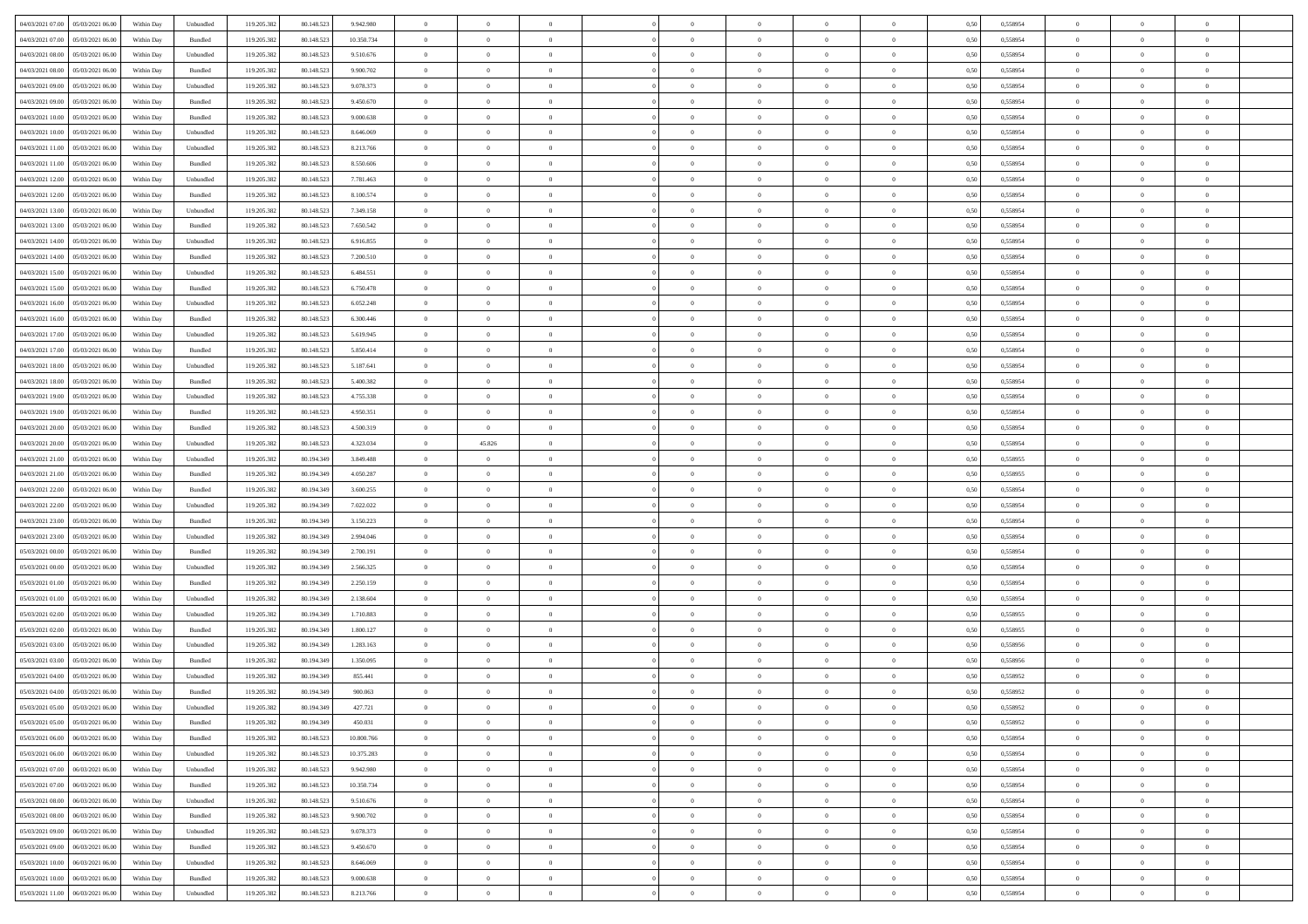|                                      |            |                             |             |            |            | $\overline{0}$                   | $\overline{0}$ |                | $\overline{0}$ | $\theta$       |                | $\theta$       |      |          | $\theta$       | $\theta$       | $\theta$       |  |
|--------------------------------------|------------|-----------------------------|-------------|------------|------------|----------------------------------|----------------|----------------|----------------|----------------|----------------|----------------|------|----------|----------------|----------------|----------------|--|
| 04/03/2021 07:00 05/03/2021 06:00    | Within Day | Unbundled                   | 119.205.382 | 80.148.523 | 9.942.980  |                                  |                |                |                |                |                |                | 0,50 | 0,558954 |                |                |                |  |
| 04/03/2021 07:00<br>05/03/2021 06:00 | Within Day | Bundled                     | 119.205.38  | 80.148.52  | 10.350.734 | $\bf{0}$                         | $\bf{0}$       | $\bf{0}$       | $\overline{0}$ | $\overline{0}$ | $\overline{0}$ | $\bf{0}$       | 0,50 | 0,558954 | $\,$ 0 $\,$    | $\bf{0}$       | $\overline{0}$ |  |
| 04/03/2021 08:00<br>05/03/2021 06:00 | Within Day | Unbundled                   | 119.205.382 | 80.148.52  | 9.510.676  | $\overline{0}$                   | $\bf{0}$       | $\overline{0}$ | $\bf{0}$       | $\bf{0}$       | $\overline{0}$ | $\bf{0}$       | 0.50 | 0.558954 | $\bf{0}$       | $\overline{0}$ | $\overline{0}$ |  |
| 04/03/2021 08:00<br>05/03/2021 06:00 | Within Day | Bundled                     | 119.205.382 | 80.148.523 | 9.900.702  | $\overline{0}$                   | $\bf{0}$       | $\overline{0}$ | $\theta$       | $\theta$       | $\overline{0}$ | $\bf{0}$       | 0,50 | 0,558954 | $\theta$       | $\theta$       | $\overline{0}$ |  |
| 04/03/2021 09:00<br>05/03/2021 06.00 | Within Day | Unbundled                   | 119.205.38  | 80.148.523 | 9.078.373  | $\overline{0}$                   | $\overline{0}$ | $\bf{0}$       | $\overline{0}$ | $\theta$       | $\overline{0}$ | $\bf{0}$       | 0,50 | 0,558954 | $\,$ 0 $\,$    | $\bf{0}$       | $\overline{0}$ |  |
| 04/03/2021 09:00<br>05/03/2021 06:00 |            | Bundled                     | 119.205.382 | 80.148.523 | 9.450.670  | $\overline{0}$                   | $\overline{0}$ | $\overline{0}$ | $\bf{0}$       | $\overline{0}$ | $\theta$       | $\bf{0}$       | 0.50 | 0.558954 | $\,$ 0 $\,$    | $\theta$       | $\overline{0}$ |  |
|                                      | Within Day |                             |             |            |            |                                  |                |                |                |                |                |                |      |          |                |                |                |  |
| 04/03/2021 10:00<br>05/03/2021 06:00 | Within Day | Bundled                     | 119.205.38  | 80.148.523 | 9.000.638  | $\overline{0}$                   | $\overline{0}$ | $\overline{0}$ | $\overline{0}$ | $\overline{0}$ | $\overline{0}$ | $\bf{0}$       | 0,50 | 0,558954 | $\theta$       | $\theta$       | $\overline{0}$ |  |
| 04/03/2021 10:00<br>05/03/2021 06.00 | Within Day | Unbundled                   | 119.205.38  | 80.148.52  | 8.646.069  | $\overline{0}$                   | $\overline{0}$ | $\bf{0}$       | $\overline{0}$ | $\overline{0}$ | $\overline{0}$ | $\bf{0}$       | 0,50 | 0,558954 | $\,$ 0 $\,$    | $\bf{0}$       | $\overline{0}$ |  |
| 04/03/2021 11:00<br>05/03/2021 06:00 | Within Day | Unbundled                   | 119,205.38  | 80.148.52  | 8.213.766  | $\overline{0}$                   | $\bf{0}$       | $\overline{0}$ | $\bf{0}$       | $\overline{0}$ | $\overline{0}$ | $\bf{0}$       | 0.50 | 0.558954 | $\bf{0}$       | $\overline{0}$ | $\overline{0}$ |  |
| 04/03/2021 11:00<br>05/03/2021 06:00 | Within Day | Bundled                     | 119.205.382 | 80.148.523 | 8.550.606  | $\overline{0}$                   | $\bf{0}$       | $\overline{0}$ | $\overline{0}$ | $\overline{0}$ | $\overline{0}$ | $\bf{0}$       | 0,50 | 0,558954 | $\,$ 0 $\,$    | $\bf{0}$       | $\overline{0}$ |  |
| 04/03/2021 12:00<br>05/03/2021 06.00 | Within Day | Unbundled                   | 119.205.38  | 80.148.523 | 7.781.463  | $\bf{0}$                         | $\overline{0}$ | $\bf{0}$       | $\bf{0}$       | $\bf{0}$       | $\overline{0}$ | $\bf{0}$       | 0,50 | 0,558954 | $\,$ 0 $\,$    | $\bf{0}$       | $\overline{0}$ |  |
| 04/03/2021 12:00<br>05/03/2021 06:00 | Within Day | Bundled                     | 119.205.382 | 80.148.52  | 8,100,574  | $\overline{0}$                   | $\bf{0}$       | $\overline{0}$ | $\overline{0}$ | $\bf{0}$       | $\overline{0}$ | $\bf{0}$       | 0.50 | 0.558954 | $\bf{0}$       | $\overline{0}$ | $\bf{0}$       |  |
| 04/03/2021 13:00<br>05/03/2021 06:00 | Within Day | Unbundled                   | 119.205.38  | 80.148.523 | 7.349.158  | $\overline{0}$                   | $\overline{0}$ | $\overline{0}$ | $\theta$       | $\theta$       | $\overline{0}$ | $\bf{0}$       | 0,50 | 0,558954 | $\,$ 0 $\,$    | $\theta$       | $\overline{0}$ |  |
|                                      |            |                             |             |            |            |                                  |                |                |                |                |                |                |      |          |                |                |                |  |
| 04/03/2021 13:00<br>05/03/2021 06.00 | Within Day | Bundled                     | 119.205.38  | 80.148.52  | 7.650.542  | $\bf{0}$                         | $\overline{0}$ | $\bf{0}$       | $\overline{0}$ | $\theta$       | $\overline{0}$ | $\bf{0}$       | 0,50 | 0,558954 | $\,$ 0 $\,$    | $\bf{0}$       | $\overline{0}$ |  |
| 04/03/2021 14:00<br>05/03/2021 06:00 | Within Day | Unbundled                   | 119,205.38  | 80.148.523 | 6.916.855  | $\overline{0}$                   | $\overline{0}$ | $\overline{0}$ | $\bf{0}$       | $\overline{0}$ | $\Omega$       | $\bf{0}$       | 0.50 | 0.558954 | $\,$ 0 $\,$    | $\theta$       | $\overline{0}$ |  |
| 04/03/2021 14:00<br>05/03/2021 06:00 | Within Day | Bundled                     | 119.205.382 | 80.148.523 | 7.200.510  | $\overline{0}$                   | $\overline{0}$ | $\overline{0}$ | $\overline{0}$ | $\overline{0}$ | $\overline{0}$ | $\bf{0}$       | 0,50 | 0,558954 | $\theta$       | $\theta$       | $\overline{0}$ |  |
| 04/03/2021 15:00<br>05/03/2021 06.00 | Within Day | Unbundled                   | 119.205.38  | 80.148.52  | 6.484.551  | $\bf{0}$                         | $\overline{0}$ | $\bf{0}$       | $\overline{0}$ | $\theta$       | $\overline{0}$ | $\bf{0}$       | 0,50 | 0,558954 | $\,$ 0 $\,$    | $\bf{0}$       | $\overline{0}$ |  |
| 04/03/2021 15:00<br>05/03/2021 06:00 | Within Day | Bundled                     | 119,205.38  | 80.148.52  | 6.750.478  | $\overline{0}$                   | $\bf{0}$       | $\overline{0}$ | $\bf{0}$       | $\overline{0}$ | $\overline{0}$ | $\bf{0}$       | 0.50 | 0.558954 | $\bf{0}$       | $\overline{0}$ | $\overline{0}$ |  |
| 04/03/2021 16:00<br>05/03/2021 06:00 | Within Day | Unbundled                   | 119.205.382 | 80.148.523 | 6.052.248  | $\overline{0}$                   | $\bf{0}$       | $\overline{0}$ | $\overline{0}$ | $\overline{0}$ | $\overline{0}$ | $\bf{0}$       | 0,50 | 0,558954 | $\,$ 0 $\,$    | $\bf{0}$       | $\overline{0}$ |  |
| 04/03/2021 16:00<br>05/03/2021 06.00 | Within Day | Bundled                     | 119.205.38  | 80.148.52  | 6.300.446  | $\bf{0}$                         | $\bf{0}$       | $\bf{0}$       | $\bf{0}$       | $\overline{0}$ | $\overline{0}$ | $\bf{0}$       | 0,50 | 0,558954 | $\,$ 0 $\,$    | $\bf{0}$       | $\overline{0}$ |  |
| 04/03/2021 17:00<br>05/03/2021 06:00 |            | Unbundled                   |             | 80.148.523 |            |                                  | $\bf{0}$       | $\overline{0}$ |                | $\bf{0}$       | $\overline{0}$ |                | 0.50 | 0.558954 | $\bf{0}$       | $\overline{0}$ | $\overline{0}$ |  |
|                                      | Within Day |                             | 119.205.382 |            | 5.619.945  | $\overline{0}$<br>$\overline{0}$ | $\overline{0}$ |                | $\bf{0}$       |                |                | $\bf{0}$       |      |          | $\theta$       | $\theta$       |                |  |
| 04/03/2021 17:00<br>05/03/2021 06:00 | Within Day | Bundled                     | 119.205.382 | 80.148.523 | 5.850.414  |                                  |                | $\overline{0}$ | $\theta$       | $\theta$       | $\overline{0}$ | $\bf{0}$       | 0,50 | 0,558954 |                |                | $\overline{0}$ |  |
| 04/03/2021 18:00<br>05/03/2021 06.00 | Within Day | Unbundled                   | 119.205.38  | 80.148.523 | 5.187.641  | $\bf{0}$                         | $\overline{0}$ | $\bf{0}$       | $\bf{0}$       | $\overline{0}$ | $\overline{0}$ | $\bf{0}$       | 0,50 | 0,558954 | $\,$ 0 $\,$    | $\bf{0}$       | $\overline{0}$ |  |
| 04/03/2021 18:00<br>05/03/2021 06:00 | Within Day | Bundled                     | 119,205.38  | 80.148.52  | 5.400.382  | $\overline{0}$                   | $\overline{0}$ | $\overline{0}$ | $\overline{0}$ | $\overline{0}$ | $\theta$       | $\bf{0}$       | 0.50 | 0.558954 | $\,$ 0 $\,$    | $\theta$       | $\overline{0}$ |  |
| 04/03/2021 19:00<br>05/03/2021 06:00 | Within Day | Unbundled                   | 119.205.38  | 80.148.523 | 4.755.338  | $\overline{0}$                   | $\overline{0}$ | $\overline{0}$ | $\overline{0}$ | $\theta$       | $\overline{0}$ | $\bf{0}$       | 0,50 | 0,558954 | $\theta$       | $\theta$       | $\overline{0}$ |  |
| 04/03/2021 19:00<br>05/03/2021 06.00 | Within Day | Bundled                     | 119.205.38  | 80.148.52  | 4.950.351  | $\bf{0}$                         | $\overline{0}$ | $\bf{0}$       | $\overline{0}$ | $\theta$       | $\overline{0}$ | $\bf{0}$       | 0,50 | 0,558954 | $\,$ 0 $\,$    | $\bf{0}$       | $\overline{0}$ |  |
| 04/03/2021 20:00<br>05/03/2021 06:00 | Within Day | Bundled                     | 119,205.38  | 80.148.52  | 4.500.319  | $\overline{0}$                   | $\bf{0}$       | $\overline{0}$ | $\bf{0}$       | $\overline{0}$ | $\overline{0}$ | $\bf{0}$       | 0.50 | 0.558954 | $\bf{0}$       | $\overline{0}$ | $\overline{0}$ |  |
| 04/03/2021 20:00<br>05/03/2021 06:00 | Within Day | Unbundled                   | 119.205.382 | 80.148.523 | 4.323.034  | $\overline{0}$                   | 45.826         | $\overline{0}$ | $\overline{0}$ | $\overline{0}$ | $\overline{0}$ | $\bf{0}$       | 0,50 | 0,558954 | $\theta$       | $\theta$       | $\overline{0}$ |  |
| 04/03/2021 21:00<br>05/03/2021 06.00 | Within Day | Unbundled                   | 119.205.38  | 80.194.349 | 3.849.488  | $\bf{0}$                         | $\overline{0}$ | $\bf{0}$       | $\bf{0}$       | $\overline{0}$ | $\overline{0}$ | $\bf{0}$       | 0,50 | 0,558955 | $\,$ 0 $\,$    | $\bf{0}$       | $\overline{0}$ |  |
|                                      |            |                             |             |            |            |                                  |                |                |                |                |                |                |      |          |                |                |                |  |
| 04/03/2021 21:00<br>05/03/2021 06:00 | Within Day | Bundled                     | 119.205.382 | 80.194.349 | 4.050.287  | $\overline{0}$                   | $\bf{0}$       | $\overline{0}$ | $\bf{0}$       | $\bf{0}$       | $\overline{0}$ | $\bf{0}$       | 0.50 | 0.558955 | $\bf{0}$       | $\overline{0}$ | $\overline{0}$ |  |
| 04/03/2021 22:00<br>05/03/2021 06:00 | Within Day | Bundled                     | 119.205.382 | 80.194.349 | 3.600.255  | $\overline{0}$                   | $\overline{0}$ | $\overline{0}$ | $\overline{0}$ | $\overline{0}$ | $\overline{0}$ | $\bf{0}$       | 0.50 | 0.558954 | $\theta$       | $\theta$       | $\overline{0}$ |  |
| 04/03/2021 22:00<br>05/03/2021 06.00 | Within Day | Unbundled                   | 119.205.38  | 80.194.349 | 7.022.022  | $\bf{0}$                         | $\overline{0}$ | $\bf{0}$       | $\bf{0}$       | $\overline{0}$ | $\overline{0}$ | $\bf{0}$       | 0,50 | 0,558954 | $\,$ 0 $\,$    | $\bf{0}$       | $\overline{0}$ |  |
| 04/03/2021 23:00<br>05/03/2021 06:00 | Within Day | Bundled                     | 119.205.382 | 80.194.349 | 3.150.223  | $\overline{0}$                   | $\bf{0}$       | $\overline{0}$ | $\bf{0}$       | $\overline{0}$ | $\Omega$       | $\bf{0}$       | 0.50 | 0.558954 | $\,$ 0 $\,$    | $\theta$       | $\overline{0}$ |  |
| 04/03/2021 23:00<br>05/03/2021 06:00 | Within Dav | Unbundled                   | 119.205.38  | 80.194.349 | 2.994.046  | $\overline{0}$                   | $\overline{0}$ | $\overline{0}$ | $\overline{0}$ | $\theta$       | $\overline{0}$ | $\bf{0}$       | 0.50 | 0,558954 | $\theta$       | $\theta$       | $\overline{0}$ |  |
| 05/03/2021 00:00<br>05/03/2021 06.00 | Within Day | Bundled                     | 119.205.38  | 80.194.349 | 2.700.191  | $\bf{0}$                         | $\bf{0}$       | $\bf{0}$       | $\overline{0}$ | $\bf{0}$       | $\overline{0}$ | $\bf{0}$       | 0,50 | 0,558954 | $\,$ 0 $\,$    | $\bf{0}$       | $\overline{0}$ |  |
| 05/03/2021 00:00<br>05/03/2021 06:00 | Within Day | Unbundled                   | 119,205.38  | 80.194.349 | 2.566.325  | $\overline{0}$                   | $\bf{0}$       | $\overline{0}$ | $\bf{0}$       | $\overline{0}$ | $\overline{0}$ | $\bf{0}$       | 0.50 | 0.558954 | $\bf{0}$       | $\overline{0}$ | $\overline{0}$ |  |
| 05/03/2021 01:00<br>05/03/2021 06:00 | Within Day | Bundled                     | 119.205.38  | 80.194.349 | 2.250.159  | $\overline{0}$                   | $\overline{0}$ | $\overline{0}$ | $\overline{0}$ | $\overline{0}$ | $\overline{0}$ | $\bf{0}$       | 0.50 | 0,558954 | $\theta$       | $\theta$       | $\overline{0}$ |  |
| 05/03/2021 06.00                     | Within Day | Unbundled                   |             | 80.194.349 | 2.138.604  | $\bf{0}$                         | $\bf{0}$       | $\bf{0}$       | $\bf{0}$       | $\overline{0}$ | $\overline{0}$ | $\bf{0}$       | 0,50 | 0,558954 | $\,$ 0 $\,$    | $\bf{0}$       | $\overline{0}$ |  |
| 05/03/2021 01:00                     |            |                             | 119.205.38  |            |            |                                  |                |                |                |                |                |                |      |          |                |                |                |  |
| 05/03/2021 02:00<br>05/03/2021 06:00 | Within Day | Unbundled                   | 119.205.382 | 80.194.349 | 1.710.883  | $\overline{0}$                   | $\bf{0}$       | $\overline{0}$ | $\bf{0}$       | $\bf{0}$       | $\overline{0}$ | $\bf{0}$       | 0.50 | 0.558955 | $\bf{0}$       | $\overline{0}$ | $\overline{0}$ |  |
| 05/03/2021 02:00<br>05/03/2021 06:00 | Within Day | Bundled                     | 119.205.382 | 80.194.349 | 1,800.127  | $\overline{0}$                   | $\overline{0}$ | $\overline{0}$ | $\overline{0}$ | $\overline{0}$ | $\overline{0}$ | $\bf{0}$       | 0.50 | 0,558955 | $\theta$       | $\theta$       | $\overline{0}$ |  |
| 05/03/2021 03:00<br>05/03/2021 06.00 | Within Day | Unbundled                   | 119.205.38  | 80.194.349 | 1.283.163  | $\bf{0}$                         | $\bf{0}$       | $\bf{0}$       | $\bf{0}$       | $\overline{0}$ | $\overline{0}$ | $\bf{0}$       | 0,50 | 0,558956 | $\,$ 0 $\,$    | $\bf{0}$       | $\overline{0}$ |  |
| 05/03/2021 03:00<br>05/03/2021 06:00 | Within Day | Bundled                     | 119.205.382 | 80.194.349 | 1.350.095  | $\overline{0}$                   | $\overline{0}$ | $\overline{0}$ | $\bf{0}$       | $\overline{0}$ | $\Omega$       | $\bf{0}$       | 0.50 | 0.558956 | $\,$ 0 $\,$    | $\theta$       | $\overline{0}$ |  |
| 05/03/2021 04:00<br>05/03/2021 06:00 | Within Dav | Unbundled                   | 119.205.38  | 80.194.349 | 855.441    | $\overline{0}$                   | $\overline{0}$ | $\Omega$       | $\overline{0}$ | $\theta$       | $\Omega$       | $\overline{0}$ | 0.5( | 0,558952 | $\theta$       | $\theta$       | $\overline{0}$ |  |
| 05/03/2021 04:00<br>05/03/2021 06:00 | Within Day | Bundled                     | 119.205.38  | 80.194.349 | 900.063    | $\bf{0}$                         | $\bf{0}$       | $\bf{0}$       | $\bf{0}$       | $\bf{0}$       | $\overline{0}$ | $\bf{0}$       | 0,50 | 0,558952 | $\overline{0}$ | $\bf{0}$       | $\overline{0}$ |  |
|                                      | Within Day | $\ensuremath{\mathsf{Unb}}$ | 119.205.382 | 80.194.349 | 427.721    | $\overline{0}$                   | $\Omega$       |                | $\Omega$       |                |                |                | 0,50 | 0,558952 | $\theta$       | $\overline{0}$ |                |  |
| 05/03/2021 05:00 05/03/2021 06:00    | Within Day | Bundled                     | 119.205.382 | 80.194.349 | 450.031    | $\overline{0}$                   | $\overline{0}$ | $\overline{0}$ | $\theta$       | $\overline{0}$ | $\overline{0}$ | $\bf{0}$       | 0,50 | 0,558952 | $\theta$       | $\overline{0}$ | $\overline{0}$ |  |
|                                      |            |                             |             |            |            |                                  |                |                |                |                |                |                |      |          |                |                |                |  |
| 05/03/2021 06:00<br>06/03/2021 06:00 | Within Day | Bundled                     | 119.205.38  | 80.148.523 | 10.800.766 | $\overline{0}$                   | $\bf{0}$       | $\overline{0}$ | $\overline{0}$ | $\bf{0}$       | $\overline{0}$ | $\bf{0}$       | 0,50 | 0,558954 | $\bf{0}$       | $\overline{0}$ | $\bf{0}$       |  |
| 05/03/2021 06:00   06/03/2021 06:00  | Within Day | Unbundled                   | 119.205.382 | 80.148.523 | 10.375.283 | $\overline{0}$                   | $\bf{0}$       | $\overline{0}$ | $\overline{0}$ | $\mathbf{0}$   | $\overline{0}$ | $\,$ 0 $\,$    | 0.50 | 0.558954 | $\overline{0}$ | $\bf{0}$       | $\bf{0}$       |  |
| 05/03/2021 07:00   06/03/2021 06:00  | Within Dav | Unbundled                   | 119.205.382 | 80.148.523 | 9.942.980  | $\overline{0}$                   | $\overline{0}$ | $\overline{0}$ | $\overline{0}$ | $\overline{0}$ | $\overline{0}$ | $\bf{0}$       | 0,50 | 0,558954 | $\theta$       | $\theta$       | $\overline{0}$ |  |
| 05/03/2021 07:00<br>06/03/2021 06:00 | Within Day | Bundled                     | 119.205.382 | 80.148.523 | 10.350.734 | $\overline{0}$                   | $\bf{0}$       | $\overline{0}$ | $\overline{0}$ | $\bf{0}$       | $\overline{0}$ | $\bf{0}$       | 0,50 | 0,558954 | $\bf{0}$       | $\overline{0}$ | $\overline{0}$ |  |
| 05/03/2021 08:00<br>06/03/2021 06:00 | Within Day | Unbundled                   | 119.205.382 | 80.148.523 | 9.510.676  | $\overline{0}$                   | $\bf{0}$       | $\overline{0}$ | $\overline{0}$ | $\bf{0}$       | $\overline{0}$ | $\bf{0}$       | 0.50 | 0.558954 | $\,$ 0 $\,$    | $\overline{0}$ | $\,$ 0         |  |
| 05/03/2021 08:00<br>06/03/2021 06:00 | Within Dav | Bundled                     | 119.205.382 | 80.148.523 | 9.900.702  | $\overline{0}$                   | $\overline{0}$ | $\overline{0}$ | $\overline{0}$ | $\overline{0}$ | $\overline{0}$ | $\bf{0}$       | 0.50 | 0,558954 | $\overline{0}$ | $\theta$       | $\overline{0}$ |  |
| 05/03/2021 09:00<br>06/03/2021 06:00 | Within Day | Unbundled                   | 119.205.38  | 80.148.523 | 9.078.373  | $\overline{0}$                   | $\overline{0}$ | $\overline{0}$ | $\overline{0}$ | $\overline{0}$ | $\overline{0}$ | $\bf{0}$       | 0,50 | 0,558954 | $\bf{0}$       | $\overline{0}$ | $\overline{0}$ |  |
| 05/03/2021 09:00<br>06/03/2021 06:00 |            | Bundled                     | 119.205.382 | 80.148.523 | 9.450.670  |                                  | $\overline{0}$ | $\overline{0}$ |                |                | $\overline{0}$ |                | 0.50 | 0.558954 |                |                | $\,$ 0         |  |
|                                      | Within Day |                             |             |            |            | $\overline{0}$                   |                |                | $\overline{0}$ | $\overline{0}$ |                | $\bf{0}$       |      |          | $\mathbf{0}$   | $\bf{0}$       |                |  |
| 05/03/2021 10:00   06/03/2021 06:00  | Within Dav | Unbundled                   | 119.205.382 | 80.148.523 | 8.646.069  | $\overline{0}$                   | $\overline{0}$ | $\overline{0}$ | $\overline{0}$ | $\overline{0}$ | $\overline{0}$ | $\bf{0}$       | 0,50 | 0,558954 | $\overline{0}$ | $\theta$       | $\overline{0}$ |  |
| 05/03/2021 10:00<br>06/03/2021 06:00 | Within Day | Bundled                     | 119.205.38  | 80.148.523 | 9.000.638  | $\overline{0}$                   | $\bf{0}$       | $\overline{0}$ | $\overline{0}$ | $\overline{0}$ | $\overline{0}$ | $\bf{0}$       | 0,50 | 0,558954 | $\bf{0}$       | $\overline{0}$ | $\bf{0}$       |  |
| 05/03/2021 11:00   06/03/2021 06:00  | Within Day | Unbundled                   | 119.205.382 | 80.148.523 | 8.213.766  | $\overline{0}$                   | $\bf{0}$       | $\overline{0}$ | $\overline{0}$ | $\,$ 0 $\,$    | $\overline{0}$ | $\bf{0}$       | 0,50 | 0,558954 | $\overline{0}$ | $\,$ 0 $\,$    | $\,$ 0 $\,$    |  |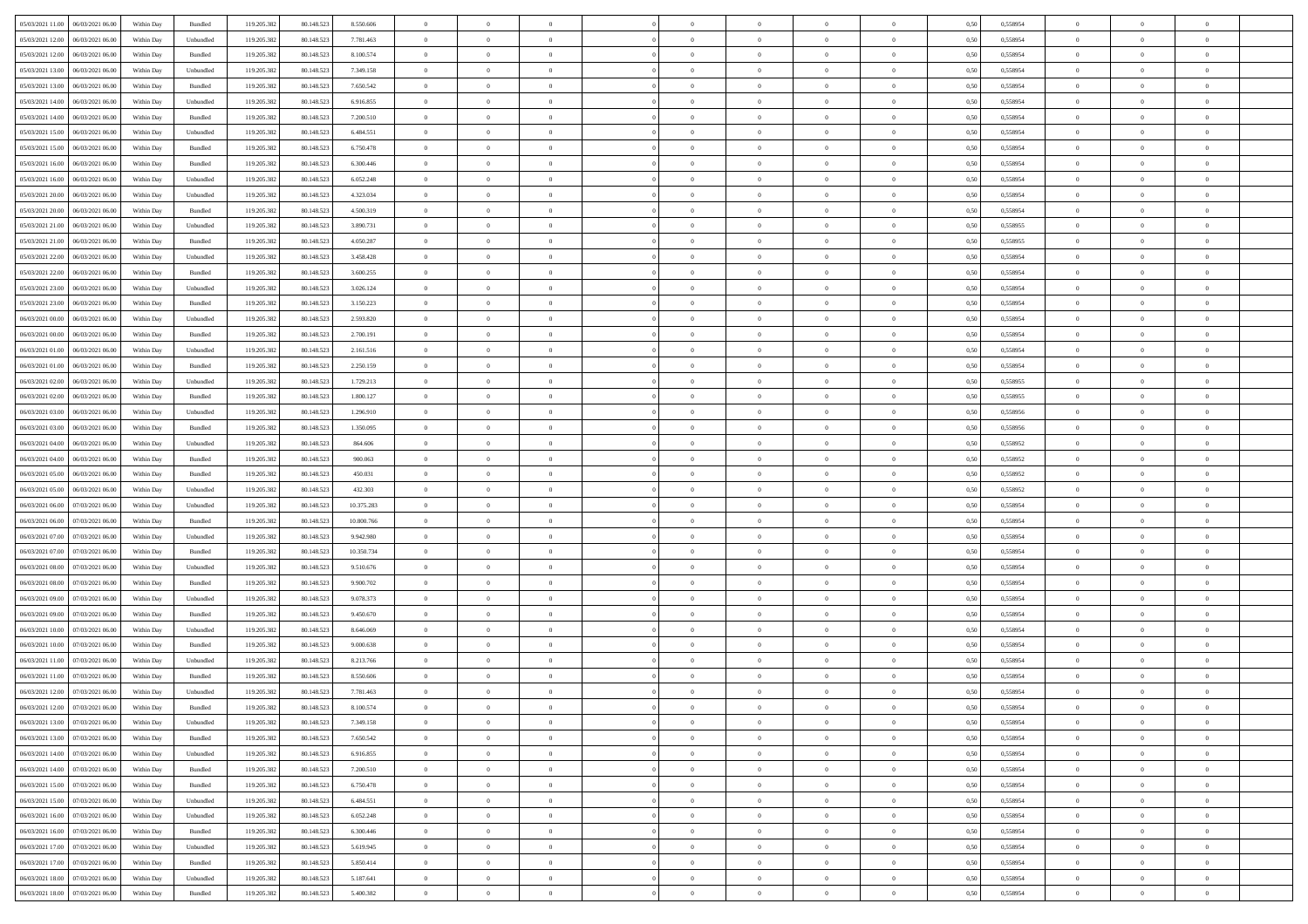| 05/03/2021 11:00   06/03/2021 06:00         | Within Day | Bundled            | 119.205.382 | 80.148.523 | 8.550.606  | $\overline{0}$ | $\theta$       |                | $\overline{0}$ | $\bf{0}$       |                | $\bf{0}$       | 0,50 | 0,558954 | $\theta$       | $\theta$       | $\theta$       |  |
|---------------------------------------------|------------|--------------------|-------------|------------|------------|----------------|----------------|----------------|----------------|----------------|----------------|----------------|------|----------|----------------|----------------|----------------|--|
|                                             |            |                    |             |            |            |                |                |                |                |                |                |                |      |          |                |                |                |  |
| 05/03/2021 12:00<br>06/03/2021 06:00        | Within Day | Unbundled          | 119.205.38  | 80.148.52  | 7.781.463  | $\bf{0}$       | $\bf{0}$       | $\bf{0}$       | $\bf{0}$       | $\overline{0}$ | $\overline{0}$ | $\bf{0}$       | 0,50 | 0,558954 | $\,$ 0 $\,$    | $\bf{0}$       | $\overline{0}$ |  |
| 05/03/2021 12:00<br>06/03/2021 06:00        | Within Day | Bundled            | 119.205.382 | 80.148.52  | 8,100,574  | $\overline{0}$ | $\bf{0}$       | $\overline{0}$ | $\bf{0}$       | $\bf{0}$       | $\overline{0}$ | $\bf{0}$       | 0.50 | 0.558954 | $\bf{0}$       | $\overline{0}$ | $\overline{0}$ |  |
| 05/03/2021 13:00<br>06/03/2021 06:00        | Within Day | Unbundled          | 119.205.382 | 80.148.523 | 7.349.158  | $\overline{0}$ | $\overline{0}$ | $\overline{0}$ | $\theta$       | $\theta$       | $\overline{0}$ | $\bf{0}$       | 0,50 | 0,558954 | $\theta$       | $\theta$       | $\overline{0}$ |  |
| 05/03/2021 13:00<br>06/03/2021 06.00        | Within Day | Bundled            | 119.205.38  | 80.148.523 | 7.650.542  | $\bf{0}$       | $\overline{0}$ | $\bf{0}$       | $\overline{0}$ | $\theta$       | $\overline{0}$ | $\bf{0}$       | 0,50 | 0,558954 | $\,$ 0 $\,$    | $\bf{0}$       | $\overline{0}$ |  |
| 05/03/2021 14:00<br>06/03/2021 06:00        | Within Day | Unbundled          | 119,205.38  | 80.148.523 | 6.916.855  | $\overline{0}$ | $\overline{0}$ | $\overline{0}$ | $\bf{0}$       | $\overline{0}$ | $\theta$       | $\bf{0}$       | 0.50 | 0.558954 | $\,$ 0 $\,$    | $\theta$       | $\overline{0}$ |  |
| 05/03/2021 14:00                            |            |                    | 119.205.38  |            |            | $\overline{0}$ | $\overline{0}$ | $\overline{0}$ | $\overline{0}$ | $\overline{0}$ | $\overline{0}$ |                |      |          | $\theta$       | $\theta$       | $\overline{0}$ |  |
| 06/03/2021 06:00                            | Within Day | Bundled            |             | 80.148.523 | 7.200.510  |                |                |                |                |                |                | $\bf{0}$       | 0,50 | 0,558954 |                |                |                |  |
| 05/03/2021 15:00<br>06/03/2021 06:00        | Within Day | Unbundled          | 119.205.38  | 80.148.52  | 6.484.551  | $\bf{0}$       | $\bf{0}$       | $\bf{0}$       | $\overline{0}$ | $\overline{0}$ | $\overline{0}$ | $\bf{0}$       | 0,50 | 0,558954 | $\,$ 0 $\,$    | $\bf{0}$       | $\overline{0}$ |  |
| 05/03/2021 15:00<br>06/03/2021 06:00        | Within Day | Bundled            | 119,205.38  | 80.148.52  | 6.750.478  | $\overline{0}$ | $\bf{0}$       | $\overline{0}$ | $\bf{0}$       | $\overline{0}$ | $\overline{0}$ | $\bf{0}$       | 0.50 | 0.558954 | $\bf{0}$       | $\overline{0}$ | $\overline{0}$ |  |
| 05/03/2021 16:00<br>06/03/2021 06:00        | Within Day | Bundled            | 119.205.382 | 80.148.523 | 6.300.446  | $\overline{0}$ | $\bf{0}$       | $\overline{0}$ | $\overline{0}$ | $\overline{0}$ | $\overline{0}$ | $\bf{0}$       | 0,50 | 0,558954 | $\,$ 0 $\,$    | $\bf{0}$       | $\overline{0}$ |  |
| 05/03/2021 16:00<br>06/03/2021 06.00        | Within Day | Unbundled          | 119.205.38  | 80.148.523 | 6.052.248  | $\bf{0}$       | $\overline{0}$ | $\bf{0}$       | $\bf{0}$       | $\bf{0}$       | $\overline{0}$ | $\bf{0}$       | 0,50 | 0,558954 | $\,$ 0 $\,$    | $\bf{0}$       | $\overline{0}$ |  |
| 05/03/2021 20:00<br>06/03/2021 06:00        | Within Day | Unbundled          | 119.205.382 | 80.148.523 | 4.323.034  | $\overline{0}$ | $\bf{0}$       | $\overline{0}$ | $\overline{0}$ | $\bf{0}$       | $\overline{0}$ | $\bf{0}$       | 0.50 | 0.558954 | $\bf{0}$       | $\overline{0}$ | $\,$ 0         |  |
| 05/03/2021 20:00<br>06/03/2021 06:00        | Within Day | Bundled            | 119.205.38  | 80.148.523 | 4.500.319  | $\overline{0}$ | $\overline{0}$ | $\overline{0}$ | $\theta$       | $\theta$       | $\overline{0}$ | $\bf{0}$       | 0,50 | 0,558954 | $\theta$       | $\theta$       | $\overline{0}$ |  |
|                                             |            |                    |             |            |            |                | $\overline{0}$ |                | $\overline{0}$ |                | $\overline{0}$ |                |      |          | $\,$ 0 $\,$    | $\bf{0}$       | $\overline{0}$ |  |
| 05/03/2021 21:00<br>06/03/2021 06:00        | Within Day | Unbundled          | 119.205.38  | 80.148.523 | 3.890.731  | $\bf{0}$       |                | $\bf{0}$       |                | $\bf{0}$       |                | $\bf{0}$       | 0,50 | 0,558955 |                |                |                |  |
| 05/03/2021 21:00<br>06/03/2021 06:00        | Within Day | Bundled            | 119.205.382 | 80.148.523 | 4.050.287  | $\overline{0}$ | $\overline{0}$ | $\overline{0}$ | $\bf{0}$       | $\overline{0}$ | $\theta$       | $\bf{0}$       | 0.50 | 0.558955 | $\,$ 0 $\,$    | $\theta$       | $\overline{0}$ |  |
| 05/03/2021 22:00<br>06/03/2021 06:00        | Within Day | Unbundled          | 119.205.382 | 80.148.523 | 3.458.428  | $\overline{0}$ | $\overline{0}$ | $\overline{0}$ | $\overline{0}$ | $\overline{0}$ | $\overline{0}$ | $\bf{0}$       | 0,50 | 0,558954 | $\theta$       | $\theta$       | $\overline{0}$ |  |
| 05/03/2021 22:00<br>06/03/2021 06.00        | Within Day | Bundled            | 119.205.38  | 80.148.52  | 3.600.255  | $\bf{0}$       | $\overline{0}$ | $\bf{0}$       | $\overline{0}$ | $\bf{0}$       | $\overline{0}$ | $\bf{0}$       | 0,50 | 0,558954 | $\,$ 0 $\,$    | $\bf{0}$       | $\overline{0}$ |  |
| 05/03/2021 23:00<br>06/03/2021 06:00        | Within Day | Unbundled          | 119,205.38  | 80.148.52  | 3.026.124  | $\overline{0}$ | $\bf{0}$       | $\overline{0}$ | $\bf{0}$       | $\overline{0}$ | $\overline{0}$ | $\bf{0}$       | 0.50 | 0.558954 | $\bf{0}$       | $\overline{0}$ | $\bf{0}$       |  |
| 05/03/2021 23:00<br>06/03/2021 06:00        | Within Day | Bundled            | 119.205.382 | 80.148.523 | 3.150.223  | $\overline{0}$ | $\bf{0}$       | $\overline{0}$ | $\overline{0}$ | $\overline{0}$ | $\overline{0}$ | $\bf{0}$       | 0,50 | 0,558954 | $\,$ 0 $\,$    | $\bf{0}$       | $\overline{0}$ |  |
| 06/03/2021 00:00<br>06/03/2021 06:00        | Within Day | Unbundled          | 119.205.38  | 80.148.52  | 2.593.820  | $\bf{0}$       | $\bf{0}$       | $\bf{0}$       | $\bf{0}$       | $\overline{0}$ | $\overline{0}$ | $\bf{0}$       | 0,50 | 0,558954 | $\,$ 0 $\,$    | $\bf{0}$       | $\overline{0}$ |  |
| 06/03/2021 00:00<br>06/03/2021 06:00        |            | Bundled            |             | 80.148.52  | 2.700.191  |                | $\bf{0}$       | $\overline{0}$ |                | $\bf{0}$       | $\overline{0}$ |                | 0.50 | 0.558954 | $\bf{0}$       | $\overline{0}$ | $\,$ 0         |  |
|                                             | Within Day |                    | 119.205.382 |            |            | $\overline{0}$ |                |                | $\overline{0}$ |                |                | $\bf{0}$       |      |          |                |                |                |  |
| 06/03/2021 01:00<br>06/03/2021 06:00        | Within Day | Unbundled          | 119.205.38  | 80.148.523 | 2.161.516  | $\overline{0}$ | $\overline{0}$ | $\overline{0}$ | $\overline{0}$ | $\theta$       | $\overline{0}$ | $\bf{0}$       | 0,50 | 0,558954 | $\theta$       | $\theta$       | $\overline{0}$ |  |
| 06/03/2021 01:00<br>06/03/2021 06.00        | Within Day | Bundled            | 119.205.38  | 80.148.523 | 2.250.159  | $\bf{0}$       | $\overline{0}$ | $\bf{0}$       | $\bf{0}$       | $\,$ 0 $\,$    | $\overline{0}$ | $\bf{0}$       | 0,50 | 0,558954 | $\,$ 0 $\,$    | $\bf{0}$       | $\overline{0}$ |  |
| 06/03/2021 02:00<br>06/03/2021 06:00        | Within Day | Unbundled          | 119,205.38  | 80.148.52  | 1.729.213  | $\overline{0}$ | $\overline{0}$ | $\overline{0}$ | $\bf{0}$       | $\overline{0}$ | $\theta$       | $\bf{0}$       | 0.50 | 0.558955 | $\,$ 0 $\,$    | $\theta$       | $\overline{0}$ |  |
| 06/03/2021 02:00<br>06/03/2021 06:00        | Within Day | Bundled            | 119.205.382 | 80.148.523 | 1.800.127  | $\overline{0}$ | $\overline{0}$ | $\overline{0}$ | $\overline{0}$ | $\overline{0}$ | $\overline{0}$ | $\bf{0}$       | 0,50 | 0,558955 | $\theta$       | $\theta$       | $\overline{0}$ |  |
| 06/03/2021 03:00<br>06/03/2021 06:00        | Within Day | Unbundled          | 119.205.38  | 80.148.52  | 1.296.910  | $\bf{0}$       | $\overline{0}$ | $\bf{0}$       | $\overline{0}$ | $\bf{0}$       | $\overline{0}$ | $\bf{0}$       | 0,50 | 0,558956 | $\,$ 0 $\,$    | $\bf{0}$       | $\overline{0}$ |  |
| 06/03/2021 03:00<br>06/03/2021 06:00        | Within Day | Bundled            | 119,205.38  | 80.148.52  | 1.350.095  | $\overline{0}$ | $\bf{0}$       | $\overline{0}$ | $\bf{0}$       | $\overline{0}$ | $\overline{0}$ | $\bf{0}$       | 0.50 | 0.558956 | $\bf{0}$       | $\overline{0}$ | $\overline{0}$ |  |
| 06/03/2021 04:00<br>06/03/2021 06:00        | Within Day | Unbundled          | 119.205.382 | 80.148.523 | 864.606    | $\overline{0}$ | $\bf{0}$       | $\overline{0}$ | $\overline{0}$ | $\overline{0}$ | $\overline{0}$ | $\bf{0}$       | 0,50 | 0,558952 | $\theta$       | $\theta$       | $\overline{0}$ |  |
|                                             |            |                    |             |            |            |                |                |                |                |                |                |                |      |          |                |                |                |  |
| 06/03/2021 04:00<br>06/03/2021 06.00        | Within Day | Bundled            | 119.205.38  | 80.148.52  | 900.063    | $\bf{0}$       | $\bf{0}$       | $\bf{0}$       | $\bf{0}$       | $\overline{0}$ | $\overline{0}$ | $\bf{0}$       | 0,50 | 0,558952 | $\,$ 0 $\,$    | $\bf{0}$       | $\overline{0}$ |  |
| 06/03/2021 05:00<br>06/03/2021 06:00        | Within Day | Bundled            | 119.205.382 | 80.148.523 | 450.031    | $\overline{0}$ | $\bf{0}$       | $\overline{0}$ | $\bf{0}$       | $\bf{0}$       | $\overline{0}$ | $\bf{0}$       | 0.50 | 0.558952 | $\bf{0}$       | $\overline{0}$ | $\,$ 0         |  |
| 06/03/2021 05:00<br>06/03/2021 06:00        | Within Day | Unbundled          | 119.205.38  | 80.148.52  | 432.303    | $\overline{0}$ | $\overline{0}$ | $\overline{0}$ | $\overline{0}$ | $\overline{0}$ | $\overline{0}$ | $\bf{0}$       | 0.50 | 0,558952 | $\theta$       | $\theta$       | $\overline{0}$ |  |
| 06/03/2021 06:00<br>07/03/2021 06.00        | Within Day | Unbundled          | 119.205.38  | 80.148.523 | 10.375.283 | $\bf{0}$       | $\overline{0}$ | $\bf{0}$       | $\bf{0}$       | $\,$ 0 $\,$    | $\overline{0}$ | $\bf{0}$       | 0,50 | 0,558954 | $\,$ 0 $\,$    | $\bf{0}$       | $\overline{0}$ |  |
| 06/03/2021 06:00<br>07/03/2021 06:00        | Within Day | Bundled            | 119.205.382 | 80.148.52  | 10,800,766 | $\overline{0}$ | $\bf{0}$       | $\overline{0}$ | $\bf{0}$       | $\overline{0}$ | $\Omega$       | $\bf{0}$       | 0.50 | 0.558954 | $\,$ 0 $\,$    | $\theta$       | $\overline{0}$ |  |
| 06/03/2021 07:00<br>07/03/2021 06:00        | Within Dav | Unbundled          | 119.205.38  | 80.148.52  | 9.942.980  | $\overline{0}$ | $\overline{0}$ | $\overline{0}$ | $\overline{0}$ | $\theta$       | $\overline{0}$ | $\bf{0}$       | 0.50 | 0,558954 | $\theta$       | $\theta$       | $\overline{0}$ |  |
| 06/03/2021 07:00<br>07/03/2021 06.00        | Within Day | Bundled            | 119.205.38  | 80.148.52  | 10.350.734 | $\bf{0}$       | $\bf{0}$       | $\bf{0}$       | $\bf{0}$       | $\overline{0}$ | $\overline{0}$ | $\bf{0}$       | 0,50 | 0,558954 | $\,$ 0 $\,$    | $\bf{0}$       | $\overline{0}$ |  |
| 06/03/2021 08:00<br>07/03/2021 06:00        | Within Day | Unbundled          | 119,205.38  | 80.148.52  | 9.510.676  | $\overline{0}$ | $\bf{0}$       | $\overline{0}$ | $\bf{0}$       | $\overline{0}$ | $\overline{0}$ | $\bf{0}$       | 0.50 | 0.558954 | $\bf{0}$       | $\overline{0}$ | $\overline{0}$ |  |
| 06/03/2021 08:00<br>07/03/2021 06:00        | Within Day | Bundled            | 119.205.38  | 80.148.52  | 9.900.702  | $\overline{0}$ | $\overline{0}$ | $\overline{0}$ | $\overline{0}$ | $\overline{0}$ | $\overline{0}$ | $\bf{0}$       | 0.50 | 0,558954 | $\theta$       | $\theta$       | $\overline{0}$ |  |
|                                             |            |                    |             |            |            |                |                |                |                |                |                |                |      |          |                |                |                |  |
| 06/03/2021 09:00<br>07/03/2021 06.00        | Within Day | Unbundled          | 119.205.38  | 80.148.523 | 9.078.373  | $\bf{0}$       | $\bf{0}$       | $\bf{0}$       | $\bf{0}$       | $\overline{0}$ | $\overline{0}$ | $\bf{0}$       | 0,50 | 0,558954 | $\,$ 0 $\,$    | $\bf{0}$       | $\overline{0}$ |  |
| 06/03/2021 09:00<br>07/03/2021 06:00        | Within Day | Bundled            | 119.205.382 | 80.148.523 | 9.450.670  | $\overline{0}$ | $\bf{0}$       | $\overline{0}$ | $\overline{0}$ | $\bf{0}$       | $\overline{0}$ | $\bf{0}$       | 0.50 | 0.558954 | $\bf{0}$       | $\overline{0}$ | $\,$ 0         |  |
| 06/03/2021 10:00<br>07/03/2021 06:00        | Within Dav | Unbundled          | 119.205.382 | 80.148.52  | 8.646.069  | $\overline{0}$ | $\overline{0}$ | $\overline{0}$ | $\overline{0}$ | $\overline{0}$ | $\overline{0}$ | $\bf{0}$       | 0.50 | 0.558954 | $\theta$       | $\theta$       | $\overline{0}$ |  |
| 06/03/2021 10:00<br>07/03/2021 06.00        | Within Day | Bundled            | 119.205.38  | 80.148.523 | 9.000.638  | $\bf{0}$       | $\bf{0}$       | $\bf{0}$       | $\bf{0}$       | $\overline{0}$ | $\overline{0}$ | $\bf{0}$       | 0,50 | 0,558954 | $\,$ 0 $\,$    | $\bf{0}$       | $\overline{0}$ |  |
| 06/03/2021 11:00<br>07/03/2021 06:00        | Within Day | Unbundled          | 119.205.382 | 80.148.52  | 8.213.766  | $\overline{0}$ | $\overline{0}$ | $\overline{0}$ | $\bf{0}$       | $\overline{0}$ | $\Omega$       | $\bf{0}$       | 0.50 | 0.558954 | $\bf{0}$       | $\theta$       | $\overline{0}$ |  |
| 06/03/2021 11:00<br>07/03/2021 06:00        | Within Day | Bundled            | 119.205.38  | 80.148.52  | 8.550.606  | $\overline{0}$ | $\overline{0}$ | $\Omega$       | $\overline{0}$ | $\theta$       | $\overline{0}$ | $\overline{0}$ | 0.5( | 0,558954 | $\theta$       | $\theta$       | $\overline{0}$ |  |
| 06/03/2021 12:00<br>07/03/2021 06:00        | Within Day | Unbundled          | 119.205.382 | 80.148.52  | 7.781.463  | $\bf{0}$       | $\bf{0}$       | $\bf{0}$       | $\bf{0}$       | $\bf{0}$       | $\overline{0}$ | $\bf{0}$       | 0,50 | 0,558954 | $\overline{0}$ | $\overline{0}$ | $\overline{0}$ |  |
| $06/03/2021\ 12.00\qquad 07/03/2021\ 06.00$ | Within Day | $\mathbf B$ undled | 119.205.382 | 80.148.523 | 8.100.574  | $\bf{0}$       | $\Omega$       |                | $\Omega$       |                |                |                | 0,50 | 0.558954 | $\theta$       | $\overline{0}$ |                |  |
| 06/03/2021 13:00 07/03/2021 06:00           |            |                    |             |            |            | $\overline{0}$ | $\overline{0}$ |                |                | $\overline{0}$ |                |                |      |          | $\theta$       | $\overline{0}$ | $\overline{0}$ |  |
|                                             | Within Day | Unbundled          | 119.205.382 | 80.148.523 | 7.349.158  |                |                | $\overline{0}$ | $\theta$       |                | $\overline{0}$ | $\bf{0}$       | 0,50 | 0,558954 |                |                |                |  |
| 06/03/2021 13:00<br>07/03/2021 06:00        | Within Day | Bundled            | 119.205.38  | 80.148.523 | 7.650.542  | $\overline{0}$ | $\bf{0}$       | $\overline{0}$ | $\overline{0}$ | $\bf{0}$       | $\overline{0}$ | $\bf{0}$       | 0,50 | 0,558954 | $\bf{0}$       | $\overline{0}$ | $\bf{0}$       |  |
| 06/03/2021 14:00 07/03/2021 06:00           | Within Day | Unbundled          | 119.205.382 | 80.148.523 | 6.916.855  | $\overline{0}$ | $\bf{0}$       | $\overline{0}$ | $\overline{0}$ | $\mathbf{0}$   | $\overline{0}$ | $\,$ 0 $\,$    | 0.50 | 0.558954 | $\overline{0}$ | $\bf{0}$       | $\,$ 0 $\,$    |  |
| 06/03/2021 14:00 07/03/2021 06:00           | Within Day | Bundled            | 119.205.382 | 80.148.523 | 7.200.510  | $\overline{0}$ | $\overline{0}$ | $\overline{0}$ | $\overline{0}$ | $\overline{0}$ | $\overline{0}$ | $\bf{0}$       | 0,50 | 0,558954 | $\theta$       | $\theta$       | $\overline{0}$ |  |
| 06/03/2021 15:00<br>07/03/2021 06:00        | Within Day | Bundled            | 119.205.382 | 80.148.523 | 6.750.478  | $\overline{0}$ | $\bf{0}$       | $\overline{0}$ | $\overline{0}$ | $\bf{0}$       | $\overline{0}$ | $\bf{0}$       | 0,50 | 0,558954 | $\bf{0}$       | $\overline{0}$ | $\overline{0}$ |  |
| 07/03/2021 06:00<br>06/03/2021 15:00        | Within Day | Unbundled          | 119.205.382 | 80.148.523 | 6.484.551  | $\overline{0}$ | $\bf{0}$       | $\overline{0}$ | $\overline{0}$ | $\bf{0}$       | $\overline{0}$ | $\bf{0}$       | 0.50 | 0.558954 | $\,$ 0 $\,$    | $\overline{0}$ | $\,$ 0         |  |
| 06/03/2021 16:00<br>07/03/2021 06:00        | Within Dav | Unbundled          | 119.205.382 | 80.148.523 | 6.052.248  | $\overline{0}$ | $\overline{0}$ | $\overline{0}$ | $\overline{0}$ | $\overline{0}$ | $\overline{0}$ | $\bf{0}$       | 0.50 | 0,558954 | $\overline{0}$ | $\theta$       | $\overline{0}$ |  |
| 07/03/2021 06:00<br>06/03/2021 16:00        | Within Day | Bundled            | 119.205.38  | 80.148.523 | 6.300.446  | $\overline{0}$ | $\overline{0}$ | $\overline{0}$ | $\overline{0}$ | $\overline{0}$ | $\overline{0}$ | $\bf{0}$       | 0,50 | 0,558954 | $\bf{0}$       | $\overline{0}$ | $\overline{0}$ |  |
|                                             |            |                    |             |            |            |                |                |                |                |                |                |                |      |          |                |                |                |  |
| 06/03/2021 17:00 07/03/2021 06:00           | Within Day | Unbundled          | 119.205.382 | 80.148.523 | 5.619.945  | $\overline{0}$ | $\overline{0}$ | $\overline{0}$ | $\overline{0}$ | $\overline{0}$ | $\overline{0}$ | $\bf{0}$       | 0.50 | 0.558954 | $\mathbf{0}$   | $\bf{0}$       | $\,$ 0         |  |
| 06/03/2021 17:00 07/03/2021 06:00           | Within Dav | Bundled            | 119.205.382 | 80.148.523 | 5.850.414  | $\overline{0}$ | $\overline{0}$ | $\overline{0}$ | $\overline{0}$ | $\overline{0}$ | $\overline{0}$ | $\bf{0}$       | 0,50 | 0,558954 | $\overline{0}$ | $\theta$       | $\overline{0}$ |  |
| 06/03/2021 18:00<br>07/03/2021 06:00        | Within Day | Unbundled          | 119.205.38  | 80.148.523 | 5.187.641  | $\overline{0}$ | $\bf{0}$       | $\overline{0}$ | $\overline{0}$ | $\overline{0}$ | $\overline{0}$ | $\bf{0}$       | 0,50 | 0,558954 | $\bf{0}$       | $\overline{0}$ | $\bf{0}$       |  |
| 06/03/2021 18:00 07/03/2021 06:00           | Within Day | Bundled            | 119.205.382 | 80.148.523 | 5.400.382  | $\overline{0}$ | $\bf{0}$       | $\overline{0}$ | $\overline{0}$ | $\,$ 0 $\,$    | $\overline{0}$ | $\bf{0}$       | 0,50 | 0,558954 | $\overline{0}$ | $\,$ 0 $\,$    | $\,$ 0 $\,$    |  |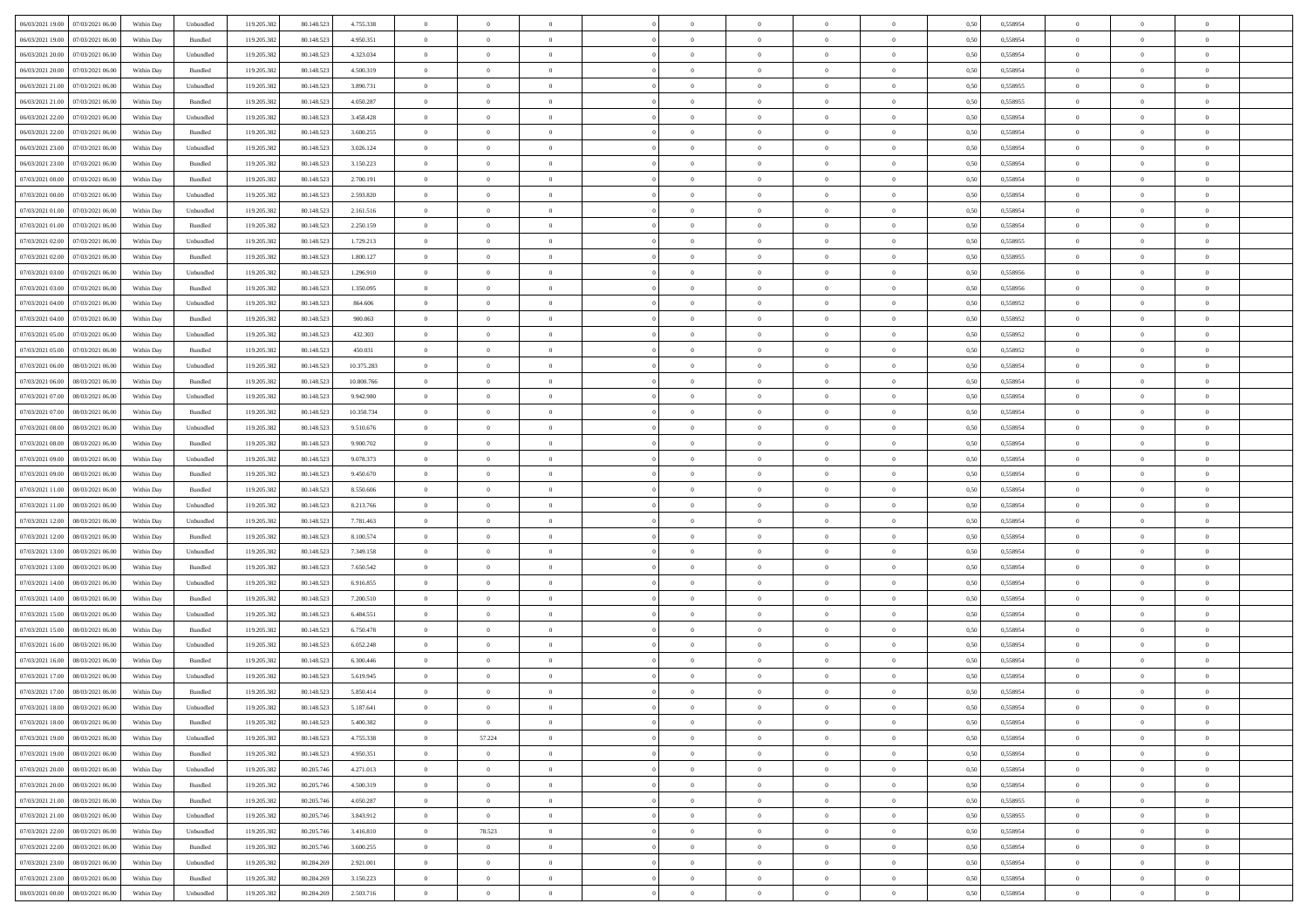|                                                                                        |            |                             |             |            |            | $\overline{0}$ | $\theta$       |                | $\overline{0}$ | $\theta$       |                | $\theta$       |      |          | $\theta$       | $\theta$       | $\theta$       |  |
|----------------------------------------------------------------------------------------|------------|-----------------------------|-------------|------------|------------|----------------|----------------|----------------|----------------|----------------|----------------|----------------|------|----------|----------------|----------------|----------------|--|
| 06/03/2021 19:00 07/03/2021 06:00                                                      | Within Day | Unbundled                   | 119.205.382 | 80.148.523 | 4.755.338  |                |                |                |                |                |                |                | 0,50 | 0,558954 |                |                |                |  |
| 06/03/2021 19:00<br>07/03/2021 06:00                                                   | Within Day | Bundled                     | 119.205.38  | 80.148.52  | 4.950.351  | $\bf{0}$       | $\bf{0}$       | $\bf{0}$       | $\bf{0}$       | $\overline{0}$ | $\overline{0}$ | $\bf{0}$       | 0,50 | 0,558954 | $\,$ 0 $\,$    | $\bf{0}$       | $\overline{0}$ |  |
| 06/03/2021 20:00<br>07/03/2021 06:00                                                   | Within Day | Unbundled                   | 119.205.382 | 80.148.52  | 4.323.034  | $\overline{0}$ | $\bf{0}$       | $\overline{0}$ | $\bf{0}$       | $\bf{0}$       | $\overline{0}$ | $\bf{0}$       | 0.50 | 0.558954 | $\bf{0}$       | $\overline{0}$ | $\overline{0}$ |  |
| 06/03/2021 20:00<br>07/03/2021 06:00                                                   | Within Day | Bundled                     | 119.205.382 | 80.148.523 | 4.500.319  | $\overline{0}$ | $\overline{0}$ | $\overline{0}$ | $\overline{0}$ | $\theta$       | $\overline{0}$ | $\bf{0}$       | 0,50 | 0,558954 | $\theta$       | $\theta$       | $\overline{0}$ |  |
| 06/03/2021 21:00<br>07/03/2021 06.00                                                   | Within Day | Unbundled                   | 119.205.38  | 80.148.523 | 3.890.731  | $\bf{0}$       | $\overline{0}$ | $\bf{0}$       | $\overline{0}$ | $\theta$       | $\overline{0}$ | $\bf{0}$       | 0,50 | 0,558955 | $\,$ 0 $\,$    | $\bf{0}$       | $\overline{0}$ |  |
|                                                                                        |            |                             |             |            |            |                |                |                |                |                |                |                |      |          |                |                |                |  |
| 06/03/2021 21:00<br>07/03/2021 06:00                                                   | Within Day | Bundled                     | 119,205.38  | 80.148.523 | 4.050.287  | $\overline{0}$ | $\bf{0}$       | $\overline{0}$ | $\bf{0}$       | $\overline{0}$ | $\theta$       | $\bf{0}$       | 0.50 | 0.558955 | $\,$ 0 $\,$    | $\theta$       | $\overline{0}$ |  |
| 06/03/2021 22:00<br>07/03/2021 06:00                                                   | Within Day | Unbundled                   | 119.205.38  | 80.148.523 | 3.458.428  | $\overline{0}$ | $\overline{0}$ | $\overline{0}$ | $\overline{0}$ | $\overline{0}$ | $\overline{0}$ | $\bf{0}$       | 0,50 | 0,558954 | $\theta$       | $\theta$       | $\overline{0}$ |  |
| 06/03/2021 22:00<br>07/03/2021 06.00                                                   | Within Day | Bundled                     | 119.205.38  | 80.148.52  | 3.600.255  | $\bf{0}$       | $\bf{0}$       | $\bf{0}$       | $\overline{0}$ | $\overline{0}$ | $\overline{0}$ | $\bf{0}$       | 0,50 | 0,558954 | $\,$ 0 $\,$    | $\bf{0}$       | $\overline{0}$ |  |
| 06/03/2021 23:00<br>07/03/2021 06:00                                                   | Within Day | Unbundled                   | 119,205.38  | 80.148.52  | 3.026.124  | $\overline{0}$ | $\bf{0}$       | $\overline{0}$ | $\bf{0}$       | $\overline{0}$ | $\overline{0}$ | $\bf{0}$       | 0.50 | 0.558954 | $\bf{0}$       | $\overline{0}$ | $\overline{0}$ |  |
| 06/03/2021 23:00<br>07/03/2021 06:00                                                   | Within Day | Bundled                     | 119.205.382 | 80.148.523 | 3.150.223  | $\bf{0}$       | $\bf{0}$       | $\overline{0}$ | $\overline{0}$ | $\overline{0}$ | $\overline{0}$ | $\bf{0}$       | 0,50 | 0,558954 | $\,$ 0 $\,$    | $\bf{0}$       | $\overline{0}$ |  |
| 07/03/2021 00:00<br>07/03/2021 06:00                                                   | Within Day | Bundled                     | 119.205.38  | 80.148.523 | 2.700.191  | $\bf{0}$       | $\bf{0}$       | $\bf{0}$       | $\bf{0}$       | $\overline{0}$ | $\overline{0}$ | $\bf{0}$       | 0,50 | 0,558954 | $\,$ 0 $\,$    | $\bf{0}$       | $\overline{0}$ |  |
|                                                                                        |            |                             |             |            |            |                |                |                |                |                |                |                |      |          |                |                |                |  |
| 07/03/2021 00:00<br>07/03/2021 06:00                                                   | Within Day | Unbundled                   | 119.205.382 | 80.148.52  | 2.593.820  | $\overline{0}$ | $\bf{0}$       | $\overline{0}$ | $\overline{0}$ | $\overline{0}$ | $\overline{0}$ | $\bf{0}$       | 0.50 | 0.558954 | $\bf{0}$       | $\overline{0}$ | $\,$ 0         |  |
| 07/03/2021 01:00<br>07/03/2021 06:00                                                   | Within Day | Unbundled                   | 119.205.38  | 80.148.523 | 2.161.516  | $\overline{0}$ | $\overline{0}$ | $\overline{0}$ | $\theta$       | $\theta$       | $\overline{0}$ | $\bf{0}$       | 0,50 | 0,558954 | $\,$ 0 $\,$    | $\theta$       | $\overline{0}$ |  |
| 07/03/2021 01:00<br>07/03/2021 06:00                                                   | Within Day | Bundled                     | 119.205.38  | 80.148.52  | 2.250.159  | $\bf{0}$       | $\overline{0}$ | $\bf{0}$       | $\bf{0}$       | $\bf{0}$       | $\overline{0}$ | $\bf{0}$       | 0,50 | 0,558954 | $\bf{0}$       | $\bf{0}$       | $\overline{0}$ |  |
| 07/03/2021 02:00<br>07/03/2021 06:00                                                   | Within Day | Unbundled                   | 119,205.38  | 80.148.523 | 1.729.213  | $\overline{0}$ | $\bf{0}$       | $\overline{0}$ | $\bf{0}$       | $\overline{0}$ | $\theta$       | $\bf{0}$       | 0.50 | 0.558955 | $\,$ 0 $\,$    | $\theta$       | $\overline{0}$ |  |
| 07/03/2021 02:00<br>07/03/2021 06:00                                                   | Within Day | Bundled                     | 119.205.382 | 80.148.523 | 1.800.127  | $\overline{0}$ | $\overline{0}$ | $\overline{0}$ | $\overline{0}$ | $\overline{0}$ | $\overline{0}$ | $\bf{0}$       | 0,50 | 0,558955 | $\theta$       | $\theta$       | $\overline{0}$ |  |
| 07/03/2021 03:00<br>07/03/2021 06.00                                                   | Within Day | Unbundled                   | 119.205.38  | 80.148.52  | 1.296.910  | $\bf{0}$       | $\bf{0}$       | $\bf{0}$       | $\overline{0}$ | $\overline{0}$ | $\overline{0}$ | $\bf{0}$       | 0,50 | 0,558956 | $\,$ 0 $\,$    | $\bf{0}$       | $\overline{0}$ |  |
| 07/03/2021 03:00<br>07/03/2021 06:00                                                   | Within Day | Bundled                     | 119,205.38  | 80.148.52  | 1.350.095  | $\overline{0}$ | $\bf{0}$       | $\overline{0}$ | $\bf{0}$       | $\overline{0}$ | $\overline{0}$ | $\bf{0}$       | 0.50 | 0.558956 | $\bf{0}$       | $\overline{0}$ | $\overline{0}$ |  |
| 07/03/2021 04:00<br>07/03/2021 06:00                                                   |            |                             | 119.205.382 |            |            | $\bf{0}$       | $\bf{0}$       | $\overline{0}$ | $\overline{0}$ | $\overline{0}$ | $\overline{0}$ |                |      |          | $\,$ 0 $\,$    | $\bf{0}$       | $\overline{0}$ |  |
|                                                                                        | Within Day | Unbundled                   |             | 80.148.523 | 864.606    |                |                |                |                |                |                | $\bf{0}$       | 0,50 | 0,558952 |                |                |                |  |
| 07/03/2021 04:00<br>07/03/2021 06.00                                                   | Within Day | Bundled                     | 119.205.38  | 80.148.52  | 900.063    | $\bf{0}$       | $\bf{0}$       | $\bf{0}$       | $\bf{0}$       | $\overline{0}$ | $\overline{0}$ | $\bf{0}$       | 0,50 | 0,558952 | $\,$ 0 $\,$    | $\bf{0}$       | $\overline{0}$ |  |
| 07/03/2021 05:00<br>07/03/2021 06:00                                                   | Within Day | Unbundled                   | 119.205.382 | 80.148.52  | 432.303    | $\overline{0}$ | $\bf{0}$       | $\overline{0}$ | $\overline{0}$ | $\bf{0}$       | $\overline{0}$ | $\bf{0}$       | 0.50 | 0.558952 | $\bf{0}$       | $\overline{0}$ | $\,$ 0         |  |
| 07/03/2021 05:00<br>07/03/2021 06:00                                                   | Within Day | Bundled                     | 119.205.382 | 80.148.523 | 450.031    | $\overline{0}$ | $\overline{0}$ | $\overline{0}$ | $\overline{0}$ | $\theta$       | $\overline{0}$ | $\bf{0}$       | 0,50 | 0,558952 | $\theta$       | $\theta$       | $\overline{0}$ |  |
| 07/03/2021 06:00<br>08/03/2021 06:00                                                   | Within Day | Unbundled                   | 119.205.38  | 80.148.523 | 10.375.283 | $\bf{0}$       | $\bf{0}$       | $\bf{0}$       | $\bf{0}$       | $\overline{0}$ | $\overline{0}$ | $\bf{0}$       | 0,50 | 0,558954 | $\,$ 0 $\,$    | $\bf{0}$       | $\overline{0}$ |  |
| 07/03/2021 06:00<br>08/03/2021 06:00                                                   | Within Day | Bundled                     | 119.205.382 | 80.148.52  | 10,800,766 | $\overline{0}$ | $\bf{0}$       | $\overline{0}$ | $\bf{0}$       | $\overline{0}$ | $\theta$       | $\bf{0}$       | 0.50 | 0.558954 | $\,$ 0 $\,$    | $\theta$       | $\overline{0}$ |  |
| 07/03/2021 07:00<br>08/03/2021 06:00                                                   | Within Day | Unbundled                   | 119.205.382 | 80.148.523 | 9.942.980  | $\overline{0}$ | $\overline{0}$ | $\overline{0}$ | $\overline{0}$ | $\overline{0}$ | $\overline{0}$ | $\bf{0}$       | 0,50 | 0,558954 | $\,$ 0 $\,$    | $\theta$       | $\overline{0}$ |  |
|                                                                                        |            |                             |             |            |            |                | $\overline{0}$ |                |                |                | $\overline{0}$ |                |      |          |                |                |                |  |
| 07/03/2021 07:00<br>08/03/2021 06:00                                                   | Within Day | Bundled                     | 119.205.38  | 80.148.52  | 10.350.734 | $\bf{0}$       |                | $\bf{0}$       | $\overline{0}$ | $\bf{0}$       |                | $\bf{0}$       | 0,50 | 0,558954 | $\,$ 0 $\,$    | $\bf{0}$       | $\overline{0}$ |  |
| 07/03/2021 08:00<br>08/03/2021 06:00                                                   | Within Day | Unbundled                   | 119,205.38  | 80.148.52  | 9.510.676  | $\overline{0}$ | $\bf{0}$       | $\overline{0}$ | $\bf{0}$       | $\overline{0}$ | $\overline{0}$ | $\bf{0}$       | 0.50 | 0.558954 | $\bf{0}$       | $\overline{0}$ | $\overline{0}$ |  |
| 07/03/2021 08:00<br>08/03/2021 06:00                                                   | Within Day | Bundled                     | 119.205.382 | 80.148.523 | 9.900.702  | $\overline{0}$ | $\bf{0}$       | $\overline{0}$ | $\overline{0}$ | $\overline{0}$ | $\overline{0}$ | $\bf{0}$       | 0,50 | 0,558954 | $\theta$       | $\bf{0}$       | $\overline{0}$ |  |
| 07/03/2021 09:00<br>08/03/2021 06:00                                                   | Within Day | Unbundled                   | 119.205.38  | 80.148.523 | 9.078.373  | $\bf{0}$       | $\bf{0}$       | $\bf{0}$       | $\bf{0}$       | $\overline{0}$ | $\overline{0}$ | $\bf{0}$       | 0,50 | 0,558954 | $\,$ 0 $\,$    | $\bf{0}$       | $\overline{0}$ |  |
| 07/03/2021 09:00<br>08/03/2021 06:00                                                   | Within Day | Bundled                     | 119.205.382 | 80.148.523 | 9.450.670  | $\overline{0}$ | $\bf{0}$       | $\overline{0}$ | $\bf{0}$       | $\bf{0}$       | $\overline{0}$ | $\bf{0}$       | 0.50 | 0.558954 | $\bf{0}$       | $\overline{0}$ | $\,$ 0         |  |
| 07/03/2021 11:00<br>08/03/2021 06:00                                                   | Within Day | Bundled                     | 119.205.38  | 80.148.52  | 8,550,606  | $\overline{0}$ | $\overline{0}$ | $\overline{0}$ | $\overline{0}$ | $\overline{0}$ | $\overline{0}$ | $\bf{0}$       | 0.50 | 0.558954 | $\theta$       | $\theta$       | $\overline{0}$ |  |
| 07/03/2021 11:00<br>08/03/2021 06:00                                                   | Within Day | Unbundled                   | 119.205.38  | 80.148.523 | 8.213.766  | $\bf{0}$       | $\overline{0}$ | $\bf{0}$       | $\bf{0}$       | $\overline{0}$ | $\overline{0}$ | $\bf{0}$       | 0,50 | 0,558954 | $\,$ 0 $\,$    | $\bf{0}$       | $\overline{0}$ |  |
| 07/03/2021 12:00<br>08/03/2021 06:00                                                   | Within Day | Unbundled                   | 119.205.382 | 80.148.523 | 7.781.463  | $\overline{0}$ | $\bf{0}$       | $\overline{0}$ | $\bf{0}$       | $\overline{0}$ | $\overline{0}$ | $\bf{0}$       | 0.50 | 0.558954 | $\,$ 0 $\,$    | $\bf{0}$       | $\overline{0}$ |  |
|                                                                                        |            |                             |             |            |            |                |                |                |                |                |                |                |      |          |                |                |                |  |
| 07/03/2021 12:00<br>08/03/2021 06:00                                                   | Within Day | Bundled                     | 119.205.382 | 80.148.52  | 8.100.574  | $\overline{0}$ | $\overline{0}$ | $\overline{0}$ | $\overline{0}$ | $\overline{0}$ | $\overline{0}$ | $\bf{0}$       | 0.50 | 0,558954 | $\theta$       | $\theta$       | $\overline{0}$ |  |
| 07/03/2021 13:00<br>08/03/2021 06:00                                                   | Within Day | Unbundled                   | 119.205.38  | 80.148.52  | 7.349.158  | $\bf{0}$       | $\bf{0}$       | $\bf{0}$       | $\bf{0}$       | $\overline{0}$ | $\overline{0}$ | $\bf{0}$       | 0,50 | 0,558954 | $\,$ 0 $\,$    | $\bf{0}$       | $\overline{0}$ |  |
| 07/03/2021 13:00<br>08/03/2021 06:00                                                   | Within Day | Bundled                     | 119,205.38  | 80.148.52  | 7.650.542  | $\overline{0}$ | $\bf{0}$       | $\overline{0}$ | $\bf{0}$       | $\overline{0}$ | $\overline{0}$ | $\bf{0}$       | 0.50 | 0.558954 | $\bf{0}$       | $\overline{0}$ | $\overline{0}$ |  |
| 07/03/2021 14:00<br>08/03/2021 06:00                                                   | Within Day | Unbundled                   | 119.205.38  | 80.148.52  | 6.916.855  | $\overline{0}$ | $\overline{0}$ | $\overline{0}$ | $\overline{0}$ | $\overline{0}$ | $\overline{0}$ | $\bf{0}$       | 0.50 | 0,558954 | $\theta$       | $\theta$       | $\overline{0}$ |  |
| 07/03/2021 14:00<br>08/03/2021 06:00                                                   | Within Day | Bundled                     | 119.205.38  | 80.148.52  | 7.200.510  | $\bf{0}$       | $\bf{0}$       | $\bf{0}$       | $\bf{0}$       | $\overline{0}$ | $\overline{0}$ | $\bf{0}$       | 0,50 | 0,558954 | $\,$ 0 $\,$    | $\bf{0}$       | $\overline{0}$ |  |
| 07/03/2021 15:00<br>08/03/2021 06:00                                                   | Within Day | Unbundled                   | 119.205.382 | 80.148.523 | 6.484.551  | $\overline{0}$ | $\bf{0}$       | $\overline{0}$ | $\overline{0}$ | $\bf{0}$       | $\overline{0}$ | $\bf{0}$       | 0.50 | 0.558954 | $\bf{0}$       | $\overline{0}$ | $\,$ 0         |  |
| 07/03/2021 15:00<br>08/03/2021 06:00                                                   | Within Day | Bundled                     | 119.205.382 | 80.148.52  | 6.750.478  | $\overline{0}$ | $\overline{0}$ | $\overline{0}$ | $\overline{0}$ | $\overline{0}$ | $\overline{0}$ | $\bf{0}$       | 0.50 | 0.558954 | $\theta$       | $\theta$       | $\overline{0}$ |  |
| 07/03/2021 16:00<br>08/03/2021 06:00                                                   | Within Day | Unbundled                   | 119.205.38  | 80.148.523 | 6.052.248  | $\bf{0}$       | $\bf{0}$       | $\bf{0}$       | $\bf{0}$       | $\overline{0}$ | $\overline{0}$ | $\bf{0}$       | 0,50 | 0,558954 | $\,$ 0 $\,$    | $\bf{0}$       | $\overline{0}$ |  |
|                                                                                        |            |                             |             |            |            |                |                |                |                |                |                |                |      |          |                |                |                |  |
| 07/03/2021 16:00<br>08/03/2021 06:00                                                   | Within Day | Bundled                     | 119.205.382 | 80.148.52  | 6.300.446  | $\overline{0}$ | $\overline{0}$ | $\overline{0}$ | $\bf{0}$       | $\overline{0}$ | $\overline{0}$ | $\bf{0}$       | 0.50 | 0.558954 | $\bf{0}$       | $\theta$       | $\overline{0}$ |  |
| 07/03/2021 17:00<br>08/03/2021 06:00                                                   | Within Dav | Unbundled                   | 119.205.38  | 80.148.52  | 5.619.945  | $\overline{0}$ | $\overline{0}$ | $\overline{0}$ | $\theta$       | $\theta$       | $\overline{0}$ | $\overline{0}$ | 0.5( | 0,558954 | $\theta$       | $\theta$       | $\overline{0}$ |  |
| 07/03/2021 17:00<br>08/03/2021 06:00                                                   | Within Day | Bundled                     | 119.205.38  | 80.148.52  | 5.850.414  | $\bf{0}$       | $\bf{0}$       | $\bf{0}$       | $\bf{0}$       | $\bf{0}$       | $\overline{0}$ | $\bf{0}$       | 0,50 | 0,558954 | $\overline{0}$ | $\overline{0}$ | $\overline{0}$ |  |
| ${\color{red} 07/03/2021}\,\, 18.00 {\color{red}08/03/2021}\,\, 06.00 {\color{red}00}$ | Within Day | $\ensuremath{\mathsf{Unb}}$ | 119.205.382 | 80.148.523 | 5.187.641  | $\bf{0}$       | $\theta$       |                | $\Omega$       |                |                |                | 0,50 | 0.558954 | $\theta$       | $\overline{0}$ |                |  |
| 07/03/2021 18:00 08/03/2021 06:00                                                      | Within Day | Bundled                     | 119.205.382 | 80.148.523 | 5.400.382  | $\overline{0}$ | $\overline{0}$ | $\overline{0}$ | $\theta$       | $\overline{0}$ | $\overline{0}$ | $\bf{0}$       | 0,50 | 0,558954 | $\theta$       | $\theta$       | $\overline{0}$ |  |
| 07/03/2021 19:00<br>08/03/2021 06:00                                                   | Within Day | Unbundled                   | 119.205.38  | 80.148.523 | 4.755.338  | $\overline{0}$ | 57.224         | $\overline{0}$ | $\overline{0}$ | $\bf{0}$       | $\overline{0}$ | $\bf{0}$       | 0,50 | 0,558954 | $\bf{0}$       | $\overline{0}$ | $\bf{0}$       |  |
| 07/03/2021 19:00   08/03/2021 06:00                                                    | Within Day | Bundled                     | 119.205.382 | 80.148.523 | 4.950.351  | $\overline{0}$ | $\overline{0}$ | $\overline{0}$ | $\overline{0}$ | $\mathbf{0}$   | $\overline{0}$ | $\,$ 0 $\,$    | 0.50 | 0.558954 | $\overline{0}$ | $\bf{0}$       | $\bf{0}$       |  |
|                                                                                        |            |                             |             |            |            |                | $\overline{0}$ |                |                | $\overline{0}$ |                |                |      |          | $\theta$       | $\theta$       | $\overline{0}$ |  |
| 07/03/2021 20:00  08/03/2021 06:00                                                     | Within Day | Unbundled                   | 119.205.382 | 80.205.746 | 4.271.013  | $\overline{0}$ |                | $\overline{0}$ | $\overline{0}$ |                | $\overline{0}$ | $\bf{0}$       | 0,50 | 0,558954 |                |                |                |  |
| 07/03/2021 20:00<br>08/03/2021 06:00                                                   | Within Day | Bundled                     | 119.205.382 | 80.205.746 | 4.500.319  | $\overline{0}$ | $\bf{0}$       | $\overline{0}$ | $\overline{0}$ | $\bf{0}$       | $\overline{0}$ | $\bf{0}$       | 0,50 | 0,558954 | $\bf{0}$       | $\overline{0}$ | $\overline{0}$ |  |
| 07/03/2021 21:00   08/03/2021 06:00                                                    | Within Day | Bundled                     | 119.205.382 | 80.205.746 | 4.050.287  | $\overline{0}$ | $\bf{0}$       | $\overline{0}$ | $\overline{0}$ | $\overline{0}$ | $\overline{0}$ | $\bf{0}$       | 0.50 | 0.558955 | $\,$ 0 $\,$    | $\overline{0}$ | $\,$ 0         |  |
| 07/03/2021 21:00   08/03/2021 06:00                                                    | Within Dav | Unbundled                   | 119.205.382 | 80.205.746 | 3.843.912  | $\overline{0}$ | $\overline{0}$ | $\overline{0}$ | $\overline{0}$ | $\overline{0}$ | $\overline{0}$ | $\bf{0}$       | 0.50 | 0,558955 | $\overline{0}$ | $\theta$       | $\overline{0}$ |  |
| 07/03/2021 22:00<br>08/03/2021 06:00                                                   | Within Day | Unbundled                   | 119.205.38  | 80.205.74  | 3.416.810  | $\overline{0}$ | 78.523         | $\overline{0}$ | $\overline{0}$ | $\overline{0}$ | $\overline{0}$ | $\bf{0}$       | 0,50 | 0,558954 | $\bf{0}$       | $\overline{0}$ | $\overline{0}$ |  |
| 07/03/2021 22:00<br>08/03/2021 06:00                                                   | Within Day | Bundled                     | 119.205.382 | 80.205.746 | 3.600.255  | $\overline{0}$ | $\overline{0}$ | $\overline{0}$ | $\overline{0}$ | $\overline{0}$ | $\overline{0}$ | $\bf{0}$       | 0.50 | 0.558954 | $\mathbf{0}$   | $\bf{0}$       | $\,$ 0         |  |
| 07/03/2021 23:00   08/03/2021 06:00                                                    | Within Dav | Unbundled                   | 119.205.382 | 80.284.269 | 2.921.001  | $\overline{0}$ | $\overline{0}$ | $\overline{0}$ | $\overline{0}$ | $\overline{0}$ | $\overline{0}$ | $\bf{0}$       | 0,50 | 0,558954 | $\overline{0}$ | $\theta$       | $\overline{0}$ |  |
|                                                                                        |            |                             |             |            |            |                |                |                |                |                |                |                |      |          |                |                |                |  |
| 07/03/2021 23:00<br>08/03/2021 06:00                                                   | Within Day | Bundled                     | 119.205.38  | 80.284.269 | 3.150.223  | $\overline{0}$ | $\bf{0}$       | $\overline{0}$ | $\bf{0}$       | $\overline{0}$ | $\overline{0}$ | $\bf{0}$       | 0,50 | 0,558954 | $\bf{0}$       | $\,$ 0 $\,$    | $\bf{0}$       |  |
| 08/03/2021 00:00 08/03/2021 06:00                                                      | Within Day | Unbundled                   | 119.205.382 | 80.284.269 | 2.503.716  | $\overline{0}$ | $\bf{0}$       | $\overline{0}$ | $\overline{0}$ | $\,$ 0 $\,$    | $\overline{0}$ | $\bf{0}$       | 0,50 | 0,558954 | $\overline{0}$ | $\,$ 0 $\,$    | $\,$ 0 $\,$    |  |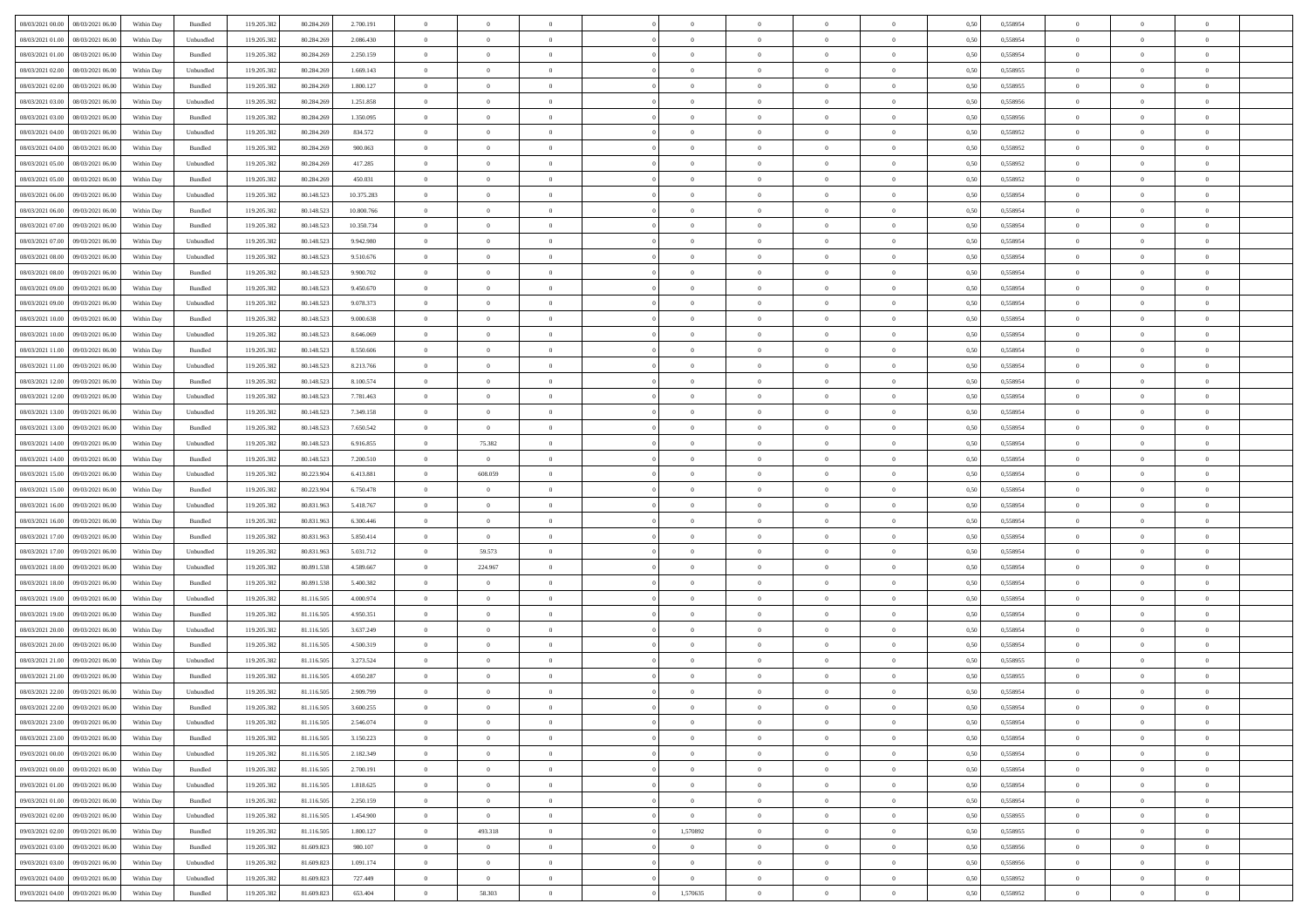|                                                                                                             |            |                    |             |            |            | $\overline{0}$ | $\theta$       |                | $\overline{0}$ | $\theta$       |                | $\theta$       |      |          | $\theta$       | $\theta$       | $\theta$       |  |
|-------------------------------------------------------------------------------------------------------------|------------|--------------------|-------------|------------|------------|----------------|----------------|----------------|----------------|----------------|----------------|----------------|------|----------|----------------|----------------|----------------|--|
| 08/03/2021 00:00 08/03/2021 06:00                                                                           | Within Day | Bundled            | 119.205.382 | 80.284.269 | 2.700.191  |                |                |                |                |                |                |                | 0,50 | 0,558954 |                |                |                |  |
| 08/03/2021 01:00<br>08/03/2021 06:00                                                                        | Within Day | Unbundled          | 119.205.38  | 80.284.26  | 2.086.430  | $\bf{0}$       | $\bf{0}$       | $\bf{0}$       | $\overline{0}$ | $\overline{0}$ | $\overline{0}$ | $\bf{0}$       | 0,50 | 0,558954 | $\,$ 0 $\,$    | $\bf{0}$       | $\overline{0}$ |  |
| 08/03/2021 01:00<br>08/03/2021 06:00                                                                        | Within Day | Bundled            | 119.205.382 | 80.284.269 | 2.250.159  | $\overline{0}$ | $\bf{0}$       | $\overline{0}$ | $\bf{0}$       | $\bf{0}$       | $\overline{0}$ | $\bf{0}$       | 0.50 | 0.558954 | $\bf{0}$       | $\overline{0}$ | $\overline{0}$ |  |
| 08/03/2021 02:00<br>08/03/2021 06:00                                                                        | Within Day | Unbundled          | 119.205.382 | 80.284.269 | 1.669.143  | $\overline{0}$ | $\overline{0}$ | $\overline{0}$ | $\theta$       | $\theta$       | $\overline{0}$ | $\bf{0}$       | 0,50 | 0,558955 | $\theta$       | $\theta$       | $\overline{0}$ |  |
| 08/03/2021 02:00<br>08/03/2021 06:00                                                                        | Within Day | Bundled            | 119.205.38  | 80.284.269 | 1.800.127  | $\bf{0}$       | $\overline{0}$ | $\bf{0}$       | $\overline{0}$ | $\theta$       | $\overline{0}$ | $\bf{0}$       | 0,50 | 0,558955 | $\,$ 0 $\,$    | $\bf{0}$       | $\overline{0}$ |  |
| 08/03/2021 03:00<br>08/03/2021 06:00                                                                        |            | Unbundled          | 119.205.382 | 80.284.269 | 1.251.858  | $\overline{0}$ | $\overline{0}$ | $\overline{0}$ | $\bf{0}$       | $\overline{0}$ | $\theta$       | $\bf{0}$       | 0.50 | 0.558956 | $\,$ 0 $\,$    | $\theta$       | $\overline{0}$ |  |
|                                                                                                             | Within Day |                    |             |            |            |                |                |                |                |                |                |                |      |          |                |                |                |  |
| 08/03/2021 03:00<br>08/03/2021 06:00                                                                        | Within Day | Bundled            | 119.205.382 | 80.284.269 | 1.350.095  | $\overline{0}$ | $\overline{0}$ | $\overline{0}$ | $\overline{0}$ | $\overline{0}$ | $\overline{0}$ | $\bf{0}$       | 0,50 | 0,558956 | $\theta$       | $\theta$       | $\overline{0}$ |  |
| 08/03/2021 04:00<br>08/03/2021 06:00                                                                        | Within Day | Unbundled          | 119.205.38  | 80.284.26  | 834.572    | $\bf{0}$       | $\overline{0}$ | $\bf{0}$       | $\overline{0}$ | $\overline{0}$ | $\overline{0}$ | $\bf{0}$       | 0,50 | 0,558952 | $\,$ 0 $\,$    | $\bf{0}$       | $\overline{0}$ |  |
| 08/03/2021 04:00<br>08/03/2021 06:00                                                                        | Within Day | Bundled            | 119,205.38  | 80.284.269 | 900.063    | $\overline{0}$ | $\bf{0}$       | $\overline{0}$ | $\bf{0}$       | $\overline{0}$ | $\overline{0}$ | $\bf{0}$       | 0.50 | 0.558952 | $\bf{0}$       | $\overline{0}$ | $\overline{0}$ |  |
| 08/03/2021 05:00<br>08/03/2021 06:00                                                                        | Within Day | Unbundled          | 119.205.382 | 80.284.269 | 417.285    | $\bf{0}$       | $\bf{0}$       | $\overline{0}$ | $\overline{0}$ | $\overline{0}$ | $\overline{0}$ | $\bf{0}$       | 0,50 | 0,558952 | $\,$ 0 $\,$    | $\bf{0}$       | $\overline{0}$ |  |
| 08/03/2021 05:00<br>08/03/2021 06:00                                                                        | Within Day | Bundled            | 119.205.38  | 80.284.269 | 450.031    | $\bf{0}$       | $\overline{0}$ | $\bf{0}$       | $\bf{0}$       | $\bf{0}$       | $\overline{0}$ | $\bf{0}$       | 0,50 | 0,558952 | $\,$ 0 $\,$    | $\bf{0}$       | $\overline{0}$ |  |
| 08/03/2021 06:00<br>09/03/2021 06:00                                                                        | Within Day | Unbundled          | 119.205.382 | 80.148.523 | 10.375.283 | $\overline{0}$ | $\bf{0}$       | $\overline{0}$ | $\overline{0}$ | $\bf{0}$       | $\overline{0}$ | $\bf{0}$       | 0.50 | 0.558954 | $\bf{0}$       | $\overline{0}$ | $\,$ 0         |  |
| 08/03/2021 06:00<br>09/03/2021 06:00                                                                        | Within Day | Bundled            | 119.205.38  | 80.148.523 | 10.800.766 | $\overline{0}$ | $\overline{0}$ | $\overline{0}$ | $\theta$       | $\theta$       | $\overline{0}$ | $\bf{0}$       | 0,50 | 0,558954 | $\,$ 0 $\,$    | $\theta$       | $\overline{0}$ |  |
|                                                                                                             |            |                    |             |            |            |                |                |                |                |                |                |                |      |          |                |                |                |  |
| 08/03/2021 07:00<br>09/03/2021 06.00                                                                        | Within Day | Bundled            | 119.205.38  | 80.148.52  | 10.350.734 | $\bf{0}$       | $\overline{0}$ | $\bf{0}$       | $\overline{0}$ | $\theta$       | $\overline{0}$ | $\bf{0}$       | 0,50 | 0,558954 | $\bf{0}$       | $\bf{0}$       | $\overline{0}$ |  |
| 08/03/2021 07:00<br>09/03/2021 06:00                                                                        | Within Day | Unbundled          | 119.205.382 | 80.148.52  | 9.942.980  | $\overline{0}$ | $\overline{0}$ | $\overline{0}$ | $\bf{0}$       | $\overline{0}$ | $\Omega$       | $\bf{0}$       | 0.50 | 0.558954 | $\,$ 0 $\,$    | $\theta$       | $\overline{0}$ |  |
| 08/03/2021 08:00<br>09/03/2021 06:00                                                                        | Within Day | Unbundled          | 119.205.382 | 80.148.523 | 9.510.676  | $\overline{0}$ | $\overline{0}$ | $\overline{0}$ | $\overline{0}$ | $\overline{0}$ | $\overline{0}$ | $\bf{0}$       | 0,50 | 0,558954 | $\theta$       | $\theta$       | $\overline{0}$ |  |
| 08/03/2021 08:00<br>09/03/2021 06.00                                                                        | Within Day | Bundled            | 119.205.38  | 80.148.52  | 9.900.702  | $\bf{0}$       | $\overline{0}$ | $\bf{0}$       | $\overline{0}$ | $\theta$       | $\overline{0}$ | $\bf{0}$       | 0,50 | 0,558954 | $\,$ 0 $\,$    | $\bf{0}$       | $\overline{0}$ |  |
| 08/03/2021 09:00<br>09/03/2021 06:00                                                                        | Within Day | Bundled            | 119,205.38  | 80.148.52  | 9.450.670  | $\overline{0}$ | $\bf{0}$       | $\overline{0}$ | $\bf{0}$       | $\overline{0}$ | $\overline{0}$ | $\bf{0}$       | 0.50 | 0.558954 | $\bf{0}$       | $\overline{0}$ | $\overline{0}$ |  |
| 08/03/2021 09:00<br>09/03/2021 06:00                                                                        | Within Day | Unbundled          | 119.205.382 | 80.148.523 | 9.078.373  | $\overline{0}$ | $\bf{0}$       | $\overline{0}$ | $\overline{0}$ | $\overline{0}$ | $\overline{0}$ | $\bf{0}$       | 0,50 | 0,558954 | $\,$ 0 $\,$    | $\bf{0}$       | $\overline{0}$ |  |
| 08/03/2021 10:00<br>09/03/2021 06.00                                                                        | Within Day | Bundled            | 119.205.38  | 80.148.52  | 9.000.638  | $\bf{0}$       | $\bf{0}$       | $\bf{0}$       | $\bf{0}$       | $\overline{0}$ | $\overline{0}$ | $\bf{0}$       | 0,50 | 0,558954 | $\,$ 0 $\,$    | $\bf{0}$       | $\overline{0}$ |  |
| 08/03/2021 10:00<br>09/03/2021 06:00                                                                        |            | Unbundled          |             | 80.148.523 | 8.646.069  |                | $\bf{0}$       | $\overline{0}$ |                | $\bf{0}$       | $\overline{0}$ |                | 0.50 | 0.558954 | $\bf{0}$       | $\overline{0}$ | $\overline{0}$ |  |
|                                                                                                             | Within Day |                    | 119.205.382 |            |            | $\overline{0}$ |                |                | $\bf{0}$       |                |                | $\bf{0}$       |      |          |                |                |                |  |
| 08/03/2021 11:00<br>09/03/2021 06:00                                                                        | Within Day | Bundled            | 119.205.382 | 80.148.523 | 8.550.606  | $\overline{0}$ | $\overline{0}$ | $\overline{0}$ | $\theta$       | $\theta$       | $\overline{0}$ | $\bf{0}$       | 0,50 | 0,558954 | $\theta$       | $\theta$       | $\overline{0}$ |  |
| 08/03/2021 11:00<br>09/03/2021 06.00                                                                        | Within Day | Unbundled          | 119.205.38  | 80.148.523 | 8.213.766  | $\bf{0}$       | $\overline{0}$ | $\bf{0}$       | $\bf{0}$       | $\,$ 0 $\,$    | $\overline{0}$ | $\bf{0}$       | 0,50 | 0,558954 | $\,$ 0 $\,$    | $\bf{0}$       | $\overline{0}$ |  |
| 08/03/2021 12:00<br>09/03/2021 06:00                                                                        | Within Day | Bundled            | 119,205.38  | 80.148.52  | 8,100,574  | $\overline{0}$ | $\overline{0}$ | $\overline{0}$ | $\bf{0}$       | $\overline{0}$ | $\theta$       | $\bf{0}$       | 0.50 | 0.558954 | $\,$ 0 $\,$    | $\theta$       | $\overline{0}$ |  |
| 08/03/2021 12:00<br>09/03/2021 06:00                                                                        | Within Day | Unbundled          | 119.205.38  | 80.148.523 | 7.781.463  | $\overline{0}$ | $\overline{0}$ | $\overline{0}$ | $\overline{0}$ | $\overline{0}$ | $\overline{0}$ | $\bf{0}$       | 0,50 | 0,558954 | $\theta$       | $\theta$       | $\overline{0}$ |  |
| 08/03/2021 13:00<br>09/03/2021 06.00                                                                        | Within Day | Unbundled          | 119.205.38  | 80.148.52  | 7.349.158  | $\bf{0}$       | $\overline{0}$ | $\bf{0}$       | $\overline{0}$ | $\bf{0}$       | $\overline{0}$ | $\bf{0}$       | 0,50 | 0,558954 | $\,$ 0 $\,$    | $\bf{0}$       | $\overline{0}$ |  |
| 08/03/2021 13:00<br>09/03/2021 06:00                                                                        | Within Day | Bundled            | 119,205.38  | 80.148.52  | 7.650.542  | $\overline{0}$ | $\bf{0}$       | $\overline{0}$ | $\bf{0}$       | $\overline{0}$ | $\overline{0}$ | $\bf{0}$       | 0.50 | 0.558954 | $\bf{0}$       | $\overline{0}$ | $\overline{0}$ |  |
| 08/03/2021 14:00<br>09/03/2021 06:00                                                                        | Within Day | Unbundled          | 119.205.382 | 80.148.523 | 6.916.855  | $\overline{0}$ | 75.382         | $\overline{0}$ | $\overline{0}$ | $\overline{0}$ | $\overline{0}$ | $\bf{0}$       | 0,50 | 0,558954 | $\theta$       | $\theta$       | $\overline{0}$ |  |
| 08/03/2021 14:00<br>09/03/2021 06.00                                                                        | Within Day | Bundled            | 119.205.38  | 80.148.523 | 7.200.510  | $\bf{0}$       | $\bf{0}$       | $\bf{0}$       | $\bf{0}$       | $\overline{0}$ | $\overline{0}$ | $\bf{0}$       | 0,50 | 0,558954 | $\,$ 0 $\,$    | $\bf{0}$       | $\overline{0}$ |  |
|                                                                                                             |            |                    |             |            |            |                |                |                |                |                |                |                |      |          |                |                |                |  |
| 08/03/2021 15:00<br>09/03/2021 06:00                                                                        | Within Day | Unbundled          | 119.205.382 | 80.223.904 | 6.413.881  | $\overline{0}$ | 608,059        | $\overline{0}$ | $\bf{0}$       | $\bf{0}$       | $\overline{0}$ | $\bf{0}$       | 0.50 | 0.558954 | $\bf{0}$       | $\overline{0}$ | $\,$ 0         |  |
| 08/03/2021 15:00<br>09/03/2021 06:00                                                                        | Within Day | Bundled            | 119.205.382 | 80.223.90  | 6.750.478  | $\overline{0}$ | $\overline{0}$ | $\overline{0}$ | $\overline{0}$ | $\overline{0}$ | $\overline{0}$ | $\bf{0}$       | 0.50 | 0.558954 | $\theta$       | $\theta$       | $\overline{0}$ |  |
| 08/03/2021 16:00<br>09/03/2021 06.00                                                                        | Within Day | Unbundled          | 119.205.38  | 80.831.96  | 5.418.767  | $\bf{0}$       | $\overline{0}$ | $\bf{0}$       | $\bf{0}$       | $\overline{0}$ | $\overline{0}$ | $\bf{0}$       | 0,50 | 0,558954 | $\,$ 0 $\,$    | $\bf{0}$       | $\overline{0}$ |  |
| 08/03/2021 16:00<br>09/03/2021 06:00                                                                        | Within Day | Bundled            | 119.205.382 | 80.831.963 | 6,300,446  | $\overline{0}$ | $\overline{0}$ | $\overline{0}$ | $\bf{0}$       | $\overline{0}$ | $\Omega$       | $\bf{0}$       | 0.50 | 0.558954 | $\,$ 0 $\,$    | $\theta$       | $\overline{0}$ |  |
| 08/03/2021 17:00<br>09/03/2021 06:00                                                                        | Within Dav | Bundled            | 119.205.382 | 80.831.963 | 5.850.414  | $\overline{0}$ | $\overline{0}$ | $\overline{0}$ | $\overline{0}$ | $\theta$       | $\overline{0}$ | $\bf{0}$       | 0.50 | 0,558954 | $\theta$       | $\theta$       | $\overline{0}$ |  |
| 08/03/2021 17:00<br>09/03/2021 06.00                                                                        | Within Day | Unbundled          | 119.205.38  | 80.831.96  | 5.031.712  | $\bf{0}$       | 59.573         | $\bf{0}$       | $\bf{0}$       | $\bf{0}$       | $\overline{0}$ | $\bf{0}$       | 0,50 | 0,558954 | $\,$ 0 $\,$    | $\bf{0}$       | $\overline{0}$ |  |
| 08/03/2021 18:00<br>09/03/2021 06:00                                                                        | Within Day | Unbundled          | 119,205.38  | 80.891.538 | 4.589.667  | $\overline{0}$ | 224.967        | $\overline{0}$ | $\bf{0}$       | $\overline{0}$ | $\overline{0}$ | $\bf{0}$       | 0.50 | 0.558954 | $\bf{0}$       | $\overline{0}$ | $\overline{0}$ |  |
| 08/03/2021 18:00<br>09/03/2021 06:00                                                                        | Within Day | Bundled            | 119.205.38  | 80.891.538 | 5.400.382  | $\overline{0}$ | $\overline{0}$ | $\overline{0}$ | $\overline{0}$ | $\overline{0}$ | $\overline{0}$ | $\bf{0}$       | 0.50 | 0,558954 | $\theta$       | $\theta$       | $\overline{0}$ |  |
| 08/03/2021 19:00<br>09/03/2021 06.00                                                                        | Within Day | Unbundled          |             | 81.116.505 | 4.000.974  | $\bf{0}$       | $\bf{0}$       | $\bf{0}$       | $\bf{0}$       | $\overline{0}$ | $\overline{0}$ | $\bf{0}$       | 0,50 | 0,558954 | $\,$ 0 $\,$    | $\bf{0}$       | $\overline{0}$ |  |
|                                                                                                             |            |                    | 119.205.38  |            |            |                |                |                |                |                |                |                |      |          |                |                |                |  |
| 08/03/2021 19:00<br>09/03/2021 06:00                                                                        | Within Day | Bundled            | 119.205.382 | 81.116.505 | 4.950.351  | $\overline{0}$ | $\bf{0}$       | $\overline{0}$ | $\overline{0}$ | $\bf{0}$       | $\overline{0}$ | $\bf{0}$       | 0.50 | 0.558954 | $\bf{0}$       | $\overline{0}$ | $\overline{0}$ |  |
| 08/03/2021 20:00<br>09/03/2021 06:00                                                                        | Within Day | Unbundled          | 119.205.382 | 81.116.505 | 3.637.249  | $\overline{0}$ | $\overline{0}$ | $\overline{0}$ | $\overline{0}$ | $\overline{0}$ | $\overline{0}$ | $\bf{0}$       | 0.50 | 0.558954 | $\theta$       | $\theta$       | $\overline{0}$ |  |
| 08/03/2021 20:00<br>09/03/2021 06.00                                                                        | Within Day | Bundled            | 119.205.38  | 81.116.505 | 4.500.319  | $\bf{0}$       | $\bf{0}$       | $\bf{0}$       | $\bf{0}$       | $\overline{0}$ | $\overline{0}$ | $\bf{0}$       | 0,50 | 0,558954 | $\,$ 0 $\,$    | $\bf{0}$       | $\overline{0}$ |  |
| 08/03/2021 21:00<br>09/03/2021 06:00                                                                        | Within Day | Unbundled          | 119.205.382 | 81.116.505 | 3.273.524  | $\overline{0}$ | $\overline{0}$ | $\overline{0}$ | $\bf{0}$       | $\overline{0}$ | $\Omega$       | $\bf{0}$       | 0.50 | 0.558955 | $\bf{0}$       | $\theta$       | $\overline{0}$ |  |
| 08/03/2021 21:00<br>09/03/2021 06:00                                                                        | Within Dav | Bundled            | 119.205.38  | 81.116.50  | 4.050.287  | $\overline{0}$ | $\overline{0}$ | $\Omega$       | $\overline{0}$ | $\theta$       | $\overline{0}$ | $\overline{0}$ | 0.5( | 0,558955 | $\theta$       | $\theta$       | $\overline{0}$ |  |
| 08/03/2021 22:00<br>09/03/2021 06:00                                                                        | Within Day | Unbundled          | 119.205.382 | 81.116.505 | 2.909.799  | $\bf{0}$       | $\bf{0}$       | $\bf{0}$       | $\bf{0}$       | $\bf{0}$       | $\overline{0}$ | $\bf{0}$       | 0,50 | 0,558954 | $\overline{0}$ | $\overline{0}$ | $\overline{0}$ |  |
| ${\color{red} 08}/03/2021 {\color{red} 22}.00 {\color{red} 09}/03/2021 {\color{red} 06}.00 {\color{red} 0}$ | Within Day | $\mathbf B$ undled | 119.205.382 | 81.116.505 | 3 600 255  | $\bf{0}$       | $\Omega$       |                | $\Omega$       |                |                |                | 0,50 | 0.558954 | $\theta$       | $\overline{0}$ |                |  |
| 08/03/2021 23:00 09/03/2021 06:00                                                                           | Within Day | Unbundled          | 119.205.382 | 81.116.505 | 2.546.074  | $\overline{0}$ | $\overline{0}$ | $\overline{0}$ | $\theta$       | $\overline{0}$ | $\overline{0}$ | $\bf{0}$       | 0,50 | 0,558954 | $\theta$       | $\overline{0}$ | $\overline{0}$ |  |
|                                                                                                             |            |                    |             |            |            |                |                |                |                |                |                |                |      |          |                |                |                |  |
| 08/03/2021 23:00<br>09/03/2021 06:00                                                                        | Within Day | Bundled            | 119.205.38  | 81.116.505 | 3.150.223  | $\overline{0}$ | $\bf{0}$       | $\overline{0}$ | $\overline{0}$ | $\bf{0}$       | $\overline{0}$ | $\bf{0}$       | 0,50 | 0,558954 | $\bf{0}$       | $\overline{0}$ | $\bf{0}$       |  |
| 09/03/2021 00:00 09/03/2021 06:00                                                                           | Within Day | Unbundled          | 119.205.382 | 81.116.505 | 2.182.349  | $\overline{0}$ | $\bf{0}$       | $\overline{0}$ | $\overline{0}$ | $\mathbf{0}$   | $\overline{0}$ | $\,$ 0 $\,$    | 0.50 | 0.558954 | $\overline{0}$ | $\bf{0}$       | $\,$ 0 $\,$    |  |
| 09/03/2021 00:00 09/03/2021 06:00                                                                           | Within Day | Bundled            | 119.205.382 | 81.116.505 | 2.700.191  | $\overline{0}$ | $\overline{0}$ | $\overline{0}$ | $\overline{0}$ | $\overline{0}$ | $\overline{0}$ | $\bf{0}$       | 0,50 | 0,558954 | $\theta$       | $\theta$       | $\overline{0}$ |  |
| 09/03/2021 01:00<br>09/03/2021 06:00                                                                        | Within Day | Unbundled          | 119.205.382 | 81.116.505 | 1.818.625  | $\overline{0}$ | $\bf{0}$       | $\overline{0}$ | $\overline{0}$ | $\bf{0}$       | $\overline{0}$ | $\bf{0}$       | 0,50 | 0,558954 | $\bf{0}$       | $\overline{0}$ | $\overline{0}$ |  |
| 09/03/2021 06:00<br>09/03/2021 01:00                                                                        | Within Day | Bundled            | 119.205.382 | 81.116.505 | 2.250.159  | $\overline{0}$ | $\bf{0}$       | $\overline{0}$ | $\overline{0}$ | $\bf{0}$       | $\overline{0}$ | $\bf{0}$       | 0.50 | 0.558954 | $\,$ 0 $\,$    | $\overline{0}$ | $\,$ 0         |  |
| 09/03/2021 02:00<br>09/03/2021 06:00                                                                        | Within Dav | Unbundled          | 119.205.382 | 81.116.505 | 1.454.900  | $\overline{0}$ | $\overline{0}$ | $\overline{0}$ | $\overline{0}$ | $\overline{0}$ | $\overline{0}$ | $\bf{0}$       | 0,50 | 0,558955 | $\overline{0}$ | $\theta$       | $\overline{0}$ |  |
| 09/03/2021 02:00<br>09/03/2021 06:00                                                                        | Within Day | Bundled            | 119.205.38  | 81.116.505 | 1.800.127  | $\overline{0}$ | 493.318        | $\overline{0}$ | 1,570892       | $\bf{0}$       | $\overline{0}$ | $\bf{0}$       | 0,50 | 0,558955 | $\bf{0}$       | $\overline{0}$ | $\overline{0}$ |  |
| 09/03/2021 03:00<br>09/03/2021 06:00                                                                        |            | Bundled            | 119.205.382 | 81,609,823 | 980.107    | $\overline{0}$ | $\overline{0}$ |                |                | $\overline{0}$ | $\overline{0}$ |                | 0.50 | 0.558956 | $\mathbf{0}$   | $\bf{0}$       | $\,$ 0         |  |
|                                                                                                             | Within Day |                    |             |            |            |                |                | $\overline{0}$ | $\overline{0}$ |                |                | $\bf{0}$       |      |          |                |                |                |  |
| 09/03/2021 03:00<br>09/03/2021 06:00                                                                        | Within Dav | Unbundled          | 119.205.382 | 81.609.823 | 1.091.174  | $\overline{0}$ | $\overline{0}$ | $\overline{0}$ | $\overline{0}$ | $\overline{0}$ | $\overline{0}$ | $\bf{0}$       | 0,50 | 0,558956 | $\overline{0}$ | $\theta$       | $\overline{0}$ |  |
| 09/03/2021 04:00<br>09/03/2021 06.00                                                                        | Within Day | Unbundled          | 119.205.38  | 81.609.823 | 727.449    | $\overline{0}$ | $\bf{0}$       | $\overline{0}$ | $\overline{0}$ | $\overline{0}$ | $\bf{0}$       | $\bf{0}$       | 0,50 | 0,558952 | $\bf{0}$       | $\overline{0}$ | $\bf{0}$       |  |
| 09/03/2021 04:00 09/03/2021 06:00                                                                           | Within Day | Bundled            | 119.205.382 | 81.609.823 | 653.404    | $\overline{0}$ | 58.303         | $\overline{0}$ | 1,570635       | $\,$ 0 $\,$    | $\overline{0}$ | $\bf{0}$       | 0,50 | 0,558952 | $\overline{0}$ | $\,$ 0 $\,$    | $\,$ 0 $\,$    |  |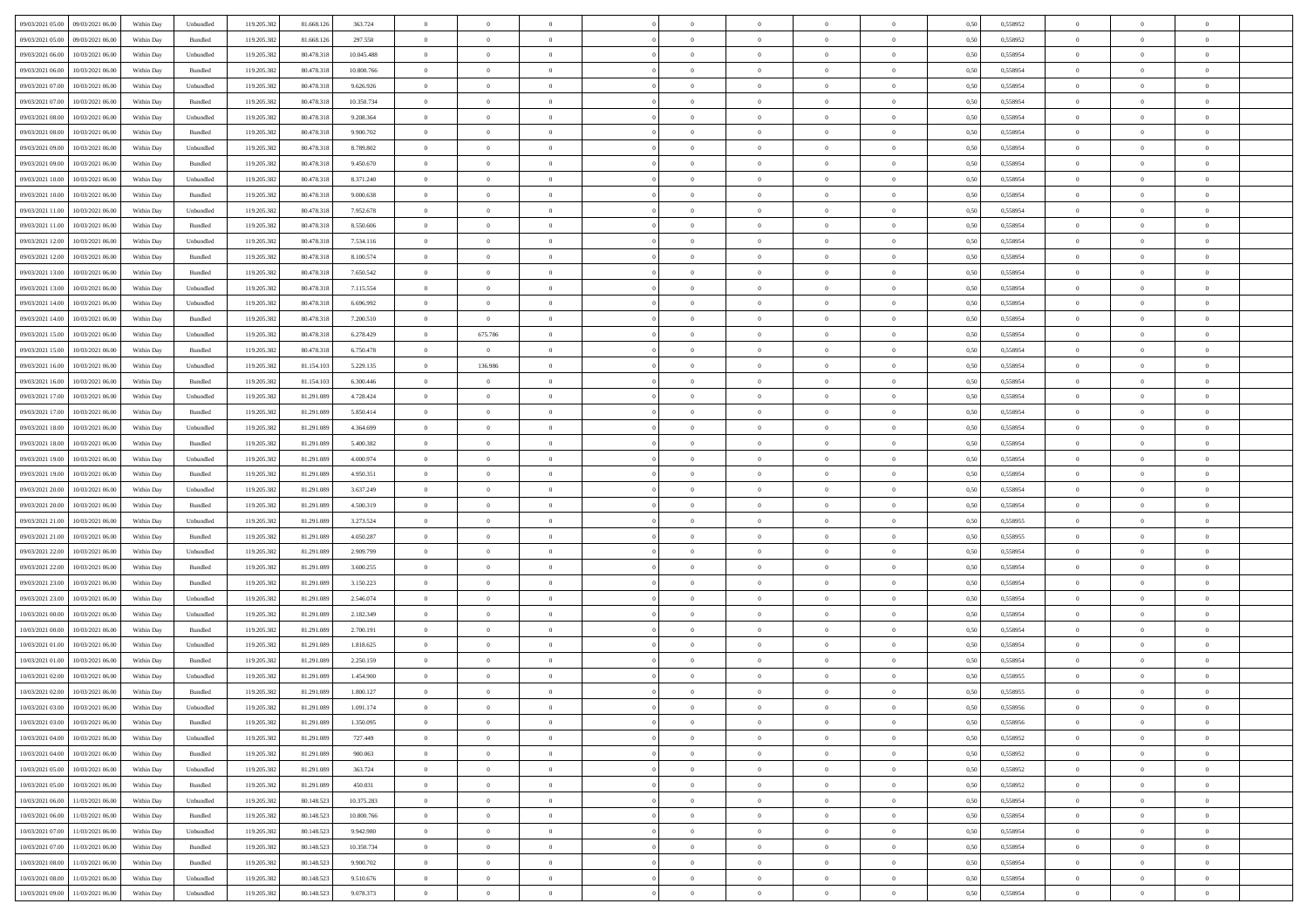| 09/03/2021 05:00 09/03/2021 06:00              | Within Day | Unbundled                   | 119.205.382 | 81.668.126 | 363.724    | $\overline{0}$ | $\theta$       |                | $\overline{0}$ | $\theta$       |                | $\theta$       | 0,50 | 0,558952 | $\theta$       | $\theta$       | $\overline{0}$ |  |
|------------------------------------------------|------------|-----------------------------|-------------|------------|------------|----------------|----------------|----------------|----------------|----------------|----------------|----------------|------|----------|----------------|----------------|----------------|--|
| 09/03/2021 05:00<br>09/03/2021 06.00           | Within Day | Bundled                     | 119.205.38  | 81.668.12  | 297.550    | $\bf{0}$       | $\bf{0}$       | $\bf{0}$       | $\bf{0}$       | $\overline{0}$ | $\overline{0}$ | $\bf{0}$       | 0,50 | 0,558952 | $\,$ 0 $\,$    | $\bf{0}$       | $\overline{0}$ |  |
| 09/03/2021 06:00<br>10/03/2021 06:00           | Within Day | Unbundled                   | 119.205.382 | 80.478.318 | 10,045.488 | $\overline{0}$ | $\bf{0}$       | $\overline{0}$ | $\bf{0}$       | $\bf{0}$       | $\overline{0}$ | $\bf{0}$       | 0.50 | 0.558954 | $\bf{0}$       | $\overline{0}$ | $\overline{0}$ |  |
| 09/03/2021 06:00<br>10/03/2021 06:00           | Within Day | Bundled                     | 119.205.382 | 80.478.318 | 10.800.766 | $\overline{0}$ | $\overline{0}$ | $\overline{0}$ | $\overline{0}$ | $\theta$       | $\overline{0}$ | $\bf{0}$       | 0,50 | 0,558954 | $\theta$       | $\theta$       | $\overline{0}$ |  |
| 09/03/2021 07:00<br>10/03/2021 06:00           | Within Day | Unbundled                   | 119.205.38  | 80.478.318 | 9.626.926  | $\bf{0}$       | $\overline{0}$ | $\bf{0}$       | $\overline{0}$ | $\theta$       | $\overline{0}$ | $\bf{0}$       | 0,50 | 0,558954 | $\,$ 0 $\,$    | $\bf{0}$       | $\overline{0}$ |  |
|                                                |            |                             |             |            |            |                |                |                |                |                |                |                |      |          |                |                |                |  |
| 09/03/2021 07:00<br>10/03/2021 06:00           | Within Day | Bundled                     | 119,205.38  | 80.478.318 | 10.350.734 | $\overline{0}$ | $\overline{0}$ | $\overline{0}$ | $\bf{0}$       | $\overline{0}$ | $\theta$       | $\bf{0}$       | 0.50 | 0.558954 | $\,$ 0 $\,$    | $\theta$       | $\overline{0}$ |  |
| 09/03/2021 08:00<br>10/03/2021 06:00           | Within Day | Unbundled                   | 119.205.38  | 80.478.318 | 9.208.364  | $\overline{0}$ | $\overline{0}$ | $\overline{0}$ | $\overline{0}$ | $\overline{0}$ | $\overline{0}$ | $\bf{0}$       | 0,50 | 0,558954 | $\theta$       | $\theta$       | $\overline{0}$ |  |
| 09/03/2021 08:00<br>10/03/2021 06:00           | Within Day | Bundled                     | 119.205.38  | 80.478.318 | 9.900.702  | $\bf{0}$       | $\bf{0}$       | $\bf{0}$       | $\overline{0}$ | $\overline{0}$ | $\overline{0}$ | $\bf{0}$       | 0,50 | 0,558954 | $\,$ 0 $\,$    | $\bf{0}$       | $\overline{0}$ |  |
| 09/03/2021 09:00<br>10/03/2021 06:00           | Within Day | Unbundled                   | 119,205.38  | 80.478.318 | 8,789,802  | $\overline{0}$ | $\bf{0}$       | $\overline{0}$ | $\bf{0}$       | $\overline{0}$ | $\overline{0}$ | $\bf{0}$       | 0.50 | 0.558954 | $\bf{0}$       | $\overline{0}$ | $\overline{0}$ |  |
| 09/03/2021 09:00<br>10/03/2021 06:00           | Within Day | Bundled                     | 119.205.382 | 80.478.318 | 9.450.670  | $\overline{0}$ | $\bf{0}$       | $\overline{0}$ | $\overline{0}$ | $\overline{0}$ | $\overline{0}$ | $\bf{0}$       | 0,50 | 0,558954 | $\,$ 0 $\,$    | $\bf{0}$       | $\overline{0}$ |  |
| 09/03/2021 10:00<br>10/03/2021 06:00           | Within Day | Unbundled                   | 119.205.38  | 80.478.318 | 8.371.240  | $\bf{0}$       | $\overline{0}$ | $\bf{0}$       | $\bf{0}$       | $\bf{0}$       | $\overline{0}$ | $\bf{0}$       | 0,50 | 0,558954 | $\,$ 0 $\,$    | $\bf{0}$       | $\overline{0}$ |  |
| 09/03/2021 10:00<br>10/03/2021 06:00           | Within Day | Bundled                     | 119.205.382 | 80.478.318 | 9.000.638  | $\overline{0}$ | $\bf{0}$       | $\overline{0}$ | $\overline{0}$ | $\bf{0}$       | $\overline{0}$ | $\bf{0}$       | 0.50 | 0.558954 | $\bf{0}$       | $\overline{0}$ | $\bf{0}$       |  |
|                                                |            |                             |             |            |            |                |                |                |                |                |                |                |      |          |                |                |                |  |
| 09/03/2021 11:00<br>10/03/2021 06:00           | Within Day | Unbundled                   | 119.205.38  | 80.478.318 | 7.952.678  | $\overline{0}$ | $\overline{0}$ | $\overline{0}$ | $\theta$       | $\theta$       | $\overline{0}$ | $\bf{0}$       | 0,50 | 0,558954 | $\,$ 0 $\,$    | $\theta$       | $\overline{0}$ |  |
| 09/03/2021 11:00<br>10/03/2021 06:00           | Within Day | Bundled                     | 119.205.38  | 80.478.318 | 8.550.606  | $\bf{0}$       | $\overline{0}$ | $\bf{0}$       | $\overline{0}$ | $\bf{0}$       | $\overline{0}$ | $\bf{0}$       | 0,50 | 0,558954 | $\,$ 0 $\,$    | $\bf{0}$       | $\overline{0}$ |  |
| 09/03/2021 12:00<br>10/03/2021 06:00           | Within Day | Unbundled                   | 119,205.38  | 80.478.318 | 7.534.116  | $\overline{0}$ | $\overline{0}$ | $\overline{0}$ | $\bf{0}$       | $\overline{0}$ | $\theta$       | $\bf{0}$       | 0.50 | 0.558954 | $\,$ 0 $\,$    | $\theta$       | $\overline{0}$ |  |
| 09/03/2021 12:00<br>10/03/2021 06:00           | Within Day | Bundled                     | 119.205.382 | 80.478.318 | 8.100.574  | $\overline{0}$ | $\overline{0}$ | $\overline{0}$ | $\overline{0}$ | $\overline{0}$ | $\overline{0}$ | $\bf{0}$       | 0,50 | 0,558954 | $\theta$       | $\theta$       | $\overline{0}$ |  |
| 09/03/2021 13:00<br>10/03/2021 06:00           | Within Day | Bundled                     | 119.205.38  | 80.478.318 | 7.650.542  | $\bf{0}$       | $\overline{0}$ | $\bf{0}$       | $\overline{0}$ | $\bf{0}$       | $\overline{0}$ | $\bf{0}$       | 0,50 | 0,558954 | $\,$ 0 $\,$    | $\bf{0}$       | $\overline{0}$ |  |
| 09/03/2021 13:00<br>10/03/2021 06:00           | Within Day | Unbundled                   | 119,205.38  | 80.478.318 | 7.115.554  | $\overline{0}$ | $\bf{0}$       | $\overline{0}$ | $\bf{0}$       | $\overline{0}$ | $\overline{0}$ | $\bf{0}$       | 0.50 | 0.558954 | $\bf{0}$       | $\overline{0}$ | $\overline{0}$ |  |
| 09/03/2021 14:00<br>10/03/2021 06:00           | Within Day | Unbundled                   | 119.205.382 | 80.478.318 | 6.696.992  | $\overline{0}$ | $\bf{0}$       | $\overline{0}$ | $\overline{0}$ | $\overline{0}$ | $\overline{0}$ | $\bf{0}$       | 0,50 | 0,558954 | $\,$ 0 $\,$    | $\bf{0}$       | $\overline{0}$ |  |
|                                                |            |                             |             |            |            |                |                |                |                |                |                |                |      |          |                |                |                |  |
| 09/03/2021 14:00<br>10/03/2021 06:00           | Within Day | Bundled                     | 119.205.38  | 80.478.318 | 7.200.510  | $\bf{0}$       | $\bf{0}$       | $\bf{0}$       | $\bf{0}$       | $\overline{0}$ | $\overline{0}$ | $\bf{0}$       | 0,50 | 0,558954 | $\,$ 0 $\,$    | $\bf{0}$       | $\overline{0}$ |  |
| 09/03/2021 15:00<br>10/03/2021 06:00           | Within Day | Unbundled                   | 119.205.382 | 80.478.318 | 6.278.429  | $\overline{0}$ | 675.786        | $\overline{0}$ | $\overline{0}$ | $\bf{0}$       | $\overline{0}$ | $\bf{0}$       | 0.50 | 0.558954 | $\bf{0}$       | $\overline{0}$ | $\,$ 0         |  |
| 09/03/2021 15:00<br>10/03/2021 06:00           | Within Day | Bundled                     | 119.205.382 | 80.478.318 | 6.750.478  | $\overline{0}$ | $\overline{0}$ | $\overline{0}$ | $\overline{0}$ | $\theta$       | $\overline{0}$ | $\bf{0}$       | 0,50 | 0,558954 | $\theta$       | $\theta$       | $\overline{0}$ |  |
| 09/03/2021 16:00<br>10/03/2021 06:00           | Within Day | Unbundled                   | 119.205.38  | 81.154.10  | 5.229.135  | $\bf{0}$       | 136.986        | $\bf{0}$       | $\bf{0}$       | $\,$ 0 $\,$    | $\overline{0}$ | $\bf{0}$       | 0,50 | 0,558954 | $\,$ 0 $\,$    | $\bf{0}$       | $\overline{0}$ |  |
| 09/03/2021 16:00<br>10/03/2021 06:00           | Within Day | Bundled                     | 119,205.38  | 81.154.103 | 6,300,446  | $\overline{0}$ | $\overline{0}$ | $\overline{0}$ | $\bf{0}$       | $\overline{0}$ | $\theta$       | $\bf{0}$       | 0.50 | 0.558954 | $\,$ 0 $\,$    | $\theta$       | $\overline{0}$ |  |
| 09/03/2021 17:00<br>10/03/2021 06:00           | Within Day | Unbundled                   | 119.205.382 | 81.291.089 | 4.728.424  | $\overline{0}$ | $\overline{0}$ | $\overline{0}$ | $\overline{0}$ | $\overline{0}$ | $\overline{0}$ | $\bf{0}$       | 0,50 | 0,558954 | $\,$ 0 $\,$    | $\theta$       | $\overline{0}$ |  |
| 09/03/2021 17:00<br>10/03/2021 06:00           | Within Day | Bundled                     | 119.205.38  | 81.291.089 | 5.850.414  | $\bf{0}$       | $\overline{0}$ | $\bf{0}$       | $\overline{0}$ | $\bf{0}$       | $\overline{0}$ | $\bf{0}$       | 0,50 | 0,558954 | $\,$ 0 $\,$    | $\bf{0}$       | $\overline{0}$ |  |
| 09/03/2021 18:00<br>10/03/2021 06:00           | Within Day | Unbundled                   | 119,205.38  | 81.291.089 | 4.364.699  | $\overline{0}$ | $\bf{0}$       | $\overline{0}$ | $\bf{0}$       | $\overline{0}$ | $\overline{0}$ | $\bf{0}$       | 0.50 | 0.558954 | $\bf{0}$       | $\overline{0}$ | $\overline{0}$ |  |
| 09/03/2021 18:00<br>10/03/2021 06:00           | Within Day | Bundled                     | 119.205.382 | 81.291.089 | 5.400.382  | $\overline{0}$ | $\bf{0}$       | $\overline{0}$ | $\overline{0}$ | $\overline{0}$ | $\overline{0}$ | $\bf{0}$       | 0,50 | 0,558954 | $\theta$       | $\theta$       | $\overline{0}$ |  |
|                                                |            |                             |             |            |            |                |                |                |                |                |                |                |      |          |                |                |                |  |
| 09/03/2021 19:00<br>10/03/2021 06:00           | Within Day | Unbundled                   | 119.205.38  | 81.291.089 | 4.000.974  | $\bf{0}$       | $\bf{0}$       | $\bf{0}$       | $\bf{0}$       | $\overline{0}$ | $\overline{0}$ | $\bf{0}$       | 0,50 | 0,558954 | $\,$ 0 $\,$    | $\bf{0}$       | $\overline{0}$ |  |
| 09/03/2021 19:00<br>10/03/2021 06:00           | Within Day | Bundled                     | 119.205.382 | 81.291.089 | 4.950.351  | $\overline{0}$ | $\bf{0}$       | $\overline{0}$ | $\overline{0}$ | $\bf{0}$       | $\overline{0}$ | $\bf{0}$       | 0.50 | 0.558954 | $\bf{0}$       | $\overline{0}$ | $\bf{0}$       |  |
| 09/03/2021 20:00<br>10/03/2021 06:00           | Within Day | Unbundled                   | 119.205.382 | 81.291.089 | 3.637.249  | $\overline{0}$ | $\overline{0}$ | $\overline{0}$ | $\overline{0}$ | $\overline{0}$ | $\overline{0}$ | $\bf{0}$       | 0.50 | 0.558954 | $\theta$       | $\theta$       | $\overline{0}$ |  |
| 09/03/2021 20:00<br>10/03/2021 06:00           | Within Day | Bundled                     | 119.205.38  | 81.291.089 | 4.500.319  | $\bf{0}$       | $\overline{0}$ | $\bf{0}$       | $\bf{0}$       | $\,$ 0 $\,$    | $\overline{0}$ | $\bf{0}$       | 0,50 | 0,558954 | $\,$ 0 $\,$    | $\bf{0}$       | $\overline{0}$ |  |
| 09/03/2021 21:00<br>10/03/2021 06:00           | Within Day | Unbundled                   | 119.205.382 | 81.291.089 | 3.273.524  | $\overline{0}$ | $\bf{0}$       | $\overline{0}$ | $\bf{0}$       | $\overline{0}$ | $\Omega$       | $\bf{0}$       | 0.50 | 0.558955 | $\,$ 0 $\,$    | $\bf{0}$       | $\overline{0}$ |  |
| 09/03/2021 21:00<br>10/03/2021 06:00           | Within Dav | Bundled                     | 119.205.38  | 81.291.089 | 4.050.287  | $\overline{0}$ | $\overline{0}$ | $\overline{0}$ | $\overline{0}$ | $\theta$       | $\overline{0}$ | $\bf{0}$       | 0.5( | 0,558955 | $\theta$       | $\theta$       | $\overline{0}$ |  |
| 09/03/2021 22:00<br>10/03/2021 06:00           | Within Day | Unbundled                   | 119.205.38  | 81.291.089 | 2.909.799  | $\bf{0}$       | $\bf{0}$       | $\bf{0}$       | $\bf{0}$       | $\bf{0}$       | $\overline{0}$ | $\bf{0}$       | 0,50 | 0,558954 | $\,$ 0 $\,$    | $\bf{0}$       | $\overline{0}$ |  |
| 09/03/2021 22:00<br>10/03/2021 06:00           | Within Day | Bundled                     | 119,205.38  | 81.291.089 | 3.600.255  | $\overline{0}$ | $\bf{0}$       | $\overline{0}$ | $\bf{0}$       | $\overline{0}$ | $\overline{0}$ | $\bf{0}$       | 0.50 | 0.558954 | $\bf{0}$       | $\overline{0}$ | $\overline{0}$ |  |
|                                                |            |                             |             |            |            |                |                |                |                |                |                |                |      |          |                |                |                |  |
| 09/03/2021 23:00<br>10/03/2021 06:00           | Within Dav | Bundled                     | 119.205.38  | 81.291.089 | 3.150.223  | $\overline{0}$ | $\overline{0}$ | $\overline{0}$ | $\overline{0}$ | $\overline{0}$ | $\overline{0}$ | $\bf{0}$       | 0.50 | 0,558954 | $\theta$       | $\theta$       | $\overline{0}$ |  |
| 09/03/2021 23:00<br>10/03/2021 06:00           | Within Day | Unbundled                   | 119.205.38  | 81.291.089 | 2.546.074  | $\bf{0}$       | $\bf{0}$       | $\bf{0}$       | $\bf{0}$       | $\overline{0}$ | $\overline{0}$ | $\bf{0}$       | 0,50 | 0,558954 | $\,$ 0 $\,$    | $\bf{0}$       | $\overline{0}$ |  |
| 10/03/2021 00:00<br>10/03/2021 06:00           | Within Day | Unbundled                   | 119.205.382 | 81.291.089 | 2.182.349  | $\overline{0}$ | $\bf{0}$       | $\overline{0}$ | $\overline{0}$ | $\bf{0}$       | $\overline{0}$ | $\bf{0}$       | 0.50 | 0.558954 | $\bf{0}$       | $\overline{0}$ | $\overline{0}$ |  |
| 10/03/2021 00:00<br>10/03/2021 06:00           | Within Dav | Bundled                     | 119.205.382 | 81.291.089 | 2.700.191  | $\overline{0}$ | $\overline{0}$ | $\overline{0}$ | $\overline{0}$ | $\overline{0}$ | $\overline{0}$ | $\bf{0}$       | 0.50 | 0,558954 | $\theta$       | $\theta$       | $\overline{0}$ |  |
| 10/03/2021 01:00<br>10/03/2021 06:00           | Within Day | Unbundled                   | 119.205.38  | 81.291.089 | 1.818.625  | $\bf{0}$       | $\bf{0}$       | $\bf{0}$       | $\bf{0}$       | $\overline{0}$ | $\overline{0}$ | $\bf{0}$       | 0,50 | 0,558954 | $\,$ 0 $\,$    | $\bf{0}$       | $\overline{0}$ |  |
| 10/03/2021 01:00<br>10/03/2021 06:00           | Within Day | Bundled                     | 119.205.382 | 81.291.089 | 2.250.159  | $\overline{0}$ | $\overline{0}$ | $\overline{0}$ | $\bf{0}$       | $\overline{0}$ | $\Omega$       | $\bf{0}$       | 0.50 | 0.558954 | $\,$ 0 $\,$    | $\theta$       | $\overline{0}$ |  |
| 10/03/2021 02:00<br>10/03/2021 06:00           | Within Dav | Unbundled                   | 119.205.38  | 81.291.089 | 1.454.900  | $\overline{0}$ | $\overline{0}$ | $\Omega$       | $\overline{0}$ | $\theta$       | $\overline{0}$ | $\overline{0}$ | 0.5( | 0,558955 | $\theta$       | $\theta$       | $\overline{0}$ |  |
| 10/03/2021 02:00<br>10/03/2021 06:00           | Within Day | Bundled                     | 119.205.38  | 81.291.089 | 1.800.127  | $\bf{0}$       | $\bf{0}$       | $\overline{0}$ | $\bf{0}$       | $\bf{0}$       | $\overline{0}$ | $\bf{0}$       | 0,50 | 0,558955 | $\overline{0}$ | $\bf{0}$       | $\overline{0}$ |  |
| $10/03/2021\; 03.00 \qquad 10/03/2021\; 06.00$ | Within Day | $\ensuremath{\mathsf{Unb}}$ | 119.205.382 | 81.291.089 | 1.091.174  | $\bf{0}$       | $\Omega$       |                | $\Omega$       |                |                |                | 0,50 | 0.558956 | $\theta$       | $\overline{0}$ |                |  |
|                                                |            |                             |             |            |            |                |                |                |                |                |                |                |      |          |                |                |                |  |
| 10/03/2021 03:00 10/03/2021 06:00              | Within Day | Bundled                     | 119.205.382 | 81.291.089 | 1.350.095  | $\overline{0}$ | $\overline{0}$ | $\Omega$       | $\theta$       | $\overline{0}$ | $\overline{0}$ | $\bf{0}$       | 0,50 | 0,558956 | $\theta$       | $\overline{0}$ | $\overline{0}$ |  |
| 10/03/2021 04:00<br>10/03/2021 06:00           | Within Day | Unbundled                   | 119.205.38  | 81.291.089 | 727.449    | $\overline{0}$ | $\bf{0}$       | $\overline{0}$ | $\overline{0}$ | $\bf{0}$       | $\overline{0}$ | $\bf{0}$       | 0,50 | 0,558952 | $\bf{0}$       | $\overline{0}$ | $\bf{0}$       |  |
| 10/03/2021 04:00 10/03/2021 06:00              | Within Day | Bundled                     | 119.205.382 | 81.291.089 | 900.063    | $\overline{0}$ | $\bf{0}$       | $\overline{0}$ | $\overline{0}$ | $\mathbf{0}$   | $\overline{0}$ | $\,$ 0 $\,$    | 0.50 | 0.558952 | $\overline{0}$ | $\bf{0}$       | $\bf{0}$       |  |
| 10/03/2021 05:00 10/03/2021 06:00              | Within Dav | Unbundled                   | 119.205.382 | 81.291.089 | 363.724    | $\overline{0}$ | $\overline{0}$ | $\overline{0}$ | $\overline{0}$ | $\overline{0}$ | $\overline{0}$ | $\bf{0}$       | 0.50 | 0,558952 | $\overline{0}$ | $\theta$       | $\overline{0}$ |  |
| 10/03/2021 05:00<br>10/03/2021 06:00           | Within Day | Bundled                     | 119.205.382 | 81.291.089 | 450.031    | $\overline{0}$ | $\bf{0}$       | $\overline{0}$ | $\overline{0}$ | $\bf{0}$       | $\overline{0}$ | $\bf{0}$       | 0,50 | 0,558952 | $\bf{0}$       | $\overline{0}$ | $\overline{0}$ |  |
| 10/03/2021 06:00<br>11/03/2021 06:00           | Within Day | Unbundled                   | 119.205.382 | 80.148.523 | 10.375.283 | $\overline{0}$ | $\bf{0}$       | $\overline{0}$ | $\overline{0}$ | $\bf{0}$       | $\overline{0}$ | $\bf{0}$       | 0.50 | 0.558954 | $\,$ 0 $\,$    | $\overline{0}$ | $\,$ 0         |  |
| 10/03/2021 06:00<br>11/03/2021 06:00           | Within Dav | Bundled                     | 119.205.382 | 80.148.523 | 10.800.766 | $\overline{0}$ | $\overline{0}$ | $\overline{0}$ | $\overline{0}$ | $\overline{0}$ | $\overline{0}$ | $\bf{0}$       | 0.50 | 0,558954 | $\overline{0}$ | $\theta$       | $\overline{0}$ |  |
|                                                |            |                             |             |            |            |                |                |                |                |                |                |                |      |          |                |                |                |  |
| 10/03/2021 07:00<br>11/03/2021 06:00           | Within Day | Unbundled                   | 119.205.38  | 80.148.523 | 9.942.980  | $\overline{0}$ | $\overline{0}$ | $\overline{0}$ | $\overline{0}$ | $\overline{0}$ | $\overline{0}$ | $\bf{0}$       | 0,50 | 0,558954 | $\bf{0}$       | $\overline{0}$ | $\,$ 0         |  |
| 10/03/2021 07:00<br>11/03/2021 06:00           | Within Day | Bundled                     | 119.205.382 | 80.148.523 | 10.350.734 | $\overline{0}$ | $\overline{0}$ | $\overline{0}$ | $\overline{0}$ | $\overline{0}$ | $\overline{0}$ | $\bf{0}$       | 0.50 | 0.558954 | $\mathbf{0}$   | $\bf{0}$       | $\,$ 0         |  |
| 10/03/2021 08:00<br>11/03/2021 06:00           | Within Dav | Bundled                     | 119.205.382 | 80.148.523 | 9.900.702  | $\overline{0}$ | $\overline{0}$ | $\overline{0}$ | $\overline{0}$ | $\overline{0}$ | $\overline{0}$ | $\bf{0}$       | 0,50 | 0,558954 | $\overline{0}$ | $\theta$       | $\overline{0}$ |  |
| 10/03/2021 08:00<br>11/03/2021 06:00           | Within Day | Unbundled                   | 119.205.38  | 80.148.523 | 9.510.676  | $\overline{0}$ | $\bf{0}$       | $\overline{0}$ | $\bf{0}$       | $\overline{0}$ | $\overline{0}$ | $\bf{0}$       | 0,50 | 0,558954 | $\bf{0}$       | $\overline{0}$ | $\bf{0}$       |  |
| 10/03/2021 09:00 11/03/2021 06:00              | Within Day | Unbundled                   | 119.205.382 | 80.148.523 | 9.078.373  | $\overline{0}$ | $\bf{0}$       | $\overline{0}$ | $\overline{0}$ | $\,$ 0 $\,$    | $\overline{0}$ | $\bf{0}$       | 0,50 | 0,558954 | $\overline{0}$ | $\,$ 0 $\,$    | $\,$ 0 $\,$    |  |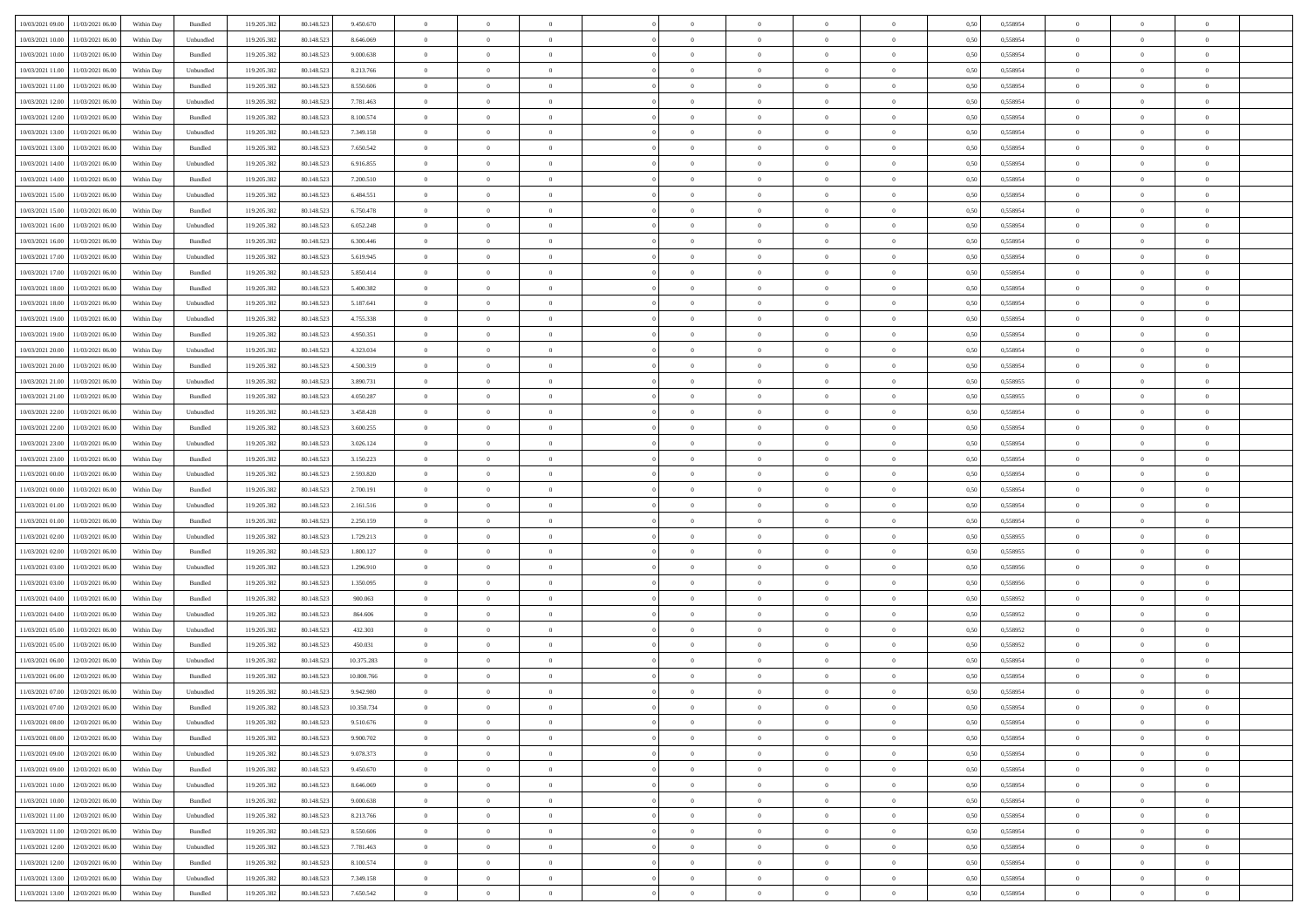| 10/03/2021 09:00 11/03/2021 06:00                                                                                              | Within Day | Bundled            | 119.205.382 | 80.148.523 | 9.450.670  | $\overline{0}$ | $\overline{0}$ |                | $\overline{0}$ | $\theta$       |                | $\theta$       | 0,50 | 0,558954 | $\theta$       | $\theta$       | $\overline{0}$ |  |
|--------------------------------------------------------------------------------------------------------------------------------|------------|--------------------|-------------|------------|------------|----------------|----------------|----------------|----------------|----------------|----------------|----------------|------|----------|----------------|----------------|----------------|--|
|                                                                                                                                |            |                    |             |            |            |                |                |                |                |                |                |                |      |          |                |                |                |  |
| 10/03/2021 10:00<br>11/03/2021 06:00                                                                                           | Within Day | Unbundled          | 119.205.38  | 80.148.52  | 8.646.069  | $\bf{0}$       | $\bf{0}$       | $\bf{0}$       | $\bf{0}$       | $\overline{0}$ | $\overline{0}$ | $\bf{0}$       | 0,50 | 0,558954 | $\,$ 0 $\,$    | $\bf{0}$       | $\overline{0}$ |  |
| 10/03/2021 10:00<br>11/03/2021 06:00                                                                                           | Within Day | Bundled            | 119.205.382 | 80.148.52  | 9.000.638  | $\overline{0}$ | $\bf{0}$       | $\overline{0}$ | $\overline{0}$ | $\overline{0}$ | $\overline{0}$ | $\bf{0}$       | 0.50 | 0.558954 | $\overline{0}$ | $\,$ 0 $\,$    | $\bf{0}$       |  |
| 10/03/2021 11:00<br>11/03/2021 06:00                                                                                           | Within Day | Unbundled          | 119.205.382 | 80.148.523 | 8.213.766  | $\overline{0}$ | $\overline{0}$ | $\overline{0}$ | $\overline{0}$ | $\overline{0}$ | $\overline{0}$ | $\bf{0}$       | 0,50 | 0,558954 | $\,$ 0 $\,$    | $\overline{0}$ | $\overline{0}$ |  |
| 10/03/2021 11:00<br>11/03/2021 06:00                                                                                           | Within Day | Bundled            | 119.205.38  | 80.148.523 | 8.550.606  | $\bf{0}$       | $\bf{0}$       | $\bf{0}$       | $\bf{0}$       | $\bf{0}$       | $\overline{0}$ | $\bf{0}$       | 0,50 | 0,558954 | $\,$ 0 $\,$    | $\bf{0}$       | $\overline{0}$ |  |
| 10/03/2021 12:00<br>11/03/2021 06:00                                                                                           | Within Day | Unbundled          | 119.205.382 | 80.148.523 | 7.781.463  | $\overline{0}$ | $\bf{0}$       | $\overline{0}$ | $\bf{0}$       | $\overline{0}$ | $\overline{0}$ | $\bf{0}$       | 0.50 | 0.558954 | $\,$ 0 $\,$    | $\overline{0}$ | $\overline{0}$ |  |
| 10/03/2021 12:00                                                                                                               |            |                    |             |            |            | $\overline{0}$ | $\bf{0}$       | $\overline{0}$ | $\overline{0}$ | $\overline{0}$ | $\overline{0}$ |                |      |          | $\,$ 0 $\,$    | $\theta$       | $\overline{0}$ |  |
| 11/03/2021 06:00                                                                                                               | Within Day | Bundled            | 119.205.38  | 80.148.523 | 8.100.574  |                |                |                |                |                |                | $\bf{0}$       | 0,50 | 0,558954 |                |                |                |  |
| 10/03/2021 13:00<br>11/03/2021 06:00                                                                                           | Within Day | Unbundled          | 119.205.38  | 80.148.52  | 7.349.158  | $\bf{0}$       | $\bf{0}$       | $\bf{0}$       | $\bf{0}$       | $\overline{0}$ | $\overline{0}$ | $\bf{0}$       | 0,50 | 0,558954 | $\,$ 0 $\,$    | $\bf{0}$       | $\overline{0}$ |  |
| 10/03/2021 13:00<br>11/03/2021 06:00                                                                                           | Within Day | Bundled            | 119,205.38  | 80.148.52  | 7.650.542  | $\overline{0}$ | $\bf{0}$       | $\overline{0}$ | $\bf{0}$       | $\bf{0}$       | $\overline{0}$ | $\bf{0}$       | 0.50 | 0.558954 | $\bf{0}$       | $\overline{0}$ | $\bf{0}$       |  |
| 10/03/2021 14:00<br>11/03/2021 06:00                                                                                           | Within Day | Unbundled          | 119.205.382 | 80.148.523 | 6.916.855  | $\bf{0}$       | $\bf{0}$       | $\overline{0}$ | $\overline{0}$ | $\overline{0}$ | $\overline{0}$ | $\bf{0}$       | 0,50 | 0,558954 | $\,$ 0 $\,$    | $\,$ 0 $\,$    | $\overline{0}$ |  |
| 10/03/2021 14:00<br>11/03/2021 06:00                                                                                           | Within Day | Bundled            | 119.205.38  | 80.148.523 | 7.200.510  | $\bf{0}$       | $\bf{0}$       | $\bf{0}$       | $\bf{0}$       | $\overline{0}$ | $\overline{0}$ | $\bf{0}$       | 0,50 | 0,558954 | $\,$ 0 $\,$    | $\bf{0}$       | $\overline{0}$ |  |
| 10/03/2021 15:00<br>11/03/2021 06:00                                                                                           | Within Day | Unbundled          | 119.205.382 | 80.148.523 | 6.484.551  | $\overline{0}$ | $\bf{0}$       | $\overline{0}$ | $\overline{0}$ | $\overline{0}$ | $\overline{0}$ | $\bf{0}$       | 0.50 | 0.558954 | $\bf{0}$       | $\,$ 0 $\,$    | $\,$ 0         |  |
| 10/03/2021 15:00<br>11/03/2021 06:00                                                                                           | Within Day | Bundled            | 119.205.38  | 80.148.523 | 6.750.478  | $\overline{0}$ | $\bf{0}$       | $\overline{0}$ | $\theta$       | $\theta$       | $\overline{0}$ | $\bf{0}$       | 0,50 | 0,558954 | $\,$ 0 $\,$    | $\,$ 0 $\,$    | $\overline{0}$ |  |
| 10/03/2021 16:00<br>11/03/2021 06:00                                                                                           | Within Day | Unbundled          | 119.205.38  | 80.148.523 | 6.052.248  | $\bf{0}$       | $\bf{0}$       | $\bf{0}$       | $\bf{0}$       | $\overline{0}$ | $\overline{0}$ | $\bf{0}$       | 0,50 | 0,558954 | $\,$ 0 $\,$    | $\bf{0}$       | $\overline{0}$ |  |
|                                                                                                                                |            |                    |             |            |            |                |                |                |                |                |                |                |      |          |                |                |                |  |
| 10/03/2021 16:00<br>11/03/2021 06:00                                                                                           | Within Day | Bundled            | 119.205.382 | 80.148.52  | 6,300,446  | $\overline{0}$ | $\bf{0}$       | $\overline{0}$ | $\bf{0}$       | $\overline{0}$ | $\overline{0}$ | $\bf{0}$       | 0.50 | 0.558954 | $\,$ 0 $\,$    | $\bf{0}$       | $\overline{0}$ |  |
| 10/03/2021 17:00<br>11/03/2021 06:00                                                                                           | Within Day | Unbundled          | 119.205.382 | 80.148.523 | 5.619.945  | $\overline{0}$ | $\bf{0}$       | $\overline{0}$ | $\overline{0}$ | $\overline{0}$ | $\overline{0}$ | $\bf{0}$       | 0,50 | 0,558954 | $\theta$       | $\theta$       | $\overline{0}$ |  |
| 10/03/2021 17:00<br>11/03/2021 06:00                                                                                           | Within Day | Bundled            | 119.205.38  | 80.148.52  | 5.850.414  | $\bf{0}$       | $\bf{0}$       | $\bf{0}$       | $\bf{0}$       | $\overline{0}$ | $\overline{0}$ | $\bf{0}$       | 0,50 | 0,558954 | $\,$ 0 $\,$    | $\bf{0}$       | $\overline{0}$ |  |
| 10/03/2021 18:00<br>11/03/2021 06:00                                                                                           | Within Day | Bundled            | 119,205.38  | 80.148.52  | 5.400.382  | $\overline{0}$ | $\bf{0}$       | $\overline{0}$ | $\bf{0}$       | $\overline{0}$ | $\overline{0}$ | $\bf{0}$       | 0.50 | 0.558954 | $\bf{0}$       | $\overline{0}$ | $\bf{0}$       |  |
| 10/03/2021 18:00<br>11/03/2021 06:00                                                                                           | Within Day | Unbundled          | 119.205.382 | 80.148.523 | 5.187.641  | $\bf{0}$       | $\bf{0}$       | $\overline{0}$ | $\overline{0}$ | $\overline{0}$ | $\overline{0}$ | $\bf{0}$       | 0,50 | 0,558954 | $\,$ 0 $\,$    | $\bf{0}$       | $\overline{0}$ |  |
| 10/03/2021 19:00<br>11/03/2021 06:00                                                                                           | Within Day | Unbundled          | 119.205.38  | 80.148.52  | 4.755.338  | $\bf{0}$       | $\bf{0}$       | $\bf{0}$       | $\bf{0}$       | $\overline{0}$ | $\overline{0}$ | $\bf{0}$       | 0,50 | 0,558954 | $\,$ 0 $\,$    | $\bf{0}$       | $\overline{0}$ |  |
| 10/03/2021 19:00<br>11/03/2021 06:00                                                                                           | Within Day | Bundled            | 119.205.382 | 80.148.523 | 4.950.351  | $\overline{0}$ | $\bf{0}$       | $\overline{0}$ | $\overline{0}$ | $\overline{0}$ | $\overline{0}$ | $\bf{0}$       | 0.50 | 0.558954 | $\bf{0}$       | $\,$ 0 $\,$    | $\,$ 0         |  |
|                                                                                                                                |            |                    |             |            |            | $\overline{0}$ | $\overline{0}$ | $\overline{0}$ | $\overline{0}$ | $\theta$       | $\overline{0}$ |                |      |          | $\theta$       | $\theta$       |                |  |
| 10/03/2021 20:00<br>11/03/2021 06:00                                                                                           | Within Day | Unbundled          | 119.205.382 | 80.148.523 | 4.323.034  |                |                |                |                |                |                | $\bf{0}$       | 0,50 | 0,558954 |                |                | $\overline{0}$ |  |
| 10/03/2021 20:00<br>11/03/2021 06:00                                                                                           | Within Day | Bundled            | 119.205.38  | 80.148.523 | 4.500.319  | $\bf{0}$       | $\bf{0}$       | $\bf{0}$       | $\bf{0}$       | $\overline{0}$ | $\overline{0}$ | $\bf{0}$       | 0,50 | 0,558954 | $\,$ 0 $\,$    | $\bf{0}$       | $\overline{0}$ |  |
| 10/03/2021 21:00<br>11/03/2021 06:00                                                                                           | Within Day | Unbundled          | 119.205.382 | 80.148.523 | 3.890.731  | $\overline{0}$ | $\bf{0}$       | $\overline{0}$ | $\bf{0}$       | $\overline{0}$ | $\overline{0}$ | $\bf{0}$       | 0.50 | 0.558955 | $\,$ 0 $\,$    | $\overline{0}$ | $\overline{0}$ |  |
| 10/03/2021 21:00<br>11/03/2021 06:00                                                                                           | Within Day | Bundled            | 119.205.382 | 80.148.523 | 4.050.287  | $\overline{0}$ | $\overline{0}$ | $\overline{0}$ | $\overline{0}$ | $\overline{0}$ | $\overline{0}$ | $\bf{0}$       | 0,50 | 0,558955 | $\,$ 0 $\,$    | $\theta$       | $\overline{0}$ |  |
| 10/03/2021 22:00<br>11/03/2021 06:00                                                                                           | Within Day | Unbundled          | 119.205.38  | 80.148.52  | 3.458.428  | $\bf{0}$       | $\overline{0}$ | $\bf{0}$       | $\bf{0}$       | $\overline{0}$ | $\overline{0}$ | $\bf{0}$       | 0,50 | 0,558954 | $\,$ 0 $\,$    | $\bf{0}$       | $\overline{0}$ |  |
| 10/03/2021 22:00<br>11/03/2021 06:00                                                                                           | Within Day | Bundled            | 119,205.38  | 80.148.52  | 3.600.255  | $\overline{0}$ | $\bf{0}$       | $\overline{0}$ | $\bf{0}$       | $\bf{0}$       | $\overline{0}$ | $\bf{0}$       | 0.50 | 0.558954 | $\bf{0}$       | $\overline{0}$ | $\bf{0}$       |  |
| 10/03/2021 23:00<br>11/03/2021 06:00                                                                                           | Within Day | Unbundled          | 119.205.382 | 80.148.523 | 3.026.124  | $\overline{0}$ | $\bf{0}$       | $\overline{0}$ | $\overline{0}$ | $\overline{0}$ | $\overline{0}$ | $\bf{0}$       | 0,50 | 0,558954 | $\theta$       | $\,$ 0 $\,$    | $\overline{0}$ |  |
| 10/03/2021 23:00<br>11/03/2021 06:00                                                                                           | Within Day | Bundled            | 119.205.38  | 80.148.523 | 3.150.223  | $\bf{0}$       | $\bf{0}$       | $\bf{0}$       | $\bf{0}$       | $\overline{0}$ | $\overline{0}$ | $\bf{0}$       | 0,50 | 0,558954 | $\,$ 0 $\,$    | $\bf{0}$       | $\overline{0}$ |  |
|                                                                                                                                |            |                    |             |            |            |                |                |                |                |                |                |                |      |          |                |                |                |  |
| 11/03/2021 00:00<br>11/03/2021 06:00                                                                                           | Within Day | Unbundled          | 119.205.382 | 80.148.52  | 2.593.820  | $\overline{0}$ | $\bf{0}$       | $\overline{0}$ | $\overline{0}$ | $\overline{0}$ | $\overline{0}$ | $\bf{0}$       | 0.50 | 0.558954 | $\bf{0}$       | $\,$ 0 $\,$    | $\,$ 0         |  |
| 11/03/2021 00:00<br>11/03/2021 06:00                                                                                           | Within Day | Bundled            | 119.205.382 | 80.148.52  | 2.700.191  | $\overline{0}$ | $\overline{0}$ | $\overline{0}$ | $\overline{0}$ | $\overline{0}$ | $\overline{0}$ | $\bf{0}$       | 0.50 | 0.558954 | $\theta$       | $\theta$       | $\overline{0}$ |  |
| 11/03/2021 01:00<br>11/03/2021 06:00                                                                                           | Within Day | Unbundled          | 119.205.38  | 80.148.52  | 2.161.516  | $\bf{0}$       | $\bf{0}$       | $\bf{0}$       | $\bf{0}$       | $\overline{0}$ | $\overline{0}$ | $\bf{0}$       | 0,50 | 0,558954 | $\,$ 0 $\,$    | $\bf{0}$       | $\overline{0}$ |  |
| 11/03/2021 01:00<br>11/03/2021 06:00                                                                                           | Within Day | Bundled            | 119.205.382 | 80.148.52  | 2.250.159  | $\overline{0}$ | $\bf{0}$       | $\overline{0}$ | $\bf{0}$       | $\overline{0}$ | $\overline{0}$ | $\bf{0}$       | 0.50 | 0.558954 | $\,$ 0 $\,$    | $\bf{0}$       | $\overline{0}$ |  |
| 11/03/2021 02:00<br>11/03/2021 06:00                                                                                           | Within Dav | Unbundled          | 119.205.38  | 80.148.52  | 1.729.213  | $\overline{0}$ | $\overline{0}$ | $\overline{0}$ | $\overline{0}$ | $\overline{0}$ | $\overline{0}$ | $\bf{0}$       | 0.50 | 0,558955 | $\theta$       | $\theta$       | $\overline{0}$ |  |
| 11/03/2021 02:00<br>11/03/2021 06:00                                                                                           | Within Day | Bundled            | 119.205.38  | 80.148.52  | 1.800.127  | $\bf{0}$       | $\bf{0}$       | $\bf{0}$       | $\bf{0}$       | $\overline{0}$ | $\overline{0}$ | $\bf{0}$       | 0,50 | 0,558955 | $\,$ 0 $\,$    | $\bf{0}$       | $\overline{0}$ |  |
| 11/03/2021 03:00<br>11/03/2021 06:00                                                                                           | Within Day | Unbundled          | 119,205.38  | 80.148.52  | 1.296.910  | $\overline{0}$ | $\bf{0}$       | $\overline{0}$ | $\bf{0}$       | $\bf{0}$       | $\overline{0}$ | $\bf{0}$       | 0.50 | 0.558956 | $\bf{0}$       | $\overline{0}$ | $\bf{0}$       |  |
| 11/03/2021 03:00<br>11/03/2021 06:00                                                                                           | Within Day | Bundled            | 119.205.38  | 80.148.52  | 1.350.095  | $\overline{0}$ | $\overline{0}$ | $\overline{0}$ | $\overline{0}$ | $\overline{0}$ | $\overline{0}$ | $\bf{0}$       | 0.50 | 0,558956 | $\theta$       | $\overline{0}$ | $\overline{0}$ |  |
| 11/03/2021 06:00                                                                                                               | Within Day | Bundled            |             | 80.148.52  | 900.063    | $\bf{0}$       | $\bf{0}$       | $\bf{0}$       | $\bf{0}$       | $\overline{0}$ | $\bf{0}$       | $\bf{0}$       | 0,50 | 0,558952 | $\,$ 0 $\,$    | $\bf{0}$       | $\overline{0}$ |  |
| 11/03/2021 04:00                                                                                                               |            |                    | 119.205.38  |            |            |                |                |                |                |                |                |                |      |          |                |                |                |  |
| 11/03/2021 04:00<br>11/03/2021 06:00                                                                                           | Within Day | Unbundled          | 119.205.382 | 80.148.52  | 864,606    | $\overline{0}$ | $\bf{0}$       | $\overline{0}$ | $\overline{0}$ | $\bf{0}$       | $\overline{0}$ | $\bf{0}$       | 0.50 | 0.558952 | $\bf{0}$       | $\,$ 0 $\,$    | $\,$ 0         |  |
| 11/03/2021 05:00<br>11/03/2021 06:00                                                                                           | Within Day | Unbundled          | 119.205.382 | 80.148.52  | 432.303    | $\overline{0}$ | $\overline{0}$ | $\overline{0}$ | $\overline{0}$ | $\overline{0}$ | $\overline{0}$ | $\bf{0}$       | 0.50 | 0,558952 | $\theta$       | $\theta$       | $\overline{0}$ |  |
| 11/03/2021 05:00<br>11/03/2021 06:00                                                                                           | Within Day | Bundled            | 119.205.38  | 80.148.523 | 450.031    | $\bf{0}$       | $\bf{0}$       | $\bf{0}$       | $\overline{0}$ | $\overline{0}$ | $\overline{0}$ | $\bf{0}$       | 0,50 | 0,558952 | $\,$ 0 $\,$    | $\bf{0}$       | $\overline{0}$ |  |
| 11/03/2021 06:00<br>12/03/2021 06:00                                                                                           | Within Day | Unbundled          | 119.205.382 | 80.148.523 | 10.375.283 | $\overline{0}$ | $\bf{0}$       | $\overline{0}$ | $\bf{0}$       | $\overline{0}$ | $\overline{0}$ | $\bf{0}$       | 0.50 | 0.558954 | $\bf{0}$       | $\bf{0}$       | $\overline{0}$ |  |
| 11/03/2021 06:00<br>12/03/2021 06:00                                                                                           | Within Day | Bundled            | 119.205.38  | 80.148.52  | 10.800.766 | $\overline{0}$ | $\overline{0}$ | $\overline{0}$ | $\overline{0}$ | $\theta$       | $\overline{0}$ | $\overline{0}$ | 0.5( | 0,558954 | $\theta$       | $\theta$       | $\overline{0}$ |  |
| 11/03/2021 07:00<br>12/03/2021 06:00                                                                                           | Within Day | Unbundled          | 119.205.38  | 80.148.52  | 9.942.980  | $\bf{0}$       | $\bf{0}$       | $\bf{0}$       | $\bf{0}$       | $\overline{0}$ | $\overline{0}$ | $\bf{0}$       | 0,50 | 0,558954 | $\overline{0}$ | $\overline{0}$ | $\overline{0}$ |  |
| $\begin{tabular}{ c c c c c } \hline & \multicolumn{1}{ c }{11/03/2021} & 07.00 & 12/03/2021} & 06.00 \\ \hline \end{tabular}$ | Within Day | $\mathbf B$ undled | 119.205.382 | 80.148.523 | 10.350.734 | $\bf{0}$       | $\bf{0}$       |                | $\overline{0}$ | $\bf{0}$       |                | $\bf{0}$       | 0,50 | 0.558954 | $\bf{0}$       | $\bf{0}$       |                |  |
| 11/03/2021 08:00 12/03/2021 06:00                                                                                              | Within Day | Unbundled          | 119.205.382 | 80.148.523 | 9.510.676  | $\overline{0}$ | $\overline{0}$ | $\Omega$       | $\overline{0}$ | $\overline{0}$ | $\overline{0}$ | $\bf{0}$       | 0,50 | 0,558954 | $\theta$       | $\overline{0}$ | $\overline{0}$ |  |
|                                                                                                                                |            |                    |             |            |            |                |                |                |                |                |                |                |      |          |                |                |                |  |
| 11/03/2021 08:00<br>12/03/2021 06:00                                                                                           | Within Day | Bundled            | 119.205.38  | 80.148.523 | 9.900.702  | $\overline{0}$ | $\bf{0}$       | $\overline{0}$ | $\overline{0}$ | $\bf{0}$       | $\overline{0}$ | $\bf{0}$       | 0,50 | 0,558954 | $\bf{0}$       | $\overline{0}$ | $\bf{0}$       |  |
| 11/03/2021 09:00 12/03/2021 06:00                                                                                              | Within Day | Unbundled          | 119.205.382 | 80.148.523 | 9.078.373  | $\overline{0}$ | $\bf{0}$       | $\overline{0}$ | $\overline{0}$ | $\mathbf{0}$   | $\overline{0}$ | $\,$ 0 $\,$    | 0.50 | 0.558954 | $\overline{0}$ | $\bf{0}$       | $\bf{0}$       |  |
| 11/03/2021 09:00 12/03/2021 06:00                                                                                              | Within Dav | Bundled            | 119.205.382 | 80.148.523 | 9.450.670  | $\overline{0}$ | $\overline{0}$ | $\overline{0}$ | $\overline{0}$ | $\overline{0}$ | $\overline{0}$ | $\bf{0}$       | 0,50 | 0,558954 | $\overline{0}$ | $\theta$       | $\overline{0}$ |  |
| 11/03/2021 10:00<br>12/03/2021 06:00                                                                                           | Within Day | Unbundled          | 119.205.382 | 80.148.523 | 8.646.069  | $\overline{0}$ | $\bf{0}$       | $\overline{0}$ | $\overline{0}$ | $\bf{0}$       | $\overline{0}$ | $\bf{0}$       | 0,50 | 0,558954 | $\bf{0}$       | $\overline{0}$ | $\overline{0}$ |  |
| 11/03/2021 10:00<br>12/03/2021 06:00                                                                                           | Within Day | Bundled            | 119.205.382 | 80.148.523 | 9.000.638  | $\overline{0}$ | $\bf{0}$       | $\overline{0}$ | $\overline{0}$ | $\bf{0}$       | $\overline{0}$ | $\bf{0}$       | 0.50 | 0.558954 | $\,$ 0 $\,$    | $\overline{0}$ | $\,$ 0         |  |
| 11/03/2021 11:00<br>12/03/2021 06:00                                                                                           | Within Dav | Unbundled          | 119.205.382 | 80.148.523 | 8.213.766  | $\overline{0}$ | $\overline{0}$ | $\overline{0}$ | $\overline{0}$ | $\overline{0}$ | $\overline{0}$ | $\bf{0}$       | 0.50 | 0,558954 | $\overline{0}$ | $\theta$       | $\overline{0}$ |  |
| 11/03/2021 11:00<br>12/03/2021 06:00                                                                                           | Within Day | Bundled            | 119.205.38  | 80.148.523 | 8.550.606  | $\overline{0}$ | $\overline{0}$ | $\overline{0}$ | $\overline{0}$ | $\overline{0}$ | $\overline{0}$ | $\bf{0}$       | 0,50 | 0,558954 | $\bf{0}$       | $\overline{0}$ | $\overline{0}$ |  |
| 11/03/2021 12:00 12/03/2021 06:00                                                                                              |            | Unbundled          | 119.205.382 | 80.148.523 | 7.781.463  |                | $\overline{0}$ | $\overline{0}$ |                |                | $\overline{0}$ |                | 0.50 | 0.558954 |                |                | $\,$ 0         |  |
|                                                                                                                                | Within Day |                    |             |            |            | $\overline{0}$ |                |                | $\overline{0}$ | $\overline{0}$ |                | $\bf{0}$       |      |          | $\mathbf{0}$   | $\bf{0}$       |                |  |
| 11/03/2021 12:00 12/03/2021 06:00                                                                                              | Within Dav | Bundled            | 119.205.382 | 80.148.523 | 8.100.574  | $\overline{0}$ | $\overline{0}$ | $\overline{0}$ | $\overline{0}$ | $\overline{0}$ | $\overline{0}$ | $\bf{0}$       | 0,50 | 0,558954 | $\overline{0}$ | $\theta$       | $\overline{0}$ |  |
| 11/03/2021 13:00<br>12/03/2021 06:00                                                                                           | Within Day | Unbundled          | 119.205.38  | 80.148.523 | 7.349.158  | $\overline{0}$ | $\bf{0}$       | $\overline{0}$ | $\bf{0}$       | $\overline{0}$ | $\overline{0}$ | $\bf{0}$       | 0,50 | 0,558954 | $\bf{0}$       | $\overline{0}$ | $\bf{0}$       |  |
| 11/03/2021 13:00 12/03/2021 06:00                                                                                              | Within Day | Bundled            | 119.205.382 | 80.148.523 | 7.650.542  | $\,$ 0 $\,$    | $\bf{0}$       | $\overline{0}$ | $\overline{0}$ | $\,$ 0 $\,$    | $\overline{0}$ | $\bf{0}$       | 0,50 | 0,558954 | $\overline{0}$ | $\,$ 0 $\,$    | $\,$ 0 $\,$    |  |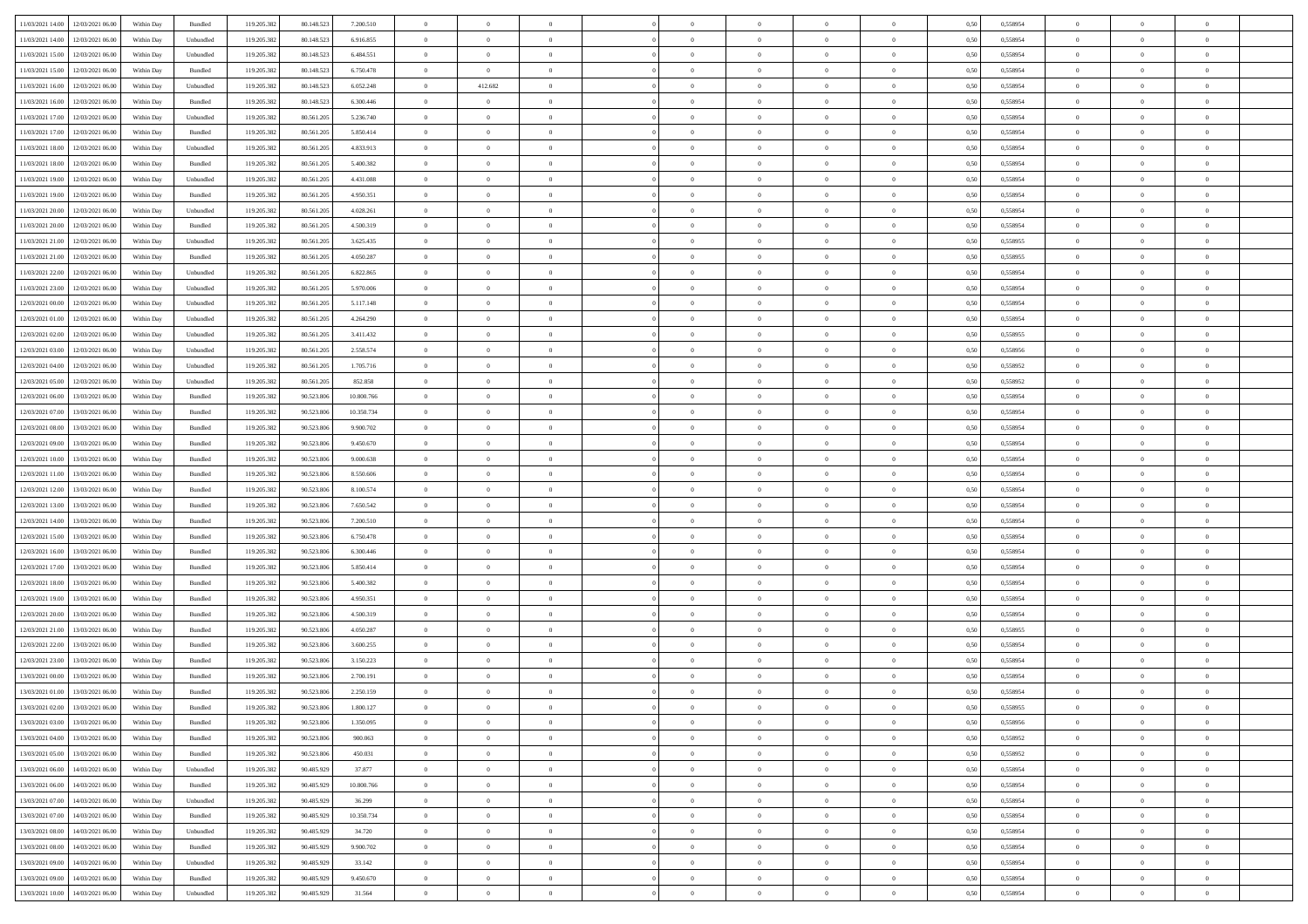| 11/03/2021 14:00                  | 12/03/2021 06:00 | Within Day | Bundled   | 119.205.382 | 80.148.523 | 7.200.510  | $\overline{0}$ | $\overline{0}$ |                |                | $\overline{0}$ | $\overline{0}$ | $\overline{0}$ | 0,50 | 0,558954 | $\,0\,$           | $\overline{0}$ | $\bf{0}$       |  |
|-----------------------------------|------------------|------------|-----------|-------------|------------|------------|----------------|----------------|----------------|----------------|----------------|----------------|----------------|------|----------|-------------------|----------------|----------------|--|
|                                   |                  |            |           |             |            |            | $\overline{0}$ | $\overline{0}$ | $\overline{0}$ | $\overline{0}$ | $\bf{0}$       |                | $\bf{0}$       |      |          | $\bf{0}$          | $\overline{0}$ | $\,$ 0         |  |
| 11/03/2021 14:00                  | 12/03/2021 06:00 | Within Day | Unbundled | 119.205.382 | 80.148.523 | 6.916.855  |                |                |                |                |                | $\overline{0}$ |                | 0,50 | 0,558954 |                   |                |                |  |
| 11/03/2021 15:00                  | 12/03/2021 06:00 | Within Day | Unbundled | 119.205.382 | 80.148.523 | 6.484.551  | $\overline{0}$ | $\overline{0}$ | $\overline{0}$ | $\overline{0}$ | $\bf{0}$       | $\overline{0}$ | $\mathbf{0}$   | 0.50 | 0.558954 | $\bf{0}$          | $\bf{0}$       | $\bf{0}$       |  |
| 11/03/2021 15:00                  | 12/03/2021 06:00 | Within Day | Bundled   | 119.205.382 | 80.148.523 | 6.750.478  | $\overline{0}$ | $\overline{0}$ | $\overline{0}$ | $\overline{0}$ | $\,$ 0 $\,$    | $\overline{0}$ | $\theta$       | 0,50 | 0,558954 | $\,0\,$           | $\overline{0}$ | $\overline{0}$ |  |
| 11/03/2021 16:00                  | 12/03/2021 06:00 | Within Day | Unbundled | 119.205.382 | 80.148.523 | 6.052.248  | $\overline{0}$ | 412.682        | $\overline{0}$ |                | $\bf{0}$       | $\overline{0}$ | $\bf{0}$       | 0,50 | 0,558954 | $\bf{0}$          | $\overline{0}$ | $\,$ 0         |  |
| 11/03/2021 16:00                  | 12/03/2021 06:00 | Within Day | Bundled   | 119.205.382 | 80.148.523 | 6.300.446  | $\overline{0}$ | $\overline{0}$ | $\overline{0}$ | $\Omega$       | $\bf{0}$       | $\overline{0}$ | $\bf{0}$       | 0.50 | 0.558954 | $\bf{0}$          | $\overline{0}$ | $\bf{0}$       |  |
| 11/03/2021 17:00                  | 12/03/2021 06:00 | Within Day | Unbundled | 119.205.382 | 80.561.205 | 5.236.740  | $\overline{0}$ | $\overline{0}$ | $\overline{0}$ | $\overline{0}$ | $\,$ 0 $\,$    | $\overline{0}$ | $\overline{0}$ | 0,50 | 0,558954 | $\,0\,$           | $\overline{0}$ | $\bf{0}$       |  |
| 11/03/2021 17:00                  | 12/03/2021 06:00 | Within Day | Bundled   | 119.205.382 | 80.561.205 | 5.850.414  | $\overline{0}$ | $\overline{0}$ | $\overline{0}$ |                | $\bf{0}$       | $\overline{0}$ | $\bf{0}$       | 0,50 | 0,558954 | $\bf{0}$          | $\overline{0}$ | $\bf{0}$       |  |
| 11/03/2021 18:00                  | 12/03/2021 06:00 | Within Day | Unbundled | 119.205.382 | 80.561.205 | 4.833.913  | $\overline{0}$ | $\bf{0}$       | $\overline{0}$ | $\overline{0}$ | $\bf{0}$       | $\overline{0}$ | $\bf{0}$       | 0.50 | 0.558954 | $\bf{0}$          | $\bf{0}$       | $\bf{0}$       |  |
|                                   |                  |            |           |             |            |            |                |                |                |                |                |                |                |      |          |                   |                |                |  |
| 11/03/2021 18:00                  | 12/03/2021 06:00 | Within Day | Bundled   | 119.205.382 | 80.561.205 | 5.400.382  | $\overline{0}$ | $\bf{0}$       | $\overline{0}$ | $\overline{0}$ | $\,$ 0 $\,$    | $\overline{0}$ | $\overline{0}$ | 0,50 | 0,558954 | $\,0\,$           | $\overline{0}$ | $\bf{0}$       |  |
| 11/03/2021 19:00                  | 12/03/2021 06:00 | Within Day | Unbundled | 119.205.382 | 80.561.205 | 4.431.088  | $\overline{0}$ | $\overline{0}$ | $\overline{0}$ |                | $\bf{0}$       | $\overline{0}$ | $\bf{0}$       | 0,50 | 0,558954 | $\bf{0}$          | $\overline{0}$ | $\bf{0}$       |  |
| 11/03/2021 19:00                  | 12/03/2021 06:00 | Within Day | Bundled   | 119.205.382 | 80.561.205 | 4.950.351  | $\overline{0}$ | $\overline{0}$ | $\overline{0}$ | $\overline{0}$ | $\,$ 0         | $\overline{0}$ | $\overline{0}$ | 0.50 | 0.558954 | $\,$ 0 $\,$       | $\bf{0}$       | $\bf{0}$       |  |
| 11/03/2021 20:00                  | 12/03/2021 06:00 | Within Day | Unbundled | 119.205.382 | 80.561.205 | 4.028.261  | $\overline{0}$ | $\overline{0}$ | $\overline{0}$ | $\overline{0}$ | $\bf{0}$       | $\overline{0}$ | $\theta$       | 0,50 | 0,558954 | $\,0\,$           | $\overline{0}$ | $\,$ 0 $\,$    |  |
| 11/03/2021 20:00                  | 12/03/2021 06:00 | Within Day | Bundled   | 119.205.382 | 80.561.205 | 4.500.319  | $\overline{0}$ | $\bf{0}$       | $\overline{0}$ |                | $\bf{0}$       | $\overline{0}$ | $\bf{0}$       | 0,50 | 0,558954 | $\bf{0}$          | $\overline{0}$ | $\,$ 0         |  |
| 11/03/2021 21:00                  | 12/03/2021 06:00 | Within Day | Unbundled | 119.205.382 | 80.561.205 | 3.625.435  | $\overline{0}$ | $\overline{0}$ | $\overline{0}$ | $\Omega$       | $\bf{0}$       | $\overline{0}$ | $\bf{0}$       | 0.50 | 0.558955 | $\bf{0}$          | $\overline{0}$ | $\bf{0}$       |  |
| 11/03/2021 21:00                  | 12/03/2021 06:00 | Within Day | Bundled   | 119.205.382 | 80.561.205 | 4.050.287  | $\overline{0}$ | $\overline{0}$ | $\overline{0}$ | $\overline{0}$ | $\bf{0}$       | $\overline{0}$ | $\overline{0}$ | 0,50 | 0,558955 | $\,0\,$           | $\overline{0}$ | $\bf{0}$       |  |
|                                   |                  |            |           |             |            |            |                |                |                |                |                |                |                |      |          |                   |                |                |  |
| 11/03/2021 22:00                  | 12/03/2021 06:00 | Within Day | Unbundled | 119.205.382 | 80.561.205 | 6.822.865  | $\overline{0}$ | $\overline{0}$ | $\overline{0}$ |                | $\bf{0}$       | $\overline{0}$ | $\bf{0}$       | 0,50 | 0,558954 | $\bf{0}$          | $\overline{0}$ | $\bf{0}$       |  |
| 11/03/2021 23:00                  | 12/03/2021 06:00 | Within Day | Unbundled | 119.205.382 | 80.561.205 | 5.970.006  | $\overline{0}$ | $\overline{0}$ | $\overline{0}$ | $\overline{0}$ | $\bf{0}$       | $\overline{0}$ | $\bf{0}$       | 0.50 | 0.558954 | $\bf{0}$          | $\bf{0}$       | $\bf{0}$       |  |
| 12/03/2021 00:00                  | 12/03/2021 06:00 | Within Day | Unbundled | 119.205.382 | 80.561.205 | 5.117.148  | $\overline{0}$ | $\overline{0}$ | $\overline{0}$ | $\overline{0}$ | $\bf{0}$       | $\overline{0}$ | $\overline{0}$ | 0,50 | 0,558954 | $\,0\,$           | $\overline{0}$ | $\bf{0}$       |  |
| 12/03/2021 01:00                  | 12/03/2021 06:00 | Within Day | Unbundled | 119.205.382 | 80.561.205 | 4.264.290  | $\overline{0}$ | $\overline{0}$ | $\overline{0}$ | $\overline{0}$ | $\bf{0}$       | $\overline{0}$ | $\bf{0}$       | 0,50 | 0,558954 | $\bf{0}$          | $\overline{0}$ | $\bf{0}$       |  |
| 12/03/2021 02:00                  | 12/03/2021 06:00 | Within Day | Unbundled | 119.205.382 | 80.561.205 | 3.411.432  | $\overline{0}$ | $\overline{0}$ | $\overline{0}$ | $\overline{0}$ | $\,$ 0         | $\overline{0}$ | $\mathbf{0}$   | 0.50 | 0.558955 | $\bf{0}$          | $\bf{0}$       | $\bf{0}$       |  |
| 12/03/2021 03:00                  | 12/03/2021 06:00 | Within Day | Unbundled | 119.205.382 | 80.561.205 | 2.558.574  | $\overline{0}$ | $\overline{0}$ | $\overline{0}$ | $\overline{0}$ | $\bf{0}$       | $\overline{0}$ | $\theta$       | 0,50 | 0,558956 | $\,0\,$           | $\overline{0}$ | $\,$ 0 $\,$    |  |
| 12/03/2021 04:00                  | 12/03/2021 06:00 | Within Day | Unbundled | 119.205.382 | 80.561.205 | 1.705.716  | $\overline{0}$ | $\overline{0}$ | $\overline{0}$ |                | $\bf{0}$       | $\overline{0}$ | $\bf{0}$       | 0,50 | 0,558952 | $\bf{0}$          | $\overline{0}$ | $\bf{0}$       |  |
|                                   |                  |            |           |             |            |            |                |                |                |                |                |                |                |      |          |                   |                |                |  |
| 12/03/2021 05:00                  | 12/03/2021 06:00 | Within Day | Unbundled | 119.205.382 | 80.561.205 | 852.858    | $\overline{0}$ | $\overline{0}$ | $\overline{0}$ | $\Omega$       | $\bf{0}$       | $\overline{0}$ | $\bf{0}$       | 0.50 | 0.558952 | $\bf{0}$          | $\overline{0}$ | $\bf{0}$       |  |
| 12/03/2021 06:00                  | 13/03/2021 06:00 | Within Day | Bundled   | 119.205.382 | 90.523.806 | 10.800.766 | $\overline{0}$ | $\overline{0}$ | $\overline{0}$ | $\overline{0}$ | $\bf{0}$       | $\overline{0}$ | $\bf{0}$       | 0,50 | 0,558954 | $\,0\,$           | $\overline{0}$ | $\bf{0}$       |  |
| 12/03/2021 07:00                  | 13/03/2021 06.00 | Within Day | Bundled   | 119.205.382 | 90.523.806 | 10.350.734 | $\overline{0}$ | $\bf{0}$       | $\overline{0}$ |                | $\bf{0}$       | $\overline{0}$ | $\bf{0}$       | 0,50 | 0,558954 | $\bf{0}$          | $\overline{0}$ | $\,$ 0         |  |
| 12/03/2021 08:00                  | 13/03/2021 06:00 | Within Day | Bundled   | 119.205.382 | 90.523.806 | 9.900.702  | $\overline{0}$ | $\bf{0}$       | $\overline{0}$ | $\overline{0}$ | $\bf{0}$       | $\overline{0}$ | $\bf{0}$       | 0.50 | 0.558954 | $\bf{0}$          | $\bf{0}$       | $\bf{0}$       |  |
| 12/03/2021 09:00                  | 13/03/2021 06:00 | Within Day | Bundled   | 119.205.382 | 90.523.806 | 9.450.670  | $\overline{0}$ | $\overline{0}$ | $\overline{0}$ | $\overline{0}$ | $\bf{0}$       | $\overline{0}$ | $\bf{0}$       | 0,50 | 0,558954 | $\,0\,$           | $\overline{0}$ | $\bf{0}$       |  |
| 12/03/2021 10:00                  | 13/03/2021 06:00 | Within Day | Bundled   | 119.205.382 | 90.523.806 | 9.000.638  | $\overline{0}$ | $\overline{0}$ | $\overline{0}$ | $\overline{0}$ | $\overline{0}$ | $\overline{0}$ | $\bf{0}$       | 0,50 | 0,558954 | $\bf{0}$          | $\bf{0}$       | $\bf{0}$       |  |
| 12/03/2021 11:00                  | 13/03/2021 06:00 | Within Day | Bundled   | 119.205.382 | 90.523.806 | 8.550.606  | $\overline{0}$ | $\overline{0}$ | $\overline{0}$ | $\overline{0}$ | $\,$ 0         | $\overline{0}$ | $\overline{0}$ | 0.50 | 0.558954 | $\,$ 0 $\,$       | $\bf{0}$       | $\bf{0}$       |  |
| 12/03/2021 12:00                  | 13/03/2021 06:00 | Within Dav | Bundled   | 119.205.382 | 90.523.806 | 8.100.574  | $\overline{0}$ | $\overline{0}$ | $\overline{0}$ | $\Omega$       | $\theta$       | $\overline{0}$ | $\bf{0}$       | 0,50 | 0,558954 | $\mathbf{0}$      | $\overline{0}$ | $\overline{0}$ |  |
|                                   |                  |            |           |             |            |            |                |                |                |                |                |                |                |      |          |                   |                |                |  |
| 12/03/2021 13:00                  | 13/03/2021 06:00 | Within Day | Bundled   | 119.205.382 | 90.523.806 | 7.650.542  | $\overline{0}$ | $\overline{0}$ | $\overline{0}$ |                | $\bf{0}$       | $\overline{0}$ | $\bf{0}$       | 0,50 | 0,558954 | $\bf{0}$          | $\overline{0}$ | $\bf{0}$       |  |
| 12/03/2021 14:00                  | 13/03/2021 06:00 | Within Day | Bundled   | 119.205.382 | 90.523.806 | 7.200.510  | $\overline{0}$ | $\overline{0}$ | $\overline{0}$ | $\Omega$       | $\bf{0}$       | $\overline{0}$ | $\bf{0}$       | 0.50 | 0.558954 | $\bf{0}$          | $\overline{0}$ | $\bf{0}$       |  |
| 12/03/2021 15:00                  | 13/03/2021 06:00 | Within Dav | Bundled   | 119.205.382 | 90.523.806 | 6.750.478  | $\overline{0}$ | $\overline{0}$ | $\theta$       | $\Omega$       | $\theta$       | $\overline{0}$ | $\bf{0}$       | 0,50 | 0,558954 | $\mathbf{0}$      | $\theta$       | $\overline{0}$ |  |
| 12/03/2021 16:00                  | 13/03/2021 06.00 | Within Day | Bundled   | 119.205.382 | 90.523.806 | 6.300.446  | $\overline{0}$ | $\overline{0}$ | $\overline{0}$ |                | $\bf{0}$       | $\overline{0}$ | $\bf{0}$       | 0,50 | 0,558954 | $\bf{0}$          | $\overline{0}$ | $\bf{0}$       |  |
| 12/03/2021 17:00                  | 13/03/2021 06:00 | Within Day | Bundled   | 119.205.382 | 90.523.806 | 5.850.414  | $\overline{0}$ | $\bf{0}$       | $\overline{0}$ | $\overline{0}$ | $\bf{0}$       | $\overline{0}$ | $\bf{0}$       | 0.50 | 0.558954 | $\bf{0}$          | $\bf{0}$       | $\bf{0}$       |  |
| 12/03/2021 18:00                  | 13/03/2021 06:00 | Within Dav | Bundled   | 119.205.382 | 90.523.806 | 5.400.382  | $\overline{0}$ | $\overline{0}$ | $\overline{0}$ | $\Omega$       | $\overline{0}$ | $\overline{0}$ | $\bf{0}$       | 0,50 | 0,558954 | $\mathbf{0}$      | $\overline{0}$ | $\overline{0}$ |  |
| 12/03/2021 19:00                  | 13/03/2021 06:00 | Within Day | Bundled   | 119.205.382 | 90.523.806 | 4.950.351  | $\overline{0}$ | $\overline{0}$ | $\overline{0}$ | $\overline{0}$ | $\overline{0}$ | $\overline{0}$ | $\bf{0}$       | 0,50 | 0,558954 | $\bf{0}$          | $\overline{0}$ | $\bf{0}$       |  |
| 12/03/2021 20:00                  | 13/03/2021 06:00 | Within Day | Bundled   | 119.205.382 | 90.523.806 | 4.500.319  | $\overline{0}$ | $\overline{0}$ | $\overline{0}$ | $\overline{0}$ | $\,$ 0         | $\overline{0}$ | $\mathbf{0}$   | 0.50 | 0.558954 | $\bf{0}$          | $\bf{0}$       | $\bf{0}$       |  |
|                                   |                  |            |           |             |            |            |                |                |                |                |                |                |                |      |          |                   |                |                |  |
| 12/03/2021 21:00                  | 13/03/2021 06:00 | Within Dav | Bundled   | 119.205.382 | 90.523.806 | 4.050.287  | $\overline{0}$ | $\overline{0}$ | $\overline{0}$ | $\Omega$       | $\theta$       | $\overline{0}$ | $\bf{0}$       | 0,50 | 0,558955 | $\mathbf{0}$      | $\theta$       | $\overline{0}$ |  |
| 12/03/2021 22:00                  | 13/03/2021 06:00 | Within Day | Bundled   | 119.205.382 | 90.523.806 | 3.600.255  | $\overline{0}$ | $\overline{0}$ | $\overline{0}$ | $\overline{0}$ | $\bf{0}$       | $\overline{0}$ | $\bf{0}$       | 0,50 | 0,558954 | $\bf{0}$          | $\overline{0}$ | $\bf{0}$       |  |
| 12/03/2021 23:00                  | 13/03/2021 06:00 | Within Day | Bundled   | 119.205.382 | 90.523.806 | 3.150.223  | $\overline{0}$ | $\overline{0}$ | $\overline{0}$ | $\Omega$       | $\bf{0}$       | $\overline{0}$ | $\bf{0}$       | 0.50 | 0.558954 | $\bf{0}$          | $\overline{0}$ | $\bf{0}$       |  |
| 13/03/2021 00:00                  | 13/03/2021 06:00 | Within Dav | Bundled   | 119.205.382 | 90.523.806 | 2.700.191  | $\overline{0}$ | $\overline{0}$ | $\theta$       | $\Omega$       | $\overline{0}$ | $\overline{0}$ | $\theta$       | 0.50 | 0,558954 | $\mathbf{0}$      | $\overline{0}$ | $\overline{0}$ |  |
| 13/03/2021 01:00                  | 13/03/2021 06:00 | Within Day | Bundled   | 119.205.382 | 90.523.806 | 2.250.159  | $\overline{0}$ | $\overline{0}$ | $\overline{0}$ | $\overline{0}$ | $\bf{0}$       | $\overline{0}$ | $\bf{0}$       | 0,50 | 0,558954 | $\bf{0}$          | $\overline{0}$ | $\bf{0}$       |  |
| 13/03/2021 02:00                  | 13/03/2021 06:00 | Within Day | Bundled   | 119.205.382 | 90.523.806 | 1.800.127  | $\bf{0}$       | $\bf{0}$       |                | $\bf{0}$       |                |                |                | 0,50 | 0.558955 | $\theta$          | $\Omega$       |                |  |
| 13/03/2021 03:00                  | 13/03/2021 06:00 | Within Day | Bundled   | 119.205.382 | 90.523.806 | 1.350.095  | $\overline{0}$ | $\overline{0}$ | $\overline{0}$ | $\Omega$       | $\overline{0}$ | $\overline{0}$ | $\overline{0}$ | 0,50 | 0,558956 | $\overline{0}$    | $\theta$       | $\bf{0}$       |  |
| 13/03/2021 04:00                  | 13/03/2021 06:00 | Within Day | Bundled   | 119.205.382 | 90.523.806 | 900.063    | $\overline{0}$ | $\overline{0}$ | $\overline{0}$ | $\overline{0}$ | $\overline{0}$ | $\overline{0}$ | $\bf{0}$       | 0,50 | 0,558952 | $\bf{0}$          | $\bf{0}$       | $\bf{0}$       |  |
|                                   |                  |            | Bundled   |             |            | 450.031    | $\overline{0}$ |                |                | $\overline{0}$ |                | $\overline{0}$ |                | 0.50 |          |                   |                |                |  |
| 13/03/2021 05:00                  | 13/03/2021 06:00 | Within Day |           | 119.205.382 | 90.523.806 |            |                | $\overline{0}$ | $\overline{0}$ |                | $\,$ 0 $\,$    |                | $\bf{0}$       |      | 0,558952 | $\hspace{0.1mm}0$ | $\overline{0}$ | $\,$ 0 $\,$    |  |
| 13/03/2021 06:00                  | 14/03/2021 06:00 | Within Day | Unbundled | 119.205.382 | 90.485.929 | 37.877     | $\overline{0}$ | $\overline{0}$ | $\overline{0}$ | $\Omega$       | $\overline{0}$ | $\overline{0}$ | $\mathbf{0}$   | 0,50 | 0,558954 | $\overline{0}$    | $\overline{0}$ | $\bf{0}$       |  |
| 13/03/2021 06:00                  | 14/03/2021 06:00 | Within Day | Bundled   | 119.205.382 | 90.485.929 | 10.800.766 | $\overline{0}$ | $\overline{0}$ | $\overline{0}$ | $\overline{0}$ | $\bf{0}$       | $\overline{0}$ | $\bf{0}$       | 0,50 | 0,558954 | $\,0\,$           | $\bf{0}$       | $\bf{0}$       |  |
| 13/03/2021 07:00                  | 14/03/2021 06:00 | Within Day | Unbundled | 119.205.382 | 90.485.929 | 36.299     | $\overline{0}$ | $\overline{0}$ | $\overline{0}$ | $\overline{0}$ | $\,$ 0 $\,$    | $\overline{0}$ | $\mathbf{0}$   | 0.50 | 0.558954 | $\bf{0}$          | $\overline{0}$ | $\bf{0}$       |  |
| 13/03/2021 07:00                  | 14/03/2021 06:00 | Within Day | Bundled   | 119.205.382 | 90.485.929 | 10.350.734 | $\overline{0}$ | $\overline{0}$ | $\overline{0}$ | $\overline{0}$ | $\overline{0}$ | $\overline{0}$ | $\overline{0}$ | 0,50 | 0,558954 | $\overline{0}$    | $\overline{0}$ | $\bf{0}$       |  |
| 13/03/2021 08:00                  | 14/03/2021 06:00 | Within Day | Unbundled | 119.205.382 | 90.485.929 | 34.720     | $\overline{0}$ | $\overline{0}$ | $\overline{0}$ | $\overline{0}$ | $\,$ 0         | $\overline{0}$ | $\bf{0}$       | 0,50 | 0,558954 | $\bf{0}$          | $\overline{0}$ | $\bf{0}$       |  |
| 13/03/2021 08:00                  | 14/03/2021 06:00 | Within Day | Bundled   | 119.205.382 | 90.485.929 | 9.900.702  | $\overline{0}$ | $\overline{0}$ | $\overline{0}$ | $\overline{0}$ | $\,$ 0 $\,$    | $\overline{0}$ | $\overline{0}$ | 0.50 | 0.558954 | $\overline{0}$    | $\,$ 0 $\,$    | $\bf{0}$       |  |
| 13/03/2021 09:00                  | 14/03/2021 06:00 | Within Day | Unbundled | 119.205.382 | 90.485.929 | 33.142     | $\overline{0}$ | $\overline{0}$ | $\overline{0}$ | $\Omega$       | $\overline{0}$ | $\overline{0}$ | $\bf{0}$       | 0,50 | 0,558954 | $\overline{0}$    | $\theta$       | $\bf{0}$       |  |
|                                   |                  |            |           |             |            |            |                |                |                |                |                |                |                |      |          |                   |                |                |  |
| 13/03/2021 09:00                  | 14/03/2021 06:00 | Within Day | Bundled   | 119.205.382 | 90.485.929 | 9.450.670  | $\overline{0}$ | $\bf{0}$       | $\overline{0}$ | $\overline{0}$ | $\bf{0}$       | $\overline{0}$ | $\bf{0}$       | 0,50 | 0,558954 | $\bf{0}$          | $\bf{0}$       | $\bf{0}$       |  |
| 13/03/2021 10:00 14/03/2021 06:00 |                  | Within Day | Unbundled | 119.205.382 | 90.485.929 | 31.564     | $\,$ 0 $\,$    | $\overline{0}$ | $\overline{0}$ | $\overline{0}$ | $\,$ 0 $\,$    | $\,$ 0 $\,$    | $\mathbf{0}$   | 0,50 | 0,558954 | $\,$ 0 $\,$       | $\overline{0}$ | $\bf{0}$       |  |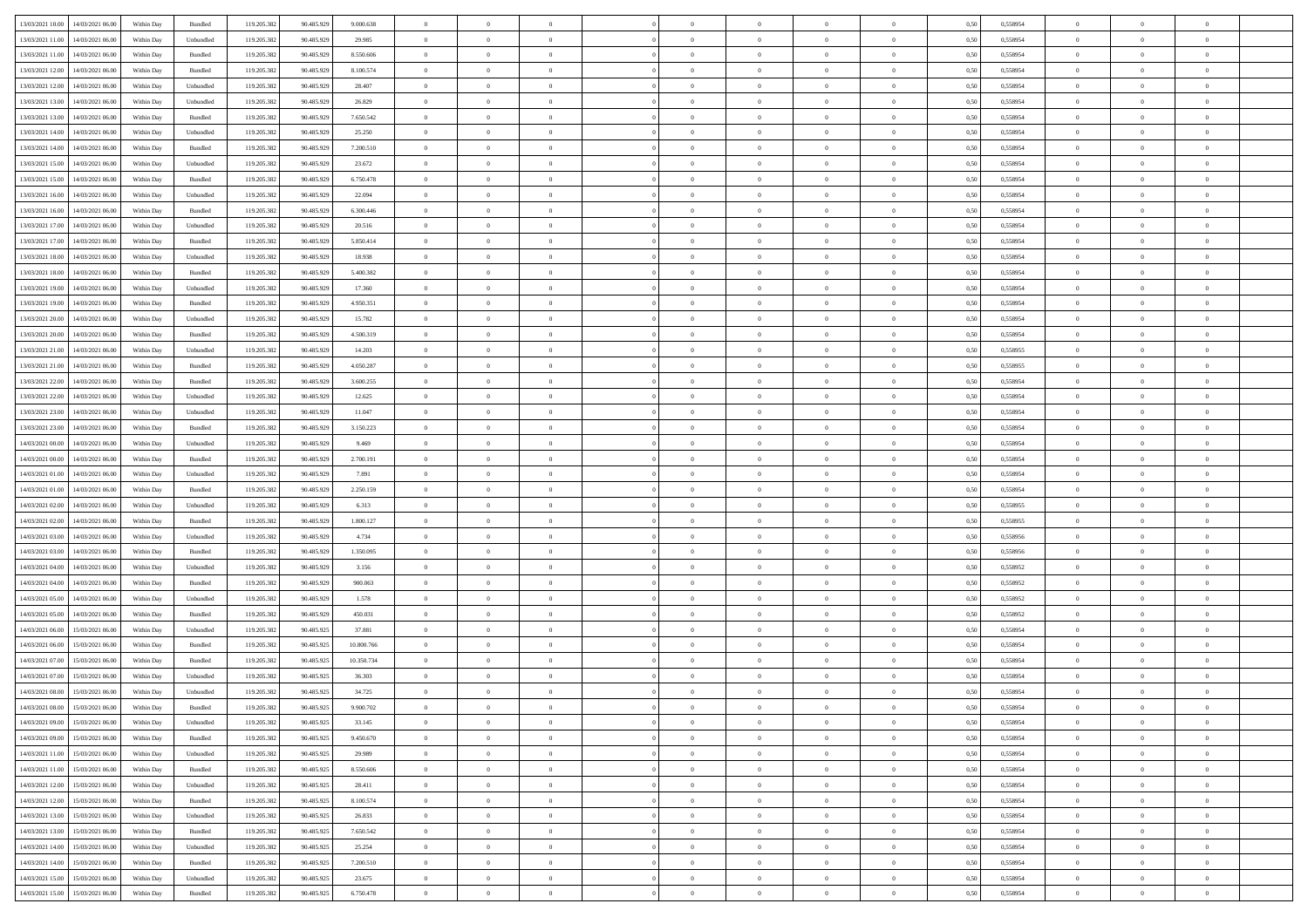| 13/03/2021 10:00 14/03/2021 06:00                                                                                              | Within Day | Bundled   | 119.205.382 | 90.485.929 | 9.000.638  | $\overline{0}$                   | $\overline{0}$ |                | $\overline{0}$ | $\theta$       |                | $\theta$       | 0,50 | 0,558954 | $\theta$       | $\theta$       | $\overline{0}$ |  |
|--------------------------------------------------------------------------------------------------------------------------------|------------|-----------|-------------|------------|------------|----------------------------------|----------------|----------------|----------------|----------------|----------------|----------------|------|----------|----------------|----------------|----------------|--|
|                                                                                                                                |            |           |             |            |            |                                  |                |                |                |                |                |                |      |          |                |                |                |  |
| 13/03/2021 11:00<br>14/03/2021 06:00                                                                                           | Within Day | Unbundled | 119.205.38  | 90.485.929 | 29.985     | $\bf{0}$                         | $\bf{0}$       | $\bf{0}$       | $\bf{0}$       | $\overline{0}$ | $\overline{0}$ | $\bf{0}$       | 0,50 | 0,558954 | $\,$ 0 $\,$    | $\bf{0}$       | $\overline{0}$ |  |
| 13/03/2021 11:00<br>14/03/2021 06:00                                                                                           | Within Day | Bundled   | 119.205.382 | 90.485.929 | 8,550,606  | $\overline{0}$                   | $\bf{0}$       | $\overline{0}$ | $\overline{0}$ | $\overline{0}$ | $\overline{0}$ | $\bf{0}$       | 0.50 | 0.558954 | $\overline{0}$ | $\,$ 0 $\,$    | $\,$ 0         |  |
| 13/03/2021 12:00<br>14/03/2021 06:00                                                                                           | Within Day | Bundled   | 119.205.382 | 90.485.929 | 8.100.574  | $\overline{0}$                   | $\overline{0}$ | $\overline{0}$ | $\overline{0}$ | $\overline{0}$ | $\overline{0}$ | $\bf{0}$       | 0,50 | 0,558954 | $\,$ 0 $\,$    | $\overline{0}$ | $\overline{0}$ |  |
| 13/03/2021 12:00<br>14/03/2021 06:00                                                                                           | Within Day | Unbundled | 119.205.38  | 90.485.929 | 28.407     | $\bf{0}$                         | $\bf{0}$       | $\bf{0}$       | $\overline{0}$ | $\overline{0}$ | $\overline{0}$ | $\bf{0}$       | 0,50 | 0,558954 | $\,$ 0 $\,$    | $\bf{0}$       | $\overline{0}$ |  |
| 13/03/2021 13:00<br>14/03/2021 06:00                                                                                           | Within Day | Unbundled | 119.205.382 | 90.485.929 | 26.829     | $\overline{0}$                   | $\bf{0}$       | $\overline{0}$ | $\bf{0}$       | $\overline{0}$ | $\overline{0}$ | $\bf{0}$       | 0.50 | 0.558954 | $\,$ 0 $\,$    | $\overline{0}$ | $\overline{0}$ |  |
| 13/03/2021 13:00<br>14/03/2021 06:00                                                                                           |            |           | 119.205.382 |            |            | $\overline{0}$                   | $\bf{0}$       | $\overline{0}$ | $\overline{0}$ | $\overline{0}$ | $\overline{0}$ |                |      |          | $\,$ 0 $\,$    | $\theta$       | $\overline{0}$ |  |
|                                                                                                                                | Within Day | Bundled   |             | 90.485.929 | 7.650.542  |                                  |                |                |                |                |                | $\bf{0}$       | 0,50 | 0,558954 |                |                |                |  |
| 13/03/2021 14:00<br>14/03/2021 06:00                                                                                           | Within Day | Unbundled | 119.205.38  | 90.485.929 | 25.250     | $\bf{0}$                         | $\bf{0}$       | $\bf{0}$       | $\bf{0}$       | $\overline{0}$ | $\overline{0}$ | $\bf{0}$       | 0,50 | 0,558954 | $\,$ 0 $\,$    | $\bf{0}$       | $\overline{0}$ |  |
| 13/03/2021 14:00<br>14/03/2021 06:00                                                                                           | Within Day | Bundled   | 119,205.38  | 90.485.929 | 7.200.510  | $\overline{0}$                   | $\bf{0}$       | $\overline{0}$ | $\bf{0}$       | $\bf{0}$       | $\overline{0}$ | $\bf{0}$       | 0.50 | 0.558954 | $\bf{0}$       | $\overline{0}$ | $\bf{0}$       |  |
| 13/03/2021 15:00<br>14/03/2021 06:00                                                                                           | Within Day | Unbundled | 119.205.382 | 90.485.929 | 23.672     | $\bf{0}$                         | $\bf{0}$       | $\overline{0}$ | $\overline{0}$ | $\overline{0}$ | $\overline{0}$ | $\bf{0}$       | 0,50 | 0,558954 | $\,$ 0 $\,$    | $\,$ 0 $\,$    | $\overline{0}$ |  |
| 13/03/2021 15:00<br>14/03/2021 06:00                                                                                           | Within Day | Bundled   | 119.205.38  | 90.485.929 | 6.750.478  | $\bf{0}$                         | $\bf{0}$       | $\bf{0}$       | $\bf{0}$       | $\overline{0}$ | $\overline{0}$ | $\bf{0}$       | 0,50 | 0,558954 | $\,$ 0 $\,$    | $\bf{0}$       | $\overline{0}$ |  |
| 13/03/2021 16:00<br>14/03/2021 06:00                                                                                           | Within Day | Unbundled | 119.205.382 | 90.485.929 | 22.094     | $\overline{0}$                   | $\bf{0}$       | $\overline{0}$ | $\overline{0}$ | $\overline{0}$ | $\overline{0}$ | $\bf{0}$       | 0.50 | 0.558954 | $\bf{0}$       | $\,$ 0 $\,$    | $\,$ 0         |  |
| 13/03/2021 16:00<br>14/03/2021 06:00                                                                                           | Within Day | Bundled   | 119.205.38  | 90.485.929 | 6.300.446  | $\overline{0}$                   | $\bf{0}$       | $\overline{0}$ | $\theta$       | $\theta$       | $\overline{0}$ | $\bf{0}$       | 0,50 | 0,558954 | $\,$ 0 $\,$    | $\,$ 0 $\,$    | $\overline{0}$ |  |
|                                                                                                                                |            |           |             |            |            |                                  | $\bf{0}$       |                |                | $\overline{0}$ | $\overline{0}$ |                |      |          | $\,$ 0 $\,$    | $\bf{0}$       | $\overline{0}$ |  |
| 13/03/2021 17:00<br>14/03/2021 06:00                                                                                           | Within Day | Unbundled | 119.205.38  | 90.485.929 | 20.516     | $\bf{0}$                         |                | $\bf{0}$       | $\bf{0}$       |                |                | $\bf{0}$       | 0,50 | 0,558954 |                |                |                |  |
| 13/03/2021 17:00<br>14/03/2021 06:00                                                                                           | Within Day | Bundled   | 119.205.382 | 90.485.929 | 5.850.414  | $\overline{0}$                   | $\bf{0}$       | $\overline{0}$ | $\bf{0}$       | $\overline{0}$ | $\overline{0}$ | $\bf{0}$       | 0.50 | 0.558954 | $\,$ 0 $\,$    | $\bf{0}$       | $\overline{0}$ |  |
| 13/03/2021 18:00<br>14/03/2021 06:00                                                                                           | Within Day | Unbundled | 119.205.382 | 90.485.929 | 18.938     | $\overline{0}$                   | $\bf{0}$       | $\overline{0}$ | $\overline{0}$ | $\overline{0}$ | $\overline{0}$ | $\bf{0}$       | 0,50 | 0,558954 | $\theta$       | $\theta$       | $\overline{0}$ |  |
| 13/03/2021 18:00<br>14/03/2021 06:00                                                                                           | Within Day | Bundled   | 119.205.38  | 90.485.929 | 5.400.382  | $\bf{0}$                         | $\bf{0}$       | $\bf{0}$       | $\bf{0}$       | $\overline{0}$ | $\overline{0}$ | $\bf{0}$       | 0,50 | 0,558954 | $\,$ 0 $\,$    | $\bf{0}$       | $\overline{0}$ |  |
| 13/03/2021 19:00<br>14/03/2021 06:00                                                                                           | Within Day | Unbundled | 119,205.38  | 90.485.929 | 17.360     | $\overline{0}$                   | $\bf{0}$       | $\overline{0}$ | $\bf{0}$       | $\overline{0}$ | $\overline{0}$ | $\bf{0}$       | 0.50 | 0.558954 | $\bf{0}$       | $\overline{0}$ | $\bf{0}$       |  |
| 13/03/2021 19:00<br>14/03/2021 06:00                                                                                           | Within Day | Bundled   | 119.205.382 | 90.485.929 | 4.950.351  | $\bf{0}$                         | $\bf{0}$       | $\overline{0}$ | $\overline{0}$ | $\overline{0}$ | $\overline{0}$ | $\bf{0}$       | 0,50 | 0,558954 | $\,$ 0 $\,$    | $\bf{0}$       | $\overline{0}$ |  |
| 13/03/2021 20:00<br>14/03/2021 06:00                                                                                           | Within Day | Unbundled | 119.205.38  | 90.485.929 | 15.782     | $\bf{0}$                         | $\bf{0}$       | $\bf{0}$       | $\bf{0}$       | $\overline{0}$ | $\overline{0}$ | $\bf{0}$       | 0,50 | 0,558954 | $\,$ 0 $\,$    | $\bf{0}$       | $\overline{0}$ |  |
| 14/03/2021 06:00                                                                                                               |            | Bundled   |             | 90.485.929 | 4.500.319  |                                  | $\bf{0}$       |                |                | $\overline{0}$ | $\overline{0}$ |                | 0.50 | 0.558954 | $\bf{0}$       | $\,$ 0 $\,$    | $\,$ 0         |  |
| 13/03/2021 20:00                                                                                                               | Within Day |           | 119.205.382 |            |            | $\overline{0}$<br>$\overline{0}$ |                | $\overline{0}$ | $\overline{0}$ |                |                | $\bf{0}$       |      |          | $\theta$       |                |                |  |
| 13/03/2021 21:00<br>14/03/2021 06:00                                                                                           | Within Day | Unbundled | 119.205.38  | 90.485.929 | 14.203     |                                  | $\overline{0}$ | $\overline{0}$ | $\overline{0}$ | $\overline{0}$ | $\overline{0}$ | $\bf{0}$       | 0,50 | 0,558955 |                | $\overline{0}$ | $\overline{0}$ |  |
| 13/03/2021 21:00<br>14/03/2021 06:00                                                                                           | Within Day | Bundled   | 119.205.38  | 90.485.929 | 4.050.287  | $\bf{0}$                         | $\bf{0}$       | $\bf{0}$       | $\bf{0}$       | $\overline{0}$ | $\overline{0}$ | $\bf{0}$       | 0,50 | 0,558955 | $\,$ 0 $\,$    | $\bf{0}$       | $\overline{0}$ |  |
| 13/03/2021 22:00<br>14/03/2021 06:00                                                                                           | Within Day | Bundled   | 119.205.382 | 90.485.929 | 3.600.255  | $\overline{0}$                   | $\bf{0}$       | $\overline{0}$ | $\bf{0}$       | $\overline{0}$ | $\overline{0}$ | $\bf{0}$       | 0.50 | 0.558954 | $\bf{0}$       | $\overline{0}$ | $\overline{0}$ |  |
| 13/03/2021 22:00<br>14/03/2021 06:00                                                                                           | Within Day | Unbundled | 119.205.382 | 90.485.929 | 12.625     | $\overline{0}$                   | $\bf{0}$       | $\overline{0}$ | $\overline{0}$ | $\overline{0}$ | $\overline{0}$ | $\bf{0}$       | 0,50 | 0,558954 | $\,$ 0 $\,$    | $\theta$       | $\overline{0}$ |  |
| 13/03/2021 23:00<br>14/03/2021 06.00                                                                                           | Within Day | Unbundled | 119.205.38  | 90.485.929 | 11.047     | $\bf{0}$                         | $\overline{0}$ | $\bf{0}$       | $\bf{0}$       | $\overline{0}$ | $\overline{0}$ | $\bf{0}$       | 0,50 | 0,558954 | $\,$ 0 $\,$    | $\bf{0}$       | $\overline{0}$ |  |
| 13/03/2021 23:00<br>14/03/2021 06:00                                                                                           | Within Day | Bundled   | 119,205.38  | 90.485.929 | 3.150.223  | $\overline{0}$                   | $\bf{0}$       | $\overline{0}$ | $\bf{0}$       | $\overline{0}$ | $\overline{0}$ | $\bf{0}$       | 0.50 | 0.558954 | $\bf{0}$       | $\overline{0}$ | $\bf{0}$       |  |
| 14/03/2021 00:00<br>14/03/2021 06:00                                                                                           | Within Day | Unbundled | 119.205.382 | 90.485.929 | 9.469      | $\overline{0}$                   | $\bf{0}$       | $\overline{0}$ | $\overline{0}$ | $\overline{0}$ | $\overline{0}$ | $\bf{0}$       | 0,50 | 0,558954 | $\theta$       | $\overline{0}$ | $\overline{0}$ |  |
| 14/03/2021 00:00<br>14/03/2021 06:00                                                                                           | Within Day | Bundled   | 119.205.38  | 90.485.929 | 2.700.191  | $\bf{0}$                         | $\bf{0}$       | $\bf{0}$       | $\bf{0}$       | $\overline{0}$ | $\overline{0}$ | $\bf{0}$       | 0,50 | 0,558954 | $\,$ 0 $\,$    | $\bf{0}$       | $\overline{0}$ |  |
|                                                                                                                                |            |           |             |            |            |                                  |                |                |                |                |                |                |      |          |                |                |                |  |
| 14/03/2021 01:00<br>14/03/2021 06:00                                                                                           | Within Day | Unbundled | 119.205.382 | 90.485.929 | 7.891      | $\overline{0}$                   | $\bf{0}$       | $\overline{0}$ | $\overline{0}$ | $\overline{0}$ | $\overline{0}$ | $\bf{0}$       | 0.50 | 0.558954 | $\bf{0}$       | $\,$ 0 $\,$    | $\,$ 0         |  |
| 14/03/2021 01:00<br>14/03/2021 06:00                                                                                           | Within Day | Bundled   | 119.205.38  | 90.485.929 | 2.250.159  | $\overline{0}$                   | $\overline{0}$ | $\overline{0}$ | $\overline{0}$ | $\overline{0}$ | $\overline{0}$ | $\bf{0}$       | 0.50 | 0,558954 | $\theta$       | $\theta$       | $\overline{0}$ |  |
| 14/03/2021 02:00<br>14/03/2021 06:00                                                                                           | Within Day | Unbundled | 119.205.38  | 90.485.929 | 6.313      | $\bf{0}$                         | $\bf{0}$       | $\bf{0}$       | $\bf{0}$       | $\overline{0}$ | $\overline{0}$ | $\bf{0}$       | 0,50 | 0,558955 | $\,$ 0 $\,$    | $\bf{0}$       | $\overline{0}$ |  |
| 14/03/2021 02:00<br>14/03/2021 06:00                                                                                           | Within Day | Bundled   | 119.205.382 | 90.485.929 | 1.800.127  | $\overline{0}$                   | $\bf{0}$       | $\overline{0}$ | $\bf{0}$       | $\overline{0}$ | $\overline{0}$ | $\bf{0}$       | 0.50 | 0.558955 | $\bf{0}$       | $\bf{0}$       | $\overline{0}$ |  |
| 14/03/2021 03:00<br>14/03/2021 06:00                                                                                           | Within Dav | Unbundled | 119.205.38  | 90.485.929 | 4.734      | $\overline{0}$                   | $\overline{0}$ | $\overline{0}$ | $\overline{0}$ | $\overline{0}$ | $\overline{0}$ | $\bf{0}$       | 0.50 | 0.558956 | $\theta$       | $\theta$       | $\overline{0}$ |  |
| 14/03/2021 03:00<br>14/03/2021 06:00                                                                                           | Within Day | Bundled   | 119.205.38  | 90.485.929 | 1.350.095  | $\bf{0}$                         | $\bf{0}$       | $\bf{0}$       | $\bf{0}$       | $\overline{0}$ | $\overline{0}$ | $\bf{0}$       | 0,50 | 0,558956 | $\,$ 0 $\,$    | $\bf{0}$       | $\overline{0}$ |  |
| 14/03/2021 04:00<br>14/03/2021 06:00                                                                                           | Within Day | Unbundled | 119,205.38  | 90.485.929 | 3.156      | $\overline{0}$                   | $\bf{0}$       | $\overline{0}$ | $\bf{0}$       | $\overline{0}$ | $\overline{0}$ | $\bf{0}$       | 0.50 | 0.558952 | $\bf{0}$       | $\overline{0}$ | $\bf{0}$       |  |
| 14/03/2021 04:00<br>14/03/2021 06:00                                                                                           | Within Day | Bundled   | 119.205.38  | 90.485.929 | 900,063    | $\overline{0}$                   | $\overline{0}$ | $\overline{0}$ | $\overline{0}$ | $\overline{0}$ | $\overline{0}$ | $\bf{0}$       | 0.50 | 0,558952 | $\theta$       | $\overline{0}$ | $\overline{0}$ |  |
| 14/03/2021 06:00                                                                                                               | Within Day | Unbundled |             | 90.485.929 | 1.578      | $\bf{0}$                         | $\bf{0}$       | $\bf{0}$       | $\bf{0}$       | $\overline{0}$ | $\bf{0}$       | $\bf{0}$       | 0,50 | 0,558952 | $\,$ 0 $\,$    | $\overline{0}$ | $\overline{0}$ |  |
| 14/03/2021 05:00                                                                                                               |            |           | 119.205.38  |            |            |                                  |                |                |                |                |                |                |      |          |                |                |                |  |
| 14/03/2021 05:00<br>14/03/2021 06:00                                                                                           | Within Day | Bundled   | 119.205.382 | 90.485.929 | 450.031    | $\overline{0}$                   | $\bf{0}$       | $\overline{0}$ | $\overline{0}$ | $\,$ 0 $\,$    | $\overline{0}$ | $\bf{0}$       | 0.50 | 0.558952 | $\bf{0}$       | $\,$ 0 $\,$    | $\,$ 0         |  |
| 14/03/2021 06:00<br>15/03/2021 06:00                                                                                           | Within Day | Unbundled | 119.205.38  | 90.485.925 | 37,881     | $\overline{0}$                   | $\overline{0}$ | $\overline{0}$ | $\overline{0}$ | $\overline{0}$ | $\overline{0}$ | $\bf{0}$       | 0.50 | 0,558954 | $\theta$       | $\theta$       | $\overline{0}$ |  |
| 14/03/2021 06:00<br>15/03/2021 06:00                                                                                           | Within Day | Bundled   | 119.205.38  | 90.485.925 | 10.800.766 | $\bf{0}$                         | $\bf{0}$       | $\bf{0}$       | $\bf{0}$       | $\overline{0}$ | $\overline{0}$ | $\bf{0}$       | 0,50 | 0,558954 | $\,$ 0 $\,$    | $\bf{0}$       | $\overline{0}$ |  |
| 14/03/2021 07:00<br>15/03/2021 06:00                                                                                           | Within Day | Bundled   | 119.205.382 | 90.485.925 | 10.350.734 | $\overline{0}$                   | $\bf{0}$       | $\overline{0}$ | $\bf{0}$       | $\overline{0}$ | $\overline{0}$ | $\bf{0}$       | 0.50 | 0.558954 | $\bf{0}$       | $\overline{0}$ | $\overline{0}$ |  |
| 14/03/2021 07:00<br>15/03/2021 06:00                                                                                           | Within Day | Unbundled | 119.205.38  | 90.485.92  | 36,303     | $\overline{0}$                   | $\overline{0}$ | $\overline{0}$ | $\overline{0}$ | $\theta$       | $\overline{0}$ | $\overline{0}$ | 0.5( | 0,558954 | $\theta$       | $\theta$       | $\overline{0}$ |  |
| 14/03/2021 08:00<br>15/03/2021 06:00                                                                                           | Within Day | Unbundled | 119.205.382 | 90.485.925 | 34.725     | $\bf{0}$                         | $\bf{0}$       | $\bf{0}$       | $\bf{0}$       | $\overline{0}$ | $\overline{0}$ | $\bf{0}$       | 0,50 | 0,558954 | $\overline{0}$ | $\overline{0}$ | $\overline{0}$ |  |
| $\begin{tabular}{ c c c c c } \hline & \multicolumn{1}{ c }{14/03/2021} & 08.00 & 15/03/2021} & 06.00 \\ \hline \end{tabular}$ | Within Day | Bundled   | 119.205.382 | 90.485.925 | 9.900.702  | $\bf{0}$                         | $\bf{0}$       |                | $\overline{0}$ | $\bf{0}$       |                | $\bf{0}$       | 0,50 | 0.558954 | $\bf{0}$       | $\bf{0}$       |                |  |
| 14/03/2021 09:00 15/03/2021 06:00                                                                                              | Within Day | Unbundled | 119.205.382 | 90.485.925 | 33.145     | $\overline{0}$                   | $\overline{0}$ | $\overline{0}$ | $\theta$       | $\overline{0}$ | $\overline{0}$ | $\bf{0}$       | 0,50 | 0,558954 | $\theta$       | $\overline{0}$ | $\overline{0}$ |  |
|                                                                                                                                |            |           |             |            |            |                                  |                |                |                |                |                |                |      |          |                |                |                |  |
| 14/03/2021 09:00<br>15/03/2021 06:00                                                                                           | Within Day | Bundled   | 119.205.38  | 90.485.925 | 9.450.670  | $\overline{0}$                   | $\bf{0}$       | $\overline{0}$ | $\overline{0}$ | $\bf{0}$       | $\overline{0}$ | $\bf{0}$       | 0,50 | 0,558954 | $\bf{0}$       | $\overline{0}$ | $\bf{0}$       |  |
| 14/03/2021 11:00 15/03/2021 06:00                                                                                              | Within Day | Unbundled | 119.205.382 | 90.485.925 | 29.989     | $\overline{0}$                   | $\overline{0}$ | $\overline{0}$ | $\overline{0}$ | $\mathbf{0}$   | $\overline{0}$ | $\,$ 0 $\,$    | 0.50 | 0.558954 | $\overline{0}$ | $\bf{0}$       | $\bf{0}$       |  |
| 14/03/2021 11:00 15/03/2021 06:00                                                                                              | Within Day | Bundled   | 119.205.382 | 90.485.925 | 8.550.606  | $\overline{0}$                   | $\overline{0}$ | $\overline{0}$ | $\overline{0}$ | $\overline{0}$ | $\overline{0}$ | $\bf{0}$       | 0,50 | 0,558954 | $\overline{0}$ | $\theta$       | $\overline{0}$ |  |
| 14/03/2021 12:00<br>15/03/2021 06:00                                                                                           | Within Day | Unbundled | 119.205.382 | 90.485.925 | 28.411     | $\overline{0}$                   | $\bf{0}$       | $\overline{0}$ | $\overline{0}$ | $\bf{0}$       | $\overline{0}$ | $\bf{0}$       | 0,50 | 0,558954 | $\bf{0}$       | $\overline{0}$ | $\overline{0}$ |  |
| 14/03/2021 12:00<br>15/03/2021 06:00                                                                                           | Within Day | Bundled   | 119.205.382 | 90.485.925 | 8,100,574  | $\overline{0}$                   | $\bf{0}$       | $\overline{0}$ | $\overline{0}$ | $\bf{0}$       | $\overline{0}$ | $\bf{0}$       | 0.50 | 0.558954 | $\,$ 0 $\,$    | $\overline{0}$ | $\,$ 0         |  |
| 14/03/2021 13:00<br>15/03/2021 06:00                                                                                           | Within Dav | Unbundled | 119.205.382 | 90.485.925 | 26.833     | $\overline{0}$                   | $\overline{0}$ | $\overline{0}$ | $\overline{0}$ | $\overline{0}$ | $\overline{0}$ | $\bf{0}$       | 0.50 | 0,558954 | $\overline{0}$ | $\theta$       | $\overline{0}$ |  |
| 14/03/2021 13:00<br>15/03/2021 06:00                                                                                           | Within Day | Bundled   | 119.205.38  | 90.485.925 | 7.650.542  | $\overline{0}$                   | $\overline{0}$ | $\overline{0}$ | $\overline{0}$ | $\overline{0}$ | $\overline{0}$ | $\bf{0}$       | 0,50 | 0,558954 | $\bf{0}$       | $\overline{0}$ | $\overline{0}$ |  |
|                                                                                                                                |            | Unbundled | 119.205.382 | 90.485.925 |            |                                  | $\overline{0}$ |                |                |                | $\overline{0}$ |                | 0.50 | 0.558954 |                |                | $\,$ 0         |  |
| 14/03/2021 14:00<br>15/03/2021 06:00                                                                                           | Within Day |           |             |            | 25.254     | $\overline{0}$                   |                | $\overline{0}$ | $\overline{0}$ | $\overline{0}$ |                | $\bf{0}$       |      |          | $\mathbf{0}$   | $\bf{0}$       |                |  |
| 14/03/2021 14:00<br>15/03/2021 06:00                                                                                           | Within Dav | Bundled   | 119.205.382 | 90.485.925 | 7.200.510  | $\overline{0}$                   | $\overline{0}$ | $\overline{0}$ | $\overline{0}$ | $\overline{0}$ | $\overline{0}$ | $\bf{0}$       | 0,50 | 0,558954 | $\overline{0}$ | $\theta$       | $\overline{0}$ |  |
| 14/03/2021 15:00<br>15/03/2021 06:00                                                                                           | Within Day | Unbundled | 119.205.38  | 90.485.925 | 23.675     | $\overline{0}$                   | $\bf{0}$       | $\overline{0}$ | $\overline{0}$ | $\overline{0}$ | $\overline{0}$ | $\bf{0}$       | 0,50 | 0,558954 | $\bf{0}$       | $\overline{0}$ | $\bf{0}$       |  |
| 14/03/2021 15:00 15/03/2021 06:00                                                                                              | Within Day | Bundled   | 119.205.382 | 90.485.925 | 6.750.478  | $\overline{0}$                   | $\bf{0}$       | $\overline{0}$ | $\overline{0}$ | $\,$ 0 $\,$    | $\overline{0}$ | $\bf{0}$       | 0,50 | 0,558954 | $\overline{0}$ | $\,$ 0 $\,$    | $\,$ 0 $\,$    |  |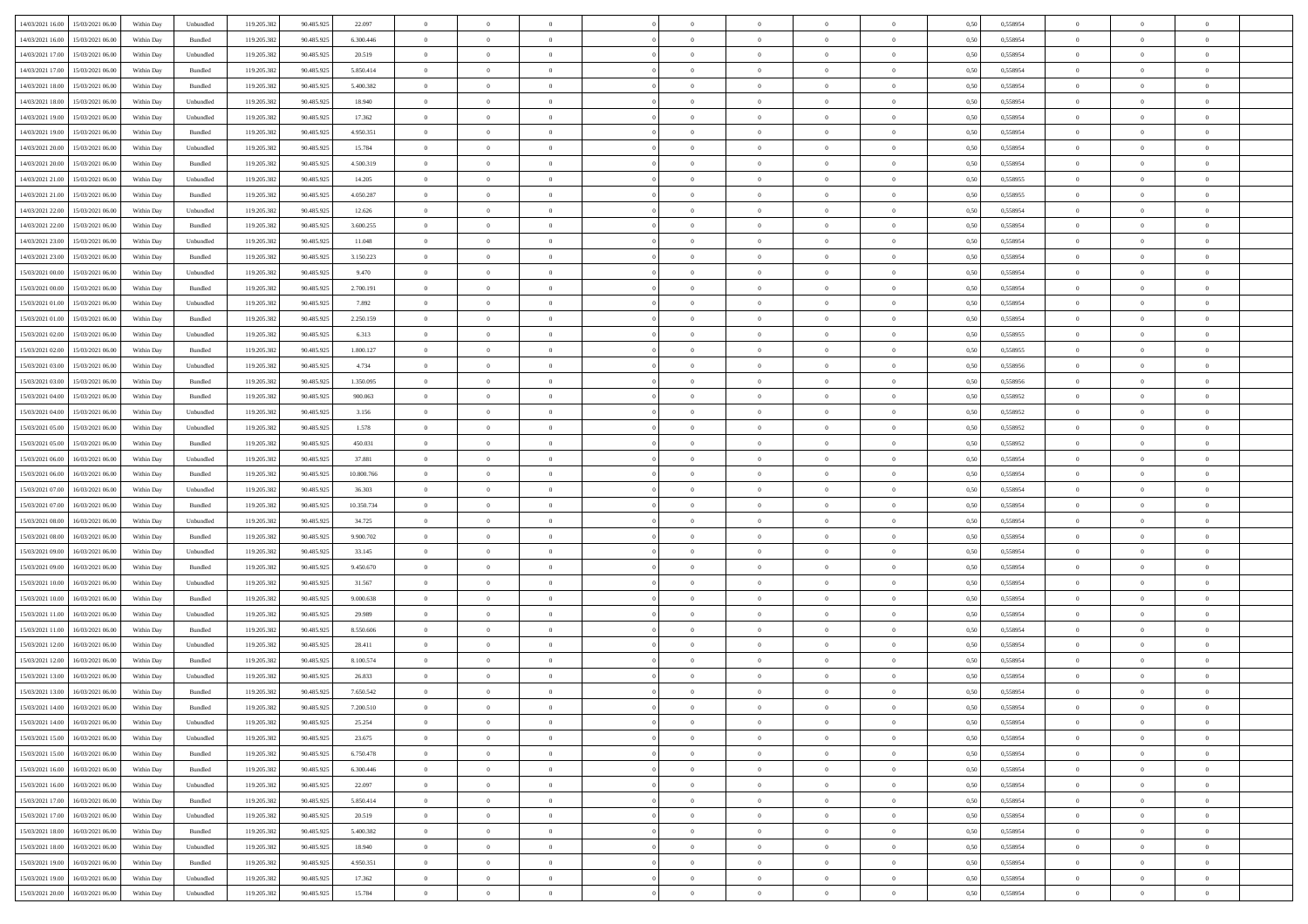| 14/03/2021 16:00 15/03/2021 06:00                                                                 | Within Day | Unbundled | 119.205.382 | 90.485.925 | 22.097     | $\overline{0}$ | $\overline{0}$ |                | $\overline{0}$ | $\theta$       |                | $\theta$       | 0,50 | 0,558954 | $\theta$       | $\theta$       | $\overline{0}$ |  |
|---------------------------------------------------------------------------------------------------|------------|-----------|-------------|------------|------------|----------------|----------------|----------------|----------------|----------------|----------------|----------------|------|----------|----------------|----------------|----------------|--|
|                                                                                                   |            |           |             |            |            |                |                |                |                |                |                |                |      |          |                |                |                |  |
| 14/03/2021 16:00<br>15/03/2021 06:00                                                              | Within Day | Bundled   | 119.205.38  | 90.485.925 | 6.300.446  | $\bf{0}$       | $\bf{0}$       | $\bf{0}$       | $\bf{0}$       | $\overline{0}$ | $\bf{0}$       | $\bf{0}$       | 0,50 | 0,558954 | $\,$ 0 $\,$    | $\bf{0}$       | $\overline{0}$ |  |
| 14/03/2021 17:00<br>15/03/2021 06:00                                                              | Within Day | Unbundled | 119.205.382 | 90.485.925 | 20.519     | $\overline{0}$ | $\bf{0}$       | $\overline{0}$ | $\overline{0}$ | $\overline{0}$ | $\overline{0}$ | $\bf{0}$       | 0.50 | 0.558954 | $\overline{0}$ | $\,$ 0 $\,$    | $\,$ 0         |  |
| 14/03/2021 17:00<br>15/03/2021 06:00                                                              | Within Day | Bundled   | 119.205.382 | 90.485.925 | 5.850.414  | $\overline{0}$ | $\overline{0}$ | $\overline{0}$ | $\overline{0}$ | $\overline{0}$ | $\overline{0}$ | $\bf{0}$       | 0,50 | 0,558954 | $\,$ 0 $\,$    | $\overline{0}$ | $\overline{0}$ |  |
| 14/03/2021 18:00<br>15/03/2021 06:00                                                              | Within Day | Bundled   | 119.205.38  | 90.485.925 | 5.400.382  | $\bf{0}$       | $\bf{0}$       | $\bf{0}$       | $\bf{0}$       | $\overline{0}$ | $\overline{0}$ | $\bf{0}$       | 0,50 | 0,558954 | $\,$ 0 $\,$    | $\bf{0}$       | $\overline{0}$ |  |
| 14/03/2021 18:00<br>15/03/2021 06:00                                                              | Within Day | Unbundled | 119.205.382 | 90.485.925 | 18,940     | $\overline{0}$ | $\bf{0}$       | $\overline{0}$ | $\bf{0}$       | $\overline{0}$ | $\overline{0}$ | $\bf{0}$       | 0.50 | 0.558954 | $\,$ 0 $\,$    | $\overline{0}$ | $\overline{0}$ |  |
| 14/03/2021 19:00<br>15/03/2021 06:00                                                              |            |           |             |            |            | $\overline{0}$ | $\bf{0}$       | $\overline{0}$ | $\overline{0}$ | $\overline{0}$ | $\overline{0}$ |                |      |          | $\,$ 0 $\,$    | $\bf{0}$       | $\overline{0}$ |  |
|                                                                                                   | Within Day | Unbundled | 119.205.38  | 90.485.925 | 17.362     |                |                |                |                |                |                | $\bf{0}$       | 0,50 | 0,558954 |                |                |                |  |
| 14/03/2021 19:00<br>15/03/2021 06:00                                                              | Within Day | Bundled   | 119.205.38  | 90.485.92  | 4.950.351  | $\bf{0}$       | $\bf{0}$       | $\bf{0}$       | $\bf{0}$       | $\overline{0}$ | $\overline{0}$ | $\bf{0}$       | 0,50 | 0,558954 | $\,$ 0 $\,$    | $\bf{0}$       | $\overline{0}$ |  |
| 14/03/2021 20:00<br>15/03/2021 06:00                                                              | Within Day | Unbundled | 119,205.38  | 90.485.925 | 15.784     | $\overline{0}$ | $\bf{0}$       | $\overline{0}$ | $\bf{0}$       | $\overline{0}$ | $\overline{0}$ | $\bf{0}$       | 0.50 | 0.558954 | $\bf{0}$       | $\overline{0}$ | $\bf{0}$       |  |
| 14/03/2021 20:00<br>15/03/2021 06:00                                                              | Within Day | Bundled   | 119.205.382 | 90.485.925 | 4.500.319  | $\bf{0}$       | $\bf{0}$       | $\overline{0}$ | $\overline{0}$ | $\overline{0}$ | $\overline{0}$ | $\bf{0}$       | 0,50 | 0,558954 | $\,$ 0 $\,$    | $\overline{0}$ | $\overline{0}$ |  |
| 14/03/2021 21:00<br>15/03/2021 06:00                                                              | Within Day | Unbundled | 119.205.38  | 90.485.925 | 14.205     | $\bf{0}$       | $\bf{0}$       | $\bf{0}$       | $\bf{0}$       | $\overline{0}$ | $\overline{0}$ | $\bf{0}$       | 0,50 | 0,558955 | $\,$ 0 $\,$    | $\bf{0}$       | $\overline{0}$ |  |
| 14/03/2021 21:00<br>15/03/2021 06:00                                                              | Within Day | Bundled   | 119.205.382 | 90.485.925 | 4.050.287  | $\overline{0}$ | $\bf{0}$       | $\overline{0}$ | $\overline{0}$ | $\overline{0}$ | $\overline{0}$ | $\bf{0}$       | 0.50 | 0.558955 | $\bf{0}$       | $\,$ 0 $\,$    | $\,$ 0         |  |
| 14/03/2021 22:00<br>15/03/2021 06:00                                                              | Within Day | Unbundled | 119.205.38  | 90.485.925 | 12.626     | $\overline{0}$ | $\bf{0}$       | $\overline{0}$ | $\theta$       | $\theta$       | $\overline{0}$ | $\bf{0}$       | 0,50 | 0,558954 | $\,$ 0 $\,$    | $\,$ 0 $\,$    | $\overline{0}$ |  |
| 14/03/2021 22:00<br>15/03/2021 06:00                                                              | Within Day | Bundled   | 119.205.38  | 90.485.925 | 3.600.255  | $\bf{0}$       | $\bf{0}$       | $\bf{0}$       | $\bf{0}$       | $\overline{0}$ | $\overline{0}$ | $\bf{0}$       | 0,50 | 0,558954 | $\,$ 0 $\,$    | $\bf{0}$       | $\overline{0}$ |  |
|                                                                                                   |            |           |             |            |            |                |                |                |                |                |                |                |      |          |                |                |                |  |
| 14/03/2021 23:00<br>15/03/2021 06:00                                                              | Within Day | Unbundled | 119.205.382 | 90.485.925 | 11.048     | $\overline{0}$ | $\bf{0}$       | $\overline{0}$ | $\bf{0}$       | $\overline{0}$ | $\overline{0}$ | $\bf{0}$       | 0.50 | 0.558954 | $\,$ 0 $\,$    | $\overline{0}$ | $\overline{0}$ |  |
| 14/03/2021 23:00<br>15/03/2021 06:00                                                              | Within Day | Bundled   | 119.205.382 | 90.485.925 | 3.150.223  | $\overline{0}$ | $\bf{0}$       | $\overline{0}$ | $\overline{0}$ | $\overline{0}$ | $\overline{0}$ | $\bf{0}$       | 0,50 | 0,558954 | $\theta$       | $\theta$       | $\overline{0}$ |  |
| 15/03/2021 00:00<br>15/03/2021 06:00                                                              | Within Day | Unbundled | 119.205.38  | 90.485.92  | 9.470      | $\bf{0}$       | $\bf{0}$       | $\bf{0}$       | $\bf{0}$       | $\overline{0}$ | $\overline{0}$ | $\bf{0}$       | 0,50 | 0,558954 | $\,$ 0 $\,$    | $\bf{0}$       | $\overline{0}$ |  |
| 15/03/2021 00:00<br>15/03/2021 06:00                                                              | Within Day | Bundled   | 119,205.38  | 90.485.925 | 2.700.191  | $\overline{0}$ | $\bf{0}$       | $\overline{0}$ | $\bf{0}$       | $\overline{0}$ | $\overline{0}$ | $\bf{0}$       | 0.50 | 0.558954 | $\bf{0}$       | $\overline{0}$ | $\,$ 0         |  |
| 15/03/2021 01:00<br>15/03/2021 06:00                                                              | Within Day | Unbundled | 119.205.382 | 90.485.925 | 7.892      | $\overline{0}$ | $\bf{0}$       | $\overline{0}$ | $\overline{0}$ | $\overline{0}$ | $\overline{0}$ | $\bf{0}$       | 0,50 | 0,558954 | $\,$ 0 $\,$    | $\overline{0}$ | $\overline{0}$ |  |
| 15/03/2021 01:00<br>15/03/2021 06:00                                                              | Within Day | Bundled   | 119.205.38  | 90.485.925 | 2.250.159  | $\bf{0}$       | $\bf{0}$       | $\bf{0}$       | $\bf{0}$       | $\overline{0}$ | $\overline{0}$ | $\bf{0}$       | 0,50 | 0,558954 | $\,$ 0 $\,$    | $\bf{0}$       | $\overline{0}$ |  |
| 15/03/2021 02:00<br>15/03/2021 06:00                                                              | Within Day | Unbundled | 119.205.382 | 90.485.925 | 6.313      | $\overline{0}$ | $\bf{0}$       | $\overline{0}$ | $\overline{0}$ | $\overline{0}$ | $\overline{0}$ | $\bf{0}$       | 0.50 | 0.558955 | $\bf{0}$       | $\,$ 0 $\,$    | $\,$ 0         |  |
| 15/03/2021 02:00<br>15/03/2021 06:00                                                              | Within Day | Bundled   | 119.205.38  | 90.485.925 | 1.800.127  | $\overline{0}$ | $\overline{0}$ | $\overline{0}$ | $\overline{0}$ | $\overline{0}$ | $\overline{0}$ | $\bf{0}$       | 0,50 | 0,558955 | $\theta$       | $\overline{0}$ | $\overline{0}$ |  |
|                                                                                                   |            |           |             |            |            |                |                |                |                |                |                |                |      |          |                |                |                |  |
| 15/03/2021 03:00<br>15/03/2021 06:00                                                              | Within Day | Unbundled | 119.205.38  | 90.485.925 | 4.734      | $\bf{0}$       | $\bf{0}$       | $\bf{0}$       | $\bf{0}$       | $\overline{0}$ | $\overline{0}$ | $\bf{0}$       | 0,50 | 0,558956 | $\,$ 0 $\,$    | $\bf{0}$       | $\overline{0}$ |  |
| 15/03/2021 03:00<br>15/03/2021 06:00                                                              | Within Day | Bundled   | 119.205.382 | 90.485.925 | 1.350.095  | $\overline{0}$ | $\bf{0}$       | $\overline{0}$ | $\bf{0}$       | $\overline{0}$ | $\overline{0}$ | $\bf{0}$       | 0.50 | 0.558956 | $\bf{0}$       | $\overline{0}$ | $\overline{0}$ |  |
| 15/03/2021 04:00<br>15/03/2021 06:00                                                              | Within Day | Bundled   | 119.205.382 | 90.485.925 | 900.063    | $\overline{0}$ | $\bf{0}$       | $\overline{0}$ | $\overline{0}$ | $\overline{0}$ | $\overline{0}$ | $\bf{0}$       | 0,50 | 0,558952 | $\,$ 0 $\,$    | $\theta$       | $\overline{0}$ |  |
| 15/03/2021 04:00<br>15/03/2021 06:00                                                              | Within Day | Unbundled | 119.205.38  | 90.485.925 | 3.156      | $\bf{0}$       | $\bf{0}$       | $\bf{0}$       | $\bf{0}$       | $\overline{0}$ | $\overline{0}$ | $\bf{0}$       | 0,50 | 0,558952 | $\,$ 0 $\,$    | $\bf{0}$       | $\overline{0}$ |  |
| 15/03/2021 05:00<br>15/03/2021 06:00                                                              | Within Day | Unbundled | 119,205.38  | 90.485.925 | 1.578      | $\overline{0}$ | $\bf{0}$       | $\overline{0}$ | $\bf{0}$       | $\overline{0}$ | $\overline{0}$ | $\bf{0}$       | 0.50 | 0.558952 | $\bf{0}$       | $\overline{0}$ | $\bf{0}$       |  |
| 15/03/2021 05:00<br>15/03/2021 06:00                                                              | Within Day | Bundled   | 119.205.382 | 90.485.925 | 450.031    | $\overline{0}$ | $\bf{0}$       | $\overline{0}$ | $\overline{0}$ | $\overline{0}$ | $\overline{0}$ | $\bf{0}$       | 0,50 | 0,558952 | $\,$ 0 $\,$    | $\overline{0}$ | $\overline{0}$ |  |
| 15/03/2021 06:00<br>16/03/2021 06:00                                                              | Within Day | Unbundled | 119.205.38  | 90.485.925 | 37.881     | $\bf{0}$       | $\bf{0}$       | $\bf{0}$       | $\bf{0}$       | $\overline{0}$ | $\overline{0}$ | $\bf{0}$       | 0,50 | 0,558954 | $\,$ 0 $\,$    | $\bf{0}$       | $\overline{0}$ |  |
| 15/03/2021 06:00<br>16/03/2021 06:00                                                              | Within Day | Bundled   | 119.205.382 | 90.485.925 | 10,800,766 | $\overline{0}$ | $\bf{0}$       | $\overline{0}$ | $\overline{0}$ | $\overline{0}$ | $\overline{0}$ | $\bf{0}$       | 0.50 | 0.558954 | $\bf{0}$       | $\,$ 0 $\,$    | $\,$ 0         |  |
|                                                                                                   |            |           |             |            |            |                | $\overline{0}$ |                |                | $\overline{0}$ |                |                |      |          | $\theta$       | $\overline{0}$ | $\overline{0}$ |  |
| 15/03/2021 07:00<br>16/03/2021 06:00                                                              | Within Day | Unbundled | 119.205.38  | 90.485.92  | 36.303     | $\overline{0}$ |                | $\overline{0}$ | $\overline{0}$ |                | $\overline{0}$ | $\bf{0}$       | 0.50 | 0.558954 |                |                |                |  |
| 15/03/2021 07:00<br>16/03/2021 06:00                                                              | Within Day | Bundled   | 119.205.38  | 90.485.925 | 10.350.734 | $\bf{0}$       | $\bf{0}$       | $\bf{0}$       | $\bf{0}$       | $\overline{0}$ | $\overline{0}$ | $\bf{0}$       | 0,50 | 0,558954 | $\,$ 0 $\,$    | $\bf{0}$       | $\overline{0}$ |  |
| 15/03/2021 08:00<br>16/03/2021 06:00                                                              | Within Day | Unbundled | 119.205.382 | 90.485.925 | 34.725     | $\overline{0}$ | $\bf{0}$       | $\overline{0}$ | $\bf{0}$       | $\overline{0}$ | $\overline{0}$ | $\bf{0}$       | 0.50 | 0.558954 | $\bf{0}$       | $\overline{0}$ | $\overline{0}$ |  |
| 15/03/2021 08:00<br>16/03/2021 06:00                                                              | Within Day | Bundled   | 119.205.382 | 90.485.925 | 9.900.702  | $\overline{0}$ | $\overline{0}$ | $\overline{0}$ | $\overline{0}$ | $\overline{0}$ | $\overline{0}$ | $\bf{0}$       | 0.50 | 0,558954 | $\theta$       | $\theta$       | $\overline{0}$ |  |
| 15/03/2021 09:00<br>16/03/2021 06:00                                                              | Within Day | Unbundled | 119.205.38  | 90.485.92  | 33.145     | $\bf{0}$       | $\bf{0}$       | $\bf{0}$       | $\bf{0}$       | $\overline{0}$ | $\overline{0}$ | $\bf{0}$       | 0,50 | 0,558954 | $\,$ 0 $\,$    | $\bf{0}$       | $\overline{0}$ |  |
| 15/03/2021 09:00<br>16/03/2021 06:00                                                              | Within Day | Bundled   | 119,205.38  | 90.485.925 | 9.450.670  | $\overline{0}$ | $\bf{0}$       | $\overline{0}$ | $\bf{0}$       | $\overline{0}$ | $\overline{0}$ | $\bf{0}$       | 0.50 | 0.558954 | $\bf{0}$       | $\overline{0}$ | $\,$ 0         |  |
| 15/03/2021 10:00<br>16/03/2021 06:00                                                              | Within Day | Unbundled | 119.205.38  | 90.485.92  | 31.567     | $\overline{0}$ | $\overline{0}$ | $\overline{0}$ | $\overline{0}$ | $\overline{0}$ | $\overline{0}$ | $\bf{0}$       | 0.50 | 0,558954 | $\theta$       | $\overline{0}$ | $\overline{0}$ |  |
| 15/03/2021 10:00<br>16/03/2021 06:00                                                              | Within Day | Bundled   | 119.205.38  | 90.485.925 | 9.000.638  | $\bf{0}$       | $\bf{0}$       | $\bf{0}$       | $\bf{0}$       | $\overline{0}$ | $\overline{0}$ | $\bf{0}$       | 0,50 | 0,558954 | $\,$ 0 $\,$    | $\overline{0}$ | $\overline{0}$ |  |
| 15/03/2021 11:00<br>16/03/2021 06:00                                                              | Within Day | Unbundled | 119.205.382 | 90.485.925 | 29.989     | $\overline{0}$ | $\bf{0}$       | $\overline{0}$ | $\overline{0}$ | $\,$ 0 $\,$    | $\overline{0}$ | $\bf{0}$       | 0.50 | 0.558954 | $\overline{0}$ | $\,$ 0 $\,$    | $\,$ 0         |  |
|                                                                                                   |            |           |             |            |            |                |                |                |                |                |                |                |      |          |                |                |                |  |
| 15/03/2021 11:00<br>16/03/2021 06:00                                                              | Within Day | Bundled   | 119.205.382 | 90.485.925 | 8,550,606  | $\overline{0}$ | $\overline{0}$ | $\overline{0}$ | $\overline{0}$ | $\overline{0}$ | $\overline{0}$ | $\bf{0}$       | 0.50 | 0.558954 | $\theta$       | $\theta$       | $\overline{0}$ |  |
| 15/03/2021 12:00<br>16/03/2021 06:00                                                              | Within Day | Unbundled | 119.205.38  | 90.485.925 | 28.411     | $\bf{0}$       | $\bf{0}$       | $\bf{0}$       | $\overline{0}$ | $\overline{0}$ | $\overline{0}$ | $\bf{0}$       | 0,50 | 0,558954 | $\,$ 0 $\,$    | $\bf{0}$       | $\overline{0}$ |  |
| 15/03/2021 12:00<br>16/03/2021 06:00                                                              | Within Day | Bundled   | 119.205.382 | 90.485.925 | 8,100,574  | $\overline{0}$ | $\bf{0}$       | $\overline{0}$ | $\bf{0}$       | $\overline{0}$ | $\overline{0}$ | $\bf{0}$       | 0.50 | 0.558954 | $\bf{0}$       | $\overline{0}$ | $\overline{0}$ |  |
| 15/03/2021 13:00<br>16/03/2021 06:00                                                              | Within Dav | Unbundled | 119.205.38  | 90.485.92  | 26,833     | $\overline{0}$ | $\overline{0}$ | $\overline{0}$ | $\overline{0}$ | $\theta$       | $\overline{0}$ | $\overline{0}$ | 0.5( | 0,558954 | $\theta$       | $\theta$       | $\overline{0}$ |  |
| 15/03/2021 13:00<br>16/03/2021 06:00                                                              | Within Day | Bundled   | 119.205.382 | 90.485.925 | 7.650.542  | $\bf{0}$       | $\bf{0}$       | $\bf{0}$       | $\bf{0}$       | $\overline{0}$ | $\overline{0}$ | $\bf{0}$       | 0,50 | 0,558954 | $\overline{0}$ | $\overline{0}$ | $\overline{0}$ |  |
| $\begin{array}{ c c c c c } \hline 15/03/2021 & 14.00 & 16/03/2021 & 06.00 \\ \hline \end{array}$ | Within Day | Bundled   | 119.205.382 | 90.485.925 | 7.200.510  | $\bf{0}$       | $\bf{0}$       |                | $\overline{0}$ | $\bf{0}$       |                | $\bf{0}$       | 0,50 | 0,558954 | $\,$ 0         | $\bf{0}$       |                |  |
| 15/03/2021 14:00 16/03/2021 06:00                                                                 | Within Day | Unbundled | 119.205.382 | 90.485.925 | 25.254     | $\overline{0}$ | $\overline{0}$ | $\Omega$       | $\theta$       | $\overline{0}$ | $\overline{0}$ | $\bf{0}$       | 0,50 | 0,558954 | $\theta$       | $\overline{0}$ | $\overline{0}$ |  |
| 15/03/2021 15:00<br>16/03/2021 06:00                                                              | Within Day | Unbundled | 119.205.38  | 90.485.925 | 23.675     | $\overline{0}$ | $\bf{0}$       | $\overline{0}$ | $\overline{0}$ | $\bf{0}$       | $\overline{0}$ | $\bf{0}$       | 0,50 | 0,558954 | $\bf{0}$       | $\overline{0}$ | $\bf{0}$       |  |
|                                                                                                   |            |           |             |            |            |                |                |                |                |                |                |                |      |          |                |                |                |  |
| 15/03/2021 15:00 16/03/2021 06:00                                                                 | Within Day | Bundled   | 119.205.382 | 90.485.925 | 6.750.478  | $\overline{0}$ | $\overline{0}$ | $\overline{0}$ | $\overline{0}$ | $\mathbf{0}$   | $\overline{0}$ | $\,$ 0 $\,$    | 0.50 | 0.558954 | $\overline{0}$ | $\bf{0}$       | $\bf{0}$       |  |
| 15/03/2021 16:00 16/03/2021 06:00                                                                 | Within Day | Bundled   | 119.205.382 | 90.485.925 | 6.300.446  | $\overline{0}$ | $\overline{0}$ | $\overline{0}$ | $\overline{0}$ | $\overline{0}$ | $\overline{0}$ | $\bf{0}$       | 0,50 | 0,558954 | $\overline{0}$ | $\theta$       | $\overline{0}$ |  |
| 15/03/2021 16:00<br>16/03/2021 06:00                                                              | Within Day | Unbundled | 119.205.382 | 90.485.925 | 22.097     | $\overline{0}$ | $\bf{0}$       | $\overline{0}$ | $\overline{0}$ | $\bf{0}$       | $\overline{0}$ | $\bf{0}$       | 0,50 | 0,558954 | $\bf{0}$       | $\overline{0}$ | $\overline{0}$ |  |
| 15/03/2021 17:00 16/03/2021 06:00                                                                 | Within Day | Bundled   | 119.205.382 | 90.485.925 | 5.850.414  | $\overline{0}$ | $\bf{0}$       | $\overline{0}$ | $\overline{0}$ | $\bf{0}$       | $\overline{0}$ | $\bf{0}$       | 0.50 | 0.558954 | $\,$ 0 $\,$    | $\overline{0}$ | $\overline{0}$ |  |
| 15/03/2021 17:00<br>16/03/2021 06:00                                                              | Within Dav | Unbundled | 119.205.382 | 90.485.925 | 20.519     | $\overline{0}$ | $\overline{0}$ | $\overline{0}$ | $\overline{0}$ | $\overline{0}$ | $\overline{0}$ | $\bf{0}$       | 0.50 | 0,558954 | $\overline{0}$ | $\theta$       | $\overline{0}$ |  |
| 15/03/2021 18:00<br>16/03/2021 06:00                                                              | Within Day | Bundled   | 119.205.38  | 90.485.925 | 5.400.382  | $\overline{0}$ | $\overline{0}$ | $\overline{0}$ | $\overline{0}$ | $\overline{0}$ | $\overline{0}$ | $\bf{0}$       | 0,50 | 0,558954 | $\bf{0}$       | $\overline{0}$ | $\,$ 0         |  |
| 15/03/2021 18:00<br>16/03/2021 06:00                                                              | Within Day | Unbundled | 119.205.382 | 90.485.925 | 18,940     | $\overline{0}$ | $\overline{0}$ | $\overline{0}$ | $\overline{0}$ | $\overline{0}$ | $\overline{0}$ | $\bf{0}$       | 0.50 | 0.558954 | $\mathbf{0}$   | $\bf{0}$       | $\,$ 0         |  |
| 15/03/2021 19:00<br>16/03/2021 06:00                                                              | Within Dav | Bundled   | 119.205.382 | 90.485.925 | 4.950.351  | $\overline{0}$ | $\overline{0}$ | $\overline{0}$ | $\overline{0}$ | $\overline{0}$ | $\overline{0}$ | $\bf{0}$       | 0,50 | 0,558954 | $\overline{0}$ | $\theta$       | $\overline{0}$ |  |
|                                                                                                   |            |           |             |            |            |                |                |                |                |                |                |                |      |          |                |                |                |  |
| 15/03/2021 19:00<br>16/03/2021 06:00                                                              | Within Day | Unbundled | 119.205.38  | 90.485.925 | 17.362     | $\overline{0}$ | $\bf{0}$       | $\overline{0}$ | $\bf{0}$       | $\overline{0}$ | $\overline{0}$ | $\bf{0}$       | 0,50 | 0,558954 | $\bf{0}$       | $\overline{0}$ | $\bf{0}$       |  |
| 15/03/2021 20:00 16/03/2021 06:00                                                                 | Within Day | Unbundled | 119.205.382 | 90.485.925 | 15.784     | $\overline{0}$ | $\bf{0}$       | $\overline{0}$ | $\overline{0}$ | $\,$ 0 $\,$    | $\overline{0}$ | $\,$ 0 $\,$    | 0,50 | 0,558954 | $\overline{0}$ | $\,$ 0 $\,$    | $\,$ 0 $\,$    |  |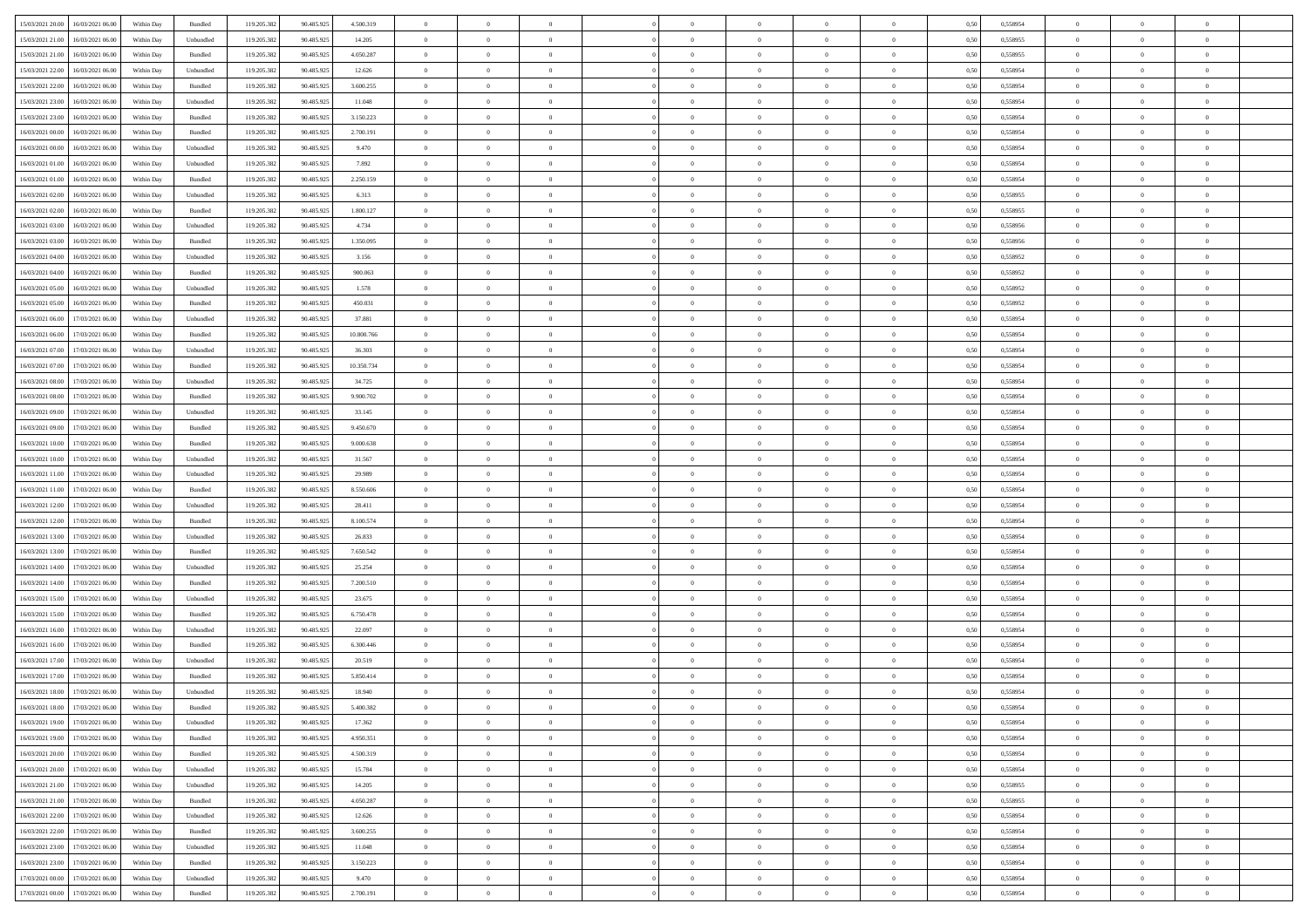| 15/03/2021 20:00 16/03/2021 06:00                                                                 | Within Day | Bundled            | 119.205.382 | 90.485.925 | 4.500.319  | $\overline{0}$ | $\theta$       |                | $\overline{0}$ | $\theta$       |                | $\theta$       | 0,50 | 0,558954 | $\theta$       | $\theta$       | $\overline{0}$ |  |
|---------------------------------------------------------------------------------------------------|------------|--------------------|-------------|------------|------------|----------------|----------------|----------------|----------------|----------------|----------------|----------------|------|----------|----------------|----------------|----------------|--|
|                                                                                                   |            |                    |             |            |            |                |                |                |                |                |                |                |      |          |                |                |                |  |
| 15/03/2021 21:00<br>16/03/2021 06:00                                                              | Within Day | Unbundled          | 119.205.38  | 90.485.925 | 14.205     | $\bf{0}$       | $\bf{0}$       | $\bf{0}$       | $\bf{0}$       | $\overline{0}$ | $\overline{0}$ | $\bf{0}$       | 0,50 | 0,558955 | $\,$ 0 $\,$    | $\bf{0}$       | $\overline{0}$ |  |
| 15/03/2021 21:00<br>16/03/2021 06:00                                                              | Within Day | Bundled            | 119.205.382 | 90.485.925 | 4.050.287  | $\overline{0}$ | $\bf{0}$       | $\overline{0}$ | $\bf{0}$       | $\bf{0}$       | $\overline{0}$ | $\bf{0}$       | 0.50 | 0,558955 | $\bf{0}$       | $\overline{0}$ | $\bf{0}$       |  |
| 15/03/2021 22:00<br>16/03/2021 06:00                                                              | Within Day | Unbundled          | 119.205.382 | 90.485.925 | 12.626     | $\overline{0}$ | $\overline{0}$ | $\overline{0}$ | $\overline{0}$ | $\theta$       | $\overline{0}$ | $\bf{0}$       | 0,50 | 0,558954 | $\theta$       | $\,$ 0 $\,$    | $\overline{0}$ |  |
| 15/03/2021 22.00<br>16/03/2021 06:00                                                              | Within Day | Bundled            | 119.205.38  | 90.485.925 | 3.600.255  | $\overline{0}$ | $\overline{0}$ | $\bf{0}$       | $\overline{0}$ | $\bf{0}$       | $\overline{0}$ | $\bf{0}$       | 0,50 | 0,558954 | $\,$ 0 $\,$    | $\bf{0}$       | $\overline{0}$ |  |
| 15/03/2021 23:00<br>16/03/2021 06:00                                                              | Within Day | Unbundled          | 119.205.382 | 90.485.925 | 11.048     | $\overline{0}$ | $\bf{0}$       | $\overline{0}$ | $\bf{0}$       | $\overline{0}$ | $\theta$       | $\bf{0}$       | 0.50 | 0.558954 | $\,$ 0 $\,$    | $\theta$       | $\overline{0}$ |  |
|                                                                                                   |            |                    |             |            |            | $\overline{0}$ | $\overline{0}$ | $\overline{0}$ | $\overline{0}$ | $\overline{0}$ | $\overline{0}$ |                |      |          | $\theta$       | $\theta$       |                |  |
| 15/03/2021 23:00<br>16/03/2021 06:00                                                              | Within Day | Bundled            | 119.205.38  | 90.485.925 | 3.150.223  |                |                |                |                |                |                | $\bf{0}$       | 0,50 | 0,558954 |                |                | $\overline{0}$ |  |
| 16/03/2021 00:00<br>16/03/2021 06:00                                                              | Within Day | Bundled            | 119.205.38  | 90.485.92  | 2.700.191  | $\bf{0}$       | $\bf{0}$       | $\bf{0}$       | $\overline{0}$ | $\overline{0}$ | $\overline{0}$ | $\bf{0}$       | 0,50 | 0,558954 | $\,$ 0 $\,$    | $\bf{0}$       | $\overline{0}$ |  |
| 16/03/2021 00:00<br>16/03/2021 06:00                                                              | Within Day | Unbundled          | 119,205.38  | 90.485.92  | 9.470      | $\overline{0}$ | $\bf{0}$       | $\overline{0}$ | $\bf{0}$       | $\overline{0}$ | $\overline{0}$ | $\bf{0}$       | 0.50 | 0.558954 | $\bf{0}$       | $\overline{0}$ | $\overline{0}$ |  |
| 16/03/2021 01:00<br>16/03/2021 06:00                                                              | Within Day | Unbundled          | 119.205.382 | 90.485.925 | 7.892      | $\overline{0}$ | $\bf{0}$       | $\overline{0}$ | $\overline{0}$ | $\overline{0}$ | $\overline{0}$ | $\bf{0}$       | 0,50 | 0,558954 | $\,$ 0 $\,$    | $\,$ 0 $\,$    | $\overline{0}$ |  |
| 16/03/2021 01:00<br>16/03/2021 06:00                                                              | Within Day | Bundled            | 119.205.38  | 90.485.925 | 2.250.159  | $\bf{0}$       | $\bf{0}$       | $\bf{0}$       | $\bf{0}$       | $\overline{0}$ | $\overline{0}$ | $\bf{0}$       | 0,50 | 0,558954 | $\,$ 0 $\,$    | $\bf{0}$       | $\overline{0}$ |  |
| 16/03/2021 02:00<br>16/03/2021 06:00                                                              | Within Day | Unbundled          | 119.205.382 | 90.485.925 | 6.313      | $\overline{0}$ | $\bf{0}$       | $\overline{0}$ | $\overline{0}$ | $\bf{0}$       | $\overline{0}$ | $\bf{0}$       | 0.50 | 0.558955 | $\bf{0}$       | $\,$ 0 $\,$    | $\,$ 0         |  |
| 16/03/2021 02:00<br>16/03/2021 06:00                                                              | Within Day | Bundled            | 119.205.38  | 90.485.925 | 1.800.127  | $\overline{0}$ | $\bf{0}$       | $\overline{0}$ | $\theta$       | $\theta$       | $\overline{0}$ | $\bf{0}$       | 0,50 | 0,558955 | $\,$ 0 $\,$    | $\,$ 0 $\,$    | $\overline{0}$ |  |
|                                                                                                   |            |                    |             |            |            |                | $\overline{0}$ |                |                |                | $\overline{0}$ |                |      |          | $\,$ 0 $\,$    | $\bf{0}$       | $\overline{0}$ |  |
| 16/03/2021 03:00<br>16/03/2021 06:00                                                              | Within Day | Unbundled          | 119.205.38  | 90.485.925 | 4.734      | $\bf{0}$       |                | $\bf{0}$       | $\bf{0}$       | $\bf{0}$       |                | $\bf{0}$       | 0,50 | 0,558956 |                |                |                |  |
| 16/03/2021 03:00<br>16/03/2021 06:00                                                              | Within Day | Bundled            | 119.205.382 | 90.485.925 | 1.350.095  | $\overline{0}$ | $\bf{0}$       | $\overline{0}$ | $\bf{0}$       | $\overline{0}$ | $\theta$       | $\bf{0}$       | 0.50 | 0.558956 | $\,$ 0 $\,$    | $\theta$       | $\overline{0}$ |  |
| 16/03/2021 04:00<br>16/03/2021 06:00                                                              | Within Day | Unbundled          | 119.205.382 | 90.485.925 | 3.156      | $\overline{0}$ | $\bf{0}$       | $\overline{0}$ | $\overline{0}$ | $\overline{0}$ | $\overline{0}$ | $\bf{0}$       | 0,50 | 0,558952 | $\theta$       | $\theta$       | $\overline{0}$ |  |
| 16/03/2021 04:00<br>16/03/2021 06:00                                                              | Within Day | Bundled            | 119.205.38  | 90.485.92  | 900.063    | $\bf{0}$       | $\bf{0}$       | $\bf{0}$       | $\overline{0}$ | $\overline{0}$ | $\overline{0}$ | $\bf{0}$       | 0,50 | 0,558952 | $\,$ 0 $\,$    | $\bf{0}$       | $\overline{0}$ |  |
| 16/03/2021 05:00<br>16/03/2021 06:00                                                              | Within Day | Unbundled          | 119,205.38  | 90.485.925 | 1.578      | $\overline{0}$ | $\bf{0}$       | $\overline{0}$ | $\bf{0}$       | $\overline{0}$ | $\overline{0}$ | $\bf{0}$       | 0.50 | 0.558952 | $\bf{0}$       | $\overline{0}$ | $\bf{0}$       |  |
| 16/03/2021 05:00<br>16/03/2021 06:00                                                              | Within Day | Bundled            | 119.205.382 | 90.485.925 | 450.031    | $\overline{0}$ | $\bf{0}$       | $\overline{0}$ | $\overline{0}$ | $\overline{0}$ | $\overline{0}$ | $\bf{0}$       | 0,50 | 0,558952 | $\,$ 0 $\,$    | $\bf{0}$       | $\overline{0}$ |  |
| 16/03/2021 06:00<br>17/03/2021 06:00                                                              | Within Day | Unbundled          | 119.205.38  | 90.485.925 | 37.881     | $\bf{0}$       | $\bf{0}$       | $\bf{0}$       | $\bf{0}$       | $\overline{0}$ | $\overline{0}$ | $\bf{0}$       | 0,50 | 0,558954 | $\,$ 0 $\,$    | $\bf{0}$       | $\overline{0}$ |  |
| 16/03/2021 06:00<br>17/03/2021 06:00                                                              | Within Day | Bundled            | 119.205.382 | 90.485.925 | 10,800,766 | $\overline{0}$ | $\bf{0}$       | $\overline{0}$ | $\overline{0}$ | $\bf{0}$       | $\overline{0}$ | $\bf{0}$       | 0.50 | 0.558954 | $\bf{0}$       | $\overline{0}$ | $\,$ 0         |  |
|                                                                                                   |            |                    |             |            |            | $\overline{0}$ | $\overline{0}$ | $\overline{0}$ | $\overline{0}$ | $\theta$       | $\overline{0}$ |                |      |          | $\theta$       | $\theta$       | $\overline{0}$ |  |
| 16/03/2021 07:00<br>17/03/2021 06:00                                                              | Within Day | Unbundled          | 119.205.38  | 90.485.925 | 36.303     |                |                |                |                |                |                | $\bf{0}$       | 0,50 | 0,558954 |                |                |                |  |
| 16/03/2021 07:00<br>17/03/2021 06:00                                                              | Within Day | Bundled            | 119.205.38  | 90.485.925 | 10.350.734 | $\bf{0}$       | $\bf{0}$       | $\bf{0}$       | $\bf{0}$       | $\overline{0}$ | $\overline{0}$ | $\bf{0}$       | 0,50 | 0,558954 | $\,$ 0 $\,$    | $\bf{0}$       | $\overline{0}$ |  |
| 16/03/2021 08:00<br>17/03/2021 06:00                                                              | Within Day | Unbundled          | 119.205.382 | 90.485.925 | 34.725     | $\overline{0}$ | $\bf{0}$       | $\overline{0}$ | $\bf{0}$       | $\overline{0}$ | $\theta$       | $\bf{0}$       | 0.50 | 0.558954 | $\,$ 0 $\,$    | $\bf{0}$       | $\overline{0}$ |  |
| 16/03/2021 08:00<br>17/03/2021 06:00                                                              | Within Day | Bundled            | 119.205.382 | 90.485.925 | 9.900.702  | $\overline{0}$ | $\overline{0}$ | $\overline{0}$ | $\overline{0}$ | $\overline{0}$ | $\overline{0}$ | $\bf{0}$       | 0,50 | 0,558954 | $\,$ 0 $\,$    | $\theta$       | $\overline{0}$ |  |
| 16/03/2021 09:00<br>17/03/2021 06.00                                                              | Within Day | Unbundled          | 119.205.38  | 90.485.92  | 33.145     | $\bf{0}$       | $\overline{0}$ | $\bf{0}$       | $\overline{0}$ | $\bf{0}$       | $\overline{0}$ | $\bf{0}$       | 0,50 | 0,558954 | $\,$ 0 $\,$    | $\bf{0}$       | $\overline{0}$ |  |
| 16/03/2021 09:00<br>17/03/2021 06:00                                                              | Within Day | Bundled            | 119,205.38  | 90.485.925 | 9.450.670  | $\overline{0}$ | $\bf{0}$       | $\overline{0}$ | $\bf{0}$       | $\overline{0}$ | $\overline{0}$ | $\bf{0}$       | 0.50 | 0.558954 | $\bf{0}$       | $\overline{0}$ | $\overline{0}$ |  |
| 16/03/2021 10:00<br>17/03/2021 06:00                                                              | Within Day | Bundled            | 119.205.382 | 90.485.925 | 9.000.638  | $\overline{0}$ | $\bf{0}$       | $\overline{0}$ | $\overline{0}$ | $\overline{0}$ | $\overline{0}$ | $\bf{0}$       | 0,50 | 0,558954 | $\theta$       | $\bf{0}$       | $\overline{0}$ |  |
| 16/03/2021 10:00<br>17/03/2021 06:00                                                              | Within Day | Unbundled          | 119.205.38  | 90.485.925 | 31.567     | $\bf{0}$       | $\bf{0}$       | $\bf{0}$       | $\bf{0}$       | $\overline{0}$ | $\overline{0}$ | $\bf{0}$       | 0,50 | 0,558954 | $\,$ 0 $\,$    | $\bf{0}$       | $\overline{0}$ |  |
|                                                                                                   |            |                    |             |            |            |                |                |                |                |                |                |                |      |          |                |                |                |  |
| 16/03/2021 11:00<br>17/03/2021 06:00                                                              | Within Day | Unbundled          | 119.205.382 | 90.485.925 | 29.989     | $\overline{0}$ | $\bf{0}$       | $\overline{0}$ | $\bf{0}$       | $\bf{0}$       | $\overline{0}$ | $\bf{0}$       | 0.50 | 0.558954 | $\bf{0}$       | $\,$ 0 $\,$    | $\,$ 0         |  |
| 16/03/2021 11:00<br>17/03/2021 06:00                                                              | Within Day | Bundled            | 119.205.382 | 90.485.925 | 8.550,606  | $\overline{0}$ | $\overline{0}$ | $\overline{0}$ | $\overline{0}$ | $\overline{0}$ | $\overline{0}$ | $\bf{0}$       | 0.50 | 0.558954 | $\theta$       | $\theta$       | $\overline{0}$ |  |
| 16/03/2021 12:00<br>17/03/2021 06:00                                                              | Within Day | Unbundled          | 119.205.38  | 90.485.925 | 28.411     | $\bf{0}$       | $\bf{0}$       | $\bf{0}$       | $\bf{0}$       | $\overline{0}$ | $\overline{0}$ | $\bf{0}$       | 0,50 | 0,558954 | $\,$ 0 $\,$    | $\bf{0}$       | $\overline{0}$ |  |
| 16/03/2021 12:00<br>17/03/2021 06:00                                                              | Within Day | Bundled            | 119.205.382 | 90.485.925 | 8.100.574  | $\overline{0}$ | $\bf{0}$       | $\overline{0}$ | $\bf{0}$       | $\overline{0}$ | $\overline{0}$ | $\bf{0}$       | 0.50 | 0.558954 | $\,$ 0 $\,$    | $\bf{0}$       | $\overline{0}$ |  |
| 16/03/2021 13:00<br>17/03/2021 06:00                                                              | Within Dav | Unbundled          | 119.205.382 | 90.485.925 | 26.833     | $\overline{0}$ | $\overline{0}$ | $\overline{0}$ | $\overline{0}$ | $\theta$       | $\overline{0}$ | $\bf{0}$       | 0.50 | 0,558954 | $\theta$       | $\theta$       | $\overline{0}$ |  |
| 16/03/2021 13:00<br>17/03/2021 06:00                                                              | Within Day | Bundled            | 119.205.38  | 90.485.925 | 7.650.542  | $\bf{0}$       | $\bf{0}$       | $\bf{0}$       | $\bf{0}$       | $\overline{0}$ | $\overline{0}$ | $\bf{0}$       | 0,50 | 0,558954 | $\,$ 0 $\,$    | $\bf{0}$       | $\overline{0}$ |  |
| 16/03/2021 14:00<br>17/03/2021 06:00                                                              | Within Day | Unbundled          | 119,205.38  | 90.485.92  | 25.254     | $\overline{0}$ | $\bf{0}$       | $\overline{0}$ | $\bf{0}$       | $\overline{0}$ | $\overline{0}$ | $\bf{0}$       | 0.50 | 0.558954 | $\bf{0}$       | $\overline{0}$ | $\bf{0}$       |  |
| 16/03/2021 14:00<br>17/03/2021 06:00                                                              | Within Day | Bundled            | 119.205.38  | 90.485.92  | 7.200.510  | $\overline{0}$ | $\overline{0}$ | $\overline{0}$ | $\overline{0}$ | $\overline{0}$ | $\overline{0}$ | $\bf{0}$       | 0.50 | 0,558954 | $\theta$       | $\theta$       | $\overline{0}$ |  |
| 17/03/2021 06:00                                                                                  | Within Day | Unbundled          |             | 90.485.925 | 23.675     | $\bf{0}$       | $\bf{0}$       | $\bf{0}$       | $\bf{0}$       | $\overline{0}$ | $\overline{0}$ | $\bf{0}$       | 0,50 | 0,558954 | $\,$ 0 $\,$    | $\bf{0}$       | $\overline{0}$ |  |
| 16/03/2021 15:00                                                                                  |            |                    | 119.205.38  |            |            |                |                |                |                |                |                |                |      |          |                |                |                |  |
| 16/03/2021 15:00<br>17/03/2021 06:00                                                              | Within Day | Bundled            | 119.205.382 | 90.485.925 | 6.750.478  | $\overline{0}$ | $\bf{0}$       | $\overline{0}$ | $\overline{0}$ | $\bf{0}$       | $\overline{0}$ | $\bf{0}$       | 0.50 | 0.558954 | $\bf{0}$       | $\,$ 0 $\,$    | $\,$ 0         |  |
| 16/03/2021 16:00<br>17/03/2021 06:00                                                              | Within Day | Unbundled          | 119.205.382 | 90.485.925 | 22,097     | $\overline{0}$ | $\overline{0}$ | $\overline{0}$ | $\overline{0}$ | $\overline{0}$ | $\overline{0}$ | $\bf{0}$       | 0.50 | 0.558954 | $\theta$       | $\theta$       | $\overline{0}$ |  |
| 16/03/2021 16:00<br>17/03/2021 06:00                                                              | Within Day | Bundled            | 119.205.38  | 90.485.925 | 6.300.446  | $\bf{0}$       | $\bf{0}$       | $\bf{0}$       | $\bf{0}$       | $\overline{0}$ | $\overline{0}$ | $\bf{0}$       | 0,50 | 0,558954 | $\,$ 0 $\,$    | $\bf{0}$       | $\overline{0}$ |  |
| 16/03/2021 17:00<br>17/03/2021 06:00                                                              | Within Day | Unbundled          | 119.205.382 | 90.485.925 | 20.519     | $\overline{0}$ | $\overline{0}$ | $\overline{0}$ | $\bf{0}$       | $\overline{0}$ | $\overline{0}$ | $\bf{0}$       | 0.50 | 0.558954 | $\bf{0}$       | $\theta$       | $\overline{0}$ |  |
| 16/03/2021 17:00<br>17/03/2021 06:00                                                              | Within Day | Bundled            | 119.205.38  | 90.485.92  | 5.850.414  | $\overline{0}$ | $\overline{0}$ | $\overline{0}$ | $\theta$       | $\theta$       | $\overline{0}$ | $\overline{0}$ | 0.50 | 0,558954 | $\theta$       | $\theta$       | $\overline{0}$ |  |
| 16/03/2021 18:00<br>17/03/2021 06:00                                                              | Within Day | Unbundled          | 119.205.382 | 90.485.925 | 18.940     | $\bf{0}$       | $\bf{0}$       | $\bf{0}$       | $\bf{0}$       | $\bf{0}$       | $\overline{0}$ | $\bf{0}$       | 0,50 | 0,558954 | $\overline{0}$ | $\overline{0}$ | $\overline{0}$ |  |
| $\begin{array}{ c c c c c } \hline 16/03/2021 & 18.00 & 17/03/2021 & 06.00 \\ \hline \end{array}$ | Within Day | $\mathbf B$ undled | 119.205.382 | 90.485.925 | 5.400.382  | $\bf{0}$       | $\theta$       |                | $\overline{0}$ |                |                |                | 0,50 | 0,558954 | $\bf{0}$       | $\overline{0}$ |                |  |
| 16/03/2021 19:00 17/03/2021 06:00                                                                 | Within Day | Unbundled          | 119.205.382 | 90.485.925 | 17.362     | $\overline{0}$ | $\overline{0}$ | $\overline{0}$ | $\theta$       | $\overline{0}$ | $\overline{0}$ | $\bf{0}$       | 0,50 | 0,558954 | $\theta$       | $\overline{0}$ | $\overline{0}$ |  |
|                                                                                                   |            |                    |             |            |            |                |                |                |                |                |                |                |      |          |                |                |                |  |
| 16/03/2021 19:00<br>17/03/2021 06:00                                                              | Within Day | Bundled            | 119.205.38  | 90.485.925 | 4.950.351  | $\overline{0}$ | $\bf{0}$       | $\overline{0}$ | $\overline{0}$ | $\bf{0}$       | $\overline{0}$ | $\bf{0}$       | 0,50 | 0,558954 | $\bf{0}$       | $\overline{0}$ | $\bf{0}$       |  |
| 16/03/2021 20:00 17/03/2021 06:00                                                                 | Within Day | Bundled            | 119.205.382 | 90.485.925 | 4.500.319  | $\overline{0}$ | $\overline{0}$ | $\overline{0}$ | $\overline{0}$ | $\mathbf{0}$   | $\overline{0}$ | $\,$ 0 $\,$    | 0.50 | 0.558954 | $\overline{0}$ | $\bf{0}$       | $\bf{0}$       |  |
| 16/03/2021 20:00 17/03/2021 06:00                                                                 | Within Day | Unbundled          | 119.205.382 | 90.485.925 | 15.784     | $\overline{0}$ | $\overline{0}$ | $\overline{0}$ | $\overline{0}$ | $\overline{0}$ | $\overline{0}$ | $\bf{0}$       | 0,50 | 0,558954 | $\overline{0}$ | $\theta$       | $\overline{0}$ |  |
| 16/03/2021 21:00<br>17/03/2021 06:00                                                              | Within Day | Unbundled          | 119.205.382 | 90.485.925 | 14.205     | $\overline{0}$ | $\bf{0}$       | $\overline{0}$ | $\overline{0}$ | $\bf{0}$       | $\overline{0}$ | $\bf{0}$       | 0,50 | 0,558955 | $\bf{0}$       | $\overline{0}$ | $\overline{0}$ |  |
| 16/03/2021 21:00<br>17/03/2021 06:00                                                              | Within Day | Bundled            | 119.205.382 | 90.485.925 | 4.050.287  | $\overline{0}$ | $\bf{0}$       | $\overline{0}$ | $\overline{0}$ | $\bf{0}$       | $\overline{0}$ | $\bf{0}$       | 0.50 | 0.558955 | $\,$ 0 $\,$    | $\overline{0}$ | $\,$ 0         |  |
| 16/03/2021 22:00<br>17/03/2021 06:00                                                              | Within Dav | Unbundled          | 119.205.382 | 90.485.925 | 12.626     | $\overline{0}$ | $\overline{0}$ | $\overline{0}$ | $\overline{0}$ | $\overline{0}$ | $\overline{0}$ | $\bf{0}$       | 0.50 | 0,558954 | $\overline{0}$ | $\theta$       | $\overline{0}$ |  |
| 16/03/2021 22.00<br>17/03/2021 06:00                                                              | Within Day | Bundled            | 119.205.38  | 90.485.925 | 3.600.255  | $\overline{0}$ | $\overline{0}$ | $\overline{0}$ | $\overline{0}$ | $\overline{0}$ | $\overline{0}$ | $\bf{0}$       | 0,50 | 0,558954 | $\bf{0}$       | $\overline{0}$ | $\,$ 0         |  |
|                                                                                                   |            | Unbundled          | 119.205.382 | 90.485.925 | 11.048     |                |                |                |                |                | $\overline{0}$ |                | 0.50 | 0.558954 |                |                | $\,$ 0         |  |
| 16/03/2021 23:00<br>17/03/2021 06:00                                                              | Within Day |                    |             |            |            | $\overline{0}$ | $\bf{0}$       | $\overline{0}$ | $\overline{0}$ | $\overline{0}$ |                | $\bf{0}$       |      |          | $\mathbf{0}$   | $\bf{0}$       |                |  |
| 16/03/2021 23:00<br>17/03/2021 06:00                                                              | Within Dav | Bundled            | 119.205.382 | 90.485.925 | 3.150.223  | $\overline{0}$ | $\overline{0}$ | $\overline{0}$ | $\overline{0}$ | $\overline{0}$ | $\overline{0}$ | $\bf{0}$       | 0,50 | 0,558954 | $\overline{0}$ | $\theta$       | $\overline{0}$ |  |
| 17/03/2021 00:00<br>17/03/2021 06:00                                                              | Within Day | Unbundled          | 119.205.38  | 90.485.925 | 9.470      | $\overline{0}$ | $\bf{0}$       | $\overline{0}$ | $\overline{0}$ | $\bf{0}$       | $\overline{0}$ | $\bf{0}$       | 0,50 | 0,558954 | $\bf{0}$       | $\overline{0}$ | $\bf{0}$       |  |
| 17/03/2021 00:00 17/03/2021 06:00                                                                 | Within Day | Bundled            | 119.205.382 | 90.485.925 | 2.700.191  | $\overline{0}$ | $\bf{0}$       | $\overline{0}$ | $\overline{0}$ | $\,$ 0 $\,$    | $\overline{0}$ | $\,$ 0 $\,$    | 0,50 | 0,558954 | $\overline{0}$ | $\,$ 0 $\,$    | $\,$ 0 $\,$    |  |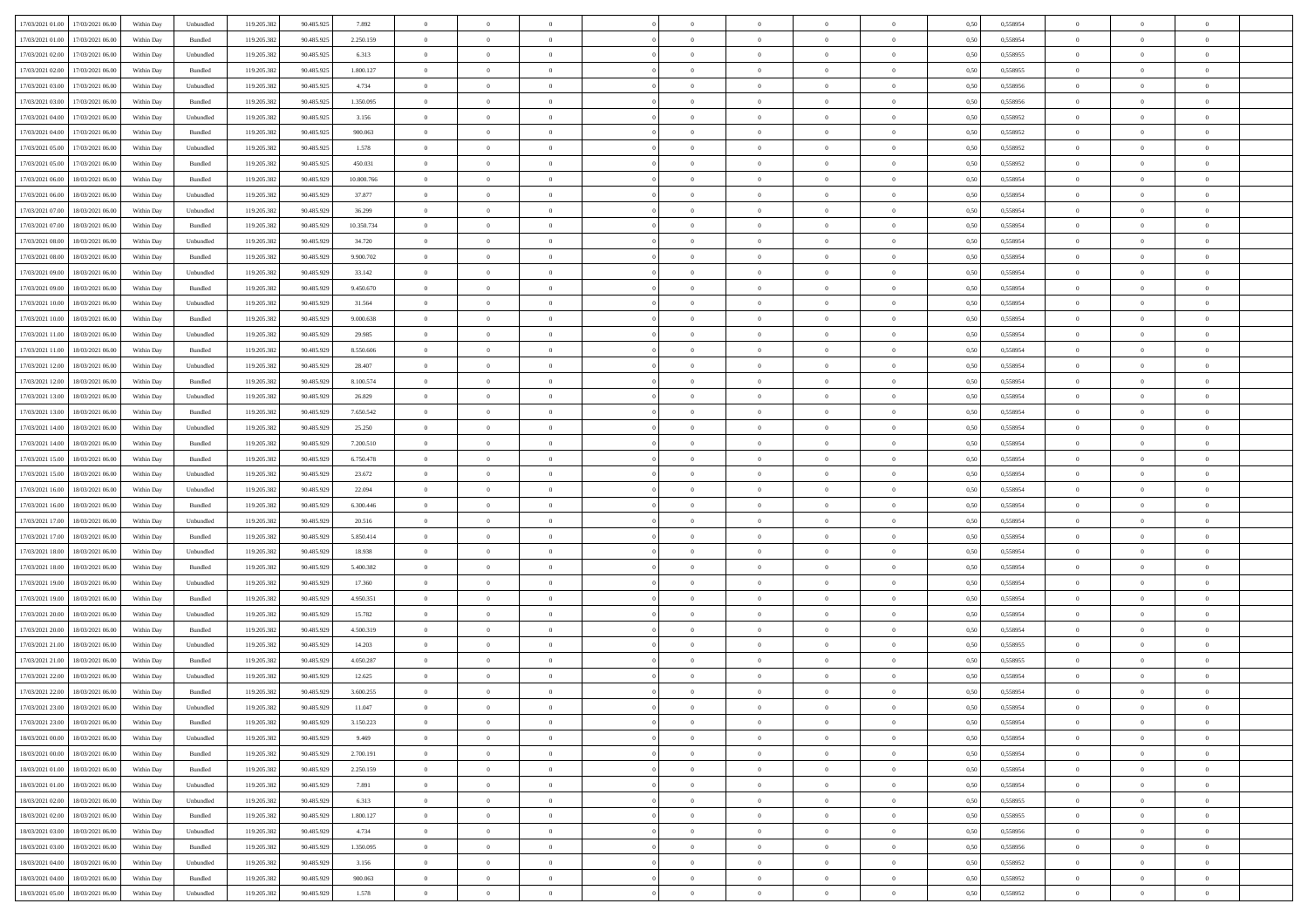| 17/03/2021 01:00 17/03/2021 06:00            | Within Day | Unbundled                   | 119.205.382 | 90.485.925 | 7.892      | $\overline{0}$ | $\overline{0}$ |                | $\overline{0}$ | $\theta$       |                | $\theta$       | 0,50 | 0,558954 | $\theta$       | $\theta$       | $\overline{0}$ |  |
|----------------------------------------------|------------|-----------------------------|-------------|------------|------------|----------------|----------------|----------------|----------------|----------------|----------------|----------------|------|----------|----------------|----------------|----------------|--|
|                                              |            |                             |             |            |            |                |                |                |                |                |                |                |      |          |                |                |                |  |
| 17/03/2021 01:00<br>17/03/2021 06:00         | Within Day | Bundled                     | 119.205.38  | 90.485.925 | 2.250.159  | $\bf{0}$       | $\bf{0}$       | $\bf{0}$       | $\bf{0}$       | $\overline{0}$ | $\bf{0}$       | $\bf{0}$       | 0,50 | 0,558954 | $\,$ 0 $\,$    | $\bf{0}$       | $\overline{0}$ |  |
| 17/03/2021 02:00<br>17/03/2021 06:00         | Within Day | Unbundled                   | 119.205.382 | 90.485.925 | 6.313      | $\overline{0}$ | $\bf{0}$       | $\overline{0}$ | $\overline{0}$ | $\overline{0}$ | $\overline{0}$ | $\bf{0}$       | 0.50 | 0.558955 | $\overline{0}$ | $\,$ 0 $\,$    | $\,$ 0         |  |
| 17/03/2021 02:00<br>17/03/2021 06:00         | Within Day | Bundled                     | 119.205.382 | 90.485.925 | 1.800.127  | $\overline{0}$ | $\overline{0}$ | $\overline{0}$ | $\overline{0}$ | $\overline{0}$ | $\overline{0}$ | $\bf{0}$       | 0,50 | 0,558955 | $\,$ 0 $\,$    | $\overline{0}$ | $\overline{0}$ |  |
| 17/03/2021 03:00<br>17/03/2021 06:00         | Within Day | Unbundled                   | 119.205.38  | 90.485.925 | 4.734      | $\bf{0}$       | $\bf{0}$       | $\bf{0}$       | $\bf{0}$       | $\overline{0}$ | $\overline{0}$ | $\bf{0}$       | 0,50 | 0,558956 | $\,$ 0 $\,$    | $\bf{0}$       | $\overline{0}$ |  |
| 17/03/2021 03:00<br>17/03/2021 06:00         | Within Day | Bundled                     | 119.205.382 | 90.485.925 | 1.350.095  | $\overline{0}$ | $\bf{0}$       | $\overline{0}$ | $\bf{0}$       | $\overline{0}$ | $\overline{0}$ | $\bf{0}$       | 0.50 | 0.558956 | $\,$ 0 $\,$    | $\overline{0}$ | $\overline{0}$ |  |
| 17/03/2021 04:00<br>17/03/2021 06:00         |            |                             | 119.205.38  |            |            | $\overline{0}$ | $\bf{0}$       | $\overline{0}$ | $\overline{0}$ | $\overline{0}$ | $\overline{0}$ |                |      |          | $\,$ 0 $\,$    | $\bf{0}$       | $\overline{0}$ |  |
|                                              | Within Day | Unbundled                   |             | 90.485.925 | 3.156      |                |                |                |                |                |                | $\bf{0}$       | 0,50 | 0,558952 |                |                |                |  |
| 17/03/2021 04:00<br>17/03/2021 06:00         | Within Day | Bundled                     | 119.205.38  | 90.485.92  | 900.063    | $\bf{0}$       | $\bf{0}$       | $\bf{0}$       | $\bf{0}$       | $\overline{0}$ | $\overline{0}$ | $\bf{0}$       | 0,50 | 0,558952 | $\,$ 0 $\,$    | $\bf{0}$       | $\overline{0}$ |  |
| 17/03/2021 05:00<br>17/03/2021 06:00         | Within Day | Unbundled                   | 119,205.38  | 90.485.925 | 1.578      | $\overline{0}$ | $\bf{0}$       | $\overline{0}$ | $\bf{0}$       | $\overline{0}$ | $\overline{0}$ | $\bf{0}$       | 0.50 | 0.558952 | $\bf{0}$       | $\overline{0}$ | $\bf{0}$       |  |
| 17/03/2021 05:00<br>17/03/2021 06:00         | Within Day | Bundled                     | 119.205.382 | 90.485.925 | 450.031    | $\bf{0}$       | $\bf{0}$       | $\overline{0}$ | $\overline{0}$ | $\overline{0}$ | $\overline{0}$ | $\bf{0}$       | 0,50 | 0,558952 | $\,$ 0 $\,$    | $\overline{0}$ | $\overline{0}$ |  |
| 17/03/2021 06:00<br>18/03/2021 06:00         | Within Day | Bundled                     | 119.205.38  | 90.485.929 | 10.800.766 | $\bf{0}$       | $\bf{0}$       | $\bf{0}$       | $\bf{0}$       | $\overline{0}$ | $\overline{0}$ | $\bf{0}$       | 0,50 | 0,558954 | $\,$ 0 $\,$    | $\bf{0}$       | $\overline{0}$ |  |
| 17/03/2021 06:00<br>18/03/2021 06:00         | Within Day | Unbundled                   | 119.205.382 | 90.485.929 | 37,877     | $\overline{0}$ | $\bf{0}$       | $\overline{0}$ | $\overline{0}$ | $\overline{0}$ | $\overline{0}$ | $\bf{0}$       | 0.50 | 0.558954 | $\bf{0}$       | $\,$ 0 $\,$    | $\,$ 0         |  |
| 17/03/2021 07:00<br>18/03/2021 06:00         | Within Day | Unbundled                   | 119.205.38  | 90.485.929 | 36.299     | $\overline{0}$ | $\bf{0}$       | $\overline{0}$ | $\theta$       | $\theta$       | $\overline{0}$ | $\bf{0}$       | 0,50 | 0,558954 | $\,$ 0 $\,$    | $\,$ 0 $\,$    | $\overline{0}$ |  |
| 17/03/2021 07:00<br>18/03/2021 06:00         | Within Day | Bundled                     | 119.205.38  | 90.485.929 | 10.350.734 | $\bf{0}$       | $\bf{0}$       | $\bf{0}$       | $\bf{0}$       | $\overline{0}$ | $\overline{0}$ | $\bf{0}$       | 0,50 | 0,558954 | $\,$ 0 $\,$    | $\bf{0}$       | $\overline{0}$ |  |
|                                              |            |                             |             |            |            |                |                |                |                |                |                |                |      |          |                |                |                |  |
| 17/03/2021 08:00<br>18/03/2021 06:00         | Within Day | Unbundled                   | 119.205.382 | 90.485.929 | 34.720     | $\overline{0}$ | $\bf{0}$       | $\overline{0}$ | $\bf{0}$       | $\overline{0}$ | $\overline{0}$ | $\bf{0}$       | 0.50 | 0.558954 | $\,$ 0 $\,$    | $\bf{0}$       | $\overline{0}$ |  |
| 17/03/2021 08:00<br>18/03/2021 06:00         | Within Day | Bundled                     | 119.205.382 | 90.485.929 | 9.900.702  | $\overline{0}$ | $\bf{0}$       | $\overline{0}$ | $\overline{0}$ | $\overline{0}$ | $\overline{0}$ | $\bf{0}$       | 0,50 | 0,558954 | $\theta$       | $\theta$       | $\overline{0}$ |  |
| 17/03/2021 09:00<br>18/03/2021 06:00         | Within Day | Unbundled                   | 119.205.38  | 90.485.929 | 33.142     | $\bf{0}$       | $\bf{0}$       | $\bf{0}$       | $\bf{0}$       | $\overline{0}$ | $\overline{0}$ | $\bf{0}$       | 0,50 | 0,558954 | $\,$ 0 $\,$    | $\bf{0}$       | $\overline{0}$ |  |
| 17/03/2021 09:00<br>18/03/2021 06:00         | Within Day | Bundled                     | 119,205.38  | 90.485.929 | 9.450.670  | $\overline{0}$ | $\bf{0}$       | $\overline{0}$ | $\bf{0}$       | $\overline{0}$ | $\overline{0}$ | $\bf{0}$       | 0.50 | 0.558954 | $\bf{0}$       | $\overline{0}$ | $\,$ 0         |  |
| 17/03/2021 10:00<br>18/03/2021 06:00         | Within Day | Unbundled                   | 119.205.382 | 90.485.929 | 31.564     | $\bf{0}$       | $\bf{0}$       | $\overline{0}$ | $\overline{0}$ | $\overline{0}$ | $\overline{0}$ | $\bf{0}$       | 0,50 | 0,558954 | $\,$ 0 $\,$    | $\bf{0}$       | $\overline{0}$ |  |
| 17/03/2021 10:00<br>18/03/2021 06:00         | Within Day | Bundled                     | 119.205.38  | 90.485.929 | 9.000.638  | $\bf{0}$       | $\bf{0}$       | $\bf{0}$       | $\bf{0}$       | $\overline{0}$ | $\overline{0}$ | $\bf{0}$       | 0,50 | 0,558954 | $\,$ 0 $\,$    | $\bf{0}$       | $\overline{0}$ |  |
| 17/03/2021 11:00<br>18/03/2021 06:00         | Within Day | Unbundled                   | 119.205.382 | 90.485.929 | 29.985     | $\overline{0}$ | $\bf{0}$       | $\overline{0}$ | $\overline{0}$ | $\overline{0}$ | $\overline{0}$ | $\bf{0}$       | 0.50 | 0.558954 | $\bf{0}$       | $\,$ 0 $\,$    | $\,$ 0         |  |
|                                              |            |                             |             |            |            |                |                |                |                |                |                |                |      |          |                |                |                |  |
| 17/03/2021 11:00<br>18/03/2021 06:00         | Within Day | Bundled                     | 119.205.38  | 90.485.929 | 8.550.606  | $\overline{0}$ | $\overline{0}$ | $\overline{0}$ | $\overline{0}$ | $\overline{0}$ | $\overline{0}$ | $\bf{0}$       | 0,50 | 0,558954 | $\theta$       | $\overline{0}$ | $\overline{0}$ |  |
| 17/03/2021 12:00<br>18/03/2021 06:00         | Within Day | Unbundled                   | 119.205.38  | 90.485.929 | 28.407     | $\bf{0}$       | $\bf{0}$       | $\bf{0}$       | $\bf{0}$       | $\overline{0}$ | $\overline{0}$ | $\bf{0}$       | 0,50 | 0,558954 | $\,$ 0 $\,$    | $\bf{0}$       | $\overline{0}$ |  |
| 17/03/2021 12:00<br>18/03/2021 06:00         | Within Day | Bundled                     | 119.205.382 | 90.485.929 | 8,100.574  | $\overline{0}$ | $\bf{0}$       | $\overline{0}$ | $\bf{0}$       | $\overline{0}$ | $\overline{0}$ | $\bf{0}$       | 0.50 | 0.558954 | $\bf{0}$       | $\overline{0}$ | $\overline{0}$ |  |
| 17/03/2021 13:00<br>18/03/2021 06:00         | Within Day | Unbundled                   | 119.205.38  | 90.485.929 | 26.829     | $\overline{0}$ | $\bf{0}$       | $\overline{0}$ | $\overline{0}$ | $\overline{0}$ | $\overline{0}$ | $\bf{0}$       | 0,50 | 0,558954 | $\,$ 0 $\,$    | $\theta$       | $\overline{0}$ |  |
| 17/03/2021 13:00<br>18/03/2021 06:00         | Within Day | Bundled                     | 119.205.38  | 90.485.929 | 7.650.542  | $\bf{0}$       | $\overline{0}$ | $\bf{0}$       | $\bf{0}$       | $\overline{0}$ | $\overline{0}$ | $\bf{0}$       | 0,50 | 0,558954 | $\,$ 0 $\,$    | $\bf{0}$       | $\overline{0}$ |  |
| 17/03/2021 14:00<br>18/03/2021 06:00         | Within Day | Unbundled                   | 119,205.38  | 90.485.929 | 25.250     | $\overline{0}$ | $\bf{0}$       | $\overline{0}$ | $\bf{0}$       | $\overline{0}$ | $\overline{0}$ | $\bf{0}$       | 0.50 | 0.558954 | $\bf{0}$       | $\overline{0}$ | $\bf{0}$       |  |
| 17/03/2021 14:00<br>18/03/2021 06:00         | Within Day | Bundled                     | 119.205.382 | 90.485.929 | 7.200.510  | $\overline{0}$ | $\bf{0}$       | $\overline{0}$ | $\overline{0}$ | $\overline{0}$ | $\overline{0}$ | $\bf{0}$       | 0,50 | 0,558954 | $\,$ 0 $\,$    | $\overline{0}$ | $\overline{0}$ |  |
|                                              |            |                             |             |            |            |                |                |                |                |                |                |                |      |          |                |                |                |  |
| 17/03/2021 15:00<br>18/03/2021 06:00         | Within Day | Bundled                     | 119.205.38  | 90.485.929 | 6.750.478  | $\bf{0}$       | $\bf{0}$       | $\bf{0}$       | $\bf{0}$       | $\overline{0}$ | $\overline{0}$ | $\bf{0}$       | 0,50 | 0,558954 | $\,$ 0 $\,$    | $\bf{0}$       | $\overline{0}$ |  |
| 17/03/2021 15:00<br>18/03/2021 06:00         | Within Day | Unbundled                   | 119.205.382 | 90.485.929 | 23.672     | $\overline{0}$ | $\bf{0}$       | $\overline{0}$ | $\overline{0}$ | $\overline{0}$ | $\overline{0}$ | $\bf{0}$       | 0.50 | 0.558954 | $\bf{0}$       | $\,$ 0 $\,$    | $\,$ 0         |  |
| 17/03/2021 16:00<br>18/03/2021 06:00         | Within Day | Unbundled                   | 119.205.382 | 90.485.929 | 22.094     | $\overline{0}$ | $\overline{0}$ | $\overline{0}$ | $\overline{0}$ | $\overline{0}$ | $\overline{0}$ | $\bf{0}$       | 0.50 | 0.558954 | $\theta$       | $\theta$       | $\overline{0}$ |  |
| 17/03/2021 16:00<br>18/03/2021 06:00         | Within Day | Bundled                     | 119.205.38  | 90.485.929 | 6.300.446  | $\bf{0}$       | $\bf{0}$       | $\bf{0}$       | $\bf{0}$       | $\overline{0}$ | $\overline{0}$ | $\bf{0}$       | 0,50 | 0,558954 | $\,$ 0 $\,$    | $\bf{0}$       | $\overline{0}$ |  |
| 17/03/2021 17:00<br>18/03/2021 06:00         | Within Day | Unbundled                   | 119.205.382 | 90.485.929 | 20.516     | $\overline{0}$ | $\bf{0}$       | $\overline{0}$ | $\bf{0}$       | $\overline{0}$ | $\overline{0}$ | $\bf{0}$       | 0.50 | 0.558954 | $\bf{0}$       | $\bf{0}$       | $\overline{0}$ |  |
| 17/03/2021 17:00<br>18/03/2021 06:00         | Within Dav | Bundled                     | 119.205.382 | 90.485.929 | 5.850.414  | $\overline{0}$ | $\overline{0}$ | $\overline{0}$ | $\overline{0}$ | $\overline{0}$ | $\overline{0}$ | $\bf{0}$       | 0.50 | 0,558954 | $\theta$       | $\theta$       | $\overline{0}$ |  |
| 17/03/2021 18:00<br>18/03/2021 06:00         | Within Day | Unbundled                   | 119.205.38  | 90.485.929 | 18.938     | $\bf{0}$       | $\bf{0}$       | $\bf{0}$       | $\bf{0}$       | $\overline{0}$ | $\overline{0}$ | $\bf{0}$       | 0,50 | 0,558954 | $\,$ 0 $\,$    | $\bf{0}$       | $\overline{0}$ |  |
| 17/03/2021 18:00<br>18/03/2021 06:00         | Within Day | Bundled                     | 119,205.38  | 90.485.929 | 5.400.382  | $\overline{0}$ | $\bf{0}$       | $\overline{0}$ | $\bf{0}$       | $\overline{0}$ | $\overline{0}$ | $\bf{0}$       | 0.50 | 0.558954 | $\bf{0}$       | $\overline{0}$ | $\,$ 0         |  |
| 17/03/2021 19:00<br>18/03/2021 06:00         | Within Day | Unbundled                   | 119.205.38  | 90.485.929 | 17,360     | $\overline{0}$ | $\overline{0}$ | $\overline{0}$ | $\overline{0}$ | $\overline{0}$ | $\overline{0}$ | $\bf{0}$       | 0.50 | 0,558954 | $\theta$       | $\overline{0}$ | $\overline{0}$ |  |
|                                              |            |                             |             |            |            |                |                |                |                |                |                |                |      |          |                |                |                |  |
| 17/03/2021 19:00<br>18/03/2021 06:00         | Within Day | Bundled                     | 119.205.38  | 90.485.929 | 4.950.351  | $\bf{0}$       | $\bf{0}$       | $\bf{0}$       | $\bf{0}$       | $\overline{0}$ | $\overline{0}$ | $\bf{0}$       | 0,50 | 0,558954 | $\,$ 0 $\,$    | $\overline{0}$ | $\overline{0}$ |  |
| 17/03/2021 20:00<br>18/03/2021 06:00         | Within Day | Unbundled                   | 119.205.382 | 90.485.929 | 15.782     | $\overline{0}$ | $\bf{0}$       | $\overline{0}$ | $\overline{0}$ | $\,$ 0 $\,$    | $\overline{0}$ | $\bf{0}$       | 0.50 | 0.558954 | $\bf{0}$       | $\,$ 0 $\,$    | $\,$ 0         |  |
| 17/03/2021 20:00<br>18/03/2021 06:00         | Within Day | Bundled                     | 119.205.382 | 90.485.929 | 4.500.319  | $\overline{0}$ | $\overline{0}$ | $\overline{0}$ | $\overline{0}$ | $\overline{0}$ | $\overline{0}$ | $\bf{0}$       | 0.50 | 0.558954 | $\theta$       | $\theta$       | $\overline{0}$ |  |
| 17/03/2021 21:00<br>18/03/2021 06:00         | Within Day | Unbundled                   | 119.205.38  | 90.485.929 | 14.203     | $\bf{0}$       | $\bf{0}$       | $\bf{0}$       | $\overline{0}$ | $\overline{0}$ | $\overline{0}$ | $\bf{0}$       | 0,50 | 0,558955 | $\,$ 0 $\,$    | $\bf{0}$       | $\overline{0}$ |  |
| 17/03/2021 21:00<br>18/03/2021 06:00         | Within Day | Bundled                     | 119.205.382 | 90.485.929 | 4.050.287  | $\overline{0}$ | $\bf{0}$       | $\overline{0}$ | $\bf{0}$       | $\overline{0}$ | $\overline{0}$ | $\bf{0}$       | 0.50 | 0.558955 | $\bf{0}$       | $\overline{0}$ | $\overline{0}$ |  |
| 17/03/2021 22:00<br>18/03/2021 06:00         | Within Dav | Unbundled                   | 119.205.38  | 90.485.929 | 12.625     | $\overline{0}$ | $\overline{0}$ | $\overline{0}$ | $\overline{0}$ | $\theta$       | $\overline{0}$ | $\overline{0}$ | 0.5( | 0,558954 | $\theta$       | $\theta$       | $\overline{0}$ |  |
| 17/03/2021 22:00<br>18/03/2021 06:00         | Within Day | Bundled                     | 119.205.382 | 90.485.929 | 3.600.255  | $\bf{0}$       | $\bf{0}$       | $\bf{0}$       | $\bf{0}$       | $\overline{0}$ | $\overline{0}$ | $\bf{0}$       | 0,50 | 0,558954 | $\overline{0}$ | $\overline{0}$ | $\overline{0}$ |  |
| $17/03/2021\ 23.00 \qquad 18/03/2021\ 06.00$ | Within Day | $\ensuremath{\mathsf{Unb}}$ | 119.205.382 | 90.485.929 | 11.047     | $\bf{0}$       | $\bf{0}$       |                | $\overline{0}$ | $\bf{0}$       |                | $\bf{0}$       | 0,50 | 0.558954 | $\,$ 0         | $\bf{0}$       |                |  |
|                                              |            |                             |             |            |            |                |                |                |                |                |                |                |      |          |                |                |                |  |
| 17/03/2021 23:00 18/03/2021 06:00            | Within Day | Bundled                     | 119.205.382 | 90.485.929 | 3.150.223  | $\overline{0}$ | $\overline{0}$ | $\overline{0}$ | $\overline{0}$ | $\overline{0}$ | $\overline{0}$ | $\bf{0}$       | 0,50 | 0,558954 | $\theta$       | $\theta$       | $\overline{0}$ |  |
| 18/03/2021 00:00<br>18/03/2021 06:00         | Within Day | Unbundled                   | 119.205.38  | 90.485.929 | 9.469      | $\overline{0}$ | $\bf{0}$       | $\overline{0}$ | $\overline{0}$ | $\bf{0}$       | $\overline{0}$ | $\bf{0}$       | 0,50 | 0,558954 | $\bf{0}$       | $\overline{0}$ | $\bf{0}$       |  |
| 18/03/2021 00:00 18/03/2021 06:00            | Within Day | Bundled                     | 119.205.382 | 90.485.929 | 2.700.191  | $\overline{0}$ | $\overline{0}$ | $\overline{0}$ | $\overline{0}$ | $\mathbf{0}$   | $\overline{0}$ | $\,$ 0 $\,$    | 0.50 | 0.558954 | $\overline{0}$ | $\bf{0}$       | $\bf{0}$       |  |
| 18/03/2021 01:00 18/03/2021 06:00            | Within Day | Bundled                     | 119.205.382 | 90.485.929 | 2.250.159  | $\overline{0}$ | $\overline{0}$ | $\overline{0}$ | $\overline{0}$ | $\overline{0}$ | $\overline{0}$ | $\bf{0}$       | 0,50 | 0,558954 | $\overline{0}$ | $\theta$       | $\overline{0}$ |  |
| 18/03/2021 01:00<br>18/03/2021 06:00         | Within Day | Unbundled                   | 119.205.382 | 90.485.929 | 7.891      | $\overline{0}$ | $\bf{0}$       | $\overline{0}$ | $\overline{0}$ | $\bf{0}$       | $\overline{0}$ | $\bf{0}$       | 0,50 | 0,558954 | $\bf{0}$       | $\overline{0}$ | $\overline{0}$ |  |
| 18/03/2021 02:00<br>18/03/2021 06:00         | Within Day | Unbundled                   | 119.205.382 | 90.485.929 | 6.313      | $\overline{0}$ | $\bf{0}$       | $\overline{0}$ | $\overline{0}$ | $\bf{0}$       | $\overline{0}$ | $\bf{0}$       | 0.50 | 0.558955 | $\,$ 0 $\,$    | $\overline{0}$ | $\,$ 0         |  |
| 18/03/2021 02:00<br>18/03/2021 06:00         | Within Dav | Bundled                     | 119.205.382 | 90.485.929 | 1.800.127  | $\overline{0}$ | $\overline{0}$ | $\overline{0}$ | $\overline{0}$ | $\overline{0}$ | $\overline{0}$ | $\bf{0}$       | 0.50 | 0,558955 | $\overline{0}$ | $\theta$       | $\overline{0}$ |  |
|                                              |            |                             |             |            |            |                |                |                |                |                |                |                |      |          |                |                |                |  |
| 18/03/2021 03:00<br>18/03/2021 06:00         | Within Day | Unbundled                   | 119.205.38  | 90.485.929 | 4.734      | $\overline{0}$ | $\overline{0}$ | $\overline{0}$ | $\overline{0}$ | $\overline{0}$ | $\overline{0}$ | $\bf{0}$       | 0,50 | 0,558956 | $\bf{0}$       | $\overline{0}$ | $\,$ 0         |  |
| 18/03/2021 03:00<br>18/03/2021 06:00         | Within Day | Bundled                     | 119.205.382 | 90.485.929 | 1.350.095  | $\overline{0}$ | $\bf{0}$       | $\overline{0}$ | $\overline{0}$ | $\overline{0}$ | $\overline{0}$ | $\bf{0}$       | 0.50 | 0.558956 | $\mathbf{0}$   | $\bf{0}$       | $\,$ 0         |  |
| 18/03/2021 04:00<br>18/03/2021 06:00         | Within Dav | Unbundled                   | 119.205.382 | 90.485.929 | 3.156      | $\overline{0}$ | $\overline{0}$ | $\overline{0}$ | $\overline{0}$ | $\overline{0}$ | $\overline{0}$ | $\bf{0}$       | 0,50 | 0,558952 | $\overline{0}$ | $\theta$       | $\overline{0}$ |  |
| 18/03/2021 04:00<br>18/03/2021 06:00         | Within Day | Bundled                     | 119.205.38  | 90.485.929 | 900.063    | $\overline{0}$ | $\bf{0}$       | $\overline{0}$ | $\overline{0}$ | $\bf{0}$       | $\overline{0}$ | $\bf{0}$       | 0,50 | 0,558952 | $\bf{0}$       | $\overline{0}$ | $\bf{0}$       |  |
| 18/03/2021 05:00 18/03/2021 06:00            | Within Day | Unbundled                   | 119.205.382 | 90.485.929 | 1.578      | $\,$ 0 $\,$    | $\bf{0}$       | $\overline{0}$ | $\overline{0}$ | $\,$ 0 $\,$    | $\overline{0}$ | $\bf{0}$       | 0,50 | 0,558952 | $\overline{0}$ | $\,$ 0 $\,$    | $\,$ 0 $\,$    |  |
|                                              |            |                             |             |            |            |                |                |                |                |                |                |                |      |          |                |                |                |  |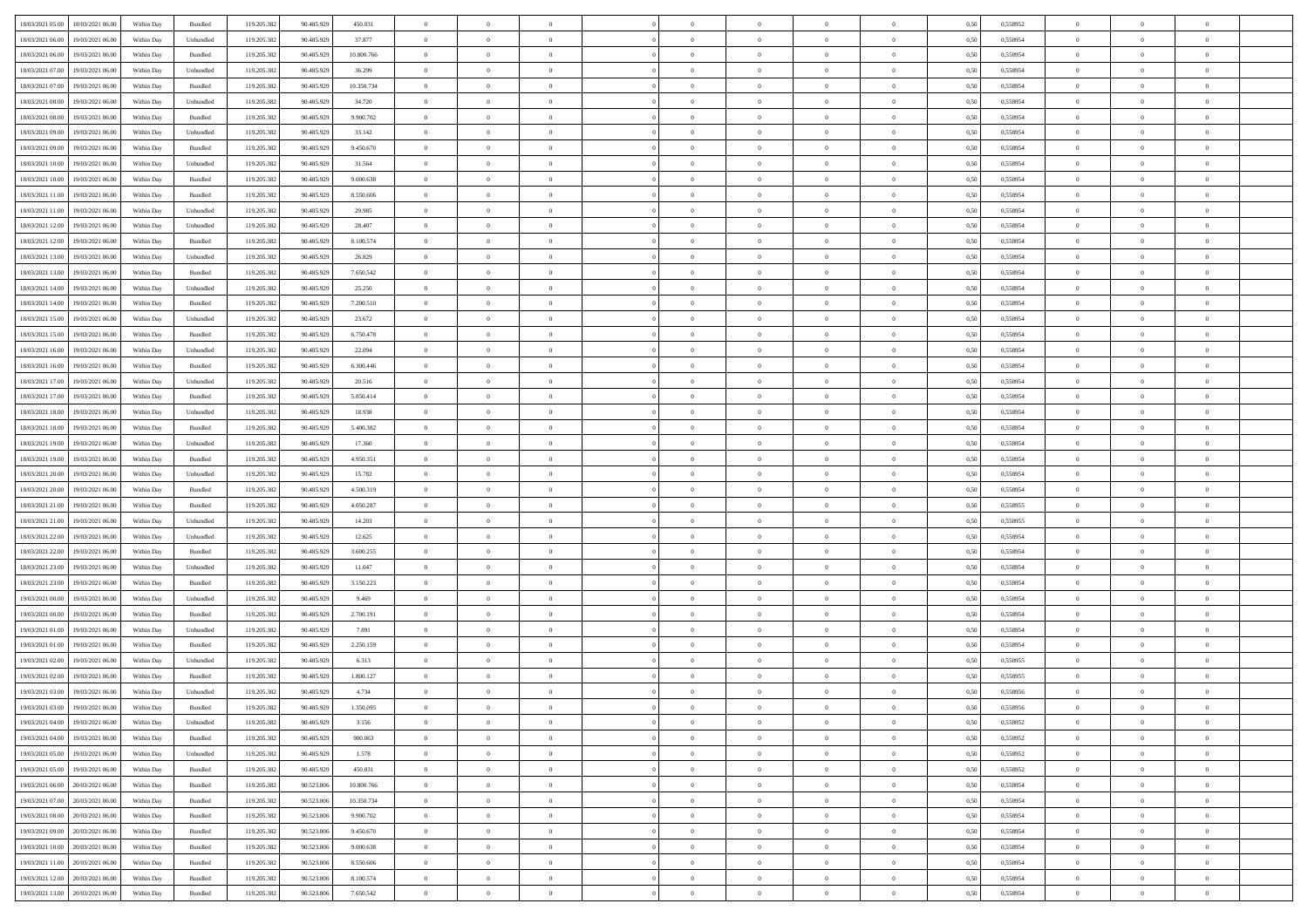| 18/03/2021 05:00 18/03/2021 06:00                                                                 | Within Day | Bundled   | 119.205.382 | 90.485.929 | 450.031    | $\overline{0}$ | $\theta$       |                | $\overline{0}$ | $\bf{0}$       |                | $\bf{0}$       | 0,50 | 0,558952 | $\theta$       | $\theta$       | $\theta$       |  |
|---------------------------------------------------------------------------------------------------|------------|-----------|-------------|------------|------------|----------------|----------------|----------------|----------------|----------------|----------------|----------------|------|----------|----------------|----------------|----------------|--|
|                                                                                                   |            |           |             |            |            |                |                |                |                |                |                |                |      |          |                |                |                |  |
| 18/03/2021 06:00<br>19/03/2021 06:00                                                              | Within Day | Unbundled | 119.205.38  | 90.485.929 | 37.877     | $\bf{0}$       | $\bf{0}$       | $\bf{0}$       | $\bf{0}$       | $\overline{0}$ | $\overline{0}$ | $\bf{0}$       | 0,50 | 0,558954 | $\,$ 0 $\,$    | $\bf{0}$       | $\overline{0}$ |  |
| 18/03/2021 06:00<br>19/03/2021 06:00                                                              | Within Day | Bundled   | 119.205.382 | 90.485.929 | 10,800,766 | $\overline{0}$ | $\bf{0}$       | $\overline{0}$ | $\bf{0}$       | $\bf{0}$       | $\overline{0}$ | $\bf{0}$       | 0.50 | 0.558954 | $\bf{0}$       | $\overline{0}$ | $\overline{0}$ |  |
| 18/03/2021 07:00<br>19/03/2021 06:00                                                              | Within Day | Unbundled | 119.205.382 | 90.485.929 | 36.299     | $\overline{0}$ | $\bf{0}$       | $\overline{0}$ | $\theta$       | $\theta$       | $\overline{0}$ | $\bf{0}$       | 0,50 | 0,558954 | $\theta$       | $\theta$       | $\overline{0}$ |  |
| 18/03/2021 07:00<br>19/03/2021 06:00                                                              | Within Day | Bundled   | 119.205.38  | 90.485.929 | 10.350.734 | $\overline{0}$ | $\overline{0}$ | $\bf{0}$       | $\overline{0}$ | $\theta$       | $\overline{0}$ | $\bf{0}$       | 0,50 | 0,558954 | $\,$ 0 $\,$    | $\bf{0}$       | $\overline{0}$ |  |
| 18/03/2021 08:00<br>19/03/2021 06:00                                                              | Within Day | Unbundled | 119.205.382 | 90.485.929 | 34.720     | $\overline{0}$ | $\overline{0}$ | $\overline{0}$ | $\bf{0}$       | $\overline{0}$ | $\theta$       | $\bf{0}$       | 0.50 | 0.558954 | $\bf{0}$       | $\theta$       | $\overline{0}$ |  |
|                                                                                                   |            |           |             |            |            | $\overline{0}$ | $\overline{0}$ | $\overline{0}$ | $\overline{0}$ | $\overline{0}$ | $\overline{0}$ |                |      |          | $\theta$       | $\theta$       | $\overline{0}$ |  |
| 18/03/2021 08:00<br>19/03/2021 06:00                                                              | Within Day | Bundled   | 119.205.38  | 90.485.929 | 9.900.702  |                |                |                |                |                |                | $\bf{0}$       | 0,50 | 0,558954 |                |                |                |  |
| 18/03/2021 09:00<br>19/03/2021 06:00                                                              | Within Day | Unbundled | 119.205.38  | 90.485.929 | 33.142     | $\bf{0}$       | $\bf{0}$       | $\bf{0}$       | $\overline{0}$ | $\overline{0}$ | $\overline{0}$ | $\bf{0}$       | 0,50 | 0,558954 | $\,$ 0 $\,$    | $\bf{0}$       | $\overline{0}$ |  |
| 18/03/2021 09:00<br>19/03/2021 06:00                                                              | Within Day | Bundled   | 119,205.38  | 90.485.929 | 9.450.670  | $\overline{0}$ | $\bf{0}$       | $\overline{0}$ | $\bf{0}$       | $\overline{0}$ | $\overline{0}$ | $\bf{0}$       | 0.50 | 0.558954 | $\bf{0}$       | $\overline{0}$ | $\overline{0}$ |  |
| 18/03/2021 10:00<br>19/03/2021 06:00                                                              | Within Day | Unbundled | 119.205.382 | 90.485.929 | 31.564     | $\overline{0}$ | $\bf{0}$       | $\overline{0}$ | $\overline{0}$ | $\overline{0}$ | $\overline{0}$ | $\bf{0}$       | 0,50 | 0,558954 | $\,$ 0 $\,$    | $\bf{0}$       | $\overline{0}$ |  |
| 18/03/2021 10:00<br>19/03/2021 06:00                                                              | Within Day | Bundled   | 119.205.38  | 90.485.929 | 9.000.638  | $\bf{0}$       | $\overline{0}$ | $\bf{0}$       | $\bf{0}$       | $\bf{0}$       | $\overline{0}$ | $\bf{0}$       | 0,50 | 0,558954 | $\,$ 0 $\,$    | $\bf{0}$       | $\overline{0}$ |  |
| 18/03/2021 11:00<br>19/03/2021 06:00                                                              | Within Day | Bundled   | 119.205.382 | 90.485.929 | 8,550,606  | $\overline{0}$ | $\bf{0}$       | $\overline{0}$ | $\bf{0}$       | $\bf{0}$       | $\overline{0}$ | $\bf{0}$       | 0.50 | 0.558954 | $\bf{0}$       | $\overline{0}$ | $\,$ 0         |  |
| 18/03/2021 11:00<br>19/03/2021 06:00                                                              | Within Day | Unbundled | 119.205.38  | 90.485.929 | 29.985     | $\overline{0}$ | $\overline{0}$ | $\overline{0}$ | $\theta$       | $\theta$       | $\overline{0}$ | $\bf{0}$       | 0,50 | 0,558954 | $\,$ 0 $\,$    | $\theta$       | $\overline{0}$ |  |
|                                                                                                   |            |           |             |            |            |                | $\overline{0}$ |                | $\overline{0}$ |                | $\overline{0}$ |                |      |          |                | $\bf{0}$       | $\overline{0}$ |  |
| 18/03/2021 12:00<br>19/03/2021 06:00                                                              | Within Day | Unbundled | 119.205.38  | 90.485.929 | 28.407     | $\bf{0}$       |                | $\bf{0}$       |                | $\bf{0}$       |                | $\bf{0}$       | 0,50 | 0,558954 | $\bf{0}$       |                |                |  |
| 18/03/2021 12:00<br>19/03/2021 06:00                                                              | Within Day | Bundled   | 119.205.382 | 90.485.929 | 8,100.574  | $\overline{0}$ | $\overline{0}$ | $\overline{0}$ | $\bf{0}$       | $\overline{0}$ | $\theta$       | $\bf{0}$       | 0.50 | 0.558954 | $\theta$       | $\theta$       | $\overline{0}$ |  |
| 18/03/2021 13:00<br>19/03/2021 06:00                                                              | Within Day | Unbundled | 119.205.382 | 90.485.929 | 26.829     | $\overline{0}$ | $\overline{0}$ | $\overline{0}$ | $\overline{0}$ | $\overline{0}$ | $\overline{0}$ | $\bf{0}$       | 0,50 | 0,558954 | $\theta$       | $\theta$       | $\overline{0}$ |  |
| 18/03/2021 13:00<br>19/03/2021 06:00                                                              | Within Day | Bundled   | 119.205.38  | 90.485.929 | 7.650.542  | $\bf{0}$       | $\overline{0}$ | $\bf{0}$       | $\overline{0}$ | $\bf{0}$       | $\overline{0}$ | $\bf{0}$       | 0,50 | 0,558954 | $\,$ 0 $\,$    | $\bf{0}$       | $\overline{0}$ |  |
| 18/03/2021 14:00<br>19/03/2021 06:00                                                              | Within Day | Unbundled | 119,205.38  | 90.485.929 | 25.250     | $\overline{0}$ | $\bf{0}$       | $\overline{0}$ | $\bf{0}$       | $\overline{0}$ | $\overline{0}$ | $\bf{0}$       | 0.50 | 0.558954 | $\bf{0}$       | $\overline{0}$ | $\overline{0}$ |  |
| 18/03/2021 14:00<br>19/03/2021 06:00                                                              | Within Day | Bundled   | 119.205.382 | 90.485.929 | 7.200.510  | $\overline{0}$ | $\bf{0}$       | $\overline{0}$ | $\overline{0}$ | $\overline{0}$ | $\overline{0}$ | $\bf{0}$       | 0,50 | 0,558954 | $\,$ 0 $\,$    | $\bf{0}$       | $\overline{0}$ |  |
| 18/03/2021 15:00<br>19/03/2021 06:00                                                              | Within Day | Unbundled | 119.205.38  | 90.485.929 | 23.672     | $\bf{0}$       | $\bf{0}$       | $\bf{0}$       | $\bf{0}$       | $\overline{0}$ | $\overline{0}$ | $\bf{0}$       | 0,50 | 0,558954 | $\,$ 0 $\,$    | $\bf{0}$       | $\overline{0}$ |  |
| 18/03/2021 15:00<br>19/03/2021 06:00                                                              | Within Day | Bundled   | 119.205.382 | 90.485.929 | 6.750.478  | $\overline{0}$ | $\bf{0}$       | $\overline{0}$ | $\bf{0}$       | $\bf{0}$       | $\overline{0}$ | $\bf{0}$       | 0.50 | 0.558954 | $\bf{0}$       | $\overline{0}$ | $\overline{0}$ |  |
|                                                                                                   |            |           |             |            |            | $\overline{0}$ | $\overline{0}$ | $\overline{0}$ | $\overline{0}$ | $\theta$       | $\overline{0}$ |                |      |          | $\theta$       | $\theta$       | $\overline{0}$ |  |
| 18/03/2021 16:00<br>19/03/2021 06:00                                                              | Within Day | Unbundled | 119.205.38  | 90.485.929 | 22.094     |                |                |                |                |                |                | $\bf{0}$       | 0,50 | 0,558954 |                |                |                |  |
| 18/03/2021 16:00<br>19/03/2021 06:00                                                              | Within Day | Bundled   | 119.205.38  | 90.485.929 | 6.300.446  | $\bf{0}$       | $\overline{0}$ | $\bf{0}$       | $\bf{0}$       | $\overline{0}$ | $\overline{0}$ | $\bf{0}$       | 0,50 | 0,558954 | $\,$ 0 $\,$    | $\bf{0}$       | $\overline{0}$ |  |
| 18/03/2021 17:00<br>19/03/2021 06:00                                                              | Within Day | Unbundled | 119.205.382 | 90.485.929 | 20.516     | $\overline{0}$ | $\overline{0}$ | $\overline{0}$ | $\bf{0}$       | $\overline{0}$ | $\theta$       | $\bf{0}$       | 0.50 | 0.558954 | $\bf{0}$       | $\theta$       | $\overline{0}$ |  |
| 18/03/2021 17:00<br>19/03/2021 06:00                                                              | Within Day | Bundled   | 119.205.382 | 90.485.929 | 5.850.414  | $\overline{0}$ | $\overline{0}$ | $\overline{0}$ | $\overline{0}$ | $\overline{0}$ | $\overline{0}$ | $\bf{0}$       | 0,50 | 0,558954 | $\theta$       | $\theta$       | $\overline{0}$ |  |
| 18/03/2021 18:00<br>19/03/2021 06:00                                                              | Within Day | Unbundled | 119.205.38  | 90.485.929 | 18.938     | $\bf{0}$       | $\overline{0}$ | $\bf{0}$       | $\overline{0}$ | $\overline{0}$ | $\overline{0}$ | $\bf{0}$       | 0,50 | 0,558954 | $\,$ 0 $\,$    | $\bf{0}$       | $\overline{0}$ |  |
| 18/03/2021 18:00<br>19/03/2021 06:00                                                              | Within Day | Bundled   | 119,205.38  | 90.485.929 | 5.400.382  | $\overline{0}$ | $\bf{0}$       | $\overline{0}$ | $\bf{0}$       | $\overline{0}$ | $\overline{0}$ | $\bf{0}$       | 0.50 | 0.558954 | $\bf{0}$       | $\overline{0}$ | $\overline{0}$ |  |
| 18/03/2021 19:00<br>19/03/2021 06:00                                                              | Within Day | Unbundled | 119.205.382 | 90.485.929 | 17.360     | $\overline{0}$ | $\bf{0}$       | $\overline{0}$ | $\overline{0}$ | $\overline{0}$ | $\overline{0}$ | $\bf{0}$       | 0,50 | 0,558954 | $\theta$       | $\theta$       | $\overline{0}$ |  |
| 19/03/2021 06:00                                                                                  | Within Day | Bundled   |             | 90.485.929 | 4.950.351  | $\bf{0}$       | $\bf{0}$       | $\bf{0}$       | $\bf{0}$       | $\overline{0}$ | $\overline{0}$ | $\bf{0}$       | 0,50 | 0,558954 | $\,$ 0 $\,$    | $\bf{0}$       | $\overline{0}$ |  |
| 18/03/2021 19:00                                                                                  |            |           | 119.205.38  |            |            |                |                |                |                |                |                |                |      |          |                |                |                |  |
| 18/03/2021 20:00<br>19/03/2021 06:00                                                              | Within Day | Unbundled | 119.205.382 | 90.485.929 | 15.782     | $\overline{0}$ | $\bf{0}$       | $\overline{0}$ | $\bf{0}$       | $\bf{0}$       | $\overline{0}$ | $\bf{0}$       | 0.50 | 0.558954 | $\bf{0}$       | $\overline{0}$ | $\bf{0}$       |  |
| 18/03/2021 20:00<br>19/03/2021 06:00                                                              | Within Day | Bundled   | 119.205.38  | 90.485.929 | 4.500.319  | $\overline{0}$ | $\overline{0}$ | $\overline{0}$ | $\overline{0}$ | $\overline{0}$ | $\overline{0}$ | $\bf{0}$       | 0.50 | 0.558954 | $\theta$       | $\theta$       | $\overline{0}$ |  |
| 18/03/2021 21:00<br>19/03/2021 06:00                                                              | Within Day | Bundled   | 119.205.38  | 90.485.929 | 4.050.287  | $\bf{0}$       | $\overline{0}$ | $\bf{0}$       | $\bf{0}$       | $\,$ 0 $\,$    | $\overline{0}$ | $\bf{0}$       | 0,50 | 0,558955 | $\,$ 0 $\,$    | $\bf{0}$       | $\overline{0}$ |  |
| 18/03/2021 21:00<br>19/03/2021 06:00                                                              | Within Day | Unbundled | 119.205.382 | 90.485.929 | 14.203     | $\overline{0}$ | $\bf{0}$       | $\overline{0}$ | $\bf{0}$       | $\overline{0}$ | $\Omega$       | $\bf{0}$       | 0.50 | 0.558955 | $\,$ 0 $\,$    | $\theta$       | $\overline{0}$ |  |
| 18/03/2021 22:00<br>19/03/2021 06:00                                                              | Within Dav | Unbundled | 119.205.382 | 90.485.929 | 12.625     | $\overline{0}$ | $\overline{0}$ | $\overline{0}$ | $\overline{0}$ | $\theta$       | $\overline{0}$ | $\bf{0}$       | 0.50 | 0,558954 | $\theta$       | $\theta$       | $\overline{0}$ |  |
| 18/03/2021 22:00<br>19/03/2021 06:00                                                              | Within Day | Bundled   | 119.205.38  | 90.485.929 | 3.600.255  | $\bf{0}$       | $\bf{0}$       | $\bf{0}$       | $\bf{0}$       | $\bf{0}$       | $\overline{0}$ | $\bf{0}$       | 0,50 | 0,558954 | $\,$ 0 $\,$    | $\bf{0}$       | $\overline{0}$ |  |
| 18/03/2021 23:00<br>19/03/2021 06:00                                                              | Within Day | Unbundled | 119,205.38  | 90.485.929 | 11.047     | $\overline{0}$ | $\bf{0}$       | $\overline{0}$ | $\bf{0}$       | $\overline{0}$ | $\overline{0}$ | $\bf{0}$       | 0.50 | 0.558954 | $\bf{0}$       | $\overline{0}$ | $\overline{0}$ |  |
| 18/03/2021 23:00<br>19/03/2021 06:00                                                              | Within Day | Bundled   | 119.205.38  | 90.485.929 | 3.150.223  | $\overline{0}$ | $\overline{0}$ | $\overline{0}$ | $\overline{0}$ | $\overline{0}$ | $\overline{0}$ | $\bf{0}$       | 0.50 | 0,558954 | $\theta$       | $\theta$       | $\overline{0}$ |  |
|                                                                                                   |            |           |             |            |            |                |                |                |                |                |                |                |      |          |                |                |                |  |
| 19/03/2021 00:00<br>19/03/2021 06:00                                                              | Within Day | Unbundled | 119.205.38  | 90.485.929 | 9.469      | $\bf{0}$       | $\bf{0}$       | $\bf{0}$       | $\bf{0}$       | $\overline{0}$ | $\overline{0}$ | $\bf{0}$       | 0,50 | 0,558954 | $\,$ 0 $\,$    | $\bf{0}$       | $\overline{0}$ |  |
| 19/03/2021 00:00<br>19/03/2021 06:00                                                              | Within Day | Bundled   | 119.205.382 | 90.485.929 | 2.700.191  | $\overline{0}$ | $\bf{0}$       | $\overline{0}$ | $\bf{0}$       | $\bf{0}$       | $\overline{0}$ | $\bf{0}$       | 0.50 | 0.558954 | $\bf{0}$       | $\overline{0}$ | $\overline{0}$ |  |
| 19/03/2021 01:00<br>19/03/2021 06:00                                                              | Within Dav | Unbundled | 119.205.382 | 90.485.929 | 7.891      | $\overline{0}$ | $\overline{0}$ | $\overline{0}$ | $\overline{0}$ | $\overline{0}$ | $\overline{0}$ | $\bf{0}$       | 0.50 | 0.558954 | $\theta$       | $\theta$       | $\overline{0}$ |  |
| 19/03/2021 01:00<br>19/03/2021 06:00                                                              | Within Day | Bundled   | 119.205.38  | 90.485.929 | 2.250.159  | $\bf{0}$       | $\bf{0}$       | $\bf{0}$       | $\bf{0}$       | $\overline{0}$ | $\overline{0}$ | $\bf{0}$       | 0,50 | 0,558954 | $\,$ 0 $\,$    | $\bf{0}$       | $\overline{0}$ |  |
| 19/03/2021 02:00<br>19/03/2021 06:00                                                              | Within Day | Unbundled | 119.205.382 | 90.485.929 | 6.313      | $\overline{0}$ | $\overline{0}$ | $\overline{0}$ | $\bf{0}$       | $\theta$       | $\Omega$       | $\bf{0}$       | 0.50 | 0.558955 | $\,$ 0 $\,$    | $\theta$       | $\overline{0}$ |  |
| 19/03/2021 02:00<br>19/03/2021 06:00                                                              | Within Dav | Bundled   | 119.205.38  | 90.485.929 | 1.800.127  | $\overline{0}$ | $\overline{0}$ | $\Omega$       | $\overline{0}$ | $\theta$       | $\overline{0}$ | $\overline{0}$ | 0.50 | 0,558955 | $\theta$       | $\theta$       | $\overline{0}$ |  |
| 19/03/2021 03:00<br>19/03/2021 06:00                                                              | Within Day | Unbundled | 119.205.382 | 90.485.929 | 4.734      | $\bf{0}$       | $\bf{0}$       | $\overline{0}$ | $\bf{0}$       | $\bf{0}$       | $\overline{0}$ | $\bf{0}$       | 0,50 | 0,558956 | $\overline{0}$ | $\overline{0}$ | $\overline{0}$ |  |
| $\begin{array}{ c c c c c } \hline 19/03/2021 & 03.00 & 19/03/2021 & 06.00 \\ \hline \end{array}$ | Within Day | Bundled   | 119.205.382 | 90.485.929 | 1.350.095  | $\overline{0}$ | $\Omega$       |                | $\Omega$       |                |                |                | 0,50 | 0.558956 | $\theta$       | $\overline{0}$ |                |  |
| 19/03/2021 04:00 19/03/2021 06:00                                                                 |            |           |             |            |            | $\overline{0}$ | $\overline{0}$ |                |                | $\overline{0}$ |                |                |      |          | $\theta$       | $\overline{0}$ | $\overline{0}$ |  |
|                                                                                                   | Within Day | Unbundled | 119.205.382 | 90.485.929 | 3.156      |                |                | $\overline{0}$ | $\theta$       |                | $\overline{0}$ | $\bf{0}$       | 0,50 | 0,558952 |                |                |                |  |
| 19/03/2021 04:00<br>19/03/2021 06:00                                                              | Within Day | Bundled   | 119.205.38  | 90.485.929 | 900.063    | $\overline{0}$ | $\bf{0}$       | $\overline{0}$ | $\overline{0}$ | $\bf{0}$       | $\overline{0}$ | $\bf{0}$       | 0,50 | 0,558952 | $\bf{0}$       | $\overline{0}$ | $\bf{0}$       |  |
| 19/03/2021 05:00 19/03/2021 06:00                                                                 | Within Day | Unbundled | 119.205.382 | 90.485.929 | 1.578      | $\overline{0}$ | $\overline{0}$ | $\overline{0}$ | $\overline{0}$ | $\mathbf{0}$   | $\overline{0}$ | $\,$ 0 $\,$    | 0.50 | 0.558952 | $\overline{0}$ | $\bf{0}$       | $\bf{0}$       |  |
| 19/03/2021 05:00 19/03/2021 06:00                                                                 | Within Dav | Bundled   | 119.205.382 | 90.485.929 | 450.031    | $\overline{0}$ | $\overline{0}$ | $\overline{0}$ | $\overline{0}$ | $\overline{0}$ | $\overline{0}$ | $\bf{0}$       | 0,50 | 0,558952 | $\overline{0}$ | $\theta$       | $\overline{0}$ |  |
| 19/03/2021 06:00<br>20/03/2021 06:00                                                              | Within Day | Bundled   | 119.205.382 | 90.523.806 | 10.800.766 | $\overline{0}$ | $\bf{0}$       | $\overline{0}$ | $\overline{0}$ | $\bf{0}$       | $\overline{0}$ | $\bf{0}$       | 0,50 | 0,558954 | $\bf{0}$       | $\overline{0}$ | $\overline{0}$ |  |
| 19/03/2021 07:00 20/03/2021 06:00                                                                 | Within Day | Bundled   | 119.205.382 | 90.523.806 | 10.350.734 | $\overline{0}$ | $\bf{0}$       | $\overline{0}$ | $\overline{0}$ | $\bf{0}$       | $\overline{0}$ | $\bf{0}$       | 0.50 | 0.558954 | $\,$ 0 $\,$    | $\overline{0}$ | $\,$ 0         |  |
| 19/03/2021 08:00 20/03/2021 06:00                                                                 | Within Dav | Bundled   | 119.205.382 | 90.523.806 | 9.900.702  | $\overline{0}$ | $\overline{0}$ | $\overline{0}$ | $\overline{0}$ | $\overline{0}$ | $\overline{0}$ | $\bf{0}$       | 0.50 | 0,558954 | $\overline{0}$ | $\theta$       | $\overline{0}$ |  |
| 19/03/2021 09:00<br>20/03/2021 06:00                                                              | Within Day | Bundled   | 119.205.38  | 90.523.806 | 9.450.670  | $\overline{0}$ | $\overline{0}$ | $\overline{0}$ | $\overline{0}$ | $\overline{0}$ | $\overline{0}$ | $\bf{0}$       | 0,50 | 0,558954 | $\bf{0}$       | $\overline{0}$ | $\,$ 0         |  |
|                                                                                                   |            |           |             |            |            |                |                |                |                |                |                |                |      |          |                |                |                |  |
| 19/03/2021 10:00 20/03/2021 06:00                                                                 | Within Day | Bundled   | 119.205.382 | 90.523.806 | 9.000.638  | $\overline{0}$ | $\overline{0}$ | $\overline{0}$ | $\overline{0}$ | $\overline{0}$ | $\overline{0}$ | $\bf{0}$       | 0.50 | 0.558954 | $\mathbf{0}$   | $\bf{0}$       | $\,$ 0         |  |
| 19/03/2021 11:00 20/03/2021 06:00                                                                 | Within Dav | Bundled   | 119.205.382 | 90.523.806 | 8.550.606  | $\overline{0}$ | $\overline{0}$ | $\overline{0}$ | $\overline{0}$ | $\overline{0}$ | $\overline{0}$ | $\bf{0}$       | 0,50 | 0,558954 | $\overline{0}$ | $\theta$       | $\overline{0}$ |  |
| 19/03/2021 12:00<br>20/03/2021 06:00                                                              | Within Day | Bundled   | 119.205.38  | 90.523.806 | 8.100.574  | $\overline{0}$ | $\bf{0}$       | $\overline{0}$ | $\overline{0}$ | $\overline{0}$ | $\overline{0}$ | $\bf{0}$       | 0,50 | 0,558954 | $\bf{0}$       | $\overline{0}$ | $\bf{0}$       |  |
| 19/03/2021 13:00 20/03/2021 06:00                                                                 | Within Day | Bundled   | 119.205.382 | 90.523.806 | 7.650.542  | $\,$ 0 $\,$    | $\bf{0}$       | $\overline{0}$ | $\overline{0}$ | $\,$ 0 $\,$    | $\overline{0}$ | $\,$ 0 $\,$    | 0,50 | 0,558954 | $\overline{0}$ | $\,$ 0 $\,$    | $\,$ 0 $\,$    |  |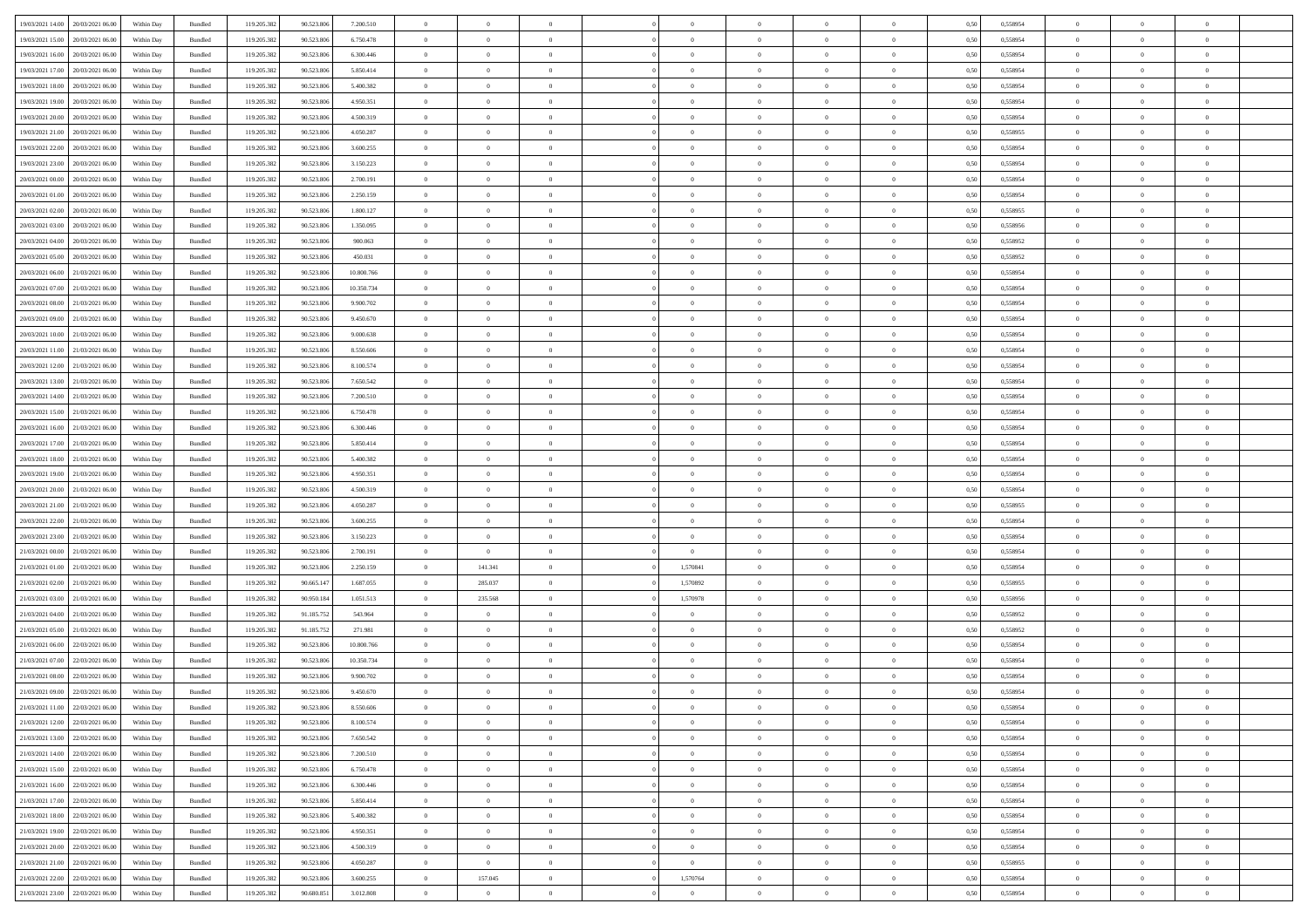| 19/03/2021 14:00                  | 20/03/2021 06:00 | Within Day | Bundled | 119.205.382 | 90.523.806 | 7.200.510  | $\overline{0}$ | $\theta$       |                | $\overline{0}$ | $\overline{0}$ | $\overline{0}$ | $\theta$       | 0,50 | 0,558954 | $\theta$       | $\theta$       | $\sqrt{a}$               |  |
|-----------------------------------|------------------|------------|---------|-------------|------------|------------|----------------|----------------|----------------|----------------|----------------|----------------|----------------|------|----------|----------------|----------------|--------------------------|--|
| 19/03/2021 15:00                  | 20/03/2021 06:00 | Within Day | Bundled | 119.205.382 | 90.523.806 | 6.750.478  | $\overline{0}$ | $\overline{0}$ | $\overline{0}$ | $\overline{0}$ | $\,$ 0         | $\overline{0}$ | $\bf{0}$       | 0,50 | 0,558954 | $\,$ 0 $\,$    | $\overline{0}$ | $\overline{0}$           |  |
|                                   |                  |            |         |             |            |            |                |                |                |                |                |                |                |      |          |                |                |                          |  |
| 19/03/2021 16:00                  | 20/03/2021 06:00 | Within Day | Bundled | 119.205.382 | 90.523.806 | 6.300.446  | $\overline{0}$ | $\overline{0}$ | $\overline{0}$ | $\overline{0}$ | $\bf{0}$       | $\overline{0}$ | $\mathbf{0}$   | 0.50 | 0.558954 | $\bf{0}$       | $\overline{0}$ | $\overline{0}$           |  |
| 19/03/2021 17:00                  | 20/03/2021 06:00 | Within Day | Bundled | 119.205.382 | 90.523.806 | 5.850.414  | $\overline{0}$ | $\overline{0}$ | $\overline{0}$ | $\overline{0}$ | $\bf{0}$       | $\overline{0}$ | $\overline{0}$ | 0,50 | 0,558954 | $\,$ 0 $\,$    | $\overline{0}$ | $\overline{0}$           |  |
| 19/03/2021 18:00                  | 20/03/2021 06:00 | Within Day | Bundled | 119.205.382 | 90.523.806 | 5.400.382  | $\overline{0}$ | $\theta$       | $\overline{0}$ |                | $\bf{0}$       | $\overline{0}$ | $\bf{0}$       | 0,50 | 0,558954 | $\,$ 0 $\,$    | $\overline{0}$ | $\overline{0}$           |  |
| 19/03/2021 19:00                  | 20/03/2021 06:00 | Within Day | Bundled | 119.205.382 | 90.523.806 | 4.950.351  | $\overline{0}$ | $\overline{0}$ | $\overline{0}$ | $\overline{0}$ | $\bf{0}$       | $\overline{0}$ | $\bf{0}$       | 0.50 | 0.558954 | $\,0\,$        | $\theta$       | $\overline{0}$           |  |
| 19/03/2021 20:00                  | 20/03/2021 06:00 | Within Day | Bundled | 119.205.382 | 90.523.806 | 4.500.319  | $\overline{0}$ | $\overline{0}$ | $\overline{0}$ | $\overline{0}$ | $\bf{0}$       | $\overline{0}$ | $\overline{0}$ | 0,50 | 0,558954 | $\,$ 0 $\,$    | $\theta$       | $\overline{0}$           |  |
| 19/03/2021 21:00                  | 20/03/2021 06:00 | Within Day | Bundled | 119.205.382 | 90.523.806 | 4.050.287  | $\overline{0}$ | $\theta$       | $\overline{0}$ | $\overline{0}$ | $\,$ 0         | $\overline{0}$ | $\bf{0}$       | 0,50 | 0,558955 | $\,$ 0 $\,$    | $\overline{0}$ | $\overline{0}$           |  |
| 19/03/2021 22:00                  | 20/03/2021 06:00 | Within Day | Bundled | 119.205.382 | 90.523.806 | 3.600.255  | $\overline{0}$ | $\overline{0}$ | $\overline{0}$ | $\overline{0}$ | $\bf{0}$       | $\overline{0}$ | $\bf{0}$       | 0.50 | 0.558954 | $\,0\,$        | $\overline{0}$ | $\overline{\phantom{a}}$ |  |
| 19/03/2021 23:00                  | 20/03/2021 06:00 | Within Day | Bundled | 119.205.382 | 90.523.806 | 3.150.223  | $\overline{0}$ | $\overline{0}$ | $\overline{0}$ | $\overline{0}$ | $\bf{0}$       | $\overline{0}$ | $\bf{0}$       | 0,50 | 0,558954 | $\,$ 0 $\,$    | $\overline{0}$ | $\overline{0}$           |  |
| 20/03/2021 00:00                  | 20/03/2021 06:00 | Within Day | Bundled | 119.205.382 | 90.523.806 | 2.700.191  | $\overline{0}$ | $\theta$       | $\overline{0}$ | $\overline{0}$ | $\,$ 0         | $\overline{0}$ | $\bf{0}$       | 0,50 | 0,558954 | $\,$ 0 $\,$    | $\overline{0}$ | $\overline{0}$           |  |
| 20/03/2021 01:00                  | 20/03/2021 06:00 |            | Bundled |             |            |            | $\overline{0}$ | $\overline{0}$ |                | $\overline{0}$ |                | $\overline{0}$ |                | 0.50 | 0.558954 | $\bf{0}$       | $\overline{0}$ | $\overline{0}$           |  |
|                                   |                  | Within Day |         | 119.205.382 | 90.523.806 | 2.250.159  |                |                | $\overline{0}$ |                | $\bf{0}$       |                | $\mathbf{0}$   |      |          |                |                |                          |  |
| 20/03/2021 02:00                  | 20/03/2021 06:00 | Within Day | Bundled | 119.205.382 | 90.523.806 | 1.800.127  | $\overline{0}$ | $\overline{0}$ | $\overline{0}$ | $\overline{0}$ | $\bf{0}$       | $\overline{0}$ | $\overline{0}$ | 0,50 | 0,558955 | $\,$ 0 $\,$    | $\overline{0}$ | $\overline{0}$           |  |
| 20/03/2021 03:00                  | 20/03/2021 06:00 | Within Day | Bundled | 119.205.382 | 90.523.806 | 1.350.095  | $\overline{0}$ | $\theta$       | $\overline{0}$ |                | $\,$ 0         | $\overline{0}$ | $\bf{0}$       | 0,50 | 0,558956 | $\,$ 0 $\,$    | $\overline{0}$ | $\overline{0}$           |  |
| 20/03/2021 04:00                  | 20/03/2021 06:00 | Within Day | Bundled | 119.205.382 | 90.523.806 | 900,063    | $\overline{0}$ | $\overline{0}$ | $\overline{0}$ | $\overline{0}$ | $\bf{0}$       | $\overline{0}$ | $\bf{0}$       | 0.50 | 0.558952 | $\,0\,$        | $\theta$       | $\overline{0}$           |  |
| 20/03/2021 05:00                  | 20/03/2021 06:00 | Within Day | Bundled | 119.205.382 | 90.523.806 | 450.031    | $\overline{0}$ | $\overline{0}$ | $\overline{0}$ | $\overline{0}$ | $\bf{0}$       | $\overline{0}$ | $\overline{0}$ | 0,50 | 0,558952 | $\,$ 0 $\,$    | $\theta$       | $\overline{0}$           |  |
| 20/03/2021 06:00                  | 21/03/2021 06.00 | Within Day | Bundled | 119.205.382 | 90.523.806 | 10.800.766 | $\overline{0}$ | $\theta$       | $\overline{0}$ |                | $\,$ 0         | $\overline{0}$ | $\bf{0}$       | 0,50 | 0,558954 | $\,$ 0 $\,$    | $\overline{0}$ | $\overline{0}$           |  |
| 20/03/2021 07:00                  | 21/03/2021 06:00 | Within Day | Bundled | 119.205.382 | 90.523.806 | 10.350.734 | $\overline{0}$ | $\overline{0}$ | $\overline{0}$ | $\overline{0}$ | $\bf{0}$       | $\overline{0}$ | $\bf{0}$       | 0.50 | 0.558954 | $\,0\,$        | $\overline{0}$ | $\bf{0}$                 |  |
| 20/03/2021 08:00                  | 21/03/2021 06:00 | Within Day | Bundled | 119.205.382 | 90.523.806 | 9.900.702  | $\overline{0}$ | $\overline{0}$ | $\overline{0}$ | $\overline{0}$ | $\bf{0}$       | $\overline{0}$ | $\bf{0}$       | 0,50 | 0,558954 | $\,$ 0 $\,$    | $\overline{0}$ | $\overline{0}$           |  |
| 20/03/2021 09:00                  | 21/03/2021 06.00 | Within Day | Bundled | 119.205.382 | 90.523.806 | 9.450.670  | $\bf{0}$       | $\overline{0}$ | $\overline{0}$ | $\overline{0}$ | $\,$ 0         | $\bf{0}$       | $\bf{0}$       | 0,50 | 0,558954 | $\,$ 0 $\,$    | $\overline{0}$ | $\overline{0}$           |  |
| 20/03/2021 10:00                  | 21/03/2021 06:00 | Within Day | Bundled | 119.205.382 | 90.523.806 | 9.000.638  | $\overline{0}$ | $\overline{0}$ | $\overline{0}$ | $\overline{0}$ | $\bf{0}$       | $\overline{0}$ | $\mathbf{0}$   | 0.50 | 0.558954 | $\,$ 0 $\,$    | $\overline{0}$ | $\overline{0}$           |  |
| 20/03/2021 11:00                  | 21/03/2021 06:00 | Within Day | Bundled | 119.205.382 | 90.523.806 | 8.550.606  | $\overline{0}$ | $\overline{0}$ | $\overline{0}$ | $\overline{0}$ | $\bf{0}$       | $\overline{0}$ | $\overline{0}$ | 0,50 | 0,558954 | $\theta$       | $\overline{0}$ | $\overline{0}$           |  |
|                                   |                  |            |         |             |            |            | $\overline{0}$ | $\theta$       |                |                |                |                |                |      |          |                |                |                          |  |
| 20/03/2021 12:00                  | 21/03/2021 06.00 | Within Day | Bundled | 119.205.382 | 90.523.806 | 8.100.574  |                |                | $\overline{0}$ | $\overline{0}$ | $\,$ 0         | $\overline{0}$ | $\bf{0}$       | 0,50 | 0,558954 | $\,$ 0 $\,$    | $\overline{0}$ | $\overline{0}$           |  |
| 20/03/2021 13:00                  | 21/03/2021 06:00 | Within Day | Bundled | 119.205.382 | 90.523.806 | 7.650.542  | $\overline{0}$ | $\overline{0}$ | $\overline{0}$ | $\overline{0}$ | $\bf{0}$       | $\overline{0}$ | $\bf{0}$       | 0.50 | 0.558954 | $\,0\,$        | $\theta$       | $\overline{0}$           |  |
| 20/03/2021 14:00                  | 21/03/2021 06:00 | Within Day | Bundled | 119.205.382 | 90.523.806 | 7.200.510  | $\overline{0}$ | $\overline{0}$ | $\overline{0}$ | $\overline{0}$ | $\bf{0}$       | $\overline{0}$ | $\overline{0}$ | 0,50 | 0,558954 | $\,$ 0 $\,$    | $\theta$       | $\overline{0}$           |  |
| 20/03/2021 15:00                  | 21/03/2021 06.00 | Within Day | Bundled | 119.205.382 | 90.523.806 | 6.750.478  | $\overline{0}$ | $\theta$       | $\overline{0}$ |                | $\,$ 0         | $\overline{0}$ | $\bf{0}$       | 0,50 | 0,558954 | $\,$ 0 $\,$    | $\overline{0}$ | $\overline{0}$           |  |
| 20/03/2021 16:00                  | 21/03/2021 06:00 | Within Day | Bundled | 119.205.382 | 90.523.806 | 6.300.446  | $\overline{0}$ | $\overline{0}$ | $\overline{0}$ | $\overline{0}$ | $\bf{0}$       | $\overline{0}$ | $\bf{0}$       | 0.50 | 0.558954 | $\,0\,$        | $\overline{0}$ | $\overline{\phantom{a}}$ |  |
| 20/03/2021 17:00                  | 21/03/2021 06:00 | Within Day | Bundled | 119.205.382 | 90.523.806 | 5.850.414  | $\overline{0}$ | $\overline{0}$ | $\overline{0}$ | $\overline{0}$ | $\bf{0}$       | $\overline{0}$ | $\bf{0}$       | 0,50 | 0,558954 | $\,$ 0 $\,$    | $\theta$       | $\overline{0}$           |  |
| 20/03/2021 18:00                  | 21/03/2021 06.00 | Within Day | Bundled | 119.205.382 | 90.523.806 | 5.400.382  | $\overline{0}$ | $\overline{0}$ | $\overline{0}$ | $\overline{0}$ | $\bf{0}$       | $\bf{0}$       | $\bf{0}$       | 0,50 | 0,558954 | $\,$ 0 $\,$    | $\overline{0}$ | $\overline{0}$           |  |
| 20/03/2021 19:00                  | 21/03/2021 06:00 | Within Day | Bundled | 119.205.382 | 90.523.806 | 4.950.351  | $\overline{0}$ | $\bf{0}$       | $\overline{0}$ | $\overline{0}$ | $\bf{0}$       | $\overline{0}$ | $\mathbf{0}$   | 0.50 | 0.558954 | $\bf{0}$       | $\overline{0}$ | $\bf{0}$                 |  |
| 20/03/2021 20:00                  | 21/03/2021 06:00 | Within Dav | Bundled | 119.205.382 | 90.523.806 | 4.500.319  | $\overline{0}$ | $\overline{0}$ | $\overline{0}$ | $\overline{0}$ | $\overline{0}$ | $\overline{0}$ | $\overline{0}$ | 0.50 | 0,558954 | $\theta$       | $\overline{0}$ | $\overline{0}$           |  |
| 20/03/2021 21:00                  | 21/03/2021 06.00 | Within Day | Bundled | 119.205.382 | 90.523.806 | 4.050.287  | $\overline{0}$ | $\theta$       | $\overline{0}$ | $\overline{0}$ | $\,$ 0         | $\overline{0}$ | $\bf{0}$       | 0,50 | 0,558955 | $\,$ 0 $\,$    | $\overline{0}$ | $\overline{0}$           |  |
| 20/03/2021 22:00                  | 21/03/2021 06:00 | Within Day | Bundled | 119.205.382 | 90.523.806 | 3.600.255  | $\overline{0}$ | $\overline{0}$ | $\overline{0}$ | $\overline{0}$ | $\bf{0}$       | $\overline{0}$ | $\bf{0}$       | 0.50 | 0.558954 | $\,0\,$        | $\overline{0}$ | $\overline{0}$           |  |
|                                   |                  |            |         |             |            |            |                | $\overline{0}$ | $\Omega$       | $\Omega$       | $\mathbf{0}$   |                |                |      |          | $\theta$       | $\overline{0}$ | $\overline{0}$           |  |
| 20/03/2021 23:00                  | 21/03/2021 06:00 | Within Dav | Bundled | 119.205.382 | 90.523.806 | 3.150.223  | $\overline{0}$ |                |                |                |                | $\overline{0}$ | $\overline{0}$ | 0.50 | 0,558954 |                |                |                          |  |
| 21/03/2021 00:00                  | 21/03/2021 06.00 | Within Day | Bundled | 119.205.382 | 90.523.806 | 2.700.191  | $\overline{0}$ | $\overline{0}$ | $\overline{0}$ | $\overline{0}$ | $\,$ 0         | $\overline{0}$ | $\bf{0}$       | 0,50 | 0,558954 | $\,$ 0 $\,$    | $\overline{0}$ | $\overline{0}$           |  |
| 21/03/2021 01:00                  | 21/03/2021 06:00 | Within Day | Bundled | 119.205.382 | 90.523.806 | 2.250.159  | $\overline{0}$ | 141.341        | $\overline{0}$ | 1,570841       | $\bf{0}$       | $\overline{0}$ | $\bf{0}$       | 0.50 | 0.558954 | $\,0\,$        | $\overline{0}$ | $\overline{\phantom{a}}$ |  |
| 21/03/2021 02:00                  | 21/03/2021 06:00 | Within Dav | Bundled | 119.205.382 | 90.665.147 | 1.687.055  | $\overline{0}$ | 285.037        | $\overline{0}$ | 1,570892       | $\overline{0}$ | $\overline{0}$ | $\overline{0}$ | 0.50 | 0,558955 | $\theta$       | $\overline{0}$ | $\overline{0}$           |  |
| 21/03/2021 03:00                  | 21/03/2021 06.00 | Within Day | Bundled | 119.205.382 | 90.950.184 | 1.051.513  | $\bf{0}$       | 235.568        | $\overline{0}$ | 1,570978       | $\bf{0}$       | $\overline{0}$ | $\bf{0}$       | 0,50 | 0,558956 | $\,$ 0 $\,$    | $\overline{0}$ | $\overline{0}$           |  |
| 21/03/2021 04:00                  | 21/03/2021 06:00 | Within Day | Bundled | 119.205.382 | 91.185.752 | 543.964    | $\overline{0}$ | $\overline{0}$ | $\overline{0}$ | $\overline{0}$ | $\bf{0}$       | $\overline{0}$ | $\mathbf{0}$   | 0.50 | 0.558952 | $\,$ 0 $\,$    | $\overline{0}$ | $\overline{\phantom{a}}$ |  |
| 21/03/2021 05:00                  | 21/03/2021 06:00 | Within Dav | Bundled | 119.205.382 | 91.185.752 | 271.981    | $\overline{0}$ | $\overline{0}$ | $\theta$       | $\overline{0}$ | $\mathbf{0}$   | $\overline{0}$ | $\overline{0}$ | 0.50 | 0,558952 | $\theta$       | $\overline{0}$ | $\overline{0}$           |  |
| 21/03/2021 06:00                  | 22/03/2021 06.00 | Within Day | Bundled | 119.205.382 | 90.523.806 | 10.800.766 | $\overline{0}$ | $\overline{0}$ | $\overline{0}$ | $\overline{0}$ | $\,$ 0         | $\overline{0}$ | $\bf{0}$       | 0,50 | 0,558954 | $\,$ 0 $\,$    | $\overline{0}$ | $\overline{0}$           |  |
| 21/03/2021 07:00                  | 22/03/2021 06:00 | Within Day | Bundled | 119.205.382 | 90.523.806 | 10.350.734 | $\overline{0}$ | $\overline{0}$ | $\overline{0}$ | $\overline{0}$ | $\bf{0}$       | $\overline{0}$ | $\overline{0}$ | 0.50 | 0.558954 | $\,0\,$        | $\theta$       | $\overline{0}$           |  |
| 21/03/2021 08:00                  | 22/03/2021 06:00 | Within Dav | Bundled | 119.205.382 | 90.523.806 | 9.900.702  | $\overline{0}$ | $\Omega$       | $\Omega$       | $\Omega$       | $\bf{0}$       | $\overline{0}$ | $\overline{0}$ | 0.50 | 0,558954 | $\theta$       | $\overline{0}$ | $\overline{0}$           |  |
| 21/03/2021 09:00                  | 22/03/2021 06:00 | Within Day | Bundled | 119.205.382 | 90.523.806 | 9.450.670  | $\overline{0}$ | $\overline{0}$ | $\overline{0}$ | $\bf{0}$       | $\,$ 0         | $\overline{0}$ | $\bf{0}$       | 0,50 | 0,558954 | $\overline{0}$ | $\overline{0}$ | $\overline{0}$           |  |
| 21/03/2021 11:00                  | 22/03/2021 06:00 | Within Day | Bundled | 119.205.382 | 90.523.806 | 8.550.606  |                |                |                | $^{\circ}$     |                |                |                | 0,50 | 0.558954 | $\,0\,$        | $\theta$       |                          |  |
|                                   |                  |            |         |             |            |            | $\bf{0}$       | $\bf{0}$       |                |                |                |                |                |      |          |                |                |                          |  |
| 21/03/2021 12:00                  | 22/03/2021 06:00 | Within Day | Bundled | 119.205.382 | 90.523.806 | 8.100.574  | $\Omega$       | $\overline{0}$ | $\Omega$       | $\Omega$       | $\mathbf{0}$   | $\overline{0}$ | $\overline{0}$ | 0,50 | 0,558954 | $\theta$       | $\theta$       | $\overline{0}$           |  |
| 21/03/2021 13:00                  | 22/03/2021 06:00 | Within Day | Bundled | 119.205.382 | 90.523.806 | 7.650.542  | $\overline{0}$ | $\bf{0}$       | $\overline{0}$ | $\bf{0}$       | $\overline{0}$ | $\overline{0}$ | $\mathbf{0}$   | 0,50 | 0,558954 | $\overline{0}$ | $\overline{0}$ | $\bf{0}$                 |  |
| 21/03/2021 14:00                  | 22/03/2021 06:00 | Within Day | Bundled | 119.205.382 | 90.523.806 | 7.200.510  | $\overline{0}$ | $\overline{0}$ | $\overline{0}$ | $\overline{0}$ | $\overline{0}$ | $\overline{0}$ | $\mathbf{0}$   | 0.50 | 0.558954 | $\overline{0}$ | $\bf{0}$       | $\bf{0}$                 |  |
| 21/03/2021 15:00                  | 22/03/2021 06:00 | Within Dav | Bundled | 119.205.382 | 90.523.806 | 6.750.478  | $\overline{0}$ | $\overline{0}$ | $\overline{0}$ | $\overline{0}$ | $\overline{0}$ | $\overline{0}$ | $\overline{0}$ | 0.50 | 0,558954 | $\overline{0}$ | $\theta$       | $\overline{0}$           |  |
| 21/03/2021 16:00                  | 22/03/2021 06:00 | Within Day | Bundled | 119.205.382 | 90.523.806 | 6.300.446  | $\overline{0}$ | $\overline{0}$ | $\overline{0}$ | $\overline{0}$ | $\bf{0}$       | $\overline{0}$ | $\bf{0}$       | 0,50 | 0,558954 | $\bf{0}$       | $\overline{0}$ | $\overline{0}$           |  |
| 21/03/2021 17:00                  | 22/03/2021 06:00 | Within Day | Bundled | 119.205.382 | 90.523.806 | 5.850.414  | $\overline{0}$ | $\overline{0}$ | $\overline{0}$ | $\overline{0}$ | $\bf{0}$       | $\overline{0}$ | $\mathbf{0}$   | 0.50 | 0.558954 | $\,$ 0 $\,$    | $\overline{0}$ | $\overline{0}$           |  |
| 21/03/2021 18:00                  | 22/03/2021 06:00 | Within Day | Bundled | 119.205.382 | 90.523.806 | 5.400.382  | $\overline{0}$ | $\overline{0}$ | $\overline{0}$ | $\overline{0}$ | $\overline{0}$ | $\overline{0}$ | $\overline{0}$ | 0.50 | 0,558954 | $\overline{0}$ | $\theta$       | $\overline{0}$           |  |
| 21/03/2021 19:00                  | 22/03/2021 06:00 | Within Day | Bundled | 119.205.382 | 90.523.806 | 4.950.351  | $\overline{0}$ | $\,$ 0         | $\overline{0}$ | $\bf{0}$       | $\,$ 0 $\,$    | $\bf{0}$       | $\bf{0}$       | 0,50 | 0,558954 | $\,$ 0 $\,$    | $\overline{0}$ | $\overline{0}$           |  |
| 21/03/2021 20:00                  | 22/03/2021 06:00 | Within Day | Bundled | 119.205.382 | 90.523.806 | 4.500.319  | $\overline{0}$ | $\overline{0}$ | $\overline{0}$ | $\overline{0}$ | $\bf{0}$       | $\overline{0}$ | $\mathbf{0}$   | 0.50 | 0.558954 | $\mathbf{0}$   | $\bf{0}$       | $\overline{0}$           |  |
| 21/03/2021 21:00                  | 22/03/2021 06:00 | Within Dav | Bundled | 119.205.382 | 90.523.806 | 4.050.287  | $\overline{0}$ | $\overline{0}$ | $\overline{0}$ | $\overline{0}$ | $\overline{0}$ | $\overline{0}$ | $\overline{0}$ | 0,50 | 0,558955 | $\overline{0}$ | $\theta$       | $\overline{0}$           |  |
|                                   |                  |            |         |             |            |            |                |                |                |                |                |                |                |      |          |                |                |                          |  |
| 21/03/2021 22:00                  | 22/03/2021 06:00 | Within Day | Bundled | 119.205.382 | 90.523.806 | 3.600.255  | $\overline{0}$ | 157.045        | $\overline{0}$ | 1,570764       | $\bf{0}$       | $\bf{0}$       | $\bf{0}$       | 0,50 | 0,558954 | $\bf{0}$       | $\overline{0}$ | $\bf{0}$                 |  |
| 21/03/2021 23.00 22/03/2021 06:00 |                  | Within Day | Bundled | 119.205.382 | 90.680.851 | 3.012.808  | $\overline{0}$ | $\overline{0}$ | $\overline{0}$ | $\overline{0}$ | $\bf{0}$       | $\overline{0}$ | $\,$ 0 $\,$    | 0,50 | 0,558954 | $\overline{0}$ | $\,$ 0 $\,$    | $\,$ 0 $\,$              |  |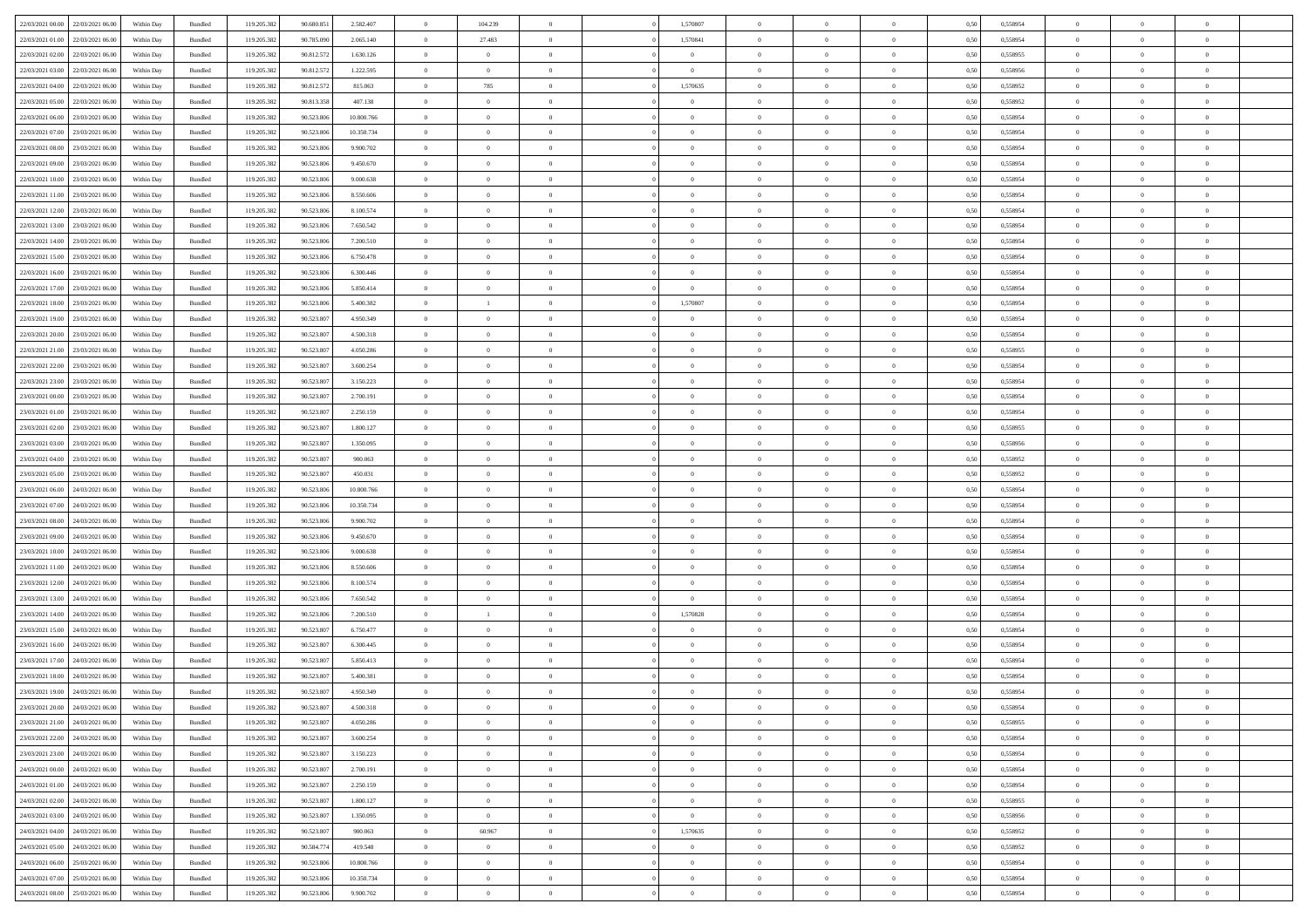| 22/03/2021 00:00                  | 22/03/2021 06:00 | Within Dav | Bundled            | 119.205.382 | 90.680.851 | 2.582.407  | $\overline{0}$ | 104.239        |                | 1,570807       | $\Omega$       | $\Omega$       | $\theta$       | 0,50 | 0,558954 | $\theta$       | $\theta$       | $\theta$       |  |
|-----------------------------------|------------------|------------|--------------------|-------------|------------|------------|----------------|----------------|----------------|----------------|----------------|----------------|----------------|------|----------|----------------|----------------|----------------|--|
|                                   |                  |            |                    |             |            |            |                |                |                |                |                |                |                |      |          |                |                |                |  |
| 22/03/2021 01:00                  | 22/03/2021 06:00 | Within Day | Bundled            | 119.205.382 | 90.785.090 | 2.065.140  | $\overline{0}$ | 27.483         | $\overline{0}$ | 1,570841       | $\bf{0}$       | $\overline{0}$ | $\overline{0}$ | 0,50 | 0,558954 | $\theta$       | $\theta$       | $\overline{0}$ |  |
| 22/03/2021 02:00                  | 22/03/2021 06:00 | Within Day | Bundled            | 119.205.382 | 90.812.572 | 1.630.126  | $\overline{0}$ | $\overline{0}$ | $\overline{0}$ | $\bf{0}$       | $\bf{0}$       | $\bf{0}$       | $\mathbf{0}$   | 0,50 | 0,558955 | $\bf{0}$       | $\overline{0}$ | $\overline{0}$ |  |
| 22/03/2021 03:00                  | 22/03/2021 06:00 | Within Dav | Bundled            | 119.205.382 | 90.812.57  | 1.222.595  | $\overline{0}$ | $\overline{0}$ | $\overline{0}$ | $\overline{0}$ | $\bf{0}$       | $\overline{0}$ | $\overline{0}$ | 0.50 | 0.558956 | $\theta$       | $\theta$       | $\overline{0}$ |  |
| 22/03/2021 04:00                  | 22/03/2021 06:00 | Within Day | Bundled            | 119.205.382 | 90.812.572 | 815.063    | $\overline{0}$ | 785            | $\overline{0}$ | 1,570635       | $\bf{0}$       | $\overline{0}$ | $\bf{0}$       | 0,50 | 0,558952 | $\theta$       | $\overline{0}$ | $\overline{0}$ |  |
| 22/03/2021 05:00                  | 22/03/2021 06:00 | Within Day | Bundled            | 119.205.382 | 90.813.358 | 407.138    | $\overline{0}$ | $\overline{0}$ | $\overline{0}$ | $\bf{0}$       | $\overline{0}$ | $\overline{0}$ | $\mathbf{0}$   | 0,50 | 0,558952 | $\bf{0}$       | $\overline{0}$ | $\bf{0}$       |  |
|                                   |                  |            |                    |             |            |            |                | $\overline{0}$ |                |                | $\overline{0}$ |                |                |      |          | $\theta$       | $\overline{0}$ | $\overline{0}$ |  |
| 22/03/2021 06:00                  | 23/03/2021 06:00 | Within Dav | Bundled            | 119.205.382 | 90.523.806 | 10.800.766 | $\overline{0}$ |                | $\overline{0}$ | $\overline{0}$ |                | $\overline{0}$ | $\overline{0}$ | 0.50 | 0,558954 |                |                |                |  |
| 22/03/2021 07:00                  | 23/03/2021 06:00 | Within Day | Bundled            | 119.205.382 | 90.523.806 | 10.350.734 | $\overline{0}$ | $\theta$       | $\overline{0}$ | $\overline{0}$ | $\bf{0}$       | $\overline{0}$ | $\bf{0}$       | 0,50 | 0,558954 | $\theta$       | $\theta$       | $\overline{0}$ |  |
| 22/03/2021 08:00                  | 23/03/2021 06:00 | Within Day | Bundled            | 119.205.382 | 90.523.806 | 9.900.702  | $\overline{0}$ | $\overline{0}$ | $\overline{0}$ | $\bf{0}$       | $\bf{0}$       | $\bf{0}$       | $\bf{0}$       | 0,50 | 0,558954 | $\,0\,$        | $\overline{0}$ | $\overline{0}$ |  |
| 22/03/2021 09:00                  | 23/03/2021 06:00 | Within Dav | Bundled            | 119.205.382 | 90.523.806 | 9.450.670  | $\overline{0}$ | $\overline{0}$ | $\overline{0}$ | $\overline{0}$ | $\overline{0}$ | $\overline{0}$ | $\overline{0}$ | 0.50 | 0,558954 | $\theta$       | $\overline{0}$ | $\overline{0}$ |  |
| 22/03/2021 10:00                  | 23/03/2021 06:00 | Within Day | Bundled            | 119.205.382 | 90.523.806 | 9.000.638  | $\overline{0}$ | $\theta$       | $\overline{0}$ | $\overline{0}$ | $\bf{0}$       | $\overline{0}$ | $\bf{0}$       | 0,50 | 0,558954 | $\theta$       | $\overline{0}$ | $\overline{0}$ |  |
| 22/03/2021 11:00                  | 23/03/2021 06:00 | Within Day | Bundled            | 119.205.382 | 90.523.806 | 8.550.606  | $\overline{0}$ | $\overline{0}$ | $\overline{0}$ | $\bf{0}$       | $\bf{0}$       | $\bf{0}$       | $\mathbf{0}$   | 0,50 | 0,558954 | $\bf{0}$       | $\overline{0}$ | $\overline{0}$ |  |
| 22/03/2021 12:00                  | 23/03/2021 06:00 | Within Dav | Bundled            | 119.205.382 | 90.523.806 | 8.100.574  | $\overline{0}$ | $\overline{0}$ | $\overline{0}$ | $\overline{0}$ | $\overline{0}$ | $\overline{0}$ | $\overline{0}$ | 0.50 | 0.558954 | $\theta$       | $\overline{0}$ | $\overline{0}$ |  |
|                                   |                  |            |                    |             |            |            |                |                |                |                |                |                |                |      |          |                |                |                |  |
| 22/03/2021 13:00                  | 23/03/2021 06:00 | Within Day | Bundled            | 119.205.382 | 90.523.806 | 7.650.542  | $\overline{0}$ | $\theta$       | $\overline{0}$ | $\overline{0}$ | $\bf{0}$       | $\overline{0}$ | $\bf{0}$       | 0,50 | 0,558954 | $\theta$       | $\overline{0}$ | $\overline{0}$ |  |
| 22/03/2021 14:00                  | 23/03/2021 06:00 | Within Day | Bundled            | 119.205.382 | 90.523.806 | 7.200.510  | $\overline{0}$ | $\overline{0}$ | $\overline{0}$ | $\overline{0}$ | $\overline{0}$ | $\overline{0}$ | $\mathbf{0}$   | 0,50 | 0,558954 | $\overline{0}$ | $\overline{0}$ | $\bf{0}$       |  |
| 22/03/2021 15:00                  | 23/03/2021 06:00 | Within Dav | Bundled            | 119.205.382 | 90.523.806 | 6.750.478  | $\overline{0}$ | $\overline{0}$ | $\overline{0}$ | $\overline{0}$ | $\overline{0}$ | $\overline{0}$ | $\overline{0}$ | 0.50 | 0,558954 | $\theta$       | $\overline{0}$ | $\overline{0}$ |  |
| 22/03/2021 16:00                  | 23/03/2021 06:00 | Within Day | Bundled            | 119.205.382 | 90.523.806 | 6.300.446  | $\overline{0}$ | $\theta$       | $\overline{0}$ | $\overline{0}$ | $\bf{0}$       | $\overline{0}$ | $\bf{0}$       | 0,50 | 0,558954 | $\theta$       | $\theta$       | $\overline{0}$ |  |
| 22/03/2021 17:00                  | 23/03/2021 06:00 | Within Day | Bundled            | 119.205.382 | 90.523.806 | 5.850.414  | $\overline{0}$ | $\overline{0}$ | $\overline{0}$ | $\overline{0}$ | $\bf{0}$       | $\overline{0}$ | $\mathbf{0}$   | 0,50 | 0,558954 | $\,0\,$        | $\overline{0}$ | $\overline{0}$ |  |
| 22/03/2021 18:00                  | 23/03/2021 06:00 | Within Dav | Bundled            | 119.205.382 | 90.523.806 | 5.400.382  | $\overline{0}$ | $\mathbf{1}$   | $\overline{0}$ | 1,570807       | $\overline{0}$ | $\overline{0}$ | $\overline{0}$ | 0.50 | 0,558954 | $\theta$       | $\overline{0}$ | $\overline{0}$ |  |
| 22/03/2021 19:00                  | 23/03/2021 06:00 | Within Day | Bundled            | 119.205.382 | 90.523.807 | 4.950.349  | $\overline{0}$ | $\theta$       | $\overline{0}$ | $\overline{0}$ | $\bf{0}$       | $\overline{0}$ | $\bf{0}$       | 0,50 | 0,558954 | $\,$ 0 $\,$    | $\theta$       | $\overline{0}$ |  |
|                                   |                  |            |                    |             |            |            |                |                |                |                |                |                |                |      |          |                |                |                |  |
| 22/03/2021 20:00                  | 23/03/2021 06:00 | Within Day | Bundled            | 119.205.382 | 90.523.807 | 4.500.318  | $\overline{0}$ | $\overline{0}$ | $\overline{0}$ | $\bf{0}$       | $\bf{0}$       | $\overline{0}$ | $\bf{0}$       | 0,50 | 0,558954 | $\bf{0}$       | $\overline{0}$ | $\overline{0}$ |  |
| 22/03/2021 21:00                  | 23/03/2021 06:00 | Within Day | Bundled            | 119.205.382 | 90.523.807 | 4.050.286  | $\overline{0}$ | $\overline{0}$ | $\overline{0}$ | $\overline{0}$ | $\overline{0}$ | $\overline{0}$ | $\overline{0}$ | 0.50 | 0.558955 | $\theta$       | $\overline{0}$ | $\overline{0}$ |  |
| 22/03/2021 22:00                  | 23/03/2021 06:00 | Within Day | Bundled            | 119.205.382 | 90.523.807 | 3.600.254  | $\overline{0}$ | $\theta$       | $\overline{0}$ | $\overline{0}$ | $\bf{0}$       | $\overline{0}$ | $\,$ 0 $\,$    | 0,50 | 0,558954 | $\theta$       | $\overline{0}$ | $\overline{0}$ |  |
| 22/03/2021 23:00                  | 23/03/2021 06:00 | Within Day | Bundled            | 119.205.382 | 90.523.807 | 3.150.223  | $\overline{0}$ | $\bf{0}$       | $\overline{0}$ | $\overline{0}$ | $\overline{0}$ | $\overline{0}$ | $\mathbf{0}$   | 0,50 | 0,558954 | $\overline{0}$ | $\overline{0}$ | $\bf{0}$       |  |
| 23/03/2021 00:00                  | 23/03/2021 06:00 | Within Dav | Bundled            | 119.205.382 | 90.523.807 | 2.700.191  | $\overline{0}$ | $\overline{0}$ | $\overline{0}$ | $\overline{0}$ | $\overline{0}$ | $\overline{0}$ | $\overline{0}$ | 0.50 | 0,558954 | $\theta$       | $\overline{0}$ | $\overline{0}$ |  |
| 23/03/2021 01:00                  | 23/03/2021 06:00 | Within Day | Bundled            | 119.205.382 | 90.523.807 | 2.250.159  | $\overline{0}$ | $\theta$       | $\overline{0}$ | $\overline{0}$ | $\bf{0}$       | $\overline{0}$ | $\bf{0}$       | 0,50 | 0,558954 | $\theta$       | $\theta$       | $\overline{0}$ |  |
|                                   |                  |            |                    |             |            |            |                |                |                |                |                |                |                |      |          |                |                |                |  |
| 23/03/2021 02:00                  | 23/03/2021 06:00 | Within Day | Bundled            | 119.205.382 | 90.523.807 | 1.800.127  | $\overline{0}$ | $\overline{0}$ | $\overline{0}$ | $\bf{0}$       | $\bf{0}$       | $\overline{0}$ | $\bf{0}$       | 0,50 | 0,558955 | $\,0\,$        | $\overline{0}$ | $\overline{0}$ |  |
| 23/03/2021 03:00                  | 23/03/2021 06:00 | Within Day | Bundled            | 119.205.382 | 90.523.807 | 1.350.095  | $\overline{0}$ | $\overline{0}$ | $\overline{0}$ | $\overline{0}$ | $\overline{0}$ | $\overline{0}$ | $\overline{0}$ | 0.50 | 0,558956 | $\theta$       | $\overline{0}$ | $\overline{0}$ |  |
| 23/03/2021 04:00                  | 23/03/2021 06:00 | Within Day | Bundled            | 119.205.382 | 90.523.807 | 900.063    | $\overline{0}$ | $\theta$       | $\overline{0}$ | $\overline{0}$ | $\bf{0}$       | $\overline{0}$ | $\bf{0}$       | 0,50 | 0,558952 | $\,$ 0 $\,$    | $\theta$       | $\overline{0}$ |  |
| 23/03/2021 05:00                  | 23/03/2021 06:00 | Within Day | Bundled            | 119.205.382 | 90.523.807 | 450.031    | $\overline{0}$ | $\overline{0}$ | $\overline{0}$ | $\overline{0}$ | $\bf{0}$       | $\bf{0}$       | $\bf{0}$       | 0,50 | 0,558952 | $\bf{0}$       | $\overline{0}$ | $\overline{0}$ |  |
| 23/03/2021 06:00                  | 24/03/2021 06.00 | Within Day | Bundled            | 119.205.382 | 90.523.806 | 10,800,766 | $\overline{0}$ | $\Omega$       | $\overline{0}$ | $\Omega$       | $\bf{0}$       | $\overline{0}$ | $\overline{0}$ | 0,50 | 0,558954 | $\,0\,$        | $\theta$       | $\overline{0}$ |  |
| 23/03/2021 07:00                  | 24/03/2021 06.00 | Within Day | Bundled            | 119.205.382 | 90.523.806 | 10.350.734 | $\overline{0}$ | $\theta$       | $\overline{0}$ | $\overline{0}$ | $\bf{0}$       | $\overline{0}$ | $\bf{0}$       | 0,50 | 0,558954 | $\theta$       | $\overline{0}$ | $\overline{0}$ |  |
| 23/03/2021 08:00                  | 24/03/2021 06:00 | Within Day | Bundled            | 119.205.382 | 90.523.806 | 9.900.702  | $\overline{0}$ | $\overline{0}$ | $\overline{0}$ | $\bf{0}$       | $\overline{0}$ | $\overline{0}$ | $\mathbf{0}$   | 0,50 | 0,558954 | $\bf{0}$       | $\overline{0}$ | $\bf{0}$       |  |
|                                   | 24/03/2021 06:00 |            |                    |             |            |            | $\overline{0}$ | $\overline{0}$ |                | $\Omega$       | $\overline{0}$ | $\overline{0}$ |                |      | 0.558954 |                | $\theta$       | $\overline{0}$ |  |
| 23/03/2021 09:00                  |                  | Within Day | Bundled            | 119.205.382 | 90.523.806 | 9.450.670  |                |                | $\overline{0}$ |                |                |                | $\overline{0}$ | 0.50 |          | $\,0\,$        |                |                |  |
| 23/03/2021 10:00                  | 24/03/2021 06.00 | Within Day | Bundled            | 119.205.382 | 90.523.806 | 9.000.638  | $\overline{0}$ | $\theta$       | $\overline{0}$ | $\overline{0}$ | $\bf{0}$       | $\overline{0}$ | $\bf{0}$       | 0,50 | 0,558954 | $\theta$       | $\theta$       | $\overline{0}$ |  |
| 23/03/2021 11:00                  | 24/03/2021 06:00 | Within Day | Bundled            | 119.205.382 | 90.523.806 | 8.550.606  | $\overline{0}$ | $\overline{0}$ | $\overline{0}$ | $\bf{0}$       | $\bf{0}$       | $\bf{0}$       | $\bf{0}$       | 0,50 | 0,558954 | $\,0\,$        | $\overline{0}$ | $\overline{0}$ |  |
| 23/03/2021 12:00                  | 24/03/2021 06:00 | Within Day | Bundled            | 119.205.382 | 90.523.806 | 8.100.574  | $\overline{0}$ | $\Omega$       | $\overline{0}$ | $\Omega$       | $\overline{0}$ | $\overline{0}$ | $\overline{0}$ | 0.50 | 0.558954 | $\,$ 0 $\,$    | $\theta$       | $\overline{0}$ |  |
| 23/03/2021 13:00                  | 24/03/2021 06.00 | Within Day | Bundled            | 119.205.382 | 90.523.806 | 7.650.542  | $\overline{0}$ | $\theta$       | $\overline{0}$ | $\overline{0}$ | $\bf{0}$       | $\overline{0}$ | $\bf{0}$       | 0,50 | 0,558954 | $\,$ 0 $\,$    | $\overline{0}$ | $\overline{0}$ |  |
| 23/03/2021 14:00                  | 24/03/2021 06:00 | Within Day | Bundled            | 119.205.382 | 90.523.806 | 7.200.510  | $\overline{0}$ | $\mathbf{1}$   | $\overline{0}$ | 1,570828       | $\bf{0}$       | $\bf{0}$       | $\mathbf{0}$   | 0,50 | 0,558954 | $\bf{0}$       | $\overline{0}$ | $\overline{0}$ |  |
| 23/03/2021 15:00                  | 24/03/2021 06.00 | Within Day | Bundled            | 119.205.382 | 90.523.807 | 6.750.477  | $\overline{0}$ | $\theta$       | $\overline{0}$ | $\Omega$       | $\bf{0}$       | $\overline{0}$ | $\overline{0}$ | 0.50 | 0,558954 | $\,0\,$        | $\theta$       | $\overline{0}$ |  |
| 23/03/2021 16:00                  | 24/03/2021 06.00 | Within Day | Bundled            | 119.205.382 | 90.523.807 | 6.300.445  | $\overline{0}$ | $\overline{0}$ | $\overline{0}$ | $\overline{0}$ | $\bf{0}$       | $\overline{0}$ | $\bf{0}$       | 0,50 | 0,558954 | $\,$ 0 $\,$    | $\overline{0}$ | $\overline{0}$ |  |
|                                   |                  |            |                    |             |            |            |                |                |                |                |                |                |                |      |          |                |                |                |  |
| 23/03/2021 17:00                  | 24/03/2021 06:00 | Within Day | Bundled            | 119.205.382 | 90.523.807 | 5.850.413  | $\overline{0}$ | $\bf{0}$       | $\overline{0}$ | $\bf{0}$       | $\bf{0}$       | $\overline{0}$ | $\mathbf{0}$   | 0,50 | 0,558954 | $\bf{0}$       | $\overline{0}$ | $\bf{0}$       |  |
| 23/03/2021 18:00                  | 24/03/2021 06:00 | Within Day | Bundled            | 119.205.382 | 90.523.807 | 5.400.381  | $\overline{0}$ | $\Omega$       | $\overline{0}$ | $\Omega$       | $\Omega$       | $\overline{0}$ | $\overline{0}$ | 0.50 | 0.558954 | $\theta$       | $\theta$       | $\theta$       |  |
| 23/03/2021 19:00                  | 24/03/2021 06:00 | Within Day | Bundled            | 119.205.382 | 90.523.807 | 4.950.349  | $\overline{0}$ | $\overline{0}$ | $\overline{0}$ | $\bf{0}$       | $\,$ 0         | $\bf{0}$       | $\bf{0}$       | 0,50 | 0,558954 | $\,0\,$        | $\,$ 0 $\,$    | $\overline{0}$ |  |
| 23/03/2021 20:00 24/03/2021 06:00 |                  | Within Day | $\mathbf B$ undled | 119.205.382 | 90.523.807 | 4.500.318  | $\bf{0}$       | $\bf{0}$       |                |                |                |                |                | 0,50 | 0,558954 | $\bf{0}$       | $\overline{0}$ |                |  |
| 23/03/2021 21:00                  | 24/03/2021 06:00 | Within Day | Bundled            | 119.205.382 | 90.523.807 | 4.050.286  | $\overline{0}$ | $\Omega$       | $\Omega$       | $\Omega$       | $\theta$       | $\overline{0}$ | $\overline{0}$ | 0.50 | 0.558955 | $\theta$       | $\theta$       | $\theta$       |  |
| 23/03/2021 22.00                  | 24/03/2021 06.00 | Within Day | Bundled            | 119.205.382 | 90.523.807 | 3.600.254  | $\overline{0}$ | $\,$ 0         | $\overline{0}$ | $\bf{0}$       | $\,$ 0 $\,$    | $\overline{0}$ | $\mathbf{0}$   | 0,50 | 0,558954 | $\,$ 0 $\,$    | $\,$ 0 $\,$    | $\bf{0}$       |  |
| 23/03/2021 23:00                  | 24/03/2021 06:00 | Within Day | Bundled            | 119.205.382 | 90.523.807 | 3.150.223  | $\overline{0}$ | $\overline{0}$ | $\overline{0}$ | $\overline{0}$ | $\overline{0}$ | $\overline{0}$ | $\mathbf{0}$   | 0,50 | 0,558954 | $\overline{0}$ | $\bf{0}$       | $\bf{0}$       |  |
|                                   |                  |            |                    |             |            |            |                |                |                |                |                |                |                |      |          |                |                |                |  |
| 24/03/2021 00:00                  | 24/03/2021 06:00 | Within Day | Bundled            | 119.205.382 | 90.523.807 | 2.700.191  | $\bf{0}$       | $\overline{0}$ | $\overline{0}$ | $\Omega$       | $\overline{0}$ | $\overline{0}$ | $\bf{0}$       | 0.50 | 0,558954 | $\bf{0}$       | $\theta$       | $\overline{0}$ |  |
| 24/03/2021 01:00                  | 24/03/2021 06.00 | Within Day | Bundled            | 119.205.382 | 90.523.807 | 2.250.159  | $\overline{0}$ | $\overline{0}$ | $\overline{0}$ | $\overline{0}$ | $\,$ 0 $\,$    | $\overline{0}$ | $\mathbf{0}$   | 0,50 | 0,558954 | $\,$ 0 $\,$    | $\overline{0}$ | $\overline{0}$ |  |
| 24/03/2021 02.00                  | 24/03/2021 06:00 | Within Day | Bundled            | 119.205.382 | 90.523.807 | 1.800.127  | $\overline{0}$ | $\overline{0}$ | $\overline{0}$ | $\overline{0}$ | $\overline{0}$ | $\overline{0}$ | $\mathbf{0}$   | 0,50 | 0,558955 | $\overline{0}$ | $\overline{0}$ | $\bf{0}$       |  |
| 24/03/2021 03:00                  | 24/03/2021 06:00 | Within Day | Bundled            | 119.205.382 | 90.523.807 | 1.350.095  | $\overline{0}$ | $\overline{0}$ | $\overline{0}$ | $\overline{0}$ | $\overline{0}$ | $\overline{0}$ | $\bf{0}$       | 0.50 | 0.558956 | $\overline{0}$ | $\theta$       | $\overline{0}$ |  |
| 24/03/2021 04:00                  | 24/03/2021 06.00 | Within Day | Bundled            | 119.205.382 | 90.523.807 | 900.063    | $\overline{0}$ | 60.967         | $\overline{0}$ | 1,570635       | $\bf{0}$       | $\bf{0}$       | $\bf{0}$       | 0,50 | 0,558952 | $\,$ 0 $\,$    | $\overline{0}$ | $\overline{0}$ |  |
| 24/03/2021 05:00                  | 24/03/2021 06:00 | Within Day | Bundled            | 119.205.382 | 90.584.774 | 419.548    | $\overline{0}$ | $\bf{0}$       | $\overline{0}$ | $\overline{0}$ | $\overline{0}$ | $\bf{0}$       | $\mathbf{0}$   | 0,50 | 0,558952 | $\overline{0}$ | $\overline{0}$ | $\bf{0}$       |  |
|                                   | 25/03/2021 06:00 |            |                    |             |            | 10,800,766 | $\overline{0}$ | $\overline{0}$ | $\overline{0}$ | $\Omega$       | $\overline{0}$ | $\overline{0}$ |                | 0.50 |          | $\overline{0}$ | $\theta$       | $\overline{0}$ |  |
| 24/03/2021 06:00                  |                  | Within Day | Bundled            | 119.205.382 | 90.523.806 |            |                |                |                |                |                |                | $\overline{0}$ |      | 0,558954 |                |                |                |  |
| 24/03/2021 07:00                  | 25/03/2021 06:00 | Within Day | Bundled            | 119.205.382 | 90.523.806 | 10.350.734 | $\overline{0}$ | $\bf{0}$       | $\overline{0}$ | $\overline{0}$ | $\bf{0}$       | $\overline{0}$ | $\mathbf{0}$   | 0,50 | 0,558954 | $\,$ 0 $\,$    | $\,$ 0 $\,$    | $\bf{0}$       |  |
| 24/03/2021 08:00 25/03/2021 06:00 |                  | Within Day | Bundled            | 119.205.382 | 90.523.806 | 9.900.702  | $\overline{0}$ | $\overline{0}$ | $\overline{0}$ | $\overline{0}$ | $\bf{0}$       | $\overline{0}$ | $\mathbf{0}$   | 0,50 | 0,558954 | $\overline{0}$ | $\bf{0}$       | $\bf{0}$       |  |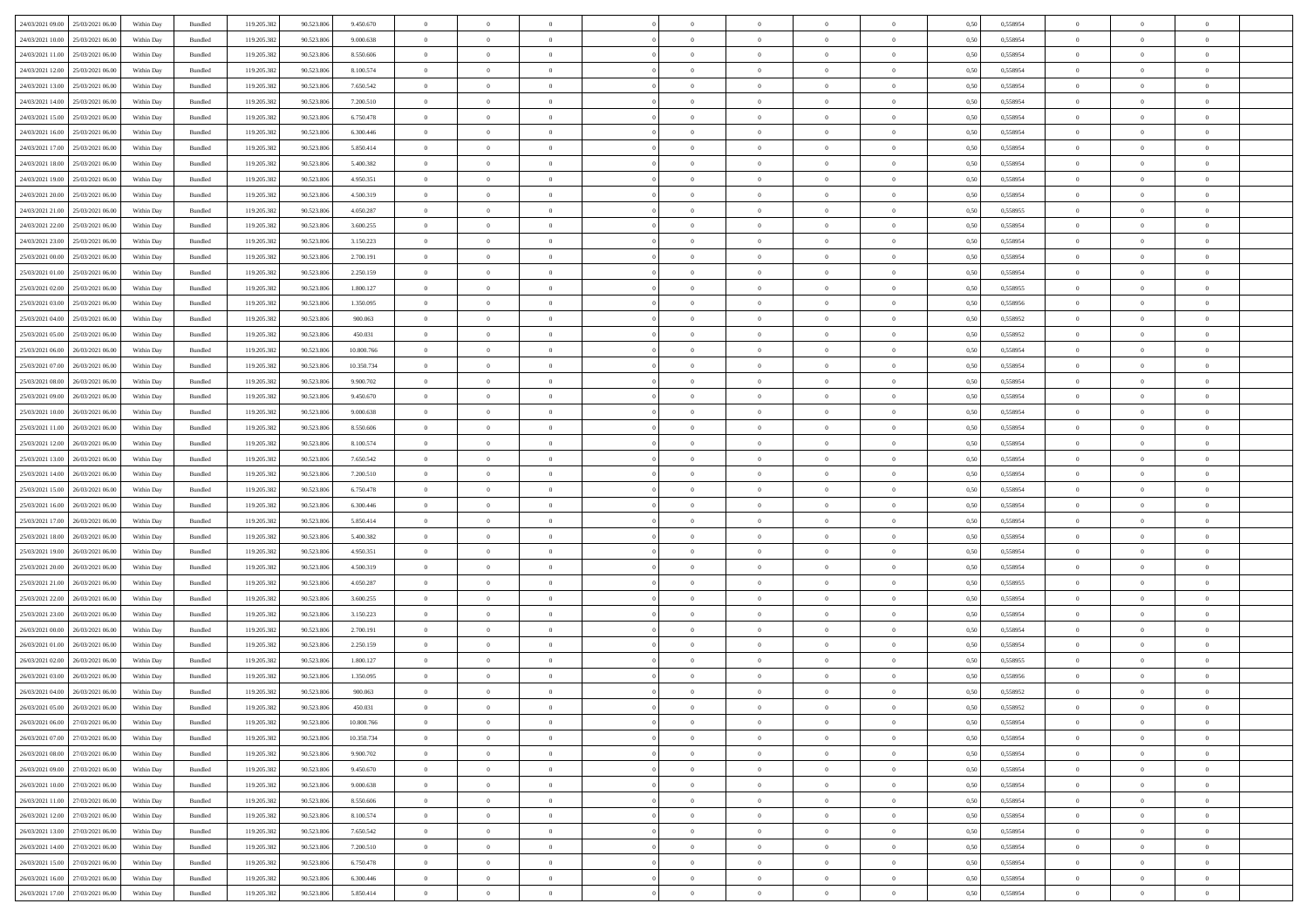| 24/03/2021 09:00                  | 25/03/2021 06:00 | Within Day | Bundled | 119.205.382 | 90.523.806 | 9.450.670  | $\overline{0}$ | $\theta$       |                | $\overline{0}$ | $\overline{0}$ | $\overline{0}$ | $\theta$       | 0,50 | 0,558954 | $\theta$       | $\theta$       | $\sqrt{a}$               |  |
|-----------------------------------|------------------|------------|---------|-------------|------------|------------|----------------|----------------|----------------|----------------|----------------|----------------|----------------|------|----------|----------------|----------------|--------------------------|--|
| 24/03/2021 10:00                  | 25/03/2021 06.00 | Within Day | Bundled | 119.205.382 | 90.523.806 | 9.000.638  | $\overline{0}$ | $\overline{0}$ | $\overline{0}$ | $\overline{0}$ | $\,$ 0         | $\overline{0}$ | $\bf{0}$       | 0,50 | 0,558954 | $\,$ 0 $\,$    | $\overline{0}$ | $\overline{0}$           |  |
|                                   |                  |            |         |             |            |            |                |                |                |                |                |                |                |      |          |                |                |                          |  |
| 24/03/2021 11:00                  | 25/03/2021 06:00 | Within Day | Bundled | 119.205.382 | 90.523.806 | 8,550,606  | $\overline{0}$ | $\overline{0}$ | $\overline{0}$ | $\overline{0}$ | $\bf{0}$       | $\overline{0}$ | $\mathbf{0}$   | 0.50 | 0.558954 | $\bf{0}$       | $\overline{0}$ | $\overline{0}$           |  |
| 24/03/2021 12:00                  | 25/03/2021 06:00 | Within Day | Bundled | 119.205.382 | 90.523.806 | 8.100.574  | $\overline{0}$ | $\overline{0}$ | $\overline{0}$ | $\overline{0}$ | $\bf{0}$       | $\overline{0}$ | $\overline{0}$ | 0,50 | 0,558954 | $\,$ 0 $\,$    | $\overline{0}$ | $\overline{0}$           |  |
| 24/03/2021 13:00                  | 25/03/2021 06.00 | Within Day | Bundled | 119.205.382 | 90.523.806 | 7.650.542  | $\overline{0}$ | $\theta$       | $\overline{0}$ |                | $\overline{0}$ | $\overline{0}$ | $\bf{0}$       | 0,50 | 0,558954 | $\,$ 0 $\,$    | $\overline{0}$ | $\overline{0}$           |  |
| 24/03/2021 14:00                  | 25/03/2021 06:00 | Within Day | Bundled | 119.205.382 | 90.523.806 | 7.200.510  | $\overline{0}$ | $\overline{0}$ | $\overline{0}$ | $\overline{0}$ | $\bf{0}$       | $\overline{0}$ | $\bf{0}$       | 0.50 | 0.558954 | $\,0\,$        | $\theta$       | $\overline{0}$           |  |
| 24/03/2021 15:00                  | 25/03/2021 06:00 | Within Day | Bundled | 119.205.382 | 90.523.806 | 6.750.478  | $\overline{0}$ | $\overline{0}$ | $\overline{0}$ | $\overline{0}$ | $\bf{0}$       | $\overline{0}$ | $\overline{0}$ | 0,50 | 0,558954 | $\,$ 0 $\,$    | $\theta$       | $\overline{0}$           |  |
| 24/03/2021 16:00                  | 25/03/2021 06:00 | Within Day | Bundled | 119.205.382 | 90.523.806 | 6.300.446  | $\overline{0}$ | $\theta$       | $\overline{0}$ |                | $\,$ 0         | $\overline{0}$ | $\bf{0}$       | 0,50 | 0,558954 | $\,$ 0 $\,$    | $\overline{0}$ | $\overline{0}$           |  |
| 24/03/2021 17:00                  | 25/03/2021 06:00 | Within Day | Bundled | 119.205.382 | 90.523.806 | 5.850.414  | $\overline{0}$ | $\overline{0}$ | $\overline{0}$ | $\overline{0}$ | $\bf{0}$       | $\overline{0}$ | $\bf{0}$       | 0.50 | 0.558954 | $\,0\,$        | $\overline{0}$ | $\overline{0}$           |  |
| 24/03/2021 18:00                  | 25/03/2021 06:00 | Within Day | Bundled | 119.205.382 | 90.523.806 | 5.400.382  | $\overline{0}$ | $\overline{0}$ | $\overline{0}$ | $\overline{0}$ | $\bf{0}$       | $\overline{0}$ | $\bf{0}$       | 0,50 | 0,558954 | $\,$ 0 $\,$    | $\overline{0}$ | $\overline{0}$           |  |
| 24/03/2021 19:00                  | 25/03/2021 06.00 | Within Day | Bundled | 119.205.382 | 90.523.806 | 4.950.351  | $\bf{0}$       | $\theta$       | $\overline{0}$ | $\overline{0}$ | $\,$ 0         | $\overline{0}$ | $\bf{0}$       | 0,50 | 0,558954 | $\,$ 0 $\,$    | $\overline{0}$ | $\overline{0}$           |  |
|                                   |                  |            |         |             |            |            |                |                |                |                |                |                |                |      |          |                |                |                          |  |
| 24/03/2021 20:00                  | 25/03/2021 06:00 | Within Day | Bundled | 119.205.382 | 90.523.806 | 4.500.319  | $\overline{0}$ | $\overline{0}$ | $\overline{0}$ | $\overline{0}$ | $\bf{0}$       | $\overline{0}$ | $\mathbf{0}$   | 0.50 | 0.558954 | $\bf{0}$       | $\overline{0}$ | $\bf{0}$                 |  |
| 24/03/2021 21:00                  | 25/03/2021 06:00 | Within Day | Bundled | 119.205.382 | 90.523.806 | 4.050.287  | $\overline{0}$ | $\overline{0}$ | $\overline{0}$ | $\overline{0}$ | $\,$ 0         | $\overline{0}$ | $\overline{0}$ | 0,50 | 0,558955 | $\,$ 0 $\,$    | $\overline{0}$ | $\overline{0}$           |  |
| 24/03/2021 22.00                  | 25/03/2021 06.00 | Within Day | Bundled | 119.205.382 | 90.523.806 | 3.600.255  | $\overline{0}$ | $\theta$       | $\overline{0}$ |                | $\bf{0}$       | $\overline{0}$ | $\bf{0}$       | 0,50 | 0,558954 | $\,$ 0 $\,$    | $\overline{0}$ | $\overline{0}$           |  |
| 24/03/2021 23:00                  | 25/03/2021 06:00 | Within Day | Bundled | 119.205.382 | 90.523.806 | 3.150.223  | $\overline{0}$ | $\overline{0}$ | $\overline{0}$ | $\overline{0}$ | $\bf{0}$       | $\overline{0}$ | $\bf{0}$       | 0.50 | 0.558954 | $\,0\,$        | $\theta$       | $\overline{0}$           |  |
| 25/03/2021 00:00                  | 25/03/2021 06:00 | Within Day | Bundled | 119.205.382 | 90.523.806 | 2.700.191  | $\overline{0}$ | $\overline{0}$ | $\overline{0}$ | $\overline{0}$ | $\bf{0}$       | $\overline{0}$ | $\overline{0}$ | 0,50 | 0,558954 | $\theta$       | $\theta$       | $\overline{0}$           |  |
| 25/03/2021 01:00                  | 25/03/2021 06.00 | Within Day | Bundled | 119.205.382 | 90.523.806 | 2.250.159  | $\overline{0}$ | $\theta$       | $\overline{0}$ |                | $\,$ 0         | $\overline{0}$ | $\bf{0}$       | 0,50 | 0,558954 | $\,$ 0 $\,$    | $\overline{0}$ | $\overline{0}$           |  |
| 25/03/2021 02:00                  | 25/03/2021 06:00 | Within Day | Bundled | 119.205.382 | 90.523.806 | 1.800.127  | $\overline{0}$ | $\overline{0}$ | $\overline{0}$ | $\overline{0}$ | $\bf{0}$       | $\overline{0}$ | $\bf{0}$       | 0.50 | 0.558955 | $\,0\,$        | $\overline{0}$ | $\overline{\phantom{a}}$ |  |
| 25/03/2021 03:00                  | 25/03/2021 06:00 | Within Day | Bundled | 119.205.382 | 90.523.806 | 1.350.095  | $\overline{0}$ | $\overline{0}$ | $\overline{0}$ | $\overline{0}$ | $\bf{0}$       | $\overline{0}$ | $\bf{0}$       | 0,50 | 0,558956 | $\,$ 0 $\,$    | $\overline{0}$ | $\overline{0}$           |  |
| 25/03/2021 04:00                  | 25/03/2021 06.00 | Within Day | Bundled | 119.205.382 | 90.523.806 | 900.063    | $\bf{0}$       | $\overline{0}$ | $\overline{0}$ | $\overline{0}$ | $\,$ 0         | $\bf{0}$       | $\bf{0}$       | 0,50 | 0,558952 | $\,$ 0 $\,$    | $\overline{0}$ | $\overline{0}$           |  |
|                                   |                  |            |         |             |            |            |                |                |                |                |                |                |                |      |          |                |                |                          |  |
| 25/03/2021 05:00                  | 25/03/2021 06:00 | Within Day | Bundled | 119.205.382 | 90.523.806 | 450.031    | $\overline{0}$ | $\overline{0}$ | $\overline{0}$ | $\overline{0}$ | $\bf{0}$       | $\overline{0}$ | $\mathbf{0}$   | 0.50 | 0.558952 | $\,$ 0 $\,$    | $\overline{0}$ | $\overline{\phantom{a}}$ |  |
| 25/03/2021 06:00                  | 26/03/2021 06:00 | Within Day | Bundled | 119.205.382 | 90.523.806 | 10.800.766 | $\overline{0}$ | $\overline{0}$ | $\overline{0}$ | $\overline{0}$ | $\bf{0}$       | $\overline{0}$ | $\overline{0}$ | 0,50 | 0,558954 | $\,$ 0 $\,$    | $\overline{0}$ | $\overline{0}$           |  |
| 25/03/2021 07:00                  | 26/03/2021 06.00 | Within Day | Bundled | 119.205.382 | 90.523.806 | 10.350.734 | $\overline{0}$ | $\theta$       | $\overline{0}$ | $\overline{0}$ | $\,$ 0         | $\overline{0}$ | $\bf{0}$       | 0,50 | 0,558954 | $\,$ 0 $\,$    | $\overline{0}$ | $\overline{0}$           |  |
| 25/03/2021 08:00                  | 26/03/2021 06:00 | Within Day | Bundled | 119.205.382 | 90.523.806 | 9.900.702  | $\overline{0}$ | $\overline{0}$ | $\overline{0}$ | $\overline{0}$ | $\bf{0}$       | $\overline{0}$ | $\bf{0}$       | 0.50 | 0.558954 | $\,0\,$        | $\theta$       | $\overline{0}$           |  |
| 25/03/2021 09:00                  | 26/03/2021 06:00 | Within Day | Bundled | 119.205.382 | 90.523.806 | 9.450.670  | $\overline{0}$ | $\overline{0}$ | $\overline{0}$ | $\overline{0}$ | $\,$ 0         | $\overline{0}$ | $\overline{0}$ | 0,50 | 0,558954 | $\,$ 0 $\,$    | $\theta$       | $\overline{0}$           |  |
| 25/03/2021 10:00                  | 26/03/2021 06.00 | Within Day | Bundled | 119.205.382 | 90.523.806 | 9.000.638  | $\overline{0}$ | $\theta$       | $\overline{0}$ |                | $\,$ 0         | $\overline{0}$ | $\bf{0}$       | 0,50 | 0,558954 | $\,$ 0 $\,$    | $\overline{0}$ | $\overline{0}$           |  |
| 25/03/2021 11:00                  | 26/03/2021 06:00 | Within Day | Bundled | 119.205.382 | 90.523.806 | 8.550.606  | $\overline{0}$ | $\overline{0}$ | $\overline{0}$ | $\overline{0}$ | $\bf{0}$       | $\overline{0}$ | $\bf{0}$       | 0.50 | 0.558954 | $\,0\,$        | $\overline{0}$ | $\overline{0}$           |  |
| 25/03/2021 12:00                  | 26/03/2021 06:00 | Within Day | Bundled | 119.205.382 | 90.523.806 | 8.100.574  | $\overline{0}$ | $\overline{0}$ | $\overline{0}$ | $\overline{0}$ | $\bf{0}$       | $\overline{0}$ | $\bf{0}$       | 0,50 | 0,558954 | $\,$ 0 $\,$    | $\theta$       | $\overline{0}$           |  |
| 25/03/2021 13:00                  | 26/03/2021 06.00 | Within Day | Bundled | 119.205.382 | 90.523.806 | 7.650.542  | $\overline{0}$ | $\overline{0}$ | $\overline{0}$ | $\overline{0}$ | $\bf{0}$       | $\bf{0}$       | $\bf{0}$       | 0,50 | 0,558954 | $\,$ 0 $\,$    | $\overline{0}$ | $\overline{0}$           |  |
|                                   |                  |            |         |             |            |            |                |                |                |                |                |                |                |      |          |                |                |                          |  |
| 25/03/2021 14:00                  | 26/03/2021 06:00 | Within Day | Bundled | 119.205.382 | 90.523.806 | 7.200.510  | $\overline{0}$ | $\bf{0}$       | $\overline{0}$ | $\overline{0}$ | $\bf{0}$       | $\overline{0}$ | $\mathbf{0}$   | 0.50 | 0.558954 | $\,$ 0 $\,$    | $\overline{0}$ | $\bf{0}$                 |  |
| 25/03/2021 15:00                  | 26/03/2021 06:00 | Within Dav | Bundled | 119.205.382 | 90.523.806 | 6.750.478  | $\overline{0}$ | $\overline{0}$ | $\overline{0}$ | $\overline{0}$ | $\overline{0}$ | $\overline{0}$ | $\overline{0}$ | 0.50 | 0,558954 | $\theta$       | $\overline{0}$ | $\overline{0}$           |  |
| 25/03/2021 16:00                  | 26/03/2021 06.00 | Within Day | Bundled | 119.205.382 | 90.523.806 | 6.300.446  | $\overline{0}$ | $\theta$       | $\overline{0}$ |                | $\,$ 0         | $\overline{0}$ | $\bf{0}$       | 0,50 | 0,558954 | $\,$ 0 $\,$    | $\overline{0}$ | $\overline{0}$           |  |
| 25/03/2021 17:00                  | 26/03/2021 06:00 | Within Day | Bundled | 119.205.382 | 90.523.806 | 5.850.414  | $\overline{0}$ | $\overline{0}$ | $\overline{0}$ | $\overline{0}$ | $\bf{0}$       | $\overline{0}$ | $\bf{0}$       | 0.50 | 0.558954 | $\,0\,$        | $\theta$       | $\overline{0}$           |  |
| 25/03/2021 18:00                  | 26/03/2021 06:00 | Within Dav | Bundled | 119.205.382 | 90.523.806 | 5.400.382  | $\overline{0}$ | $\overline{0}$ | $\Omega$       | $\Omega$       | $\mathbf{0}$   | $\overline{0}$ | $\overline{0}$ | 0.50 | 0,558954 | $\theta$       | $\overline{0}$ | $\overline{0}$           |  |
| 25/03/2021 19:00                  | 26/03/2021 06.00 | Within Day | Bundled | 119.205.382 | 90.523.806 | 4.950.351  | $\overline{0}$ | $\theta$       | $\overline{0}$ |                | $\,$ 0         | $\overline{0}$ | $\bf{0}$       | 0,50 | 0,558954 | $\,$ 0 $\,$    | $\overline{0}$ | $\overline{0}$           |  |
| 25/03/2021 20:00                  | 26/03/2021 06:00 | Within Day | Bundled | 119.205.382 | 90.523.806 | 4.500.319  | $\overline{0}$ | $\overline{0}$ | $\overline{0}$ | $\overline{0}$ | $\bf{0}$       | $\overline{0}$ | $\bf{0}$       | 0.50 | 0.558954 | $\,0\,$        | $\overline{0}$ | $\overline{\phantom{a}}$ |  |
| 25/03/2021 21:00                  | 26/03/2021 06:00 | Within Dav | Bundled | 119.205.382 | 90.523.806 | 4.050.287  | $\overline{0}$ | $\overline{0}$ | $\overline{0}$ | $\overline{0}$ | $\overline{0}$ | $\overline{0}$ | $\overline{0}$ | 0.50 | 0,558955 | $\theta$       | $\overline{0}$ | $\overline{0}$           |  |
| 25/03/2021 22.00                  | 26/03/2021 06.00 | Within Day | Bundled | 119.205.382 | 90.523.806 | 3.600.255  | $\overline{0}$ | $\overline{0}$ | $\overline{0}$ | $\overline{0}$ | $\bf{0}$       | $\bf{0}$       | $\bf{0}$       | 0,50 | 0,558954 | $\,$ 0 $\,$    | $\overline{0}$ | $\overline{0}$           |  |
|                                   |                  |            |         |             |            |            |                |                |                |                |                |                |                |      |          |                |                |                          |  |
| 25/03/2021 23:00                  | 26/03/2021 06:00 | Within Day | Bundled | 119.205.382 | 90.523.806 | 3.150.223  | $\overline{0}$ | $\overline{0}$ | $\overline{0}$ | $\overline{0}$ | $\bf{0}$       | $\overline{0}$ | $\mathbf{0}$   | 0.50 | 0.558954 | $\,$ 0 $\,$    | $\overline{0}$ | $\overline{\phantom{a}}$ |  |
| 26/03/2021 00:00                  | 26/03/2021 06:00 | Within Dav | Bundled | 119.205.382 | 90.523.806 | 2.700.191  | $\overline{0}$ | $\overline{0}$ | $\Omega$       | $\overline{0}$ | $\mathbf{0}$   | $\overline{0}$ | $\mathbf{0}$   | 0.50 | 0,558954 | $\theta$       | $\overline{0}$ | $\overline{0}$           |  |
| 26/03/2021 01:00                  | 26/03/2021 06.00 | Within Day | Bundled | 119.205.382 | 90.523.806 | 2.250.159  | $\overline{0}$ | $\overline{0}$ | $\overline{0}$ | $\overline{0}$ | $\,$ 0         | $\overline{0}$ | $\bf{0}$       | 0,50 | 0,558954 | $\,$ 0 $\,$    | $\overline{0}$ | $\overline{0}$           |  |
| 26/03/2021 02:00                  | 26/03/2021 06:00 | Within Day | Bundled | 119.205.382 | 90.523.806 | 1.800.127  | $\overline{0}$ | $\overline{0}$ | $\overline{0}$ | $\overline{0}$ | $\bf{0}$       | $\overline{0}$ | $\overline{0}$ | 0.50 | 0.558955 | $\,0\,$        | $\theta$       | $\overline{0}$           |  |
| 26/03/2021 03:00                  | 26/03/2021 06:00 | Within Dav | Bundled | 119.205.382 | 90.523.806 | 1.350.095  | $\overline{0}$ | $\Omega$       | $\Omega$       | $\Omega$       | $\bf{0}$       | $\overline{0}$ | $\mathbf{0}$   | 0.50 | 0,558956 | $\theta$       | $\overline{0}$ | $\overline{0}$           |  |
| 26/03/2021 04:00                  | 26/03/2021 06:00 | Within Day | Bundled | 119.205.382 | 90.523.806 | 900.063    | $\overline{0}$ | $\overline{0}$ | $\overline{0}$ | $\bf{0}$       | $\,$ 0         | $\overline{0}$ | $\bf{0}$       | 0,50 | 0,558952 | $\bf{0}$       | $\overline{0}$ | $\overline{0}$           |  |
| 26/03/2021 05:00                  | 26/03/2021 06:00 | Within Day | Bundled | 119.205.382 | 90.523.806 | 450.031    | $\bf{0}$       | $\bf{0}$       |                | $^{\circ}$     |                |                |                | 0,50 | 0,558952 | $\,0\,$        | $\theta$       |                          |  |
| 26/03/2021 06:00 27/03/2021 06:00 |                  | Within Day | Bundled | 119.205.382 | 90.523.806 | 10.800.766 | $\Omega$       | $\overline{0}$ | $\overline{0}$ | $\Omega$       | $\mathbf{0}$   | $\overline{0}$ | $\overline{0}$ | 0,50 | 0,558954 | $\theta$       | $\theta$       | $\overline{0}$           |  |
| 26/03/2021 07:00                  | 27/03/2021 06:00 | Within Day | Bundled | 119.205.382 | 90.523.806 | 10.350.734 | $\overline{0}$ | $\bf{0}$       | $\overline{0}$ | $\bf{0}$       | $\overline{0}$ | $\overline{0}$ | $\mathbf{0}$   | 0,50 | 0,558954 | $\overline{0}$ | $\overline{0}$ | $\bf{0}$                 |  |
| 26/03/2021 08:00                  | 27/03/2021 06:00 |            |         |             |            |            | $\overline{0}$ | $\overline{0}$ | $\overline{0}$ | $\overline{0}$ | $\overline{0}$ | $\overline{0}$ |                | 0.50 | 0.558954 | $\overline{0}$ | $\bf{0}$       | $\bf{0}$                 |  |
|                                   |                  | Within Day | Bundled | 119.205.382 | 90.523.806 | 9.900.702  |                |                |                |                |                |                | $\mathbf{0}$   |      |          |                |                |                          |  |
| 26/03/2021 09:00                  | 27/03/2021 06:00 | Within Dav | Bundled | 119.205.382 | 90.523.806 | 9.450.670  | $\overline{0}$ | $\overline{0}$ | $\overline{0}$ | $\overline{0}$ | $\overline{0}$ | $\overline{0}$ | $\overline{0}$ | 0.50 | 0,558954 | $\overline{0}$ | $\theta$       | $\overline{0}$           |  |
| 26/03/2021 10:00                  | 27/03/2021 06:00 | Within Day | Bundled | 119.205.382 | 90.523.806 | 9.000.638  | $\overline{0}$ | $\overline{0}$ | $\overline{0}$ | $\overline{0}$ | $\bf{0}$       | $\overline{0}$ | $\bf{0}$       | 0,50 | 0,558954 | $\bf{0}$       | $\overline{0}$ | $\overline{0}$           |  |
| 26/03/2021 11:00                  | 27/03/2021 06:00 | Within Day | Bundled | 119.205.382 | 90.523.806 | 8,550,606  | $\overline{0}$ | $\overline{0}$ | $\overline{0}$ | $\overline{0}$ | $\bf{0}$       | $\overline{0}$ | $\mathbf{0}$   | 0.50 | 0.558954 | $\,$ 0 $\,$    | $\overline{0}$ | $\overline{0}$           |  |
| 26/03/2021 12:00                  | 27/03/2021 06:00 | Within Day | Bundled | 119.205.382 | 90.523.806 | 8.100.574  | $\overline{0}$ | $\overline{0}$ | $\overline{0}$ | $\overline{0}$ | $\overline{0}$ | $\overline{0}$ | $\overline{0}$ | 0.50 | 0,558954 | $\overline{0}$ | $\theta$       | $\overline{0}$           |  |
| 26/03/2021 13:00                  | 27/03/2021 06:00 | Within Day | Bundled | 119.205.382 | 90.523.806 | 7.650.542  | $\overline{0}$ | $\,$ 0         | $\overline{0}$ | $\bf{0}$       | $\,$ 0 $\,$    | $\overline{0}$ | $\bf{0}$       | 0,50 | 0,558954 | $\,$ 0 $\,$    | $\overline{0}$ | $\overline{0}$           |  |
| 26/03/2021 14:00                  | 27/03/2021 06:00 | Within Day | Bundled | 119.205.382 | 90.523.806 | 7.200.510  | $\overline{0}$ | $\overline{0}$ | $\overline{0}$ | $\overline{0}$ | $\bf{0}$       | $\overline{0}$ | $\mathbf{0}$   | 0.50 | 0.558954 | $\mathbf{0}$   | $\bf{0}$       | $\overline{0}$           |  |
| 26/03/2021 15:00                  | 27/03/2021 06:00 | Within Dav | Bundled | 119.205.382 | 90.523.806 | 6.750.478  | $\overline{0}$ | $\overline{0}$ | $\overline{0}$ | $\overline{0}$ | $\overline{0}$ | $\overline{0}$ | $\overline{0}$ | 0,50 | 0,558954 | $\overline{0}$ | $\theta$       | $\overline{0}$           |  |
| 26/03/2021 16:00                  | 27/03/2021 06:00 | Within Day | Bundled | 119.205.382 | 90.523.806 | 6.300.446  | $\overline{0}$ | $\overline{0}$ | $\overline{0}$ | $\bf{0}$       | $\bf{0}$       | $\overline{0}$ | $\bf{0}$       | 0,50 | 0,558954 | $\bf{0}$       | $\overline{0}$ | $\bf{0}$                 |  |
|                                   |                  |            |         |             |            |            |                |                |                |                |                |                |                |      |          |                |                |                          |  |
| 26/03/2021 17:00 27/03/2021 06:00 |                  | Within Day | Bundled | 119.205.382 | 90.523.806 | 5.850.414  | $\overline{0}$ | $\,$ 0 $\,$    | $\overline{0}$ | $\overline{0}$ | $\bf{0}$       | $\overline{0}$ | $\,$ 0 $\,$    | 0,50 | 0,558954 | $\overline{0}$ | $\,$ 0 $\,$    | $\,$ 0 $\,$              |  |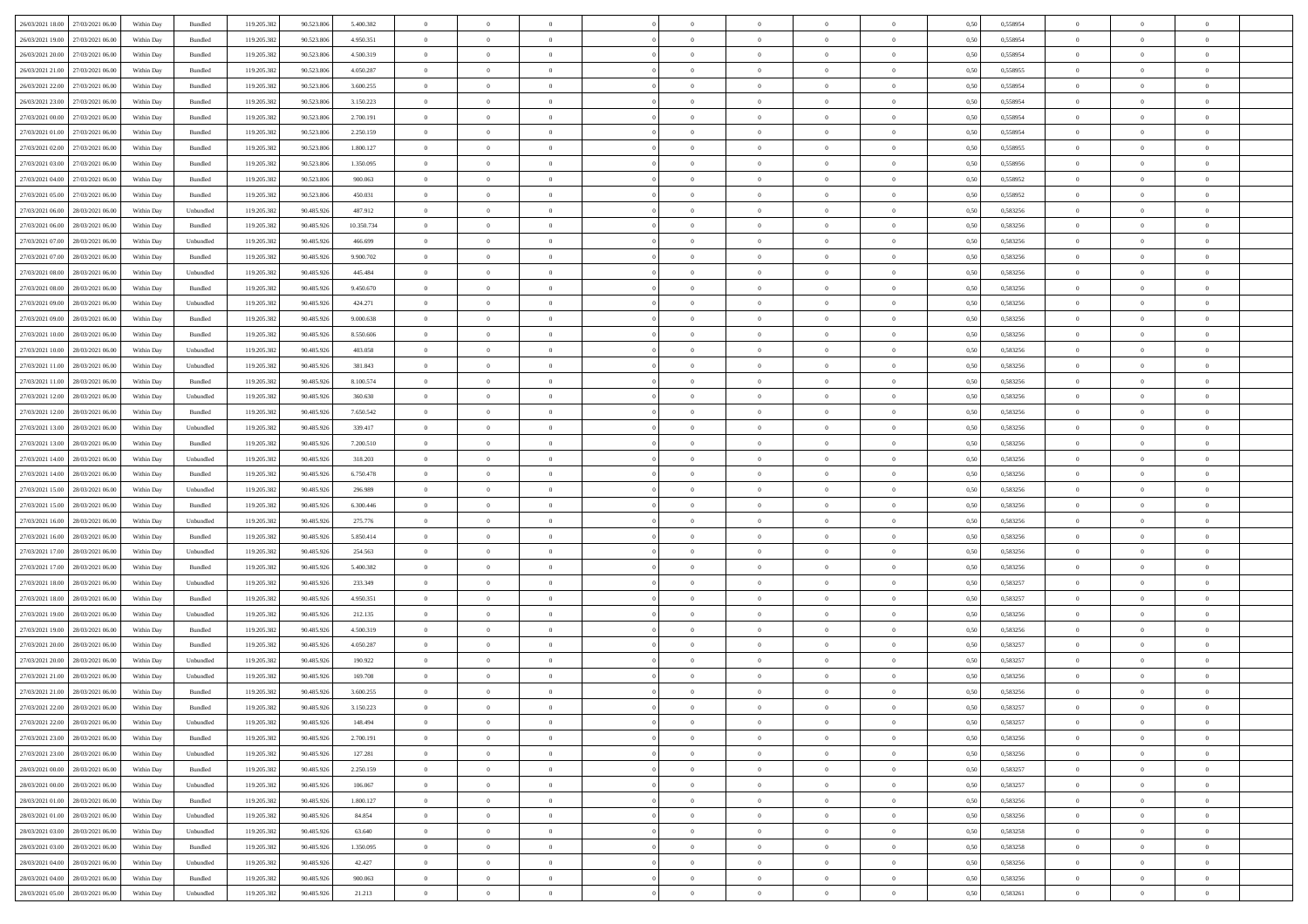|                                      |            |           |             |            |            | $\overline{0}$ | $\overline{0}$ |                | $\overline{0}$ | $\theta$       |                | $\theta$       |      |          | $\theta$       | $\theta$       | $\overline{0}$ |  |
|--------------------------------------|------------|-----------|-------------|------------|------------|----------------|----------------|----------------|----------------|----------------|----------------|----------------|------|----------|----------------|----------------|----------------|--|
| 26/03/2021 18:00 27/03/2021 06:00    | Within Day | Bundled   | 119.205.382 | 90.523.806 | 5.400.382  |                |                |                |                |                |                |                | 0,50 | 0,558954 |                |                |                |  |
| 26/03/2021 19:00<br>27/03/2021 06.00 | Within Day | Bundled   | 119.205.38  | 90.523.80  | 4.950.351  | $\bf{0}$       | $\bf{0}$       | $\bf{0}$       | $\bf{0}$       | $\overline{0}$ | $\overline{0}$ | $\bf{0}$       | 0,50 | 0,558954 | $\,$ 0 $\,$    | $\bf{0}$       | $\overline{0}$ |  |
| 26/03/2021 20:00<br>27/03/2021 06:00 | Within Day | Bundled   | 119.205.382 | 90.523.806 | 4.500.319  | $\overline{0}$ | $\bf{0}$       | $\overline{0}$ | $\bf{0}$       | $\bf{0}$       | $\overline{0}$ | $\bf{0}$       | 0.50 | 0.558954 | $\overline{0}$ | $\overline{0}$ | $\overline{0}$ |  |
| 26/03/2021 21:00<br>27/03/2021 06:00 | Within Day | Bundled   | 119.205.382 | 90.523.806 | 4.050.287  | $\overline{0}$ | $\overline{0}$ | $\overline{0}$ | $\overline{0}$ | $\theta$       | $\overline{0}$ | $\bf{0}$       | 0,50 | 0,558955 | $\,$ 0 $\,$    | $\,$ 0 $\,$    | $\overline{0}$ |  |
| 26/03/2021 22:00<br>27/03/2021 06.00 | Within Day | Bundled   | 119.205.38  | 90.523.80  | 3.600.255  | $\bf{0}$       | $\overline{0}$ | $\bf{0}$       | $\overline{0}$ | $\bf{0}$       | $\overline{0}$ | $\bf{0}$       | 0,50 | 0,558954 | $\,$ 0 $\,$    | $\bf{0}$       | $\overline{0}$ |  |
|                                      |            |           |             |            |            |                |                |                |                |                |                |                |      |          |                |                |                |  |
| 26/03/2021 23:00<br>27/03/2021 06:00 | Within Day | Bundled   | 119.205.382 | 90.523.806 | 3.150.223  | $\overline{0}$ | $\bf{0}$       | $\overline{0}$ | $\bf{0}$       | $\overline{0}$ | $\overline{0}$ | $\bf{0}$       | 0.50 | 0.558954 | $\,$ 0 $\,$    | $\theta$       | $\overline{0}$ |  |
| 27/03/2021 00:00<br>27/03/2021 06:00 | Within Day | Bundled   | 119.205.382 | 90.523.806 | 2.700.191  | $\overline{0}$ | $\overline{0}$ | $\overline{0}$ | $\overline{0}$ | $\overline{0}$ | $\overline{0}$ | $\bf{0}$       | 0,50 | 0,558954 | $\,$ 0 $\,$    | $\theta$       | $\overline{0}$ |  |
| 27/03/2021 01:00<br>27/03/2021 06.00 | Within Day | Bundled   | 119.205.38  | 90.523.80  | 2.250.159  | $\bf{0}$       | $\bf{0}$       | $\bf{0}$       | $\bf{0}$       | $\overline{0}$ | $\overline{0}$ | $\bf{0}$       | 0,50 | 0,558954 | $\,$ 0 $\,$    | $\bf{0}$       | $\overline{0}$ |  |
| 27/03/2021 02:00<br>27/03/2021 06:00 | Within Day | Bundled   | 119,205.38  | 90.523.80  | 1.800.127  | $\overline{0}$ | $\bf{0}$       | $\overline{0}$ | $\bf{0}$       | $\overline{0}$ | $\overline{0}$ | $\bf{0}$       | 0.50 | 0.558955 | $\bf{0}$       | $\overline{0}$ | $\overline{0}$ |  |
| 27/03/2021 03:00<br>27/03/2021 06:00 | Within Day | Bundled   | 119.205.382 | 90.523.806 | 1.350.095  | $\bf{0}$       | $\bf{0}$       | $\overline{0}$ | $\overline{0}$ | $\overline{0}$ | $\overline{0}$ | $\bf{0}$       | 0,50 | 0,558956 | $\,$ 0 $\,$    | $\bf{0}$       | $\overline{0}$ |  |
| 27/03/2021 04:00<br>27/03/2021 06.00 | Within Day | Bundled   | 119.205.38  | 90.523.80  | 900.063    | $\bf{0}$       | $\bf{0}$       | $\bf{0}$       | $\bf{0}$       | $\overline{0}$ | $\overline{0}$ | $\bf{0}$       | 0,50 | 0,558952 | $\,$ 0 $\,$    | $\bf{0}$       | $\overline{0}$ |  |
| 27/03/2021 05:00<br>27/03/2021 06:00 | Within Day | Bundled   | 119.205.382 | 90.523.806 | 450.031    | $\overline{0}$ | $\bf{0}$       | $\overline{0}$ | $\overline{0}$ | $\overline{0}$ | $\overline{0}$ | $\bf{0}$       | 0.50 | 0.558952 | $\bf{0}$       | $\,$ 0 $\,$    | $\,$ 0         |  |
|                                      |            |           |             |            |            | $\overline{0}$ |                |                |                |                |                |                |      |          |                |                |                |  |
| 27/03/2021 06:00<br>28/03/2021 06:00 | Within Day | Unbundled | 119.205.38  | 90.485.926 | 487.912    |                | $\bf{0}$       | $\overline{0}$ | $\theta$       | $\theta$       | $\overline{0}$ | $\bf{0}$       | 0,50 | 0,583256 | $\,$ 0 $\,$    | $\,$ 0 $\,$    | $\overline{0}$ |  |
| 27/03/2021 06:00<br>28/03/2021 06:00 | Within Day | Bundled   | 119.205.38  | 90.485.92  | 10.350.734 | $\bf{0}$       | $\overline{0}$ | $\bf{0}$       | $\bf{0}$       | $\bf{0}$       | $\overline{0}$ | $\bf{0}$       | 0,50 | 0,583256 | $\,$ 0 $\,$    | $\bf{0}$       | $\overline{0}$ |  |
| 27/03/2021 07:00<br>28/03/2021 06:00 | Within Day | Unbundled | 119,205.38  | 90.485.926 | 466.699    | $\overline{0}$ | $\bf{0}$       | $\overline{0}$ | $\bf{0}$       | $\overline{0}$ | $\overline{0}$ | $\bf{0}$       | 0.50 | 0.583256 | $\,$ 0 $\,$    | $\bf{0}$       | $\overline{0}$ |  |
| 27/03/2021 07:00<br>28/03/2021 06:00 | Within Day | Bundled   | 119.205.382 | 90.485.926 | 9.900.702  | $\overline{0}$ | $\overline{0}$ | $\overline{0}$ | $\overline{0}$ | $\overline{0}$ | $\overline{0}$ | $\bf{0}$       | 0,50 | 0,583256 | $\theta$       | $\theta$       | $\overline{0}$ |  |
| 27/03/2021 08:00<br>28/03/2021 06:00 | Within Day | Unbundled | 119.205.38  | 90.485.92  | 445.484    | $\bf{0}$       | $\bf{0}$       | $\bf{0}$       | $\overline{0}$ | $\overline{0}$ | $\overline{0}$ | $\bf{0}$       | 0,50 | 0,583256 | $\,$ 0 $\,$    | $\bf{0}$       | $\overline{0}$ |  |
| 27/03/2021 08:00<br>28/03/2021 06:00 | Within Day | Bundled   | 119,205.38  | 90.485.926 | 9.450.670  | $\overline{0}$ | $\bf{0}$       | $\overline{0}$ | $\bf{0}$       | $\bf{0}$       | $\overline{0}$ | $\bf{0}$       | 0.50 | 0.583256 | $\bf{0}$       | $\overline{0}$ | $\bf{0}$       |  |
| 27/03/2021 09:00<br>28/03/2021 06:00 | Within Day | Unbundled | 119.205.382 | 90.485.926 | 424.271    | $\overline{0}$ | $\bf{0}$       | $\overline{0}$ | $\overline{0}$ | $\overline{0}$ | $\overline{0}$ | $\bf{0}$       | 0,50 | 0,583256 | $\,$ 0 $\,$    | $\bf{0}$       | $\overline{0}$ |  |
|                                      |            |           |             |            |            |                |                |                |                |                |                |                |      |          |                |                |                |  |
| 27/03/2021 09:00<br>28/03/2021 06:00 | Within Day | Bundled   | 119.205.38  | 90.485.92  | 9.000.638  | $\bf{0}$       | $\bf{0}$       | $\bf{0}$       | $\bf{0}$       | $\overline{0}$ | $\overline{0}$ | $\bf{0}$       | 0,50 | 0,583256 | $\,$ 0 $\,$    | $\bf{0}$       | $\overline{0}$ |  |
| 27/03/2021 10:00<br>28/03/2021 06:00 | Within Day | Bundled   | 119.205.382 | 90.485.926 | 8,550,606  | $\overline{0}$ | $\bf{0}$       | $\overline{0}$ | $\overline{0}$ | $\bf{0}$       | $\overline{0}$ | $\bf{0}$       | 0.50 | 0.583256 | $\bf{0}$       | $\overline{0}$ | $\,$ 0         |  |
| 27/03/2021 10:00<br>28/03/2021 06:00 | Within Day | Unbundled | 119.205.38  | 90.485.926 | 403.058    | $\overline{0}$ | $\overline{0}$ | $\overline{0}$ | $\overline{0}$ | $\theta$       | $\overline{0}$ | $\bf{0}$       | 0,50 | 0,583256 | $\theta$       | $\theta$       | $\overline{0}$ |  |
| 27/03/2021 11:00<br>28/03/2021 06:00 | Within Day | Unbundled | 119.205.38  | 90.485.92  | 381.843    | $\bf{0}$       | $\bf{0}$       | $\bf{0}$       | $\bf{0}$       | $\overline{0}$ | $\overline{0}$ | $\bf{0}$       | 0,50 | 0,583256 | $\,$ 0 $\,$    | $\bf{0}$       | $\overline{0}$ |  |
| 27/03/2021 11:00<br>28/03/2021 06:00 | Within Day | Bundled   | 119.205.382 | 90.485.926 | 8,100.574  | $\overline{0}$ | $\bf{0}$       | $\overline{0}$ | $\bf{0}$       | $\overline{0}$ | $\overline{0}$ | $\bf{0}$       | 0.50 | 0.583256 | $\bf{0}$       | $\theta$       | $\overline{0}$ |  |
| 27/03/2021 12:00<br>28/03/2021 06:00 | Within Day | Unbundled | 119.205.382 | 90.485.926 | 360.630    | $\overline{0}$ | $\overline{0}$ | $\overline{0}$ | $\overline{0}$ | $\overline{0}$ | $\overline{0}$ | $\bf{0}$       | 0,50 | 0,583256 | $\,$ 0 $\,$    | $\theta$       | $\overline{0}$ |  |
| 27/03/2021 12:00<br>28/03/2021 06:00 | Within Day | Bundled   | 119.205.38  | 90.485.92  | 7.650.542  | $\bf{0}$       | $\overline{0}$ | $\bf{0}$       | $\overline{0}$ | $\overline{0}$ | $\overline{0}$ | $\bf{0}$       | 0,50 | 0,583256 | $\,$ 0 $\,$    | $\bf{0}$       | $\overline{0}$ |  |
|                                      |            |           |             |            |            |                |                |                |                |                |                |                |      |          |                |                |                |  |
| 27/03/2021 13:00<br>28/03/2021 06:00 | Within Day | Unbundled | 119,205.38  | 90.485.92  | 339.417    | $\overline{0}$ | $\bf{0}$       | $\overline{0}$ | $\bf{0}$       | $\overline{0}$ | $\overline{0}$ | $\bf{0}$       | 0.50 | 0.583256 | $\bf{0}$       | $\overline{0}$ | $\overline{0}$ |  |
| 27/03/2021 13:00<br>28/03/2021 06:00 | Within Day | Bundled   | 119.205.382 | 90.485.926 | 7.200.510  | $\overline{0}$ | $\bf{0}$       | $\overline{0}$ | $\overline{0}$ | $\overline{0}$ | $\overline{0}$ | $\bf{0}$       | 0,50 | 0,583256 | $\,$ 0 $\,$    | $\bf{0}$       | $\overline{0}$ |  |
| 27/03/2021 14:00<br>28/03/2021 06:00 | Within Day | Unbundled | 119.205.38  | 90.485.92  | 318.203    | $\bf{0}$       | $\bf{0}$       | $\bf{0}$       | $\bf{0}$       | $\overline{0}$ | $\overline{0}$ | $\bf{0}$       | 0,50 | 0,583256 | $\,$ 0 $\,$    | $\bf{0}$       | $\overline{0}$ |  |
| 27/03/2021 14:00<br>28/03/2021 06:00 | Within Day | Bundled   | 119.205.382 | 90.485.926 | 6.750.478  | $\overline{0}$ | $\bf{0}$       | $\overline{0}$ | $\overline{0}$ | $\bf{0}$       | $\overline{0}$ | $\bf{0}$       | 0.50 | 0.583256 | $\bf{0}$       | $\,$ 0 $\,$    | $\,$ 0         |  |
| 27/03/2021 15:00<br>28/03/2021 06:00 | Within Day | Unbundled | 119.205.382 | 90.485.926 | 296,989    | $\overline{0}$ | $\overline{0}$ | $\overline{0}$ | $\overline{0}$ | $\overline{0}$ | $\overline{0}$ | $\bf{0}$       | 0.5( | 0,583256 | $\theta$       | $\theta$       | $\overline{0}$ |  |
| 27/03/2021 15:00<br>28/03/2021 06:00 | Within Day | Bundled   | 119.205.38  | 90.485.926 | 6.300.446  | $\bf{0}$       | $\bf{0}$       | $\bf{0}$       | $\bf{0}$       | $\overline{0}$ | $\overline{0}$ | $\bf{0}$       | 0,50 | 0,583256 | $\,$ 0 $\,$    | $\bf{0}$       | $\overline{0}$ |  |
| 27/03/2021 16:00<br>28/03/2021 06:00 | Within Day | Unbundled | 119.205.382 | 90.485.926 | 275.776    | $\overline{0}$ | $\bf{0}$       | $\overline{0}$ | $\bf{0}$       | $\overline{0}$ | $\overline{0}$ | $\bf{0}$       | 0.50 | 0.583256 | $\bf{0}$       | $\bf{0}$       | $\overline{0}$ |  |
| 27/03/2021 16:00<br>28/03/2021 06:00 | Within Day | Bundled   | 119.205.382 | 90.485.926 | 5.850.414  | $\overline{0}$ | $\overline{0}$ | $\overline{0}$ | $\overline{0}$ | $\overline{0}$ | $\overline{0}$ | $\bf{0}$       | 0.50 | 0,583256 | $\theta$       | $\theta$       | $\overline{0}$ |  |
|                                      |            |           |             |            |            |                |                |                |                |                |                |                |      |          |                |                |                |  |
| 27/03/2021 17:00<br>28/03/2021 06:00 | Within Day | Unbundled | 119.205.38  | 90.485.92  | 254.563    | $\bf{0}$       | $\bf{0}$       | $\bf{0}$       | $\bf{0}$       | $\overline{0}$ | $\overline{0}$ | $\bf{0}$       | 0,50 | 0,583256 | $\,$ 0 $\,$    | $\bf{0}$       | $\overline{0}$ |  |
| 27/03/2021 17:00<br>28/03/2021 06:00 | Within Day | Bundled   | 119,205.38  | 90.485.92  | 5.400.382  | $\overline{0}$ | $\bf{0}$       | $\overline{0}$ | $\bf{0}$       | $\overline{0}$ | $\overline{0}$ | $\bf{0}$       | 0.50 | 0.583256 | $\bf{0}$       | $\overline{0}$ | $\overline{0}$ |  |
| 27/03/2021 18:00<br>28/03/2021 06:00 | Within Day | Unbundled | 119.205.38  | 90.485.926 | 233,349    | $\overline{0}$ | $\overline{0}$ | $\overline{0}$ | $\overline{0}$ | $\overline{0}$ | $\overline{0}$ | $\bf{0}$       | 0.50 | 0,583257 | $\theta$       | $\theta$       | $\overline{0}$ |  |
| 27/03/2021 18:00<br>28/03/2021 06:00 | Within Day | Bundled   | 119.205.38  | 90.485.926 | 4.950.351  | $\bf{0}$       | $\bf{0}$       | $\bf{0}$       | $\bf{0}$       | $\overline{0}$ | $\bf{0}$       | $\bf{0}$       | 0,50 | 0,583257 | $\,$ 0 $\,$    | $\bf{0}$       | $\overline{0}$ |  |
| 27/03/2021 19:00<br>28/03/2021 06:00 | Within Day | Unbundled | 119.205.382 | 90.485.926 | 212.135    | $\overline{0}$ | $\bf{0}$       | $\overline{0}$ | $\overline{0}$ | $\bf{0}$       | $\overline{0}$ | $\bf{0}$       | 0.50 | 0.583256 | $\,$ 0 $\,$    | $\,$ 0 $\,$    | $\,$ 0         |  |
| 27/03/2021 19:00<br>28/03/2021 06:00 | Within Day | Bundled   | 119.205.382 | 90.485.926 | 4.500.319  | $\overline{0}$ | $\overline{0}$ | $\overline{0}$ | $\overline{0}$ | $\overline{0}$ | $\overline{0}$ | $\bf{0}$       | 0.50 | 0,583256 | $\theta$       | $\theta$       | $\overline{0}$ |  |
| 27/03/2021 20:00<br>28/03/2021 06:00 | Within Day | Bundled   | 119.205.38  | 90.485.92  | 4.050.287  | $\bf{0}$       | $\bf{0}$       | $\bf{0}$       | $\bf{0}$       | $\overline{0}$ | $\overline{0}$ | $\bf{0}$       | 0,50 | 0,583257 | $\,$ 0 $\,$    | $\bf{0}$       | $\overline{0}$ |  |
| 27/03/2021 20:00<br>28/03/2021 06:00 | Within Day | Unbundled | 119.205.382 | 90.485.92  | 190.922    | $\overline{0}$ | $\bf{0}$       | $\overline{0}$ | $\bf{0}$       | $\overline{0}$ | $\overline{0}$ | $\bf{0}$       | 0.50 | 0.583257 | $\bf{0}$       | $\theta$       | $\overline{0}$ |  |
| 28/03/2021 06:00                     | Within Day | Unbundled | 119.205.382 | 90.485.92  | 169.708    | $\overline{0}$ | $\overline{0}$ | $\overline{0}$ | $\overline{0}$ | $\theta$       | $\overline{0}$ | $\overline{0}$ | 0.5( | 0,583256 | $\theta$       | $\theta$       | $\overline{0}$ |  |
| 27/03/2021 21:00                     |            |           |             |            |            |                |                |                |                |                |                |                |      |          |                |                |                |  |
| 27/03/2021 21:00<br>28/03/2021 06:00 | Within Day | Bundled   | 119.205.382 | 90.485.926 | 3.600.255  | $\bf{0}$       | $\bf{0}$       | $\bf{0}$       | $\bf{0}$       | $\bf{0}$       | $\overline{0}$ | $\bf{0}$       | 0,50 | 0,583256 | $\overline{0}$ | $\bf{0}$       | $\overline{0}$ |  |
| 27/03/2021 22:00 28/03/2021 06:00    | Within Day | Bundled   | 119.205.382 | 90.485.926 | 3.150.223  | $\bf{0}$       | $\theta$       |                | $\Omega$       | $\Omega$       |                |                | 0,50 | 0,583257 | $\bf{0}$       | $\bf{0}$       |                |  |
| 27/03/2021 22:00 28/03/2021 06:00    | Within Day | Unbundled | 119.205.382 | 90.485.926 | 148.494    | $\overline{0}$ | $\overline{0}$ | $\Omega$       | $\theta$       | $\overline{0}$ | $\overline{0}$ | $\bf{0}$       | 0,50 | 0,583257 | $\theta$       | $\overline{0}$ | $\overline{0}$ |  |
| 27/03/2021 23:00<br>28/03/2021 06:00 | Within Day | Bundled   | 119.205.38  | 90.485.926 | 2.700.191  | $\overline{0}$ | $\bf{0}$       | $\overline{0}$ | $\overline{0}$ | $\bf{0}$       | $\overline{0}$ | $\bf{0}$       | 0,50 | 0,583256 | $\bf{0}$       | $\overline{0}$ | $\bf{0}$       |  |
| 27/03/2021 23:00 28/03/2021 06:00    | Within Day | Unbundled | 119.205.382 | 90.485.926 | 127.281    | $\overline{0}$ | $\bf{0}$       | $\overline{0}$ | $\overline{0}$ | $\mathbf{0}$   | $\overline{0}$ | $\,$ 0 $\,$    | 0.50 | 0,583256 | $\overline{0}$ | $\bf{0}$       | $\,$ 0 $\,$    |  |
| 28/03/2021 00:00 28/03/2021 06:00    | Within Day | Bundled   | 119.205.382 | 90.485.926 | 2.250.159  | $\overline{0}$ | $\overline{0}$ | $\overline{0}$ | $\overline{0}$ | $\overline{0}$ | $\overline{0}$ | $\bf{0}$       | 0,50 | 0,583257 | $\overline{0}$ | $\theta$       | $\overline{0}$ |  |
| 28/03/2021 00:00<br>28/03/2021 06:00 | Within Day | Unbundled | 119.205.382 | 90.485.926 | 106.067    | $\overline{0}$ | $\bf{0}$       | $\overline{0}$ | $\overline{0}$ | $\bf{0}$       | $\overline{0}$ | $\bf{0}$       | 0,50 | 0,583257 | $\bf{0}$       | $\overline{0}$ | $\overline{0}$ |  |
|                                      |            |           |             |            |            |                |                |                |                |                |                |                |      |          |                |                |                |  |
| 28/03/2021 01:00<br>28/03/2021 06:00 | Within Day | Bundled   | 119.205.382 | 90.485.926 | 1.800.127  | $\overline{0}$ | $\bf{0}$       | $\overline{0}$ | $\overline{0}$ | $\bf{0}$       | $\overline{0}$ | $\bf{0}$       | 0.50 | 0.583256 | $\,$ 0 $\,$    | $\overline{0}$ | $\,$ 0         |  |
| 28/03/2021 01:00 28/03/2021 06:00    | Within Dav | Unbundled | 119.205.382 | 90.485.926 | 84.854     | $\overline{0}$ | $\overline{0}$ | $\overline{0}$ | $\overline{0}$ | $\overline{0}$ | $\overline{0}$ | $\bf{0}$       | 0.50 | 0,583256 | $\overline{0}$ | $\theta$       | $\overline{0}$ |  |
| 28/03/2021 03:00<br>28/03/2021 06:00 | Within Day | Unbundled | 119.205.38  | 90.485.926 | 63.640     | $\overline{0}$ | $\overline{0}$ | $\overline{0}$ | $\overline{0}$ | $\overline{0}$ | $\overline{0}$ | $\bf{0}$       | 0,50 | 0,583258 | $\bf{0}$       | $\overline{0}$ | $\overline{0}$ |  |
| 28/03/2021 03:00<br>28/03/2021 06:00 | Within Day | Bundled   | 119.205.382 | 90.485.926 | 1.350.095  | $\overline{0}$ | $\overline{0}$ | $\overline{0}$ | $\overline{0}$ | $\overline{0}$ | $\overline{0}$ | $\bf{0}$       | 0.50 | 0.583258 | $\mathbf{0}$   | $\bf{0}$       | $\,$ 0         |  |
| 28/03/2021 04:00 28/03/2021 06:00    | Within Dav | Unbundled | 119.205.382 | 90.485.926 | 42.427     | $\overline{0}$ | $\overline{0}$ | $\overline{0}$ | $\overline{0}$ | $\overline{0}$ | $\overline{0}$ | $\bf{0}$       | 0,50 | 0,583256 | $\overline{0}$ | $\theta$       | $\overline{0}$ |  |
| 28/03/2021 04:00<br>28/03/2021 06:00 | Within Day | Bundled   | 119.205.38  | 90.485.926 | 900.063    | $\overline{0}$ | $\bf{0}$       | $\overline{0}$ | $\bf{0}$       | $\overline{0}$ | $\bf{0}$       | $\bf{0}$       | 0,50 | 0,583256 | $\bf{0}$       | $\,0\,$        | $\bf{0}$       |  |
|                                      |            |           |             |            |            |                |                |                |                |                |                |                |      |          |                |                |                |  |
| 28/03/2021 05:00 28/03/2021 06:00    | Within Day | Unbundled | 119.205.382 | 90.485.926 | 21.213     | $\,$ 0 $\,$    | $\bf{0}$       | $\overline{0}$ | $\overline{0}$ | $\,$ 0 $\,$    | $\overline{0}$ | $\bf{0}$       | 0,50 | 0,583261 | $\overline{0}$ | $\,$ 0 $\,$    | $\,$ 0 $\,$    |  |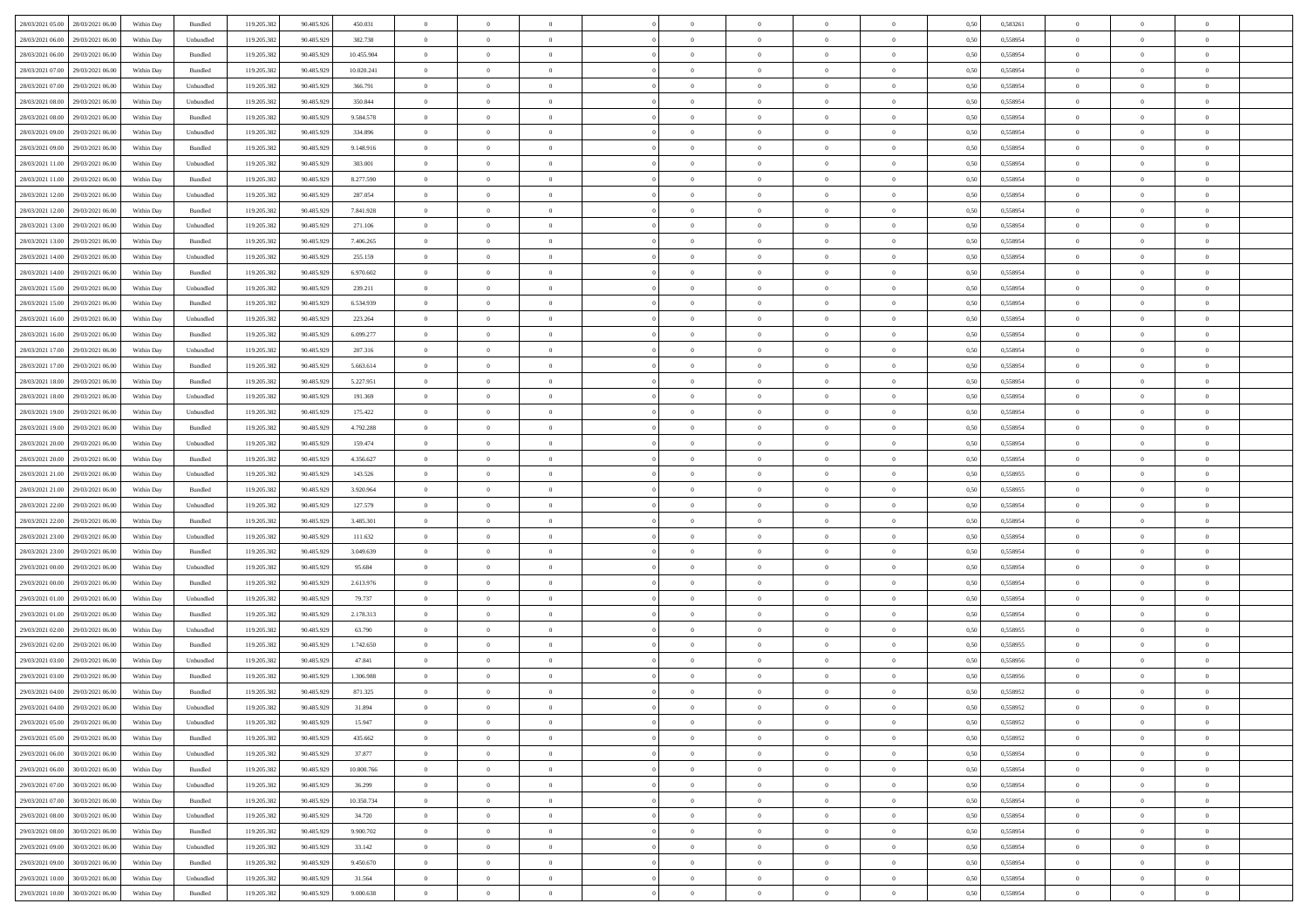|                                              |            |                             |             |            |            | $\overline{0}$                   | $\theta$       |                | $\overline{0}$ | $\bf{0}$       |                | $\bf{0}$       |      |          | $\theta$       | $\theta$       | $\theta$       |  |
|----------------------------------------------|------------|-----------------------------|-------------|------------|------------|----------------------------------|----------------|----------------|----------------|----------------|----------------|----------------|------|----------|----------------|----------------|----------------|--|
| 28/03/2021 05:00 28/03/2021 06:00            | Within Day | Bundled                     | 119.205.382 | 90.485.926 | 450.031    |                                  |                |                |                |                |                |                | 0,50 | 0,583261 |                |                |                |  |
| 28/03/2021 06:00<br>29/03/2021 06.00         | Within Day | Unbundled                   | 119.205.38  | 90.485.929 | 382.738    | $\bf{0}$                         | $\overline{0}$ | $\bf{0}$       | $\bf{0}$       | $\overline{0}$ | $\overline{0}$ | $\bf{0}$       | 0,50 | 0,558954 | $\,$ 0 $\,$    | $\bf{0}$       | $\overline{0}$ |  |
| 28/03/2021 06:00<br>29/03/2021 06:00         | Within Day | Bundled                     | 119.205.382 | 90.485.929 | 10.455.904 | $\overline{0}$                   | $\bf{0}$       | $\overline{0}$ | $\bf{0}$       | $\bf{0}$       | $\overline{0}$ | $\bf{0}$       | 0.50 | 0.558954 | $\bf{0}$       | $\overline{0}$ | $\overline{0}$ |  |
| 28/03/2021 07:00<br>29/03/2021 06:00         | Within Day | Bundled                     | 119.205.382 | 90.485.929 | 10.020.241 | $\overline{0}$                   | $\overline{0}$ | $\overline{0}$ | $\theta$       | $\theta$       | $\overline{0}$ | $\bf{0}$       | 0,50 | 0,558954 | $\theta$       | $\theta$       | $\overline{0}$ |  |
| 28/03/2021 07:00<br>29/03/2021 06.00         | Within Day | Unbundled                   | 119.205.38  | 90.485.929 | 366.791    | $\bf{0}$                         | $\overline{0}$ | $\bf{0}$       | $\overline{0}$ | $\theta$       | $\overline{0}$ | $\bf{0}$       | 0,50 | 0,558954 | $\,$ 0 $\,$    | $\bf{0}$       | $\overline{0}$ |  |
| 28/03/2021 08:00<br>29/03/2021 06:00         |            | Unbundled                   | 119.205.382 | 90.485.929 | 350.844    | $\overline{0}$                   | $\overline{0}$ | $\overline{0}$ | $\bf{0}$       | $\overline{0}$ | $\theta$       | $\bf{0}$       | 0.50 | 0.558954 | $\,$ 0 $\,$    | $\theta$       | $\overline{0}$ |  |
|                                              | Within Day |                             |             |            |            |                                  |                |                |                |                |                |                |      |          |                |                |                |  |
| 28/03/2021 08:00<br>29/03/2021 06:00         | Within Day | Bundled                     | 119.205.382 | 90.485.929 | 9.584.578  | $\overline{0}$                   | $\overline{0}$ | $\overline{0}$ | $\overline{0}$ | $\overline{0}$ | $\overline{0}$ | $\bf{0}$       | 0,50 | 0,558954 | $\theta$       | $\theta$       | $\overline{0}$ |  |
| 28/03/2021 09:00<br>29/03/2021 06.00         | Within Day | Unbundled                   | 119.205.38  | 90.485.929 | 334.896    | $\bf{0}$                         | $\overline{0}$ | $\bf{0}$       | $\overline{0}$ | $\overline{0}$ | $\overline{0}$ | $\bf{0}$       | 0,50 | 0,558954 | $\,$ 0 $\,$    | $\bf{0}$       | $\overline{0}$ |  |
| 28/03/2021 09:00<br>29/03/2021 06:00         | Within Day | Bundled                     | 119,205.38  | 90.485.929 | 9.148.916  | $\overline{0}$                   | $\bf{0}$       | $\overline{0}$ | $\bf{0}$       | $\overline{0}$ | $\overline{0}$ | $\bf{0}$       | 0.50 | 0.558954 | $\bf{0}$       | $\overline{0}$ | $\overline{0}$ |  |
| 28/03/2021 11:00<br>29/03/2021 06:00         | Within Day | Unbundled                   | 119.205.382 | 90.485.929 | 303.001    | $\overline{0}$                   | $\bf{0}$       | $\overline{0}$ | $\overline{0}$ | $\overline{0}$ | $\overline{0}$ | $\bf{0}$       | 0,50 | 0,558954 | $\,$ 0 $\,$    | $\bf{0}$       | $\overline{0}$ |  |
| 28/03/2021 11:00<br>29/03/2021 06.00         | Within Day | Bundled                     | 119.205.38  | 90.485.929 | 8.277.590  | $\bf{0}$                         | $\overline{0}$ | $\bf{0}$       | $\bf{0}$       | $\bf{0}$       | $\overline{0}$ | $\bf{0}$       | 0,50 | 0,558954 | $\,$ 0 $\,$    | $\bf{0}$       | $\overline{0}$ |  |
| 28/03/2021 12:00<br>29/03/2021 06:00         | Within Day | Unbundled                   | 119.205.382 | 90.485.929 | 287.054    | $\overline{0}$                   | $\bf{0}$       | $\overline{0}$ | $\bf{0}$       | $\bf{0}$       | $\overline{0}$ | $\bf{0}$       | 0.50 | 0.558954 | $\bf{0}$       | $\overline{0}$ | $\bf{0}$       |  |
| 28/03/2021 12:00<br>29/03/2021 06:00         | Within Day | Bundled                     | 119.205.38  | 90.485.929 | 7.841.928  | $\overline{0}$                   | $\overline{0}$ | $\overline{0}$ | $\theta$       | $\theta$       | $\overline{0}$ | $\bf{0}$       | 0,50 | 0,558954 | $\,$ 0 $\,$    | $\theta$       | $\overline{0}$ |  |
|                                              |            |                             |             |            |            |                                  |                |                |                |                |                |                |      |          |                |                |                |  |
| 28/03/2021 13:00<br>29/03/2021 06.00         | Within Day | Unbundled                   | 119.205.38  | 90.485.929 | 271.106    | $\bf{0}$                         | $\overline{0}$ | $\bf{0}$       | $\overline{0}$ | $\theta$       | $\overline{0}$ | $\bf{0}$       | 0,50 | 0,558954 | $\,$ 0 $\,$    | $\bf{0}$       | $\overline{0}$ |  |
| 28/03/2021 13:00<br>29/03/2021 06:00         | Within Day | Bundled                     | 119.205.382 | 90.485.929 | 7.406.265  | $\overline{0}$                   | $\overline{0}$ | $\overline{0}$ | $\bf{0}$       | $\overline{0}$ | $\Omega$       | $\bf{0}$       | 0.50 | 0.558954 | $\,$ 0 $\,$    | $\theta$       | $\overline{0}$ |  |
| 28/03/2021 14:00<br>29/03/2021 06:00         | Within Day | Unbundled                   | 119.205.382 | 90.485.929 | 255.159    | $\overline{0}$                   | $\overline{0}$ | $\overline{0}$ | $\overline{0}$ | $\theta$       | $\overline{0}$ | $\bf{0}$       | 0,50 | 0,558954 | $\theta$       | $\theta$       | $\overline{0}$ |  |
| 28/03/2021 14:00<br>29/03/2021 06.00         | Within Day | Bundled                     | 119.205.38  | 90.485.929 | 6.970.602  | $\bf{0}$                         | $\overline{0}$ | $\bf{0}$       | $\overline{0}$ | $\theta$       | $\overline{0}$ | $\bf{0}$       | 0,50 | 0,558954 | $\,$ 0 $\,$    | $\bf{0}$       | $\overline{0}$ |  |
| 28/03/2021 15:00<br>29/03/2021 06:00         | Within Day | Unbundled                   | 119,205.38  | 90.485.929 | 239.211    | $\overline{0}$                   | $\bf{0}$       | $\overline{0}$ | $\bf{0}$       | $\overline{0}$ | $\overline{0}$ | $\bf{0}$       | 0.50 | 0.558954 | $\bf{0}$       | $\overline{0}$ | $\overline{0}$ |  |
| 28/03/2021 15:00<br>29/03/2021 06:00         | Within Day | Bundled                     | 119.205.382 | 90.485.929 | 6.534.939  | $\overline{0}$                   | $\bf{0}$       | $\overline{0}$ | $\overline{0}$ | $\overline{0}$ | $\overline{0}$ | $\bf{0}$       | 0,50 | 0,558954 | $\,$ 0 $\,$    | $\bf{0}$       | $\overline{0}$ |  |
| 28/03/2021 16:00<br>29/03/2021 06.00         | Within Day | Unbundled                   | 119.205.38  | 90.485.929 | 223.264    | $\bf{0}$                         | $\bf{0}$       | $\bf{0}$       | $\bf{0}$       | $\overline{0}$ | $\overline{0}$ | $\bf{0}$       | 0,50 | 0,558954 | $\,$ 0 $\,$    | $\bf{0}$       | $\overline{0}$ |  |
| 28/03/2021 16:00<br>29/03/2021 06:00         |            | Bundled                     |             | 90.485.929 | 6.099.277  |                                  | $\bf{0}$       | $\overline{0}$ |                | $\bf{0}$       | $\overline{0}$ |                | 0.50 | 0.558954 | $\bf{0}$       | $\overline{0}$ | $\overline{0}$ |  |
|                                              | Within Day |                             | 119.205.382 |            |            | $\overline{0}$<br>$\overline{0}$ | $\overline{0}$ |                | $\bf{0}$       |                |                | $\bf{0}$       |      |          | $\theta$       | $\theta$       |                |  |
| 28/03/2021 17:00<br>29/03/2021 06:00         | Within Day | Unbundled                   | 119.205.382 | 90.485.929 | 207.316    |                                  |                | $\overline{0}$ | $\theta$       | $\theta$       | $\overline{0}$ | $\bf{0}$       | 0,50 | 0,558954 |                |                | $\overline{0}$ |  |
| 28/03/2021 17:00<br>29/03/2021 06.00         | Within Day | Bundled                     | 119.205.38  | 90.485.929 | 5.663.614  | $\bf{0}$                         | $\overline{0}$ | $\bf{0}$       | $\bf{0}$       | $\,$ 0 $\,$    | $\overline{0}$ | $\bf{0}$       | 0,50 | 0,558954 | $\,$ 0 $\,$    | $\bf{0}$       | $\overline{0}$ |  |
| 28/03/2021 18:00<br>29/03/2021 06:00         | Within Day | Bundled                     | 119,205.38  | 90.485.929 | 5.227.951  | $\overline{0}$                   | $\overline{0}$ | $\overline{0}$ | $\bf{0}$       | $\overline{0}$ | $\Omega$       | $\bf{0}$       | 0.50 | 0.558954 | $\,$ 0 $\,$    | $\theta$       | $\overline{0}$ |  |
| 28/03/2021 18:00<br>29/03/2021 06:00         | Within Day | Unbundled                   | 119.205.382 | 90.485.929 | 191.369    | $\overline{0}$                   | $\overline{0}$ | $\overline{0}$ | $\overline{0}$ | $\theta$       | $\overline{0}$ | $\bf{0}$       | 0,50 | 0,558954 | $\theta$       | $\theta$       | $\overline{0}$ |  |
| 28/03/2021 19:00<br>29/03/2021 06.00         | Within Day | Unbundled                   | 119.205.38  | 90.485.929 | 175.422    | $\bf{0}$                         | $\overline{0}$ | $\bf{0}$       | $\overline{0}$ | $\theta$       | $\overline{0}$ | $\bf{0}$       | 0,50 | 0,558954 | $\,$ 0 $\,$    | $\bf{0}$       | $\overline{0}$ |  |
| 28/03/2021 19:00<br>29/03/2021 06:00         | Within Day | Bundled                     | 119,205.38  | 90.485.929 | 4.792.288  | $\overline{0}$                   | $\bf{0}$       | $\overline{0}$ | $\bf{0}$       | $\overline{0}$ | $\overline{0}$ | $\bf{0}$       | 0.50 | 0.558954 | $\bf{0}$       | $\overline{0}$ | $\overline{0}$ |  |
| 28/03/2021 20:00<br>29/03/2021 06:00         | Within Day | Unbundled                   | 119.205.382 | 90.485.929 | 159.474    | $\overline{0}$                   | $\overline{0}$ | $\overline{0}$ | $\overline{0}$ | $\overline{0}$ | $\overline{0}$ | $\bf{0}$       | 0,50 | 0,558954 | $\theta$       | $\theta$       | $\overline{0}$ |  |
| 28/03/2021 20:00<br>29/03/2021 06.00         | Within Day | Bundled                     | 119.205.38  | 90.485.929 | 4.356.627  | $\bf{0}$                         | $\bf{0}$       | $\bf{0}$       | $\bf{0}$       | $\overline{0}$ | $\overline{0}$ | $\bf{0}$       | 0,50 | 0,558954 | $\,$ 0 $\,$    | $\bf{0}$       | $\overline{0}$ |  |
|                                              |            |                             |             |            |            |                                  |                |                |                |                |                |                |      |          |                |                |                |  |
| 28/03/2021 21:00<br>29/03/2021 06:00         | Within Day | Unbundled                   | 119.205.382 | 90.485.929 | 143.526    | $\overline{0}$                   | $\bf{0}$       | $\overline{0}$ | $\bf{0}$       | $\bf{0}$       | $\overline{0}$ | $\bf{0}$       | 0.50 | 0.558955 | $\bf{0}$       | $\overline{0}$ | $\overline{0}$ |  |
| 28/03/2021 21:00<br>29/03/2021 06:00         | Within Day | Bundled                     | 119.205.382 | 90.485.929 | 3.920.964  | $\overline{0}$                   | $\overline{0}$ | $\overline{0}$ | $\overline{0}$ | $\overline{0}$ | $\overline{0}$ | $\bf{0}$       | 0.50 | 0.558955 | $\theta$       | $\theta$       | $\overline{0}$ |  |
| 28/03/2021 22:00<br>29/03/2021 06.00         | Within Day | Unbundled                   | 119.205.38  | 90.485.929 | 127.579    | $\bf{0}$                         | $\overline{0}$ | $\bf{0}$       | $\bf{0}$       | $\overline{0}$ | $\overline{0}$ | $\bf{0}$       | 0,50 | 0,558954 | $\,$ 0 $\,$    | $\bf{0}$       | $\overline{0}$ |  |
| 28/03/2021 22:00<br>29/03/2021 06:00         | Within Day | Bundled                     | 119.205.382 | 90.485.929 | 3.485.301  | $\overline{0}$                   | $\bf{0}$       | $\overline{0}$ | $\bf{0}$       | $\overline{0}$ | $\Omega$       | $\bf{0}$       | 0.50 | 0.558954 | $\,$ 0 $\,$    | $\theta$       | $\overline{0}$ |  |
| 28/03/2021 23:00<br>29/03/2021 06:00         | Within Dav | Unbundled                   | 119.205.382 | 90.485.929 | 111.632    | $\overline{0}$                   | $\overline{0}$ | $\overline{0}$ | $\overline{0}$ | $\theta$       | $\overline{0}$ | $\bf{0}$       | 0.50 | 0,558954 | $\theta$       | $\theta$       | $\overline{0}$ |  |
| 28/03/2021 23:00<br>29/03/2021 06.00         | Within Day | Bundled                     | 119.205.38  | 90.485.929 | 3.049.639  | $\bf{0}$                         | $\bf{0}$       | $\bf{0}$       | $\bf{0}$       | $\bf{0}$       | $\overline{0}$ | $\bf{0}$       | 0,50 | 0,558954 | $\,$ 0 $\,$    | $\bf{0}$       | $\overline{0}$ |  |
| 29/03/2021 00:00<br>29/03/2021 06:00         | Within Day | Unbundled                   | 119,205.38  | 90.485.929 | 95.684     | $\overline{0}$                   | $\bf{0}$       | $\overline{0}$ | $\bf{0}$       | $\overline{0}$ | $\overline{0}$ | $\bf{0}$       | 0.50 | 0.558954 | $\bf{0}$       | $\overline{0}$ | $\overline{0}$ |  |
| 29/03/2021 00:00<br>29/03/2021 06:00         | Within Dav | Bundled                     | 119.205.38  | 90.485.929 | 2.613.976  | $\overline{0}$                   | $\overline{0}$ | $\overline{0}$ | $\overline{0}$ | $\overline{0}$ | $\overline{0}$ | $\bf{0}$       | 0.50 | 0,558954 | $\theta$       | $\theta$       | $\overline{0}$ |  |
| 29/03/2021 06.00                             | Within Day | Unbundled                   |             | 90.485.929 | 79.737     | $\bf{0}$                         | $\bf{0}$       | $\bf{0}$       | $\bf{0}$       | $\overline{0}$ | $\overline{0}$ | $\bf{0}$       | 0,50 | 0,558954 | $\,$ 0 $\,$    | $\bf{0}$       | $\overline{0}$ |  |
| 29/03/2021 01:00                             |            |                             | 119.205.38  |            |            |                                  |                |                |                |                |                |                |      |          |                |                |                |  |
| 29/03/2021 01:00<br>29/03/2021 06:00         | Within Day | Bundled                     | 119.205.382 | 90.485.929 | 2.178.313  | $\overline{0}$                   | $\bf{0}$       | $\overline{0}$ | $\bf{0}$       | $\bf{0}$       | $\overline{0}$ | $\bf{0}$       | 0.50 | 0.558954 | $\bf{0}$       | $\overline{0}$ | $\overline{0}$ |  |
| 29/03/2021 02:00<br>29/03/2021 06:00         | Within Dav | Unbundled                   | 119.205.382 | 90.485.929 | 63.790     | $\overline{0}$                   | $\overline{0}$ | $\overline{0}$ | $\overline{0}$ | $\theta$       | $\overline{0}$ | $\bf{0}$       | 0.50 | 0.558955 | $\theta$       | $\theta$       | $\overline{0}$ |  |
| 29/03/2021 02:00<br>29/03/2021 06.00         | Within Day | Bundled                     | 119.205.38  | 90.485.929 | 1.742.650  | $\bf{0}$                         | $\bf{0}$       | $\bf{0}$       | $\bf{0}$       | $\overline{0}$ | $\overline{0}$ | $\bf{0}$       | 0,50 | 0,558955 | $\,$ 0 $\,$    | $\bf{0}$       | $\overline{0}$ |  |
| 29/03/2021 03:00<br>29/03/2021 06:00         | Within Day | Unbundled                   | 119.205.382 | 90.485.929 | 47.841     | $\overline{0}$                   | $\overline{0}$ | $\overline{0}$ | $\bf{0}$       | $\theta$       | $\Omega$       | $\bf{0}$       | 0.50 | 0.558956 | $\bf{0}$       | $\theta$       | $\overline{0}$ |  |
| 29/03/2021 03:00<br>29/03/2021 06:00         | Within Dav | Bundled                     | 119.205.38  | 90.485.929 | 1.306.988  | $\overline{0}$                   | $\overline{0}$ | $\Omega$       | $\overline{0}$ | $\theta$       | $\overline{0}$ | $\overline{0}$ | 0.5( | 0,558956 | $\theta$       | $\theta$       | $\overline{0}$ |  |
| 29/03/2021 04:00<br>29/03/2021 06:00         | Within Day | Bundled                     | 119.205.382 | 90.485.929 | 871.325    | $\bf{0}$                         | $\bf{0}$       | $\overline{0}$ | $\bf{0}$       | $\bf{0}$       | $\overline{0}$ | $\bf{0}$       | 0,50 | 0,558952 | $\overline{0}$ | $\overline{0}$ | $\overline{0}$ |  |
| $29/03/2021\ 04.00 \qquad 29/03/2021\ 06.00$ | Within Day | $\ensuremath{\mathsf{Unb}}$ | 119.205.382 | 90.485.929 | 31.894     | $\overline{0}$                   | $\Omega$       |                | $\Omega$       |                |                |                | 0,50 | 0,558952 | $\theta$       | $\overline{0}$ |                |  |
| 29/03/2021 05:00 29/03/2021 06:00            | Within Day | Unbundled                   | 119.205.382 | 90.485.929 | 15.947     | $\overline{0}$                   | $\overline{0}$ | $\overline{0}$ | $\overline{0}$ | $\overline{0}$ | $\overline{0}$ | $\bf{0}$       | 0,50 | 0,558952 | $\theta$       | $\overline{0}$ | $\overline{0}$ |  |
|                                              |            |                             |             |            |            |                                  |                |                |                |                |                |                |      |          |                |                |                |  |
| 29/03/2021 05:00<br>29/03/2021 06:00         | Within Day | Bundled                     | 119.205.38  | 90.485.929 | 435.662    | $\overline{0}$                   | $\bf{0}$       | $\overline{0}$ | $\overline{0}$ | $\bf{0}$       | $\overline{0}$ | $\bf{0}$       | 0,50 | 0,558952 | $\bf{0}$       | $\overline{0}$ | $\bf{0}$       |  |
| 29/03/2021 06:00<br>30/03/2021 06:00         | Within Day | Unbundled                   | 119.205.382 | 90.485.929 | 37,877     | $\overline{0}$                   | $\bf{0}$       | $\overline{0}$ | $\overline{0}$ | $\mathbf{0}$   | $\overline{0}$ | $\,$ 0 $\,$    | 0.50 | 0.558954 | $\overline{0}$ | $\bf{0}$       | $\bf{0}$       |  |
| 29/03/2021 06:00<br>30/03/2021 06:00         | Within Dav | Bundled                     | 119.205.382 | 90.485.929 | 10.800.766 | $\overline{0}$                   | $\overline{0}$ | $\overline{0}$ | $\overline{0}$ | $\overline{0}$ | $\overline{0}$ | $\bf{0}$       | 0,50 | 0,558954 | $\overline{0}$ | $\theta$       | $\overline{0}$ |  |
| 29/03/2021 07:00<br>30/03/2021 06:00         | Within Day | Unbundled                   | 119.205.382 | 90.485.929 | 36.299     | $\overline{0}$                   | $\bf{0}$       | $\overline{0}$ | $\overline{0}$ | $\bf{0}$       | $\overline{0}$ | $\bf{0}$       | 0,50 | 0,558954 | $\bf{0}$       | $\overline{0}$ | $\overline{0}$ |  |
| 29/03/2021 07:00<br>30/03/2021 06:00         | Within Day | Bundled                     | 119.205.382 | 90.485.929 | 10.350.734 | $\overline{0}$                   | $\bf{0}$       | $\overline{0}$ | $\overline{0}$ | $\bf{0}$       | $\overline{0}$ | $\bf{0}$       | 0.50 | 0.558954 | $\,$ 0 $\,$    | $\overline{0}$ | $\,$ 0         |  |
| 29/03/2021 08:00<br>30/03/2021 06:00         | Within Dav | Unbundled                   | 119.205.382 | 90.485.929 | 34.720     | $\overline{0}$                   | $\overline{0}$ | $\overline{0}$ | $\overline{0}$ | $\overline{0}$ | $\overline{0}$ | $\bf{0}$       | 0.50 | 0,558954 | $\overline{0}$ | $\theta$       | $\overline{0}$ |  |
| 29/03/2021 08:00<br>30/03/2021 06:00         | Within Day | Bundled                     | 119.205.38  | 90.485.929 | 9.900.702  | $\overline{0}$                   | $\overline{0}$ | $\overline{0}$ | $\overline{0}$ | $\overline{0}$ | $\overline{0}$ | $\bf{0}$       | 0,50 | 0,558954 | $\bf{0}$       | $\overline{0}$ | $\,$ 0         |  |
|                                              |            |                             |             |            |            |                                  |                |                |                |                |                |                |      |          |                |                |                |  |
| 29/03/2021 09:00<br>30/03/2021 06:00         | Within Day | Unbundled                   | 119.205.382 | 90.485.929 | 33.142     | $\overline{0}$                   | $\overline{0}$ | $\overline{0}$ | $\overline{0}$ | $\overline{0}$ | $\overline{0}$ | $\bf{0}$       | 0.50 | 0.558954 | $\mathbf{0}$   | $\bf{0}$       | $\,$ 0         |  |
| 29/03/2021 09:00<br>30/03/2021 06:00         | Within Dav | Bundled                     | 119.205.382 | 90.485.929 | 9.450.670  | $\overline{0}$                   | $\overline{0}$ | $\overline{0}$ | $\overline{0}$ | $\overline{0}$ | $\overline{0}$ | $\bf{0}$       | 0,50 | 0,558954 | $\overline{0}$ | $\theta$       | $\overline{0}$ |  |
| 29/03/2021 10:00<br>30/03/2021 06:00         | Within Day | Unbundled                   | 119.205.38  | 90.485.929 | 31.564     | $\overline{0}$                   | $\bf{0}$       | $\overline{0}$ | $\overline{0}$ | $\overline{0}$ | $\overline{0}$ | $\bf{0}$       | 0,50 | 0,558954 | $\bf{0}$       | $\overline{0}$ | $\bf{0}$       |  |
| 29/03/2021 10:00 30/03/2021 06:00            | Within Day | Bundled                     | 119.205.382 | 90.485.929 | 9.000.638  | $\overline{0}$                   | $\bf{0}$       | $\overline{0}$ | $\overline{0}$ | $\,$ 0 $\,$    | $\overline{0}$ | $\,$ 0 $\,$    | 0,50 | 0,558954 | $\overline{0}$ | $\,$ 0 $\,$    | $\,$ 0 $\,$    |  |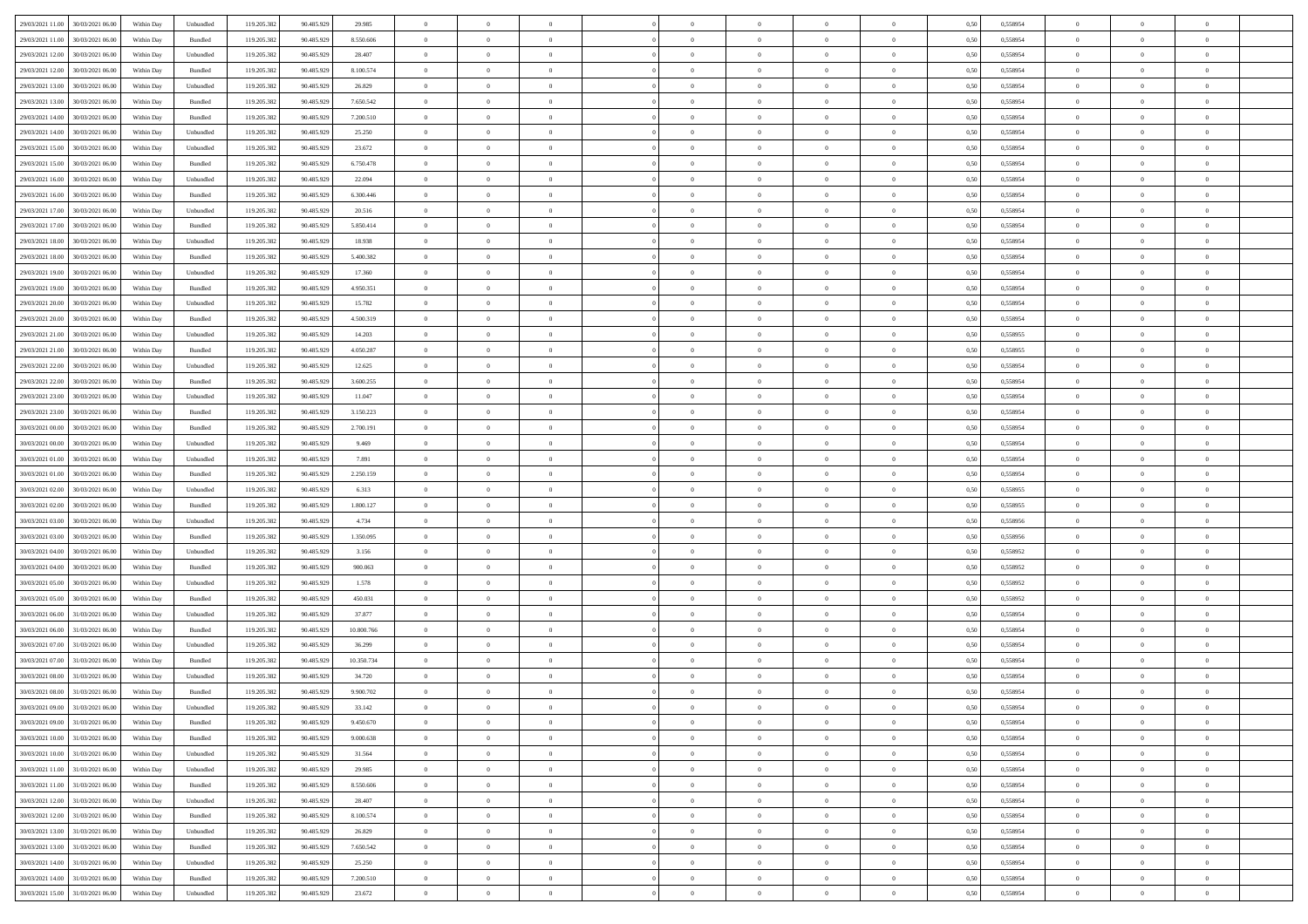| 29/03/2021 11:00<br>30/03/2021 06:00         | Within Day | Unbundled | 119.205.382 | 90.485.929 | 29.985     | $\overline{0}$ | $\overline{0}$ |                | $\overline{0}$ | $\theta$       |                | $\theta$       | 0,50 | 0,558954 | $\theta$       | $\theta$       | $\overline{0}$ |  |
|----------------------------------------------|------------|-----------|-------------|------------|------------|----------------|----------------|----------------|----------------|----------------|----------------|----------------|------|----------|----------------|----------------|----------------|--|
|                                              |            |           |             |            |            |                |                |                |                |                |                |                |      |          |                |                |                |  |
| 29/03/2021 11:00<br>30/03/2021 06:00         | Within Day | Bundled   | 119.205.38  | 90.485.929 | 8.550.606  | $\bf{0}$       | $\bf{0}$       | $\bf{0}$       | $\bf{0}$       | $\overline{0}$ | $\bf{0}$       | $\bf{0}$       | 0,50 | 0,558954 | $\,$ 0 $\,$    | $\bf{0}$       | $\overline{0}$ |  |
| 29/03/2021 12:00<br>30/03/2021 06:00         | Within Day | Unbundled | 119.205.382 | 90.485.929 | 28.407     | $\overline{0}$ | $\bf{0}$       | $\overline{0}$ | $\overline{0}$ | $\overline{0}$ | $\overline{0}$ | $\bf{0}$       | 0.50 | 0.558954 | $\overline{0}$ | $\,$ 0 $\,$    | $\,$ 0         |  |
| 29/03/2021 12:00<br>30/03/2021 06:00         | Within Day | Bundled   | 119.205.382 | 90.485.929 | 8.100.574  | $\overline{0}$ | $\overline{0}$ | $\overline{0}$ | $\overline{0}$ | $\theta$       | $\overline{0}$ | $\bf{0}$       | 0,50 | 0,558954 | $\theta$       | $\overline{0}$ | $\overline{0}$ |  |
| 29/03/2021 13:00<br>30/03/2021 06:00         | Within Day | Unbundled | 119.205.38  | 90.485.929 | 26.829     | $\bf{0}$       | $\bf{0}$       | $\bf{0}$       | $\overline{0}$ | $\overline{0}$ | $\overline{0}$ | $\bf{0}$       | 0,50 | 0,558954 | $\,$ 0 $\,$    | $\bf{0}$       | $\overline{0}$ |  |
| 29/03/2021 13:00<br>30/03/2021 06:00         | Within Day | Bundled   | 119.205.382 | 90.485.929 | 7.650.542  | $\overline{0}$ | $\bf{0}$       | $\overline{0}$ | $\bf{0}$       | $\overline{0}$ | $\overline{0}$ | $\bf{0}$       | 0.50 | 0.558954 | $\,$ 0 $\,$    | $\overline{0}$ | $\overline{0}$ |  |
| 29/03/2021 14:00                             |            |           | 119.205.38  |            |            | $\overline{0}$ | $\bf{0}$       | $\overline{0}$ | $\overline{0}$ | $\overline{0}$ | $\overline{0}$ |                |      |          | $\,$ 0 $\,$    | $\theta$       | $\overline{0}$ |  |
| 30/03/2021 06:00                             | Within Day | Bundled   |             | 90.485.929 | 7.200.510  |                |                |                |                |                |                | $\bf{0}$       | 0,50 | 0,558954 |                |                |                |  |
| 29/03/2021 14:00<br>30/03/2021 06:00         | Within Day | Unbundled | 119.205.38  | 90.485.929 | 25.250     | $\bf{0}$       | $\bf{0}$       | $\bf{0}$       | $\bf{0}$       | $\overline{0}$ | $\overline{0}$ | $\bf{0}$       | 0,50 | 0,558954 | $\,$ 0 $\,$    | $\bf{0}$       | $\overline{0}$ |  |
| 29/03/2021 15:00<br>30/03/2021 06:00         | Within Day | Unbundled | 119,205.38  | 90.485.929 | 23.672     | $\overline{0}$ | $\bf{0}$       | $\overline{0}$ | $\bf{0}$       | $\bf{0}$       | $\overline{0}$ | $\bf{0}$       | 0.50 | 0.558954 | $\bf{0}$       | $\overline{0}$ | $\bf{0}$       |  |
| 29/03/2021 15:00<br>30/03/2021 06:00         | Within Day | Bundled   | 119.205.382 | 90.485.929 | 6.750.478  | $\bf{0}$       | $\bf{0}$       | $\overline{0}$ | $\overline{0}$ | $\overline{0}$ | $\overline{0}$ | $\bf{0}$       | 0,50 | 0,558954 | $\,$ 0 $\,$    | $\,$ 0 $\,$    | $\overline{0}$ |  |
| 29/03/2021 16:00<br>30/03/2021 06:00         | Within Day | Unbundled | 119.205.38  | 90.485.929 | 22.094     | $\bf{0}$       | $\bf{0}$       | $\bf{0}$       | $\bf{0}$       | $\overline{0}$ | $\overline{0}$ | $\bf{0}$       | 0,50 | 0,558954 | $\,$ 0 $\,$    | $\bf{0}$       | $\overline{0}$ |  |
| 29/03/2021 16:00<br>30/03/2021 06:00         | Within Day | Bundled   | 119.205.382 | 90.485.929 | 6,300,446  | $\overline{0}$ | $\bf{0}$       | $\overline{0}$ | $\overline{0}$ | $\overline{0}$ | $\overline{0}$ | $\bf{0}$       | 0.50 | 0.558954 | $\bf{0}$       | $\,$ 0 $\,$    | $\,$ 0         |  |
| 29/03/2021 17:00<br>30/03/2021 06:00         | Within Day | Unbundled | 119.205.38  | 90.485.929 | 20.516     | $\overline{0}$ | $\bf{0}$       | $\overline{0}$ | $\theta$       | $\theta$       | $\overline{0}$ | $\bf{0}$       | 0,50 | 0,558954 | $\,$ 0 $\,$    | $\,$ 0 $\,$    | $\overline{0}$ |  |
|                                              |            |           |             |            |            |                | $\bf{0}$       |                |                | $\overline{0}$ | $\overline{0}$ |                |      |          | $\,$ 0 $\,$    | $\bf{0}$       | $\overline{0}$ |  |
| 29/03/2021 17:00<br>30/03/2021 06:00         | Within Day | Bundled   | 119.205.38  | 90.485.929 | 5.850.414  | $\bf{0}$       |                | $\bf{0}$       | $\bf{0}$       |                |                | $\bf{0}$       | 0,50 | 0,558954 |                |                |                |  |
| 29/03/2021 18:00<br>30/03/2021 06:00         | Within Day | Unbundled | 119,205.38  | 90.485.929 | 18.938     | $\overline{0}$ | $\bf{0}$       | $\overline{0}$ | $\bf{0}$       | $\overline{0}$ | $\overline{0}$ | $\bf{0}$       | 0.50 | 0.558954 | $\,$ 0 $\,$    | $\bf{0}$       | $\overline{0}$ |  |
| 29/03/2021 18:00<br>30/03/2021 06:00         | Within Day | Bundled   | 119.205.382 | 90.485.929 | 5.400.382  | $\overline{0}$ | $\bf{0}$       | $\overline{0}$ | $\overline{0}$ | $\overline{0}$ | $\overline{0}$ | $\bf{0}$       | 0,50 | 0,558954 | $\theta$       | $\theta$       | $\overline{0}$ |  |
| 29/03/2021 19:00<br>30/03/2021 06:00         | Within Day | Unbundled | 119.205.38  | 90.485.929 | 17.360     | $\bf{0}$       | $\bf{0}$       | $\bf{0}$       | $\overline{0}$ | $\overline{0}$ | $\overline{0}$ | $\bf{0}$       | 0,50 | 0,558954 | $\,$ 0 $\,$    | $\bf{0}$       | $\overline{0}$ |  |
| 29/03/2021 19:00<br>30/03/2021 06:00         | Within Day | Bundled   | 119,205.38  | 90.485.929 | 4.950.351  | $\overline{0}$ | $\bf{0}$       | $\overline{0}$ | $\bf{0}$       | $\overline{0}$ | $\overline{0}$ | $\bf{0}$       | 0.50 | 0.558954 | $\bf{0}$       | $\overline{0}$ | $\,$ 0         |  |
| 29/03/2021 20:00<br>30/03/2021 06:00         | Within Day | Unbundled | 119.205.382 | 90.485.929 | 15.782     | $\bf{0}$       | $\bf{0}$       | $\overline{0}$ | $\overline{0}$ | $\overline{0}$ | $\overline{0}$ | $\bf{0}$       | 0,50 | 0,558954 | $\,$ 0 $\,$    | $\bf{0}$       | $\overline{0}$ |  |
| 29/03/2021 20:00<br>30/03/2021 06:00         | Within Day | Bundled   | 119.205.38  | 90.485.929 | 4.500.319  | $\bf{0}$       | $\bf{0}$       | $\bf{0}$       | $\bf{0}$       | $\overline{0}$ | $\overline{0}$ | $\bf{0}$       | 0,50 | 0,558954 | $\,$ 0 $\,$    | $\bf{0}$       | $\overline{0}$ |  |
| 29/03/2021 21:00<br>30/03/2021 06:00         |            | Unbundled |             | 90.485.929 |            |                | $\bf{0}$       |                |                | $\overline{0}$ | $\overline{0}$ |                | 0.50 | 0.558955 | $\,$ 0 $\,$    | $\,$ 0 $\,$    | $\,$ 0         |  |
|                                              | Within Day |           | 119.205.382 |            | 14.203     | $\overline{0}$ |                | $\overline{0}$ | $\overline{0}$ |                |                | $\bf{0}$       |      |          | $\theta$       | $\overline{0}$ |                |  |
| 29/03/2021 21:00<br>30/03/2021 06:00         | Within Day | Bundled   | 119.205.38  | 90.485.929 | 4.050.287  | $\overline{0}$ | $\overline{0}$ | $\overline{0}$ | $\overline{0}$ | $\overline{0}$ | $\overline{0}$ | $\bf{0}$       | 0,50 | 0,558955 |                |                | $\overline{0}$ |  |
| 29/03/2021 22:00<br>30/03/2021 06:00         | Within Day | Unbundled | 119.205.38  | 90.485.929 | 12.625     | $\bf{0}$       | $\bf{0}$       | $\bf{0}$       | $\bf{0}$       | $\overline{0}$ | $\overline{0}$ | $\bf{0}$       | 0,50 | 0,558954 | $\,$ 0 $\,$    | $\bf{0}$       | $\overline{0}$ |  |
| 29/03/2021 22:00<br>30/03/2021 06:00         | Within Day | Bundled   | 119,205.38  | 90.485.929 | 3.600.255  | $\overline{0}$ | $\bf{0}$       | $\overline{0}$ | $\bf{0}$       | $\overline{0}$ | $\overline{0}$ | $\bf{0}$       | 0.50 | 0.558954 | $\bf{0}$       | $\overline{0}$ | $\overline{0}$ |  |
| 29/03/2021 23:00<br>30/03/2021 06:00         | Within Day | Unbundled | 119.205.382 | 90.485.929 | 11.047     | $\overline{0}$ | $\overline{0}$ | $\overline{0}$ | $\overline{0}$ | $\overline{0}$ | $\overline{0}$ | $\bf{0}$       | 0,50 | 0,558954 | $\,$ 0 $\,$    | $\theta$       | $\overline{0}$ |  |
| 29/03/2021 23:00<br>30/03/2021 06:00         | Within Day | Bundled   | 119.205.38  | 90.485.929 | 3.150.223  | $\bf{0}$       | $\bf{0}$       | $\bf{0}$       | $\bf{0}$       | $\overline{0}$ | $\overline{0}$ | $\bf{0}$       | 0,50 | 0,558954 | $\,$ 0 $\,$    | $\bf{0}$       | $\overline{0}$ |  |
| 30/03/2021 00:00<br>30/03/2021 06:00         | Within Day | Bundled   | 119,205.38  | 90.485.929 | 2.700.191  | $\overline{0}$ | $\bf{0}$       | $\overline{0}$ | $\bf{0}$       | $\overline{0}$ | $\overline{0}$ | $\bf{0}$       | 0.50 | 0.558954 | $\bf{0}$       | $\overline{0}$ | $\bf{0}$       |  |
| 30/03/2021 00:00<br>30/03/2021 06:00         | Within Day | Unbundled | 119.205.382 | 90.485.929 | 9.469      | $\overline{0}$ | $\bf{0}$       | $\overline{0}$ | $\overline{0}$ | $\overline{0}$ | $\overline{0}$ | $\bf{0}$       | 0,50 | 0,558954 | $\,$ 0 $\,$    | $\,$ 0 $\,$    | $\overline{0}$ |  |
| 30/03/2021 06:00                             | Within Day | Unbundled |             | 90.485.929 | 7.891      | $\bf{0}$       | $\bf{0}$       | $\bf{0}$       | $\bf{0}$       | $\overline{0}$ | $\bf{0}$       | $\bf{0}$       | 0,50 | 0,558954 | $\,$ 0 $\,$    | $\bf{0}$       | $\overline{0}$ |  |
| 30/03/2021 01:00                             |            |           | 119.205.38  |            |            |                |                |                |                |                |                |                |      |          |                |                |                |  |
| 30/03/2021 01:00<br>30/03/2021 06:00         | Within Day | Bundled   | 119.205.382 | 90.485.929 | 2.250.159  | $\overline{0}$ | $\bf{0}$       | $\overline{0}$ | $\overline{0}$ | $\overline{0}$ | $\overline{0}$ | $\bf{0}$       | 0.50 | 0.558954 | $\bf{0}$       | $\,$ 0 $\,$    | $\,$ 0         |  |
| 30/03/2021 02:00<br>30/03/2021 06:00         | Within Day | Unbundled | 119.205.382 | 90.485.929 | 6.313      | $\overline{0}$ | $\overline{0}$ | $\overline{0}$ | $\overline{0}$ | $\overline{0}$ | $\overline{0}$ | $\bf{0}$       | 0.50 | 0,558955 | $\theta$       | $\theta$       | $\overline{0}$ |  |
| 30/03/2021 02:00<br>30/03/2021 06:00         | Within Day | Bundled   | 119.205.38  | 90.485.929 | 1.800.127  | $\bf{0}$       | $\bf{0}$       | $\bf{0}$       | $\bf{0}$       | $\overline{0}$ | $\overline{0}$ | $\bf{0}$       | 0,50 | 0,558955 | $\,$ 0 $\,$    | $\bf{0}$       | $\overline{0}$ |  |
| 30/03/2021 03:00<br>30/03/2021 06:00         | Within Day | Unbundled | 119.205.382 | 90.485.929 | 4.734      | $\overline{0}$ | $\bf{0}$       | $\overline{0}$ | $\bf{0}$       | $\overline{0}$ | $\overline{0}$ | $\bf{0}$       | 0.50 | 0.558956 | $\bf{0}$       | $\bf{0}$       | $\overline{0}$ |  |
| 30/03/2021 03:00<br>30/03/2021 06:00         | Within Dav | Bundled   | 119.205.382 | 90.485.929 | 1.350.095  | $\overline{0}$ | $\overline{0}$ | $\overline{0}$ | $\overline{0}$ | $\overline{0}$ | $\overline{0}$ | $\bf{0}$       | 0.50 | 0,558956 | $\theta$       | $\theta$       | $\overline{0}$ |  |
| 30/03/2021 04:00<br>30/03/2021 06:00         | Within Day | Unbundled | 119.205.38  | 90.485.929 | 3.156      | $\bf{0}$       | $\bf{0}$       | $\bf{0}$       | $\bf{0}$       | $\overline{0}$ | $\overline{0}$ | $\bf{0}$       | 0,50 | 0,558952 | $\,$ 0 $\,$    | $\bf{0}$       | $\overline{0}$ |  |
| 30/03/2021 04:00<br>30/03/2021 06:00         | Within Day | Bundled   | 119,205.38  | 90.485.929 | 900.063    | $\overline{0}$ | $\bf{0}$       | $\overline{0}$ | $\bf{0}$       | $\overline{0}$ | $\overline{0}$ | $\bf{0}$       | 0.50 | 0.558952 | $\bf{0}$       | $\overline{0}$ | $\bf{0}$       |  |
| 30/03/2021 05:00<br>30/03/2021 06:00         | Within Day | Unbundled | 119.205.38  | 90.485.929 | 1.578      | $\overline{0}$ | $\overline{0}$ | $\overline{0}$ | $\overline{0}$ | $\overline{0}$ | $\overline{0}$ | $\bf{0}$       | 0.50 | 0,558952 | $\theta$       | $\overline{0}$ | $\overline{0}$ |  |
|                                              |            |           |             |            |            |                |                |                |                |                |                |                |      |          |                |                |                |  |
| 30/03/2021 05:00<br>30/03/2021 06:00         | Within Day | Bundled   | 119.205.38  | 90.485.929 | 450.031    | $\bf{0}$       | $\bf{0}$       | $\bf{0}$       | $\bf{0}$       | $\overline{0}$ | $\bf{0}$       | $\bf{0}$       | 0,50 | 0,558952 | $\,$ 0 $\,$    | $\overline{0}$ | $\overline{0}$ |  |
| 30/03/2021 06:00<br>31/03/2021 06.00         | Within Day | Unbundled | 119.205.382 | 90.485.929 | 37,877     | $\overline{0}$ | $\bf{0}$       | $\overline{0}$ | $\overline{0}$ | $\bf{0}$       | $\overline{0}$ | $\bf{0}$       | 0.50 | 0.558954 | $\,$ 0 $\,$    | $\,$ 0 $\,$    | $\,$ 0         |  |
| 30/03/2021 06:00<br>31/03/2021 06:00         | Within Day | Bundled   | 119.205.382 | 90.485.929 | 10,800,766 | $\overline{0}$ | $\overline{0}$ | $\overline{0}$ | $\overline{0}$ | $\overline{0}$ | $\overline{0}$ | $\bf{0}$       | 0.5( | 0,558954 | $\theta$       | $\theta$       | $\overline{0}$ |  |
| 30/03/2021 07:00<br>31/03/2021 06.00         | Within Day | Unbundled | 119.205.38  | 90.485.929 | 36.299     | $\bf{0}$       | $\bf{0}$       | $\bf{0}$       | $\bf{0}$       | $\overline{0}$ | $\overline{0}$ | $\bf{0}$       | 0,50 | 0,558954 | $\,$ 0 $\,$    | $\bf{0}$       | $\overline{0}$ |  |
| 30/03/2021 07:00<br>31/03/2021 06.00         | Within Day | Bundled   | 119.205.382 | 90.485.929 | 10.350.734 | $\overline{0}$ | $\overline{0}$ | $\overline{0}$ | $\bf{0}$       | $\overline{0}$ | $\overline{0}$ | $\bf{0}$       | 0.50 | 0.558954 | $\bf{0}$       | $\overline{0}$ | $\overline{0}$ |  |
| 30/03/2021 08:00<br>31/03/2021 06:00         | Within Dav | Unbundled | 119.205.382 | 90.485.929 | 34.720     | $\overline{0}$ | $\overline{0}$ | $\overline{0}$ | $\overline{0}$ | $\theta$       | $\overline{0}$ | $\overline{0}$ | 0.5( | 0,558954 | $\theta$       | $\theta$       | $\overline{0}$ |  |
| 30/03/2021 08:00<br>31/03/2021 06:00         | Within Day | Bundled   | 119.205.382 | 90.485.929 | 9.900.702  | $\bf{0}$       | $\bf{0}$       | $\bf{0}$       | $\bf{0}$       | $\overline{0}$ | $\overline{0}$ | $\bf{0}$       | 0,50 | 0,558954 | $\overline{0}$ | $\overline{0}$ | $\overline{0}$ |  |
| $30/03/2021\ 09.00 \qquad 31/03/2021\ 06.00$ | Within Day | Unbundled | 119.205.382 | 90.485.929 | 33.142     | $\bf{0}$       | $\bf{0}$       |                | $\overline{0}$ | $\bf{0}$       |                |                | 0,50 | 0.558954 | $\bf{0}$       | $\bf{0}$       |                |  |
|                                              |            |           |             |            |            | $\overline{0}$ | $\overline{0}$ |                | $\theta$       | $\overline{0}$ |                |                |      |          | $\theta$       | $\theta$       | $\overline{0}$ |  |
| 30/03/2021 09:00 31/03/2021 06:00            | Within Day | Bundled   | 119.205.382 | 90.485.929 | 9.450.670  |                |                | $\overline{0}$ |                |                | $\overline{0}$ | $\bf{0}$       | 0,50 | 0,558954 |                |                |                |  |
| 30/03/2021 10:00<br>31/03/2021 06:00         | Within Day | Bundled   | 119.205.38  | 90.485.929 | 9.000.638  | $\overline{0}$ | $\bf{0}$       | $\overline{0}$ | $\overline{0}$ | $\bf{0}$       | $\overline{0}$ | $\bf{0}$       | 0,50 | 0,558954 | $\bf{0}$       | $\overline{0}$ | $\bf{0}$       |  |
| 30/03/2021 10:00 31/03/2021 06:00            | Within Day | Unbundled | 119.205.382 | 90.485.929 | 31.564     | $\overline{0}$ | $\overline{0}$ | $\overline{0}$ | $\overline{0}$ | $\mathbf{0}$   | $\overline{0}$ | $\,$ 0 $\,$    | 0.50 | 0.558954 | $\overline{0}$ | $\bf{0}$       | $\bf{0}$       |  |
| 30/03/2021 11:00 31/03/2021 06:00            | Within Day | Unbundled | 119.205.382 | 90.485.929 | 29.985     | $\overline{0}$ | $\overline{0}$ | $\overline{0}$ | $\overline{0}$ | $\overline{0}$ | $\overline{0}$ | $\bf{0}$       | 0,50 | 0,558954 | $\overline{0}$ | $\theta$       | $\overline{0}$ |  |
| 30/03/2021 11:00<br>31/03/2021 06:00         | Within Day | Bundled   | 119.205.382 | 90.485.929 | 8.550.606  | $\overline{0}$ | $\bf{0}$       | $\overline{0}$ | $\overline{0}$ | $\bf{0}$       | $\overline{0}$ | $\bf{0}$       | 0,50 | 0,558954 | $\bf{0}$       | $\overline{0}$ | $\overline{0}$ |  |
| 30/03/2021 12:00<br>31/03/2021 06:00         | Within Day | Unbundled | 119.205.382 | 90.485.929 | 28.407     | $\overline{0}$ | $\bf{0}$       | $\overline{0}$ | $\overline{0}$ | $\bf{0}$       | $\overline{0}$ | $\bf{0}$       | 0.50 | 0.558954 | $\,$ 0 $\,$    | $\overline{0}$ | $\,$ 0         |  |
| 30/03/2021 12:00<br>31/03/2021 06:00         | Within Dav | Bundled   | 119.205.382 | 90.485.929 | 8.100.574  | $\overline{0}$ | $\overline{0}$ | $\overline{0}$ | $\overline{0}$ | $\overline{0}$ | $\overline{0}$ | $\bf{0}$       | 0.50 | 0,558954 | $\overline{0}$ | $\theta$       | $\overline{0}$ |  |
| 30/03/2021 13:00<br>31/03/2021 06:00         | Within Day | Unbundled | 119.205.38  | 90.485.929 | 26.829     | $\overline{0}$ | $\overline{0}$ | $\overline{0}$ | $\overline{0}$ | $\overline{0}$ | $\overline{0}$ | $\bf{0}$       | 0,50 | 0,558954 | $\bf{0}$       | $\overline{0}$ | $\,$ 0         |  |
|                                              |            |           |             |            |            |                |                |                |                |                |                |                |      |          |                |                |                |  |
| 30/03/2021 13:00<br>31/03/2021 06:00         | Within Day | Bundled   | 119.205.382 | 90.485.929 | 7.650.542  | $\overline{0}$ | $\overline{0}$ | $\overline{0}$ | $\overline{0}$ | $\overline{0}$ | $\overline{0}$ | $\bf{0}$       | 0.50 | 0.558954 | $\mathbf{0}$   | $\bf{0}$       | $\,$ 0         |  |
| 30/03/2021 14:00<br>31/03/2021 06:00         | Within Dav | Unbundled | 119.205.382 | 90.485.929 | 25.250     | $\overline{0}$ | $\overline{0}$ | $\overline{0}$ | $\overline{0}$ | $\overline{0}$ | $\overline{0}$ | $\bf{0}$       | 0,50 | 0,558954 | $\overline{0}$ | $\theta$       | $\overline{0}$ |  |
| 30/03/2021 14:00<br>31/03/2021 06:00         | Within Day | Bundled   | 119.205.38  | 90.485.929 | 7.200.510  | $\overline{0}$ | $\bf{0}$       | $\overline{0}$ | $\overline{0}$ | $\overline{0}$ | $\overline{0}$ | $\bf{0}$       | 0,50 | 0,558954 | $\bf{0}$       | $\overline{0}$ | $\bf{0}$       |  |
| 30/03/2021 15:00 31/03/2021 06:00            | Within Day | Unbundled | 119.205.382 | 90.485.929 | 23.672     | $\,$ 0 $\,$    | $\bf{0}$       | $\overline{0}$ | $\overline{0}$ | $\,$ 0 $\,$    | $\overline{0}$ | $\,$ 0 $\,$    | 0,50 | 0,558954 | $\overline{0}$ | $\,$ 0 $\,$    | $\,$ 0 $\,$    |  |